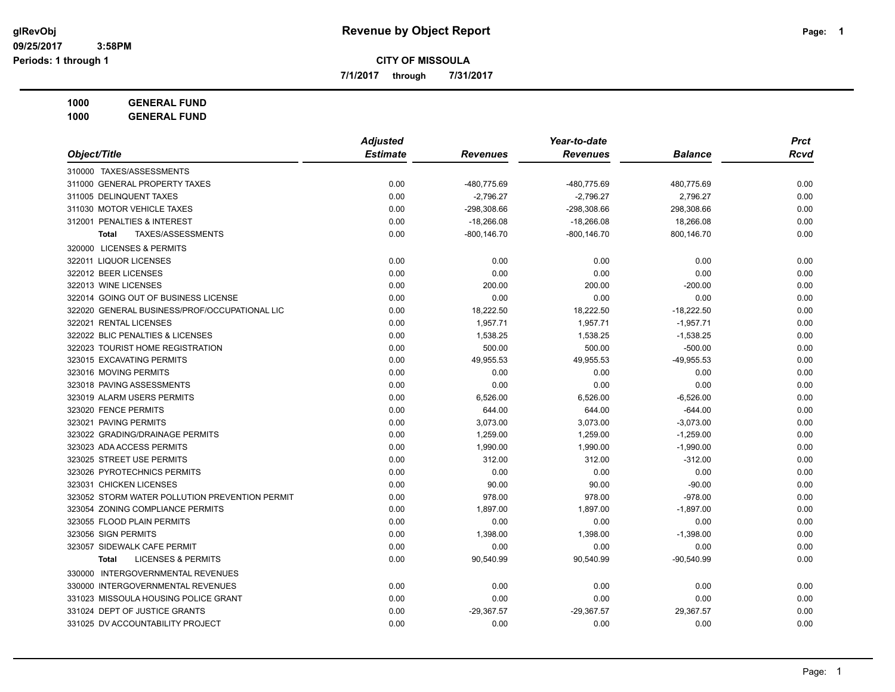# **CITY OF MISSOULA**

**7/1/2017 through 7/31/2017**

**1000 GENERAL FUND**

 **3:58PM**

| Object/Title                                   | <b>Adjusted</b> |                 | Year-to-date    |                | <b>Prct</b> |
|------------------------------------------------|-----------------|-----------------|-----------------|----------------|-------------|
|                                                | <b>Estimate</b> | <b>Revenues</b> | <b>Revenues</b> | <b>Balance</b> | Rcvd        |
| 310000 TAXES/ASSESSMENTS                       |                 |                 |                 |                |             |
| 311000 GENERAL PROPERTY TAXES                  | 0.00            | -480,775.69     | -480,775.69     | 480,775.69     | 0.00        |
| 311005 DELINQUENT TAXES                        | 0.00            | $-2,796.27$     | $-2,796.27$     | 2,796.27       | 0.00        |
| 311030 MOTOR VEHICLE TAXES                     | 0.00            | $-298,308.66$   | -298,308.66     | 298,308.66     | 0.00        |
| 312001 PENALTIES & INTEREST                    | 0.00            | $-18,266.08$    | $-18,266.08$    | 18,266.08      | 0.00        |
| TAXES/ASSESSMENTS<br><b>Total</b>              | 0.00            | $-800, 146.70$  | $-800, 146.70$  | 800,146.70     | 0.00        |
| 320000 LICENSES & PERMITS                      |                 |                 |                 |                |             |
| 322011 LIQUOR LICENSES                         | 0.00            | 0.00            | 0.00            | 0.00           | 0.00        |
| 322012 BEER LICENSES                           | 0.00            | 0.00            | 0.00            | 0.00           | 0.00        |
| 322013 WINE LICENSES                           | 0.00            | 200.00          | 200.00          | $-200.00$      | 0.00        |
| 322014 GOING OUT OF BUSINESS LICENSE           | 0.00            | 0.00            | 0.00            | 0.00           | 0.00        |
| 322020 GENERAL BUSINESS/PROF/OCCUPATIONAL LIC  | 0.00            | 18,222.50       | 18,222.50       | $-18,222.50$   | 0.00        |
| 322021 RENTAL LICENSES                         | 0.00            | 1,957.71        | 1,957.71        | $-1,957.71$    | 0.00        |
| 322022 BLIC PENALTIES & LICENSES               | 0.00            | 1,538.25        | 1,538.25        | $-1,538.25$    | 0.00        |
| 322023 TOURIST HOME REGISTRATION               | 0.00            | 500.00          | 500.00          | $-500.00$      | 0.00        |
| 323015 EXCAVATING PERMITS                      | 0.00            | 49,955.53       | 49,955.53       | -49,955.53     | 0.00        |
| 323016 MOVING PERMITS                          | 0.00            | 0.00            | 0.00            | 0.00           | 0.00        |
| 323018 PAVING ASSESSMENTS                      | 0.00            | 0.00            | 0.00            | 0.00           | 0.00        |
| 323019 ALARM USERS PERMITS                     | 0.00            | 6,526.00        | 6,526.00        | $-6,526.00$    | 0.00        |
| 323020 FENCE PERMITS                           | 0.00            | 644.00          | 644.00          | $-644.00$      | 0.00        |
| 323021 PAVING PERMITS                          | 0.00            | 3,073.00        | 3,073.00        | $-3,073.00$    | 0.00        |
| 323022 GRADING/DRAINAGE PERMITS                | 0.00            | 1,259.00        | 1,259.00        | $-1,259.00$    | 0.00        |
| 323023 ADA ACCESS PERMITS                      | 0.00            | 1,990.00        | 1,990.00        | $-1,990.00$    | 0.00        |
| 323025 STREET USE PERMITS                      | 0.00            | 312.00          | 312.00          | $-312.00$      | 0.00        |
| 323026 PYROTECHNICS PERMITS                    | 0.00            | 0.00            | 0.00            | 0.00           | 0.00        |
| 323031 CHICKEN LICENSES                        | 0.00            | 90.00           | 90.00           | $-90.00$       | 0.00        |
| 323052 STORM WATER POLLUTION PREVENTION PERMIT | 0.00            | 978.00          | 978.00          | $-978.00$      | 0.00        |
| 323054 ZONING COMPLIANCE PERMITS               | 0.00            | 1,897.00        | 1,897.00        | $-1,897.00$    | 0.00        |
| 323055 FLOOD PLAIN PERMITS                     | 0.00            | 0.00            | 0.00            | 0.00           | 0.00        |
| 323056 SIGN PERMITS                            | 0.00            | 1,398.00        | 1,398.00        | $-1,398.00$    | 0.00        |
| 323057 SIDEWALK CAFE PERMIT                    | 0.00            | 0.00            | 0.00            | 0.00           | 0.00        |
| <b>LICENSES &amp; PERMITS</b><br><b>Total</b>  | 0.00            | 90,540.99       | 90,540.99       | $-90,540.99$   | 0.00        |
| 330000 INTERGOVERNMENTAL REVENUES              |                 |                 |                 |                |             |
| 330000 INTERGOVERNMENTAL REVENUES              | 0.00            | 0.00            | 0.00            | 0.00           | 0.00        |
| 331023 MISSOULA HOUSING POLICE GRANT           | 0.00            | 0.00            | 0.00            | 0.00           | 0.00        |
| 331024 DEPT OF JUSTICE GRANTS                  | 0.00            | $-29,367.57$    | $-29,367.57$    | 29,367.57      | 0.00        |
| 331025 DV ACCOUNTABILITY PROJECT               | 0.00            | 0.00            | 0.00            | 0.00           | 0.00        |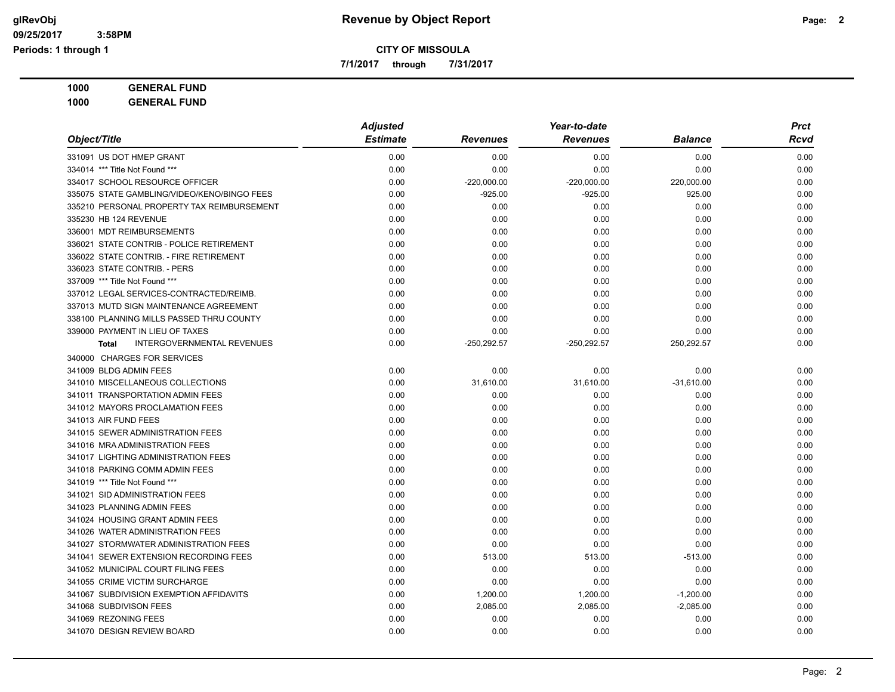**7/1/2017 through 7/31/2017**

**1000 GENERAL FUND**

|                                                   | <b>Adjusted</b> |                 | Year-to-date    |                | <b>Prct</b> |  |
|---------------------------------------------------|-----------------|-----------------|-----------------|----------------|-------------|--|
| Object/Title                                      | <b>Estimate</b> | <b>Revenues</b> | <b>Revenues</b> | <b>Balance</b> | <b>Rcvd</b> |  |
| 331091 US DOT HMEP GRANT                          | 0.00            | 0.00            | 0.00            | 0.00           | 0.00        |  |
| 334014 *** Title Not Found ***                    | 0.00            | 0.00            | 0.00            | 0.00           | 0.00        |  |
| 334017 SCHOOL RESOURCE OFFICER                    | 0.00            | $-220,000.00$   | $-220,000.00$   | 220,000.00     | 0.00        |  |
| 335075 STATE GAMBLING/VIDEO/KENO/BINGO FEES       | 0.00            | $-925.00$       | $-925.00$       | 925.00         | 0.00        |  |
| 335210 PERSONAL PROPERTY TAX REIMBURSEMENT        | 0.00            | 0.00            | 0.00            | 0.00           | 0.00        |  |
| 335230 HB 124 REVENUE                             | 0.00            | 0.00            | 0.00            | 0.00           | 0.00        |  |
| 336001 MDT REIMBURSEMENTS                         | 0.00            | 0.00            | 0.00            | 0.00           | 0.00        |  |
| 336021 STATE CONTRIB - POLICE RETIREMENT          | 0.00            | 0.00            | 0.00            | 0.00           | 0.00        |  |
| 336022 STATE CONTRIB. - FIRE RETIREMENT           | 0.00            | 0.00            | 0.00            | 0.00           | 0.00        |  |
| 336023 STATE CONTRIB. - PERS                      | 0.00            | 0.00            | 0.00            | 0.00           | 0.00        |  |
| 337009 *** Title Not Found ***                    | 0.00            | 0.00            | 0.00            | 0.00           | 0.00        |  |
| 337012 LEGAL SERVICES-CONTRACTED/REIMB.           | 0.00            | 0.00            | 0.00            | 0.00           | 0.00        |  |
| 337013 MUTD SIGN MAINTENANCE AGREEMENT            | 0.00            | 0.00            | 0.00            | 0.00           | 0.00        |  |
| 338100 PLANNING MILLS PASSED THRU COUNTY          | 0.00            | 0.00            | 0.00            | 0.00           | 0.00        |  |
| 339000 PAYMENT IN LIEU OF TAXES                   | 0.00            | 0.00            | 0.00            | 0.00           | 0.00        |  |
| <b>INTERGOVERNMENTAL REVENUES</b><br><b>Total</b> | 0.00            | $-250,292.57$   | -250,292.57     | 250,292.57     | 0.00        |  |
| 340000 CHARGES FOR SERVICES                       |                 |                 |                 |                |             |  |
| 341009 BLDG ADMIN FEES                            | 0.00            | 0.00            | 0.00            | 0.00           | 0.00        |  |
| 341010 MISCELLANEOUS COLLECTIONS                  | 0.00            | 31,610.00       | 31,610.00       | $-31,610.00$   | 0.00        |  |
| 341011 TRANSPORTATION ADMIN FEES                  | 0.00            | 0.00            | 0.00            | 0.00           | 0.00        |  |
| 341012 MAYORS PROCLAMATION FEES                   | 0.00            | 0.00            | 0.00            | 0.00           | 0.00        |  |
| 341013 AIR FUND FEES                              | 0.00            | 0.00            | 0.00            | 0.00           | 0.00        |  |
| 341015 SEWER ADMINISTRATION FEES                  | 0.00            | 0.00            | 0.00            | 0.00           | 0.00        |  |
| 341016 MRA ADMINISTRATION FEES                    | 0.00            | 0.00            | 0.00            | 0.00           | 0.00        |  |
| 341017 LIGHTING ADMINISTRATION FEES               | 0.00            | 0.00            | 0.00            | 0.00           | 0.00        |  |
| 341018 PARKING COMM ADMIN FEES                    | 0.00            | 0.00            | 0.00            | 0.00           | 0.00        |  |
| 341019 *** Title Not Found ***                    | 0.00            | 0.00            | 0.00            | 0.00           | 0.00        |  |
| 341021 SID ADMINISTRATION FEES                    | 0.00            | 0.00            | 0.00            | 0.00           | 0.00        |  |
| 341023 PLANNING ADMIN FEES                        | 0.00            | 0.00            | 0.00            | 0.00           | 0.00        |  |
| 341024 HOUSING GRANT ADMIN FEES                   | 0.00            | 0.00            | 0.00            | 0.00           | 0.00        |  |
| 341026 WATER ADMINISTRATION FEES                  | 0.00            | 0.00            | 0.00            | 0.00           | 0.00        |  |
| 341027 STORMWATER ADMINISTRATION FEES             | 0.00            | 0.00            | 0.00            | 0.00           | 0.00        |  |
| 341041 SEWER EXTENSION RECORDING FEES             | 0.00            | 513.00          | 513.00          | $-513.00$      | 0.00        |  |
| 341052 MUNICIPAL COURT FILING FEES                | 0.00            | 0.00            | 0.00            | 0.00           | 0.00        |  |
| 341055 CRIME VICTIM SURCHARGE                     | 0.00            | 0.00            | 0.00            | 0.00           | 0.00        |  |
| 341067 SUBDIVISION EXEMPTION AFFIDAVITS           | 0.00            | 1,200.00        | 1,200.00        | $-1,200.00$    | 0.00        |  |
| 341068 SUBDIVISON FEES                            | 0.00            | 2,085.00        | 2,085.00        | $-2,085.00$    | 0.00        |  |
| 341069 REZONING FEES                              | 0.00            | 0.00            | 0.00            | 0.00           | 0.00        |  |
| 341070 DESIGN REVIEW BOARD                        | 0.00            | 0.00            | 0.00            | 0.00           | 0.00        |  |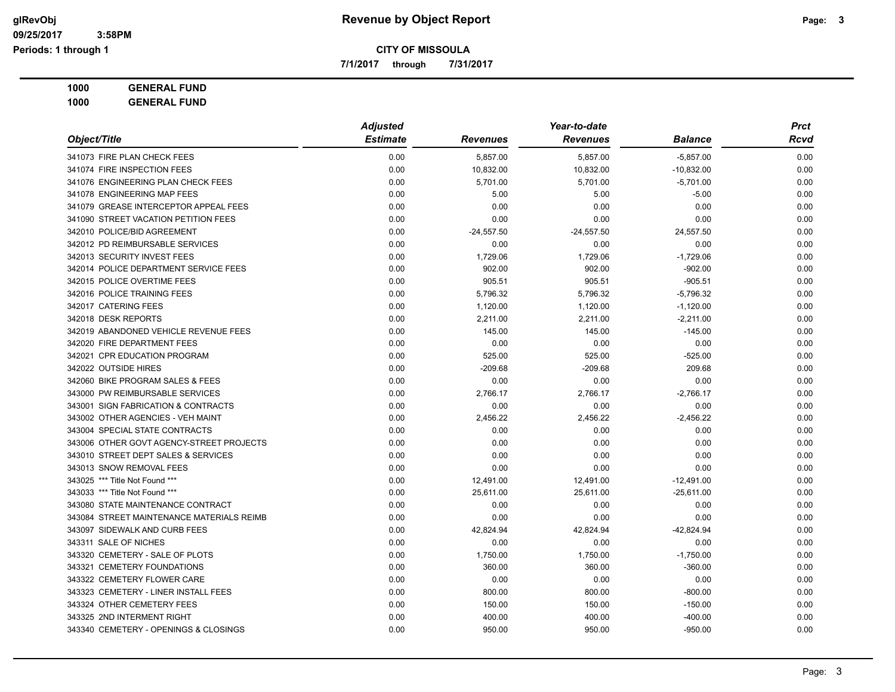**7/1/2017 through 7/31/2017**

**1000 GENERAL FUND**

|                                           | <b>Adjusted</b> |                 | Year-to-date    |              | <b>Prct</b> |
|-------------------------------------------|-----------------|-----------------|-----------------|--------------|-------------|
| Object/Title                              | <b>Estimate</b> | <b>Revenues</b> | <b>Revenues</b> | Balance      | <b>Rcvd</b> |
| 341073 FIRE PLAN CHECK FEES               | 0.00            | 5,857.00        | 5,857.00        | $-5,857.00$  | 0.00        |
| 341074 FIRE INSPECTION FEES               | 0.00            | 10,832.00       | 10,832.00       | $-10,832.00$ | 0.00        |
| 341076 ENGINEERING PLAN CHECK FEES        | 0.00            | 5,701.00        | 5,701.00        | $-5,701.00$  | 0.00        |
| 341078 ENGINEERING MAP FEES               | 0.00            | 5.00            | 5.00            | $-5.00$      | 0.00        |
| 341079 GREASE INTERCEPTOR APPEAL FEES     | 0.00            | 0.00            | 0.00            | 0.00         | 0.00        |
| 341090 STREET VACATION PETITION FEES      | 0.00            | 0.00            | 0.00            | 0.00         | 0.00        |
| 342010 POLICE/BID AGREEMENT               | 0.00            | $-24,557.50$    | $-24,557.50$    | 24,557.50    | 0.00        |
| 342012 PD REIMBURSABLE SERVICES           | 0.00            | 0.00            | 0.00            | 0.00         | 0.00        |
| 342013 SECURITY INVEST FEES               | 0.00            | 1,729.06        | 1,729.06        | $-1,729.06$  | 0.00        |
| 342014 POLICE DEPARTMENT SERVICE FEES     | 0.00            | 902.00          | 902.00          | $-902.00$    | 0.00        |
| 342015 POLICE OVERTIME FEES               | 0.00            | 905.51          | 905.51          | $-905.51$    | 0.00        |
| 342016 POLICE TRAINING FEES               | 0.00            | 5,796.32        | 5,796.32        | $-5,796.32$  | 0.00        |
| 342017 CATERING FEES                      | 0.00            | 1,120.00        | 1,120.00        | $-1,120.00$  | 0.00        |
| 342018 DESK REPORTS                       | 0.00            | 2,211.00        | 2,211.00        | $-2,211.00$  | 0.00        |
| 342019 ABANDONED VEHICLE REVENUE FEES     | 0.00            | 145.00          | 145.00          | $-145.00$    | 0.00        |
| 342020 FIRE DEPARTMENT FEES               | 0.00            | 0.00            | 0.00            | 0.00         | 0.00        |
| 342021 CPR EDUCATION PROGRAM              | 0.00            | 525.00          | 525.00          | $-525.00$    | 0.00        |
| 342022 OUTSIDE HIRES                      | 0.00            | $-209.68$       | $-209.68$       | 209.68       | 0.00        |
| 342060 BIKE PROGRAM SALES & FEES          | 0.00            | 0.00            | 0.00            | 0.00         | 0.00        |
| 343000 PW REIMBURSABLE SERVICES           | 0.00            | 2,766.17        | 2,766.17        | $-2,766.17$  | 0.00        |
| 343001 SIGN FABRICATION & CONTRACTS       | 0.00            | 0.00            | 0.00            | 0.00         | 0.00        |
| 343002 OTHER AGENCIES - VEH MAINT         | 0.00            | 2,456.22        | 2,456.22        | $-2,456.22$  | 0.00        |
| 343004 SPECIAL STATE CONTRACTS            | 0.00            | 0.00            | 0.00            | 0.00         | 0.00        |
| 343006 OTHER GOVT AGENCY-STREET PROJECTS  | 0.00            | 0.00            | 0.00            | 0.00         | 0.00        |
| 343010 STREET DEPT SALES & SERVICES       | 0.00            | 0.00            | 0.00            | 0.00         | 0.00        |
| 343013 SNOW REMOVAL FEES                  | 0.00            | 0.00            | 0.00            | 0.00         | 0.00        |
| 343025 *** Title Not Found ***            | 0.00            | 12,491.00       | 12,491.00       | $-12,491.00$ | 0.00        |
| 343033 *** Title Not Found ***            | 0.00            | 25,611.00       | 25,611.00       | $-25,611.00$ | 0.00        |
| 343080 STATE MAINTENANCE CONTRACT         | 0.00            | 0.00            | 0.00            | 0.00         | 0.00        |
| 343084 STREET MAINTENANCE MATERIALS REIMB | 0.00            | 0.00            | 0.00            | 0.00         | 0.00        |
| 343097 SIDEWALK AND CURB FEES             | 0.00            | 42,824.94       | 42,824.94       | $-42,824.94$ | 0.00        |
| 343311 SALE OF NICHES                     | 0.00            | 0.00            | 0.00            | 0.00         | 0.00        |
| 343320 CEMETERY - SALE OF PLOTS           | 0.00            | 1,750.00        | 1,750.00        | $-1,750.00$  | 0.00        |
| 343321 CEMETERY FOUNDATIONS               | 0.00            | 360.00          | 360.00          | $-360.00$    | 0.00        |
| 343322 CEMETERY FLOWER CARE               | 0.00            | 0.00            | 0.00            | 0.00         | 0.00        |
| 343323 CEMETERY - LINER INSTALL FEES      | 0.00            | 800.00          | 800.00          | $-800.00$    | 0.00        |
| 343324 OTHER CEMETERY FEES                | 0.00            | 150.00          | 150.00          | $-150.00$    | 0.00        |
| 343325 2ND INTERMENT RIGHT                | 0.00            | 400.00          | 400.00          | $-400.00$    | 0.00        |
| 343340 CEMETERY - OPENINGS & CLOSINGS     | 0.00            | 950.00          | 950.00          | $-950.00$    | 0.00        |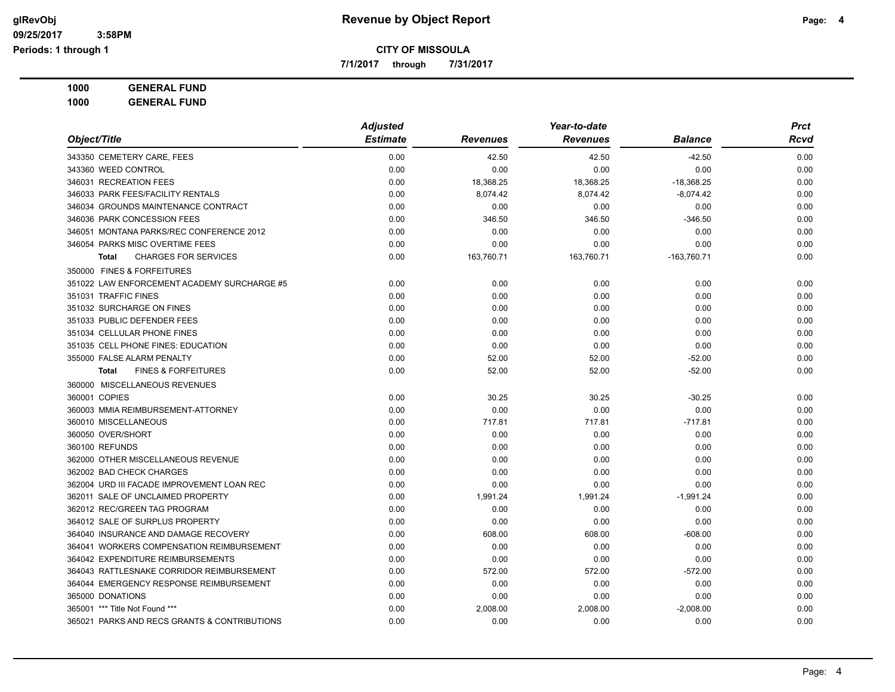**7/1/2017 through 7/31/2017**

**1000 GENERAL FUND**

|                                              | <b>Adjusted</b> |                 | Year-to-date    |                | <b>Prct</b> |
|----------------------------------------------|-----------------|-----------------|-----------------|----------------|-------------|
| Object/Title                                 | <b>Estimate</b> | <b>Revenues</b> | <b>Revenues</b> | <b>Balance</b> | <b>Rcvd</b> |
| 343350 CEMETERY CARE, FEES                   | 0.00            | 42.50           | 42.50           | $-42.50$       | 0.00        |
| 343360 WEED CONTROL                          | 0.00            | 0.00            | 0.00            | 0.00           | 0.00        |
| 346031 RECREATION FEES                       | 0.00            | 18,368.25       | 18,368.25       | $-18,368.25$   | 0.00        |
| 346033 PARK FEES/FACILITY RENTALS            | 0.00            | 8,074.42        | 8,074.42        | $-8,074.42$    | 0.00        |
| 346034 GROUNDS MAINTENANCE CONTRACT          | 0.00            | 0.00            | 0.00            | 0.00           | 0.00        |
| 346036 PARK CONCESSION FEES                  | 0.00            | 346.50          | 346.50          | $-346.50$      | 0.00        |
| 346051 MONTANA PARKS/REC CONFERENCE 2012     | 0.00            | 0.00            | 0.00            | 0.00           | 0.00        |
| 346054 PARKS MISC OVERTIME FEES              | 0.00            | 0.00            | 0.00            | 0.00           | 0.00        |
| <b>CHARGES FOR SERVICES</b><br><b>Total</b>  | 0.00            | 163,760.71      | 163,760.71      | $-163,760.71$  | 0.00        |
| 350000 FINES & FORFEITURES                   |                 |                 |                 |                |             |
| 351022 LAW ENFORCEMENT ACADEMY SURCHARGE #5  | 0.00            | 0.00            | 0.00            | 0.00           | 0.00        |
| 351031 TRAFFIC FINES                         | 0.00            | 0.00            | 0.00            | 0.00           | 0.00        |
| 351032 SURCHARGE ON FINES                    | 0.00            | 0.00            | 0.00            | 0.00           | 0.00        |
| 351033 PUBLIC DEFENDER FEES                  | 0.00            | 0.00            | 0.00            | 0.00           | 0.00        |
| 351034 CELLULAR PHONE FINES                  | 0.00            | 0.00            | 0.00            | 0.00           | 0.00        |
| 351035 CELL PHONE FINES: EDUCATION           | 0.00            | 0.00            | 0.00            | 0.00           | 0.00        |
| 355000 FALSE ALARM PENALTY                   | 0.00            | 52.00           | 52.00           | $-52.00$       | 0.00        |
| <b>FINES &amp; FORFEITURES</b><br>Total      | 0.00            | 52.00           | 52.00           | $-52.00$       | 0.00        |
| 360000 MISCELLANEOUS REVENUES                |                 |                 |                 |                |             |
| 360001 COPIES                                | 0.00            | 30.25           | 30.25           | $-30.25$       | 0.00        |
| 360003 MMIA REIMBURSEMENT-ATTORNEY           | 0.00            | 0.00            | 0.00            | 0.00           | 0.00        |
| 360010 MISCELLANEOUS                         | 0.00            | 717.81          | 717.81          | $-717.81$      | 0.00        |
| 360050 OVER/SHORT                            | 0.00            | 0.00            | 0.00            | 0.00           | 0.00        |
| 360100 REFUNDS                               | 0.00            | 0.00            | 0.00            | 0.00           | 0.00        |
| 362000 OTHER MISCELLANEOUS REVENUE           | 0.00            | 0.00            | 0.00            | 0.00           | 0.00        |
| 362002 BAD CHECK CHARGES                     | 0.00            | 0.00            | 0.00            | 0.00           | 0.00        |
| 362004 URD III FACADE IMPROVEMENT LOAN REC   | 0.00            | 0.00            | 0.00            | 0.00           | 0.00        |
| 362011 SALE OF UNCLAIMED PROPERTY            | 0.00            | 1,991.24        | 1,991.24        | $-1,991.24$    | 0.00        |
| 362012 REC/GREEN TAG PROGRAM                 | 0.00            | 0.00            | 0.00            | 0.00           | 0.00        |
| 364012 SALE OF SURPLUS PROPERTY              | 0.00            | 0.00            | 0.00            | 0.00           | 0.00        |
| 364040 INSURANCE AND DAMAGE RECOVERY         | 0.00            | 608.00          | 608.00          | $-608.00$      | 0.00        |
| 364041 WORKERS COMPENSATION REIMBURSEMENT    | 0.00            | 0.00            | 0.00            | 0.00           | 0.00        |
| 364042 EXPENDITURE REIMBURSEMENTS            | 0.00            | 0.00            | 0.00            | 0.00           | 0.00        |
| 364043 RATTLESNAKE CORRIDOR REIMBURSEMENT    | 0.00            | 572.00          | 572.00          | $-572.00$      | 0.00        |
| 364044 EMERGENCY RESPONSE REIMBURSEMENT      | 0.00            | 0.00            | 0.00            | 0.00           | 0.00        |
| 365000 DONATIONS                             | 0.00            | 0.00            | 0.00            | 0.00           | 0.00        |
| 365001 *** Title Not Found ***               | 0.00            | 2,008.00        | 2,008.00        | $-2,008.00$    | 0.00        |
| 365021 PARKS AND RECS GRANTS & CONTRIBUTIONS | 0.00            | 0.00            | 0.00            | 0.00           | 0.00        |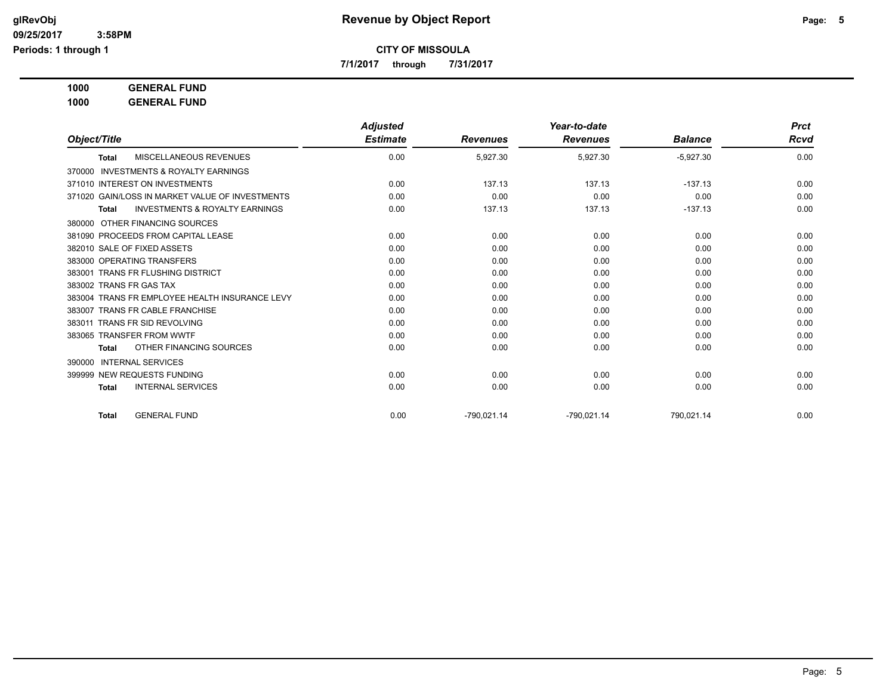**7/1/2017 through 7/31/2017**

# **1000 GENERAL FUND**

|                                                           | <b>Adjusted</b> |                 | Year-to-date    |                | <b>Prct</b> |
|-----------------------------------------------------------|-----------------|-----------------|-----------------|----------------|-------------|
| Object/Title                                              | <b>Estimate</b> | <b>Revenues</b> | <b>Revenues</b> | <b>Balance</b> | <b>Rcvd</b> |
| MISCELLANEOUS REVENUES<br><b>Total</b>                    | 0.00            | 5,927.30        | 5,927.30        | $-5,927.30$    | 0.00        |
| <b>INVESTMENTS &amp; ROYALTY EARNINGS</b><br>370000       |                 |                 |                 |                |             |
| 371010 INTEREST ON INVESTMENTS                            | 0.00            | 137.13          | 137.13          | $-137.13$      | 0.00        |
| 371020 GAIN/LOSS IN MARKET VALUE OF INVESTMENTS           | 0.00            | 0.00            | 0.00            | 0.00           | 0.00        |
| <b>INVESTMENTS &amp; ROYALTY EARNINGS</b><br><b>Total</b> | 0.00            | 137.13          | 137.13          | $-137.13$      | 0.00        |
| 380000 OTHER FINANCING SOURCES                            |                 |                 |                 |                |             |
| 381090 PROCEEDS FROM CAPITAL LEASE                        | 0.00            | 0.00            | 0.00            | 0.00           | 0.00        |
| 382010 SALE OF FIXED ASSETS                               | 0.00            | 0.00            | 0.00            | 0.00           | 0.00        |
| 383000 OPERATING TRANSFERS                                | 0.00            | 0.00            | 0.00            | 0.00           | 0.00        |
| 383001 TRANS FR FLUSHING DISTRICT                         | 0.00            | 0.00            | 0.00            | 0.00           | 0.00        |
| 383002 TRANS FR GAS TAX                                   | 0.00            | 0.00            | 0.00            | 0.00           | 0.00        |
| 383004 TRANS FR EMPLOYEE HEALTH INSURANCE LEVY            | 0.00            | 0.00            | 0.00            | 0.00           | 0.00        |
| 383007 TRANS FR CABLE FRANCHISE                           | 0.00            | 0.00            | 0.00            | 0.00           | 0.00        |
| 383011 TRANS FR SID REVOLVING                             | 0.00            | 0.00            | 0.00            | 0.00           | 0.00        |
| 383065 TRANSFER FROM WWTF                                 | 0.00            | 0.00            | 0.00            | 0.00           | 0.00        |
| OTHER FINANCING SOURCES<br><b>Total</b>                   | 0.00            | 0.00            | 0.00            | 0.00           | 0.00        |
| <b>INTERNAL SERVICES</b><br>390000                        |                 |                 |                 |                |             |
| 399999 NEW REQUESTS FUNDING                               | 0.00            | 0.00            | 0.00            | 0.00           | 0.00        |
| <b>INTERNAL SERVICES</b><br>Total                         | 0.00            | 0.00            | 0.00            | 0.00           | 0.00        |
| <b>GENERAL FUND</b><br><b>Total</b>                       | 0.00            | $-790,021.14$   | $-790,021.14$   | 790,021.14     | 0.00        |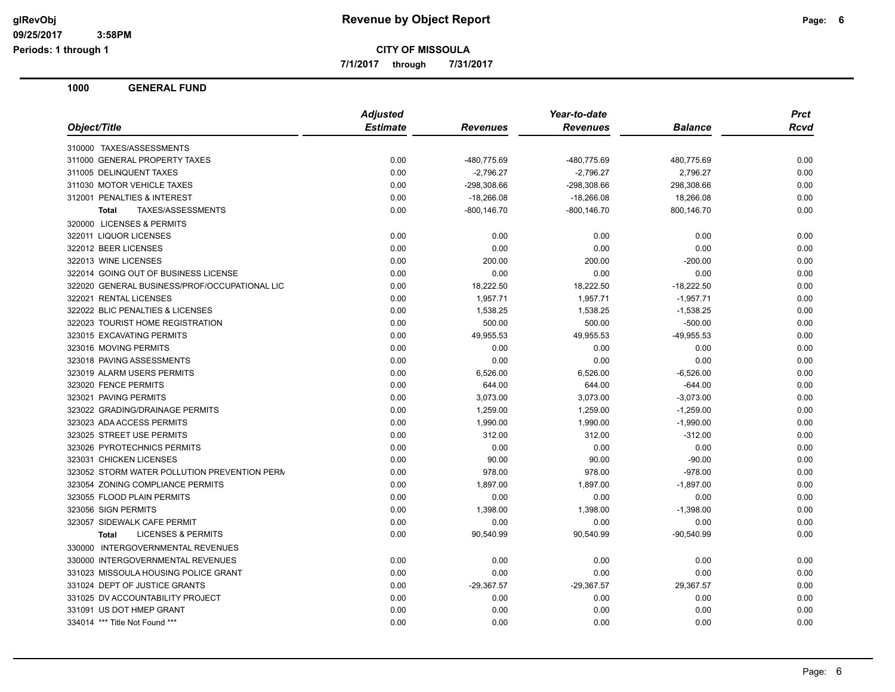**09/25/2017**

 **3:58PM Periods: 1 through 1**

**CITY OF MISSOULA**

**7/1/2017 through 7/31/2017**

| Object/Title                                  | <b>Adjusted</b> |                 | Year-to-date    |                |      |
|-----------------------------------------------|-----------------|-----------------|-----------------|----------------|------|
|                                               | <b>Estimate</b> | <b>Revenues</b> | <b>Revenues</b> | <b>Balance</b> | Rcvd |
| 310000 TAXES/ASSESSMENTS                      |                 |                 |                 |                |      |
| 311000 GENERAL PROPERTY TAXES                 | 0.00            | -480,775.69     | -480,775.69     | 480,775.69     | 0.00 |
| 311005 DELINQUENT TAXES                       | 0.00            | $-2,796.27$     | $-2,796.27$     | 2,796.27       | 0.00 |
| 311030 MOTOR VEHICLE TAXES                    | 0.00            | -298,308.66     | -298,308.66     | 298,308.66     | 0.00 |
| 312001 PENALTIES & INTEREST                   | 0.00            | $-18,266.08$    | $-18,266.08$    | 18,266.08      | 0.00 |
| TAXES/ASSESSMENTS<br><b>Total</b>             | 0.00            | $-800, 146.70$  | $-800, 146.70$  | 800,146.70     | 0.00 |
| 320000 LICENSES & PERMITS                     |                 |                 |                 |                |      |
| 322011 LIQUOR LICENSES                        | 0.00            | 0.00            | 0.00            | 0.00           | 0.00 |
| 322012 BEER LICENSES                          | 0.00            | 0.00            | 0.00            | 0.00           | 0.00 |
| 322013 WINE LICENSES                          | 0.00            | 200.00          | 200.00          | $-200.00$      | 0.00 |
| 322014 GOING OUT OF BUSINESS LICENSE          | 0.00            | 0.00            | 0.00            | 0.00           | 0.00 |
| 322020 GENERAL BUSINESS/PROF/OCCUPATIONAL LIC | 0.00            | 18,222.50       | 18,222.50       | $-18,222.50$   | 0.00 |
| 322021 RENTAL LICENSES                        | 0.00            | 1,957.71        | 1,957.71        | $-1,957.71$    | 0.00 |
| 322022 BLIC PENALTIES & LICENSES              | 0.00            | 1,538.25        | 1,538.25        | $-1,538.25$    | 0.00 |
| 322023 TOURIST HOME REGISTRATION              | 0.00            | 500.00          | 500.00          | $-500.00$      | 0.00 |
| 323015 EXCAVATING PERMITS                     | 0.00            | 49,955.53       | 49,955.53       | -49,955.53     | 0.00 |
| 323016 MOVING PERMITS                         | 0.00            | 0.00            | 0.00            | 0.00           | 0.00 |
| 323018 PAVING ASSESSMENTS                     | 0.00            | 0.00            | 0.00            | 0.00           | 0.00 |
| 323019 ALARM USERS PERMITS                    | 0.00            | 6,526.00        | 6,526.00        | $-6,526.00$    | 0.00 |
| 323020 FENCE PERMITS                          | 0.00            | 644.00          | 644.00          | $-644.00$      | 0.00 |
| 323021 PAVING PERMITS                         | 0.00            | 3,073.00        | 3,073.00        | $-3,073.00$    | 0.00 |
| 323022 GRADING/DRAINAGE PERMITS               | 0.00            | 1,259.00        | 1,259.00        | $-1,259.00$    | 0.00 |
| 323023 ADA ACCESS PERMITS                     | 0.00            | 1,990.00        | 1,990.00        | $-1,990.00$    | 0.00 |
| 323025 STREET USE PERMITS                     | 0.00            | 312.00          | 312.00          | $-312.00$      | 0.00 |
| 323026 PYROTECHNICS PERMITS                   | 0.00            | 0.00            | 0.00            | 0.00           | 0.00 |
| 323031 CHICKEN LICENSES                       | 0.00            | 90.00           | 90.00           | $-90.00$       | 0.00 |
| 323052 STORM WATER POLLUTION PREVENTION PERM  | 0.00            | 978.00          | 978.00          | $-978.00$      | 0.00 |
| 323054 ZONING COMPLIANCE PERMITS              | 0.00            | 1,897.00        | 1,897.00        | $-1,897.00$    | 0.00 |
| 323055 FLOOD PLAIN PERMITS                    | 0.00            | 0.00            | 0.00            | 0.00           | 0.00 |
| 323056 SIGN PERMITS                           | 0.00            | 1,398.00        | 1,398.00        | $-1,398.00$    | 0.00 |
| 323057 SIDEWALK CAFE PERMIT                   | 0.00            | 0.00            | 0.00            | 0.00           | 0.00 |
| <b>LICENSES &amp; PERMITS</b><br><b>Total</b> | 0.00            | 90,540.99       | 90,540.99       | $-90,540.99$   | 0.00 |
| 330000 INTERGOVERNMENTAL REVENUES             |                 |                 |                 |                |      |
| 330000 INTERGOVERNMENTAL REVENUES             | 0.00            | 0.00            | 0.00            | 0.00           | 0.00 |
| 331023 MISSOULA HOUSING POLICE GRANT          | 0.00            | 0.00            | 0.00            | 0.00           | 0.00 |
| 331024 DEPT OF JUSTICE GRANTS                 | 0.00            | $-29,367.57$    | $-29,367.57$    | 29,367.57      | 0.00 |
| 331025 DV ACCOUNTABILITY PROJECT              | 0.00            | 0.00            | 0.00            | 0.00           | 0.00 |
| 331091 US DOT HMEP GRANT                      | 0.00            | 0.00            | 0.00            | 0.00           | 0.00 |
| 334014 *** Title Not Found ***                | 0.00            | 0.00            | 0.00            | 0.00           | 0.00 |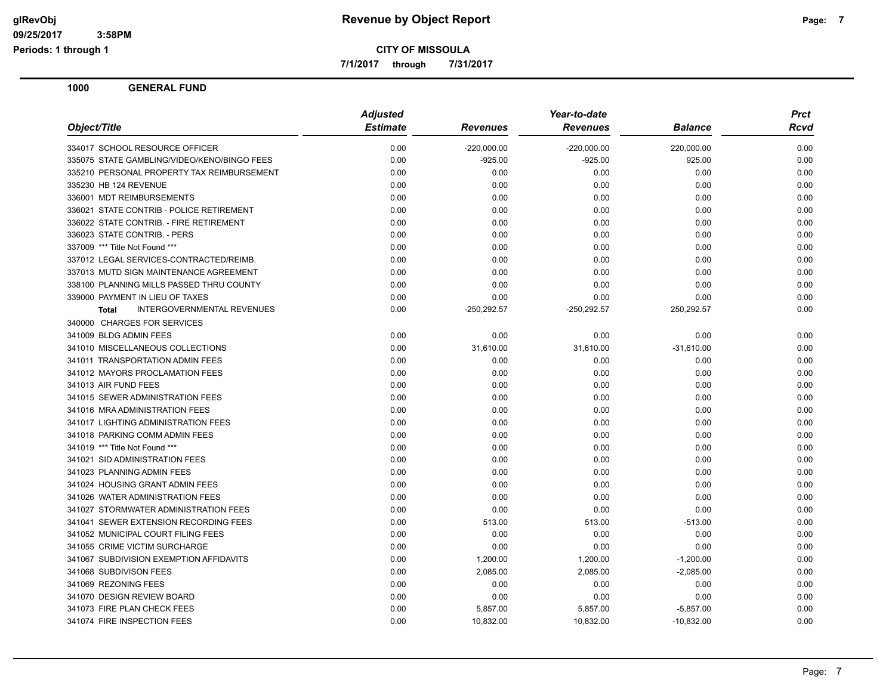**7/1/2017 through 7/31/2017**

| Object/Title                                | <b>Adjusted</b> |                 | <b>Prct</b>     |              |             |
|---------------------------------------------|-----------------|-----------------|-----------------|--------------|-------------|
|                                             | <b>Estimate</b> | <b>Revenues</b> | <b>Revenues</b> | Balance      | <b>Rcvd</b> |
| 334017 SCHOOL RESOURCE OFFICER              | 0.00            | $-220,000.00$   | $-220,000.00$   | 220,000.00   | 0.00        |
| 335075 STATE GAMBLING/VIDEO/KENO/BINGO FEES | 0.00            | $-925.00$       | $-925.00$       | 925.00       | 0.00        |
| 335210 PERSONAL PROPERTY TAX REIMBURSEMENT  | 0.00            | 0.00            | 0.00            | 0.00         | 0.00        |
| 335230 HB 124 REVENUE                       | 0.00            | 0.00            | 0.00            | 0.00         | 0.00        |
| 336001 MDT REIMBURSEMENTS                   | 0.00            | 0.00            | 0.00            | 0.00         | 0.00        |
| 336021 STATE CONTRIB - POLICE RETIREMENT    | 0.00            | 0.00            | 0.00            | 0.00         | 0.00        |
| 336022 STATE CONTRIB. - FIRE RETIREMENT     | 0.00            | 0.00            | 0.00            | 0.00         | 0.00        |
| 336023 STATE CONTRIB. - PERS                | 0.00            | 0.00            | 0.00            | 0.00         | 0.00        |
| 337009 *** Title Not Found ***              | 0.00            | 0.00            | 0.00            | 0.00         | 0.00        |
| 337012 LEGAL SERVICES-CONTRACTED/REIMB.     | 0.00            | 0.00            | 0.00            | 0.00         | 0.00        |
| 337013 MUTD SIGN MAINTENANCE AGREEMENT      | 0.00            | 0.00            | 0.00            | 0.00         | 0.00        |
| 338100 PLANNING MILLS PASSED THRU COUNTY    | 0.00            | 0.00            | 0.00            | 0.00         | 0.00        |
| 339000 PAYMENT IN LIEU OF TAXES             | 0.00            | 0.00            | 0.00            | 0.00         | 0.00        |
| <b>INTERGOVERNMENTAL REVENUES</b><br>Total  | 0.00            | -250,292.57     | -250,292.57     | 250,292.57   | 0.00        |
| 340000 CHARGES FOR SERVICES                 |                 |                 |                 |              |             |
| 341009 BLDG ADMIN FEES                      | 0.00            | 0.00            | 0.00            | 0.00         | 0.00        |
| 341010 MISCELLANEOUS COLLECTIONS            | 0.00            | 31,610.00       | 31,610.00       | $-31,610.00$ | 0.00        |
| 341011 TRANSPORTATION ADMIN FEES            | 0.00            | 0.00            | 0.00            | 0.00         | 0.00        |
| 341012 MAYORS PROCLAMATION FEES             | 0.00            | 0.00            | 0.00            | 0.00         | 0.00        |
| 341013 AIR FUND FEES                        | 0.00            | 0.00            | 0.00            | 0.00         | 0.00        |
| 341015 SEWER ADMINISTRATION FEES            | 0.00            | 0.00            | 0.00            | 0.00         | 0.00        |
| 341016 MRA ADMINISTRATION FEES              | 0.00            | 0.00            | 0.00            | 0.00         | 0.00        |
| 341017 LIGHTING ADMINISTRATION FEES         | 0.00            | 0.00            | 0.00            | 0.00         | 0.00        |
| 341018 PARKING COMM ADMIN FEES              | 0.00            | 0.00            | 0.00            | 0.00         | 0.00        |
| 341019 *** Title Not Found ***              | 0.00            | 0.00            | 0.00            | 0.00         | 0.00        |
| 341021 SID ADMINISTRATION FEES              | 0.00            | 0.00            | 0.00            | 0.00         | 0.00        |
| 341023 PLANNING ADMIN FEES                  | 0.00            | 0.00            | 0.00            | 0.00         | 0.00        |
| 341024 HOUSING GRANT ADMIN FEES             | 0.00            | 0.00            | 0.00            | 0.00         | 0.00        |
| 341026 WATER ADMINISTRATION FEES            | 0.00            | 0.00            | 0.00            | 0.00         | 0.00        |
| 341027 STORMWATER ADMINISTRATION FEES       | 0.00            | 0.00            | 0.00            | 0.00         | 0.00        |
| 341041 SEWER EXTENSION RECORDING FEES       | 0.00            | 513.00          | 513.00          | $-513.00$    | 0.00        |
| 341052 MUNICIPAL COURT FILING FEES          | 0.00            | 0.00            | 0.00            | 0.00         | 0.00        |
| 341055 CRIME VICTIM SURCHARGE               | 0.00            | 0.00            | 0.00            | 0.00         | 0.00        |
| 341067 SUBDIVISION EXEMPTION AFFIDAVITS     | 0.00            | 1,200.00        | 1,200.00        | $-1,200.00$  | 0.00        |
| 341068 SUBDIVISON FEES                      | 0.00            | 2,085.00        | 2,085.00        | $-2,085.00$  | 0.00        |
| 341069 REZONING FEES                        | 0.00            | 0.00            | 0.00            | 0.00         | 0.00        |
| 341070 DESIGN REVIEW BOARD                  | 0.00            | 0.00            | 0.00            | 0.00         | 0.00        |
| 341073 FIRE PLAN CHECK FEES                 | 0.00            | 5,857.00        | 5,857.00        | $-5,857.00$  | 0.00        |
| 341074 FIRE INSPECTION FEES                 | 0.00            | 10,832.00       | 10,832.00       | $-10,832.00$ | 0.00        |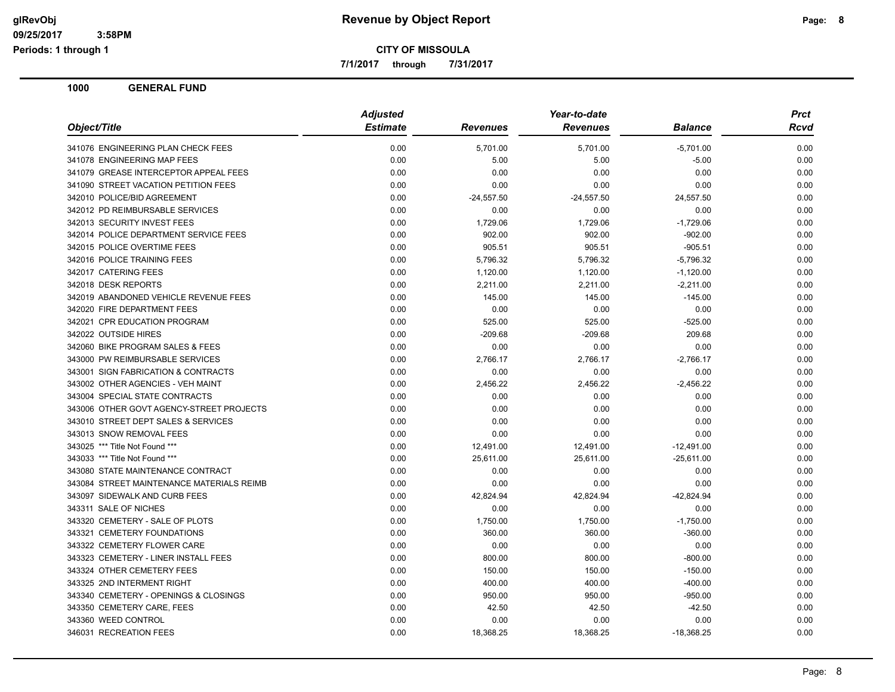**glRevObj Revenue by Object Report Page: 8** 

**CITY OF MISSOULA**

**7/1/2017 through 7/31/2017**

 **3:58PM**

|                                           | <b>Adjusted</b> |              | Year-to-date    |                | <b>Prct</b> |
|-------------------------------------------|-----------------|--------------|-----------------|----------------|-------------|
| Object/Title                              | <b>Estimate</b> | Revenues     | <b>Revenues</b> | <b>Balance</b> | Rcvd        |
| 341076 ENGINEERING PLAN CHECK FEES        | 0.00            | 5,701.00     | 5,701.00        | $-5,701.00$    | 0.00        |
| 341078 ENGINEERING MAP FEES               | 0.00            | 5.00         | 5.00            | $-5.00$        | 0.00        |
| 341079 GREASE INTERCEPTOR APPEAL FEES     | 0.00            | 0.00         | 0.00            | 0.00           | 0.00        |
| 341090 STREET VACATION PETITION FEES      | 0.00            | 0.00         | 0.00            | 0.00           | 0.00        |
| 342010 POLICE/BID AGREEMENT               | 0.00            | $-24,557.50$ | $-24,557.50$    | 24,557.50      | 0.00        |
| 342012 PD REIMBURSABLE SERVICES           | 0.00            | 0.00         | 0.00            | 0.00           | 0.00        |
| 342013 SECURITY INVEST FEES               | 0.00            | 1,729.06     | 1,729.06        | $-1,729.06$    | 0.00        |
| 342014 POLICE DEPARTMENT SERVICE FEES     | 0.00            | 902.00       | 902.00          | $-902.00$      | 0.00        |
| 342015 POLICE OVERTIME FEES               | 0.00            | 905.51       | 905.51          | $-905.51$      | 0.00        |
| 342016 POLICE TRAINING FEES               | 0.00            | 5,796.32     | 5,796.32        | $-5,796.32$    | 0.00        |
| 342017 CATERING FEES                      | 0.00            | 1,120.00     | 1,120.00        | $-1,120.00$    | 0.00        |
| 342018 DESK REPORTS                       | 0.00            | 2,211.00     | 2,211.00        | $-2,211.00$    | 0.00        |
| 342019 ABANDONED VEHICLE REVENUE FEES     | 0.00            | 145.00       | 145.00          | $-145.00$      | 0.00        |
| 342020 FIRE DEPARTMENT FEES               | 0.00            | 0.00         | 0.00            | 0.00           | 0.00        |
| 342021 CPR EDUCATION PROGRAM              | 0.00            | 525.00       | 525.00          | $-525.00$      | 0.00        |
| 342022 OUTSIDE HIRES                      | 0.00            | $-209.68$    | $-209.68$       | 209.68         | 0.00        |
| 342060 BIKE PROGRAM SALES & FEES          | 0.00            | 0.00         | 0.00            | 0.00           | 0.00        |
| 343000 PW REIMBURSABLE SERVICES           | 0.00            | 2,766.17     | 2,766.17        | $-2,766.17$    | 0.00        |
| 343001 SIGN FABRICATION & CONTRACTS       | 0.00            | 0.00         | 0.00            | 0.00           | 0.00        |
| 343002 OTHER AGENCIES - VEH MAINT         | 0.00            | 2,456.22     | 2,456.22        | $-2,456.22$    | 0.00        |
| 343004 SPECIAL STATE CONTRACTS            | 0.00            | 0.00         | 0.00            | 0.00           | 0.00        |
| 343006 OTHER GOVT AGENCY-STREET PROJECTS  | 0.00            | 0.00         | 0.00            | 0.00           | 0.00        |
| 343010 STREET DEPT SALES & SERVICES       | 0.00            | 0.00         | 0.00            | 0.00           | 0.00        |
| 343013 SNOW REMOVAL FEES                  | 0.00            | 0.00         | 0.00            | 0.00           | 0.00        |
| 343025 *** Title Not Found ***            | 0.00            | 12,491.00    | 12,491.00       | $-12,491.00$   | 0.00        |
| 343033 *** Title Not Found ***            | 0.00            | 25,611.00    | 25,611.00       | $-25,611.00$   | 0.00        |
| 343080 STATE MAINTENANCE CONTRACT         | 0.00            | 0.00         | 0.00            | 0.00           | 0.00        |
| 343084 STREET MAINTENANCE MATERIALS REIMB | 0.00            | 0.00         | 0.00            | 0.00           | 0.00        |
| 343097 SIDEWALK AND CURB FEES             | 0.00            | 42,824.94    | 42,824.94       | -42,824.94     | 0.00        |
| 343311 SALE OF NICHES                     | 0.00            | 0.00         | 0.00            | 0.00           | 0.00        |
| 343320 CEMETERY - SALE OF PLOTS           | 0.00            | 1,750.00     | 1,750.00        | $-1,750.00$    | 0.00        |
| 343321 CEMETERY FOUNDATIONS               | 0.00            | 360.00       | 360.00          | $-360.00$      | 0.00        |
| 343322 CEMETERY FLOWER CARE               | 0.00            | 0.00         | 0.00            | 0.00           | 0.00        |
| 343323 CEMETERY - LINER INSTALL FEES      | 0.00            | 800.00       | 800.00          | $-800.00$      | 0.00        |
| 343324 OTHER CEMETERY FEES                | 0.00            | 150.00       | 150.00          | $-150.00$      | 0.00        |
| 343325 2ND INTERMENT RIGHT                | 0.00            | 400.00       | 400.00          | $-400.00$      | 0.00        |
| 343340 CEMETERY - OPENINGS & CLOSINGS     | 0.00            | 950.00       | 950.00          | $-950.00$      | 0.00        |
| 343350 CEMETERY CARE, FEES                | 0.00            | 42.50        | 42.50           | $-42.50$       | 0.00        |
| 343360 WEED CONTROL                       | 0.00            | 0.00         | 0.00            | 0.00           | 0.00        |
| 346031 RECREATION FEES                    | 0.00            | 18,368.25    | 18,368.25       | $-18,368.25$   | 0.00        |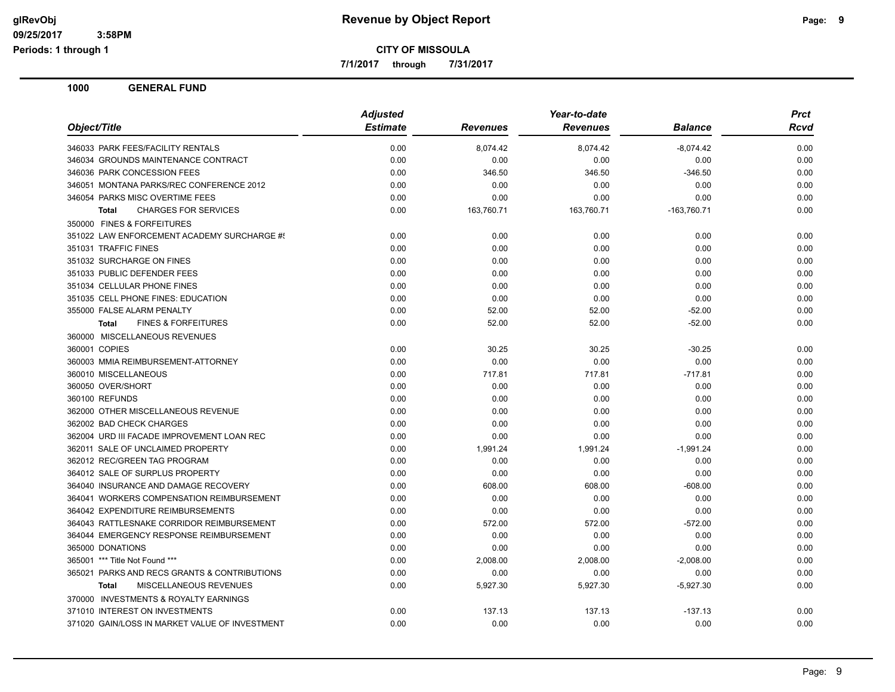**09/25/2017**

 **3:58PM Periods: 1 through 1**

**CITY OF MISSOULA**

**7/1/2017 through 7/31/2017**

| 0.00<br>8,074.42<br>$-8,074.42$<br>8,074.42<br>0.00<br>0.00<br>0.00<br>0.00<br>0.00<br>346.50<br>346.50<br>$-346.50$<br>0.00<br>0.00<br>0.00<br>0.00<br>0.00<br>0.00<br>0.00<br>0.00<br><b>CHARGES FOR SERVICES</b><br>0.00<br>163,760.71<br>163,760.71<br>$-163,760.71$<br><b>Total</b><br>0.00<br>0.00<br>0.00<br>0.00<br>0.00<br>0.00<br>0.00<br>0.00<br>0.00<br>0.00<br>0.00<br>0.00<br>0.00<br>0.00<br>0.00<br>0.00<br>0.00<br>0.00<br>0.00<br>0.00<br>0.00<br>0.00<br>0.00<br>0.00<br>0.00<br>52.00<br>52.00<br>$-52.00$<br><b>FINES &amp; FORFEITURES</b><br>0.00<br>52.00<br>52.00<br>$-52.00$<br><b>Total</b><br>360000 MISCELLANEOUS REVENUES<br>0.00<br>30.25<br>30.25<br>$-30.25$<br>0.00<br>0.00<br>0.00<br>0.00<br>0.00<br>717.81<br>717.81<br>$-717.81$<br>0.00<br>0.00<br>0.00<br>0.00<br>0.00<br>0.00<br>0.00<br>0.00<br>0.00<br>0.00<br>0.00<br>0.00<br>0.00<br>0.00<br>0.00<br>0.00<br>0.00<br>0.00<br>0.00<br>0.00<br>0.00<br>1,991.24<br>1,991.24<br>$-1,991.24$<br>0.00<br>0.00<br>0.00<br>0.00<br>0.00<br>0.00<br>0.00<br>0.00<br>0.00<br>608.00<br>608.00<br>$-608.00$<br>0.00<br>0.00<br>0.00<br>0.00<br>0.00<br>0.00<br>0.00<br>0.00<br>572.00<br>572.00<br>$-572.00$<br>0.00<br>0.00<br>0.00<br>0.00<br>0.00<br>0.00<br>0.00<br>0.00<br>0.00<br>0.00<br>2,008.00<br>2,008.00<br>$-2,008.00$<br>0.00<br>0.00<br>0.00<br>0.00<br>MISCELLANEOUS REVENUES<br>0.00<br>5,927.30<br>5,927.30<br>$-5,927.30$<br><b>Total</b><br>137.13<br>137.13<br>$-137.13$<br>0.00 | Object/Title                                   | <b>Adjusted</b><br><b>Estimate</b> | <b>Revenues</b> | Year-to-date<br><b>Revenues</b> | <b>Balance</b> | <b>Prct</b><br>Rcvd |
|------------------------------------------------------------------------------------------------------------------------------------------------------------------------------------------------------------------------------------------------------------------------------------------------------------------------------------------------------------------------------------------------------------------------------------------------------------------------------------------------------------------------------------------------------------------------------------------------------------------------------------------------------------------------------------------------------------------------------------------------------------------------------------------------------------------------------------------------------------------------------------------------------------------------------------------------------------------------------------------------------------------------------------------------------------------------------------------------------------------------------------------------------------------------------------------------------------------------------------------------------------------------------------------------------------------------------------------------------------------------------------------------------------------------------------------------------------------------------------------|------------------------------------------------|------------------------------------|-----------------|---------------------------------|----------------|---------------------|
|                                                                                                                                                                                                                                                                                                                                                                                                                                                                                                                                                                                                                                                                                                                                                                                                                                                                                                                                                                                                                                                                                                                                                                                                                                                                                                                                                                                                                                                                                          | 346033 PARK FEES/FACILITY RENTALS              |                                    |                 |                                 |                | 0.00                |
|                                                                                                                                                                                                                                                                                                                                                                                                                                                                                                                                                                                                                                                                                                                                                                                                                                                                                                                                                                                                                                                                                                                                                                                                                                                                                                                                                                                                                                                                                          | 346034 GROUNDS MAINTENANCE CONTRACT            |                                    |                 |                                 |                | 0.00                |
|                                                                                                                                                                                                                                                                                                                                                                                                                                                                                                                                                                                                                                                                                                                                                                                                                                                                                                                                                                                                                                                                                                                                                                                                                                                                                                                                                                                                                                                                                          | 346036 PARK CONCESSION FEES                    |                                    |                 |                                 |                | 0.00                |
|                                                                                                                                                                                                                                                                                                                                                                                                                                                                                                                                                                                                                                                                                                                                                                                                                                                                                                                                                                                                                                                                                                                                                                                                                                                                                                                                                                                                                                                                                          | 346051 MONTANA PARKS/REC CONFERENCE 2012       |                                    |                 |                                 |                | 0.00                |
|                                                                                                                                                                                                                                                                                                                                                                                                                                                                                                                                                                                                                                                                                                                                                                                                                                                                                                                                                                                                                                                                                                                                                                                                                                                                                                                                                                                                                                                                                          | 346054 PARKS MISC OVERTIME FEES                |                                    |                 |                                 |                | 0.00                |
|                                                                                                                                                                                                                                                                                                                                                                                                                                                                                                                                                                                                                                                                                                                                                                                                                                                                                                                                                                                                                                                                                                                                                                                                                                                                                                                                                                                                                                                                                          |                                                |                                    |                 |                                 |                | 0.00                |
|                                                                                                                                                                                                                                                                                                                                                                                                                                                                                                                                                                                                                                                                                                                                                                                                                                                                                                                                                                                                                                                                                                                                                                                                                                                                                                                                                                                                                                                                                          | 350000 FINES & FORFEITURES                     |                                    |                 |                                 |                |                     |
|                                                                                                                                                                                                                                                                                                                                                                                                                                                                                                                                                                                                                                                                                                                                                                                                                                                                                                                                                                                                                                                                                                                                                                                                                                                                                                                                                                                                                                                                                          | 351022 LAW ENFORCEMENT ACADEMY SURCHARGE #!    |                                    |                 |                                 |                | 0.00                |
|                                                                                                                                                                                                                                                                                                                                                                                                                                                                                                                                                                                                                                                                                                                                                                                                                                                                                                                                                                                                                                                                                                                                                                                                                                                                                                                                                                                                                                                                                          | 351031 TRAFFIC FINES                           |                                    |                 |                                 |                | 0.00                |
|                                                                                                                                                                                                                                                                                                                                                                                                                                                                                                                                                                                                                                                                                                                                                                                                                                                                                                                                                                                                                                                                                                                                                                                                                                                                                                                                                                                                                                                                                          | 351032 SURCHARGE ON FINES                      |                                    |                 |                                 |                | 0.00                |
|                                                                                                                                                                                                                                                                                                                                                                                                                                                                                                                                                                                                                                                                                                                                                                                                                                                                                                                                                                                                                                                                                                                                                                                                                                                                                                                                                                                                                                                                                          | 351033 PUBLIC DEFENDER FEES                    |                                    |                 |                                 |                | 0.00                |
|                                                                                                                                                                                                                                                                                                                                                                                                                                                                                                                                                                                                                                                                                                                                                                                                                                                                                                                                                                                                                                                                                                                                                                                                                                                                                                                                                                                                                                                                                          | 351034 CELLULAR PHONE FINES                    |                                    |                 |                                 |                | 0.00                |
|                                                                                                                                                                                                                                                                                                                                                                                                                                                                                                                                                                                                                                                                                                                                                                                                                                                                                                                                                                                                                                                                                                                                                                                                                                                                                                                                                                                                                                                                                          | 351035 CELL PHONE FINES: EDUCATION             |                                    |                 |                                 |                | 0.00                |
|                                                                                                                                                                                                                                                                                                                                                                                                                                                                                                                                                                                                                                                                                                                                                                                                                                                                                                                                                                                                                                                                                                                                                                                                                                                                                                                                                                                                                                                                                          | 355000 FALSE ALARM PENALTY                     |                                    |                 |                                 |                | 0.00                |
|                                                                                                                                                                                                                                                                                                                                                                                                                                                                                                                                                                                                                                                                                                                                                                                                                                                                                                                                                                                                                                                                                                                                                                                                                                                                                                                                                                                                                                                                                          |                                                |                                    |                 |                                 |                | 0.00                |
|                                                                                                                                                                                                                                                                                                                                                                                                                                                                                                                                                                                                                                                                                                                                                                                                                                                                                                                                                                                                                                                                                                                                                                                                                                                                                                                                                                                                                                                                                          |                                                |                                    |                 |                                 |                |                     |
|                                                                                                                                                                                                                                                                                                                                                                                                                                                                                                                                                                                                                                                                                                                                                                                                                                                                                                                                                                                                                                                                                                                                                                                                                                                                                                                                                                                                                                                                                          | 360001 COPIES                                  |                                    |                 |                                 |                | 0.00                |
|                                                                                                                                                                                                                                                                                                                                                                                                                                                                                                                                                                                                                                                                                                                                                                                                                                                                                                                                                                                                                                                                                                                                                                                                                                                                                                                                                                                                                                                                                          | 360003 MMIA REIMBURSEMENT-ATTORNEY             |                                    |                 |                                 |                | 0.00                |
|                                                                                                                                                                                                                                                                                                                                                                                                                                                                                                                                                                                                                                                                                                                                                                                                                                                                                                                                                                                                                                                                                                                                                                                                                                                                                                                                                                                                                                                                                          | 360010 MISCELLANEOUS                           |                                    |                 |                                 |                | 0.00                |
|                                                                                                                                                                                                                                                                                                                                                                                                                                                                                                                                                                                                                                                                                                                                                                                                                                                                                                                                                                                                                                                                                                                                                                                                                                                                                                                                                                                                                                                                                          | 360050 OVER/SHORT                              |                                    |                 |                                 |                | 0.00                |
|                                                                                                                                                                                                                                                                                                                                                                                                                                                                                                                                                                                                                                                                                                                                                                                                                                                                                                                                                                                                                                                                                                                                                                                                                                                                                                                                                                                                                                                                                          | 360100 REFUNDS                                 |                                    |                 |                                 |                | 0.00                |
|                                                                                                                                                                                                                                                                                                                                                                                                                                                                                                                                                                                                                                                                                                                                                                                                                                                                                                                                                                                                                                                                                                                                                                                                                                                                                                                                                                                                                                                                                          | 362000 OTHER MISCELLANEOUS REVENUE             |                                    |                 |                                 |                | 0.00                |
|                                                                                                                                                                                                                                                                                                                                                                                                                                                                                                                                                                                                                                                                                                                                                                                                                                                                                                                                                                                                                                                                                                                                                                                                                                                                                                                                                                                                                                                                                          | 362002 BAD CHECK CHARGES                       |                                    |                 |                                 |                | 0.00                |
|                                                                                                                                                                                                                                                                                                                                                                                                                                                                                                                                                                                                                                                                                                                                                                                                                                                                                                                                                                                                                                                                                                                                                                                                                                                                                                                                                                                                                                                                                          | 362004 URD III FACADE IMPROVEMENT LOAN REC     |                                    |                 |                                 |                | 0.00                |
|                                                                                                                                                                                                                                                                                                                                                                                                                                                                                                                                                                                                                                                                                                                                                                                                                                                                                                                                                                                                                                                                                                                                                                                                                                                                                                                                                                                                                                                                                          | 362011 SALE OF UNCLAIMED PROPERTY              |                                    |                 |                                 |                | 0.00                |
|                                                                                                                                                                                                                                                                                                                                                                                                                                                                                                                                                                                                                                                                                                                                                                                                                                                                                                                                                                                                                                                                                                                                                                                                                                                                                                                                                                                                                                                                                          | 362012 REC/GREEN TAG PROGRAM                   |                                    |                 |                                 |                | 0.00                |
|                                                                                                                                                                                                                                                                                                                                                                                                                                                                                                                                                                                                                                                                                                                                                                                                                                                                                                                                                                                                                                                                                                                                                                                                                                                                                                                                                                                                                                                                                          | 364012 SALE OF SURPLUS PROPERTY                |                                    |                 |                                 |                | 0.00                |
|                                                                                                                                                                                                                                                                                                                                                                                                                                                                                                                                                                                                                                                                                                                                                                                                                                                                                                                                                                                                                                                                                                                                                                                                                                                                                                                                                                                                                                                                                          | 364040 INSURANCE AND DAMAGE RECOVERY           |                                    |                 |                                 |                | 0.00                |
|                                                                                                                                                                                                                                                                                                                                                                                                                                                                                                                                                                                                                                                                                                                                                                                                                                                                                                                                                                                                                                                                                                                                                                                                                                                                                                                                                                                                                                                                                          | 364041 WORKERS COMPENSATION REIMBURSEMENT      |                                    |                 |                                 |                | 0.00                |
|                                                                                                                                                                                                                                                                                                                                                                                                                                                                                                                                                                                                                                                                                                                                                                                                                                                                                                                                                                                                                                                                                                                                                                                                                                                                                                                                                                                                                                                                                          | 364042 EXPENDITURE REIMBURSEMENTS              |                                    |                 |                                 |                | 0.00                |
|                                                                                                                                                                                                                                                                                                                                                                                                                                                                                                                                                                                                                                                                                                                                                                                                                                                                                                                                                                                                                                                                                                                                                                                                                                                                                                                                                                                                                                                                                          | 364043 RATTLESNAKE CORRIDOR REIMBURSEMENT      |                                    |                 |                                 |                | 0.00                |
|                                                                                                                                                                                                                                                                                                                                                                                                                                                                                                                                                                                                                                                                                                                                                                                                                                                                                                                                                                                                                                                                                                                                                                                                                                                                                                                                                                                                                                                                                          | 364044 EMERGENCY RESPONSE REIMBURSEMENT        |                                    |                 |                                 |                | 0.00                |
|                                                                                                                                                                                                                                                                                                                                                                                                                                                                                                                                                                                                                                                                                                                                                                                                                                                                                                                                                                                                                                                                                                                                                                                                                                                                                                                                                                                                                                                                                          | 365000 DONATIONS                               |                                    |                 |                                 |                | 0.00                |
|                                                                                                                                                                                                                                                                                                                                                                                                                                                                                                                                                                                                                                                                                                                                                                                                                                                                                                                                                                                                                                                                                                                                                                                                                                                                                                                                                                                                                                                                                          | 365001 *** Title Not Found ***                 |                                    |                 |                                 |                | 0.00                |
|                                                                                                                                                                                                                                                                                                                                                                                                                                                                                                                                                                                                                                                                                                                                                                                                                                                                                                                                                                                                                                                                                                                                                                                                                                                                                                                                                                                                                                                                                          | 365021 PARKS AND RECS GRANTS & CONTRIBUTIONS   |                                    |                 |                                 |                | 0.00                |
|                                                                                                                                                                                                                                                                                                                                                                                                                                                                                                                                                                                                                                                                                                                                                                                                                                                                                                                                                                                                                                                                                                                                                                                                                                                                                                                                                                                                                                                                                          |                                                |                                    |                 |                                 |                | 0.00                |
|                                                                                                                                                                                                                                                                                                                                                                                                                                                                                                                                                                                                                                                                                                                                                                                                                                                                                                                                                                                                                                                                                                                                                                                                                                                                                                                                                                                                                                                                                          | 370000 INVESTMENTS & ROYALTY EARNINGS          |                                    |                 |                                 |                |                     |
|                                                                                                                                                                                                                                                                                                                                                                                                                                                                                                                                                                                                                                                                                                                                                                                                                                                                                                                                                                                                                                                                                                                                                                                                                                                                                                                                                                                                                                                                                          | 371010 INTEREST ON INVESTMENTS                 |                                    |                 |                                 |                | 0.00                |
|                                                                                                                                                                                                                                                                                                                                                                                                                                                                                                                                                                                                                                                                                                                                                                                                                                                                                                                                                                                                                                                                                                                                                                                                                                                                                                                                                                                                                                                                                          | 371020 GAIN/LOSS IN MARKET VALUE OF INVESTMENT | 0.00                               | 0.00            | 0.00                            | 0.00           | 0.00                |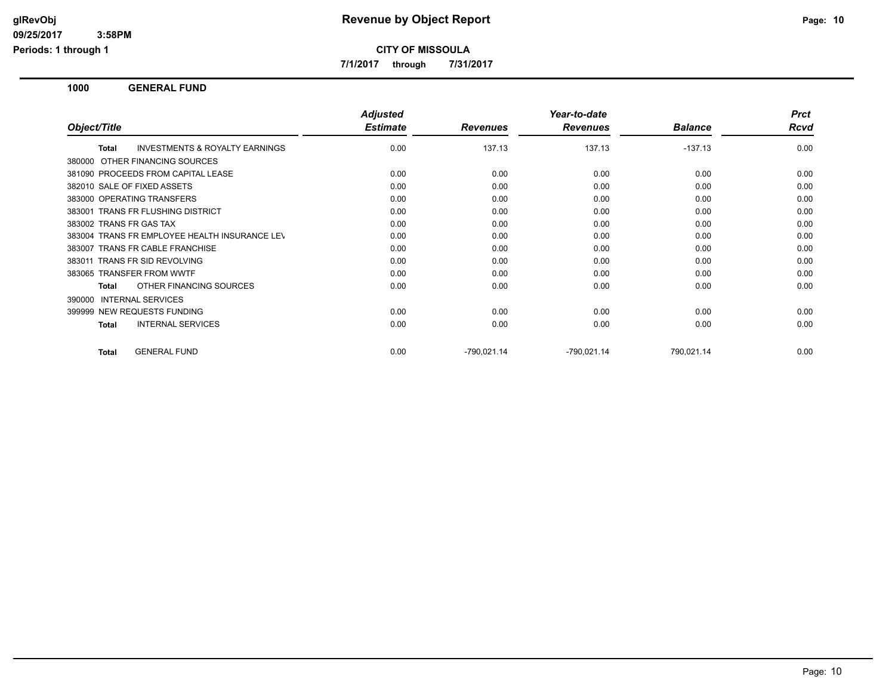**CITY OF MISSOULA**

**7/1/2017 through 7/31/2017**

 **3:58PM**

| Object/Title                                              | Adjusted<br><b>Estimate</b> | <b>Revenues</b> | Year-to-date<br><b>Revenues</b> | <b>Balance</b> | <b>Prct</b><br>Rcvd |
|-----------------------------------------------------------|-----------------------------|-----------------|---------------------------------|----------------|---------------------|
| <b>INVESTMENTS &amp; ROYALTY EARNINGS</b><br><b>Total</b> | 0.00                        | 137.13          | 137.13                          | $-137.13$      | 0.00                |
| 380000 OTHER FINANCING SOURCES                            |                             |                 |                                 |                |                     |
| 381090 PROCEEDS FROM CAPITAL LEASE                        | 0.00                        | 0.00            | 0.00                            | 0.00           | 0.00                |
| 382010 SALE OF FIXED ASSETS                               | 0.00                        | 0.00            | 0.00                            | 0.00           | 0.00                |
| 383000 OPERATING TRANSFERS                                | 0.00                        | 0.00            | 0.00                            | 0.00           | 0.00                |
| 383001 TRANS FR FLUSHING DISTRICT                         | 0.00                        | 0.00            | 0.00                            | 0.00           | 0.00                |
| 383002 TRANS FR GAS TAX                                   | 0.00                        | 0.00            | 0.00                            | 0.00           | 0.00                |
| 383004 TRANS FR EMPLOYEE HEALTH INSURANCE LEV             | 0.00                        | 0.00            | 0.00                            | 0.00           | 0.00                |
| 383007 TRANS FR CABLE FRANCHISE                           | 0.00                        | 0.00            | 0.00                            | 0.00           | 0.00                |
| 383011 TRANS FR SID REVOLVING                             | 0.00                        | 0.00            | 0.00                            | 0.00           | 0.00                |
| 383065 TRANSFER FROM WWTF                                 | 0.00                        | 0.00            | 0.00                            | 0.00           | 0.00                |
| OTHER FINANCING SOURCES<br><b>Total</b>                   | 0.00                        | 0.00            | 0.00                            | 0.00           | 0.00                |
| <b>INTERNAL SERVICES</b><br>390000                        |                             |                 |                                 |                |                     |
| 399999 NEW REQUESTS FUNDING                               | 0.00                        | 0.00            | 0.00                            | 0.00           | 0.00                |
| <b>INTERNAL SERVICES</b><br><b>Total</b>                  | 0.00                        | 0.00            | 0.00                            | 0.00           | 0.00                |
| <b>GENERAL FUND</b><br><b>Total</b>                       | 0.00                        | $-790,021.14$   | $-790,021.14$                   | 790,021.14     | 0.00                |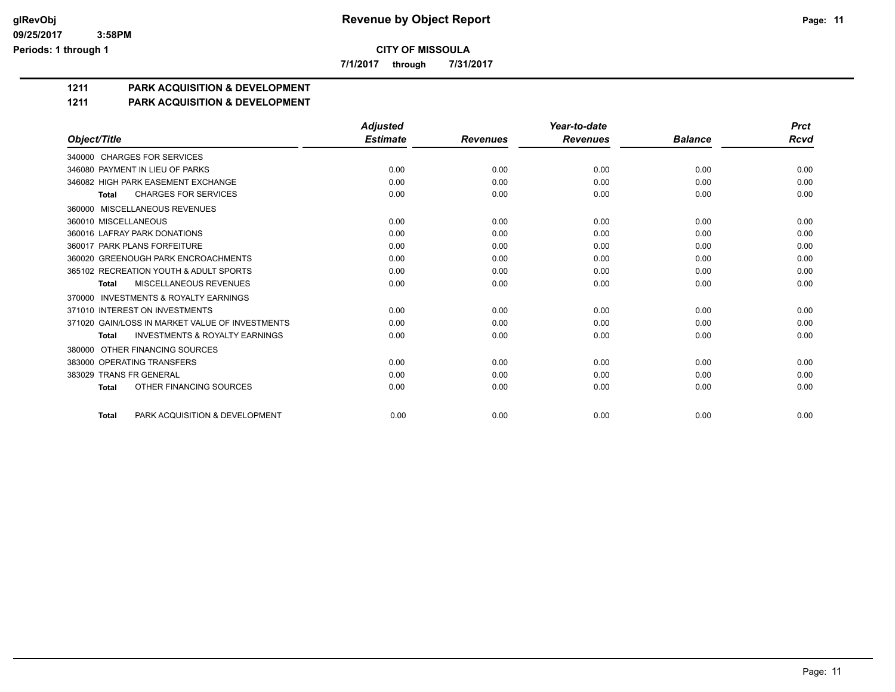**7/1/2017 through 7/31/2017**

# **1211 PARK ACQUISITION & DEVELOPMENT**

# **1211 PARK ACQUISITION & DEVELOPMENT**

|                                                     | <b>Adjusted</b> |                 | Year-to-date    |                | <b>Prct</b> |
|-----------------------------------------------------|-----------------|-----------------|-----------------|----------------|-------------|
| Object/Title                                        | <b>Estimate</b> | <b>Revenues</b> | <b>Revenues</b> | <b>Balance</b> | <b>Rcvd</b> |
| 340000 CHARGES FOR SERVICES                         |                 |                 |                 |                |             |
| 346080 PAYMENT IN LIEU OF PARKS                     | 0.00            | 0.00            | 0.00            | 0.00           | 0.00        |
| 346082 HIGH PARK EASEMENT EXCHANGE                  | 0.00            | 0.00            | 0.00            | 0.00           | 0.00        |
| <b>CHARGES FOR SERVICES</b><br><b>Total</b>         | 0.00            | 0.00            | 0.00            | 0.00           | 0.00        |
| 360000 MISCELLANEOUS REVENUES                       |                 |                 |                 |                |             |
| 360010 MISCELLANEOUS                                | 0.00            | 0.00            | 0.00            | 0.00           | 0.00        |
| 360016 LAFRAY PARK DONATIONS                        | 0.00            | 0.00            | 0.00            | 0.00           | 0.00        |
| 360017 PARK PLANS FORFEITURE                        | 0.00            | 0.00            | 0.00            | 0.00           | 0.00        |
| 360020 GREENOUGH PARK ENCROACHMENTS                 | 0.00            | 0.00            | 0.00            | 0.00           | 0.00        |
| 365102 RECREATION YOUTH & ADULT SPORTS              | 0.00            | 0.00            | 0.00            | 0.00           | 0.00        |
| <b>MISCELLANEOUS REVENUES</b><br><b>Total</b>       | 0.00            | 0.00            | 0.00            | 0.00           | 0.00        |
| <b>INVESTMENTS &amp; ROYALTY EARNINGS</b><br>370000 |                 |                 |                 |                |             |
| 371010 INTEREST ON INVESTMENTS                      | 0.00            | 0.00            | 0.00            | 0.00           | 0.00        |
| 371020 GAIN/LOSS IN MARKET VALUE OF INVESTMENTS     | 0.00            | 0.00            | 0.00            | 0.00           | 0.00        |
| <b>INVESTMENTS &amp; ROYALTY EARNINGS</b><br>Total  | 0.00            | 0.00            | 0.00            | 0.00           | 0.00        |
| 380000 OTHER FINANCING SOURCES                      |                 |                 |                 |                |             |
| 383000 OPERATING TRANSFERS                          | 0.00            | 0.00            | 0.00            | 0.00           | 0.00        |
| 383029 TRANS FR GENERAL                             | 0.00            | 0.00            | 0.00            | 0.00           | 0.00        |
| OTHER FINANCING SOURCES<br><b>Total</b>             | 0.00            | 0.00            | 0.00            | 0.00           | 0.00        |
| PARK ACQUISITION & DEVELOPMENT<br>Total             | 0.00            | 0.00            | 0.00            | 0.00           | 0.00        |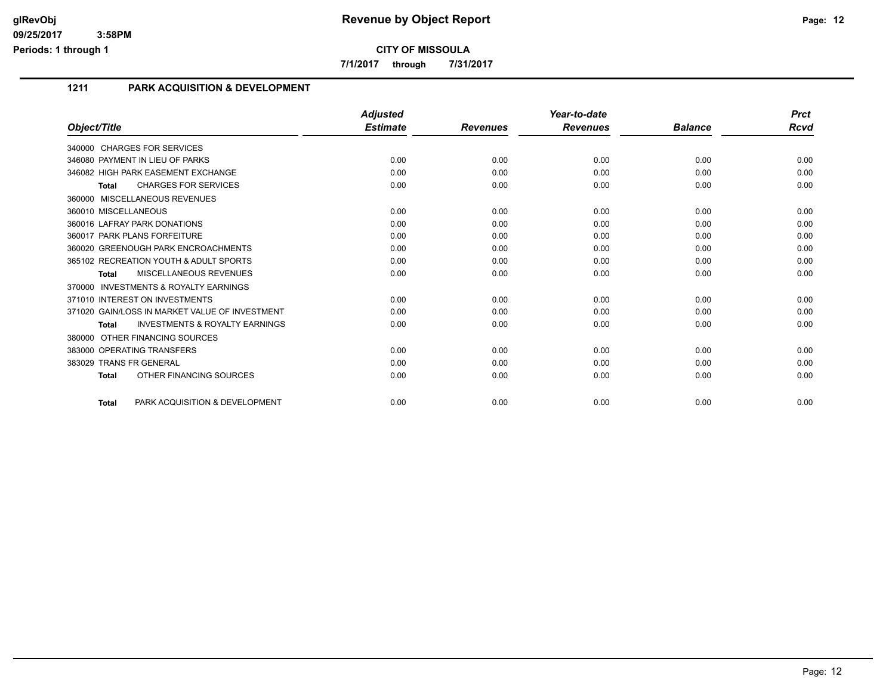**7/1/2017 through 7/31/2017**

# **1211 PARK ACQUISITION & DEVELOPMENT**

|                                                           | <b>Adjusted</b> |                 | Year-to-date    |                | <b>Prct</b> |
|-----------------------------------------------------------|-----------------|-----------------|-----------------|----------------|-------------|
| Object/Title                                              | <b>Estimate</b> | <b>Revenues</b> | <b>Revenues</b> | <b>Balance</b> | Rcvd        |
| 340000 CHARGES FOR SERVICES                               |                 |                 |                 |                |             |
| 346080 PAYMENT IN LIEU OF PARKS                           | 0.00            | 0.00            | 0.00            | 0.00           | 0.00        |
| 346082 HIGH PARK EASEMENT EXCHANGE                        | 0.00            | 0.00            | 0.00            | 0.00           | 0.00        |
| <b>CHARGES FOR SERVICES</b><br><b>Total</b>               | 0.00            | 0.00            | 0.00            | 0.00           | 0.00        |
| 360000 MISCELLANEOUS REVENUES                             |                 |                 |                 |                |             |
| 360010 MISCELLANEOUS                                      | 0.00            | 0.00            | 0.00            | 0.00           | 0.00        |
| 360016 LAFRAY PARK DONATIONS                              | 0.00            | 0.00            | 0.00            | 0.00           | 0.00        |
| 360017 PARK PLANS FORFEITURE                              | 0.00            | 0.00            | 0.00            | 0.00           | 0.00        |
| 360020 GREENOUGH PARK ENCROACHMENTS                       | 0.00            | 0.00            | 0.00            | 0.00           | 0.00        |
| 365102 RECREATION YOUTH & ADULT SPORTS                    | 0.00            | 0.00            | 0.00            | 0.00           | 0.00        |
| <b>MISCELLANEOUS REVENUES</b><br><b>Total</b>             | 0.00            | 0.00            | 0.00            | 0.00           | 0.00        |
| <b>INVESTMENTS &amp; ROYALTY EARNINGS</b><br>370000       |                 |                 |                 |                |             |
| 371010 INTEREST ON INVESTMENTS                            | 0.00            | 0.00            | 0.00            | 0.00           | 0.00        |
| 371020 GAIN/LOSS IN MARKET VALUE OF INVESTMENT            | 0.00            | 0.00            | 0.00            | 0.00           | 0.00        |
| <b>INVESTMENTS &amp; ROYALTY EARNINGS</b><br><b>Total</b> | 0.00            | 0.00            | 0.00            | 0.00           | 0.00        |
| 380000 OTHER FINANCING SOURCES                            |                 |                 |                 |                |             |
| 383000 OPERATING TRANSFERS                                | 0.00            | 0.00            | 0.00            | 0.00           | 0.00        |
| 383029 TRANS FR GENERAL                                   | 0.00            | 0.00            | 0.00            | 0.00           | 0.00        |
| OTHER FINANCING SOURCES<br><b>Total</b>                   | 0.00            | 0.00            | 0.00            | 0.00           | 0.00        |
| PARK ACQUISITION & DEVELOPMENT<br><b>Total</b>            | 0.00            | 0.00            | 0.00            | 0.00           | 0.00        |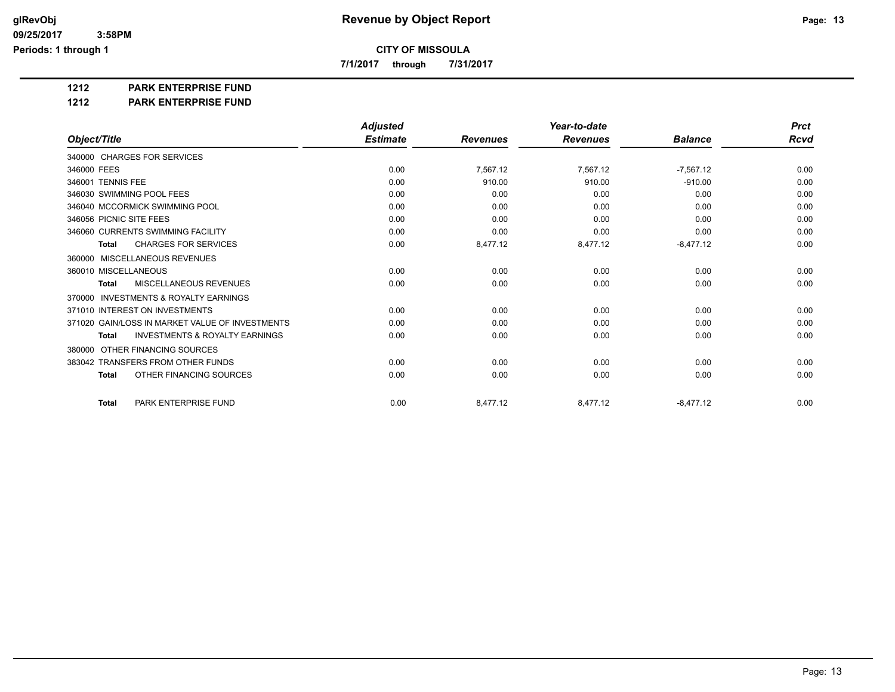**7/1/2017 through 7/31/2017**

**1212 PARK ENTERPRISE FUND**

**1212 PARK ENTERPRISE FUND**

|                                                           | <b>Adjusted</b> |                 | Year-to-date    |                | <b>Prct</b> |
|-----------------------------------------------------------|-----------------|-----------------|-----------------|----------------|-------------|
| Object/Title                                              | <b>Estimate</b> | <b>Revenues</b> | <b>Revenues</b> | <b>Balance</b> | Rcvd        |
| 340000 CHARGES FOR SERVICES                               |                 |                 |                 |                |             |
| 346000 FEES                                               | 0.00            | 7,567.12        | 7,567.12        | $-7,567.12$    | 0.00        |
| 346001 TENNIS FEE                                         | 0.00            | 910.00          | 910.00          | $-910.00$      | 0.00        |
| 346030 SWIMMING POOL FEES                                 | 0.00            | 0.00            | 0.00            | 0.00           | 0.00        |
| 346040 MCCORMICK SWIMMING POOL                            | 0.00            | 0.00            | 0.00            | 0.00           | 0.00        |
| 346056 PICNIC SITE FEES                                   | 0.00            | 0.00            | 0.00            | 0.00           | 0.00        |
| 346060 CURRENTS SWIMMING FACILITY                         | 0.00            | 0.00            | 0.00            | 0.00           | 0.00        |
| <b>CHARGES FOR SERVICES</b><br><b>Total</b>               | 0.00            | 8,477.12        | 8,477.12        | $-8,477.12$    | 0.00        |
| 360000 MISCELLANEOUS REVENUES                             |                 |                 |                 |                |             |
| 360010 MISCELLANEOUS                                      | 0.00            | 0.00            | 0.00            | 0.00           | 0.00        |
| MISCELLANEOUS REVENUES<br><b>Total</b>                    | 0.00            | 0.00            | 0.00            | 0.00           | 0.00        |
| 370000 INVESTMENTS & ROYALTY EARNINGS                     |                 |                 |                 |                |             |
| 371010 INTEREST ON INVESTMENTS                            | 0.00            | 0.00            | 0.00            | 0.00           | 0.00        |
| 371020 GAIN/LOSS IN MARKET VALUE OF INVESTMENTS           | 0.00            | 0.00            | 0.00            | 0.00           | 0.00        |
| <b>INVESTMENTS &amp; ROYALTY EARNINGS</b><br><b>Total</b> | 0.00            | 0.00            | 0.00            | 0.00           | 0.00        |
| OTHER FINANCING SOURCES<br>380000                         |                 |                 |                 |                |             |
| 383042 TRANSFERS FROM OTHER FUNDS                         | 0.00            | 0.00            | 0.00            | 0.00           | 0.00        |
| OTHER FINANCING SOURCES<br><b>Total</b>                   | 0.00            | 0.00            | 0.00            | 0.00           | 0.00        |
| PARK ENTERPRISE FUND<br><b>Total</b>                      | 0.00            | 8,477.12        | 8,477.12        | $-8,477.12$    | 0.00        |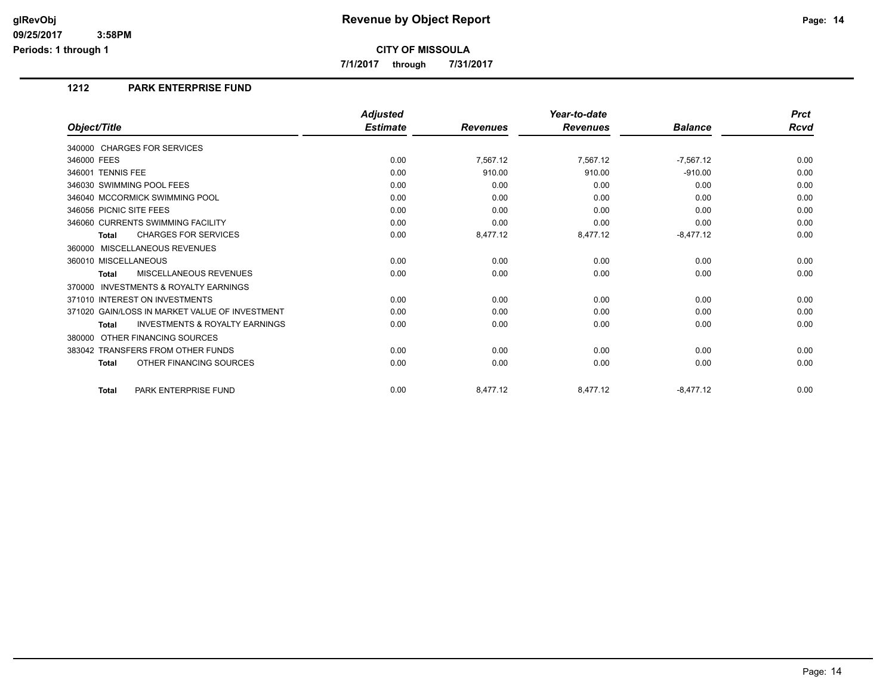**7/1/2017 through 7/31/2017**

# **1212 PARK ENTERPRISE FUND**

|                                                           | <b>Adjusted</b> |                 | Year-to-date    |                | <b>Prct</b> |
|-----------------------------------------------------------|-----------------|-----------------|-----------------|----------------|-------------|
| Object/Title                                              | <b>Estimate</b> | <b>Revenues</b> | <b>Revenues</b> | <b>Balance</b> | Rcvd        |
| 340000 CHARGES FOR SERVICES                               |                 |                 |                 |                |             |
| 346000 FEES                                               | 0.00            | 7,567.12        | 7,567.12        | $-7,567.12$    | 0.00        |
| 346001 TENNIS FEE                                         | 0.00            | 910.00          | 910.00          | $-910.00$      | 0.00        |
| 346030 SWIMMING POOL FEES                                 | 0.00            | 0.00            | 0.00            | 0.00           | 0.00        |
| 346040 MCCORMICK SWIMMING POOL                            | 0.00            | 0.00            | 0.00            | 0.00           | 0.00        |
| 346056 PICNIC SITE FEES                                   | 0.00            | 0.00            | 0.00            | 0.00           | 0.00        |
| 346060 CURRENTS SWIMMING FACILITY                         | 0.00            | 0.00            | 0.00            | 0.00           | 0.00        |
| <b>CHARGES FOR SERVICES</b><br><b>Total</b>               | 0.00            | 8,477.12        | 8,477.12        | $-8,477.12$    | 0.00        |
| 360000 MISCELLANEOUS REVENUES                             |                 |                 |                 |                |             |
| 360010 MISCELLANEOUS                                      | 0.00            | 0.00            | 0.00            | 0.00           | 0.00        |
| MISCELLANEOUS REVENUES<br><b>Total</b>                    | 0.00            | 0.00            | 0.00            | 0.00           | 0.00        |
| <b>INVESTMENTS &amp; ROYALTY EARNINGS</b><br>370000       |                 |                 |                 |                |             |
| 371010 INTEREST ON INVESTMENTS                            | 0.00            | 0.00            | 0.00            | 0.00           | 0.00        |
| 371020 GAIN/LOSS IN MARKET VALUE OF INVESTMENT            | 0.00            | 0.00            | 0.00            | 0.00           | 0.00        |
| <b>INVESTMENTS &amp; ROYALTY EARNINGS</b><br><b>Total</b> | 0.00            | 0.00            | 0.00            | 0.00           | 0.00        |
| OTHER FINANCING SOURCES<br>380000                         |                 |                 |                 |                |             |
| 383042 TRANSFERS FROM OTHER FUNDS                         | 0.00            | 0.00            | 0.00            | 0.00           | 0.00        |
| OTHER FINANCING SOURCES<br>Total                          | 0.00            | 0.00            | 0.00            | 0.00           | 0.00        |
| PARK ENTERPRISE FUND<br>Total                             | 0.00            | 8,477.12        | 8,477.12        | $-8,477.12$    | 0.00        |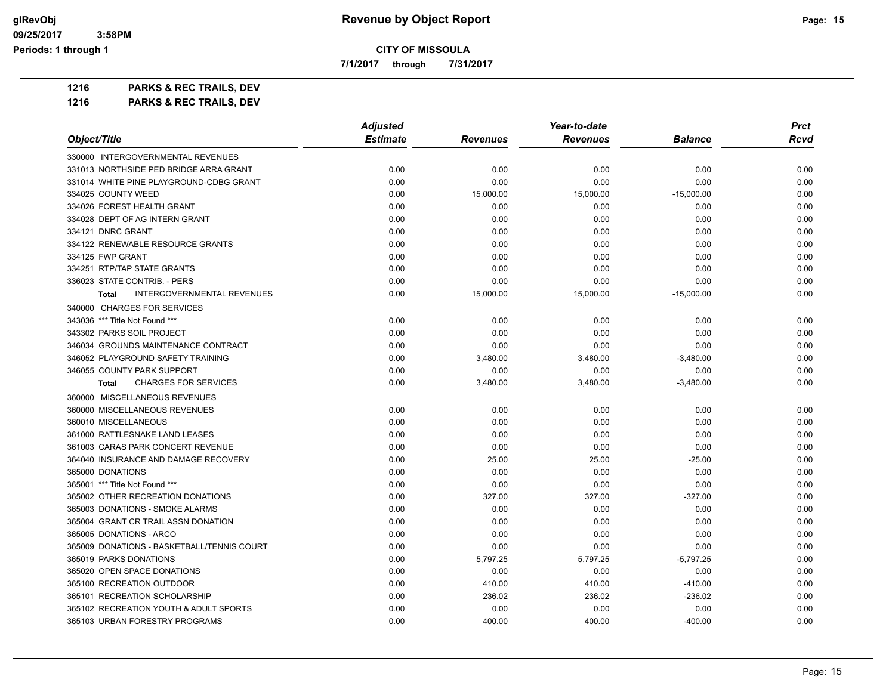**7/1/2017 through 7/31/2017**

**1216 PARKS & REC TRAILS, DEV**

|                                                   | <b>Adjusted</b> |                 | Year-to-date    |                | <b>Prct</b> |
|---------------------------------------------------|-----------------|-----------------|-----------------|----------------|-------------|
| Object/Title                                      | <b>Estimate</b> | <b>Revenues</b> | <b>Revenues</b> | <b>Balance</b> | <b>Rcvd</b> |
| 330000 INTERGOVERNMENTAL REVENUES                 |                 |                 |                 |                |             |
| 331013 NORTHSIDE PED BRIDGE ARRA GRANT            | 0.00            | 0.00            | 0.00            | 0.00           | 0.00        |
| 331014 WHITE PINE PLAYGROUND-CDBG GRANT           | 0.00            | 0.00            | 0.00            | 0.00           | 0.00        |
| 334025 COUNTY WEED                                | 0.00            | 15,000.00       | 15,000.00       | $-15,000.00$   | 0.00        |
| 334026 FOREST HEALTH GRANT                        | 0.00            | 0.00            | 0.00            | 0.00           | 0.00        |
| 334028 DEPT OF AG INTERN GRANT                    | 0.00            | 0.00            | 0.00            | 0.00           | 0.00        |
| 334121 DNRC GRANT                                 | 0.00            | 0.00            | 0.00            | 0.00           | 0.00        |
| 334122 RENEWABLE RESOURCE GRANTS                  | 0.00            | 0.00            | 0.00            | 0.00           | 0.00        |
| 334125 FWP GRANT                                  | 0.00            | 0.00            | 0.00            | 0.00           | 0.00        |
| 334251 RTP/TAP STATE GRANTS                       | 0.00            | 0.00            | 0.00            | 0.00           | 0.00        |
| 336023 STATE CONTRIB. - PERS                      | 0.00            | 0.00            | 0.00            | 0.00           | 0.00        |
| <b>INTERGOVERNMENTAL REVENUES</b><br><b>Total</b> | 0.00            | 15,000.00       | 15,000.00       | $-15,000.00$   | 0.00        |
| 340000 CHARGES FOR SERVICES                       |                 |                 |                 |                |             |
| 343036 *** Title Not Found ***                    | 0.00            | 0.00            | 0.00            | 0.00           | 0.00        |
| 343302 PARKS SOIL PROJECT                         | 0.00            | 0.00            | 0.00            | 0.00           | 0.00        |
| 346034 GROUNDS MAINTENANCE CONTRACT               | 0.00            | 0.00            | 0.00            | 0.00           | 0.00        |
| 346052 PLAYGROUND SAFETY TRAINING                 | 0.00            | 3,480.00        | 3,480.00        | $-3,480.00$    | 0.00        |
| 346055 COUNTY PARK SUPPORT                        | 0.00            | 0.00            | 0.00            | 0.00           | 0.00        |
| <b>CHARGES FOR SERVICES</b><br><b>Total</b>       | 0.00            | 3,480.00        | 3,480.00        | $-3,480.00$    | 0.00        |
| 360000 MISCELLANEOUS REVENUES                     |                 |                 |                 |                |             |
| 360000 MISCELLANEOUS REVENUES                     | 0.00            | 0.00            | 0.00            | 0.00           | 0.00        |
| 360010 MISCELLANEOUS                              | 0.00            | 0.00            | 0.00            | 0.00           | 0.00        |
| 361000 RATTLESNAKE LAND LEASES                    | 0.00            | 0.00            | 0.00            | 0.00           | 0.00        |
| 361003 CARAS PARK CONCERT REVENUE                 | 0.00            | 0.00            | 0.00            | 0.00           | 0.00        |
| 364040 INSURANCE AND DAMAGE RECOVERY              | 0.00            | 25.00           | 25.00           | $-25.00$       | 0.00        |
| 365000 DONATIONS                                  | 0.00            | 0.00            | 0.00            | 0.00           | 0.00        |
| 365001 *** Title Not Found ***                    | 0.00            | 0.00            | 0.00            | 0.00           | 0.00        |
| 365002 OTHER RECREATION DONATIONS                 | 0.00            | 327.00          | 327.00          | $-327.00$      | 0.00        |
| 365003 DONATIONS - SMOKE ALARMS                   | 0.00            | 0.00            | 0.00            | 0.00           | 0.00        |
| 365004 GRANT CR TRAIL ASSN DONATION               | 0.00            | 0.00            | 0.00            | 0.00           | 0.00        |
| 365005 DONATIONS - ARCO                           | 0.00            | 0.00            | 0.00            | 0.00           | 0.00        |
| 365009 DONATIONS - BASKETBALL/TENNIS COURT        | 0.00            | 0.00            | 0.00            | 0.00           | 0.00        |
| 365019 PARKS DONATIONS                            | 0.00            | 5,797.25        | 5,797.25        | $-5,797.25$    | 0.00        |
| 365020 OPEN SPACE DONATIONS                       | 0.00            | 0.00            | 0.00            | 0.00           | 0.00        |
| 365100 RECREATION OUTDOOR                         | 0.00            | 410.00          | 410.00          | $-410.00$      | 0.00        |
| 365101 RECREATION SCHOLARSHIP                     | 0.00            | 236.02          | 236.02          | $-236.02$      | 0.00        |
| 365102 RECREATION YOUTH & ADULT SPORTS            | 0.00            | 0.00            | 0.00            | 0.00           | 0.00        |
| 365103 URBAN FORESTRY PROGRAMS                    | 0.00            | 400.00          | 400.00          | $-400.00$      | 0.00        |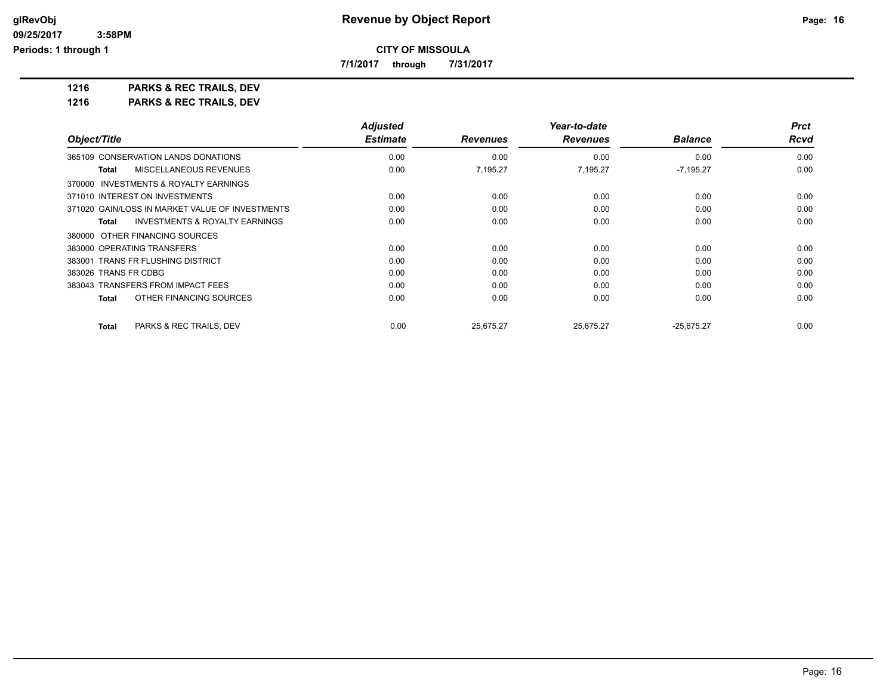**7/1/2017 through 7/31/2017**

**1216 PARKS & REC TRAILS, DEV**

|                                                           | <b>Adjusted</b> |                 | Year-to-date    |                | <b>Prct</b> |
|-----------------------------------------------------------|-----------------|-----------------|-----------------|----------------|-------------|
| Object/Title                                              | <b>Estimate</b> | <b>Revenues</b> | <b>Revenues</b> | <b>Balance</b> | <b>Rcvd</b> |
| 365109 CONSERVATION LANDS DONATIONS                       | 0.00            | 0.00            | 0.00            | 0.00           | 0.00        |
| MISCELLANEOUS REVENUES<br><b>Total</b>                    | 0.00            | 7,195.27        | 7,195.27        | $-7,195.27$    | 0.00        |
| <b>INVESTMENTS &amp; ROYALTY EARNINGS</b><br>370000       |                 |                 |                 |                |             |
| 371010 INTEREST ON INVESTMENTS                            | 0.00            | 0.00            | 0.00            | 0.00           | 0.00        |
| 371020 GAIN/LOSS IN MARKET VALUE OF INVESTMENTS           | 0.00            | 0.00            | 0.00            | 0.00           | 0.00        |
| <b>INVESTMENTS &amp; ROYALTY EARNINGS</b><br><b>Total</b> | 0.00            | 0.00            | 0.00            | 0.00           | 0.00        |
| 380000 OTHER FINANCING SOURCES                            |                 |                 |                 |                |             |
| 383000 OPERATING TRANSFERS                                | 0.00            | 0.00            | 0.00            | 0.00           | 0.00        |
| 383001 TRANS FR FLUSHING DISTRICT                         | 0.00            | 0.00            | 0.00            | 0.00           | 0.00        |
| 383026 TRANS FR CDBG                                      | 0.00            | 0.00            | 0.00            | 0.00           | 0.00        |
| 383043 TRANSFERS FROM IMPACT FEES                         | 0.00            | 0.00            | 0.00            | 0.00           | 0.00        |
| OTHER FINANCING SOURCES<br><b>Total</b>                   | 0.00            | 0.00            | 0.00            | 0.00           | 0.00        |
| PARKS & REC TRAILS, DEV<br><b>Total</b>                   | 0.00            | 25.675.27       | 25.675.27       | $-25,675.27$   | 0.00        |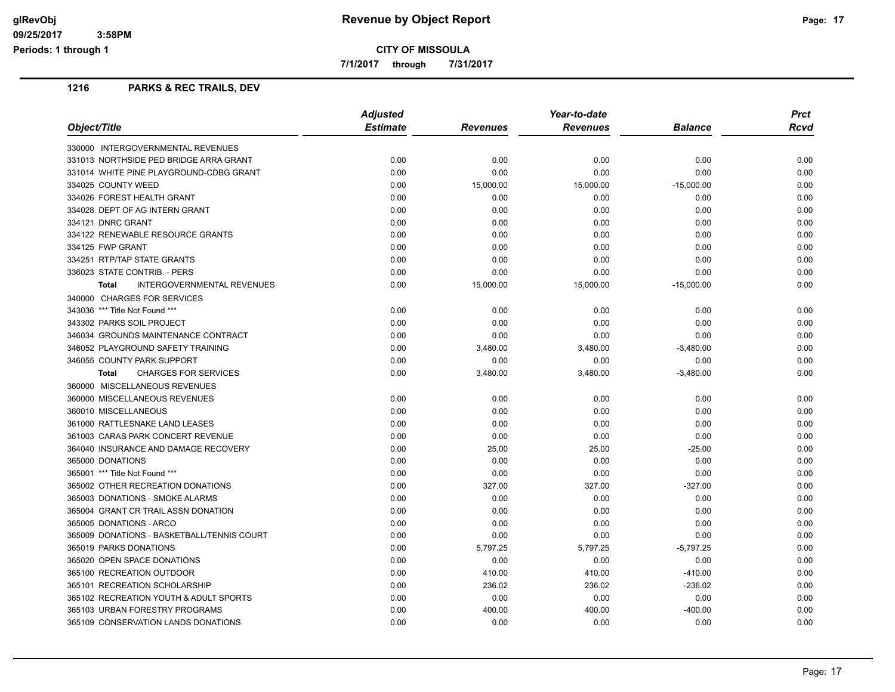**CITY OF MISSOULA**

**7/1/2017 through 7/31/2017**

| Object/Title                                      | <b>Adjusted</b> |           | Year-to-date    |                | <b>Prct</b> |
|---------------------------------------------------|-----------------|-----------|-----------------|----------------|-------------|
|                                                   | <b>Estimate</b> | Revenues  | <b>Revenues</b> | <b>Balance</b> | Rcvd        |
| 330000 INTERGOVERNMENTAL REVENUES                 |                 |           |                 |                |             |
| 331013 NORTHSIDE PED BRIDGE ARRA GRANT            | 0.00            | 0.00      | 0.00            | 0.00           | 0.00        |
| 331014 WHITE PINE PLAYGROUND-CDBG GRANT           | 0.00            | 0.00      | 0.00            | 0.00           | 0.00        |
| 334025 COUNTY WEED                                | 0.00            | 15,000.00 | 15,000.00       | $-15,000.00$   | 0.00        |
| 334026 FOREST HEALTH GRANT                        | 0.00            | 0.00      | 0.00            | 0.00           | 0.00        |
| 334028 DEPT OF AG INTERN GRANT                    | 0.00            | 0.00      | 0.00            | 0.00           | 0.00        |
| 334121 DNRC GRANT                                 | 0.00            | 0.00      | 0.00            | 0.00           | 0.00        |
| 334122 RENEWABLE RESOURCE GRANTS                  | 0.00            | 0.00      | 0.00            | 0.00           | 0.00        |
| 334125 FWP GRANT                                  | 0.00            | 0.00      | 0.00            | 0.00           | 0.00        |
| 334251 RTP/TAP STATE GRANTS                       | 0.00            | 0.00      | 0.00            | 0.00           | 0.00        |
| 336023 STATE CONTRIB. - PERS                      | 0.00            | 0.00      | 0.00            | 0.00           | 0.00        |
| <b>INTERGOVERNMENTAL REVENUES</b><br><b>Total</b> | 0.00            | 15,000.00 | 15,000.00       | $-15,000.00$   | 0.00        |
| 340000 CHARGES FOR SERVICES                       |                 |           |                 |                |             |
| 343036 *** Title Not Found ***                    | 0.00            | 0.00      | 0.00            | 0.00           | 0.00        |
| 343302 PARKS SOIL PROJECT                         | 0.00            | 0.00      | 0.00            | 0.00           | 0.00        |
| 346034 GROUNDS MAINTENANCE CONTRACT               | 0.00            | 0.00      | 0.00            | 0.00           | 0.00        |
| 346052 PLAYGROUND SAFETY TRAINING                 | 0.00            | 3,480.00  | 3,480.00        | $-3,480.00$    | 0.00        |
| 346055 COUNTY PARK SUPPORT                        | 0.00            | 0.00      | 0.00            | 0.00           | 0.00        |
| <b>CHARGES FOR SERVICES</b><br><b>Total</b>       | 0.00            | 3,480.00  | 3,480.00        | $-3,480.00$    | 0.00        |
| 360000 MISCELLANEOUS REVENUES                     |                 |           |                 |                |             |
| 360000 MISCELLANEOUS REVENUES                     | 0.00            | 0.00      | 0.00            | 0.00           | 0.00        |
| 360010 MISCELLANEOUS                              | 0.00            | 0.00      | 0.00            | 0.00           | 0.00        |
| 361000 RATTLESNAKE LAND LEASES                    | 0.00            | 0.00      | 0.00            | 0.00           | 0.00        |
| 361003 CARAS PARK CONCERT REVENUE                 | 0.00            | 0.00      | 0.00            | 0.00           | 0.00        |
| 364040 INSURANCE AND DAMAGE RECOVERY              | 0.00            | 25.00     | 25.00           | $-25.00$       | 0.00        |
| 365000 DONATIONS                                  | 0.00            | 0.00      | 0.00            | 0.00           | 0.00        |
| 365001 *** Title Not Found ***                    | 0.00            | 0.00      | 0.00            | 0.00           | 0.00        |
| 365002 OTHER RECREATION DONATIONS                 | 0.00            | 327.00    | 327.00          | $-327.00$      | 0.00        |
| 365003 DONATIONS - SMOKE ALARMS                   | 0.00            | 0.00      | 0.00            | 0.00           | 0.00        |
| 365004 GRANT CR TRAIL ASSN DONATION               | 0.00            | 0.00      | 0.00            | 0.00           | 0.00        |
| 365005 DONATIONS - ARCO                           | 0.00            | 0.00      | 0.00            | 0.00           | 0.00        |
| 365009 DONATIONS - BASKETBALL/TENNIS COURT        | 0.00            | 0.00      | 0.00            | 0.00           | 0.00        |
| 365019 PARKS DONATIONS                            | 0.00            | 5,797.25  | 5,797.25        | $-5,797.25$    | 0.00        |
| 365020 OPEN SPACE DONATIONS                       | 0.00            | 0.00      | 0.00            | 0.00           | 0.00        |
| 365100 RECREATION OUTDOOR                         | 0.00            | 410.00    | 410.00          | $-410.00$      | 0.00        |
| 365101 RECREATION SCHOLARSHIP                     | 0.00            | 236.02    | 236.02          | $-236.02$      | 0.00        |
| 365102 RECREATION YOUTH & ADULT SPORTS            | 0.00            | 0.00      | 0.00            | 0.00           | 0.00        |
| 365103 URBAN FORESTRY PROGRAMS                    | 0.00            | 400.00    | 400.00          | $-400.00$      | 0.00        |
| 365109 CONSERVATION LANDS DONATIONS               | 0.00            | 0.00      | 0.00            | 0.00           | 0.00        |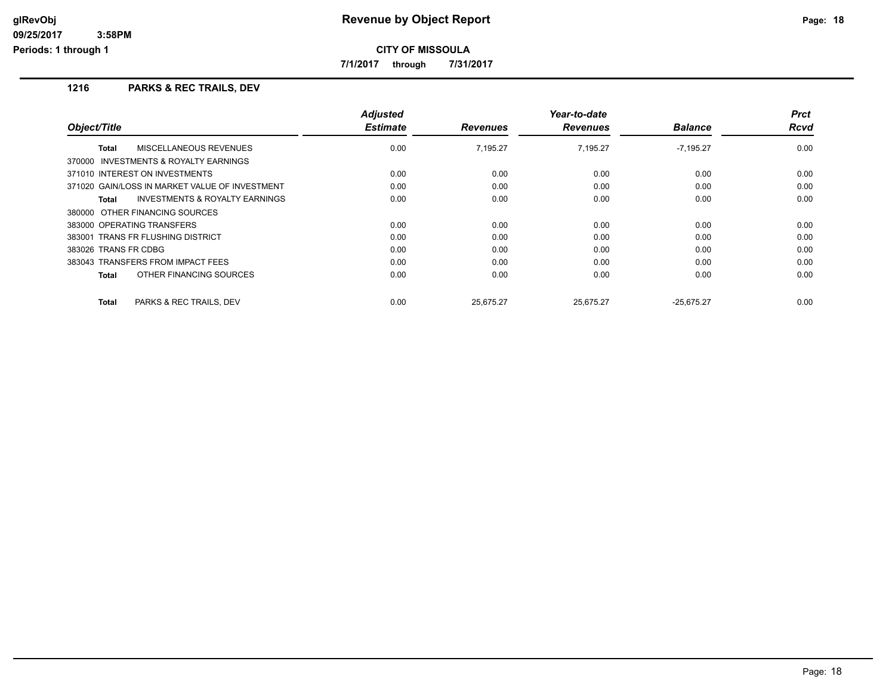**09/25/2017 3:58PM**

**Periods: 1 through 1**

# **CITY OF MISSOULA**

**7/1/2017 through 7/31/2017**

| Object/Title                                       | <b>Adjusted</b><br><b>Estimate</b> | <b>Revenues</b> | Year-to-date<br><b>Revenues</b> | <b>Balance</b> | <b>Prct</b><br>Rcvd |
|----------------------------------------------------|------------------------------------|-----------------|---------------------------------|----------------|---------------------|
|                                                    |                                    |                 |                                 |                |                     |
| <b>MISCELLANEOUS REVENUES</b><br>Total             | 0.00                               | 7.195.27        | 7.195.27                        | $-7.195.27$    | 0.00                |
| 370000 INVESTMENTS & ROYALTY EARNINGS              |                                    |                 |                                 |                |                     |
| 371010 INTEREST ON INVESTMENTS                     | 0.00                               | 0.00            | 0.00                            | 0.00           | 0.00                |
| 371020 GAIN/LOSS IN MARKET VALUE OF INVESTMENT     | 0.00                               | 0.00            | 0.00                            | 0.00           | 0.00                |
| <b>INVESTMENTS &amp; ROYALTY EARNINGS</b><br>Total | 0.00                               | 0.00            | 0.00                            | 0.00           | 0.00                |
| 380000 OTHER FINANCING SOURCES                     |                                    |                 |                                 |                |                     |
| 383000 OPERATING TRANSFERS                         | 0.00                               | 0.00            | 0.00                            | 0.00           | 0.00                |
| 383001 TRANS FR FLUSHING DISTRICT                  | 0.00                               | 0.00            | 0.00                            | 0.00           | 0.00                |
| 383026 TRANS FR CDBG                               | 0.00                               | 0.00            | 0.00                            | 0.00           | 0.00                |
| 383043 TRANSFERS FROM IMPACT FEES                  | 0.00                               | 0.00            | 0.00                            | 0.00           | 0.00                |
| OTHER FINANCING SOURCES<br>Total                   | 0.00                               | 0.00            | 0.00                            | 0.00           | 0.00                |
| PARKS & REC TRAILS, DEV<br><b>Total</b>            | 0.00                               | 25,675.27       | 25,675.27                       | $-25,675.27$   | 0.00                |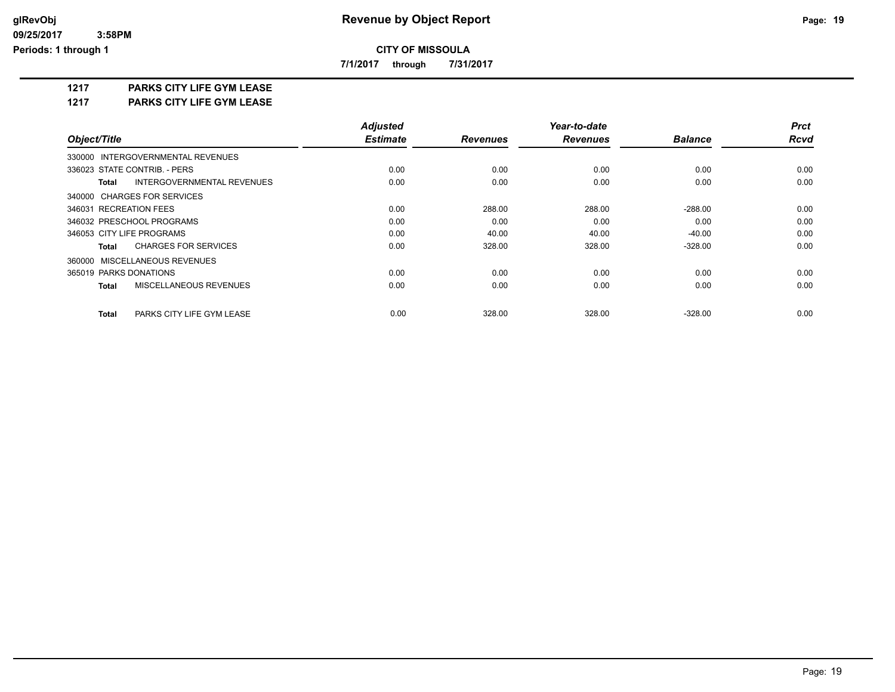**7/1/2017 through 7/31/2017**

# **1217 PARKS CITY LIFE GYM LEASE**

**1217 PARKS CITY LIFE GYM LEASE**

|                                            | Adjusted        |                 | Year-to-date    | <b>Prct</b>    |             |
|--------------------------------------------|-----------------|-----------------|-----------------|----------------|-------------|
| Object/Title                               | <b>Estimate</b> | <b>Revenues</b> | <b>Revenues</b> | <b>Balance</b> | <b>Rcvd</b> |
| 330000 INTERGOVERNMENTAL REVENUES          |                 |                 |                 |                |             |
| 336023 STATE CONTRIB. - PERS               | 0.00            | 0.00            | 0.00            | 0.00           | 0.00        |
| INTERGOVERNMENTAL REVENUES<br><b>Total</b> | 0.00            | 0.00            | 0.00            | 0.00           | 0.00        |
| 340000 CHARGES FOR SERVICES                |                 |                 |                 |                |             |
| 346031 RECREATION FEES                     | 0.00            | 288.00          | 288.00          | $-288.00$      | 0.00        |
| 346032 PRESCHOOL PROGRAMS                  | 0.00            | 0.00            | 0.00            | 0.00           | 0.00        |
| 346053 CITY LIFE PROGRAMS                  | 0.00            | 40.00           | 40.00           | $-40.00$       | 0.00        |
| <b>CHARGES FOR SERVICES</b><br>Total       | 0.00            | 328.00          | 328.00          | $-328.00$      | 0.00        |
| 360000 MISCELLANEOUS REVENUES              |                 |                 |                 |                |             |
| 365019 PARKS DONATIONS                     | 0.00            | 0.00            | 0.00            | 0.00           | 0.00        |
| MISCELLANEOUS REVENUES<br><b>Total</b>     | 0.00            | 0.00            | 0.00            | 0.00           | 0.00        |
| PARKS CITY LIFE GYM LEASE<br><b>Total</b>  | 0.00            | 328.00          | 328.00          | $-328.00$      | 0.00        |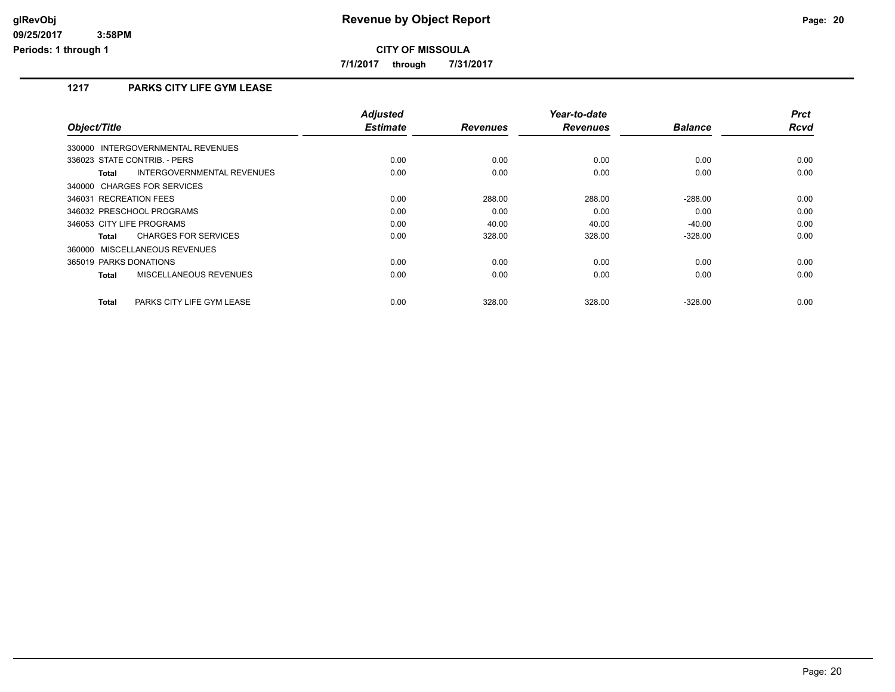**7/1/2017 through 7/31/2017**

# **1217 PARKS CITY LIFE GYM LEASE**

| Object/Title                               | <b>Adjusted</b><br><b>Estimate</b> | <b>Revenues</b> | Year-to-date<br><b>Revenues</b> | <b>Balance</b> | <b>Prct</b><br>Rcvd |
|--------------------------------------------|------------------------------------|-----------------|---------------------------------|----------------|---------------------|
| 330000 INTERGOVERNMENTAL REVENUES          |                                    |                 |                                 |                |                     |
| 336023 STATE CONTRIB. - PERS               | 0.00                               | 0.00            | 0.00                            | 0.00           | 0.00                |
| <b>INTERGOVERNMENTAL REVENUES</b><br>Total | 0.00                               | 0.00            | 0.00                            | 0.00           | 0.00                |
| 340000 CHARGES FOR SERVICES                |                                    |                 |                                 |                |                     |
| 346031 RECREATION FEES                     | 0.00                               | 288.00          | 288.00                          | $-288.00$      | 0.00                |
| 346032 PRESCHOOL PROGRAMS                  | 0.00                               | 0.00            | 0.00                            | 0.00           | 0.00                |
| 346053 CITY LIFE PROGRAMS                  | 0.00                               | 40.00           | 40.00                           | $-40.00$       | 0.00                |
| <b>CHARGES FOR SERVICES</b><br>Total       | 0.00                               | 328.00          | 328.00                          | $-328.00$      | 0.00                |
| 360000 MISCELLANEOUS REVENUES              |                                    |                 |                                 |                |                     |
| 365019 PARKS DONATIONS                     | 0.00                               | 0.00            | 0.00                            | 0.00           | 0.00                |
| MISCELLANEOUS REVENUES<br><b>Total</b>     | 0.00                               | 0.00            | 0.00                            | 0.00           | 0.00                |
| PARKS CITY LIFE GYM LEASE<br><b>Total</b>  | 0.00                               | 328.00          | 328.00                          | $-328.00$      | 0.00                |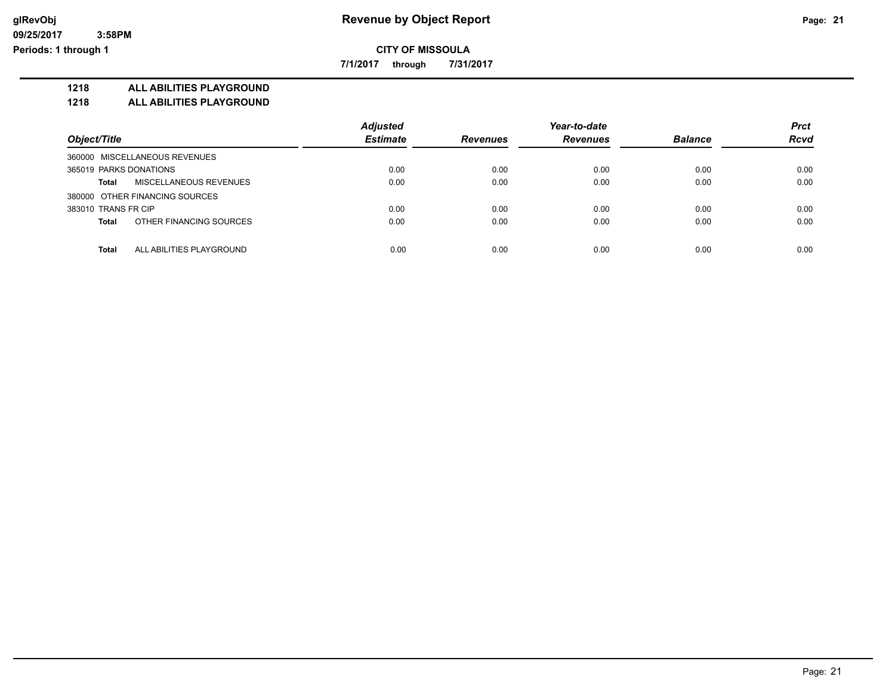**7/1/2017 through 7/31/2017**

**1218 ALL ABILITIES PLAYGROUND**

**1218 ALL ABILITIES PLAYGROUND**

|                                               | <b>Adjusted</b> |                 | Year-to-date |                | <b>Prct</b> |
|-----------------------------------------------|-----------------|-----------------|--------------|----------------|-------------|
| Object/Title                                  | <b>Estimate</b> | <b>Revenues</b> | Revenues     | <b>Balance</b> | <b>Rcvd</b> |
| 360000 MISCELLANEOUS REVENUES                 |                 |                 |              |                |             |
| 365019 PARKS DONATIONS                        | 0.00            | 0.00            | 0.00         | 0.00           | 0.00        |
| <b>MISCELLANEOUS REVENUES</b><br><b>Total</b> | 0.00            | 0.00            | 0.00         | 0.00           | 0.00        |
| 380000 OTHER FINANCING SOURCES                |                 |                 |              |                |             |
| 383010 TRANS FR CIP                           | 0.00            | 0.00            | 0.00         | 0.00           | 0.00        |
| OTHER FINANCING SOURCES<br><b>Total</b>       | 0.00            | 0.00            | 0.00         | 0.00           | 0.00        |
|                                               |                 |                 |              |                |             |
| ALL ABILITIES PLAYGROUND<br><b>Total</b>      | 0.00            | 0.00            | 0.00         | 0.00           | 0.00        |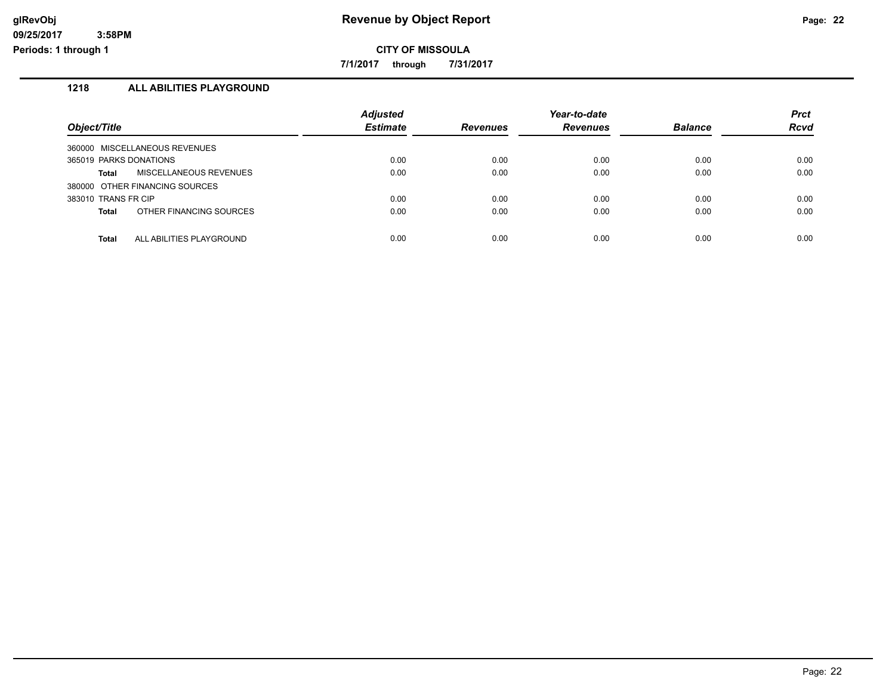**CITY OF MISSOULA**

**7/1/2017 through 7/31/2017**

# **1218 ALL ABILITIES PLAYGROUND**

 **3:58PM**

| Object/Title                            | <b>Adjusted</b><br><b>Estimate</b> | <b>Revenues</b> | Year-to-date<br><b>Revenues</b> | <b>Balance</b> | <b>Prct</b><br><b>Rcvd</b> |
|-----------------------------------------|------------------------------------|-----------------|---------------------------------|----------------|----------------------------|
| MISCELLANEOUS REVENUES<br>360000        |                                    |                 |                                 |                |                            |
| 365019 PARKS DONATIONS                  | 0.00                               | 0.00            | 0.00                            | 0.00           | 0.00                       |
| <b>MISCELLANEOUS REVENUES</b><br>Total  | 0.00                               | 0.00            | 0.00                            | 0.00           | 0.00                       |
| 380000 OTHER FINANCING SOURCES          |                                    |                 |                                 |                |                            |
| 383010 TRANS FR CIP                     | 0.00                               | 0.00            | 0.00                            | 0.00           | 0.00                       |
| OTHER FINANCING SOURCES<br><b>Total</b> | 0.00                               | 0.00            | 0.00                            | 0.00           | 0.00                       |
| ALL ABILITIES PLAYGROUND<br>Total       | 0.00                               | 0.00            | 0.00                            | 0.00           | 0.00                       |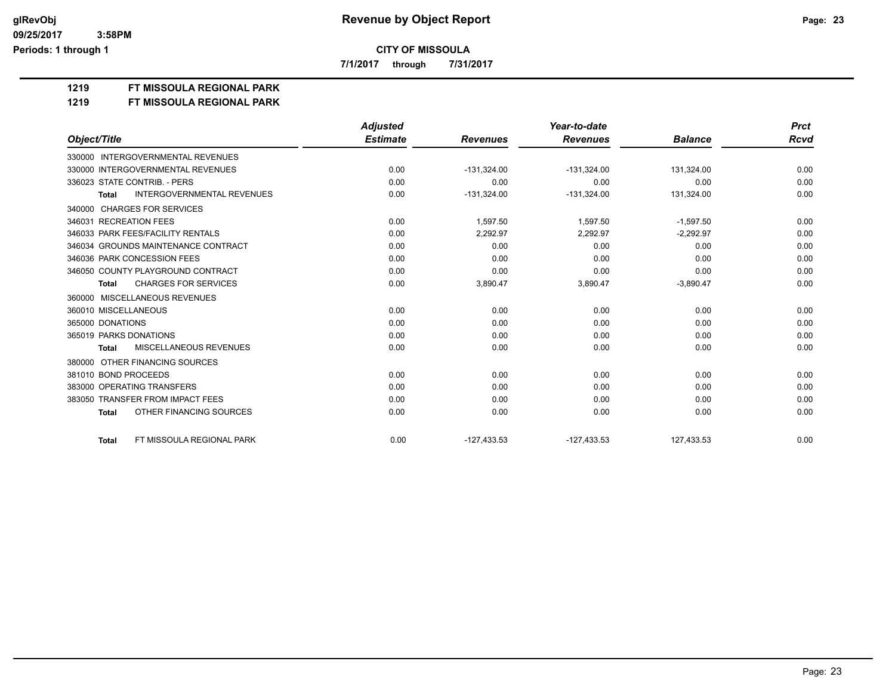**7/1/2017 through 7/31/2017**

# **1219 FT MISSOULA REGIONAL PARK**

#### **1219 FT MISSOULA REGIONAL PARK**

|                                                   | <b>Adjusted</b> |                 | Year-to-date    |                | <b>Prct</b> |
|---------------------------------------------------|-----------------|-----------------|-----------------|----------------|-------------|
| Object/Title                                      | <b>Estimate</b> | <b>Revenues</b> | <b>Revenues</b> | <b>Balance</b> | <b>Rcvd</b> |
| 330000 INTERGOVERNMENTAL REVENUES                 |                 |                 |                 |                |             |
| 330000 INTERGOVERNMENTAL REVENUES                 | 0.00            | $-131,324.00$   | $-131,324.00$   | 131,324.00     | 0.00        |
| 336023 STATE CONTRIB. - PERS                      | 0.00            | 0.00            | 0.00            | 0.00           | 0.00        |
| <b>INTERGOVERNMENTAL REVENUES</b><br><b>Total</b> | 0.00            | $-131,324.00$   | $-131,324.00$   | 131,324.00     | 0.00        |
| 340000 CHARGES FOR SERVICES                       |                 |                 |                 |                |             |
| 346031 RECREATION FEES                            | 0.00            | 1,597.50        | 1,597.50        | $-1,597.50$    | 0.00        |
| 346033 PARK FEES/FACILITY RENTALS                 | 0.00            | 2,292.97        | 2,292.97        | $-2,292.97$    | 0.00        |
| 346034 GROUNDS MAINTENANCE CONTRACT               | 0.00            | 0.00            | 0.00            | 0.00           | 0.00        |
| 346036 PARK CONCESSION FEES                       | 0.00            | 0.00            | 0.00            | 0.00           | 0.00        |
| 346050 COUNTY PLAYGROUND CONTRACT                 | 0.00            | 0.00            | 0.00            | 0.00           | 0.00        |
| <b>CHARGES FOR SERVICES</b><br>Total              | 0.00            | 3,890.47        | 3,890.47        | $-3,890.47$    | 0.00        |
| 360000 MISCELLANEOUS REVENUES                     |                 |                 |                 |                |             |
| 360010 MISCELLANEOUS                              | 0.00            | 0.00            | 0.00            | 0.00           | 0.00        |
| 365000 DONATIONS                                  | 0.00            | 0.00            | 0.00            | 0.00           | 0.00        |
| 365019 PARKS DONATIONS                            | 0.00            | 0.00            | 0.00            | 0.00           | 0.00        |
| MISCELLANEOUS REVENUES<br><b>Total</b>            | 0.00            | 0.00            | 0.00            | 0.00           | 0.00        |
| OTHER FINANCING SOURCES<br>380000                 |                 |                 |                 |                |             |
| 381010 BOND PROCEEDS                              | 0.00            | 0.00            | 0.00            | 0.00           | 0.00        |
| 383000 OPERATING TRANSFERS                        | 0.00            | 0.00            | 0.00            | 0.00           | 0.00        |
| 383050 TRANSFER FROM IMPACT FEES                  | 0.00            | 0.00            | 0.00            | 0.00           | 0.00        |
| OTHER FINANCING SOURCES<br><b>Total</b>           | 0.00            | 0.00            | 0.00            | 0.00           | 0.00        |
| FT MISSOULA REGIONAL PARK<br><b>Total</b>         | 0.00            | $-127,433.53$   | $-127,433.53$   | 127,433.53     | 0.00        |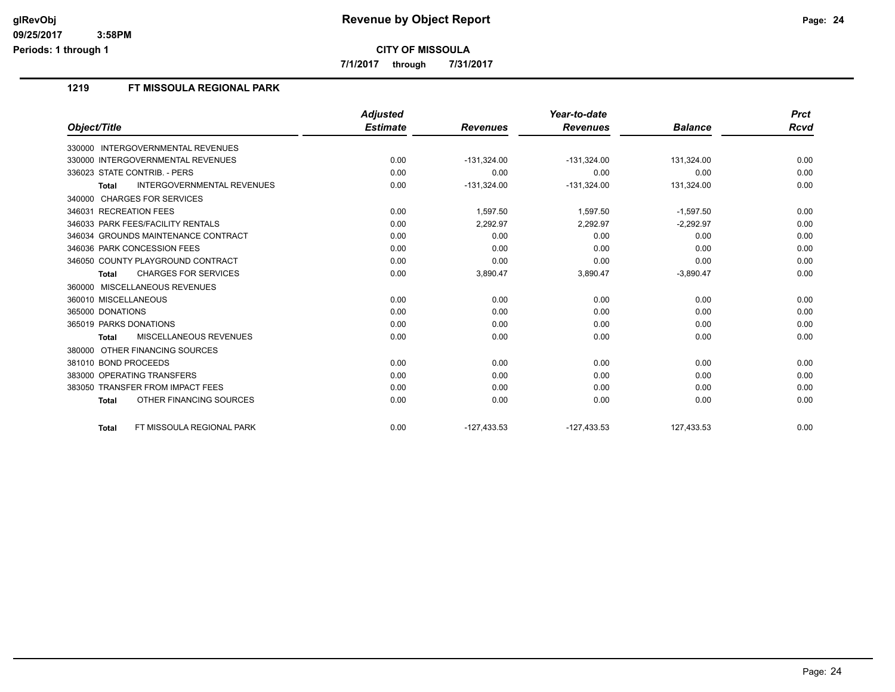**7/1/2017 through 7/31/2017**

# **1219 FT MISSOULA REGIONAL PARK**

|                                                   | <b>Adjusted</b> |                 | Year-to-date    |                | <b>Prct</b> |
|---------------------------------------------------|-----------------|-----------------|-----------------|----------------|-------------|
| Object/Title                                      | <b>Estimate</b> | <b>Revenues</b> | <b>Revenues</b> | <b>Balance</b> | Rcvd        |
| 330000 INTERGOVERNMENTAL REVENUES                 |                 |                 |                 |                |             |
| 330000 INTERGOVERNMENTAL REVENUES                 | 0.00            | $-131,324.00$   | $-131,324.00$   | 131,324.00     | 0.00        |
| 336023 STATE CONTRIB. - PERS                      | 0.00            | 0.00            | 0.00            | 0.00           | 0.00        |
| <b>INTERGOVERNMENTAL REVENUES</b><br><b>Total</b> | 0.00            | $-131,324.00$   | $-131,324.00$   | 131,324.00     | 0.00        |
| 340000 CHARGES FOR SERVICES                       |                 |                 |                 |                |             |
| 346031 RECREATION FEES                            | 0.00            | 1,597.50        | 1,597.50        | $-1,597.50$    | 0.00        |
| 346033 PARK FEES/FACILITY RENTALS                 | 0.00            | 2,292.97        | 2,292.97        | $-2,292.97$    | 0.00        |
| 346034 GROUNDS MAINTENANCE CONTRACT               | 0.00            | 0.00            | 0.00            | 0.00           | 0.00        |
| 346036 PARK CONCESSION FEES                       | 0.00            | 0.00            | 0.00            | 0.00           | 0.00        |
| 346050 COUNTY PLAYGROUND CONTRACT                 | 0.00            | 0.00            | 0.00            | 0.00           | 0.00        |
| <b>CHARGES FOR SERVICES</b><br><b>Total</b>       | 0.00            | 3,890.47        | 3,890.47        | $-3,890.47$    | 0.00        |
| 360000 MISCELLANEOUS REVENUES                     |                 |                 |                 |                |             |
| 360010 MISCELLANEOUS                              | 0.00            | 0.00            | 0.00            | 0.00           | 0.00        |
| 365000 DONATIONS                                  | 0.00            | 0.00            | 0.00            | 0.00           | 0.00        |
| 365019 PARKS DONATIONS                            | 0.00            | 0.00            | 0.00            | 0.00           | 0.00        |
| <b>MISCELLANEOUS REVENUES</b><br><b>Total</b>     | 0.00            | 0.00            | 0.00            | 0.00           | 0.00        |
| 380000 OTHER FINANCING SOURCES                    |                 |                 |                 |                |             |
| 381010 BOND PROCEEDS                              | 0.00            | 0.00            | 0.00            | 0.00           | 0.00        |
| 383000 OPERATING TRANSFERS                        | 0.00            | 0.00            | 0.00            | 0.00           | 0.00        |
| 383050 TRANSFER FROM IMPACT FEES                  | 0.00            | 0.00            | 0.00            | 0.00           | 0.00        |
| OTHER FINANCING SOURCES<br><b>Total</b>           | 0.00            | 0.00            | 0.00            | 0.00           | 0.00        |
| FT MISSOULA REGIONAL PARK<br><b>Total</b>         | 0.00            | $-127.433.53$   | $-127.433.53$   | 127.433.53     | 0.00        |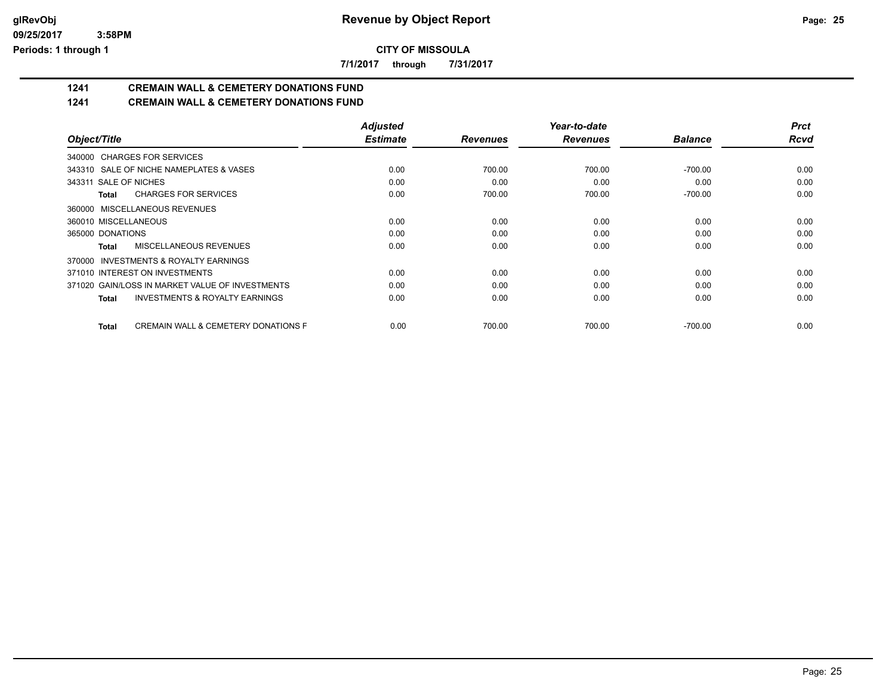**09/25/2017 3:58PM Periods: 1 through 1**

**CITY OF MISSOULA**

**7/1/2017 through 7/31/2017**

# **1241 CREMAIN WALL & CEMETERY DONATIONS FUND**

# **1241 CREMAIN WALL & CEMETERY DONATIONS FUND**

|                                                    | <b>Adjusted</b> |                 | Year-to-date    |                | <b>Prct</b> |
|----------------------------------------------------|-----------------|-----------------|-----------------|----------------|-------------|
| Object/Title                                       | <b>Estimate</b> | <b>Revenues</b> | <b>Revenues</b> | <b>Balance</b> | <b>Rcvd</b> |
| 340000 CHARGES FOR SERVICES                        |                 |                 |                 |                |             |
| 343310 SALE OF NICHE NAMEPLATES & VASES            | 0.00            | 700.00          | 700.00          | $-700.00$      | 0.00        |
| 343311 SALE OF NICHES                              | 0.00            | 0.00            | 0.00            | 0.00           | 0.00        |
| <b>CHARGES FOR SERVICES</b><br>Total               | 0.00            | 700.00          | 700.00          | $-700.00$      | 0.00        |
| 360000 MISCELLANEOUS REVENUES                      |                 |                 |                 |                |             |
| 360010 MISCELLANEOUS                               | 0.00            | 0.00            | 0.00            | 0.00           | 0.00        |
| 365000 DONATIONS                                   | 0.00            | 0.00            | 0.00            | 0.00           | 0.00        |
| <b>MISCELLANEOUS REVENUES</b><br><b>Total</b>      | 0.00            | 0.00            | 0.00            | 0.00           | 0.00        |
| 370000 INVESTMENTS & ROYALTY EARNINGS              |                 |                 |                 |                |             |
| 371010 INTEREST ON INVESTMENTS                     | 0.00            | 0.00            | 0.00            | 0.00           | 0.00        |
| 371020 GAIN/LOSS IN MARKET VALUE OF INVESTMENTS    | 0.00            | 0.00            | 0.00            | 0.00           | 0.00        |
| <b>INVESTMENTS &amp; ROYALTY EARNINGS</b><br>Total | 0.00            | 0.00            | 0.00            | 0.00           | 0.00        |
| CREMAIN WALL & CEMETERY DONATIONS F<br>Total       | 0.00            | 700.00          | 700.00          | $-700.00$      | 0.00        |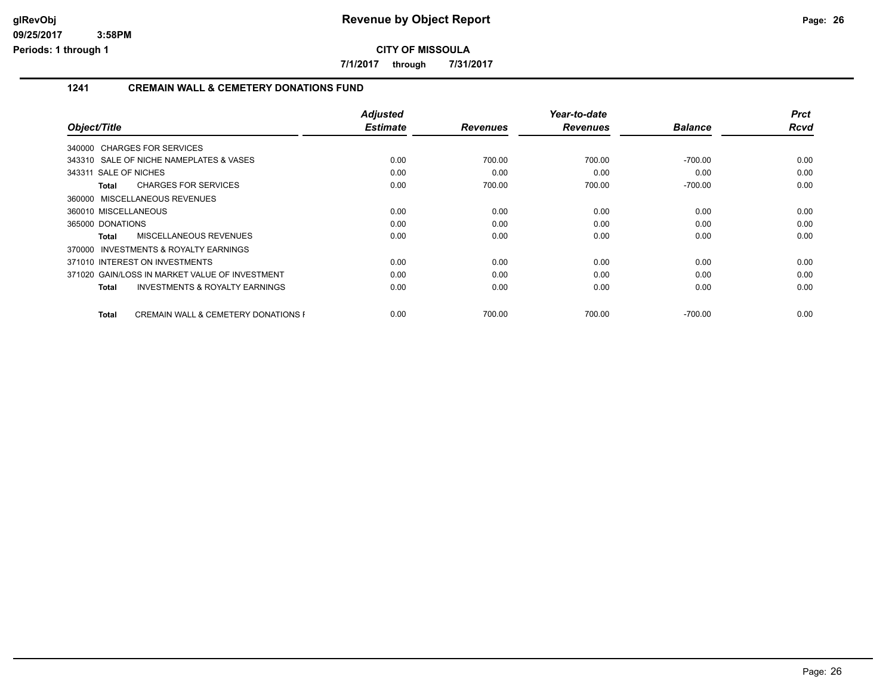**7/1/2017 through 7/31/2017**

# **1241 CREMAIN WALL & CEMETERY DONATIONS FUND**

|                                                                | <b>Adjusted</b><br><b>Estimate</b> |                 | Year-to-date    | <b>Balance</b> | <b>Prct</b><br><b>Rcvd</b> |
|----------------------------------------------------------------|------------------------------------|-----------------|-----------------|----------------|----------------------------|
| Object/Title                                                   |                                    | <b>Revenues</b> | <b>Revenues</b> |                |                            |
| 340000 CHARGES FOR SERVICES                                    |                                    |                 |                 |                |                            |
| 343310 SALE OF NICHE NAMEPLATES & VASES                        | 0.00                               | 700.00          | 700.00          | $-700.00$      | 0.00                       |
| 343311 SALE OF NICHES                                          | 0.00                               | 0.00            | 0.00            | 0.00           | 0.00                       |
| <b>CHARGES FOR SERVICES</b><br>Total                           | 0.00                               | 700.00          | 700.00          | $-700.00$      | 0.00                       |
| 360000 MISCELLANEOUS REVENUES                                  |                                    |                 |                 |                |                            |
| 360010 MISCELLANEOUS                                           | 0.00                               | 0.00            | 0.00            | 0.00           | 0.00                       |
| 365000 DONATIONS                                               | 0.00                               | 0.00            | 0.00            | 0.00           | 0.00                       |
| MISCELLANEOUS REVENUES<br>Total                                | 0.00                               | 0.00            | 0.00            | 0.00           | 0.00                       |
| <b>INVESTMENTS &amp; ROYALTY EARNINGS</b><br>370000            |                                    |                 |                 |                |                            |
| 371010 INTEREST ON INVESTMENTS                                 | 0.00                               | 0.00            | 0.00            | 0.00           | 0.00                       |
| 371020 GAIN/LOSS IN MARKET VALUE OF INVESTMENT                 | 0.00                               | 0.00            | 0.00            | 0.00           | 0.00                       |
| <b>INVESTMENTS &amp; ROYALTY EARNINGS</b><br>Total             | 0.00                               | 0.00            | 0.00            | 0.00           | 0.00                       |
| <b>CREMAIN WALL &amp; CEMETERY DONATIONS F</b><br><b>Total</b> | 0.00                               | 700.00          | 700.00          | $-700.00$      | 0.00                       |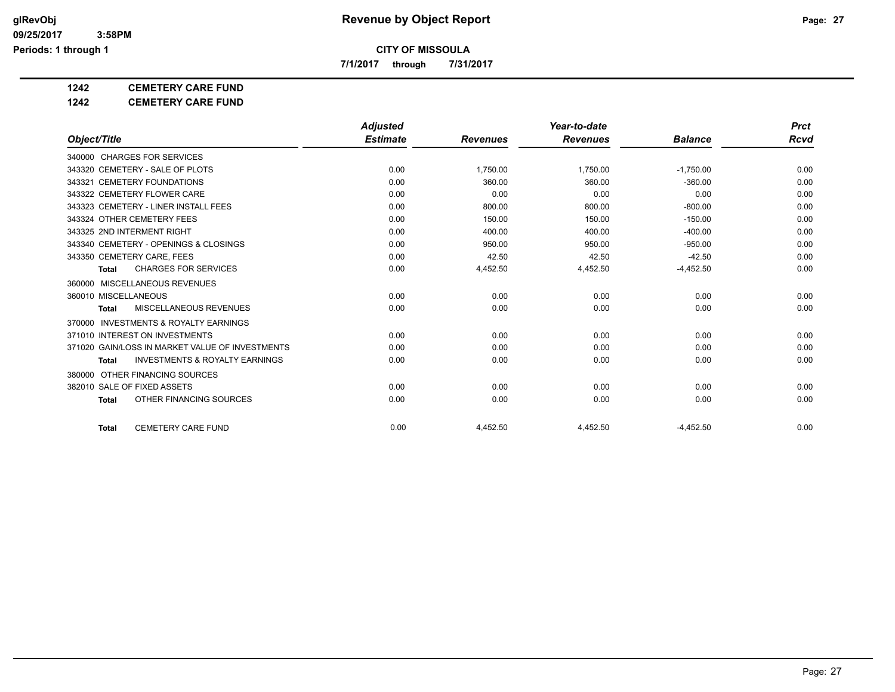**7/1/2017 through 7/31/2017**

#### **1242 CEMETERY CARE FUND**

**1242 CEMETERY CARE FUND**

|                                                           | <b>Adjusted</b> |                 | Year-to-date    |                | <b>Prct</b> |
|-----------------------------------------------------------|-----------------|-----------------|-----------------|----------------|-------------|
| Object/Title                                              | <b>Estimate</b> | <b>Revenues</b> | <b>Revenues</b> | <b>Balance</b> | <b>Rcvd</b> |
| 340000 CHARGES FOR SERVICES                               |                 |                 |                 |                |             |
| 343320 CEMETERY - SALE OF PLOTS                           | 0.00            | 1,750.00        | 1,750.00        | $-1,750.00$    | 0.00        |
| 343321 CEMETERY FOUNDATIONS                               | 0.00            | 360.00          | 360.00          | $-360.00$      | 0.00        |
| 343322 CEMETERY FLOWER CARE                               | 0.00            | 0.00            | 0.00            | 0.00           | 0.00        |
| 343323 CEMETERY - LINER INSTALL FEES                      | 0.00            | 800.00          | 800.00          | $-800.00$      | 0.00        |
| 343324 OTHER CEMETERY FEES                                | 0.00            | 150.00          | 150.00          | $-150.00$      | 0.00        |
| 343325 2ND INTERMENT RIGHT                                | 0.00            | 400.00          | 400.00          | $-400.00$      | 0.00        |
| 343340 CEMETERY - OPENINGS & CLOSINGS                     | 0.00            | 950.00          | 950.00          | $-950.00$      | 0.00        |
| 343350 CEMETERY CARE, FEES                                | 0.00            | 42.50           | 42.50           | $-42.50$       | 0.00        |
| <b>CHARGES FOR SERVICES</b><br><b>Total</b>               | 0.00            | 4,452.50        | 4,452.50        | $-4,452.50$    | 0.00        |
| 360000 MISCELLANEOUS REVENUES                             |                 |                 |                 |                |             |
| 360010 MISCELLANEOUS                                      | 0.00            | 0.00            | 0.00            | 0.00           | 0.00        |
| <b>MISCELLANEOUS REVENUES</b><br><b>Total</b>             | 0.00            | 0.00            | 0.00            | 0.00           | 0.00        |
| <b>INVESTMENTS &amp; ROYALTY EARNINGS</b><br>370000       |                 |                 |                 |                |             |
| 371010 INTEREST ON INVESTMENTS                            | 0.00            | 0.00            | 0.00            | 0.00           | 0.00        |
| 371020 GAIN/LOSS IN MARKET VALUE OF INVESTMENTS           | 0.00            | 0.00            | 0.00            | 0.00           | 0.00        |
| <b>INVESTMENTS &amp; ROYALTY EARNINGS</b><br><b>Total</b> | 0.00            | 0.00            | 0.00            | 0.00           | 0.00        |
| OTHER FINANCING SOURCES<br>380000                         |                 |                 |                 |                |             |
| 382010 SALE OF FIXED ASSETS                               | 0.00            | 0.00            | 0.00            | 0.00           | 0.00        |
| OTHER FINANCING SOURCES<br><b>Total</b>                   | 0.00            | 0.00            | 0.00            | 0.00           | 0.00        |
| <b>CEMETERY CARE FUND</b><br><b>Total</b>                 | 0.00            | 4.452.50        | 4.452.50        | $-4.452.50$    | 0.00        |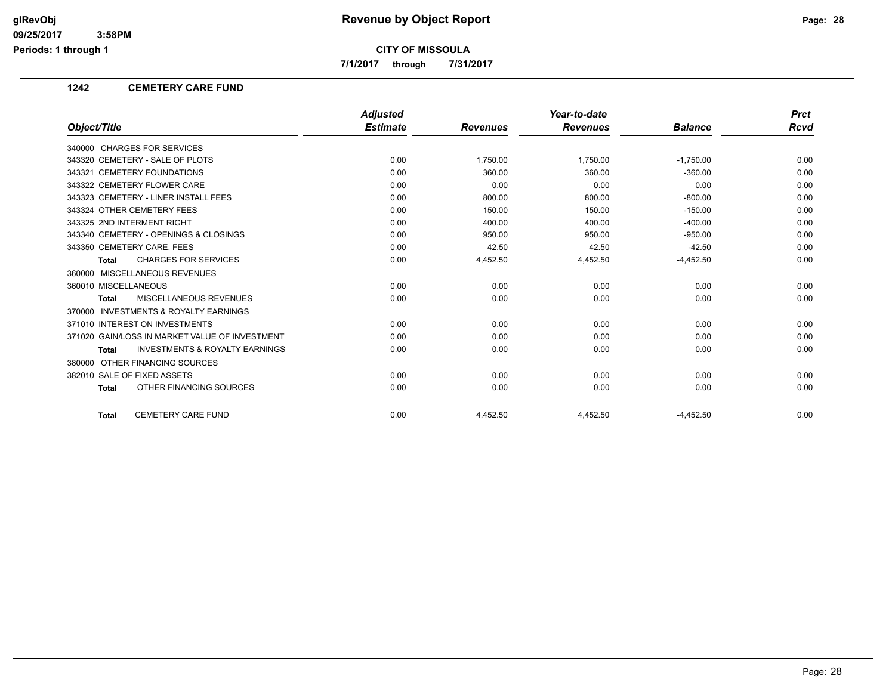**7/1/2017 through 7/31/2017**

## **1242 CEMETERY CARE FUND**

|                                                           | <b>Adjusted</b> |                 | Year-to-date    |                | <b>Prct</b> |
|-----------------------------------------------------------|-----------------|-----------------|-----------------|----------------|-------------|
| Object/Title                                              | <b>Estimate</b> | <b>Revenues</b> | <b>Revenues</b> | <b>Balance</b> | <b>Rcvd</b> |
| 340000 CHARGES FOR SERVICES                               |                 |                 |                 |                |             |
| 343320 CEMETERY - SALE OF PLOTS                           | 0.00            | 1,750.00        | 1,750.00        | $-1,750.00$    | 0.00        |
| 343321 CEMETERY FOUNDATIONS                               | 0.00            | 360.00          | 360.00          | $-360.00$      | 0.00        |
| 343322 CEMETERY FLOWER CARE                               | 0.00            | 0.00            | 0.00            | 0.00           | 0.00        |
| 343323 CEMETERY - LINER INSTALL FEES                      | 0.00            | 800.00          | 800.00          | $-800.00$      | 0.00        |
| 343324 OTHER CEMETERY FEES                                | 0.00            | 150.00          | 150.00          | $-150.00$      | 0.00        |
| 343325 2ND INTERMENT RIGHT                                | 0.00            | 400.00          | 400.00          | $-400.00$      | 0.00        |
| 343340 CEMETERY - OPENINGS & CLOSINGS                     | 0.00            | 950.00          | 950.00          | $-950.00$      | 0.00        |
| 343350 CEMETERY CARE, FEES                                | 0.00            | 42.50           | 42.50           | $-42.50$       | 0.00        |
| <b>CHARGES FOR SERVICES</b><br><b>Total</b>               | 0.00            | 4,452.50        | 4,452.50        | $-4,452.50$    | 0.00        |
| 360000 MISCELLANEOUS REVENUES                             |                 |                 |                 |                |             |
| 360010 MISCELLANEOUS                                      | 0.00            | 0.00            | 0.00            | 0.00           | 0.00        |
| <b>MISCELLANEOUS REVENUES</b><br><b>Total</b>             | 0.00            | 0.00            | 0.00            | 0.00           | 0.00        |
| 370000 INVESTMENTS & ROYALTY EARNINGS                     |                 |                 |                 |                |             |
| 371010 INTEREST ON INVESTMENTS                            | 0.00            | 0.00            | 0.00            | 0.00           | 0.00        |
| 371020 GAIN/LOSS IN MARKET VALUE OF INVESTMENT            | 0.00            | 0.00            | 0.00            | 0.00           | 0.00        |
| <b>INVESTMENTS &amp; ROYALTY EARNINGS</b><br><b>Total</b> | 0.00            | 0.00            | 0.00            | 0.00           | 0.00        |
| 380000 OTHER FINANCING SOURCES                            |                 |                 |                 |                |             |
| 382010 SALE OF FIXED ASSETS                               | 0.00            | 0.00            | 0.00            | 0.00           | 0.00        |
| OTHER FINANCING SOURCES<br><b>Total</b>                   | 0.00            | 0.00            | 0.00            | 0.00           | 0.00        |
| <b>CEMETERY CARE FUND</b><br><b>Total</b>                 | 0.00            | 4,452.50        | 4,452.50        | $-4,452.50$    | 0.00        |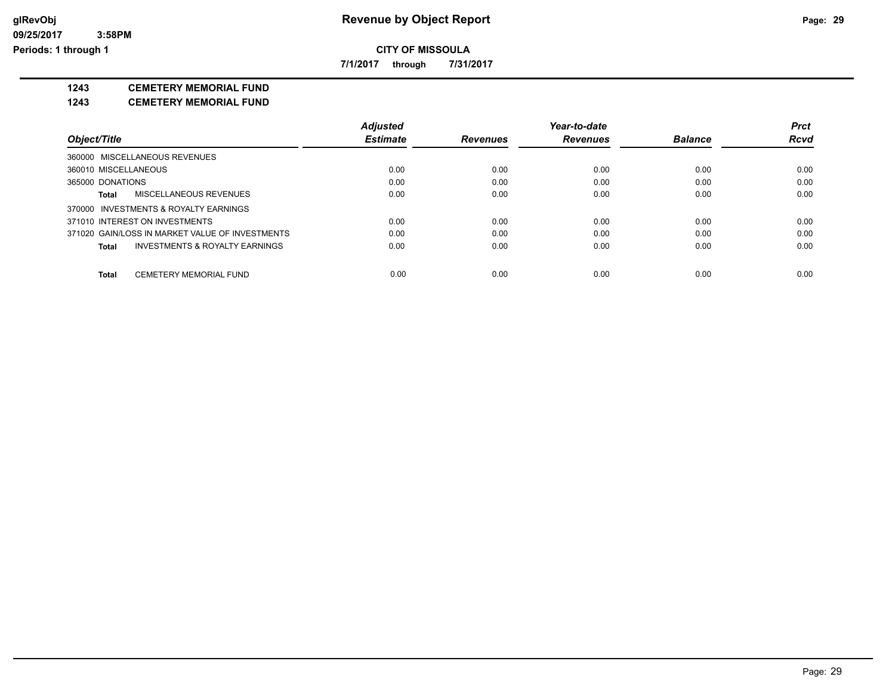**7/1/2017 through 7/31/2017**

**1243 CEMETERY MEMORIAL FUND**

**1243 CEMETERY MEMORIAL FUND**

|                                                    | <b>Adjusted</b> |                 | Year-to-date    |                | Prct        |
|----------------------------------------------------|-----------------|-----------------|-----------------|----------------|-------------|
| Object/Title                                       | <b>Estimate</b> | <b>Revenues</b> | <b>Revenues</b> | <b>Balance</b> | <b>Rcvd</b> |
| 360000 MISCELLANEOUS REVENUES                      |                 |                 |                 |                |             |
| 360010 MISCELLANEOUS                               | 0.00            | 0.00            | 0.00            | 0.00           | 0.00        |
| 365000 DONATIONS                                   | 0.00            | 0.00            | 0.00            | 0.00           | 0.00        |
| MISCELLANEOUS REVENUES<br>Total                    | 0.00            | 0.00            | 0.00            | 0.00           | 0.00        |
| 370000 INVESTMENTS & ROYALTY EARNINGS              |                 |                 |                 |                |             |
| 371010 INTEREST ON INVESTMENTS                     | 0.00            | 0.00            | 0.00            | 0.00           | 0.00        |
| 371020 GAIN/LOSS IN MARKET VALUE OF INVESTMENTS    | 0.00            | 0.00            | 0.00            | 0.00           | 0.00        |
| <b>INVESTMENTS &amp; ROYALTY EARNINGS</b><br>Total | 0.00            | 0.00            | 0.00            | 0.00           | 0.00        |
| <b>CEMETERY MEMORIAL FUND</b><br>Total             | 0.00            | 0.00            | 0.00            | 0.00           | 0.00        |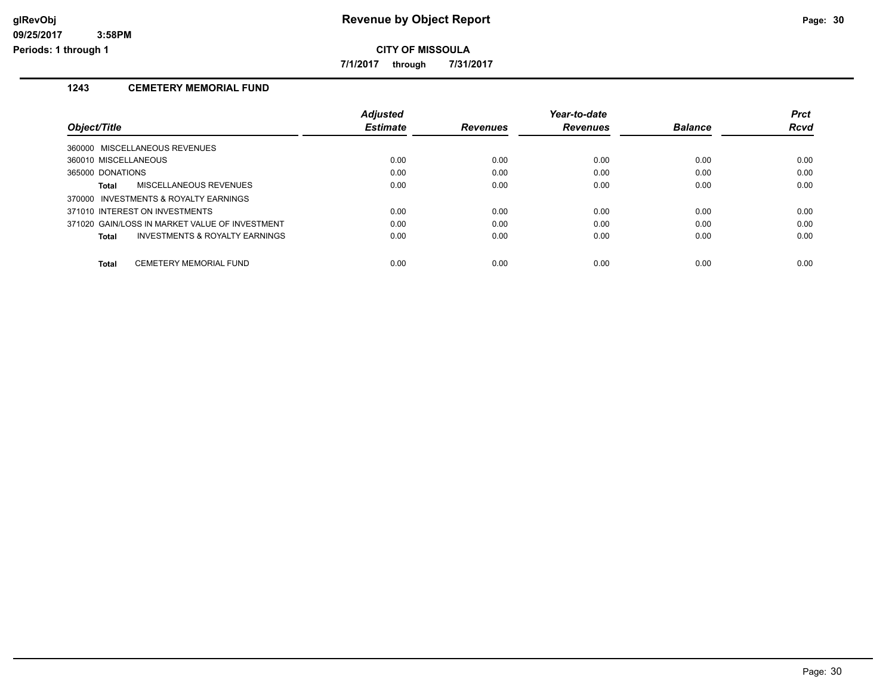**CITY OF MISSOULA**

**7/1/2017 through 7/31/2017**

# **1243 CEMETERY MEMORIAL FUND**

 **3:58PM**

|                                                | <b>Adjusted</b> |                 | Year-to-date    |                | <b>Prct</b> |
|------------------------------------------------|-----------------|-----------------|-----------------|----------------|-------------|
| Object/Title                                   | <b>Estimate</b> | <b>Revenues</b> | <b>Revenues</b> | <b>Balance</b> | <b>Rcvd</b> |
| 360000 MISCELLANEOUS REVENUES                  |                 |                 |                 |                |             |
| 360010 MISCELLANEOUS                           | 0.00            | 0.00            | 0.00            | 0.00           | 0.00        |
| 365000 DONATIONS                               | 0.00            | 0.00            | 0.00            | 0.00           | 0.00        |
| MISCELLANEOUS REVENUES<br>Total                | 0.00            | 0.00            | 0.00            | 0.00           | 0.00        |
| 370000 INVESTMENTS & ROYALTY EARNINGS          |                 |                 |                 |                |             |
| 371010 INTEREST ON INVESTMENTS                 | 0.00            | 0.00            | 0.00            | 0.00           | 0.00        |
| 371020 GAIN/LOSS IN MARKET VALUE OF INVESTMENT | 0.00            | 0.00            | 0.00            | 0.00           | 0.00        |
| INVESTMENTS & ROYALTY EARNINGS<br>Total        | 0.00            | 0.00            | 0.00            | 0.00           | 0.00        |
| <b>CEMETERY MEMORIAL FUND</b><br><b>Total</b>  | 0.00            | 0.00            | 0.00            | 0.00           | 0.00        |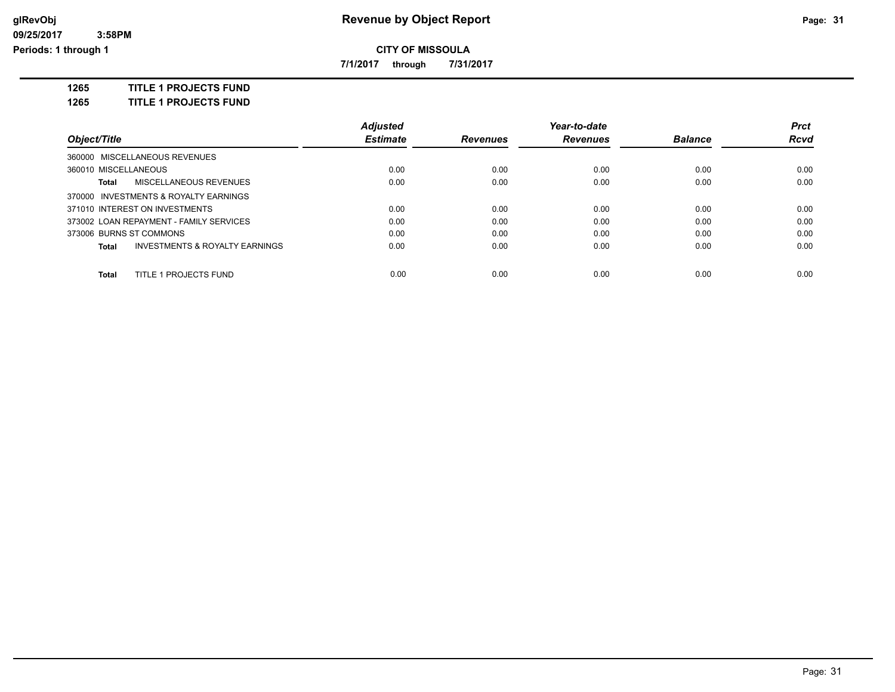**7/1/2017 through 7/31/2017**

**1265 TITLE 1 PROJECTS FUND**

**1265 TITLE 1 PROJECTS FUND**

|                                                    | <b>Adjusted</b> |                 | Year-to-date    |                | <b>Prct</b> |
|----------------------------------------------------|-----------------|-----------------|-----------------|----------------|-------------|
| Object/Title                                       | <b>Estimate</b> | <b>Revenues</b> | <b>Revenues</b> | <b>Balance</b> | Rcvd        |
| 360000 MISCELLANEOUS REVENUES                      |                 |                 |                 |                |             |
| 360010 MISCELLANEOUS                               | 0.00            | 0.00            | 0.00            | 0.00           | 0.00        |
| MISCELLANEOUS REVENUES<br>Total                    | 0.00            | 0.00            | 0.00            | 0.00           | 0.00        |
| 370000 INVESTMENTS & ROYALTY EARNINGS              |                 |                 |                 |                |             |
| 371010 INTEREST ON INVESTMENTS                     | 0.00            | 0.00            | 0.00            | 0.00           | 0.00        |
| 373002 LOAN REPAYMENT - FAMILY SERVICES            | 0.00            | 0.00            | 0.00            | 0.00           | 0.00        |
| 373006 BURNS ST COMMONS                            | 0.00            | 0.00            | 0.00            | 0.00           | 0.00        |
| <b>INVESTMENTS &amp; ROYALTY EARNINGS</b><br>Total | 0.00            | 0.00            | 0.00            | 0.00           | 0.00        |
| TITLE 1 PROJECTS FUND<br>Total                     | 0.00            | 0.00            | 0.00            | 0.00           | 0.00        |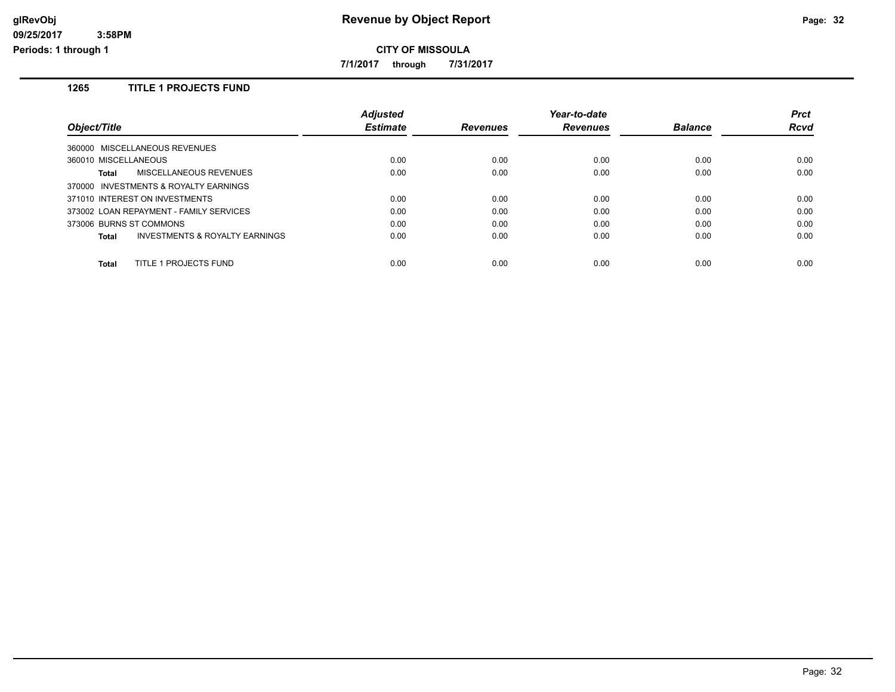**CITY OF MISSOULA**

**7/1/2017 through 7/31/2017**

# **1265 TITLE 1 PROJECTS FUND**

 **3:58PM**

|                                         | <b>Adjusted</b> |                 | Year-to-date    |                | <b>Prct</b> |
|-----------------------------------------|-----------------|-----------------|-----------------|----------------|-------------|
| Object/Title                            | <b>Estimate</b> | <b>Revenues</b> | <b>Revenues</b> | <b>Balance</b> | <b>Rcvd</b> |
| 360000 MISCELLANEOUS REVENUES           |                 |                 |                 |                |             |
| 360010 MISCELLANEOUS                    | 0.00            | 0.00            | 0.00            | 0.00           | 0.00        |
| MISCELLANEOUS REVENUES<br>Total         | 0.00            | 0.00            | 0.00            | 0.00           | 0.00        |
| 370000 INVESTMENTS & ROYALTY EARNINGS   |                 |                 |                 |                |             |
| 371010 INTEREST ON INVESTMENTS          | 0.00            | 0.00            | 0.00            | 0.00           | 0.00        |
| 373002 LOAN REPAYMENT - FAMILY SERVICES | 0.00            | 0.00            | 0.00            | 0.00           | 0.00        |
| 373006 BURNS ST COMMONS                 | 0.00            | 0.00            | 0.00            | 0.00           | 0.00        |
| Total<br>INVESTMENTS & ROYALTY EARNINGS | 0.00            | 0.00            | 0.00            | 0.00           | 0.00        |
| TITLE 1 PROJECTS FUND<br>Total          | 0.00            | 0.00            | 0.00            | 0.00           | 0.00        |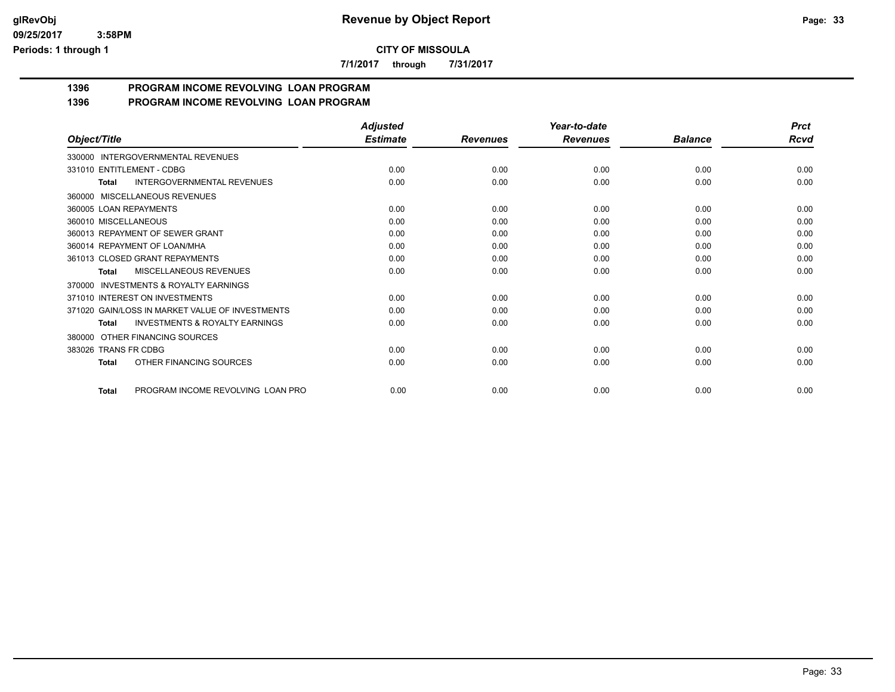**7/1/2017 through 7/31/2017**

### **1396 PROGRAM INCOME REVOLVING LOAN PROGRAM 1396 PROGRAM INCOME REVOLVING LOAN PROGRAM**

|                                                           | <b>Adjusted</b> |                 | Year-to-date    |                | <b>Prct</b> |
|-----------------------------------------------------------|-----------------|-----------------|-----------------|----------------|-------------|
| Object/Title                                              | <b>Estimate</b> | <b>Revenues</b> | <b>Revenues</b> | <b>Balance</b> | <b>Rcvd</b> |
| <b>INTERGOVERNMENTAL REVENUES</b><br>330000               |                 |                 |                 |                |             |
| 331010 ENTITLEMENT - CDBG                                 | 0.00            | 0.00            | 0.00            | 0.00           | 0.00        |
| <b>INTERGOVERNMENTAL REVENUES</b><br>Total                | 0.00            | 0.00            | 0.00            | 0.00           | 0.00        |
| MISCELLANEOUS REVENUES<br>360000                          |                 |                 |                 |                |             |
| 360005 LOAN REPAYMENTS                                    | 0.00            | 0.00            | 0.00            | 0.00           | 0.00        |
| 360010 MISCELLANEOUS                                      | 0.00            | 0.00            | 0.00            | 0.00           | 0.00        |
| 360013 REPAYMENT OF SEWER GRANT                           | 0.00            | 0.00            | 0.00            | 0.00           | 0.00        |
| 360014 REPAYMENT OF LOAN/MHA                              | 0.00            | 0.00            | 0.00            | 0.00           | 0.00        |
| 361013 CLOSED GRANT REPAYMENTS                            | 0.00            | 0.00            | 0.00            | 0.00           | 0.00        |
| MISCELLANEOUS REVENUES<br>Total                           | 0.00            | 0.00            | 0.00            | 0.00           | 0.00        |
| <b>INVESTMENTS &amp; ROYALTY EARNINGS</b><br>370000       |                 |                 |                 |                |             |
| 371010 INTEREST ON INVESTMENTS                            | 0.00            | 0.00            | 0.00            | 0.00           | 0.00        |
| 371020 GAIN/LOSS IN MARKET VALUE OF INVESTMENTS           | 0.00            | 0.00            | 0.00            | 0.00           | 0.00        |
| <b>INVESTMENTS &amp; ROYALTY EARNINGS</b><br><b>Total</b> | 0.00            | 0.00            | 0.00            | 0.00           | 0.00        |
| OTHER FINANCING SOURCES<br>380000                         |                 |                 |                 |                |             |
| 383026 TRANS FR CDBG                                      | 0.00            | 0.00            | 0.00            | 0.00           | 0.00        |
| OTHER FINANCING SOURCES<br><b>Total</b>                   | 0.00            | 0.00            | 0.00            | 0.00           | 0.00        |
| PROGRAM INCOME REVOLVING LOAN PRO<br><b>Total</b>         | 0.00            | 0.00            | 0.00            | 0.00           | 0.00        |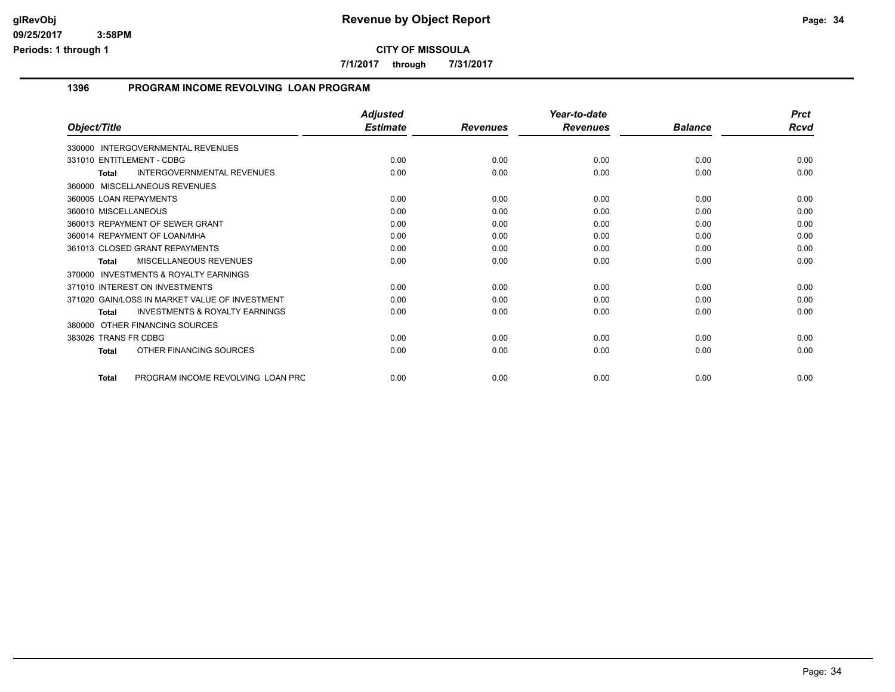**7/1/2017 through 7/31/2017**

# **1396 PROGRAM INCOME REVOLVING LOAN PROGRAM**

|                                                           | <b>Adjusted</b> |                 | Year-to-date    |                | <b>Prct</b> |
|-----------------------------------------------------------|-----------------|-----------------|-----------------|----------------|-------------|
| Object/Title                                              | <b>Estimate</b> | <b>Revenues</b> | <b>Revenues</b> | <b>Balance</b> | Rcvd        |
| 330000 INTERGOVERNMENTAL REVENUES                         |                 |                 |                 |                |             |
| 331010 ENTITLEMENT - CDBG                                 | 0.00            | 0.00            | 0.00            | 0.00           | 0.00        |
| <b>INTERGOVERNMENTAL REVENUES</b><br><b>Total</b>         | 0.00            | 0.00            | 0.00            | 0.00           | 0.00        |
| 360000 MISCELLANEOUS REVENUES                             |                 |                 |                 |                |             |
| 360005 LOAN REPAYMENTS                                    | 0.00            | 0.00            | 0.00            | 0.00           | 0.00        |
| 360010 MISCELLANEOUS                                      | 0.00            | 0.00            | 0.00            | 0.00           | 0.00        |
| 360013 REPAYMENT OF SEWER GRANT                           | 0.00            | 0.00            | 0.00            | 0.00           | 0.00        |
| 360014 REPAYMENT OF LOAN/MHA                              | 0.00            | 0.00            | 0.00            | 0.00           | 0.00        |
| 361013 CLOSED GRANT REPAYMENTS                            | 0.00            | 0.00            | 0.00            | 0.00           | 0.00        |
| MISCELLANEOUS REVENUES<br><b>Total</b>                    | 0.00            | 0.00            | 0.00            | 0.00           | 0.00        |
| 370000 INVESTMENTS & ROYALTY EARNINGS                     |                 |                 |                 |                |             |
| 371010 INTEREST ON INVESTMENTS                            | 0.00            | 0.00            | 0.00            | 0.00           | 0.00        |
| 371020 GAIN/LOSS IN MARKET VALUE OF INVESTMENT            | 0.00            | 0.00            | 0.00            | 0.00           | 0.00        |
| <b>INVESTMENTS &amp; ROYALTY EARNINGS</b><br><b>Total</b> | 0.00            | 0.00            | 0.00            | 0.00           | 0.00        |
| 380000 OTHER FINANCING SOURCES                            |                 |                 |                 |                |             |
| 383026 TRANS FR CDBG                                      | 0.00            | 0.00            | 0.00            | 0.00           | 0.00        |
| OTHER FINANCING SOURCES<br><b>Total</b>                   | 0.00            | 0.00            | 0.00            | 0.00           | 0.00        |
| PROGRAM INCOME REVOLVING LOAN PRC<br><b>Total</b>         | 0.00            | 0.00            | 0.00            | 0.00           | 0.00        |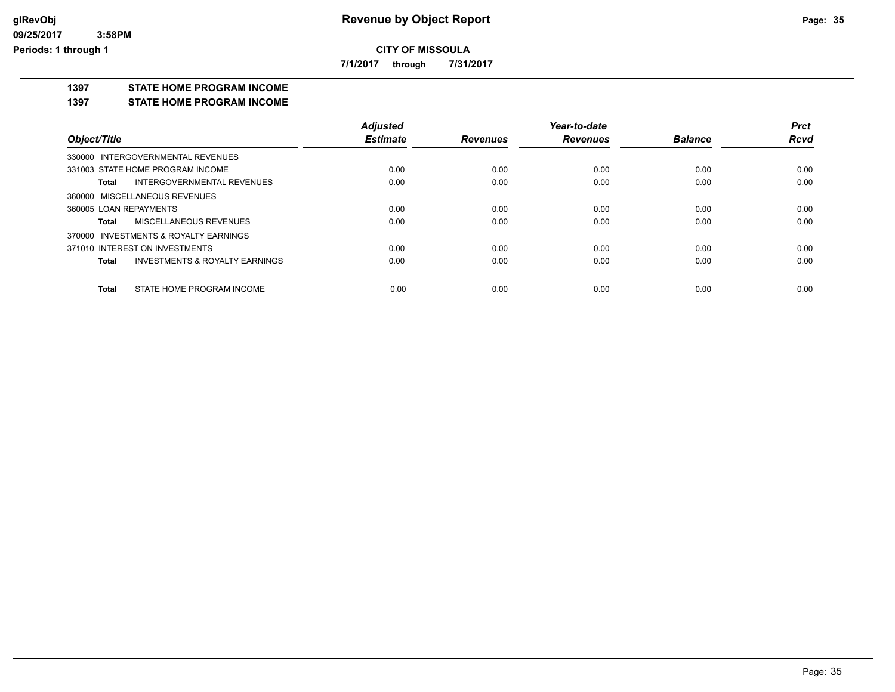**7/1/2017 through 7/31/2017**

# **1397 STATE HOME PROGRAM INCOME**

#### **1397 STATE HOME PROGRAM INCOME**

|                                                           | <b>Adjusted</b> |                 | Year-to-date    |                | <b>Prct</b> |
|-----------------------------------------------------------|-----------------|-----------------|-----------------|----------------|-------------|
| Object/Title                                              | <b>Estimate</b> | <b>Revenues</b> | <b>Revenues</b> | <b>Balance</b> | <b>Rcvd</b> |
| 330000 INTERGOVERNMENTAL REVENUES                         |                 |                 |                 |                |             |
| 331003 STATE HOME PROGRAM INCOME                          | 0.00            | 0.00            | 0.00            | 0.00           | 0.00        |
| INTERGOVERNMENTAL REVENUES<br>Total                       | 0.00            | 0.00            | 0.00            | 0.00           | 0.00        |
| 360000 MISCELLANEOUS REVENUES                             |                 |                 |                 |                |             |
| 360005 LOAN REPAYMENTS                                    | 0.00            | 0.00            | 0.00            | 0.00           | 0.00        |
| MISCELLANEOUS REVENUES<br>Total                           | 0.00            | 0.00            | 0.00            | 0.00           | 0.00        |
| 370000 INVESTMENTS & ROYALTY EARNINGS                     |                 |                 |                 |                |             |
| 371010 INTEREST ON INVESTMENTS                            | 0.00            | 0.00            | 0.00            | 0.00           | 0.00        |
| <b>INVESTMENTS &amp; ROYALTY EARNINGS</b><br><b>Total</b> | 0.00            | 0.00            | 0.00            | 0.00           | 0.00        |
| STATE HOME PROGRAM INCOME<br><b>Total</b>                 | 0.00            | 0.00            | 0.00            | 0.00           | 0.00        |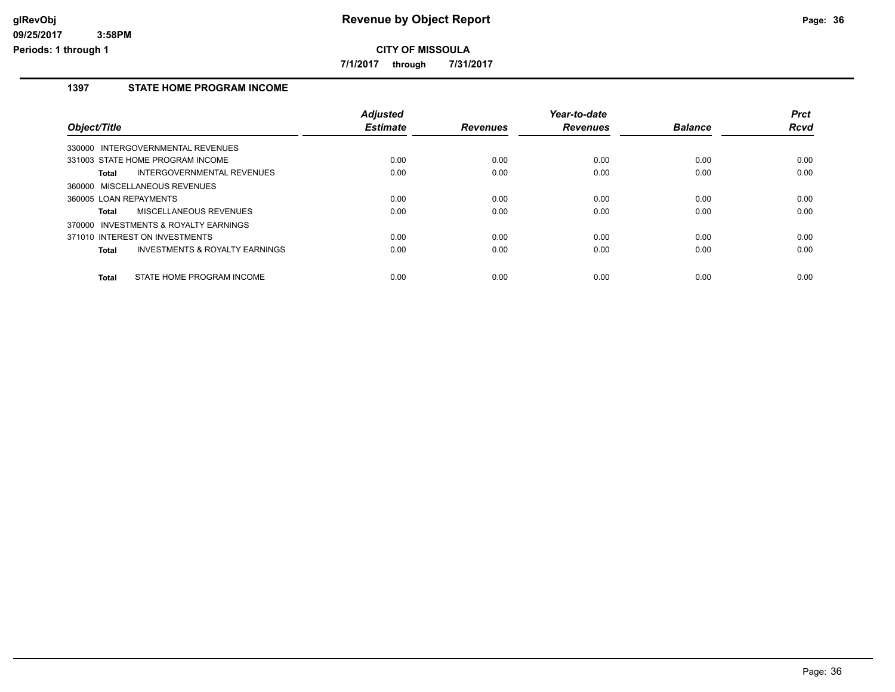**3:58PM**

**CITY OF MISSOULA**

**7/1/2017 through 7/31/2017**

# **1397 STATE HOME PROGRAM INCOME**

| Object/Title                          |                                           | <b>Adjusted</b><br><b>Estimate</b> | <b>Revenues</b> | Year-to-date<br><b>Revenues</b> | <b>Balance</b> | <b>Prct</b><br>Rcvd |
|---------------------------------------|-------------------------------------------|------------------------------------|-----------------|---------------------------------|----------------|---------------------|
| 330000 INTERGOVERNMENTAL REVENUES     |                                           |                                    |                 |                                 |                |                     |
| 331003 STATE HOME PROGRAM INCOME      |                                           | 0.00                               | 0.00            | 0.00                            | 0.00           | 0.00                |
| Total                                 | INTERGOVERNMENTAL REVENUES                | 0.00                               | 0.00            | 0.00                            | 0.00           | 0.00                |
| 360000 MISCELLANEOUS REVENUES         |                                           |                                    |                 |                                 |                |                     |
| 360005 LOAN REPAYMENTS                |                                           | 0.00                               | 0.00            | 0.00                            | 0.00           | 0.00                |
| Total                                 | <b>MISCELLANEOUS REVENUES</b>             | 0.00                               | 0.00            | 0.00                            | 0.00           | 0.00                |
| 370000 INVESTMENTS & ROYALTY EARNINGS |                                           |                                    |                 |                                 |                |                     |
| 371010 INTEREST ON INVESTMENTS        |                                           | 0.00                               | 0.00            | 0.00                            | 0.00           | 0.00                |
| <b>Total</b>                          | <b>INVESTMENTS &amp; ROYALTY EARNINGS</b> | 0.00                               | 0.00            | 0.00                            | 0.00           | 0.00                |
| <b>Total</b>                          | STATE HOME PROGRAM INCOME                 | 0.00                               | 0.00            | 0.00                            | 0.00           | 0.00                |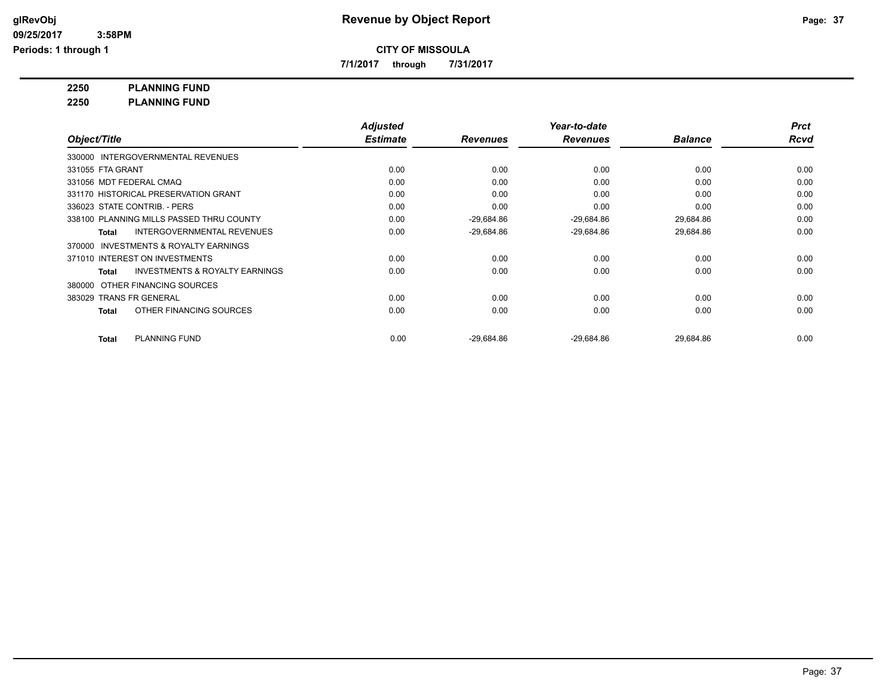**7/1/2017 through 7/31/2017**

**2250 PLANNING FUND**

**2250 PLANNING FUND**

|                                                           | <b>Adjusted</b> |                 | Year-to-date    |                | <b>Prct</b> |
|-----------------------------------------------------------|-----------------|-----------------|-----------------|----------------|-------------|
| Object/Title                                              | <b>Estimate</b> | <b>Revenues</b> | <b>Revenues</b> | <b>Balance</b> | <b>Rcvd</b> |
| 330000 INTERGOVERNMENTAL REVENUES                         |                 |                 |                 |                |             |
| 331055 FTA GRANT                                          | 0.00            | 0.00            | 0.00            | 0.00           | 0.00        |
| 331056 MDT FEDERAL CMAQ                                   | 0.00            | 0.00            | 0.00            | 0.00           | 0.00        |
| 331170 HISTORICAL PRESERVATION GRANT                      | 0.00            | 0.00            | 0.00            | 0.00           | 0.00        |
| 336023 STATE CONTRIB. - PERS                              | 0.00            | 0.00            | 0.00            | 0.00           | 0.00        |
| 338100 PLANNING MILLS PASSED THRU COUNTY                  | 0.00            | $-29,684.86$    | $-29,684.86$    | 29,684.86      | 0.00        |
| <b>INTERGOVERNMENTAL REVENUES</b><br><b>Total</b>         | 0.00            | $-29,684.86$    | $-29,684.86$    | 29,684.86      | 0.00        |
| 370000 INVESTMENTS & ROYALTY EARNINGS                     |                 |                 |                 |                |             |
| 371010 INTEREST ON INVESTMENTS                            | 0.00            | 0.00            | 0.00            | 0.00           | 0.00        |
| <b>INVESTMENTS &amp; ROYALTY EARNINGS</b><br><b>Total</b> | 0.00            | 0.00            | 0.00            | 0.00           | 0.00        |
| OTHER FINANCING SOURCES<br>380000                         |                 |                 |                 |                |             |
| 383029 TRANS FR GENERAL                                   | 0.00            | 0.00            | 0.00            | 0.00           | 0.00        |
| OTHER FINANCING SOURCES<br><b>Total</b>                   | 0.00            | 0.00            | 0.00            | 0.00           | 0.00        |
| <b>PLANNING FUND</b><br><b>Total</b>                      | 0.00            | $-29,684.86$    | $-29.684.86$    | 29,684.86      | 0.00        |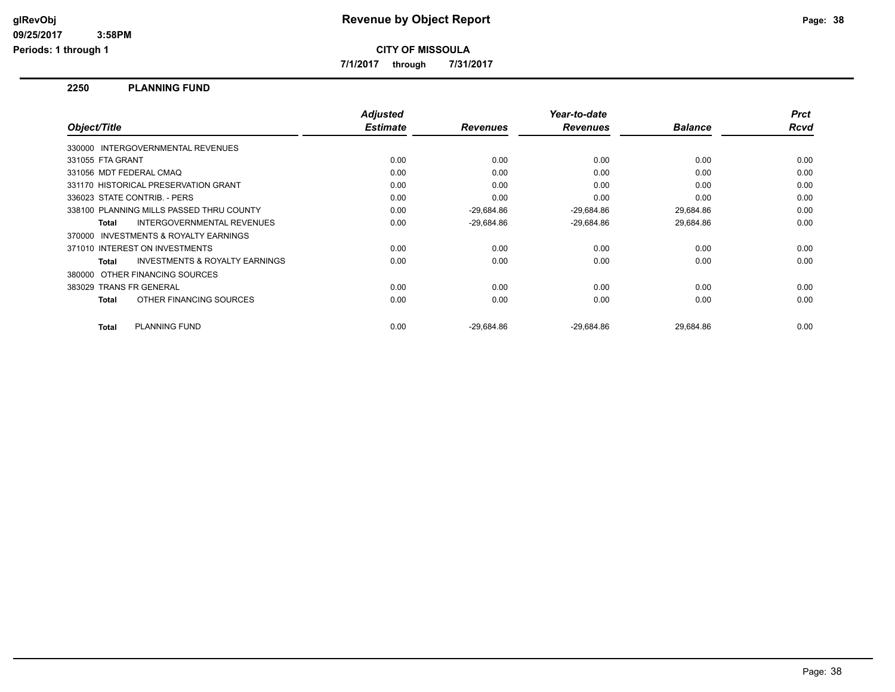**CITY OF MISSOULA**

**7/1/2017 through 7/31/2017**

## **2250 PLANNING FUND**

 **3:58PM**

| Object/Title                                              | <b>Adjusted</b><br><b>Estimate</b> | <b>Revenues</b> | Year-to-date<br><b>Revenues</b> | <b>Balance</b> | <b>Prct</b><br><b>Rcvd</b> |
|-----------------------------------------------------------|------------------------------------|-----------------|---------------------------------|----------------|----------------------------|
| 330000 INTERGOVERNMENTAL REVENUES                         |                                    |                 |                                 |                |                            |
| 331055 FTA GRANT                                          | 0.00                               | 0.00            | 0.00                            | 0.00           | 0.00                       |
| 331056 MDT FEDERAL CMAO                                   | 0.00                               | 0.00            | 0.00                            | 0.00           | 0.00                       |
| 331170 HISTORICAL PRESERVATION GRANT                      | 0.00                               | 0.00            | 0.00                            | 0.00           | 0.00                       |
| 336023 STATE CONTRIB. - PERS                              | 0.00                               | 0.00            | 0.00                            | 0.00           | 0.00                       |
| 338100 PLANNING MILLS PASSED THRU COUNTY                  | 0.00                               | $-29,684.86$    | $-29,684.86$                    | 29,684.86      | 0.00                       |
| <b>INTERGOVERNMENTAL REVENUES</b><br><b>Total</b>         | 0.00                               | $-29,684.86$    | $-29,684.86$                    | 29,684.86      | 0.00                       |
| 370000 INVESTMENTS & ROYALTY EARNINGS                     |                                    |                 |                                 |                |                            |
| 371010 INTEREST ON INVESTMENTS                            | 0.00                               | 0.00            | 0.00                            | 0.00           | 0.00                       |
| <b>INVESTMENTS &amp; ROYALTY EARNINGS</b><br><b>Total</b> | 0.00                               | 0.00            | 0.00                            | 0.00           | 0.00                       |
| 380000 OTHER FINANCING SOURCES                            |                                    |                 |                                 |                |                            |
| 383029 TRANS FR GENERAL                                   | 0.00                               | 0.00            | 0.00                            | 0.00           | 0.00                       |
| OTHER FINANCING SOURCES<br><b>Total</b>                   | 0.00                               | 0.00            | 0.00                            | 0.00           | 0.00                       |
|                                                           |                                    |                 |                                 |                |                            |
| <b>PLANNING FUND</b><br><b>Total</b>                      | 0.00                               | $-29.684.86$    | $-29,684.86$                    | 29.684.86      | 0.00                       |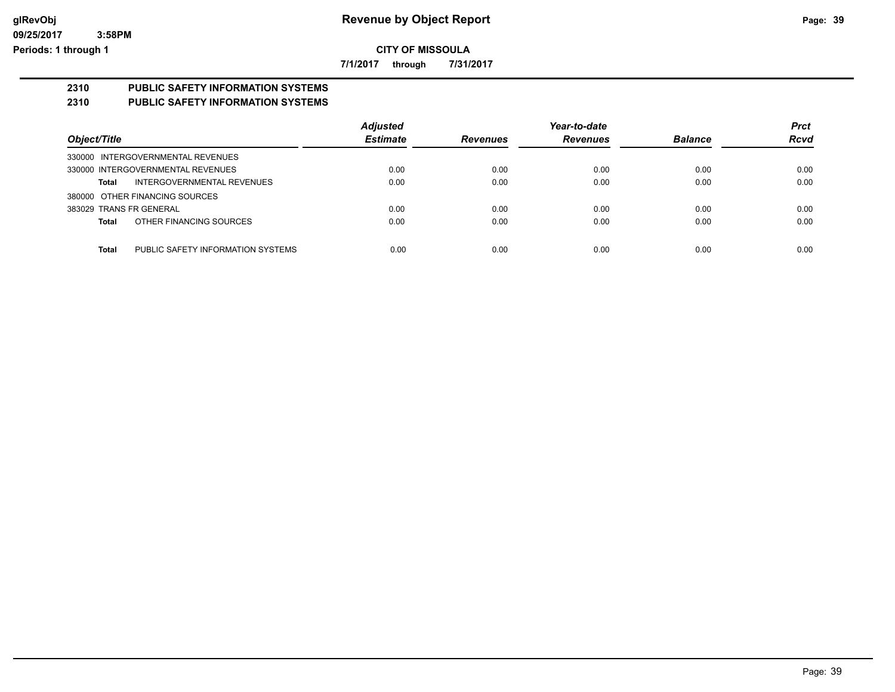**7/1/2017 through 7/31/2017**

# **2310 PUBLIC SAFETY INFORMATION SYSTEMS 2310 PUBLIC SAFETY INFORMATION SYSTEMS**

|                                            | <b>Adjusted</b> |                 | Year-to-date    |                | <b>Prct</b> |
|--------------------------------------------|-----------------|-----------------|-----------------|----------------|-------------|
| Object/Title                               | <b>Estimate</b> | <b>Revenues</b> | <b>Revenues</b> | <b>Balance</b> | Rcvd        |
| 330000 INTERGOVERNMENTAL REVENUES          |                 |                 |                 |                |             |
| 330000 INTERGOVERNMENTAL REVENUES          | 0.00            | 0.00            | 0.00            | 0.00           | 0.00        |
| <b>INTERGOVERNMENTAL REVENUES</b><br>Total | 0.00            | 0.00            | 0.00            | 0.00           | 0.00        |
| 380000 OTHER FINANCING SOURCES             |                 |                 |                 |                |             |
| 383029 TRANS FR GENERAL                    | 0.00            | 0.00            | 0.00            | 0.00           | 0.00        |
| OTHER FINANCING SOURCES<br>Total           | 0.00            | 0.00            | 0.00            | 0.00           | 0.00        |
|                                            |                 |                 |                 |                |             |
| PUBLIC SAFETY INFORMATION SYSTEMS<br>Total | 0.00            | 0.00            | 0.00            | 0.00           | 0.00        |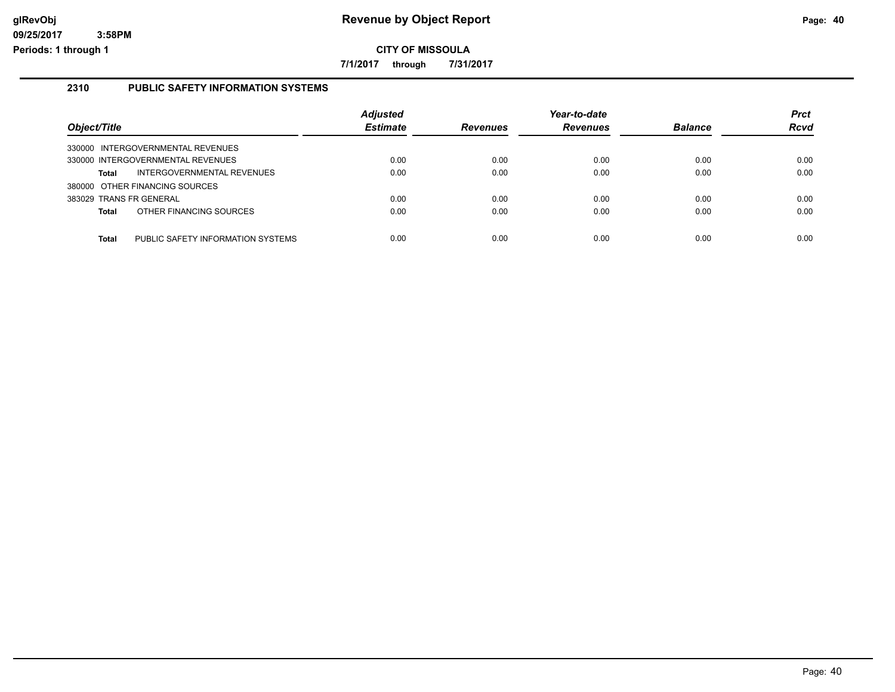**7/1/2017 through 7/31/2017**

# **2310 PUBLIC SAFETY INFORMATION SYSTEMS**

|                                                   | <b>Adjusted</b> |                 | Year-to-date    |                | <b>Prct</b> |
|---------------------------------------------------|-----------------|-----------------|-----------------|----------------|-------------|
| Object/Title                                      | <b>Estimate</b> | <b>Revenues</b> | <b>Revenues</b> | <b>Balance</b> | <b>Rcvd</b> |
| 330000 INTERGOVERNMENTAL REVENUES                 |                 |                 |                 |                |             |
| 330000 INTERGOVERNMENTAL REVENUES                 | 0.00            | 0.00            | 0.00            | 0.00           | 0.00        |
| INTERGOVERNMENTAL REVENUES<br>Total               | 0.00            | 0.00            | 0.00            | 0.00           | 0.00        |
| 380000 OTHER FINANCING SOURCES                    |                 |                 |                 |                |             |
| 383029 TRANS FR GENERAL                           | 0.00            | 0.00            | 0.00            | 0.00           | 0.00        |
| OTHER FINANCING SOURCES<br><b>Total</b>           | 0.00            | 0.00            | 0.00            | 0.00           | 0.00        |
|                                                   |                 |                 |                 |                |             |
| PUBLIC SAFETY INFORMATION SYSTEMS<br><b>Total</b> | 0.00            | 0.00            | 0.00            | 0.00           | 0.00        |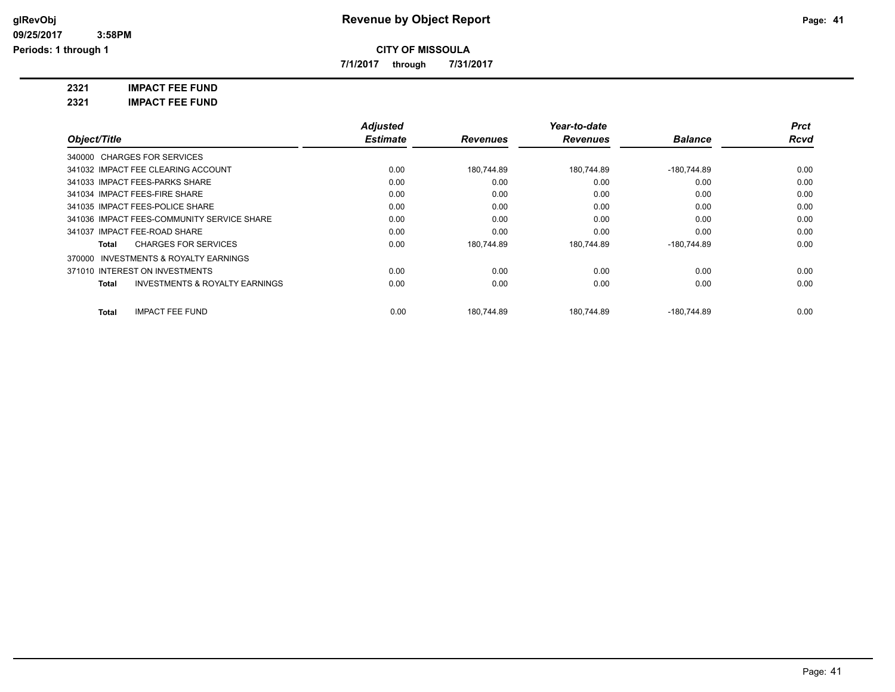**7/1/2017 through 7/31/2017**

**2321 IMPACT FEE FUND**

**2321 IMPACT FEE FUND**

|                                            | <b>Adjusted</b> |                 | Year-to-date    |                | <b>Prct</b> |
|--------------------------------------------|-----------------|-----------------|-----------------|----------------|-------------|
| Object/Title                               | <b>Estimate</b> | <b>Revenues</b> | <b>Revenues</b> | <b>Balance</b> | Rcvd        |
| 340000 CHARGES FOR SERVICES                |                 |                 |                 |                |             |
| 341032 IMPACT FEE CLEARING ACCOUNT         | 0.00            | 180.744.89      | 180.744.89      | $-180.744.89$  | 0.00        |
| 341033 IMPACT FEES-PARKS SHARE             | 0.00            | 0.00            | 0.00            | 0.00           | 0.00        |
| 341034 IMPACT FEES-FIRE SHARE              | 0.00            | 0.00            | 0.00            | 0.00           | 0.00        |
| 341035 IMPACT FEES-POLICE SHARE            | 0.00            | 0.00            | 0.00            | 0.00           | 0.00        |
| 341036 IMPACT FEES-COMMUNITY SERVICE SHARE | 0.00            | 0.00            | 0.00            | 0.00           | 0.00        |
| 341037 IMPACT FEE-ROAD SHARE               | 0.00            | 0.00            | 0.00            | 0.00           | 0.00        |
| <b>CHARGES FOR SERVICES</b><br>Total       | 0.00            | 180.744.89      | 180,744.89      | $-180.744.89$  | 0.00        |
| 370000 INVESTMENTS & ROYALTY EARNINGS      |                 |                 |                 |                |             |
| 371010 INTEREST ON INVESTMENTS             | 0.00            | 0.00            | 0.00            | 0.00           | 0.00        |
| INVESTMENTS & ROYALTY EARNINGS<br>Total    | 0.00            | 0.00            | 0.00            | 0.00           | 0.00        |
| <b>IMPACT FEE FUND</b><br>Total            | 0.00            | 180.744.89      | 180.744.89      | $-180.744.89$  | 0.00        |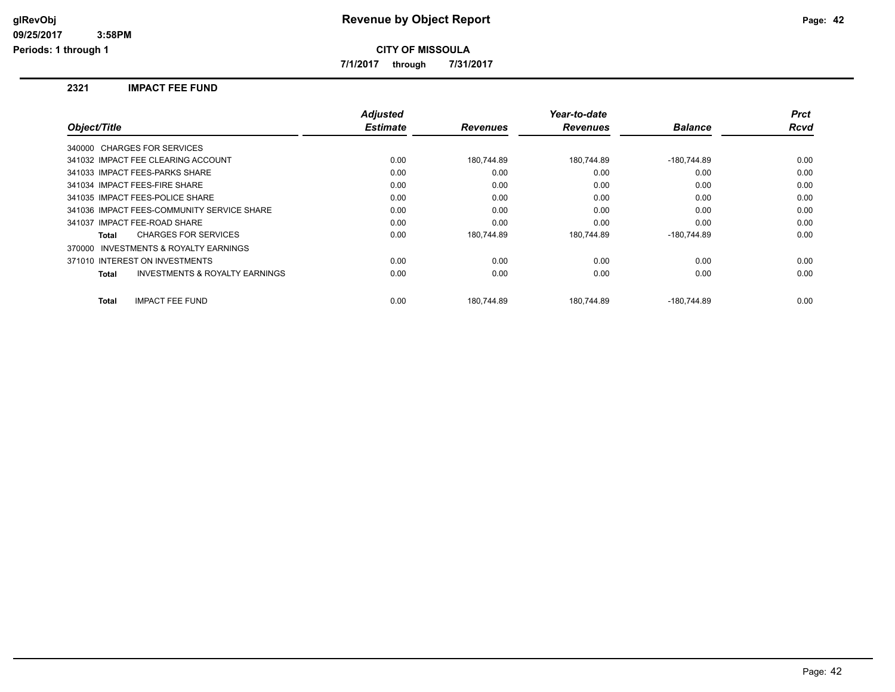**CITY OF MISSOULA**

**7/1/2017 through 7/31/2017**

## **2321 IMPACT FEE FUND**

 **3:58PM**

|                                                | <b>Adjusted</b> |                 | Year-to-date    |                | <b>Prct</b> |
|------------------------------------------------|-----------------|-----------------|-----------------|----------------|-------------|
| Object/Title                                   | <b>Estimate</b> | <b>Revenues</b> | <b>Revenues</b> | <b>Balance</b> | <b>Rcvd</b> |
| 340000 CHARGES FOR SERVICES                    |                 |                 |                 |                |             |
| 341032 IMPACT FEE CLEARING ACCOUNT             | 0.00            | 180,744.89      | 180,744.89      | $-180.744.89$  | 0.00        |
| 341033 IMPACT FEES-PARKS SHARE                 | 0.00            | 0.00            | 0.00            | 0.00           | 0.00        |
| 341034 IMPACT FEES-FIRE SHARE                  | 0.00            | 0.00            | 0.00            | 0.00           | 0.00        |
| 341035 IMPACT FEES-POLICE SHARE                | 0.00            | 0.00            | 0.00            | 0.00           | 0.00        |
| 341036 IMPACT FEES-COMMUNITY SERVICE SHARE     | 0.00            | 0.00            | 0.00            | 0.00           | 0.00        |
| 341037 IMPACT FEE-ROAD SHARE                   | 0.00            | 0.00            | 0.00            | 0.00           | 0.00        |
| <b>CHARGES FOR SERVICES</b><br><b>Total</b>    | 0.00            | 180,744.89      | 180,744.89      | $-180,744.89$  | 0.00        |
| INVESTMENTS & ROYALTY EARNINGS<br>370000       |                 |                 |                 |                |             |
| 371010 INTEREST ON INVESTMENTS                 | 0.00            | 0.00            | 0.00            | 0.00           | 0.00        |
| INVESTMENTS & ROYALTY EARNINGS<br><b>Total</b> | 0.00            | 0.00            | 0.00            | 0.00           | 0.00        |
| <b>IMPACT FEE FUND</b><br><b>Total</b>         | 0.00            | 180,744.89      | 180,744.89      | $-180,744.89$  | 0.00        |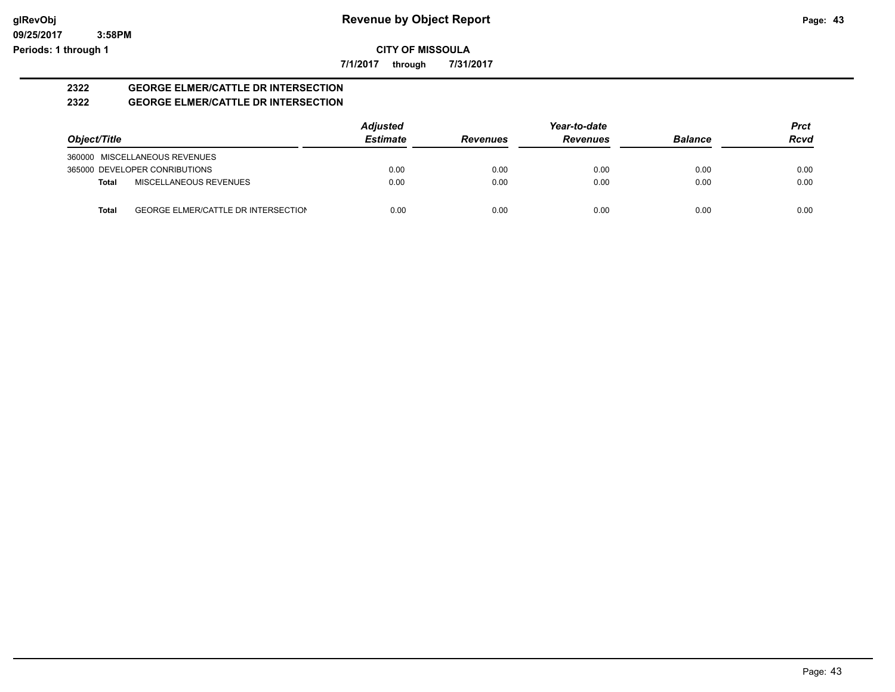# **09/25/2017 3:58PM**

**Periods: 1 through 1**

**CITY OF MISSOULA**

**7/1/2017 through 7/31/2017**

#### **2322 GEORGE ELMER/CATTLE DR INTERSECTION 2322 GEORGE ELMER/CATTLE DR INTERSECTION**

| 2322 | <b>GEORGE ELMER/CATTLE DR INTERSECTION</b> |
|------|--------------------------------------------|
|      |                                            |

|                                                            | <b>Adjusted</b> | Year-to-date    |                 |                | <b>Prct</b> |
|------------------------------------------------------------|-----------------|-----------------|-----------------|----------------|-------------|
| Object/Title                                               | <b>Estimate</b> | <b>Revenues</b> | <b>Revenues</b> | <b>Balance</b> | <b>Rcvd</b> |
| 360000 MISCELLANEOUS REVENUES                              |                 |                 |                 |                |             |
| 365000 DEVELOPER CONRIBUTIONS                              | 0.00            | 0.00            | 0.00            | 0.00           | 0.00        |
| MISCELLANEOUS REVENUES<br>Total                            | 0.00            | 0.00            | 0.00            | 0.00           | 0.00        |
| <b>GEORGE ELMER/CATTLE DR INTERSECTION</b><br><b>Total</b> | 0.00            | 0.00            | 0.00            | 0.00           | 0.00        |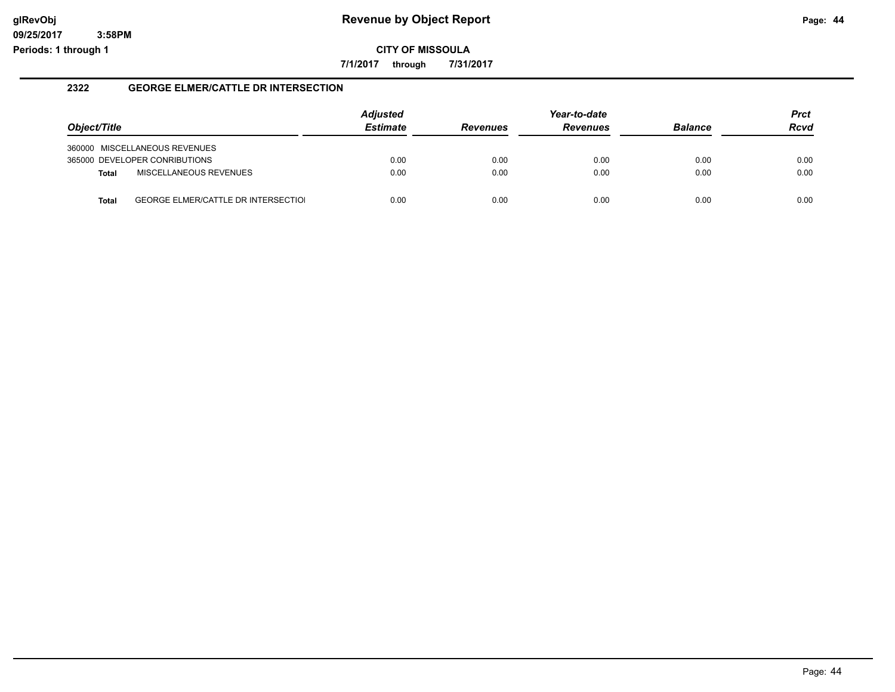**7/1/2017 through 7/31/2017**

# **2322 GEORGE ELMER/CATTLE DR INTERSECTION**

| Object/Title |                                            | <b>Adjusted</b><br><b>Estimate</b> | <b>Revenues</b> | Year-to-date<br><b>Revenues</b> | <b>Balance</b> | <b>Prct</b><br><b>Rcvd</b> |
|--------------|--------------------------------------------|------------------------------------|-----------------|---------------------------------|----------------|----------------------------|
|              | 360000 MISCELLANEOUS REVENUES              |                                    |                 |                                 |                |                            |
|              | 365000 DEVELOPER CONRIBUTIONS              | 0.00                               | 0.00            | 0.00                            | 0.00           | 0.00                       |
| <b>Total</b> | MISCELLANEOUS REVENUES                     | 0.00                               | 0.00            | 0.00                            | 0.00           | 0.00                       |
| <b>Total</b> | <b>GEORGE ELMER/CATTLE DR INTERSECTIOL</b> | 0.00                               | 0.00            | 0.00                            | 0.00           | 0.00                       |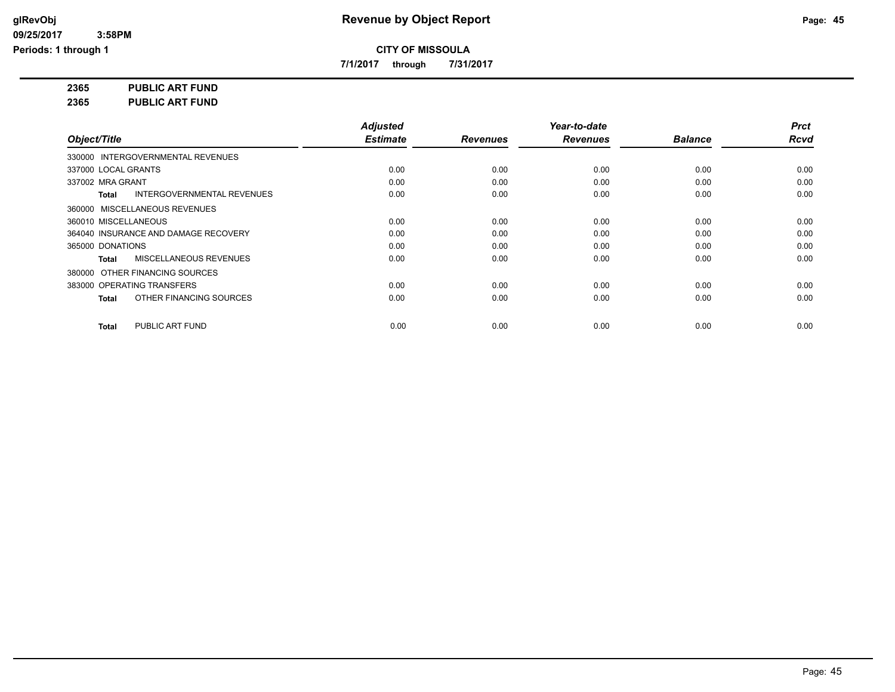**7/1/2017 through 7/31/2017**

**2365 PUBLIC ART FUND**

**2365 PUBLIC ART FUND**

|                                            | <b>Adjusted</b> |                 | Year-to-date    |                | <b>Prct</b> |
|--------------------------------------------|-----------------|-----------------|-----------------|----------------|-------------|
| Object/Title                               | <b>Estimate</b> | <b>Revenues</b> | <b>Revenues</b> | <b>Balance</b> | <b>Rcvd</b> |
| 330000 INTERGOVERNMENTAL REVENUES          |                 |                 |                 |                |             |
| 337000 LOCAL GRANTS                        | 0.00            | 0.00            | 0.00            | 0.00           | 0.00        |
| 337002 MRA GRANT                           | 0.00            | 0.00            | 0.00            | 0.00           | 0.00        |
| <b>INTERGOVERNMENTAL REVENUES</b><br>Total | 0.00            | 0.00            | 0.00            | 0.00           | 0.00        |
| 360000 MISCELLANEOUS REVENUES              |                 |                 |                 |                |             |
| 360010 MISCELLANEOUS                       | 0.00            | 0.00            | 0.00            | 0.00           | 0.00        |
| 364040 INSURANCE AND DAMAGE RECOVERY       | 0.00            | 0.00            | 0.00            | 0.00           | 0.00        |
| 365000 DONATIONS                           | 0.00            | 0.00            | 0.00            | 0.00           | 0.00        |
| MISCELLANEOUS REVENUES<br>Total            | 0.00            | 0.00            | 0.00            | 0.00           | 0.00        |
| 380000 OTHER FINANCING SOURCES             |                 |                 |                 |                |             |
| 383000 OPERATING TRANSFERS                 | 0.00            | 0.00            | 0.00            | 0.00           | 0.00        |
| OTHER FINANCING SOURCES<br>Total           | 0.00            | 0.00            | 0.00            | 0.00           | 0.00        |
|                                            |                 |                 |                 |                |             |
| PUBLIC ART FUND<br>Total                   | 0.00            | 0.00            | 0.00            | 0.00           | 0.00        |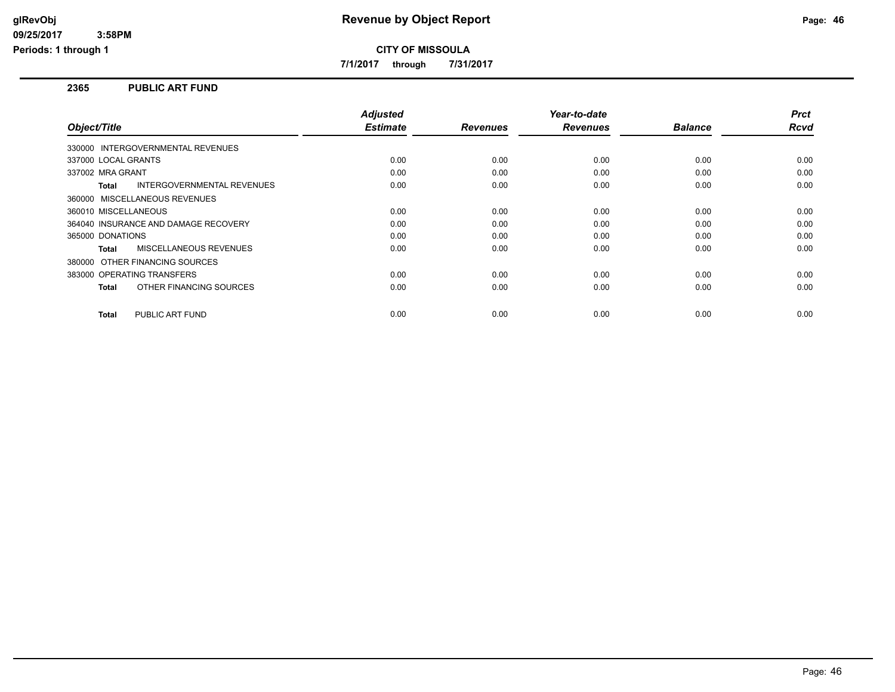**CITY OF MISSOULA**

**7/1/2017 through 7/31/2017**

## **2365 PUBLIC ART FUND**

 **3:58PM**

|                                                   | <b>Adjusted</b> |                 | Year-to-date    |                | Prct        |
|---------------------------------------------------|-----------------|-----------------|-----------------|----------------|-------------|
| Object/Title                                      | <b>Estimate</b> | <b>Revenues</b> | <b>Revenues</b> | <b>Balance</b> | <b>Rcvd</b> |
| 330000 INTERGOVERNMENTAL REVENUES                 |                 |                 |                 |                |             |
| 337000 LOCAL GRANTS                               | 0.00            | 0.00            | 0.00            | 0.00           | 0.00        |
| 337002 MRA GRANT                                  | 0.00            | 0.00            | 0.00            | 0.00           | 0.00        |
| <b>INTERGOVERNMENTAL REVENUES</b><br><b>Total</b> | 0.00            | 0.00            | 0.00            | 0.00           | 0.00        |
| 360000 MISCELLANEOUS REVENUES                     |                 |                 |                 |                |             |
| 360010 MISCELLANEOUS                              | 0.00            | 0.00            | 0.00            | 0.00           | 0.00        |
| 364040 INSURANCE AND DAMAGE RECOVERY              | 0.00            | 0.00            | 0.00            | 0.00           | 0.00        |
| 365000 DONATIONS                                  | 0.00            | 0.00            | 0.00            | 0.00           | 0.00        |
| MISCELLANEOUS REVENUES<br><b>Total</b>            | 0.00            | 0.00            | 0.00            | 0.00           | 0.00        |
| 380000 OTHER FINANCING SOURCES                    |                 |                 |                 |                |             |
| 383000 OPERATING TRANSFERS                        | 0.00            | 0.00            | 0.00            | 0.00           | 0.00        |
| OTHER FINANCING SOURCES<br><b>Total</b>           | 0.00            | 0.00            | 0.00            | 0.00           | 0.00        |
|                                                   |                 |                 |                 |                |             |
| PUBLIC ART FUND<br><b>Total</b>                   | 0.00            | 0.00            | 0.00            | 0.00           | 0.00        |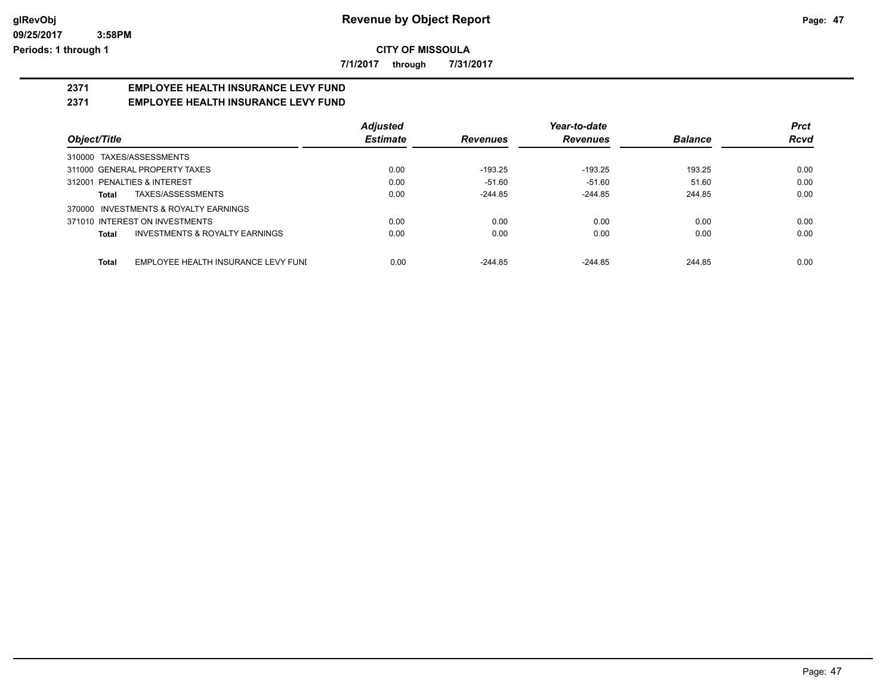# **09/25/2017**

**Periods: 1 through 1**

 **3:58PM**

**CITY OF MISSOULA**

**7/1/2017 through 7/31/2017**

# **2371 EMPLOYEE HEALTH INSURANCE LEVY FUND**

# **2371 EMPLOYEE HEALTH INSURANCE LEVY FUND**

|                                                           | <b>Adjusted</b> |                 | Year-to-date    |                | <b>Prct</b> |
|-----------------------------------------------------------|-----------------|-----------------|-----------------|----------------|-------------|
| Object/Title                                              | <b>Estimate</b> | <b>Revenues</b> | <b>Revenues</b> | <b>Balance</b> | <b>Rcvd</b> |
| 310000 TAXES/ASSESSMENTS                                  |                 |                 |                 |                |             |
| 311000 GENERAL PROPERTY TAXES                             | 0.00            | $-193.25$       | $-193.25$       | 193.25         | 0.00        |
| 312001 PENALTIES & INTEREST                               | 0.00            | $-51.60$        | $-51.60$        | 51.60          | 0.00        |
| TAXES/ASSESSMENTS<br>Total                                | 0.00            | $-244.85$       | $-244.85$       | 244.85         | 0.00        |
| 370000 INVESTMENTS & ROYALTY EARNINGS                     |                 |                 |                 |                |             |
| 371010 INTEREST ON INVESTMENTS                            | 0.00            | 0.00            | 0.00            | 0.00           | 0.00        |
| <b>INVESTMENTS &amp; ROYALTY EARNINGS</b><br><b>Total</b> | 0.00            | 0.00            | 0.00            | 0.00           | 0.00        |
| EMPLOYEE HEALTH INSURANCE LEVY FUNI<br><b>Total</b>       | 0.00            | $-244.85$       | $-244.85$       | 244.85         | 0.00        |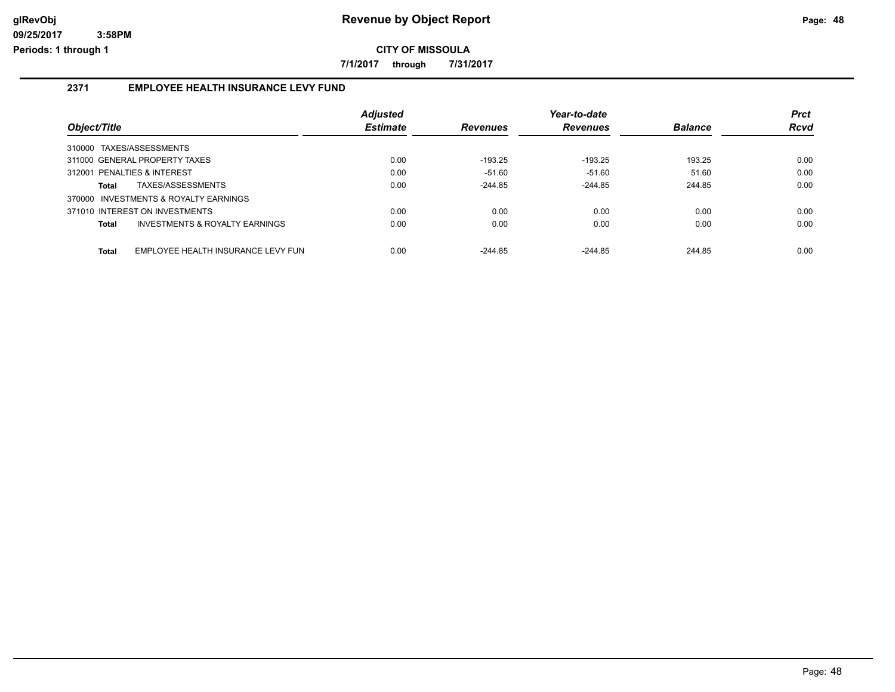**7/1/2017 through 7/31/2017**

# **2371 EMPLOYEE HEALTH INSURANCE LEVY FUND**

|                                                    | <b>Adjusted</b> |                 | Year-to-date    |                | Prct        |
|----------------------------------------------------|-----------------|-----------------|-----------------|----------------|-------------|
| Object/Title                                       | <b>Estimate</b> | <b>Revenues</b> | <b>Revenues</b> | <b>Balance</b> | <b>Rcvd</b> |
| 310000 TAXES/ASSESSMENTS                           |                 |                 |                 |                |             |
| 311000 GENERAL PROPERTY TAXES                      | 0.00            | $-193.25$       | $-193.25$       | 193.25         | 0.00        |
| 312001 PENALTIES & INTEREST                        | 0.00            | $-51.60$        | $-51.60$        | 51.60          | 0.00        |
| TAXES/ASSESSMENTS<br>Total                         | 0.00            | $-244.85$       | $-244.85$       | 244.85         | 0.00        |
| 370000 INVESTMENTS & ROYALTY EARNINGS              |                 |                 |                 |                |             |
| 371010 INTEREST ON INVESTMENTS                     | 0.00            | 0.00            | 0.00            | 0.00           | 0.00        |
| INVESTMENTS & ROYALTY EARNINGS<br>Total            | 0.00            | 0.00            | 0.00            | 0.00           | 0.00        |
|                                                    |                 |                 |                 |                |             |
| <b>Total</b><br>EMPLOYEE HEALTH INSURANCE LEVY FUN | 0.00            | $-244.85$       | $-244.85$       | 244.85         | 0.00        |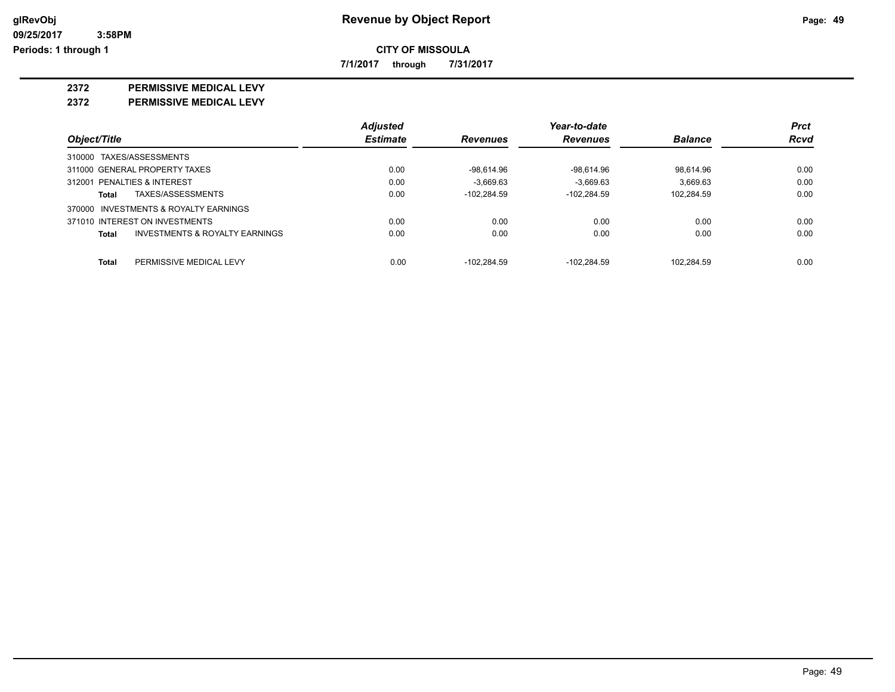**7/1/2017 through 7/31/2017**

**2372 PERMISSIVE MEDICAL LEVY**

**2372 PERMISSIVE MEDICAL LEVY**

|                                                    | <b>Adjusted</b> |                 | Year-to-date    |                | <b>Prct</b> |
|----------------------------------------------------|-----------------|-----------------|-----------------|----------------|-------------|
| Object/Title                                       | <b>Estimate</b> | <b>Revenues</b> | <b>Revenues</b> | <b>Balance</b> | <b>Rcvd</b> |
| 310000 TAXES/ASSESSMENTS                           |                 |                 |                 |                |             |
| 311000 GENERAL PROPERTY TAXES                      | 0.00            | $-98.614.96$    | $-98.614.96$    | 98.614.96      | 0.00        |
| 312001 PENALTIES & INTEREST                        | 0.00            | $-3.669.63$     | $-3.669.63$     | 3.669.63       | 0.00        |
| TAXES/ASSESSMENTS<br>Total                         | 0.00            | $-102.284.59$   | $-102.284.59$   | 102.284.59     | 0.00        |
| 370000 INVESTMENTS & ROYALTY EARNINGS              |                 |                 |                 |                |             |
| 371010 INTEREST ON INVESTMENTS                     | 0.00            | 0.00            | 0.00            | 0.00           | 0.00        |
| <b>INVESTMENTS &amp; ROYALTY EARNINGS</b><br>Total | 0.00            | 0.00            | 0.00            | 0.00           | 0.00        |
| Total<br>PERMISSIVE MEDICAL LEVY                   | 0.00            | $-102.284.59$   | $-102.284.59$   | 102.284.59     | 0.00        |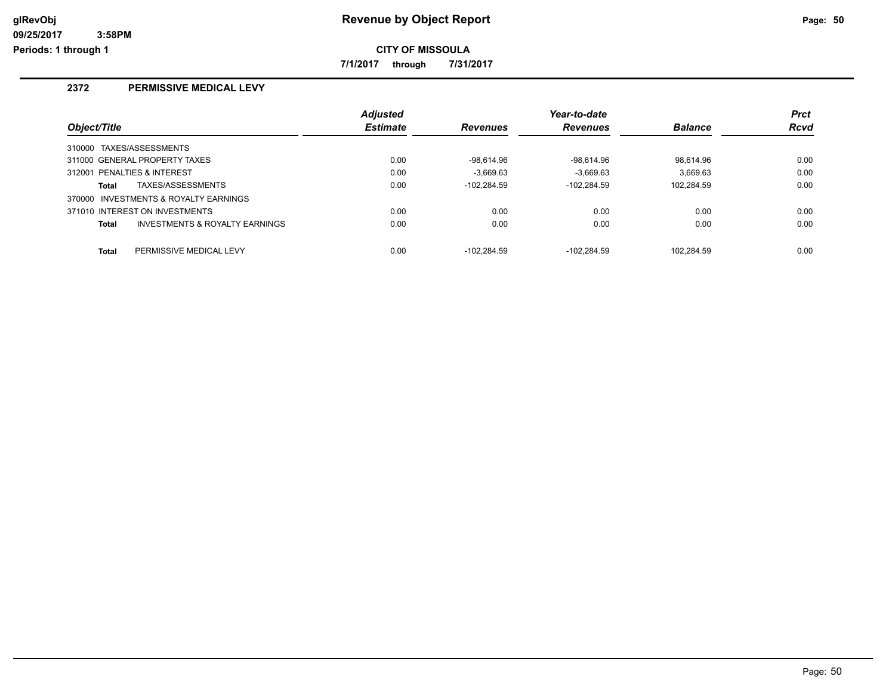**CITY OF MISSOULA**

**7/1/2017 through 7/31/2017**

# **2372 PERMISSIVE MEDICAL LEVY**

 **3:58PM**

|                                                | <b>Adiusted</b> |                 | Year-to-date    |                | <b>Prct</b> |
|------------------------------------------------|-----------------|-----------------|-----------------|----------------|-------------|
| Object/Title                                   | <b>Estimate</b> | <b>Revenues</b> | <b>Revenues</b> | <b>Balance</b> | <b>Rcvd</b> |
| 310000 TAXES/ASSESSMENTS                       |                 |                 |                 |                |             |
| 311000 GENERAL PROPERTY TAXES                  | 0.00            | $-98.614.96$    | $-98.614.96$    | 98.614.96      | 0.00        |
| 312001 PENALTIES & INTEREST                    | 0.00            | $-3.669.63$     | $-3.669.63$     | 3.669.63       | 0.00        |
| TAXES/ASSESSMENTS<br><b>Total</b>              | 0.00            | $-102.284.59$   | $-102.284.59$   | 102,284.59     | 0.00        |
| 370000 INVESTMENTS & ROYALTY EARNINGS          |                 |                 |                 |                |             |
| 371010 INTEREST ON INVESTMENTS                 | 0.00            | 0.00            | 0.00            | 0.00           | 0.00        |
| INVESTMENTS & ROYALTY EARNINGS<br><b>Total</b> | 0.00            | 0.00            | 0.00            | 0.00           | 0.00        |
| <b>Total</b><br>PERMISSIVE MEDICAL LEVY        | 0.00            | $-102.284.59$   | $-102.284.59$   | 102.284.59     | 0.00        |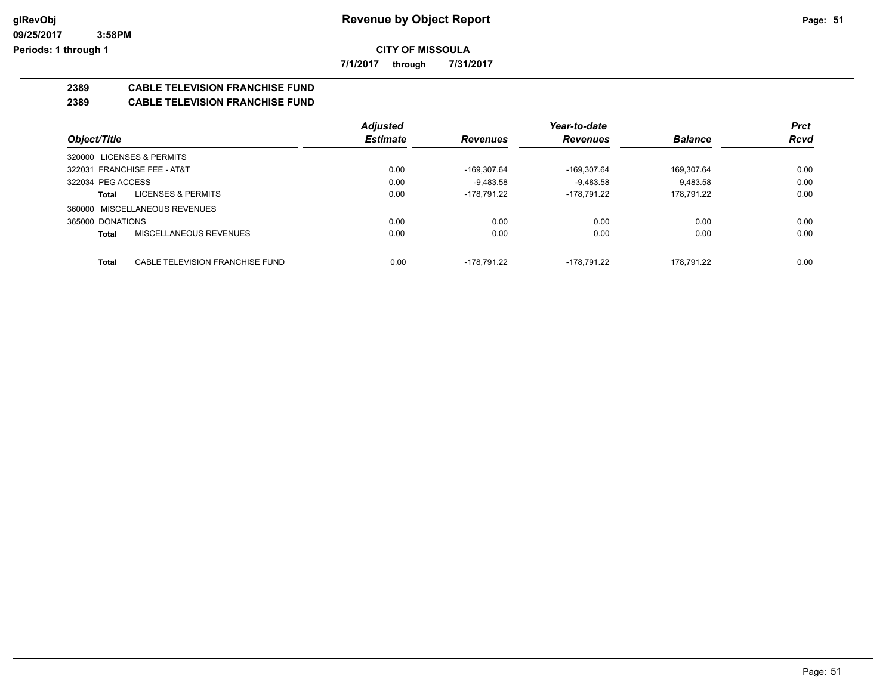**7/1/2017 through 7/31/2017**

# **2389 CABLE TELEVISION FRANCHISE FUND**

# **2389 CABLE TELEVISION FRANCHISE FUND**

|                                          | <b>Adjusted</b> |                 | Year-to-date    |                | <b>Prct</b> |
|------------------------------------------|-----------------|-----------------|-----------------|----------------|-------------|
| Object/Title                             | <b>Estimate</b> | <b>Revenues</b> | <b>Revenues</b> | <b>Balance</b> | <b>Rcvd</b> |
| 320000 LICENSES & PERMITS                |                 |                 |                 |                |             |
| 322031 FRANCHISE FEE - AT&T              | 0.00            | $-169.307.64$   | -169.307.64     | 169.307.64     | 0.00        |
| 322034 PEG ACCESS                        | 0.00            | $-9.483.58$     | $-9.483.58$     | 9.483.58       | 0.00        |
| LICENSES & PERMITS<br>Total              | 0.00            | $-178.791.22$   | $-178.791.22$   | 178.791.22     | 0.00        |
| 360000 MISCELLANEOUS REVENUES            |                 |                 |                 |                |             |
| 365000 DONATIONS                         | 0.00            | 0.00            | 0.00            | 0.00           | 0.00        |
| MISCELLANEOUS REVENUES<br><b>Total</b>   | 0.00            | 0.00            | 0.00            | 0.00           | 0.00        |
| CABLE TELEVISION FRANCHISE FUND<br>Total | 0.00            | $-178.791.22$   | $-178.791.22$   | 178.791.22     | 0.00        |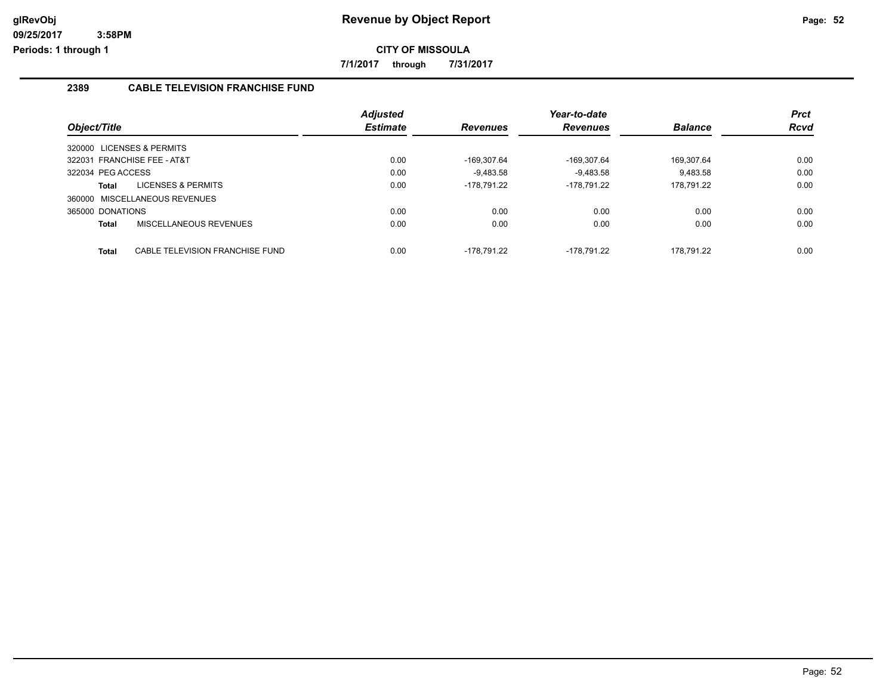**CITY OF MISSOULA**

**7/1/2017 through 7/31/2017**

# **2389 CABLE TELEVISION FRANCHISE FUND**

|                                          | <b>Adjusted</b> |                 | Year-to-date    |                | <b>Prct</b> |
|------------------------------------------|-----------------|-----------------|-----------------|----------------|-------------|
| Object/Title                             | <b>Estimate</b> | <b>Revenues</b> | <b>Revenues</b> | <b>Balance</b> | <b>Rcvd</b> |
| 320000 LICENSES & PERMITS                |                 |                 |                 |                |             |
| 322031 FRANCHISE FEE - AT&T              | 0.00            | -169.307.64     | -169.307.64     | 169.307.64     | 0.00        |
| 322034 PEG ACCESS                        | 0.00            | -9.483.58       | $-9.483.58$     | 9.483.58       | 0.00        |
| <b>LICENSES &amp; PERMITS</b><br>Total   | 0.00            | -178.791.22     | $-178.791.22$   | 178.791.22     | 0.00        |
| 360000 MISCELLANEOUS REVENUES            |                 |                 |                 |                |             |
| 365000 DONATIONS                         | 0.00            | 0.00            | 0.00            | 0.00           | 0.00        |
| MISCELLANEOUS REVENUES<br>Total          | 0.00            | 0.00            | 0.00            | 0.00           | 0.00        |
|                                          |                 |                 |                 |                |             |
| Total<br>CABLE TELEVISION FRANCHISE FUND | 0.00            | $-178.791.22$   | $-178.791.22$   | 178.791.22     | 0.00        |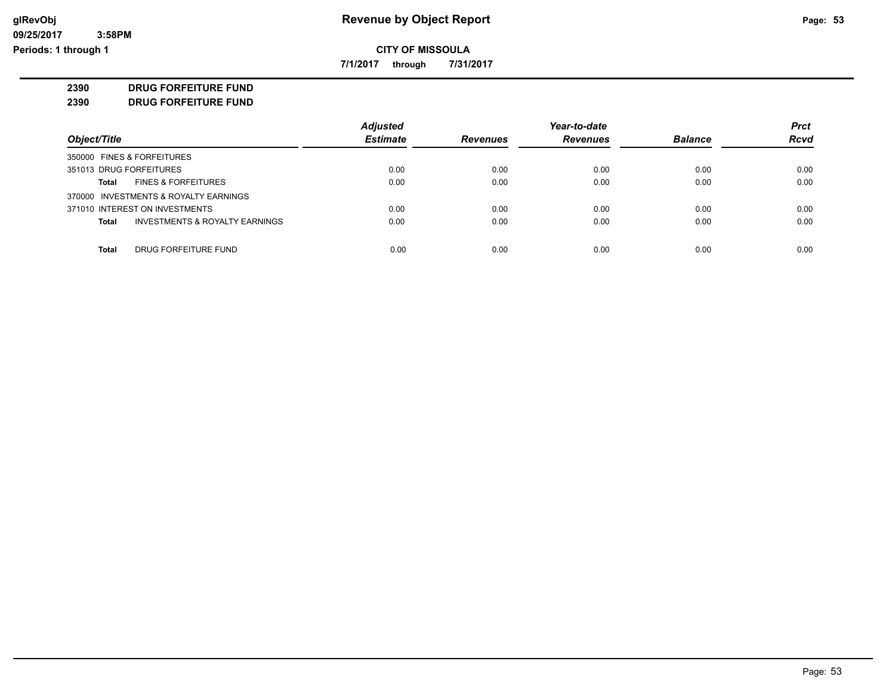**7/1/2017 through 7/31/2017**

**2390 DRUG FORFEITURE FUND**

**2390 DRUG FORFEITURE FUND**

|                                                           | <b>Adjusted</b> |                 | Year-to-date    |                | <b>Prct</b> |
|-----------------------------------------------------------|-----------------|-----------------|-----------------|----------------|-------------|
| Object/Title                                              | <b>Estimate</b> | <b>Revenues</b> | <b>Revenues</b> | <b>Balance</b> | <b>Rcvd</b> |
| 350000 FINES & FORFEITURES                                |                 |                 |                 |                |             |
| 351013 DRUG FORFEITURES                                   | 0.00            | 0.00            | 0.00            | 0.00           | 0.00        |
| <b>FINES &amp; FORFEITURES</b><br><b>Total</b>            | 0.00            | 0.00            | 0.00            | 0.00           | 0.00        |
| 370000 INVESTMENTS & ROYALTY EARNINGS                     |                 |                 |                 |                |             |
| 371010 INTEREST ON INVESTMENTS                            | 0.00            | 0.00            | 0.00            | 0.00           | 0.00        |
| <b>INVESTMENTS &amp; ROYALTY EARNINGS</b><br><b>Total</b> | 0.00            | 0.00            | 0.00            | 0.00           | 0.00        |
|                                                           |                 |                 |                 |                |             |
| DRUG FORFEITURE FUND<br><b>Total</b>                      | 0.00            | 0.00            | 0.00            | 0.00           | 0.00        |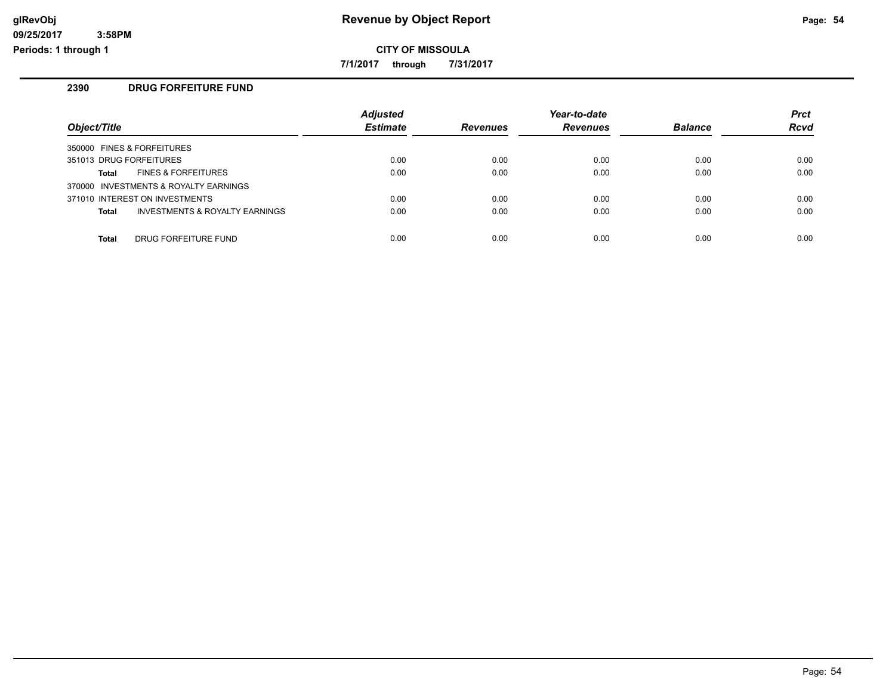**CITY OF MISSOULA**

**7/1/2017 through 7/31/2017**

## **2390 DRUG FORFEITURE FUND**

 **3:58PM**

| Object/Title                                              | <b>Adjusted</b><br><b>Estimate</b> | <b>Revenues</b> | Year-to-date<br><b>Revenues</b> | <b>Balance</b> | <b>Prct</b><br><b>Rcvd</b> |
|-----------------------------------------------------------|------------------------------------|-----------------|---------------------------------|----------------|----------------------------|
| 350000 FINES & FORFEITURES                                |                                    |                 |                                 |                |                            |
| 351013 DRUG FORFEITURES                                   | 0.00                               | 0.00            | 0.00                            | 0.00           | 0.00                       |
| <b>FINES &amp; FORFEITURES</b><br>Total                   | 0.00                               | 0.00            | 0.00                            | 0.00           | 0.00                       |
| 370000 INVESTMENTS & ROYALTY EARNINGS                     |                                    |                 |                                 |                |                            |
| 371010 INTEREST ON INVESTMENTS                            | 0.00                               | 0.00            | 0.00                            | 0.00           | 0.00                       |
| <b>INVESTMENTS &amp; ROYALTY EARNINGS</b><br><b>Total</b> | 0.00                               | 0.00            | 0.00                            | 0.00           | 0.00                       |
|                                                           |                                    |                 |                                 |                |                            |
| DRUG FORFEITURE FUND<br><b>Total</b>                      | 0.00                               | 0.00            | 0.00                            | 0.00           | 0.00                       |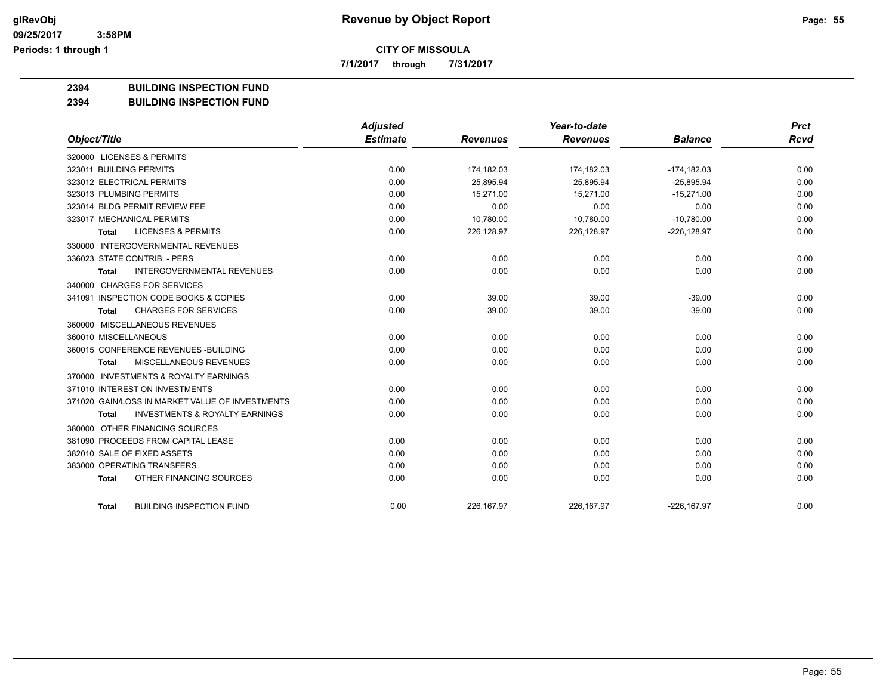**7/1/2017 through 7/31/2017**

**2394 BUILDING INSPECTION FUND**

**2394 BUILDING INSPECTION FUND**

|                                                    | <b>Adjusted</b> |                 | Year-to-date    |                | <b>Prct</b> |
|----------------------------------------------------|-----------------|-----------------|-----------------|----------------|-------------|
| Object/Title                                       | <b>Estimate</b> | <b>Revenues</b> | <b>Revenues</b> | <b>Balance</b> | <b>Rcvd</b> |
| 320000 LICENSES & PERMITS                          |                 |                 |                 |                |             |
| 323011 BUILDING PERMITS                            | 0.00            | 174,182.03      | 174,182.03      | $-174, 182.03$ | 0.00        |
| 323012 ELECTRICAL PERMITS                          | 0.00            | 25,895.94       | 25,895.94       | $-25,895.94$   | 0.00        |
| 323013 PLUMBING PERMITS                            | 0.00            | 15.271.00       | 15.271.00       | $-15.271.00$   | 0.00        |
| 323014 BLDG PERMIT REVIEW FEE                      | 0.00            | 0.00            | 0.00            | 0.00           | 0.00        |
| 323017 MECHANICAL PERMITS                          | 0.00            | 10,780.00       | 10,780.00       | $-10,780.00$   | 0.00        |
| <b>LICENSES &amp; PERMITS</b><br><b>Total</b>      | 0.00            | 226,128.97      | 226,128.97      | $-226, 128.97$ | 0.00        |
| 330000 INTERGOVERNMENTAL REVENUES                  |                 |                 |                 |                |             |
| 336023 STATE CONTRIB. - PERS                       | 0.00            | 0.00            | 0.00            | 0.00           | 0.00        |
| <b>INTERGOVERNMENTAL REVENUES</b><br><b>Total</b>  | 0.00            | 0.00            | 0.00            | 0.00           | 0.00        |
| 340000 CHARGES FOR SERVICES                        |                 |                 |                 |                |             |
| 341091 INSPECTION CODE BOOKS & COPIES              | 0.00            | 39.00           | 39.00           | $-39.00$       | 0.00        |
| <b>CHARGES FOR SERVICES</b><br>Total               | 0.00            | 39.00           | 39.00           | $-39.00$       | 0.00        |
| 360000 MISCELLANEOUS REVENUES                      |                 |                 |                 |                |             |
| 360010 MISCELLANEOUS                               | 0.00            | 0.00            | 0.00            | 0.00           | 0.00        |
| 360015 CONFERENCE REVENUES - BUILDING              | 0.00            | 0.00            | 0.00            | 0.00           | 0.00        |
| MISCELLANEOUS REVENUES<br>Total                    | 0.00            | 0.00            | 0.00            | 0.00           | 0.00        |
| 370000 INVESTMENTS & ROYALTY EARNINGS              |                 |                 |                 |                |             |
| 371010 INTEREST ON INVESTMENTS                     | 0.00            | 0.00            | 0.00            | 0.00           | 0.00        |
| 371020 GAIN/LOSS IN MARKET VALUE OF INVESTMENTS    | 0.00            | 0.00            | 0.00            | 0.00           | 0.00        |
| <b>INVESTMENTS &amp; ROYALTY EARNINGS</b><br>Total | 0.00            | 0.00            | 0.00            | 0.00           | 0.00        |
| OTHER FINANCING SOURCES<br>380000                  |                 |                 |                 |                |             |
| 381090 PROCEEDS FROM CAPITAL LEASE                 | 0.00            | 0.00            | 0.00            | 0.00           | 0.00        |
| 382010 SALE OF FIXED ASSETS                        | 0.00            | 0.00            | 0.00            | 0.00           | 0.00        |
| 383000 OPERATING TRANSFERS                         | 0.00            | 0.00            | 0.00            | 0.00           | 0.00        |
| OTHER FINANCING SOURCES<br><b>Total</b>            | 0.00            | 0.00            | 0.00            | 0.00           | 0.00        |
| <b>BUILDING INSPECTION FUND</b><br><b>Total</b>    | 0.00            | 226, 167.97     | 226, 167.97     | $-226, 167.97$ | 0.00        |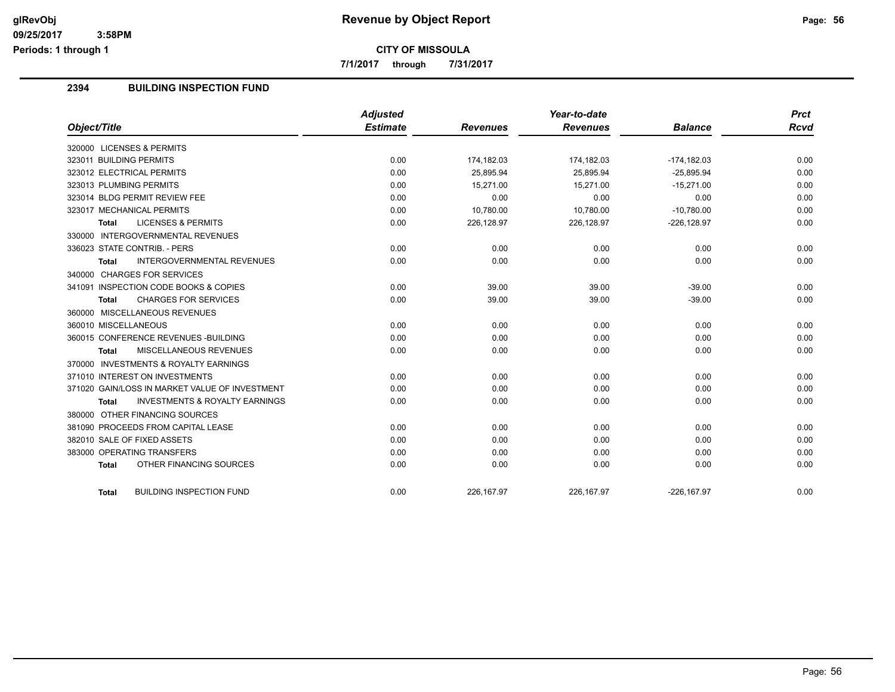**7/1/2017 through 7/31/2017**

# **2394 BUILDING INSPECTION FUND**

|                                                    | <b>Adjusted</b> |                 | Year-to-date    |                | <b>Prct</b> |
|----------------------------------------------------|-----------------|-----------------|-----------------|----------------|-------------|
| Object/Title                                       | <b>Estimate</b> | <b>Revenues</b> | <b>Revenues</b> | <b>Balance</b> | <b>Rcvd</b> |
| 320000 LICENSES & PERMITS                          |                 |                 |                 |                |             |
| 323011 BUILDING PERMITS                            | 0.00            | 174,182.03      | 174,182.03      | $-174, 182.03$ | 0.00        |
| 323012 ELECTRICAL PERMITS                          | 0.00            | 25,895.94       | 25,895.94       | $-25,895.94$   | 0.00        |
| 323013 PLUMBING PERMITS                            | 0.00            | 15,271.00       | 15,271.00       | $-15,271.00$   | 0.00        |
| 323014 BLDG PERMIT REVIEW FEE                      | 0.00            | 0.00            | 0.00            | 0.00           | 0.00        |
| 323017 MECHANICAL PERMITS                          | 0.00            | 10,780.00       | 10,780.00       | $-10,780.00$   | 0.00        |
| <b>LICENSES &amp; PERMITS</b><br><b>Total</b>      | 0.00            | 226,128.97      | 226,128.97      | $-226, 128.97$ | 0.00        |
| 330000 INTERGOVERNMENTAL REVENUES                  |                 |                 |                 |                |             |
| 336023 STATE CONTRIB. - PERS                       | 0.00            | 0.00            | 0.00            | 0.00           | 0.00        |
| <b>INTERGOVERNMENTAL REVENUES</b><br>Total         | 0.00            | 0.00            | 0.00            | 0.00           | 0.00        |
| 340000 CHARGES FOR SERVICES                        |                 |                 |                 |                |             |
| 341091 INSPECTION CODE BOOKS & COPIES              | 0.00            | 39.00           | 39.00           | $-39.00$       | 0.00        |
| <b>CHARGES FOR SERVICES</b><br>Total               | 0.00            | 39.00           | 39.00           | $-39.00$       | 0.00        |
| 360000 MISCELLANEOUS REVENUES                      |                 |                 |                 |                |             |
| 360010 MISCELLANEOUS                               | 0.00            | 0.00            | 0.00            | 0.00           | 0.00        |
| 360015 CONFERENCE REVENUES - BUILDING              | 0.00            | 0.00            | 0.00            | 0.00           | 0.00        |
| <b>MISCELLANEOUS REVENUES</b><br><b>Total</b>      | 0.00            | 0.00            | 0.00            | 0.00           | 0.00        |
| 370000 INVESTMENTS & ROYALTY EARNINGS              |                 |                 |                 |                |             |
| 371010 INTEREST ON INVESTMENTS                     | 0.00            | 0.00            | 0.00            | 0.00           | 0.00        |
| 371020 GAIN/LOSS IN MARKET VALUE OF INVESTMENT     | 0.00            | 0.00            | 0.00            | 0.00           | 0.00        |
| <b>INVESTMENTS &amp; ROYALTY EARNINGS</b><br>Total | 0.00            | 0.00            | 0.00            | 0.00           | 0.00        |
| 380000 OTHER FINANCING SOURCES                     |                 |                 |                 |                |             |
| 381090 PROCEEDS FROM CAPITAL LEASE                 | 0.00            | 0.00            | 0.00            | 0.00           | 0.00        |
| 382010 SALE OF FIXED ASSETS                        | 0.00            | 0.00            | 0.00            | 0.00           | 0.00        |
| 383000 OPERATING TRANSFERS                         | 0.00            | 0.00            | 0.00            | 0.00           | 0.00        |
| OTHER FINANCING SOURCES<br><b>Total</b>            | 0.00            | 0.00            | 0.00            | 0.00           | 0.00        |
| <b>BUILDING INSPECTION FUND</b><br><b>Total</b>    | 0.00            | 226, 167.97     | 226, 167.97     | $-226, 167.97$ | 0.00        |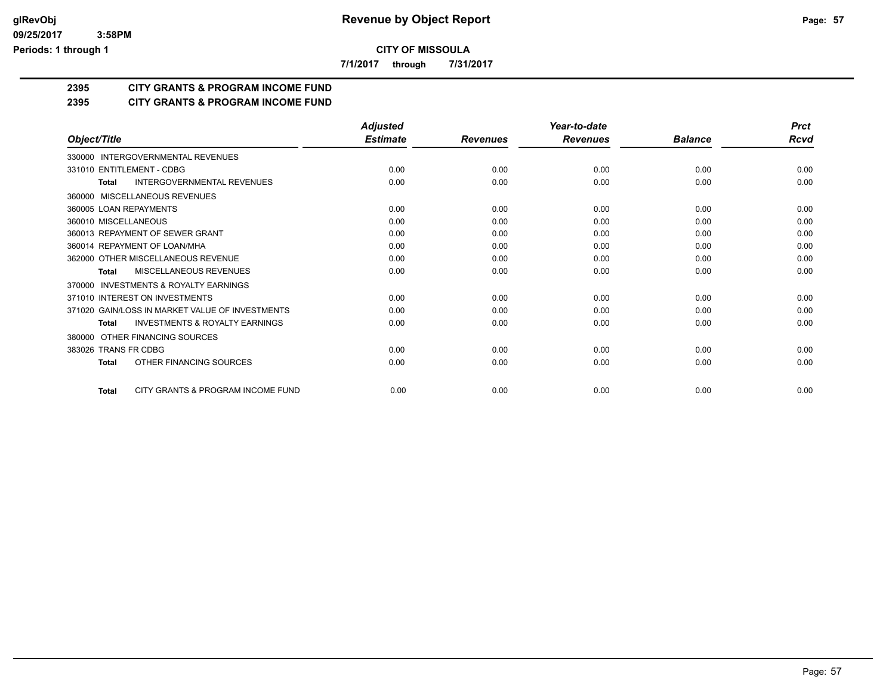**CITY OF MISSOULA**

**7/1/2017 through 7/31/2017**

# **2395 CITY GRANTS & PROGRAM INCOME FUND**

# **2395 CITY GRANTS & PROGRAM INCOME FUND**

|                                                           | <b>Adjusted</b> |                 | Year-to-date    |                | <b>Prct</b> |
|-----------------------------------------------------------|-----------------|-----------------|-----------------|----------------|-------------|
| Object/Title                                              | <b>Estimate</b> | <b>Revenues</b> | <b>Revenues</b> | <b>Balance</b> | Rcvd        |
| 330000 INTERGOVERNMENTAL REVENUES                         |                 |                 |                 |                |             |
| 331010 ENTITLEMENT - CDBG                                 | 0.00            | 0.00            | 0.00            | 0.00           | 0.00        |
| <b>INTERGOVERNMENTAL REVENUES</b><br><b>Total</b>         | 0.00            | 0.00            | 0.00            | 0.00           | 0.00        |
| 360000 MISCELLANEOUS REVENUES                             |                 |                 |                 |                |             |
| 360005 LOAN REPAYMENTS                                    | 0.00            | 0.00            | 0.00            | 0.00           | 0.00        |
| 360010 MISCELLANEOUS                                      | 0.00            | 0.00            | 0.00            | 0.00           | 0.00        |
| 360013 REPAYMENT OF SEWER GRANT                           | 0.00            | 0.00            | 0.00            | 0.00           | 0.00        |
| 360014 REPAYMENT OF LOAN/MHA                              | 0.00            | 0.00            | 0.00            | 0.00           | 0.00        |
| 362000 OTHER MISCELLANEOUS REVENUE                        | 0.00            | 0.00            | 0.00            | 0.00           | 0.00        |
| <b>MISCELLANEOUS REVENUES</b><br><b>Total</b>             | 0.00            | 0.00            | 0.00            | 0.00           | 0.00        |
| INVESTMENTS & ROYALTY EARNINGS<br>370000                  |                 |                 |                 |                |             |
| 371010 INTEREST ON INVESTMENTS                            | 0.00            | 0.00            | 0.00            | 0.00           | 0.00        |
| 371020 GAIN/LOSS IN MARKET VALUE OF INVESTMENTS           | 0.00            | 0.00            | 0.00            | 0.00           | 0.00        |
| <b>INVESTMENTS &amp; ROYALTY EARNINGS</b><br><b>Total</b> | 0.00            | 0.00            | 0.00            | 0.00           | 0.00        |
| OTHER FINANCING SOURCES<br>380000                         |                 |                 |                 |                |             |
| 383026 TRANS FR CDBG                                      | 0.00            | 0.00            | 0.00            | 0.00           | 0.00        |
| OTHER FINANCING SOURCES<br><b>Total</b>                   | 0.00            | 0.00            | 0.00            | 0.00           | 0.00        |
| CITY GRANTS & PROGRAM INCOME FUND<br>Total                | 0.00            | 0.00            | 0.00            | 0.00           | 0.00        |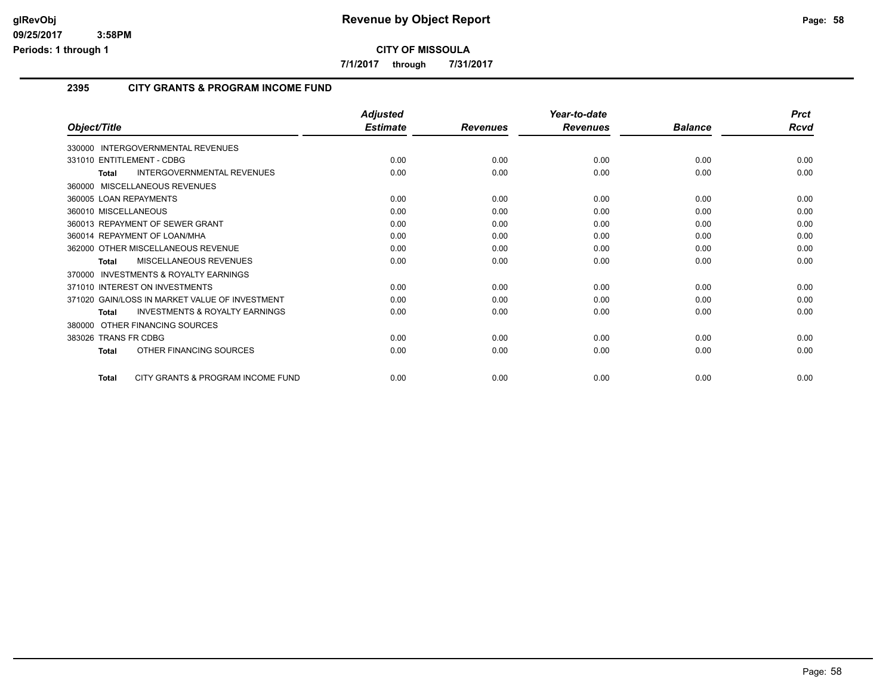**3:58PM**

**CITY OF MISSOULA**

**7/1/2017 through 7/31/2017**

# **2395 CITY GRANTS & PROGRAM INCOME FUND**

|                                                           | <b>Adjusted</b> |                 | Year-to-date    |                | <b>Prct</b> |
|-----------------------------------------------------------|-----------------|-----------------|-----------------|----------------|-------------|
| Object/Title                                              | <b>Estimate</b> | <b>Revenues</b> | <b>Revenues</b> | <b>Balance</b> | <b>Rcvd</b> |
| 330000 INTERGOVERNMENTAL REVENUES                         |                 |                 |                 |                |             |
| 331010 ENTITLEMENT - CDBG                                 | 0.00            | 0.00            | 0.00            | 0.00           | 0.00        |
| <b>INTERGOVERNMENTAL REVENUES</b><br><b>Total</b>         | 0.00            | 0.00            | 0.00            | 0.00           | 0.00        |
| 360000 MISCELLANEOUS REVENUES                             |                 |                 |                 |                |             |
| 360005 LOAN REPAYMENTS                                    | 0.00            | 0.00            | 0.00            | 0.00           | 0.00        |
| 360010 MISCELLANEOUS                                      | 0.00            | 0.00            | 0.00            | 0.00           | 0.00        |
| 360013 REPAYMENT OF SEWER GRANT                           | 0.00            | 0.00            | 0.00            | 0.00           | 0.00        |
| 360014 REPAYMENT OF LOAN/MHA                              | 0.00            | 0.00            | 0.00            | 0.00           | 0.00        |
| 362000 OTHER MISCELLANEOUS REVENUE                        | 0.00            | 0.00            | 0.00            | 0.00           | 0.00        |
| MISCELLANEOUS REVENUES<br><b>Total</b>                    | 0.00            | 0.00            | 0.00            | 0.00           | 0.00        |
| <b>INVESTMENTS &amp; ROYALTY EARNINGS</b><br>370000       |                 |                 |                 |                |             |
| 371010 INTEREST ON INVESTMENTS                            | 0.00            | 0.00            | 0.00            | 0.00           | 0.00        |
| 371020 GAIN/LOSS IN MARKET VALUE OF INVESTMENT            | 0.00            | 0.00            | 0.00            | 0.00           | 0.00        |
| <b>INVESTMENTS &amp; ROYALTY EARNINGS</b><br><b>Total</b> | 0.00            | 0.00            | 0.00            | 0.00           | 0.00        |
| OTHER FINANCING SOURCES<br>380000                         |                 |                 |                 |                |             |
| 383026 TRANS FR CDBG                                      | 0.00            | 0.00            | 0.00            | 0.00           | 0.00        |
| OTHER FINANCING SOURCES<br><b>Total</b>                   | 0.00            | 0.00            | 0.00            | 0.00           | 0.00        |
| CITY GRANTS & PROGRAM INCOME FUND<br><b>Total</b>         | 0.00            | 0.00            | 0.00            | 0.00           | 0.00        |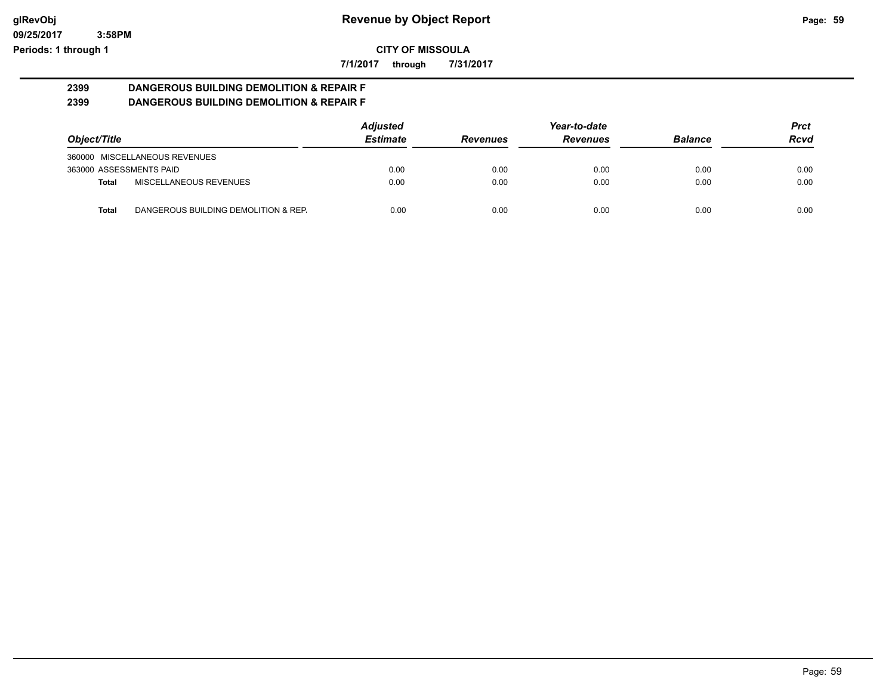**09/25/2017 3:58PM Periods: 1 through 1**

**CITY OF MISSOULA**

**7/1/2017 through 7/31/2017**

# **2399 DANGEROUS BUILDING DEMOLITION & REPAIR F 2399 DANGEROUS BUILDING DEMOLITION & REPAIR F**

|                         |                                      | <b>Adjusted</b> |                 | Year-to-date    |                | Prct        |
|-------------------------|--------------------------------------|-----------------|-----------------|-----------------|----------------|-------------|
| Object/Title            |                                      | <b>Estimate</b> | <b>Revenues</b> | <b>Revenues</b> | <b>Balance</b> | <b>Rcvd</b> |
|                         | 360000 MISCELLANEOUS REVENUES        |                 |                 |                 |                |             |
| 363000 ASSESSMENTS PAID |                                      | 0.00            | 0.00            | 0.00            | 0.00           | 0.00        |
| <b>Total</b>            | MISCELLANEOUS REVENUES               | 0.00            | 0.00            | 0.00            | 0.00           | 0.00        |
| <b>Total</b>            | DANGEROUS BUILDING DEMOLITION & REP. | 0.00            | 0.00            | 0.00            | 0.00           | 0.00        |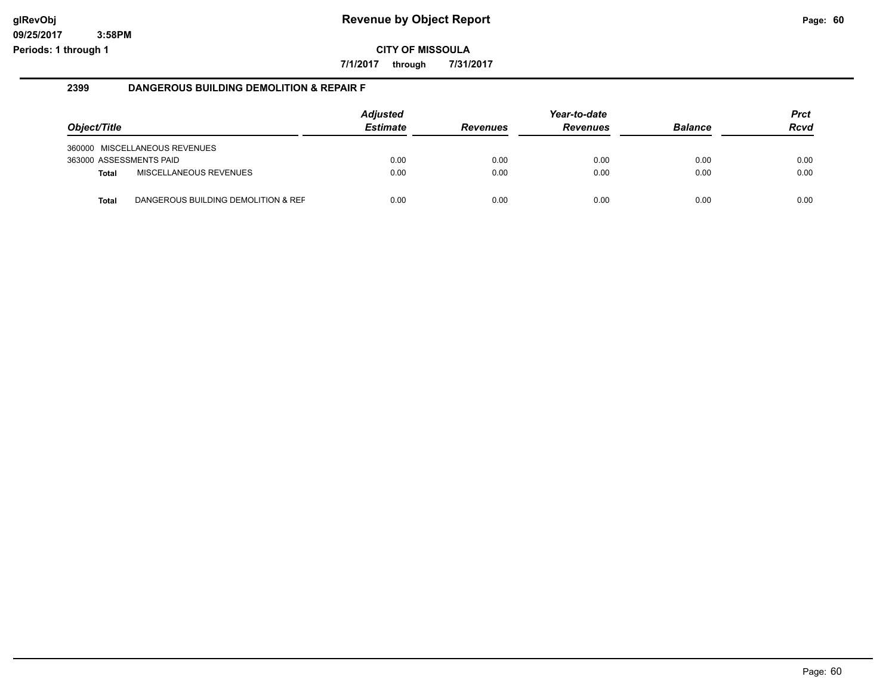**3:58PM**

**CITY OF MISSOULA**

**7/1/2017 through 7/31/2017**

# **2399 DANGEROUS BUILDING DEMOLITION & REPAIR F**

| Object/Title            |                                     | <b>Adjusted</b><br><b>Estimate</b> | <b>Revenues</b> | Year-to-date<br><b>Revenues</b> | <b>Balance</b> | <b>Prct</b><br>Rcvd |
|-------------------------|-------------------------------------|------------------------------------|-----------------|---------------------------------|----------------|---------------------|
|                         | 360000 MISCELLANEOUS REVENUES       |                                    |                 |                                 |                |                     |
| 363000 ASSESSMENTS PAID |                                     | 0.00                               | 0.00            | 0.00                            | 0.00           | 0.00                |
| Total                   | MISCELLANEOUS REVENUES              | 0.00                               | 0.00            | 0.00                            | 0.00           | 0.00                |
| <b>Total</b>            | DANGEROUS BUILDING DEMOLITION & REF | 0.00                               | 0.00            | 0.00                            | 0.00           | 0.00                |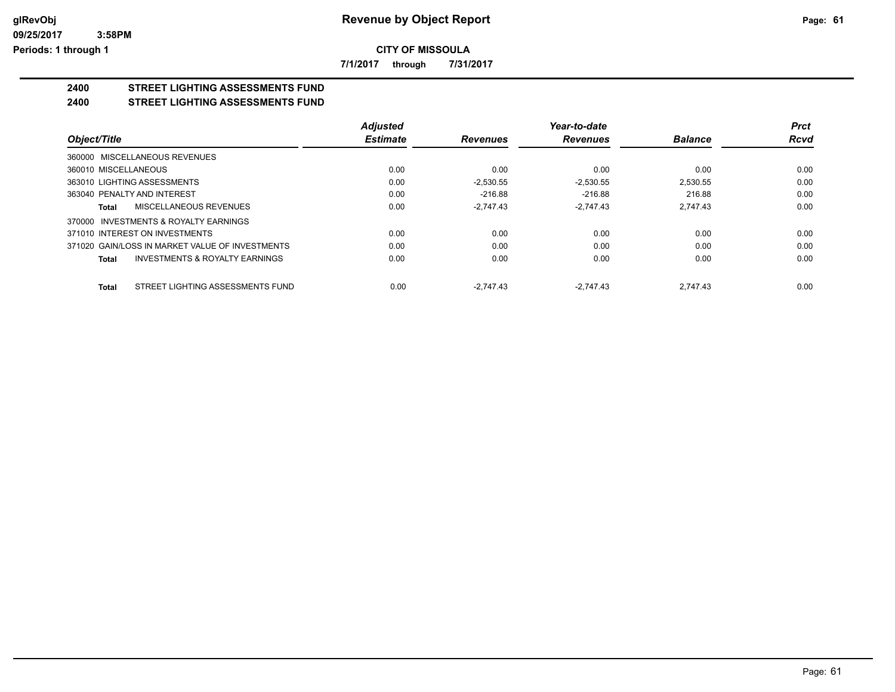**7/1/2017 through 7/31/2017**

# **2400 STREET LIGHTING ASSESSMENTS FUND 2400 STREET LIGHTING ASSESSMENTS FUND**

|                                                           | <b>Adjusted</b> |                 | Year-to-date    |                | <b>Prct</b> |
|-----------------------------------------------------------|-----------------|-----------------|-----------------|----------------|-------------|
| Object/Title                                              | <b>Estimate</b> | <b>Revenues</b> | <b>Revenues</b> | <b>Balance</b> | <b>Rcvd</b> |
| 360000 MISCELLANEOUS REVENUES                             |                 |                 |                 |                |             |
| 360010 MISCELLANEOUS                                      | 0.00            | 0.00            | 0.00            | 0.00           | 0.00        |
| 363010 LIGHTING ASSESSMENTS                               | 0.00            | $-2.530.55$     | $-2,530.55$     | 2,530.55       | 0.00        |
| 363040 PENALTY AND INTEREST                               | 0.00            | $-216.88$       | $-216.88$       | 216.88         | 0.00        |
| MISCELLANEOUS REVENUES<br>Total                           | 0.00            | $-2.747.43$     | $-2.747.43$     | 2.747.43       | 0.00        |
| 370000 INVESTMENTS & ROYALTY EARNINGS                     |                 |                 |                 |                |             |
| 371010 INTEREST ON INVESTMENTS                            | 0.00            | 0.00            | 0.00            | 0.00           | 0.00        |
| 371020 GAIN/LOSS IN MARKET VALUE OF INVESTMENTS           | 0.00            | 0.00            | 0.00            | 0.00           | 0.00        |
| <b>INVESTMENTS &amp; ROYALTY EARNINGS</b><br><b>Total</b> | 0.00            | 0.00            | 0.00            | 0.00           | 0.00        |
| STREET LIGHTING ASSESSMENTS FUND<br><b>Total</b>          | 0.00            | $-2.747.43$     | $-2.747.43$     | 2.747.43       | 0.00        |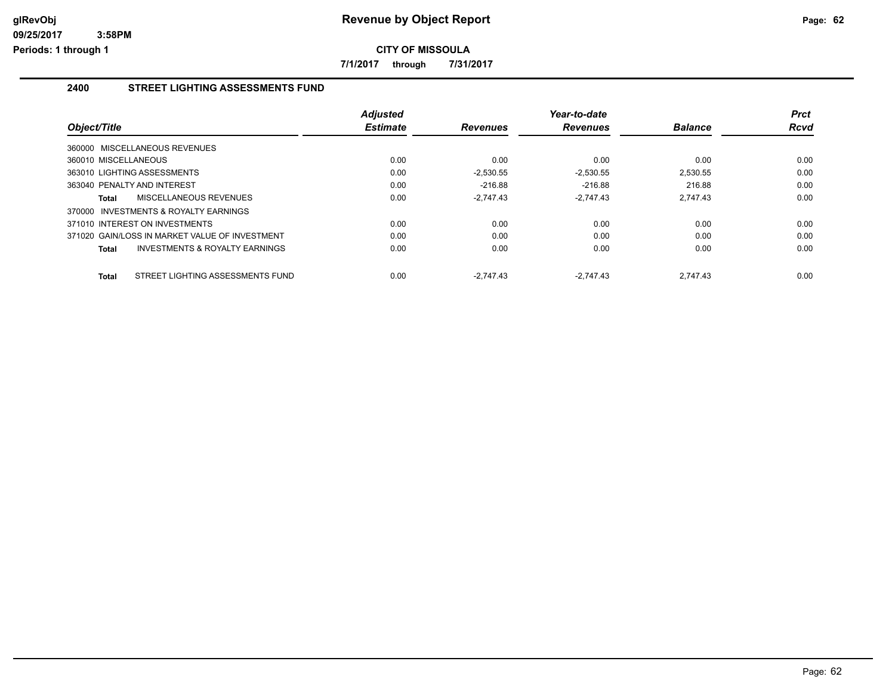**7/1/2017 through 7/31/2017**

# **2400 STREET LIGHTING ASSESSMENTS FUND**

| Object/Title                                   | <b>Adjusted</b><br><b>Estimate</b> | <b>Revenues</b> | Year-to-date<br><b>Revenues</b> | <b>Balance</b> | <b>Prct</b><br><b>Rcvd</b> |
|------------------------------------------------|------------------------------------|-----------------|---------------------------------|----------------|----------------------------|
| 360000 MISCELLANEOUS REVENUES                  |                                    |                 |                                 |                |                            |
| 360010 MISCELLANEOUS                           | 0.00                               | 0.00            | 0.00                            | 0.00           | 0.00                       |
| 363010 LIGHTING ASSESSMENTS                    | 0.00                               | $-2.530.55$     | $-2.530.55$                     | 2.530.55       | 0.00                       |
| 363040 PENALTY AND INTEREST                    | 0.00                               | $-216.88$       | $-216.88$                       | 216.88         | 0.00                       |
| <b>MISCELLANEOUS REVENUES</b><br>Total         | 0.00                               | $-2.747.43$     | $-2,747.43$                     | 2,747.43       | 0.00                       |
| 370000 INVESTMENTS & ROYALTY EARNINGS          |                                    |                 |                                 |                |                            |
| 371010 INTEREST ON INVESTMENTS                 | 0.00                               | 0.00            | 0.00                            | 0.00           | 0.00                       |
| 371020 GAIN/LOSS IN MARKET VALUE OF INVESTMENT | 0.00                               | 0.00            | 0.00                            | 0.00           | 0.00                       |
| INVESTMENTS & ROYALTY EARNINGS<br>Total        | 0.00                               | 0.00            | 0.00                            | 0.00           | 0.00                       |
| STREET LIGHTING ASSESSMENTS FUND<br>Total      | 0.00                               | $-2.747.43$     | $-2.747.43$                     | 2.747.43       | 0.00                       |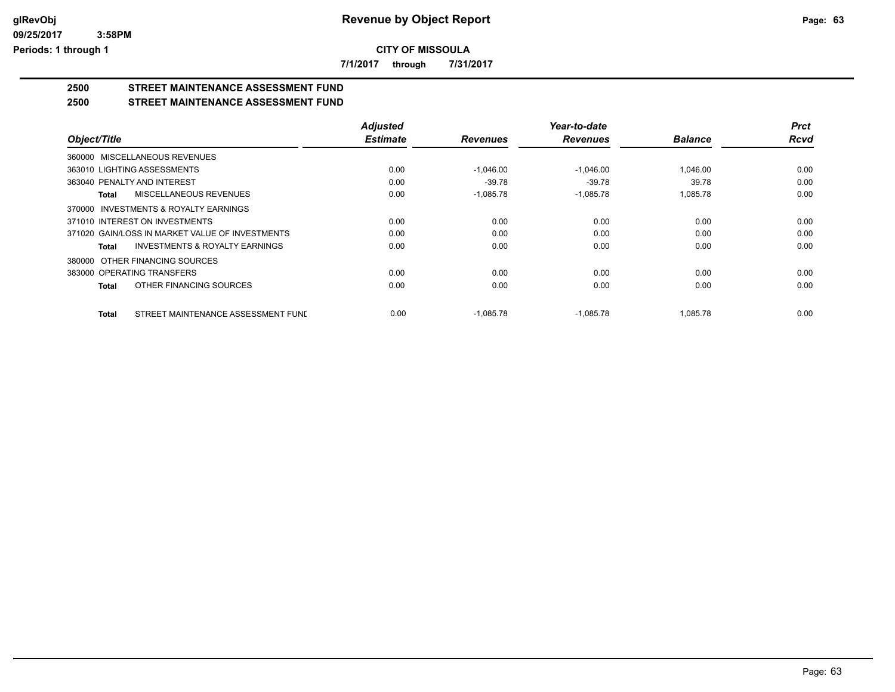**CITY OF MISSOULA**

**7/1/2017 through 7/31/2017**

# **2500 STREET MAINTENANCE ASSESSMENT FUND**

# **2500 STREET MAINTENANCE ASSESSMENT FUND**

|                                                    | <b>Adjusted</b> |                 | Year-to-date    |                | <b>Prct</b> |
|----------------------------------------------------|-----------------|-----------------|-----------------|----------------|-------------|
| Object/Title                                       | <b>Estimate</b> | <b>Revenues</b> | <b>Revenues</b> | <b>Balance</b> | Rcvd        |
| MISCELLANEOUS REVENUES<br>360000                   |                 |                 |                 |                |             |
| 363010 LIGHTING ASSESSMENTS                        | 0.00            | $-1,046.00$     | $-1,046.00$     | 1,046.00       | 0.00        |
| 363040 PENALTY AND INTEREST                        | 0.00            | $-39.78$        | $-39.78$        | 39.78          | 0.00        |
| MISCELLANEOUS REVENUES<br>Total                    | 0.00            | $-1,085.78$     | $-1.085.78$     | 1,085.78       | 0.00        |
| 370000 INVESTMENTS & ROYALTY EARNINGS              |                 |                 |                 |                |             |
| 371010 INTEREST ON INVESTMENTS                     | 0.00            | 0.00            | 0.00            | 0.00           | 0.00        |
| 371020 GAIN/LOSS IN MARKET VALUE OF INVESTMENTS    | 0.00            | 0.00            | 0.00            | 0.00           | 0.00        |
| <b>INVESTMENTS &amp; ROYALTY EARNINGS</b><br>Total | 0.00            | 0.00            | 0.00            | 0.00           | 0.00        |
| OTHER FINANCING SOURCES<br>380000                  |                 |                 |                 |                |             |
| 383000 OPERATING TRANSFERS                         | 0.00            | 0.00            | 0.00            | 0.00           | 0.00        |
| OTHER FINANCING SOURCES<br><b>Total</b>            | 0.00            | 0.00            | 0.00            | 0.00           | 0.00        |
| STREET MAINTENANCE ASSESSMENT FUNI<br><b>Total</b> | 0.00            | $-1.085.78$     | $-1.085.78$     | 1.085.78       | 0.00        |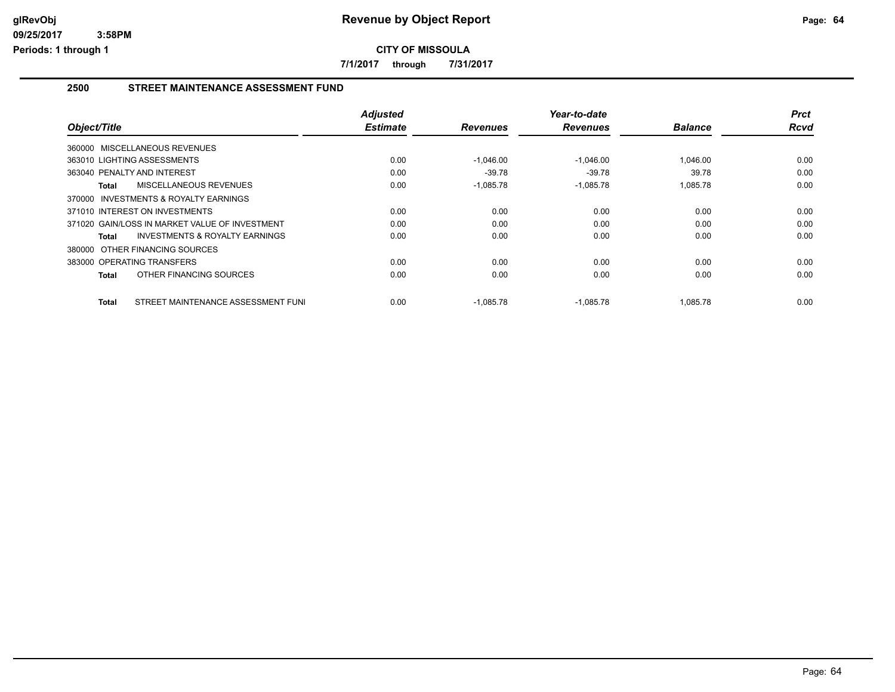**CITY OF MISSOULA**

**7/1/2017 through 7/31/2017**

# **2500 STREET MAINTENANCE ASSESSMENT FUND**

| Object/Title                                              | <b>Adjusted</b><br><b>Estimate</b> | <b>Revenues</b> | Year-to-date<br><b>Revenues</b> | <b>Balance</b> | <b>Prct</b><br><b>Rcvd</b> |
|-----------------------------------------------------------|------------------------------------|-----------------|---------------------------------|----------------|----------------------------|
| 360000 MISCELLANEOUS REVENUES                             |                                    |                 |                                 |                |                            |
| 363010 LIGHTING ASSESSMENTS                               | 0.00                               | $-1,046.00$     | $-1,046.00$                     | 1.046.00       | 0.00                       |
| 363040 PENALTY AND INTEREST                               | 0.00                               | $-39.78$        | $-39.78$                        | 39.78          | 0.00                       |
| MISCELLANEOUS REVENUES<br>Total                           | 0.00                               | $-1,085.78$     | $-1,085.78$                     | 1.085.78       | 0.00                       |
| 370000 INVESTMENTS & ROYALTY EARNINGS                     |                                    |                 |                                 |                |                            |
| 371010 INTEREST ON INVESTMENTS                            | 0.00                               | 0.00            | 0.00                            | 0.00           | 0.00                       |
| 371020 GAIN/LOSS IN MARKET VALUE OF INVESTMENT            | 0.00                               | 0.00            | 0.00                            | 0.00           | 0.00                       |
| <b>INVESTMENTS &amp; ROYALTY EARNINGS</b><br><b>Total</b> | 0.00                               | 0.00            | 0.00                            | 0.00           | 0.00                       |
| 380000 OTHER FINANCING SOURCES                            |                                    |                 |                                 |                |                            |
| 383000 OPERATING TRANSFERS                                | 0.00                               | 0.00            | 0.00                            | 0.00           | 0.00                       |
| OTHER FINANCING SOURCES<br><b>Total</b>                   | 0.00                               | 0.00            | 0.00                            | 0.00           | 0.00                       |
| STREET MAINTENANCE ASSESSMENT FUNI<br><b>Total</b>        | 0.00                               | $-1,085.78$     | $-1,085.78$                     | 1.085.78       | 0.00                       |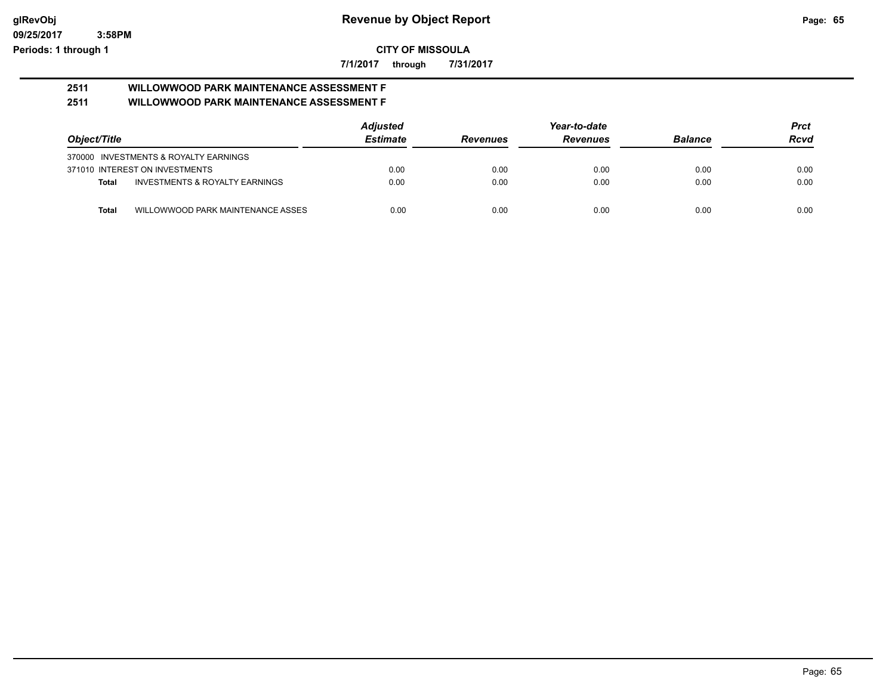**09/25/2017 3:58PM Periods: 1 through 1**

**CITY OF MISSOULA**

**7/1/2017 through 7/31/2017**

# **2511 WILLOWWOOD PARK MAINTENANCE ASSESSMENT F 2511 WILLOWWOOD PARK MAINTENANCE ASSESSMENT F**

|              |                                           | <b>Adjusted</b> |                 | Year-to-date    |                | Prct        |
|--------------|-------------------------------------------|-----------------|-----------------|-----------------|----------------|-------------|
| Object/Title |                                           | <b>Estimate</b> | <b>Revenues</b> | <b>Revenues</b> | <b>Balance</b> | <b>Rcvd</b> |
|              | 370000 INVESTMENTS & ROYALTY EARNINGS     |                 |                 |                 |                |             |
|              | 371010 INTEREST ON INVESTMENTS            | 0.00            | 0.00            | 0.00            | 0.00           | 0.00        |
| Total        | <b>INVESTMENTS &amp; ROYALTY EARNINGS</b> | 0.00            | 0.00            | 0.00            | 0.00           | 0.00        |
| <b>Total</b> | WILLOWWOOD PARK MAINTENANCE ASSES         | 0.00            | 0.00            | 0.00            | 0.00           | 0.00        |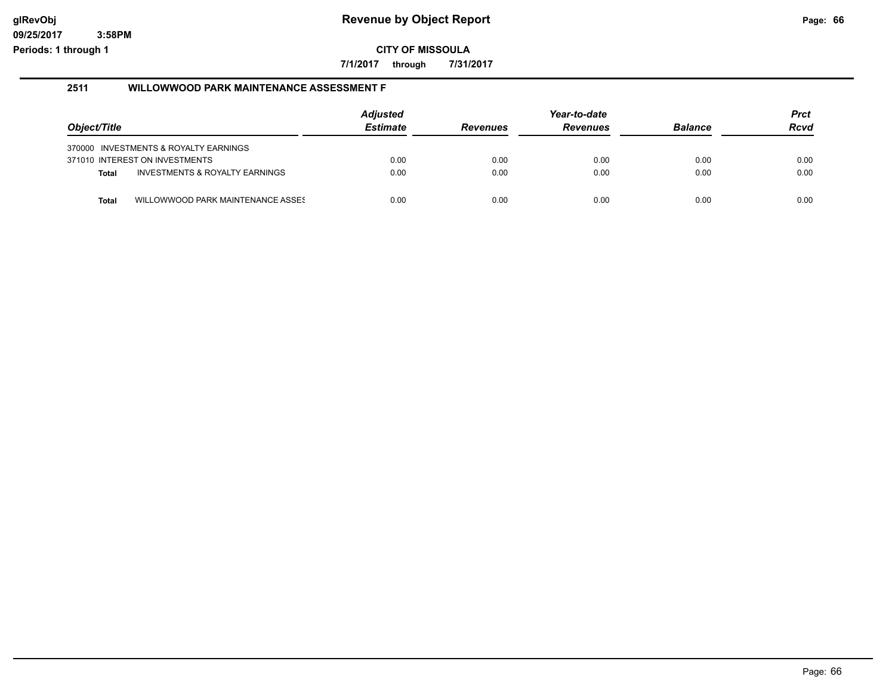**7/1/2017 through 7/31/2017**

# **2511 WILLOWWOOD PARK MAINTENANCE ASSESSMENT F**

|              |                                       | <b>Adjusted</b> |                 | Year-to-date    |                | <b>Prct</b> |
|--------------|---------------------------------------|-----------------|-----------------|-----------------|----------------|-------------|
| Object/Title |                                       | <b>Estimate</b> | <b>Revenues</b> | <b>Revenues</b> | <b>Balance</b> | <b>Rcvd</b> |
|              | 370000 INVESTMENTS & ROYALTY EARNINGS |                 |                 |                 |                |             |
|              | 371010 INTEREST ON INVESTMENTS        | 0.00            | 0.00            | 0.00            | 0.00           | 0.00        |
| <b>Total</b> | INVESTMENTS & ROYALTY EARNINGS        | 0.00            | 0.00            | 0.00            | 0.00           | 0.00        |
| <b>Total</b> | WILLOWWOOD PARK MAINTENANCE ASSES     | 0.00            | 0.00            | 0.00            | 0.00           | 0.00        |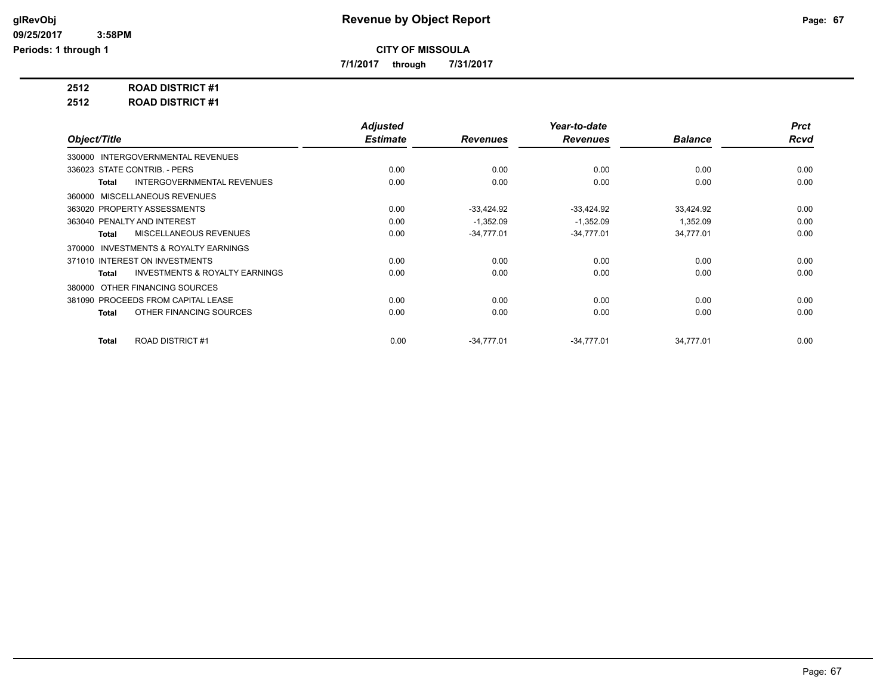**7/1/2017 through 7/31/2017**

**2512 ROAD DISTRICT #1**

**2512 ROAD DISTRICT #1**

|                                                    | <b>Adjusted</b> |                 | Year-to-date    |                | <b>Prct</b> |
|----------------------------------------------------|-----------------|-----------------|-----------------|----------------|-------------|
| Object/Title                                       | <b>Estimate</b> | <b>Revenues</b> | <b>Revenues</b> | <b>Balance</b> | <b>Rcvd</b> |
| INTERGOVERNMENTAL REVENUES<br>330000               |                 |                 |                 |                |             |
| 336023 STATE CONTRIB. - PERS                       | 0.00            | 0.00            | 0.00            | 0.00           | 0.00        |
| <b>INTERGOVERNMENTAL REVENUES</b><br>Total         | 0.00            | 0.00            | 0.00            | 0.00           | 0.00        |
| 360000 MISCELLANEOUS REVENUES                      |                 |                 |                 |                |             |
| 363020 PROPERTY ASSESSMENTS                        | 0.00            | $-33,424.92$    | $-33,424.92$    | 33,424.92      | 0.00        |
| 363040 PENALTY AND INTEREST                        | 0.00            | $-1,352.09$     | $-1,352.09$     | 1,352.09       | 0.00        |
| MISCELLANEOUS REVENUES<br>Total                    | 0.00            | $-34,777.01$    | $-34,777.01$    | 34,777.01      | 0.00        |
| 370000 INVESTMENTS & ROYALTY EARNINGS              |                 |                 |                 |                |             |
| 371010 INTEREST ON INVESTMENTS                     | 0.00            | 0.00            | 0.00            | 0.00           | 0.00        |
| <b>INVESTMENTS &amp; ROYALTY EARNINGS</b><br>Total | 0.00            | 0.00            | 0.00            | 0.00           | 0.00        |
| 380000 OTHER FINANCING SOURCES                     |                 |                 |                 |                |             |
| 381090 PROCEEDS FROM CAPITAL LEASE                 | 0.00            | 0.00            | 0.00            | 0.00           | 0.00        |
| OTHER FINANCING SOURCES<br>Total                   | 0.00            | 0.00            | 0.00            | 0.00           | 0.00        |
| <b>ROAD DISTRICT #1</b><br><b>Total</b>            | 0.00            | $-34,777.01$    | $-34,777.01$    | 34,777.01      | 0.00        |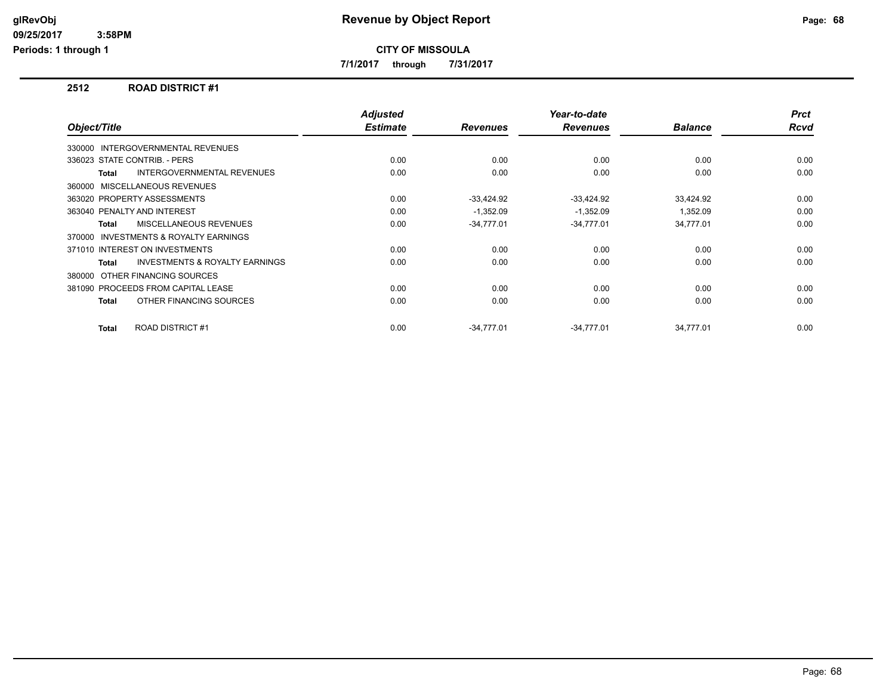**CITY OF MISSOULA**

**7/1/2017 through 7/31/2017**

# **2512 ROAD DISTRICT #1**

|                                                     | <b>Adjusted</b> |                 | Year-to-date    |                | <b>Prct</b> |
|-----------------------------------------------------|-----------------|-----------------|-----------------|----------------|-------------|
| Object/Title                                        | <b>Estimate</b> | <b>Revenues</b> | <b>Revenues</b> | <b>Balance</b> | <b>Rcvd</b> |
| 330000 INTERGOVERNMENTAL REVENUES                   |                 |                 |                 |                |             |
| 336023 STATE CONTRIB. - PERS                        | 0.00            | 0.00            | 0.00            | 0.00           | 0.00        |
| <b>INTERGOVERNMENTAL REVENUES</b><br><b>Total</b>   | 0.00            | 0.00            | 0.00            | 0.00           | 0.00        |
| 360000 MISCELLANEOUS REVENUES                       |                 |                 |                 |                |             |
| 363020 PROPERTY ASSESSMENTS                         | 0.00            | $-33,424.92$    | $-33,424.92$    | 33,424.92      | 0.00        |
| 363040 PENALTY AND INTEREST                         | 0.00            | $-1,352.09$     | $-1,352.09$     | 1,352.09       | 0.00        |
| MISCELLANEOUS REVENUES<br><b>Total</b>              | 0.00            | $-34,777.01$    | $-34,777.01$    | 34,777.01      | 0.00        |
| <b>INVESTMENTS &amp; ROYALTY EARNINGS</b><br>370000 |                 |                 |                 |                |             |
| 371010 INTEREST ON INVESTMENTS                      | 0.00            | 0.00            | 0.00            | 0.00           | 0.00        |
| <b>INVESTMENTS &amp; ROYALTY EARNINGS</b><br>Total  | 0.00            | 0.00            | 0.00            | 0.00           | 0.00        |
| 380000 OTHER FINANCING SOURCES                      |                 |                 |                 |                |             |
| 381090 PROCEEDS FROM CAPITAL LEASE                  | 0.00            | 0.00            | 0.00            | 0.00           | 0.00        |
| OTHER FINANCING SOURCES<br><b>Total</b>             | 0.00            | 0.00            | 0.00            | 0.00           | 0.00        |
| ROAD DISTRICT #1<br><b>Total</b>                    | 0.00            | $-34,777.01$    | $-34,777.01$    | 34,777.01      | 0.00        |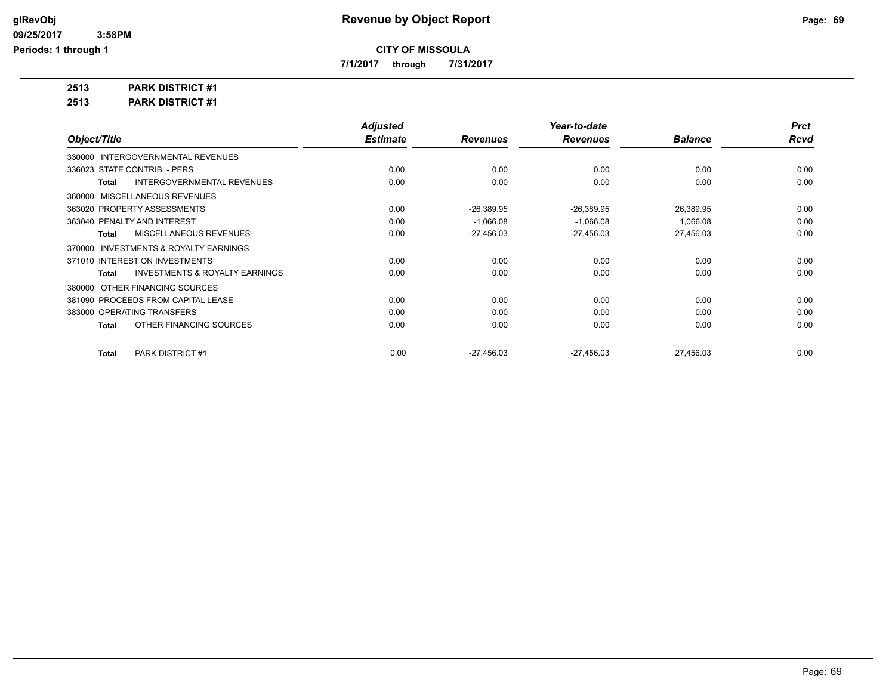**7/1/2017 through 7/31/2017**

**2513 PARK DISTRICT #1**

**2513 PARK DISTRICT #1**

|                                                           | <b>Adjusted</b> |                 | Year-to-date    |                | <b>Prct</b> |
|-----------------------------------------------------------|-----------------|-----------------|-----------------|----------------|-------------|
| Object/Title                                              | <b>Estimate</b> | <b>Revenues</b> | <b>Revenues</b> | <b>Balance</b> | <b>Rcvd</b> |
| 330000 INTERGOVERNMENTAL REVENUES                         |                 |                 |                 |                |             |
| 336023 STATE CONTRIB. - PERS                              | 0.00            | 0.00            | 0.00            | 0.00           | 0.00        |
| <b>INTERGOVERNMENTAL REVENUES</b><br><b>Total</b>         | 0.00            | 0.00            | 0.00            | 0.00           | 0.00        |
| 360000 MISCELLANEOUS REVENUES                             |                 |                 |                 |                |             |
| 363020 PROPERTY ASSESSMENTS                               | 0.00            | $-26,389.95$    | $-26,389.95$    | 26,389.95      | 0.00        |
| 363040 PENALTY AND INTEREST                               | 0.00            | $-1,066.08$     | $-1,066.08$     | 1,066.08       | 0.00        |
| <b>MISCELLANEOUS REVENUES</b><br><b>Total</b>             | 0.00            | $-27,456.03$    | $-27,456.03$    | 27,456.03      | 0.00        |
| 370000 INVESTMENTS & ROYALTY EARNINGS                     |                 |                 |                 |                |             |
| 371010 INTEREST ON INVESTMENTS                            | 0.00            | 0.00            | 0.00            | 0.00           | 0.00        |
| <b>INVESTMENTS &amp; ROYALTY EARNINGS</b><br><b>Total</b> | 0.00            | 0.00            | 0.00            | 0.00           | 0.00        |
| OTHER FINANCING SOURCES<br>380000                         |                 |                 |                 |                |             |
| 381090 PROCEEDS FROM CAPITAL LEASE                        | 0.00            | 0.00            | 0.00            | 0.00           | 0.00        |
| 383000 OPERATING TRANSFERS                                | 0.00            | 0.00            | 0.00            | 0.00           | 0.00        |
| OTHER FINANCING SOURCES<br><b>Total</b>                   | 0.00            | 0.00            | 0.00            | 0.00           | 0.00        |
| <b>PARK DISTRICT #1</b><br><b>Total</b>                   | 0.00            | $-27,456.03$    | $-27,456.03$    | 27,456.03      | 0.00        |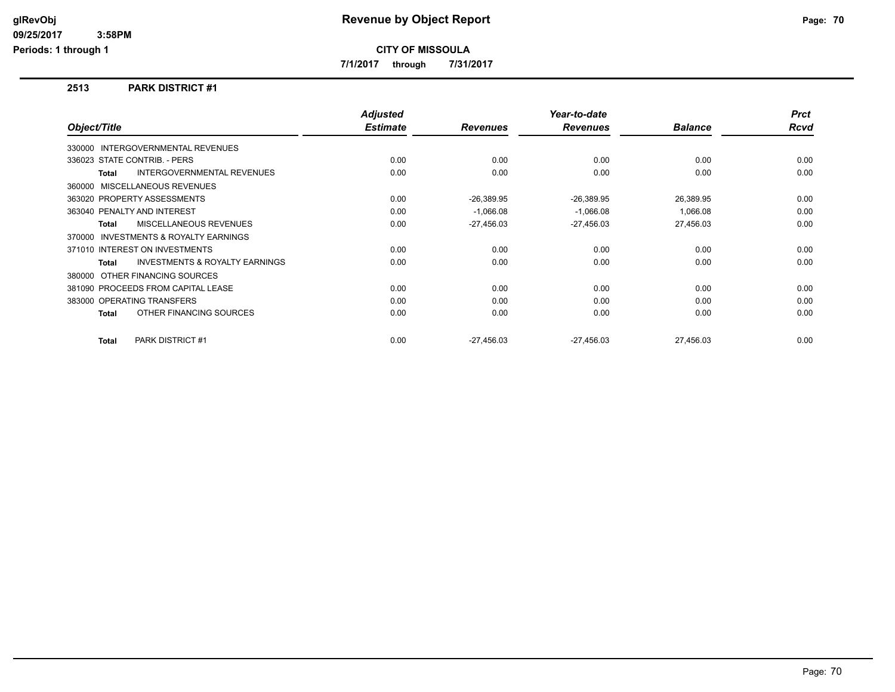**09/25/2017 3:58PM Periods: 1 through 1**

**CITY OF MISSOULA**

**7/1/2017 through 7/31/2017**

# **2513 PARK DISTRICT #1**

|                                                     | <b>Adjusted</b> |                 | Year-to-date    |                | <b>Prct</b> |
|-----------------------------------------------------|-----------------|-----------------|-----------------|----------------|-------------|
| Object/Title                                        | <b>Estimate</b> | <b>Revenues</b> | <b>Revenues</b> | <b>Balance</b> | <b>Rcvd</b> |
| 330000 INTERGOVERNMENTAL REVENUES                   |                 |                 |                 |                |             |
| 336023 STATE CONTRIB. - PERS                        | 0.00            | 0.00            | 0.00            | 0.00           | 0.00        |
| <b>INTERGOVERNMENTAL REVENUES</b><br><b>Total</b>   | 0.00            | 0.00            | 0.00            | 0.00           | 0.00        |
| 360000 MISCELLANEOUS REVENUES                       |                 |                 |                 |                |             |
| 363020 PROPERTY ASSESSMENTS                         | 0.00            | $-26,389.95$    | $-26,389.95$    | 26,389.95      | 0.00        |
| 363040 PENALTY AND INTEREST                         | 0.00            | $-1,066.08$     | $-1,066.08$     | 1,066.08       | 0.00        |
| MISCELLANEOUS REVENUES<br>Total                     | 0.00            | $-27,456.03$    | $-27,456.03$    | 27,456.03      | 0.00        |
| <b>INVESTMENTS &amp; ROYALTY EARNINGS</b><br>370000 |                 |                 |                 |                |             |
| 371010 INTEREST ON INVESTMENTS                      | 0.00            | 0.00            | 0.00            | 0.00           | 0.00        |
| <b>INVESTMENTS &amp; ROYALTY EARNINGS</b><br>Total  | 0.00            | 0.00            | 0.00            | 0.00           | 0.00        |
| 380000 OTHER FINANCING SOURCES                      |                 |                 |                 |                |             |
| 381090 PROCEEDS FROM CAPITAL LEASE                  | 0.00            | 0.00            | 0.00            | 0.00           | 0.00        |
| 383000 OPERATING TRANSFERS                          | 0.00            | 0.00            | 0.00            | 0.00           | 0.00        |
| OTHER FINANCING SOURCES<br><b>Total</b>             | 0.00            | 0.00            | 0.00            | 0.00           | 0.00        |
| <b>PARK DISTRICT #1</b><br><b>Total</b>             | 0.00            | $-27,456.03$    | $-27,456.03$    | 27,456.03      | 0.00        |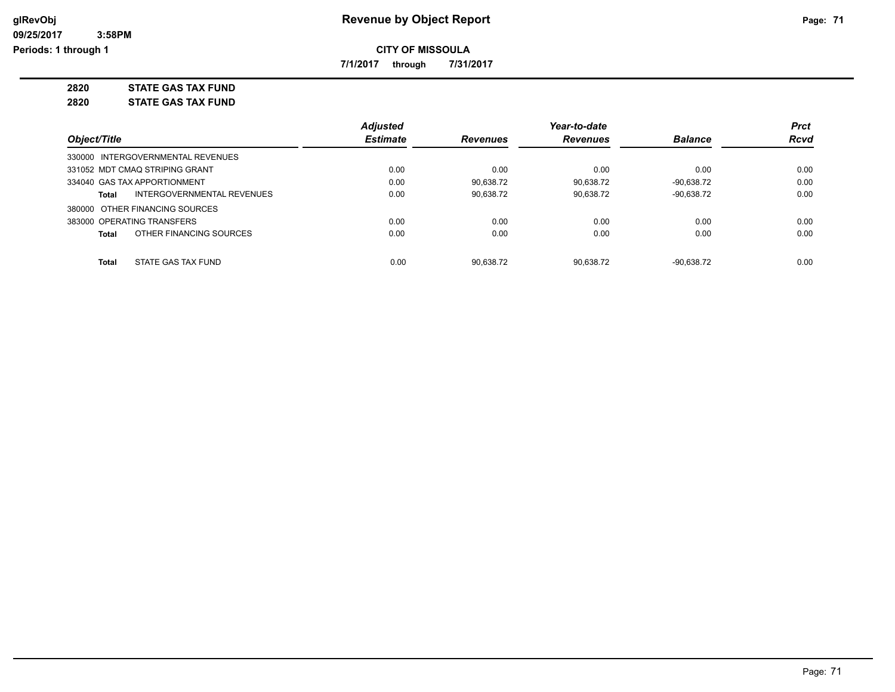**7/1/2017 through 7/31/2017**

**2820 STATE GAS TAX FUND**

**2820 STATE GAS TAX FUND**

|                                     | <b>Adjusted</b> |                 | Year-to-date    |                | <b>Prct</b> |
|-------------------------------------|-----------------|-----------------|-----------------|----------------|-------------|
| Object/Title                        | <b>Estimate</b> | <b>Revenues</b> | <b>Revenues</b> | <b>Balance</b> | <b>Rcvd</b> |
| 330000 INTERGOVERNMENTAL REVENUES   |                 |                 |                 |                |             |
| 331052 MDT CMAQ STRIPING GRANT      | 0.00            | 0.00            | 0.00            | 0.00           | 0.00        |
| 334040 GAS TAX APPORTIONMENT        | 0.00            | 90.638.72       | 90.638.72       | $-90.638.72$   | 0.00        |
| INTERGOVERNMENTAL REVENUES<br>Total | 0.00            | 90,638.72       | 90,638.72       | $-90,638.72$   | 0.00        |
| 380000 OTHER FINANCING SOURCES      |                 |                 |                 |                |             |
| 383000 OPERATING TRANSFERS          | 0.00            | 0.00            | 0.00            | 0.00           | 0.00        |
| OTHER FINANCING SOURCES<br>Total    | 0.00            | 0.00            | 0.00            | 0.00           | 0.00        |
|                                     |                 |                 |                 |                |             |
| STATE GAS TAX FUND<br><b>Total</b>  | 0.00            | 90.638.72       | 90.638.72       | $-90.638.72$   | 0.00        |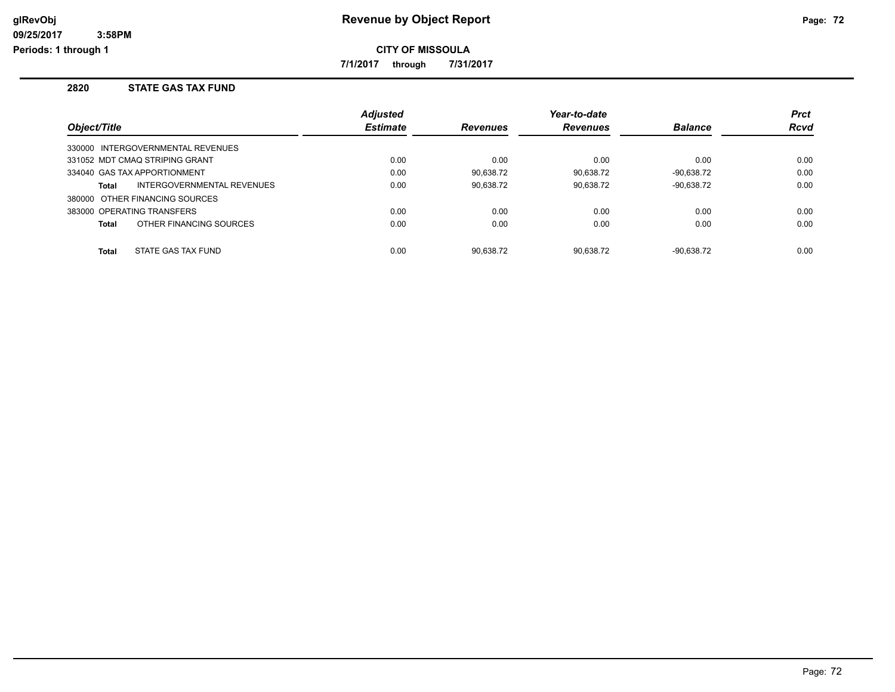**CITY OF MISSOULA**

**7/1/2017 through 7/31/2017**

## **2820 STATE GAS TAX FUND**

 **3:58PM**

| Object/Title                   |                                   | <b>Adjusted</b> |                 | Year-to-date    |                | <b>Prct</b> |  |
|--------------------------------|-----------------------------------|-----------------|-----------------|-----------------|----------------|-------------|--|
|                                |                                   | <b>Estimate</b> | <b>Revenues</b> | <b>Revenues</b> | <b>Balance</b> | <b>Rcvd</b> |  |
|                                | 330000 INTERGOVERNMENTAL REVENUES |                 |                 |                 |                |             |  |
| 331052 MDT CMAQ STRIPING GRANT |                                   | 0.00            | 0.00            | 0.00            | 0.00           | 0.00        |  |
| 334040 GAS TAX APPORTIONMENT   |                                   | 0.00            | 90.638.72       | 90.638.72       | $-90.638.72$   | 0.00        |  |
| Total                          | INTERGOVERNMENTAL REVENUES        | 0.00            | 90.638.72       | 90.638.72       | $-90.638.72$   | 0.00        |  |
|                                | 380000 OTHER FINANCING SOURCES    |                 |                 |                 |                |             |  |
| 383000 OPERATING TRANSFERS     |                                   | 0.00            | 0.00            | 0.00            | 0.00           | 0.00        |  |
| Total                          | OTHER FINANCING SOURCES           | 0.00            | 0.00            | 0.00            | 0.00           | 0.00        |  |
| <b>Total</b>                   | STATE GAS TAX FUND                | 0.00            | 90.638.72       | 90.638.72       | $-90.638.72$   | 0.00        |  |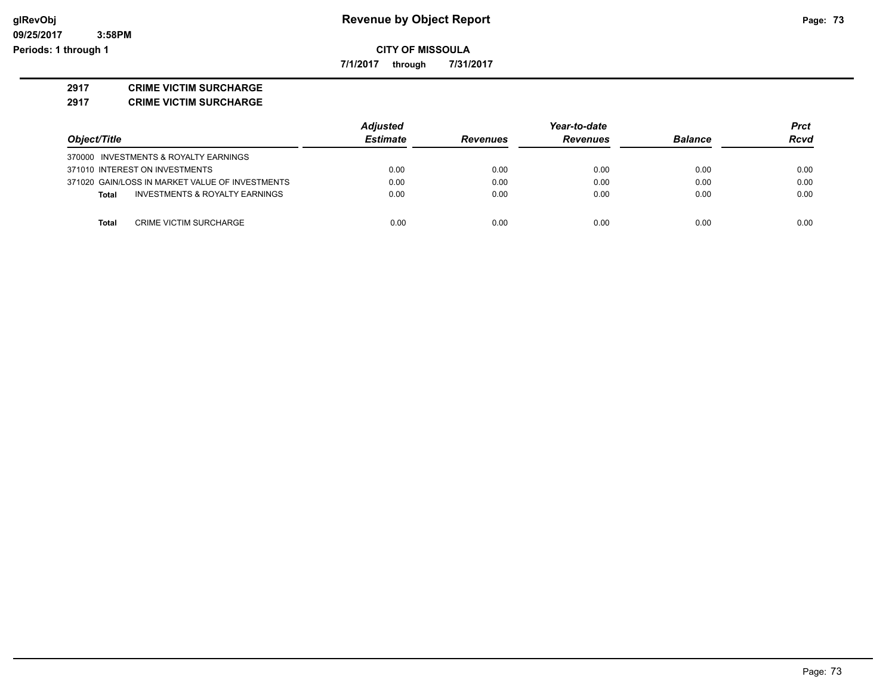**09/25/2017 3:58PM Periods: 1 through 1**

**CITY OF MISSOULA**

**7/1/2017 through 7/31/2017**

### **2917 CRIME VICTIM SURCHARGE**

**2917 CRIME VICTIM SURCHARGE**

|                                                 | <b>Adjusted</b> |                 | Year-to-date    |                | Prct        |
|-------------------------------------------------|-----------------|-----------------|-----------------|----------------|-------------|
| Object/Title                                    | <b>Estimate</b> | <b>Revenues</b> | <b>Revenues</b> | <b>Balance</b> | <b>Rcvd</b> |
| 370000 INVESTMENTS & ROYALTY EARNINGS           |                 |                 |                 |                |             |
| 371010 INTEREST ON INVESTMENTS                  | 0.00            | 0.00            | 0.00            | 0.00           | 0.00        |
| 371020 GAIN/LOSS IN MARKET VALUE OF INVESTMENTS | 0.00            | 0.00            | 0.00            | 0.00           | 0.00        |
| INVESTMENTS & ROYALTY EARNINGS<br><b>Total</b>  | 0.00            | 0.00            | 0.00            | 0.00           | 0.00        |
| CRIME VICTIM SURCHARGE<br>Total                 | 0.00            | 0.00            | 0.00            | 0.00           | 0.00        |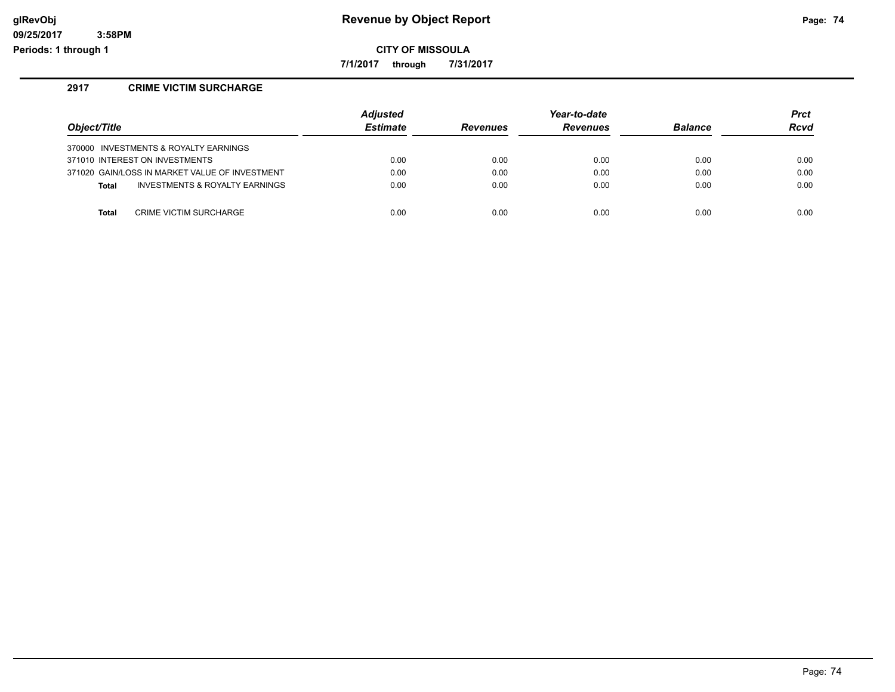**CITY OF MISSOULA**

**7/1/2017 through 7/31/2017**

### **2917 CRIME VICTIM SURCHARGE**

 **3:58PM**

| Object/Title                                       | <b>Adjusted</b><br><b>Estimate</b> | <b>Revenues</b> | Year-to-date<br><b>Revenues</b> | <b>Balance</b> | <b>Prct</b><br><b>Rcvd</b> |
|----------------------------------------------------|------------------------------------|-----------------|---------------------------------|----------------|----------------------------|
| 370000 INVESTMENTS & ROYALTY EARNINGS              |                                    |                 |                                 |                |                            |
| 371010 INTEREST ON INVESTMENTS                     | 0.00                               | 0.00            | 0.00                            | 0.00           | 0.00                       |
| 371020 GAIN/LOSS IN MARKET VALUE OF INVESTMENT     | 0.00                               | 0.00            | 0.00                            | 0.00           | 0.00                       |
| <b>INVESTMENTS &amp; ROYALTY EARNINGS</b><br>Total | 0.00                               | 0.00            | 0.00                            | 0.00           | 0.00                       |
|                                                    |                                    |                 |                                 |                |                            |
| CRIME VICTIM SURCHARGE<br>Total                    | 0.00                               | 0.00            | 0.00                            | 0.00           | 0.00                       |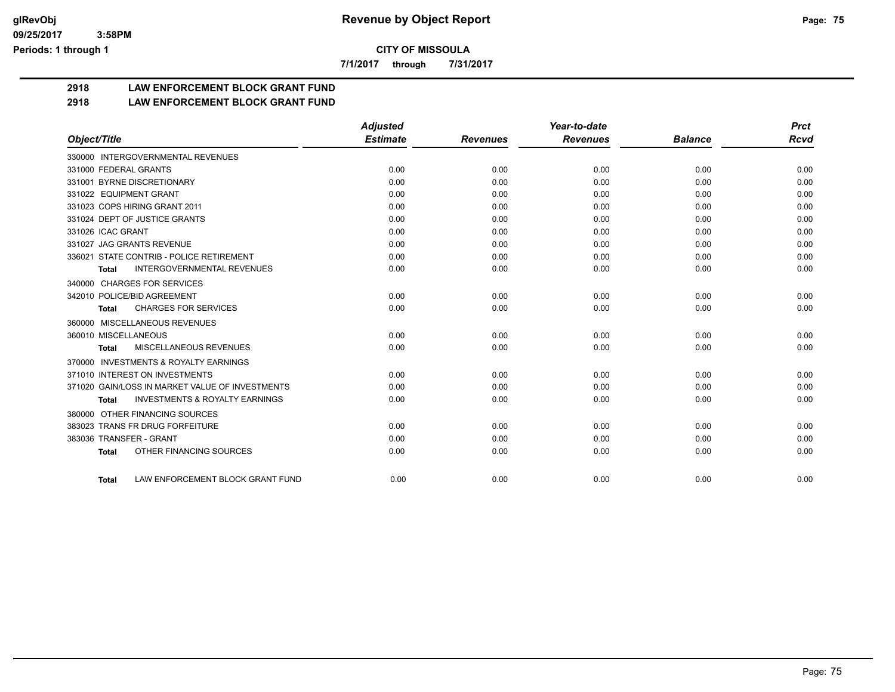### **09/25/2017 3:58PM Periods: 1 through 1**

**CITY OF MISSOULA**

**7/1/2017 through 7/31/2017**

## **2918 LAW ENFORCEMENT BLOCK GRANT FUND**

### **2918 LAW ENFORCEMENT BLOCK GRANT FUND**

|                                                           | <b>Adjusted</b> |                 | Year-to-date    |                | <b>Prct</b> |
|-----------------------------------------------------------|-----------------|-----------------|-----------------|----------------|-------------|
| Object/Title                                              | <b>Estimate</b> | <b>Revenues</b> | <b>Revenues</b> | <b>Balance</b> | <b>Rcvd</b> |
| 330000 INTERGOVERNMENTAL REVENUES                         |                 |                 |                 |                |             |
| 331000 FEDERAL GRANTS                                     | 0.00            | 0.00            | 0.00            | 0.00           | 0.00        |
| 331001 BYRNE DISCRETIONARY                                | 0.00            | 0.00            | 0.00            | 0.00           | 0.00        |
| 331022 EQUIPMENT GRANT                                    | 0.00            | 0.00            | 0.00            | 0.00           | 0.00        |
| 331023 COPS HIRING GRANT 2011                             | 0.00            | 0.00            | 0.00            | 0.00           | 0.00        |
| 331024 DEPT OF JUSTICE GRANTS                             | 0.00            | 0.00            | 0.00            | 0.00           | 0.00        |
| 331026 ICAC GRANT                                         | 0.00            | 0.00            | 0.00            | 0.00           | 0.00        |
| 331027 JAG GRANTS REVENUE                                 | 0.00            | 0.00            | 0.00            | 0.00           | 0.00        |
| 336021 STATE CONTRIB - POLICE RETIREMENT                  | 0.00            | 0.00            | 0.00            | 0.00           | 0.00        |
| <b>INTERGOVERNMENTAL REVENUES</b><br><b>Total</b>         | 0.00            | 0.00            | 0.00            | 0.00           | 0.00        |
| 340000 CHARGES FOR SERVICES                               |                 |                 |                 |                |             |
| 342010 POLICE/BID AGREEMENT                               | 0.00            | 0.00            | 0.00            | 0.00           | 0.00        |
| <b>CHARGES FOR SERVICES</b><br>Total                      | 0.00            | 0.00            | 0.00            | 0.00           | 0.00        |
| 360000 MISCELLANEOUS REVENUES                             |                 |                 |                 |                |             |
| 360010 MISCELLANEOUS                                      | 0.00            | 0.00            | 0.00            | 0.00           | 0.00        |
| MISCELLANEOUS REVENUES<br><b>Total</b>                    | 0.00            | 0.00            | 0.00            | 0.00           | 0.00        |
| <b>INVESTMENTS &amp; ROYALTY EARNINGS</b><br>370000       |                 |                 |                 |                |             |
| 371010 INTEREST ON INVESTMENTS                            | 0.00            | 0.00            | 0.00            | 0.00           | 0.00        |
| 371020 GAIN/LOSS IN MARKET VALUE OF INVESTMENTS           | 0.00            | 0.00            | 0.00            | 0.00           | 0.00        |
| <b>INVESTMENTS &amp; ROYALTY EARNINGS</b><br><b>Total</b> | 0.00            | 0.00            | 0.00            | 0.00           | 0.00        |
| OTHER FINANCING SOURCES<br>380000                         |                 |                 |                 |                |             |
| 383023 TRANS FR DRUG FORFEITURE                           | 0.00            | 0.00            | 0.00            | 0.00           | 0.00        |
| 383036 TRANSFER - GRANT                                   | 0.00            | 0.00            | 0.00            | 0.00           | 0.00        |
| OTHER FINANCING SOURCES<br><b>Total</b>                   | 0.00            | 0.00            | 0.00            | 0.00           | 0.00        |
|                                                           |                 |                 |                 |                |             |
| LAW ENFORCEMENT BLOCK GRANT FUND<br>Total                 | 0.00            | 0.00            | 0.00            | 0.00           | 0.00        |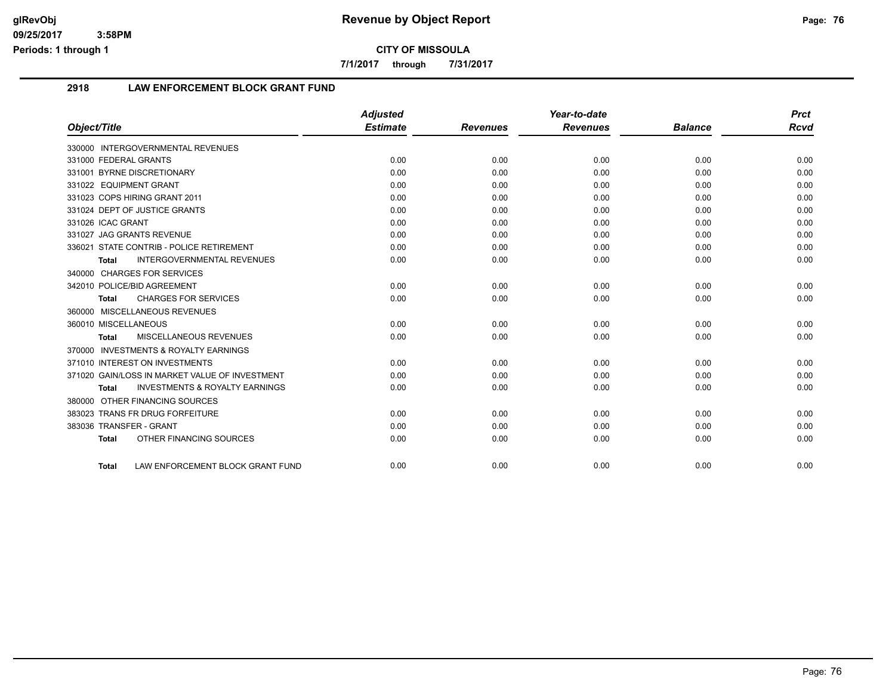**7/1/2017 through 7/31/2017**

### **2918 LAW ENFORCEMENT BLOCK GRANT FUND**

|                                                           | <b>Adjusted</b> |                 | Year-to-date    |                | <b>Prct</b> |
|-----------------------------------------------------------|-----------------|-----------------|-----------------|----------------|-------------|
| Object/Title                                              | <b>Estimate</b> | <b>Revenues</b> | <b>Revenues</b> | <b>Balance</b> | <b>Rcvd</b> |
| 330000 INTERGOVERNMENTAL REVENUES                         |                 |                 |                 |                |             |
| 331000 FEDERAL GRANTS                                     | 0.00            | 0.00            | 0.00            | 0.00           | 0.00        |
| 331001 BYRNE DISCRETIONARY                                | 0.00            | 0.00            | 0.00            | 0.00           | 0.00        |
| 331022 EQUIPMENT GRANT                                    | 0.00            | 0.00            | 0.00            | 0.00           | 0.00        |
| 331023 COPS HIRING GRANT 2011                             | 0.00            | 0.00            | 0.00            | 0.00           | 0.00        |
| 331024 DEPT OF JUSTICE GRANTS                             | 0.00            | 0.00            | 0.00            | 0.00           | 0.00        |
| 331026 ICAC GRANT                                         | 0.00            | 0.00            | 0.00            | 0.00           | 0.00        |
| 331027 JAG GRANTS REVENUE                                 | 0.00            | 0.00            | 0.00            | 0.00           | 0.00        |
| 336021 STATE CONTRIB - POLICE RETIREMENT                  | 0.00            | 0.00            | 0.00            | 0.00           | 0.00        |
| <b>INTERGOVERNMENTAL REVENUES</b><br>Total                | 0.00            | 0.00            | 0.00            | 0.00           | 0.00        |
| 340000 CHARGES FOR SERVICES                               |                 |                 |                 |                |             |
| 342010 POLICE/BID AGREEMENT                               | 0.00            | 0.00            | 0.00            | 0.00           | 0.00        |
| <b>CHARGES FOR SERVICES</b><br><b>Total</b>               | 0.00            | 0.00            | 0.00            | 0.00           | 0.00        |
| 360000 MISCELLANEOUS REVENUES                             |                 |                 |                 |                |             |
| 360010 MISCELLANEOUS                                      | 0.00            | 0.00            | 0.00            | 0.00           | 0.00        |
| MISCELLANEOUS REVENUES<br><b>Total</b>                    | 0.00            | 0.00            | 0.00            | 0.00           | 0.00        |
| 370000 INVESTMENTS & ROYALTY EARNINGS                     |                 |                 |                 |                |             |
| 371010 INTEREST ON INVESTMENTS                            | 0.00            | 0.00            | 0.00            | 0.00           | 0.00        |
| 371020 GAIN/LOSS IN MARKET VALUE OF INVESTMENT            | 0.00            | 0.00            | 0.00            | 0.00           | 0.00        |
| <b>INVESTMENTS &amp; ROYALTY EARNINGS</b><br><b>Total</b> | 0.00            | 0.00            | 0.00            | 0.00           | 0.00        |
| 380000 OTHER FINANCING SOURCES                            |                 |                 |                 |                |             |
| 383023 TRANS FR DRUG FORFEITURE                           | 0.00            | 0.00            | 0.00            | 0.00           | 0.00        |
| 383036 TRANSFER - GRANT                                   | 0.00            | 0.00            | 0.00            | 0.00           | 0.00        |
| OTHER FINANCING SOURCES<br><b>Total</b>                   | 0.00            | 0.00            | 0.00            | 0.00           | 0.00        |
| LAW ENFORCEMENT BLOCK GRANT FUND<br>Total                 | 0.00            | 0.00            | 0.00            | 0.00           | 0.00        |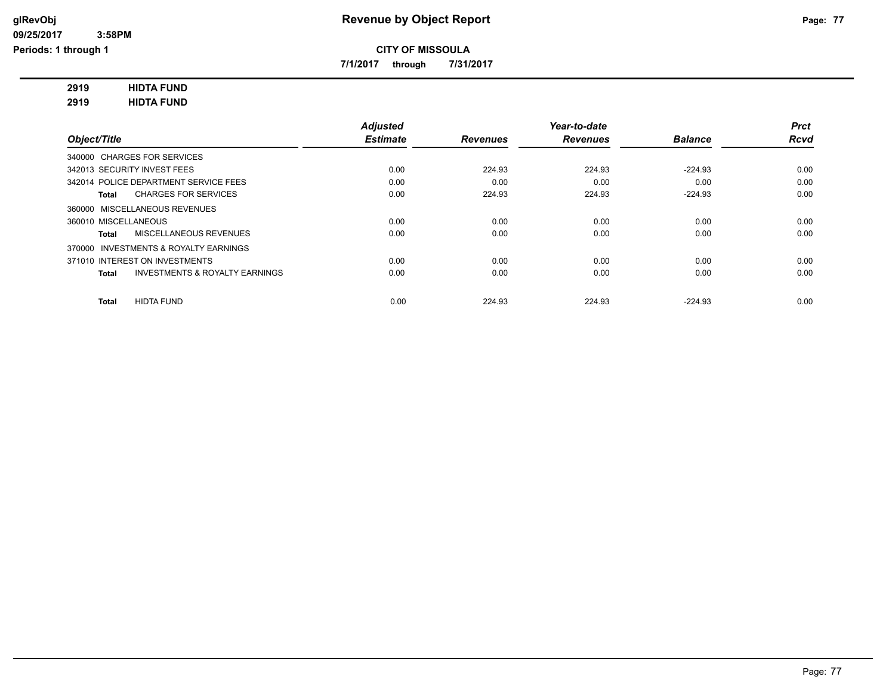**7/1/2017 through 7/31/2017**

### **2919 HIDTA FUND**

**2919 HIDTA FUND**

|                                                           | <b>Adjusted</b> |                 | Year-to-date    |                | <b>Prct</b> |
|-----------------------------------------------------------|-----------------|-----------------|-----------------|----------------|-------------|
| Object/Title                                              | <b>Estimate</b> | <b>Revenues</b> | <b>Revenues</b> | <b>Balance</b> | <b>Rcvd</b> |
| 340000 CHARGES FOR SERVICES                               |                 |                 |                 |                |             |
| 342013 SECURITY INVEST FEES                               | 0.00            | 224.93          | 224.93          | $-224.93$      | 0.00        |
| 342014 POLICE DEPARTMENT SERVICE FEES                     | 0.00            | 0.00            | 0.00            | 0.00           | 0.00        |
| <b>CHARGES FOR SERVICES</b><br>Total                      | 0.00            | 224.93          | 224.93          | $-224.93$      | 0.00        |
| 360000 MISCELLANEOUS REVENUES                             |                 |                 |                 |                |             |
| 360010 MISCELLANEOUS                                      | 0.00            | 0.00            | 0.00            | 0.00           | 0.00        |
| MISCELLANEOUS REVENUES<br>Total                           | 0.00            | 0.00            | 0.00            | 0.00           | 0.00        |
| INVESTMENTS & ROYALTY EARNINGS<br>370000                  |                 |                 |                 |                |             |
| 371010 INTEREST ON INVESTMENTS                            | 0.00            | 0.00            | 0.00            | 0.00           | 0.00        |
| <b>INVESTMENTS &amp; ROYALTY EARNINGS</b><br><b>Total</b> | 0.00            | 0.00            | 0.00            | 0.00           | 0.00        |
| <b>HIDTA FUND</b><br><b>Total</b>                         | 0.00            | 224.93          | 224.93          | $-224.93$      | 0.00        |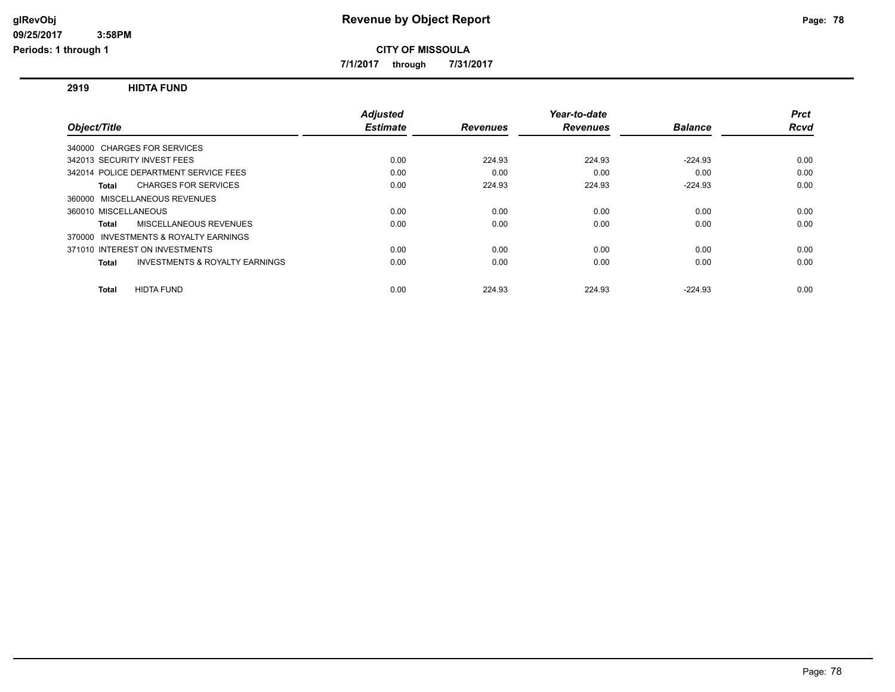**glRevObj Revenue by Object Report Page: 78** 

**CITY OF MISSOULA**

**7/1/2017 through 7/31/2017**

**2919 HIDTA FUND**

 **3:58PM**

|                                                    | <b>Adjusted</b> |                 | Year-to-date    |                | <b>Prct</b> |
|----------------------------------------------------|-----------------|-----------------|-----------------|----------------|-------------|
| Object/Title                                       | <b>Estimate</b> | <b>Revenues</b> | <b>Revenues</b> | <b>Balance</b> | <b>Rcvd</b> |
| 340000 CHARGES FOR SERVICES                        |                 |                 |                 |                |             |
| 342013 SECURITY INVEST FEES                        | 0.00            | 224.93          | 224.93          | $-224.93$      | 0.00        |
| 342014 POLICE DEPARTMENT SERVICE FEES              | 0.00            | 0.00            | 0.00            | 0.00           | 0.00        |
| <b>CHARGES FOR SERVICES</b><br>Total               | 0.00            | 224.93          | 224.93          | $-224.93$      | 0.00        |
| 360000 MISCELLANEOUS REVENUES                      |                 |                 |                 |                |             |
| 360010 MISCELLANEOUS                               | 0.00            | 0.00            | 0.00            | 0.00           | 0.00        |
| MISCELLANEOUS REVENUES<br>Total                    | 0.00            | 0.00            | 0.00            | 0.00           | 0.00        |
| 370000 INVESTMENTS & ROYALTY EARNINGS              |                 |                 |                 |                |             |
| 371010 INTEREST ON INVESTMENTS                     | 0.00            | 0.00            | 0.00            | 0.00           | 0.00        |
| <b>INVESTMENTS &amp; ROYALTY EARNINGS</b><br>Total | 0.00            | 0.00            | 0.00            | 0.00           | 0.00        |
| <b>HIDTA FUND</b><br><b>Total</b>                  | 0.00            | 224.93          | 224.93          | $-224.93$      | 0.00        |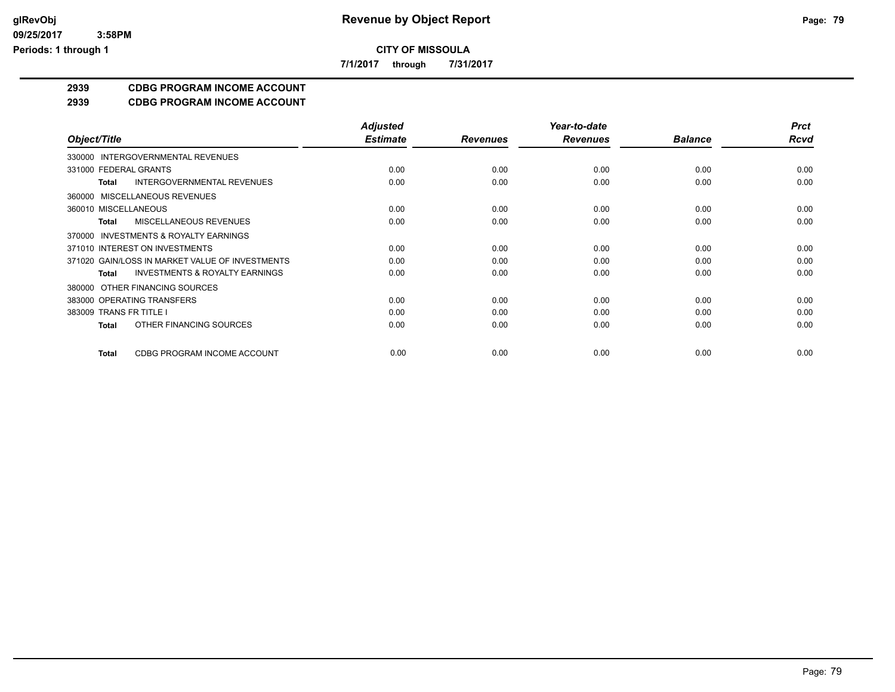**CITY OF MISSOULA**

**7/1/2017 through 7/31/2017**

### **2939 CDBG PROGRAM INCOME ACCOUNT**

### **2939 CDBG PROGRAM INCOME ACCOUNT**

|                                                    | <b>Adjusted</b> |                 | Year-to-date    |                | <b>Prct</b> |
|----------------------------------------------------|-----------------|-----------------|-----------------|----------------|-------------|
| Object/Title                                       | <b>Estimate</b> | <b>Revenues</b> | <b>Revenues</b> | <b>Balance</b> | Rcvd        |
| 330000 INTERGOVERNMENTAL REVENUES                  |                 |                 |                 |                |             |
| 331000 FEDERAL GRANTS                              | 0.00            | 0.00            | 0.00            | 0.00           | 0.00        |
| <b>INTERGOVERNMENTAL REVENUES</b><br>Total         | 0.00            | 0.00            | 0.00            | 0.00           | 0.00        |
| 360000 MISCELLANEOUS REVENUES                      |                 |                 |                 |                |             |
| 360010 MISCELLANEOUS                               | 0.00            | 0.00            | 0.00            | 0.00           | 0.00        |
| MISCELLANEOUS REVENUES<br>Total                    | 0.00            | 0.00            | 0.00            | 0.00           | 0.00        |
| 370000 INVESTMENTS & ROYALTY EARNINGS              |                 |                 |                 |                |             |
| 371010 INTEREST ON INVESTMENTS                     | 0.00            | 0.00            | 0.00            | 0.00           | 0.00        |
| 371020 GAIN/LOSS IN MARKET VALUE OF INVESTMENTS    | 0.00            | 0.00            | 0.00            | 0.00           | 0.00        |
| <b>INVESTMENTS &amp; ROYALTY EARNINGS</b><br>Total | 0.00            | 0.00            | 0.00            | 0.00           | 0.00        |
| 380000 OTHER FINANCING SOURCES                     |                 |                 |                 |                |             |
| 383000 OPERATING TRANSFERS                         | 0.00            | 0.00            | 0.00            | 0.00           | 0.00        |
| 383009 TRANS FR TITLE I                            | 0.00            | 0.00            | 0.00            | 0.00           | 0.00        |
| OTHER FINANCING SOURCES<br>Total                   | 0.00            | 0.00            | 0.00            | 0.00           | 0.00        |
|                                                    |                 |                 |                 |                |             |
| CDBG PROGRAM INCOME ACCOUNT<br>Total               | 0.00            | 0.00            | 0.00            | 0.00           | 0.00        |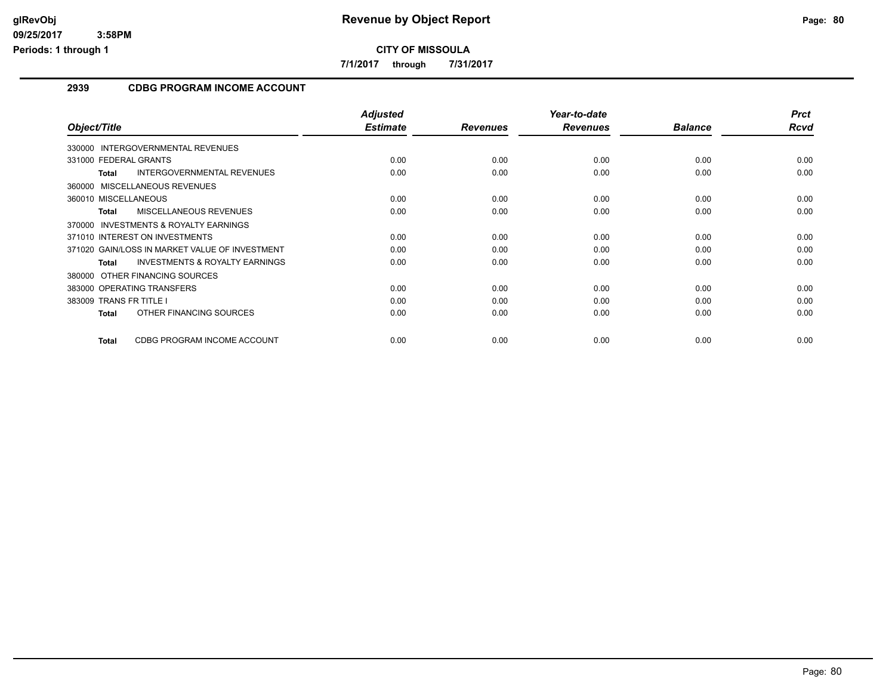**3:58PM**

**CITY OF MISSOULA**

**7/1/2017 through 7/31/2017**

### **2939 CDBG PROGRAM INCOME ACCOUNT**

|                                                    | <b>Adjusted</b> |                 | Year-to-date    |                | <b>Prct</b> |
|----------------------------------------------------|-----------------|-----------------|-----------------|----------------|-------------|
| Object/Title                                       | <b>Estimate</b> | <b>Revenues</b> | <b>Revenues</b> | <b>Balance</b> | <b>Rcvd</b> |
| 330000 INTERGOVERNMENTAL REVENUES                  |                 |                 |                 |                |             |
| 331000 FEDERAL GRANTS                              | 0.00            | 0.00            | 0.00            | 0.00           | 0.00        |
| <b>INTERGOVERNMENTAL REVENUES</b><br><b>Total</b>  | 0.00            | 0.00            | 0.00            | 0.00           | 0.00        |
| 360000 MISCELLANEOUS REVENUES                      |                 |                 |                 |                |             |
| 360010 MISCELLANEOUS                               | 0.00            | 0.00            | 0.00            | 0.00           | 0.00        |
| MISCELLANEOUS REVENUES<br><b>Total</b>             | 0.00            | 0.00            | 0.00            | 0.00           | 0.00        |
| 370000 INVESTMENTS & ROYALTY EARNINGS              |                 |                 |                 |                |             |
| 371010 INTEREST ON INVESTMENTS                     | 0.00            | 0.00            | 0.00            | 0.00           | 0.00        |
| 371020 GAIN/LOSS IN MARKET VALUE OF INVESTMENT     | 0.00            | 0.00            | 0.00            | 0.00           | 0.00        |
| <b>INVESTMENTS &amp; ROYALTY EARNINGS</b><br>Total | 0.00            | 0.00            | 0.00            | 0.00           | 0.00        |
| 380000 OTHER FINANCING SOURCES                     |                 |                 |                 |                |             |
| 383000 OPERATING TRANSFERS                         | 0.00            | 0.00            | 0.00            | 0.00           | 0.00        |
| 383009 TRANS FR TITLE I                            | 0.00            | 0.00            | 0.00            | 0.00           | 0.00        |
| OTHER FINANCING SOURCES<br><b>Total</b>            | 0.00            | 0.00            | 0.00            | 0.00           | 0.00        |
| CDBG PROGRAM INCOME ACCOUNT<br><b>Total</b>        | 0.00            | 0.00            | 0.00            | 0.00           | 0.00        |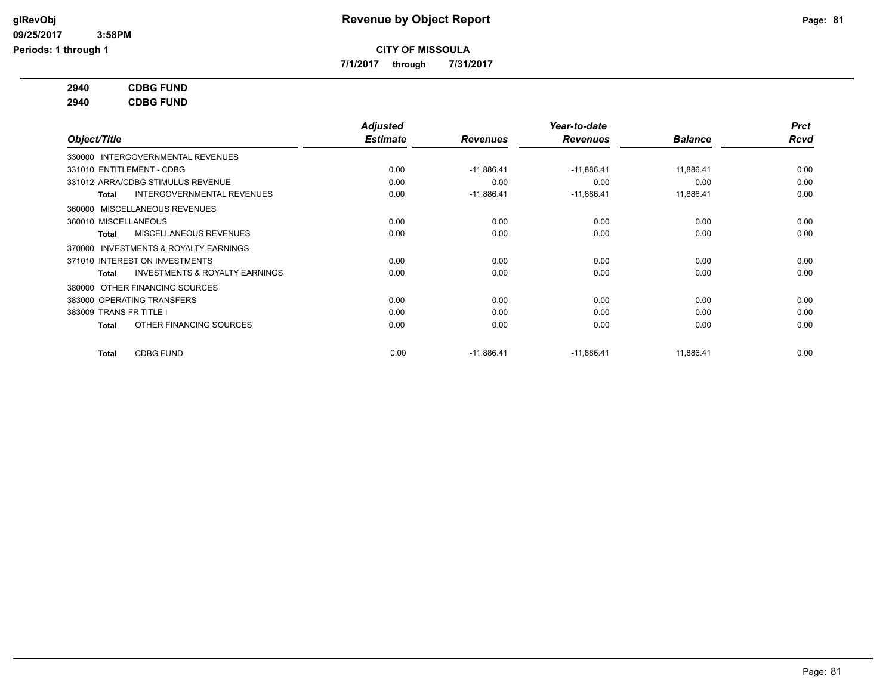**7/1/2017 through 7/31/2017**

### **2940 CDBG FUND**

**2940 CDBG FUND**

|                                                     | <b>Adjusted</b> |                 | Year-to-date    |                | <b>Prct</b> |
|-----------------------------------------------------|-----------------|-----------------|-----------------|----------------|-------------|
| Object/Title                                        | <b>Estimate</b> | <b>Revenues</b> | <b>Revenues</b> | <b>Balance</b> | <b>Rcvd</b> |
| 330000 INTERGOVERNMENTAL REVENUES                   |                 |                 |                 |                |             |
| 331010 ENTITLEMENT - CDBG                           | 0.00            | $-11,886.41$    | $-11,886.41$    | 11,886.41      | 0.00        |
| 331012 ARRA/CDBG STIMULUS REVENUE                   | 0.00            | 0.00            | 0.00            | 0.00           | 0.00        |
| <b>INTERGOVERNMENTAL REVENUES</b><br>Total          | 0.00            | $-11,886.41$    | $-11,886.41$    | 11,886.41      | 0.00        |
| 360000 MISCELLANEOUS REVENUES                       |                 |                 |                 |                |             |
| 360010 MISCELLANEOUS                                | 0.00            | 0.00            | 0.00            | 0.00           | 0.00        |
| MISCELLANEOUS REVENUES<br>Total                     | 0.00            | 0.00            | 0.00            | 0.00           | 0.00        |
| <b>INVESTMENTS &amp; ROYALTY EARNINGS</b><br>370000 |                 |                 |                 |                |             |
| 371010 INTEREST ON INVESTMENTS                      | 0.00            | 0.00            | 0.00            | 0.00           | 0.00        |
| <b>INVESTMENTS &amp; ROYALTY EARNINGS</b><br>Total  | 0.00            | 0.00            | 0.00            | 0.00           | 0.00        |
| OTHER FINANCING SOURCES<br>380000                   |                 |                 |                 |                |             |
| 383000 OPERATING TRANSFERS                          | 0.00            | 0.00            | 0.00            | 0.00           | 0.00        |
| 383009 TRANS FR TITLE I                             | 0.00            | 0.00            | 0.00            | 0.00           | 0.00        |
| OTHER FINANCING SOURCES<br>Total                    | 0.00            | 0.00            | 0.00            | 0.00           | 0.00        |
| <b>CDBG FUND</b><br><b>Total</b>                    | 0.00            | $-11,886.41$    | $-11,886.41$    | 11,886.41      | 0.00        |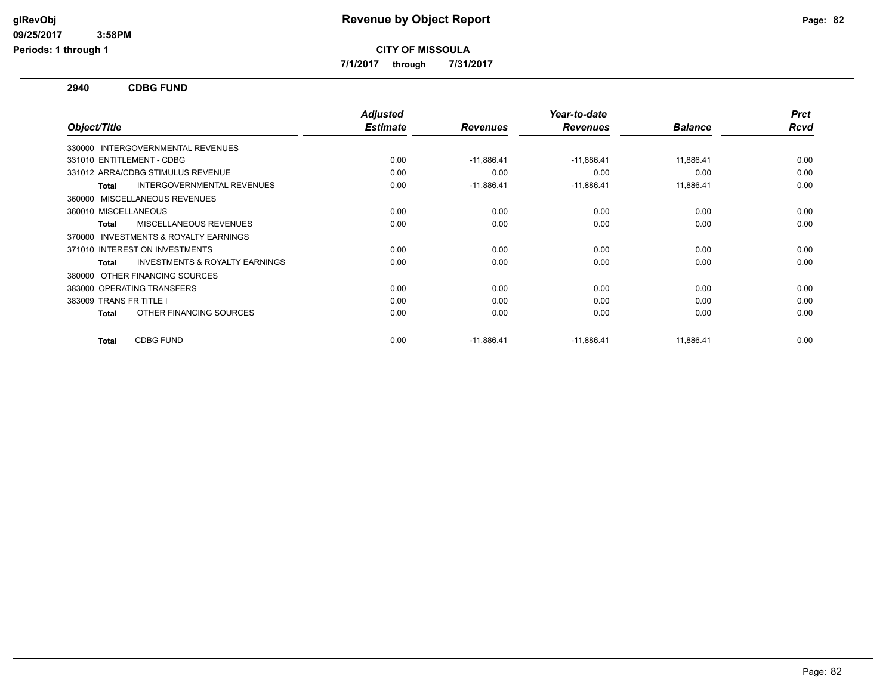**3:58PM Periods: 1 through 1**

**CITY OF MISSOULA**

**7/1/2017 through 7/31/2017**

**2940 CDBG FUND**

|                                                           | <b>Adjusted</b> |                 | Year-to-date    |                | <b>Prct</b> |
|-----------------------------------------------------------|-----------------|-----------------|-----------------|----------------|-------------|
| Object/Title                                              | <b>Estimate</b> | <b>Revenues</b> | <b>Revenues</b> | <b>Balance</b> | <b>Rcvd</b> |
| 330000 INTERGOVERNMENTAL REVENUES                         |                 |                 |                 |                |             |
| 331010 ENTITLEMENT - CDBG                                 | 0.00            | $-11,886.41$    | $-11,886.41$    | 11,886.41      | 0.00        |
| 331012 ARRA/CDBG STIMULUS REVENUE                         | 0.00            | 0.00            | 0.00            | 0.00           | 0.00        |
| <b>INTERGOVERNMENTAL REVENUES</b><br><b>Total</b>         | 0.00            | $-11,886.41$    | $-11,886.41$    | 11,886.41      | 0.00        |
| 360000 MISCELLANEOUS REVENUES                             |                 |                 |                 |                |             |
| 360010 MISCELLANEOUS                                      | 0.00            | 0.00            | 0.00            | 0.00           | 0.00        |
| MISCELLANEOUS REVENUES<br><b>Total</b>                    | 0.00            | 0.00            | 0.00            | 0.00           | 0.00        |
| 370000 INVESTMENTS & ROYALTY EARNINGS                     |                 |                 |                 |                |             |
| 371010 INTEREST ON INVESTMENTS                            | 0.00            | 0.00            | 0.00            | 0.00           | 0.00        |
| <b>INVESTMENTS &amp; ROYALTY EARNINGS</b><br><b>Total</b> | 0.00            | 0.00            | 0.00            | 0.00           | 0.00        |
| 380000 OTHER FINANCING SOURCES                            |                 |                 |                 |                |             |
| 383000 OPERATING TRANSFERS                                | 0.00            | 0.00            | 0.00            | 0.00           | 0.00        |
| 383009 TRANS FR TITLE I                                   | 0.00            | 0.00            | 0.00            | 0.00           | 0.00        |
| OTHER FINANCING SOURCES<br><b>Total</b>                   | 0.00            | 0.00            | 0.00            | 0.00           | 0.00        |
|                                                           |                 |                 |                 |                |             |
| <b>CDBG FUND</b><br><b>Total</b>                          | 0.00            | $-11,886.41$    | $-11,886.41$    | 11,886.41      | 0.00        |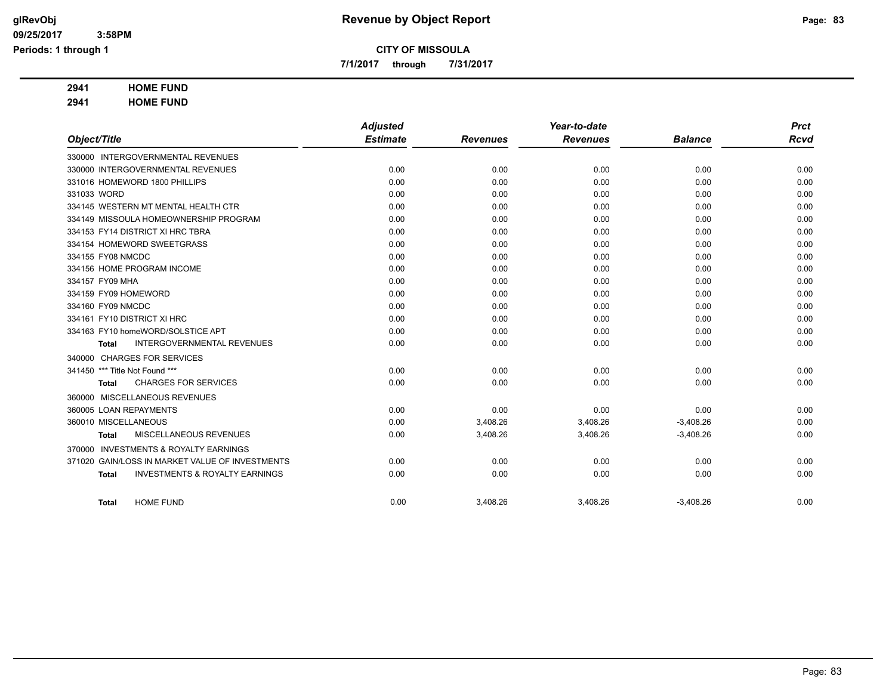**7/1/2017 through 7/31/2017**

### **2941 HOME FUND**

**2941 HOME FUND**

|                                                           | <b>Adjusted</b> |                 | Year-to-date    |                | <b>Prct</b> |
|-----------------------------------------------------------|-----------------|-----------------|-----------------|----------------|-------------|
| Object/Title                                              | <b>Estimate</b> | <b>Revenues</b> | <b>Revenues</b> | <b>Balance</b> | <b>Rcvd</b> |
| 330000 INTERGOVERNMENTAL REVENUES                         |                 |                 |                 |                |             |
| 330000 INTERGOVERNMENTAL REVENUES                         | 0.00            | 0.00            | 0.00            | 0.00           | 0.00        |
| 331016 HOMEWORD 1800 PHILLIPS                             | 0.00            | 0.00            | 0.00            | 0.00           | 0.00        |
| 331033 WORD                                               | 0.00            | 0.00            | 0.00            | 0.00           | 0.00        |
| 334145 WESTERN MT MENTAL HEALTH CTR                       | 0.00            | 0.00            | 0.00            | 0.00           | 0.00        |
| 334149 MISSOULA HOMEOWNERSHIP PROGRAM                     | 0.00            | 0.00            | 0.00            | 0.00           | 0.00        |
| 334153 FY14 DISTRICT XI HRC TBRA                          | 0.00            | 0.00            | 0.00            | 0.00           | 0.00        |
| 334154 HOMEWORD SWEETGRASS                                | 0.00            | 0.00            | 0.00            | 0.00           | 0.00        |
| 334155 FY08 NMCDC                                         | 0.00            | 0.00            | 0.00            | 0.00           | 0.00        |
| 334156 HOME PROGRAM INCOME                                | 0.00            | 0.00            | 0.00            | 0.00           | 0.00        |
| 334157 FY09 MHA                                           | 0.00            | 0.00            | 0.00            | 0.00           | 0.00        |
| 334159 FY09 HOMEWORD                                      | 0.00            | 0.00            | 0.00            | 0.00           | 0.00        |
| 334160 FY09 NMCDC                                         | 0.00            | 0.00            | 0.00            | 0.00           | 0.00        |
| 334161 FY10 DISTRICT XI HRC                               | 0.00            | 0.00            | 0.00            | 0.00           | 0.00        |
| 334163 FY10 homeWORD/SOLSTICE APT                         | 0.00            | 0.00            | 0.00            | 0.00           | 0.00        |
| <b>INTERGOVERNMENTAL REVENUES</b><br>Total                | 0.00            | 0.00            | 0.00            | 0.00           | 0.00        |
| 340000 CHARGES FOR SERVICES                               |                 |                 |                 |                |             |
| 341450 *** Title Not Found ***                            | 0.00            | 0.00            | 0.00            | 0.00           | 0.00        |
| <b>CHARGES FOR SERVICES</b><br>Total                      | 0.00            | 0.00            | 0.00            | 0.00           | 0.00        |
| 360000 MISCELLANEOUS REVENUES                             |                 |                 |                 |                |             |
| 360005 LOAN REPAYMENTS                                    | 0.00            | 0.00            | 0.00            | 0.00           | 0.00        |
| 360010 MISCELLANEOUS                                      | 0.00            | 3,408.26        | 3,408.26        | $-3,408.26$    | 0.00        |
| MISCELLANEOUS REVENUES<br>Total                           | 0.00            | 3,408.26        | 3,408.26        | $-3,408.26$    | 0.00        |
| 370000 INVESTMENTS & ROYALTY EARNINGS                     |                 |                 |                 |                |             |
| 371020 GAIN/LOSS IN MARKET VALUE OF INVESTMENTS           | 0.00            | 0.00            | 0.00            | 0.00           | 0.00        |
| <b>INVESTMENTS &amp; ROYALTY EARNINGS</b><br><b>Total</b> | 0.00            | 0.00            | 0.00            | 0.00           | 0.00        |
| <b>HOME FUND</b><br>Total                                 | 0.00            | 3,408.26        | 3,408.26        | $-3,408.26$    | 0.00        |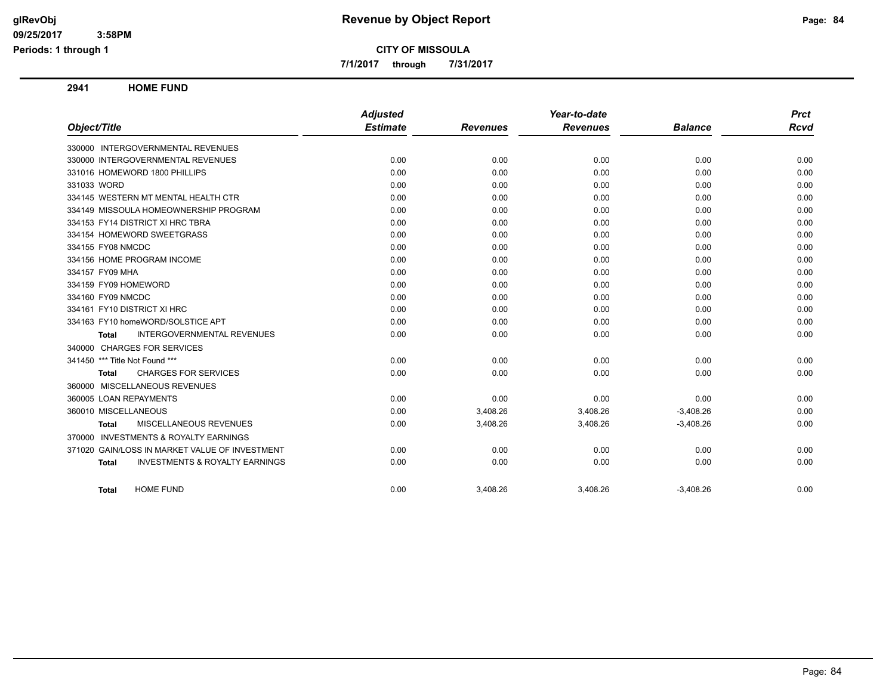**7/1/2017 through 7/31/2017**

**2941 HOME FUND**

|                                                           | <b>Adjusted</b> |                 | Year-to-date    |                | <b>Prct</b> |
|-----------------------------------------------------------|-----------------|-----------------|-----------------|----------------|-------------|
| Object/Title                                              | <b>Estimate</b> | <b>Revenues</b> | <b>Revenues</b> | <b>Balance</b> | <b>Rcvd</b> |
| 330000 INTERGOVERNMENTAL REVENUES                         |                 |                 |                 |                |             |
| 330000 INTERGOVERNMENTAL REVENUES                         | 0.00            | 0.00            | 0.00            | 0.00           | 0.00        |
| 331016 HOMEWORD 1800 PHILLIPS                             | 0.00            | 0.00            | 0.00            | 0.00           | 0.00        |
| 331033 WORD                                               | 0.00            | 0.00            | 0.00            | 0.00           | 0.00        |
| 334145 WESTERN MT MENTAL HEALTH CTR                       | 0.00            | 0.00            | 0.00            | 0.00           | 0.00        |
| 334149 MISSOULA HOMEOWNERSHIP PROGRAM                     | 0.00            | 0.00            | 0.00            | 0.00           | 0.00        |
| 334153 FY14 DISTRICT XI HRC TBRA                          | 0.00            | 0.00            | 0.00            | 0.00           | 0.00        |
| 334154 HOMEWORD SWEETGRASS                                | 0.00            | 0.00            | 0.00            | 0.00           | 0.00        |
| 334155 FY08 NMCDC                                         | 0.00            | 0.00            | 0.00            | 0.00           | 0.00        |
| 334156 HOME PROGRAM INCOME                                | 0.00            | 0.00            | 0.00            | 0.00           | 0.00        |
| 334157 FY09 MHA                                           | 0.00            | 0.00            | 0.00            | 0.00           | 0.00        |
| 334159 FY09 HOMEWORD                                      | 0.00            | 0.00            | 0.00            | 0.00           | 0.00        |
| 334160 FY09 NMCDC                                         | 0.00            | 0.00            | 0.00            | 0.00           | 0.00        |
| 334161 FY10 DISTRICT XI HRC                               | 0.00            | 0.00            | 0.00            | 0.00           | 0.00        |
| 334163 FY10 homeWORD/SOLSTICE APT                         | 0.00            | 0.00            | 0.00            | 0.00           | 0.00        |
| <b>INTERGOVERNMENTAL REVENUES</b><br><b>Total</b>         | 0.00            | 0.00            | 0.00            | 0.00           | 0.00        |
| 340000 CHARGES FOR SERVICES                               |                 |                 |                 |                |             |
| 341450 *** Title Not Found ***                            | 0.00            | 0.00            | 0.00            | 0.00           | 0.00        |
| <b>CHARGES FOR SERVICES</b><br><b>Total</b>               | 0.00            | 0.00            | 0.00            | 0.00           | 0.00        |
| 360000 MISCELLANEOUS REVENUES                             |                 |                 |                 |                |             |
| 360005 LOAN REPAYMENTS                                    | 0.00            | 0.00            | 0.00            | 0.00           | 0.00        |
| 360010 MISCELLANEOUS                                      | 0.00            | 3,408.26        | 3,408.26        | $-3,408.26$    | 0.00        |
| MISCELLANEOUS REVENUES<br><b>Total</b>                    | 0.00            | 3,408.26        | 3,408.26        | $-3,408.26$    | 0.00        |
| 370000 INVESTMENTS & ROYALTY EARNINGS                     |                 |                 |                 |                |             |
| 371020 GAIN/LOSS IN MARKET VALUE OF INVESTMENT            | 0.00            | 0.00            | 0.00            | 0.00           | 0.00        |
| <b>INVESTMENTS &amp; ROYALTY EARNINGS</b><br><b>Total</b> | 0.00            | 0.00            | 0.00            | 0.00           | 0.00        |
| <b>HOME FUND</b><br><b>Total</b>                          | 0.00            | 3,408.26        | 3,408.26        | $-3,408.26$    | 0.00        |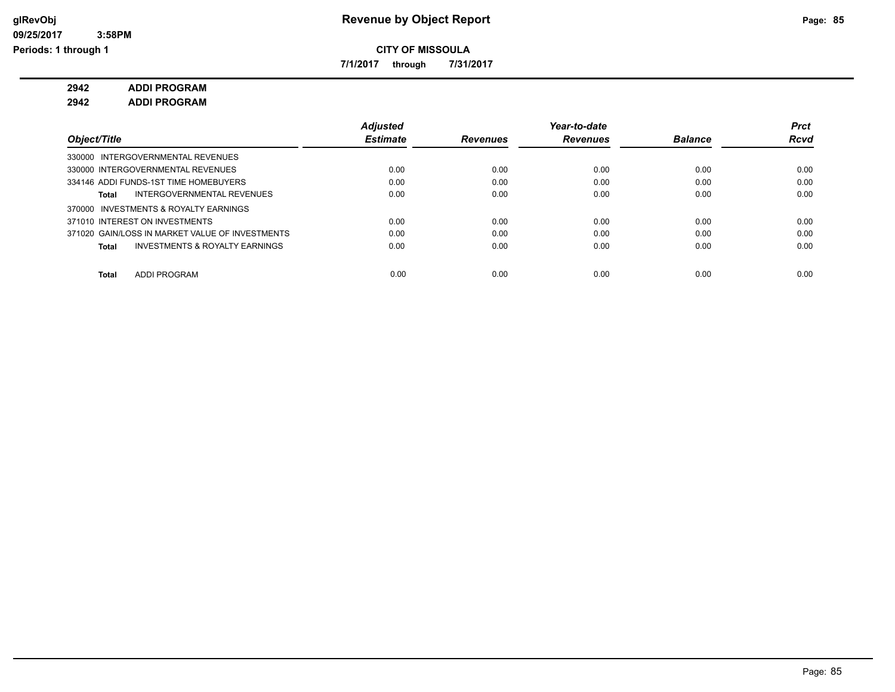**7/1/2017 through 7/31/2017**

### **2942 ADDI PROGRAM**

**2942 ADDI PROGRAM**

|                                                    | Adjusted        |                 | Year-to-date    |                | Prct        |
|----------------------------------------------------|-----------------|-----------------|-----------------|----------------|-------------|
| Object/Title                                       | <b>Estimate</b> | <b>Revenues</b> | <b>Revenues</b> | <b>Balance</b> | <b>Rcvd</b> |
| 330000 INTERGOVERNMENTAL REVENUES                  |                 |                 |                 |                |             |
| 330000 INTERGOVERNMENTAL REVENUES                  | 0.00            | 0.00            | 0.00            | 0.00           | 0.00        |
| 334146 ADDI FUNDS-1ST TIME HOMEBUYERS              | 0.00            | 0.00            | 0.00            | 0.00           | 0.00        |
| INTERGOVERNMENTAL REVENUES<br>Total                | 0.00            | 0.00            | 0.00            | 0.00           | 0.00        |
| 370000 INVESTMENTS & ROYALTY EARNINGS              |                 |                 |                 |                |             |
| 371010 INTEREST ON INVESTMENTS                     | 0.00            | 0.00            | 0.00            | 0.00           | 0.00        |
| 371020 GAIN/LOSS IN MARKET VALUE OF INVESTMENTS    | 0.00            | 0.00            | 0.00            | 0.00           | 0.00        |
| <b>INVESTMENTS &amp; ROYALTY EARNINGS</b><br>Total | 0.00            | 0.00            | 0.00            | 0.00           | 0.00        |
| <b>ADDI PROGRAM</b><br><b>Total</b>                | 0.00            | 0.00            | 0.00            | 0.00           | 0.00        |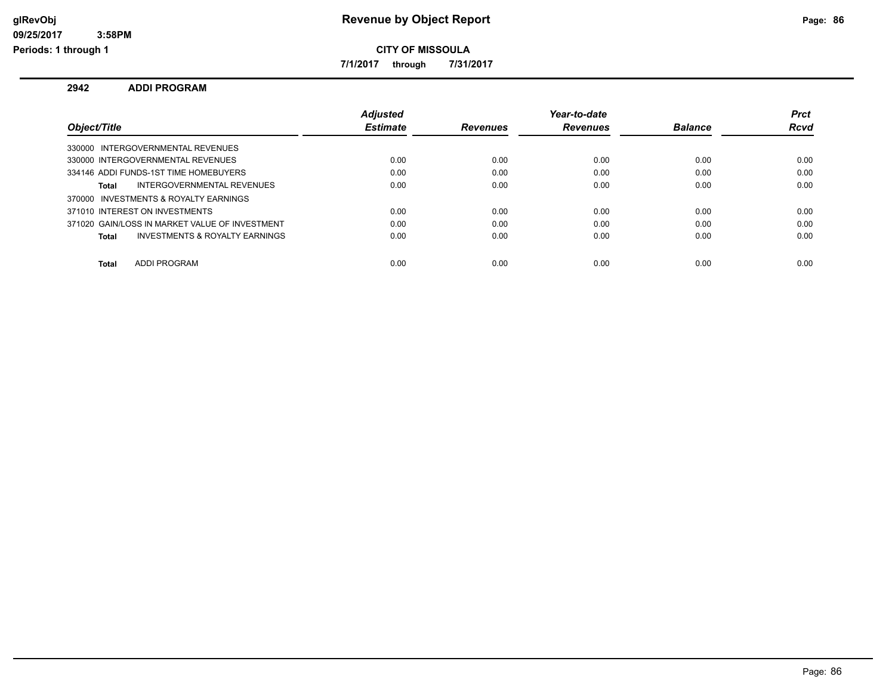#### **09/25/2017 3:58PM Periods: 1 through 1**

**CITY OF MISSOULA**

**7/1/2017 through 7/31/2017**

### **2942 ADDI PROGRAM**

|                                                | <b>Adiusted</b> |                 | Year-to-date    |                | <b>Prct</b> |
|------------------------------------------------|-----------------|-----------------|-----------------|----------------|-------------|
| Object/Title                                   | <b>Estimate</b> | <b>Revenues</b> | <b>Revenues</b> | <b>Balance</b> | <b>Rcvd</b> |
| 330000 INTERGOVERNMENTAL REVENUES              |                 |                 |                 |                |             |
| 330000 INTERGOVERNMENTAL REVENUES              | 0.00            | 0.00            | 0.00            | 0.00           | 0.00        |
| 334146 ADDI FUNDS-1ST TIME HOMEBUYERS          | 0.00            | 0.00            | 0.00            | 0.00           | 0.00        |
| INTERGOVERNMENTAL REVENUES<br><b>Total</b>     | 0.00            | 0.00            | 0.00            | 0.00           | 0.00        |
| 370000 INVESTMENTS & ROYALTY EARNINGS          |                 |                 |                 |                |             |
| 371010 INTEREST ON INVESTMENTS                 | 0.00            | 0.00            | 0.00            | 0.00           | 0.00        |
| 371020 GAIN/LOSS IN MARKET VALUE OF INVESTMENT | 0.00            | 0.00            | 0.00            | 0.00           | 0.00        |
| <b>Total</b><br>INVESTMENTS & ROYALTY EARNINGS | 0.00            | 0.00            | 0.00            | 0.00           | 0.00        |
|                                                |                 |                 |                 |                |             |
| <b>ADDI PROGRAM</b><br><b>Total</b>            | 0.00            | 0.00            | 0.00            | 0.00           | 0.00        |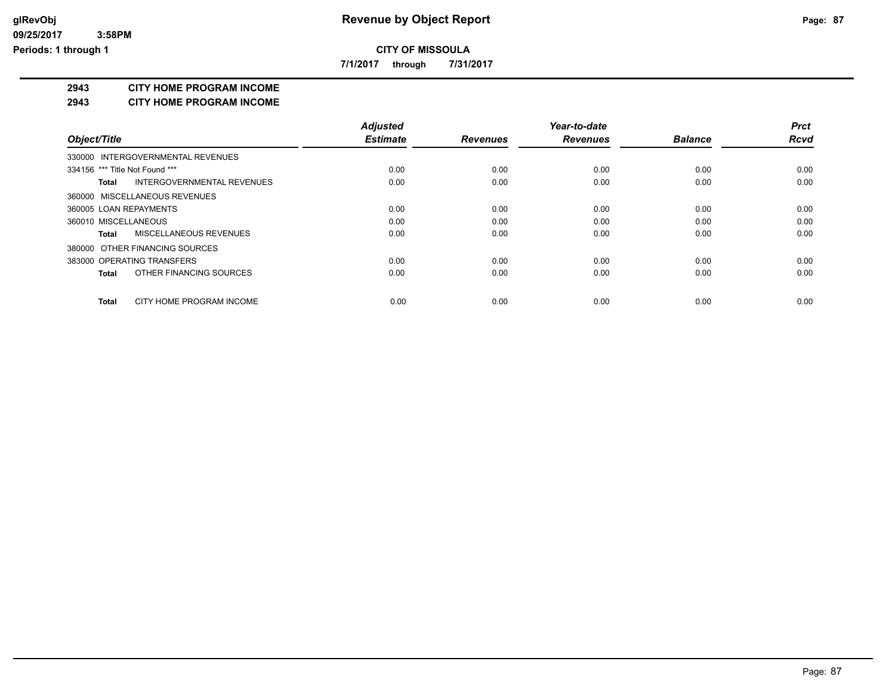**CITY OF MISSOULA**

**7/1/2017 through 7/31/2017**

### **2943 CITY HOME PROGRAM INCOME**

 **3:58PM**

### **2943 CITY HOME PROGRAM INCOME**

|                                            | <b>Adjusted</b> |                 | Year-to-date    |                | <b>Prct</b> |
|--------------------------------------------|-----------------|-----------------|-----------------|----------------|-------------|
| Object/Title                               | <b>Estimate</b> | <b>Revenues</b> | <b>Revenues</b> | <b>Balance</b> | <b>Rcvd</b> |
| 330000 INTERGOVERNMENTAL REVENUES          |                 |                 |                 |                |             |
| 334156 *** Title Not Found ***             | 0.00            | 0.00            | 0.00            | 0.00           | 0.00        |
| <b>INTERGOVERNMENTAL REVENUES</b><br>Total | 0.00            | 0.00            | 0.00            | 0.00           | 0.00        |
| 360000 MISCELLANEOUS REVENUES              |                 |                 |                 |                |             |
| 360005 LOAN REPAYMENTS                     | 0.00            | 0.00            | 0.00            | 0.00           | 0.00        |
| 360010 MISCELLANEOUS                       | 0.00            | 0.00            | 0.00            | 0.00           | 0.00        |
| MISCELLANEOUS REVENUES<br>Total            | 0.00            | 0.00            | 0.00            | 0.00           | 0.00        |
| 380000 OTHER FINANCING SOURCES             |                 |                 |                 |                |             |
| 383000 OPERATING TRANSFERS                 | 0.00            | 0.00            | 0.00            | 0.00           | 0.00        |
| OTHER FINANCING SOURCES<br>Total           | 0.00            | 0.00            | 0.00            | 0.00           | 0.00        |
| CITY HOME PROGRAM INCOME<br><b>Total</b>   | 0.00            | 0.00            | 0.00            | 0.00           | 0.00        |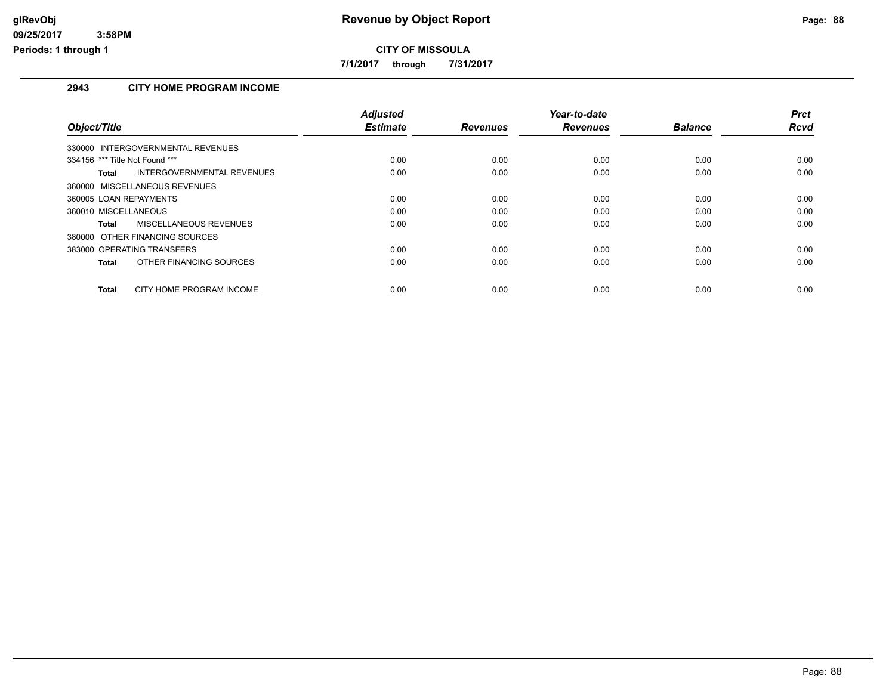**CITY OF MISSOULA**

**7/1/2017 through 7/31/2017**

### **2943 CITY HOME PROGRAM INCOME**

 **3:58PM**

| Object/Title                             | <b>Adjusted</b><br><b>Estimate</b> | <b>Revenues</b> | Year-to-date<br><b>Revenues</b> | <b>Balance</b> | <b>Prct</b><br><b>Rcvd</b> |
|------------------------------------------|------------------------------------|-----------------|---------------------------------|----------------|----------------------------|
|                                          |                                    |                 |                                 |                |                            |
| 330000 INTERGOVERNMENTAL REVENUES        |                                    |                 |                                 |                |                            |
| 334156 *** Title Not Found ***           | 0.00                               | 0.00            | 0.00                            | 0.00           | 0.00                       |
| INTERGOVERNMENTAL REVENUES<br>Total      | 0.00                               | 0.00            | 0.00                            | 0.00           | 0.00                       |
| 360000 MISCELLANEOUS REVENUES            |                                    |                 |                                 |                |                            |
| 360005 LOAN REPAYMENTS                   | 0.00                               | 0.00            | 0.00                            | 0.00           | 0.00                       |
| 360010 MISCELLANEOUS                     | 0.00                               | 0.00            | 0.00                            | 0.00           | 0.00                       |
| <b>MISCELLANEOUS REVENUES</b><br>Total   | 0.00                               | 0.00            | 0.00                            | 0.00           | 0.00                       |
| 380000 OTHER FINANCING SOURCES           |                                    |                 |                                 |                |                            |
| 383000 OPERATING TRANSFERS               | 0.00                               | 0.00            | 0.00                            | 0.00           | 0.00                       |
| OTHER FINANCING SOURCES<br>Total         | 0.00                               | 0.00            | 0.00                            | 0.00           | 0.00                       |
|                                          |                                    |                 |                                 |                |                            |
| CITY HOME PROGRAM INCOME<br><b>Total</b> | 0.00                               | 0.00            | 0.00                            | 0.00           | 0.00                       |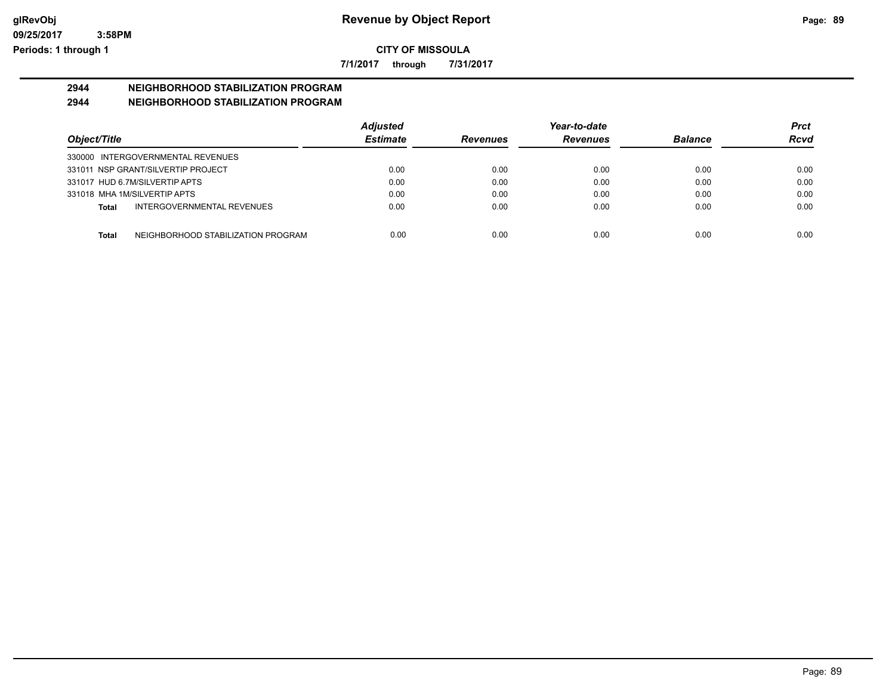**7/1/2017 through 7/31/2017**

# **2944 NEIGHBORHOOD STABILIZATION PROGRAM**

### **2944 NEIGHBORHOOD STABILIZATION PROGRAM**

|                                                    | <b>Adjusted</b> |                 | Year-to-date    |                | Prct |
|----------------------------------------------------|-----------------|-----------------|-----------------|----------------|------|
| Object/Title                                       | <b>Estimate</b> | <b>Revenues</b> | <b>Revenues</b> | <b>Balance</b> | Rcvd |
| 330000 INTERGOVERNMENTAL REVENUES                  |                 |                 |                 |                |      |
| 331011 NSP GRANT/SILVERTIP PROJECT                 | 0.00            | 0.00            | 0.00            | 0.00           | 0.00 |
| 331017 HUD 6.7M/SILVERTIP APTS                     | 0.00            | 0.00            | 0.00            | 0.00           | 0.00 |
| 331018 MHA 1M/SILVERTIP APTS                       | 0.00            | 0.00            | 0.00            | 0.00           | 0.00 |
| INTERGOVERNMENTAL REVENUES<br>Total                | 0.00            | 0.00            | 0.00            | 0.00           | 0.00 |
| NEIGHBORHOOD STABILIZATION PROGRAM<br><b>Total</b> | 0.00            | 0.00            | 0.00            | 0.00           | 0.00 |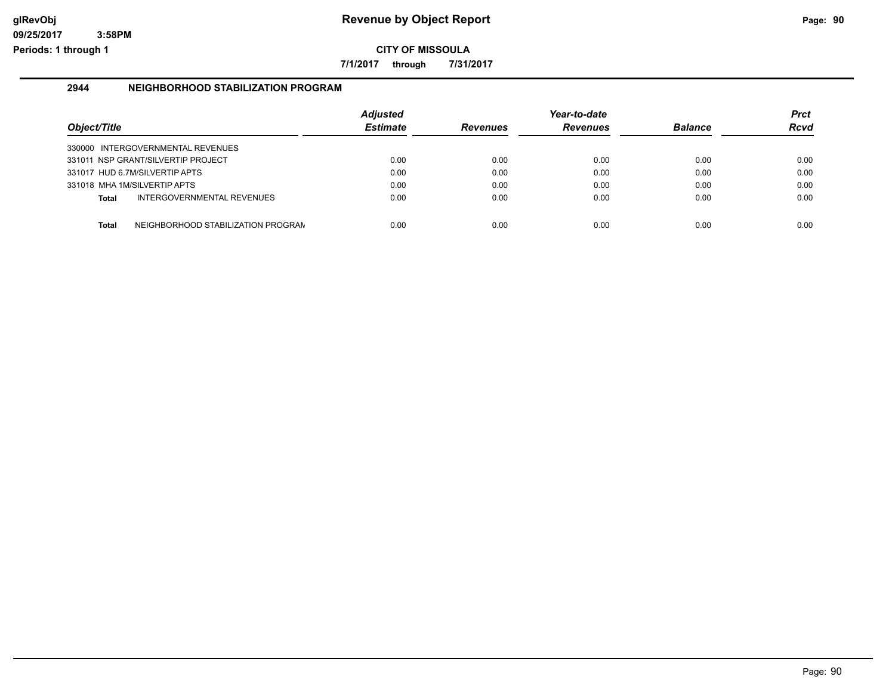**7/1/2017 through 7/31/2017**

### **2944 NEIGHBORHOOD STABILIZATION PROGRAM**

| Object/Title |                                    | <b>Adjusted</b><br><b>Estimate</b> | <b>Revenues</b> | Year-to-date<br><b>Revenues</b> | <b>Balance</b> | <b>Prct</b><br><b>Rcvd</b> |
|--------------|------------------------------------|------------------------------------|-----------------|---------------------------------|----------------|----------------------------|
|              | 330000 INTERGOVERNMENTAL REVENUES  |                                    |                 |                                 |                |                            |
|              | 331011 NSP GRANT/SILVERTIP PROJECT | 0.00                               | 0.00            | 0.00                            | 0.00           | 0.00                       |
|              | 331017 HUD 6.7M/SILVERTIP APTS     | 0.00                               | 0.00            | 0.00                            | 0.00           | 0.00                       |
|              | 331018 MHA 1M/SILVERTIP APTS       | 0.00                               | 0.00            | 0.00                            | 0.00           | 0.00                       |
| Total        | INTERGOVERNMENTAL REVENUES         | 0.00                               | 0.00            | 0.00                            | 0.00           | 0.00                       |
| <b>Total</b> | NEIGHBORHOOD STABILIZATION PROGRAM | 0.00                               | 0.00            | 0.00                            | 0.00           | 0.00                       |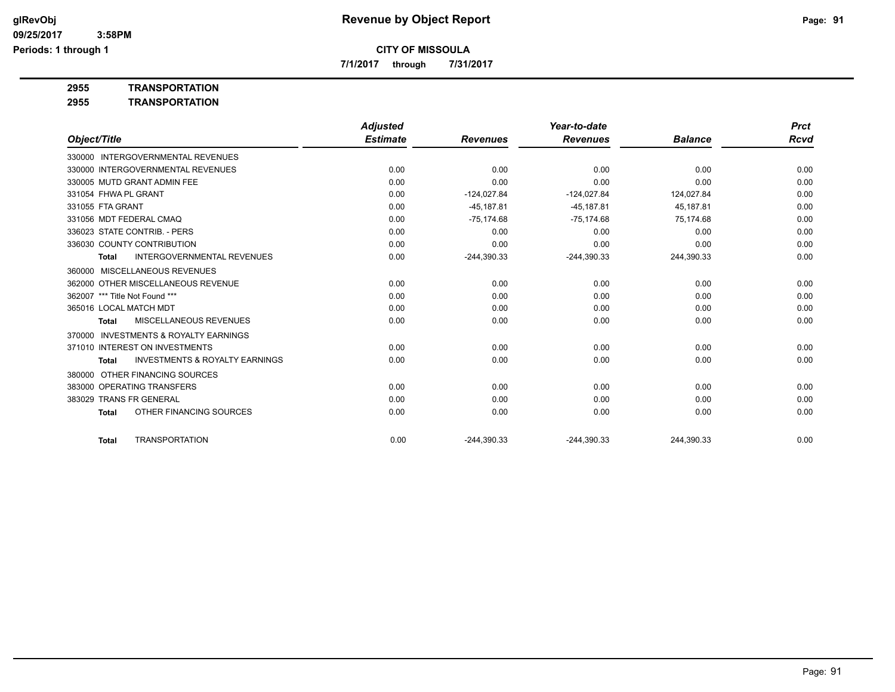**7/1/2017 through 7/31/2017**

**2955 TRANSPORTATION**

**2955 TRANSPORTATION**

|                                                           | <b>Adjusted</b> |                 | Year-to-date    |                | <b>Prct</b> |
|-----------------------------------------------------------|-----------------|-----------------|-----------------|----------------|-------------|
| Object/Title                                              | <b>Estimate</b> | <b>Revenues</b> | <b>Revenues</b> | <b>Balance</b> | <b>Rcvd</b> |
| 330000 INTERGOVERNMENTAL REVENUES                         |                 |                 |                 |                |             |
| 330000 INTERGOVERNMENTAL REVENUES                         | 0.00            | 0.00            | 0.00            | 0.00           | 0.00        |
| 330005 MUTD GRANT ADMIN FEE                               | 0.00            | 0.00            | 0.00            | 0.00           | 0.00        |
| 331054 FHWA PL GRANT                                      | 0.00            | $-124.027.84$   | $-124.027.84$   | 124.027.84     | 0.00        |
| 331055 FTA GRANT                                          | 0.00            | $-45.187.81$    | $-45.187.81$    | 45.187.81      | 0.00        |
| 331056 MDT FEDERAL CMAO                                   | 0.00            | $-75,174.68$    | $-75,174.68$    | 75,174.68      | 0.00        |
| 336023 STATE CONTRIB. - PERS                              | 0.00            | 0.00            | 0.00            | 0.00           | 0.00        |
| 336030 COUNTY CONTRIBUTION                                | 0.00            | 0.00            | 0.00            | 0.00           | 0.00        |
| <b>INTERGOVERNMENTAL REVENUES</b><br><b>Total</b>         | 0.00            | $-244,390.33$   | $-244,390.33$   | 244,390.33     | 0.00        |
| <b>MISCELLANEOUS REVENUES</b><br>360000                   |                 |                 |                 |                |             |
| 362000 OTHER MISCELLANEOUS REVENUE                        | 0.00            | 0.00            | 0.00            | 0.00           | 0.00        |
| 362007 *** Title Not Found ***                            | 0.00            | 0.00            | 0.00            | 0.00           | 0.00        |
| 365016 LOCAL MATCH MDT                                    | 0.00            | 0.00            | 0.00            | 0.00           | 0.00        |
| MISCELLANEOUS REVENUES<br><b>Total</b>                    | 0.00            | 0.00            | 0.00            | 0.00           | 0.00        |
| <b>INVESTMENTS &amp; ROYALTY EARNINGS</b><br>370000       |                 |                 |                 |                |             |
| 371010 INTEREST ON INVESTMENTS                            | 0.00            | 0.00            | 0.00            | 0.00           | 0.00        |
| <b>INVESTMENTS &amp; ROYALTY EARNINGS</b><br><b>Total</b> | 0.00            | 0.00            | 0.00            | 0.00           | 0.00        |
| OTHER FINANCING SOURCES<br>380000                         |                 |                 |                 |                |             |
| 383000 OPERATING TRANSFERS                                | 0.00            | 0.00            | 0.00            | 0.00           | 0.00        |
| 383029 TRANS FR GENERAL                                   | 0.00            | 0.00            | 0.00            | 0.00           | 0.00        |
| OTHER FINANCING SOURCES<br><b>Total</b>                   | 0.00            | 0.00            | 0.00            | 0.00           | 0.00        |
| <b>TRANSPORTATION</b><br><b>Total</b>                     | 0.00            | $-244,390.33$   | $-244,390.33$   | 244,390.33     | 0.00        |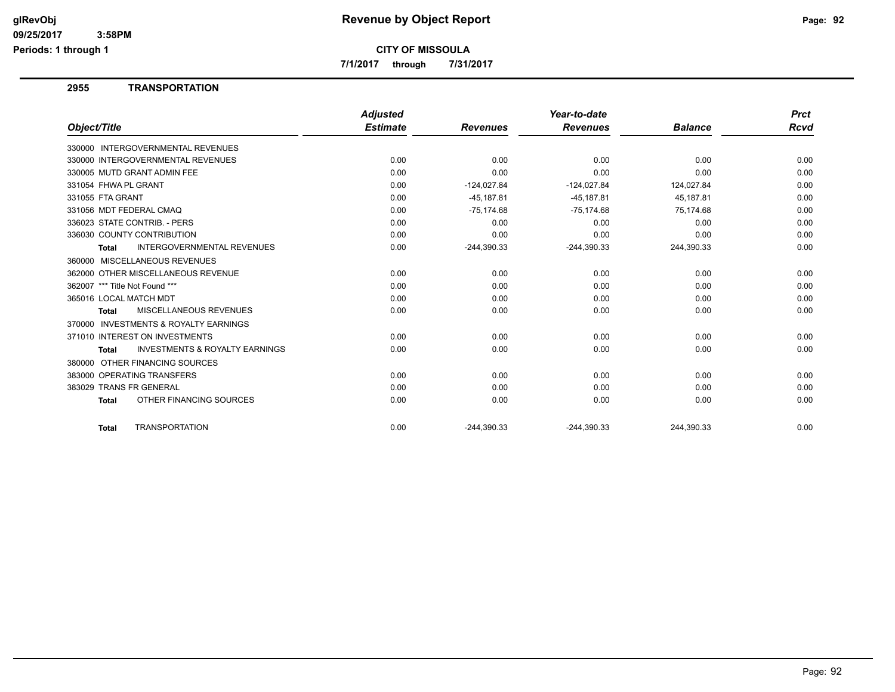**7/1/2017 through 7/31/2017**

### **2955 TRANSPORTATION**

|                                                           | <b>Adjusted</b> |                 | Year-to-date    |                | <b>Prct</b> |
|-----------------------------------------------------------|-----------------|-----------------|-----------------|----------------|-------------|
| Object/Title                                              | <b>Estimate</b> | <b>Revenues</b> | <b>Revenues</b> | <b>Balance</b> | Rcvd        |
| 330000 INTERGOVERNMENTAL REVENUES                         |                 |                 |                 |                |             |
| 330000 INTERGOVERNMENTAL REVENUES                         | 0.00            | 0.00            | 0.00            | 0.00           | 0.00        |
| 330005 MUTD GRANT ADMIN FEE                               | 0.00            | 0.00            | 0.00            | 0.00           | 0.00        |
| 331054 FHWA PL GRANT                                      | 0.00            | $-124,027.84$   | $-124,027.84$   | 124,027.84     | 0.00        |
| 331055 FTA GRANT                                          | 0.00            | $-45,187.81$    | $-45,187.81$    | 45,187.81      | 0.00        |
| 331056 MDT FEDERAL CMAQ                                   | 0.00            | $-75,174.68$    | $-75,174.68$    | 75,174.68      | 0.00        |
| 336023 STATE CONTRIB. - PERS                              | 0.00            | 0.00            | 0.00            | 0.00           | 0.00        |
| 336030 COUNTY CONTRIBUTION                                | 0.00            | 0.00            | 0.00            | 0.00           | 0.00        |
| <b>INTERGOVERNMENTAL REVENUES</b><br><b>Total</b>         | 0.00            | $-244,390.33$   | $-244,390.33$   | 244,390.33     | 0.00        |
| 360000 MISCELLANEOUS REVENUES                             |                 |                 |                 |                |             |
| 362000 OTHER MISCELLANEOUS REVENUE                        | 0.00            | 0.00            | 0.00            | 0.00           | 0.00        |
| 362007 *** Title Not Found ***                            | 0.00            | 0.00            | 0.00            | 0.00           | 0.00        |
| 365016 LOCAL MATCH MDT                                    | 0.00            | 0.00            | 0.00            | 0.00           | 0.00        |
| MISCELLANEOUS REVENUES<br><b>Total</b>                    | 0.00            | 0.00            | 0.00            | 0.00           | 0.00        |
| 370000 INVESTMENTS & ROYALTY EARNINGS                     |                 |                 |                 |                |             |
| 371010 INTEREST ON INVESTMENTS                            | 0.00            | 0.00            | 0.00            | 0.00           | 0.00        |
| <b>INVESTMENTS &amp; ROYALTY EARNINGS</b><br><b>Total</b> | 0.00            | 0.00            | 0.00            | 0.00           | 0.00        |
| 380000 OTHER FINANCING SOURCES                            |                 |                 |                 |                |             |
| 383000 OPERATING TRANSFERS                                | 0.00            | 0.00            | 0.00            | 0.00           | 0.00        |
| 383029 TRANS FR GENERAL                                   | 0.00            | 0.00            | 0.00            | 0.00           | 0.00        |
| OTHER FINANCING SOURCES<br><b>Total</b>                   | 0.00            | 0.00            | 0.00            | 0.00           | 0.00        |
| <b>TRANSPORTATION</b><br><b>Total</b>                     | 0.00            | $-244.390.33$   | $-244.390.33$   | 244.390.33     | 0.00        |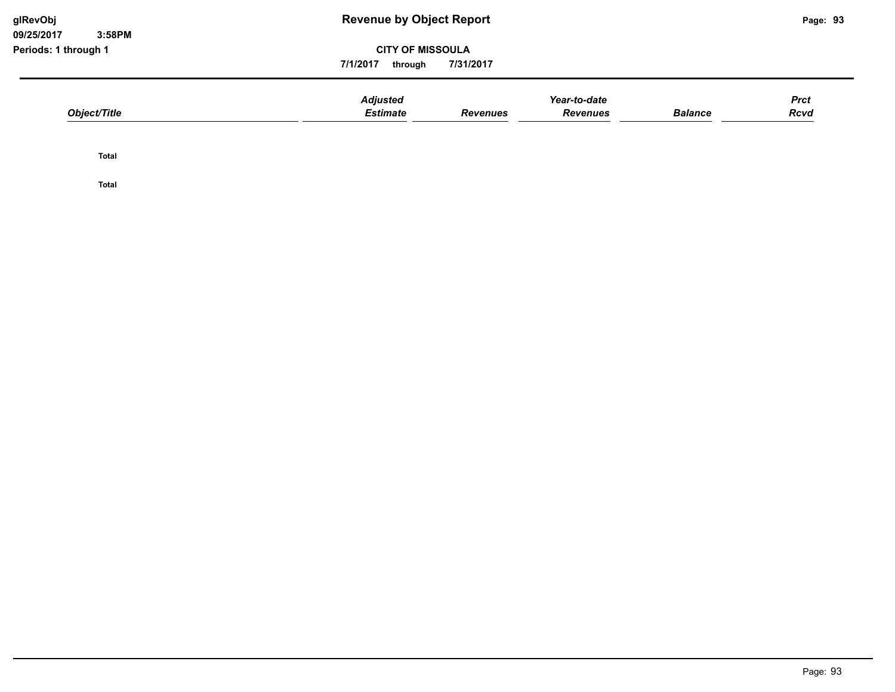| glRevObj<br>09/25/2017<br>3:58PM<br>Periods: 1 through 1 |                                                | <b>Revenue by Object Report</b> |                                 |                |                     |  |
|----------------------------------------------------------|------------------------------------------------|---------------------------------|---------------------------------|----------------|---------------------|--|
|                                                          | <b>CITY OF MISSOULA</b><br>7/1/2017<br>through | 7/31/2017                       |                                 |                |                     |  |
| Object/Title                                             | <b>Adjusted</b><br><b>Estimate</b>             | <b>Revenues</b>                 | Year-to-date<br><b>Revenues</b> | <b>Balance</b> | <b>Prct</b><br>Rcvd |  |
| <b>Total</b>                                             |                                                |                                 |                                 |                |                     |  |

**Total**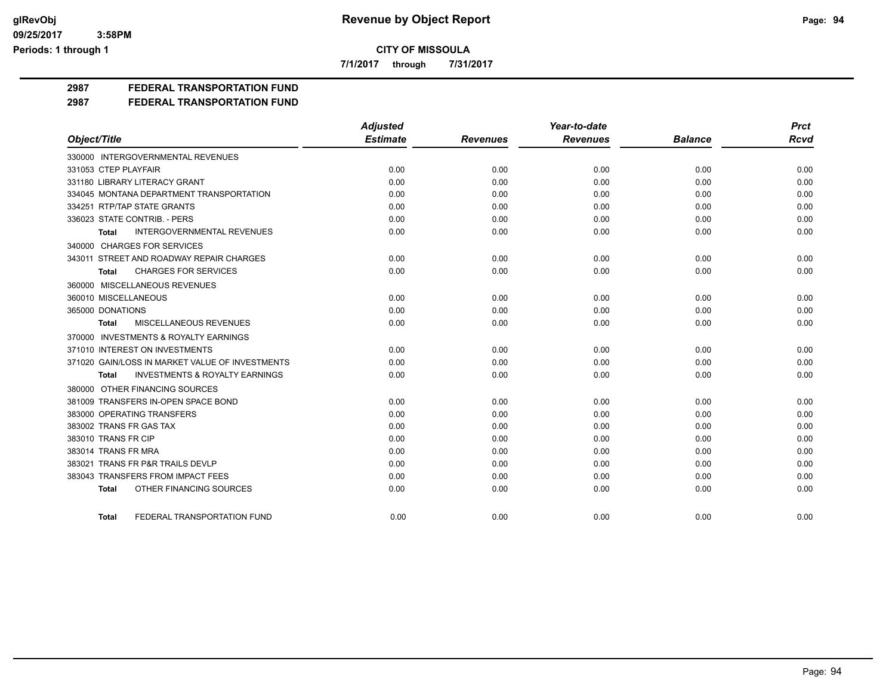**7/1/2017 through 7/31/2017**

**2987 FEDERAL TRANSPORTATION FUND**

**2987 FEDERAL TRANSPORTATION FUND**

|                                                    | <b>Adjusted</b> |                 | Year-to-date    |                | <b>Prct</b> |
|----------------------------------------------------|-----------------|-----------------|-----------------|----------------|-------------|
| Object/Title                                       | <b>Estimate</b> | <b>Revenues</b> | <b>Revenues</b> | <b>Balance</b> | <b>Rcvd</b> |
| 330000 INTERGOVERNMENTAL REVENUES                  |                 |                 |                 |                |             |
| 331053 CTEP PLAYFAIR                               | 0.00            | 0.00            | 0.00            | 0.00           | 0.00        |
| 331180 LIBRARY LITERACY GRANT                      | 0.00            | 0.00            | 0.00            | 0.00           | 0.00        |
| 334045 MONTANA DEPARTMENT TRANSPORTATION           | 0.00            | 0.00            | 0.00            | 0.00           | 0.00        |
| 334251 RTP/TAP STATE GRANTS                        | 0.00            | 0.00            | 0.00            | 0.00           | 0.00        |
| 336023 STATE CONTRIB. - PERS                       | 0.00            | 0.00            | 0.00            | 0.00           | 0.00        |
| <b>INTERGOVERNMENTAL REVENUES</b><br><b>Total</b>  | 0.00            | 0.00            | 0.00            | 0.00           | 0.00        |
| 340000 CHARGES FOR SERVICES                        |                 |                 |                 |                |             |
| 343011 STREET AND ROADWAY REPAIR CHARGES           | 0.00            | 0.00            | 0.00            | 0.00           | 0.00        |
| <b>CHARGES FOR SERVICES</b><br><b>Total</b>        | 0.00            | 0.00            | 0.00            | 0.00           | 0.00        |
| 360000 MISCELLANEOUS REVENUES                      |                 |                 |                 |                |             |
| 360010 MISCELLANEOUS                               | 0.00            | 0.00            | 0.00            | 0.00           | 0.00        |
| 365000 DONATIONS                                   | 0.00            | 0.00            | 0.00            | 0.00           | 0.00        |
| MISCELLANEOUS REVENUES<br><b>Total</b>             | 0.00            | 0.00            | 0.00            | 0.00           | 0.00        |
| 370000 INVESTMENTS & ROYALTY EARNINGS              |                 |                 |                 |                |             |
| 371010 INTEREST ON INVESTMENTS                     | 0.00            | 0.00            | 0.00            | 0.00           | 0.00        |
| 371020 GAIN/LOSS IN MARKET VALUE OF INVESTMENTS    | 0.00            | 0.00            | 0.00            | 0.00           | 0.00        |
| <b>INVESTMENTS &amp; ROYALTY EARNINGS</b><br>Total | 0.00            | 0.00            | 0.00            | 0.00           | 0.00        |
| 380000 OTHER FINANCING SOURCES                     |                 |                 |                 |                |             |
| 381009 TRANSFERS IN-OPEN SPACE BOND                | 0.00            | 0.00            | 0.00            | 0.00           | 0.00        |
| 383000 OPERATING TRANSFERS                         | 0.00            | 0.00            | 0.00            | 0.00           | 0.00        |
| 383002 TRANS FR GAS TAX                            | 0.00            | 0.00            | 0.00            | 0.00           | 0.00        |
| 383010 TRANS FR CIP                                | 0.00            | 0.00            | 0.00            | 0.00           | 0.00        |
| 383014 TRANS FR MRA                                | 0.00            | 0.00            | 0.00            | 0.00           | 0.00        |
| 383021 TRANS FR P&R TRAILS DEVLP                   | 0.00            | 0.00            | 0.00            | 0.00           | 0.00        |
| 383043 TRANSFERS FROM IMPACT FEES                  | 0.00            | 0.00            | 0.00            | 0.00           | 0.00        |
| OTHER FINANCING SOURCES<br><b>Total</b>            | 0.00            | 0.00            | 0.00            | 0.00           | 0.00        |
| FEDERAL TRANSPORTATION FUND<br>Total               | 0.00            | 0.00            | 0.00            | 0.00           | 0.00        |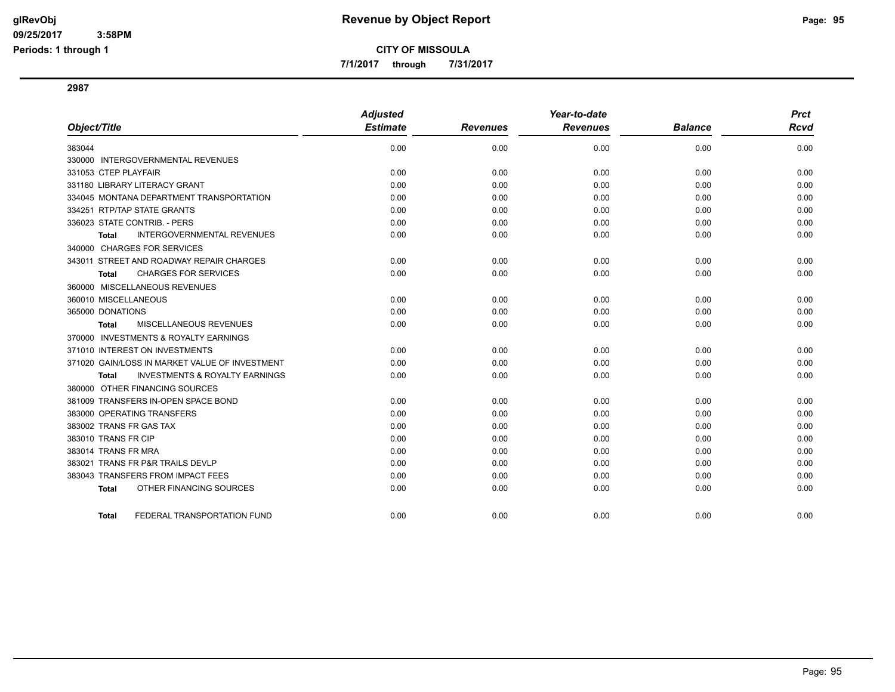**7/1/2017 through 7/31/2017**

**2987**

| Object/Title                                        | <b>Adjusted</b><br><b>Estimate</b> | <b>Revenues</b> | Year-to-date<br><b>Revenues</b> | <b>Balance</b> | <b>Prct</b><br><b>Rcvd</b> |
|-----------------------------------------------------|------------------------------------|-----------------|---------------------------------|----------------|----------------------------|
|                                                     |                                    |                 |                                 |                |                            |
| 383044                                              | 0.00                               | 0.00            | 0.00                            | 0.00           | 0.00                       |
| 330000 INTERGOVERNMENTAL REVENUES                   |                                    |                 |                                 |                |                            |
| 331053 CTEP PLAYFAIR                                | 0.00                               | 0.00            | 0.00                            | 0.00           | 0.00                       |
| 331180 LIBRARY LITERACY GRANT                       | 0.00                               | 0.00            | 0.00                            | 0.00           | 0.00                       |
| 334045 MONTANA DEPARTMENT TRANSPORTATION            | 0.00                               | 0.00            | 0.00                            | 0.00           | 0.00                       |
| 334251 RTP/TAP STATE GRANTS                         | 0.00                               | 0.00            | 0.00                            | 0.00           | 0.00                       |
| 336023 STATE CONTRIB. - PERS                        | 0.00                               | 0.00            | 0.00                            | 0.00           | 0.00                       |
| INTERGOVERNMENTAL REVENUES<br>Total                 | 0.00                               | 0.00            | 0.00                            | 0.00           | 0.00                       |
| 340000 CHARGES FOR SERVICES                         |                                    |                 |                                 |                |                            |
| 343011 STREET AND ROADWAY REPAIR CHARGES            | 0.00                               | 0.00            | 0.00                            | 0.00           | 0.00                       |
| <b>CHARGES FOR SERVICES</b><br>Total                | 0.00                               | 0.00            | 0.00                            | 0.00           | 0.00                       |
| 360000 MISCELLANEOUS REVENUES                       |                                    |                 |                                 |                |                            |
| 360010 MISCELLANEOUS                                | 0.00                               | 0.00            | 0.00                            | 0.00           | 0.00                       |
| 365000 DONATIONS                                    | 0.00                               | 0.00            | 0.00                            | 0.00           | 0.00                       |
| MISCELLANEOUS REVENUES<br>Total                     | 0.00                               | 0.00            | 0.00                            | 0.00           | 0.00                       |
| <b>INVESTMENTS &amp; ROYALTY EARNINGS</b><br>370000 |                                    |                 |                                 |                |                            |
| 371010 INTEREST ON INVESTMENTS                      | 0.00                               | 0.00            | 0.00                            | 0.00           | 0.00                       |
| 371020 GAIN/LOSS IN MARKET VALUE OF INVESTMENT      | 0.00                               | 0.00            | 0.00                            | 0.00           | 0.00                       |
| <b>INVESTMENTS &amp; ROYALTY EARNINGS</b><br>Total  | 0.00                               | 0.00            | 0.00                            | 0.00           | 0.00                       |
| 380000 OTHER FINANCING SOURCES                      |                                    |                 |                                 |                |                            |
| 381009 TRANSFERS IN-OPEN SPACE BOND                 | 0.00                               | 0.00            | 0.00                            | 0.00           | 0.00                       |
| 383000 OPERATING TRANSFERS                          | 0.00                               | 0.00            | 0.00                            | 0.00           | 0.00                       |
| 383002 TRANS FR GAS TAX                             | 0.00                               | 0.00            | 0.00                            | 0.00           | 0.00                       |
| 383010 TRANS FR CIP                                 | 0.00                               | 0.00            | 0.00                            | 0.00           | 0.00                       |
| 383014 TRANS FR MRA                                 | 0.00                               | 0.00            | 0.00                            | 0.00           | 0.00                       |
| 383021 TRANS FR P&R TRAILS DEVLP                    | 0.00                               | 0.00            | 0.00                            | 0.00           | 0.00                       |
| 383043 TRANSFERS FROM IMPACT FEES                   | 0.00                               | 0.00            | 0.00                            | 0.00           | 0.00                       |
| OTHER FINANCING SOURCES<br><b>Total</b>             | 0.00                               | 0.00            | 0.00                            | 0.00           | 0.00                       |
| FEDERAL TRANSPORTATION FUND<br><b>Total</b>         | 0.00                               | 0.00            | 0.00                            | 0.00           | 0.00                       |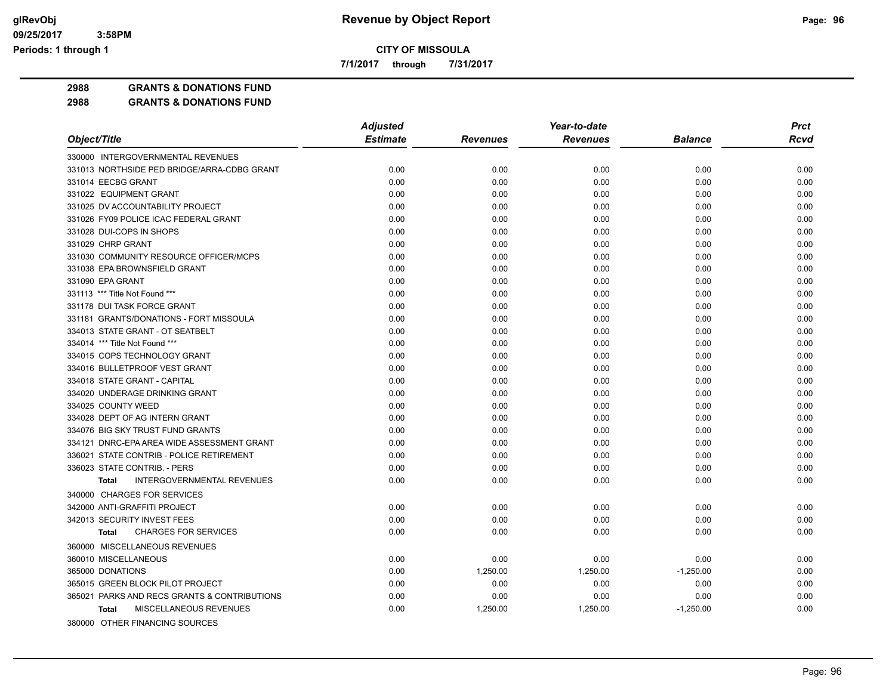**7/1/2017 through 7/31/2017**

**2988 GRANTS & DONATIONS FUND**

**2988 GRANTS & DONATIONS FUND**

|                                              | <b>Adjusted</b> |                 | Year-to-date    |                | <b>Prct</b> |
|----------------------------------------------|-----------------|-----------------|-----------------|----------------|-------------|
| Object/Title                                 | <b>Estimate</b> | <b>Revenues</b> | <b>Revenues</b> | <b>Balance</b> | <b>Rcvd</b> |
| 330000 INTERGOVERNMENTAL REVENUES            |                 |                 |                 |                |             |
| 331013 NORTHSIDE PED BRIDGE/ARRA-CDBG GRANT  | 0.00            | 0.00            | 0.00            | 0.00           | 0.00        |
| 331014 EECBG GRANT                           | 0.00            | 0.00            | 0.00            | 0.00           | 0.00        |
| 331022 EQUIPMENT GRANT                       | 0.00            | 0.00            | 0.00            | 0.00           | 0.00        |
| 331025 DV ACCOUNTABILITY PROJECT             | 0.00            | 0.00            | 0.00            | 0.00           | 0.00        |
| 331026 FY09 POLICE ICAC FEDERAL GRANT        | 0.00            | 0.00            | 0.00            | 0.00           | 0.00        |
| 331028 DUI-COPS IN SHOPS                     | 0.00            | 0.00            | 0.00            | 0.00           | 0.00        |
| 331029 CHRP GRANT                            | 0.00            | 0.00            | 0.00            | 0.00           | 0.00        |
| 331030 COMMUNITY RESOURCE OFFICER/MCPS       | 0.00            | 0.00            | 0.00            | 0.00           | 0.00        |
| 331038 EPA BROWNSFIELD GRANT                 | 0.00            | 0.00            | 0.00            | 0.00           | 0.00        |
| 331090 EPA GRANT                             | 0.00            | 0.00            | 0.00            | 0.00           | 0.00        |
| 331113 *** Title Not Found ***               | 0.00            | 0.00            | 0.00            | 0.00           | 0.00        |
| 331178 DUI TASK FORCE GRANT                  | 0.00            | 0.00            | 0.00            | 0.00           | 0.00        |
| 331181 GRANTS/DONATIONS - FORT MISSOULA      | 0.00            | 0.00            | 0.00            | 0.00           | 0.00        |
| 334013 STATE GRANT - OT SEATBELT             | 0.00            | 0.00            | 0.00            | 0.00           | 0.00        |
| 334014 *** Title Not Found ***               | 0.00            | 0.00            | 0.00            | 0.00           | 0.00        |
| 334015 COPS TECHNOLOGY GRANT                 | 0.00            | 0.00            | 0.00            | 0.00           | 0.00        |
| 334016 BULLETPROOF VEST GRANT                | 0.00            | 0.00            | 0.00            | 0.00           | 0.00        |
| 334018 STATE GRANT - CAPITAL                 | 0.00            | 0.00            | 0.00            | 0.00           | 0.00        |
| 334020 UNDERAGE DRINKING GRANT               | 0.00            | 0.00            | 0.00            | 0.00           | 0.00        |
| 334025 COUNTY WEED                           | 0.00            | 0.00            | 0.00            | 0.00           | 0.00        |
| 334028 DEPT OF AG INTERN GRANT               | 0.00            | 0.00            | 0.00            | 0.00           | 0.00        |
| 334076 BIG SKY TRUST FUND GRANTS             | 0.00            | 0.00            | 0.00            | 0.00           | 0.00        |
| 334121 DNRC-EPA AREA WIDE ASSESSMENT GRANT   | 0.00            | 0.00            | 0.00            | 0.00           | 0.00        |
| 336021 STATE CONTRIB - POLICE RETIREMENT     | 0.00            | 0.00            | 0.00            | 0.00           | 0.00        |
| 336023 STATE CONTRIB. - PERS                 | 0.00            | 0.00            | 0.00            | 0.00           | 0.00        |
| INTERGOVERNMENTAL REVENUES<br>Total          | 0.00            | 0.00            | 0.00            | 0.00           | 0.00        |
| 340000 CHARGES FOR SERVICES                  |                 |                 |                 |                |             |
| 342000 ANTI-GRAFFITI PROJECT                 | 0.00            | 0.00            | 0.00            | 0.00           | 0.00        |
| 342013 SECURITY INVEST FEES                  | 0.00            | 0.00            | 0.00            | 0.00           | 0.00        |
| <b>CHARGES FOR SERVICES</b><br>Total         | 0.00            | 0.00            | 0.00            | 0.00           | 0.00        |
| 360000 MISCELLANEOUS REVENUES                |                 |                 |                 |                |             |
| 360010 MISCELLANEOUS                         | 0.00            | 0.00            | 0.00            | 0.00           | 0.00        |
| 365000 DONATIONS                             | 0.00            | 1,250.00        | 1,250.00        | $-1,250.00$    | 0.00        |
| 365015 GREEN BLOCK PILOT PROJECT             | 0.00            | 0.00            | 0.00            | 0.00           | 0.00        |
| 365021 PARKS AND RECS GRANTS & CONTRIBUTIONS | 0.00            | 0.00            | 0.00            | 0.00           | 0.00        |
| MISCELLANEOUS REVENUES<br>Total              | 0.00            | 1,250.00        | 1,250.00        | $-1,250.00$    | 0.00        |
| 380000 OTHER FINANCING SOURCES               |                 |                 |                 |                |             |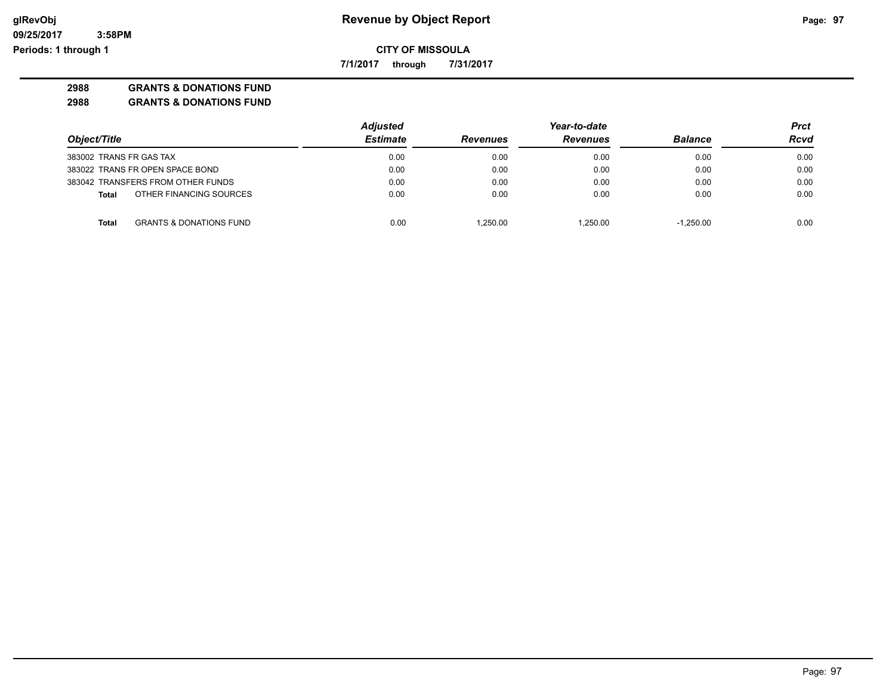**09/25/2017 3:58PM Periods: 1 through 1**

**CITY OF MISSOULA**

**7/1/2017 through 7/31/2017**

### **2988 GRANTS & DONATIONS FUND**

**2988 GRANTS & DONATIONS FUND**

|                                             | <b>Adjusted</b> | Year-to-date    |                 |                | Prct |
|---------------------------------------------|-----------------|-----------------|-----------------|----------------|------|
| Object/Title                                | <b>Estimate</b> | <b>Revenues</b> | <b>Revenues</b> | <b>Balance</b> | Rcvd |
| 383002 TRANS FR GAS TAX                     | 0.00            | 0.00            | 0.00            | 0.00           | 0.00 |
| 383022 TRANS FR OPEN SPACE BOND             | 0.00            | 0.00            | 0.00            | 0.00           | 0.00 |
| 383042 TRANSFERS FROM OTHER FUNDS           | 0.00            | 0.00            | 0.00            | 0.00           | 0.00 |
| OTHER FINANCING SOURCES<br><b>Total</b>     | 0.00            | 0.00            | 0.00            | 0.00           | 0.00 |
| <b>GRANTS &amp; DONATIONS FUND</b><br>Total | 0.00            | 1.250.00        | 1.250.00        | $-1.250.00$    | 0.00 |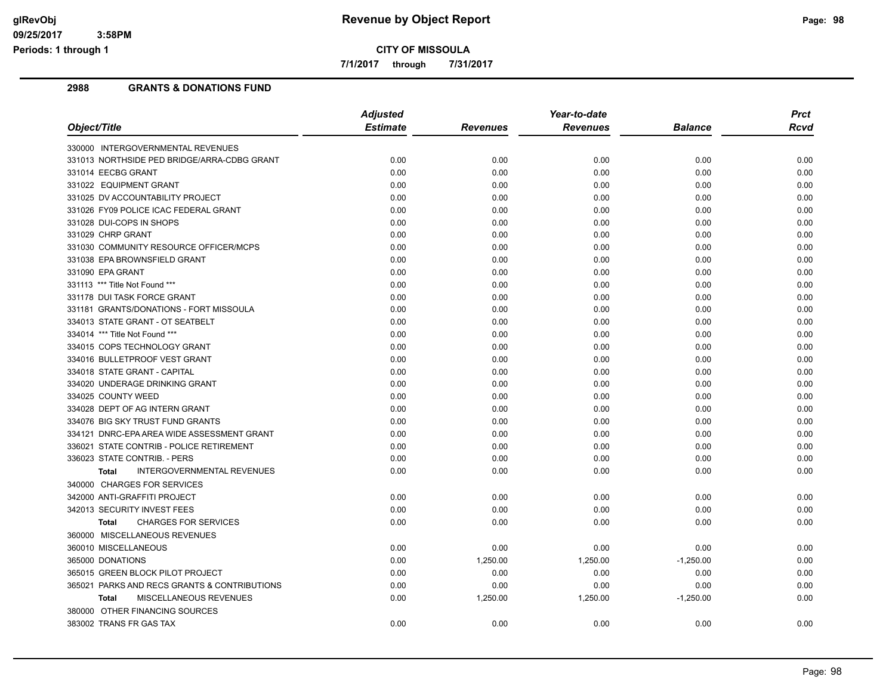**CITY OF MISSOULA**

**7/1/2017 through 7/31/2017**

### **2988 GRANTS & DONATIONS FUND**

|                                               | <b>Adjusted</b> |                 | Year-to-date    |                | <b>Prct</b> |
|-----------------------------------------------|-----------------|-----------------|-----------------|----------------|-------------|
| Object/Title                                  | <b>Estimate</b> | <b>Revenues</b> | <b>Revenues</b> | <b>Balance</b> | <b>Rcvd</b> |
| 330000 INTERGOVERNMENTAL REVENUES             |                 |                 |                 |                |             |
| 331013 NORTHSIDE PED BRIDGE/ARRA-CDBG GRANT   | 0.00            | 0.00            | 0.00            | 0.00           | 0.00        |
| 331014 EECBG GRANT                            | 0.00            | 0.00            | 0.00            | 0.00           | 0.00        |
| 331022 EQUIPMENT GRANT                        | 0.00            | 0.00            | 0.00            | 0.00           | 0.00        |
| 331025 DV ACCOUNTABILITY PROJECT              | 0.00            | 0.00            | 0.00            | 0.00           | 0.00        |
| 331026 FY09 POLICE ICAC FEDERAL GRANT         | 0.00            | 0.00            | 0.00            | 0.00           | 0.00        |
| 331028 DUI-COPS IN SHOPS                      | 0.00            | 0.00            | 0.00            | 0.00           | 0.00        |
| 331029 CHRP GRANT                             | 0.00            | 0.00            | 0.00            | 0.00           | 0.00        |
| 331030 COMMUNITY RESOURCE OFFICER/MCPS        | 0.00            | 0.00            | 0.00            | 0.00           | 0.00        |
| 331038 EPA BROWNSFIELD GRANT                  | 0.00            | 0.00            | 0.00            | 0.00           | 0.00        |
| 331090 EPA GRANT                              | 0.00            | 0.00            | 0.00            | 0.00           | 0.00        |
| 331113 *** Title Not Found ***                | 0.00            | 0.00            | 0.00            | 0.00           | 0.00        |
| 331178 DUI TASK FORCE GRANT                   | 0.00            | 0.00            | 0.00            | 0.00           | 0.00        |
| 331181 GRANTS/DONATIONS - FORT MISSOULA       | 0.00            | 0.00            | 0.00            | 0.00           | 0.00        |
| 334013 STATE GRANT - OT SEATBELT              | 0.00            | 0.00            | 0.00            | 0.00           | 0.00        |
| 334014 *** Title Not Found ***                | 0.00            | 0.00            | 0.00            | 0.00           | 0.00        |
| 334015 COPS TECHNOLOGY GRANT                  | 0.00            | 0.00            | 0.00            | 0.00           | 0.00        |
| 334016 BULLETPROOF VEST GRANT                 | 0.00            | 0.00            | 0.00            | 0.00           | 0.00        |
| 334018 STATE GRANT - CAPITAL                  | 0.00            | 0.00            | 0.00            | 0.00           | 0.00        |
| 334020 UNDERAGE DRINKING GRANT                | 0.00            | 0.00            | 0.00            | 0.00           | 0.00        |
| 334025 COUNTY WEED                            | 0.00            | 0.00            | 0.00            | 0.00           | 0.00        |
| 334028 DEPT OF AG INTERN GRANT                | 0.00            | 0.00            | 0.00            | 0.00           | 0.00        |
| 334076 BIG SKY TRUST FUND GRANTS              | 0.00            | 0.00            | 0.00            | 0.00           | 0.00        |
| 334121 DNRC-EPA AREA WIDE ASSESSMENT GRANT    | 0.00            | 0.00            | 0.00            | 0.00           | 0.00        |
| 336021 STATE CONTRIB - POLICE RETIREMENT      | 0.00            | 0.00            | 0.00            | 0.00           | 0.00        |
| 336023 STATE CONTRIB. - PERS                  | 0.00            | 0.00            | 0.00            | 0.00           | 0.00        |
| INTERGOVERNMENTAL REVENUES<br><b>Total</b>    | 0.00            | 0.00            | 0.00            | 0.00           | 0.00        |
| 340000 CHARGES FOR SERVICES                   |                 |                 |                 |                |             |
| 342000 ANTI-GRAFFITI PROJECT                  | 0.00            | 0.00            | 0.00            | 0.00           | 0.00        |
| 342013 SECURITY INVEST FEES                   | 0.00            | 0.00            | 0.00            | 0.00           | 0.00        |
| <b>CHARGES FOR SERVICES</b><br><b>Total</b>   | 0.00            | 0.00            | 0.00            | 0.00           | 0.00        |
| 360000 MISCELLANEOUS REVENUES                 |                 |                 |                 |                |             |
| 360010 MISCELLANEOUS                          | 0.00            | 0.00            | 0.00            | 0.00           | 0.00        |
| 365000 DONATIONS                              | 0.00            | 1,250.00        | 1,250.00        | $-1,250.00$    | 0.00        |
| 365015 GREEN BLOCK PILOT PROJECT              | 0.00            | 0.00            | 0.00            | 0.00           | 0.00        |
| 365021 PARKS AND RECS GRANTS & CONTRIBUTIONS  | 0.00            | 0.00            | 0.00            | 0.00           | 0.00        |
| <b>MISCELLANEOUS REVENUES</b><br><b>Total</b> | 0.00            | 1,250.00        | 1,250.00        | $-1,250.00$    | 0.00        |
| 380000 OTHER FINANCING SOURCES                |                 |                 |                 |                |             |
| 383002 TRANS FR GAS TAX                       | 0.00            | 0.00            | 0.00            | 0.00           | 0.00        |
|                                               |                 |                 |                 |                |             |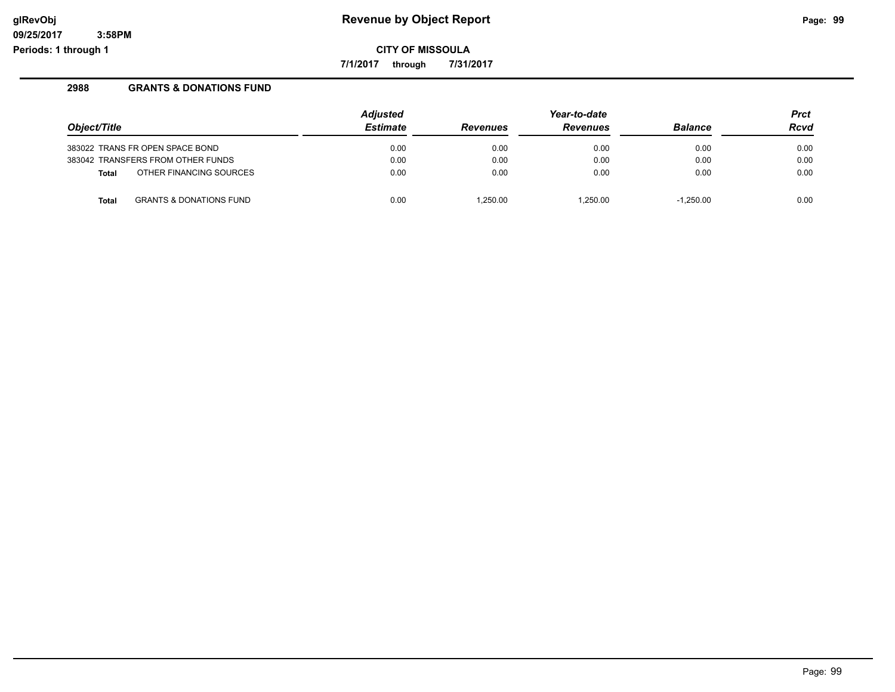**CITY OF MISSOULA**

**7/1/2017 through 7/31/2017**

### **2988 GRANTS & DONATIONS FUND**

 **3:58PM**

| Object/Title                                       | <b>Adjusted</b><br><b>Estimate</b> | <b>Revenues</b> | Year-to-date<br><b>Revenues</b> | <b>Balance</b> | <b>Prct</b><br><b>Rcvd</b> |
|----------------------------------------------------|------------------------------------|-----------------|---------------------------------|----------------|----------------------------|
| 383022 TRANS FR OPEN SPACE BOND                    | 0.00                               | 0.00            | 0.00                            | 0.00           | 0.00                       |
| 383042 TRANSFERS FROM OTHER FUNDS                  | 0.00                               | 0.00            | 0.00                            | 0.00           | 0.00                       |
| OTHER FINANCING SOURCES<br><b>Total</b>            | 0.00                               | 0.00            | 0.00                            | 0.00           | 0.00                       |
| <b>Total</b><br><b>GRANTS &amp; DONATIONS FUND</b> | 0.00                               | 1.250.00        | 1.250.00                        | $-1.250.00$    | 0.00                       |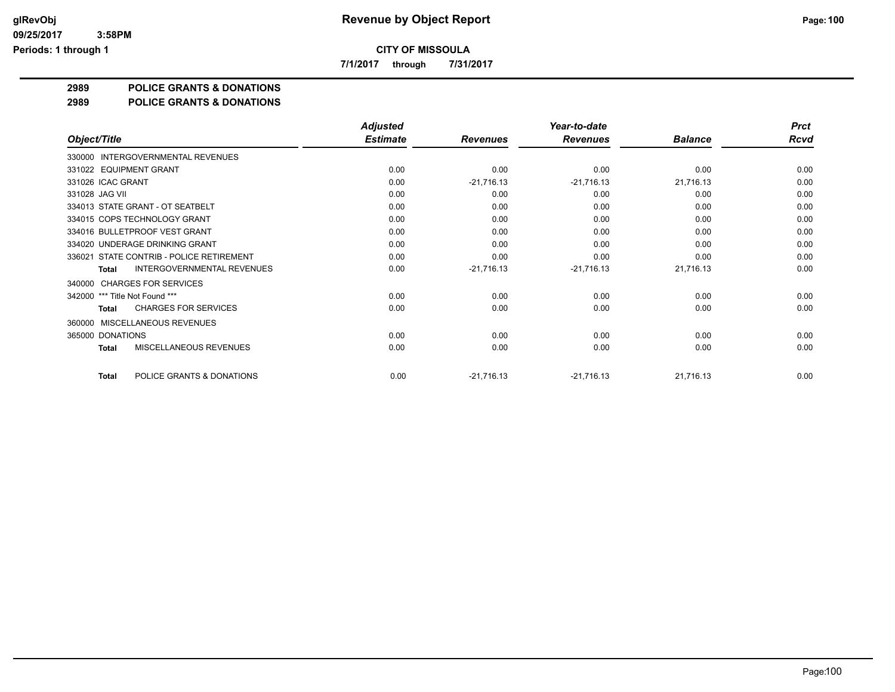**7/1/2017 through 7/31/2017**

### **2989 POLICE GRANTS & DONATIONS**

### **2989 POLICE GRANTS & DONATIONS**

|                                                   | <b>Adjusted</b> |                 | Year-to-date    |                | <b>Prct</b> |
|---------------------------------------------------|-----------------|-----------------|-----------------|----------------|-------------|
| Object/Title                                      | <b>Estimate</b> | <b>Revenues</b> | <b>Revenues</b> | <b>Balance</b> | <b>Rcvd</b> |
| 330000 INTERGOVERNMENTAL REVENUES                 |                 |                 |                 |                |             |
| 331022 EQUIPMENT GRANT                            | 0.00            | 0.00            | 0.00            | 0.00           | 0.00        |
| 331026 ICAC GRANT                                 | 0.00            | $-21,716.13$    | $-21,716.13$    | 21,716.13      | 0.00        |
| 331028 JAG VII                                    | 0.00            | 0.00            | 0.00            | 0.00           | 0.00        |
| 334013 STATE GRANT - OT SEATBELT                  | 0.00            | 0.00            | 0.00            | 0.00           | 0.00        |
| 334015 COPS TECHNOLOGY GRANT                      | 0.00            | 0.00            | 0.00            | 0.00           | 0.00        |
| 334016 BULLETPROOF VEST GRANT                     | 0.00            | 0.00            | 0.00            | 0.00           | 0.00        |
| 334020 UNDERAGE DRINKING GRANT                    | 0.00            | 0.00            | 0.00            | 0.00           | 0.00        |
| 336021 STATE CONTRIB - POLICE RETIREMENT          | 0.00            | 0.00            | 0.00            | 0.00           | 0.00        |
| <b>INTERGOVERNMENTAL REVENUES</b><br><b>Total</b> | 0.00            | $-21,716.13$    | $-21,716.13$    | 21,716.13      | 0.00        |
| <b>CHARGES FOR SERVICES</b><br>340000             |                 |                 |                 |                |             |
| 342000 *** Title Not Found ***                    | 0.00            | 0.00            | 0.00            | 0.00           | 0.00        |
| <b>CHARGES FOR SERVICES</b><br><b>Total</b>       | 0.00            | 0.00            | 0.00            | 0.00           | 0.00        |
| MISCELLANEOUS REVENUES<br>360000                  |                 |                 |                 |                |             |
| 365000 DONATIONS                                  | 0.00            | 0.00            | 0.00            | 0.00           | 0.00        |
| <b>MISCELLANEOUS REVENUES</b><br>Total            | 0.00            | 0.00            | 0.00            | 0.00           | 0.00        |
| POLICE GRANTS & DONATIONS<br><b>Total</b>         | 0.00            | $-21,716.13$    | $-21,716.13$    | 21,716.13      | 0.00        |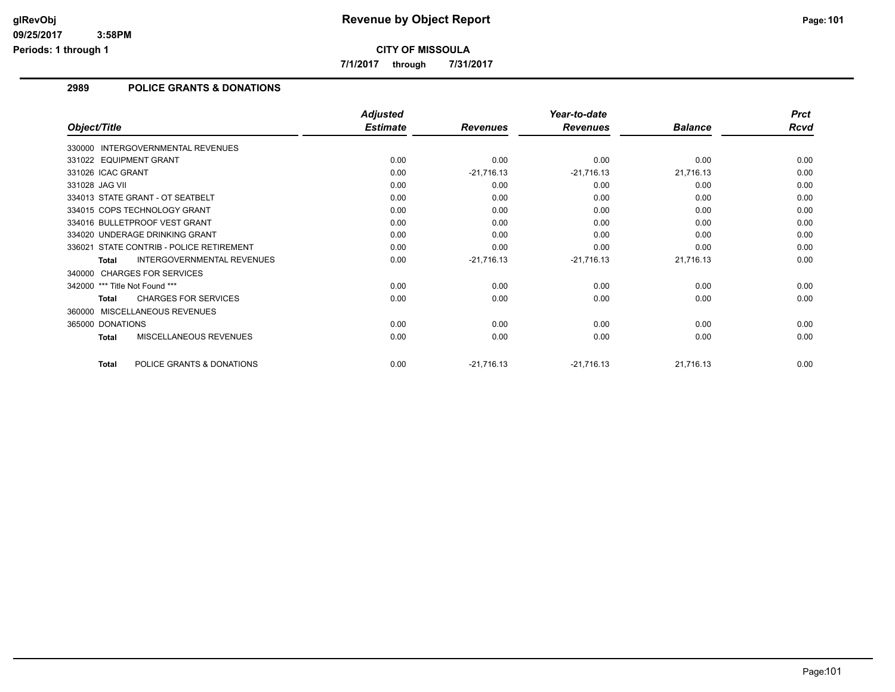**CITY OF MISSOULA**

**7/1/2017 through 7/31/2017**

### **2989 POLICE GRANTS & DONATIONS**

|                                                   | <b>Adjusted</b> |                 | Year-to-date    |                | <b>Prct</b> |
|---------------------------------------------------|-----------------|-----------------|-----------------|----------------|-------------|
| Object/Title                                      | <b>Estimate</b> | <b>Revenues</b> | <b>Revenues</b> | <b>Balance</b> | <b>Rcvd</b> |
| 330000 INTERGOVERNMENTAL REVENUES                 |                 |                 |                 |                |             |
| 331022 EQUIPMENT GRANT                            | 0.00            | 0.00            | 0.00            | 0.00           | 0.00        |
| 331026 ICAC GRANT                                 | 0.00            | $-21,716.13$    | $-21,716.13$    | 21,716.13      | 0.00        |
| 331028 JAG VII                                    | 0.00            | 0.00            | 0.00            | 0.00           | 0.00        |
| 334013 STATE GRANT - OT SEATBELT                  | 0.00            | 0.00            | 0.00            | 0.00           | 0.00        |
| 334015 COPS TECHNOLOGY GRANT                      | 0.00            | 0.00            | 0.00            | 0.00           | 0.00        |
| 334016 BULLETPROOF VEST GRANT                     | 0.00            | 0.00            | 0.00            | 0.00           | 0.00        |
| 334020 UNDERAGE DRINKING GRANT                    | 0.00            | 0.00            | 0.00            | 0.00           | 0.00        |
| 336021 STATE CONTRIB - POLICE RETIREMENT          | 0.00            | 0.00            | 0.00            | 0.00           | 0.00        |
| <b>INTERGOVERNMENTAL REVENUES</b><br><b>Total</b> | 0.00            | $-21,716.13$    | $-21,716.13$    | 21,716.13      | 0.00        |
| 340000 CHARGES FOR SERVICES                       |                 |                 |                 |                |             |
| 342000 *** Title Not Found ***                    | 0.00            | 0.00            | 0.00            | 0.00           | 0.00        |
| <b>CHARGES FOR SERVICES</b><br><b>Total</b>       | 0.00            | 0.00            | 0.00            | 0.00           | 0.00        |
| 360000 MISCELLANEOUS REVENUES                     |                 |                 |                 |                |             |
| 365000 DONATIONS                                  | 0.00            | 0.00            | 0.00            | 0.00           | 0.00        |
| MISCELLANEOUS REVENUES<br><b>Total</b>            | 0.00            | 0.00            | 0.00            | 0.00           | 0.00        |
| POLICE GRANTS & DONATIONS<br><b>Total</b>         | 0.00            | $-21,716.13$    | $-21,716.13$    | 21,716.13      | 0.00        |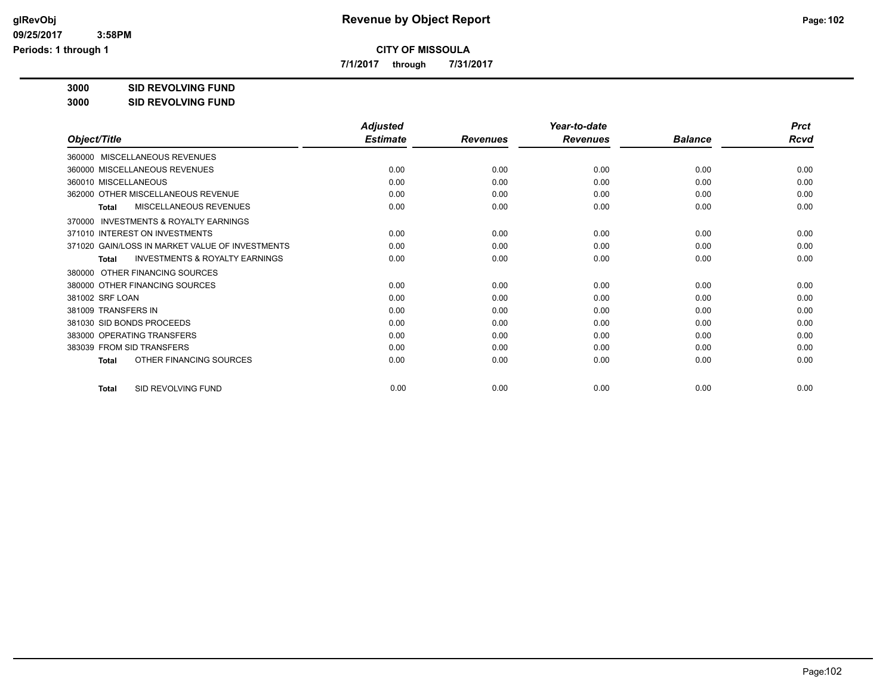**7/1/2017 through 7/31/2017**

**3000 SID REVOLVING FUND**

**3000 SID REVOLVING FUND**

|                                                           | <b>Adjusted</b> |                 | Year-to-date    |                | <b>Prct</b> |
|-----------------------------------------------------------|-----------------|-----------------|-----------------|----------------|-------------|
| Object/Title                                              | <b>Estimate</b> | <b>Revenues</b> | <b>Revenues</b> | <b>Balance</b> | <b>Rcvd</b> |
| 360000 MISCELLANEOUS REVENUES                             |                 |                 |                 |                |             |
| 360000 MISCELLANEOUS REVENUES                             | 0.00            | 0.00            | 0.00            | 0.00           | 0.00        |
| 360010 MISCELLANEOUS                                      | 0.00            | 0.00            | 0.00            | 0.00           | 0.00        |
| 362000 OTHER MISCELLANEOUS REVENUE                        | 0.00            | 0.00            | 0.00            | 0.00           | 0.00        |
| MISCELLANEOUS REVENUES<br>Total                           | 0.00            | 0.00            | 0.00            | 0.00           | 0.00        |
| INVESTMENTS & ROYALTY EARNINGS<br>370000                  |                 |                 |                 |                |             |
| 371010 INTEREST ON INVESTMENTS                            | 0.00            | 0.00            | 0.00            | 0.00           | 0.00        |
| 371020 GAIN/LOSS IN MARKET VALUE OF INVESTMENTS           | 0.00            | 0.00            | 0.00            | 0.00           | 0.00        |
| <b>INVESTMENTS &amp; ROYALTY EARNINGS</b><br><b>Total</b> | 0.00            | 0.00            | 0.00            | 0.00           | 0.00        |
| OTHER FINANCING SOURCES<br>380000                         |                 |                 |                 |                |             |
| 380000 OTHER FINANCING SOURCES                            | 0.00            | 0.00            | 0.00            | 0.00           | 0.00        |
| 381002 SRF LOAN                                           | 0.00            | 0.00            | 0.00            | 0.00           | 0.00        |
| 381009 TRANSFERS IN                                       | 0.00            | 0.00            | 0.00            | 0.00           | 0.00        |
| 381030 SID BONDS PROCEEDS                                 | 0.00            | 0.00            | 0.00            | 0.00           | 0.00        |
| 383000 OPERATING TRANSFERS                                | 0.00            | 0.00            | 0.00            | 0.00           | 0.00        |
| 383039 FROM SID TRANSFERS                                 | 0.00            | 0.00            | 0.00            | 0.00           | 0.00        |
| OTHER FINANCING SOURCES<br><b>Total</b>                   | 0.00            | 0.00            | 0.00            | 0.00           | 0.00        |
| SID REVOLVING FUND<br><b>Total</b>                        | 0.00            | 0.00            | 0.00            | 0.00           | 0.00        |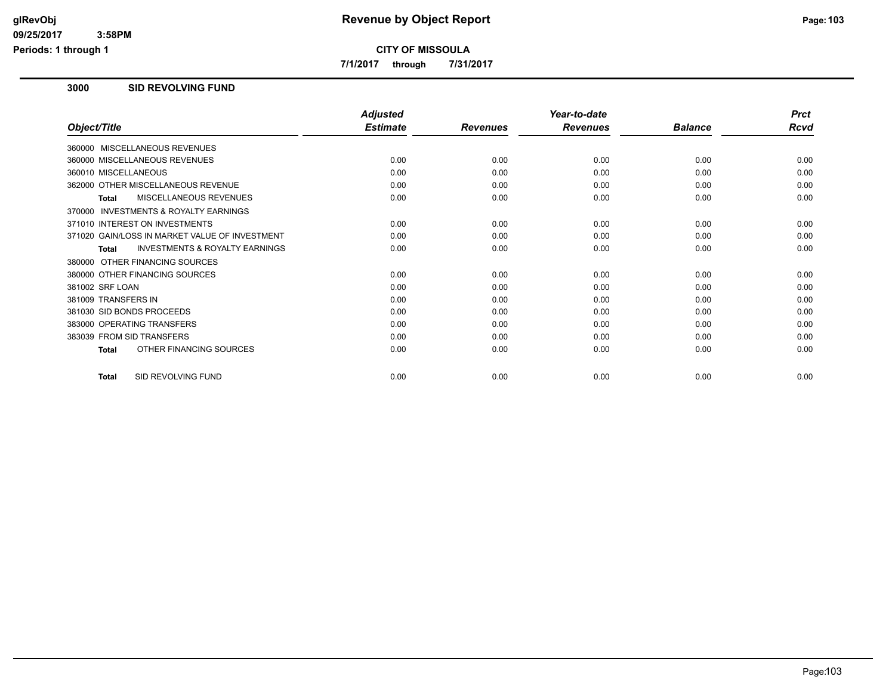**CITY OF MISSOULA**

**7/1/2017 through 7/31/2017**

### **3000 SID REVOLVING FUND**

|                                                           | <b>Adjusted</b> |                 | Year-to-date    |                | <b>Prct</b> |
|-----------------------------------------------------------|-----------------|-----------------|-----------------|----------------|-------------|
| Object/Title                                              | <b>Estimate</b> | <b>Revenues</b> | <b>Revenues</b> | <b>Balance</b> | <b>Rcvd</b> |
| 360000 MISCELLANEOUS REVENUES                             |                 |                 |                 |                |             |
| 360000 MISCELLANEOUS REVENUES                             | 0.00            | 0.00            | 0.00            | 0.00           | 0.00        |
| 360010 MISCELLANEOUS                                      | 0.00            | 0.00            | 0.00            | 0.00           | 0.00        |
| 362000 OTHER MISCELLANEOUS REVENUE                        | 0.00            | 0.00            | 0.00            | 0.00           | 0.00        |
| <b>MISCELLANEOUS REVENUES</b><br><b>Total</b>             | 0.00            | 0.00            | 0.00            | 0.00           | 0.00        |
| INVESTMENTS & ROYALTY EARNINGS<br>370000                  |                 |                 |                 |                |             |
| 371010 INTEREST ON INVESTMENTS                            | 0.00            | 0.00            | 0.00            | 0.00           | 0.00        |
| 371020 GAIN/LOSS IN MARKET VALUE OF INVESTMENT            | 0.00            | 0.00            | 0.00            | 0.00           | 0.00        |
| <b>INVESTMENTS &amp; ROYALTY EARNINGS</b><br><b>Total</b> | 0.00            | 0.00            | 0.00            | 0.00           | 0.00        |
| 380000 OTHER FINANCING SOURCES                            |                 |                 |                 |                |             |
| 380000 OTHER FINANCING SOURCES                            | 0.00            | 0.00            | 0.00            | 0.00           | 0.00        |
| 381002 SRF LOAN                                           | 0.00            | 0.00            | 0.00            | 0.00           | 0.00        |
| 381009 TRANSFERS IN                                       | 0.00            | 0.00            | 0.00            | 0.00           | 0.00        |
| 381030 SID BONDS PROCEEDS                                 | 0.00            | 0.00            | 0.00            | 0.00           | 0.00        |
| 383000 OPERATING TRANSFERS                                | 0.00            | 0.00            | 0.00            | 0.00           | 0.00        |
| 383039 FROM SID TRANSFERS                                 | 0.00            | 0.00            | 0.00            | 0.00           | 0.00        |
| OTHER FINANCING SOURCES<br><b>Total</b>                   | 0.00            | 0.00            | 0.00            | 0.00           | 0.00        |
| SID REVOLVING FUND<br><b>Total</b>                        | 0.00            | 0.00            | 0.00            | 0.00           | 0.00        |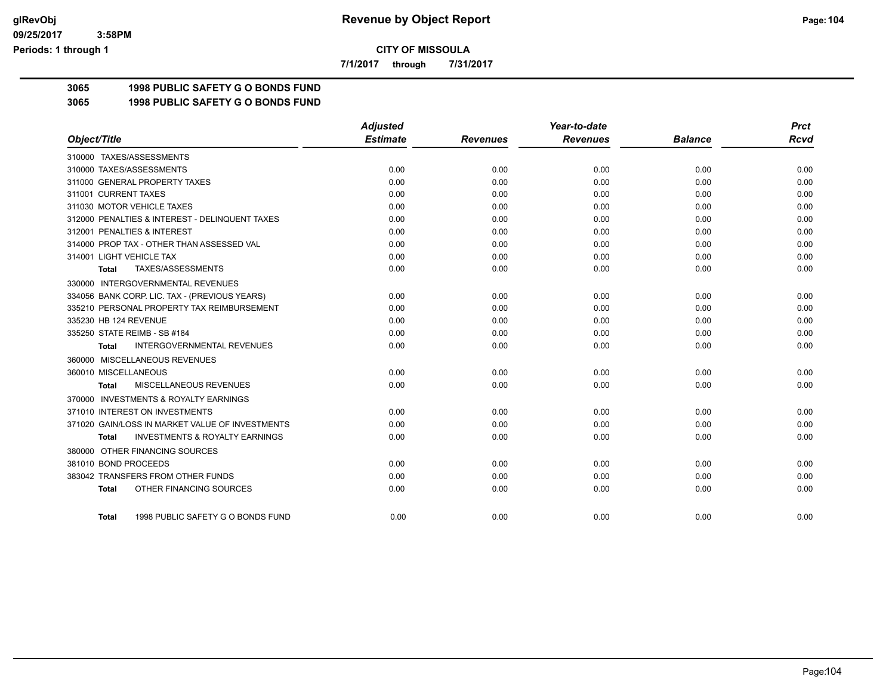**7/1/2017 through 7/31/2017**

### **3065 1998 PUBLIC SAFETY G O BONDS FUND**

**3065 1998 PUBLIC SAFETY G O BONDS FUND**

|                                                    | <b>Adjusted</b> |                 | Year-to-date    |                | <b>Prct</b> |
|----------------------------------------------------|-----------------|-----------------|-----------------|----------------|-------------|
| Object/Title                                       | <b>Estimate</b> | <b>Revenues</b> | <b>Revenues</b> | <b>Balance</b> | <b>Rcvd</b> |
| 310000 TAXES/ASSESSMENTS                           |                 |                 |                 |                |             |
| 310000 TAXES/ASSESSMENTS                           | 0.00            | 0.00            | 0.00            | 0.00           | 0.00        |
| 311000 GENERAL PROPERTY TAXES                      | 0.00            | 0.00            | 0.00            | 0.00           | 0.00        |
| 311001 CURRENT TAXES                               | 0.00            | 0.00            | 0.00            | 0.00           | 0.00        |
| 311030 MOTOR VEHICLE TAXES                         | 0.00            | 0.00            | 0.00            | 0.00           | 0.00        |
| 312000 PENALTIES & INTEREST - DELINQUENT TAXES     | 0.00            | 0.00            | 0.00            | 0.00           | 0.00        |
| 312001 PENALTIES & INTEREST                        | 0.00            | 0.00            | 0.00            | 0.00           | 0.00        |
| 314000 PROP TAX - OTHER THAN ASSESSED VAL          | 0.00            | 0.00            | 0.00            | 0.00           | 0.00        |
| 314001 LIGHT VEHICLE TAX                           | 0.00            | 0.00            | 0.00            | 0.00           | 0.00        |
| TAXES/ASSESSMENTS<br>Total                         | 0.00            | 0.00            | 0.00            | 0.00           | 0.00        |
| 330000 INTERGOVERNMENTAL REVENUES                  |                 |                 |                 |                |             |
| 334056 BANK CORP. LIC. TAX - (PREVIOUS YEARS)      | 0.00            | 0.00            | 0.00            | 0.00           | 0.00        |
| 335210 PERSONAL PROPERTY TAX REIMBURSEMENT         | 0.00            | 0.00            | 0.00            | 0.00           | 0.00        |
| 335230 HB 124 REVENUE                              | 0.00            | 0.00            | 0.00            | 0.00           | 0.00        |
| 335250 STATE REIMB - SB #184                       | 0.00            | 0.00            | 0.00            | 0.00           | 0.00        |
| <b>INTERGOVERNMENTAL REVENUES</b><br><b>Total</b>  | 0.00            | 0.00            | 0.00            | 0.00           | 0.00        |
| 360000 MISCELLANEOUS REVENUES                      |                 |                 |                 |                |             |
| 360010 MISCELLANEOUS                               | 0.00            | 0.00            | 0.00            | 0.00           | 0.00        |
| MISCELLANEOUS REVENUES<br>Total                    | 0.00            | 0.00            | 0.00            | 0.00           | 0.00        |
| 370000 INVESTMENTS & ROYALTY EARNINGS              |                 |                 |                 |                |             |
| 371010 INTEREST ON INVESTMENTS                     | 0.00            | 0.00            | 0.00            | 0.00           | 0.00        |
| 371020 GAIN/LOSS IN MARKET VALUE OF INVESTMENTS    | 0.00            | 0.00            | 0.00            | 0.00           | 0.00        |
| <b>INVESTMENTS &amp; ROYALTY EARNINGS</b><br>Total | 0.00            | 0.00            | 0.00            | 0.00           | 0.00        |
| 380000 OTHER FINANCING SOURCES                     |                 |                 |                 |                |             |
| 381010 BOND PROCEEDS                               | 0.00            | 0.00            | 0.00            | 0.00           | 0.00        |
| 383042 TRANSFERS FROM OTHER FUNDS                  | 0.00            | 0.00            | 0.00            | 0.00           | 0.00        |
| OTHER FINANCING SOURCES<br><b>Total</b>            | 0.00            | 0.00            | 0.00            | 0.00           | 0.00        |
| 1998 PUBLIC SAFETY G O BONDS FUND<br>Total         | 0.00            | 0.00            | 0.00            | 0.00           | 0.00        |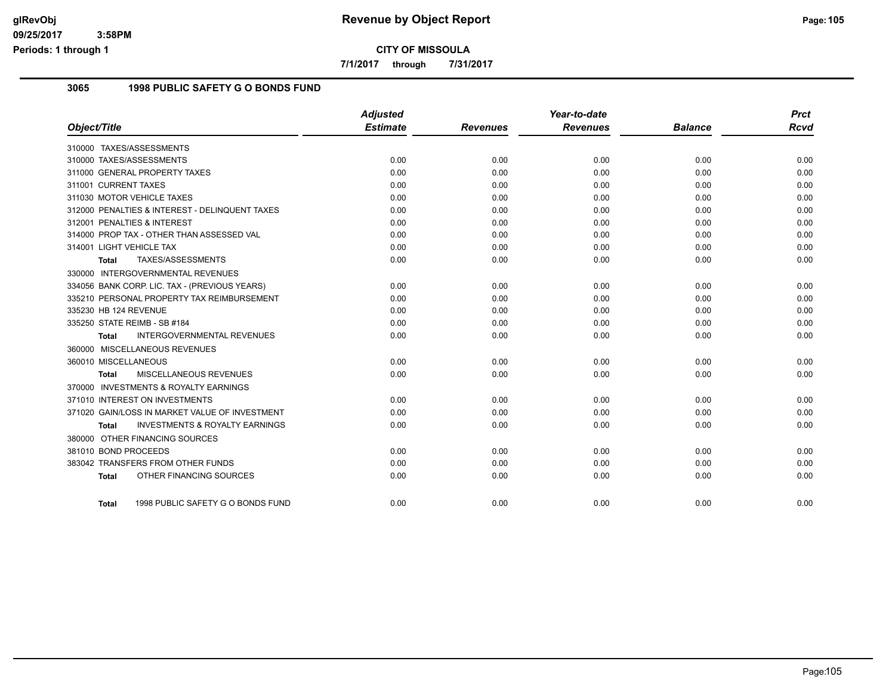**7/1/2017 through 7/31/2017**

### **3065 1998 PUBLIC SAFETY G O BONDS FUND**

| Object/Title                                              | <b>Adjusted</b><br><b>Estimate</b> | <b>Revenues</b> | Year-to-date<br><b>Revenues</b> | <b>Balance</b> | <b>Prct</b><br>Rcvd |
|-----------------------------------------------------------|------------------------------------|-----------------|---------------------------------|----------------|---------------------|
|                                                           |                                    |                 |                                 |                |                     |
| 310000 TAXES/ASSESSMENTS                                  |                                    |                 |                                 |                |                     |
| 310000 TAXES/ASSESSMENTS                                  | 0.00                               | 0.00            | 0.00                            | 0.00           | 0.00                |
| 311000 GENERAL PROPERTY TAXES                             | 0.00                               | 0.00            | 0.00                            | 0.00           | 0.00                |
| 311001 CURRENT TAXES                                      | 0.00                               | 0.00            | 0.00                            | 0.00           | 0.00                |
| 311030 MOTOR VEHICLE TAXES                                | 0.00                               | 0.00            | 0.00                            | 0.00           | 0.00                |
| 312000 PENALTIES & INTEREST - DELINQUENT TAXES            | 0.00                               | 0.00            | 0.00                            | 0.00           | 0.00                |
| 312001 PENALTIES & INTEREST                               | 0.00                               | 0.00            | 0.00                            | 0.00           | 0.00                |
| 314000 PROP TAX - OTHER THAN ASSESSED VAL                 | 0.00                               | 0.00            | 0.00                            | 0.00           | 0.00                |
| 314001 LIGHT VEHICLE TAX                                  | 0.00                               | 0.00            | 0.00                            | 0.00           | 0.00                |
| TAXES/ASSESSMENTS<br><b>Total</b>                         | 0.00                               | 0.00            | 0.00                            | 0.00           | 0.00                |
| 330000 INTERGOVERNMENTAL REVENUES                         |                                    |                 |                                 |                |                     |
| 334056 BANK CORP. LIC. TAX - (PREVIOUS YEARS)             | 0.00                               | 0.00            | 0.00                            | 0.00           | 0.00                |
| 335210 PERSONAL PROPERTY TAX REIMBURSEMENT                | 0.00                               | 0.00            | 0.00                            | 0.00           | 0.00                |
| 335230 HB 124 REVENUE                                     | 0.00                               | 0.00            | 0.00                            | 0.00           | 0.00                |
| 335250 STATE REIMB - SB #184                              | 0.00                               | 0.00            | 0.00                            | 0.00           | 0.00                |
| <b>INTERGOVERNMENTAL REVENUES</b><br><b>Total</b>         | 0.00                               | 0.00            | 0.00                            | 0.00           | 0.00                |
| 360000 MISCELLANEOUS REVENUES                             |                                    |                 |                                 |                |                     |
| 360010 MISCELLANEOUS                                      | 0.00                               | 0.00            | 0.00                            | 0.00           | 0.00                |
| MISCELLANEOUS REVENUES<br><b>Total</b>                    | 0.00                               | 0.00            | 0.00                            | 0.00           | 0.00                |
| 370000 INVESTMENTS & ROYALTY EARNINGS                     |                                    |                 |                                 |                |                     |
| 371010 INTEREST ON INVESTMENTS                            | 0.00                               | 0.00            | 0.00                            | 0.00           | 0.00                |
| 371020 GAIN/LOSS IN MARKET VALUE OF INVESTMENT            | 0.00                               | 0.00            | 0.00                            | 0.00           | 0.00                |
| <b>INVESTMENTS &amp; ROYALTY EARNINGS</b><br><b>Total</b> | 0.00                               | 0.00            | 0.00                            | 0.00           | 0.00                |
| 380000 OTHER FINANCING SOURCES                            |                                    |                 |                                 |                |                     |
| 381010 BOND PROCEEDS                                      | 0.00                               | 0.00            | 0.00                            | 0.00           | 0.00                |
| 383042 TRANSFERS FROM OTHER FUNDS                         | 0.00                               | 0.00            | 0.00                            | 0.00           | 0.00                |
| OTHER FINANCING SOURCES<br><b>Total</b>                   | 0.00                               | 0.00            | 0.00                            | 0.00           | 0.00                |
|                                                           |                                    |                 |                                 |                |                     |
| 1998 PUBLIC SAFETY G O BONDS FUND<br>Total                | 0.00                               | 0.00            | 0.00                            | 0.00           | 0.00                |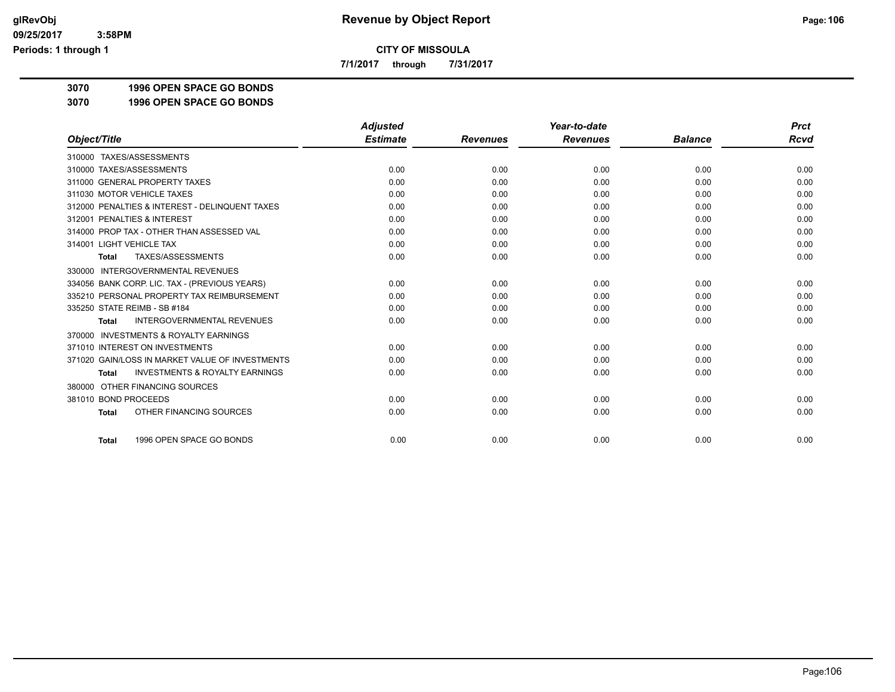**CITY OF MISSOULA**

**7/1/2017 through 7/31/2017**

**3070 1996 OPEN SPACE GO BONDS**

**3070 1996 OPEN SPACE GO BONDS**

|                                                    | <b>Adjusted</b> |                 | Year-to-date    |                | <b>Prct</b> |
|----------------------------------------------------|-----------------|-----------------|-----------------|----------------|-------------|
| Object/Title                                       | <b>Estimate</b> | <b>Revenues</b> | <b>Revenues</b> | <b>Balance</b> | <b>Rcvd</b> |
| 310000 TAXES/ASSESSMENTS                           |                 |                 |                 |                |             |
| 310000 TAXES/ASSESSMENTS                           | 0.00            | 0.00            | 0.00            | 0.00           | 0.00        |
| 311000 GENERAL PROPERTY TAXES                      | 0.00            | 0.00            | 0.00            | 0.00           | 0.00        |
| 311030 MOTOR VEHICLE TAXES                         | 0.00            | 0.00            | 0.00            | 0.00           | 0.00        |
| 312000 PENALTIES & INTEREST - DELINQUENT TAXES     | 0.00            | 0.00            | 0.00            | 0.00           | 0.00        |
| 312001 PENALTIES & INTEREST                        | 0.00            | 0.00            | 0.00            | 0.00           | 0.00        |
| 314000 PROP TAX - OTHER THAN ASSESSED VAL          | 0.00            | 0.00            | 0.00            | 0.00           | 0.00        |
| 314001 LIGHT VEHICLE TAX                           | 0.00            | 0.00            | 0.00            | 0.00           | 0.00        |
| TAXES/ASSESSMENTS<br><b>Total</b>                  | 0.00            | 0.00            | 0.00            | 0.00           | 0.00        |
| <b>INTERGOVERNMENTAL REVENUES</b><br>330000        |                 |                 |                 |                |             |
| 334056 BANK CORP. LIC. TAX - (PREVIOUS YEARS)      | 0.00            | 0.00            | 0.00            | 0.00           | 0.00        |
| 335210 PERSONAL PROPERTY TAX REIMBURSEMENT         | 0.00            | 0.00            | 0.00            | 0.00           | 0.00        |
| 335250 STATE REIMB - SB #184                       | 0.00            | 0.00            | 0.00            | 0.00           | 0.00        |
| <b>INTERGOVERNMENTAL REVENUES</b><br><b>Total</b>  | 0.00            | 0.00            | 0.00            | 0.00           | 0.00        |
| 370000 INVESTMENTS & ROYALTY EARNINGS              |                 |                 |                 |                |             |
| 371010 INTEREST ON INVESTMENTS                     | 0.00            | 0.00            | 0.00            | 0.00           | 0.00        |
| 371020 GAIN/LOSS IN MARKET VALUE OF INVESTMENTS    | 0.00            | 0.00            | 0.00            | 0.00           | 0.00        |
| <b>INVESTMENTS &amp; ROYALTY EARNINGS</b><br>Total | 0.00            | 0.00            | 0.00            | 0.00           | 0.00        |
| OTHER FINANCING SOURCES<br>380000                  |                 |                 |                 |                |             |
| 381010 BOND PROCEEDS                               | 0.00            | 0.00            | 0.00            | 0.00           | 0.00        |
| OTHER FINANCING SOURCES<br><b>Total</b>            | 0.00            | 0.00            | 0.00            | 0.00           | 0.00        |
| 1996 OPEN SPACE GO BONDS<br>Total                  | 0.00            | 0.00            | 0.00            | 0.00           | 0.00        |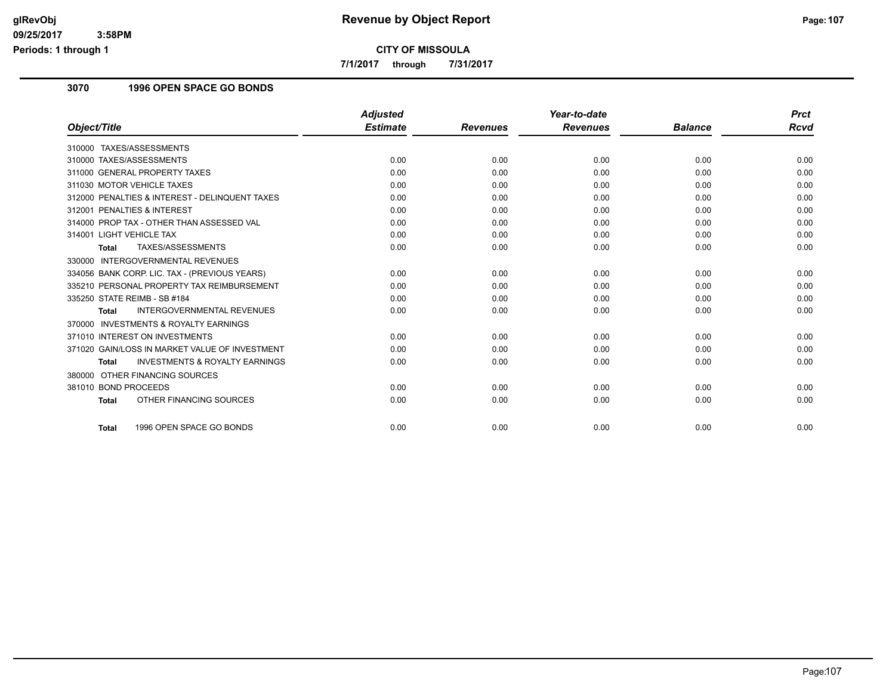**CITY OF MISSOULA**

**7/1/2017 through 7/31/2017**

### **3070 1996 OPEN SPACE GO BONDS**

|                                                           | <b>Adjusted</b> |                 | Year-to-date    |                | <b>Prct</b> |
|-----------------------------------------------------------|-----------------|-----------------|-----------------|----------------|-------------|
| Object/Title                                              | <b>Estimate</b> | <b>Revenues</b> | <b>Revenues</b> | <b>Balance</b> | Rcvd        |
| 310000 TAXES/ASSESSMENTS                                  |                 |                 |                 |                |             |
| 310000 TAXES/ASSESSMENTS                                  | 0.00            | 0.00            | 0.00            | 0.00           | 0.00        |
| 311000 GENERAL PROPERTY TAXES                             | 0.00            | 0.00            | 0.00            | 0.00           | 0.00        |
| 311030 MOTOR VEHICLE TAXES                                | 0.00            | 0.00            | 0.00            | 0.00           | 0.00        |
| 312000 PENALTIES & INTEREST - DELINQUENT TAXES            | 0.00            | 0.00            | 0.00            | 0.00           | 0.00        |
| 312001 PENALTIES & INTEREST                               | 0.00            | 0.00            | 0.00            | 0.00           | 0.00        |
| 314000 PROP TAX - OTHER THAN ASSESSED VAL                 | 0.00            | 0.00            | 0.00            | 0.00           | 0.00        |
| 314001 LIGHT VEHICLE TAX                                  | 0.00            | 0.00            | 0.00            | 0.00           | 0.00        |
| TAXES/ASSESSMENTS<br><b>Total</b>                         | 0.00            | 0.00            | 0.00            | 0.00           | 0.00        |
| 330000 INTERGOVERNMENTAL REVENUES                         |                 |                 |                 |                |             |
| 334056 BANK CORP. LIC. TAX - (PREVIOUS YEARS)             | 0.00            | 0.00            | 0.00            | 0.00           | 0.00        |
| 335210 PERSONAL PROPERTY TAX REIMBURSEMENT                | 0.00            | 0.00            | 0.00            | 0.00           | 0.00        |
| 335250 STATE REIMB - SB #184                              | 0.00            | 0.00            | 0.00            | 0.00           | 0.00        |
| INTERGOVERNMENTAL REVENUES<br><b>Total</b>                | 0.00            | 0.00            | 0.00            | 0.00           | 0.00        |
| <b>INVESTMENTS &amp; ROYALTY EARNINGS</b><br>370000       |                 |                 |                 |                |             |
| 371010 INTEREST ON INVESTMENTS                            | 0.00            | 0.00            | 0.00            | 0.00           | 0.00        |
| 371020 GAIN/LOSS IN MARKET VALUE OF INVESTMENT            | 0.00            | 0.00            | 0.00            | 0.00           | 0.00        |
| <b>INVESTMENTS &amp; ROYALTY EARNINGS</b><br><b>Total</b> | 0.00            | 0.00            | 0.00            | 0.00           | 0.00        |
| 380000 OTHER FINANCING SOURCES                            |                 |                 |                 |                |             |
| 381010 BOND PROCEEDS                                      | 0.00            | 0.00            | 0.00            | 0.00           | 0.00        |
| OTHER FINANCING SOURCES<br><b>Total</b>                   | 0.00            | 0.00            | 0.00            | 0.00           | 0.00        |
| 1996 OPEN SPACE GO BONDS<br><b>Total</b>                  | 0.00            | 0.00            | 0.00            | 0.00           | 0.00        |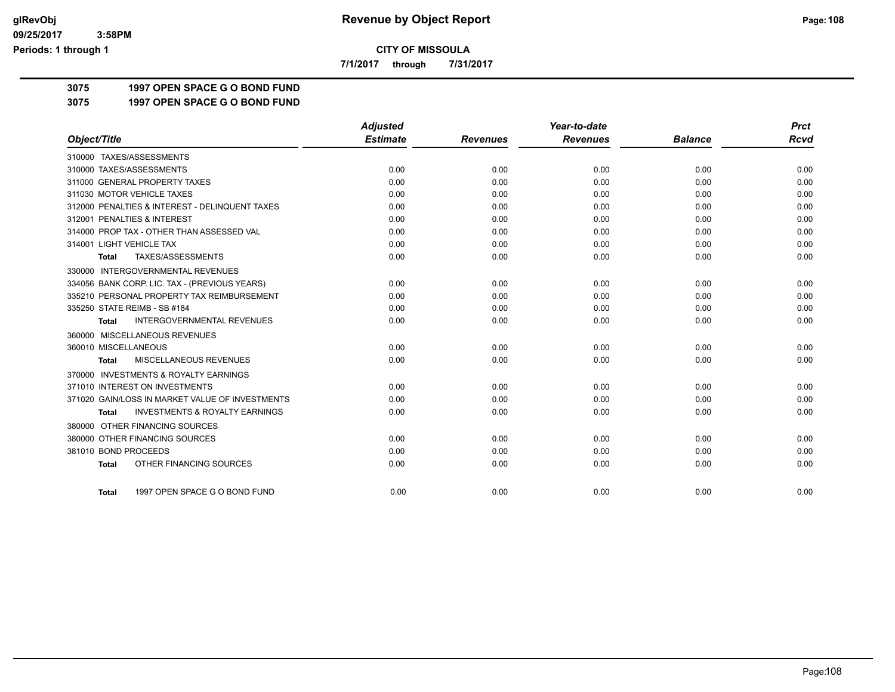**7/1/2017 through 7/31/2017**

### **3075 1997 OPEN SPACE G O BOND FUND**

### **3075 1997 OPEN SPACE G O BOND FUND**

|                          |                                                 | <b>Adjusted</b> |                 | Year-to-date    |                | <b>Prct</b> |
|--------------------------|-------------------------------------------------|-----------------|-----------------|-----------------|----------------|-------------|
| Object/Title             |                                                 | <b>Estimate</b> | <b>Revenues</b> | <b>Revenues</b> | <b>Balance</b> | <b>Rcvd</b> |
|                          | 310000 TAXES/ASSESSMENTS                        |                 |                 |                 |                |             |
| 310000 TAXES/ASSESSMENTS |                                                 | 0.00            | 0.00            | 0.00            | 0.00           | 0.00        |
|                          | 311000 GENERAL PROPERTY TAXES                   | 0.00            | 0.00            | 0.00            | 0.00           | 0.00        |
|                          | 311030 MOTOR VEHICLE TAXES                      | 0.00            | 0.00            | 0.00            | 0.00           | 0.00        |
|                          | 312000 PENALTIES & INTEREST - DELINQUENT TAXES  | 0.00            | 0.00            | 0.00            | 0.00           | 0.00        |
|                          | 312001 PENALTIES & INTEREST                     | 0.00            | 0.00            | 0.00            | 0.00           | 0.00        |
|                          | 314000 PROP TAX - OTHER THAN ASSESSED VAL       | 0.00            | 0.00            | 0.00            | 0.00           | 0.00        |
| 314001 LIGHT VEHICLE TAX |                                                 | 0.00            | 0.00            | 0.00            | 0.00           | 0.00        |
| <b>Total</b>             | TAXES/ASSESSMENTS                               | 0.00            | 0.00            | 0.00            | 0.00           | 0.00        |
|                          | 330000 INTERGOVERNMENTAL REVENUES               |                 |                 |                 |                |             |
|                          | 334056 BANK CORP. LIC. TAX - (PREVIOUS YEARS)   | 0.00            | 0.00            | 0.00            | 0.00           | 0.00        |
|                          | 335210 PERSONAL PROPERTY TAX REIMBURSEMENT      | 0.00            | 0.00            | 0.00            | 0.00           | 0.00        |
|                          | 335250 STATE REIMB - SB #184                    | 0.00            | 0.00            | 0.00            | 0.00           | 0.00        |
| <b>Total</b>             | <b>INTERGOVERNMENTAL REVENUES</b>               | 0.00            | 0.00            | 0.00            | 0.00           | 0.00        |
|                          | 360000 MISCELLANEOUS REVENUES                   |                 |                 |                 |                |             |
| 360010 MISCELLANEOUS     |                                                 | 0.00            | 0.00            | 0.00            | 0.00           | 0.00        |
| <b>Total</b>             | <b>MISCELLANEOUS REVENUES</b>                   | 0.00            | 0.00            | 0.00            | 0.00           | 0.00        |
|                          | 370000 INVESTMENTS & ROYALTY EARNINGS           |                 |                 |                 |                |             |
|                          | 371010 INTEREST ON INVESTMENTS                  | 0.00            | 0.00            | 0.00            | 0.00           | 0.00        |
|                          | 371020 GAIN/LOSS IN MARKET VALUE OF INVESTMENTS | 0.00            | 0.00            | 0.00            | 0.00           | 0.00        |
| Total                    | <b>INVESTMENTS &amp; ROYALTY EARNINGS</b>       | 0.00            | 0.00            | 0.00            | 0.00           | 0.00        |
|                          | 380000 OTHER FINANCING SOURCES                  |                 |                 |                 |                |             |
|                          | 380000 OTHER FINANCING SOURCES                  | 0.00            | 0.00            | 0.00            | 0.00           | 0.00        |
| 381010 BOND PROCEEDS     |                                                 | 0.00            | 0.00            | 0.00            | 0.00           | 0.00        |
| <b>Total</b>             | OTHER FINANCING SOURCES                         | 0.00            | 0.00            | 0.00            | 0.00           | 0.00        |
|                          |                                                 |                 |                 |                 |                |             |
| <b>Total</b>             | 1997 OPEN SPACE G O BOND FUND                   | 0.00            | 0.00            | 0.00            | 0.00           | 0.00        |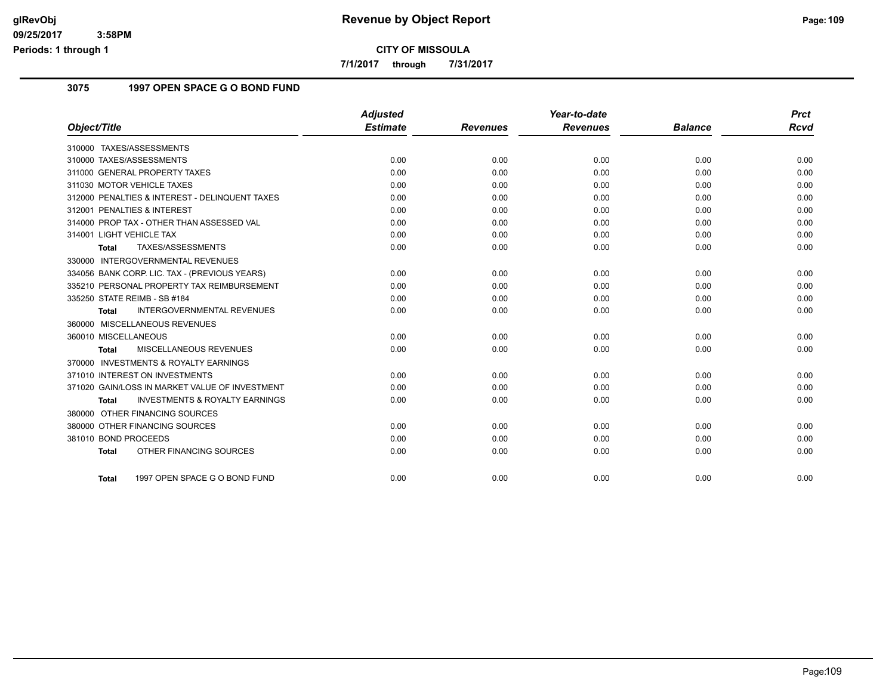**7/1/2017 through 7/31/2017**

#### **3075 1997 OPEN SPACE G O BOND FUND**

|                                                           | <b>Adjusted</b> |                 | Year-to-date    |                | <b>Prct</b> |
|-----------------------------------------------------------|-----------------|-----------------|-----------------|----------------|-------------|
| Object/Title                                              | <b>Estimate</b> | <b>Revenues</b> | <b>Revenues</b> | <b>Balance</b> | Rcvd        |
| 310000 TAXES/ASSESSMENTS                                  |                 |                 |                 |                |             |
| 310000 TAXES/ASSESSMENTS                                  | 0.00            | 0.00            | 0.00            | 0.00           | 0.00        |
| 311000 GENERAL PROPERTY TAXES                             | 0.00            | 0.00            | 0.00            | 0.00           | 0.00        |
| 311030 MOTOR VEHICLE TAXES                                | 0.00            | 0.00            | 0.00            | 0.00           | 0.00        |
| 312000 PENALTIES & INTEREST - DELINQUENT TAXES            | 0.00            | 0.00            | 0.00            | 0.00           | 0.00        |
| 312001 PENALTIES & INTEREST                               | 0.00            | 0.00            | 0.00            | 0.00           | 0.00        |
| 314000 PROP TAX - OTHER THAN ASSESSED VAL                 | 0.00            | 0.00            | 0.00            | 0.00           | 0.00        |
| 314001 LIGHT VEHICLE TAX                                  | 0.00            | 0.00            | 0.00            | 0.00           | 0.00        |
| TAXES/ASSESSMENTS<br><b>Total</b>                         | 0.00            | 0.00            | 0.00            | 0.00           | 0.00        |
| 330000 INTERGOVERNMENTAL REVENUES                         |                 |                 |                 |                |             |
| 334056 BANK CORP. LIC. TAX - (PREVIOUS YEARS)             | 0.00            | 0.00            | 0.00            | 0.00           | 0.00        |
| 335210 PERSONAL PROPERTY TAX REIMBURSEMENT                | 0.00            | 0.00            | 0.00            | 0.00           | 0.00        |
| 335250 STATE REIMB - SB #184                              | 0.00            | 0.00            | 0.00            | 0.00           | 0.00        |
| <b>INTERGOVERNMENTAL REVENUES</b><br><b>Total</b>         | 0.00            | 0.00            | 0.00            | 0.00           | 0.00        |
| 360000 MISCELLANEOUS REVENUES                             |                 |                 |                 |                |             |
| 360010 MISCELLANEOUS                                      | 0.00            | 0.00            | 0.00            | 0.00           | 0.00        |
| <b>MISCELLANEOUS REVENUES</b><br><b>Total</b>             | 0.00            | 0.00            | 0.00            | 0.00           | 0.00        |
| 370000 INVESTMENTS & ROYALTY EARNINGS                     |                 |                 |                 |                |             |
| 371010 INTEREST ON INVESTMENTS                            | 0.00            | 0.00            | 0.00            | 0.00           | 0.00        |
| 371020 GAIN/LOSS IN MARKET VALUE OF INVESTMENT            | 0.00            | 0.00            | 0.00            | 0.00           | 0.00        |
| <b>INVESTMENTS &amp; ROYALTY EARNINGS</b><br><b>Total</b> | 0.00            | 0.00            | 0.00            | 0.00           | 0.00        |
| 380000 OTHER FINANCING SOURCES                            |                 |                 |                 |                |             |
| 380000 OTHER FINANCING SOURCES                            | 0.00            | 0.00            | 0.00            | 0.00           | 0.00        |
| 381010 BOND PROCEEDS                                      | 0.00            | 0.00            | 0.00            | 0.00           | 0.00        |
| OTHER FINANCING SOURCES<br><b>Total</b>                   | 0.00            | 0.00            | 0.00            | 0.00           | 0.00        |
| 1997 OPEN SPACE G O BOND FUND<br><b>Total</b>             | 0.00            | 0.00            | 0.00            | 0.00           | 0.00        |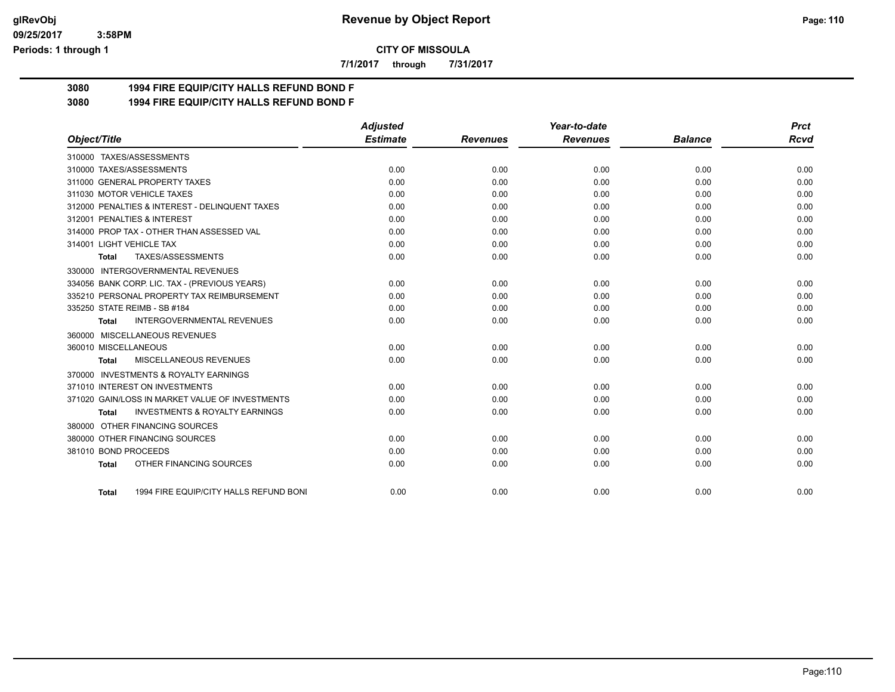**09/25/2017 3:58PM Periods: 1 through 1**

**CITY OF MISSOULA**

**7/1/2017 through 7/31/2017**

#### **3080 1994 FIRE EQUIP/CITY HALLS REFUND BOND F**

**3080 1994 FIRE EQUIP/CITY HALLS REFUND BOND F**

|                                |                                                 | <b>Adjusted</b> |                 | Year-to-date    |                | <b>Prct</b> |
|--------------------------------|-------------------------------------------------|-----------------|-----------------|-----------------|----------------|-------------|
| Object/Title                   |                                                 | <b>Estimate</b> | <b>Revenues</b> | <b>Revenues</b> | <b>Balance</b> | <b>Rcvd</b> |
| 310000 TAXES/ASSESSMENTS       |                                                 |                 |                 |                 |                |             |
| 310000 TAXES/ASSESSMENTS       |                                                 | 0.00            | 0.00            | 0.00            | 0.00           | 0.00        |
| 311000 GENERAL PROPERTY TAXES  |                                                 | 0.00            | 0.00            | 0.00            | 0.00           | 0.00        |
| 311030 MOTOR VEHICLE TAXES     |                                                 | 0.00            | 0.00            | 0.00            | 0.00           | 0.00        |
|                                | 312000 PENALTIES & INTEREST - DELINQUENT TAXES  | 0.00            | 0.00            | 0.00            | 0.00           | 0.00        |
| 312001 PENALTIES & INTEREST    |                                                 | 0.00            | 0.00            | 0.00            | 0.00           | 0.00        |
|                                | 314000 PROP TAX - OTHER THAN ASSESSED VAL       | 0.00            | 0.00            | 0.00            | 0.00           | 0.00        |
| 314001 LIGHT VEHICLE TAX       |                                                 | 0.00            | 0.00            | 0.00            | 0.00           | 0.00        |
| Total                          | TAXES/ASSESSMENTS                               | 0.00            | 0.00            | 0.00            | 0.00           | 0.00        |
| 330000                         | INTERGOVERNMENTAL REVENUES                      |                 |                 |                 |                |             |
|                                | 334056 BANK CORP. LIC. TAX - (PREVIOUS YEARS)   | 0.00            | 0.00            | 0.00            | 0.00           | 0.00        |
|                                | 335210 PERSONAL PROPERTY TAX REIMBURSEMENT      | 0.00            | 0.00            | 0.00            | 0.00           | 0.00        |
| 335250 STATE REIMB - SB #184   |                                                 | 0.00            | 0.00            | 0.00            | 0.00           | 0.00        |
| <b>Total</b>                   | <b>INTERGOVERNMENTAL REVENUES</b>               | 0.00            | 0.00            | 0.00            | 0.00           | 0.00        |
| 360000 MISCELLANEOUS REVENUES  |                                                 |                 |                 |                 |                |             |
| 360010 MISCELLANEOUS           |                                                 | 0.00            | 0.00            | 0.00            | 0.00           | 0.00        |
| Total                          | <b>MISCELLANEOUS REVENUES</b>                   | 0.00            | 0.00            | 0.00            | 0.00           | 0.00        |
| 370000                         | <b>INVESTMENTS &amp; ROYALTY EARNINGS</b>       |                 |                 |                 |                |             |
| 371010 INTEREST ON INVESTMENTS |                                                 | 0.00            | 0.00            | 0.00            | 0.00           | 0.00        |
|                                | 371020 GAIN/LOSS IN MARKET VALUE OF INVESTMENTS | 0.00            | 0.00            | 0.00            | 0.00           | 0.00        |
| Total                          | <b>INVESTMENTS &amp; ROYALTY EARNINGS</b>       | 0.00            | 0.00            | 0.00            | 0.00           | 0.00        |
| 380000 OTHER FINANCING SOURCES |                                                 |                 |                 |                 |                |             |
| 380000 OTHER FINANCING SOURCES |                                                 | 0.00            | 0.00            | 0.00            | 0.00           | 0.00        |
| 381010 BOND PROCEEDS           |                                                 | 0.00            | 0.00            | 0.00            | 0.00           | 0.00        |
| <b>Total</b>                   | OTHER FINANCING SOURCES                         | 0.00            | 0.00            | 0.00            | 0.00           | 0.00        |
| Total                          | 1994 FIRE EQUIP/CITY HALLS REFUND BONI          | 0.00            | 0.00            | 0.00            | 0.00           | 0.00        |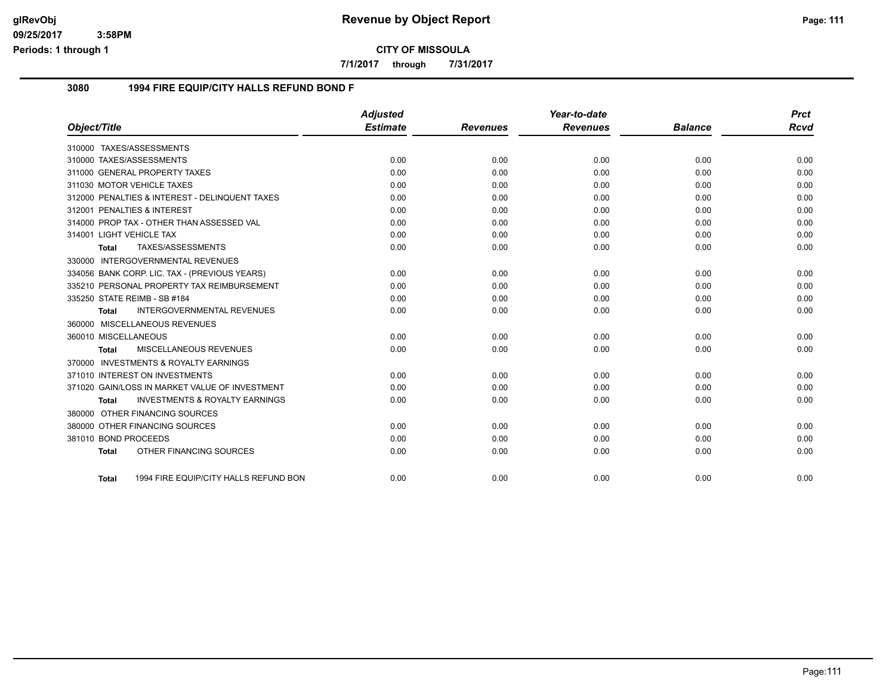**7/1/2017 through 7/31/2017**

#### **3080 1994 FIRE EQUIP/CITY HALLS REFUND BOND F**

|                                                           | <b>Adjusted</b> |                 | Year-to-date    |                | <b>Prct</b> |
|-----------------------------------------------------------|-----------------|-----------------|-----------------|----------------|-------------|
| Object/Title                                              | <b>Estimate</b> | <b>Revenues</b> | <b>Revenues</b> | <b>Balance</b> | <b>Rcvd</b> |
| 310000 TAXES/ASSESSMENTS                                  |                 |                 |                 |                |             |
| 310000 TAXES/ASSESSMENTS                                  | 0.00            | 0.00            | 0.00            | 0.00           | 0.00        |
| 311000 GENERAL PROPERTY TAXES                             | 0.00            | 0.00            | 0.00            | 0.00           | 0.00        |
| 311030 MOTOR VEHICLE TAXES                                | 0.00            | 0.00            | 0.00            | 0.00           | 0.00        |
| 312000 PENALTIES & INTEREST - DELINQUENT TAXES            | 0.00            | 0.00            | 0.00            | 0.00           | 0.00        |
| 312001 PENALTIES & INTEREST                               | 0.00            | 0.00            | 0.00            | 0.00           | 0.00        |
| 314000 PROP TAX - OTHER THAN ASSESSED VAL                 | 0.00            | 0.00            | 0.00            | 0.00           | 0.00        |
| 314001 LIGHT VEHICLE TAX                                  | 0.00            | 0.00            | 0.00            | 0.00           | 0.00        |
| TAXES/ASSESSMENTS<br><b>Total</b>                         | 0.00            | 0.00            | 0.00            | 0.00           | 0.00        |
| 330000 INTERGOVERNMENTAL REVENUES                         |                 |                 |                 |                |             |
| 334056 BANK CORP. LIC. TAX - (PREVIOUS YEARS)             | 0.00            | 0.00            | 0.00            | 0.00           | 0.00        |
| 335210 PERSONAL PROPERTY TAX REIMBURSEMENT                | 0.00            | 0.00            | 0.00            | 0.00           | 0.00        |
| 335250 STATE REIMB - SB #184                              | 0.00            | 0.00            | 0.00            | 0.00           | 0.00        |
| <b>INTERGOVERNMENTAL REVENUES</b><br><b>Total</b>         | 0.00            | 0.00            | 0.00            | 0.00           | 0.00        |
| 360000 MISCELLANEOUS REVENUES                             |                 |                 |                 |                |             |
| 360010 MISCELLANEOUS                                      | 0.00            | 0.00            | 0.00            | 0.00           | 0.00        |
| MISCELLANEOUS REVENUES<br><b>Total</b>                    | 0.00            | 0.00            | 0.00            | 0.00           | 0.00        |
| 370000 INVESTMENTS & ROYALTY EARNINGS                     |                 |                 |                 |                |             |
| 371010 INTEREST ON INVESTMENTS                            | 0.00            | 0.00            | 0.00            | 0.00           | 0.00        |
| 371020 GAIN/LOSS IN MARKET VALUE OF INVESTMENT            | 0.00            | 0.00            | 0.00            | 0.00           | 0.00        |
| <b>INVESTMENTS &amp; ROYALTY EARNINGS</b><br><b>Total</b> | 0.00            | 0.00            | 0.00            | 0.00           | 0.00        |
| 380000 OTHER FINANCING SOURCES                            |                 |                 |                 |                |             |
| 380000 OTHER FINANCING SOURCES                            | 0.00            | 0.00            | 0.00            | 0.00           | 0.00        |
| 381010 BOND PROCEEDS                                      | 0.00            | 0.00            | 0.00            | 0.00           | 0.00        |
| OTHER FINANCING SOURCES<br><b>Total</b>                   | 0.00            | 0.00            | 0.00            | 0.00           | 0.00        |
| 1994 FIRE EQUIP/CITY HALLS REFUND BON<br>Total            | 0.00            | 0.00            | 0.00            | 0.00           | 0.00        |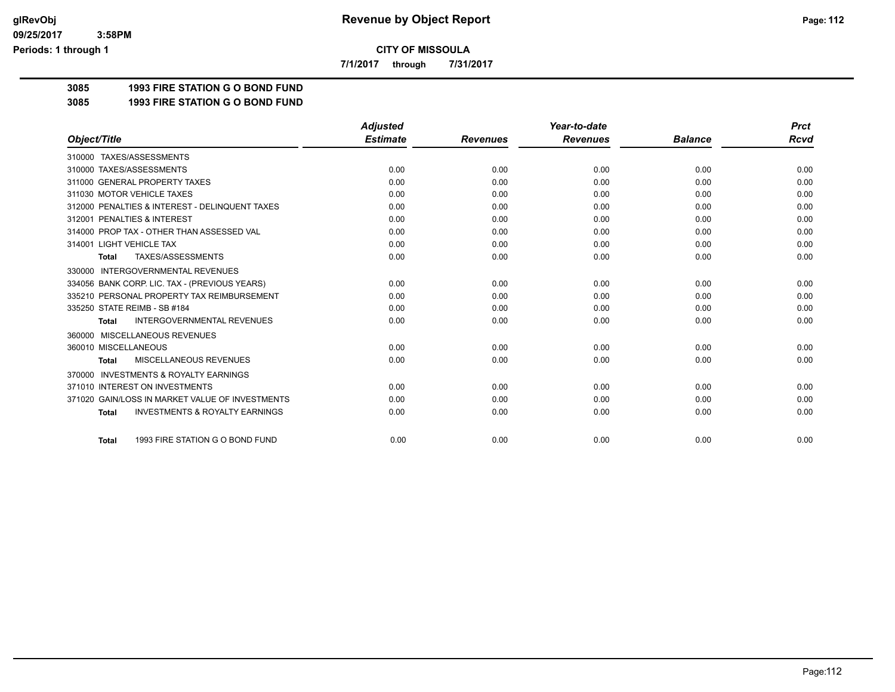**7/1/2017 through 7/31/2017**

### **3085 1993 FIRE STATION G O BOND FUND**

**3085 1993 FIRE STATION G O BOND FUND**

|                                                           | <b>Adjusted</b> |                 | Year-to-date    |                | <b>Prct</b> |
|-----------------------------------------------------------|-----------------|-----------------|-----------------|----------------|-------------|
| Object/Title                                              | <b>Estimate</b> | <b>Revenues</b> | <b>Revenues</b> | <b>Balance</b> | <b>Rcvd</b> |
| 310000 TAXES/ASSESSMENTS                                  |                 |                 |                 |                |             |
| 310000 TAXES/ASSESSMENTS                                  | 0.00            | 0.00            | 0.00            | 0.00           | 0.00        |
| 311000 GENERAL PROPERTY TAXES                             | 0.00            | 0.00            | 0.00            | 0.00           | 0.00        |
| 311030 MOTOR VEHICLE TAXES                                | 0.00            | 0.00            | 0.00            | 0.00           | 0.00        |
| 312000 PENALTIES & INTEREST - DELINQUENT TAXES            | 0.00            | 0.00            | 0.00            | 0.00           | 0.00        |
| 312001 PENALTIES & INTEREST                               | 0.00            | 0.00            | 0.00            | 0.00           | 0.00        |
| 314000 PROP TAX - OTHER THAN ASSESSED VAL                 | 0.00            | 0.00            | 0.00            | 0.00           | 0.00        |
| 314001 LIGHT VEHICLE TAX                                  | 0.00            | 0.00            | 0.00            | 0.00           | 0.00        |
| TAXES/ASSESSMENTS<br><b>Total</b>                         | 0.00            | 0.00            | 0.00            | 0.00           | 0.00        |
| <b>INTERGOVERNMENTAL REVENUES</b><br>330000               |                 |                 |                 |                |             |
| 334056 BANK CORP. LIC. TAX - (PREVIOUS YEARS)             | 0.00            | 0.00            | 0.00            | 0.00           | 0.00        |
| 335210 PERSONAL PROPERTY TAX REIMBURSEMENT                | 0.00            | 0.00            | 0.00            | 0.00           | 0.00        |
| 335250 STATE REIMB - SB #184                              | 0.00            | 0.00            | 0.00            | 0.00           | 0.00        |
| <b>INTERGOVERNMENTAL REVENUES</b><br><b>Total</b>         | 0.00            | 0.00            | 0.00            | 0.00           | 0.00        |
| MISCELLANEOUS REVENUES<br>360000                          |                 |                 |                 |                |             |
| 360010 MISCELLANEOUS                                      | 0.00            | 0.00            | 0.00            | 0.00           | 0.00        |
| MISCELLANEOUS REVENUES<br>Total                           | 0.00            | 0.00            | 0.00            | 0.00           | 0.00        |
| <b>INVESTMENTS &amp; ROYALTY EARNINGS</b><br>370000       |                 |                 |                 |                |             |
| 371010 INTEREST ON INVESTMENTS                            | 0.00            | 0.00            | 0.00            | 0.00           | 0.00        |
| 371020 GAIN/LOSS IN MARKET VALUE OF INVESTMENTS           | 0.00            | 0.00            | 0.00            | 0.00           | 0.00        |
| <b>INVESTMENTS &amp; ROYALTY EARNINGS</b><br><b>Total</b> | 0.00            | 0.00            | 0.00            | 0.00           | 0.00        |
| 1993 FIRE STATION G O BOND FUND<br><b>Total</b>           | 0.00            | 0.00            | 0.00            | 0.00           | 0.00        |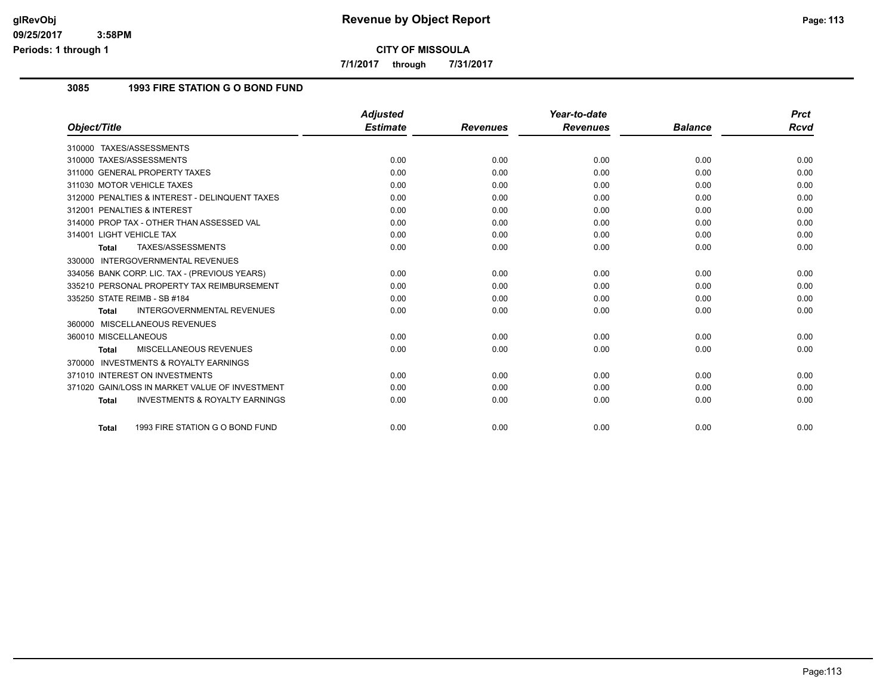**7/1/2017 through 7/31/2017**

#### **3085 1993 FIRE STATION G O BOND FUND**

|                                                           | <b>Adjusted</b> |                 | Year-to-date    |                | <b>Prct</b> |
|-----------------------------------------------------------|-----------------|-----------------|-----------------|----------------|-------------|
| Object/Title                                              | <b>Estimate</b> | <b>Revenues</b> | <b>Revenues</b> | <b>Balance</b> | Rcvd        |
| 310000 TAXES/ASSESSMENTS                                  |                 |                 |                 |                |             |
| 310000 TAXES/ASSESSMENTS                                  | 0.00            | 0.00            | 0.00            | 0.00           | 0.00        |
| 311000 GENERAL PROPERTY TAXES                             | 0.00            | 0.00            | 0.00            | 0.00           | 0.00        |
| 311030 MOTOR VEHICLE TAXES                                | 0.00            | 0.00            | 0.00            | 0.00           | 0.00        |
| 312000 PENALTIES & INTEREST - DELINQUENT TAXES            | 0.00            | 0.00            | 0.00            | 0.00           | 0.00        |
| 312001 PENALTIES & INTEREST                               | 0.00            | 0.00            | 0.00            | 0.00           | 0.00        |
| 314000 PROP TAX - OTHER THAN ASSESSED VAL                 | 0.00            | 0.00            | 0.00            | 0.00           | 0.00        |
| 314001 LIGHT VEHICLE TAX                                  | 0.00            | 0.00            | 0.00            | 0.00           | 0.00        |
| TAXES/ASSESSMENTS<br><b>Total</b>                         | 0.00            | 0.00            | 0.00            | 0.00           | 0.00        |
| 330000 INTERGOVERNMENTAL REVENUES                         |                 |                 |                 |                |             |
| 334056 BANK CORP. LIC. TAX - (PREVIOUS YEARS)             | 0.00            | 0.00            | 0.00            | 0.00           | 0.00        |
| 335210 PERSONAL PROPERTY TAX REIMBURSEMENT                | 0.00            | 0.00            | 0.00            | 0.00           | 0.00        |
| 335250 STATE REIMB - SB #184                              | 0.00            | 0.00            | 0.00            | 0.00           | 0.00        |
| INTERGOVERNMENTAL REVENUES<br>Total                       | 0.00            | 0.00            | 0.00            | 0.00           | 0.00        |
| 360000 MISCELLANEOUS REVENUES                             |                 |                 |                 |                |             |
| 360010 MISCELLANEOUS                                      | 0.00            | 0.00            | 0.00            | 0.00           | 0.00        |
| MISCELLANEOUS REVENUES<br><b>Total</b>                    | 0.00            | 0.00            | 0.00            | 0.00           | 0.00        |
| 370000 INVESTMENTS & ROYALTY EARNINGS                     |                 |                 |                 |                |             |
| 371010 INTEREST ON INVESTMENTS                            | 0.00            | 0.00            | 0.00            | 0.00           | 0.00        |
| 371020 GAIN/LOSS IN MARKET VALUE OF INVESTMENT            | 0.00            | 0.00            | 0.00            | 0.00           | 0.00        |
| <b>INVESTMENTS &amp; ROYALTY EARNINGS</b><br><b>Total</b> | 0.00            | 0.00            | 0.00            | 0.00           | 0.00        |
| 1993 FIRE STATION G O BOND FUND<br>Total                  | 0.00            | 0.00            | 0.00            | 0.00           | 0.00        |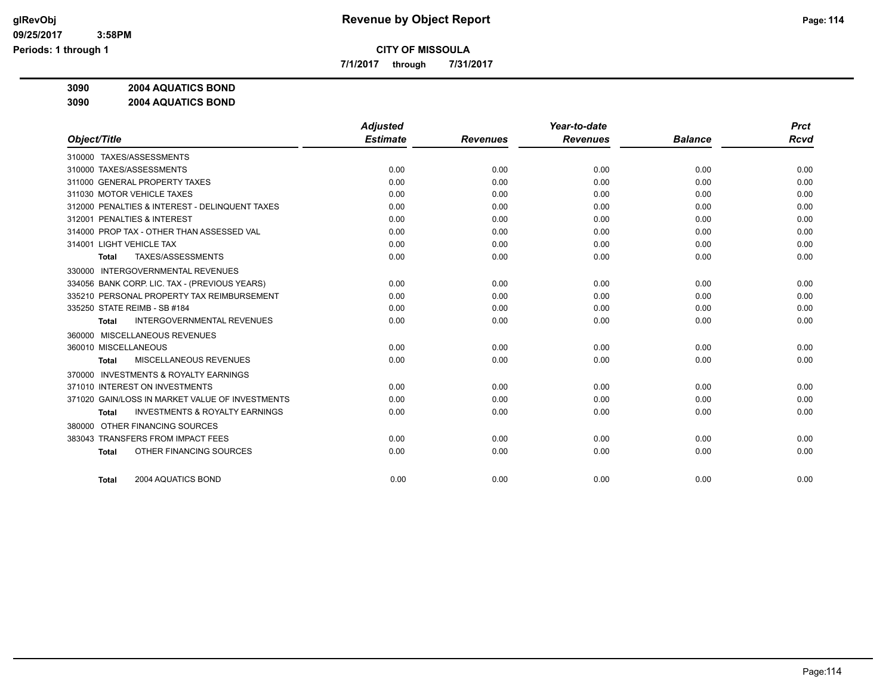**7/1/2017 through 7/31/2017**

**3090 2004 AQUATICS BOND**

**3090 2004 AQUATICS BOND**

|                                                           | <b>Adjusted</b> |                 | Year-to-date    |                | <b>Prct</b> |
|-----------------------------------------------------------|-----------------|-----------------|-----------------|----------------|-------------|
| Object/Title                                              | <b>Estimate</b> | <b>Revenues</b> | <b>Revenues</b> | <b>Balance</b> | <b>Rcvd</b> |
| 310000 TAXES/ASSESSMENTS                                  |                 |                 |                 |                |             |
| 310000 TAXES/ASSESSMENTS                                  | 0.00            | 0.00            | 0.00            | 0.00           | 0.00        |
| 311000 GENERAL PROPERTY TAXES                             | 0.00            | 0.00            | 0.00            | 0.00           | 0.00        |
| 311030 MOTOR VEHICLE TAXES                                | 0.00            | 0.00            | 0.00            | 0.00           | 0.00        |
| 312000 PENALTIES & INTEREST - DELINQUENT TAXES            | 0.00            | 0.00            | 0.00            | 0.00           | 0.00        |
| 312001 PENALTIES & INTEREST                               | 0.00            | 0.00            | 0.00            | 0.00           | 0.00        |
| 314000 PROP TAX - OTHER THAN ASSESSED VAL                 | 0.00            | 0.00            | 0.00            | 0.00           | 0.00        |
| 314001 LIGHT VEHICLE TAX                                  | 0.00            | 0.00            | 0.00            | 0.00           | 0.00        |
| TAXES/ASSESSMENTS<br><b>Total</b>                         | 0.00            | 0.00            | 0.00            | 0.00           | 0.00        |
| 330000 INTERGOVERNMENTAL REVENUES                         |                 |                 |                 |                |             |
| 334056 BANK CORP. LIC. TAX - (PREVIOUS YEARS)             | 0.00            | 0.00            | 0.00            | 0.00           | 0.00        |
| 335210 PERSONAL PROPERTY TAX REIMBURSEMENT                | 0.00            | 0.00            | 0.00            | 0.00           | 0.00        |
| 335250 STATE REIMB - SB #184                              | 0.00            | 0.00            | 0.00            | 0.00           | 0.00        |
| <b>INTERGOVERNMENTAL REVENUES</b><br><b>Total</b>         | 0.00            | 0.00            | 0.00            | 0.00           | 0.00        |
| MISCELLANEOUS REVENUES<br>360000                          |                 |                 |                 |                |             |
| 360010 MISCELLANEOUS                                      | 0.00            | 0.00            | 0.00            | 0.00           | 0.00        |
| MISCELLANEOUS REVENUES<br><b>Total</b>                    | 0.00            | 0.00            | 0.00            | 0.00           | 0.00        |
| <b>INVESTMENTS &amp; ROYALTY EARNINGS</b><br>370000       |                 |                 |                 |                |             |
| 371010 INTEREST ON INVESTMENTS                            | 0.00            | 0.00            | 0.00            | 0.00           | 0.00        |
| 371020 GAIN/LOSS IN MARKET VALUE OF INVESTMENTS           | 0.00            | 0.00            | 0.00            | 0.00           | 0.00        |
| <b>INVESTMENTS &amp; ROYALTY EARNINGS</b><br><b>Total</b> | 0.00            | 0.00            | 0.00            | 0.00           | 0.00        |
| OTHER FINANCING SOURCES<br>380000                         |                 |                 |                 |                |             |
| 383043 TRANSFERS FROM IMPACT FEES                         | 0.00            | 0.00            | 0.00            | 0.00           | 0.00        |
| OTHER FINANCING SOURCES<br><b>Total</b>                   | 0.00            | 0.00            | 0.00            | 0.00           | 0.00        |
|                                                           |                 |                 |                 |                |             |
| 2004 AQUATICS BOND<br><b>Total</b>                        | 0.00            | 0.00            | 0.00            | 0.00           | 0.00        |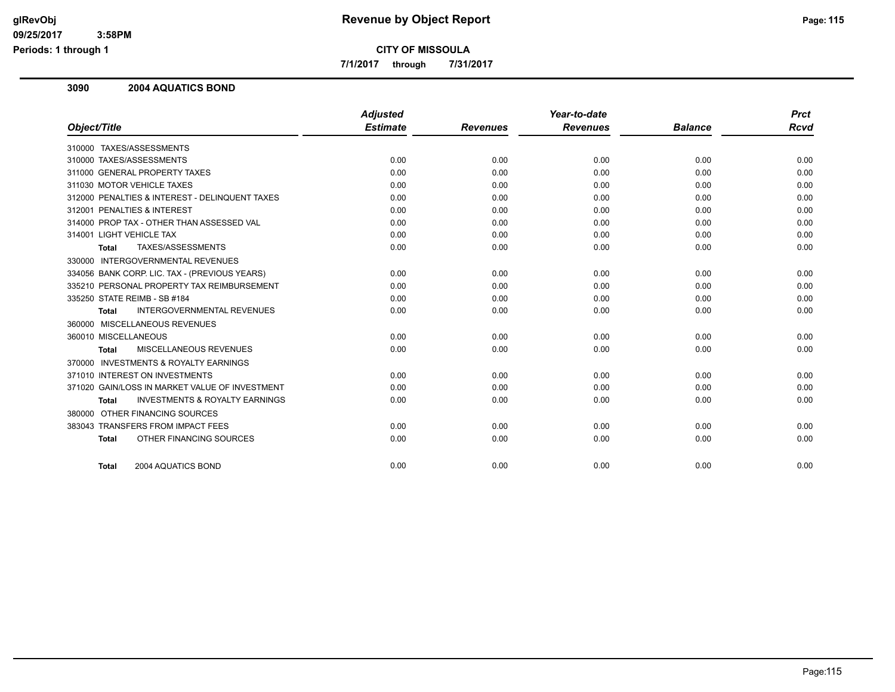**Periods: 1 through 1**

**09/25/2017**

**CITY OF MISSOULA**

**7/1/2017 through 7/31/2017**

#### **3090 2004 AQUATICS BOND**

 **3:58PM**

|                                                           | <b>Adjusted</b> |                 | Year-to-date    |                | <b>Prct</b> |
|-----------------------------------------------------------|-----------------|-----------------|-----------------|----------------|-------------|
| Object/Title                                              | <b>Estimate</b> | <b>Revenues</b> | <b>Revenues</b> | <b>Balance</b> | <b>Rcvd</b> |
| 310000 TAXES/ASSESSMENTS                                  |                 |                 |                 |                |             |
| 310000 TAXES/ASSESSMENTS                                  | 0.00            | 0.00            | 0.00            | 0.00           | 0.00        |
| 311000 GENERAL PROPERTY TAXES                             | 0.00            | 0.00            | 0.00            | 0.00           | 0.00        |
| 311030 MOTOR VEHICLE TAXES                                | 0.00            | 0.00            | 0.00            | 0.00           | 0.00        |
| 312000 PENALTIES & INTEREST - DELINQUENT TAXES            | 0.00            | 0.00            | 0.00            | 0.00           | 0.00        |
| 312001 PENALTIES & INTEREST                               | 0.00            | 0.00            | 0.00            | 0.00           | 0.00        |
| 314000 PROP TAX - OTHER THAN ASSESSED VAL                 | 0.00            | 0.00            | 0.00            | 0.00           | 0.00        |
| 314001 LIGHT VEHICLE TAX                                  | 0.00            | 0.00            | 0.00            | 0.00           | 0.00        |
| TAXES/ASSESSMENTS<br>Total                                | 0.00            | 0.00            | 0.00            | 0.00           | 0.00        |
| 330000 INTERGOVERNMENTAL REVENUES                         |                 |                 |                 |                |             |
| 334056 BANK CORP. LIC. TAX - (PREVIOUS YEARS)             | 0.00            | 0.00            | 0.00            | 0.00           | 0.00        |
| 335210 PERSONAL PROPERTY TAX REIMBURSEMENT                | 0.00            | 0.00            | 0.00            | 0.00           | 0.00        |
| 335250 STATE REIMB - SB #184                              | 0.00            | 0.00            | 0.00            | 0.00           | 0.00        |
| <b>INTERGOVERNMENTAL REVENUES</b><br><b>Total</b>         | 0.00            | 0.00            | 0.00            | 0.00           | 0.00        |
| 360000 MISCELLANEOUS REVENUES                             |                 |                 |                 |                |             |
| 360010 MISCELLANEOUS                                      | 0.00            | 0.00            | 0.00            | 0.00           | 0.00        |
| MISCELLANEOUS REVENUES<br><b>Total</b>                    | 0.00            | 0.00            | 0.00            | 0.00           | 0.00        |
| 370000 INVESTMENTS & ROYALTY EARNINGS                     |                 |                 |                 |                |             |
| 371010 INTEREST ON INVESTMENTS                            | 0.00            | 0.00            | 0.00            | 0.00           | 0.00        |
| 371020 GAIN/LOSS IN MARKET VALUE OF INVESTMENT            | 0.00            | 0.00            | 0.00            | 0.00           | 0.00        |
| <b>INVESTMENTS &amp; ROYALTY EARNINGS</b><br><b>Total</b> | 0.00            | 0.00            | 0.00            | 0.00           | 0.00        |
| 380000 OTHER FINANCING SOURCES                            |                 |                 |                 |                |             |
| 383043 TRANSFERS FROM IMPACT FEES                         | 0.00            | 0.00            | 0.00            | 0.00           | 0.00        |
| OTHER FINANCING SOURCES<br><b>Total</b>                   | 0.00            | 0.00            | 0.00            | 0.00           | 0.00        |
| 2004 AQUATICS BOND<br><b>Total</b>                        | 0.00            | 0.00            | 0.00            | 0.00           | 0.00        |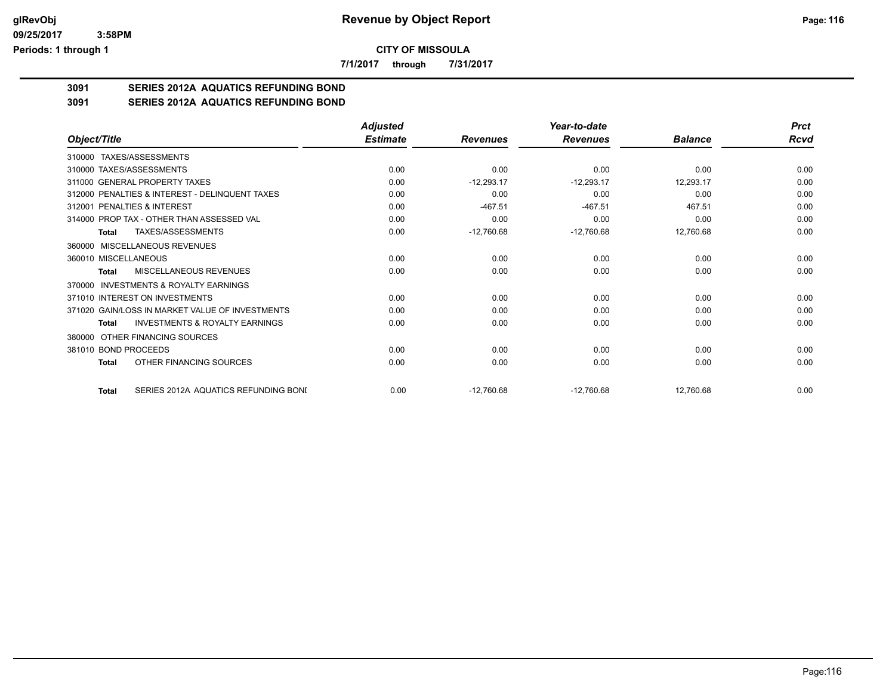**7/1/2017 through 7/31/2017**

# **3091 SERIES 2012A AQUATICS REFUNDING BOND**

#### **3091 SERIES 2012A AQUATICS REFUNDING BOND**

|                                                           | <b>Adjusted</b> |                 | Year-to-date    |                | <b>Prct</b> |
|-----------------------------------------------------------|-----------------|-----------------|-----------------|----------------|-------------|
| Object/Title                                              | <b>Estimate</b> | <b>Revenues</b> | <b>Revenues</b> | <b>Balance</b> | Rcvd        |
| TAXES/ASSESSMENTS<br>310000                               |                 |                 |                 |                |             |
| 310000 TAXES/ASSESSMENTS                                  | 0.00            | 0.00            | 0.00            | 0.00           | 0.00        |
| 311000 GENERAL PROPERTY TAXES                             | 0.00            | $-12,293.17$    | $-12,293.17$    | 12,293.17      | 0.00        |
| 312000 PENALTIES & INTEREST - DELINQUENT TAXES            | 0.00            | 0.00            | 0.00            | 0.00           | 0.00        |
| 312001 PENALTIES & INTEREST                               | 0.00            | $-467.51$       | $-467.51$       | 467.51         | 0.00        |
| 314000 PROP TAX - OTHER THAN ASSESSED VAL                 | 0.00            | 0.00            | 0.00            | 0.00           | 0.00        |
| TAXES/ASSESSMENTS<br><b>Total</b>                         | 0.00            | $-12,760.68$    | $-12,760.68$    | 12,760.68      | 0.00        |
| <b>MISCELLANEOUS REVENUES</b><br>360000                   |                 |                 |                 |                |             |
| 360010 MISCELLANEOUS                                      | 0.00            | 0.00            | 0.00            | 0.00           | 0.00        |
| MISCELLANEOUS REVENUES<br><b>Total</b>                    | 0.00            | 0.00            | 0.00            | 0.00           | 0.00        |
| <b>INVESTMENTS &amp; ROYALTY EARNINGS</b><br>370000       |                 |                 |                 |                |             |
| 371010 INTEREST ON INVESTMENTS                            | 0.00            | 0.00            | 0.00            | 0.00           | 0.00        |
| 371020 GAIN/LOSS IN MARKET VALUE OF INVESTMENTS           | 0.00            | 0.00            | 0.00            | 0.00           | 0.00        |
| <b>INVESTMENTS &amp; ROYALTY EARNINGS</b><br><b>Total</b> | 0.00            | 0.00            | 0.00            | 0.00           | 0.00        |
| OTHER FINANCING SOURCES<br>380000                         |                 |                 |                 |                |             |
| <b>BOND PROCEEDS</b><br>381010                            | 0.00            | 0.00            | 0.00            | 0.00           | 0.00        |
| OTHER FINANCING SOURCES<br><b>Total</b>                   | 0.00            | 0.00            | 0.00            | 0.00           | 0.00        |
| SERIES 2012A AQUATICS REFUNDING BONI<br><b>Total</b>      | 0.00            | $-12,760.68$    | $-12,760.68$    | 12,760.68      | 0.00        |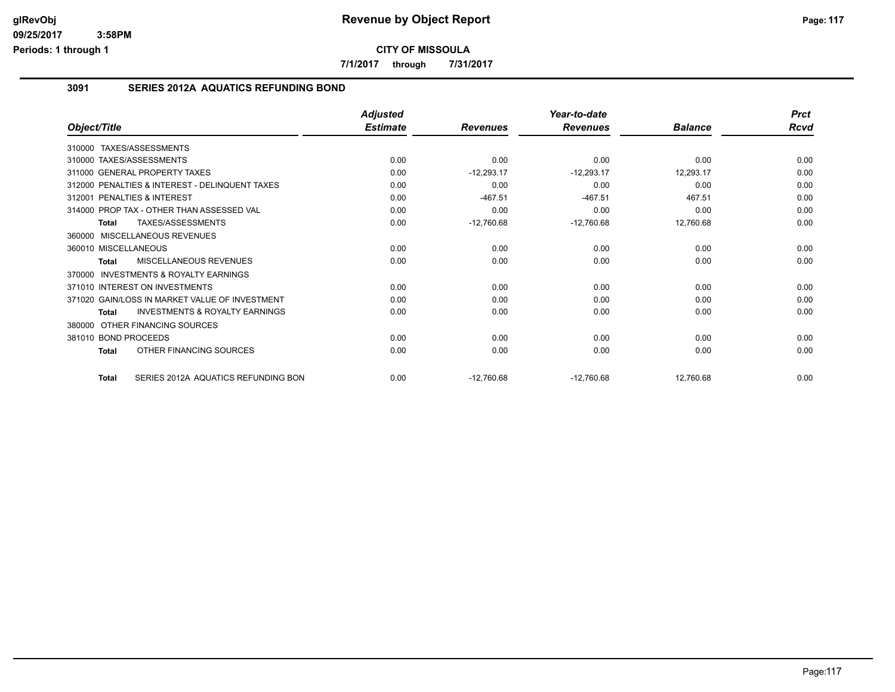**7/1/2017 through 7/31/2017**

#### **3091 SERIES 2012A AQUATICS REFUNDING BOND**

|                                                           | <b>Adjusted</b> |                 | Year-to-date    |                | <b>Prct</b> |
|-----------------------------------------------------------|-----------------|-----------------|-----------------|----------------|-------------|
| Object/Title                                              | <b>Estimate</b> | <b>Revenues</b> | <b>Revenues</b> | <b>Balance</b> | <b>Rcvd</b> |
| 310000 TAXES/ASSESSMENTS                                  |                 |                 |                 |                |             |
| 310000 TAXES/ASSESSMENTS                                  | 0.00            | 0.00            | 0.00            | 0.00           | 0.00        |
| 311000 GENERAL PROPERTY TAXES                             | 0.00            | $-12,293.17$    | $-12,293.17$    | 12,293.17      | 0.00        |
| 312000 PENALTIES & INTEREST - DELINQUENT TAXES            | 0.00            | 0.00            | 0.00            | 0.00           | 0.00        |
| 312001 PENALTIES & INTEREST                               | 0.00            | $-467.51$       | $-467.51$       | 467.51         | 0.00        |
| 314000 PROP TAX - OTHER THAN ASSESSED VAL                 | 0.00            | 0.00            | 0.00            | 0.00           | 0.00        |
| TAXES/ASSESSMENTS<br><b>Total</b>                         | 0.00            | $-12,760.68$    | $-12,760.68$    | 12,760.68      | 0.00        |
| 360000 MISCELLANEOUS REVENUES                             |                 |                 |                 |                |             |
| 360010 MISCELLANEOUS                                      | 0.00            | 0.00            | 0.00            | 0.00           | 0.00        |
| <b>MISCELLANEOUS REVENUES</b><br><b>Total</b>             | 0.00            | 0.00            | 0.00            | 0.00           | 0.00        |
| INVESTMENTS & ROYALTY EARNINGS<br>370000                  |                 |                 |                 |                |             |
| 371010 INTEREST ON INVESTMENTS                            | 0.00            | 0.00            | 0.00            | 0.00           | 0.00        |
| 371020 GAIN/LOSS IN MARKET VALUE OF INVESTMENT            | 0.00            | 0.00            | 0.00            | 0.00           | 0.00        |
| <b>INVESTMENTS &amp; ROYALTY EARNINGS</b><br><b>Total</b> | 0.00            | 0.00            | 0.00            | 0.00           | 0.00        |
| OTHER FINANCING SOURCES<br>380000                         |                 |                 |                 |                |             |
| 381010 BOND PROCEEDS                                      | 0.00            | 0.00            | 0.00            | 0.00           | 0.00        |
| OTHER FINANCING SOURCES<br><b>Total</b>                   | 0.00            | 0.00            | 0.00            | 0.00           | 0.00        |
| SERIES 2012A AQUATICS REFUNDING BON<br><b>Total</b>       | 0.00            | $-12,760.68$    | $-12,760.68$    | 12,760.68      | 0.00        |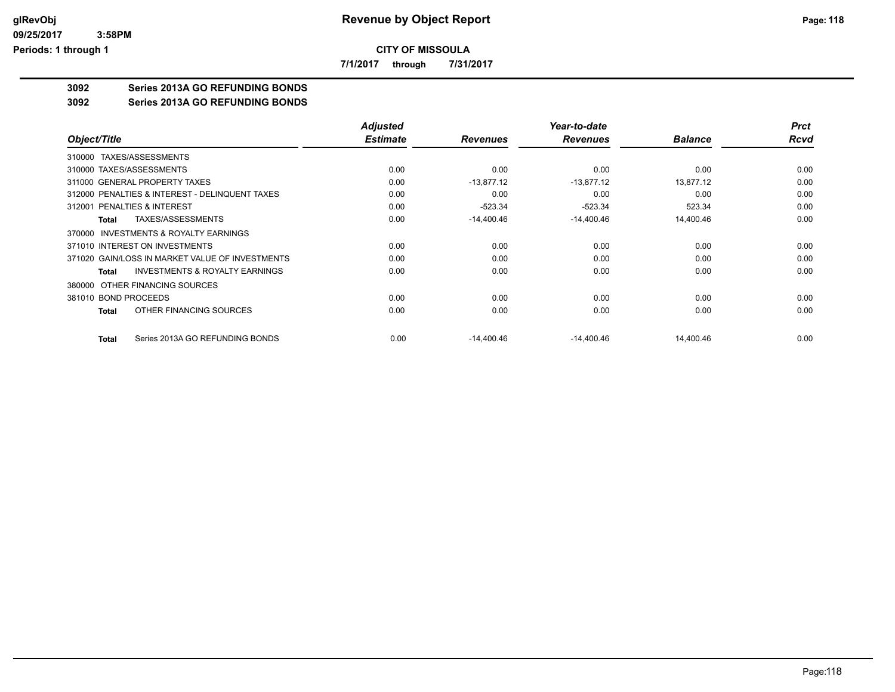**7/1/2017 through 7/31/2017**

### **3092 Series 2013A GO REFUNDING BONDS**

#### **3092 Series 2013A GO REFUNDING BONDS**

|                                                     | <b>Adjusted</b> |                 | Year-to-date    |                | <b>Prct</b> |
|-----------------------------------------------------|-----------------|-----------------|-----------------|----------------|-------------|
| Object/Title                                        | <b>Estimate</b> | <b>Revenues</b> | <b>Revenues</b> | <b>Balance</b> | Rcvd        |
| 310000 TAXES/ASSESSMENTS                            |                 |                 |                 |                |             |
| 310000 TAXES/ASSESSMENTS                            | 0.00            | 0.00            | 0.00            | 0.00           | 0.00        |
| 311000 GENERAL PROPERTY TAXES                       | 0.00            | $-13,877.12$    | $-13,877.12$    | 13,877.12      | 0.00        |
| 312000 PENALTIES & INTEREST - DELINQUENT TAXES      | 0.00            | 0.00            | 0.00            | 0.00           | 0.00        |
| 312001 PENALTIES & INTEREST                         | 0.00            | $-523.34$       | $-523.34$       | 523.34         | 0.00        |
| TAXES/ASSESSMENTS<br>Total                          | 0.00            | $-14,400.46$    | $-14,400.46$    | 14,400.46      | 0.00        |
| <b>INVESTMENTS &amp; ROYALTY EARNINGS</b><br>370000 |                 |                 |                 |                |             |
| 371010 INTEREST ON INVESTMENTS                      | 0.00            | 0.00            | 0.00            | 0.00           | 0.00        |
| 371020 GAIN/LOSS IN MARKET VALUE OF INVESTMENTS     | 0.00            | 0.00            | 0.00            | 0.00           | 0.00        |
| <b>INVESTMENTS &amp; ROYALTY EARNINGS</b><br>Total  | 0.00            | 0.00            | 0.00            | 0.00           | 0.00        |
| OTHER FINANCING SOURCES<br>380000                   |                 |                 |                 |                |             |
| 381010 BOND PROCEEDS                                | 0.00            | 0.00            | 0.00            | 0.00           | 0.00        |
| OTHER FINANCING SOURCES<br>Total                    | 0.00            | 0.00            | 0.00            | 0.00           | 0.00        |
| Series 2013A GO REFUNDING BONDS<br>Total            | 0.00            | $-14,400.46$    | $-14,400.46$    | 14,400.46      | 0.00        |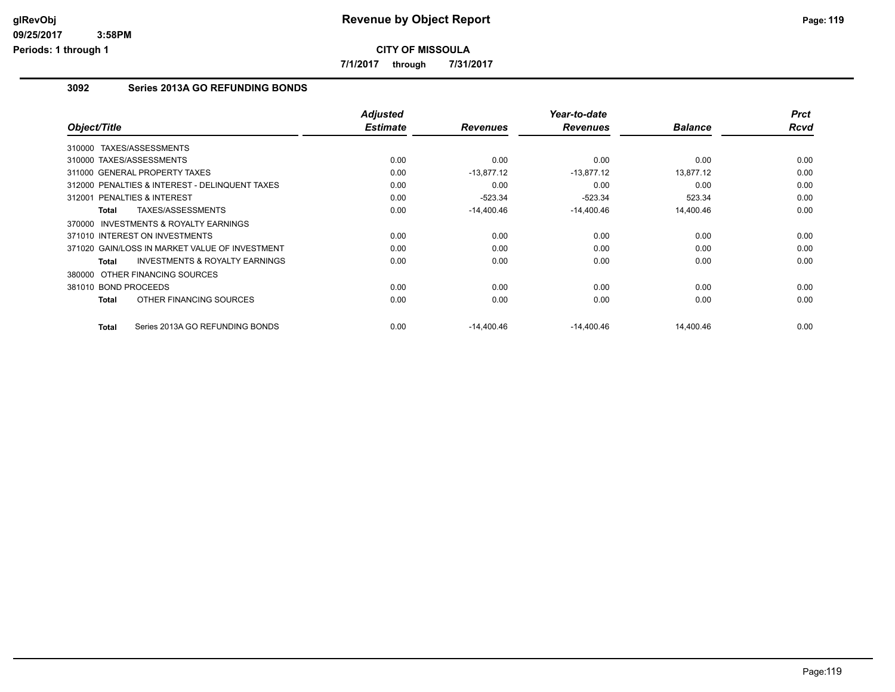**7/1/2017 through 7/31/2017**

#### **3092 Series 2013A GO REFUNDING BONDS**

| Object/Title                                              | <b>Adjusted</b><br><b>Estimate</b> | <b>Revenues</b> | Year-to-date<br><b>Revenues</b> | <b>Balance</b> | <b>Prct</b><br>Rcvd |
|-----------------------------------------------------------|------------------------------------|-----------------|---------------------------------|----------------|---------------------|
| 310000 TAXES/ASSESSMENTS                                  |                                    |                 |                                 |                |                     |
| 310000 TAXES/ASSESSMENTS                                  | 0.00                               | 0.00            | 0.00                            | 0.00           | 0.00                |
| 311000 GENERAL PROPERTY TAXES                             | 0.00                               | $-13,877.12$    | $-13,877.12$                    | 13,877.12      | 0.00                |
| 312000 PENALTIES & INTEREST - DELINQUENT TAXES            | 0.00                               | 0.00            | 0.00                            | 0.00           | 0.00                |
| 312001 PENALTIES & INTEREST                               | 0.00                               | $-523.34$       | $-523.34$                       | 523.34         | 0.00                |
| TAXES/ASSESSMENTS<br><b>Total</b>                         | 0.00                               | $-14,400.46$    | $-14,400.46$                    | 14,400.46      | 0.00                |
| <b>INVESTMENTS &amp; ROYALTY EARNINGS</b><br>370000       |                                    |                 |                                 |                |                     |
| 371010 INTEREST ON INVESTMENTS                            | 0.00                               | 0.00            | 0.00                            | 0.00           | 0.00                |
| 371020 GAIN/LOSS IN MARKET VALUE OF INVESTMENT            | 0.00                               | 0.00            | 0.00                            | 0.00           | 0.00                |
| <b>INVESTMENTS &amp; ROYALTY EARNINGS</b><br><b>Total</b> | 0.00                               | 0.00            | 0.00                            | 0.00           | 0.00                |
| 380000 OTHER FINANCING SOURCES                            |                                    |                 |                                 |                |                     |
| 381010 BOND PROCEEDS                                      | 0.00                               | 0.00            | 0.00                            | 0.00           | 0.00                |
| OTHER FINANCING SOURCES<br><b>Total</b>                   | 0.00                               | 0.00            | 0.00                            | 0.00           | 0.00                |
| Series 2013A GO REFUNDING BONDS<br><b>Total</b>           | 0.00                               | $-14.400.46$    | $-14.400.46$                    | 14,400.46      | 0.00                |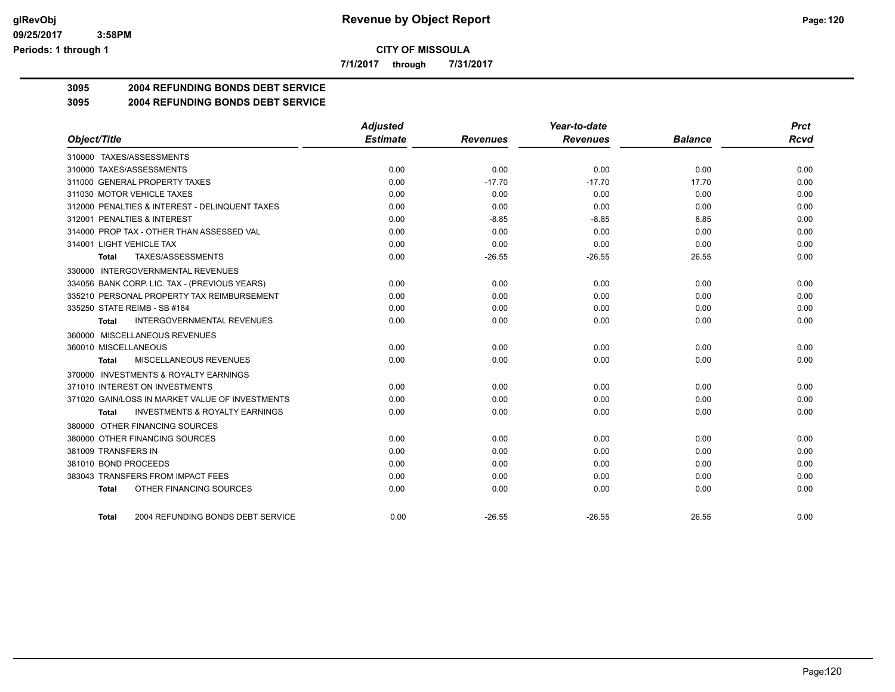**7/1/2017 through 7/31/2017**

# **3095 2004 REFUNDING BONDS DEBT SERVICE**

#### **3095 2004 REFUNDING BONDS DEBT SERVICE**

|                                                    | <b>Adjusted</b> |                 | Year-to-date    |                | <b>Prct</b> |
|----------------------------------------------------|-----------------|-----------------|-----------------|----------------|-------------|
| Object/Title                                       | <b>Estimate</b> | <b>Revenues</b> | <b>Revenues</b> | <b>Balance</b> | Rcvd        |
| 310000 TAXES/ASSESSMENTS                           |                 |                 |                 |                |             |
| 310000 TAXES/ASSESSMENTS                           | 0.00            | 0.00            | 0.00            | 0.00           | 0.00        |
| 311000 GENERAL PROPERTY TAXES                      | 0.00            | $-17.70$        | $-17.70$        | 17.70          | 0.00        |
| 311030 MOTOR VEHICLE TAXES                         | 0.00            | 0.00            | 0.00            | 0.00           | 0.00        |
| 312000 PENALTIES & INTEREST - DELINQUENT TAXES     | 0.00            | 0.00            | 0.00            | 0.00           | 0.00        |
| 312001 PENALTIES & INTEREST                        | 0.00            | $-8.85$         | $-8.85$         | 8.85           | 0.00        |
| 314000 PROP TAX - OTHER THAN ASSESSED VAL          | 0.00            | 0.00            | 0.00            | 0.00           | 0.00        |
| 314001 LIGHT VEHICLE TAX                           | 0.00            | 0.00            | 0.00            | 0.00           | 0.00        |
| TAXES/ASSESSMENTS<br>Total                         | 0.00            | $-26.55$        | $-26.55$        | 26.55          | 0.00        |
| 330000 INTERGOVERNMENTAL REVENUES                  |                 |                 |                 |                |             |
| 334056 BANK CORP. LIC. TAX - (PREVIOUS YEARS)      | 0.00            | 0.00            | 0.00            | 0.00           | 0.00        |
| 335210 PERSONAL PROPERTY TAX REIMBURSEMENT         | 0.00            | 0.00            | 0.00            | 0.00           | 0.00        |
| 335250 STATE REIMB - SB #184                       | 0.00            | 0.00            | 0.00            | 0.00           | 0.00        |
| <b>INTERGOVERNMENTAL REVENUES</b><br>Total         | 0.00            | 0.00            | 0.00            | 0.00           | 0.00        |
| 360000 MISCELLANEOUS REVENUES                      |                 |                 |                 |                |             |
| 360010 MISCELLANEOUS                               | 0.00            | 0.00            | 0.00            | 0.00           | 0.00        |
| MISCELLANEOUS REVENUES<br>Total                    | 0.00            | 0.00            | 0.00            | 0.00           | 0.00        |
| 370000 INVESTMENTS & ROYALTY EARNINGS              |                 |                 |                 |                |             |
| 371010 INTEREST ON INVESTMENTS                     | 0.00            | 0.00            | 0.00            | 0.00           | 0.00        |
| 371020 GAIN/LOSS IN MARKET VALUE OF INVESTMENTS    | 0.00            | 0.00            | 0.00            | 0.00           | 0.00        |
| <b>INVESTMENTS &amp; ROYALTY EARNINGS</b><br>Total | 0.00            | 0.00            | 0.00            | 0.00           | 0.00        |
| 380000 OTHER FINANCING SOURCES                     |                 |                 |                 |                |             |
| 380000 OTHER FINANCING SOURCES                     | 0.00            | 0.00            | 0.00            | 0.00           | 0.00        |
| 381009 TRANSFERS IN                                | 0.00            | 0.00            | 0.00            | 0.00           | 0.00        |
| 381010 BOND PROCEEDS                               | 0.00            | 0.00            | 0.00            | 0.00           | 0.00        |
| 383043 TRANSFERS FROM IMPACT FEES                  | 0.00            | 0.00            | 0.00            | 0.00           | 0.00        |
| OTHER FINANCING SOURCES<br><b>Total</b>            | 0.00            | 0.00            | 0.00            | 0.00           | 0.00        |
| 2004 REFUNDING BONDS DEBT SERVICE<br>Total         | 0.00            | $-26.55$        | $-26.55$        | 26.55          | 0.00        |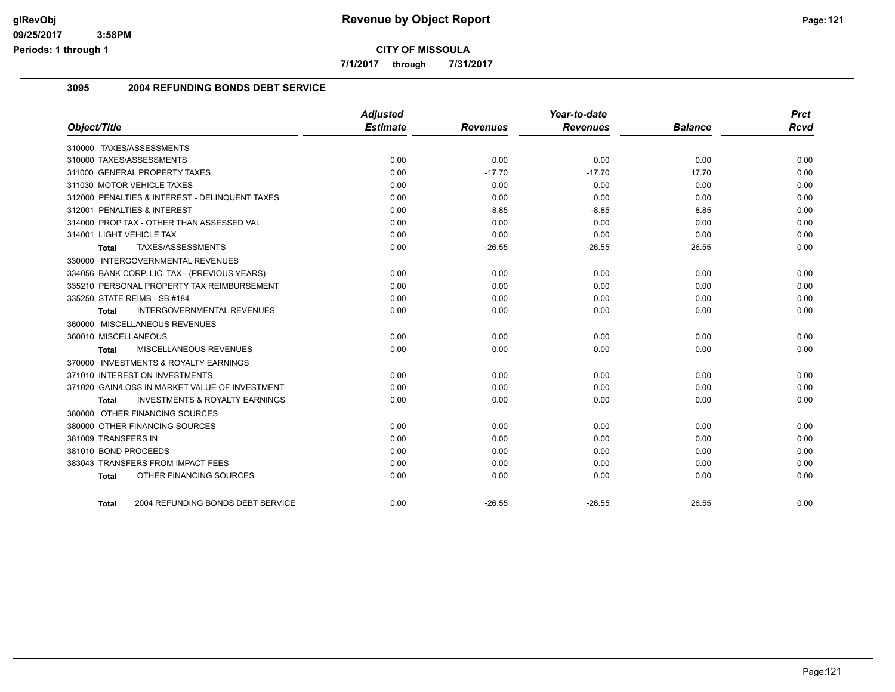**7/1/2017 through 7/31/2017**

#### **3095 2004 REFUNDING BONDS DEBT SERVICE**

| Object/Title                                              | <b>Adjusted</b><br><b>Estimate</b> | <b>Revenues</b> | Year-to-date<br><b>Revenues</b> | <b>Balance</b> | <b>Prct</b><br><b>Rcvd</b> |
|-----------------------------------------------------------|------------------------------------|-----------------|---------------------------------|----------------|----------------------------|
|                                                           |                                    |                 |                                 |                |                            |
| 310000 TAXES/ASSESSMENTS                                  |                                    |                 |                                 |                |                            |
| 310000 TAXES/ASSESSMENTS                                  | 0.00                               | 0.00            | 0.00                            | 0.00           | 0.00                       |
| 311000 GENERAL PROPERTY TAXES                             | 0.00                               | $-17.70$        | $-17.70$                        | 17.70          | 0.00                       |
| 311030 MOTOR VEHICLE TAXES                                | 0.00                               | 0.00            | 0.00                            | 0.00           | 0.00                       |
| 312000 PENALTIES & INTEREST - DELINQUENT TAXES            | 0.00                               | 0.00            | 0.00                            | 0.00           | 0.00                       |
| 312001 PENALTIES & INTEREST                               | 0.00                               | $-8.85$         | $-8.85$                         | 8.85           | 0.00                       |
| 314000 PROP TAX - OTHER THAN ASSESSED VAL                 | 0.00                               | 0.00            | 0.00                            | 0.00           | 0.00                       |
| 314001 LIGHT VEHICLE TAX                                  | 0.00                               | 0.00            | 0.00                            | 0.00           | 0.00                       |
| TAXES/ASSESSMENTS<br><b>Total</b>                         | 0.00                               | $-26.55$        | $-26.55$                        | 26.55          | 0.00                       |
| 330000 INTERGOVERNMENTAL REVENUES                         |                                    |                 |                                 |                |                            |
| 334056 BANK CORP. LIC. TAX - (PREVIOUS YEARS)             | 0.00                               | 0.00            | 0.00                            | 0.00           | 0.00                       |
| 335210 PERSONAL PROPERTY TAX REIMBURSEMENT                | 0.00                               | 0.00            | 0.00                            | 0.00           | 0.00                       |
| 335250 STATE REIMB - SB #184                              | 0.00                               | 0.00            | 0.00                            | 0.00           | 0.00                       |
| INTERGOVERNMENTAL REVENUES<br><b>Total</b>                | 0.00                               | 0.00            | 0.00                            | 0.00           | 0.00                       |
| 360000 MISCELLANEOUS REVENUES                             |                                    |                 |                                 |                |                            |
| 360010 MISCELLANEOUS                                      | 0.00                               | 0.00            | 0.00                            | 0.00           | 0.00                       |
| <b>MISCELLANEOUS REVENUES</b><br>Total                    | 0.00                               | 0.00            | 0.00                            | 0.00           | 0.00                       |
| 370000 INVESTMENTS & ROYALTY EARNINGS                     |                                    |                 |                                 |                |                            |
| 371010 INTEREST ON INVESTMENTS                            | 0.00                               | 0.00            | 0.00                            | 0.00           | 0.00                       |
| 371020 GAIN/LOSS IN MARKET VALUE OF INVESTMENT            | 0.00                               | 0.00            | 0.00                            | 0.00           | 0.00                       |
| <b>INVESTMENTS &amp; ROYALTY EARNINGS</b><br><b>Total</b> | 0.00                               | 0.00            | 0.00                            | 0.00           | 0.00                       |
| 380000 OTHER FINANCING SOURCES                            |                                    |                 |                                 |                |                            |
| 380000 OTHER FINANCING SOURCES                            | 0.00                               | 0.00            | 0.00                            | 0.00           | 0.00                       |
| 381009 TRANSFERS IN                                       | 0.00                               | 0.00            | 0.00                            | 0.00           | 0.00                       |
| 381010 BOND PROCEEDS                                      | 0.00                               | 0.00            | 0.00                            | 0.00           | 0.00                       |
| 383043 TRANSFERS FROM IMPACT FEES                         | 0.00                               | 0.00            | 0.00                            | 0.00           | 0.00                       |
| OTHER FINANCING SOURCES<br><b>Total</b>                   | 0.00                               | 0.00            | 0.00                            | 0.00           | 0.00                       |
|                                                           |                                    |                 |                                 |                |                            |
| 2004 REFUNDING BONDS DEBT SERVICE<br><b>Total</b>         | 0.00                               | $-26.55$        | $-26.55$                        | 26.55          | 0.00                       |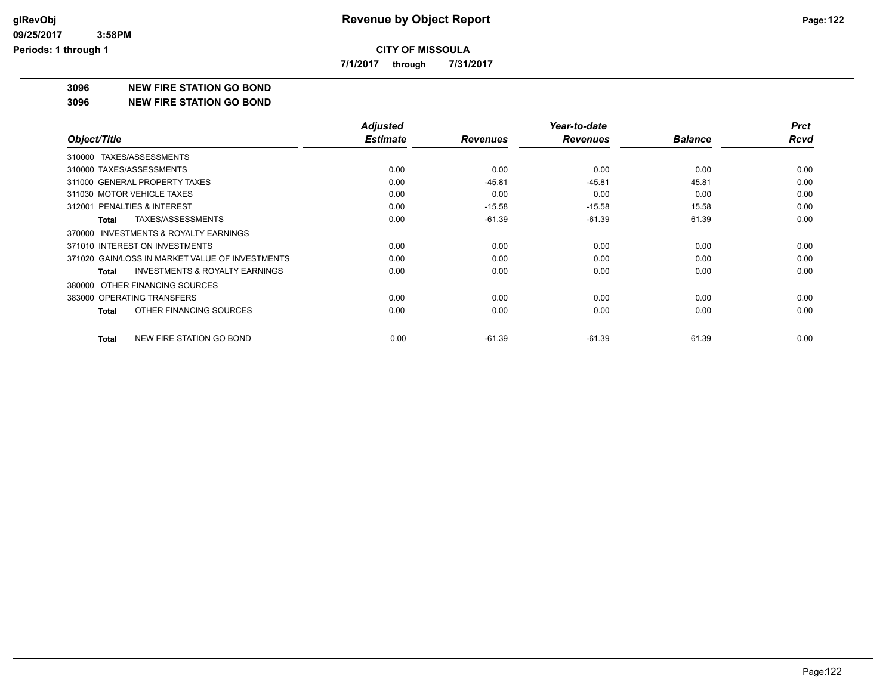**7/1/2017 through 7/31/2017**

#### **3096 NEW FIRE STATION GO BOND**

#### **3096 NEW FIRE STATION GO BOND**

|                                                    | <b>Adjusted</b> |                 | Year-to-date    |                | <b>Prct</b> |
|----------------------------------------------------|-----------------|-----------------|-----------------|----------------|-------------|
| Object/Title                                       | <b>Estimate</b> | <b>Revenues</b> | <b>Revenues</b> | <b>Balance</b> | <b>Rcvd</b> |
| 310000 TAXES/ASSESSMENTS                           |                 |                 |                 |                |             |
| 310000 TAXES/ASSESSMENTS                           | 0.00            | 0.00            | 0.00            | 0.00           | 0.00        |
| 311000 GENERAL PROPERTY TAXES                      | 0.00            | $-45.81$        | $-45.81$        | 45.81          | 0.00        |
| 311030 MOTOR VEHICLE TAXES                         | 0.00            | 0.00            | 0.00            | 0.00           | 0.00        |
| 312001 PENALTIES & INTEREST                        | 0.00            | $-15.58$        | $-15.58$        | 15.58          | 0.00        |
| TAXES/ASSESSMENTS<br>Total                         | 0.00            | $-61.39$        | $-61.39$        | 61.39          | 0.00        |
| 370000 INVESTMENTS & ROYALTY EARNINGS              |                 |                 |                 |                |             |
| 371010 INTEREST ON INVESTMENTS                     | 0.00            | 0.00            | 0.00            | 0.00           | 0.00        |
| 371020 GAIN/LOSS IN MARKET VALUE OF INVESTMENTS    | 0.00            | 0.00            | 0.00            | 0.00           | 0.00        |
| <b>INVESTMENTS &amp; ROYALTY EARNINGS</b><br>Total | 0.00            | 0.00            | 0.00            | 0.00           | 0.00        |
| OTHER FINANCING SOURCES<br>380000                  |                 |                 |                 |                |             |
| 383000 OPERATING TRANSFERS                         | 0.00            | 0.00            | 0.00            | 0.00           | 0.00        |
| OTHER FINANCING SOURCES<br>Total                   | 0.00            | 0.00            | 0.00            | 0.00           | 0.00        |
| NEW FIRE STATION GO BOND<br><b>Total</b>           | 0.00            | $-61.39$        | $-61.39$        | 61.39          | 0.00        |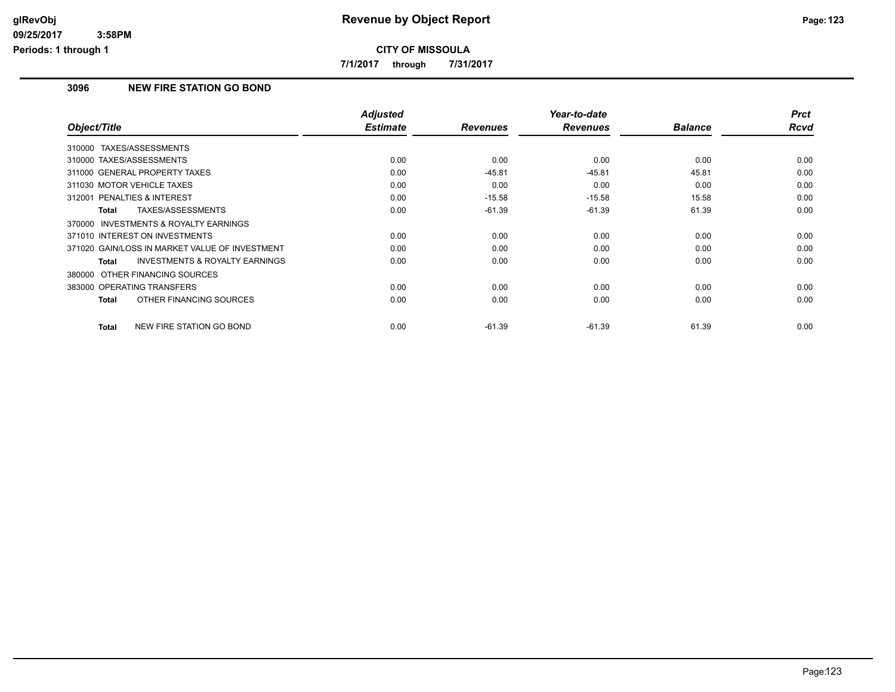**Periods: 1 through 1**

**CITY OF MISSOULA**

**7/1/2017 through 7/31/2017**

#### **3096 NEW FIRE STATION GO BOND**

| Object/Title                                        | <b>Adjusted</b><br><b>Estimate</b> | <b>Revenues</b> | Year-to-date<br><b>Revenues</b> | <b>Balance</b> | <b>Prct</b><br><b>Rcvd</b> |
|-----------------------------------------------------|------------------------------------|-----------------|---------------------------------|----------------|----------------------------|
| TAXES/ASSESSMENTS<br>310000                         |                                    |                 |                                 |                |                            |
| 310000 TAXES/ASSESSMENTS                            | 0.00                               | 0.00            | 0.00                            | 0.00           | 0.00                       |
| 311000 GENERAL PROPERTY TAXES                       | 0.00                               | $-45.81$        | $-45.81$                        | 45.81          | 0.00                       |
| 311030 MOTOR VEHICLE TAXES                          | 0.00                               | 0.00            | 0.00                            | 0.00           | 0.00                       |
| <b>PENALTIES &amp; INTEREST</b><br>312001           | 0.00                               | $-15.58$        | $-15.58$                        | 15.58          | 0.00                       |
| TAXES/ASSESSMENTS<br>Total                          | 0.00                               | $-61.39$        | $-61.39$                        | 61.39          | 0.00                       |
| <b>INVESTMENTS &amp; ROYALTY EARNINGS</b><br>370000 |                                    |                 |                                 |                |                            |
| 371010 INTEREST ON INVESTMENTS                      | 0.00                               | 0.00            | 0.00                            | 0.00           | 0.00                       |
| 371020 GAIN/LOSS IN MARKET VALUE OF INVESTMENT      | 0.00                               | 0.00            | 0.00                            | 0.00           | 0.00                       |
| <b>INVESTMENTS &amp; ROYALTY EARNINGS</b><br>Total  | 0.00                               | 0.00            | 0.00                            | 0.00           | 0.00                       |
| 380000 OTHER FINANCING SOURCES                      |                                    |                 |                                 |                |                            |
| 383000 OPERATING TRANSFERS                          | 0.00                               | 0.00            | 0.00                            | 0.00           | 0.00                       |
| OTHER FINANCING SOURCES<br>Total                    | 0.00                               | 0.00            | 0.00                            | 0.00           | 0.00                       |
| NEW FIRE STATION GO BOND<br>Total                   | 0.00                               | $-61.39$        | $-61.39$                        | 61.39          | 0.00                       |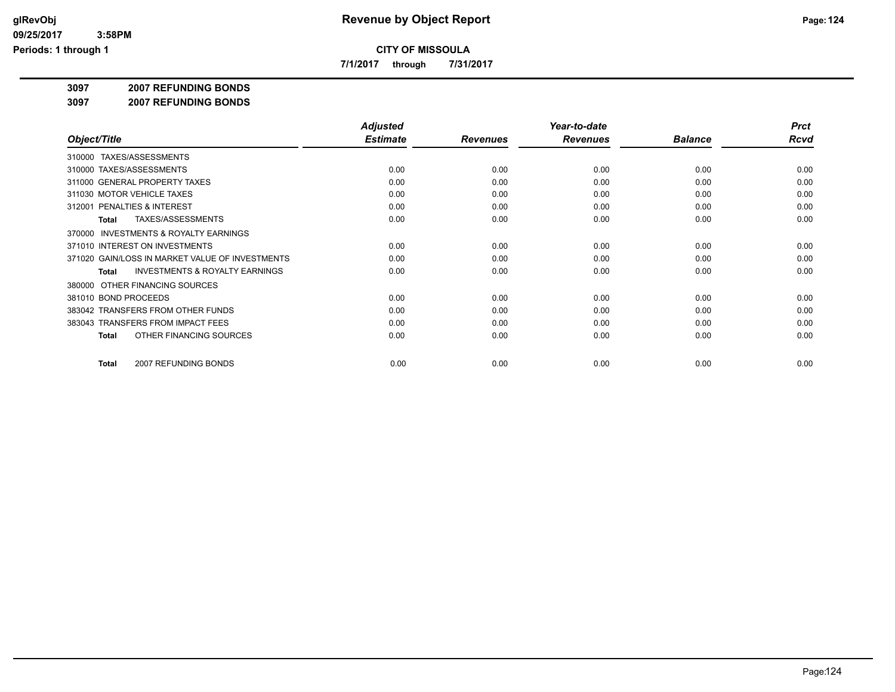**7/1/2017 through 7/31/2017**

**3097 2007 REFUNDING BONDS**

**3097 2007 REFUNDING BONDS**

|                                                     | <b>Adjusted</b> |                 | Year-to-date    |                | <b>Prct</b> |
|-----------------------------------------------------|-----------------|-----------------|-----------------|----------------|-------------|
| Object/Title                                        | <b>Estimate</b> | <b>Revenues</b> | <b>Revenues</b> | <b>Balance</b> | <b>Rcvd</b> |
| 310000 TAXES/ASSESSMENTS                            |                 |                 |                 |                |             |
| 310000 TAXES/ASSESSMENTS                            | 0.00            | 0.00            | 0.00            | 0.00           | 0.00        |
| 311000 GENERAL PROPERTY TAXES                       | 0.00            | 0.00            | 0.00            | 0.00           | 0.00        |
| 311030 MOTOR VEHICLE TAXES                          | 0.00            | 0.00            | 0.00            | 0.00           | 0.00        |
| <b>PENALTIES &amp; INTEREST</b><br>312001           | 0.00            | 0.00            | 0.00            | 0.00           | 0.00        |
| TAXES/ASSESSMENTS<br><b>Total</b>                   | 0.00            | 0.00            | 0.00            | 0.00           | 0.00        |
| <b>INVESTMENTS &amp; ROYALTY EARNINGS</b><br>370000 |                 |                 |                 |                |             |
| 371010 INTEREST ON INVESTMENTS                      | 0.00            | 0.00            | 0.00            | 0.00           | 0.00        |
| 371020 GAIN/LOSS IN MARKET VALUE OF INVESTMENTS     | 0.00            | 0.00            | 0.00            | 0.00           | 0.00        |
| <b>INVESTMENTS &amp; ROYALTY EARNINGS</b><br>Total  | 0.00            | 0.00            | 0.00            | 0.00           | 0.00        |
| OTHER FINANCING SOURCES<br>380000                   |                 |                 |                 |                |             |
| 381010 BOND PROCEEDS                                | 0.00            | 0.00            | 0.00            | 0.00           | 0.00        |
| 383042 TRANSFERS FROM OTHER FUNDS                   | 0.00            | 0.00            | 0.00            | 0.00           | 0.00        |
| 383043 TRANSFERS FROM IMPACT FEES                   | 0.00            | 0.00            | 0.00            | 0.00           | 0.00        |
| OTHER FINANCING SOURCES<br>Total                    | 0.00            | 0.00            | 0.00            | 0.00           | 0.00        |
| 2007 REFUNDING BONDS<br>Total                       | 0.00            | 0.00            | 0.00            | 0.00           | 0.00        |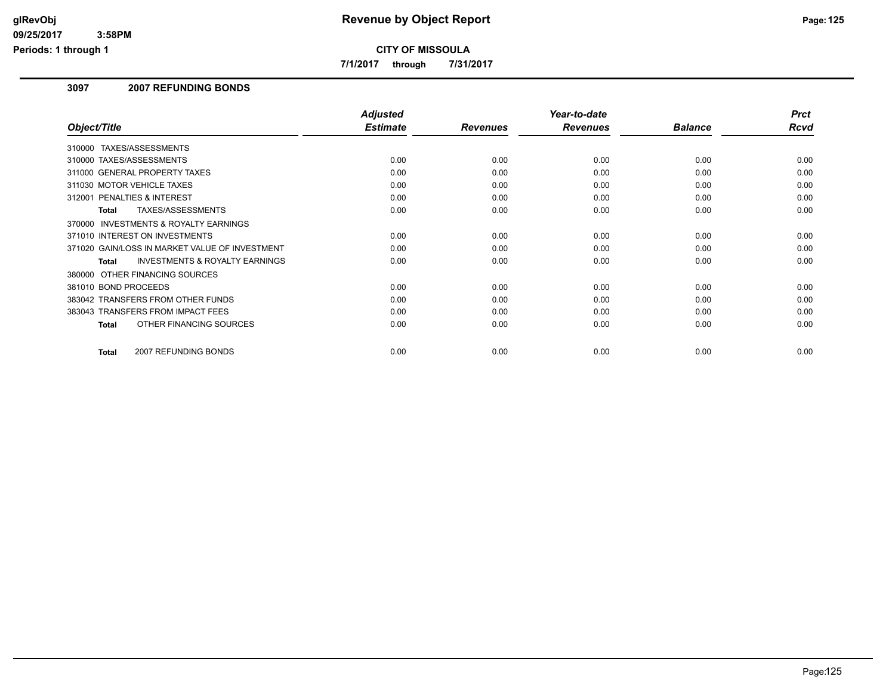**Periods: 1 through 1**

**CITY OF MISSOULA**

**7/1/2017 through 7/31/2017**

#### **3097 2007 REFUNDING BONDS**

|                                                     | <b>Adjusted</b> |                 | Year-to-date    |                | <b>Prct</b> |
|-----------------------------------------------------|-----------------|-----------------|-----------------|----------------|-------------|
| Object/Title                                        | <b>Estimate</b> | <b>Revenues</b> | <b>Revenues</b> | <b>Balance</b> | <b>Rcvd</b> |
| 310000 TAXES/ASSESSMENTS                            |                 |                 |                 |                |             |
| 310000 TAXES/ASSESSMENTS                            | 0.00            | 0.00            | 0.00            | 0.00           | 0.00        |
| 311000 GENERAL PROPERTY TAXES                       | 0.00            | 0.00            | 0.00            | 0.00           | 0.00        |
| 311030 MOTOR VEHICLE TAXES                          | 0.00            | 0.00            | 0.00            | 0.00           | 0.00        |
| 312001 PENALTIES & INTEREST                         | 0.00            | 0.00            | 0.00            | 0.00           | 0.00        |
| TAXES/ASSESSMENTS<br><b>Total</b>                   | 0.00            | 0.00            | 0.00            | 0.00           | 0.00        |
| <b>INVESTMENTS &amp; ROYALTY EARNINGS</b><br>370000 |                 |                 |                 |                |             |
| 371010 INTEREST ON INVESTMENTS                      | 0.00            | 0.00            | 0.00            | 0.00           | 0.00        |
| 371020 GAIN/LOSS IN MARKET VALUE OF INVESTMENT      | 0.00            | 0.00            | 0.00            | 0.00           | 0.00        |
| <b>INVESTMENTS &amp; ROYALTY EARNINGS</b><br>Total  | 0.00            | 0.00            | 0.00            | 0.00           | 0.00        |
| 380000 OTHER FINANCING SOURCES                      |                 |                 |                 |                |             |
| 381010 BOND PROCEEDS                                | 0.00            | 0.00            | 0.00            | 0.00           | 0.00        |
| 383042 TRANSFERS FROM OTHER FUNDS                   | 0.00            | 0.00            | 0.00            | 0.00           | 0.00        |
| 383043 TRANSFERS FROM IMPACT FEES                   | 0.00            | 0.00            | 0.00            | 0.00           | 0.00        |
| OTHER FINANCING SOURCES<br><b>Total</b>             | 0.00            | 0.00            | 0.00            | 0.00           | 0.00        |
| 2007 REFUNDING BONDS<br>Total                       | 0.00            | 0.00            | 0.00            | 0.00           | 0.00        |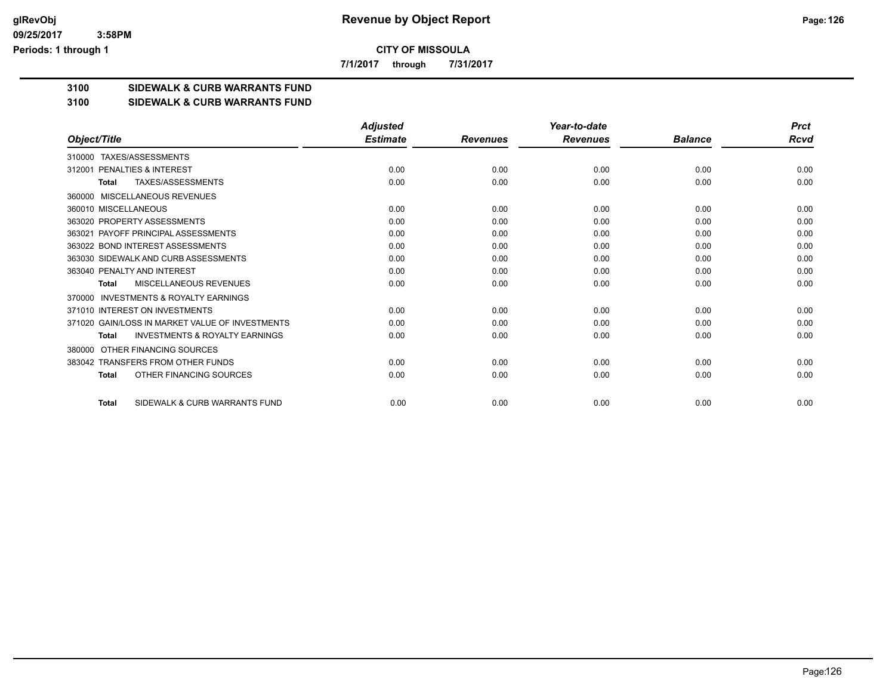**Periods: 1 through 1**

**CITY OF MISSOULA**

**7/1/2017 through 7/31/2017**

#### **3100 SIDEWALK & CURB WARRANTS FUND**

#### **3100 SIDEWALK & CURB WARRANTS FUND**

|                                                           | <b>Adjusted</b> |                 | Year-to-date    |                | <b>Prct</b> |
|-----------------------------------------------------------|-----------------|-----------------|-----------------|----------------|-------------|
| Object/Title                                              | <b>Estimate</b> | <b>Revenues</b> | <b>Revenues</b> | <b>Balance</b> | Rcvd        |
| TAXES/ASSESSMENTS<br>310000                               |                 |                 |                 |                |             |
| <b>PENALTIES &amp; INTEREST</b><br>312001                 | 0.00            | 0.00            | 0.00            | 0.00           | 0.00        |
| <b>TAXES/ASSESSMENTS</b><br><b>Total</b>                  | 0.00            | 0.00            | 0.00            | 0.00           | 0.00        |
| MISCELLANEOUS REVENUES<br>360000                          |                 |                 |                 |                |             |
| 360010 MISCELLANEOUS                                      | 0.00            | 0.00            | 0.00            | 0.00           | 0.00        |
| 363020 PROPERTY ASSESSMENTS                               | 0.00            | 0.00            | 0.00            | 0.00           | 0.00        |
| PAYOFF PRINCIPAL ASSESSMENTS<br>363021                    | 0.00            | 0.00            | 0.00            | 0.00           | 0.00        |
| 363022 BOND INTEREST ASSESSMENTS                          | 0.00            | 0.00            | 0.00            | 0.00           | 0.00        |
| 363030 SIDEWALK AND CURB ASSESSMENTS                      | 0.00            | 0.00            | 0.00            | 0.00           | 0.00        |
| 363040 PENALTY AND INTEREST                               | 0.00            | 0.00            | 0.00            | 0.00           | 0.00        |
| MISCELLANEOUS REVENUES<br>Total                           | 0.00            | 0.00            | 0.00            | 0.00           | 0.00        |
| <b>INVESTMENTS &amp; ROYALTY EARNINGS</b><br>370000       |                 |                 |                 |                |             |
| 371010 INTEREST ON INVESTMENTS                            | 0.00            | 0.00            | 0.00            | 0.00           | 0.00        |
| 371020 GAIN/LOSS IN MARKET VALUE OF INVESTMENTS           | 0.00            | 0.00            | 0.00            | 0.00           | 0.00        |
| <b>INVESTMENTS &amp; ROYALTY EARNINGS</b><br><b>Total</b> | 0.00            | 0.00            | 0.00            | 0.00           | 0.00        |
| OTHER FINANCING SOURCES<br>380000                         |                 |                 |                 |                |             |
| 383042 TRANSFERS FROM OTHER FUNDS                         | 0.00            | 0.00            | 0.00            | 0.00           | 0.00        |
| OTHER FINANCING SOURCES<br>Total                          | 0.00            | 0.00            | 0.00            | 0.00           | 0.00        |
|                                                           |                 |                 |                 |                |             |
| SIDEWALK & CURB WARRANTS FUND<br><b>Total</b>             | 0.00            | 0.00            | 0.00            | 0.00           | 0.00        |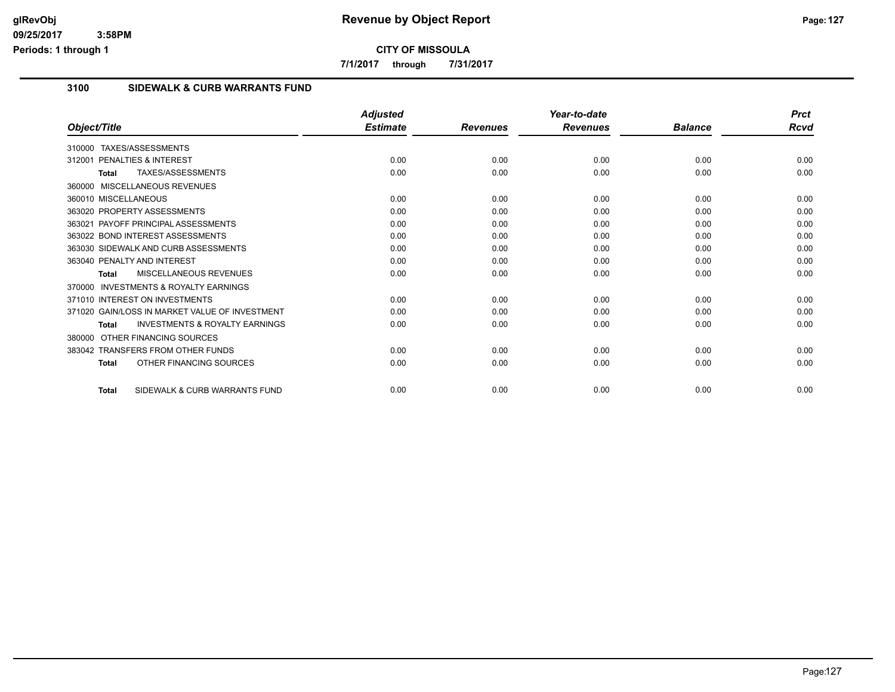**7/1/2017 through 7/31/2017**

#### **3100 SIDEWALK & CURB WARRANTS FUND**

|                                                     | <b>Adjusted</b> |                 | Year-to-date    |                | <b>Prct</b> |
|-----------------------------------------------------|-----------------|-----------------|-----------------|----------------|-------------|
| Object/Title                                        | <b>Estimate</b> | <b>Revenues</b> | <b>Revenues</b> | <b>Balance</b> | <b>Rcvd</b> |
| <b>TAXES/ASSESSMENTS</b><br>310000                  |                 |                 |                 |                |             |
| PENALTIES & INTEREST<br>312001                      | 0.00            | 0.00            | 0.00            | 0.00           | 0.00        |
| TAXES/ASSESSMENTS<br><b>Total</b>                   | 0.00            | 0.00            | 0.00            | 0.00           | 0.00        |
| 360000 MISCELLANEOUS REVENUES                       |                 |                 |                 |                |             |
| 360010 MISCELLANEOUS                                | 0.00            | 0.00            | 0.00            | 0.00           | 0.00        |
| 363020 PROPERTY ASSESSMENTS                         | 0.00            | 0.00            | 0.00            | 0.00           | 0.00        |
| 363021 PAYOFF PRINCIPAL ASSESSMENTS                 | 0.00            | 0.00            | 0.00            | 0.00           | 0.00        |
| 363022 BOND INTEREST ASSESSMENTS                    | 0.00            | 0.00            | 0.00            | 0.00           | 0.00        |
| 363030 SIDEWALK AND CURB ASSESSMENTS                | 0.00            | 0.00            | 0.00            | 0.00           | 0.00        |
| 363040 PENALTY AND INTEREST                         | 0.00            | 0.00            | 0.00            | 0.00           | 0.00        |
| MISCELLANEOUS REVENUES<br><b>Total</b>              | 0.00            | 0.00            | 0.00            | 0.00           | 0.00        |
| <b>INVESTMENTS &amp; ROYALTY EARNINGS</b><br>370000 |                 |                 |                 |                |             |
| 371010 INTEREST ON INVESTMENTS                      | 0.00            | 0.00            | 0.00            | 0.00           | 0.00        |
| 371020 GAIN/LOSS IN MARKET VALUE OF INVESTMENT      | 0.00            | 0.00            | 0.00            | 0.00           | 0.00        |
| <b>INVESTMENTS &amp; ROYALTY EARNINGS</b><br>Total  | 0.00            | 0.00            | 0.00            | 0.00           | 0.00        |
| OTHER FINANCING SOURCES<br>380000                   |                 |                 |                 |                |             |
| 383042 TRANSFERS FROM OTHER FUNDS                   | 0.00            | 0.00            | 0.00            | 0.00           | 0.00        |
| OTHER FINANCING SOURCES<br><b>Total</b>             | 0.00            | 0.00            | 0.00            | 0.00           | 0.00        |
| SIDEWALK & CURB WARRANTS FUND<br><b>Total</b>       | 0.00            | 0.00            | 0.00            | 0.00           | 0.00        |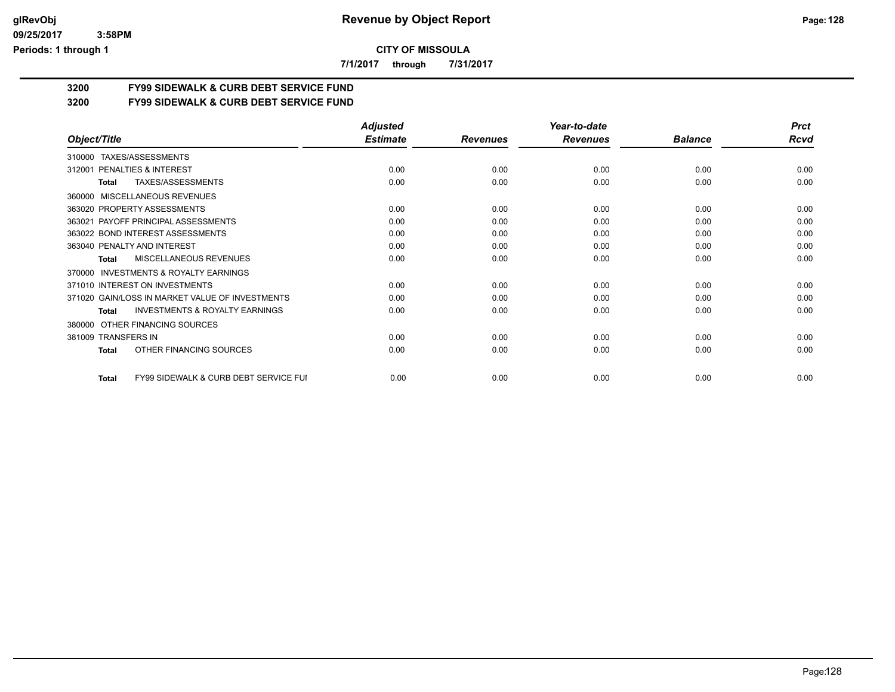**09/25/2017 3:58PM Periods: 1 through 1**

**CITY OF MISSOULA**

**7/1/2017 through 7/31/2017**

# **3200 FY99 SIDEWALK & CURB DEBT SERVICE FUND**

### **3200 FY99 SIDEWALK & CURB DEBT SERVICE FUND**

|                                                           | <b>Adjusted</b> |                 | Year-to-date    |                | <b>Prct</b> |
|-----------------------------------------------------------|-----------------|-----------------|-----------------|----------------|-------------|
| Object/Title                                              | <b>Estimate</b> | <b>Revenues</b> | <b>Revenues</b> | <b>Balance</b> | Rcvd        |
| TAXES/ASSESSMENTS<br>310000                               |                 |                 |                 |                |             |
| PENALTIES & INTEREST<br>312001                            | 0.00            | 0.00            | 0.00            | 0.00           | 0.00        |
| TAXES/ASSESSMENTS<br><b>Total</b>                         | 0.00            | 0.00            | 0.00            | 0.00           | 0.00        |
| MISCELLANEOUS REVENUES<br>360000                          |                 |                 |                 |                |             |
| 363020 PROPERTY ASSESSMENTS                               | 0.00            | 0.00            | 0.00            | 0.00           | 0.00        |
| 363021 PAYOFF PRINCIPAL ASSESSMENTS                       | 0.00            | 0.00            | 0.00            | 0.00           | 0.00        |
| 363022 BOND INTEREST ASSESSMENTS                          | 0.00            | 0.00            | 0.00            | 0.00           | 0.00        |
| 363040 PENALTY AND INTEREST                               | 0.00            | 0.00            | 0.00            | 0.00           | 0.00        |
| <b>MISCELLANEOUS REVENUES</b><br><b>Total</b>             | 0.00            | 0.00            | 0.00            | 0.00           | 0.00        |
| <b>INVESTMENTS &amp; ROYALTY EARNINGS</b><br>370000       |                 |                 |                 |                |             |
| 371010 INTEREST ON INVESTMENTS                            | 0.00            | 0.00            | 0.00            | 0.00           | 0.00        |
| 371020 GAIN/LOSS IN MARKET VALUE OF INVESTMENTS           | 0.00            | 0.00            | 0.00            | 0.00           | 0.00        |
| <b>INVESTMENTS &amp; ROYALTY EARNINGS</b><br><b>Total</b> | 0.00            | 0.00            | 0.00            | 0.00           | 0.00        |
| OTHER FINANCING SOURCES<br>380000                         |                 |                 |                 |                |             |
| 381009 TRANSFERS IN                                       | 0.00            | 0.00            | 0.00            | 0.00           | 0.00        |
| OTHER FINANCING SOURCES<br><b>Total</b>                   | 0.00            | 0.00            | 0.00            | 0.00           | 0.00        |
| <b>FY99 SIDEWALK &amp; CURB DEBT SERVICE FUI</b><br>Total | 0.00            | 0.00            | 0.00            | 0.00           | 0.00        |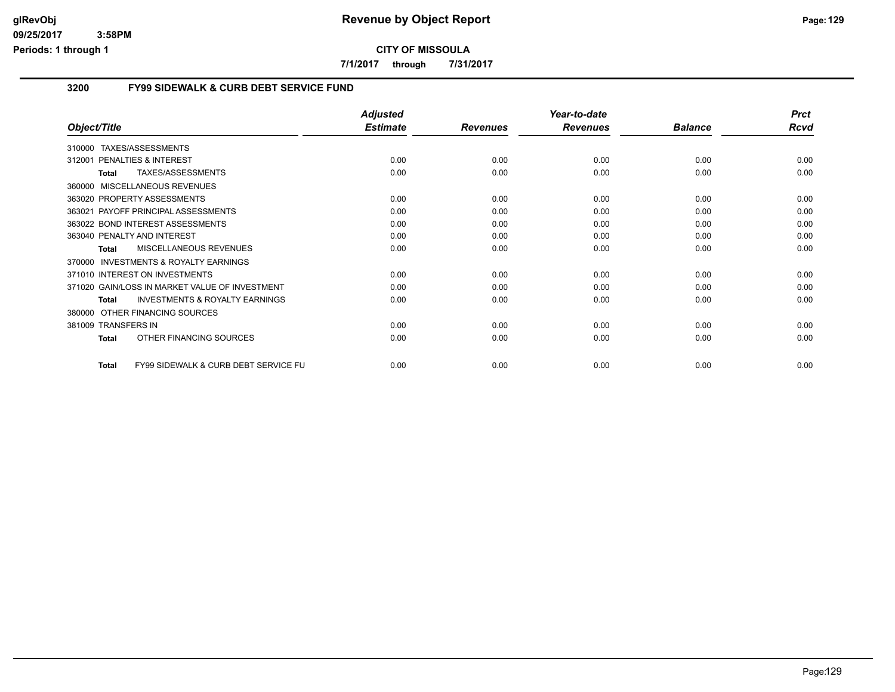**Periods: 1 through 1**

**CITY OF MISSOULA**

**7/1/2017 through 7/31/2017**

#### **3200 FY99 SIDEWALK & CURB DEBT SERVICE FUND**

|                                                           | <b>Adjusted</b> |                 | Year-to-date    |                | <b>Prct</b> |
|-----------------------------------------------------------|-----------------|-----------------|-----------------|----------------|-------------|
| Object/Title                                              | <b>Estimate</b> | <b>Revenues</b> | <b>Revenues</b> | <b>Balance</b> | <b>Rcvd</b> |
| TAXES/ASSESSMENTS<br>310000                               |                 |                 |                 |                |             |
| PENALTIES & INTEREST<br>312001                            | 0.00            | 0.00            | 0.00            | 0.00           | 0.00        |
| TAXES/ASSESSMENTS<br>Total                                | 0.00            | 0.00            | 0.00            | 0.00           | 0.00        |
| MISCELLANEOUS REVENUES<br>360000                          |                 |                 |                 |                |             |
| 363020 PROPERTY ASSESSMENTS                               | 0.00            | 0.00            | 0.00            | 0.00           | 0.00        |
| PAYOFF PRINCIPAL ASSESSMENTS<br>363021                    | 0.00            | 0.00            | 0.00            | 0.00           | 0.00        |
| 363022 BOND INTEREST ASSESSMENTS                          | 0.00            | 0.00            | 0.00            | 0.00           | 0.00        |
| 363040 PENALTY AND INTEREST                               | 0.00            | 0.00            | 0.00            | 0.00           | 0.00        |
| <b>MISCELLANEOUS REVENUES</b><br>Total                    | 0.00            | 0.00            | 0.00            | 0.00           | 0.00        |
| INVESTMENTS & ROYALTY EARNINGS<br>370000                  |                 |                 |                 |                |             |
| 371010 INTEREST ON INVESTMENTS                            | 0.00            | 0.00            | 0.00            | 0.00           | 0.00        |
| 371020 GAIN/LOSS IN MARKET VALUE OF INVESTMENT            | 0.00            | 0.00            | 0.00            | 0.00           | 0.00        |
| <b>INVESTMENTS &amp; ROYALTY EARNINGS</b><br><b>Total</b> | 0.00            | 0.00            | 0.00            | 0.00           | 0.00        |
| OTHER FINANCING SOURCES<br>380000                         |                 |                 |                 |                |             |
| 381009 TRANSFERS IN                                       | 0.00            | 0.00            | 0.00            | 0.00           | 0.00        |
| OTHER FINANCING SOURCES<br>Total                          | 0.00            | 0.00            | 0.00            | 0.00           | 0.00        |
| FY99 SIDEWALK & CURB DEBT SERVICE FU<br><b>Total</b>      | 0.00            | 0.00            | 0.00            | 0.00           | 0.00        |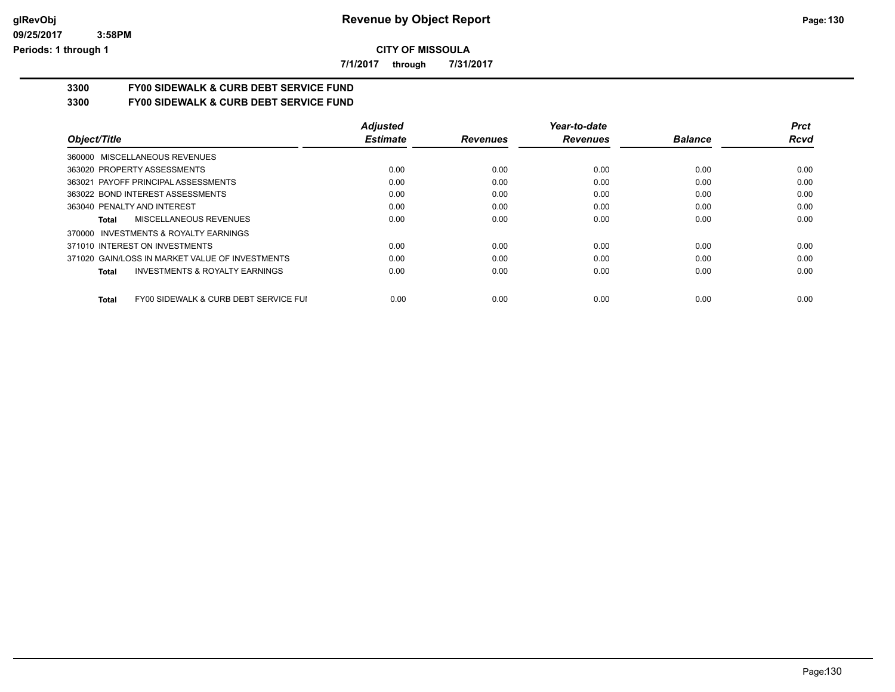#### **09/25/2017 3:58PM**

**Periods: 1 through 1**

**CITY OF MISSOULA**

**7/1/2017 through 7/31/2017**

# **3300 FY00 SIDEWALK & CURB DEBT SERVICE FUND**

# **3300 FY00 SIDEWALK & CURB DEBT SERVICE FUND**

|                                                                   | <b>Adjusted</b> |                 | Year-to-date    |                | <b>Prct</b> |
|-------------------------------------------------------------------|-----------------|-----------------|-----------------|----------------|-------------|
| Object/Title                                                      | <b>Estimate</b> | <b>Revenues</b> | <b>Revenues</b> | <b>Balance</b> | <b>Rcvd</b> |
| 360000 MISCELLANEOUS REVENUES                                     |                 |                 |                 |                |             |
| 363020 PROPERTY ASSESSMENTS                                       | 0.00            | 0.00            | 0.00            | 0.00           | 0.00        |
| 363021 PAYOFF PRINCIPAL ASSESSMENTS                               | 0.00            | 0.00            | 0.00            | 0.00           | 0.00        |
| 363022 BOND INTEREST ASSESSMENTS                                  | 0.00            | 0.00            | 0.00            | 0.00           | 0.00        |
| 363040 PENALTY AND INTEREST                                       | 0.00            | 0.00            | 0.00            | 0.00           | 0.00        |
| MISCELLANEOUS REVENUES<br>Total                                   | 0.00            | 0.00            | 0.00            | 0.00           | 0.00        |
| INVESTMENTS & ROYALTY EARNINGS<br>370000                          |                 |                 |                 |                |             |
| 371010 INTEREST ON INVESTMENTS                                    | 0.00            | 0.00            | 0.00            | 0.00           | 0.00        |
| 371020 GAIN/LOSS IN MARKET VALUE OF INVESTMENTS                   | 0.00            | 0.00            | 0.00            | 0.00           | 0.00        |
| <b>INVESTMENTS &amp; ROYALTY EARNINGS</b><br>Total                | 0.00            | 0.00            | 0.00            | 0.00           | 0.00        |
| <b>FY00 SIDEWALK &amp; CURB DEBT SERVICE FULL</b><br><b>Total</b> | 0.00            | 0.00            | 0.00            | 0.00           | 0.00        |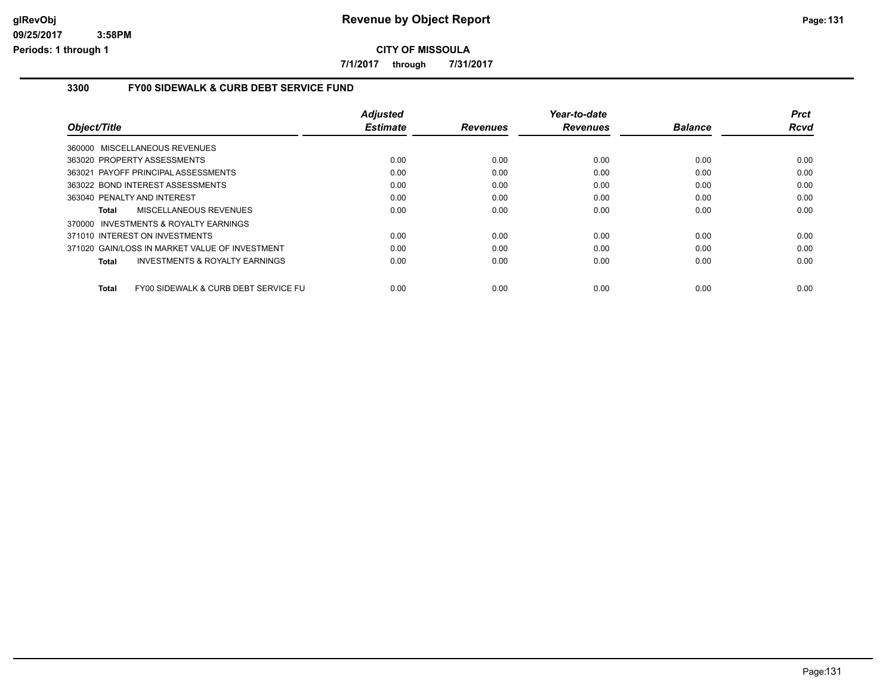**7/1/2017 through 7/31/2017**

#### **3300 FY00 SIDEWALK & CURB DEBT SERVICE FUND**

|                                                      | <b>Adjusted</b> |                 | Year-to-date    |                | <b>Prct</b> |
|------------------------------------------------------|-----------------|-----------------|-----------------|----------------|-------------|
| Object/Title                                         | <b>Estimate</b> | <b>Revenues</b> | <b>Revenues</b> | <b>Balance</b> | <b>Rcvd</b> |
| 360000 MISCELLANEOUS REVENUES                        |                 |                 |                 |                |             |
| 363020 PROPERTY ASSESSMENTS                          | 0.00            | 0.00            | 0.00            | 0.00           | 0.00        |
| 363021 PAYOFF PRINCIPAL ASSESSMENTS                  | 0.00            | 0.00            | 0.00            | 0.00           | 0.00        |
| 363022 BOND INTEREST ASSESSMENTS                     | 0.00            | 0.00            | 0.00            | 0.00           | 0.00        |
| 363040 PENALTY AND INTEREST                          | 0.00            | 0.00            | 0.00            | 0.00           | 0.00        |
| <b>MISCELLANEOUS REVENUES</b><br>Total               | 0.00            | 0.00            | 0.00            | 0.00           | 0.00        |
| 370000 INVESTMENTS & ROYALTY EARNINGS                |                 |                 |                 |                |             |
| 371010 INTEREST ON INVESTMENTS                       | 0.00            | 0.00            | 0.00            | 0.00           | 0.00        |
| 371020 GAIN/LOSS IN MARKET VALUE OF INVESTMENT       | 0.00            | 0.00            | 0.00            | 0.00           | 0.00        |
| <b>INVESTMENTS &amp; ROYALTY EARNINGS</b><br>Total   | 0.00            | 0.00            | 0.00            | 0.00           | 0.00        |
| FY00 SIDEWALK & CURB DEBT SERVICE FU<br><b>Total</b> | 0.00            | 0.00            | 0.00            | 0.00           | 0.00        |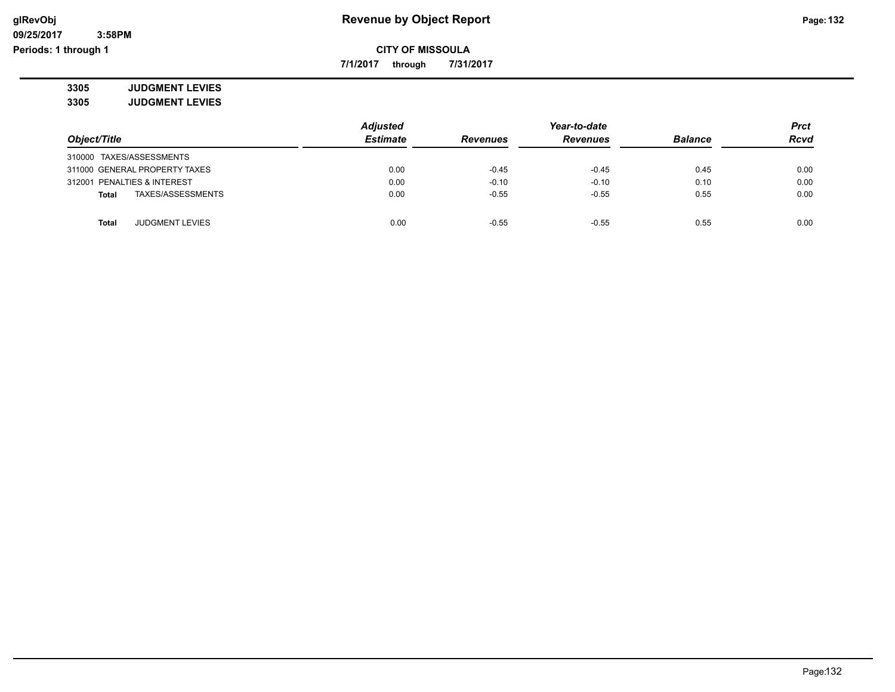**09/25/2017 3:58PM Periods: 1 through 1**

**CITY OF MISSOULA**

**7/1/2017 through 7/31/2017**

**3305 JUDGMENT LEVIES 3305 JUDGMENT LEVIES**

|                                        | <b>Adjusted</b> |                 | Year-to-date    |                |             |  |
|----------------------------------------|-----------------|-----------------|-----------------|----------------|-------------|--|
| Object/Title                           | <b>Estimate</b> | <b>Revenues</b> | <b>Revenues</b> | <b>Balance</b> | <b>Rcvd</b> |  |
| 310000 TAXES/ASSESSMENTS               |                 |                 |                 |                |             |  |
| 311000 GENERAL PROPERTY TAXES          | 0.00            | $-0.45$         | $-0.45$         | 0.45           | 0.00        |  |
| 312001 PENALTIES & INTEREST            | 0.00            | $-0.10$         | $-0.10$         | 0.10           | 0.00        |  |
| TAXES/ASSESSMENTS<br><b>Total</b>      | 0.00            | $-0.55$         | $-0.55$         | 0.55           | 0.00        |  |
| <b>Total</b><br><b>JUDGMENT LEVIES</b> | 0.00            | $-0.55$         | $-0.55$         | 0.55           | 0.00        |  |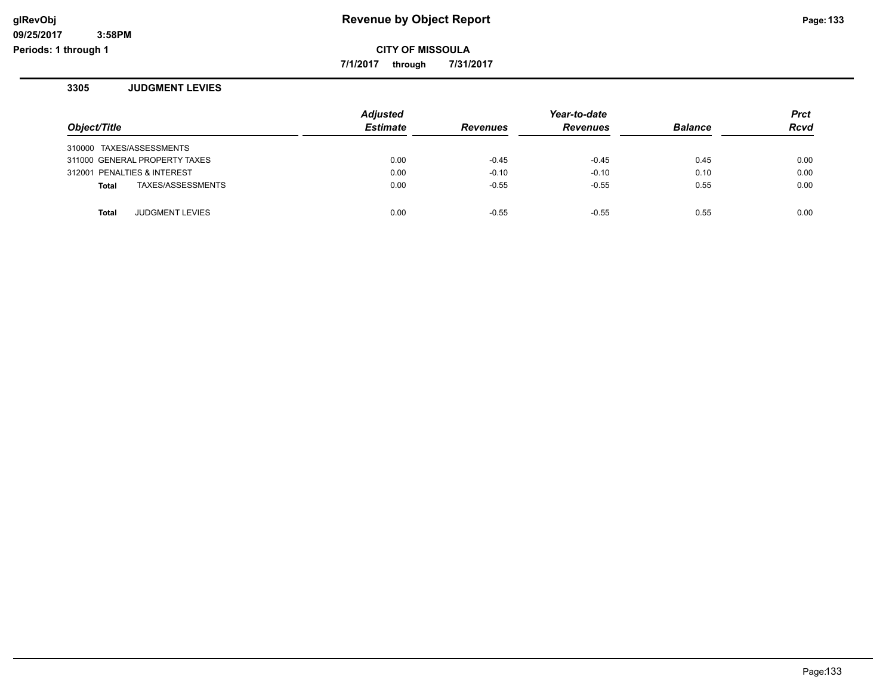**Periods: 1 through 1**

**CITY OF MISSOULA**

**7/1/2017 through 7/31/2017**

# **3305 JUDGMENT LEVIES**

 **3:58PM**

| Object/Title                           | <b>Adjusted</b><br><b>Estimate</b> | <b>Revenues</b> | Year-to-date<br><b>Revenues</b> | <b>Balance</b> | <b>Prct</b><br><b>Rcvd</b> |
|----------------------------------------|------------------------------------|-----------------|---------------------------------|----------------|----------------------------|
| 310000 TAXES/ASSESSMENTS               |                                    |                 |                                 |                |                            |
| 311000 GENERAL PROPERTY TAXES          | 0.00                               | $-0.45$         | $-0.45$                         | 0.45           | 0.00                       |
| 312001 PENALTIES & INTEREST            | 0.00                               | $-0.10$         | $-0.10$                         | 0.10           | 0.00                       |
| TAXES/ASSESSMENTS<br><b>Total</b>      | 0.00                               | $-0.55$         | $-0.55$                         | 0.55           | 0.00                       |
|                                        |                                    |                 |                                 |                |                            |
| <b>JUDGMENT LEVIES</b><br><b>Total</b> | 0.00                               | $-0.55$         | $-0.55$                         | 0.55           | 0.00                       |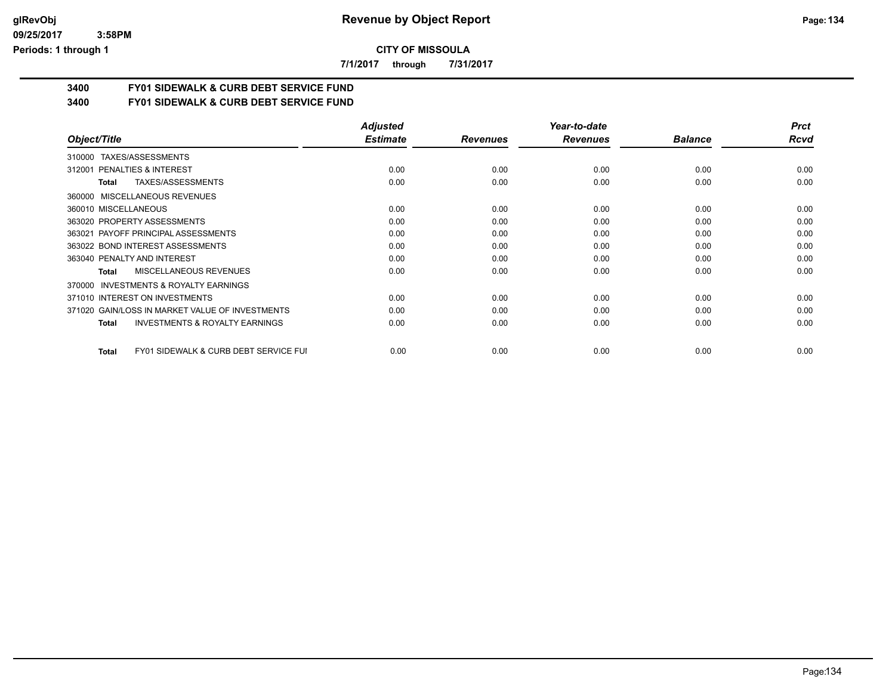**09/25/2017 3:58PM Periods: 1 through 1**

**CITY OF MISSOULA**

**7/1/2017 through 7/31/2017**

# **3400 FY01 SIDEWALK & CURB DEBT SERVICE FUND**

# **3400 FY01 SIDEWALK & CURB DEBT SERVICE FUND**

|                                                           | <b>Adjusted</b> |                 | Year-to-date    |                | <b>Prct</b> |
|-----------------------------------------------------------|-----------------|-----------------|-----------------|----------------|-------------|
| Object/Title                                              | <b>Estimate</b> | <b>Revenues</b> | <b>Revenues</b> | <b>Balance</b> | Rcvd        |
| TAXES/ASSESSMENTS<br>310000                               |                 |                 |                 |                |             |
| 312001 PENALTIES & INTEREST                               | 0.00            | 0.00            | 0.00            | 0.00           | 0.00        |
| TAXES/ASSESSMENTS<br>Total                                | 0.00            | 0.00            | 0.00            | 0.00           | 0.00        |
| MISCELLANEOUS REVENUES<br>360000                          |                 |                 |                 |                |             |
| 360010 MISCELLANEOUS                                      | 0.00            | 0.00            | 0.00            | 0.00           | 0.00        |
| 363020 PROPERTY ASSESSMENTS                               | 0.00            | 0.00            | 0.00            | 0.00           | 0.00        |
| 363021 PAYOFF PRINCIPAL ASSESSMENTS                       | 0.00            | 0.00            | 0.00            | 0.00           | 0.00        |
| 363022 BOND INTEREST ASSESSMENTS                          | 0.00            | 0.00            | 0.00            | 0.00           | 0.00        |
| 363040 PENALTY AND INTEREST                               | 0.00            | 0.00            | 0.00            | 0.00           | 0.00        |
| MISCELLANEOUS REVENUES<br>Total                           | 0.00            | 0.00            | 0.00            | 0.00           | 0.00        |
| <b>INVESTMENTS &amp; ROYALTY EARNINGS</b><br>370000       |                 |                 |                 |                |             |
| 371010 INTEREST ON INVESTMENTS                            | 0.00            | 0.00            | 0.00            | 0.00           | 0.00        |
| 371020 GAIN/LOSS IN MARKET VALUE OF INVESTMENTS           | 0.00            | 0.00            | 0.00            | 0.00           | 0.00        |
| <b>INVESTMENTS &amp; ROYALTY EARNINGS</b><br><b>Total</b> | 0.00            | 0.00            | 0.00            | 0.00           | 0.00        |
| FY01 SIDEWALK & CURB DEBT SERVICE FUI<br><b>Total</b>     | 0.00            | 0.00            | 0.00            | 0.00           | 0.00        |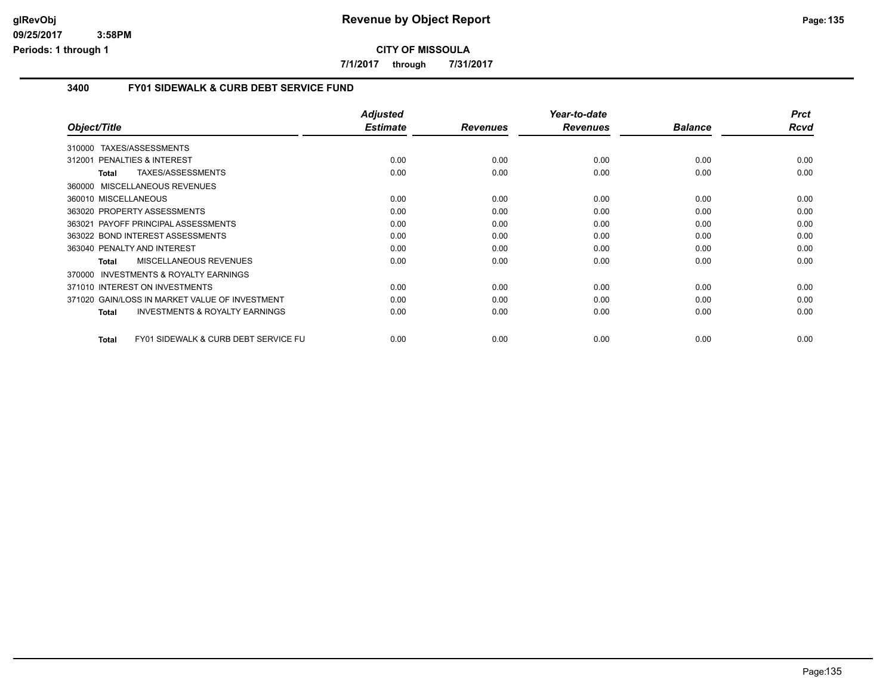**Periods: 1 through 1**

 **3:58PM**

**CITY OF MISSOULA**

**7/1/2017 through 7/31/2017**

#### **3400 FY01 SIDEWALK & CURB DEBT SERVICE FUND**

| Object/Title                                              | <b>Adjusted</b><br><b>Estimate</b> |                 | Year-to-date    | <b>Balance</b> | <b>Prct</b> |
|-----------------------------------------------------------|------------------------------------|-----------------|-----------------|----------------|-------------|
|                                                           |                                    | <b>Revenues</b> | <b>Revenues</b> |                | Rcvd        |
| 310000 TAXES/ASSESSMENTS                                  |                                    |                 |                 |                |             |
| <b>PENALTIES &amp; INTEREST</b><br>312001                 | 0.00                               | 0.00            | 0.00            | 0.00           | 0.00        |
| TAXES/ASSESSMENTS<br><b>Total</b>                         | 0.00                               | 0.00            | 0.00            | 0.00           | 0.00        |
| 360000 MISCELLANEOUS REVENUES                             |                                    |                 |                 |                |             |
| 360010 MISCELLANEOUS                                      | 0.00                               | 0.00            | 0.00            | 0.00           | 0.00        |
| 363020 PROPERTY ASSESSMENTS                               | 0.00                               | 0.00            | 0.00            | 0.00           | 0.00        |
| PAYOFF PRINCIPAL ASSESSMENTS<br>363021                    | 0.00                               | 0.00            | 0.00            | 0.00           | 0.00        |
| 363022 BOND INTEREST ASSESSMENTS                          | 0.00                               | 0.00            | 0.00            | 0.00           | 0.00        |
| 363040 PENALTY AND INTEREST                               | 0.00                               | 0.00            | 0.00            | 0.00           | 0.00        |
| <b>MISCELLANEOUS REVENUES</b><br>Total                    | 0.00                               | 0.00            | 0.00            | 0.00           | 0.00        |
| INVESTMENTS & ROYALTY EARNINGS<br>370000                  |                                    |                 |                 |                |             |
| 371010 INTEREST ON INVESTMENTS                            | 0.00                               | 0.00            | 0.00            | 0.00           | 0.00        |
| 371020 GAIN/LOSS IN MARKET VALUE OF INVESTMENT            | 0.00                               | 0.00            | 0.00            | 0.00           | 0.00        |
| <b>INVESTMENTS &amp; ROYALTY EARNINGS</b><br><b>Total</b> | 0.00                               | 0.00            | 0.00            | 0.00           | 0.00        |
| FY01 SIDEWALK & CURB DEBT SERVICE FU<br><b>Total</b>      | 0.00                               | 0.00            | 0.00            | 0.00           | 0.00        |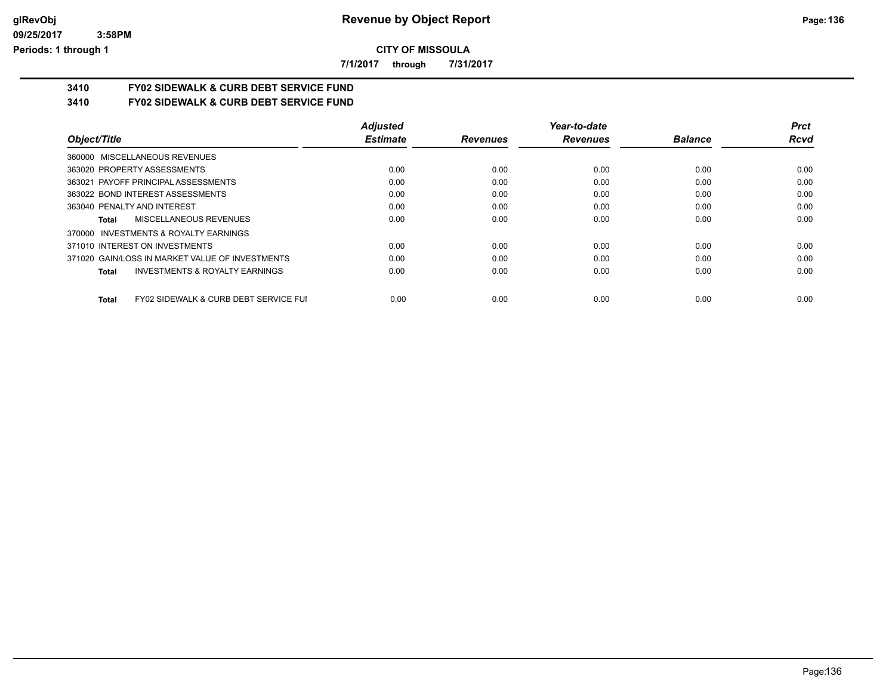# **09/25/2017**

 **3:58PM Periods: 1 through 1**

**CITY OF MISSOULA**

**7/1/2017 through 7/31/2017**

# **3410 FY02 SIDEWALK & CURB DEBT SERVICE FUND**

# **3410 FY02 SIDEWALK & CURB DEBT SERVICE FUND**

|                                                           | <b>Adjusted</b> |                 | Year-to-date    |                | <b>Prct</b> |
|-----------------------------------------------------------|-----------------|-----------------|-----------------|----------------|-------------|
| Object/Title                                              | <b>Estimate</b> | <b>Revenues</b> | <b>Revenues</b> | <b>Balance</b> | <b>Rcvd</b> |
| 360000 MISCELLANEOUS REVENUES                             |                 |                 |                 |                |             |
| 363020 PROPERTY ASSESSMENTS                               | 0.00            | 0.00            | 0.00            | 0.00           | 0.00        |
| 363021 PAYOFF PRINCIPAL ASSESSMENTS                       | 0.00            | 0.00            | 0.00            | 0.00           | 0.00        |
| 363022 BOND INTEREST ASSESSMENTS                          | 0.00            | 0.00            | 0.00            | 0.00           | 0.00        |
| 363040 PENALTY AND INTEREST                               | 0.00            | 0.00            | 0.00            | 0.00           | 0.00        |
| MISCELLANEOUS REVENUES<br>Total                           | 0.00            | 0.00            | 0.00            | 0.00           | 0.00        |
| 370000 INVESTMENTS & ROYALTY EARNINGS                     |                 |                 |                 |                |             |
| 371010 INTEREST ON INVESTMENTS                            | 0.00            | 0.00            | 0.00            | 0.00           | 0.00        |
| 371020 GAIN/LOSS IN MARKET VALUE OF INVESTMENTS           | 0.00            | 0.00            | 0.00            | 0.00           | 0.00        |
| <b>INVESTMENTS &amp; ROYALTY EARNINGS</b><br>Total        | 0.00            | 0.00            | 0.00            | 0.00           | 0.00        |
| <b>FY02 SIDEWALK &amp; CURB DEBT SERVICE FUI</b><br>Total | 0.00            | 0.00            | 0.00            | 0.00           | 0.00        |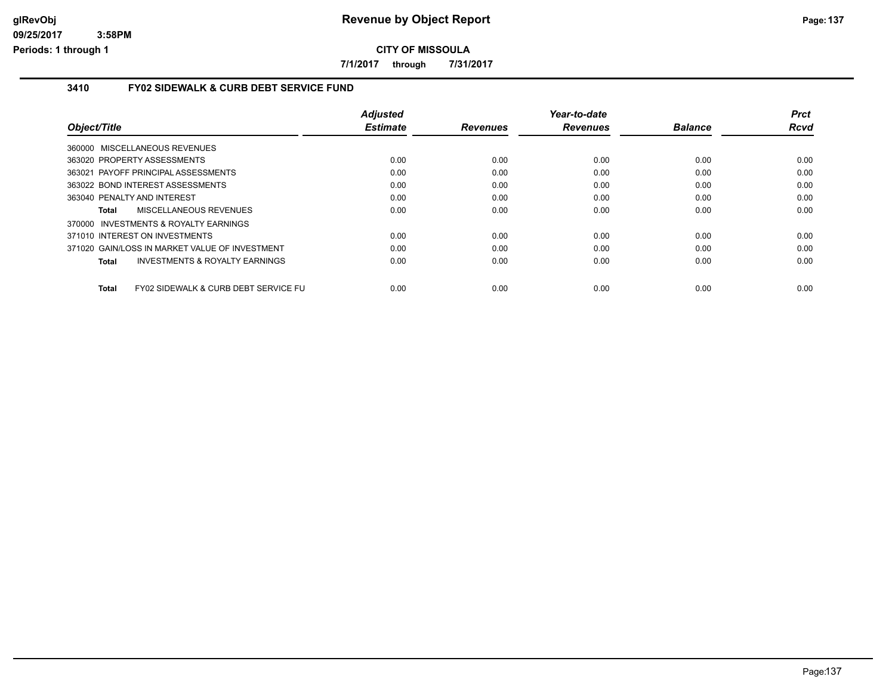**7/1/2017 through 7/31/2017**

#### **3410 FY02 SIDEWALK & CURB DEBT SERVICE FUND**

|                                                      | <b>Adjusted</b> |                 | Year-to-date    |                | <b>Prct</b> |
|------------------------------------------------------|-----------------|-----------------|-----------------|----------------|-------------|
| Object/Title                                         | <b>Estimate</b> | <b>Revenues</b> | <b>Revenues</b> | <b>Balance</b> | <b>Rcvd</b> |
| 360000 MISCELLANEOUS REVENUES                        |                 |                 |                 |                |             |
| 363020 PROPERTY ASSESSMENTS                          | 0.00            | 0.00            | 0.00            | 0.00           | 0.00        |
| 363021 PAYOFF PRINCIPAL ASSESSMENTS                  | 0.00            | 0.00            | 0.00            | 0.00           | 0.00        |
| 363022 BOND INTEREST ASSESSMENTS                     | 0.00            | 0.00            | 0.00            | 0.00           | 0.00        |
| 363040 PENALTY AND INTEREST                          | 0.00            | 0.00            | 0.00            | 0.00           | 0.00        |
| <b>MISCELLANEOUS REVENUES</b><br>Total               | 0.00            | 0.00            | 0.00            | 0.00           | 0.00        |
| 370000 INVESTMENTS & ROYALTY EARNINGS                |                 |                 |                 |                |             |
| 371010 INTEREST ON INVESTMENTS                       | 0.00            | 0.00            | 0.00            | 0.00           | 0.00        |
| 371020 GAIN/LOSS IN MARKET VALUE OF INVESTMENT       | 0.00            | 0.00            | 0.00            | 0.00           | 0.00        |
| <b>INVESTMENTS &amp; ROYALTY EARNINGS</b><br>Total   | 0.00            | 0.00            | 0.00            | 0.00           | 0.00        |
| FY02 SIDEWALK & CURB DEBT SERVICE FU<br><b>Total</b> | 0.00            | 0.00            | 0.00            | 0.00           | 0.00        |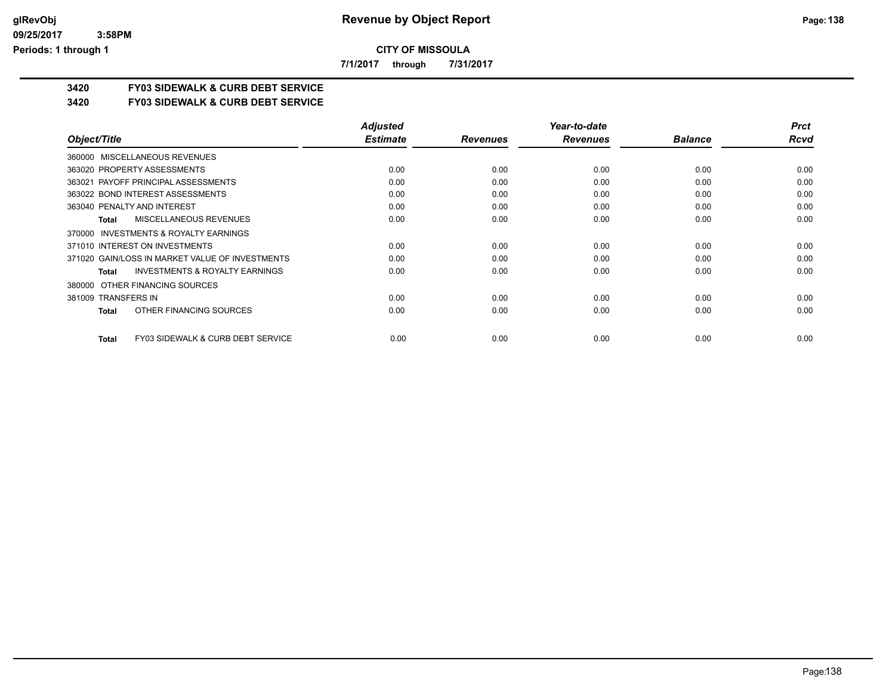#### **09/25/2017 3:58PM Periods: 1 through 1**

**CITY OF MISSOULA**

**7/1/2017 through 7/31/2017**

# **3420 FY03 SIDEWALK & CURB DEBT SERVICE**

#### **3420 FY03 SIDEWALK & CURB DEBT SERVICE**

|                                                     | <b>Adjusted</b> |                 | Year-to-date    |                | <b>Prct</b> |
|-----------------------------------------------------|-----------------|-----------------|-----------------|----------------|-------------|
| Object/Title                                        | <b>Estimate</b> | <b>Revenues</b> | <b>Revenues</b> | <b>Balance</b> | <b>Rcvd</b> |
| MISCELLANEOUS REVENUES<br>360000                    |                 |                 |                 |                |             |
| 363020 PROPERTY ASSESSMENTS                         | 0.00            | 0.00            | 0.00            | 0.00           | 0.00        |
| 363021 PAYOFF PRINCIPAL ASSESSMENTS                 | 0.00            | 0.00            | 0.00            | 0.00           | 0.00        |
| 363022 BOND INTEREST ASSESSMENTS                    | 0.00            | 0.00            | 0.00            | 0.00           | 0.00        |
| 363040 PENALTY AND INTEREST                         | 0.00            | 0.00            | 0.00            | 0.00           | 0.00        |
| MISCELLANEOUS REVENUES<br>Total                     | 0.00            | 0.00            | 0.00            | 0.00           | 0.00        |
| <b>INVESTMENTS &amp; ROYALTY EARNINGS</b><br>370000 |                 |                 |                 |                |             |
| 371010 INTEREST ON INVESTMENTS                      | 0.00            | 0.00            | 0.00            | 0.00           | 0.00        |
| 371020 GAIN/LOSS IN MARKET VALUE OF INVESTMENTS     | 0.00            | 0.00            | 0.00            | 0.00           | 0.00        |
| <b>INVESTMENTS &amp; ROYALTY EARNINGS</b><br>Total  | 0.00            | 0.00            | 0.00            | 0.00           | 0.00        |
| OTHER FINANCING SOURCES<br>380000                   |                 |                 |                 |                |             |
| 381009 TRANSFERS IN                                 | 0.00            | 0.00            | 0.00            | 0.00           | 0.00        |
| OTHER FINANCING SOURCES<br>Total                    | 0.00            | 0.00            | 0.00            | 0.00           | 0.00        |
|                                                     |                 |                 |                 |                |             |
| FY03 SIDEWALK & CURB DEBT SERVICE<br><b>Total</b>   | 0.00            | 0.00            | 0.00            | 0.00           | 0.00        |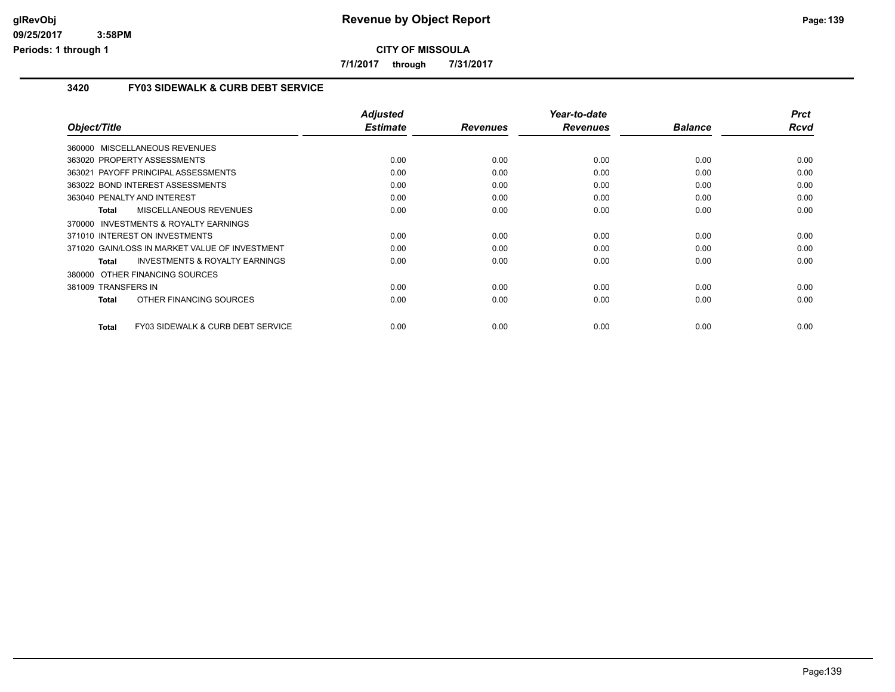**7/1/2017 through 7/31/2017**

#### **3420 FY03 SIDEWALK & CURB DEBT SERVICE**

| Object/Title                                       | <b>Adjusted</b><br><b>Estimate</b> | <b>Revenues</b> | Year-to-date<br><b>Revenues</b> | <b>Balance</b> | <b>Prct</b><br>Rcvd |
|----------------------------------------------------|------------------------------------|-----------------|---------------------------------|----------------|---------------------|
| 360000 MISCELLANEOUS REVENUES                      |                                    |                 |                                 |                |                     |
|                                                    |                                    |                 |                                 |                |                     |
| 363020 PROPERTY ASSESSMENTS                        | 0.00                               | 0.00            | 0.00                            | 0.00           | 0.00                |
| 363021 PAYOFF PRINCIPAL ASSESSMENTS                | 0.00                               | 0.00            | 0.00                            | 0.00           | 0.00                |
| 363022 BOND INTEREST ASSESSMENTS                   | 0.00                               | 0.00            | 0.00                            | 0.00           | 0.00                |
| 363040 PENALTY AND INTEREST                        | 0.00                               | 0.00            | 0.00                            | 0.00           | 0.00                |
| MISCELLANEOUS REVENUES<br>Total                    | 0.00                               | 0.00            | 0.00                            | 0.00           | 0.00                |
| 370000 INVESTMENTS & ROYALTY EARNINGS              |                                    |                 |                                 |                |                     |
| 371010 INTEREST ON INVESTMENTS                     | 0.00                               | 0.00            | 0.00                            | 0.00           | 0.00                |
| 371020 GAIN/LOSS IN MARKET VALUE OF INVESTMENT     | 0.00                               | 0.00            | 0.00                            | 0.00           | 0.00                |
| <b>INVESTMENTS &amp; ROYALTY EARNINGS</b><br>Total | 0.00                               | 0.00            | 0.00                            | 0.00           | 0.00                |
| 380000 OTHER FINANCING SOURCES                     |                                    |                 |                                 |                |                     |
| 381009 TRANSFERS IN                                | 0.00                               | 0.00            | 0.00                            | 0.00           | 0.00                |
| OTHER FINANCING SOURCES<br>Total                   | 0.00                               | 0.00            | 0.00                            | 0.00           | 0.00                |
| FY03 SIDEWALK & CURB DEBT SERVICE<br>Total         | 0.00                               | 0.00            | 0.00                            | 0.00           | 0.00                |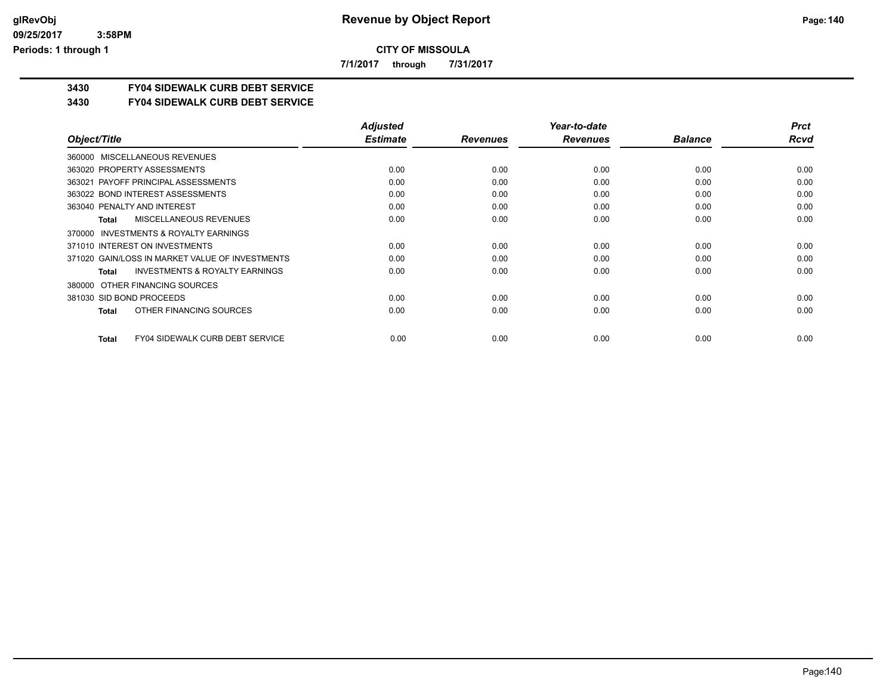**7/1/2017 through 7/31/2017**

### **3430 FY04 SIDEWALK CURB DEBT SERVICE**

#### **3430 FY04 SIDEWALK CURB DEBT SERVICE**

|                                                    | <b>Adjusted</b> |                 | Year-to-date    |                | <b>Prct</b> |
|----------------------------------------------------|-----------------|-----------------|-----------------|----------------|-------------|
| Object/Title                                       | <b>Estimate</b> | <b>Revenues</b> | <b>Revenues</b> | <b>Balance</b> | Rcvd        |
| 360000 MISCELLANEOUS REVENUES                      |                 |                 |                 |                |             |
| 363020 PROPERTY ASSESSMENTS                        | 0.00            | 0.00            | 0.00            | 0.00           | 0.00        |
| 363021 PAYOFF PRINCIPAL ASSESSMENTS                | 0.00            | 0.00            | 0.00            | 0.00           | 0.00        |
| 363022 BOND INTEREST ASSESSMENTS                   | 0.00            | 0.00            | 0.00            | 0.00           | 0.00        |
| 363040 PENALTY AND INTEREST                        | 0.00            | 0.00            | 0.00            | 0.00           | 0.00        |
| MISCELLANEOUS REVENUES<br><b>Total</b>             | 0.00            | 0.00            | 0.00            | 0.00           | 0.00        |
| 370000 INVESTMENTS & ROYALTY EARNINGS              |                 |                 |                 |                |             |
| 371010 INTEREST ON INVESTMENTS                     | 0.00            | 0.00            | 0.00            | 0.00           | 0.00        |
| 371020 GAIN/LOSS IN MARKET VALUE OF INVESTMENTS    | 0.00            | 0.00            | 0.00            | 0.00           | 0.00        |
| <b>INVESTMENTS &amp; ROYALTY EARNINGS</b><br>Total | 0.00            | 0.00            | 0.00            | 0.00           | 0.00        |
| OTHER FINANCING SOURCES<br>380000                  |                 |                 |                 |                |             |
| 381030 SID BOND PROCEEDS                           | 0.00            | 0.00            | 0.00            | 0.00           | 0.00        |
| OTHER FINANCING SOURCES<br><b>Total</b>            | 0.00            | 0.00            | 0.00            | 0.00           | 0.00        |
| FY04 SIDEWALK CURB DEBT SERVICE<br><b>Total</b>    | 0.00            | 0.00            | 0.00            | 0.00           | 0.00        |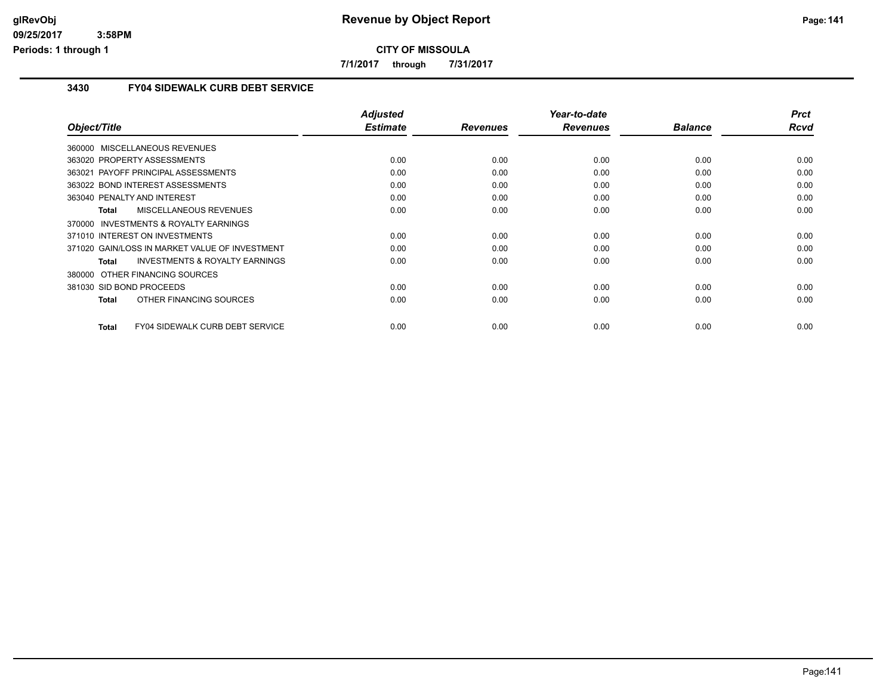**7/1/2017 through 7/31/2017**

#### **3430 FY04 SIDEWALK CURB DEBT SERVICE**

| Object/Title                                              | <b>Adjusted</b><br><b>Estimate</b> | <b>Revenues</b> | Year-to-date<br><b>Revenues</b> | <b>Balance</b> | <b>Prct</b><br>Rcvd |
|-----------------------------------------------------------|------------------------------------|-----------------|---------------------------------|----------------|---------------------|
| 360000 MISCELLANEOUS REVENUES                             |                                    |                 |                                 |                |                     |
| 363020 PROPERTY ASSESSMENTS                               | 0.00                               | 0.00            | 0.00                            | 0.00           | 0.00                |
| 363021 PAYOFF PRINCIPAL ASSESSMENTS                       | 0.00                               | 0.00            | 0.00                            | 0.00           | 0.00                |
| 363022 BOND INTEREST ASSESSMENTS                          | 0.00                               | 0.00            | 0.00                            | 0.00           | 0.00                |
| 363040 PENALTY AND INTEREST                               | 0.00                               | 0.00            | 0.00                            | 0.00           | 0.00                |
| <b>MISCELLANEOUS REVENUES</b><br>Total                    | 0.00                               | 0.00            | 0.00                            | 0.00           | 0.00                |
| <b>INVESTMENTS &amp; ROYALTY EARNINGS</b><br>370000       |                                    |                 |                                 |                |                     |
| 371010 INTEREST ON INVESTMENTS                            | 0.00                               | 0.00            | 0.00                            | 0.00           | 0.00                |
| 371020 GAIN/LOSS IN MARKET VALUE OF INVESTMENT            | 0.00                               | 0.00            | 0.00                            | 0.00           | 0.00                |
| <b>INVESTMENTS &amp; ROYALTY EARNINGS</b><br><b>Total</b> | 0.00                               | 0.00            | 0.00                            | 0.00           | 0.00                |
| 380000 OTHER FINANCING SOURCES                            |                                    |                 |                                 |                |                     |
| 381030 SID BOND PROCEEDS                                  | 0.00                               | 0.00            | 0.00                            | 0.00           | 0.00                |
| OTHER FINANCING SOURCES<br><b>Total</b>                   | 0.00                               | 0.00            | 0.00                            | 0.00           | 0.00                |
|                                                           |                                    |                 |                                 |                |                     |
| FY04 SIDEWALK CURB DEBT SERVICE<br><b>Total</b>           | 0.00                               | 0.00            | 0.00                            | 0.00           | 0.00                |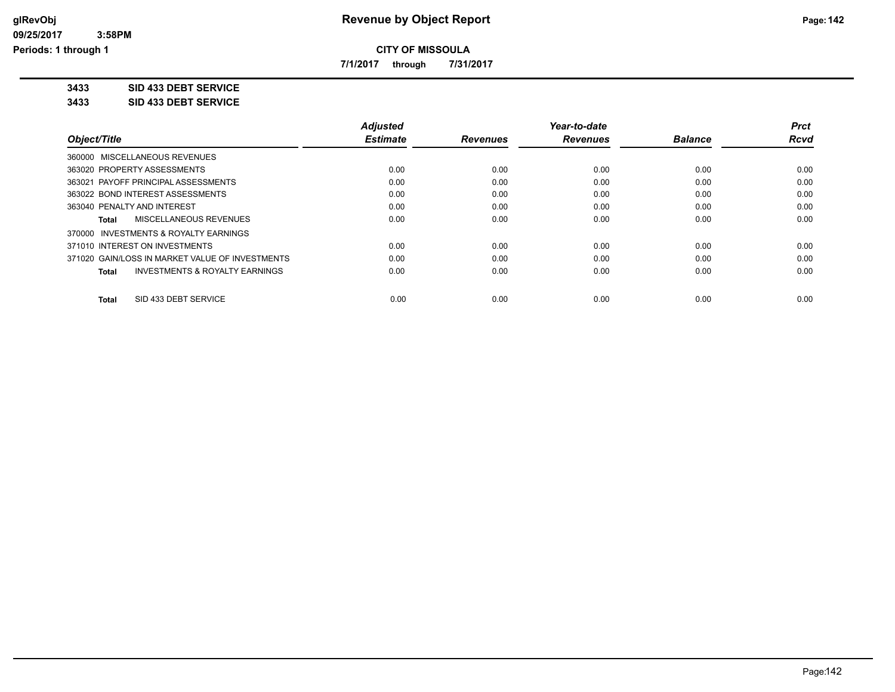**7/1/2017 through 7/31/2017**

**3433 SID 433 DEBT SERVICE**

**3433 SID 433 DEBT SERVICE**

|                                                           | <b>Adjusted</b> |                 | Year-to-date    |                | <b>Prct</b> |
|-----------------------------------------------------------|-----------------|-----------------|-----------------|----------------|-------------|
| Object/Title                                              | <b>Estimate</b> | <b>Revenues</b> | <b>Revenues</b> | <b>Balance</b> | <b>Rcvd</b> |
| 360000 MISCELLANEOUS REVENUES                             |                 |                 |                 |                |             |
| 363020 PROPERTY ASSESSMENTS                               | 0.00            | 0.00            | 0.00            | 0.00           | 0.00        |
| 363021 PAYOFF PRINCIPAL ASSESSMENTS                       | 0.00            | 0.00            | 0.00            | 0.00           | 0.00        |
| 363022 BOND INTEREST ASSESSMENTS                          | 0.00            | 0.00            | 0.00            | 0.00           | 0.00        |
| 363040 PENALTY AND INTEREST                               | 0.00            | 0.00            | 0.00            | 0.00           | 0.00        |
| MISCELLANEOUS REVENUES<br><b>Total</b>                    | 0.00            | 0.00            | 0.00            | 0.00           | 0.00        |
| 370000 INVESTMENTS & ROYALTY EARNINGS                     |                 |                 |                 |                |             |
| 371010 INTEREST ON INVESTMENTS                            | 0.00            | 0.00            | 0.00            | 0.00           | 0.00        |
| 371020 GAIN/LOSS IN MARKET VALUE OF INVESTMENTS           | 0.00            | 0.00            | 0.00            | 0.00           | 0.00        |
| <b>INVESTMENTS &amp; ROYALTY EARNINGS</b><br><b>Total</b> | 0.00            | 0.00            | 0.00            | 0.00           | 0.00        |
| SID 433 DEBT SERVICE<br><b>Total</b>                      | 0.00            | 0.00            | 0.00            | 0.00           | 0.00        |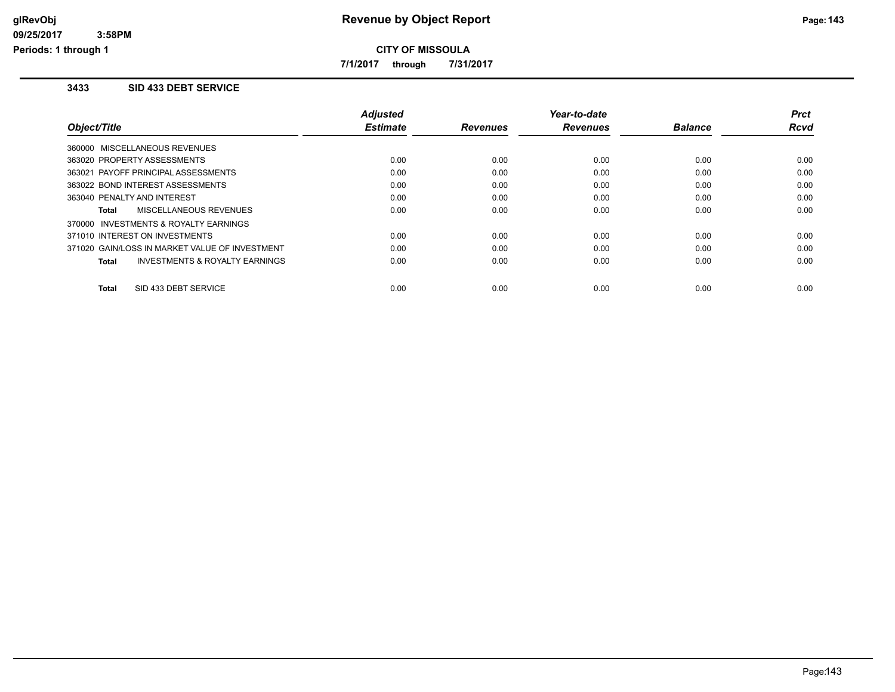**7/1/2017 through 7/31/2017**

#### **3433 SID 433 DEBT SERVICE**

|                                                     | <b>Adjusted</b> |                 | Year-to-date    |                | <b>Prct</b> |
|-----------------------------------------------------|-----------------|-----------------|-----------------|----------------|-------------|
| Object/Title                                        | <b>Estimate</b> | <b>Revenues</b> | <b>Revenues</b> | <b>Balance</b> | <b>Rcvd</b> |
| 360000 MISCELLANEOUS REVENUES                       |                 |                 |                 |                |             |
| 363020 PROPERTY ASSESSMENTS                         | 0.00            | 0.00            | 0.00            | 0.00           | 0.00        |
| 363021 PAYOFF PRINCIPAL ASSESSMENTS                 | 0.00            | 0.00            | 0.00            | 0.00           | 0.00        |
| 363022 BOND INTEREST ASSESSMENTS                    | 0.00            | 0.00            | 0.00            | 0.00           | 0.00        |
| 363040 PENALTY AND INTEREST                         | 0.00            | 0.00            | 0.00            | 0.00           | 0.00        |
| MISCELLANEOUS REVENUES<br>Total                     | 0.00            | 0.00            | 0.00            | 0.00           | 0.00        |
| <b>INVESTMENTS &amp; ROYALTY EARNINGS</b><br>370000 |                 |                 |                 |                |             |
| 371010 INTEREST ON INVESTMENTS                      | 0.00            | 0.00            | 0.00            | 0.00           | 0.00        |
| 371020 GAIN/LOSS IN MARKET VALUE OF INVESTMENT      | 0.00            | 0.00            | 0.00            | 0.00           | 0.00        |
| <b>INVESTMENTS &amp; ROYALTY EARNINGS</b><br>Total  | 0.00            | 0.00            | 0.00            | 0.00           | 0.00        |
|                                                     |                 |                 |                 |                |             |
| SID 433 DEBT SERVICE<br>Total                       | 0.00            | 0.00            | 0.00            | 0.00           | 0.00        |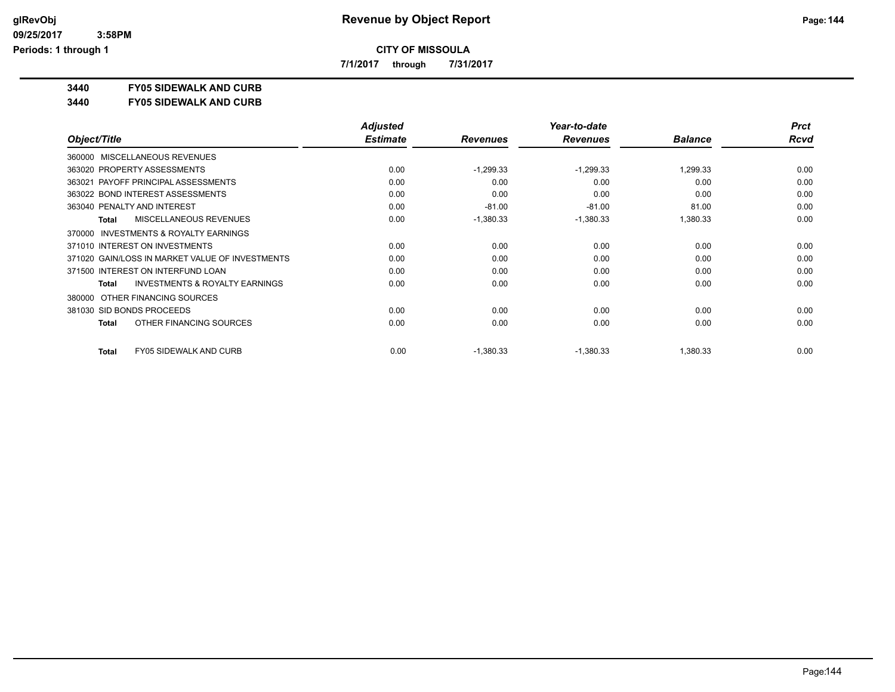**7/1/2017 through 7/31/2017**

**3440 FY05 SIDEWALK AND CURB**

**3440 FY05 SIDEWALK AND CURB**

|                                                           | <b>Adjusted</b> |                 | Year-to-date    |                | <b>Prct</b> |
|-----------------------------------------------------------|-----------------|-----------------|-----------------|----------------|-------------|
| Object/Title                                              | <b>Estimate</b> | <b>Revenues</b> | <b>Revenues</b> | <b>Balance</b> | Rcvd        |
| 360000 MISCELLANEOUS REVENUES                             |                 |                 |                 |                |             |
| 363020 PROPERTY ASSESSMENTS                               | 0.00            | $-1,299.33$     | $-1,299.33$     | 1,299.33       | 0.00        |
| 363021 PAYOFF PRINCIPAL ASSESSMENTS                       | 0.00            | 0.00            | 0.00            | 0.00           | 0.00        |
| 363022 BOND INTEREST ASSESSMENTS                          | 0.00            | 0.00            | 0.00            | 0.00           | 0.00        |
| 363040 PENALTY AND INTEREST                               | 0.00            | $-81.00$        | $-81.00$        | 81.00          | 0.00        |
| MISCELLANEOUS REVENUES<br><b>Total</b>                    | 0.00            | $-1,380.33$     | $-1,380.33$     | 1,380.33       | 0.00        |
| INVESTMENTS & ROYALTY EARNINGS<br>370000                  |                 |                 |                 |                |             |
| 371010 INTEREST ON INVESTMENTS                            | 0.00            | 0.00            | 0.00            | 0.00           | 0.00        |
| 371020 GAIN/LOSS IN MARKET VALUE OF INVESTMENTS           | 0.00            | 0.00            | 0.00            | 0.00           | 0.00        |
| 371500 INTEREST ON INTERFUND LOAN                         | 0.00            | 0.00            | 0.00            | 0.00           | 0.00        |
| <b>INVESTMENTS &amp; ROYALTY EARNINGS</b><br><b>Total</b> | 0.00            | 0.00            | 0.00            | 0.00           | 0.00        |
| OTHER FINANCING SOURCES<br>380000                         |                 |                 |                 |                |             |
| 381030 SID BONDS PROCEEDS                                 | 0.00            | 0.00            | 0.00            | 0.00           | 0.00        |
| OTHER FINANCING SOURCES<br><b>Total</b>                   | 0.00            | 0.00            | 0.00            | 0.00           | 0.00        |
| <b>FY05 SIDEWALK AND CURB</b><br><b>Total</b>             | 0.00            | $-1,380.33$     | $-1,380.33$     | 1,380.33       | 0.00        |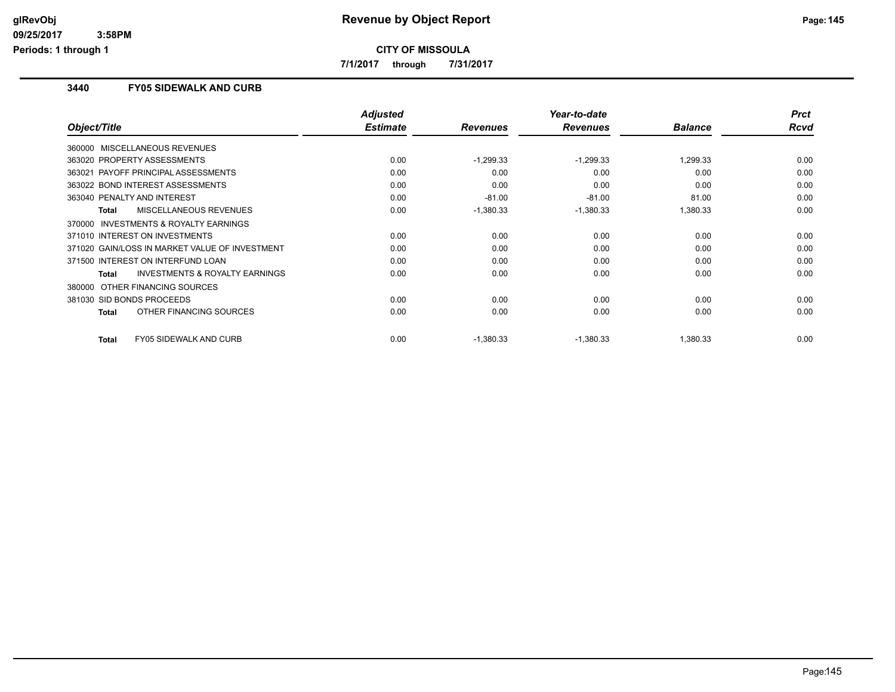**CITY OF MISSOULA**

**7/1/2017 through 7/31/2017**

### **3440 FY05 SIDEWALK AND CURB**

 **3:58PM**

|                                                     | <b>Adjusted</b> |                 | Year-to-date    |                | <b>Prct</b> |
|-----------------------------------------------------|-----------------|-----------------|-----------------|----------------|-------------|
| Object/Title                                        | <b>Estimate</b> | <b>Revenues</b> | <b>Revenues</b> | <b>Balance</b> | Rcvd        |
| 360000 MISCELLANEOUS REVENUES                       |                 |                 |                 |                |             |
| 363020 PROPERTY ASSESSMENTS                         | 0.00            | $-1,299.33$     | $-1,299.33$     | 1,299.33       | 0.00        |
| 363021 PAYOFF PRINCIPAL ASSESSMENTS                 | 0.00            | 0.00            | 0.00            | 0.00           | 0.00        |
| 363022 BOND INTEREST ASSESSMENTS                    | 0.00            | 0.00            | 0.00            | 0.00           | 0.00        |
| 363040 PENALTY AND INTEREST                         | 0.00            | $-81.00$        | $-81.00$        | 81.00          | 0.00        |
| <b>MISCELLANEOUS REVENUES</b><br><b>Total</b>       | 0.00            | $-1,380.33$     | $-1,380.33$     | 1,380.33       | 0.00        |
| <b>INVESTMENTS &amp; ROYALTY EARNINGS</b><br>370000 |                 |                 |                 |                |             |
| 371010 INTEREST ON INVESTMENTS                      | 0.00            | 0.00            | 0.00            | 0.00           | 0.00        |
| 371020 GAIN/LOSS IN MARKET VALUE OF INVESTMENT      | 0.00            | 0.00            | 0.00            | 0.00           | 0.00        |
| 371500 INTEREST ON INTERFUND LOAN                   | 0.00            | 0.00            | 0.00            | 0.00           | 0.00        |
| <b>INVESTMENTS &amp; ROYALTY EARNINGS</b><br>Total  | 0.00            | 0.00            | 0.00            | 0.00           | 0.00        |
| OTHER FINANCING SOURCES<br>380000                   |                 |                 |                 |                |             |
| 381030 SID BONDS PROCEEDS                           | 0.00            | 0.00            | 0.00            | 0.00           | 0.00        |
| OTHER FINANCING SOURCES<br><b>Total</b>             | 0.00            | 0.00            | 0.00            | 0.00           | 0.00        |
| <b>FY05 SIDEWALK AND CURB</b><br><b>Total</b>       | 0.00            | $-1,380.33$     | $-1,380.33$     | 1,380.33       | 0.00        |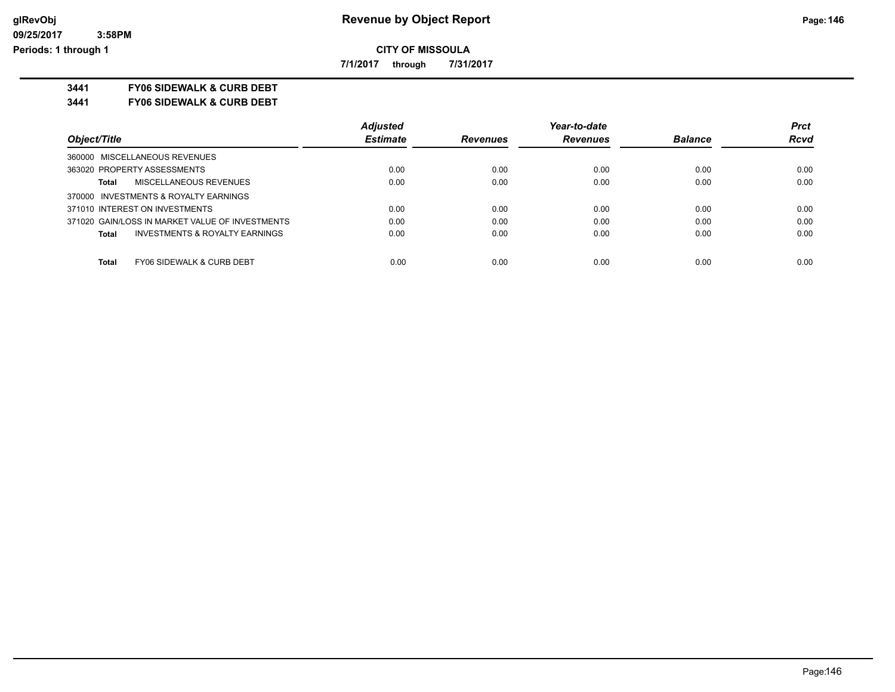**CITY OF MISSOULA**

**7/1/2017 through 7/31/2017**

**3441 FY06 SIDEWALK & CURB DEBT**

**3441 FY06 SIDEWALK & CURB DEBT**

|                                                      | <b>Adjusted</b> |                 | Year-to-date    |                | <b>Prct</b> |
|------------------------------------------------------|-----------------|-----------------|-----------------|----------------|-------------|
| Object/Title                                         | <b>Estimate</b> | <b>Revenues</b> | <b>Revenues</b> | <b>Balance</b> | <b>Rcvd</b> |
| 360000 MISCELLANEOUS REVENUES                        |                 |                 |                 |                |             |
| 363020 PROPERTY ASSESSMENTS                          | 0.00            | 0.00            | 0.00            | 0.00           | 0.00        |
| MISCELLANEOUS REVENUES<br>Total                      | 0.00            | 0.00            | 0.00            | 0.00           | 0.00        |
| 370000 INVESTMENTS & ROYALTY EARNINGS                |                 |                 |                 |                |             |
| 371010 INTEREST ON INVESTMENTS                       | 0.00            | 0.00            | 0.00            | 0.00           | 0.00        |
| 371020 GAIN/LOSS IN MARKET VALUE OF INVESTMENTS      | 0.00            | 0.00            | 0.00            | 0.00           | 0.00        |
| <b>INVESTMENTS &amp; ROYALTY EARNINGS</b><br>Total   | 0.00            | 0.00            | 0.00            | 0.00           | 0.00        |
|                                                      |                 |                 |                 |                |             |
| <b>Total</b><br><b>FY06 SIDEWALK &amp; CURB DEBT</b> | 0.00            | 0.00            | 0.00            | 0.00           | 0.00        |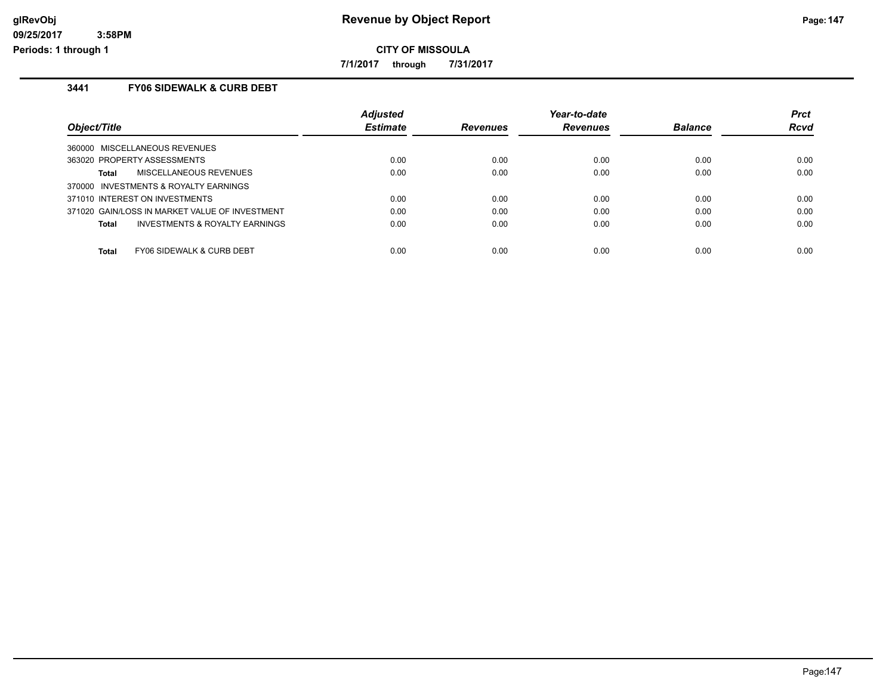**CITY OF MISSOULA**

**7/1/2017 through 7/31/2017**

## **3441 FY06 SIDEWALK & CURB DEBT**

 **3:58PM**

|                                                | <b>Adjusted</b> |                 | Year-to-date    |                | <b>Prct</b> |
|------------------------------------------------|-----------------|-----------------|-----------------|----------------|-------------|
| Object/Title                                   | <b>Estimate</b> | <b>Revenues</b> | <b>Revenues</b> | <b>Balance</b> | <b>Rcvd</b> |
| MISCELLANEOUS REVENUES<br>360000               |                 |                 |                 |                |             |
| 363020 PROPERTY ASSESSMENTS                    | 0.00            | 0.00            | 0.00            | 0.00           | 0.00        |
| <b>MISCELLANEOUS REVENUES</b><br>Total         | 0.00            | 0.00            | 0.00            | 0.00           | 0.00        |
| 370000 INVESTMENTS & ROYALTY EARNINGS          |                 |                 |                 |                |             |
| 371010 INTEREST ON INVESTMENTS                 | 0.00            | 0.00            | 0.00            | 0.00           | 0.00        |
| 371020 GAIN/LOSS IN MARKET VALUE OF INVESTMENT | 0.00            | 0.00            | 0.00            | 0.00           | 0.00        |
| INVESTMENTS & ROYALTY EARNINGS<br>Total        | 0.00            | 0.00            | 0.00            | 0.00           | 0.00        |
| Total<br><b>FY06 SIDEWALK &amp; CURB DEBT</b>  | 0.00            | 0.00            | 0.00            | 0.00           | 0.00        |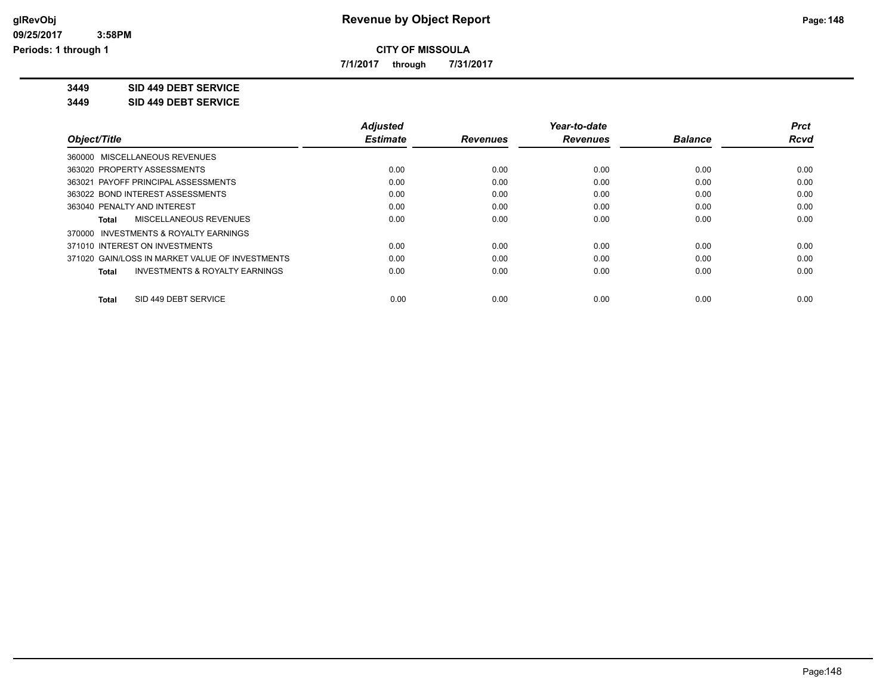**7/1/2017 through 7/31/2017**

**3449 SID 449 DEBT SERVICE**

**3449 SID 449 DEBT SERVICE**

|                                                           | <b>Adjusted</b> |                 | Year-to-date    |                | <b>Prct</b> |
|-----------------------------------------------------------|-----------------|-----------------|-----------------|----------------|-------------|
| Object/Title                                              | <b>Estimate</b> | <b>Revenues</b> | <b>Revenues</b> | <b>Balance</b> | Rcvd        |
| 360000 MISCELLANEOUS REVENUES                             |                 |                 |                 |                |             |
| 363020 PROPERTY ASSESSMENTS                               | 0.00            | 0.00            | 0.00            | 0.00           | 0.00        |
| 363021 PAYOFF PRINCIPAL ASSESSMENTS                       | 0.00            | 0.00            | 0.00            | 0.00           | 0.00        |
| 363022 BOND INTEREST ASSESSMENTS                          | 0.00            | 0.00            | 0.00            | 0.00           | 0.00        |
| 363040 PENALTY AND INTEREST                               | 0.00            | 0.00            | 0.00            | 0.00           | 0.00        |
| MISCELLANEOUS REVENUES<br>Total                           | 0.00            | 0.00            | 0.00            | 0.00           | 0.00        |
| 370000 INVESTMENTS & ROYALTY EARNINGS                     |                 |                 |                 |                |             |
| 371010 INTEREST ON INVESTMENTS                            | 0.00            | 0.00            | 0.00            | 0.00           | 0.00        |
| 371020 GAIN/LOSS IN MARKET VALUE OF INVESTMENTS           | 0.00            | 0.00            | 0.00            | 0.00           | 0.00        |
| <b>INVESTMENTS &amp; ROYALTY EARNINGS</b><br><b>Total</b> | 0.00            | 0.00            | 0.00            | 0.00           | 0.00        |
| SID 449 DEBT SERVICE<br><b>Total</b>                      | 0.00            | 0.00            | 0.00            | 0.00           | 0.00        |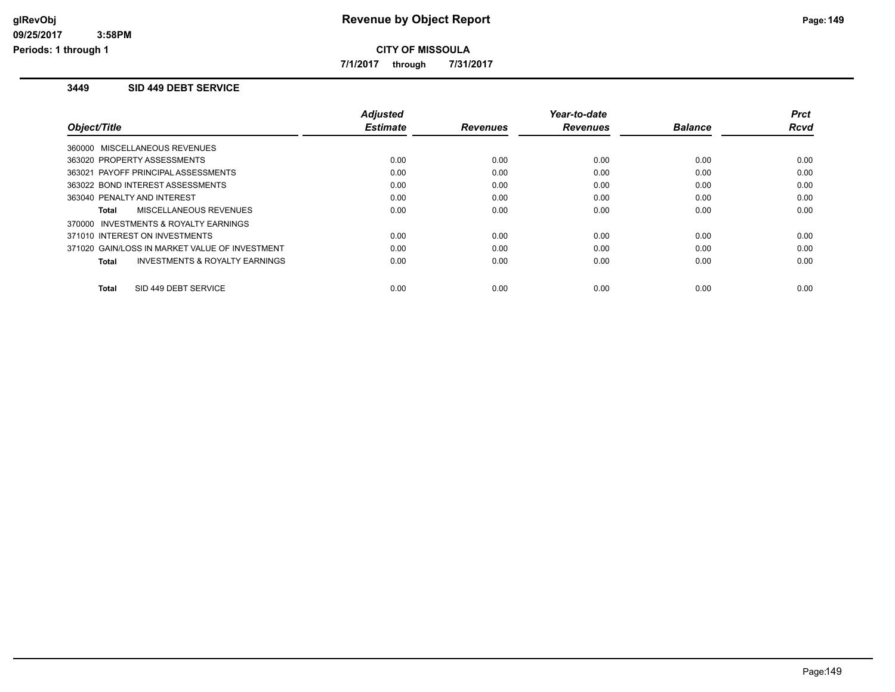**7/1/2017 through 7/31/2017**

#### **3449 SID 449 DEBT SERVICE**

|                                                    | <b>Adjusted</b> |                 | Year-to-date    |                | <b>Prct</b> |
|----------------------------------------------------|-----------------|-----------------|-----------------|----------------|-------------|
| Object/Title                                       | <b>Estimate</b> | <b>Revenues</b> | <b>Revenues</b> | <b>Balance</b> | Rcvd        |
| 360000 MISCELLANEOUS REVENUES                      |                 |                 |                 |                |             |
| 363020 PROPERTY ASSESSMENTS                        | 0.00            | 0.00            | 0.00            | 0.00           | 0.00        |
| 363021 PAYOFF PRINCIPAL ASSESSMENTS                | 0.00            | 0.00            | 0.00            | 0.00           | 0.00        |
| 363022 BOND INTEREST ASSESSMENTS                   | 0.00            | 0.00            | 0.00            | 0.00           | 0.00        |
| 363040 PENALTY AND INTEREST                        | 0.00            | 0.00            | 0.00            | 0.00           | 0.00        |
| MISCELLANEOUS REVENUES<br>Total                    | 0.00            | 0.00            | 0.00            | 0.00           | 0.00        |
| 370000 INVESTMENTS & ROYALTY EARNINGS              |                 |                 |                 |                |             |
| 371010 INTEREST ON INVESTMENTS                     | 0.00            | 0.00            | 0.00            | 0.00           | 0.00        |
| 371020 GAIN/LOSS IN MARKET VALUE OF INVESTMENT     | 0.00            | 0.00            | 0.00            | 0.00           | 0.00        |
| <b>INVESTMENTS &amp; ROYALTY EARNINGS</b><br>Total | 0.00            | 0.00            | 0.00            | 0.00           | 0.00        |
|                                                    |                 |                 |                 |                |             |
| SID 449 DEBT SERVICE<br>Total                      | 0.00            | 0.00            | 0.00            | 0.00           | 0.00        |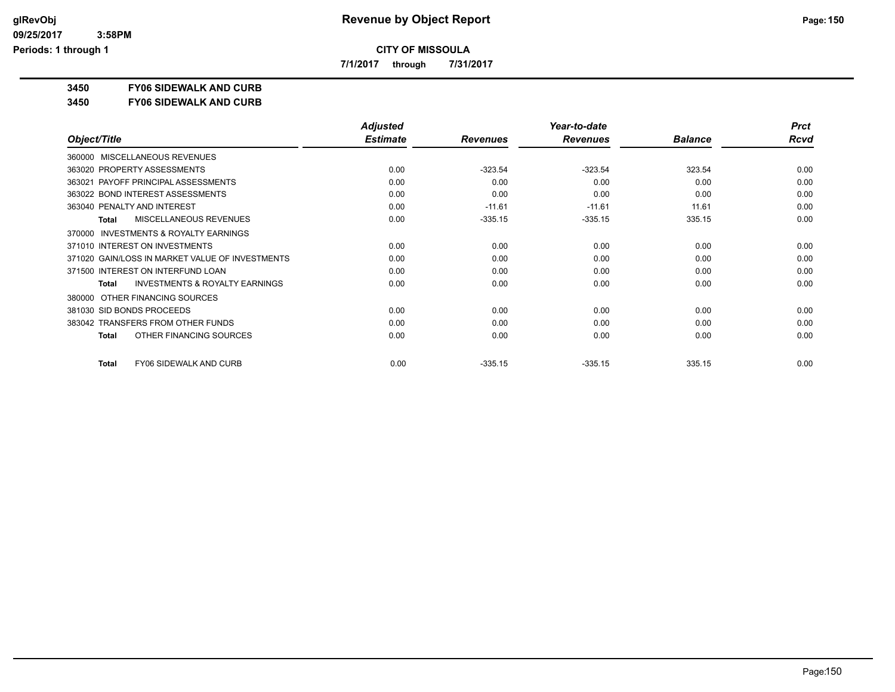**7/1/2017 through 7/31/2017**

**3450 FY06 SIDEWALK AND CURB**

**3450 FY06 SIDEWALK AND CURB**

|                                                           | <b>Adjusted</b> |                 | Year-to-date    |                | <b>Prct</b> |
|-----------------------------------------------------------|-----------------|-----------------|-----------------|----------------|-------------|
| Object/Title                                              | <b>Estimate</b> | <b>Revenues</b> | <b>Revenues</b> | <b>Balance</b> | <b>Rcvd</b> |
| 360000 MISCELLANEOUS REVENUES                             |                 |                 |                 |                |             |
| 363020 PROPERTY ASSESSMENTS                               | 0.00            | $-323.54$       | $-323.54$       | 323.54         | 0.00        |
| 363021 PAYOFF PRINCIPAL ASSESSMENTS                       | 0.00            | 0.00            | 0.00            | 0.00           | 0.00        |
| 363022 BOND INTEREST ASSESSMENTS                          | 0.00            | 0.00            | 0.00            | 0.00           | 0.00        |
| 363040 PENALTY AND INTEREST                               | 0.00            | $-11.61$        | $-11.61$        | 11.61          | 0.00        |
| <b>MISCELLANEOUS REVENUES</b><br><b>Total</b>             | 0.00            | $-335.15$       | $-335.15$       | 335.15         | 0.00        |
| <b>INVESTMENTS &amp; ROYALTY EARNINGS</b><br>370000       |                 |                 |                 |                |             |
| 371010 INTEREST ON INVESTMENTS                            | 0.00            | 0.00            | 0.00            | 0.00           | 0.00        |
| 371020 GAIN/LOSS IN MARKET VALUE OF INVESTMENTS           | 0.00            | 0.00            | 0.00            | 0.00           | 0.00        |
| 371500 INTEREST ON INTERFUND LOAN                         | 0.00            | 0.00            | 0.00            | 0.00           | 0.00        |
| <b>INVESTMENTS &amp; ROYALTY EARNINGS</b><br><b>Total</b> | 0.00            | 0.00            | 0.00            | 0.00           | 0.00        |
| OTHER FINANCING SOURCES<br>380000                         |                 |                 |                 |                |             |
| 381030 SID BONDS PROCEEDS                                 | 0.00            | 0.00            | 0.00            | 0.00           | 0.00        |
| 383042 TRANSFERS FROM OTHER FUNDS                         | 0.00            | 0.00            | 0.00            | 0.00           | 0.00        |
| OTHER FINANCING SOURCES<br><b>Total</b>                   | 0.00            | 0.00            | 0.00            | 0.00           | 0.00        |
| <b>FY06 SIDEWALK AND CURB</b><br><b>Total</b>             | 0.00            | $-335.15$       | $-335.15$       | 335.15         | 0.00        |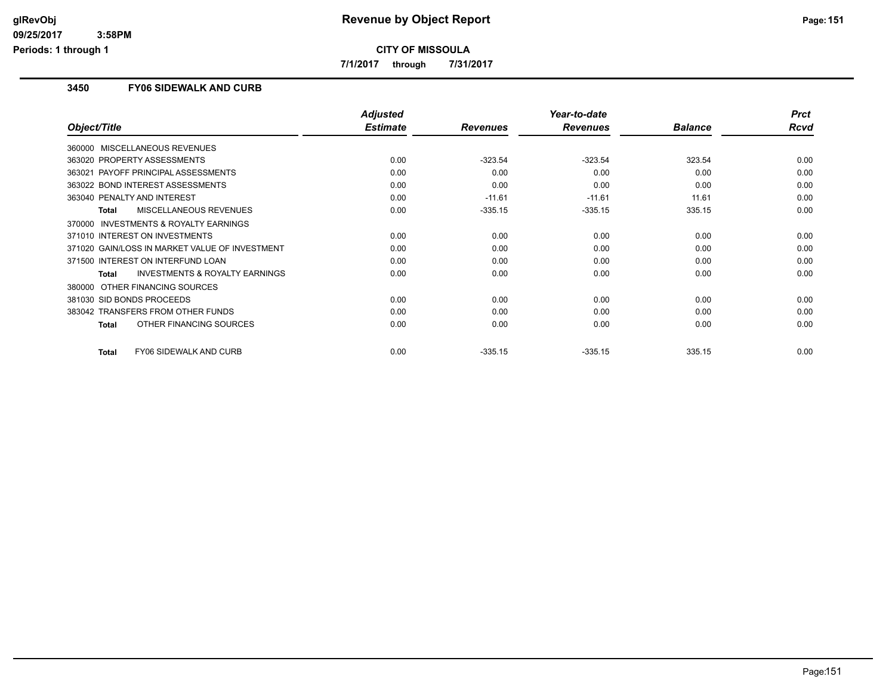**CITY OF MISSOULA**

**7/1/2017 through 7/31/2017**

## **3450 FY06 SIDEWALK AND CURB**

 **3:58PM**

|                                                    | <b>Adjusted</b> |                 | Year-to-date    |                | <b>Prct</b> |
|----------------------------------------------------|-----------------|-----------------|-----------------|----------------|-------------|
| Object/Title                                       | <b>Estimate</b> | <b>Revenues</b> | <b>Revenues</b> | <b>Balance</b> | <b>Rcvd</b> |
| 360000 MISCELLANEOUS REVENUES                      |                 |                 |                 |                |             |
| 363020 PROPERTY ASSESSMENTS                        | 0.00            | $-323.54$       | $-323.54$       | 323.54         | 0.00        |
| PAYOFF PRINCIPAL ASSESSMENTS<br>363021             | 0.00            | 0.00            | 0.00            | 0.00           | 0.00        |
| 363022 BOND INTEREST ASSESSMENTS                   | 0.00            | 0.00            | 0.00            | 0.00           | 0.00        |
| 363040 PENALTY AND INTEREST                        | 0.00            | $-11.61$        | $-11.61$        | 11.61          | 0.00        |
| <b>MISCELLANEOUS REVENUES</b><br>Total             | 0.00            | $-335.15$       | $-335.15$       | 335.15         | 0.00        |
| 370000 INVESTMENTS & ROYALTY EARNINGS              |                 |                 |                 |                |             |
| 371010 INTEREST ON INVESTMENTS                     | 0.00            | 0.00            | 0.00            | 0.00           | 0.00        |
| 371020 GAIN/LOSS IN MARKET VALUE OF INVESTMENT     | 0.00            | 0.00            | 0.00            | 0.00           | 0.00        |
| 371500 INTEREST ON INTERFUND LOAN                  | 0.00            | 0.00            | 0.00            | 0.00           | 0.00        |
| <b>INVESTMENTS &amp; ROYALTY EARNINGS</b><br>Total | 0.00            | 0.00            | 0.00            | 0.00           | 0.00        |
| 380000 OTHER FINANCING SOURCES                     |                 |                 |                 |                |             |
| 381030 SID BONDS PROCEEDS                          | 0.00            | 0.00            | 0.00            | 0.00           | 0.00        |
| 383042 TRANSFERS FROM OTHER FUNDS                  | 0.00            | 0.00            | 0.00            | 0.00           | 0.00        |
| OTHER FINANCING SOURCES<br><b>Total</b>            | 0.00            | 0.00            | 0.00            | 0.00           | 0.00        |
| FY06 SIDEWALK AND CURB<br><b>Total</b>             | 0.00            | $-335.15$       | $-335.15$       | 335.15         | 0.00        |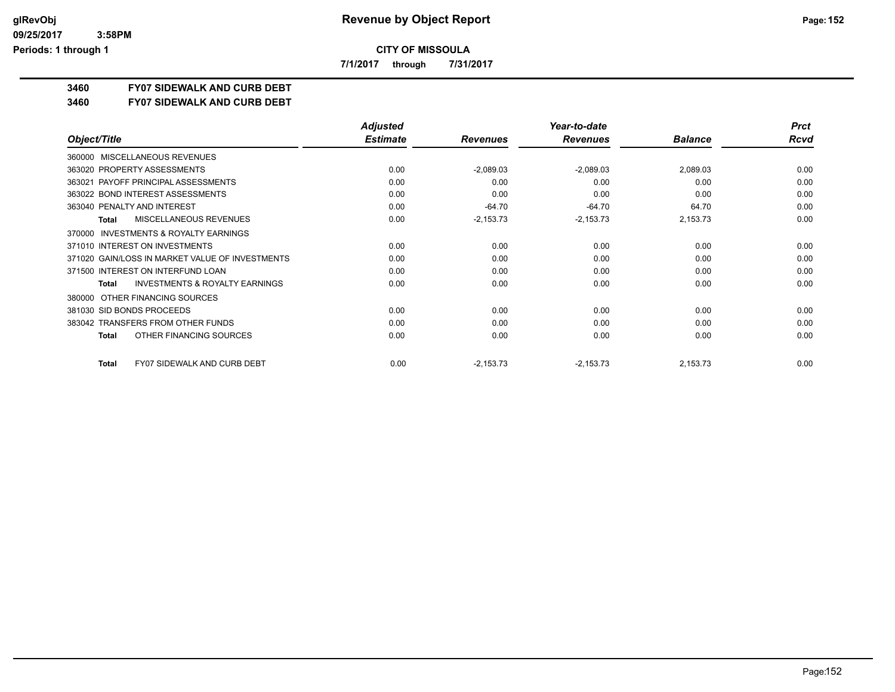**7/1/2017 through 7/31/2017**

# **3460 FY07 SIDEWALK AND CURB DEBT**

#### **3460 FY07 SIDEWALK AND CURB DEBT**

|                                                     | <b>Adjusted</b> |                 | Year-to-date    |                | <b>Prct</b> |
|-----------------------------------------------------|-----------------|-----------------|-----------------|----------------|-------------|
| Object/Title                                        | <b>Estimate</b> | <b>Revenues</b> | <b>Revenues</b> | <b>Balance</b> | Rcvd        |
| MISCELLANEOUS REVENUES<br>360000                    |                 |                 |                 |                |             |
| 363020 PROPERTY ASSESSMENTS                         | 0.00            | $-2,089.03$     | $-2,089.03$     | 2,089.03       | 0.00        |
| PAYOFF PRINCIPAL ASSESSMENTS<br>363021              | 0.00            | 0.00            | 0.00            | 0.00           | 0.00        |
| 363022 BOND INTEREST ASSESSMENTS                    | 0.00            | 0.00            | 0.00            | 0.00           | 0.00        |
| 363040 PENALTY AND INTEREST                         | 0.00            | $-64.70$        | $-64.70$        | 64.70          | 0.00        |
| MISCELLANEOUS REVENUES<br>Total                     | 0.00            | $-2,153.73$     | $-2,153.73$     | 2,153.73       | 0.00        |
| <b>INVESTMENTS &amp; ROYALTY EARNINGS</b><br>370000 |                 |                 |                 |                |             |
| 371010 INTEREST ON INVESTMENTS                      | 0.00            | 0.00            | 0.00            | 0.00           | 0.00        |
| 371020 GAIN/LOSS IN MARKET VALUE OF INVESTMENTS     | 0.00            | 0.00            | 0.00            | 0.00           | 0.00        |
| 371500 INTEREST ON INTERFUND LOAN                   | 0.00            | 0.00            | 0.00            | 0.00           | 0.00        |
| <b>INVESTMENTS &amp; ROYALTY EARNINGS</b><br>Total  | 0.00            | 0.00            | 0.00            | 0.00           | 0.00        |
| OTHER FINANCING SOURCES<br>380000                   |                 |                 |                 |                |             |
| 381030 SID BONDS PROCEEDS                           | 0.00            | 0.00            | 0.00            | 0.00           | 0.00        |
| 383042 TRANSFERS FROM OTHER FUNDS                   | 0.00            | 0.00            | 0.00            | 0.00           | 0.00        |
| OTHER FINANCING SOURCES<br>Total                    | 0.00            | 0.00            | 0.00            | 0.00           | 0.00        |
| <b>FY07 SIDEWALK AND CURB DEBT</b><br>Total         | 0.00            | $-2,153.73$     | $-2,153.73$     | 2,153.73       | 0.00        |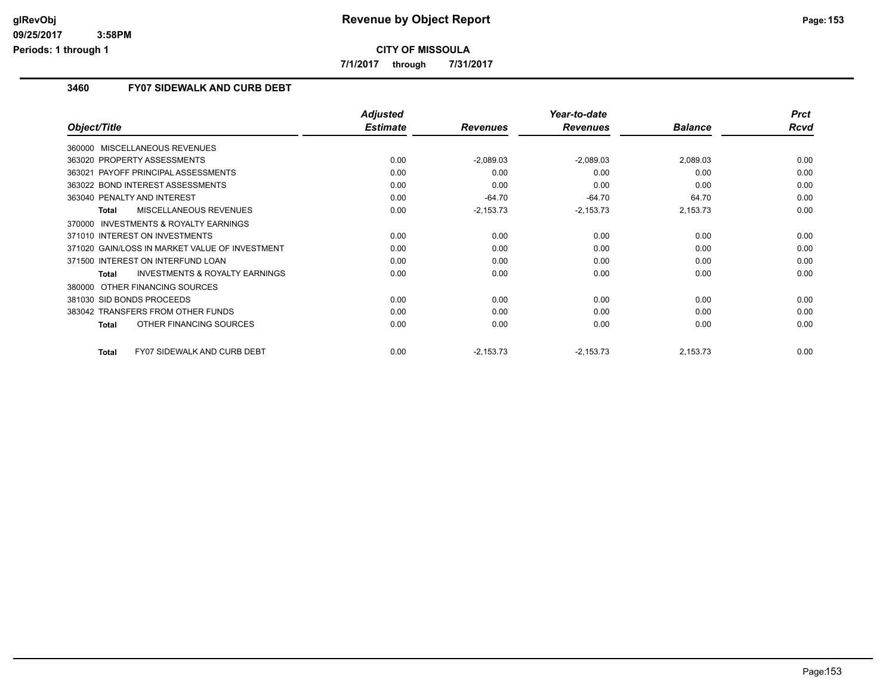**3:58PM**

**CITY OF MISSOULA**

**7/1/2017 through 7/31/2017**

## **3460 FY07 SIDEWALK AND CURB DEBT**

|                                                    | <b>Adjusted</b> |                 | Year-to-date    |                | <b>Prct</b> |
|----------------------------------------------------|-----------------|-----------------|-----------------|----------------|-------------|
| Object/Title                                       | <b>Estimate</b> | <b>Revenues</b> | <b>Revenues</b> | <b>Balance</b> | <b>Rcvd</b> |
| 360000 MISCELLANEOUS REVENUES                      |                 |                 |                 |                |             |
| 363020 PROPERTY ASSESSMENTS                        | 0.00            | $-2,089.03$     | $-2,089.03$     | 2,089.03       | 0.00        |
| PAYOFF PRINCIPAL ASSESSMENTS<br>363021             | 0.00            | 0.00            | 0.00            | 0.00           | 0.00        |
| 363022 BOND INTEREST ASSESSMENTS                   | 0.00            | 0.00            | 0.00            | 0.00           | 0.00        |
| 363040 PENALTY AND INTEREST                        | 0.00            | $-64.70$        | $-64.70$        | 64.70          | 0.00        |
| MISCELLANEOUS REVENUES<br>Total                    | 0.00            | $-2,153.73$     | $-2,153.73$     | 2,153.73       | 0.00        |
| INVESTMENTS & ROYALTY EARNINGS<br>370000           |                 |                 |                 |                |             |
| 371010 INTEREST ON INVESTMENTS                     | 0.00            | 0.00            | 0.00            | 0.00           | 0.00        |
| 371020 GAIN/LOSS IN MARKET VALUE OF INVESTMENT     | 0.00            | 0.00            | 0.00            | 0.00           | 0.00        |
| 371500 INTEREST ON INTERFUND LOAN                  | 0.00            | 0.00            | 0.00            | 0.00           | 0.00        |
| <b>INVESTMENTS &amp; ROYALTY EARNINGS</b><br>Total | 0.00            | 0.00            | 0.00            | 0.00           | 0.00        |
| OTHER FINANCING SOURCES<br>380000                  |                 |                 |                 |                |             |
| 381030 SID BONDS PROCEEDS                          | 0.00            | 0.00            | 0.00            | 0.00           | 0.00        |
| 383042 TRANSFERS FROM OTHER FUNDS                  | 0.00            | 0.00            | 0.00            | 0.00           | 0.00        |
| OTHER FINANCING SOURCES<br>Total                   | 0.00            | 0.00            | 0.00            | 0.00           | 0.00        |
| <b>FY07 SIDEWALK AND CURB DEBT</b><br><b>Total</b> | 0.00            | $-2,153.73$     | $-2,153.73$     | 2,153.73       | 0.00        |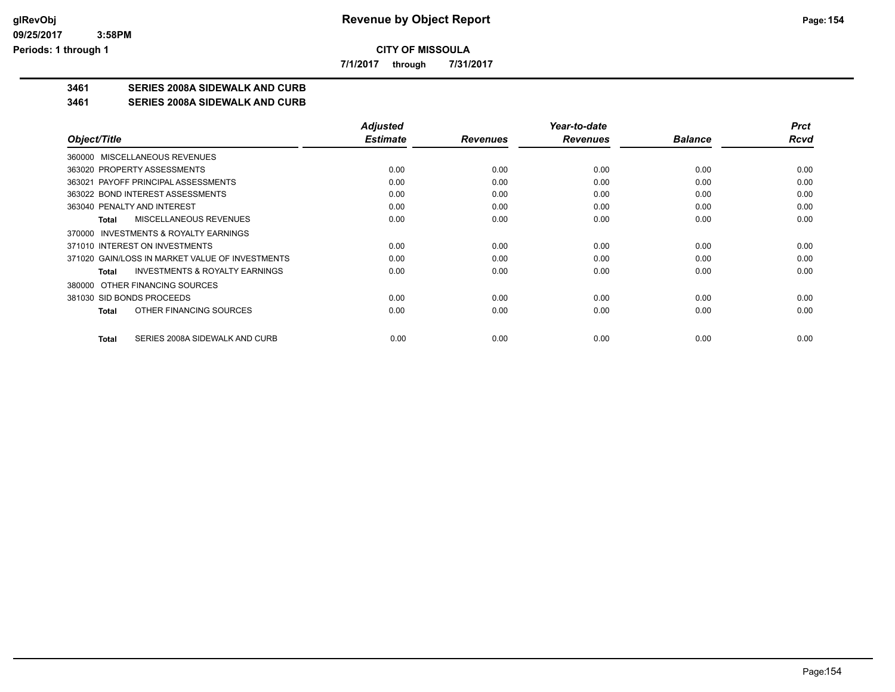**7/1/2017 through 7/31/2017**

# **3461 SERIES 2008A SIDEWALK AND CURB**

### **3461 SERIES 2008A SIDEWALK AND CURB**

|                                                           | <b>Adjusted</b> |                 | Year-to-date    |                | <b>Prct</b> |
|-----------------------------------------------------------|-----------------|-----------------|-----------------|----------------|-------------|
| Object/Title                                              | <b>Estimate</b> | <b>Revenues</b> | <b>Revenues</b> | <b>Balance</b> | Rcvd        |
| 360000 MISCELLANEOUS REVENUES                             |                 |                 |                 |                |             |
| 363020 PROPERTY ASSESSMENTS                               | 0.00            | 0.00            | 0.00            | 0.00           | 0.00        |
| PAYOFF PRINCIPAL ASSESSMENTS<br>363021                    | 0.00            | 0.00            | 0.00            | 0.00           | 0.00        |
| 363022 BOND INTEREST ASSESSMENTS                          | 0.00            | 0.00            | 0.00            | 0.00           | 0.00        |
| 363040 PENALTY AND INTEREST                               | 0.00            | 0.00            | 0.00            | 0.00           | 0.00        |
| MISCELLANEOUS REVENUES<br><b>Total</b>                    | 0.00            | 0.00            | 0.00            | 0.00           | 0.00        |
| 370000 INVESTMENTS & ROYALTY EARNINGS                     |                 |                 |                 |                |             |
| 371010 INTEREST ON INVESTMENTS                            | 0.00            | 0.00            | 0.00            | 0.00           | 0.00        |
| 371020 GAIN/LOSS IN MARKET VALUE OF INVESTMENTS           | 0.00            | 0.00            | 0.00            | 0.00           | 0.00        |
| <b>INVESTMENTS &amp; ROYALTY EARNINGS</b><br><b>Total</b> | 0.00            | 0.00            | 0.00            | 0.00           | 0.00        |
| 380000 OTHER FINANCING SOURCES                            |                 |                 |                 |                |             |
| 381030 SID BONDS PROCEEDS                                 | 0.00            | 0.00            | 0.00            | 0.00           | 0.00        |
| OTHER FINANCING SOURCES<br>Total                          | 0.00            | 0.00            | 0.00            | 0.00           | 0.00        |
|                                                           |                 |                 |                 |                |             |
| SERIES 2008A SIDEWALK AND CURB<br><b>Total</b>            | 0.00            | 0.00            | 0.00            | 0.00           | 0.00        |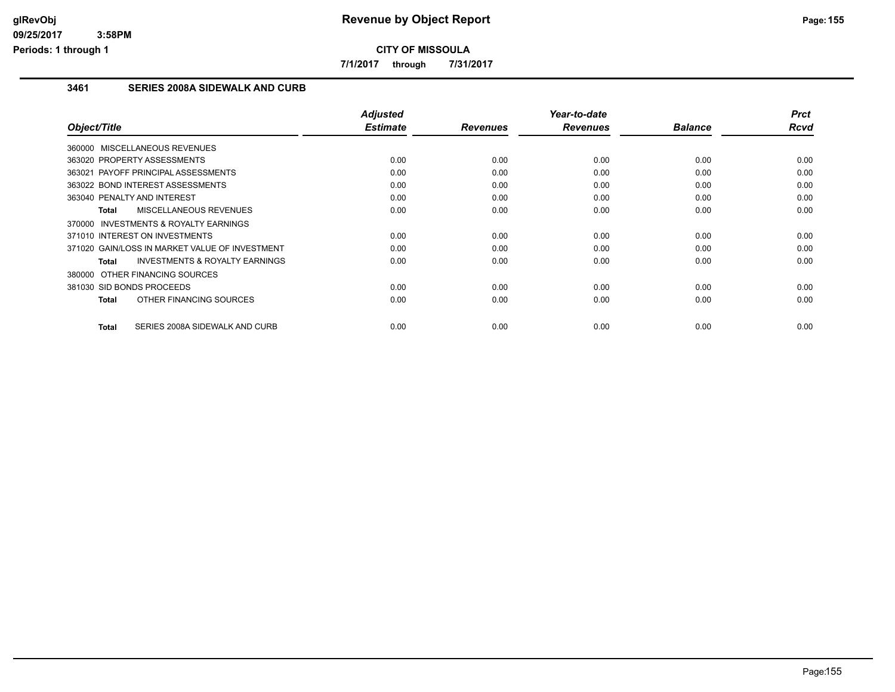**7/1/2017 through 7/31/2017**

### **3461 SERIES 2008A SIDEWALK AND CURB**

| Object/Title                                        | <b>Adjusted</b><br><b>Estimate</b> | <b>Revenues</b> | Year-to-date<br><b>Revenues</b> | <b>Balance</b> | <b>Prct</b><br><b>Rcvd</b> |
|-----------------------------------------------------|------------------------------------|-----------------|---------------------------------|----------------|----------------------------|
| 360000 MISCELLANEOUS REVENUES                       |                                    |                 |                                 |                |                            |
| 363020 PROPERTY ASSESSMENTS                         | 0.00                               | 0.00            | 0.00                            | 0.00           | 0.00                       |
|                                                     |                                    |                 |                                 |                |                            |
| 363021 PAYOFF PRINCIPAL ASSESSMENTS                 | 0.00                               | 0.00            | 0.00                            | 0.00           | 0.00                       |
| 363022 BOND INTEREST ASSESSMENTS                    | 0.00                               | 0.00            | 0.00                            | 0.00           | 0.00                       |
| 363040 PENALTY AND INTEREST                         | 0.00                               | 0.00            | 0.00                            | 0.00           | 0.00                       |
| <b>MISCELLANEOUS REVENUES</b><br>Total              | 0.00                               | 0.00            | 0.00                            | 0.00           | 0.00                       |
| <b>INVESTMENTS &amp; ROYALTY EARNINGS</b><br>370000 |                                    |                 |                                 |                |                            |
| 371010 INTEREST ON INVESTMENTS                      | 0.00                               | 0.00            | 0.00                            | 0.00           | 0.00                       |
| 371020 GAIN/LOSS IN MARKET VALUE OF INVESTMENT      | 0.00                               | 0.00            | 0.00                            | 0.00           | 0.00                       |
| <b>INVESTMENTS &amp; ROYALTY EARNINGS</b><br>Total  | 0.00                               | 0.00            | 0.00                            | 0.00           | 0.00                       |
| 380000 OTHER FINANCING SOURCES                      |                                    |                 |                                 |                |                            |
| 381030 SID BONDS PROCEEDS                           | 0.00                               | 0.00            | 0.00                            | 0.00           | 0.00                       |
| OTHER FINANCING SOURCES<br><b>Total</b>             | 0.00                               | 0.00            | 0.00                            | 0.00           | 0.00                       |
| SERIES 2008A SIDEWALK AND CURB<br><b>Total</b>      | 0.00                               | 0.00            | 0.00                            | 0.00           | 0.00                       |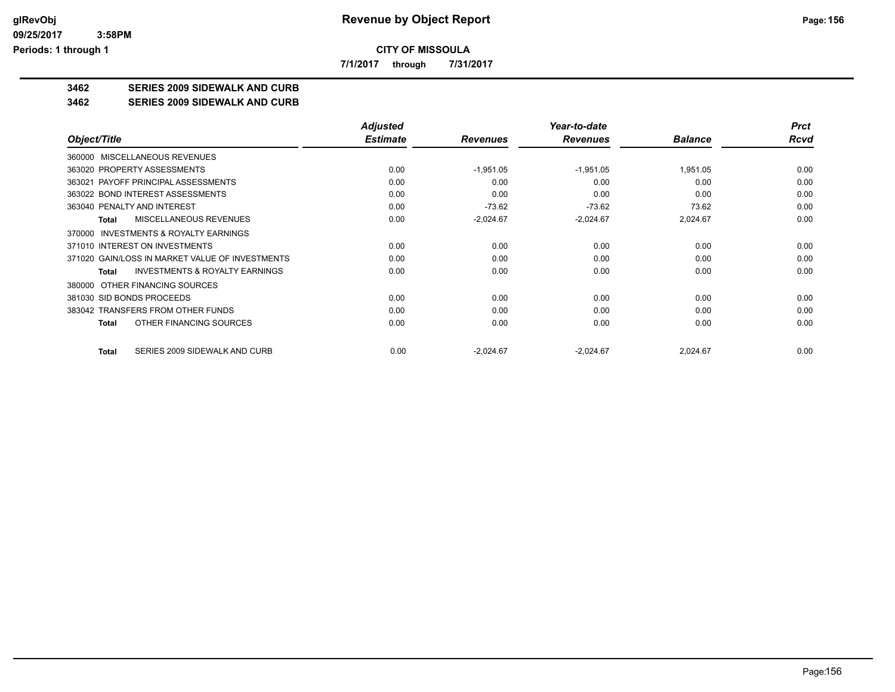**7/1/2017 through 7/31/2017**

# **3462 SERIES 2009 SIDEWALK AND CURB**

#### **3462 SERIES 2009 SIDEWALK AND CURB**

|                                                     | <b>Adjusted</b> |                 | Year-to-date    |                | <b>Prct</b> |
|-----------------------------------------------------|-----------------|-----------------|-----------------|----------------|-------------|
| Object/Title                                        | <b>Estimate</b> | <b>Revenues</b> | <b>Revenues</b> | <b>Balance</b> | Rcvd        |
| <b>MISCELLANEOUS REVENUES</b><br>360000             |                 |                 |                 |                |             |
| 363020 PROPERTY ASSESSMENTS                         | 0.00            | $-1,951.05$     | $-1,951.05$     | 1,951.05       | 0.00        |
| 363021 PAYOFF PRINCIPAL ASSESSMENTS                 | 0.00            | 0.00            | 0.00            | 0.00           | 0.00        |
| 363022 BOND INTEREST ASSESSMENTS                    | 0.00            | 0.00            | 0.00            | 0.00           | 0.00        |
| 363040 PENALTY AND INTEREST                         | 0.00            | $-73.62$        | $-73.62$        | 73.62          | 0.00        |
| MISCELLANEOUS REVENUES<br><b>Total</b>              | 0.00            | $-2,024.67$     | $-2,024.67$     | 2,024.67       | 0.00        |
| <b>INVESTMENTS &amp; ROYALTY EARNINGS</b><br>370000 |                 |                 |                 |                |             |
| 371010 INTEREST ON INVESTMENTS                      | 0.00            | 0.00            | 0.00            | 0.00           | 0.00        |
| 371020 GAIN/LOSS IN MARKET VALUE OF INVESTMENTS     | 0.00            | 0.00            | 0.00            | 0.00           | 0.00        |
| <b>INVESTMENTS &amp; ROYALTY EARNINGS</b><br>Total  | 0.00            | 0.00            | 0.00            | 0.00           | 0.00        |
| OTHER FINANCING SOURCES<br>380000                   |                 |                 |                 |                |             |
| 381030 SID BONDS PROCEEDS                           | 0.00            | 0.00            | 0.00            | 0.00           | 0.00        |
| 383042 TRANSFERS FROM OTHER FUNDS                   | 0.00            | 0.00            | 0.00            | 0.00           | 0.00        |
| OTHER FINANCING SOURCES<br><b>Total</b>             | 0.00            | 0.00            | 0.00            | 0.00           | 0.00        |
| SERIES 2009 SIDEWALK AND CURB<br><b>Total</b>       | 0.00            | $-2,024.67$     | $-2,024.67$     | 2,024.67       | 0.00        |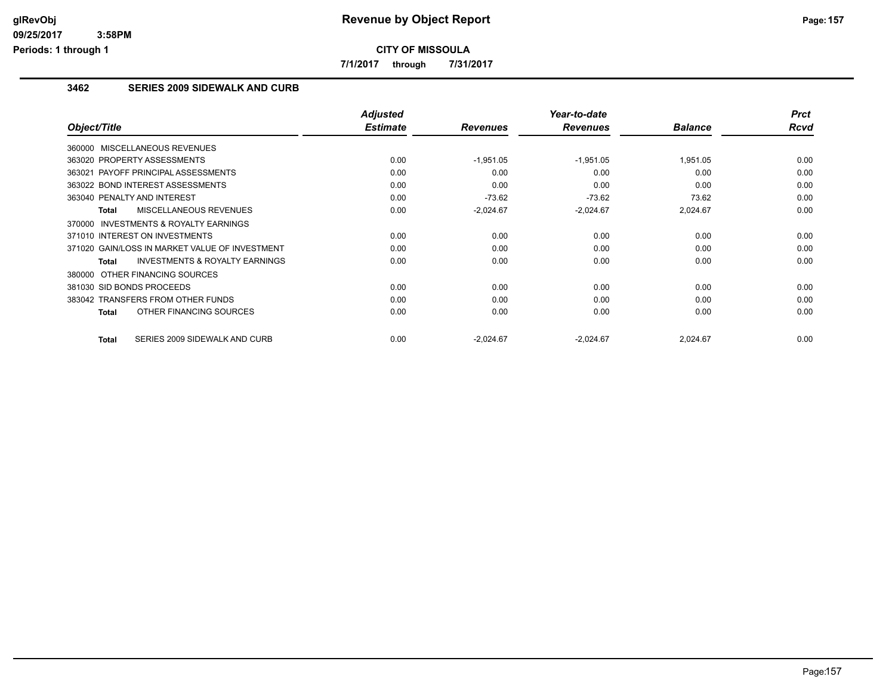**7/1/2017 through 7/31/2017**

### **3462 SERIES 2009 SIDEWALK AND CURB**

|                                                           | <b>Adjusted</b> |                 | Year-to-date    |                | <b>Prct</b> |
|-----------------------------------------------------------|-----------------|-----------------|-----------------|----------------|-------------|
| Object/Title                                              | <b>Estimate</b> | <b>Revenues</b> | <b>Revenues</b> | <b>Balance</b> | <b>Rcvd</b> |
| 360000 MISCELLANEOUS REVENUES                             |                 |                 |                 |                |             |
| 363020 PROPERTY ASSESSMENTS                               | 0.00            | $-1,951.05$     | $-1,951.05$     | 1,951.05       | 0.00        |
| 363021 PAYOFF PRINCIPAL ASSESSMENTS                       | 0.00            | 0.00            | 0.00            | 0.00           | 0.00        |
| 363022 BOND INTEREST ASSESSMENTS                          | 0.00            | 0.00            | 0.00            | 0.00           | 0.00        |
| 363040 PENALTY AND INTEREST                               | 0.00            | $-73.62$        | $-73.62$        | 73.62          | 0.00        |
| <b>MISCELLANEOUS REVENUES</b><br><b>Total</b>             | 0.00            | $-2,024.67$     | $-2,024.67$     | 2,024.67       | 0.00        |
| INVESTMENTS & ROYALTY EARNINGS<br>370000                  |                 |                 |                 |                |             |
| 371010 INTEREST ON INVESTMENTS                            | 0.00            | 0.00            | 0.00            | 0.00           | 0.00        |
| 371020 GAIN/LOSS IN MARKET VALUE OF INVESTMENT            | 0.00            | 0.00            | 0.00            | 0.00           | 0.00        |
| <b>INVESTMENTS &amp; ROYALTY EARNINGS</b><br><b>Total</b> | 0.00            | 0.00            | 0.00            | 0.00           | 0.00        |
| OTHER FINANCING SOURCES<br>380000                         |                 |                 |                 |                |             |
| 381030 SID BONDS PROCEEDS                                 | 0.00            | 0.00            | 0.00            | 0.00           | 0.00        |
| 383042 TRANSFERS FROM OTHER FUNDS                         | 0.00            | 0.00            | 0.00            | 0.00           | 0.00        |
| OTHER FINANCING SOURCES<br><b>Total</b>                   | 0.00            | 0.00            | 0.00            | 0.00           | 0.00        |
| SERIES 2009 SIDEWALK AND CURB<br><b>Total</b>             | 0.00            | $-2,024.67$     | $-2,024.67$     | 2,024.67       | 0.00        |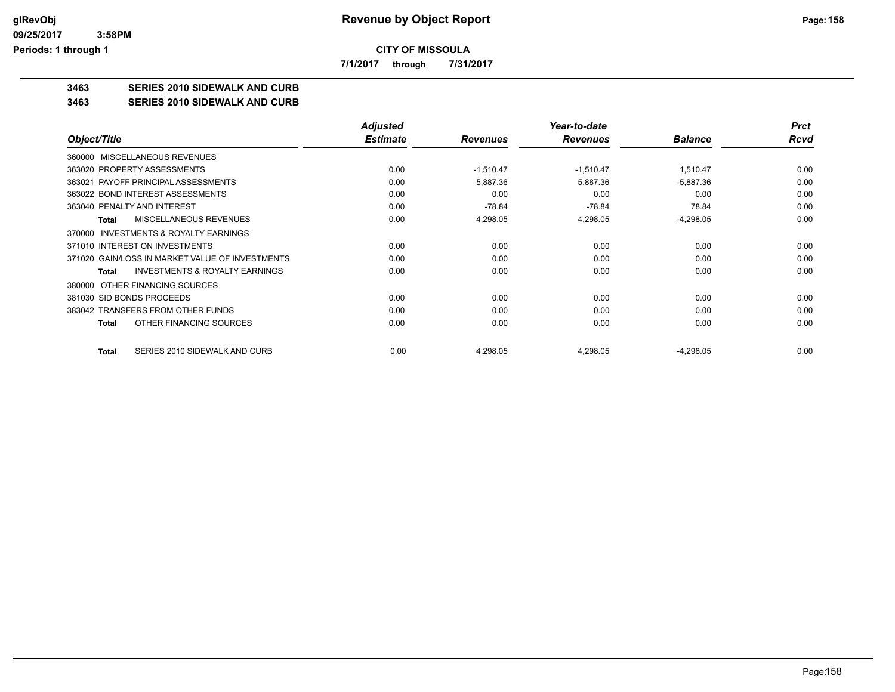**7/1/2017 through 7/31/2017**

# **3463 SERIES 2010 SIDEWALK AND CURB**

#### **3463 SERIES 2010 SIDEWALK AND CURB**

|                                                    | <b>Adjusted</b> |                 | Year-to-date    |                | <b>Prct</b> |
|----------------------------------------------------|-----------------|-----------------|-----------------|----------------|-------------|
| Object/Title                                       | <b>Estimate</b> | <b>Revenues</b> | <b>Revenues</b> | <b>Balance</b> | Rcvd        |
| 360000 MISCELLANEOUS REVENUES                      |                 |                 |                 |                |             |
| 363020 PROPERTY ASSESSMENTS                        | 0.00            | $-1,510.47$     | $-1,510.47$     | 1,510.47       | 0.00        |
| 363021 PAYOFF PRINCIPAL ASSESSMENTS                | 0.00            | 5,887.36        | 5,887.36        | $-5,887.36$    | 0.00        |
| 363022 BOND INTEREST ASSESSMENTS                   | 0.00            | 0.00            | 0.00            | 0.00           | 0.00        |
| 363040 PENALTY AND INTEREST                        | 0.00            | $-78.84$        | -78.84          | 78.84          | 0.00        |
| <b>MISCELLANEOUS REVENUES</b><br>Total             | 0.00            | 4,298.05        | 4,298.05        | $-4,298.05$    | 0.00        |
| INVESTMENTS & ROYALTY EARNINGS<br>370000           |                 |                 |                 |                |             |
| 371010 INTEREST ON INVESTMENTS                     | 0.00            | 0.00            | 0.00            | 0.00           | 0.00        |
| 371020 GAIN/LOSS IN MARKET VALUE OF INVESTMENTS    | 0.00            | 0.00            | 0.00            | 0.00           | 0.00        |
| <b>INVESTMENTS &amp; ROYALTY EARNINGS</b><br>Total | 0.00            | 0.00            | 0.00            | 0.00           | 0.00        |
| 380000 OTHER FINANCING SOURCES                     |                 |                 |                 |                |             |
| 381030 SID BONDS PROCEEDS                          | 0.00            | 0.00            | 0.00            | 0.00           | 0.00        |
| 383042 TRANSFERS FROM OTHER FUNDS                  | 0.00            | 0.00            | 0.00            | 0.00           | 0.00        |
| OTHER FINANCING SOURCES<br>Total                   | 0.00            | 0.00            | 0.00            | 0.00           | 0.00        |
| SERIES 2010 SIDEWALK AND CURB<br>Total             | 0.00            | 4,298.05        | 4,298.05        | $-4,298.05$    | 0.00        |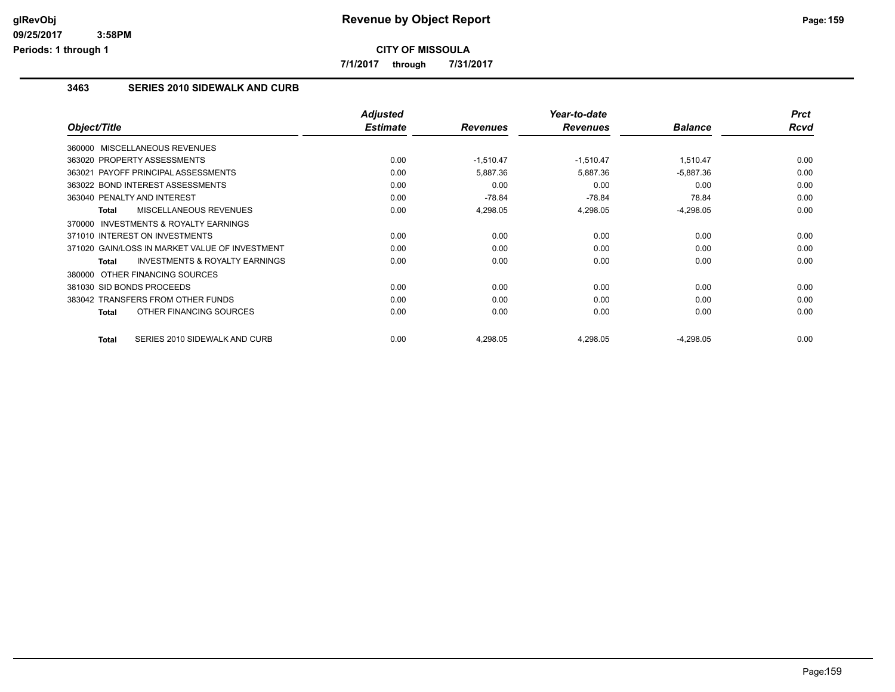**7/1/2017 through 7/31/2017**

### **3463 SERIES 2010 SIDEWALK AND CURB**

|                                                    | <b>Adjusted</b> |                 | Year-to-date    |                | <b>Prct</b> |
|----------------------------------------------------|-----------------|-----------------|-----------------|----------------|-------------|
| Object/Title                                       | <b>Estimate</b> | <b>Revenues</b> | <b>Revenues</b> | <b>Balance</b> | Rcvd        |
| 360000 MISCELLANEOUS REVENUES                      |                 |                 |                 |                |             |
| 363020 PROPERTY ASSESSMENTS                        | 0.00            | $-1,510.47$     | $-1,510.47$     | 1,510.47       | 0.00        |
| 363021 PAYOFF PRINCIPAL ASSESSMENTS                | 0.00            | 5,887.36        | 5,887.36        | $-5,887.36$    | 0.00        |
| 363022 BOND INTEREST ASSESSMENTS                   | 0.00            | 0.00            | 0.00            | 0.00           | 0.00        |
| 363040 PENALTY AND INTEREST                        | 0.00            | $-78.84$        | $-78.84$        | 78.84          | 0.00        |
| MISCELLANEOUS REVENUES<br><b>Total</b>             | 0.00            | 4,298.05        | 4,298.05        | $-4,298.05$    | 0.00        |
| INVESTMENTS & ROYALTY EARNINGS<br>370000           |                 |                 |                 |                |             |
| 371010 INTEREST ON INVESTMENTS                     | 0.00            | 0.00            | 0.00            | 0.00           | 0.00        |
| 371020 GAIN/LOSS IN MARKET VALUE OF INVESTMENT     | 0.00            | 0.00            | 0.00            | 0.00           | 0.00        |
| <b>INVESTMENTS &amp; ROYALTY EARNINGS</b><br>Total | 0.00            | 0.00            | 0.00            | 0.00           | 0.00        |
| OTHER FINANCING SOURCES<br>380000                  |                 |                 |                 |                |             |
| 381030 SID BONDS PROCEEDS                          | 0.00            | 0.00            | 0.00            | 0.00           | 0.00        |
| 383042 TRANSFERS FROM OTHER FUNDS                  | 0.00            | 0.00            | 0.00            | 0.00           | 0.00        |
| OTHER FINANCING SOURCES<br><b>Total</b>            | 0.00            | 0.00            | 0.00            | 0.00           | 0.00        |
|                                                    |                 |                 |                 |                |             |
| SERIES 2010 SIDEWALK AND CURB<br><b>Total</b>      | 0.00            | 4,298.05        | 4,298.05        | $-4,298.05$    | 0.00        |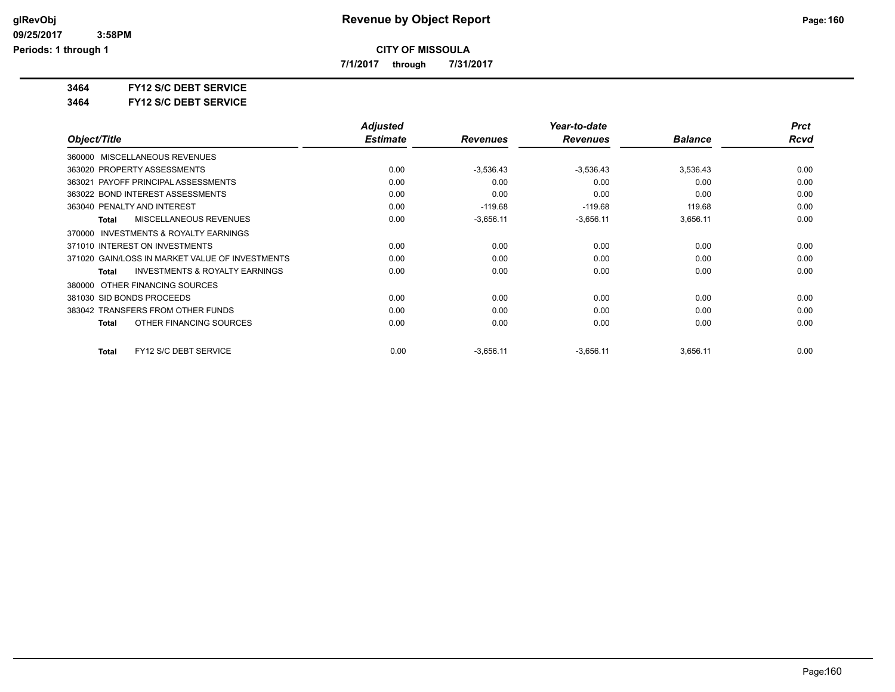**7/1/2017 through 7/31/2017**

**3464 FY12 S/C DEBT SERVICE**

**3464 FY12 S/C DEBT SERVICE**

|                                                    | <b>Adjusted</b> |                 | Year-to-date    |                | <b>Prct</b> |
|----------------------------------------------------|-----------------|-----------------|-----------------|----------------|-------------|
| Object/Title                                       | <b>Estimate</b> | <b>Revenues</b> | <b>Revenues</b> | <b>Balance</b> | Rcvd        |
| 360000 MISCELLANEOUS REVENUES                      |                 |                 |                 |                |             |
| 363020 PROPERTY ASSESSMENTS                        | 0.00            | $-3,536.43$     | $-3,536.43$     | 3,536.43       | 0.00        |
| 363021 PAYOFF PRINCIPAL ASSESSMENTS                | 0.00            | 0.00            | 0.00            | 0.00           | 0.00        |
| 363022 BOND INTEREST ASSESSMENTS                   | 0.00            | 0.00            | 0.00            | 0.00           | 0.00        |
| 363040 PENALTY AND INTEREST                        | 0.00            | $-119.68$       | $-119.68$       | 119.68         | 0.00        |
| <b>MISCELLANEOUS REVENUES</b><br><b>Total</b>      | 0.00            | $-3,656.11$     | $-3,656.11$     | 3,656.11       | 0.00        |
| 370000 INVESTMENTS & ROYALTY EARNINGS              |                 |                 |                 |                |             |
| 371010 INTEREST ON INVESTMENTS                     | 0.00            | 0.00            | 0.00            | 0.00           | 0.00        |
| 371020 GAIN/LOSS IN MARKET VALUE OF INVESTMENTS    | 0.00            | 0.00            | 0.00            | 0.00           | 0.00        |
| <b>INVESTMENTS &amp; ROYALTY EARNINGS</b><br>Total | 0.00            | 0.00            | 0.00            | 0.00           | 0.00        |
| OTHER FINANCING SOURCES<br>380000                  |                 |                 |                 |                |             |
| 381030 SID BONDS PROCEEDS                          | 0.00            | 0.00            | 0.00            | 0.00           | 0.00        |
| 383042 TRANSFERS FROM OTHER FUNDS                  | 0.00            | 0.00            | 0.00            | 0.00           | 0.00        |
| OTHER FINANCING SOURCES<br>Total                   | 0.00            | 0.00            | 0.00            | 0.00           | 0.00        |
| FY12 S/C DEBT SERVICE<br><b>Total</b>              | 0.00            | $-3,656.11$     | $-3,656.11$     | 3,656.11       | 0.00        |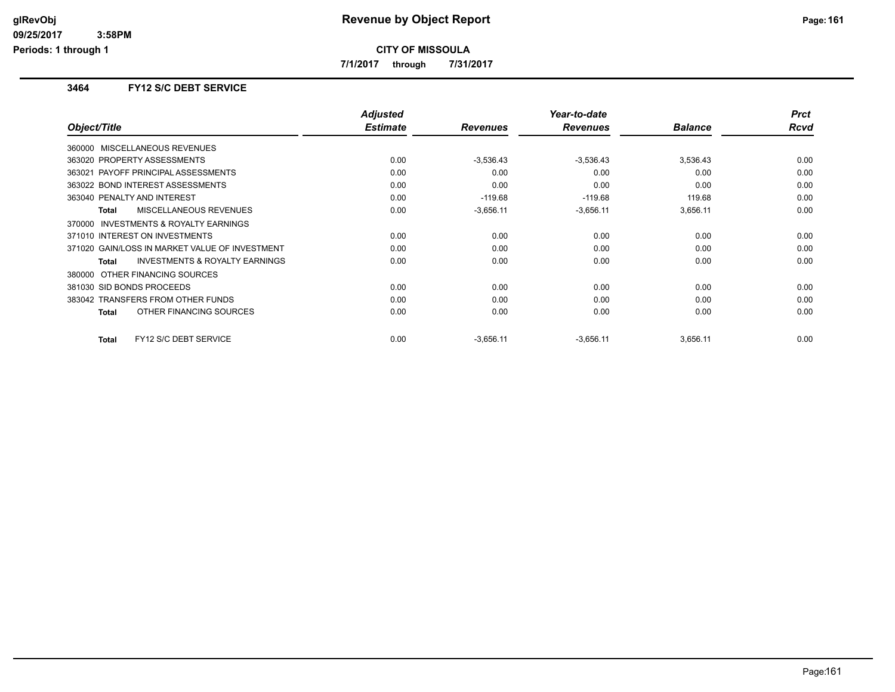**CITY OF MISSOULA**

**7/1/2017 through 7/31/2017**

### **3464 FY12 S/C DEBT SERVICE**

|                                                           | <b>Adjusted</b> |                 | Year-to-date    |                | <b>Prct</b> |
|-----------------------------------------------------------|-----------------|-----------------|-----------------|----------------|-------------|
| Object/Title                                              | <b>Estimate</b> | <b>Revenues</b> | <b>Revenues</b> | <b>Balance</b> | Rcvd        |
| 360000 MISCELLANEOUS REVENUES                             |                 |                 |                 |                |             |
| 363020 PROPERTY ASSESSMENTS                               | 0.00            | $-3,536.43$     | $-3,536.43$     | 3,536.43       | 0.00        |
| 363021 PAYOFF PRINCIPAL ASSESSMENTS                       | 0.00            | 0.00            | 0.00            | 0.00           | 0.00        |
| 363022 BOND INTEREST ASSESSMENTS                          | 0.00            | 0.00            | 0.00            | 0.00           | 0.00        |
| 363040 PENALTY AND INTEREST                               | 0.00            | $-119.68$       | $-119.68$       | 119.68         | 0.00        |
| <b>MISCELLANEOUS REVENUES</b><br><b>Total</b>             | 0.00            | $-3,656.11$     | $-3,656.11$     | 3,656.11       | 0.00        |
| <b>INVESTMENTS &amp; ROYALTY EARNINGS</b><br>370000       |                 |                 |                 |                |             |
| 371010 INTEREST ON INVESTMENTS                            | 0.00            | 0.00            | 0.00            | 0.00           | 0.00        |
| 371020 GAIN/LOSS IN MARKET VALUE OF INVESTMENT            | 0.00            | 0.00            | 0.00            | 0.00           | 0.00        |
| <b>INVESTMENTS &amp; ROYALTY EARNINGS</b><br><b>Total</b> | 0.00            | 0.00            | 0.00            | 0.00           | 0.00        |
| 380000 OTHER FINANCING SOURCES                            |                 |                 |                 |                |             |
| 381030 SID BONDS PROCEEDS                                 | 0.00            | 0.00            | 0.00            | 0.00           | 0.00        |
| 383042 TRANSFERS FROM OTHER FUNDS                         | 0.00            | 0.00            | 0.00            | 0.00           | 0.00        |
| OTHER FINANCING SOURCES<br><b>Total</b>                   | 0.00            | 0.00            | 0.00            | 0.00           | 0.00        |
| FY12 S/C DEBT SERVICE<br><b>Total</b>                     | 0.00            | $-3,656.11$     | $-3,656.11$     | 3,656.11       | 0.00        |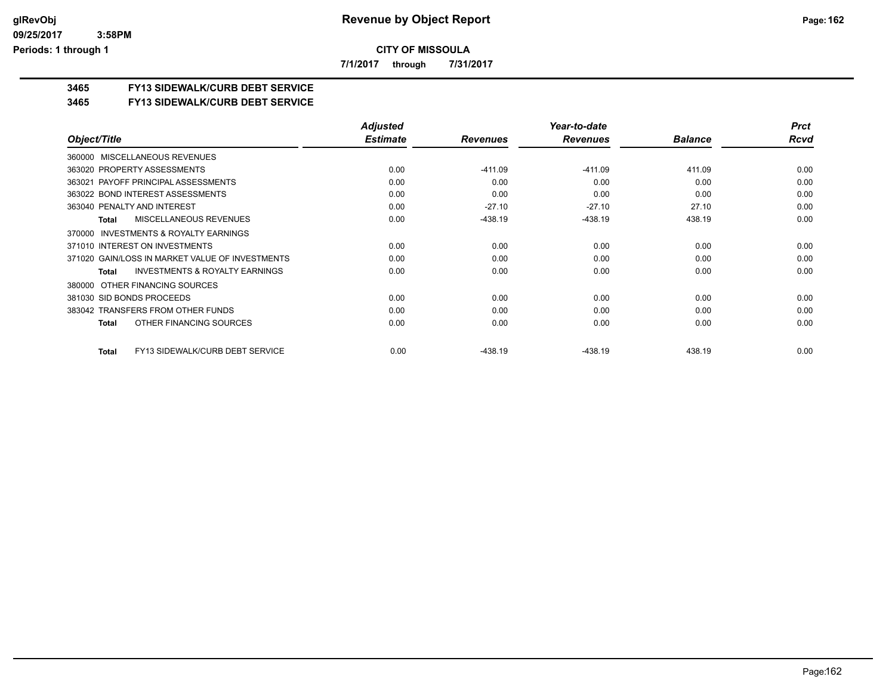**7/1/2017 through 7/31/2017**

## **3465 FY13 SIDEWALK/CURB DEBT SERVICE**

#### **3465 FY13 SIDEWALK/CURB DEBT SERVICE**

|                                                           | <b>Adjusted</b> |                 | Year-to-date    |                | <b>Prct</b> |
|-----------------------------------------------------------|-----------------|-----------------|-----------------|----------------|-------------|
| Object/Title                                              | <b>Estimate</b> | <b>Revenues</b> | <b>Revenues</b> | <b>Balance</b> | Rcvd        |
| <b>MISCELLANEOUS REVENUES</b><br>360000                   |                 |                 |                 |                |             |
| 363020 PROPERTY ASSESSMENTS                               | 0.00            | $-411.09$       | $-411.09$       | 411.09         | 0.00        |
| 363021 PAYOFF PRINCIPAL ASSESSMENTS                       | 0.00            | 0.00            | 0.00            | 0.00           | 0.00        |
| 363022 BOND INTEREST ASSESSMENTS                          | 0.00            | 0.00            | 0.00            | 0.00           | 0.00        |
| 363040 PENALTY AND INTEREST                               | 0.00            | $-27.10$        | $-27.10$        | 27.10          | 0.00        |
| MISCELLANEOUS REVENUES<br><b>Total</b>                    | 0.00            | $-438.19$       | $-438.19$       | 438.19         | 0.00        |
| INVESTMENTS & ROYALTY EARNINGS<br>370000                  |                 |                 |                 |                |             |
| 371010 INTEREST ON INVESTMENTS                            | 0.00            | 0.00            | 0.00            | 0.00           | 0.00        |
| 371020 GAIN/LOSS IN MARKET VALUE OF INVESTMENTS           | 0.00            | 0.00            | 0.00            | 0.00           | 0.00        |
| <b>INVESTMENTS &amp; ROYALTY EARNINGS</b><br><b>Total</b> | 0.00            | 0.00            | 0.00            | 0.00           | 0.00        |
| OTHER FINANCING SOURCES<br>380000                         |                 |                 |                 |                |             |
| 381030 SID BONDS PROCEEDS                                 | 0.00            | 0.00            | 0.00            | 0.00           | 0.00        |
| 383042 TRANSFERS FROM OTHER FUNDS                         | 0.00            | 0.00            | 0.00            | 0.00           | 0.00        |
| OTHER FINANCING SOURCES<br><b>Total</b>                   | 0.00            | 0.00            | 0.00            | 0.00           | 0.00        |
| FY13 SIDEWALK/CURB DEBT SERVICE<br><b>Total</b>           | 0.00            | $-438.19$       | $-438.19$       | 438.19         | 0.00        |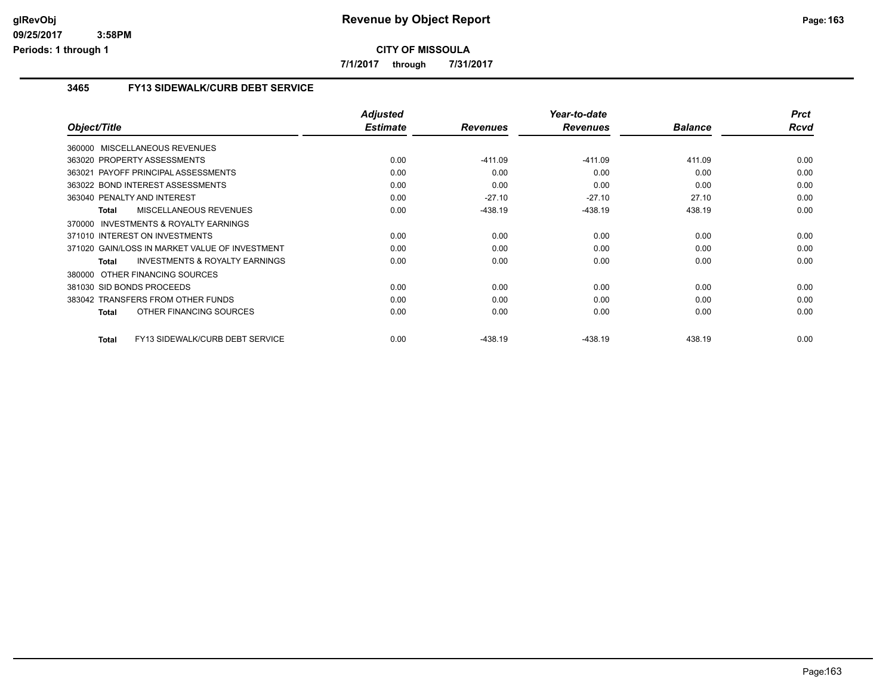**7/1/2017 through 7/31/2017**

## **3465 FY13 SIDEWALK/CURB DEBT SERVICE**

|                                                    | <b>Adjusted</b> |                 | Year-to-date    |                | <b>Prct</b> |
|----------------------------------------------------|-----------------|-----------------|-----------------|----------------|-------------|
| Object/Title                                       | <b>Estimate</b> | <b>Revenues</b> | <b>Revenues</b> | <b>Balance</b> | Rcvd        |
| 360000 MISCELLANEOUS REVENUES                      |                 |                 |                 |                |             |
| 363020 PROPERTY ASSESSMENTS                        | 0.00            | $-411.09$       | $-411.09$       | 411.09         | 0.00        |
| PAYOFF PRINCIPAL ASSESSMENTS<br>363021             | 0.00            | 0.00            | 0.00            | 0.00           | 0.00        |
| 363022 BOND INTEREST ASSESSMENTS                   | 0.00            | 0.00            | 0.00            | 0.00           | 0.00        |
| 363040 PENALTY AND INTEREST                        | 0.00            | $-27.10$        | $-27.10$        | 27.10          | 0.00        |
| <b>MISCELLANEOUS REVENUES</b><br>Total             | 0.00            | $-438.19$       | $-438.19$       | 438.19         | 0.00        |
| 370000 INVESTMENTS & ROYALTY EARNINGS              |                 |                 |                 |                |             |
| 371010 INTEREST ON INVESTMENTS                     | 0.00            | 0.00            | 0.00            | 0.00           | 0.00        |
| 371020 GAIN/LOSS IN MARKET VALUE OF INVESTMENT     | 0.00            | 0.00            | 0.00            | 0.00           | 0.00        |
| <b>INVESTMENTS &amp; ROYALTY EARNINGS</b><br>Total | 0.00            | 0.00            | 0.00            | 0.00           | 0.00        |
| OTHER FINANCING SOURCES<br>380000                  |                 |                 |                 |                |             |
| 381030 SID BONDS PROCEEDS                          | 0.00            | 0.00            | 0.00            | 0.00           | 0.00        |
| 383042 TRANSFERS FROM OTHER FUNDS                  | 0.00            | 0.00            | 0.00            | 0.00           | 0.00        |
| OTHER FINANCING SOURCES<br><b>Total</b>            | 0.00            | 0.00            | 0.00            | 0.00           | 0.00        |
| FY13 SIDEWALK/CURB DEBT SERVICE<br><b>Total</b>    | 0.00            | $-438.19$       | $-438.19$       | 438.19         | 0.00        |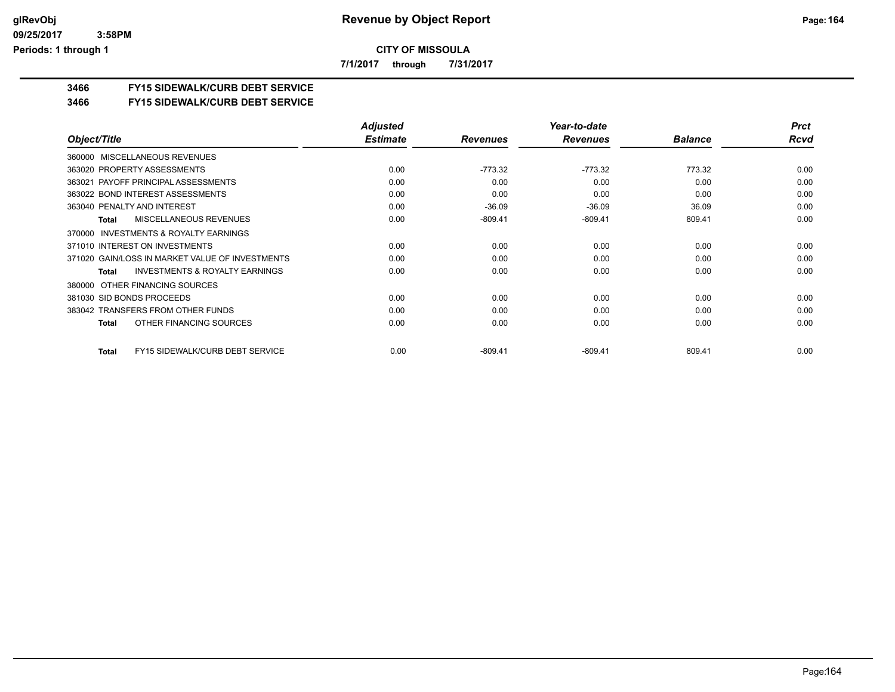**7/1/2017 through 7/31/2017**

# **3466 FY15 SIDEWALK/CURB DEBT SERVICE**

### **3466 FY15 SIDEWALK/CURB DEBT SERVICE**

|                                                    | <b>Adjusted</b> |                 | Year-to-date    |                | <b>Prct</b> |
|----------------------------------------------------|-----------------|-----------------|-----------------|----------------|-------------|
| Object/Title                                       | <b>Estimate</b> | <b>Revenues</b> | <b>Revenues</b> | <b>Balance</b> | Rcvd        |
| MISCELLANEOUS REVENUES<br>360000                   |                 |                 |                 |                |             |
| 363020 PROPERTY ASSESSMENTS                        | 0.00            | $-773.32$       | $-773.32$       | 773.32         | 0.00        |
| 363021 PAYOFF PRINCIPAL ASSESSMENTS                | 0.00            | 0.00            | 0.00            | 0.00           | 0.00        |
| 363022 BOND INTEREST ASSESSMENTS                   | 0.00            | 0.00            | 0.00            | 0.00           | 0.00        |
| 363040 PENALTY AND INTEREST                        | 0.00            | $-36.09$        | $-36.09$        | 36.09          | 0.00        |
| <b>MISCELLANEOUS REVENUES</b><br><b>Total</b>      | 0.00            | $-809.41$       | $-809.41$       | 809.41         | 0.00        |
| INVESTMENTS & ROYALTY EARNINGS<br>370000           |                 |                 |                 |                |             |
| 371010 INTEREST ON INVESTMENTS                     | 0.00            | 0.00            | 0.00            | 0.00           | 0.00        |
| 371020 GAIN/LOSS IN MARKET VALUE OF INVESTMENTS    | 0.00            | 0.00            | 0.00            | 0.00           | 0.00        |
| <b>INVESTMENTS &amp; ROYALTY EARNINGS</b><br>Total | 0.00            | 0.00            | 0.00            | 0.00           | 0.00        |
| 380000 OTHER FINANCING SOURCES                     |                 |                 |                 |                |             |
| 381030 SID BONDS PROCEEDS                          | 0.00            | 0.00            | 0.00            | 0.00           | 0.00        |
| 383042 TRANSFERS FROM OTHER FUNDS                  | 0.00            | 0.00            | 0.00            | 0.00           | 0.00        |
| OTHER FINANCING SOURCES<br>Total                   | 0.00            | 0.00            | 0.00            | 0.00           | 0.00        |
| FY15 SIDEWALK/CURB DEBT SERVICE<br>Total           | 0.00            | -809.41         | $-809.41$       | 809.41         | 0.00        |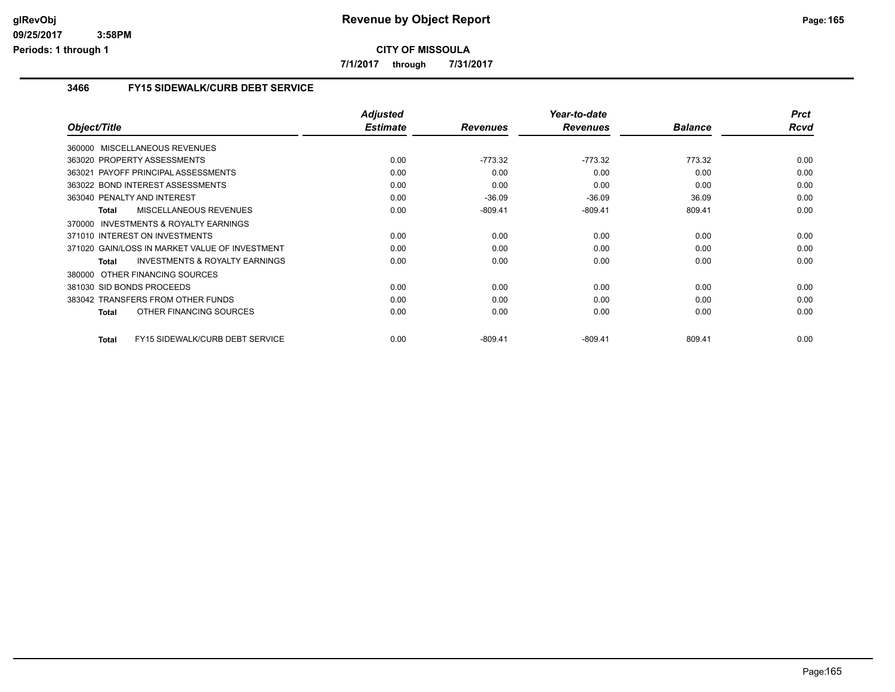**7/1/2017 through 7/31/2017**

## **3466 FY15 SIDEWALK/CURB DEBT SERVICE**

|                                                    | <b>Adjusted</b> |                 | Year-to-date    |                | <b>Prct</b> |
|----------------------------------------------------|-----------------|-----------------|-----------------|----------------|-------------|
| Object/Title                                       | <b>Estimate</b> | <b>Revenues</b> | <b>Revenues</b> | <b>Balance</b> | Rcvd        |
| 360000 MISCELLANEOUS REVENUES                      |                 |                 |                 |                |             |
| 363020 PROPERTY ASSESSMENTS                        | 0.00            | $-773.32$       | $-773.32$       | 773.32         | 0.00        |
| PAYOFF PRINCIPAL ASSESSMENTS<br>363021             | 0.00            | 0.00            | 0.00            | 0.00           | 0.00        |
| 363022 BOND INTEREST ASSESSMENTS                   | 0.00            | 0.00            | 0.00            | 0.00           | 0.00        |
| 363040 PENALTY AND INTEREST                        | 0.00            | $-36.09$        | $-36.09$        | 36.09          | 0.00        |
| <b>MISCELLANEOUS REVENUES</b><br>Total             | 0.00            | $-809.41$       | $-809.41$       | 809.41         | 0.00        |
| 370000 INVESTMENTS & ROYALTY EARNINGS              |                 |                 |                 |                |             |
| 371010 INTEREST ON INVESTMENTS                     | 0.00            | 0.00            | 0.00            | 0.00           | 0.00        |
| 371020 GAIN/LOSS IN MARKET VALUE OF INVESTMENT     | 0.00            | 0.00            | 0.00            | 0.00           | 0.00        |
| <b>INVESTMENTS &amp; ROYALTY EARNINGS</b><br>Total | 0.00            | 0.00            | 0.00            | 0.00           | 0.00        |
| OTHER FINANCING SOURCES<br>380000                  |                 |                 |                 |                |             |
| 381030 SID BONDS PROCEEDS                          | 0.00            | 0.00            | 0.00            | 0.00           | 0.00        |
| 383042 TRANSFERS FROM OTHER FUNDS                  | 0.00            | 0.00            | 0.00            | 0.00           | 0.00        |
| OTHER FINANCING SOURCES<br><b>Total</b>            | 0.00            | 0.00            | 0.00            | 0.00           | 0.00        |
|                                                    |                 |                 |                 |                |             |
| FY15 SIDEWALK/CURB DEBT SERVICE<br><b>Total</b>    | 0.00            | $-809.41$       | $-809.41$       | 809.41         | 0.00        |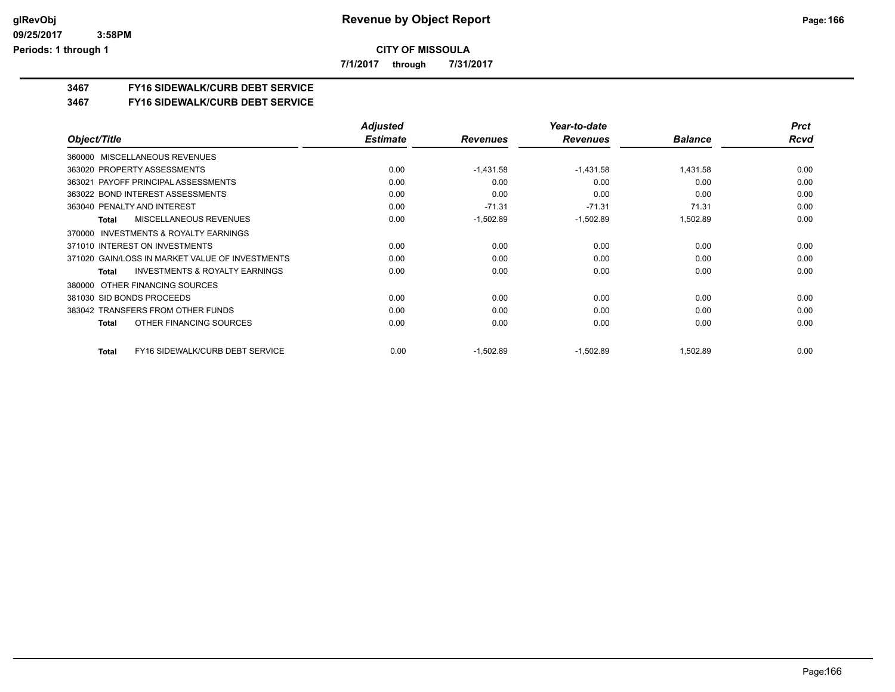**7/1/2017 through 7/31/2017**

# **3467 FY16 SIDEWALK/CURB DEBT SERVICE**

#### **3467 FY16 SIDEWALK/CURB DEBT SERVICE**

|                                                           | <b>Adjusted</b> |                 | Year-to-date    |                | <b>Prct</b> |
|-----------------------------------------------------------|-----------------|-----------------|-----------------|----------------|-------------|
| Object/Title                                              | <b>Estimate</b> | <b>Revenues</b> | <b>Revenues</b> | <b>Balance</b> | Rcvd        |
| MISCELLANEOUS REVENUES<br>360000                          |                 |                 |                 |                |             |
| 363020 PROPERTY ASSESSMENTS                               | 0.00            | $-1,431.58$     | $-1,431.58$     | 1,431.58       | 0.00        |
| 363021 PAYOFF PRINCIPAL ASSESSMENTS                       | 0.00            | 0.00            | 0.00            | 0.00           | 0.00        |
| 363022 BOND INTEREST ASSESSMENTS                          | 0.00            | 0.00            | 0.00            | 0.00           | 0.00        |
| 363040 PENALTY AND INTEREST                               | 0.00            | $-71.31$        | $-71.31$        | 71.31          | 0.00        |
| MISCELLANEOUS REVENUES<br><b>Total</b>                    | 0.00            | $-1,502.89$     | $-1,502.89$     | 1,502.89       | 0.00        |
| INVESTMENTS & ROYALTY EARNINGS<br>370000                  |                 |                 |                 |                |             |
| 371010 INTEREST ON INVESTMENTS                            | 0.00            | 0.00            | 0.00            | 0.00           | 0.00        |
| 371020 GAIN/LOSS IN MARKET VALUE OF INVESTMENTS           | 0.00            | 0.00            | 0.00            | 0.00           | 0.00        |
| <b>INVESTMENTS &amp; ROYALTY EARNINGS</b><br><b>Total</b> | 0.00            | 0.00            | 0.00            | 0.00           | 0.00        |
| OTHER FINANCING SOURCES<br>380000                         |                 |                 |                 |                |             |
| 381030 SID BONDS PROCEEDS                                 | 0.00            | 0.00            | 0.00            | 0.00           | 0.00        |
| 383042 TRANSFERS FROM OTHER FUNDS                         | 0.00            | 0.00            | 0.00            | 0.00           | 0.00        |
| OTHER FINANCING SOURCES<br><b>Total</b>                   | 0.00            | 0.00            | 0.00            | 0.00           | 0.00        |
| FY16 SIDEWALK/CURB DEBT SERVICE<br><b>Total</b>           | 0.00            | $-1,502.89$     | $-1,502.89$     | 1,502.89       | 0.00        |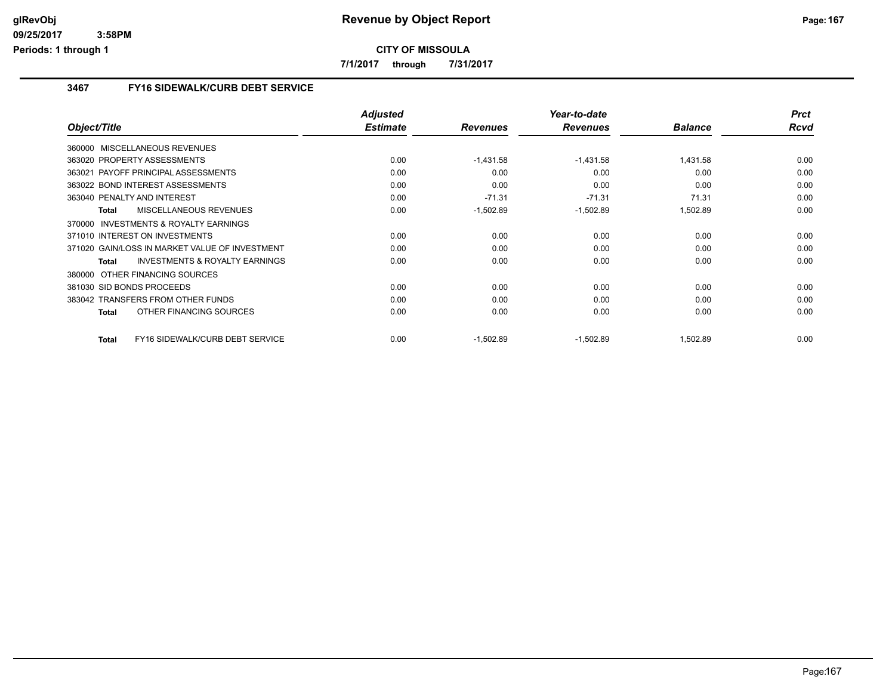**7/1/2017 through 7/31/2017**

### **3467 FY16 SIDEWALK/CURB DEBT SERVICE**

|                                                           | <b>Adjusted</b> |                 | Year-to-date    |                | <b>Prct</b> |
|-----------------------------------------------------------|-----------------|-----------------|-----------------|----------------|-------------|
| Object/Title                                              | <b>Estimate</b> | <b>Revenues</b> | <b>Revenues</b> | <b>Balance</b> | Rcvd        |
| 360000 MISCELLANEOUS REVENUES                             |                 |                 |                 |                |             |
| 363020 PROPERTY ASSESSMENTS                               | 0.00            | $-1,431.58$     | $-1,431.58$     | 1,431.58       | 0.00        |
| 363021 PAYOFF PRINCIPAL ASSESSMENTS                       | 0.00            | 0.00            | 0.00            | 0.00           | 0.00        |
| 363022 BOND INTEREST ASSESSMENTS                          | 0.00            | 0.00            | 0.00            | 0.00           | 0.00        |
| 363040 PENALTY AND INTEREST                               | 0.00            | $-71.31$        | $-71.31$        | 71.31          | 0.00        |
| MISCELLANEOUS REVENUES<br><b>Total</b>                    | 0.00            | $-1,502.89$     | $-1,502.89$     | 1,502.89       | 0.00        |
| INVESTMENTS & ROYALTY EARNINGS<br>370000                  |                 |                 |                 |                |             |
| 371010 INTEREST ON INVESTMENTS                            | 0.00            | 0.00            | 0.00            | 0.00           | 0.00        |
| 371020 GAIN/LOSS IN MARKET VALUE OF INVESTMENT            | 0.00            | 0.00            | 0.00            | 0.00           | 0.00        |
| <b>INVESTMENTS &amp; ROYALTY EARNINGS</b><br><b>Total</b> | 0.00            | 0.00            | 0.00            | 0.00           | 0.00        |
| OTHER FINANCING SOURCES<br>380000                         |                 |                 |                 |                |             |
| 381030 SID BONDS PROCEEDS                                 | 0.00            | 0.00            | 0.00            | 0.00           | 0.00        |
| 383042 TRANSFERS FROM OTHER FUNDS                         | 0.00            | 0.00            | 0.00            | 0.00           | 0.00        |
| OTHER FINANCING SOURCES<br>Total                          | 0.00            | 0.00            | 0.00            | 0.00           | 0.00        |
| FY16 SIDEWALK/CURB DEBT SERVICE<br><b>Total</b>           | 0.00            | $-1,502.89$     | $-1,502.89$     | 1,502.89       | 0.00        |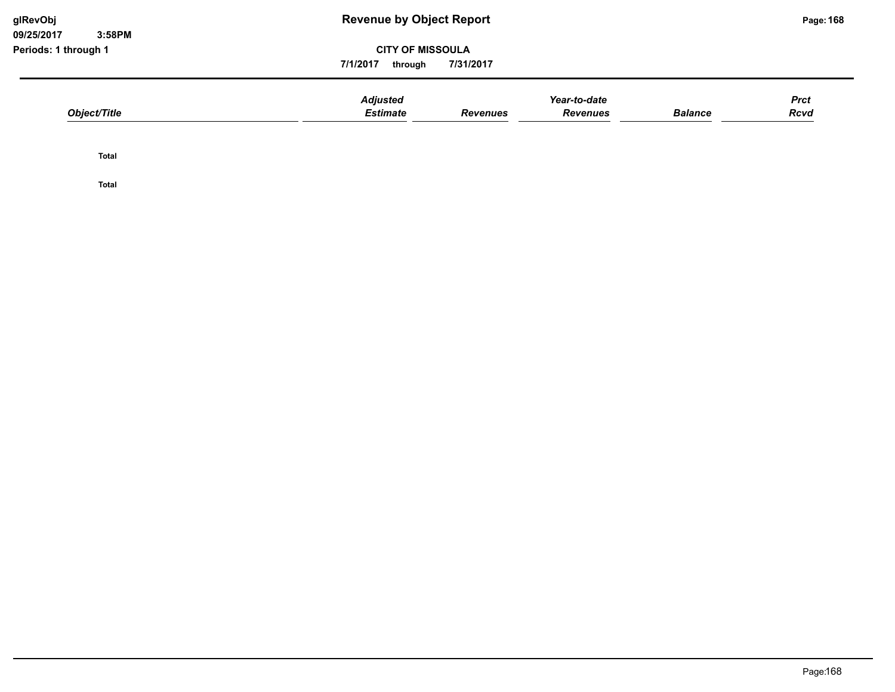| glRevObj<br>09/25/2017<br>3:58PM |                                                | <b>Revenue by Object Report</b> |                                 |                |                     |  |
|----------------------------------|------------------------------------------------|---------------------------------|---------------------------------|----------------|---------------------|--|
| Periods: 1 through 1             | <b>CITY OF MISSOULA</b><br>7/1/2017<br>through | 7/31/2017                       |                                 |                |                     |  |
| Object/Title                     | <b>Adjusted</b><br><b>Estimate</b>             | <b>Revenues</b>                 | Year-to-date<br><b>Revenues</b> | <b>Balance</b> | <b>Prct</b><br>Rcvd |  |
| <b>Total</b>                     |                                                |                                 |                                 |                |                     |  |

**Total**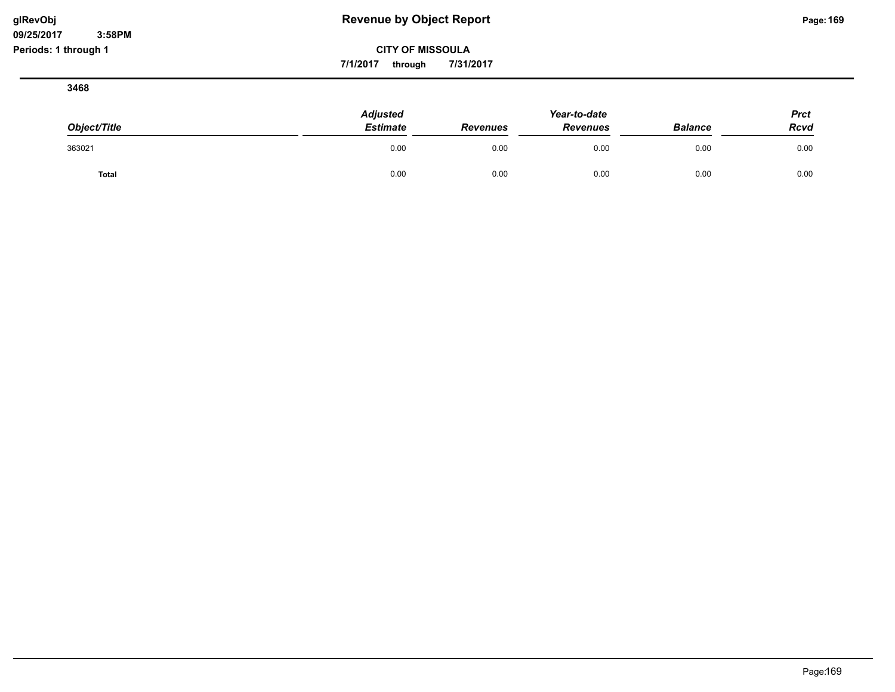**09/25/2017 3:58PM**

**Periods: 1 through 1**

**CITY OF MISSOULA**

**7/1/2017 through 7/31/2017**

**3468**

|              | <b>Adjusted</b> |                 | Year-to-date    |                |      |
|--------------|-----------------|-----------------|-----------------|----------------|------|
| Object/Title | <b>Estimate</b> | <b>Revenues</b> | <b>Revenues</b> | <b>Balance</b> | Rcvd |
| 363021       | 0.00            | 0.00            | 0.00            | 0.00           | 0.00 |
| <b>Total</b> | 0.00            | 0.00            | 0.00            | 0.00           | 0.00 |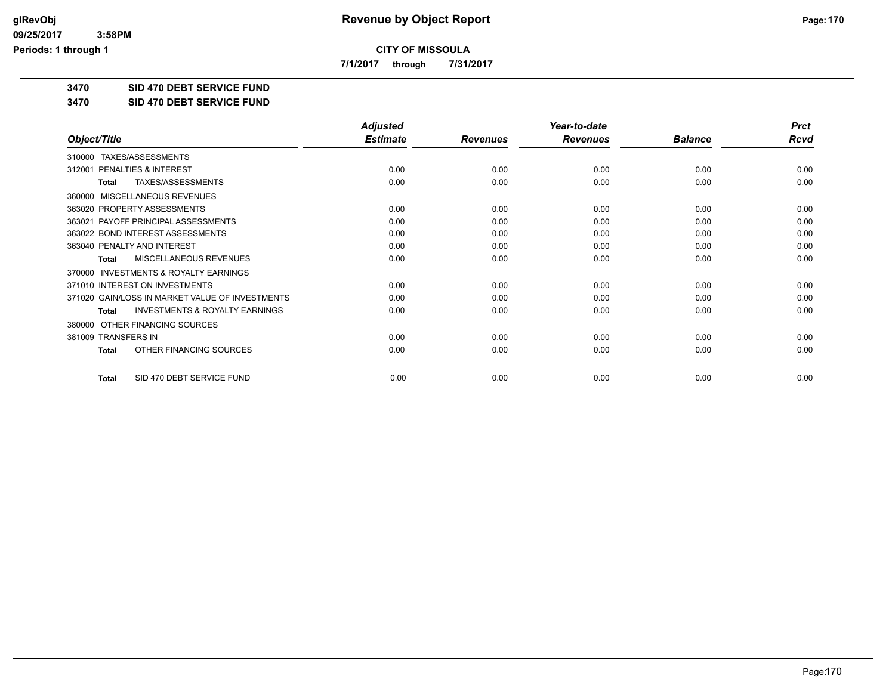**CITY OF MISSOULA**

**7/1/2017 through 7/31/2017**

**3470 SID 470 DEBT SERVICE FUND**

**3470 SID 470 DEBT SERVICE FUND**

|                                                           | <b>Adjusted</b> |                 | Year-to-date    |                | <b>Prct</b> |
|-----------------------------------------------------------|-----------------|-----------------|-----------------|----------------|-------------|
| Object/Title                                              | <b>Estimate</b> | <b>Revenues</b> | <b>Revenues</b> | <b>Balance</b> | <b>Rcvd</b> |
| TAXES/ASSESSMENTS<br>310000                               |                 |                 |                 |                |             |
| PENALTIES & INTEREST<br>312001                            | 0.00            | 0.00            | 0.00            | 0.00           | 0.00        |
| TAXES/ASSESSMENTS<br>Total                                | 0.00            | 0.00            | 0.00            | 0.00           | 0.00        |
| MISCELLANEOUS REVENUES<br>360000                          |                 |                 |                 |                |             |
| 363020 PROPERTY ASSESSMENTS                               | 0.00            | 0.00            | 0.00            | 0.00           | 0.00        |
| 363021 PAYOFF PRINCIPAL ASSESSMENTS                       | 0.00            | 0.00            | 0.00            | 0.00           | 0.00        |
| 363022 BOND INTEREST ASSESSMENTS                          | 0.00            | 0.00            | 0.00            | 0.00           | 0.00        |
| 363040 PENALTY AND INTEREST                               | 0.00            | 0.00            | 0.00            | 0.00           | 0.00        |
| MISCELLANEOUS REVENUES<br><b>Total</b>                    | 0.00            | 0.00            | 0.00            | 0.00           | 0.00        |
| <b>INVESTMENTS &amp; ROYALTY EARNINGS</b><br>370000       |                 |                 |                 |                |             |
| 371010 INTEREST ON INVESTMENTS                            | 0.00            | 0.00            | 0.00            | 0.00           | 0.00        |
| 371020 GAIN/LOSS IN MARKET VALUE OF INVESTMENTS           | 0.00            | 0.00            | 0.00            | 0.00           | 0.00        |
| <b>INVESTMENTS &amp; ROYALTY EARNINGS</b><br><b>Total</b> | 0.00            | 0.00            | 0.00            | 0.00           | 0.00        |
| OTHER FINANCING SOURCES<br>380000                         |                 |                 |                 |                |             |
| 381009 TRANSFERS IN                                       | 0.00            | 0.00            | 0.00            | 0.00           | 0.00        |
| OTHER FINANCING SOURCES<br><b>Total</b>                   | 0.00            | 0.00            | 0.00            | 0.00           | 0.00        |
| SID 470 DEBT SERVICE FUND<br><b>Total</b>                 | 0.00            | 0.00            | 0.00            | 0.00           | 0.00        |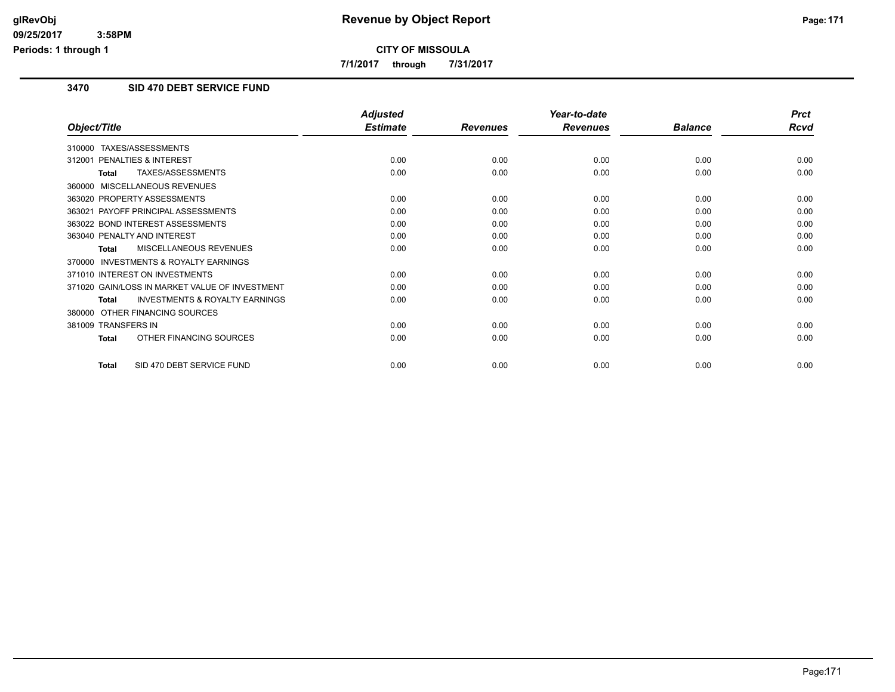**7/1/2017 through 7/31/2017**

# **3470 SID 470 DEBT SERVICE FUND**

|                                                           | <b>Adjusted</b> |                 | Year-to-date    |                | <b>Prct</b> |
|-----------------------------------------------------------|-----------------|-----------------|-----------------|----------------|-------------|
| Object/Title                                              | <b>Estimate</b> | <b>Revenues</b> | <b>Revenues</b> | <b>Balance</b> | <b>Rcvd</b> |
| TAXES/ASSESSMENTS<br>310000                               |                 |                 |                 |                |             |
| 312001 PENALTIES & INTEREST                               | 0.00            | 0.00            | 0.00            | 0.00           | 0.00        |
| TAXES/ASSESSMENTS<br><b>Total</b>                         | 0.00            | 0.00            | 0.00            | 0.00           | 0.00        |
| MISCELLANEOUS REVENUES<br>360000                          |                 |                 |                 |                |             |
| 363020 PROPERTY ASSESSMENTS                               | 0.00            | 0.00            | 0.00            | 0.00           | 0.00        |
| 363021 PAYOFF PRINCIPAL ASSESSMENTS                       | 0.00            | 0.00            | 0.00            | 0.00           | 0.00        |
| 363022 BOND INTEREST ASSESSMENTS                          | 0.00            | 0.00            | 0.00            | 0.00           | 0.00        |
| 363040 PENALTY AND INTEREST                               | 0.00            | 0.00            | 0.00            | 0.00           | 0.00        |
| <b>MISCELLANEOUS REVENUES</b><br><b>Total</b>             | 0.00            | 0.00            | 0.00            | 0.00           | 0.00        |
| <b>INVESTMENTS &amp; ROYALTY EARNINGS</b><br>370000       |                 |                 |                 |                |             |
| 371010 INTEREST ON INVESTMENTS                            | 0.00            | 0.00            | 0.00            | 0.00           | 0.00        |
| 371020 GAIN/LOSS IN MARKET VALUE OF INVESTMENT            | 0.00            | 0.00            | 0.00            | 0.00           | 0.00        |
| <b>INVESTMENTS &amp; ROYALTY EARNINGS</b><br><b>Total</b> | 0.00            | 0.00            | 0.00            | 0.00           | 0.00        |
| OTHER FINANCING SOURCES<br>380000                         |                 |                 |                 |                |             |
| 381009 TRANSFERS IN                                       | 0.00            | 0.00            | 0.00            | 0.00           | 0.00        |
| OTHER FINANCING SOURCES<br><b>Total</b>                   | 0.00            | 0.00            | 0.00            | 0.00           | 0.00        |
| SID 470 DEBT SERVICE FUND<br><b>Total</b>                 | 0.00            | 0.00            | 0.00            | 0.00           | 0.00        |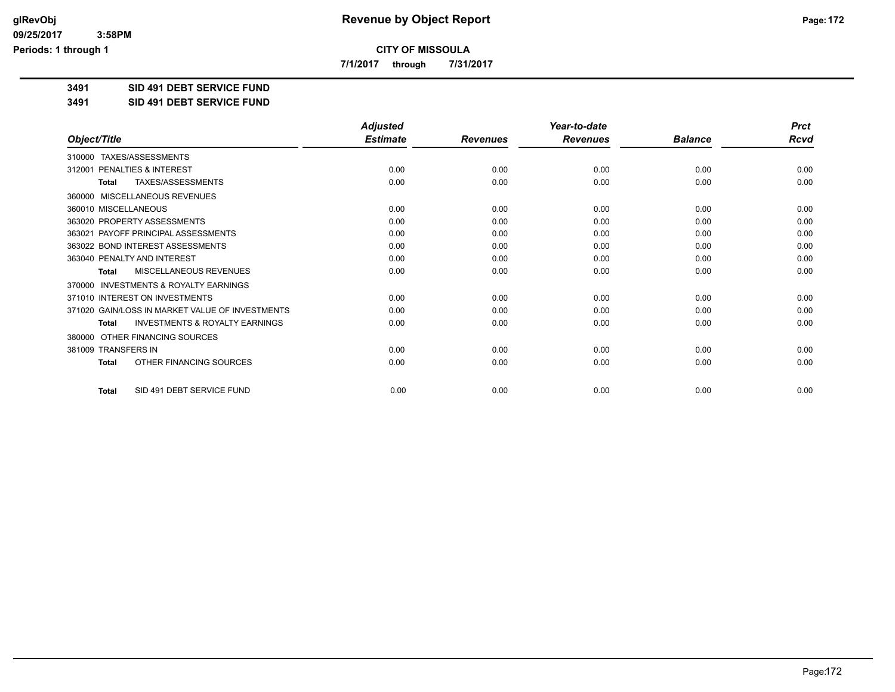**CITY OF MISSOULA**

**7/1/2017 through 7/31/2017**

**3491 SID 491 DEBT SERVICE FUND**

 **3:58PM**

**3491 SID 491 DEBT SERVICE FUND**

|                                                           | <b>Adjusted</b> |                 | Year-to-date    |                | <b>Prct</b> |
|-----------------------------------------------------------|-----------------|-----------------|-----------------|----------------|-------------|
| Object/Title                                              | <b>Estimate</b> | <b>Revenues</b> | <b>Revenues</b> | <b>Balance</b> | <b>Rcvd</b> |
| TAXES/ASSESSMENTS<br>310000                               |                 |                 |                 |                |             |
| PENALTIES & INTEREST<br>312001                            | 0.00            | 0.00            | 0.00            | 0.00           | 0.00        |
| <b>TAXES/ASSESSMENTS</b><br>Total                         | 0.00            | 0.00            | 0.00            | 0.00           | 0.00        |
| MISCELLANEOUS REVENUES<br>360000                          |                 |                 |                 |                |             |
| 360010 MISCELLANEOUS                                      | 0.00            | 0.00            | 0.00            | 0.00           | 0.00        |
| 363020 PROPERTY ASSESSMENTS                               | 0.00            | 0.00            | 0.00            | 0.00           | 0.00        |
| 363021 PAYOFF PRINCIPAL ASSESSMENTS                       | 0.00            | 0.00            | 0.00            | 0.00           | 0.00        |
| 363022 BOND INTEREST ASSESSMENTS                          | 0.00            | 0.00            | 0.00            | 0.00           | 0.00        |
| 363040 PENALTY AND INTEREST                               | 0.00            | 0.00            | 0.00            | 0.00           | 0.00        |
| MISCELLANEOUS REVENUES<br>Total                           | 0.00            | 0.00            | 0.00            | 0.00           | 0.00        |
| <b>INVESTMENTS &amp; ROYALTY EARNINGS</b><br>370000       |                 |                 |                 |                |             |
| 371010 INTEREST ON INVESTMENTS                            | 0.00            | 0.00            | 0.00            | 0.00           | 0.00        |
| 371020 GAIN/LOSS IN MARKET VALUE OF INVESTMENTS           | 0.00            | 0.00            | 0.00            | 0.00           | 0.00        |
| <b>INVESTMENTS &amp; ROYALTY EARNINGS</b><br><b>Total</b> | 0.00            | 0.00            | 0.00            | 0.00           | 0.00        |
| OTHER FINANCING SOURCES<br>380000                         |                 |                 |                 |                |             |
| 381009 TRANSFERS IN                                       | 0.00            | 0.00            | 0.00            | 0.00           | 0.00        |
| OTHER FINANCING SOURCES<br><b>Total</b>                   | 0.00            | 0.00            | 0.00            | 0.00           | 0.00        |
| SID 491 DEBT SERVICE FUND<br><b>Total</b>                 | 0.00            | 0.00            | 0.00            | 0.00           | 0.00        |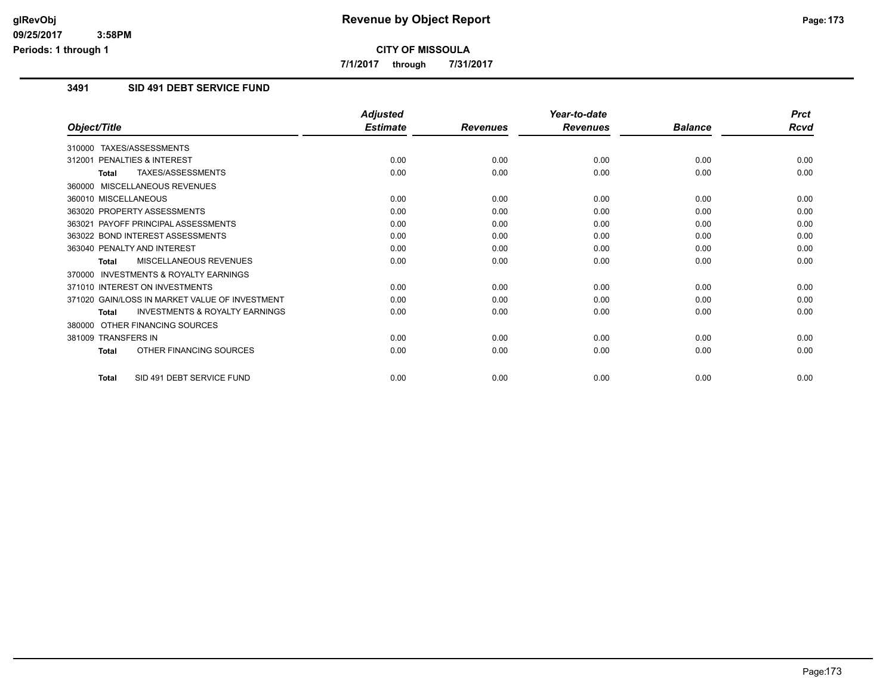**CITY OF MISSOULA**

**7/1/2017 through 7/31/2017**

## **3491 SID 491 DEBT SERVICE FUND**

 **3:58PM**

|                                                           | <b>Adjusted</b> |                 | Year-to-date    |                | <b>Prct</b> |
|-----------------------------------------------------------|-----------------|-----------------|-----------------|----------------|-------------|
| Object/Title                                              | <b>Estimate</b> | <b>Revenues</b> | <b>Revenues</b> | <b>Balance</b> | <b>Rcvd</b> |
| 310000 TAXES/ASSESSMENTS                                  |                 |                 |                 |                |             |
| PENALTIES & INTEREST<br>312001                            | 0.00            | 0.00            | 0.00            | 0.00           | 0.00        |
| TAXES/ASSESSMENTS<br>Total                                | 0.00            | 0.00            | 0.00            | 0.00           | 0.00        |
| 360000 MISCELLANEOUS REVENUES                             |                 |                 |                 |                |             |
| 360010 MISCELLANEOUS                                      | 0.00            | 0.00            | 0.00            | 0.00           | 0.00        |
| 363020 PROPERTY ASSESSMENTS                               | 0.00            | 0.00            | 0.00            | 0.00           | 0.00        |
| 363021 PAYOFF PRINCIPAL ASSESSMENTS                       | 0.00            | 0.00            | 0.00            | 0.00           | 0.00        |
| 363022 BOND INTEREST ASSESSMENTS                          | 0.00            | 0.00            | 0.00            | 0.00           | 0.00        |
| 363040 PENALTY AND INTEREST                               | 0.00            | 0.00            | 0.00            | 0.00           | 0.00        |
| <b>MISCELLANEOUS REVENUES</b><br><b>Total</b>             | 0.00            | 0.00            | 0.00            | 0.00           | 0.00        |
| 370000 INVESTMENTS & ROYALTY EARNINGS                     |                 |                 |                 |                |             |
| 371010 INTEREST ON INVESTMENTS                            | 0.00            | 0.00            | 0.00            | 0.00           | 0.00        |
| 371020 GAIN/LOSS IN MARKET VALUE OF INVESTMENT            | 0.00            | 0.00            | 0.00            | 0.00           | 0.00        |
| <b>INVESTMENTS &amp; ROYALTY EARNINGS</b><br><b>Total</b> | 0.00            | 0.00            | 0.00            | 0.00           | 0.00        |
| 380000 OTHER FINANCING SOURCES                            |                 |                 |                 |                |             |
| 381009 TRANSFERS IN                                       | 0.00            | 0.00            | 0.00            | 0.00           | 0.00        |
| OTHER FINANCING SOURCES<br><b>Total</b>                   | 0.00            | 0.00            | 0.00            | 0.00           | 0.00        |
| SID 491 DEBT SERVICE FUND<br><b>Total</b>                 | 0.00            | 0.00            | 0.00            | 0.00           | 0.00        |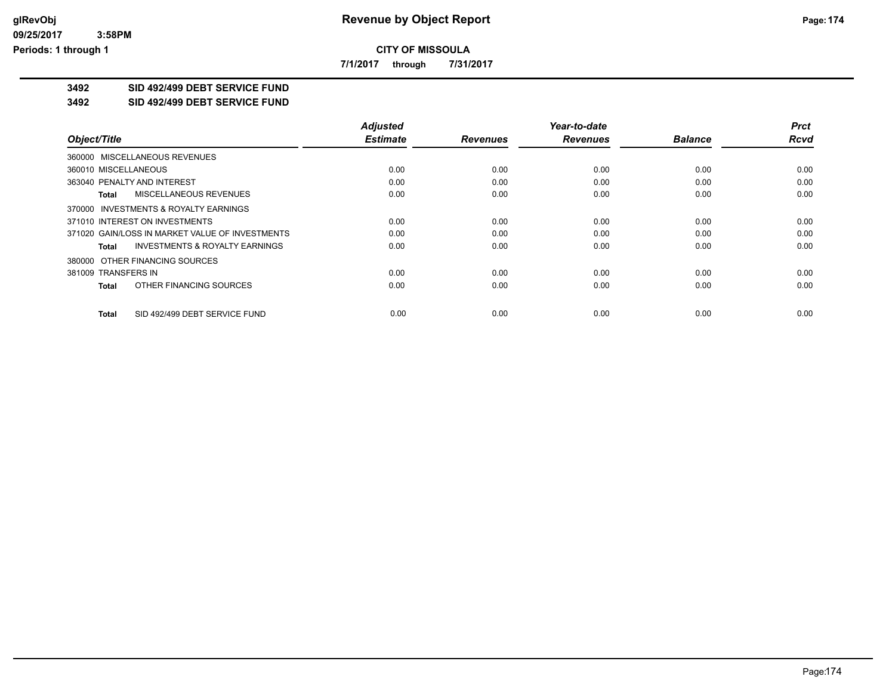**7/1/2017 through 7/31/2017**

# **3492 SID 492/499 DEBT SERVICE FUND**

**3492 SID 492/499 DEBT SERVICE FUND**

|                                                    | <b>Adjusted</b> |                 | Year-to-date    |                | <b>Prct</b> |
|----------------------------------------------------|-----------------|-----------------|-----------------|----------------|-------------|
| Object/Title                                       | <b>Estimate</b> | <b>Revenues</b> | <b>Revenues</b> | <b>Balance</b> | <b>Rcvd</b> |
| 360000 MISCELLANEOUS REVENUES                      |                 |                 |                 |                |             |
| 360010 MISCELLANEOUS                               | 0.00            | 0.00            | 0.00            | 0.00           | 0.00        |
| 363040 PENALTY AND INTEREST                        | 0.00            | 0.00            | 0.00            | 0.00           | 0.00        |
| MISCELLANEOUS REVENUES<br>Total                    | 0.00            | 0.00            | 0.00            | 0.00           | 0.00        |
| 370000 INVESTMENTS & ROYALTY EARNINGS              |                 |                 |                 |                |             |
| 371010 INTEREST ON INVESTMENTS                     | 0.00            | 0.00            | 0.00            | 0.00           | 0.00        |
| 371020 GAIN/LOSS IN MARKET VALUE OF INVESTMENTS    | 0.00            | 0.00            | 0.00            | 0.00           | 0.00        |
| <b>INVESTMENTS &amp; ROYALTY EARNINGS</b><br>Total | 0.00            | 0.00            | 0.00            | 0.00           | 0.00        |
| 380000 OTHER FINANCING SOURCES                     |                 |                 |                 |                |             |
| 381009 TRANSFERS IN                                | 0.00            | 0.00            | 0.00            | 0.00           | 0.00        |
| OTHER FINANCING SOURCES<br>Total                   | 0.00            | 0.00            | 0.00            | 0.00           | 0.00        |
| SID 492/499 DEBT SERVICE FUND<br>Total             | 0.00            | 0.00            | 0.00            | 0.00           | 0.00        |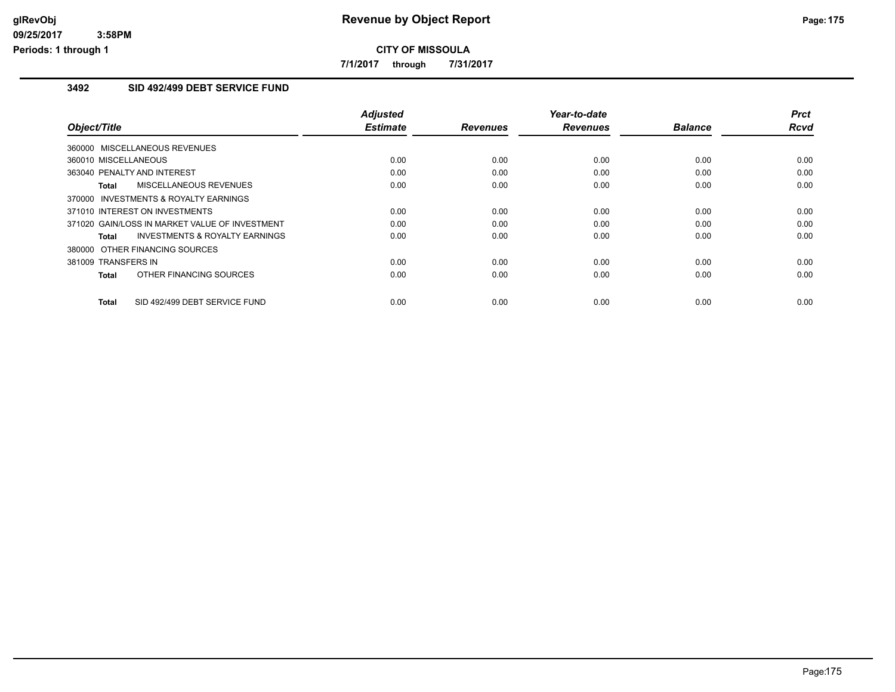**CITY OF MISSOULA**

**7/1/2017 through 7/31/2017**

### **3492 SID 492/499 DEBT SERVICE FUND**

| Object/Title                                        | <b>Adjusted</b><br><b>Estimate</b> | <b>Revenues</b> | Year-to-date<br><b>Revenues</b> | <b>Balance</b> | <b>Prct</b><br><b>Rcvd</b> |
|-----------------------------------------------------|------------------------------------|-----------------|---------------------------------|----------------|----------------------------|
|                                                     |                                    |                 |                                 |                |                            |
| 360000 MISCELLANEOUS REVENUES                       |                                    |                 |                                 |                |                            |
| 360010 MISCELLANEOUS                                | 0.00                               | 0.00            | 0.00                            | 0.00           | 0.00                       |
| 363040 PENALTY AND INTEREST                         | 0.00                               | 0.00            | 0.00                            | 0.00           | 0.00                       |
| MISCELLANEOUS REVENUES<br><b>Total</b>              | 0.00                               | 0.00            | 0.00                            | 0.00           | 0.00                       |
| <b>INVESTMENTS &amp; ROYALTY EARNINGS</b><br>370000 |                                    |                 |                                 |                |                            |
| 371010 INTEREST ON INVESTMENTS                      | 0.00                               | 0.00            | 0.00                            | 0.00           | 0.00                       |
| 371020 GAIN/LOSS IN MARKET VALUE OF INVESTMENT      | 0.00                               | 0.00            | 0.00                            | 0.00           | 0.00                       |
| <b>INVESTMENTS &amp; ROYALTY EARNINGS</b><br>Total  | 0.00                               | 0.00            | 0.00                            | 0.00           | 0.00                       |
| 380000 OTHER FINANCING SOURCES                      |                                    |                 |                                 |                |                            |
| 381009 TRANSFERS IN                                 | 0.00                               | 0.00            | 0.00                            | 0.00           | 0.00                       |
| OTHER FINANCING SOURCES<br>Total                    | 0.00                               | 0.00            | 0.00                            | 0.00           | 0.00                       |
| SID 492/499 DEBT SERVICE FUND<br><b>Total</b>       | 0.00                               | 0.00            | 0.00                            | 0.00           | 0.00                       |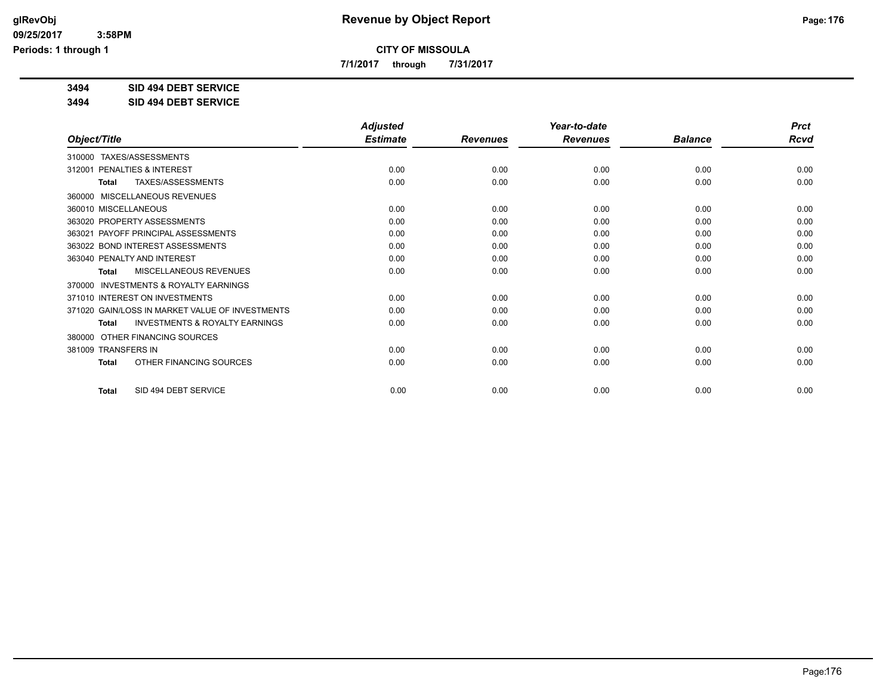**7/1/2017 through 7/31/2017**

**3494 SID 494 DEBT SERVICE**

**3494 SID 494 DEBT SERVICE**

|                                                           | <b>Adjusted</b> |                 | Year-to-date    |                | <b>Prct</b> |
|-----------------------------------------------------------|-----------------|-----------------|-----------------|----------------|-------------|
| Object/Title                                              | <b>Estimate</b> | <b>Revenues</b> | <b>Revenues</b> | <b>Balance</b> | <b>Rcvd</b> |
| TAXES/ASSESSMENTS<br>310000                               |                 |                 |                 |                |             |
| PENALTIES & INTEREST<br>312001                            | 0.00            | 0.00            | 0.00            | 0.00           | 0.00        |
| TAXES/ASSESSMENTS<br>Total                                | 0.00            | 0.00            | 0.00            | 0.00           | 0.00        |
| MISCELLANEOUS REVENUES<br>360000                          |                 |                 |                 |                |             |
| 360010 MISCELLANEOUS                                      | 0.00            | 0.00            | 0.00            | 0.00           | 0.00        |
| 363020 PROPERTY ASSESSMENTS                               | 0.00            | 0.00            | 0.00            | 0.00           | 0.00        |
| 363021 PAYOFF PRINCIPAL ASSESSMENTS                       | 0.00            | 0.00            | 0.00            | 0.00           | 0.00        |
| 363022 BOND INTEREST ASSESSMENTS                          | 0.00            | 0.00            | 0.00            | 0.00           | 0.00        |
| 363040 PENALTY AND INTEREST                               | 0.00            | 0.00            | 0.00            | 0.00           | 0.00        |
| MISCELLANEOUS REVENUES<br><b>Total</b>                    | 0.00            | 0.00            | 0.00            | 0.00           | 0.00        |
| <b>INVESTMENTS &amp; ROYALTY EARNINGS</b><br>370000       |                 |                 |                 |                |             |
| 371010 INTEREST ON INVESTMENTS                            | 0.00            | 0.00            | 0.00            | 0.00           | 0.00        |
| 371020 GAIN/LOSS IN MARKET VALUE OF INVESTMENTS           | 0.00            | 0.00            | 0.00            | 0.00           | 0.00        |
| <b>INVESTMENTS &amp; ROYALTY EARNINGS</b><br><b>Total</b> | 0.00            | 0.00            | 0.00            | 0.00           | 0.00        |
| OTHER FINANCING SOURCES<br>380000                         |                 |                 |                 |                |             |
| 381009 TRANSFERS IN                                       | 0.00            | 0.00            | 0.00            | 0.00           | 0.00        |
| OTHER FINANCING SOURCES<br>Total                          | 0.00            | 0.00            | 0.00            | 0.00           | 0.00        |
| SID 494 DEBT SERVICE<br><b>Total</b>                      | 0.00            | 0.00            | 0.00            | 0.00           | 0.00        |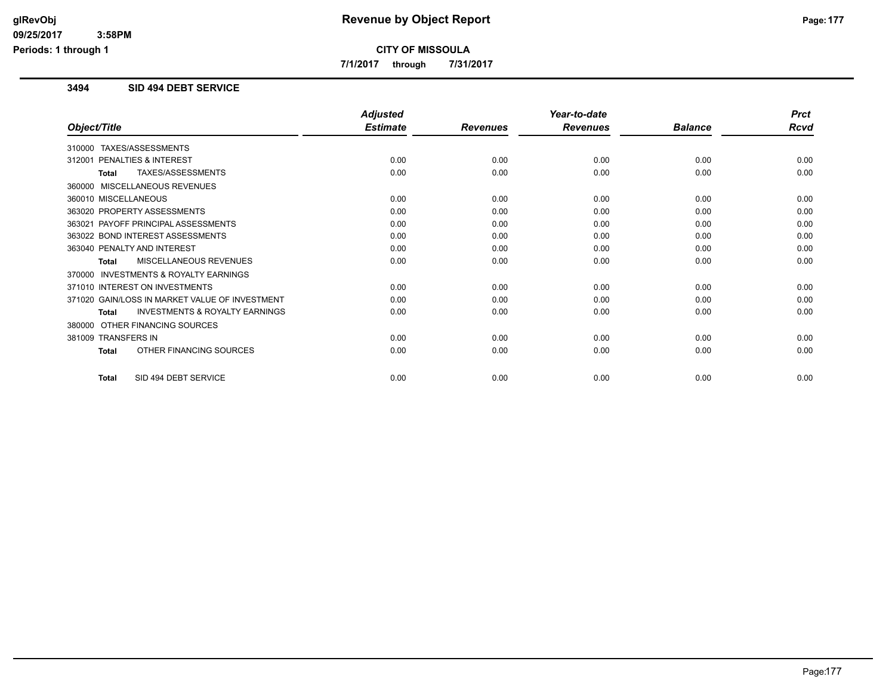**CITY OF MISSOULA**

**7/1/2017 through 7/31/2017**

## **3494 SID 494 DEBT SERVICE**

|                                                           | <b>Adjusted</b> |                 | Year-to-date    |                | <b>Prct</b> |
|-----------------------------------------------------------|-----------------|-----------------|-----------------|----------------|-------------|
| Object/Title                                              | <b>Estimate</b> | <b>Revenues</b> | <b>Revenues</b> | <b>Balance</b> | <b>Rcvd</b> |
| 310000 TAXES/ASSESSMENTS                                  |                 |                 |                 |                |             |
| PENALTIES & INTEREST<br>312001                            | 0.00            | 0.00            | 0.00            | 0.00           | 0.00        |
| TAXES/ASSESSMENTS<br><b>Total</b>                         | 0.00            | 0.00            | 0.00            | 0.00           | 0.00        |
| 360000 MISCELLANEOUS REVENUES                             |                 |                 |                 |                |             |
| 360010 MISCELLANEOUS                                      | 0.00            | 0.00            | 0.00            | 0.00           | 0.00        |
| 363020 PROPERTY ASSESSMENTS                               | 0.00            | 0.00            | 0.00            | 0.00           | 0.00        |
| 363021 PAYOFF PRINCIPAL ASSESSMENTS                       | 0.00            | 0.00            | 0.00            | 0.00           | 0.00        |
| 363022 BOND INTEREST ASSESSMENTS                          | 0.00            | 0.00            | 0.00            | 0.00           | 0.00        |
| 363040 PENALTY AND INTEREST                               | 0.00            | 0.00            | 0.00            | 0.00           | 0.00        |
| MISCELLANEOUS REVENUES<br><b>Total</b>                    | 0.00            | 0.00            | 0.00            | 0.00           | 0.00        |
| <b>INVESTMENTS &amp; ROYALTY EARNINGS</b><br>370000       |                 |                 |                 |                |             |
| 371010 INTEREST ON INVESTMENTS                            | 0.00            | 0.00            | 0.00            | 0.00           | 0.00        |
| 371020 GAIN/LOSS IN MARKET VALUE OF INVESTMENT            | 0.00            | 0.00            | 0.00            | 0.00           | 0.00        |
| <b>INVESTMENTS &amp; ROYALTY EARNINGS</b><br><b>Total</b> | 0.00            | 0.00            | 0.00            | 0.00           | 0.00        |
| OTHER FINANCING SOURCES<br>380000                         |                 |                 |                 |                |             |
| 381009 TRANSFERS IN                                       | 0.00            | 0.00            | 0.00            | 0.00           | 0.00        |
| OTHER FINANCING SOURCES<br><b>Total</b>                   | 0.00            | 0.00            | 0.00            | 0.00           | 0.00        |
| SID 494 DEBT SERVICE<br><b>Total</b>                      | 0.00            | 0.00            | 0.00            | 0.00           | 0.00        |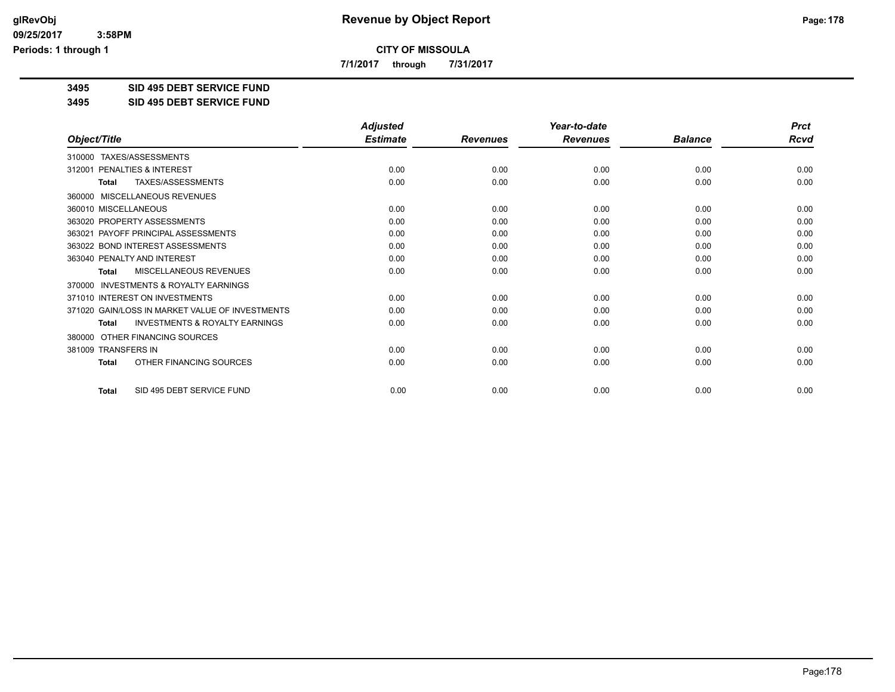**CITY OF MISSOULA**

**7/1/2017 through 7/31/2017**

**3495 SID 495 DEBT SERVICE FUND**

**3495 SID 495 DEBT SERVICE FUND**

|                                                           | <b>Adjusted</b> |                 | Year-to-date    |                | <b>Prct</b> |
|-----------------------------------------------------------|-----------------|-----------------|-----------------|----------------|-------------|
| Object/Title                                              | <b>Estimate</b> | <b>Revenues</b> | <b>Revenues</b> | <b>Balance</b> | <b>Rcvd</b> |
| TAXES/ASSESSMENTS<br>310000                               |                 |                 |                 |                |             |
| PENALTIES & INTEREST<br>312001                            | 0.00            | 0.00            | 0.00            | 0.00           | 0.00        |
| <b>TAXES/ASSESSMENTS</b><br>Total                         | 0.00            | 0.00            | 0.00            | 0.00           | 0.00        |
| MISCELLANEOUS REVENUES<br>360000                          |                 |                 |                 |                |             |
| 360010 MISCELLANEOUS                                      | 0.00            | 0.00            | 0.00            | 0.00           | 0.00        |
| 363020 PROPERTY ASSESSMENTS                               | 0.00            | 0.00            | 0.00            | 0.00           | 0.00        |
| 363021 PAYOFF PRINCIPAL ASSESSMENTS                       | 0.00            | 0.00            | 0.00            | 0.00           | 0.00        |
| 363022 BOND INTEREST ASSESSMENTS                          | 0.00            | 0.00            | 0.00            | 0.00           | 0.00        |
| 363040 PENALTY AND INTEREST                               | 0.00            | 0.00            | 0.00            | 0.00           | 0.00        |
| MISCELLANEOUS REVENUES<br>Total                           | 0.00            | 0.00            | 0.00            | 0.00           | 0.00        |
| <b>INVESTMENTS &amp; ROYALTY EARNINGS</b><br>370000       |                 |                 |                 |                |             |
| 371010 INTEREST ON INVESTMENTS                            | 0.00            | 0.00            | 0.00            | 0.00           | 0.00        |
| 371020 GAIN/LOSS IN MARKET VALUE OF INVESTMENTS           | 0.00            | 0.00            | 0.00            | 0.00           | 0.00        |
| <b>INVESTMENTS &amp; ROYALTY EARNINGS</b><br><b>Total</b> | 0.00            | 0.00            | 0.00            | 0.00           | 0.00        |
| OTHER FINANCING SOURCES<br>380000                         |                 |                 |                 |                |             |
| 381009 TRANSFERS IN                                       | 0.00            | 0.00            | 0.00            | 0.00           | 0.00        |
| OTHER FINANCING SOURCES<br><b>Total</b>                   | 0.00            | 0.00            | 0.00            | 0.00           | 0.00        |
| SID 495 DEBT SERVICE FUND<br><b>Total</b>                 | 0.00            | 0.00            | 0.00            | 0.00           | 0.00        |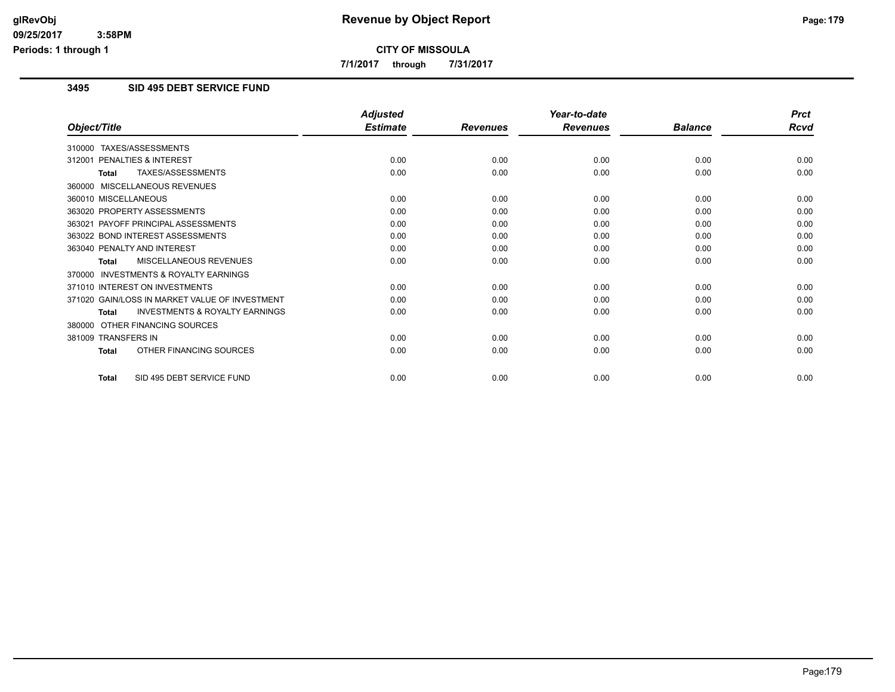**CITY OF MISSOULA**

**7/1/2017 through 7/31/2017**

## **3495 SID 495 DEBT SERVICE FUND**

 **3:58PM**

|                                                    | <b>Adjusted</b> |                 | Year-to-date    |                | <b>Prct</b> |
|----------------------------------------------------|-----------------|-----------------|-----------------|----------------|-------------|
| Object/Title                                       | <b>Estimate</b> | <b>Revenues</b> | <b>Revenues</b> | <b>Balance</b> | <b>Rcvd</b> |
| 310000 TAXES/ASSESSMENTS                           |                 |                 |                 |                |             |
| PENALTIES & INTEREST<br>312001                     | 0.00            | 0.00            | 0.00            | 0.00           | 0.00        |
| TAXES/ASSESSMENTS<br><b>Total</b>                  | 0.00            | 0.00            | 0.00            | 0.00           | 0.00        |
| 360000 MISCELLANEOUS REVENUES                      |                 |                 |                 |                |             |
| 360010 MISCELLANEOUS                               | 0.00            | 0.00            | 0.00            | 0.00           | 0.00        |
| 363020 PROPERTY ASSESSMENTS                        | 0.00            | 0.00            | 0.00            | 0.00           | 0.00        |
| 363021 PAYOFF PRINCIPAL ASSESSMENTS                | 0.00            | 0.00            | 0.00            | 0.00           | 0.00        |
| 363022 BOND INTEREST ASSESSMENTS                   | 0.00            | 0.00            | 0.00            | 0.00           | 0.00        |
| 363040 PENALTY AND INTEREST                        | 0.00            | 0.00            | 0.00            | 0.00           | 0.00        |
| MISCELLANEOUS REVENUES<br>Total                    | 0.00            | 0.00            | 0.00            | 0.00           | 0.00        |
| 370000 INVESTMENTS & ROYALTY EARNINGS              |                 |                 |                 |                |             |
| 371010 INTEREST ON INVESTMENTS                     | 0.00            | 0.00            | 0.00            | 0.00           | 0.00        |
| 371020 GAIN/LOSS IN MARKET VALUE OF INVESTMENT     | 0.00            | 0.00            | 0.00            | 0.00           | 0.00        |
| <b>INVESTMENTS &amp; ROYALTY EARNINGS</b><br>Total | 0.00            | 0.00            | 0.00            | 0.00           | 0.00        |
| 380000 OTHER FINANCING SOURCES                     |                 |                 |                 |                |             |
| 381009 TRANSFERS IN                                | 0.00            | 0.00            | 0.00            | 0.00           | 0.00        |
| OTHER FINANCING SOURCES<br><b>Total</b>            | 0.00            | 0.00            | 0.00            | 0.00           | 0.00        |
| SID 495 DEBT SERVICE FUND<br><b>Total</b>          | 0.00            | 0.00            | 0.00            | 0.00           | 0.00        |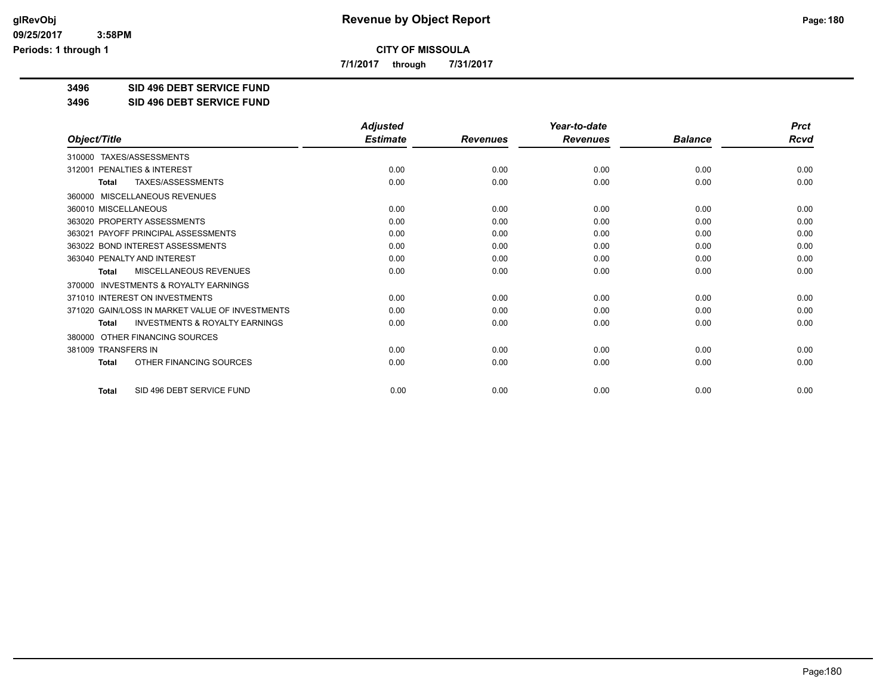**7/1/2017 through 7/31/2017**

**3496 SID 496 DEBT SERVICE FUND**

**3496 SID 496 DEBT SERVICE FUND**

|                                                           | <b>Adjusted</b> |                 | Year-to-date    |                | <b>Prct</b> |
|-----------------------------------------------------------|-----------------|-----------------|-----------------|----------------|-------------|
| Object/Title                                              | <b>Estimate</b> | <b>Revenues</b> | <b>Revenues</b> | <b>Balance</b> | <b>Rcvd</b> |
| TAXES/ASSESSMENTS<br>310000                               |                 |                 |                 |                |             |
| 312001 PENALTIES & INTEREST                               | 0.00            | 0.00            | 0.00            | 0.00           | 0.00        |
| TAXES/ASSESSMENTS<br><b>Total</b>                         | 0.00            | 0.00            | 0.00            | 0.00           | 0.00        |
| MISCELLANEOUS REVENUES<br>360000                          |                 |                 |                 |                |             |
| 360010 MISCELLANEOUS                                      | 0.00            | 0.00            | 0.00            | 0.00           | 0.00        |
| 363020 PROPERTY ASSESSMENTS                               | 0.00            | 0.00            | 0.00            | 0.00           | 0.00        |
| 363021 PAYOFF PRINCIPAL ASSESSMENTS                       | 0.00            | 0.00            | 0.00            | 0.00           | 0.00        |
| 363022 BOND INTEREST ASSESSMENTS                          | 0.00            | 0.00            | 0.00            | 0.00           | 0.00        |
| 363040 PENALTY AND INTEREST                               | 0.00            | 0.00            | 0.00            | 0.00           | 0.00        |
| MISCELLANEOUS REVENUES<br>Total                           | 0.00            | 0.00            | 0.00            | 0.00           | 0.00        |
| <b>INVESTMENTS &amp; ROYALTY EARNINGS</b><br>370000       |                 |                 |                 |                |             |
| 371010 INTEREST ON INVESTMENTS                            | 0.00            | 0.00            | 0.00            | 0.00           | 0.00        |
| 371020 GAIN/LOSS IN MARKET VALUE OF INVESTMENTS           | 0.00            | 0.00            | 0.00            | 0.00           | 0.00        |
| <b>INVESTMENTS &amp; ROYALTY EARNINGS</b><br><b>Total</b> | 0.00            | 0.00            | 0.00            | 0.00           | 0.00        |
| OTHER FINANCING SOURCES<br>380000                         |                 |                 |                 |                |             |
| 381009 TRANSFERS IN                                       | 0.00            | 0.00            | 0.00            | 0.00           | 0.00        |
| OTHER FINANCING SOURCES<br><b>Total</b>                   | 0.00            | 0.00            | 0.00            | 0.00           | 0.00        |
| SID 496 DEBT SERVICE FUND<br><b>Total</b>                 | 0.00            | 0.00            | 0.00            | 0.00           | 0.00        |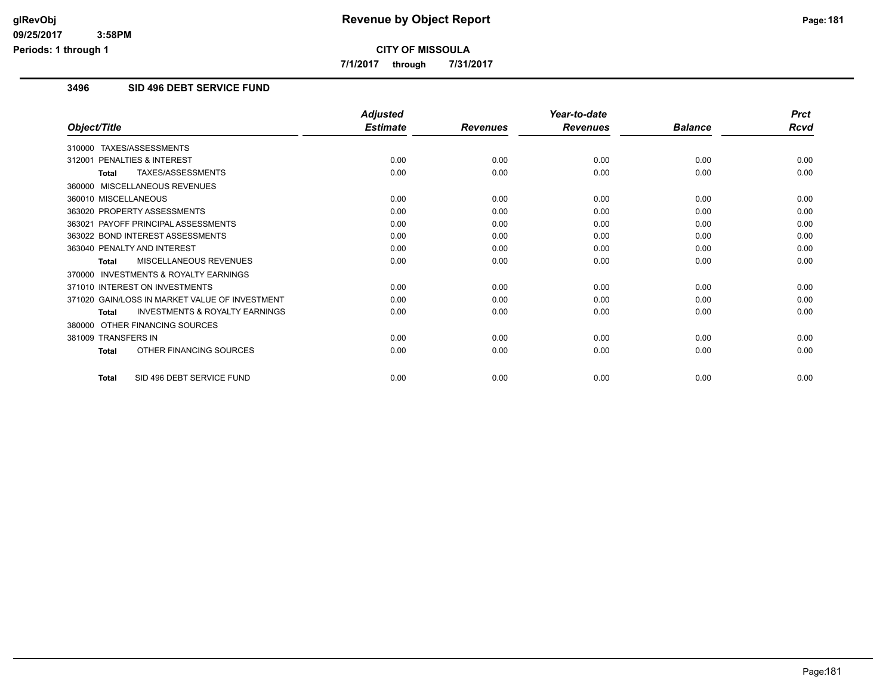**CITY OF MISSOULA**

**7/1/2017 through 7/31/2017**

### **3496 SID 496 DEBT SERVICE FUND**

|                                                           | <b>Adjusted</b> |                 | Year-to-date    |                | <b>Prct</b> |
|-----------------------------------------------------------|-----------------|-----------------|-----------------|----------------|-------------|
| Object/Title                                              | <b>Estimate</b> | <b>Revenues</b> | <b>Revenues</b> | <b>Balance</b> | <b>Rcvd</b> |
| 310000 TAXES/ASSESSMENTS                                  |                 |                 |                 |                |             |
| PENALTIES & INTEREST<br>312001                            | 0.00            | 0.00            | 0.00            | 0.00           | 0.00        |
| TAXES/ASSESSMENTS<br><b>Total</b>                         | 0.00            | 0.00            | 0.00            | 0.00           | 0.00        |
| 360000 MISCELLANEOUS REVENUES                             |                 |                 |                 |                |             |
| 360010 MISCELLANEOUS                                      | 0.00            | 0.00            | 0.00            | 0.00           | 0.00        |
| 363020 PROPERTY ASSESSMENTS                               | 0.00            | 0.00            | 0.00            | 0.00           | 0.00        |
| 363021 PAYOFF PRINCIPAL ASSESSMENTS                       | 0.00            | 0.00            | 0.00            | 0.00           | 0.00        |
| 363022 BOND INTEREST ASSESSMENTS                          | 0.00            | 0.00            | 0.00            | 0.00           | 0.00        |
| 363040 PENALTY AND INTEREST                               | 0.00            | 0.00            | 0.00            | 0.00           | 0.00        |
| MISCELLANEOUS REVENUES<br><b>Total</b>                    | 0.00            | 0.00            | 0.00            | 0.00           | 0.00        |
| <b>INVESTMENTS &amp; ROYALTY EARNINGS</b><br>370000       |                 |                 |                 |                |             |
| 371010 INTEREST ON INVESTMENTS                            | 0.00            | 0.00            | 0.00            | 0.00           | 0.00        |
| 371020 GAIN/LOSS IN MARKET VALUE OF INVESTMENT            | 0.00            | 0.00            | 0.00            | 0.00           | 0.00        |
| <b>INVESTMENTS &amp; ROYALTY EARNINGS</b><br><b>Total</b> | 0.00            | 0.00            | 0.00            | 0.00           | 0.00        |
| 380000 OTHER FINANCING SOURCES                            |                 |                 |                 |                |             |
| 381009 TRANSFERS IN                                       | 0.00            | 0.00            | 0.00            | 0.00           | 0.00        |
| OTHER FINANCING SOURCES<br><b>Total</b>                   | 0.00            | 0.00            | 0.00            | 0.00           | 0.00        |
| SID 496 DEBT SERVICE FUND<br><b>Total</b>                 | 0.00            | 0.00            | 0.00            | 0.00           | 0.00        |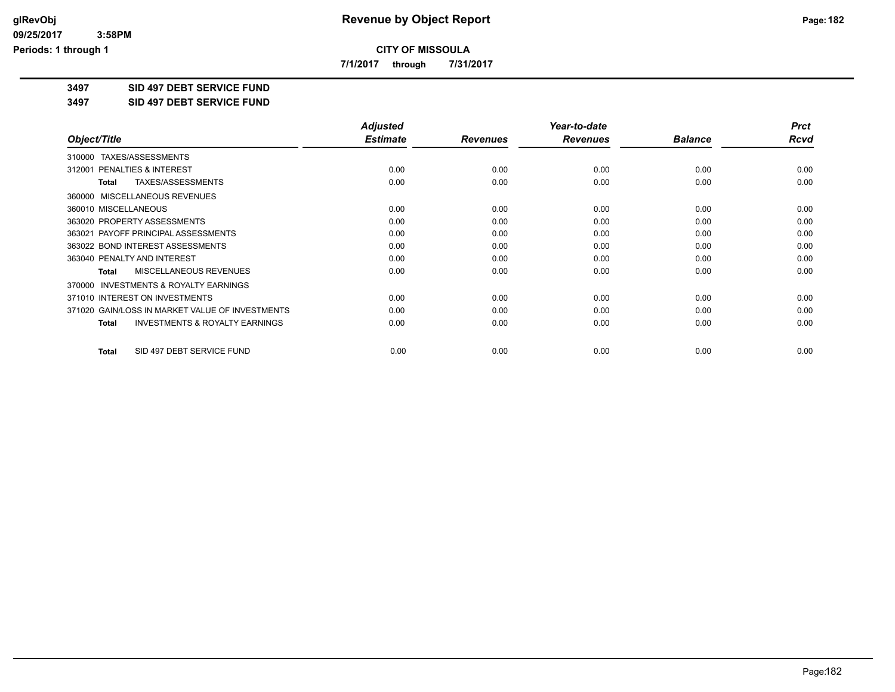**glRevObj Revenue by Object Report Page:182** 

**09/25/2017 3:58PM Periods: 1 through 1**

**CITY OF MISSOULA**

**7/1/2017 through 7/31/2017**

**3497 SID 497 DEBT SERVICE FUND**

**3497 SID 497 DEBT SERVICE FUND**

|                                                     | <b>Adjusted</b> |                 | Year-to-date    |                | <b>Prct</b> |
|-----------------------------------------------------|-----------------|-----------------|-----------------|----------------|-------------|
| Object/Title                                        | <b>Estimate</b> | <b>Revenues</b> | <b>Revenues</b> | <b>Balance</b> | <b>Rcvd</b> |
| 310000 TAXES/ASSESSMENTS                            |                 |                 |                 |                |             |
| 312001 PENALTIES & INTEREST                         | 0.00            | 0.00            | 0.00            | 0.00           | 0.00        |
| TAXES/ASSESSMENTS<br>Total                          | 0.00            | 0.00            | 0.00            | 0.00           | 0.00        |
| 360000 MISCELLANEOUS REVENUES                       |                 |                 |                 |                |             |
| 360010 MISCELLANEOUS                                | 0.00            | 0.00            | 0.00            | 0.00           | 0.00        |
| 363020 PROPERTY ASSESSMENTS                         | 0.00            | 0.00            | 0.00            | 0.00           | 0.00        |
| 363021 PAYOFF PRINCIPAL ASSESSMENTS                 | 0.00            | 0.00            | 0.00            | 0.00           | 0.00        |
| 363022 BOND INTEREST ASSESSMENTS                    | 0.00            | 0.00            | 0.00            | 0.00           | 0.00        |
| 363040 PENALTY AND INTEREST                         | 0.00            | 0.00            | 0.00            | 0.00           | 0.00        |
| <b>MISCELLANEOUS REVENUES</b><br>Total              | 0.00            | 0.00            | 0.00            | 0.00           | 0.00        |
| <b>INVESTMENTS &amp; ROYALTY EARNINGS</b><br>370000 |                 |                 |                 |                |             |
| 371010 INTEREST ON INVESTMENTS                      | 0.00            | 0.00            | 0.00            | 0.00           | 0.00        |
| 371020 GAIN/LOSS IN MARKET VALUE OF INVESTMENTS     | 0.00            | 0.00            | 0.00            | 0.00           | 0.00        |
| <b>INVESTMENTS &amp; ROYALTY EARNINGS</b><br>Total  | 0.00            | 0.00            | 0.00            | 0.00           | 0.00        |
| SID 497 DEBT SERVICE FUND<br><b>Total</b>           | 0.00            | 0.00            | 0.00            | 0.00           | 0.00        |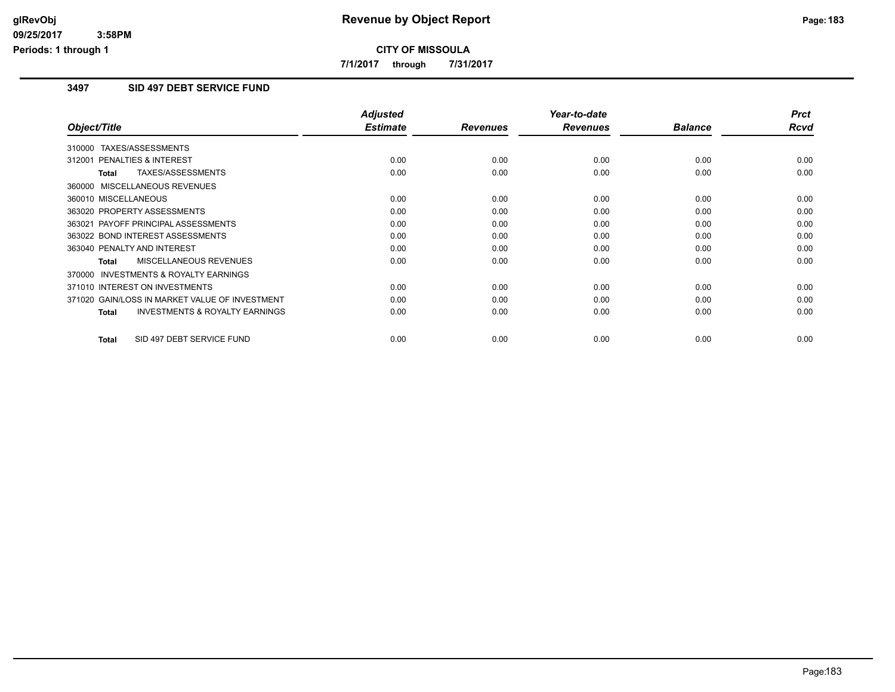**CITY OF MISSOULA**

**7/1/2017 through 7/31/2017**

### **3497 SID 497 DEBT SERVICE FUND**

|                                                     | <b>Adjusted</b> |                 | Year-to-date    |                | <b>Prct</b> |
|-----------------------------------------------------|-----------------|-----------------|-----------------|----------------|-------------|
| Object/Title                                        | <b>Estimate</b> | <b>Revenues</b> | <b>Revenues</b> | <b>Balance</b> | Rcvd        |
| 310000 TAXES/ASSESSMENTS                            |                 |                 |                 |                |             |
| 312001 PENALTIES & INTEREST                         | 0.00            | 0.00            | 0.00            | 0.00           | 0.00        |
| TAXES/ASSESSMENTS<br>Total                          | 0.00            | 0.00            | 0.00            | 0.00           | 0.00        |
| 360000 MISCELLANEOUS REVENUES                       |                 |                 |                 |                |             |
| 360010 MISCELLANEOUS                                | 0.00            | 0.00            | 0.00            | 0.00           | 0.00        |
| 363020 PROPERTY ASSESSMENTS                         | 0.00            | 0.00            | 0.00            | 0.00           | 0.00        |
| 363021 PAYOFF PRINCIPAL ASSESSMENTS                 | 0.00            | 0.00            | 0.00            | 0.00           | 0.00        |
| 363022 BOND INTEREST ASSESSMENTS                    | 0.00            | 0.00            | 0.00            | 0.00           | 0.00        |
| 363040 PENALTY AND INTEREST                         | 0.00            | 0.00            | 0.00            | 0.00           | 0.00        |
| MISCELLANEOUS REVENUES<br>Total                     | 0.00            | 0.00            | 0.00            | 0.00           | 0.00        |
| <b>INVESTMENTS &amp; ROYALTY EARNINGS</b><br>370000 |                 |                 |                 |                |             |
| 371010 INTEREST ON INVESTMENTS                      | 0.00            | 0.00            | 0.00            | 0.00           | 0.00        |
| 371020 GAIN/LOSS IN MARKET VALUE OF INVESTMENT      | 0.00            | 0.00            | 0.00            | 0.00           | 0.00        |
| <b>INVESTMENTS &amp; ROYALTY EARNINGS</b><br>Total  | 0.00            | 0.00            | 0.00            | 0.00           | 0.00        |
| SID 497 DEBT SERVICE FUND<br><b>Total</b>           | 0.00            | 0.00            | 0.00            | 0.00           | 0.00        |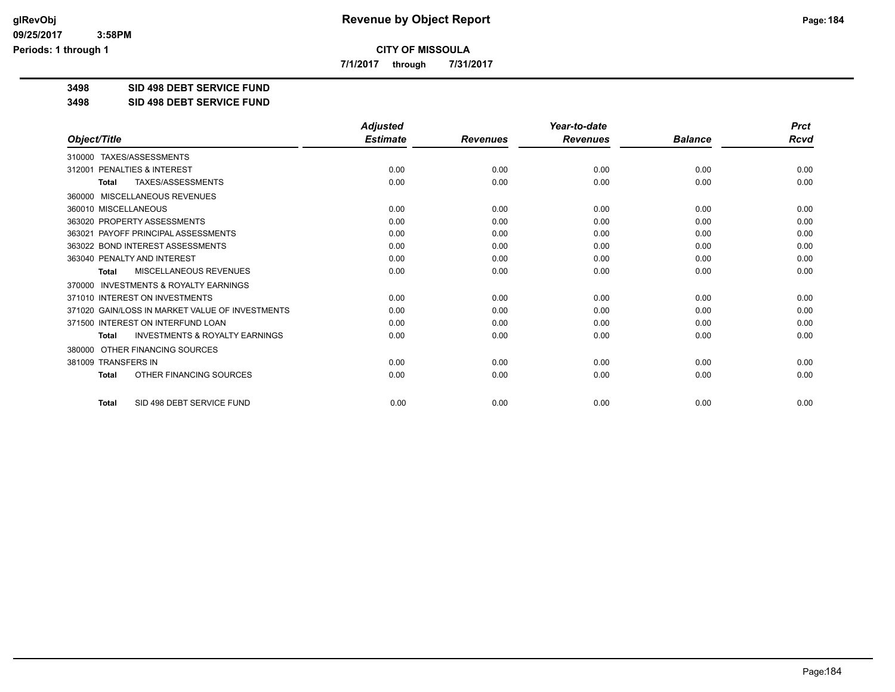**CITY OF MISSOULA**

**7/1/2017 through 7/31/2017**

**3498 SID 498 DEBT SERVICE FUND**

**3498 SID 498 DEBT SERVICE FUND**

|                                                           | <b>Adjusted</b> |                 | Year-to-date    |                | <b>Prct</b> |
|-----------------------------------------------------------|-----------------|-----------------|-----------------|----------------|-------------|
| Object/Title                                              | <b>Estimate</b> | <b>Revenues</b> | <b>Revenues</b> | <b>Balance</b> | <b>Rcvd</b> |
| TAXES/ASSESSMENTS<br>310000                               |                 |                 |                 |                |             |
| 312001 PENALTIES & INTEREST                               | 0.00            | 0.00            | 0.00            | 0.00           | 0.00        |
| <b>TAXES/ASSESSMENTS</b><br><b>Total</b>                  | 0.00            | 0.00            | 0.00            | 0.00           | 0.00        |
| MISCELLANEOUS REVENUES<br>360000                          |                 |                 |                 |                |             |
| 360010 MISCELLANEOUS                                      | 0.00            | 0.00            | 0.00            | 0.00           | 0.00        |
| 363020 PROPERTY ASSESSMENTS                               | 0.00            | 0.00            | 0.00            | 0.00           | 0.00        |
| PAYOFF PRINCIPAL ASSESSMENTS<br>363021                    | 0.00            | 0.00            | 0.00            | 0.00           | 0.00        |
| 363022 BOND INTEREST ASSESSMENTS                          | 0.00            | 0.00            | 0.00            | 0.00           | 0.00        |
| 363040 PENALTY AND INTEREST                               | 0.00            | 0.00            | 0.00            | 0.00           | 0.00        |
| <b>MISCELLANEOUS REVENUES</b><br><b>Total</b>             | 0.00            | 0.00            | 0.00            | 0.00           | 0.00        |
| <b>INVESTMENTS &amp; ROYALTY EARNINGS</b><br>370000       |                 |                 |                 |                |             |
| 371010 INTEREST ON INVESTMENTS                            | 0.00            | 0.00            | 0.00            | 0.00           | 0.00        |
| 371020 GAIN/LOSS IN MARKET VALUE OF INVESTMENTS           | 0.00            | 0.00            | 0.00            | 0.00           | 0.00        |
| 371500 INTEREST ON INTERFUND LOAN                         | 0.00            | 0.00            | 0.00            | 0.00           | 0.00        |
| <b>INVESTMENTS &amp; ROYALTY EARNINGS</b><br><b>Total</b> | 0.00            | 0.00            | 0.00            | 0.00           | 0.00        |
| OTHER FINANCING SOURCES<br>380000                         |                 |                 |                 |                |             |
| 381009 TRANSFERS IN                                       | 0.00            | 0.00            | 0.00            | 0.00           | 0.00        |
| OTHER FINANCING SOURCES<br><b>Total</b>                   | 0.00            | 0.00            | 0.00            | 0.00           | 0.00        |
| SID 498 DEBT SERVICE FUND<br><b>Total</b>                 | 0.00            | 0.00            | 0.00            | 0.00           | 0.00        |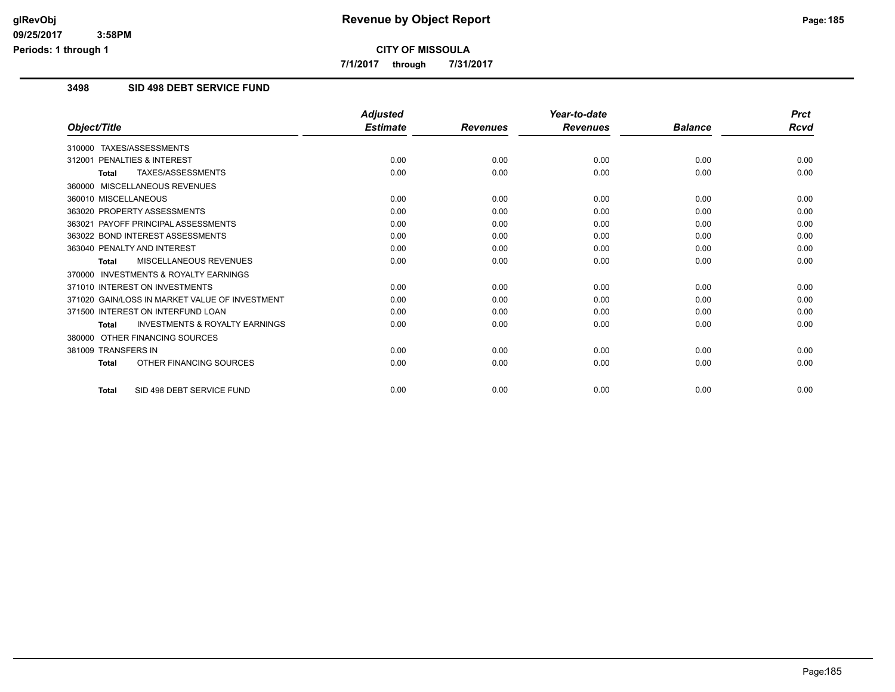**CITY OF MISSOULA**

**7/1/2017 through 7/31/2017**

#### **3498 SID 498 DEBT SERVICE FUND**

|                                                    | <b>Adjusted</b> |                 | Year-to-date    |                | <b>Prct</b> |
|----------------------------------------------------|-----------------|-----------------|-----------------|----------------|-------------|
| Object/Title                                       | <b>Estimate</b> | <b>Revenues</b> | <b>Revenues</b> | <b>Balance</b> | <b>Rcvd</b> |
| 310000 TAXES/ASSESSMENTS                           |                 |                 |                 |                |             |
| <b>PENALTIES &amp; INTEREST</b><br>312001          | 0.00            | 0.00            | 0.00            | 0.00           | 0.00        |
| TAXES/ASSESSMENTS<br>Total                         | 0.00            | 0.00            | 0.00            | 0.00           | 0.00        |
| 360000 MISCELLANEOUS REVENUES                      |                 |                 |                 |                |             |
| 360010 MISCELLANEOUS                               | 0.00            | 0.00            | 0.00            | 0.00           | 0.00        |
| 363020 PROPERTY ASSESSMENTS                        | 0.00            | 0.00            | 0.00            | 0.00           | 0.00        |
| 363021 PAYOFF PRINCIPAL ASSESSMENTS                | 0.00            | 0.00            | 0.00            | 0.00           | 0.00        |
| 363022 BOND INTEREST ASSESSMENTS                   | 0.00            | 0.00            | 0.00            | 0.00           | 0.00        |
| 363040 PENALTY AND INTEREST                        | 0.00            | 0.00            | 0.00            | 0.00           | 0.00        |
| MISCELLANEOUS REVENUES<br><b>Total</b>             | 0.00            | 0.00            | 0.00            | 0.00           | 0.00        |
| 370000 INVESTMENTS & ROYALTY EARNINGS              |                 |                 |                 |                |             |
| 371010 INTEREST ON INVESTMENTS                     | 0.00            | 0.00            | 0.00            | 0.00           | 0.00        |
| 371020 GAIN/LOSS IN MARKET VALUE OF INVESTMENT     | 0.00            | 0.00            | 0.00            | 0.00           | 0.00        |
| 371500 INTEREST ON INTERFUND LOAN                  | 0.00            | 0.00            | 0.00            | 0.00           | 0.00        |
| <b>INVESTMENTS &amp; ROYALTY EARNINGS</b><br>Total | 0.00            | 0.00            | 0.00            | 0.00           | 0.00        |
| OTHER FINANCING SOURCES<br>380000                  |                 |                 |                 |                |             |
| 381009 TRANSFERS IN                                | 0.00            | 0.00            | 0.00            | 0.00           | 0.00        |
| OTHER FINANCING SOURCES<br><b>Total</b>            | 0.00            | 0.00            | 0.00            | 0.00           | 0.00        |
| SID 498 DEBT SERVICE FUND<br><b>Total</b>          | 0.00            | 0.00            | 0.00            | 0.00           | 0.00        |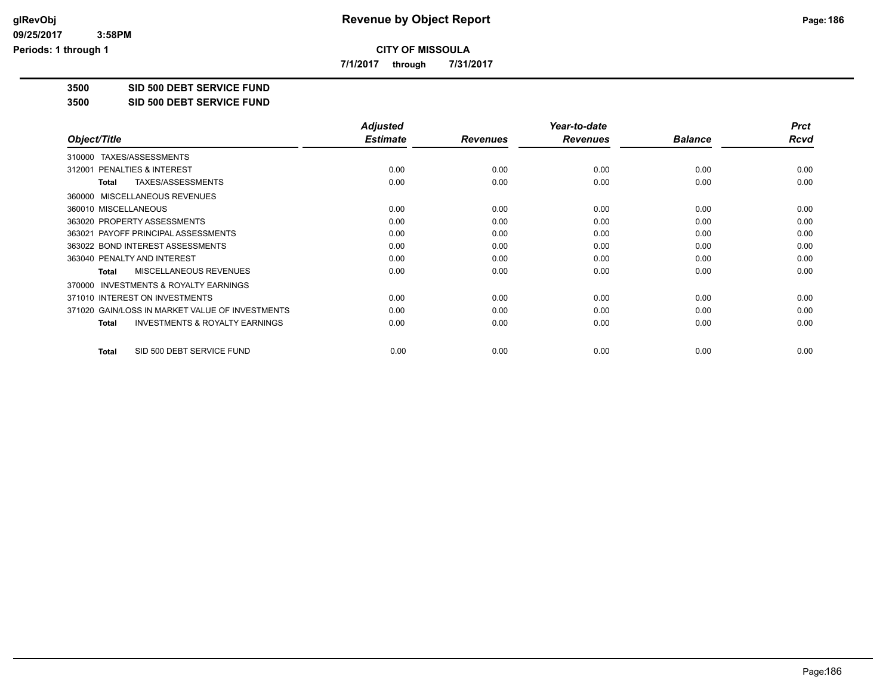**7/1/2017 through 7/31/2017**

**3500 SID 500 DEBT SERVICE FUND**

**3500 SID 500 DEBT SERVICE FUND**

|                                                           | <b>Adjusted</b> |                 | Year-to-date    |                | <b>Prct</b> |
|-----------------------------------------------------------|-----------------|-----------------|-----------------|----------------|-------------|
| Object/Title                                              | <b>Estimate</b> | <b>Revenues</b> | <b>Revenues</b> | <b>Balance</b> | Rcvd        |
| 310000 TAXES/ASSESSMENTS                                  |                 |                 |                 |                |             |
| 312001 PENALTIES & INTEREST                               | 0.00            | 0.00            | 0.00            | 0.00           | 0.00        |
| TAXES/ASSESSMENTS<br><b>Total</b>                         | 0.00            | 0.00            | 0.00            | 0.00           | 0.00        |
| MISCELLANEOUS REVENUES<br>360000                          |                 |                 |                 |                |             |
| 360010 MISCELLANEOUS                                      | 0.00            | 0.00            | 0.00            | 0.00           | 0.00        |
| 363020 PROPERTY ASSESSMENTS                               | 0.00            | 0.00            | 0.00            | 0.00           | 0.00        |
| 363021 PAYOFF PRINCIPAL ASSESSMENTS                       | 0.00            | 0.00            | 0.00            | 0.00           | 0.00        |
| 363022 BOND INTEREST ASSESSMENTS                          | 0.00            | 0.00            | 0.00            | 0.00           | 0.00        |
| 363040 PENALTY AND INTEREST                               | 0.00            | 0.00            | 0.00            | 0.00           | 0.00        |
| <b>MISCELLANEOUS REVENUES</b><br>Total                    | 0.00            | 0.00            | 0.00            | 0.00           | 0.00        |
| 370000 INVESTMENTS & ROYALTY EARNINGS                     |                 |                 |                 |                |             |
| 371010 INTEREST ON INVESTMENTS                            | 0.00            | 0.00            | 0.00            | 0.00           | 0.00        |
| 371020 GAIN/LOSS IN MARKET VALUE OF INVESTMENTS           | 0.00            | 0.00            | 0.00            | 0.00           | 0.00        |
| <b>INVESTMENTS &amp; ROYALTY EARNINGS</b><br><b>Total</b> | 0.00            | 0.00            | 0.00            | 0.00           | 0.00        |
| SID 500 DEBT SERVICE FUND<br><b>Total</b>                 | 0.00            | 0.00            | 0.00            | 0.00           | 0.00        |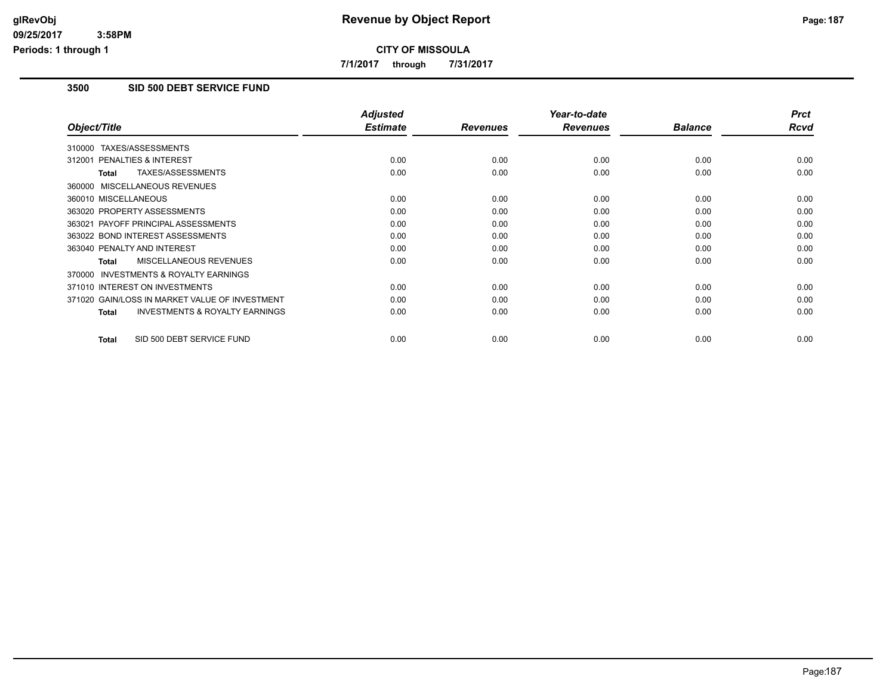**CITY OF MISSOULA**

**7/1/2017 through 7/31/2017**

# **3500 SID 500 DEBT SERVICE FUND**

|                                                           | <b>Adjusted</b> |                 | Year-to-date    |                | <b>Prct</b> |
|-----------------------------------------------------------|-----------------|-----------------|-----------------|----------------|-------------|
| Object/Title                                              | <b>Estimate</b> | <b>Revenues</b> | <b>Revenues</b> | <b>Balance</b> | <b>Rcvd</b> |
| 310000 TAXES/ASSESSMENTS                                  |                 |                 |                 |                |             |
| 312001 PENALTIES & INTEREST                               | 0.00            | 0.00            | 0.00            | 0.00           | 0.00        |
| <b>TAXES/ASSESSMENTS</b><br><b>Total</b>                  | 0.00            | 0.00            | 0.00            | 0.00           | 0.00        |
| 360000 MISCELLANEOUS REVENUES                             |                 |                 |                 |                |             |
| 360010 MISCELLANEOUS                                      | 0.00            | 0.00            | 0.00            | 0.00           | 0.00        |
| 363020 PROPERTY ASSESSMENTS                               | 0.00            | 0.00            | 0.00            | 0.00           | 0.00        |
| 363021 PAYOFF PRINCIPAL ASSESSMENTS                       | 0.00            | 0.00            | 0.00            | 0.00           | 0.00        |
| 363022 BOND INTEREST ASSESSMENTS                          | 0.00            | 0.00            | 0.00            | 0.00           | 0.00        |
| 363040 PENALTY AND INTEREST                               | 0.00            | 0.00            | 0.00            | 0.00           | 0.00        |
| MISCELLANEOUS REVENUES<br>Total                           | 0.00            | 0.00            | 0.00            | 0.00           | 0.00        |
| <b>INVESTMENTS &amp; ROYALTY EARNINGS</b><br>370000       |                 |                 |                 |                |             |
| 371010 INTEREST ON INVESTMENTS                            | 0.00            | 0.00            | 0.00            | 0.00           | 0.00        |
| 371020 GAIN/LOSS IN MARKET VALUE OF INVESTMENT            | 0.00            | 0.00            | 0.00            | 0.00           | 0.00        |
| <b>INVESTMENTS &amp; ROYALTY EARNINGS</b><br><b>Total</b> | 0.00            | 0.00            | 0.00            | 0.00           | 0.00        |
| SID 500 DEBT SERVICE FUND<br><b>Total</b>                 | 0.00            | 0.00            | 0.00            | 0.00           | 0.00        |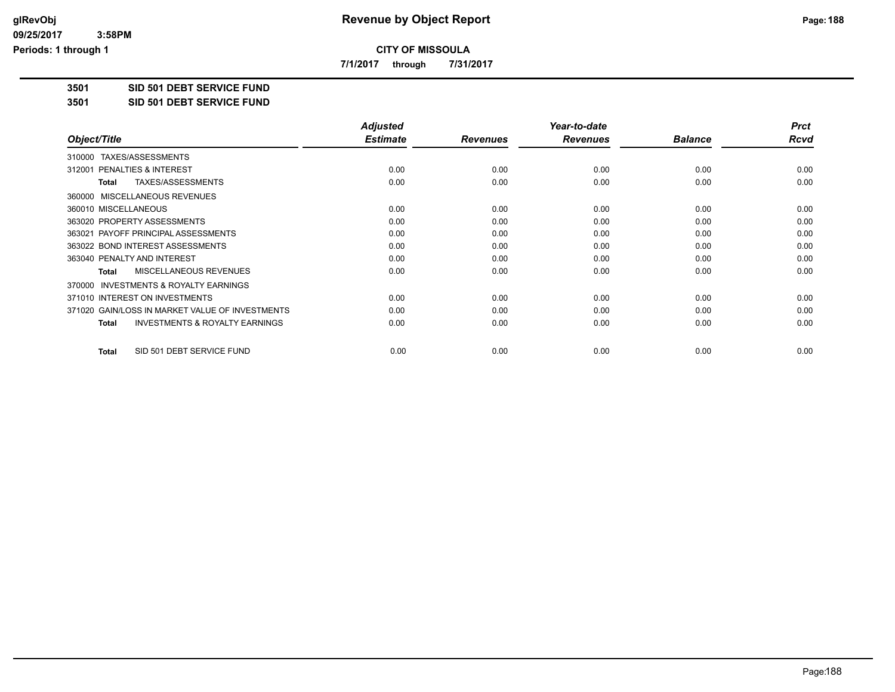**7/1/2017 through 7/31/2017**

**3501 SID 501 DEBT SERVICE FUND**

**3501 SID 501 DEBT SERVICE FUND**

|                                                     | <b>Adjusted</b> |                 | Year-to-date    |                | <b>Prct</b> |
|-----------------------------------------------------|-----------------|-----------------|-----------------|----------------|-------------|
| Object/Title                                        | <b>Estimate</b> | <b>Revenues</b> | <b>Revenues</b> | <b>Balance</b> | <b>Rcvd</b> |
| 310000 TAXES/ASSESSMENTS                            |                 |                 |                 |                |             |
| 312001 PENALTIES & INTEREST                         | 0.00            | 0.00            | 0.00            | 0.00           | 0.00        |
| TAXES/ASSESSMENTS<br>Total                          | 0.00            | 0.00            | 0.00            | 0.00           | 0.00        |
| 360000 MISCELLANEOUS REVENUES                       |                 |                 |                 |                |             |
| 360010 MISCELLANEOUS                                | 0.00            | 0.00            | 0.00            | 0.00           | 0.00        |
| 363020 PROPERTY ASSESSMENTS                         | 0.00            | 0.00            | 0.00            | 0.00           | 0.00        |
| 363021 PAYOFF PRINCIPAL ASSESSMENTS                 | 0.00            | 0.00            | 0.00            | 0.00           | 0.00        |
| 363022 BOND INTEREST ASSESSMENTS                    | 0.00            | 0.00            | 0.00            | 0.00           | 0.00        |
| 363040 PENALTY AND INTEREST                         | 0.00            | 0.00            | 0.00            | 0.00           | 0.00        |
| <b>MISCELLANEOUS REVENUES</b><br>Total              | 0.00            | 0.00            | 0.00            | 0.00           | 0.00        |
| <b>INVESTMENTS &amp; ROYALTY EARNINGS</b><br>370000 |                 |                 |                 |                |             |
| 371010 INTEREST ON INVESTMENTS                      | 0.00            | 0.00            | 0.00            | 0.00           | 0.00        |
| 371020 GAIN/LOSS IN MARKET VALUE OF INVESTMENTS     | 0.00            | 0.00            | 0.00            | 0.00           | 0.00        |
| <b>INVESTMENTS &amp; ROYALTY EARNINGS</b><br>Total  | 0.00            | 0.00            | 0.00            | 0.00           | 0.00        |
| SID 501 DEBT SERVICE FUND<br><b>Total</b>           | 0.00            | 0.00            | 0.00            | 0.00           | 0.00        |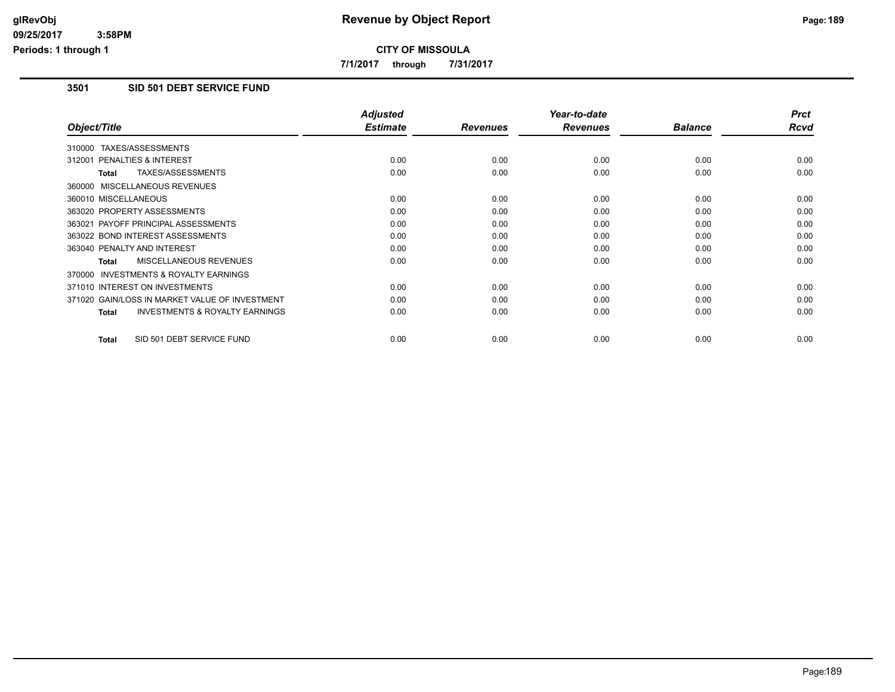**CITY OF MISSOULA**

**7/1/2017 through 7/31/2017**

## **3501 SID 501 DEBT SERVICE FUND**

|                                                           | <b>Adjusted</b> |                 | Year-to-date    |                | <b>Prct</b> |
|-----------------------------------------------------------|-----------------|-----------------|-----------------|----------------|-------------|
| Object/Title                                              | <b>Estimate</b> | <b>Revenues</b> | <b>Revenues</b> | <b>Balance</b> | <b>Rcvd</b> |
| 310000 TAXES/ASSESSMENTS                                  |                 |                 |                 |                |             |
| 312001 PENALTIES & INTEREST                               | 0.00            | 0.00            | 0.00            | 0.00           | 0.00        |
| TAXES/ASSESSMENTS<br><b>Total</b>                         | 0.00            | 0.00            | 0.00            | 0.00           | 0.00        |
| 360000 MISCELLANEOUS REVENUES                             |                 |                 |                 |                |             |
| 360010 MISCELLANEOUS                                      | 0.00            | 0.00            | 0.00            | 0.00           | 0.00        |
| 363020 PROPERTY ASSESSMENTS                               | 0.00            | 0.00            | 0.00            | 0.00           | 0.00        |
| 363021 PAYOFF PRINCIPAL ASSESSMENTS                       | 0.00            | 0.00            | 0.00            | 0.00           | 0.00        |
| 363022 BOND INTEREST ASSESSMENTS                          | 0.00            | 0.00            | 0.00            | 0.00           | 0.00        |
| 363040 PENALTY AND INTEREST                               | 0.00            | 0.00            | 0.00            | 0.00           | 0.00        |
| MISCELLANEOUS REVENUES<br>Total                           | 0.00            | 0.00            | 0.00            | 0.00           | 0.00        |
| <b>INVESTMENTS &amp; ROYALTY EARNINGS</b><br>370000       |                 |                 |                 |                |             |
| 371010 INTEREST ON INVESTMENTS                            | 0.00            | 0.00            | 0.00            | 0.00           | 0.00        |
| 371020 GAIN/LOSS IN MARKET VALUE OF INVESTMENT            | 0.00            | 0.00            | 0.00            | 0.00           | 0.00        |
| <b>INVESTMENTS &amp; ROYALTY EARNINGS</b><br><b>Total</b> | 0.00            | 0.00            | 0.00            | 0.00           | 0.00        |
|                                                           |                 |                 |                 |                |             |
| SID 501 DEBT SERVICE FUND<br>Total                        | 0.00            | 0.00            | 0.00            | 0.00           | 0.00        |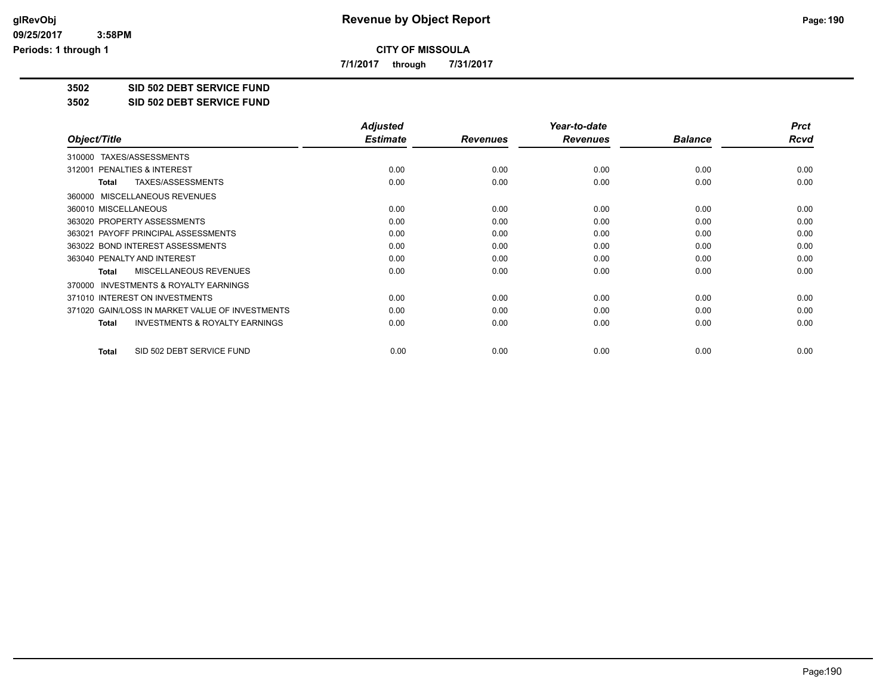**7/1/2017 through 7/31/2017**

**3502 SID 502 DEBT SERVICE FUND**

**3502 SID 502 DEBT SERVICE FUND**

|                                                           | <b>Adjusted</b> |                 | Year-to-date    |                | <b>Prct</b> |
|-----------------------------------------------------------|-----------------|-----------------|-----------------|----------------|-------------|
| Object/Title                                              | <b>Estimate</b> | <b>Revenues</b> | <b>Revenues</b> | <b>Balance</b> | Rcvd        |
| 310000 TAXES/ASSESSMENTS                                  |                 |                 |                 |                |             |
| <b>PENALTIES &amp; INTEREST</b><br>312001                 | 0.00            | 0.00            | 0.00            | 0.00           | 0.00        |
| TAXES/ASSESSMENTS<br>Total                                | 0.00            | 0.00            | 0.00            | 0.00           | 0.00        |
| 360000 MISCELLANEOUS REVENUES                             |                 |                 |                 |                |             |
| 360010 MISCELLANEOUS                                      | 0.00            | 0.00            | 0.00            | 0.00           | 0.00        |
| 363020 PROPERTY ASSESSMENTS                               | 0.00            | 0.00            | 0.00            | 0.00           | 0.00        |
| 363021 PAYOFF PRINCIPAL ASSESSMENTS                       | 0.00            | 0.00            | 0.00            | 0.00           | 0.00        |
| 363022 BOND INTEREST ASSESSMENTS                          | 0.00            | 0.00            | 0.00            | 0.00           | 0.00        |
| 363040 PENALTY AND INTEREST                               | 0.00            | 0.00            | 0.00            | 0.00           | 0.00        |
| <b>MISCELLANEOUS REVENUES</b><br>Total                    | 0.00            | 0.00            | 0.00            | 0.00           | 0.00        |
| <b>INVESTMENTS &amp; ROYALTY EARNINGS</b><br>370000       |                 |                 |                 |                |             |
| 371010 INTEREST ON INVESTMENTS                            | 0.00            | 0.00            | 0.00            | 0.00           | 0.00        |
| 371020 GAIN/LOSS IN MARKET VALUE OF INVESTMENTS           | 0.00            | 0.00            | 0.00            | 0.00           | 0.00        |
| <b>INVESTMENTS &amp; ROYALTY EARNINGS</b><br><b>Total</b> | 0.00            | 0.00            | 0.00            | 0.00           | 0.00        |
| SID 502 DEBT SERVICE FUND<br><b>Total</b>                 | 0.00            | 0.00            | 0.00            | 0.00           | 0.00        |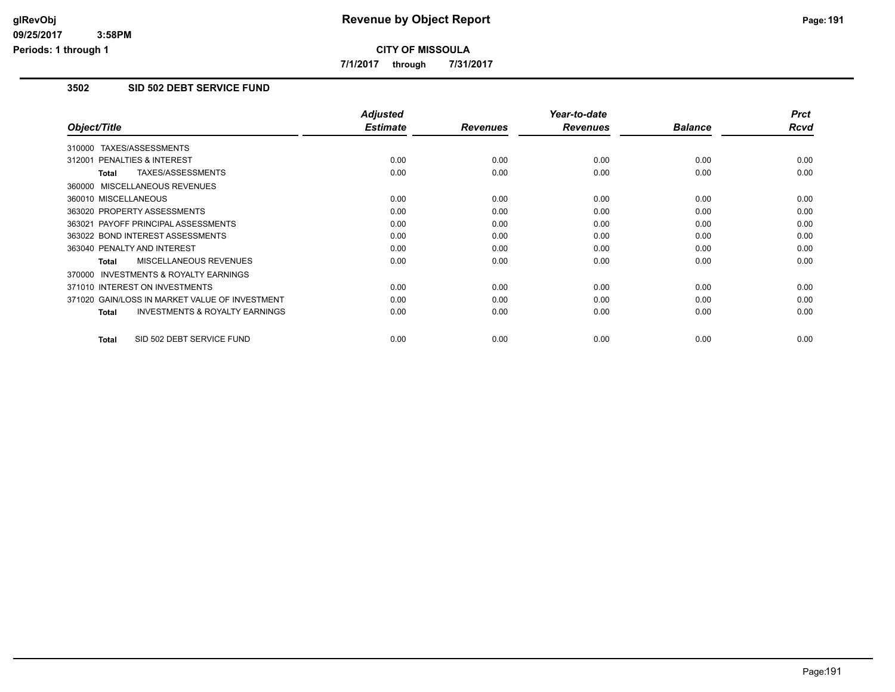**CITY OF MISSOULA**

**7/1/2017 through 7/31/2017**

# **3502 SID 502 DEBT SERVICE FUND**

|                                                           | <b>Adjusted</b> |                 | Year-to-date    |                | <b>Prct</b> |
|-----------------------------------------------------------|-----------------|-----------------|-----------------|----------------|-------------|
| Object/Title                                              | <b>Estimate</b> | <b>Revenues</b> | <b>Revenues</b> | <b>Balance</b> | Rcvd        |
| 310000 TAXES/ASSESSMENTS                                  |                 |                 |                 |                |             |
| 312001 PENALTIES & INTEREST                               | 0.00            | 0.00            | 0.00            | 0.00           | 0.00        |
| TAXES/ASSESSMENTS<br>Total                                | 0.00            | 0.00            | 0.00            | 0.00           | 0.00        |
| 360000 MISCELLANEOUS REVENUES                             |                 |                 |                 |                |             |
| 360010 MISCELLANEOUS                                      | 0.00            | 0.00            | 0.00            | 0.00           | 0.00        |
| 363020 PROPERTY ASSESSMENTS                               | 0.00            | 0.00            | 0.00            | 0.00           | 0.00        |
| 363021 PAYOFF PRINCIPAL ASSESSMENTS                       | 0.00            | 0.00            | 0.00            | 0.00           | 0.00        |
| 363022 BOND INTEREST ASSESSMENTS                          | 0.00            | 0.00            | 0.00            | 0.00           | 0.00        |
| 363040 PENALTY AND INTEREST                               | 0.00            | 0.00            | 0.00            | 0.00           | 0.00        |
| MISCELLANEOUS REVENUES<br>Total                           | 0.00            | 0.00            | 0.00            | 0.00           | 0.00        |
| <b>INVESTMENTS &amp; ROYALTY EARNINGS</b><br>370000       |                 |                 |                 |                |             |
| 371010 INTEREST ON INVESTMENTS                            | 0.00            | 0.00            | 0.00            | 0.00           | 0.00        |
| 371020 GAIN/LOSS IN MARKET VALUE OF INVESTMENT            | 0.00            | 0.00            | 0.00            | 0.00           | 0.00        |
| <b>INVESTMENTS &amp; ROYALTY EARNINGS</b><br><b>Total</b> | 0.00            | 0.00            | 0.00            | 0.00           | 0.00        |
| SID 502 DEBT SERVICE FUND<br><b>Total</b>                 | 0.00            | 0.00            | 0.00            | 0.00           | 0.00        |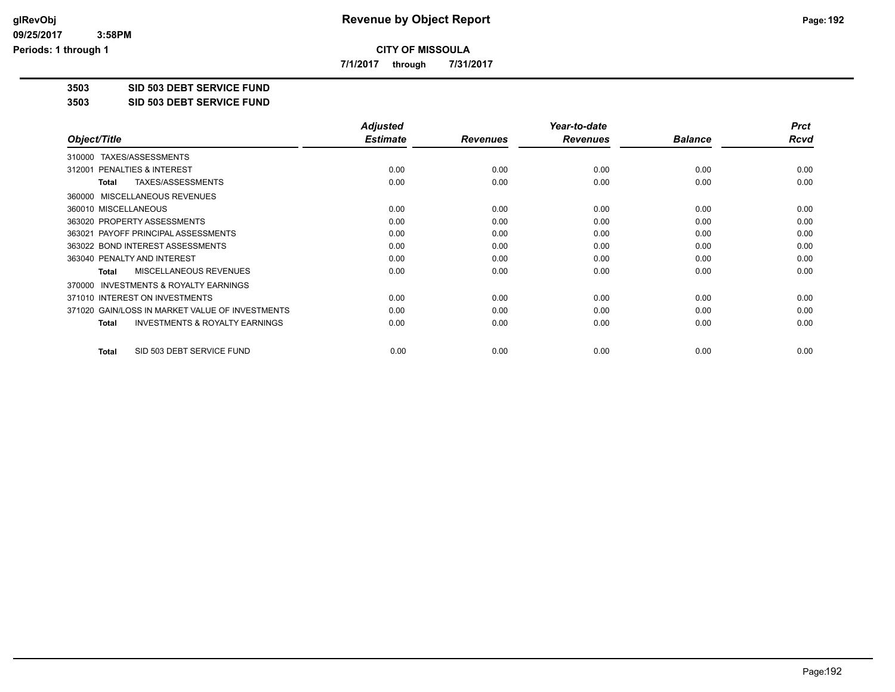**7/1/2017 through 7/31/2017**

**3503 SID 503 DEBT SERVICE FUND**

**3503 SID 503 DEBT SERVICE FUND**

|                                                    | <b>Adjusted</b> |                 | Year-to-date    |                | <b>Prct</b> |
|----------------------------------------------------|-----------------|-----------------|-----------------|----------------|-------------|
| Object/Title                                       | <b>Estimate</b> | <b>Revenues</b> | <b>Revenues</b> | <b>Balance</b> | Rcvd        |
| TAXES/ASSESSMENTS<br>310000                        |                 |                 |                 |                |             |
| PENALTIES & INTEREST<br>312001                     | 0.00            | 0.00            | 0.00            | 0.00           | 0.00        |
| <b>TAXES/ASSESSMENTS</b><br>Total                  | 0.00            | 0.00            | 0.00            | 0.00           | 0.00        |
| 360000 MISCELLANEOUS REVENUES                      |                 |                 |                 |                |             |
| 360010 MISCELLANEOUS                               | 0.00            | 0.00            | 0.00            | 0.00           | 0.00        |
| 363020 PROPERTY ASSESSMENTS                        | 0.00            | 0.00            | 0.00            | 0.00           | 0.00        |
| 363021 PAYOFF PRINCIPAL ASSESSMENTS                | 0.00            | 0.00            | 0.00            | 0.00           | 0.00        |
| 363022 BOND INTEREST ASSESSMENTS                   | 0.00            | 0.00            | 0.00            | 0.00           | 0.00        |
| 363040 PENALTY AND INTEREST                        | 0.00            | 0.00            | 0.00            | 0.00           | 0.00        |
| MISCELLANEOUS REVENUES<br>Total                    | 0.00            | 0.00            | 0.00            | 0.00           | 0.00        |
| 370000 INVESTMENTS & ROYALTY EARNINGS              |                 |                 |                 |                |             |
| 371010 INTEREST ON INVESTMENTS                     | 0.00            | 0.00            | 0.00            | 0.00           | 0.00        |
| 371020 GAIN/LOSS IN MARKET VALUE OF INVESTMENTS    | 0.00            | 0.00            | 0.00            | 0.00           | 0.00        |
| <b>INVESTMENTS &amp; ROYALTY EARNINGS</b><br>Total | 0.00            | 0.00            | 0.00            | 0.00           | 0.00        |
| SID 503 DEBT SERVICE FUND<br>Total                 | 0.00            | 0.00            | 0.00            | 0.00           | 0.00        |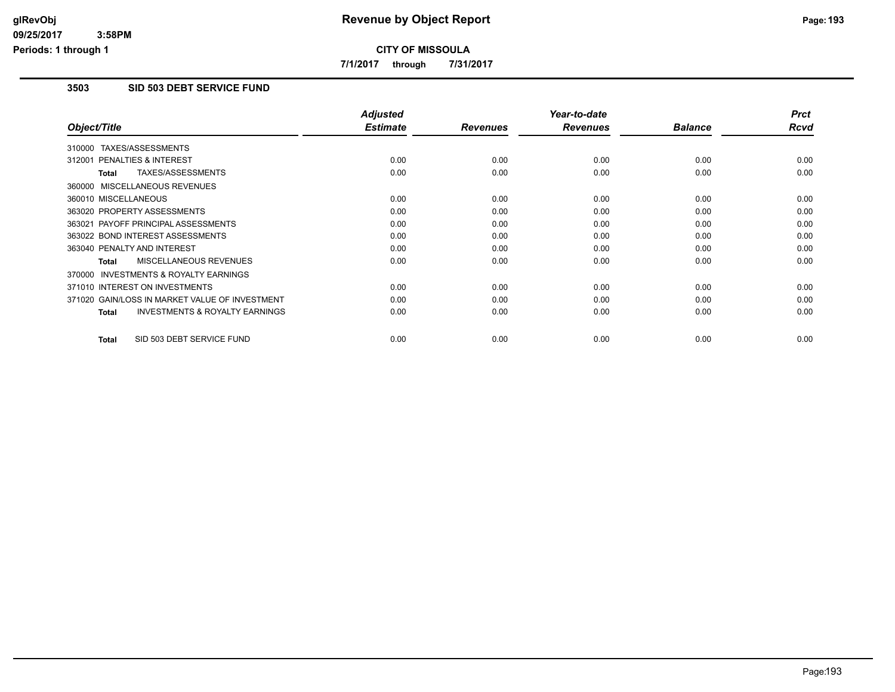**7/1/2017 through 7/31/2017**

# **3503 SID 503 DEBT SERVICE FUND**

| Object/Title                                              | <b>Adjusted</b><br><b>Estimate</b> | <b>Revenues</b> | Year-to-date<br><b>Revenues</b> | <b>Balance</b> | <b>Prct</b><br>Rcvd |
|-----------------------------------------------------------|------------------------------------|-----------------|---------------------------------|----------------|---------------------|
|                                                           |                                    |                 |                                 |                |                     |
| 310000 TAXES/ASSESSMENTS                                  |                                    |                 |                                 |                |                     |
| 312001 PENALTIES & INTEREST                               | 0.00                               | 0.00            | 0.00                            | 0.00           | 0.00                |
| TAXES/ASSESSMENTS<br><b>Total</b>                         | 0.00                               | 0.00            | 0.00                            | 0.00           | 0.00                |
| 360000 MISCELLANEOUS REVENUES                             |                                    |                 |                                 |                |                     |
| 360010 MISCELLANEOUS                                      | 0.00                               | 0.00            | 0.00                            | 0.00           | 0.00                |
| 363020 PROPERTY ASSESSMENTS                               | 0.00                               | 0.00            | 0.00                            | 0.00           | 0.00                |
| 363021 PAYOFF PRINCIPAL ASSESSMENTS                       | 0.00                               | 0.00            | 0.00                            | 0.00           | 0.00                |
| 363022 BOND INTEREST ASSESSMENTS                          | 0.00                               | 0.00            | 0.00                            | 0.00           | 0.00                |
| 363040 PENALTY AND INTEREST                               | 0.00                               | 0.00            | 0.00                            | 0.00           | 0.00                |
| MISCELLANEOUS REVENUES<br>Total                           | 0.00                               | 0.00            | 0.00                            | 0.00           | 0.00                |
| <b>INVESTMENTS &amp; ROYALTY EARNINGS</b><br>370000       |                                    |                 |                                 |                |                     |
| 371010 INTEREST ON INVESTMENTS                            | 0.00                               | 0.00            | 0.00                            | 0.00           | 0.00                |
| 371020 GAIN/LOSS IN MARKET VALUE OF INVESTMENT            | 0.00                               | 0.00            | 0.00                            | 0.00           | 0.00                |
| <b>INVESTMENTS &amp; ROYALTY EARNINGS</b><br><b>Total</b> | 0.00                               | 0.00            | 0.00                            | 0.00           | 0.00                |
|                                                           |                                    |                 |                                 |                |                     |
| SID 503 DEBT SERVICE FUND<br><b>Total</b>                 | 0.00                               | 0.00            | 0.00                            | 0.00           | 0.00                |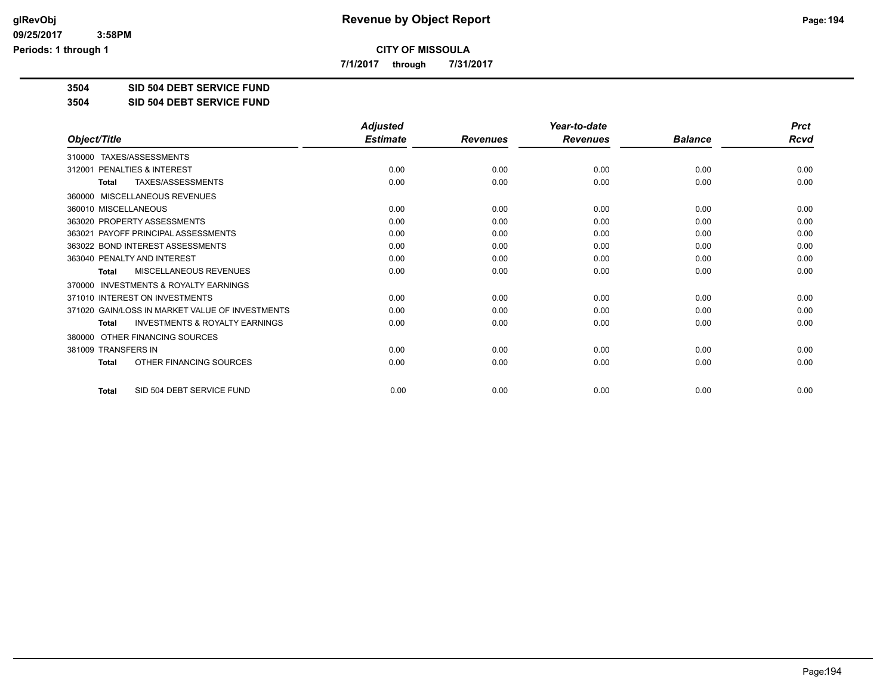**7/1/2017 through 7/31/2017**

**3504 SID 504 DEBT SERVICE FUND**

**3504 SID 504 DEBT SERVICE FUND**

|                                                           | <b>Adjusted</b> |                 | Year-to-date    |                | <b>Prct</b> |
|-----------------------------------------------------------|-----------------|-----------------|-----------------|----------------|-------------|
| Object/Title                                              | <b>Estimate</b> | <b>Revenues</b> | <b>Revenues</b> | <b>Balance</b> | <b>Rcvd</b> |
| TAXES/ASSESSMENTS<br>310000                               |                 |                 |                 |                |             |
| PENALTIES & INTEREST<br>312001                            | 0.00            | 0.00            | 0.00            | 0.00           | 0.00        |
| <b>TAXES/ASSESSMENTS</b><br>Total                         | 0.00            | 0.00            | 0.00            | 0.00           | 0.00        |
| MISCELLANEOUS REVENUES<br>360000                          |                 |                 |                 |                |             |
| 360010 MISCELLANEOUS                                      | 0.00            | 0.00            | 0.00            | 0.00           | 0.00        |
| 363020 PROPERTY ASSESSMENTS                               | 0.00            | 0.00            | 0.00            | 0.00           | 0.00        |
| 363021 PAYOFF PRINCIPAL ASSESSMENTS                       | 0.00            | 0.00            | 0.00            | 0.00           | 0.00        |
| 363022 BOND INTEREST ASSESSMENTS                          | 0.00            | 0.00            | 0.00            | 0.00           | 0.00        |
| 363040 PENALTY AND INTEREST                               | 0.00            | 0.00            | 0.00            | 0.00           | 0.00        |
| MISCELLANEOUS REVENUES<br>Total                           | 0.00            | 0.00            | 0.00            | 0.00           | 0.00        |
| <b>INVESTMENTS &amp; ROYALTY EARNINGS</b><br>370000       |                 |                 |                 |                |             |
| 371010 INTEREST ON INVESTMENTS                            | 0.00            | 0.00            | 0.00            | 0.00           | 0.00        |
| 371020 GAIN/LOSS IN MARKET VALUE OF INVESTMENTS           | 0.00            | 0.00            | 0.00            | 0.00           | 0.00        |
| <b>INVESTMENTS &amp; ROYALTY EARNINGS</b><br><b>Total</b> | 0.00            | 0.00            | 0.00            | 0.00           | 0.00        |
| OTHER FINANCING SOURCES<br>380000                         |                 |                 |                 |                |             |
| 381009 TRANSFERS IN                                       | 0.00            | 0.00            | 0.00            | 0.00           | 0.00        |
| OTHER FINANCING SOURCES<br><b>Total</b>                   | 0.00            | 0.00            | 0.00            | 0.00           | 0.00        |
| SID 504 DEBT SERVICE FUND<br><b>Total</b>                 | 0.00            | 0.00            | 0.00            | 0.00           | 0.00        |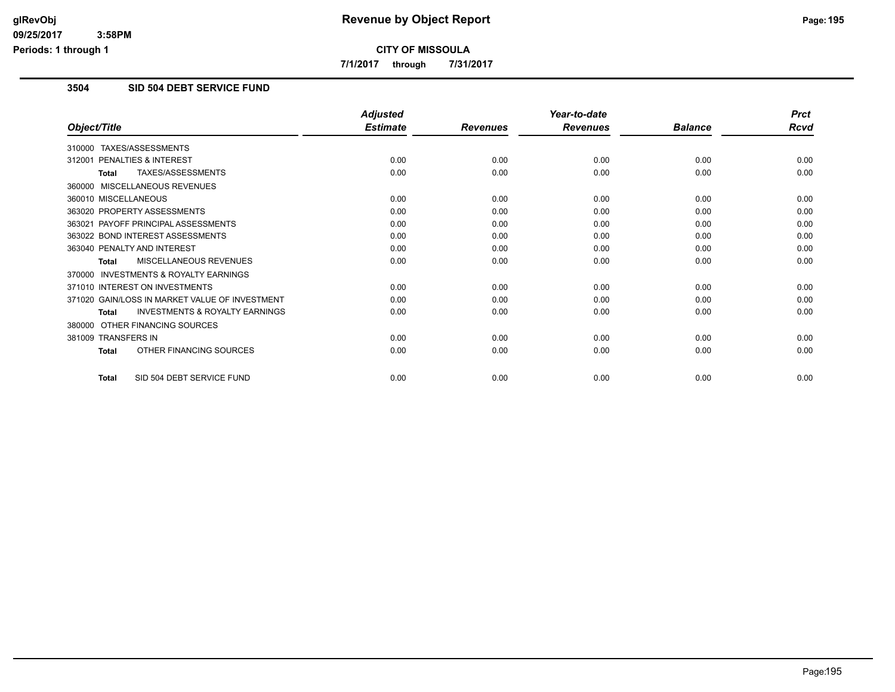**CITY OF MISSOULA**

**7/1/2017 through 7/31/2017**

## **3504 SID 504 DEBT SERVICE FUND**

|                                                           | <b>Adjusted</b> |                 | Year-to-date    |                | <b>Prct</b> |
|-----------------------------------------------------------|-----------------|-----------------|-----------------|----------------|-------------|
| Object/Title                                              | <b>Estimate</b> | <b>Revenues</b> | <b>Revenues</b> | <b>Balance</b> | <b>Rcvd</b> |
| 310000 TAXES/ASSESSMENTS                                  |                 |                 |                 |                |             |
| PENALTIES & INTEREST<br>312001                            | 0.00            | 0.00            | 0.00            | 0.00           | 0.00        |
| TAXES/ASSESSMENTS<br><b>Total</b>                         | 0.00            | 0.00            | 0.00            | 0.00           | 0.00        |
| 360000 MISCELLANEOUS REVENUES                             |                 |                 |                 |                |             |
| 360010 MISCELLANEOUS                                      | 0.00            | 0.00            | 0.00            | 0.00           | 0.00        |
| 363020 PROPERTY ASSESSMENTS                               | 0.00            | 0.00            | 0.00            | 0.00           | 0.00        |
| 363021 PAYOFF PRINCIPAL ASSESSMENTS                       | 0.00            | 0.00            | 0.00            | 0.00           | 0.00        |
| 363022 BOND INTEREST ASSESSMENTS                          | 0.00            | 0.00            | 0.00            | 0.00           | 0.00        |
| 363040 PENALTY AND INTEREST                               | 0.00            | 0.00            | 0.00            | 0.00           | 0.00        |
| MISCELLANEOUS REVENUES<br><b>Total</b>                    | 0.00            | 0.00            | 0.00            | 0.00           | 0.00        |
| <b>INVESTMENTS &amp; ROYALTY EARNINGS</b><br>370000       |                 |                 |                 |                |             |
| 371010 INTEREST ON INVESTMENTS                            | 0.00            | 0.00            | 0.00            | 0.00           | 0.00        |
| 371020 GAIN/LOSS IN MARKET VALUE OF INVESTMENT            | 0.00            | 0.00            | 0.00            | 0.00           | 0.00        |
| <b>INVESTMENTS &amp; ROYALTY EARNINGS</b><br><b>Total</b> | 0.00            | 0.00            | 0.00            | 0.00           | 0.00        |
| 380000 OTHER FINANCING SOURCES                            |                 |                 |                 |                |             |
| 381009 TRANSFERS IN                                       | 0.00            | 0.00            | 0.00            | 0.00           | 0.00        |
| OTHER FINANCING SOURCES<br><b>Total</b>                   | 0.00            | 0.00            | 0.00            | 0.00           | 0.00        |
| SID 504 DEBT SERVICE FUND<br><b>Total</b>                 | 0.00            | 0.00            | 0.00            | 0.00           | 0.00        |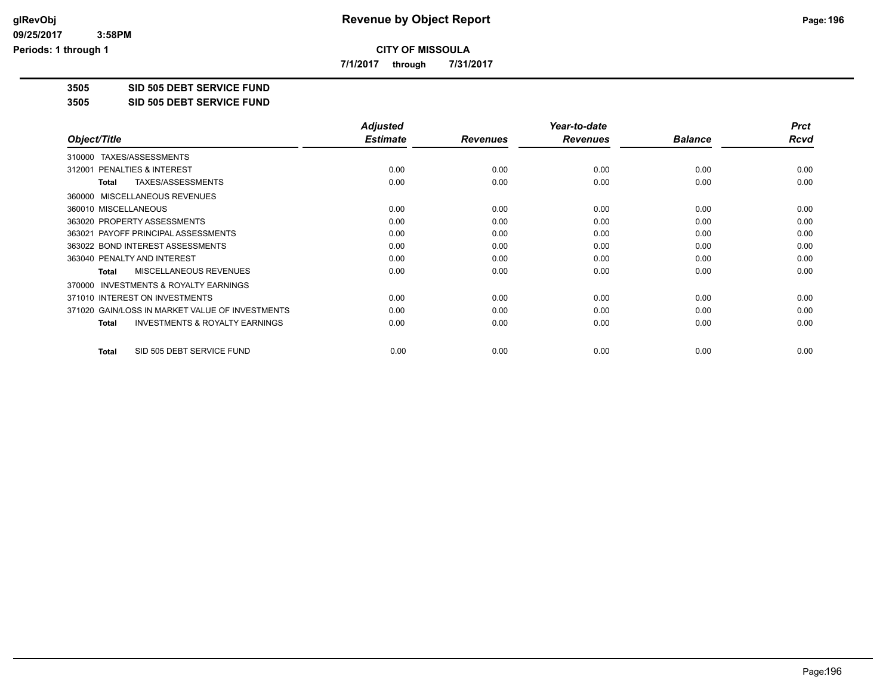**7/1/2017 through 7/31/2017**

**3505 SID 505 DEBT SERVICE FUND**

**3505 SID 505 DEBT SERVICE FUND**

|                                                           | <b>Adjusted</b> |                 | Year-to-date    |                | <b>Prct</b> |
|-----------------------------------------------------------|-----------------|-----------------|-----------------|----------------|-------------|
| Object/Title                                              | <b>Estimate</b> | <b>Revenues</b> | <b>Revenues</b> | <b>Balance</b> | Rcvd        |
| 310000 TAXES/ASSESSMENTS                                  |                 |                 |                 |                |             |
| 312001 PENALTIES & INTEREST                               | 0.00            | 0.00            | 0.00            | 0.00           | 0.00        |
| TAXES/ASSESSMENTS<br><b>Total</b>                         | 0.00            | 0.00            | 0.00            | 0.00           | 0.00        |
| MISCELLANEOUS REVENUES<br>360000                          |                 |                 |                 |                |             |
| 360010 MISCELLANEOUS                                      | 0.00            | 0.00            | 0.00            | 0.00           | 0.00        |
| 363020 PROPERTY ASSESSMENTS                               | 0.00            | 0.00            | 0.00            | 0.00           | 0.00        |
| 363021 PAYOFF PRINCIPAL ASSESSMENTS                       | 0.00            | 0.00            | 0.00            | 0.00           | 0.00        |
| 363022 BOND INTEREST ASSESSMENTS                          | 0.00            | 0.00            | 0.00            | 0.00           | 0.00        |
| 363040 PENALTY AND INTEREST                               | 0.00            | 0.00            | 0.00            | 0.00           | 0.00        |
| <b>MISCELLANEOUS REVENUES</b><br>Total                    | 0.00            | 0.00            | 0.00            | 0.00           | 0.00        |
| 370000 INVESTMENTS & ROYALTY EARNINGS                     |                 |                 |                 |                |             |
| 371010 INTEREST ON INVESTMENTS                            | 0.00            | 0.00            | 0.00            | 0.00           | 0.00        |
| 371020 GAIN/LOSS IN MARKET VALUE OF INVESTMENTS           | 0.00            | 0.00            | 0.00            | 0.00           | 0.00        |
| <b>INVESTMENTS &amp; ROYALTY EARNINGS</b><br><b>Total</b> | 0.00            | 0.00            | 0.00            | 0.00           | 0.00        |
| SID 505 DEBT SERVICE FUND<br><b>Total</b>                 | 0.00            | 0.00            | 0.00            | 0.00           | 0.00        |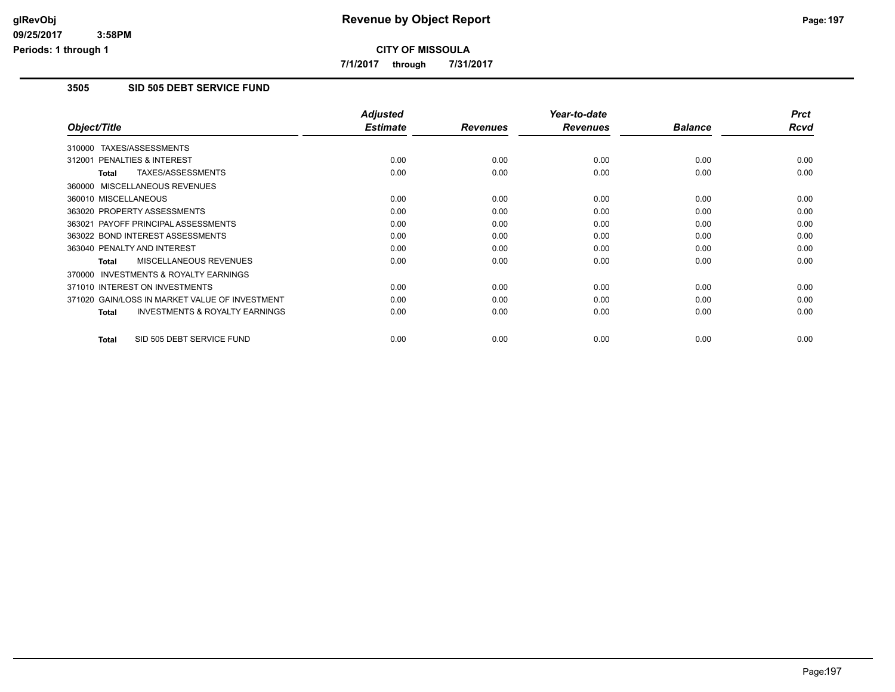**CITY OF MISSOULA**

**7/1/2017 through 7/31/2017**

## **3505 SID 505 DEBT SERVICE FUND**

| Object/Title                                              | <b>Adjusted</b><br><b>Estimate</b> | <b>Revenues</b> | Year-to-date<br><b>Revenues</b> | <b>Balance</b> | <b>Prct</b><br><b>Rcvd</b> |
|-----------------------------------------------------------|------------------------------------|-----------------|---------------------------------|----------------|----------------------------|
|                                                           |                                    |                 |                                 |                |                            |
| 310000 TAXES/ASSESSMENTS                                  |                                    |                 |                                 |                |                            |
| 312001 PENALTIES & INTEREST                               | 0.00                               | 0.00            | 0.00                            | 0.00           | 0.00                       |
| TAXES/ASSESSMENTS<br><b>Total</b>                         | 0.00                               | 0.00            | 0.00                            | 0.00           | 0.00                       |
| 360000 MISCELLANEOUS REVENUES                             |                                    |                 |                                 |                |                            |
| 360010 MISCELLANEOUS                                      | 0.00                               | 0.00            | 0.00                            | 0.00           | 0.00                       |
| 363020 PROPERTY ASSESSMENTS                               | 0.00                               | 0.00            | 0.00                            | 0.00           | 0.00                       |
| 363021 PAYOFF PRINCIPAL ASSESSMENTS                       | 0.00                               | 0.00            | 0.00                            | 0.00           | 0.00                       |
| 363022 BOND INTEREST ASSESSMENTS                          | 0.00                               | 0.00            | 0.00                            | 0.00           | 0.00                       |
| 363040 PENALTY AND INTEREST                               | 0.00                               | 0.00            | 0.00                            | 0.00           | 0.00                       |
| <b>MISCELLANEOUS REVENUES</b><br><b>Total</b>             | 0.00                               | 0.00            | 0.00                            | 0.00           | 0.00                       |
| INVESTMENTS & ROYALTY EARNINGS<br>370000                  |                                    |                 |                                 |                |                            |
| 371010 INTEREST ON INVESTMENTS                            | 0.00                               | 0.00            | 0.00                            | 0.00           | 0.00                       |
| 371020 GAIN/LOSS IN MARKET VALUE OF INVESTMENT            | 0.00                               | 0.00            | 0.00                            | 0.00           | 0.00                       |
| <b>INVESTMENTS &amp; ROYALTY EARNINGS</b><br><b>Total</b> | 0.00                               | 0.00            | 0.00                            | 0.00           | 0.00                       |
| SID 505 DEBT SERVICE FUND<br><b>Total</b>                 | 0.00                               | 0.00            | 0.00                            | 0.00           | 0.00                       |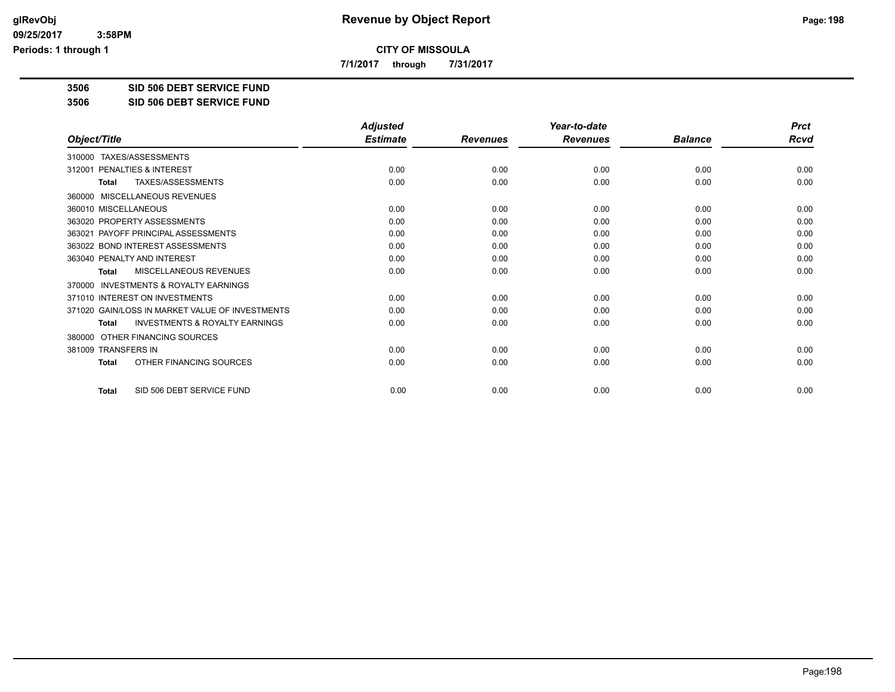**7/1/2017 through 7/31/2017**

**3506 SID 506 DEBT SERVICE FUND**

**3506 SID 506 DEBT SERVICE FUND**

|                                                           | <b>Adjusted</b> |                 | Year-to-date    |                | <b>Prct</b> |
|-----------------------------------------------------------|-----------------|-----------------|-----------------|----------------|-------------|
| Object/Title                                              | <b>Estimate</b> | <b>Revenues</b> | <b>Revenues</b> | <b>Balance</b> | <b>Rcvd</b> |
| TAXES/ASSESSMENTS<br>310000                               |                 |                 |                 |                |             |
| PENALTIES & INTEREST<br>312001                            | 0.00            | 0.00            | 0.00            | 0.00           | 0.00        |
| <b>TAXES/ASSESSMENTS</b><br>Total                         | 0.00            | 0.00            | 0.00            | 0.00           | 0.00        |
| MISCELLANEOUS REVENUES<br>360000                          |                 |                 |                 |                |             |
| 360010 MISCELLANEOUS                                      | 0.00            | 0.00            | 0.00            | 0.00           | 0.00        |
| 363020 PROPERTY ASSESSMENTS                               | 0.00            | 0.00            | 0.00            | 0.00           | 0.00        |
| 363021 PAYOFF PRINCIPAL ASSESSMENTS                       | 0.00            | 0.00            | 0.00            | 0.00           | 0.00        |
| 363022 BOND INTEREST ASSESSMENTS                          | 0.00            | 0.00            | 0.00            | 0.00           | 0.00        |
| 363040 PENALTY AND INTEREST                               | 0.00            | 0.00            | 0.00            | 0.00           | 0.00        |
| MISCELLANEOUS REVENUES<br>Total                           | 0.00            | 0.00            | 0.00            | 0.00           | 0.00        |
| <b>INVESTMENTS &amp; ROYALTY EARNINGS</b><br>370000       |                 |                 |                 |                |             |
| 371010 INTEREST ON INVESTMENTS                            | 0.00            | 0.00            | 0.00            | 0.00           | 0.00        |
| 371020 GAIN/LOSS IN MARKET VALUE OF INVESTMENTS           | 0.00            | 0.00            | 0.00            | 0.00           | 0.00        |
| <b>INVESTMENTS &amp; ROYALTY EARNINGS</b><br><b>Total</b> | 0.00            | 0.00            | 0.00            | 0.00           | 0.00        |
| OTHER FINANCING SOURCES<br>380000                         |                 |                 |                 |                |             |
| 381009 TRANSFERS IN                                       | 0.00            | 0.00            | 0.00            | 0.00           | 0.00        |
| OTHER FINANCING SOURCES<br><b>Total</b>                   | 0.00            | 0.00            | 0.00            | 0.00           | 0.00        |
| SID 506 DEBT SERVICE FUND<br><b>Total</b>                 | 0.00            | 0.00            | 0.00            | 0.00           | 0.00        |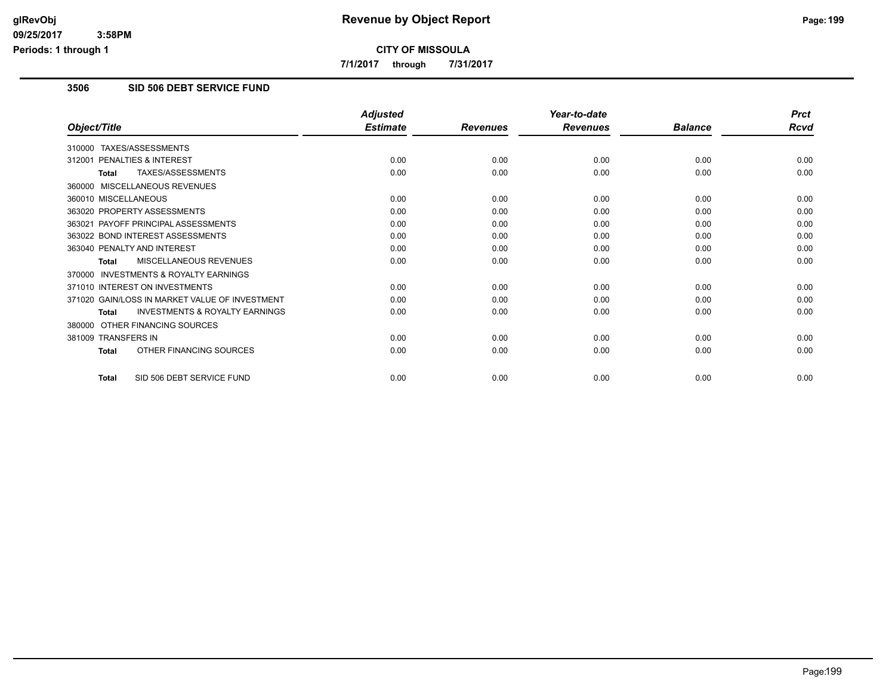**CITY OF MISSOULA**

**7/1/2017 through 7/31/2017**

## **3506 SID 506 DEBT SERVICE FUND**

|                                                    | <b>Adjusted</b> |                 | Year-to-date    |                | <b>Prct</b> |
|----------------------------------------------------|-----------------|-----------------|-----------------|----------------|-------------|
| Object/Title                                       | <b>Estimate</b> | <b>Revenues</b> | <b>Revenues</b> | <b>Balance</b> | <b>Rcvd</b> |
| 310000 TAXES/ASSESSMENTS                           |                 |                 |                 |                |             |
| PENALTIES & INTEREST<br>312001                     | 0.00            | 0.00            | 0.00            | 0.00           | 0.00        |
| TAXES/ASSESSMENTS<br>Total                         | 0.00            | 0.00            | 0.00            | 0.00           | 0.00        |
| 360000 MISCELLANEOUS REVENUES                      |                 |                 |                 |                |             |
| 360010 MISCELLANEOUS                               | 0.00            | 0.00            | 0.00            | 0.00           | 0.00        |
| 363020 PROPERTY ASSESSMENTS                        | 0.00            | 0.00            | 0.00            | 0.00           | 0.00        |
| 363021 PAYOFF PRINCIPAL ASSESSMENTS                | 0.00            | 0.00            | 0.00            | 0.00           | 0.00        |
| 363022 BOND INTEREST ASSESSMENTS                   | 0.00            | 0.00            | 0.00            | 0.00           | 0.00        |
| 363040 PENALTY AND INTEREST                        | 0.00            | 0.00            | 0.00            | 0.00           | 0.00        |
| MISCELLANEOUS REVENUES<br><b>Total</b>             | 0.00            | 0.00            | 0.00            | 0.00           | 0.00        |
| 370000 INVESTMENTS & ROYALTY EARNINGS              |                 |                 |                 |                |             |
| 371010 INTEREST ON INVESTMENTS                     | 0.00            | 0.00            | 0.00            | 0.00           | 0.00        |
| 371020 GAIN/LOSS IN MARKET VALUE OF INVESTMENT     | 0.00            | 0.00            | 0.00            | 0.00           | 0.00        |
| <b>INVESTMENTS &amp; ROYALTY EARNINGS</b><br>Total | 0.00            | 0.00            | 0.00            | 0.00           | 0.00        |
| 380000 OTHER FINANCING SOURCES                     |                 |                 |                 |                |             |
| 381009 TRANSFERS IN                                | 0.00            | 0.00            | 0.00            | 0.00           | 0.00        |
| OTHER FINANCING SOURCES<br>Total                   | 0.00            | 0.00            | 0.00            | 0.00           | 0.00        |
| SID 506 DEBT SERVICE FUND<br><b>Total</b>          | 0.00            | 0.00            | 0.00            | 0.00           | 0.00        |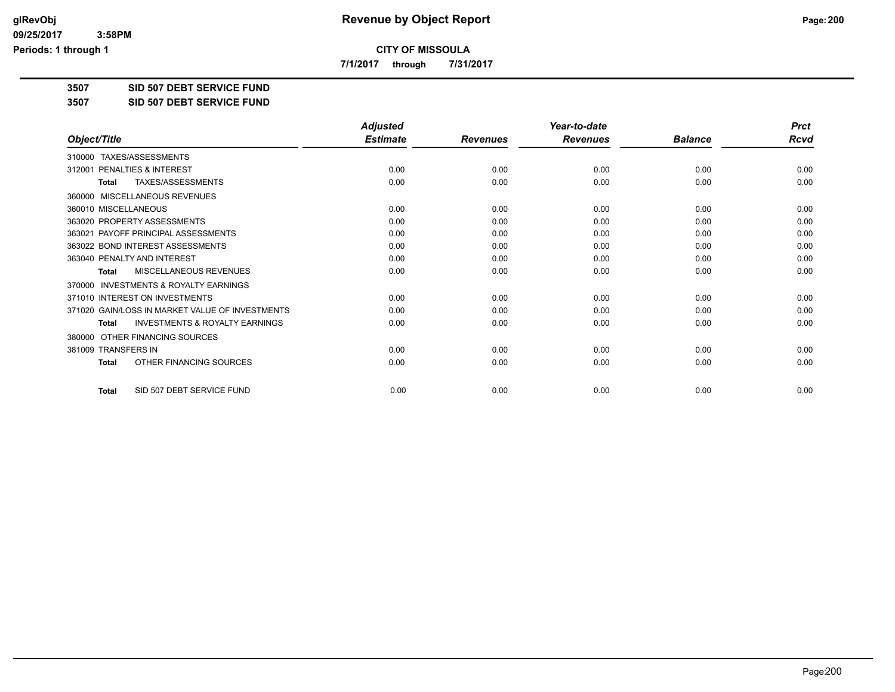**CITY OF MISSOULA**

**7/1/2017 through 7/31/2017**

**3507 SID 507 DEBT SERVICE FUND**

**3507 SID 507 DEBT SERVICE FUND**

|                                                           | <b>Adjusted</b> |                 | Year-to-date    |                | <b>Prct</b> |
|-----------------------------------------------------------|-----------------|-----------------|-----------------|----------------|-------------|
| Object/Title                                              | <b>Estimate</b> | <b>Revenues</b> | <b>Revenues</b> | <b>Balance</b> | <b>Rcvd</b> |
| <b>TAXES/ASSESSMENTS</b><br>310000                        |                 |                 |                 |                |             |
| PENALTIES & INTEREST<br>312001                            | 0.00            | 0.00            | 0.00            | 0.00           | 0.00        |
| TAXES/ASSESSMENTS<br>Total                                | 0.00            | 0.00            | 0.00            | 0.00           | 0.00        |
| MISCELLANEOUS REVENUES<br>360000                          |                 |                 |                 |                |             |
| 360010 MISCELLANEOUS                                      | 0.00            | 0.00            | 0.00            | 0.00           | 0.00        |
| 363020 PROPERTY ASSESSMENTS                               | 0.00            | 0.00            | 0.00            | 0.00           | 0.00        |
| 363021 PAYOFF PRINCIPAL ASSESSMENTS                       | 0.00            | 0.00            | 0.00            | 0.00           | 0.00        |
| 363022 BOND INTEREST ASSESSMENTS                          | 0.00            | 0.00            | 0.00            | 0.00           | 0.00        |
| 363040 PENALTY AND INTEREST                               | 0.00            | 0.00            | 0.00            | 0.00           | 0.00        |
| MISCELLANEOUS REVENUES<br><b>Total</b>                    | 0.00            | 0.00            | 0.00            | 0.00           | 0.00        |
| <b>INVESTMENTS &amp; ROYALTY EARNINGS</b><br>370000       |                 |                 |                 |                |             |
| 371010 INTEREST ON INVESTMENTS                            | 0.00            | 0.00            | 0.00            | 0.00           | 0.00        |
| 371020 GAIN/LOSS IN MARKET VALUE OF INVESTMENTS           | 0.00            | 0.00            | 0.00            | 0.00           | 0.00        |
| <b>INVESTMENTS &amp; ROYALTY EARNINGS</b><br><b>Total</b> | 0.00            | 0.00            | 0.00            | 0.00           | 0.00        |
| OTHER FINANCING SOURCES<br>380000                         |                 |                 |                 |                |             |
| 381009 TRANSFERS IN                                       | 0.00            | 0.00            | 0.00            | 0.00           | 0.00        |
| OTHER FINANCING SOURCES<br><b>Total</b>                   | 0.00            | 0.00            | 0.00            | 0.00           | 0.00        |
| SID 507 DEBT SERVICE FUND<br><b>Total</b>                 | 0.00            | 0.00            | 0.00            | 0.00           | 0.00        |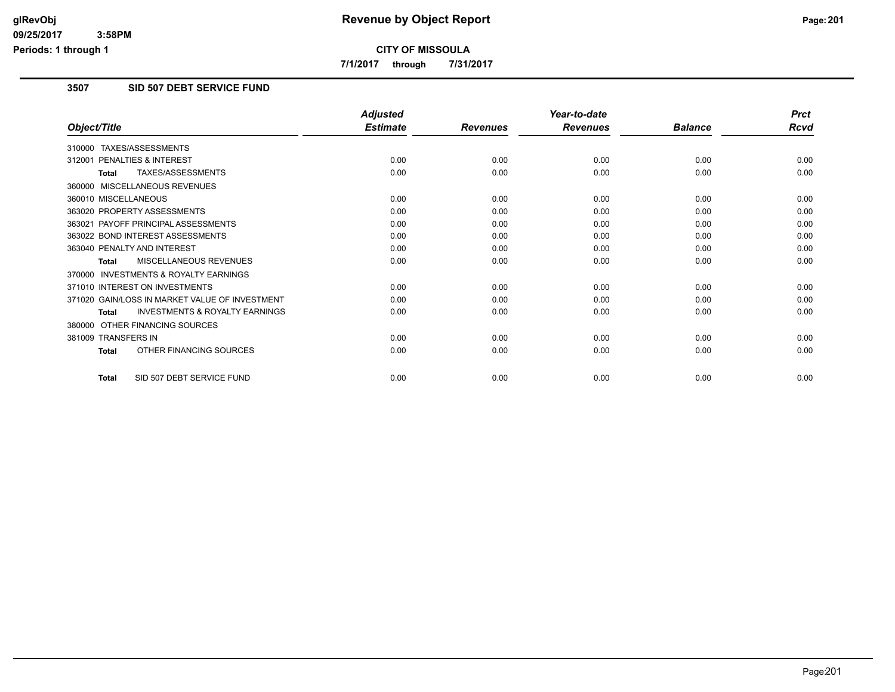**CITY OF MISSOULA**

**7/1/2017 through 7/31/2017**

### **3507 SID 507 DEBT SERVICE FUND**

|                                                           | <b>Adjusted</b> |                 | Year-to-date    |                | <b>Prct</b> |
|-----------------------------------------------------------|-----------------|-----------------|-----------------|----------------|-------------|
| Object/Title                                              | <b>Estimate</b> | <b>Revenues</b> | <b>Revenues</b> | <b>Balance</b> | <b>Rcvd</b> |
| 310000 TAXES/ASSESSMENTS                                  |                 |                 |                 |                |             |
| PENALTIES & INTEREST<br>312001                            | 0.00            | 0.00            | 0.00            | 0.00           | 0.00        |
| TAXES/ASSESSMENTS<br><b>Total</b>                         | 0.00            | 0.00            | 0.00            | 0.00           | 0.00        |
| 360000 MISCELLANEOUS REVENUES                             |                 |                 |                 |                |             |
| 360010 MISCELLANEOUS                                      | 0.00            | 0.00            | 0.00            | 0.00           | 0.00        |
| 363020 PROPERTY ASSESSMENTS                               | 0.00            | 0.00            | 0.00            | 0.00           | 0.00        |
| 363021 PAYOFF PRINCIPAL ASSESSMENTS                       | 0.00            | 0.00            | 0.00            | 0.00           | 0.00        |
| 363022 BOND INTEREST ASSESSMENTS                          | 0.00            | 0.00            | 0.00            | 0.00           | 0.00        |
| 363040 PENALTY AND INTEREST                               | 0.00            | 0.00            | 0.00            | 0.00           | 0.00        |
| MISCELLANEOUS REVENUES<br><b>Total</b>                    | 0.00            | 0.00            | 0.00            | 0.00           | 0.00        |
| <b>INVESTMENTS &amp; ROYALTY EARNINGS</b><br>370000       |                 |                 |                 |                |             |
| 371010 INTEREST ON INVESTMENTS                            | 0.00            | 0.00            | 0.00            | 0.00           | 0.00        |
| 371020 GAIN/LOSS IN MARKET VALUE OF INVESTMENT            | 0.00            | 0.00            | 0.00            | 0.00           | 0.00        |
| <b>INVESTMENTS &amp; ROYALTY EARNINGS</b><br><b>Total</b> | 0.00            | 0.00            | 0.00            | 0.00           | 0.00        |
| OTHER FINANCING SOURCES<br>380000                         |                 |                 |                 |                |             |
| 381009 TRANSFERS IN                                       | 0.00            | 0.00            | 0.00            | 0.00           | 0.00        |
| OTHER FINANCING SOURCES<br><b>Total</b>                   | 0.00            | 0.00            | 0.00            | 0.00           | 0.00        |
| SID 507 DEBT SERVICE FUND<br><b>Total</b>                 | 0.00            | 0.00            | 0.00            | 0.00           | 0.00        |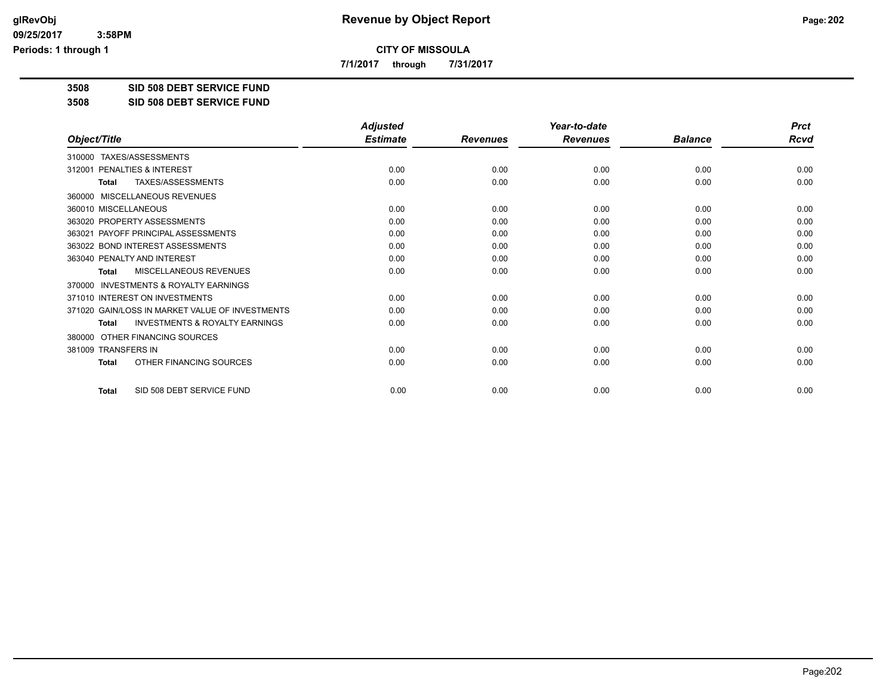**7/1/2017 through 7/31/2017**

**3508 SID 508 DEBT SERVICE FUND**

**3508 SID 508 DEBT SERVICE FUND**

|                                                           | <b>Adjusted</b> |                 | Year-to-date    |                | <b>Prct</b> |
|-----------------------------------------------------------|-----------------|-----------------|-----------------|----------------|-------------|
| Object/Title                                              | <b>Estimate</b> | <b>Revenues</b> | <b>Revenues</b> | <b>Balance</b> | <b>Rcvd</b> |
| TAXES/ASSESSMENTS<br>310000                               |                 |                 |                 |                |             |
| PENALTIES & INTEREST<br>312001                            | 0.00            | 0.00            | 0.00            | 0.00           | 0.00        |
| <b>TAXES/ASSESSMENTS</b><br>Total                         | 0.00            | 0.00            | 0.00            | 0.00           | 0.00        |
| MISCELLANEOUS REVENUES<br>360000                          |                 |                 |                 |                |             |
| 360010 MISCELLANEOUS                                      | 0.00            | 0.00            | 0.00            | 0.00           | 0.00        |
| 363020 PROPERTY ASSESSMENTS                               | 0.00            | 0.00            | 0.00            | 0.00           | 0.00        |
| 363021 PAYOFF PRINCIPAL ASSESSMENTS                       | 0.00            | 0.00            | 0.00            | 0.00           | 0.00        |
| 363022 BOND INTEREST ASSESSMENTS                          | 0.00            | 0.00            | 0.00            | 0.00           | 0.00        |
| 363040 PENALTY AND INTEREST                               | 0.00            | 0.00            | 0.00            | 0.00           | 0.00        |
| MISCELLANEOUS REVENUES<br>Total                           | 0.00            | 0.00            | 0.00            | 0.00           | 0.00        |
| <b>INVESTMENTS &amp; ROYALTY EARNINGS</b><br>370000       |                 |                 |                 |                |             |
| 371010 INTEREST ON INVESTMENTS                            | 0.00            | 0.00            | 0.00            | 0.00           | 0.00        |
| 371020 GAIN/LOSS IN MARKET VALUE OF INVESTMENTS           | 0.00            | 0.00            | 0.00            | 0.00           | 0.00        |
| <b>INVESTMENTS &amp; ROYALTY EARNINGS</b><br><b>Total</b> | 0.00            | 0.00            | 0.00            | 0.00           | 0.00        |
| OTHER FINANCING SOURCES<br>380000                         |                 |                 |                 |                |             |
| 381009 TRANSFERS IN                                       | 0.00            | 0.00            | 0.00            | 0.00           | 0.00        |
| OTHER FINANCING SOURCES<br><b>Total</b>                   | 0.00            | 0.00            | 0.00            | 0.00           | 0.00        |
| SID 508 DEBT SERVICE FUND<br><b>Total</b>                 | 0.00            | 0.00            | 0.00            | 0.00           | 0.00        |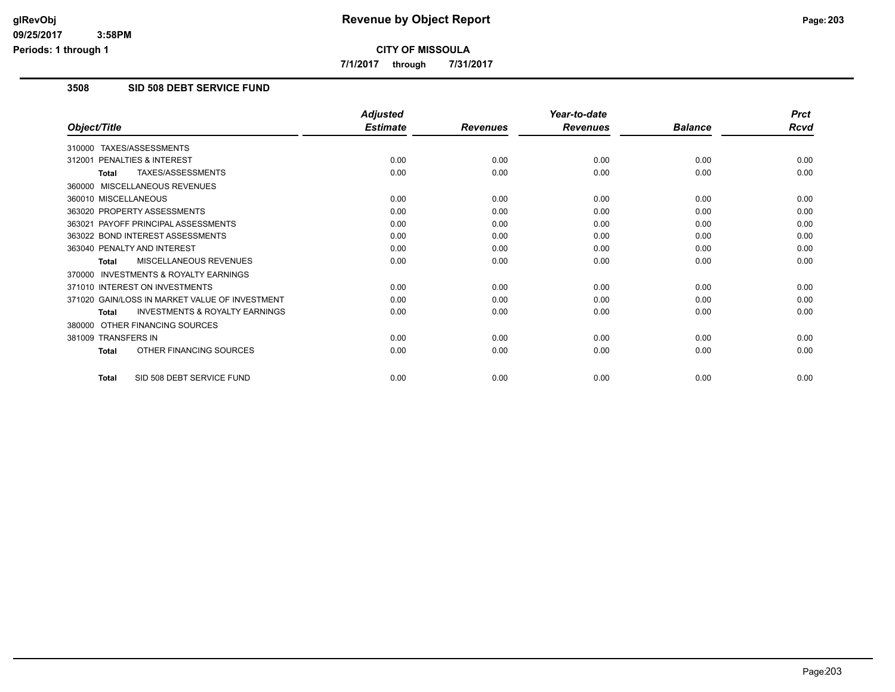**CITY OF MISSOULA**

**7/1/2017 through 7/31/2017**

## **3508 SID 508 DEBT SERVICE FUND**

|                                                           | <b>Adjusted</b> |                 | Year-to-date    |                | <b>Prct</b> |
|-----------------------------------------------------------|-----------------|-----------------|-----------------|----------------|-------------|
| Object/Title                                              | <b>Estimate</b> | <b>Revenues</b> | <b>Revenues</b> | <b>Balance</b> | <b>Rcvd</b> |
| 310000 TAXES/ASSESSMENTS                                  |                 |                 |                 |                |             |
| PENALTIES & INTEREST<br>312001                            | 0.00            | 0.00            | 0.00            | 0.00           | 0.00        |
| <b>TAXES/ASSESSMENTS</b><br><b>Total</b>                  | 0.00            | 0.00            | 0.00            | 0.00           | 0.00        |
| 360000 MISCELLANEOUS REVENUES                             |                 |                 |                 |                |             |
| 360010 MISCELLANEOUS                                      | 0.00            | 0.00            | 0.00            | 0.00           | 0.00        |
| 363020 PROPERTY ASSESSMENTS                               | 0.00            | 0.00            | 0.00            | 0.00           | 0.00        |
| 363021 PAYOFF PRINCIPAL ASSESSMENTS                       | 0.00            | 0.00            | 0.00            | 0.00           | 0.00        |
| 363022 BOND INTEREST ASSESSMENTS                          | 0.00            | 0.00            | 0.00            | 0.00           | 0.00        |
| 363040 PENALTY AND INTEREST                               | 0.00            | 0.00            | 0.00            | 0.00           | 0.00        |
| MISCELLANEOUS REVENUES<br><b>Total</b>                    | 0.00            | 0.00            | 0.00            | 0.00           | 0.00        |
| INVESTMENTS & ROYALTY EARNINGS<br>370000                  |                 |                 |                 |                |             |
| 371010 INTEREST ON INVESTMENTS                            | 0.00            | 0.00            | 0.00            | 0.00           | 0.00        |
| 371020 GAIN/LOSS IN MARKET VALUE OF INVESTMENT            | 0.00            | 0.00            | 0.00            | 0.00           | 0.00        |
| <b>INVESTMENTS &amp; ROYALTY EARNINGS</b><br><b>Total</b> | 0.00            | 0.00            | 0.00            | 0.00           | 0.00        |
| OTHER FINANCING SOURCES<br>380000                         |                 |                 |                 |                |             |
| 381009 TRANSFERS IN                                       | 0.00            | 0.00            | 0.00            | 0.00           | 0.00        |
| OTHER FINANCING SOURCES<br><b>Total</b>                   | 0.00            | 0.00            | 0.00            | 0.00           | 0.00        |
| SID 508 DEBT SERVICE FUND<br><b>Total</b>                 | 0.00            | 0.00            | 0.00            | 0.00           | 0.00        |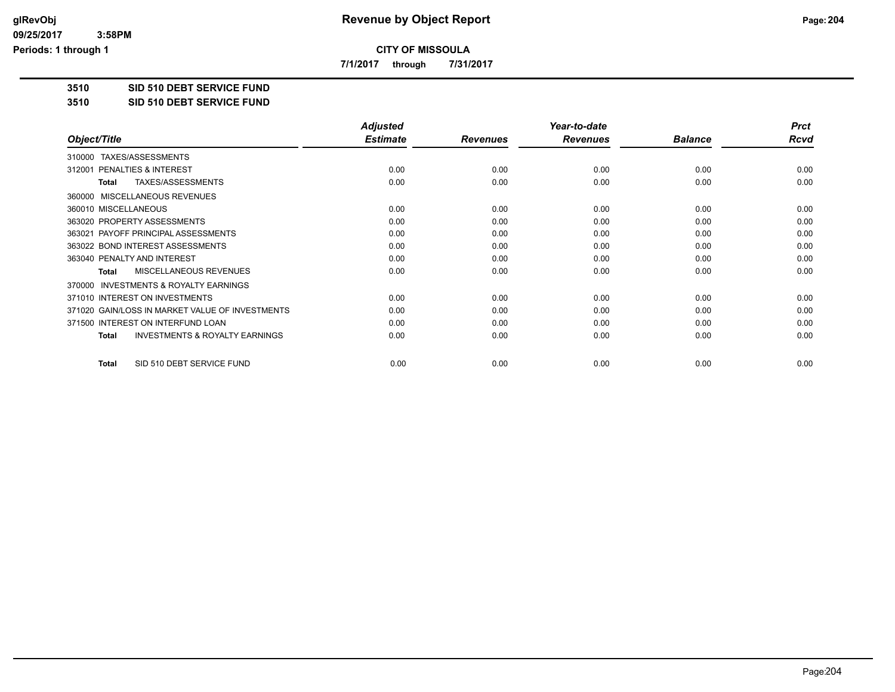**7/1/2017 through 7/31/2017**

**3510 SID 510 DEBT SERVICE FUND**

**3510 SID 510 DEBT SERVICE FUND**

|                                                           | <b>Adjusted</b> |                 | Year-to-date    |                | <b>Prct</b> |
|-----------------------------------------------------------|-----------------|-----------------|-----------------|----------------|-------------|
| Object/Title                                              | <b>Estimate</b> | <b>Revenues</b> | <b>Revenues</b> | <b>Balance</b> | <b>Rcvd</b> |
| TAXES/ASSESSMENTS<br>310000                               |                 |                 |                 |                |             |
| PENALTIES & INTEREST<br>312001                            | 0.00            | 0.00            | 0.00            | 0.00           | 0.00        |
| TAXES/ASSESSMENTS<br>Total                                | 0.00            | 0.00            | 0.00            | 0.00           | 0.00        |
| MISCELLANEOUS REVENUES<br>360000                          |                 |                 |                 |                |             |
| 360010 MISCELLANEOUS                                      | 0.00            | 0.00            | 0.00            | 0.00           | 0.00        |
| 363020 PROPERTY ASSESSMENTS                               | 0.00            | 0.00            | 0.00            | 0.00           | 0.00        |
| 363021 PAYOFF PRINCIPAL ASSESSMENTS                       | 0.00            | 0.00            | 0.00            | 0.00           | 0.00        |
| 363022 BOND INTEREST ASSESSMENTS                          | 0.00            | 0.00            | 0.00            | 0.00           | 0.00        |
| 363040 PENALTY AND INTEREST                               | 0.00            | 0.00            | 0.00            | 0.00           | 0.00        |
| <b>MISCELLANEOUS REVENUES</b><br>Total                    | 0.00            | 0.00            | 0.00            | 0.00           | 0.00        |
| <b>INVESTMENTS &amp; ROYALTY EARNINGS</b><br>370000       |                 |                 |                 |                |             |
| 371010 INTEREST ON INVESTMENTS                            | 0.00            | 0.00            | 0.00            | 0.00           | 0.00        |
| 371020 GAIN/LOSS IN MARKET VALUE OF INVESTMENTS           | 0.00            | 0.00            | 0.00            | 0.00           | 0.00        |
| 371500 INTEREST ON INTERFUND LOAN                         | 0.00            | 0.00            | 0.00            | 0.00           | 0.00        |
| <b>INVESTMENTS &amp; ROYALTY EARNINGS</b><br><b>Total</b> | 0.00            | 0.00            | 0.00            | 0.00           | 0.00        |
| SID 510 DEBT SERVICE FUND<br><b>Total</b>                 | 0.00            | 0.00            | 0.00            | 0.00           | 0.00        |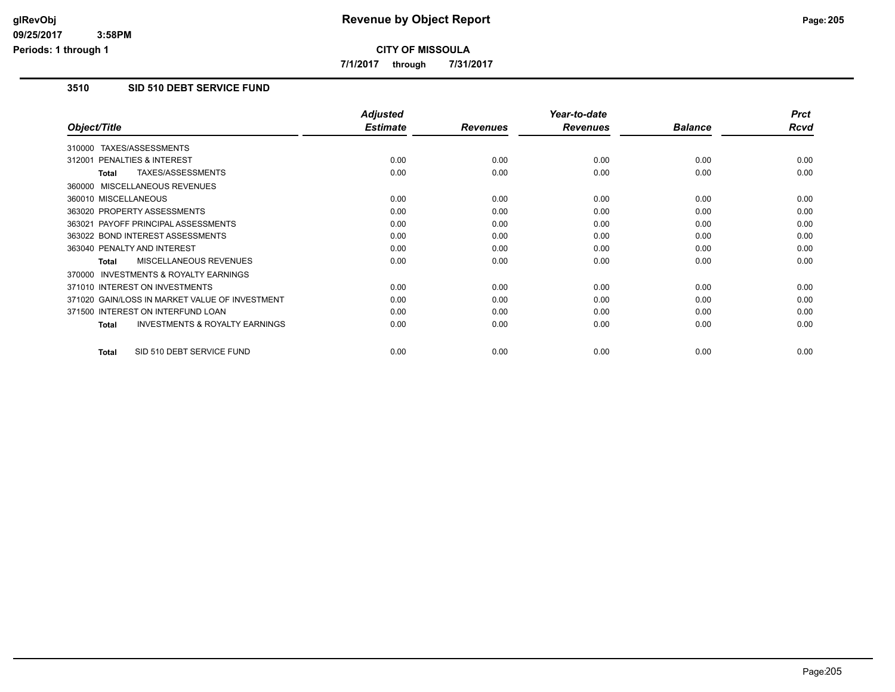**CITY OF MISSOULA**

**7/1/2017 through 7/31/2017**

# **3510 SID 510 DEBT SERVICE FUND**

|                                                           | <b>Adjusted</b> |                 | Year-to-date    |                | <b>Prct</b> |
|-----------------------------------------------------------|-----------------|-----------------|-----------------|----------------|-------------|
| Object/Title                                              | <b>Estimate</b> | <b>Revenues</b> | <b>Revenues</b> | <b>Balance</b> | Rcvd        |
| TAXES/ASSESSMENTS<br>310000                               |                 |                 |                 |                |             |
| 312001 PENALTIES & INTEREST                               | 0.00            | 0.00            | 0.00            | 0.00           | 0.00        |
| TAXES/ASSESSMENTS<br><b>Total</b>                         | 0.00            | 0.00            | 0.00            | 0.00           | 0.00        |
| 360000 MISCELLANEOUS REVENUES                             |                 |                 |                 |                |             |
| 360010 MISCELLANEOUS                                      | 0.00            | 0.00            | 0.00            | 0.00           | 0.00        |
| 363020 PROPERTY ASSESSMENTS                               | 0.00            | 0.00            | 0.00            | 0.00           | 0.00        |
| 363021 PAYOFF PRINCIPAL ASSESSMENTS                       | 0.00            | 0.00            | 0.00            | 0.00           | 0.00        |
| 363022 BOND INTEREST ASSESSMENTS                          | 0.00            | 0.00            | 0.00            | 0.00           | 0.00        |
| 363040 PENALTY AND INTEREST                               | 0.00            | 0.00            | 0.00            | 0.00           | 0.00        |
| MISCELLANEOUS REVENUES<br><b>Total</b>                    | 0.00            | 0.00            | 0.00            | 0.00           | 0.00        |
| <b>INVESTMENTS &amp; ROYALTY EARNINGS</b><br>370000       |                 |                 |                 |                |             |
| 371010 INTEREST ON INVESTMENTS                            | 0.00            | 0.00            | 0.00            | 0.00           | 0.00        |
| 371020 GAIN/LOSS IN MARKET VALUE OF INVESTMENT            | 0.00            | 0.00            | 0.00            | 0.00           | 0.00        |
| 371500 INTEREST ON INTERFUND LOAN                         | 0.00            | 0.00            | 0.00            | 0.00           | 0.00        |
| <b>INVESTMENTS &amp; ROYALTY EARNINGS</b><br><b>Total</b> | 0.00            | 0.00            | 0.00            | 0.00           | 0.00        |
| SID 510 DEBT SERVICE FUND<br><b>Total</b>                 | 0.00            | 0.00            | 0.00            | 0.00           | 0.00        |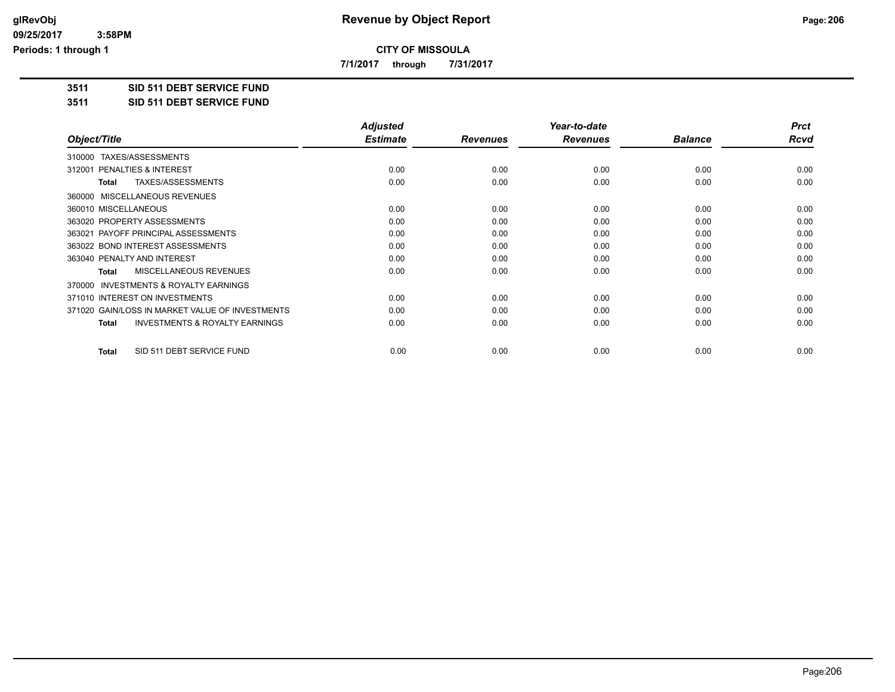**7/1/2017 through 7/31/2017**

**3511 SID 511 DEBT SERVICE FUND**

**3511 SID 511 DEBT SERVICE FUND**

|                                                    | <b>Adjusted</b> |                 | Year-to-date    |                | <b>Prct</b> |
|----------------------------------------------------|-----------------|-----------------|-----------------|----------------|-------------|
| Object/Title                                       | <b>Estimate</b> | <b>Revenues</b> | <b>Revenues</b> | <b>Balance</b> | Rcvd        |
| 310000 TAXES/ASSESSMENTS                           |                 |                 |                 |                |             |
| PENALTIES & INTEREST<br>312001                     | 0.00            | 0.00            | 0.00            | 0.00           | 0.00        |
| <b>TAXES/ASSESSMENTS</b><br>Total                  | 0.00            | 0.00            | 0.00            | 0.00           | 0.00        |
| 360000 MISCELLANEOUS REVENUES                      |                 |                 |                 |                |             |
| 360010 MISCELLANEOUS                               | 0.00            | 0.00            | 0.00            | 0.00           | 0.00        |
| 363020 PROPERTY ASSESSMENTS                        | 0.00            | 0.00            | 0.00            | 0.00           | 0.00        |
| 363021 PAYOFF PRINCIPAL ASSESSMENTS                | 0.00            | 0.00            | 0.00            | 0.00           | 0.00        |
| 363022 BOND INTEREST ASSESSMENTS                   | 0.00            | 0.00            | 0.00            | 0.00           | 0.00        |
| 363040 PENALTY AND INTEREST                        | 0.00            | 0.00            | 0.00            | 0.00           | 0.00        |
| MISCELLANEOUS REVENUES<br>Total                    | 0.00            | 0.00            | 0.00            | 0.00           | 0.00        |
| 370000 INVESTMENTS & ROYALTY EARNINGS              |                 |                 |                 |                |             |
| 371010 INTEREST ON INVESTMENTS                     | 0.00            | 0.00            | 0.00            | 0.00           | 0.00        |
| 371020 GAIN/LOSS IN MARKET VALUE OF INVESTMENTS    | 0.00            | 0.00            | 0.00            | 0.00           | 0.00        |
| <b>INVESTMENTS &amp; ROYALTY EARNINGS</b><br>Total | 0.00            | 0.00            | 0.00            | 0.00           | 0.00        |
| SID 511 DEBT SERVICE FUND<br>Total                 | 0.00            | 0.00            | 0.00            | 0.00           | 0.00        |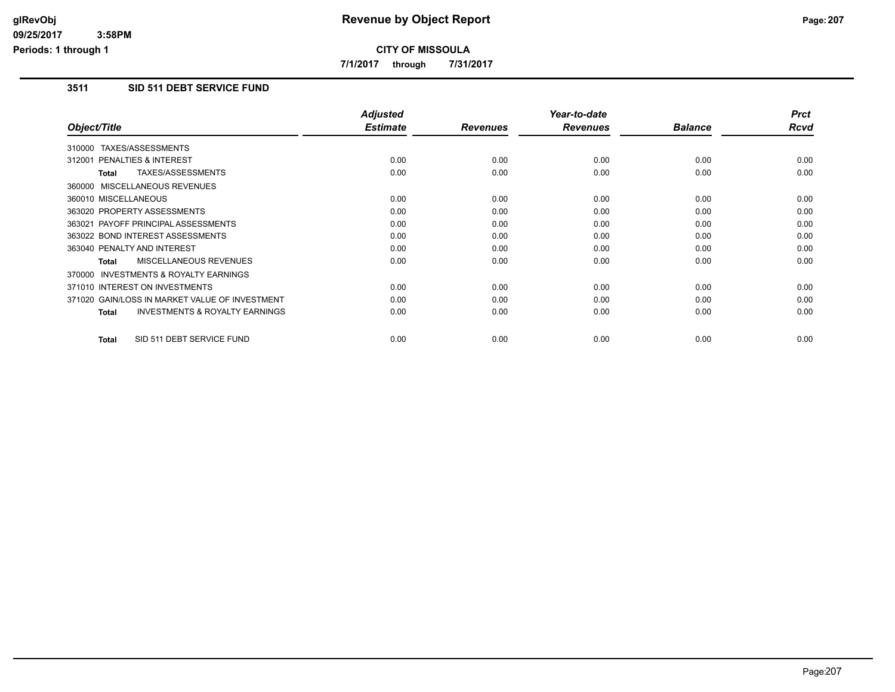**CITY OF MISSOULA**

**7/1/2017 through 7/31/2017**

# **3511 SID 511 DEBT SERVICE FUND**

|                                                           | <b>Adjusted</b> |                 | Year-to-date    |                | <b>Prct</b> |
|-----------------------------------------------------------|-----------------|-----------------|-----------------|----------------|-------------|
| Object/Title                                              | <b>Estimate</b> | <b>Revenues</b> | <b>Revenues</b> | <b>Balance</b> | Rcvd        |
| 310000 TAXES/ASSESSMENTS                                  |                 |                 |                 |                |             |
| 312001 PENALTIES & INTEREST                               | 0.00            | 0.00            | 0.00            | 0.00           | 0.00        |
| TAXES/ASSESSMENTS<br><b>Total</b>                         | 0.00            | 0.00            | 0.00            | 0.00           | 0.00        |
| 360000 MISCELLANEOUS REVENUES                             |                 |                 |                 |                |             |
| 360010 MISCELLANEOUS                                      | 0.00            | 0.00            | 0.00            | 0.00           | 0.00        |
| 363020 PROPERTY ASSESSMENTS                               | 0.00            | 0.00            | 0.00            | 0.00           | 0.00        |
| 363021 PAYOFF PRINCIPAL ASSESSMENTS                       | 0.00            | 0.00            | 0.00            | 0.00           | 0.00        |
| 363022 BOND INTEREST ASSESSMENTS                          | 0.00            | 0.00            | 0.00            | 0.00           | 0.00        |
| 363040 PENALTY AND INTEREST                               | 0.00            | 0.00            | 0.00            | 0.00           | 0.00        |
| MISCELLANEOUS REVENUES<br>Total                           | 0.00            | 0.00            | 0.00            | 0.00           | 0.00        |
| INVESTMENTS & ROYALTY EARNINGS<br>370000                  |                 |                 |                 |                |             |
| 371010 INTEREST ON INVESTMENTS                            | 0.00            | 0.00            | 0.00            | 0.00           | 0.00        |
| 371020 GAIN/LOSS IN MARKET VALUE OF INVESTMENT            | 0.00            | 0.00            | 0.00            | 0.00           | 0.00        |
| <b>INVESTMENTS &amp; ROYALTY EARNINGS</b><br><b>Total</b> | 0.00            | 0.00            | 0.00            | 0.00           | 0.00        |
| SID 511 DEBT SERVICE FUND<br><b>Total</b>                 | 0.00            | 0.00            | 0.00            | 0.00           | 0.00        |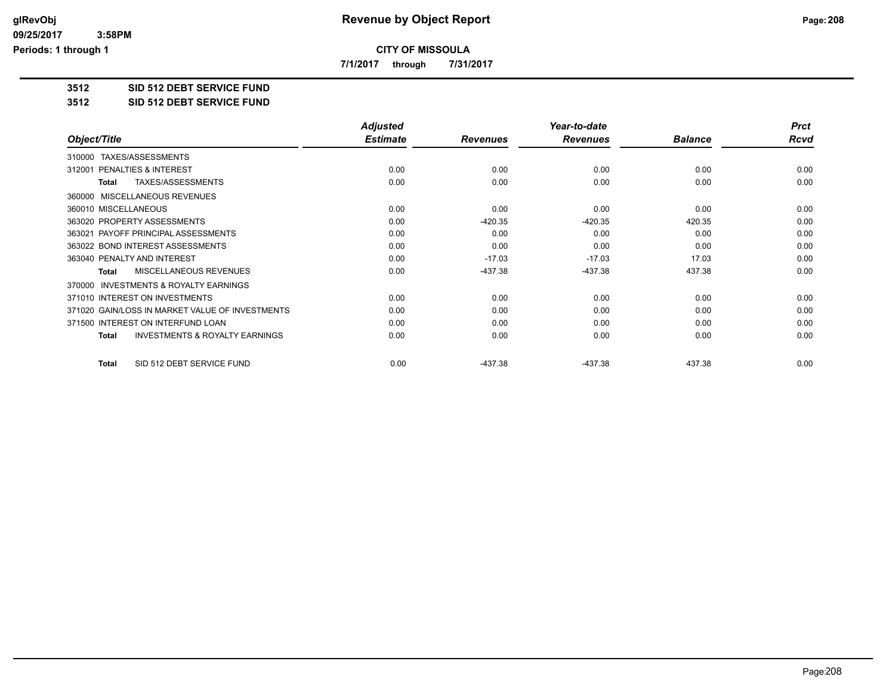**7/1/2017 through 7/31/2017**

**3512 SID 512 DEBT SERVICE FUND**

**3512 SID 512 DEBT SERVICE FUND**

|                                                           | <b>Adjusted</b> |                 | Year-to-date    |                | <b>Prct</b> |
|-----------------------------------------------------------|-----------------|-----------------|-----------------|----------------|-------------|
| Object/Title                                              | <b>Estimate</b> | <b>Revenues</b> | <b>Revenues</b> | <b>Balance</b> | <b>Rcvd</b> |
| TAXES/ASSESSMENTS<br>310000                               |                 |                 |                 |                |             |
| 312001 PENALTIES & INTEREST                               | 0.00            | 0.00            | 0.00            | 0.00           | 0.00        |
| TAXES/ASSESSMENTS<br><b>Total</b>                         | 0.00            | 0.00            | 0.00            | 0.00           | 0.00        |
| MISCELLANEOUS REVENUES<br>360000                          |                 |                 |                 |                |             |
| 360010 MISCELLANEOUS                                      | 0.00            | 0.00            | 0.00            | 0.00           | 0.00        |
| 363020 PROPERTY ASSESSMENTS                               | 0.00            | $-420.35$       | $-420.35$       | 420.35         | 0.00        |
| 363021 PAYOFF PRINCIPAL ASSESSMENTS                       | 0.00            | 0.00            | 0.00            | 0.00           | 0.00        |
| 363022 BOND INTEREST ASSESSMENTS                          | 0.00            | 0.00            | 0.00            | 0.00           | 0.00        |
| 363040 PENALTY AND INTEREST                               | 0.00            | $-17.03$        | $-17.03$        | 17.03          | 0.00        |
| MISCELLANEOUS REVENUES<br><b>Total</b>                    | 0.00            | $-437.38$       | $-437.38$       | 437.38         | 0.00        |
| <b>INVESTMENTS &amp; ROYALTY EARNINGS</b><br>370000       |                 |                 |                 |                |             |
| 371010 INTEREST ON INVESTMENTS                            | 0.00            | 0.00            | 0.00            | 0.00           | 0.00        |
| 371020 GAIN/LOSS IN MARKET VALUE OF INVESTMENTS           | 0.00            | 0.00            | 0.00            | 0.00           | 0.00        |
| 371500 INTEREST ON INTERFUND LOAN                         | 0.00            | 0.00            | 0.00            | 0.00           | 0.00        |
| <b>INVESTMENTS &amp; ROYALTY EARNINGS</b><br><b>Total</b> | 0.00            | 0.00            | 0.00            | 0.00           | 0.00        |
| SID 512 DEBT SERVICE FUND<br>Total                        | 0.00            | $-437.38$       | $-437.38$       | 437.38         | 0.00        |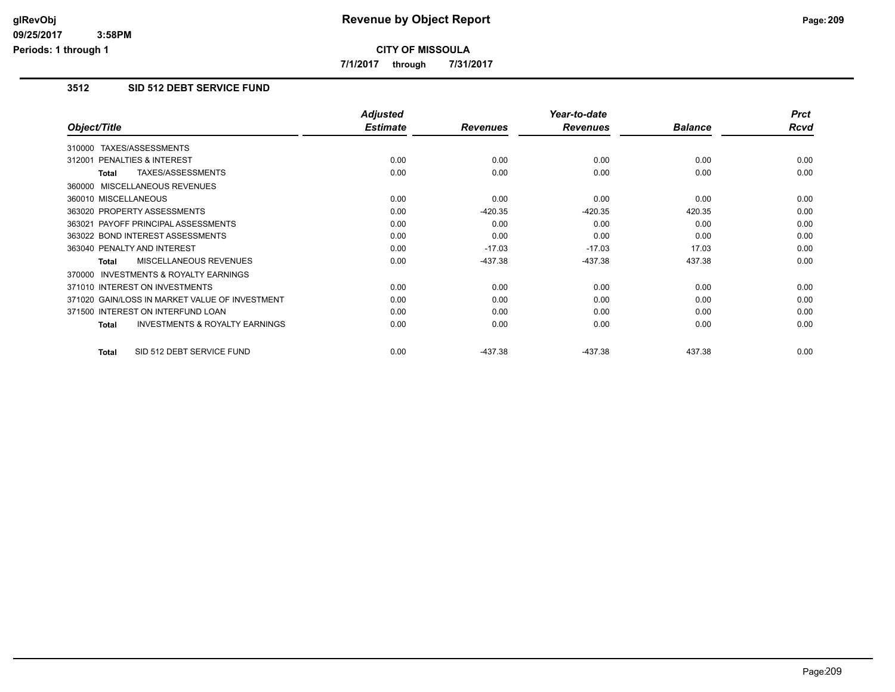**CITY OF MISSOULA**

**7/1/2017 through 7/31/2017**

## **3512 SID 512 DEBT SERVICE FUND**

|                                                           | <b>Adjusted</b> |                 | Year-to-date    |                | <b>Prct</b> |
|-----------------------------------------------------------|-----------------|-----------------|-----------------|----------------|-------------|
| Object/Title                                              | <b>Estimate</b> | <b>Revenues</b> | <b>Revenues</b> | <b>Balance</b> | <b>Rcvd</b> |
| TAXES/ASSESSMENTS<br>310000                               |                 |                 |                 |                |             |
| PENALTIES & INTEREST<br>312001                            | 0.00            | 0.00            | 0.00            | 0.00           | 0.00        |
| TAXES/ASSESSMENTS<br><b>Total</b>                         | 0.00            | 0.00            | 0.00            | 0.00           | 0.00        |
| 360000 MISCELLANEOUS REVENUES                             |                 |                 |                 |                |             |
| 360010 MISCELLANEOUS                                      | 0.00            | 0.00            | 0.00            | 0.00           | 0.00        |
| 363020 PROPERTY ASSESSMENTS                               | 0.00            | $-420.35$       | $-420.35$       | 420.35         | 0.00        |
| 363021 PAYOFF PRINCIPAL ASSESSMENTS                       | 0.00            | 0.00            | 0.00            | 0.00           | 0.00        |
| 363022 BOND INTEREST ASSESSMENTS                          | 0.00            | 0.00            | 0.00            | 0.00           | 0.00        |
| 363040 PENALTY AND INTEREST                               | 0.00            | $-17.03$        | $-17.03$        | 17.03          | 0.00        |
| <b>MISCELLANEOUS REVENUES</b><br><b>Total</b>             | 0.00            | $-437.38$       | $-437.38$       | 437.38         | 0.00        |
| <b>INVESTMENTS &amp; ROYALTY EARNINGS</b><br>370000       |                 |                 |                 |                |             |
| 371010 INTEREST ON INVESTMENTS                            | 0.00            | 0.00            | 0.00            | 0.00           | 0.00        |
| 371020 GAIN/LOSS IN MARKET VALUE OF INVESTMENT            | 0.00            | 0.00            | 0.00            | 0.00           | 0.00        |
| 371500 INTEREST ON INTERFUND LOAN                         | 0.00            | 0.00            | 0.00            | 0.00           | 0.00        |
| <b>INVESTMENTS &amp; ROYALTY EARNINGS</b><br><b>Total</b> | 0.00            | 0.00            | 0.00            | 0.00           | 0.00        |
| SID 512 DEBT SERVICE FUND<br>Total                        | 0.00            | $-437.38$       | $-437.38$       | 437.38         | 0.00        |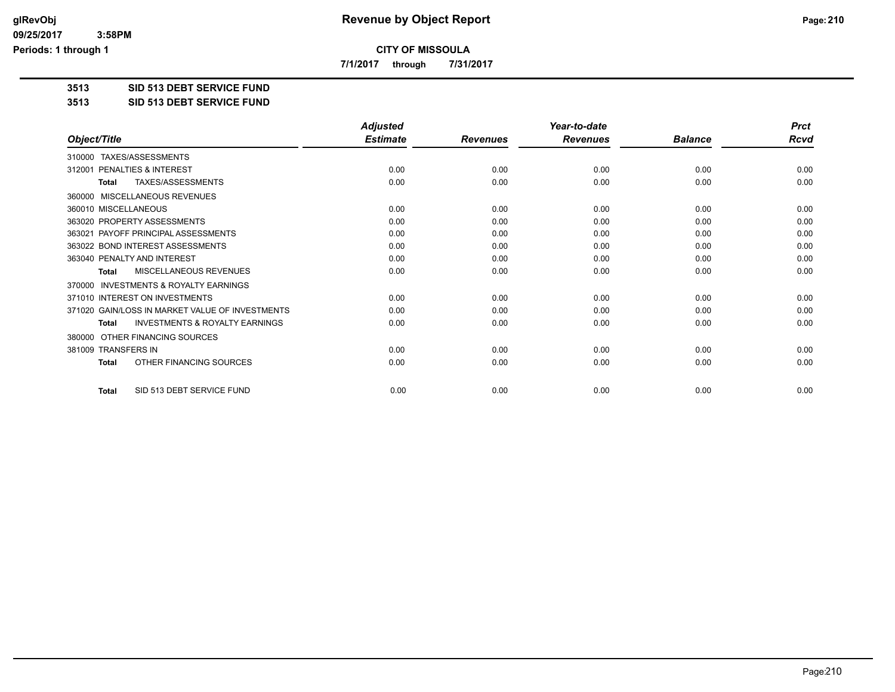**7/1/2017 through 7/31/2017**

**3513 SID 513 DEBT SERVICE FUND**

**3513 SID 513 DEBT SERVICE FUND**

|                                                           | <b>Adjusted</b> |                 | Year-to-date    |                | <b>Prct</b> |
|-----------------------------------------------------------|-----------------|-----------------|-----------------|----------------|-------------|
| Object/Title                                              | <b>Estimate</b> | <b>Revenues</b> | <b>Revenues</b> | <b>Balance</b> | <b>Rcvd</b> |
| TAXES/ASSESSMENTS<br>310000                               |                 |                 |                 |                |             |
| PENALTIES & INTEREST<br>312001                            | 0.00            | 0.00            | 0.00            | 0.00           | 0.00        |
| TAXES/ASSESSMENTS<br>Total                                | 0.00            | 0.00            | 0.00            | 0.00           | 0.00        |
| MISCELLANEOUS REVENUES<br>360000                          |                 |                 |                 |                |             |
| 360010 MISCELLANEOUS                                      | 0.00            | 0.00            | 0.00            | 0.00           | 0.00        |
| 363020 PROPERTY ASSESSMENTS                               | 0.00            | 0.00            | 0.00            | 0.00           | 0.00        |
| 363021 PAYOFF PRINCIPAL ASSESSMENTS                       | 0.00            | 0.00            | 0.00            | 0.00           | 0.00        |
| 363022 BOND INTEREST ASSESSMENTS                          | 0.00            | 0.00            | 0.00            | 0.00           | 0.00        |
| 363040 PENALTY AND INTEREST                               | 0.00            | 0.00            | 0.00            | 0.00           | 0.00        |
| MISCELLANEOUS REVENUES<br><b>Total</b>                    | 0.00            | 0.00            | 0.00            | 0.00           | 0.00        |
| <b>INVESTMENTS &amp; ROYALTY EARNINGS</b><br>370000       |                 |                 |                 |                |             |
| 371010 INTEREST ON INVESTMENTS                            | 0.00            | 0.00            | 0.00            | 0.00           | 0.00        |
| 371020 GAIN/LOSS IN MARKET VALUE OF INVESTMENTS           | 0.00            | 0.00            | 0.00            | 0.00           | 0.00        |
| <b>INVESTMENTS &amp; ROYALTY EARNINGS</b><br><b>Total</b> | 0.00            | 0.00            | 0.00            | 0.00           | 0.00        |
| OTHER FINANCING SOURCES<br>380000                         |                 |                 |                 |                |             |
| 381009 TRANSFERS IN                                       | 0.00            | 0.00            | 0.00            | 0.00           | 0.00        |
| OTHER FINANCING SOURCES<br>Total                          | 0.00            | 0.00            | 0.00            | 0.00           | 0.00        |
| SID 513 DEBT SERVICE FUND<br><b>Total</b>                 | 0.00            | 0.00            | 0.00            | 0.00           | 0.00        |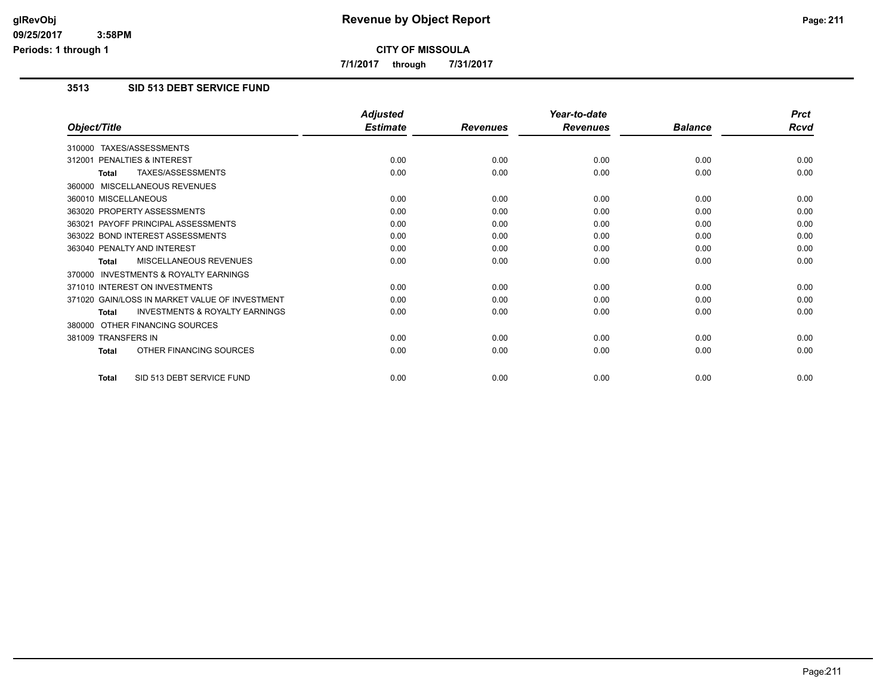**CITY OF MISSOULA**

**7/1/2017 through 7/31/2017**

### **3513 SID 513 DEBT SERVICE FUND**

|                                                           | <b>Adjusted</b> |                 | Year-to-date    |                | <b>Prct</b> |
|-----------------------------------------------------------|-----------------|-----------------|-----------------|----------------|-------------|
| Object/Title                                              | <b>Estimate</b> | <b>Revenues</b> | <b>Revenues</b> | <b>Balance</b> | <b>Rcvd</b> |
| 310000 TAXES/ASSESSMENTS                                  |                 |                 |                 |                |             |
| PENALTIES & INTEREST<br>312001                            | 0.00            | 0.00            | 0.00            | 0.00           | 0.00        |
| TAXES/ASSESSMENTS<br>Total                                | 0.00            | 0.00            | 0.00            | 0.00           | 0.00        |
| 360000 MISCELLANEOUS REVENUES                             |                 |                 |                 |                |             |
| 360010 MISCELLANEOUS                                      | 0.00            | 0.00            | 0.00            | 0.00           | 0.00        |
| 363020 PROPERTY ASSESSMENTS                               | 0.00            | 0.00            | 0.00            | 0.00           | 0.00        |
| 363021 PAYOFF PRINCIPAL ASSESSMENTS                       | 0.00            | 0.00            | 0.00            | 0.00           | 0.00        |
| 363022 BOND INTEREST ASSESSMENTS                          | 0.00            | 0.00            | 0.00            | 0.00           | 0.00        |
| 363040 PENALTY AND INTEREST                               | 0.00            | 0.00            | 0.00            | 0.00           | 0.00        |
| <b>MISCELLANEOUS REVENUES</b><br><b>Total</b>             | 0.00            | 0.00            | 0.00            | 0.00           | 0.00        |
| 370000 INVESTMENTS & ROYALTY EARNINGS                     |                 |                 |                 |                |             |
| 371010 INTEREST ON INVESTMENTS                            | 0.00            | 0.00            | 0.00            | 0.00           | 0.00        |
| 371020 GAIN/LOSS IN MARKET VALUE OF INVESTMENT            | 0.00            | 0.00            | 0.00            | 0.00           | 0.00        |
| <b>INVESTMENTS &amp; ROYALTY EARNINGS</b><br><b>Total</b> | 0.00            | 0.00            | 0.00            | 0.00           | 0.00        |
| 380000 OTHER FINANCING SOURCES                            |                 |                 |                 |                |             |
| 381009 TRANSFERS IN                                       | 0.00            | 0.00            | 0.00            | 0.00           | 0.00        |
| OTHER FINANCING SOURCES<br><b>Total</b>                   | 0.00            | 0.00            | 0.00            | 0.00           | 0.00        |
| SID 513 DEBT SERVICE FUND<br><b>Total</b>                 | 0.00            | 0.00            | 0.00            | 0.00           | 0.00        |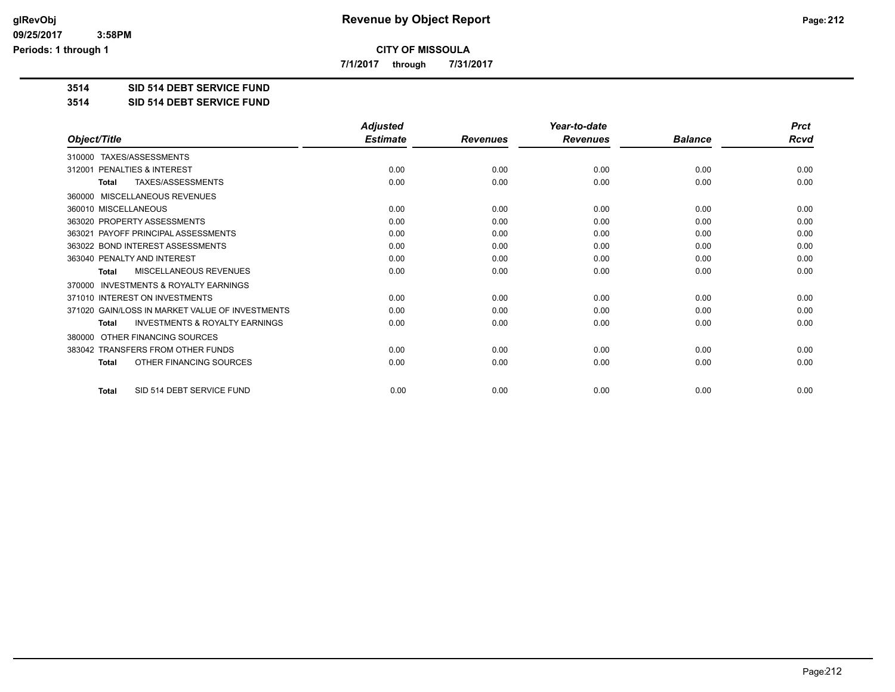**7/1/2017 through 7/31/2017**

**3514 SID 514 DEBT SERVICE FUND**

**3514 SID 514 DEBT SERVICE FUND**

|                                                     | <b>Adjusted</b> |                 | Year-to-date    |                | <b>Prct</b> |
|-----------------------------------------------------|-----------------|-----------------|-----------------|----------------|-------------|
| Object/Title                                        | <b>Estimate</b> | <b>Revenues</b> | <b>Revenues</b> | <b>Balance</b> | <b>Rcvd</b> |
| TAXES/ASSESSMENTS<br>310000                         |                 |                 |                 |                |             |
| PENALTIES & INTEREST<br>312001                      | 0.00            | 0.00            | 0.00            | 0.00           | 0.00        |
| TAXES/ASSESSMENTS<br><b>Total</b>                   | 0.00            | 0.00            | 0.00            | 0.00           | 0.00        |
| MISCELLANEOUS REVENUES<br>360000                    |                 |                 |                 |                |             |
| 360010 MISCELLANEOUS                                | 0.00            | 0.00            | 0.00            | 0.00           | 0.00        |
| 363020 PROPERTY ASSESSMENTS                         | 0.00            | 0.00            | 0.00            | 0.00           | 0.00        |
| 363021 PAYOFF PRINCIPAL ASSESSMENTS                 | 0.00            | 0.00            | 0.00            | 0.00           | 0.00        |
| 363022 BOND INTEREST ASSESSMENTS                    | 0.00            | 0.00            | 0.00            | 0.00           | 0.00        |
| 363040 PENALTY AND INTEREST                         | 0.00            | 0.00            | 0.00            | 0.00           | 0.00        |
| MISCELLANEOUS REVENUES<br>Total                     | 0.00            | 0.00            | 0.00            | 0.00           | 0.00        |
| <b>INVESTMENTS &amp; ROYALTY EARNINGS</b><br>370000 |                 |                 |                 |                |             |
| 371010 INTEREST ON INVESTMENTS                      | 0.00            | 0.00            | 0.00            | 0.00           | 0.00        |
| 371020 GAIN/LOSS IN MARKET VALUE OF INVESTMENTS     | 0.00            | 0.00            | 0.00            | 0.00           | 0.00        |
| <b>INVESTMENTS &amp; ROYALTY EARNINGS</b><br>Total  | 0.00            | 0.00            | 0.00            | 0.00           | 0.00        |
| OTHER FINANCING SOURCES<br>380000                   |                 |                 |                 |                |             |
| 383042 TRANSFERS FROM OTHER FUNDS                   | 0.00            | 0.00            | 0.00            | 0.00           | 0.00        |
| OTHER FINANCING SOURCES<br><b>Total</b>             | 0.00            | 0.00            | 0.00            | 0.00           | 0.00        |
| SID 514 DEBT SERVICE FUND<br><b>Total</b>           | 0.00            | 0.00            | 0.00            | 0.00           | 0.00        |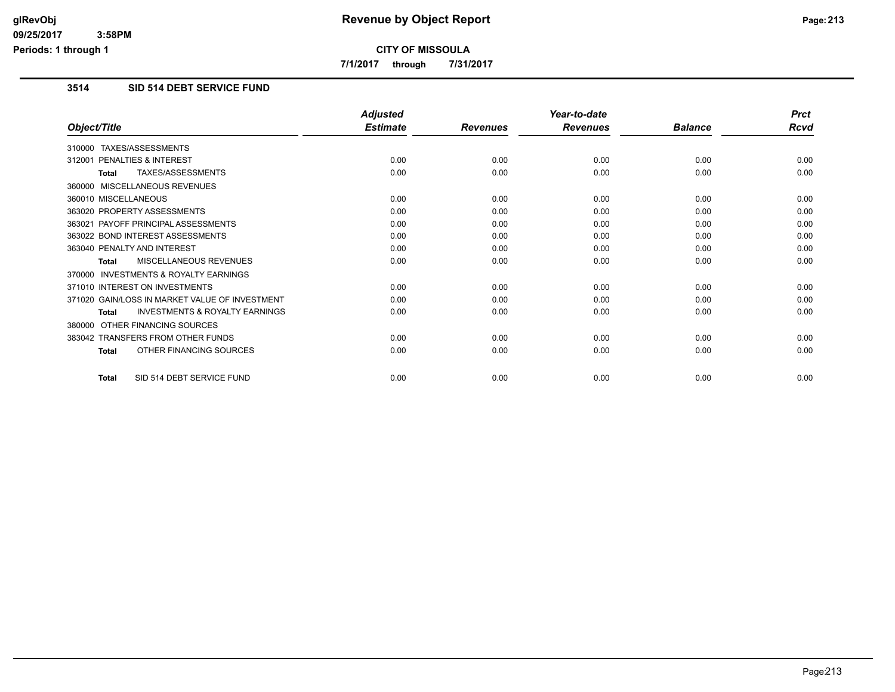**CITY OF MISSOULA**

**7/1/2017 through 7/31/2017**

# **3514 SID 514 DEBT SERVICE FUND**

|                                                           | <b>Adjusted</b> |                 | Year-to-date    |                | <b>Prct</b> |
|-----------------------------------------------------------|-----------------|-----------------|-----------------|----------------|-------------|
| Object/Title                                              | <b>Estimate</b> | <b>Revenues</b> | <b>Revenues</b> | <b>Balance</b> | <b>Rcvd</b> |
| 310000 TAXES/ASSESSMENTS                                  |                 |                 |                 |                |             |
| PENALTIES & INTEREST<br>312001                            | 0.00            | 0.00            | 0.00            | 0.00           | 0.00        |
| <b>TAXES/ASSESSMENTS</b><br><b>Total</b>                  | 0.00            | 0.00            | 0.00            | 0.00           | 0.00        |
| 360000 MISCELLANEOUS REVENUES                             |                 |                 |                 |                |             |
| 360010 MISCELLANEOUS                                      | 0.00            | 0.00            | 0.00            | 0.00           | 0.00        |
| 363020 PROPERTY ASSESSMENTS                               | 0.00            | 0.00            | 0.00            | 0.00           | 0.00        |
| 363021 PAYOFF PRINCIPAL ASSESSMENTS                       | 0.00            | 0.00            | 0.00            | 0.00           | 0.00        |
| 363022 BOND INTEREST ASSESSMENTS                          | 0.00            | 0.00            | 0.00            | 0.00           | 0.00        |
| 363040 PENALTY AND INTEREST                               | 0.00            | 0.00            | 0.00            | 0.00           | 0.00        |
| MISCELLANEOUS REVENUES<br><b>Total</b>                    | 0.00            | 0.00            | 0.00            | 0.00           | 0.00        |
| <b>INVESTMENTS &amp; ROYALTY EARNINGS</b><br>370000       |                 |                 |                 |                |             |
| 371010 INTEREST ON INVESTMENTS                            | 0.00            | 0.00            | 0.00            | 0.00           | 0.00        |
| 371020 GAIN/LOSS IN MARKET VALUE OF INVESTMENT            | 0.00            | 0.00            | 0.00            | 0.00           | 0.00        |
| <b>INVESTMENTS &amp; ROYALTY EARNINGS</b><br><b>Total</b> | 0.00            | 0.00            | 0.00            | 0.00           | 0.00        |
| OTHER FINANCING SOURCES<br>380000                         |                 |                 |                 |                |             |
| 383042 TRANSFERS FROM OTHER FUNDS                         | 0.00            | 0.00            | 0.00            | 0.00           | 0.00        |
| OTHER FINANCING SOURCES<br><b>Total</b>                   | 0.00            | 0.00            | 0.00            | 0.00           | 0.00        |
| SID 514 DEBT SERVICE FUND<br><b>Total</b>                 | 0.00            | 0.00            | 0.00            | 0.00           | 0.00        |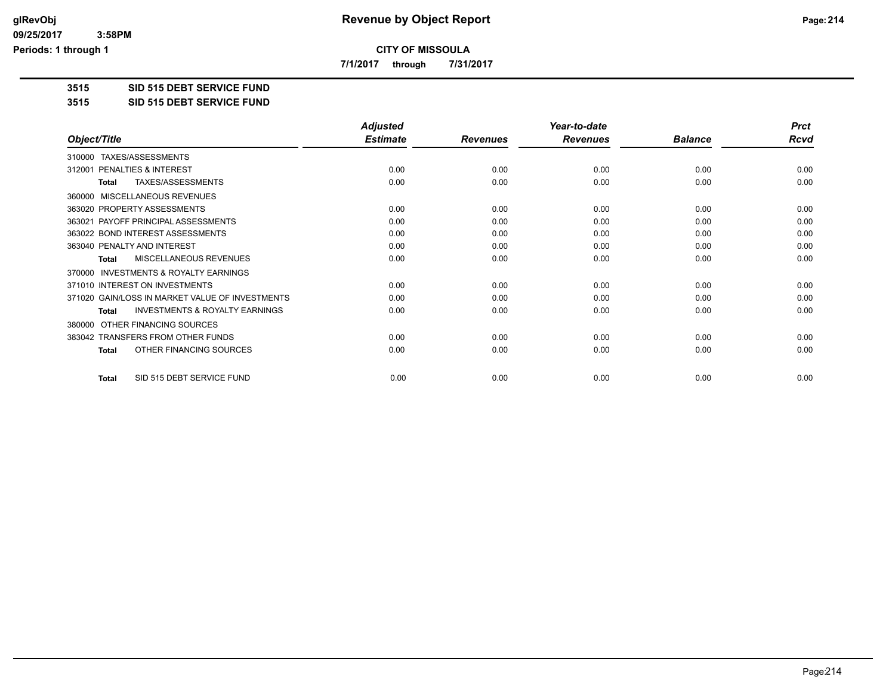**7/1/2017 through 7/31/2017**

**3515 SID 515 DEBT SERVICE FUND**

**3515 SID 515 DEBT SERVICE FUND**

|                                                           | <b>Adjusted</b> |                 | Year-to-date    |                | <b>Prct</b> |
|-----------------------------------------------------------|-----------------|-----------------|-----------------|----------------|-------------|
| Object/Title                                              | <b>Estimate</b> | <b>Revenues</b> | <b>Revenues</b> | <b>Balance</b> | <b>Rcvd</b> |
| TAXES/ASSESSMENTS<br>310000                               |                 |                 |                 |                |             |
| PENALTIES & INTEREST<br>312001                            | 0.00            | 0.00            | 0.00            | 0.00           | 0.00        |
| TAXES/ASSESSMENTS<br><b>Total</b>                         | 0.00            | 0.00            | 0.00            | 0.00           | 0.00        |
| MISCELLANEOUS REVENUES<br>360000                          |                 |                 |                 |                |             |
| 363020 PROPERTY ASSESSMENTS                               | 0.00            | 0.00            | 0.00            | 0.00           | 0.00        |
| 363021 PAYOFF PRINCIPAL ASSESSMENTS                       | 0.00            | 0.00            | 0.00            | 0.00           | 0.00        |
| 363022 BOND INTEREST ASSESSMENTS                          | 0.00            | 0.00            | 0.00            | 0.00           | 0.00        |
| 363040 PENALTY AND INTEREST                               | 0.00            | 0.00            | 0.00            | 0.00           | 0.00        |
| MISCELLANEOUS REVENUES<br><b>Total</b>                    | 0.00            | 0.00            | 0.00            | 0.00           | 0.00        |
| <b>INVESTMENTS &amp; ROYALTY EARNINGS</b><br>370000       |                 |                 |                 |                |             |
| 371010 INTEREST ON INVESTMENTS                            | 0.00            | 0.00            | 0.00            | 0.00           | 0.00        |
| 371020 GAIN/LOSS IN MARKET VALUE OF INVESTMENTS           | 0.00            | 0.00            | 0.00            | 0.00           | 0.00        |
| <b>INVESTMENTS &amp; ROYALTY EARNINGS</b><br><b>Total</b> | 0.00            | 0.00            | 0.00            | 0.00           | 0.00        |
| OTHER FINANCING SOURCES<br>380000                         |                 |                 |                 |                |             |
| 383042 TRANSFERS FROM OTHER FUNDS                         | 0.00            | 0.00            | 0.00            | 0.00           | 0.00        |
| OTHER FINANCING SOURCES<br><b>Total</b>                   | 0.00            | 0.00            | 0.00            | 0.00           | 0.00        |
| SID 515 DEBT SERVICE FUND<br><b>Total</b>                 | 0.00            | 0.00            | 0.00            | 0.00           | 0.00        |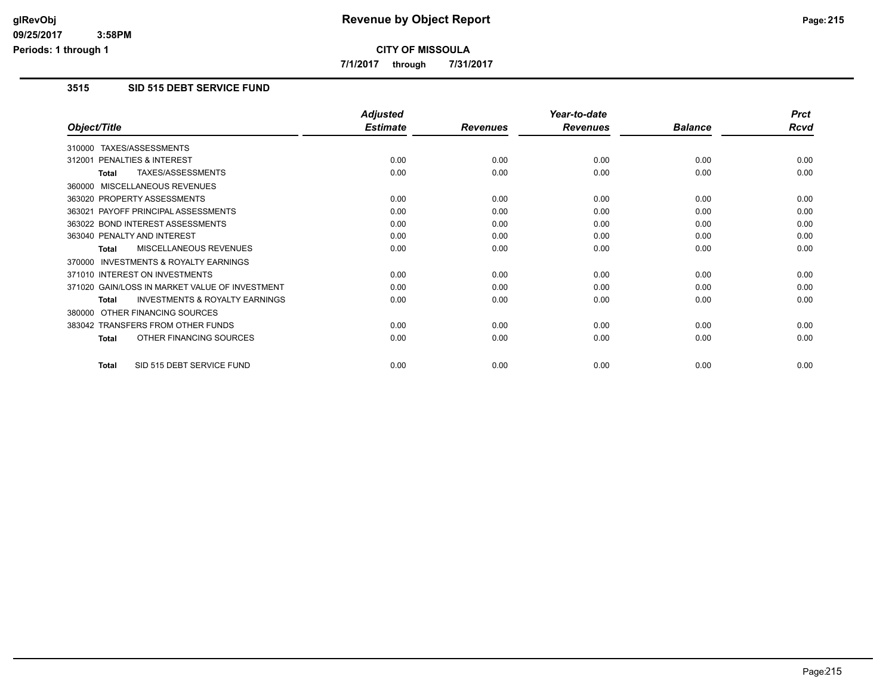**CITY OF MISSOULA**

**7/1/2017 through 7/31/2017**

# **3515 SID 515 DEBT SERVICE FUND**

|                                                           | <b>Adjusted</b> |                 | Year-to-date    |                | <b>Prct</b> |
|-----------------------------------------------------------|-----------------|-----------------|-----------------|----------------|-------------|
| Object/Title                                              | <b>Estimate</b> | <b>Revenues</b> | <b>Revenues</b> | <b>Balance</b> | <b>Rcvd</b> |
| TAXES/ASSESSMENTS<br>310000                               |                 |                 |                 |                |             |
| 312001 PENALTIES & INTEREST                               | 0.00            | 0.00            | 0.00            | 0.00           | 0.00        |
| TAXES/ASSESSMENTS<br><b>Total</b>                         | 0.00            | 0.00            | 0.00            | 0.00           | 0.00        |
| MISCELLANEOUS REVENUES<br>360000                          |                 |                 |                 |                |             |
| 363020 PROPERTY ASSESSMENTS                               | 0.00            | 0.00            | 0.00            | 0.00           | 0.00        |
| 363021 PAYOFF PRINCIPAL ASSESSMENTS                       | 0.00            | 0.00            | 0.00            | 0.00           | 0.00        |
| 363022 BOND INTEREST ASSESSMENTS                          | 0.00            | 0.00            | 0.00            | 0.00           | 0.00        |
| 363040 PENALTY AND INTEREST                               | 0.00            | 0.00            | 0.00            | 0.00           | 0.00        |
| MISCELLANEOUS REVENUES<br><b>Total</b>                    | 0.00            | 0.00            | 0.00            | 0.00           | 0.00        |
| <b>INVESTMENTS &amp; ROYALTY EARNINGS</b><br>370000       |                 |                 |                 |                |             |
| 371010 INTEREST ON INVESTMENTS                            | 0.00            | 0.00            | 0.00            | 0.00           | 0.00        |
| 371020 GAIN/LOSS IN MARKET VALUE OF INVESTMENT            | 0.00            | 0.00            | 0.00            | 0.00           | 0.00        |
| <b>INVESTMENTS &amp; ROYALTY EARNINGS</b><br><b>Total</b> | 0.00            | 0.00            | 0.00            | 0.00           | 0.00        |
| OTHER FINANCING SOURCES<br>380000                         |                 |                 |                 |                |             |
| 383042 TRANSFERS FROM OTHER FUNDS                         | 0.00            | 0.00            | 0.00            | 0.00           | 0.00        |
| OTHER FINANCING SOURCES<br><b>Total</b>                   | 0.00            | 0.00            | 0.00            | 0.00           | 0.00        |
| SID 515 DEBT SERVICE FUND<br><b>Total</b>                 | 0.00            | 0.00            | 0.00            | 0.00           | 0.00        |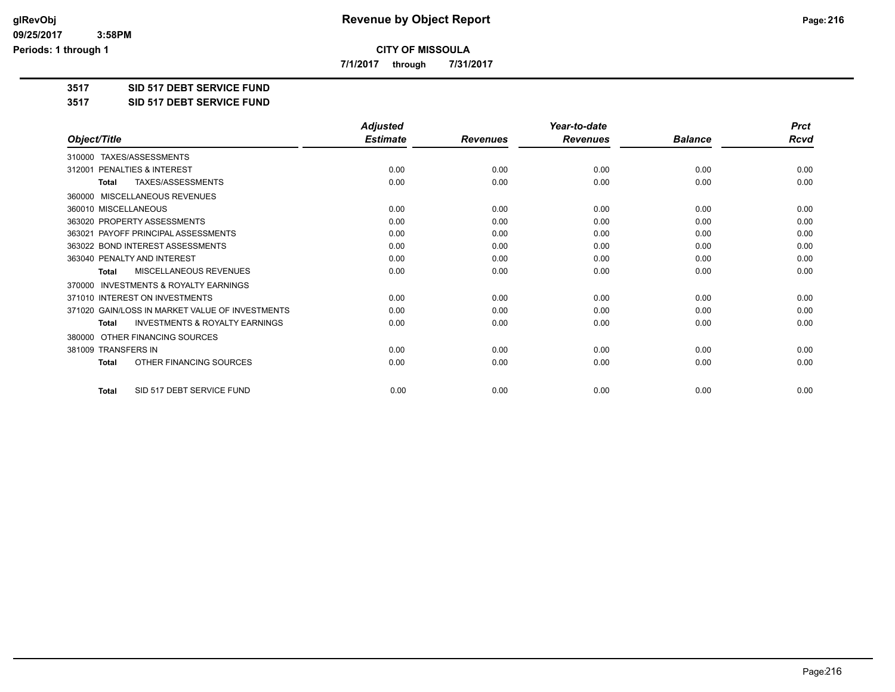**CITY OF MISSOULA**

**7/1/2017 through 7/31/2017**

**3517 SID 517 DEBT SERVICE FUND**

**3517 SID 517 DEBT SERVICE FUND**

|                                                           | <b>Adjusted</b> |                 | Year-to-date    |                | <b>Prct</b> |
|-----------------------------------------------------------|-----------------|-----------------|-----------------|----------------|-------------|
| Object/Title                                              | <b>Estimate</b> | <b>Revenues</b> | <b>Revenues</b> | <b>Balance</b> | <b>Rcvd</b> |
| TAXES/ASSESSMENTS<br>310000                               |                 |                 |                 |                |             |
| PENALTIES & INTEREST<br>312001                            | 0.00            | 0.00            | 0.00            | 0.00           | 0.00        |
| <b>TAXES/ASSESSMENTS</b><br><b>Total</b>                  | 0.00            | 0.00            | 0.00            | 0.00           | 0.00        |
| 360000 MISCELLANEOUS REVENUES                             |                 |                 |                 |                |             |
| 360010 MISCELLANEOUS                                      | 0.00            | 0.00            | 0.00            | 0.00           | 0.00        |
| 363020 PROPERTY ASSESSMENTS                               | 0.00            | 0.00            | 0.00            | 0.00           | 0.00        |
| PAYOFF PRINCIPAL ASSESSMENTS<br>363021                    | 0.00            | 0.00            | 0.00            | 0.00           | 0.00        |
| 363022 BOND INTEREST ASSESSMENTS                          | 0.00            | 0.00            | 0.00            | 0.00           | 0.00        |
| 363040 PENALTY AND INTEREST                               | 0.00            | 0.00            | 0.00            | 0.00           | 0.00        |
| MISCELLANEOUS REVENUES<br><b>Total</b>                    | 0.00            | 0.00            | 0.00            | 0.00           | 0.00        |
| <b>INVESTMENTS &amp; ROYALTY EARNINGS</b><br>370000       |                 |                 |                 |                |             |
| 371010 INTEREST ON INVESTMENTS                            | 0.00            | 0.00            | 0.00            | 0.00           | 0.00        |
| 371020 GAIN/LOSS IN MARKET VALUE OF INVESTMENTS           | 0.00            | 0.00            | 0.00            | 0.00           | 0.00        |
| <b>INVESTMENTS &amp; ROYALTY EARNINGS</b><br><b>Total</b> | 0.00            | 0.00            | 0.00            | 0.00           | 0.00        |
| OTHER FINANCING SOURCES<br>380000                         |                 |                 |                 |                |             |
| 381009 TRANSFERS IN                                       | 0.00            | 0.00            | 0.00            | 0.00           | 0.00        |
| OTHER FINANCING SOURCES<br><b>Total</b>                   | 0.00            | 0.00            | 0.00            | 0.00           | 0.00        |
| SID 517 DEBT SERVICE FUND<br><b>Total</b>                 | 0.00            | 0.00            | 0.00            | 0.00           | 0.00        |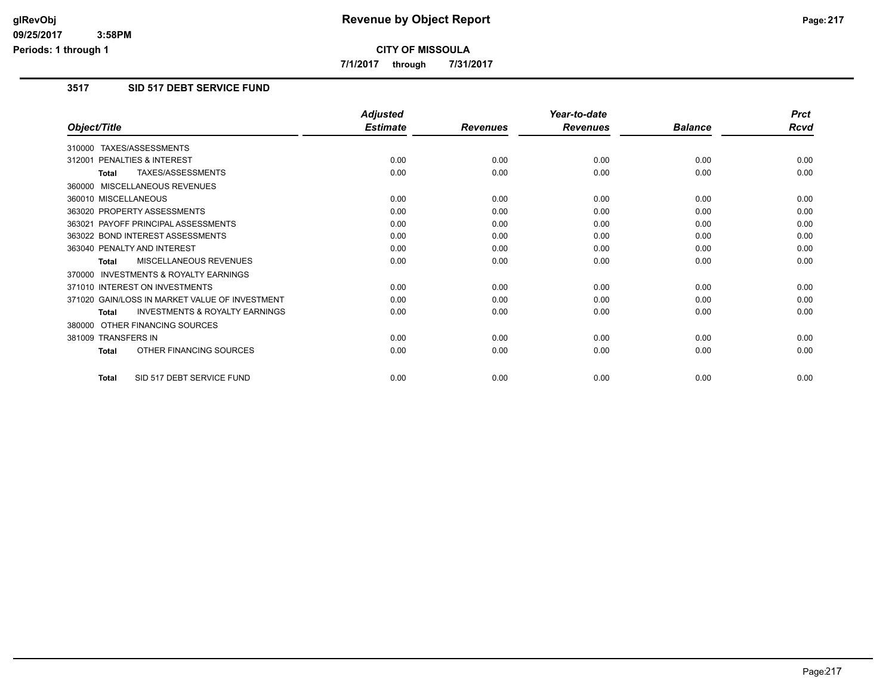**7/1/2017 through 7/31/2017**

## **3517 SID 517 DEBT SERVICE FUND**

|                                                           | <b>Adjusted</b> |                 | Year-to-date    |                | <b>Prct</b> |
|-----------------------------------------------------------|-----------------|-----------------|-----------------|----------------|-------------|
| Object/Title                                              | <b>Estimate</b> | <b>Revenues</b> | <b>Revenues</b> | <b>Balance</b> | <b>Rcvd</b> |
| 310000 TAXES/ASSESSMENTS                                  |                 |                 |                 |                |             |
| PENALTIES & INTEREST<br>312001                            | 0.00            | 0.00            | 0.00            | 0.00           | 0.00        |
| TAXES/ASSESSMENTS<br><b>Total</b>                         | 0.00            | 0.00            | 0.00            | 0.00           | 0.00        |
| 360000 MISCELLANEOUS REVENUES                             |                 |                 |                 |                |             |
| 360010 MISCELLANEOUS                                      | 0.00            | 0.00            | 0.00            | 0.00           | 0.00        |
| 363020 PROPERTY ASSESSMENTS                               | 0.00            | 0.00            | 0.00            | 0.00           | 0.00        |
| 363021 PAYOFF PRINCIPAL ASSESSMENTS                       | 0.00            | 0.00            | 0.00            | 0.00           | 0.00        |
| 363022 BOND INTEREST ASSESSMENTS                          | 0.00            | 0.00            | 0.00            | 0.00           | 0.00        |
| 363040 PENALTY AND INTEREST                               | 0.00            | 0.00            | 0.00            | 0.00           | 0.00        |
| MISCELLANEOUS REVENUES<br><b>Total</b>                    | 0.00            | 0.00            | 0.00            | 0.00           | 0.00        |
| <b>INVESTMENTS &amp; ROYALTY EARNINGS</b><br>370000       |                 |                 |                 |                |             |
| 371010 INTEREST ON INVESTMENTS                            | 0.00            | 0.00            | 0.00            | 0.00           | 0.00        |
| 371020 GAIN/LOSS IN MARKET VALUE OF INVESTMENT            | 0.00            | 0.00            | 0.00            | 0.00           | 0.00        |
| <b>INVESTMENTS &amp; ROYALTY EARNINGS</b><br><b>Total</b> | 0.00            | 0.00            | 0.00            | 0.00           | 0.00        |
| 380000 OTHER FINANCING SOURCES                            |                 |                 |                 |                |             |
| 381009 TRANSFERS IN                                       | 0.00            | 0.00            | 0.00            | 0.00           | 0.00        |
| OTHER FINANCING SOURCES<br><b>Total</b>                   | 0.00            | 0.00            | 0.00            | 0.00           | 0.00        |
| SID 517 DEBT SERVICE FUND<br><b>Total</b>                 | 0.00            | 0.00            | 0.00            | 0.00           | 0.00        |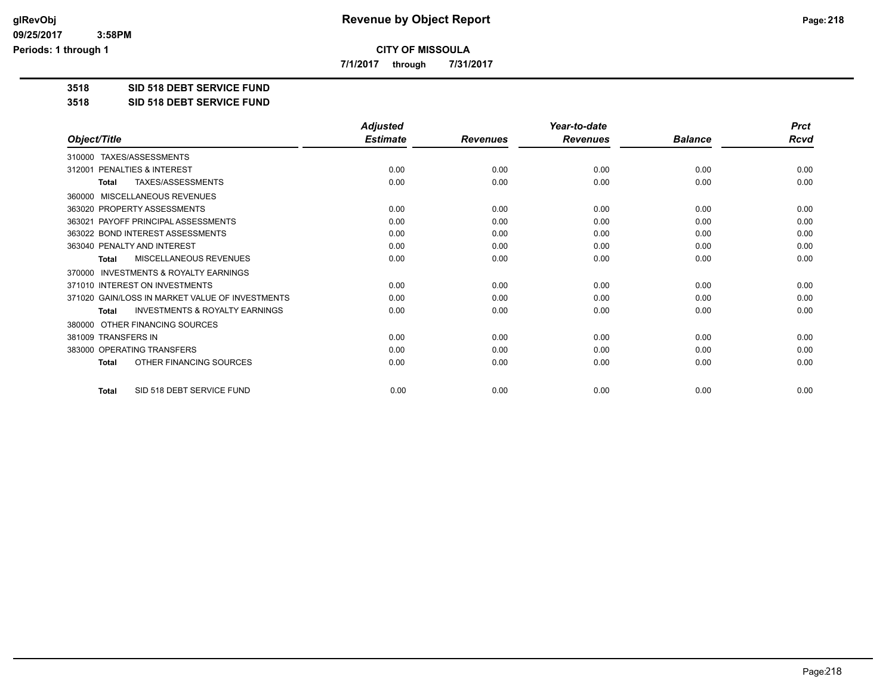**7/1/2017 through 7/31/2017**

**3518 SID 518 DEBT SERVICE FUND**

**3518 SID 518 DEBT SERVICE FUND**

|                                                           | <b>Adjusted</b> |                 | Year-to-date    |                | <b>Prct</b> |
|-----------------------------------------------------------|-----------------|-----------------|-----------------|----------------|-------------|
| Object/Title                                              | <b>Estimate</b> | <b>Revenues</b> | <b>Revenues</b> | <b>Balance</b> | Rcvd        |
| 310000 TAXES/ASSESSMENTS                                  |                 |                 |                 |                |             |
| PENALTIES & INTEREST<br>312001                            | 0.00            | 0.00            | 0.00            | 0.00           | 0.00        |
| TAXES/ASSESSMENTS<br><b>Total</b>                         | 0.00            | 0.00            | 0.00            | 0.00           | 0.00        |
| MISCELLANEOUS REVENUES<br>360000                          |                 |                 |                 |                |             |
| 363020 PROPERTY ASSESSMENTS                               | 0.00            | 0.00            | 0.00            | 0.00           | 0.00        |
| PAYOFF PRINCIPAL ASSESSMENTS<br>363021                    | 0.00            | 0.00            | 0.00            | 0.00           | 0.00        |
| 363022 BOND INTEREST ASSESSMENTS                          | 0.00            | 0.00            | 0.00            | 0.00           | 0.00        |
| 363040 PENALTY AND INTEREST                               | 0.00            | 0.00            | 0.00            | 0.00           | 0.00        |
| MISCELLANEOUS REVENUES<br>Total                           | 0.00            | 0.00            | 0.00            | 0.00           | 0.00        |
| <b>INVESTMENTS &amp; ROYALTY EARNINGS</b><br>370000       |                 |                 |                 |                |             |
| 371010 INTEREST ON INVESTMENTS                            | 0.00            | 0.00            | 0.00            | 0.00           | 0.00        |
| 371020 GAIN/LOSS IN MARKET VALUE OF INVESTMENTS           | 0.00            | 0.00            | 0.00            | 0.00           | 0.00        |
| <b>INVESTMENTS &amp; ROYALTY EARNINGS</b><br><b>Total</b> | 0.00            | 0.00            | 0.00            | 0.00           | 0.00        |
| OTHER FINANCING SOURCES<br>380000                         |                 |                 |                 |                |             |
| 381009 TRANSFERS IN                                       | 0.00            | 0.00            | 0.00            | 0.00           | 0.00        |
| 383000 OPERATING TRANSFERS                                | 0.00            | 0.00            | 0.00            | 0.00           | 0.00        |
| OTHER FINANCING SOURCES<br><b>Total</b>                   | 0.00            | 0.00            | 0.00            | 0.00           | 0.00        |
| SID 518 DEBT SERVICE FUND<br><b>Total</b>                 | 0.00            | 0.00            | 0.00            | 0.00           | 0.00        |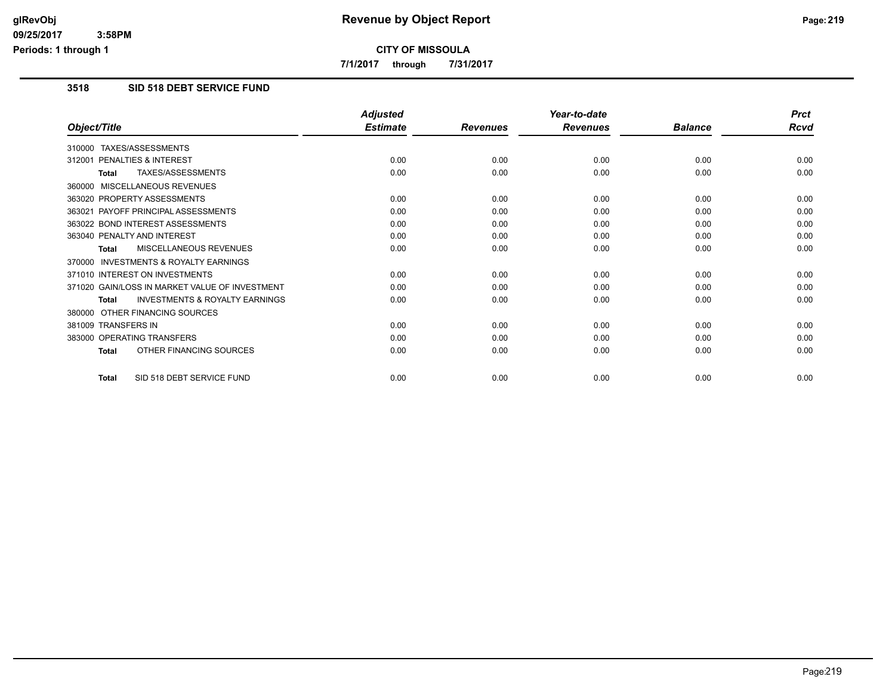**CITY OF MISSOULA**

**7/1/2017 through 7/31/2017**

### **3518 SID 518 DEBT SERVICE FUND**

 **3:58PM**

|                                                           | <b>Adjusted</b> |                 | Year-to-date    |                | <b>Prct</b> |
|-----------------------------------------------------------|-----------------|-----------------|-----------------|----------------|-------------|
| Object/Title                                              | <b>Estimate</b> | <b>Revenues</b> | <b>Revenues</b> | <b>Balance</b> | <b>Rcvd</b> |
| 310000 TAXES/ASSESSMENTS                                  |                 |                 |                 |                |             |
| PENALTIES & INTEREST<br>312001                            | 0.00            | 0.00            | 0.00            | 0.00           | 0.00        |
| <b>TAXES/ASSESSMENTS</b><br><b>Total</b>                  | 0.00            | 0.00            | 0.00            | 0.00           | 0.00        |
| MISCELLANEOUS REVENUES<br>360000                          |                 |                 |                 |                |             |
| 363020 PROPERTY ASSESSMENTS                               | 0.00            | 0.00            | 0.00            | 0.00           | 0.00        |
| 363021 PAYOFF PRINCIPAL ASSESSMENTS                       | 0.00            | 0.00            | 0.00            | 0.00           | 0.00        |
| 363022 BOND INTEREST ASSESSMENTS                          | 0.00            | 0.00            | 0.00            | 0.00           | 0.00        |
| 363040 PENALTY AND INTEREST                               | 0.00            | 0.00            | 0.00            | 0.00           | 0.00        |
| MISCELLANEOUS REVENUES<br><b>Total</b>                    | 0.00            | 0.00            | 0.00            | 0.00           | 0.00        |
| <b>INVESTMENTS &amp; ROYALTY EARNINGS</b><br>370000       |                 |                 |                 |                |             |
| 371010 INTEREST ON INVESTMENTS                            | 0.00            | 0.00            | 0.00            | 0.00           | 0.00        |
| 371020 GAIN/LOSS IN MARKET VALUE OF INVESTMENT            | 0.00            | 0.00            | 0.00            | 0.00           | 0.00        |
| <b>INVESTMENTS &amp; ROYALTY EARNINGS</b><br><b>Total</b> | 0.00            | 0.00            | 0.00            | 0.00           | 0.00        |
| OTHER FINANCING SOURCES<br>380000                         |                 |                 |                 |                |             |
| 381009 TRANSFERS IN                                       | 0.00            | 0.00            | 0.00            | 0.00           | 0.00        |
| 383000 OPERATING TRANSFERS                                | 0.00            | 0.00            | 0.00            | 0.00           | 0.00        |
| OTHER FINANCING SOURCES<br><b>Total</b>                   | 0.00            | 0.00            | 0.00            | 0.00           | 0.00        |
| SID 518 DEBT SERVICE FUND<br><b>Total</b>                 | 0.00            | 0.00            | 0.00            | 0.00           | 0.00        |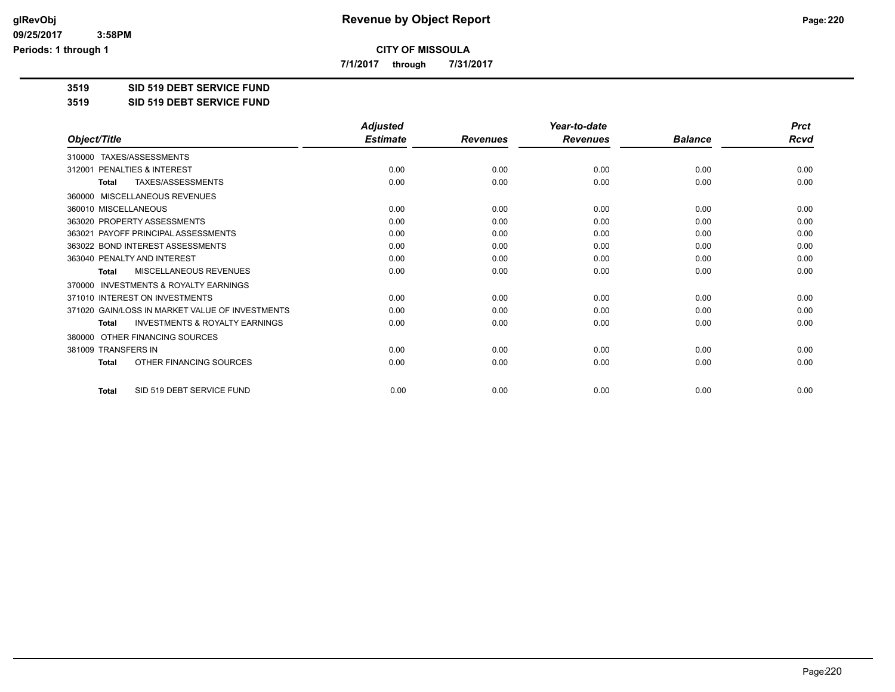**7/1/2017 through 7/31/2017**

**3519 SID 519 DEBT SERVICE FUND**

**3519 SID 519 DEBT SERVICE FUND**

|                                                           | <b>Adjusted</b> |                 | Year-to-date    |                | <b>Prct</b> |
|-----------------------------------------------------------|-----------------|-----------------|-----------------|----------------|-------------|
| Object/Title                                              | <b>Estimate</b> | <b>Revenues</b> | <b>Revenues</b> | <b>Balance</b> | <b>Rcvd</b> |
| TAXES/ASSESSMENTS<br>310000                               |                 |                 |                 |                |             |
| PENALTIES & INTEREST<br>312001                            | 0.00            | 0.00            | 0.00            | 0.00           | 0.00        |
| TAXES/ASSESSMENTS<br>Total                                | 0.00            | 0.00            | 0.00            | 0.00           | 0.00        |
| MISCELLANEOUS REVENUES<br>360000                          |                 |                 |                 |                |             |
| 360010 MISCELLANEOUS                                      | 0.00            | 0.00            | 0.00            | 0.00           | 0.00        |
| 363020 PROPERTY ASSESSMENTS                               | 0.00            | 0.00            | 0.00            | 0.00           | 0.00        |
| 363021 PAYOFF PRINCIPAL ASSESSMENTS                       | 0.00            | 0.00            | 0.00            | 0.00           | 0.00        |
| 363022 BOND INTEREST ASSESSMENTS                          | 0.00            | 0.00            | 0.00            | 0.00           | 0.00        |
| 363040 PENALTY AND INTEREST                               | 0.00            | 0.00            | 0.00            | 0.00           | 0.00        |
| MISCELLANEOUS REVENUES<br><b>Total</b>                    | 0.00            | 0.00            | 0.00            | 0.00           | 0.00        |
| <b>INVESTMENTS &amp; ROYALTY EARNINGS</b><br>370000       |                 |                 |                 |                |             |
| 371010 INTEREST ON INVESTMENTS                            | 0.00            | 0.00            | 0.00            | 0.00           | 0.00        |
| 371020 GAIN/LOSS IN MARKET VALUE OF INVESTMENTS           | 0.00            | 0.00            | 0.00            | 0.00           | 0.00        |
| <b>INVESTMENTS &amp; ROYALTY EARNINGS</b><br><b>Total</b> | 0.00            | 0.00            | 0.00            | 0.00           | 0.00        |
| OTHER FINANCING SOURCES<br>380000                         |                 |                 |                 |                |             |
| 381009 TRANSFERS IN                                       | 0.00            | 0.00            | 0.00            | 0.00           | 0.00        |
| OTHER FINANCING SOURCES<br>Total                          | 0.00            | 0.00            | 0.00            | 0.00           | 0.00        |
| SID 519 DEBT SERVICE FUND<br><b>Total</b>                 | 0.00            | 0.00            | 0.00            | 0.00           | 0.00        |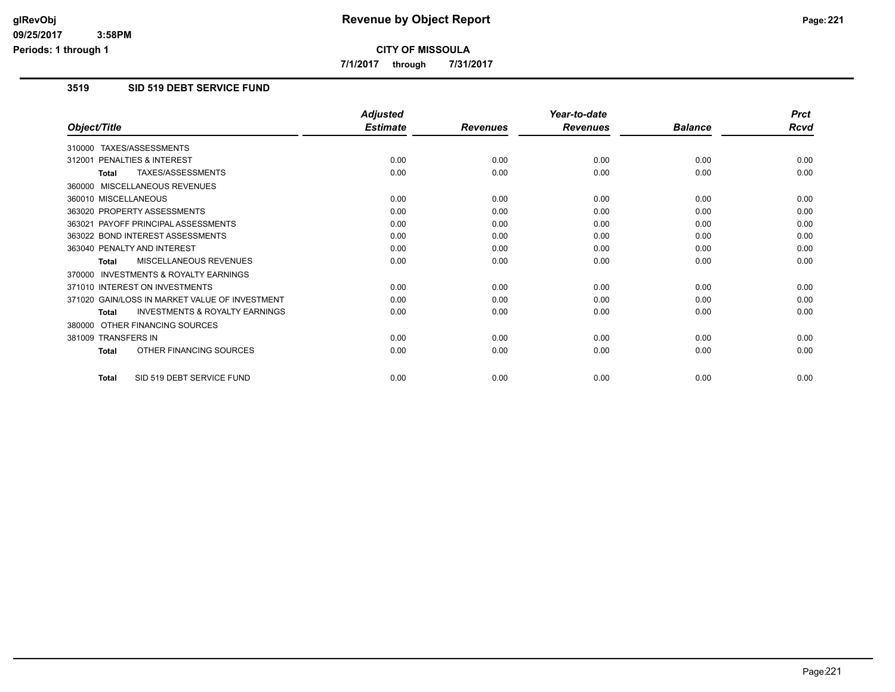**7/1/2017 through 7/31/2017**

# **3519 SID 519 DEBT SERVICE FUND**

|                                                           | <b>Adjusted</b> |                 | Year-to-date    |                | <b>Prct</b> |
|-----------------------------------------------------------|-----------------|-----------------|-----------------|----------------|-------------|
| Object/Title                                              | <b>Estimate</b> | <b>Revenues</b> | <b>Revenues</b> | <b>Balance</b> | <b>Rcvd</b> |
| 310000 TAXES/ASSESSMENTS                                  |                 |                 |                 |                |             |
| PENALTIES & INTEREST<br>312001                            | 0.00            | 0.00            | 0.00            | 0.00           | 0.00        |
| TAXES/ASSESSMENTS<br><b>Total</b>                         | 0.00            | 0.00            | 0.00            | 0.00           | 0.00        |
| 360000 MISCELLANEOUS REVENUES                             |                 |                 |                 |                |             |
| 360010 MISCELLANEOUS                                      | 0.00            | 0.00            | 0.00            | 0.00           | 0.00        |
| 363020 PROPERTY ASSESSMENTS                               | 0.00            | 0.00            | 0.00            | 0.00           | 0.00        |
| 363021 PAYOFF PRINCIPAL ASSESSMENTS                       | 0.00            | 0.00            | 0.00            | 0.00           | 0.00        |
| 363022 BOND INTEREST ASSESSMENTS                          | 0.00            | 0.00            | 0.00            | 0.00           | 0.00        |
| 363040 PENALTY AND INTEREST                               | 0.00            | 0.00            | 0.00            | 0.00           | 0.00        |
| MISCELLANEOUS REVENUES<br><b>Total</b>                    | 0.00            | 0.00            | 0.00            | 0.00           | 0.00        |
| INVESTMENTS & ROYALTY EARNINGS<br>370000                  |                 |                 |                 |                |             |
| 371010 INTEREST ON INVESTMENTS                            | 0.00            | 0.00            | 0.00            | 0.00           | 0.00        |
| 371020 GAIN/LOSS IN MARKET VALUE OF INVESTMENT            | 0.00            | 0.00            | 0.00            | 0.00           | 0.00        |
| <b>INVESTMENTS &amp; ROYALTY EARNINGS</b><br><b>Total</b> | 0.00            | 0.00            | 0.00            | 0.00           | 0.00        |
| 380000 OTHER FINANCING SOURCES                            |                 |                 |                 |                |             |
| 381009 TRANSFERS IN                                       | 0.00            | 0.00            | 0.00            | 0.00           | 0.00        |
| OTHER FINANCING SOURCES<br><b>Total</b>                   | 0.00            | 0.00            | 0.00            | 0.00           | 0.00        |
| SID 519 DEBT SERVICE FUND<br><b>Total</b>                 | 0.00            | 0.00            | 0.00            | 0.00           | 0.00        |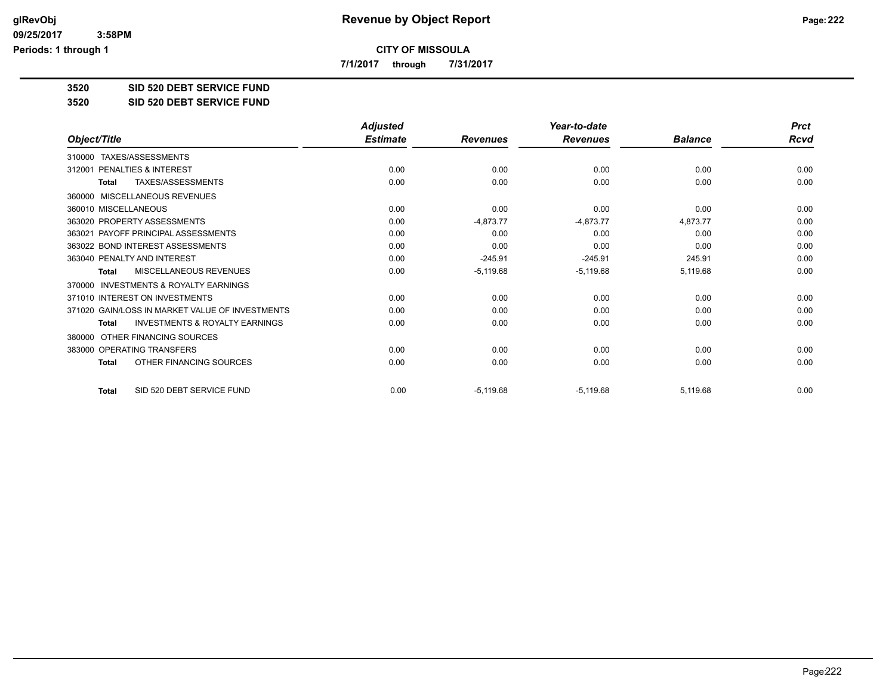**7/1/2017 through 7/31/2017**

**3520 SID 520 DEBT SERVICE FUND**

**3520 SID 520 DEBT SERVICE FUND**

|                                                     | <b>Adjusted</b> |                 | Year-to-date    |                | <b>Prct</b> |
|-----------------------------------------------------|-----------------|-----------------|-----------------|----------------|-------------|
| Object/Title                                        | <b>Estimate</b> | <b>Revenues</b> | <b>Revenues</b> | <b>Balance</b> | <b>Rcvd</b> |
| TAXES/ASSESSMENTS<br>310000                         |                 |                 |                 |                |             |
| PENALTIES & INTEREST<br>312001                      | 0.00            | 0.00            | 0.00            | 0.00           | 0.00        |
| TAXES/ASSESSMENTS<br><b>Total</b>                   | 0.00            | 0.00            | 0.00            | 0.00           | 0.00        |
| MISCELLANEOUS REVENUES<br>360000                    |                 |                 |                 |                |             |
| 360010 MISCELLANEOUS                                | 0.00            | 0.00            | 0.00            | 0.00           | 0.00        |
| 363020 PROPERTY ASSESSMENTS                         | 0.00            | $-4,873.77$     | $-4,873.77$     | 4,873.77       | 0.00        |
| 363021 PAYOFF PRINCIPAL ASSESSMENTS                 | 0.00            | 0.00            | 0.00            | 0.00           | 0.00        |
| 363022 BOND INTEREST ASSESSMENTS                    | 0.00            | 0.00            | 0.00            | 0.00           | 0.00        |
| 363040 PENALTY AND INTEREST                         | 0.00            | $-245.91$       | $-245.91$       | 245.91         | 0.00        |
| MISCELLANEOUS REVENUES<br><b>Total</b>              | 0.00            | $-5,119.68$     | $-5,119.68$     | 5,119.68       | 0.00        |
| <b>INVESTMENTS &amp; ROYALTY EARNINGS</b><br>370000 |                 |                 |                 |                |             |
| 371010 INTEREST ON INVESTMENTS                      | 0.00            | 0.00            | 0.00            | 0.00           | 0.00        |
| 371020 GAIN/LOSS IN MARKET VALUE OF INVESTMENTS     | 0.00            | 0.00            | 0.00            | 0.00           | 0.00        |
| <b>INVESTMENTS &amp; ROYALTY EARNINGS</b><br>Total  | 0.00            | 0.00            | 0.00            | 0.00           | 0.00        |
| OTHER FINANCING SOURCES<br>380000                   |                 |                 |                 |                |             |
| 383000 OPERATING TRANSFERS                          | 0.00            | 0.00            | 0.00            | 0.00           | 0.00        |
| OTHER FINANCING SOURCES<br><b>Total</b>             | 0.00            | 0.00            | 0.00            | 0.00           | 0.00        |
| SID 520 DEBT SERVICE FUND<br><b>Total</b>           | 0.00            | $-5,119.68$     | $-5,119.68$     | 5,119.68       | 0.00        |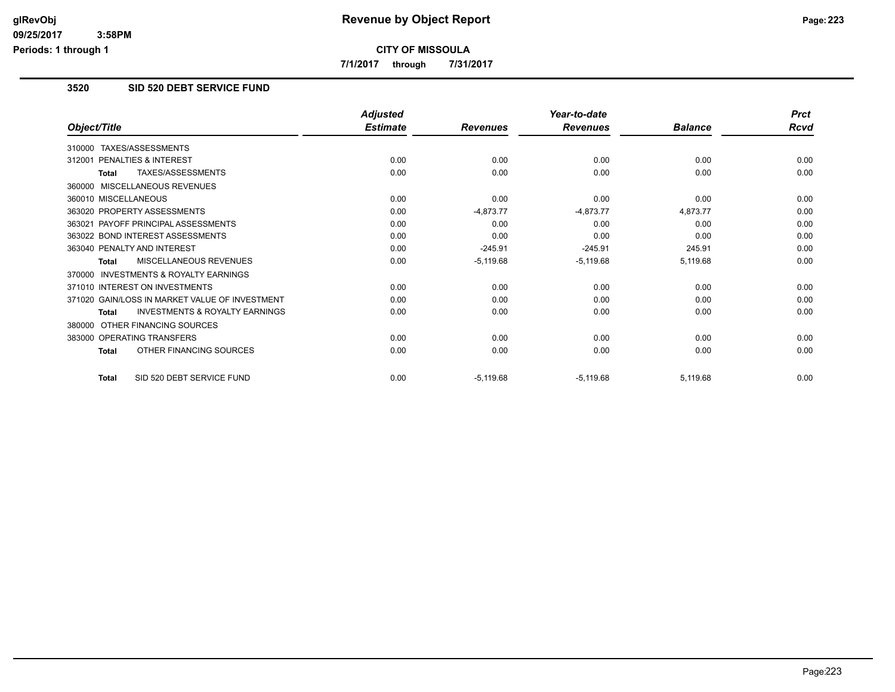**CITY OF MISSOULA**

**7/1/2017 through 7/31/2017**

## **3520 SID 520 DEBT SERVICE FUND**

 **3:58PM**

|                                                           | <b>Adjusted</b> |                 | Year-to-date    |                | <b>Prct</b> |
|-----------------------------------------------------------|-----------------|-----------------|-----------------|----------------|-------------|
| Object/Title                                              | <b>Estimate</b> | <b>Revenues</b> | <b>Revenues</b> | <b>Balance</b> | <b>Rcvd</b> |
| 310000 TAXES/ASSESSMENTS                                  |                 |                 |                 |                |             |
| PENALTIES & INTEREST<br>312001                            | 0.00            | 0.00            | 0.00            | 0.00           | 0.00        |
| TAXES/ASSESSMENTS<br><b>Total</b>                         | 0.00            | 0.00            | 0.00            | 0.00           | 0.00        |
| 360000 MISCELLANEOUS REVENUES                             |                 |                 |                 |                |             |
| 360010 MISCELLANEOUS                                      | 0.00            | 0.00            | 0.00            | 0.00           | 0.00        |
| 363020 PROPERTY ASSESSMENTS                               | 0.00            | $-4,873.77$     | $-4,873.77$     | 4,873.77       | 0.00        |
| 363021 PAYOFF PRINCIPAL ASSESSMENTS                       | 0.00            | 0.00            | 0.00            | 0.00           | 0.00        |
| 363022 BOND INTEREST ASSESSMENTS                          | 0.00            | 0.00            | 0.00            | 0.00           | 0.00        |
| 363040 PENALTY AND INTEREST                               | 0.00            | $-245.91$       | $-245.91$       | 245.91         | 0.00        |
| MISCELLANEOUS REVENUES<br><b>Total</b>                    | 0.00            | $-5,119.68$     | $-5,119.68$     | 5,119.68       | 0.00        |
| INVESTMENTS & ROYALTY EARNINGS<br>370000                  |                 |                 |                 |                |             |
| 371010 INTEREST ON INVESTMENTS                            | 0.00            | 0.00            | 0.00            | 0.00           | 0.00        |
| 371020 GAIN/LOSS IN MARKET VALUE OF INVESTMENT            | 0.00            | 0.00            | 0.00            | 0.00           | 0.00        |
| <b>INVESTMENTS &amp; ROYALTY EARNINGS</b><br><b>Total</b> | 0.00            | 0.00            | 0.00            | 0.00           | 0.00        |
| OTHER FINANCING SOURCES<br>380000                         |                 |                 |                 |                |             |
| 383000 OPERATING TRANSFERS                                | 0.00            | 0.00            | 0.00            | 0.00           | 0.00        |
| OTHER FINANCING SOURCES<br><b>Total</b>                   | 0.00            | 0.00            | 0.00            | 0.00           | 0.00        |
| SID 520 DEBT SERVICE FUND<br><b>Total</b>                 | 0.00            | $-5,119.68$     | $-5,119.68$     | 5,119.68       | 0.00        |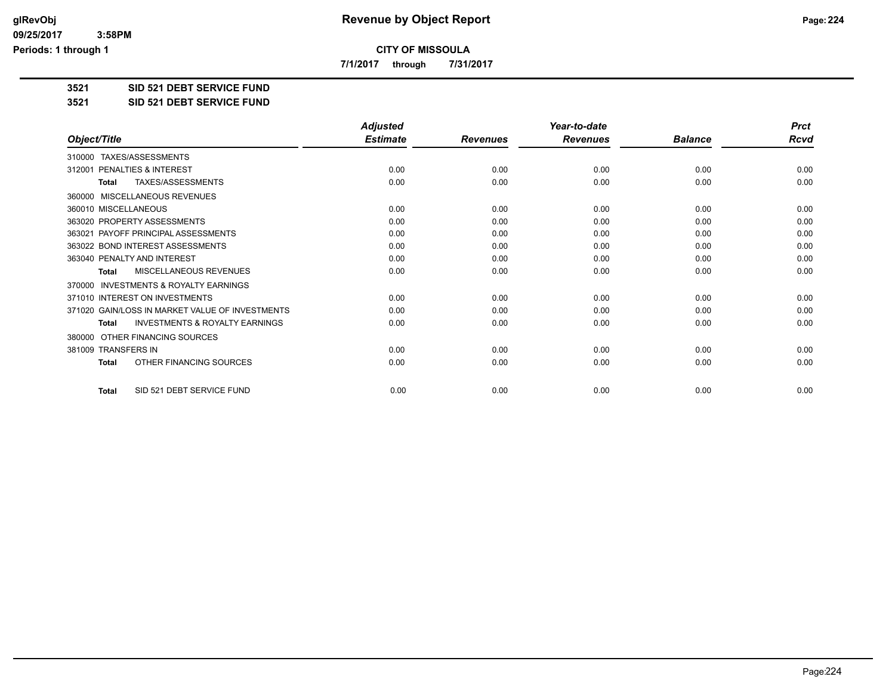**7/1/2017 through 7/31/2017**

**3521 SID 521 DEBT SERVICE FUND**

**3521 SID 521 DEBT SERVICE FUND**

|                                                           | <b>Adjusted</b> |                 | Year-to-date    |                | <b>Prct</b> |
|-----------------------------------------------------------|-----------------|-----------------|-----------------|----------------|-------------|
| Object/Title                                              | <b>Estimate</b> | <b>Revenues</b> | <b>Revenues</b> | <b>Balance</b> | <b>Rcvd</b> |
| TAXES/ASSESSMENTS<br>310000                               |                 |                 |                 |                |             |
| PENALTIES & INTEREST<br>312001                            | 0.00            | 0.00            | 0.00            | 0.00           | 0.00        |
| TAXES/ASSESSMENTS<br>Total                                | 0.00            | 0.00            | 0.00            | 0.00           | 0.00        |
| MISCELLANEOUS REVENUES<br>360000                          |                 |                 |                 |                |             |
| 360010 MISCELLANEOUS                                      | 0.00            | 0.00            | 0.00            | 0.00           | 0.00        |
| 363020 PROPERTY ASSESSMENTS                               | 0.00            | 0.00            | 0.00            | 0.00           | 0.00        |
| 363021 PAYOFF PRINCIPAL ASSESSMENTS                       | 0.00            | 0.00            | 0.00            | 0.00           | 0.00        |
| 363022 BOND INTEREST ASSESSMENTS                          | 0.00            | 0.00            | 0.00            | 0.00           | 0.00        |
| 363040 PENALTY AND INTEREST                               | 0.00            | 0.00            | 0.00            | 0.00           | 0.00        |
| <b>MISCELLANEOUS REVENUES</b><br>Total                    | 0.00            | 0.00            | 0.00            | 0.00           | 0.00        |
| <b>INVESTMENTS &amp; ROYALTY EARNINGS</b><br>370000       |                 |                 |                 |                |             |
| 371010 INTEREST ON INVESTMENTS                            | 0.00            | 0.00            | 0.00            | 0.00           | 0.00        |
| 371020 GAIN/LOSS IN MARKET VALUE OF INVESTMENTS           | 0.00            | 0.00            | 0.00            | 0.00           | 0.00        |
| <b>INVESTMENTS &amp; ROYALTY EARNINGS</b><br><b>Total</b> | 0.00            | 0.00            | 0.00            | 0.00           | 0.00        |
| OTHER FINANCING SOURCES<br>380000                         |                 |                 |                 |                |             |
| 381009 TRANSFERS IN                                       | 0.00            | 0.00            | 0.00            | 0.00           | 0.00        |
| OTHER FINANCING SOURCES<br><b>Total</b>                   | 0.00            | 0.00            | 0.00            | 0.00           | 0.00        |
| SID 521 DEBT SERVICE FUND<br><b>Total</b>                 | 0.00            | 0.00            | 0.00            | 0.00           | 0.00        |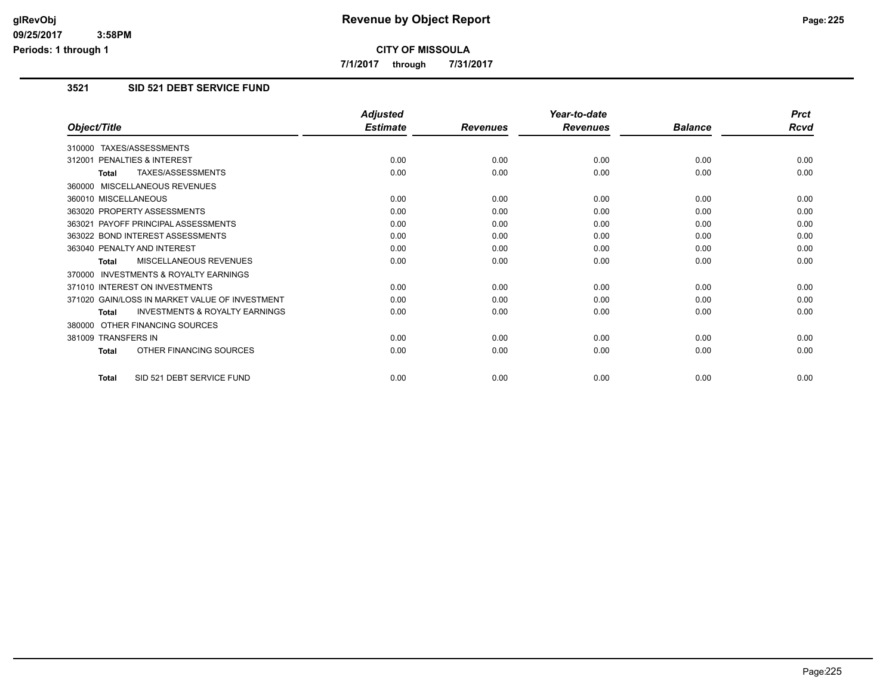**CITY OF MISSOULA**

**7/1/2017 through 7/31/2017**

## **3521 SID 521 DEBT SERVICE FUND**

|                                                           | <b>Adjusted</b> |                 | Year-to-date    |                | <b>Prct</b> |
|-----------------------------------------------------------|-----------------|-----------------|-----------------|----------------|-------------|
| Object/Title                                              | <b>Estimate</b> | <b>Revenues</b> | <b>Revenues</b> | <b>Balance</b> | <b>Rcvd</b> |
| 310000 TAXES/ASSESSMENTS                                  |                 |                 |                 |                |             |
| 312001 PENALTIES & INTEREST                               | 0.00            | 0.00            | 0.00            | 0.00           | 0.00        |
| TAXES/ASSESSMENTS<br><b>Total</b>                         | 0.00            | 0.00            | 0.00            | 0.00           | 0.00        |
| 360000 MISCELLANEOUS REVENUES                             |                 |                 |                 |                |             |
| 360010 MISCELLANEOUS                                      | 0.00            | 0.00            | 0.00            | 0.00           | 0.00        |
| 363020 PROPERTY ASSESSMENTS                               | 0.00            | 0.00            | 0.00            | 0.00           | 0.00        |
| 363021 PAYOFF PRINCIPAL ASSESSMENTS                       | 0.00            | 0.00            | 0.00            | 0.00           | 0.00        |
| 363022 BOND INTEREST ASSESSMENTS                          | 0.00            | 0.00            | 0.00            | 0.00           | 0.00        |
| 363040 PENALTY AND INTEREST                               | 0.00            | 0.00            | 0.00            | 0.00           | 0.00        |
| MISCELLANEOUS REVENUES<br><b>Total</b>                    | 0.00            | 0.00            | 0.00            | 0.00           | 0.00        |
| INVESTMENTS & ROYALTY EARNINGS<br>370000                  |                 |                 |                 |                |             |
| 371010 INTEREST ON INVESTMENTS                            | 0.00            | 0.00            | 0.00            | 0.00           | 0.00        |
| 371020 GAIN/LOSS IN MARKET VALUE OF INVESTMENT            | 0.00            | 0.00            | 0.00            | 0.00           | 0.00        |
| <b>INVESTMENTS &amp; ROYALTY EARNINGS</b><br><b>Total</b> | 0.00            | 0.00            | 0.00            | 0.00           | 0.00        |
| 380000 OTHER FINANCING SOURCES                            |                 |                 |                 |                |             |
| 381009 TRANSFERS IN                                       | 0.00            | 0.00            | 0.00            | 0.00           | 0.00        |
| OTHER FINANCING SOURCES<br><b>Total</b>                   | 0.00            | 0.00            | 0.00            | 0.00           | 0.00        |
| SID 521 DEBT SERVICE FUND<br><b>Total</b>                 | 0.00            | 0.00            | 0.00            | 0.00           | 0.00        |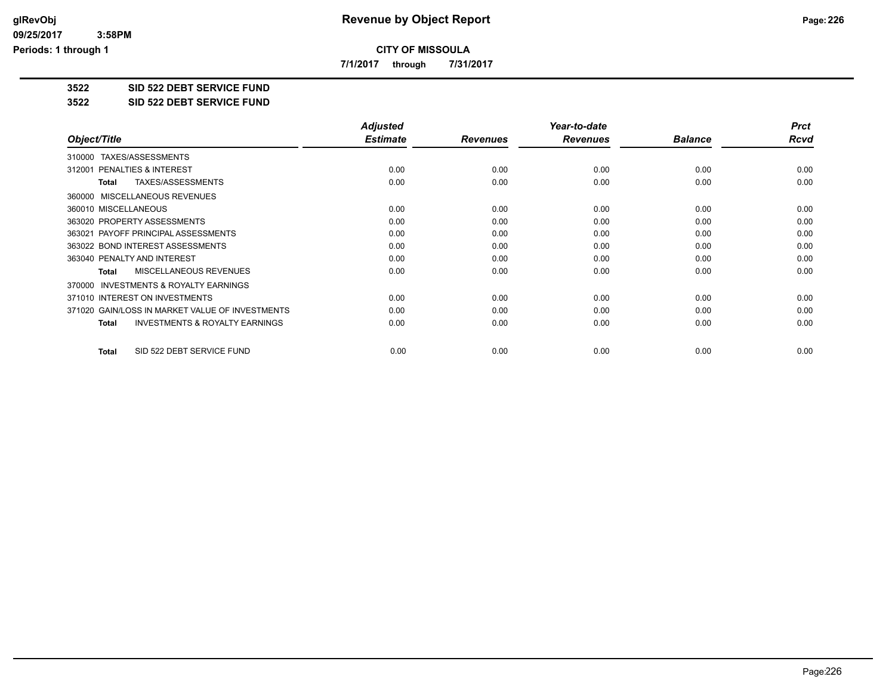**7/1/2017 through 7/31/2017**

**3522 SID 522 DEBT SERVICE FUND**

**3522 SID 522 DEBT SERVICE FUND**

|                                                    | <b>Adjusted</b> |                 | Year-to-date    |                | <b>Prct</b> |
|----------------------------------------------------|-----------------|-----------------|-----------------|----------------|-------------|
| Object/Title                                       | <b>Estimate</b> | <b>Revenues</b> | <b>Revenues</b> | <b>Balance</b> | Rcvd        |
| 310000 TAXES/ASSESSMENTS                           |                 |                 |                 |                |             |
| PENALTIES & INTEREST<br>312001                     | 0.00            | 0.00            | 0.00            | 0.00           | 0.00        |
| TAXES/ASSESSMENTS<br>Total                         | 0.00            | 0.00            | 0.00            | 0.00           | 0.00        |
| 360000 MISCELLANEOUS REVENUES                      |                 |                 |                 |                |             |
| 360010 MISCELLANEOUS                               | 0.00            | 0.00            | 0.00            | 0.00           | 0.00        |
| 363020 PROPERTY ASSESSMENTS                        | 0.00            | 0.00            | 0.00            | 0.00           | 0.00        |
| 363021 PAYOFF PRINCIPAL ASSESSMENTS                | 0.00            | 0.00            | 0.00            | 0.00           | 0.00        |
| 363022 BOND INTEREST ASSESSMENTS                   | 0.00            | 0.00            | 0.00            | 0.00           | 0.00        |
| 363040 PENALTY AND INTEREST                        | 0.00            | 0.00            | 0.00            | 0.00           | 0.00        |
| <b>MISCELLANEOUS REVENUES</b><br>Total             | 0.00            | 0.00            | 0.00            | 0.00           | 0.00        |
| INVESTMENTS & ROYALTY EARNINGS<br>370000           |                 |                 |                 |                |             |
| 371010 INTEREST ON INVESTMENTS                     | 0.00            | 0.00            | 0.00            | 0.00           | 0.00        |
| 371020 GAIN/LOSS IN MARKET VALUE OF INVESTMENTS    | 0.00            | 0.00            | 0.00            | 0.00           | 0.00        |
| <b>INVESTMENTS &amp; ROYALTY EARNINGS</b><br>Total | 0.00            | 0.00            | 0.00            | 0.00           | 0.00        |
| SID 522 DEBT SERVICE FUND<br><b>Total</b>          | 0.00            | 0.00            | 0.00            | 0.00           | 0.00        |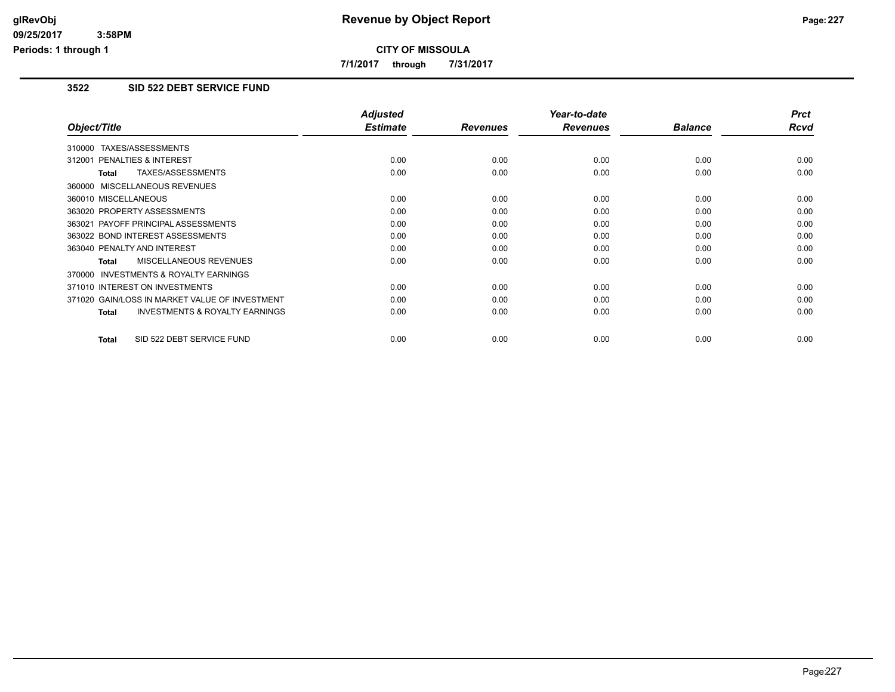**CITY OF MISSOULA**

**7/1/2017 through 7/31/2017**

### **3522 SID 522 DEBT SERVICE FUND**

|                                                           | <b>Adjusted</b> |                 | Year-to-date    |                | <b>Prct</b> |
|-----------------------------------------------------------|-----------------|-----------------|-----------------|----------------|-------------|
| Object/Title                                              | <b>Estimate</b> | <b>Revenues</b> | <b>Revenues</b> | <b>Balance</b> | Rcvd        |
| 310000 TAXES/ASSESSMENTS                                  |                 |                 |                 |                |             |
| 312001 PENALTIES & INTEREST                               | 0.00            | 0.00            | 0.00            | 0.00           | 0.00        |
| TAXES/ASSESSMENTS<br>Total                                | 0.00            | 0.00            | 0.00            | 0.00           | 0.00        |
| 360000 MISCELLANEOUS REVENUES                             |                 |                 |                 |                |             |
| 360010 MISCELLANEOUS                                      | 0.00            | 0.00            | 0.00            | 0.00           | 0.00        |
| 363020 PROPERTY ASSESSMENTS                               | 0.00            | 0.00            | 0.00            | 0.00           | 0.00        |
| 363021 PAYOFF PRINCIPAL ASSESSMENTS                       | 0.00            | 0.00            | 0.00            | 0.00           | 0.00        |
| 363022 BOND INTEREST ASSESSMENTS                          | 0.00            | 0.00            | 0.00            | 0.00           | 0.00        |
| 363040 PENALTY AND INTEREST                               | 0.00            | 0.00            | 0.00            | 0.00           | 0.00        |
| <b>MISCELLANEOUS REVENUES</b><br><b>Total</b>             | 0.00            | 0.00            | 0.00            | 0.00           | 0.00        |
| INVESTMENTS & ROYALTY EARNINGS<br>370000                  |                 |                 |                 |                |             |
| 371010 INTEREST ON INVESTMENTS                            | 0.00            | 0.00            | 0.00            | 0.00           | 0.00        |
| 371020 GAIN/LOSS IN MARKET VALUE OF INVESTMENT            | 0.00            | 0.00            | 0.00            | 0.00           | 0.00        |
| <b>INVESTMENTS &amp; ROYALTY EARNINGS</b><br><b>Total</b> | 0.00            | 0.00            | 0.00            | 0.00           | 0.00        |
| SID 522 DEBT SERVICE FUND<br><b>Total</b>                 | 0.00            | 0.00            | 0.00            | 0.00           | 0.00        |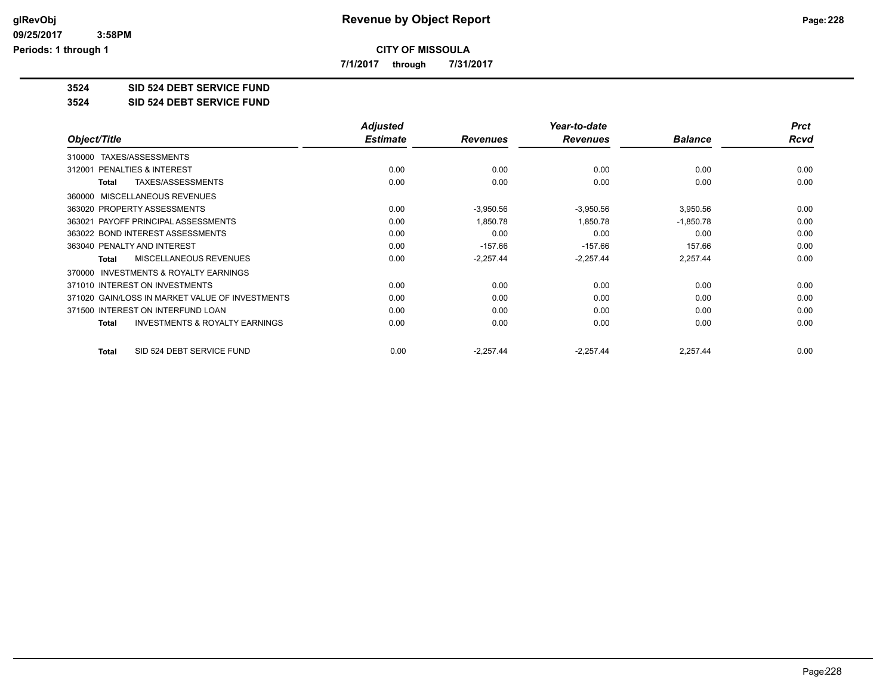**7/1/2017 through 7/31/2017**

**3524 SID 524 DEBT SERVICE FUND**

**3524 SID 524 DEBT SERVICE FUND**

|                                                     | <b>Adjusted</b> |                 | Year-to-date    |                | <b>Prct</b> |
|-----------------------------------------------------|-----------------|-----------------|-----------------|----------------|-------------|
| Object/Title                                        | <b>Estimate</b> | <b>Revenues</b> | <b>Revenues</b> | <b>Balance</b> | Rcvd        |
| 310000 TAXES/ASSESSMENTS                            |                 |                 |                 |                |             |
| 312001 PENALTIES & INTEREST                         | 0.00            | 0.00            | 0.00            | 0.00           | 0.00        |
| TAXES/ASSESSMENTS<br>Total                          | 0.00            | 0.00            | 0.00            | 0.00           | 0.00        |
| MISCELLANEOUS REVENUES<br>360000                    |                 |                 |                 |                |             |
| 363020 PROPERTY ASSESSMENTS                         | 0.00            | $-3,950.56$     | $-3,950.56$     | 3,950.56       | 0.00        |
| 363021 PAYOFF PRINCIPAL ASSESSMENTS                 | 0.00            | 1,850.78        | 1,850.78        | $-1,850.78$    | 0.00        |
| 363022 BOND INTEREST ASSESSMENTS                    | 0.00            | 0.00            | 0.00            | 0.00           | 0.00        |
| 363040 PENALTY AND INTEREST                         | 0.00            | $-157.66$       | $-157.66$       | 157.66         | 0.00        |
| MISCELLANEOUS REVENUES<br>Total                     | 0.00            | $-2,257.44$     | $-2,257.44$     | 2,257.44       | 0.00        |
| <b>INVESTMENTS &amp; ROYALTY EARNINGS</b><br>370000 |                 |                 |                 |                |             |
| 371010 INTEREST ON INVESTMENTS                      | 0.00            | 0.00            | 0.00            | 0.00           | 0.00        |
| 371020 GAIN/LOSS IN MARKET VALUE OF INVESTMENTS     | 0.00            | 0.00            | 0.00            | 0.00           | 0.00        |
| 371500 INTEREST ON INTERFUND LOAN                   | 0.00            | 0.00            | 0.00            | 0.00           | 0.00        |
| <b>INVESTMENTS &amp; ROYALTY EARNINGS</b><br>Total  | 0.00            | 0.00            | 0.00            | 0.00           | 0.00        |
| SID 524 DEBT SERVICE FUND<br><b>Total</b>           | 0.00            | $-2,257.44$     | $-2,257.44$     | 2,257.44       | 0.00        |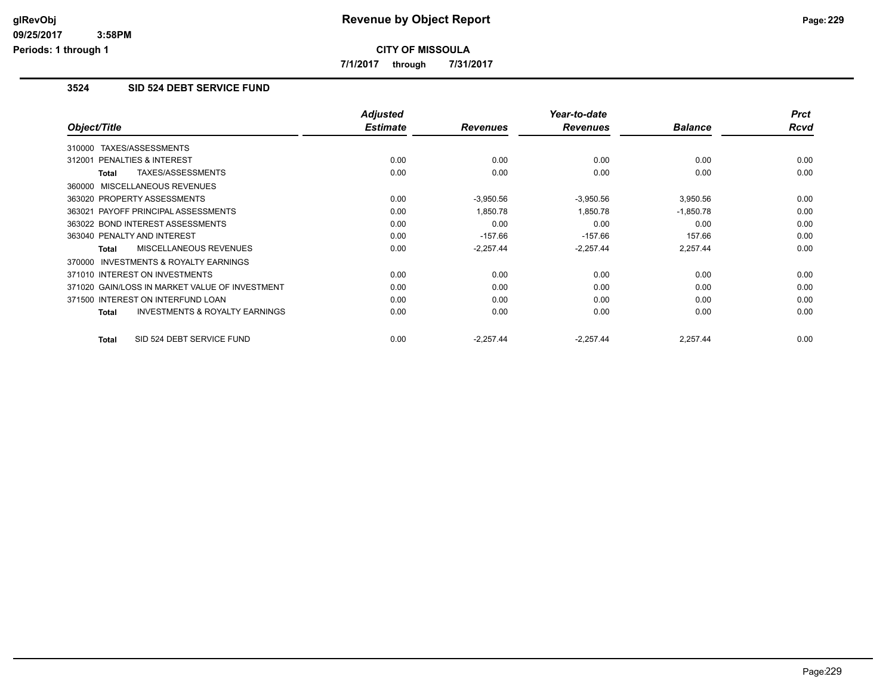**CITY OF MISSOULA**

**7/1/2017 through 7/31/2017**

## **3524 SID 524 DEBT SERVICE FUND**

|                                                    | <b>Adjusted</b> |                 | Year-to-date    |                | <b>Prct</b> |
|----------------------------------------------------|-----------------|-----------------|-----------------|----------------|-------------|
| Object/Title                                       | <b>Estimate</b> | <b>Revenues</b> | <b>Revenues</b> | <b>Balance</b> | Rcvd        |
| TAXES/ASSESSMENTS<br>310000                        |                 |                 |                 |                |             |
| 312001 PENALTIES & INTEREST                        | 0.00            | 0.00            | 0.00            | 0.00           | 0.00        |
| TAXES/ASSESSMENTS<br>Total                         | 0.00            | 0.00            | 0.00            | 0.00           | 0.00        |
| 360000 MISCELLANEOUS REVENUES                      |                 |                 |                 |                |             |
| 363020 PROPERTY ASSESSMENTS                        | 0.00            | $-3,950.56$     | $-3,950.56$     | 3,950.56       | 0.00        |
| 363021 PAYOFF PRINCIPAL ASSESSMENTS                | 0.00            | 1,850.78        | 1,850.78        | $-1,850.78$    | 0.00        |
| 363022 BOND INTEREST ASSESSMENTS                   | 0.00            | 0.00            | 0.00            | 0.00           | 0.00        |
| 363040 PENALTY AND INTEREST                        | 0.00            | $-157.66$       | $-157.66$       | 157.66         | 0.00        |
| <b>MISCELLANEOUS REVENUES</b><br>Total             | 0.00            | $-2,257.44$     | $-2,257.44$     | 2,257.44       | 0.00        |
| INVESTMENTS & ROYALTY EARNINGS<br>370000           |                 |                 |                 |                |             |
| 371010 INTEREST ON INVESTMENTS                     | 0.00            | 0.00            | 0.00            | 0.00           | 0.00        |
| 371020 GAIN/LOSS IN MARKET VALUE OF INVESTMENT     | 0.00            | 0.00            | 0.00            | 0.00           | 0.00        |
| 371500 INTEREST ON INTERFUND LOAN                  | 0.00            | 0.00            | 0.00            | 0.00           | 0.00        |
| <b>INVESTMENTS &amp; ROYALTY EARNINGS</b><br>Total | 0.00            | 0.00            | 0.00            | 0.00           | 0.00        |
| SID 524 DEBT SERVICE FUND<br>Total                 | 0.00            | $-2,257.44$     | $-2,257.44$     | 2,257.44       | 0.00        |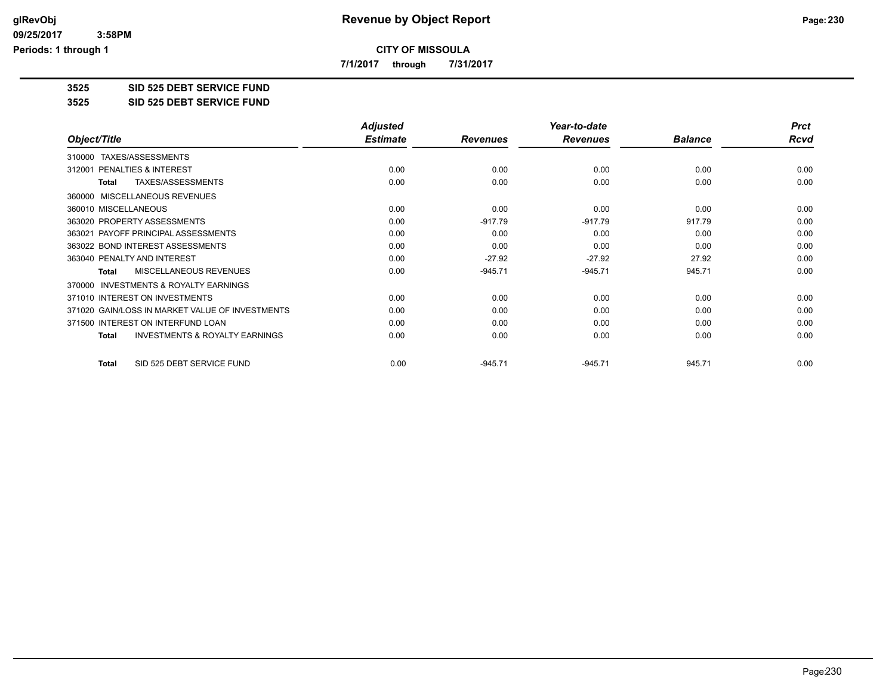**7/1/2017 through 7/31/2017**

**3525 SID 525 DEBT SERVICE FUND**

**3525 SID 525 DEBT SERVICE FUND**

|                                                           | <b>Adjusted</b> |                 | Year-to-date    |                | <b>Prct</b> |
|-----------------------------------------------------------|-----------------|-----------------|-----------------|----------------|-------------|
| Object/Title                                              | <b>Estimate</b> | <b>Revenues</b> | <b>Revenues</b> | <b>Balance</b> | <b>Rcvd</b> |
| TAXES/ASSESSMENTS<br>310000                               |                 |                 |                 |                |             |
| PENALTIES & INTEREST<br>312001                            | 0.00            | 0.00            | 0.00            | 0.00           | 0.00        |
| TAXES/ASSESSMENTS<br><b>Total</b>                         | 0.00            | 0.00            | 0.00            | 0.00           | 0.00        |
| 360000 MISCELLANEOUS REVENUES                             |                 |                 |                 |                |             |
| 360010 MISCELLANEOUS                                      | 0.00            | 0.00            | 0.00            | 0.00           | 0.00        |
| 363020 PROPERTY ASSESSMENTS                               | 0.00            | $-917.79$       | $-917.79$       | 917.79         | 0.00        |
| 363021 PAYOFF PRINCIPAL ASSESSMENTS                       | 0.00            | 0.00            | 0.00            | 0.00           | 0.00        |
| 363022 BOND INTEREST ASSESSMENTS                          | 0.00            | 0.00            | 0.00            | 0.00           | 0.00        |
| 363040 PENALTY AND INTEREST                               | 0.00            | $-27.92$        | $-27.92$        | 27.92          | 0.00        |
| <b>MISCELLANEOUS REVENUES</b><br><b>Total</b>             | 0.00            | $-945.71$       | $-945.71$       | 945.71         | 0.00        |
| <b>INVESTMENTS &amp; ROYALTY EARNINGS</b><br>370000       |                 |                 |                 |                |             |
| 371010 INTEREST ON INVESTMENTS                            | 0.00            | 0.00            | 0.00            | 0.00           | 0.00        |
| 371020 GAIN/LOSS IN MARKET VALUE OF INVESTMENTS           | 0.00            | 0.00            | 0.00            | 0.00           | 0.00        |
| 371500 INTEREST ON INTERFUND LOAN                         | 0.00            | 0.00            | 0.00            | 0.00           | 0.00        |
| <b>INVESTMENTS &amp; ROYALTY EARNINGS</b><br><b>Total</b> | 0.00            | 0.00            | 0.00            | 0.00           | 0.00        |
| SID 525 DEBT SERVICE FUND<br><b>Total</b>                 | 0.00            | $-945.71$       | $-945.71$       | 945.71         | 0.00        |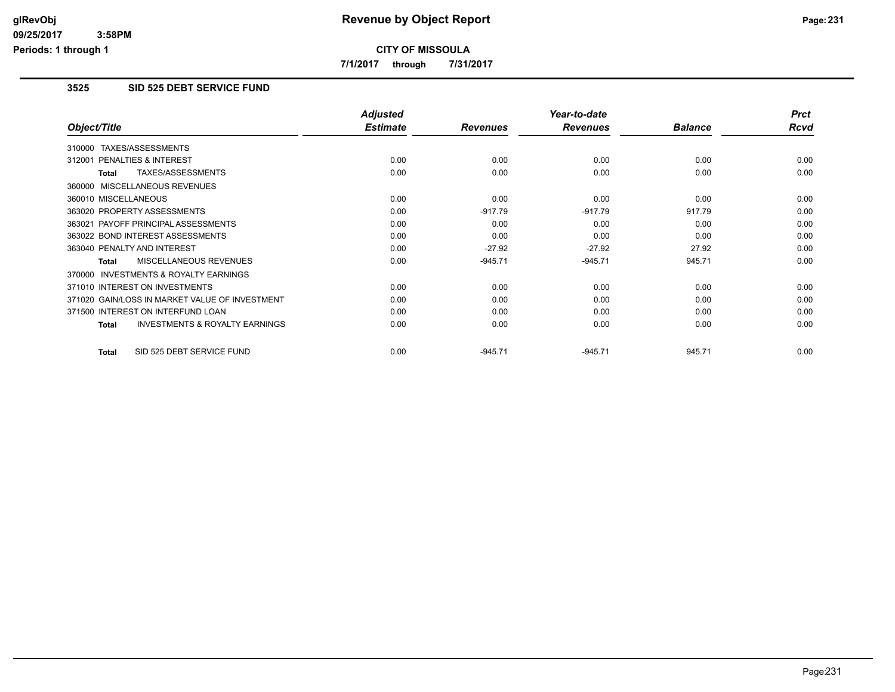**3:58PM**

**CITY OF MISSOULA**

**7/1/2017 through 7/31/2017**

### **3525 SID 525 DEBT SERVICE FUND**

|                                                           | <b>Adjusted</b> |                 | Year-to-date    |                | <b>Prct</b> |
|-----------------------------------------------------------|-----------------|-----------------|-----------------|----------------|-------------|
| Object/Title                                              | <b>Estimate</b> | <b>Revenues</b> | <b>Revenues</b> | <b>Balance</b> | <b>Rcvd</b> |
| TAXES/ASSESSMENTS<br>310000                               |                 |                 |                 |                |             |
| PENALTIES & INTEREST<br>312001                            | 0.00            | 0.00            | 0.00            | 0.00           | 0.00        |
| TAXES/ASSESSMENTS<br><b>Total</b>                         | 0.00            | 0.00            | 0.00            | 0.00           | 0.00        |
| 360000 MISCELLANEOUS REVENUES                             |                 |                 |                 |                |             |
| 360010 MISCELLANEOUS                                      | 0.00            | 0.00            | 0.00            | 0.00           | 0.00        |
| 363020 PROPERTY ASSESSMENTS                               | 0.00            | $-917.79$       | $-917.79$       | 917.79         | 0.00        |
| 363021 PAYOFF PRINCIPAL ASSESSMENTS                       | 0.00            | 0.00            | 0.00            | 0.00           | 0.00        |
| 363022 BOND INTEREST ASSESSMENTS                          | 0.00            | 0.00            | 0.00            | 0.00           | 0.00        |
| 363040 PENALTY AND INTEREST                               | 0.00            | $-27.92$        | $-27.92$        | 27.92          | 0.00        |
| <b>MISCELLANEOUS REVENUES</b><br><b>Total</b>             | 0.00            | $-945.71$       | $-945.71$       | 945.71         | 0.00        |
| <b>INVESTMENTS &amp; ROYALTY EARNINGS</b><br>370000       |                 |                 |                 |                |             |
| 371010 INTEREST ON INVESTMENTS                            | 0.00            | 0.00            | 0.00            | 0.00           | 0.00        |
| 371020 GAIN/LOSS IN MARKET VALUE OF INVESTMENT            | 0.00            | 0.00            | 0.00            | 0.00           | 0.00        |
| 371500 INTEREST ON INTERFUND LOAN                         | 0.00            | 0.00            | 0.00            | 0.00           | 0.00        |
| <b>INVESTMENTS &amp; ROYALTY EARNINGS</b><br><b>Total</b> | 0.00            | 0.00            | 0.00            | 0.00           | 0.00        |
| SID 525 DEBT SERVICE FUND<br><b>Total</b>                 | 0.00            | $-945.71$       | $-945.71$       | 945.71         | 0.00        |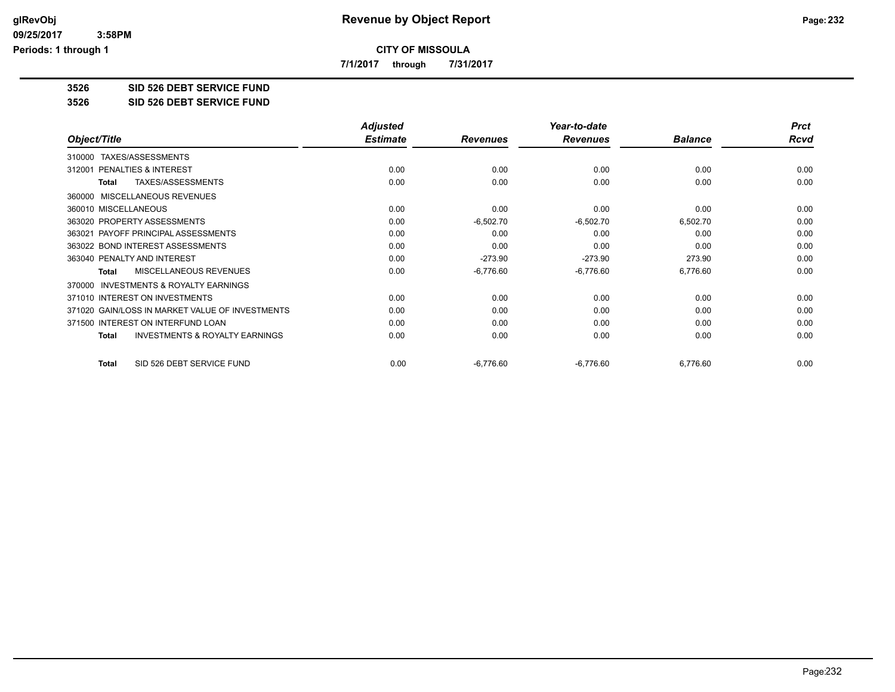**7/1/2017 through 7/31/2017**

**3526 SID 526 DEBT SERVICE FUND**

**3526 SID 526 DEBT SERVICE FUND**

|                                                           | <b>Adjusted</b> |                 | Year-to-date    |                | <b>Prct</b> |
|-----------------------------------------------------------|-----------------|-----------------|-----------------|----------------|-------------|
| Object/Title                                              | <b>Estimate</b> | <b>Revenues</b> | <b>Revenues</b> | <b>Balance</b> | <b>Rcvd</b> |
| TAXES/ASSESSMENTS<br>310000                               |                 |                 |                 |                |             |
| PENALTIES & INTEREST<br>312001                            | 0.00            | 0.00            | 0.00            | 0.00           | 0.00        |
| <b>TAXES/ASSESSMENTS</b><br>Total                         | 0.00            | 0.00            | 0.00            | 0.00           | 0.00        |
| MISCELLANEOUS REVENUES<br>360000                          |                 |                 |                 |                |             |
| 360010 MISCELLANEOUS                                      | 0.00            | 0.00            | 0.00            | 0.00           | 0.00        |
| 363020 PROPERTY ASSESSMENTS                               | 0.00            | $-6,502.70$     | $-6,502.70$     | 6,502.70       | 0.00        |
| 363021 PAYOFF PRINCIPAL ASSESSMENTS                       | 0.00            | 0.00            | 0.00            | 0.00           | 0.00        |
| 363022 BOND INTEREST ASSESSMENTS                          | 0.00            | 0.00            | 0.00            | 0.00           | 0.00        |
| 363040 PENALTY AND INTEREST                               | 0.00            | $-273.90$       | $-273.90$       | 273.90         | 0.00        |
| MISCELLANEOUS REVENUES<br>Total                           | 0.00            | $-6,776.60$     | $-6,776.60$     | 6,776.60       | 0.00        |
| <b>INVESTMENTS &amp; ROYALTY EARNINGS</b><br>370000       |                 |                 |                 |                |             |
| 371010 INTEREST ON INVESTMENTS                            | 0.00            | 0.00            | 0.00            | 0.00           | 0.00        |
| 371020 GAIN/LOSS IN MARKET VALUE OF INVESTMENTS           | 0.00            | 0.00            | 0.00            | 0.00           | 0.00        |
| 371500 INTEREST ON INTERFUND LOAN                         | 0.00            | 0.00            | 0.00            | 0.00           | 0.00        |
| <b>INVESTMENTS &amp; ROYALTY EARNINGS</b><br><b>Total</b> | 0.00            | 0.00            | 0.00            | 0.00           | 0.00        |
| SID 526 DEBT SERVICE FUND<br><b>Total</b>                 | 0.00            | $-6,776.60$     | $-6,776.60$     | 6,776.60       | 0.00        |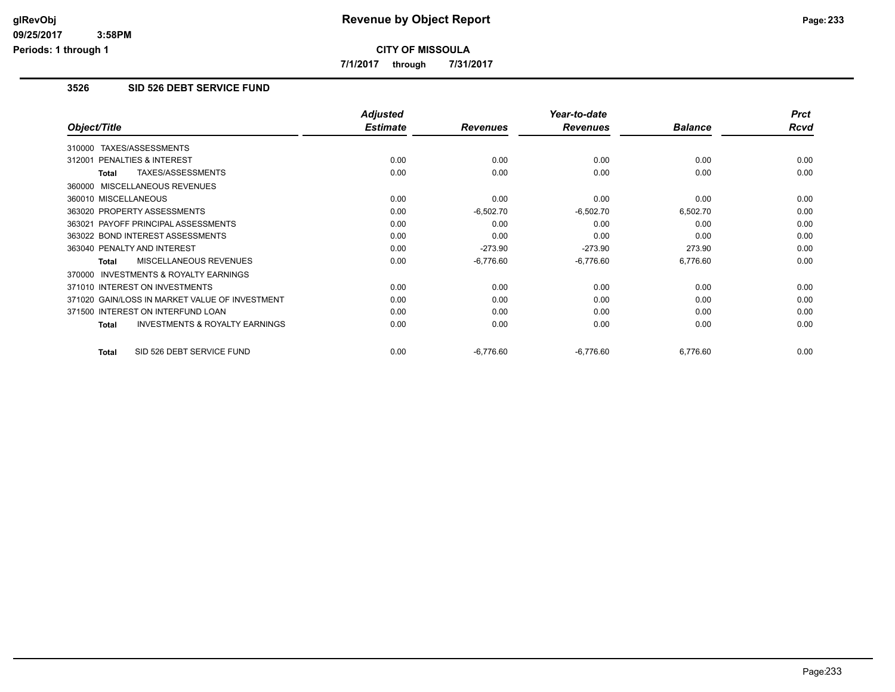**CITY OF MISSOULA**

**7/1/2017 through 7/31/2017**

## **3526 SID 526 DEBT SERVICE FUND**

 **3:58PM**

|                                                           | <b>Adjusted</b> |                 | Year-to-date    |                | <b>Prct</b> |
|-----------------------------------------------------------|-----------------|-----------------|-----------------|----------------|-------------|
| Object/Title                                              | <b>Estimate</b> | <b>Revenues</b> | <b>Revenues</b> | <b>Balance</b> | Rcvd        |
| TAXES/ASSESSMENTS<br>310000                               |                 |                 |                 |                |             |
| PENALTIES & INTEREST<br>312001                            | 0.00            | 0.00            | 0.00            | 0.00           | 0.00        |
| TAXES/ASSESSMENTS<br><b>Total</b>                         | 0.00            | 0.00            | 0.00            | 0.00           | 0.00        |
| 360000 MISCELLANEOUS REVENUES                             |                 |                 |                 |                |             |
| 360010 MISCELLANEOUS                                      | 0.00            | 0.00            | 0.00            | 0.00           | 0.00        |
| 363020 PROPERTY ASSESSMENTS                               | 0.00            | $-6,502.70$     | $-6,502.70$     | 6,502.70       | 0.00        |
| 363021 PAYOFF PRINCIPAL ASSESSMENTS                       | 0.00            | 0.00            | 0.00            | 0.00           | 0.00        |
| 363022 BOND INTEREST ASSESSMENTS                          | 0.00            | 0.00            | 0.00            | 0.00           | 0.00        |
| 363040 PENALTY AND INTEREST                               | 0.00            | $-273.90$       | $-273.90$       | 273.90         | 0.00        |
| <b>MISCELLANEOUS REVENUES</b><br><b>Total</b>             | 0.00            | $-6,776.60$     | $-6,776.60$     | 6,776.60       | 0.00        |
| <b>INVESTMENTS &amp; ROYALTY EARNINGS</b><br>370000       |                 |                 |                 |                |             |
| 371010 INTEREST ON INVESTMENTS                            | 0.00            | 0.00            | 0.00            | 0.00           | 0.00        |
| 371020 GAIN/LOSS IN MARKET VALUE OF INVESTMENT            | 0.00            | 0.00            | 0.00            | 0.00           | 0.00        |
| 371500 INTEREST ON INTERFUND LOAN                         | 0.00            | 0.00            | 0.00            | 0.00           | 0.00        |
| <b>INVESTMENTS &amp; ROYALTY EARNINGS</b><br><b>Total</b> | 0.00            | 0.00            | 0.00            | 0.00           | 0.00        |
| SID 526 DEBT SERVICE FUND<br><b>Total</b>                 | 0.00            | $-6,776.60$     | $-6,776.60$     | 6,776.60       | 0.00        |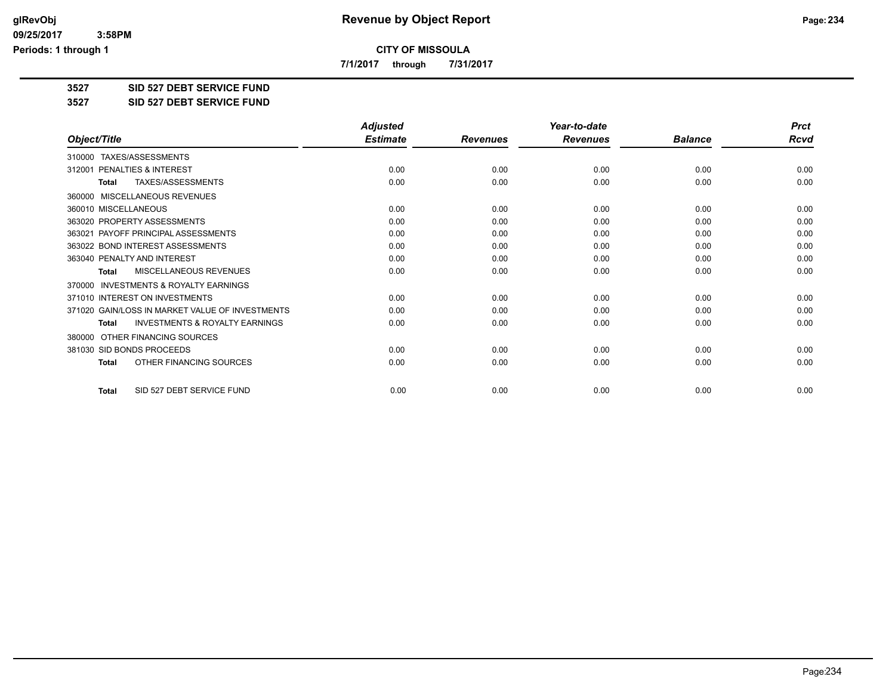**CITY OF MISSOULA**

**7/1/2017 through 7/31/2017**

**3527 SID 527 DEBT SERVICE FUND**

**3527 SID 527 DEBT SERVICE FUND**

|                                                     | <b>Adjusted</b> |                 | Year-to-date    |                | <b>Prct</b> |
|-----------------------------------------------------|-----------------|-----------------|-----------------|----------------|-------------|
| Object/Title                                        | <b>Estimate</b> | <b>Revenues</b> | <b>Revenues</b> | <b>Balance</b> | <b>Rcvd</b> |
| TAXES/ASSESSMENTS<br>310000                         |                 |                 |                 |                |             |
| PENALTIES & INTEREST<br>312001                      | 0.00            | 0.00            | 0.00            | 0.00           | 0.00        |
| <b>TAXES/ASSESSMENTS</b><br>Total                   | 0.00            | 0.00            | 0.00            | 0.00           | 0.00        |
| MISCELLANEOUS REVENUES<br>360000                    |                 |                 |                 |                |             |
| 360010 MISCELLANEOUS                                | 0.00            | 0.00            | 0.00            | 0.00           | 0.00        |
| 363020 PROPERTY ASSESSMENTS                         | 0.00            | 0.00            | 0.00            | 0.00           | 0.00        |
| 363021 PAYOFF PRINCIPAL ASSESSMENTS                 | 0.00            | 0.00            | 0.00            | 0.00           | 0.00        |
| 363022 BOND INTEREST ASSESSMENTS                    | 0.00            | 0.00            | 0.00            | 0.00           | 0.00        |
| 363040 PENALTY AND INTEREST                         | 0.00            | 0.00            | 0.00            | 0.00           | 0.00        |
| MISCELLANEOUS REVENUES<br>Total                     | 0.00            | 0.00            | 0.00            | 0.00           | 0.00        |
| <b>INVESTMENTS &amp; ROYALTY EARNINGS</b><br>370000 |                 |                 |                 |                |             |
| 371010 INTEREST ON INVESTMENTS                      | 0.00            | 0.00            | 0.00            | 0.00           | 0.00        |
| 371020 GAIN/LOSS IN MARKET VALUE OF INVESTMENTS     | 0.00            | 0.00            | 0.00            | 0.00           | 0.00        |
| <b>INVESTMENTS &amp; ROYALTY EARNINGS</b><br>Total  | 0.00            | 0.00            | 0.00            | 0.00           | 0.00        |
| OTHER FINANCING SOURCES<br>380000                   |                 |                 |                 |                |             |
| 381030 SID BONDS PROCEEDS                           | 0.00            | 0.00            | 0.00            | 0.00           | 0.00        |
| OTHER FINANCING SOURCES<br><b>Total</b>             | 0.00            | 0.00            | 0.00            | 0.00           | 0.00        |
| SID 527 DEBT SERVICE FUND<br><b>Total</b>           | 0.00            | 0.00            | 0.00            | 0.00           | 0.00        |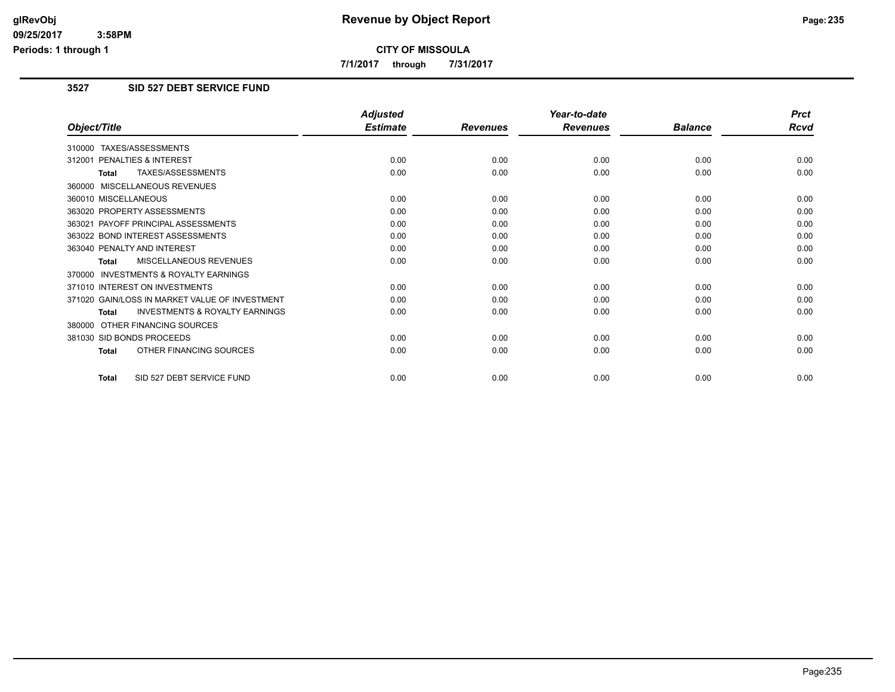**3:58PM**

**CITY OF MISSOULA**

**7/1/2017 through 7/31/2017**

### **3527 SID 527 DEBT SERVICE FUND**

|                                                           | <b>Adjusted</b> |                 | Year-to-date    |                | <b>Prct</b> |
|-----------------------------------------------------------|-----------------|-----------------|-----------------|----------------|-------------|
| Object/Title                                              | <b>Estimate</b> | <b>Revenues</b> | <b>Revenues</b> | <b>Balance</b> | <b>Rcvd</b> |
| 310000 TAXES/ASSESSMENTS                                  |                 |                 |                 |                |             |
| 312001 PENALTIES & INTEREST                               | 0.00            | 0.00            | 0.00            | 0.00           | 0.00        |
| TAXES/ASSESSMENTS<br>Total                                | 0.00            | 0.00            | 0.00            | 0.00           | 0.00        |
| 360000 MISCELLANEOUS REVENUES                             |                 |                 |                 |                |             |
| 360010 MISCELLANEOUS                                      | 0.00            | 0.00            | 0.00            | 0.00           | 0.00        |
| 363020 PROPERTY ASSESSMENTS                               | 0.00            | 0.00            | 0.00            | 0.00           | 0.00        |
| 363021 PAYOFF PRINCIPAL ASSESSMENTS                       | 0.00            | 0.00            | 0.00            | 0.00           | 0.00        |
| 363022 BOND INTEREST ASSESSMENTS                          | 0.00            | 0.00            | 0.00            | 0.00           | 0.00        |
| 363040 PENALTY AND INTEREST                               | 0.00            | 0.00            | 0.00            | 0.00           | 0.00        |
| MISCELLANEOUS REVENUES<br><b>Total</b>                    | 0.00            | 0.00            | 0.00            | 0.00           | 0.00        |
| <b>INVESTMENTS &amp; ROYALTY EARNINGS</b><br>370000       |                 |                 |                 |                |             |
| 371010 INTEREST ON INVESTMENTS                            | 0.00            | 0.00            | 0.00            | 0.00           | 0.00        |
| 371020 GAIN/LOSS IN MARKET VALUE OF INVESTMENT            | 0.00            | 0.00            | 0.00            | 0.00           | 0.00        |
| <b>INVESTMENTS &amp; ROYALTY EARNINGS</b><br><b>Total</b> | 0.00            | 0.00            | 0.00            | 0.00           | 0.00        |
| 380000 OTHER FINANCING SOURCES                            |                 |                 |                 |                |             |
| 381030 SID BONDS PROCEEDS                                 | 0.00            | 0.00            | 0.00            | 0.00           | 0.00        |
| OTHER FINANCING SOURCES<br><b>Total</b>                   | 0.00            | 0.00            | 0.00            | 0.00           | 0.00        |
| SID 527 DEBT SERVICE FUND<br><b>Total</b>                 | 0.00            | 0.00            | 0.00            | 0.00           | 0.00        |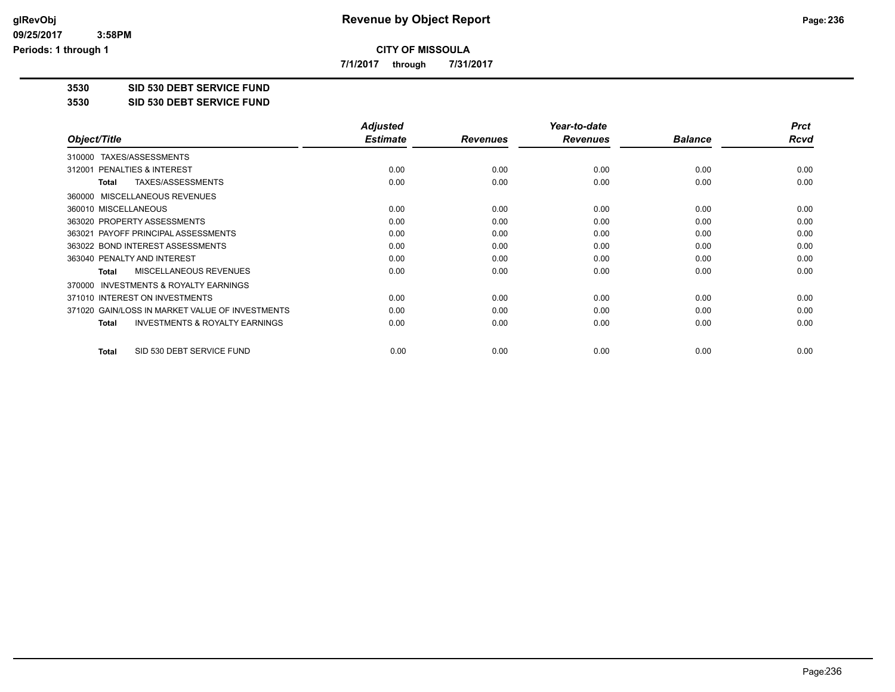**7/1/2017 through 7/31/2017**

**3530 SID 530 DEBT SERVICE FUND**

**3530 SID 530 DEBT SERVICE FUND**

|                                                           | <b>Adjusted</b> |                 | Year-to-date    |                | <b>Prct</b> |
|-----------------------------------------------------------|-----------------|-----------------|-----------------|----------------|-------------|
| Object/Title                                              | <b>Estimate</b> | <b>Revenues</b> | <b>Revenues</b> | <b>Balance</b> | Rcvd        |
| 310000 TAXES/ASSESSMENTS                                  |                 |                 |                 |                |             |
| 312001 PENALTIES & INTEREST                               | 0.00            | 0.00            | 0.00            | 0.00           | 0.00        |
| TAXES/ASSESSMENTS<br><b>Total</b>                         | 0.00            | 0.00            | 0.00            | 0.00           | 0.00        |
| MISCELLANEOUS REVENUES<br>360000                          |                 |                 |                 |                |             |
| 360010 MISCELLANEOUS                                      | 0.00            | 0.00            | 0.00            | 0.00           | 0.00        |
| 363020 PROPERTY ASSESSMENTS                               | 0.00            | 0.00            | 0.00            | 0.00           | 0.00        |
| 363021 PAYOFF PRINCIPAL ASSESSMENTS                       | 0.00            | 0.00            | 0.00            | 0.00           | 0.00        |
| 363022 BOND INTEREST ASSESSMENTS                          | 0.00            | 0.00            | 0.00            | 0.00           | 0.00        |
| 363040 PENALTY AND INTEREST                               | 0.00            | 0.00            | 0.00            | 0.00           | 0.00        |
| <b>MISCELLANEOUS REVENUES</b><br>Total                    | 0.00            | 0.00            | 0.00            | 0.00           | 0.00        |
| 370000 INVESTMENTS & ROYALTY EARNINGS                     |                 |                 |                 |                |             |
| 371010 INTEREST ON INVESTMENTS                            | 0.00            | 0.00            | 0.00            | 0.00           | 0.00        |
| 371020 GAIN/LOSS IN MARKET VALUE OF INVESTMENTS           | 0.00            | 0.00            | 0.00            | 0.00           | 0.00        |
| <b>INVESTMENTS &amp; ROYALTY EARNINGS</b><br><b>Total</b> | 0.00            | 0.00            | 0.00            | 0.00           | 0.00        |
| SID 530 DEBT SERVICE FUND<br><b>Total</b>                 | 0.00            | 0.00            | 0.00            | 0.00           | 0.00        |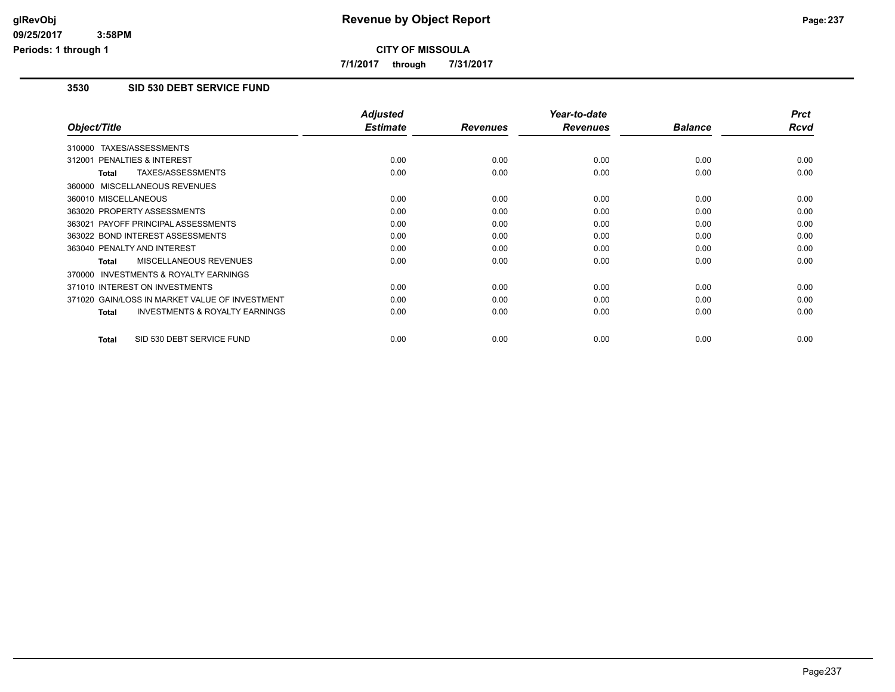**CITY OF MISSOULA**

**7/1/2017 through 7/31/2017**

## **3530 SID 530 DEBT SERVICE FUND**

 **3:58PM**

|                                                     | <b>Adjusted</b> |                 | Year-to-date    |                | <b>Prct</b> |
|-----------------------------------------------------|-----------------|-----------------|-----------------|----------------|-------------|
| Object/Title                                        | <b>Estimate</b> | <b>Revenues</b> | <b>Revenues</b> | <b>Balance</b> | <b>Rcvd</b> |
| 310000 TAXES/ASSESSMENTS                            |                 |                 |                 |                |             |
| 312001 PENALTIES & INTEREST                         | 0.00            | 0.00            | 0.00            | 0.00           | 0.00        |
| TAXES/ASSESSMENTS<br>Total                          | 0.00            | 0.00            | 0.00            | 0.00           | 0.00        |
| 360000 MISCELLANEOUS REVENUES                       |                 |                 |                 |                |             |
| 360010 MISCELLANEOUS                                | 0.00            | 0.00            | 0.00            | 0.00           | 0.00        |
| 363020 PROPERTY ASSESSMENTS                         | 0.00            | 0.00            | 0.00            | 0.00           | 0.00        |
| 363021 PAYOFF PRINCIPAL ASSESSMENTS                 | 0.00            | 0.00            | 0.00            | 0.00           | 0.00        |
| 363022 BOND INTEREST ASSESSMENTS                    | 0.00            | 0.00            | 0.00            | 0.00           | 0.00        |
| 363040 PENALTY AND INTEREST                         | 0.00            | 0.00            | 0.00            | 0.00           | 0.00        |
| <b>MISCELLANEOUS REVENUES</b><br>Total              | 0.00            | 0.00            | 0.00            | 0.00           | 0.00        |
| <b>INVESTMENTS &amp; ROYALTY EARNINGS</b><br>370000 |                 |                 |                 |                |             |
| 371010 INTEREST ON INVESTMENTS                      | 0.00            | 0.00            | 0.00            | 0.00           | 0.00        |
| 371020 GAIN/LOSS IN MARKET VALUE OF INVESTMENT      | 0.00            | 0.00            | 0.00            | 0.00           | 0.00        |
| <b>INVESTMENTS &amp; ROYALTY EARNINGS</b><br>Total  | 0.00            | 0.00            | 0.00            | 0.00           | 0.00        |
| SID 530 DEBT SERVICE FUND<br><b>Total</b>           | 0.00            | 0.00            | 0.00            | 0.00           | 0.00        |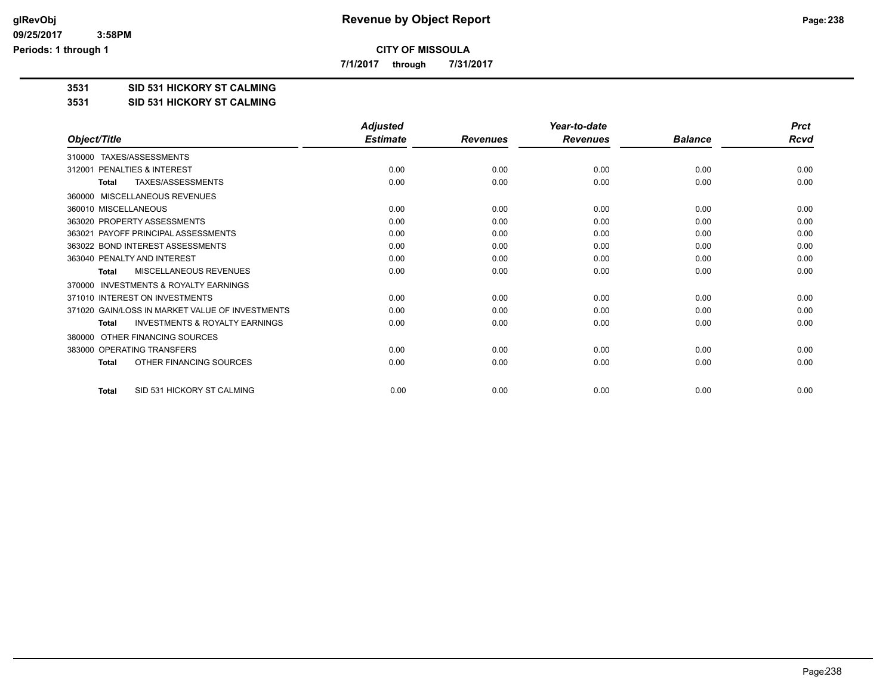**7/1/2017 through 7/31/2017**

### **3531 SID 531 HICKORY ST CALMING**

#### **3531 SID 531 HICKORY ST CALMING**

|                                                           | <b>Adjusted</b> |                 | Year-to-date    |                | <b>Prct</b> |
|-----------------------------------------------------------|-----------------|-----------------|-----------------|----------------|-------------|
| Object/Title                                              | <b>Estimate</b> | <b>Revenues</b> | <b>Revenues</b> | <b>Balance</b> | Rcvd        |
| TAXES/ASSESSMENTS<br>310000                               |                 |                 |                 |                |             |
| PENALTIES & INTEREST<br>312001                            | 0.00            | 0.00            | 0.00            | 0.00           | 0.00        |
| TAXES/ASSESSMENTS<br><b>Total</b>                         | 0.00            | 0.00            | 0.00            | 0.00           | 0.00        |
| MISCELLANEOUS REVENUES<br>360000                          |                 |                 |                 |                |             |
| 360010 MISCELLANEOUS                                      | 0.00            | 0.00            | 0.00            | 0.00           | 0.00        |
| 363020 PROPERTY ASSESSMENTS                               | 0.00            | 0.00            | 0.00            | 0.00           | 0.00        |
| 363021 PAYOFF PRINCIPAL ASSESSMENTS                       | 0.00            | 0.00            | 0.00            | 0.00           | 0.00        |
| 363022 BOND INTEREST ASSESSMENTS                          | 0.00            | 0.00            | 0.00            | 0.00           | 0.00        |
| 363040 PENALTY AND INTEREST                               | 0.00            | 0.00            | 0.00            | 0.00           | 0.00        |
| MISCELLANEOUS REVENUES<br><b>Total</b>                    | 0.00            | 0.00            | 0.00            | 0.00           | 0.00        |
| <b>INVESTMENTS &amp; ROYALTY EARNINGS</b><br>370000       |                 |                 |                 |                |             |
| 371010 INTEREST ON INVESTMENTS                            | 0.00            | 0.00            | 0.00            | 0.00           | 0.00        |
| 371020 GAIN/LOSS IN MARKET VALUE OF INVESTMENTS           | 0.00            | 0.00            | 0.00            | 0.00           | 0.00        |
| <b>INVESTMENTS &amp; ROYALTY EARNINGS</b><br><b>Total</b> | 0.00            | 0.00            | 0.00            | 0.00           | 0.00        |
| OTHER FINANCING SOURCES<br>380000                         |                 |                 |                 |                |             |
| 383000 OPERATING TRANSFERS                                | 0.00            | 0.00            | 0.00            | 0.00           | 0.00        |
| OTHER FINANCING SOURCES<br><b>Total</b>                   | 0.00            | 0.00            | 0.00            | 0.00           | 0.00        |
| SID 531 HICKORY ST CALMING<br><b>Total</b>                | 0.00            | 0.00            | 0.00            | 0.00           | 0.00        |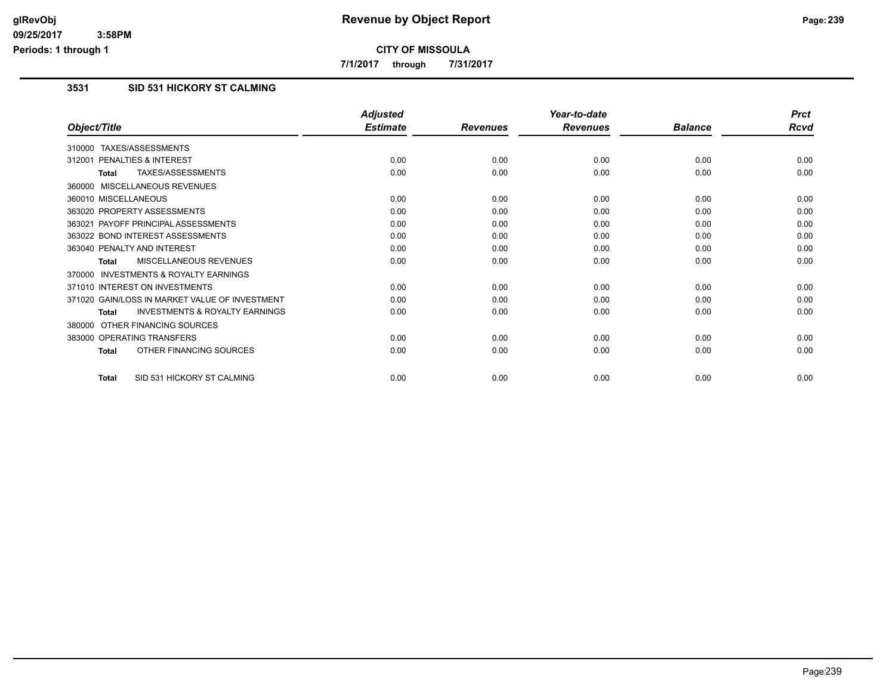**7/1/2017 through 7/31/2017**

## **3531 SID 531 HICKORY ST CALMING**

|                                                           | <b>Adjusted</b> |                 | Year-to-date    |                | <b>Prct</b> |
|-----------------------------------------------------------|-----------------|-----------------|-----------------|----------------|-------------|
| Object/Title                                              | <b>Estimate</b> | <b>Revenues</b> | <b>Revenues</b> | <b>Balance</b> | Rcvd        |
| 310000 TAXES/ASSESSMENTS                                  |                 |                 |                 |                |             |
| PENALTIES & INTEREST<br>312001                            | 0.00            | 0.00            | 0.00            | 0.00           | 0.00        |
| TAXES/ASSESSMENTS<br><b>Total</b>                         | 0.00            | 0.00            | 0.00            | 0.00           | 0.00        |
| 360000 MISCELLANEOUS REVENUES                             |                 |                 |                 |                |             |
| 360010 MISCELLANEOUS                                      | 0.00            | 0.00            | 0.00            | 0.00           | 0.00        |
| 363020 PROPERTY ASSESSMENTS                               | 0.00            | 0.00            | 0.00            | 0.00           | 0.00        |
| 363021 PAYOFF PRINCIPAL ASSESSMENTS                       | 0.00            | 0.00            | 0.00            | 0.00           | 0.00        |
| 363022 BOND INTEREST ASSESSMENTS                          | 0.00            | 0.00            | 0.00            | 0.00           | 0.00        |
| 363040 PENALTY AND INTEREST                               | 0.00            | 0.00            | 0.00            | 0.00           | 0.00        |
| MISCELLANEOUS REVENUES<br><b>Total</b>                    | 0.00            | 0.00            | 0.00            | 0.00           | 0.00        |
| 370000 INVESTMENTS & ROYALTY EARNINGS                     |                 |                 |                 |                |             |
| 371010 INTEREST ON INVESTMENTS                            | 0.00            | 0.00            | 0.00            | 0.00           | 0.00        |
| 371020 GAIN/LOSS IN MARKET VALUE OF INVESTMENT            | 0.00            | 0.00            | 0.00            | 0.00           | 0.00        |
| <b>INVESTMENTS &amp; ROYALTY EARNINGS</b><br><b>Total</b> | 0.00            | 0.00            | 0.00            | 0.00           | 0.00        |
| 380000 OTHER FINANCING SOURCES                            |                 |                 |                 |                |             |
| 383000 OPERATING TRANSFERS                                | 0.00            | 0.00            | 0.00            | 0.00           | 0.00        |
| OTHER FINANCING SOURCES<br><b>Total</b>                   | 0.00            | 0.00            | 0.00            | 0.00           | 0.00        |
| SID 531 HICKORY ST CALMING<br><b>Total</b>                | 0.00            | 0.00            | 0.00            | 0.00           | 0.00        |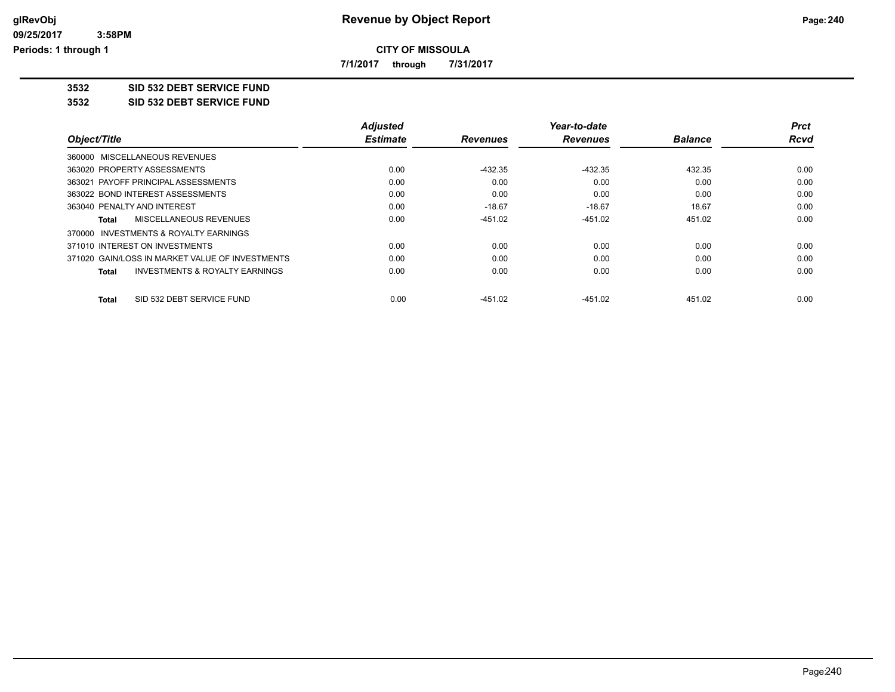**7/1/2017 through 7/31/2017**

**3532 SID 532 DEBT SERVICE FUND**

**3532 SID 532 DEBT SERVICE FUND**

|                                                           | <b>Adjusted</b> |                 | Year-to-date    |                | <b>Prct</b> |
|-----------------------------------------------------------|-----------------|-----------------|-----------------|----------------|-------------|
| Object/Title                                              | <b>Estimate</b> | <b>Revenues</b> | <b>Revenues</b> | <b>Balance</b> | Rcvd        |
| 360000 MISCELLANEOUS REVENUES                             |                 |                 |                 |                |             |
| 363020 PROPERTY ASSESSMENTS                               | 0.00            | $-432.35$       | $-432.35$       | 432.35         | 0.00        |
| 363021 PAYOFF PRINCIPAL ASSESSMENTS                       | 0.00            | 0.00            | 0.00            | 0.00           | 0.00        |
| 363022 BOND INTEREST ASSESSMENTS                          | 0.00            | 0.00            | 0.00            | 0.00           | 0.00        |
| 363040 PENALTY AND INTEREST                               | 0.00            | $-18.67$        | $-18.67$        | 18.67          | 0.00        |
| MISCELLANEOUS REVENUES<br>Total                           | 0.00            | $-451.02$       | $-451.02$       | 451.02         | 0.00        |
| 370000 INVESTMENTS & ROYALTY EARNINGS                     |                 |                 |                 |                |             |
| 371010 INTEREST ON INVESTMENTS                            | 0.00            | 0.00            | 0.00            | 0.00           | 0.00        |
| 371020 GAIN/LOSS IN MARKET VALUE OF INVESTMENTS           | 0.00            | 0.00            | 0.00            | 0.00           | 0.00        |
| <b>INVESTMENTS &amp; ROYALTY EARNINGS</b><br><b>Total</b> | 0.00            | 0.00            | 0.00            | 0.00           | 0.00        |
| SID 532 DEBT SERVICE FUND<br>Total                        | 0.00            | $-451.02$       | $-451.02$       | 451.02         | 0.00        |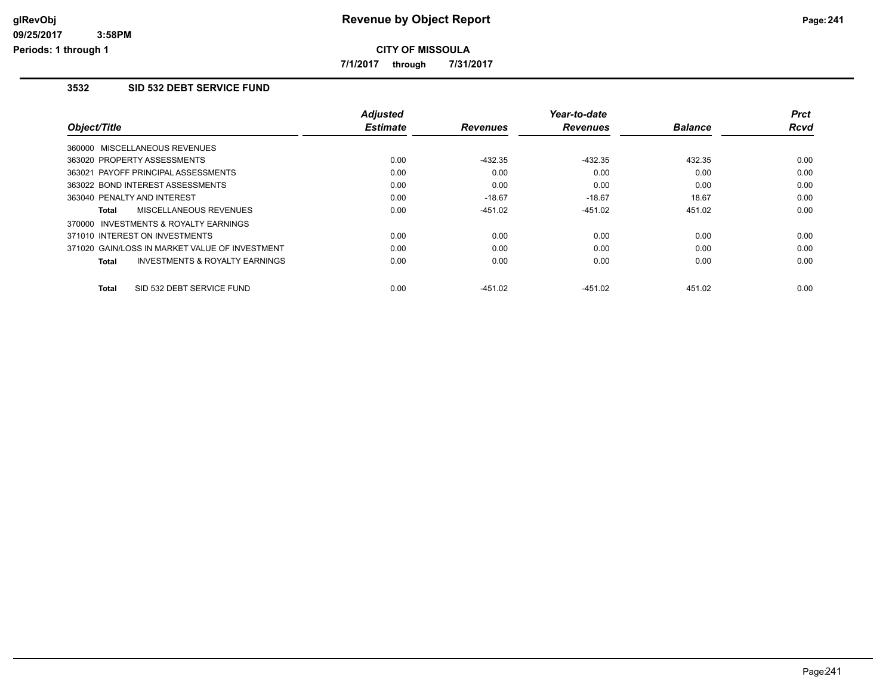**7/1/2017 through 7/31/2017**

### **3532 SID 532 DEBT SERVICE FUND**

|                                                           | <b>Adiusted</b> |                 | Year-to-date    |                | <b>Prct</b> |
|-----------------------------------------------------------|-----------------|-----------------|-----------------|----------------|-------------|
| Object/Title                                              | <b>Estimate</b> | <b>Revenues</b> | <b>Revenues</b> | <b>Balance</b> | <b>Rcvd</b> |
| 360000 MISCELLANEOUS REVENUES                             |                 |                 |                 |                |             |
| 363020 PROPERTY ASSESSMENTS                               | 0.00            | $-432.35$       | $-432.35$       | 432.35         | 0.00        |
| 363021 PAYOFF PRINCIPAL ASSESSMENTS                       | 0.00            | 0.00            | 0.00            | 0.00           | 0.00        |
| 363022 BOND INTEREST ASSESSMENTS                          | 0.00            | 0.00            | 0.00            | 0.00           | 0.00        |
| 363040 PENALTY AND INTEREST                               | 0.00            | $-18.67$        | $-18.67$        | 18.67          | 0.00        |
| MISCELLANEOUS REVENUES<br><b>Total</b>                    | 0.00            | $-451.02$       | $-451.02$       | 451.02         | 0.00        |
| 370000 INVESTMENTS & ROYALTY EARNINGS                     |                 |                 |                 |                |             |
| 371010 INTEREST ON INVESTMENTS                            | 0.00            | 0.00            | 0.00            | 0.00           | 0.00        |
| 371020 GAIN/LOSS IN MARKET VALUE OF INVESTMENT            | 0.00            | 0.00            | 0.00            | 0.00           | 0.00        |
| <b>INVESTMENTS &amp; ROYALTY EARNINGS</b><br><b>Total</b> | 0.00            | 0.00            | 0.00            | 0.00           | 0.00        |
| SID 532 DEBT SERVICE FUND<br><b>Total</b>                 | 0.00            | $-451.02$       | $-451.02$       | 451.02         | 0.00        |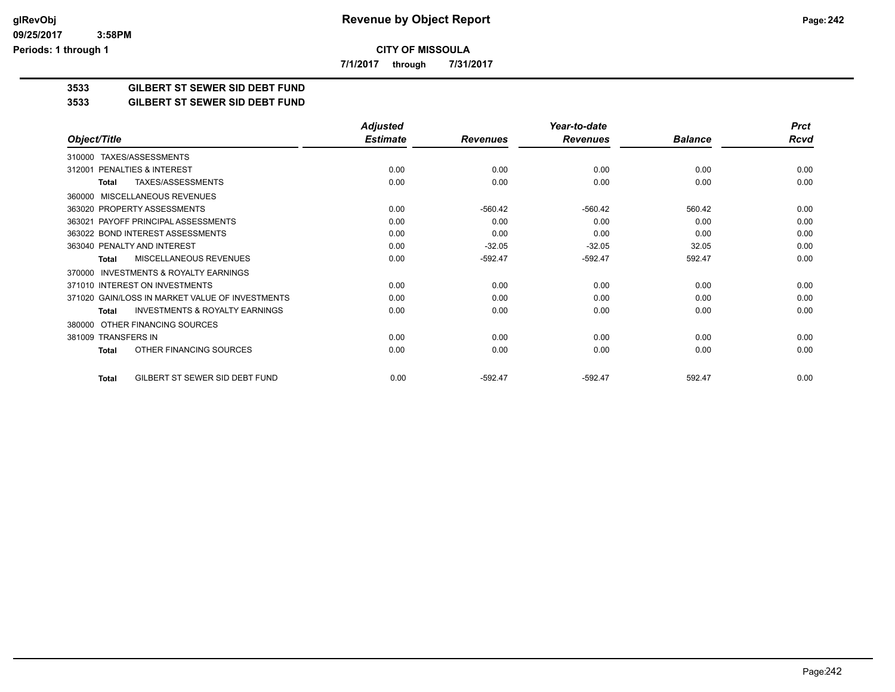**7/1/2017 through 7/31/2017**

# **3533 GILBERT ST SEWER SID DEBT FUND**

### **3533 GILBERT ST SEWER SID DEBT FUND**

|                                                           | <b>Adjusted</b> |                 | Year-to-date    |                | <b>Prct</b> |
|-----------------------------------------------------------|-----------------|-----------------|-----------------|----------------|-------------|
| Object/Title                                              | <b>Estimate</b> | <b>Revenues</b> | <b>Revenues</b> | <b>Balance</b> | <b>Rcvd</b> |
| TAXES/ASSESSMENTS<br>310000                               |                 |                 |                 |                |             |
| <b>PENALTIES &amp; INTEREST</b><br>312001                 | 0.00            | 0.00            | 0.00            | 0.00           | 0.00        |
| TAXES/ASSESSMENTS<br><b>Total</b>                         | 0.00            | 0.00            | 0.00            | 0.00           | 0.00        |
| MISCELLANEOUS REVENUES<br>360000                          |                 |                 |                 |                |             |
| 363020 PROPERTY ASSESSMENTS                               | 0.00            | $-560.42$       | $-560.42$       | 560.42         | 0.00        |
| PAYOFF PRINCIPAL ASSESSMENTS<br>363021                    | 0.00            | 0.00            | 0.00            | 0.00           | 0.00        |
| 363022 BOND INTEREST ASSESSMENTS                          | 0.00            | 0.00            | 0.00            | 0.00           | 0.00        |
| 363040 PENALTY AND INTEREST                               | 0.00            | $-32.05$        | $-32.05$        | 32.05          | 0.00        |
| <b>MISCELLANEOUS REVENUES</b><br><b>Total</b>             | 0.00            | $-592.47$       | $-592.47$       | 592.47         | 0.00        |
| <b>INVESTMENTS &amp; ROYALTY EARNINGS</b><br>370000       |                 |                 |                 |                |             |
| 371010 INTEREST ON INVESTMENTS                            | 0.00            | 0.00            | 0.00            | 0.00           | 0.00        |
| 371020 GAIN/LOSS IN MARKET VALUE OF INVESTMENTS           | 0.00            | 0.00            | 0.00            | 0.00           | 0.00        |
| <b>INVESTMENTS &amp; ROYALTY EARNINGS</b><br><b>Total</b> | 0.00            | 0.00            | 0.00            | 0.00           | 0.00        |
| OTHER FINANCING SOURCES<br>380000                         |                 |                 |                 |                |             |
| 381009 TRANSFERS IN                                       | 0.00            | 0.00            | 0.00            | 0.00           | 0.00        |
| OTHER FINANCING SOURCES<br><b>Total</b>                   | 0.00            | 0.00            | 0.00            | 0.00           | 0.00        |
| GILBERT ST SEWER SID DEBT FUND<br><b>Total</b>            | 0.00            | $-592.47$       | $-592.47$       | 592.47         | 0.00        |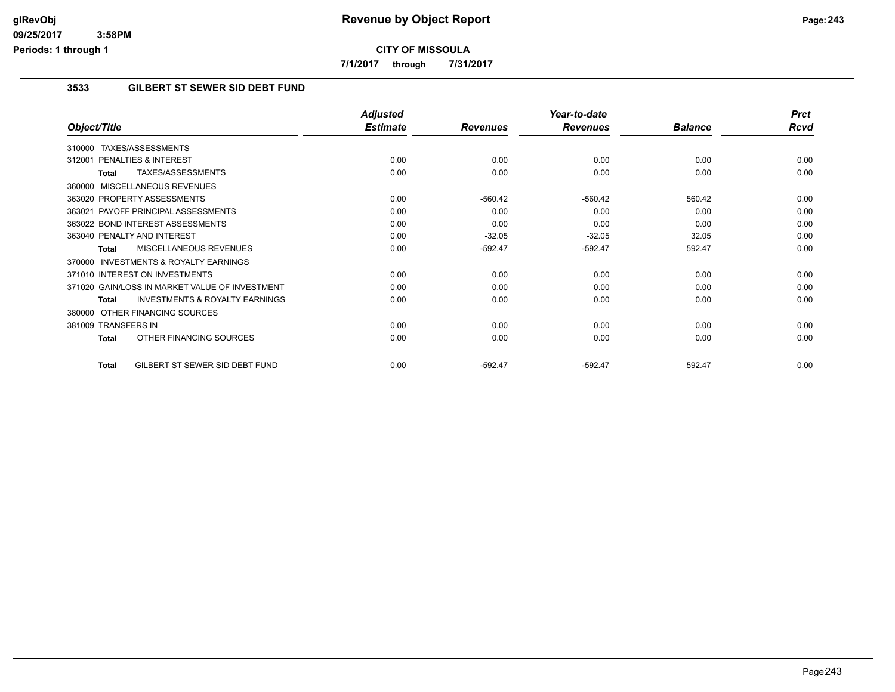**7/1/2017 through 7/31/2017**

## **3533 GILBERT ST SEWER SID DEBT FUND**

|                                                           | <b>Adjusted</b> |                 | Year-to-date    |                | <b>Prct</b> |
|-----------------------------------------------------------|-----------------|-----------------|-----------------|----------------|-------------|
| Object/Title                                              | <b>Estimate</b> | <b>Revenues</b> | <b>Revenues</b> | <b>Balance</b> | <b>Rcvd</b> |
| TAXES/ASSESSMENTS<br>310000                               |                 |                 |                 |                |             |
| 312001 PENALTIES & INTEREST                               | 0.00            | 0.00            | 0.00            | 0.00           | 0.00        |
| TAXES/ASSESSMENTS<br><b>Total</b>                         | 0.00            | 0.00            | 0.00            | 0.00           | 0.00        |
| 360000 MISCELLANEOUS REVENUES                             |                 |                 |                 |                |             |
| 363020 PROPERTY ASSESSMENTS                               | 0.00            | $-560.42$       | $-560.42$       | 560.42         | 0.00        |
| 363021 PAYOFF PRINCIPAL ASSESSMENTS                       | 0.00            | 0.00            | 0.00            | 0.00           | 0.00        |
| 363022 BOND INTEREST ASSESSMENTS                          | 0.00            | 0.00            | 0.00            | 0.00           | 0.00        |
| 363040 PENALTY AND INTEREST                               | 0.00            | $-32.05$        | $-32.05$        | 32.05          | 0.00        |
| MISCELLANEOUS REVENUES<br>Total                           | 0.00            | $-592.47$       | $-592.47$       | 592.47         | 0.00        |
| 370000 INVESTMENTS & ROYALTY EARNINGS                     |                 |                 |                 |                |             |
| 371010 INTEREST ON INVESTMENTS                            | 0.00            | 0.00            | 0.00            | 0.00           | 0.00        |
| 371020 GAIN/LOSS IN MARKET VALUE OF INVESTMENT            | 0.00            | 0.00            | 0.00            | 0.00           | 0.00        |
| <b>INVESTMENTS &amp; ROYALTY EARNINGS</b><br><b>Total</b> | 0.00            | 0.00            | 0.00            | 0.00           | 0.00        |
| 380000 OTHER FINANCING SOURCES                            |                 |                 |                 |                |             |
| 381009 TRANSFERS IN                                       | 0.00            | 0.00            | 0.00            | 0.00           | 0.00        |
| OTHER FINANCING SOURCES<br><b>Total</b>                   | 0.00            | 0.00            | 0.00            | 0.00           | 0.00        |
| GILBERT ST SEWER SID DEBT FUND<br><b>Total</b>            | 0.00            | $-592.47$       | $-592.47$       | 592.47         | 0.00        |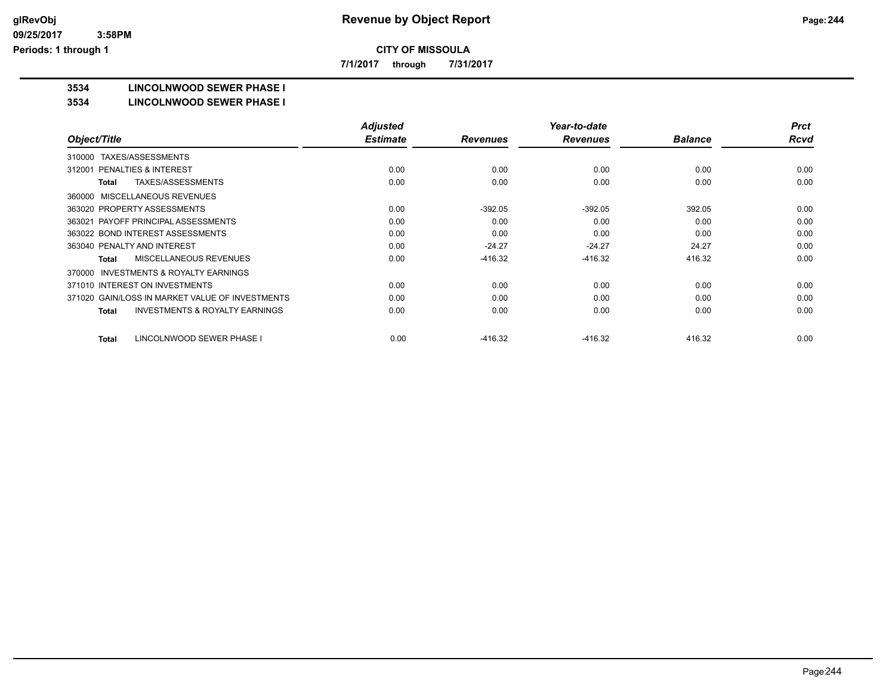**7/1/2017 through 7/31/2017**

## **3534 LINCOLNWOOD SEWER PHASE I**

#### **3534 LINCOLNWOOD SEWER PHASE I**

|                                                           | <b>Adjusted</b> |                 | Year-to-date    |                | <b>Prct</b> |
|-----------------------------------------------------------|-----------------|-----------------|-----------------|----------------|-------------|
| Object/Title                                              | <b>Estimate</b> | <b>Revenues</b> | <b>Revenues</b> | <b>Balance</b> | <b>Rcvd</b> |
| TAXES/ASSESSMENTS<br>310000                               |                 |                 |                 |                |             |
| PENALTIES & INTEREST<br>312001                            | 0.00            | 0.00            | 0.00            | 0.00           | 0.00        |
| TAXES/ASSESSMENTS<br>Total                                | 0.00            | 0.00            | 0.00            | 0.00           | 0.00        |
| MISCELLANEOUS REVENUES<br>360000                          |                 |                 |                 |                |             |
| 363020 PROPERTY ASSESSMENTS                               | 0.00            | $-392.05$       | $-392.05$       | 392.05         | 0.00        |
| 363021 PAYOFF PRINCIPAL ASSESSMENTS                       | 0.00            | 0.00            | 0.00            | 0.00           | 0.00        |
| 363022 BOND INTEREST ASSESSMENTS                          | 0.00            | 0.00            | 0.00            | 0.00           | 0.00        |
| 363040 PENALTY AND INTEREST                               | 0.00            | $-24.27$        | $-24.27$        | 24.27          | 0.00        |
| MISCELLANEOUS REVENUES<br>Total                           | 0.00            | $-416.32$       | $-416.32$       | 416.32         | 0.00        |
| <b>INVESTMENTS &amp; ROYALTY EARNINGS</b><br>370000       |                 |                 |                 |                |             |
| 371010 INTEREST ON INVESTMENTS                            | 0.00            | 0.00            | 0.00            | 0.00           | 0.00        |
| 371020 GAIN/LOSS IN MARKET VALUE OF INVESTMENTS           | 0.00            | 0.00            | 0.00            | 0.00           | 0.00        |
| <b>INVESTMENTS &amp; ROYALTY EARNINGS</b><br><b>Total</b> | 0.00            | 0.00            | 0.00            | 0.00           | 0.00        |
| LINCOLNWOOD SEWER PHASE I<br>Total                        | 0.00            | $-416.32$       | $-416.32$       | 416.32         | 0.00        |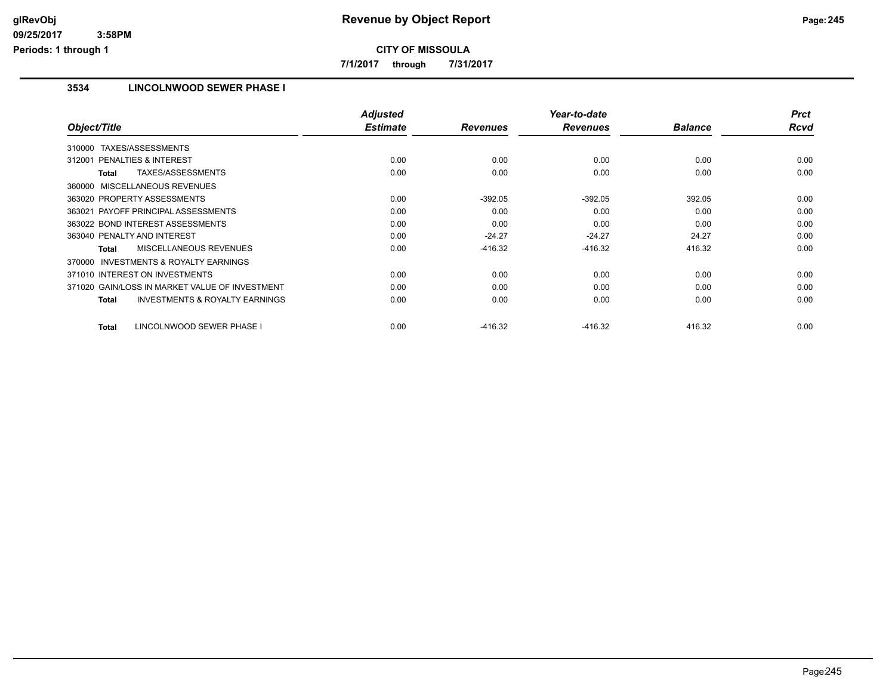**7/1/2017 through 7/31/2017**

## **3534 LINCOLNWOOD SEWER PHASE I**

| Object/Title                                        | <b>Adjusted</b><br><b>Estimate</b> | <b>Revenues</b> | Year-to-date<br><b>Revenues</b> | <b>Balance</b> | <b>Prct</b><br><b>Rcvd</b> |
|-----------------------------------------------------|------------------------------------|-----------------|---------------------------------|----------------|----------------------------|
|                                                     |                                    |                 |                                 |                |                            |
| TAXES/ASSESSMENTS<br>310000                         |                                    |                 |                                 |                |                            |
| PENALTIES & INTEREST<br>312001                      | 0.00                               | 0.00            | 0.00                            | 0.00           | 0.00                       |
| TAXES/ASSESSMENTS<br>Total                          | 0.00                               | 0.00            | 0.00                            | 0.00           | 0.00                       |
| 360000 MISCELLANEOUS REVENUES                       |                                    |                 |                                 |                |                            |
| 363020 PROPERTY ASSESSMENTS                         | 0.00                               | $-392.05$       | $-392.05$                       | 392.05         | 0.00                       |
| 363021 PAYOFF PRINCIPAL ASSESSMENTS                 | 0.00                               | 0.00            | 0.00                            | 0.00           | 0.00                       |
| 363022 BOND INTEREST ASSESSMENTS                    | 0.00                               | 0.00            | 0.00                            | 0.00           | 0.00                       |
| 363040 PENALTY AND INTEREST                         | 0.00                               | $-24.27$        | $-24.27$                        | 24.27          | 0.00                       |
| <b>MISCELLANEOUS REVENUES</b><br>Total              | 0.00                               | $-416.32$       | $-416.32$                       | 416.32         | 0.00                       |
| <b>INVESTMENTS &amp; ROYALTY EARNINGS</b><br>370000 |                                    |                 |                                 |                |                            |
| 371010 INTEREST ON INVESTMENTS                      | 0.00                               | 0.00            | 0.00                            | 0.00           | 0.00                       |
| 371020 GAIN/LOSS IN MARKET VALUE OF INVESTMENT      | 0.00                               | 0.00            | 0.00                            | 0.00           | 0.00                       |
| <b>INVESTMENTS &amp; ROYALTY EARNINGS</b><br>Total  | 0.00                               | 0.00            | 0.00                            | 0.00           | 0.00                       |
| LINCOLNWOOD SEWER PHASE I<br>Total                  | 0.00                               | $-416.32$       | $-416.32$                       | 416.32         | 0.00                       |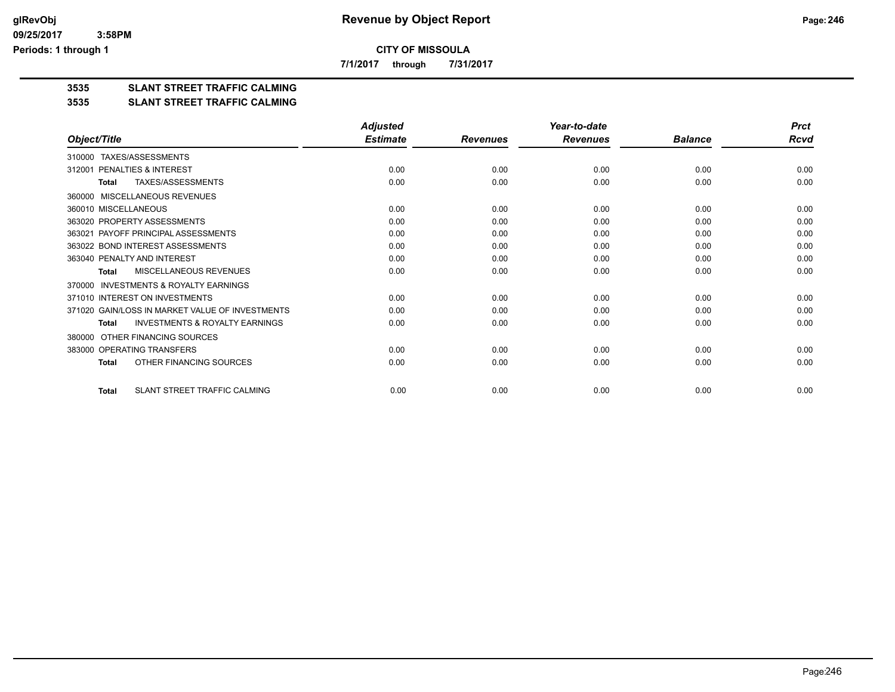**7/1/2017 through 7/31/2017**

# **3535 SLANT STREET TRAFFIC CALMING**

### **3535 SLANT STREET TRAFFIC CALMING**

|                                                           | <b>Adjusted</b> |                 | Year-to-date    |                | <b>Prct</b> |
|-----------------------------------------------------------|-----------------|-----------------|-----------------|----------------|-------------|
| Object/Title                                              | <b>Estimate</b> | <b>Revenues</b> | <b>Revenues</b> | <b>Balance</b> | <b>Rcvd</b> |
| <b>TAXES/ASSESSMENTS</b><br>310000                        |                 |                 |                 |                |             |
| PENALTIES & INTEREST<br>312001                            | 0.00            | 0.00            | 0.00            | 0.00           | 0.00        |
| TAXES/ASSESSMENTS<br>Total                                | 0.00            | 0.00            | 0.00            | 0.00           | 0.00        |
| MISCELLANEOUS REVENUES<br>360000                          |                 |                 |                 |                |             |
| 360010 MISCELLANEOUS                                      | 0.00            | 0.00            | 0.00            | 0.00           | 0.00        |
| 363020 PROPERTY ASSESSMENTS                               | 0.00            | 0.00            | 0.00            | 0.00           | 0.00        |
| 363021 PAYOFF PRINCIPAL ASSESSMENTS                       | 0.00            | 0.00            | 0.00            | 0.00           | 0.00        |
| 363022 BOND INTEREST ASSESSMENTS                          | 0.00            | 0.00            | 0.00            | 0.00           | 0.00        |
| 363040 PENALTY AND INTEREST                               | 0.00            | 0.00            | 0.00            | 0.00           | 0.00        |
| <b>MISCELLANEOUS REVENUES</b><br>Total                    | 0.00            | 0.00            | 0.00            | 0.00           | 0.00        |
| <b>INVESTMENTS &amp; ROYALTY EARNINGS</b><br>370000       |                 |                 |                 |                |             |
| 371010 INTEREST ON INVESTMENTS                            | 0.00            | 0.00            | 0.00            | 0.00           | 0.00        |
| 371020 GAIN/LOSS IN MARKET VALUE OF INVESTMENTS           | 0.00            | 0.00            | 0.00            | 0.00           | 0.00        |
| <b>INVESTMENTS &amp; ROYALTY EARNINGS</b><br><b>Total</b> | 0.00            | 0.00            | 0.00            | 0.00           | 0.00        |
| OTHER FINANCING SOURCES<br>380000                         |                 |                 |                 |                |             |
| 383000 OPERATING TRANSFERS                                | 0.00            | 0.00            | 0.00            | 0.00           | 0.00        |
| OTHER FINANCING SOURCES<br><b>Total</b>                   | 0.00            | 0.00            | 0.00            | 0.00           | 0.00        |
| SLANT STREET TRAFFIC CALMING<br><b>Total</b>              | 0.00            | 0.00            | 0.00            | 0.00           | 0.00        |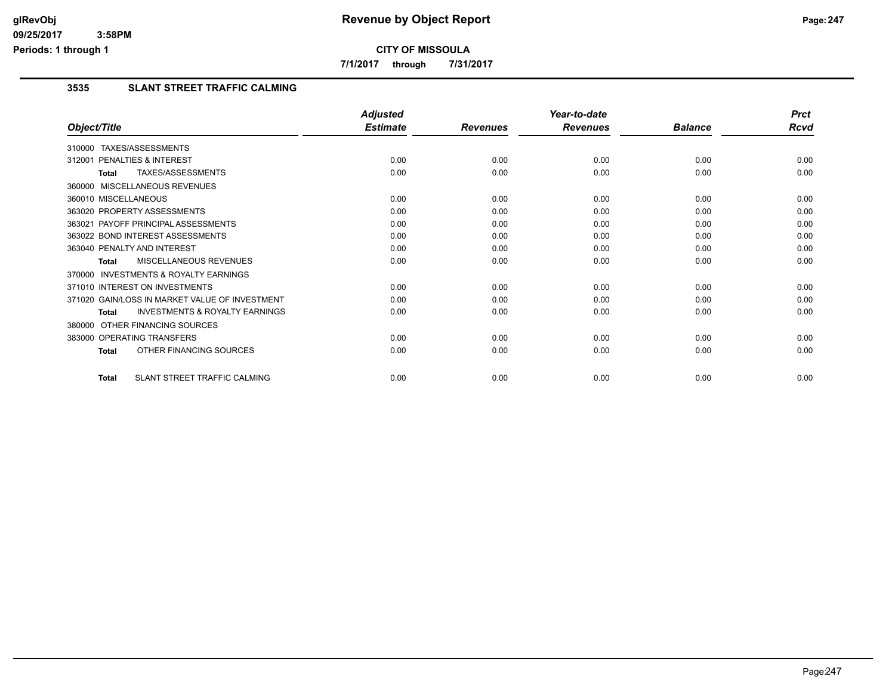**7/1/2017 through 7/31/2017**

### **3535 SLANT STREET TRAFFIC CALMING**

|                                                           | <b>Adjusted</b> |                 | Year-to-date    |                | <b>Prct</b> |
|-----------------------------------------------------------|-----------------|-----------------|-----------------|----------------|-------------|
| Object/Title                                              | <b>Estimate</b> | <b>Revenues</b> | <b>Revenues</b> | <b>Balance</b> | <b>Rcvd</b> |
| 310000 TAXES/ASSESSMENTS                                  |                 |                 |                 |                |             |
| PENALTIES & INTEREST<br>312001                            | 0.00            | 0.00            | 0.00            | 0.00           | 0.00        |
| <b>TAXES/ASSESSMENTS</b><br><b>Total</b>                  | 0.00            | 0.00            | 0.00            | 0.00           | 0.00        |
| 360000 MISCELLANEOUS REVENUES                             |                 |                 |                 |                |             |
| 360010 MISCELLANEOUS                                      | 0.00            | 0.00            | 0.00            | 0.00           | 0.00        |
| 363020 PROPERTY ASSESSMENTS                               | 0.00            | 0.00            | 0.00            | 0.00           | 0.00        |
| 363021 PAYOFF PRINCIPAL ASSESSMENTS                       | 0.00            | 0.00            | 0.00            | 0.00           | 0.00        |
| 363022 BOND INTEREST ASSESSMENTS                          | 0.00            | 0.00            | 0.00            | 0.00           | 0.00        |
| 363040 PENALTY AND INTEREST                               | 0.00            | 0.00            | 0.00            | 0.00           | 0.00        |
| <b>MISCELLANEOUS REVENUES</b><br><b>Total</b>             | 0.00            | 0.00            | 0.00            | 0.00           | 0.00        |
| INVESTMENTS & ROYALTY EARNINGS<br>370000                  |                 |                 |                 |                |             |
| 371010 INTEREST ON INVESTMENTS                            | 0.00            | 0.00            | 0.00            | 0.00           | 0.00        |
| 371020 GAIN/LOSS IN MARKET VALUE OF INVESTMENT            | 0.00            | 0.00            | 0.00            | 0.00           | 0.00        |
| <b>INVESTMENTS &amp; ROYALTY EARNINGS</b><br><b>Total</b> | 0.00            | 0.00            | 0.00            | 0.00           | 0.00        |
| OTHER FINANCING SOURCES<br>380000                         |                 |                 |                 |                |             |
| 383000 OPERATING TRANSFERS                                | 0.00            | 0.00            | 0.00            | 0.00           | 0.00        |
| OTHER FINANCING SOURCES<br><b>Total</b>                   | 0.00            | 0.00            | 0.00            | 0.00           | 0.00        |
| SLANT STREET TRAFFIC CALMING<br><b>Total</b>              | 0.00            | 0.00            | 0.00            | 0.00           | 0.00        |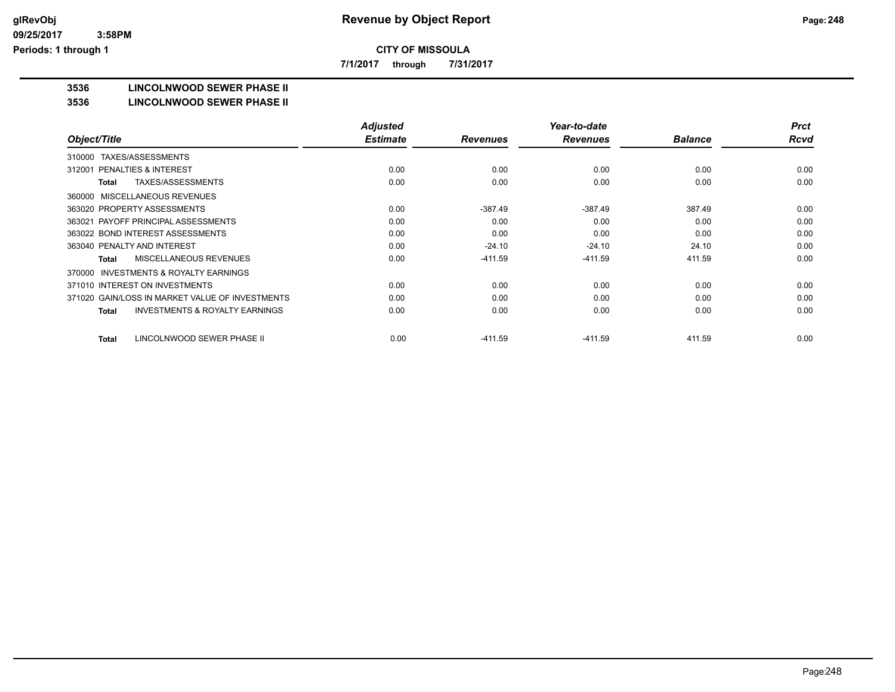**7/1/2017 through 7/31/2017**

## **3536 LINCOLNWOOD SEWER PHASE II**

#### **3536 LINCOLNWOOD SEWER PHASE II**

|                                                           | <b>Adjusted</b> |                 | Year-to-date    |                | <b>Prct</b> |
|-----------------------------------------------------------|-----------------|-----------------|-----------------|----------------|-------------|
| Object/Title                                              | <b>Estimate</b> | <b>Revenues</b> | <b>Revenues</b> | <b>Balance</b> | <b>Rcvd</b> |
| TAXES/ASSESSMENTS<br>310000                               |                 |                 |                 |                |             |
| PENALTIES & INTEREST<br>312001                            | 0.00            | 0.00            | 0.00            | 0.00           | 0.00        |
| TAXES/ASSESSMENTS<br>Total                                | 0.00            | 0.00            | 0.00            | 0.00           | 0.00        |
| MISCELLANEOUS REVENUES<br>360000                          |                 |                 |                 |                |             |
| 363020 PROPERTY ASSESSMENTS                               | 0.00            | $-387.49$       | $-387.49$       | 387.49         | 0.00        |
| 363021 PAYOFF PRINCIPAL ASSESSMENTS                       | 0.00            | 0.00            | 0.00            | 0.00           | 0.00        |
| 363022 BOND INTEREST ASSESSMENTS                          | 0.00            | 0.00            | 0.00            | 0.00           | 0.00        |
| 363040 PENALTY AND INTEREST                               | 0.00            | $-24.10$        | $-24.10$        | 24.10          | 0.00        |
| MISCELLANEOUS REVENUES<br>Total                           | 0.00            | $-411.59$       | $-411.59$       | 411.59         | 0.00        |
| <b>INVESTMENTS &amp; ROYALTY EARNINGS</b><br>370000       |                 |                 |                 |                |             |
| 371010 INTEREST ON INVESTMENTS                            | 0.00            | 0.00            | 0.00            | 0.00           | 0.00        |
| 371020 GAIN/LOSS IN MARKET VALUE OF INVESTMENTS           | 0.00            | 0.00            | 0.00            | 0.00           | 0.00        |
| <b>INVESTMENTS &amp; ROYALTY EARNINGS</b><br><b>Total</b> | 0.00            | 0.00            | 0.00            | 0.00           | 0.00        |
| LINCOLNWOOD SEWER PHASE II<br>Total                       | 0.00            | $-411.59$       | $-411.59$       | 411.59         | 0.00        |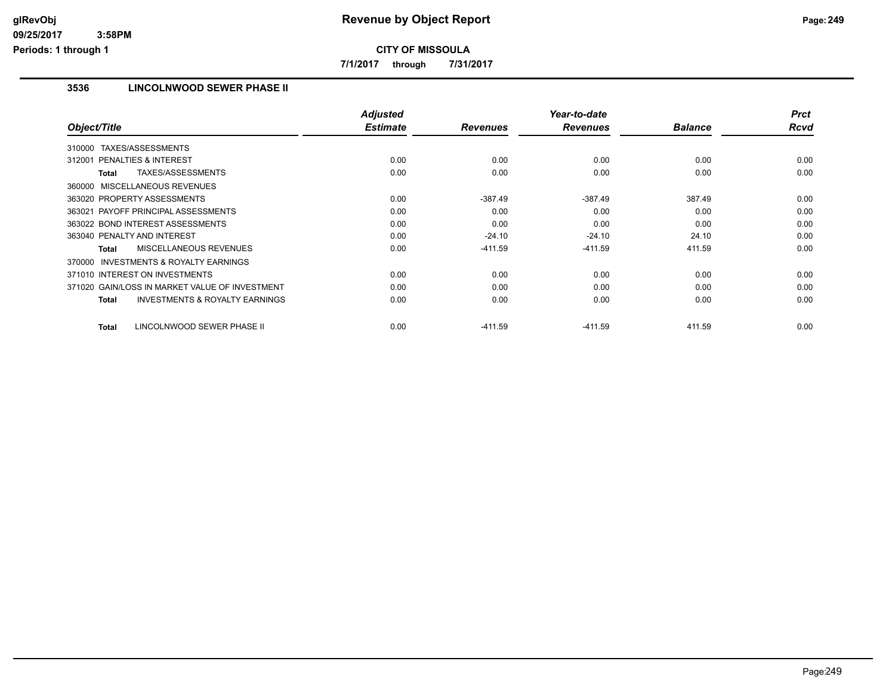**7/1/2017 through 7/31/2017**

## **3536 LINCOLNWOOD SEWER PHASE II**

| Object/Title                                              | <b>Adjusted</b><br><b>Estimate</b> | <b>Revenues</b> | Year-to-date<br><b>Revenues</b> | <b>Balance</b> | <b>Prct</b><br><b>Rcvd</b> |
|-----------------------------------------------------------|------------------------------------|-----------------|---------------------------------|----------------|----------------------------|
|                                                           |                                    |                 |                                 |                |                            |
| TAXES/ASSESSMENTS<br>310000                               |                                    |                 |                                 |                |                            |
| 312001 PENALTIES & INTEREST                               | 0.00                               | 0.00            | 0.00                            | 0.00           | 0.00                       |
| TAXES/ASSESSMENTS<br>Total                                | 0.00                               | 0.00            | 0.00                            | 0.00           | 0.00                       |
| 360000 MISCELLANEOUS REVENUES                             |                                    |                 |                                 |                |                            |
| 363020 PROPERTY ASSESSMENTS                               | 0.00                               | $-387.49$       | $-387.49$                       | 387.49         | 0.00                       |
| 363021 PAYOFF PRINCIPAL ASSESSMENTS                       | 0.00                               | 0.00            | 0.00                            | 0.00           | 0.00                       |
| 363022 BOND INTEREST ASSESSMENTS                          | 0.00                               | 0.00            | 0.00                            | 0.00           | 0.00                       |
| 363040 PENALTY AND INTEREST                               | 0.00                               | $-24.10$        | $-24.10$                        | 24.10          | 0.00                       |
| MISCELLANEOUS REVENUES<br>Total                           | 0.00                               | $-411.59$       | $-411.59$                       | 411.59         | 0.00                       |
| INVESTMENTS & ROYALTY EARNINGS<br>370000                  |                                    |                 |                                 |                |                            |
| 371010 INTEREST ON INVESTMENTS                            | 0.00                               | 0.00            | 0.00                            | 0.00           | 0.00                       |
| 371020 GAIN/LOSS IN MARKET VALUE OF INVESTMENT            | 0.00                               | 0.00            | 0.00                            | 0.00           | 0.00                       |
| <b>INVESTMENTS &amp; ROYALTY EARNINGS</b><br><b>Total</b> | 0.00                               | 0.00            | 0.00                            | 0.00           | 0.00                       |
|                                                           |                                    |                 |                                 |                |                            |
| LINCOLNWOOD SEWER PHASE II<br><b>Total</b>                | 0.00                               | $-411.59$       | $-411.59$                       | 411.59         | 0.00                       |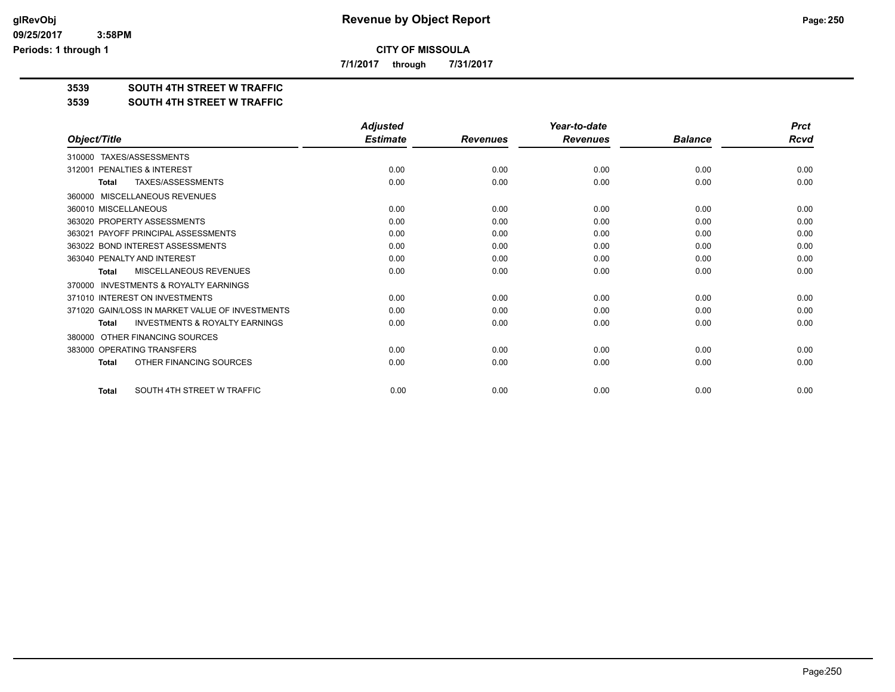**7/1/2017 through 7/31/2017**

### **3539 SOUTH 4TH STREET W TRAFFIC**

#### **3539 SOUTH 4TH STREET W TRAFFIC**

|                                                     | <b>Adjusted</b> |                 | Year-to-date    |                | <b>Prct</b> |
|-----------------------------------------------------|-----------------|-----------------|-----------------|----------------|-------------|
| Object/Title                                        | <b>Estimate</b> | <b>Revenues</b> | <b>Revenues</b> | <b>Balance</b> | Rcvd        |
| TAXES/ASSESSMENTS<br>310000                         |                 |                 |                 |                |             |
| PENALTIES & INTEREST<br>312001                      | 0.00            | 0.00            | 0.00            | 0.00           | 0.00        |
| TAXES/ASSESSMENTS<br>Total                          | 0.00            | 0.00            | 0.00            | 0.00           | 0.00        |
| <b>MISCELLANEOUS REVENUES</b><br>360000             |                 |                 |                 |                |             |
| 360010 MISCELLANEOUS                                | 0.00            | 0.00            | 0.00            | 0.00           | 0.00        |
| 363020 PROPERTY ASSESSMENTS                         | 0.00            | 0.00            | 0.00            | 0.00           | 0.00        |
| 363021 PAYOFF PRINCIPAL ASSESSMENTS                 | 0.00            | 0.00            | 0.00            | 0.00           | 0.00        |
| 363022 BOND INTEREST ASSESSMENTS                    | 0.00            | 0.00            | 0.00            | 0.00           | 0.00        |
| 363040 PENALTY AND INTEREST                         | 0.00            | 0.00            | 0.00            | 0.00           | 0.00        |
| MISCELLANEOUS REVENUES<br>Total                     | 0.00            | 0.00            | 0.00            | 0.00           | 0.00        |
| <b>INVESTMENTS &amp; ROYALTY EARNINGS</b><br>370000 |                 |                 |                 |                |             |
| 371010 INTEREST ON INVESTMENTS                      | 0.00            | 0.00            | 0.00            | 0.00           | 0.00        |
| 371020 GAIN/LOSS IN MARKET VALUE OF INVESTMENTS     | 0.00            | 0.00            | 0.00            | 0.00           | 0.00        |
| <b>INVESTMENTS &amp; ROYALTY EARNINGS</b><br>Total  | 0.00            | 0.00            | 0.00            | 0.00           | 0.00        |
| OTHER FINANCING SOURCES<br>380000                   |                 |                 |                 |                |             |
| 383000 OPERATING TRANSFERS                          | 0.00            | 0.00            | 0.00            | 0.00           | 0.00        |
| OTHER FINANCING SOURCES<br><b>Total</b>             | 0.00            | 0.00            | 0.00            | 0.00           | 0.00        |
| SOUTH 4TH STREET W TRAFFIC<br><b>Total</b>          | 0.00            | 0.00            | 0.00            | 0.00           | 0.00        |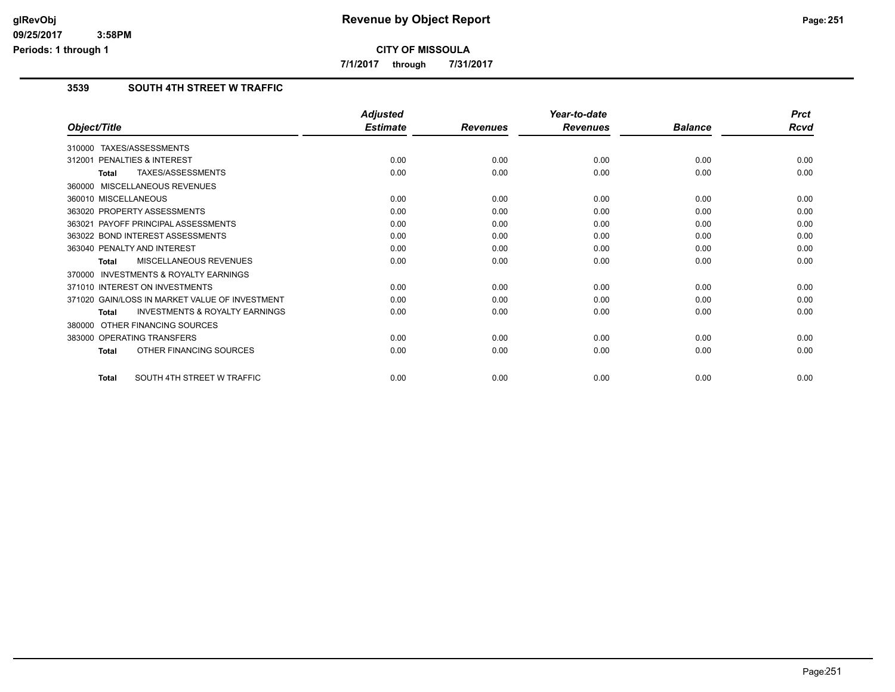**7/1/2017 through 7/31/2017**

# **3539 SOUTH 4TH STREET W TRAFFIC**

|                                                           | <b>Adjusted</b> |                 | Year-to-date    |                | <b>Prct</b> |
|-----------------------------------------------------------|-----------------|-----------------|-----------------|----------------|-------------|
| Object/Title                                              | <b>Estimate</b> | <b>Revenues</b> | <b>Revenues</b> | <b>Balance</b> | <b>Rcvd</b> |
| 310000 TAXES/ASSESSMENTS                                  |                 |                 |                 |                |             |
| 312001 PENALTIES & INTEREST                               | 0.00            | 0.00            | 0.00            | 0.00           | 0.00        |
| TAXES/ASSESSMENTS<br>Total                                | 0.00            | 0.00            | 0.00            | 0.00           | 0.00        |
| 360000 MISCELLANEOUS REVENUES                             |                 |                 |                 |                |             |
| 360010 MISCELLANEOUS                                      | 0.00            | 0.00            | 0.00            | 0.00           | 0.00        |
| 363020 PROPERTY ASSESSMENTS                               | 0.00            | 0.00            | 0.00            | 0.00           | 0.00        |
| 363021 PAYOFF PRINCIPAL ASSESSMENTS                       | 0.00            | 0.00            | 0.00            | 0.00           | 0.00        |
| 363022 BOND INTEREST ASSESSMENTS                          | 0.00            | 0.00            | 0.00            | 0.00           | 0.00        |
| 363040 PENALTY AND INTEREST                               | 0.00            | 0.00            | 0.00            | 0.00           | 0.00        |
| MISCELLANEOUS REVENUES<br><b>Total</b>                    | 0.00            | 0.00            | 0.00            | 0.00           | 0.00        |
| <b>INVESTMENTS &amp; ROYALTY EARNINGS</b><br>370000       |                 |                 |                 |                |             |
| 371010 INTEREST ON INVESTMENTS                            | 0.00            | 0.00            | 0.00            | 0.00           | 0.00        |
| 371020 GAIN/LOSS IN MARKET VALUE OF INVESTMENT            | 0.00            | 0.00            | 0.00            | 0.00           | 0.00        |
| <b>INVESTMENTS &amp; ROYALTY EARNINGS</b><br><b>Total</b> | 0.00            | 0.00            | 0.00            | 0.00           | 0.00        |
| OTHER FINANCING SOURCES<br>380000                         |                 |                 |                 |                |             |
| 383000 OPERATING TRANSFERS                                | 0.00            | 0.00            | 0.00            | 0.00           | 0.00        |
| OTHER FINANCING SOURCES<br><b>Total</b>                   | 0.00            | 0.00            | 0.00            | 0.00           | 0.00        |
| SOUTH 4TH STREET W TRAFFIC<br><b>Total</b>                | 0.00            | 0.00            | 0.00            | 0.00           | 0.00        |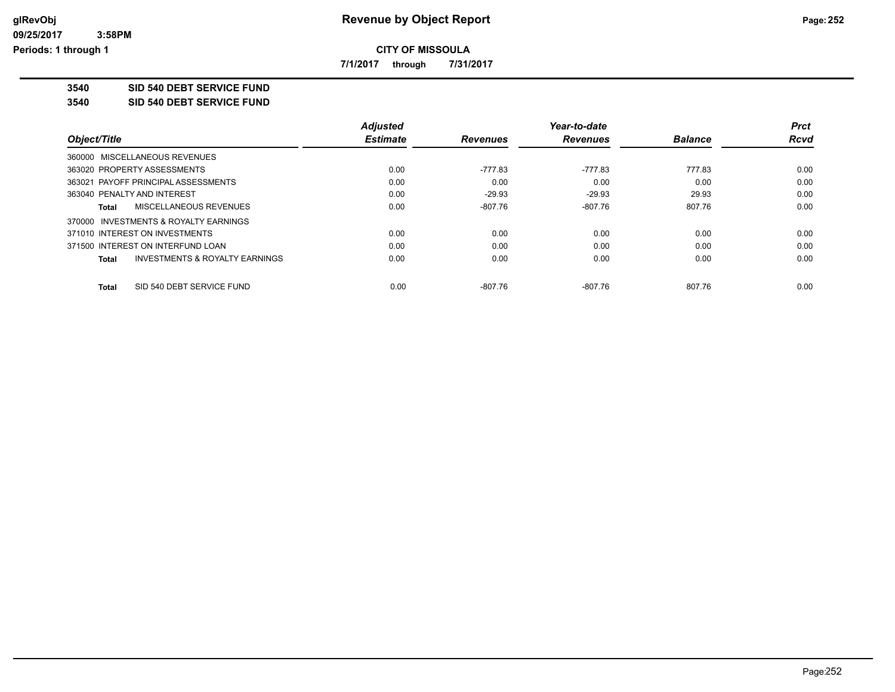**7/1/2017 through 7/31/2017**

**3540 SID 540 DEBT SERVICE FUND**

**3540 SID 540 DEBT SERVICE FUND**

|                                         | <b>Adjusted</b> |                 | Year-to-date    |                | <b>Prct</b> |
|-----------------------------------------|-----------------|-----------------|-----------------|----------------|-------------|
| Object/Title                            | <b>Estimate</b> | <b>Revenues</b> | <b>Revenues</b> | <b>Balance</b> | Rcvd        |
| 360000 MISCELLANEOUS REVENUES           |                 |                 |                 |                |             |
| 363020 PROPERTY ASSESSMENTS             | 0.00            | $-777.83$       | $-777.83$       | 777.83         | 0.00        |
| 363021 PAYOFF PRINCIPAL ASSESSMENTS     | 0.00            | 0.00            | 0.00            | 0.00           | 0.00        |
| 363040 PENALTY AND INTEREST             | 0.00            | $-29.93$        | $-29.93$        | 29.93          | 0.00        |
| MISCELLANEOUS REVENUES<br>Total         | 0.00            | $-807.76$       | -807.76         | 807.76         | 0.00        |
| 370000 INVESTMENTS & ROYALTY EARNINGS   |                 |                 |                 |                |             |
| 371010 INTEREST ON INVESTMENTS          | 0.00            | 0.00            | 0.00            | 0.00           | 0.00        |
| 371500 INTEREST ON INTERFUND LOAN       | 0.00            | 0.00            | 0.00            | 0.00           | 0.00        |
| INVESTMENTS & ROYALTY EARNINGS<br>Total | 0.00            | 0.00            | 0.00            | 0.00           | 0.00        |
| SID 540 DEBT SERVICE FUND<br>Total      | 0.00            | $-807.76$       | $-807.76$       | 807.76         | 0.00        |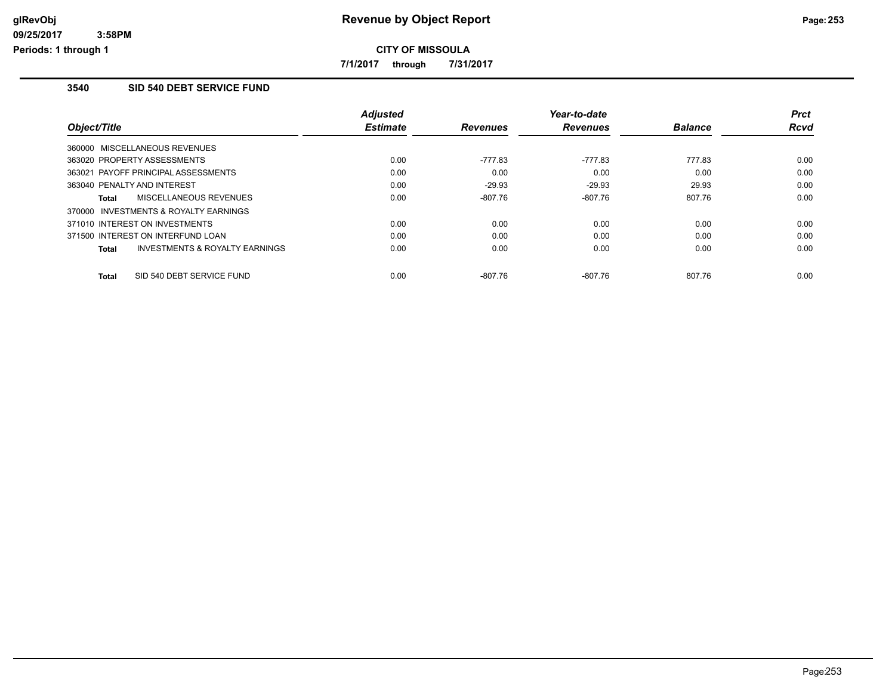**CITY OF MISSOULA**

**7/1/2017 through 7/31/2017**

# **3540 SID 540 DEBT SERVICE FUND**

 **3:58PM**

| Object/Title                                              | <b>Adjusted</b><br><b>Estimate</b> | <b>Revenues</b> | Year-to-date<br><b>Revenues</b> | <b>Balance</b> | <b>Prct</b><br><b>Rcvd</b> |
|-----------------------------------------------------------|------------------------------------|-----------------|---------------------------------|----------------|----------------------------|
| 360000 MISCELLANEOUS REVENUES                             |                                    |                 |                                 |                |                            |
| 363020 PROPERTY ASSESSMENTS                               | 0.00                               | -777.83         | -777.83                         | 777.83         | 0.00                       |
| 363021 PAYOFF PRINCIPAL ASSESSMENTS                       | 0.00                               | 0.00            | 0.00                            | 0.00           | 0.00                       |
| 363040 PENALTY AND INTEREST                               | 0.00                               | $-29.93$        | $-29.93$                        | 29.93          | 0.00                       |
| MISCELLANEOUS REVENUES<br>Total                           | 0.00                               | $-807.76$       | $-807.76$                       | 807.76         | 0.00                       |
| 370000 INVESTMENTS & ROYALTY EARNINGS                     |                                    |                 |                                 |                |                            |
| 371010 INTEREST ON INVESTMENTS                            | 0.00                               | 0.00            | 0.00                            | 0.00           | 0.00                       |
| 371500 INTEREST ON INTERFUND LOAN                         | 0.00                               | 0.00            | 0.00                            | 0.00           | 0.00                       |
| <b>INVESTMENTS &amp; ROYALTY EARNINGS</b><br><b>Total</b> | 0.00                               | 0.00            | 0.00                            | 0.00           | 0.00                       |
| SID 540 DEBT SERVICE FUND<br><b>Total</b>                 | 0.00                               | $-807.76$       | $-807.76$                       | 807.76         | 0.00                       |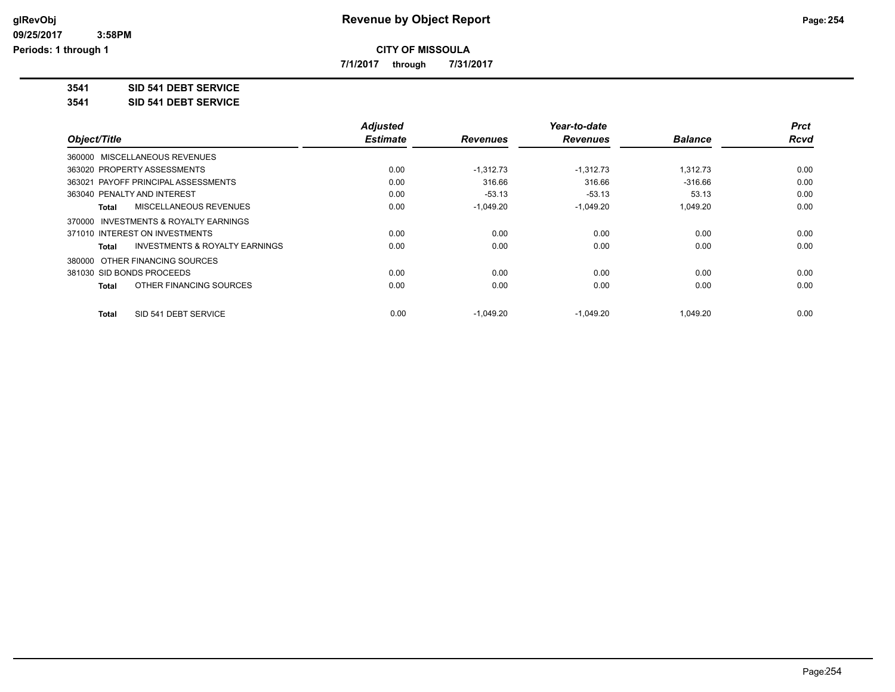**7/1/2017 through 7/31/2017**

**3541 SID 541 DEBT SERVICE**

**3541 SID 541 DEBT SERVICE**

|                                                    | <b>Adjusted</b> |                 | Year-to-date    |                | <b>Prct</b> |
|----------------------------------------------------|-----------------|-----------------|-----------------|----------------|-------------|
| Object/Title                                       | <b>Estimate</b> | <b>Revenues</b> | <b>Revenues</b> | <b>Balance</b> | <b>Rcvd</b> |
| 360000 MISCELLANEOUS REVENUES                      |                 |                 |                 |                |             |
| 363020 PROPERTY ASSESSMENTS                        | 0.00            | $-1,312.73$     | $-1,312.73$     | 1,312.73       | 0.00        |
| 363021 PAYOFF PRINCIPAL ASSESSMENTS                | 0.00            | 316.66          | 316.66          | $-316.66$      | 0.00        |
| 363040 PENALTY AND INTEREST                        | 0.00            | $-53.13$        | $-53.13$        | 53.13          | 0.00        |
| MISCELLANEOUS REVENUES<br>Total                    | 0.00            | $-1,049.20$     | $-1,049.20$     | 1,049.20       | 0.00        |
| 370000 INVESTMENTS & ROYALTY EARNINGS              |                 |                 |                 |                |             |
| 371010 INTEREST ON INVESTMENTS                     | 0.00            | 0.00            | 0.00            | 0.00           | 0.00        |
| <b>INVESTMENTS &amp; ROYALTY EARNINGS</b><br>Total | 0.00            | 0.00            | 0.00            | 0.00           | 0.00        |
| 380000 OTHER FINANCING SOURCES                     |                 |                 |                 |                |             |
| 381030 SID BONDS PROCEEDS                          | 0.00            | 0.00            | 0.00            | 0.00           | 0.00        |
| OTHER FINANCING SOURCES<br><b>Total</b>            | 0.00            | 0.00            | 0.00            | 0.00           | 0.00        |
| SID 541 DEBT SERVICE<br>Total                      | 0.00            | $-1.049.20$     | $-1.049.20$     | 1.049.20       | 0.00        |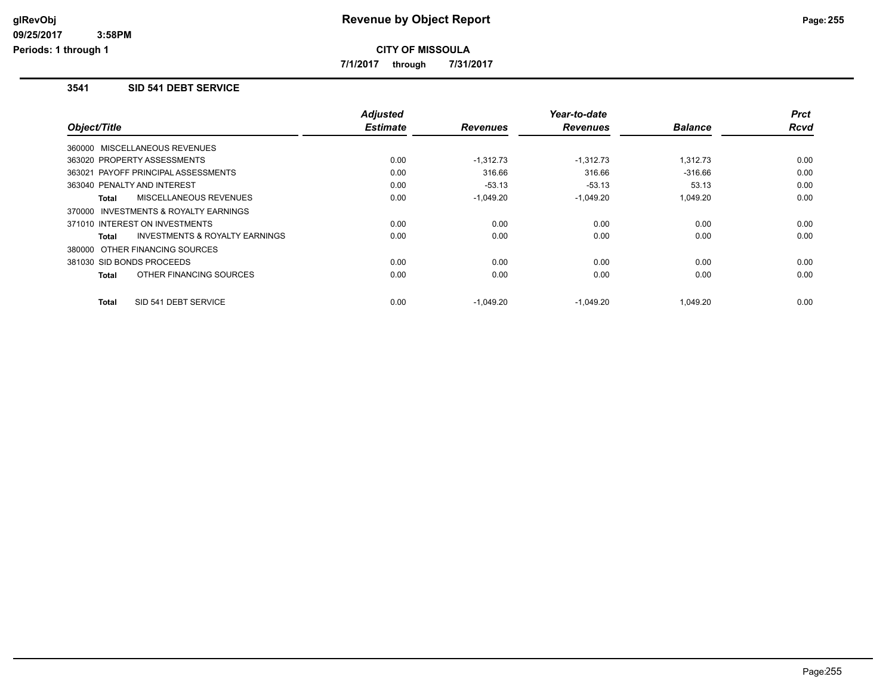**7/1/2017 through 7/31/2017**

#### **3541 SID 541 DEBT SERVICE**

| Object/Title                                        | <b>Adjusted</b><br><b>Estimate</b> | <b>Revenues</b> | Year-to-date<br><b>Revenues</b> | <b>Balance</b> | <b>Prct</b><br><b>Rcvd</b> |
|-----------------------------------------------------|------------------------------------|-----------------|---------------------------------|----------------|----------------------------|
|                                                     |                                    |                 |                                 |                |                            |
| 360000 MISCELLANEOUS REVENUES                       |                                    |                 |                                 |                |                            |
| 363020 PROPERTY ASSESSMENTS                         | 0.00                               | $-1.312.73$     | $-1.312.73$                     | 1.312.73       | 0.00                       |
| 363021 PAYOFF PRINCIPAL ASSESSMENTS                 | 0.00                               | 316.66          | 316.66                          | $-316.66$      | 0.00                       |
| 363040 PENALTY AND INTEREST                         | 0.00                               | $-53.13$        | $-53.13$                        | 53.13          | 0.00                       |
| MISCELLANEOUS REVENUES<br>Total                     | 0.00                               | $-1,049.20$     | $-1,049.20$                     | 1.049.20       | 0.00                       |
| <b>INVESTMENTS &amp; ROYALTY EARNINGS</b><br>370000 |                                    |                 |                                 |                |                            |
| 371010 INTEREST ON INVESTMENTS                      | 0.00                               | 0.00            | 0.00                            | 0.00           | 0.00                       |
| <b>INVESTMENTS &amp; ROYALTY EARNINGS</b><br>Total  | 0.00                               | 0.00            | 0.00                            | 0.00           | 0.00                       |
| 380000 OTHER FINANCING SOURCES                      |                                    |                 |                                 |                |                            |
| 381030 SID BONDS PROCEEDS                           | 0.00                               | 0.00            | 0.00                            | 0.00           | 0.00                       |
| OTHER FINANCING SOURCES<br><b>Total</b>             | 0.00                               | 0.00            | 0.00                            | 0.00           | 0.00                       |
| SID 541 DEBT SERVICE<br><b>Total</b>                | 0.00                               | $-1,049.20$     | $-1,049.20$                     | 1.049.20       | 0.00                       |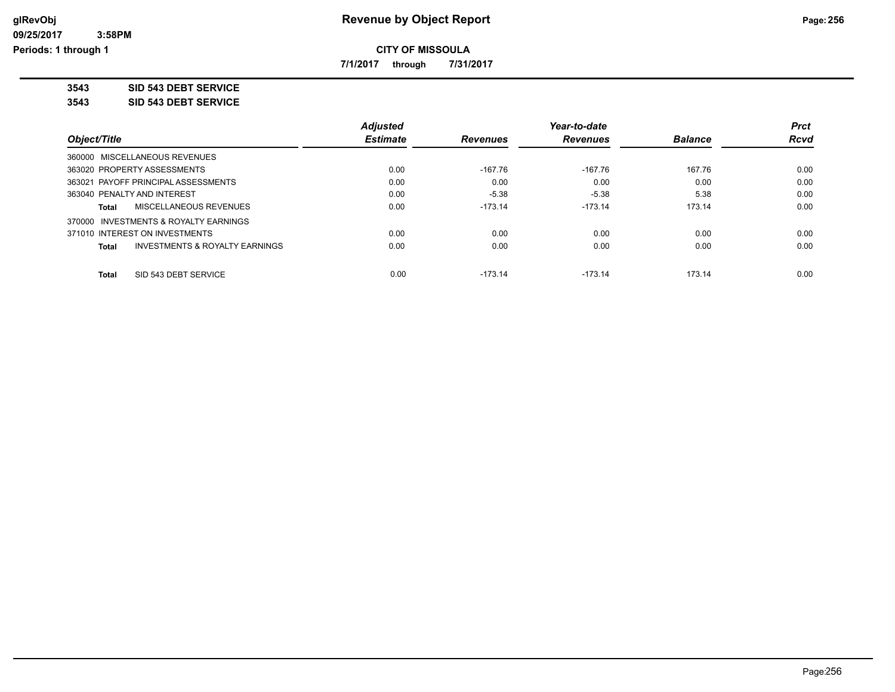**7/1/2017 through 7/31/2017**

**3543 SID 543 DEBT SERVICE**

**3543 SID 543 DEBT SERVICE**

|                                                    | <b>Adjusted</b> |                 | Year-to-date    | <b>Prct</b>    |             |
|----------------------------------------------------|-----------------|-----------------|-----------------|----------------|-------------|
| Object/Title                                       | <b>Estimate</b> | <b>Revenues</b> | <b>Revenues</b> | <b>Balance</b> | <b>Rcvd</b> |
| MISCELLANEOUS REVENUES<br>360000                   |                 |                 |                 |                |             |
| 363020 PROPERTY ASSESSMENTS                        | 0.00            | $-167.76$       | $-167.76$       | 167.76         | 0.00        |
| 363021 PAYOFF PRINCIPAL ASSESSMENTS                | 0.00            | 0.00            | 0.00            | 0.00           | 0.00        |
| 363040 PENALTY AND INTEREST                        | 0.00            | $-5.38$         | $-5.38$         | 5.38           | 0.00        |
| MISCELLANEOUS REVENUES<br>Total                    | 0.00            | $-173.14$       | $-173.14$       | 173.14         | 0.00        |
| 370000 INVESTMENTS & ROYALTY EARNINGS              |                 |                 |                 |                |             |
| 371010 INTEREST ON INVESTMENTS                     | 0.00            | 0.00            | 0.00            | 0.00           | 0.00        |
| <b>INVESTMENTS &amp; ROYALTY EARNINGS</b><br>Total | 0.00            | 0.00            | 0.00            | 0.00           | 0.00        |
| SID 543 DEBT SERVICE<br>Total                      | 0.00            | $-173.14$       | $-173.14$       | 173.14         | 0.00        |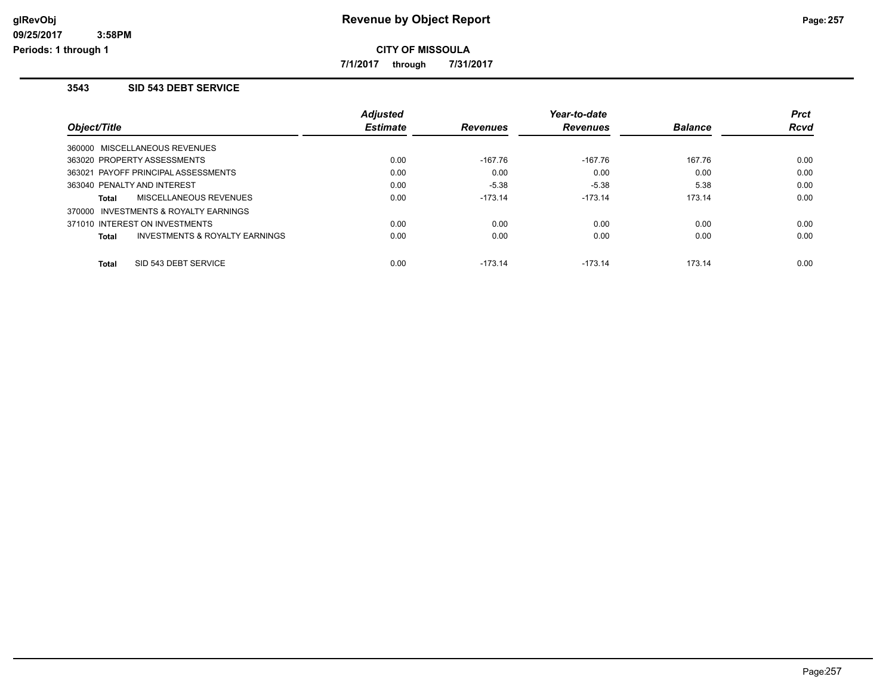**7/1/2017 through 7/31/2017**

#### **3543 SID 543 DEBT SERVICE**

|                                         | <b>Adjusted</b> |                 | Year-to-date    |                | <b>Prct</b> |
|-----------------------------------------|-----------------|-----------------|-----------------|----------------|-------------|
| Object/Title                            | <b>Estimate</b> | <b>Revenues</b> | <b>Revenues</b> | <b>Balance</b> | <b>Rcvd</b> |
| 360000 MISCELLANEOUS REVENUES           |                 |                 |                 |                |             |
| 363020 PROPERTY ASSESSMENTS             | 0.00            | $-167.76$       | $-167.76$       | 167.76         | 0.00        |
| 363021 PAYOFF PRINCIPAL ASSESSMENTS     | 0.00            | 0.00            | 0.00            | 0.00           | 0.00        |
| 363040 PENALTY AND INTEREST             | 0.00            | $-5.38$         | $-5.38$         | 5.38           | 0.00        |
| <b>MISCELLANEOUS REVENUES</b><br>Total  | 0.00            | $-173.14$       | $-173.14$       | 173.14         | 0.00        |
| 370000 INVESTMENTS & ROYALTY EARNINGS   |                 |                 |                 |                |             |
| 371010 INTEREST ON INVESTMENTS          | 0.00            | 0.00            | 0.00            | 0.00           | 0.00        |
| INVESTMENTS & ROYALTY EARNINGS<br>Total | 0.00            | 0.00            | 0.00            | 0.00           | 0.00        |
| SID 543 DEBT SERVICE<br><b>Total</b>    | 0.00            | $-173.14$       | $-173.14$       | 173.14         | 0.00        |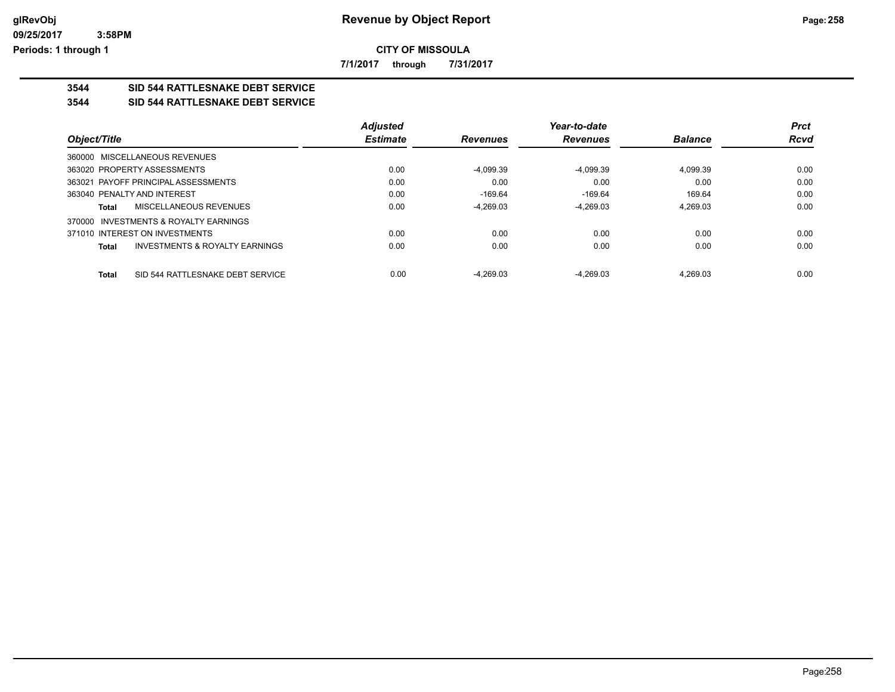**7/1/2017 through 7/31/2017**

# **3544 SID 544 RATTLESNAKE DEBT SERVICE**

# **3544 SID 544 RATTLESNAKE DEBT SERVICE**

|                                                    | <b>Adjusted</b> |                 | Year-to-date    |                | <b>Prct</b> |
|----------------------------------------------------|-----------------|-----------------|-----------------|----------------|-------------|
| Object/Title                                       | <b>Estimate</b> | <b>Revenues</b> | <b>Revenues</b> | <b>Balance</b> | <b>Rcvd</b> |
| 360000 MISCELLANEOUS REVENUES                      |                 |                 |                 |                |             |
| 363020 PROPERTY ASSESSMENTS                        | 0.00            | $-4,099.39$     | -4,099.39       | 4,099.39       | 0.00        |
| 363021 PAYOFF PRINCIPAL ASSESSMENTS                | 0.00            | 0.00            | 0.00            | 0.00           | 0.00        |
| 363040 PENALTY AND INTEREST                        | 0.00            | $-169.64$       | $-169.64$       | 169.64         | 0.00        |
| MISCELLANEOUS REVENUES<br>Total                    | 0.00            | $-4.269.03$     | $-4.269.03$     | 4.269.03       | 0.00        |
| INVESTMENTS & ROYALTY EARNINGS<br>370000           |                 |                 |                 |                |             |
| 371010 INTEREST ON INVESTMENTS                     | 0.00            | 0.00            | 0.00            | 0.00           | 0.00        |
| <b>INVESTMENTS &amp; ROYALTY EARNINGS</b><br>Total | 0.00            | 0.00            | 0.00            | 0.00           | 0.00        |
| SID 544 RATTLESNAKE DEBT SERVICE<br><b>Total</b>   | 0.00            | $-4.269.03$     | $-4.269.03$     | 4.269.03       | 0.00        |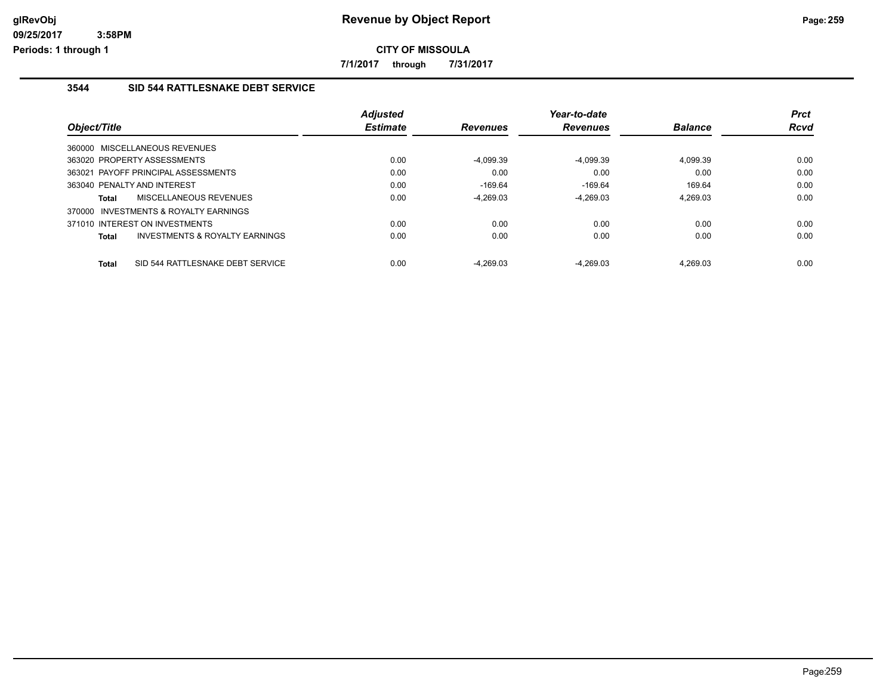**7/1/2017 through 7/31/2017**

# **3544 SID 544 RATTLESNAKE DEBT SERVICE**

|                             |                                           | <b>Adjusted</b> |                 | Year-to-date    |                | <b>Prct</b> |
|-----------------------------|-------------------------------------------|-----------------|-----------------|-----------------|----------------|-------------|
| Object/Title                |                                           | <b>Estimate</b> | <b>Revenues</b> | <b>Revenues</b> | <b>Balance</b> | <b>Rcvd</b> |
|                             | 360000 MISCELLANEOUS REVENUES             |                 |                 |                 |                |             |
| 363020 PROPERTY ASSESSMENTS |                                           | 0.00            | $-4.099.39$     | $-4,099.39$     | 4.099.39       | 0.00        |
|                             | 363021 PAYOFF PRINCIPAL ASSESSMENTS       | 0.00            | 0.00            | 0.00            | 0.00           | 0.00        |
| 363040 PENALTY AND INTEREST |                                           | 0.00            | $-169.64$       | $-169.64$       | 169.64         | 0.00        |
| <b>Total</b>                | MISCELLANEOUS REVENUES                    | 0.00            | $-4.269.03$     | $-4.269.03$     | 4.269.03       | 0.00        |
|                             | 370000 INVESTMENTS & ROYALTY EARNINGS     |                 |                 |                 |                |             |
|                             | 371010 INTEREST ON INVESTMENTS            | 0.00            | 0.00            | 0.00            | 0.00           | 0.00        |
| <b>Total</b>                | <b>INVESTMENTS &amp; ROYALTY EARNINGS</b> | 0.00            | 0.00            | 0.00            | 0.00           | 0.00        |
| <b>Total</b>                | SID 544 RATTLESNAKE DEBT SERVICE          | 0.00            | $-4.269.03$     | $-4.269.03$     | 4.269.03       | 0.00        |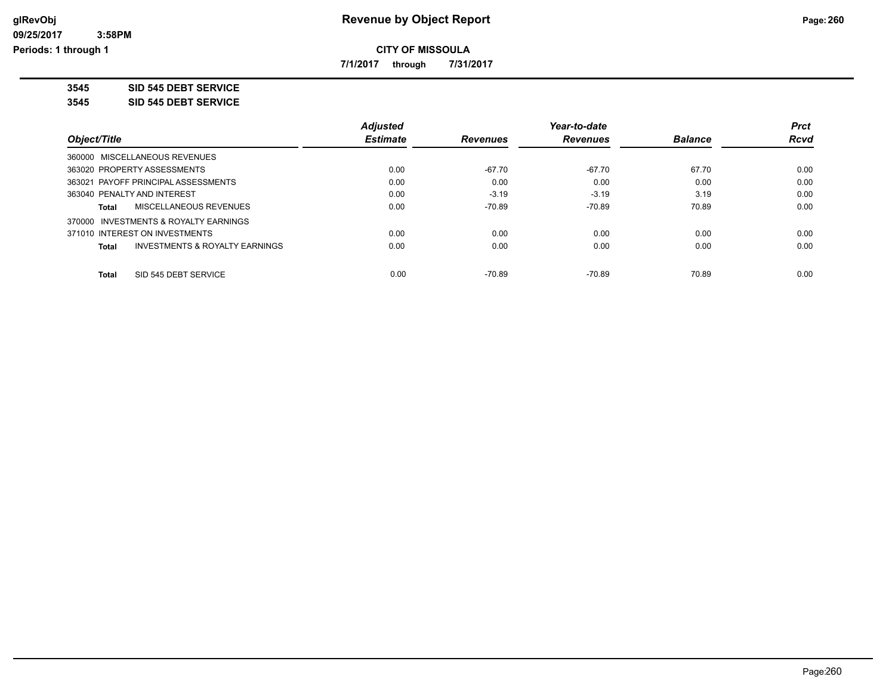**7/1/2017 through 7/31/2017**

**3545 SID 545 DEBT SERVICE**

**3545 SID 545 DEBT SERVICE**

|                                                    | <b>Adjusted</b> |                 | Year-to-date    |                | <b>Prct</b> |
|----------------------------------------------------|-----------------|-----------------|-----------------|----------------|-------------|
| Object/Title                                       | <b>Estimate</b> | <b>Revenues</b> | <b>Revenues</b> | <b>Balance</b> | <b>Rcvd</b> |
| 360000 MISCELLANEOUS REVENUES                      |                 |                 |                 |                |             |
| 363020 PROPERTY ASSESSMENTS                        | 0.00            | $-67.70$        | -67.70          | 67.70          | 0.00        |
| 363021 PAYOFF PRINCIPAL ASSESSMENTS                | 0.00            | 0.00            | 0.00            | 0.00           | 0.00        |
| 363040 PENALTY AND INTEREST                        | 0.00            | $-3.19$         | $-3.19$         | 3.19           | 0.00        |
| MISCELLANEOUS REVENUES<br>Total                    | 0.00            | $-70.89$        | $-70.89$        | 70.89          | 0.00        |
| 370000 INVESTMENTS & ROYALTY EARNINGS              |                 |                 |                 |                |             |
| 371010 INTEREST ON INVESTMENTS                     | 0.00            | 0.00            | 0.00            | 0.00           | 0.00        |
| <b>INVESTMENTS &amp; ROYALTY EARNINGS</b><br>Total | 0.00            | 0.00            | 0.00            | 0.00           | 0.00        |
|                                                    |                 |                 |                 |                |             |
| SID 545 DEBT SERVICE<br><b>Total</b>               | 0.00            | $-70.89$        | $-70.89$        | 70.89          | 0.00        |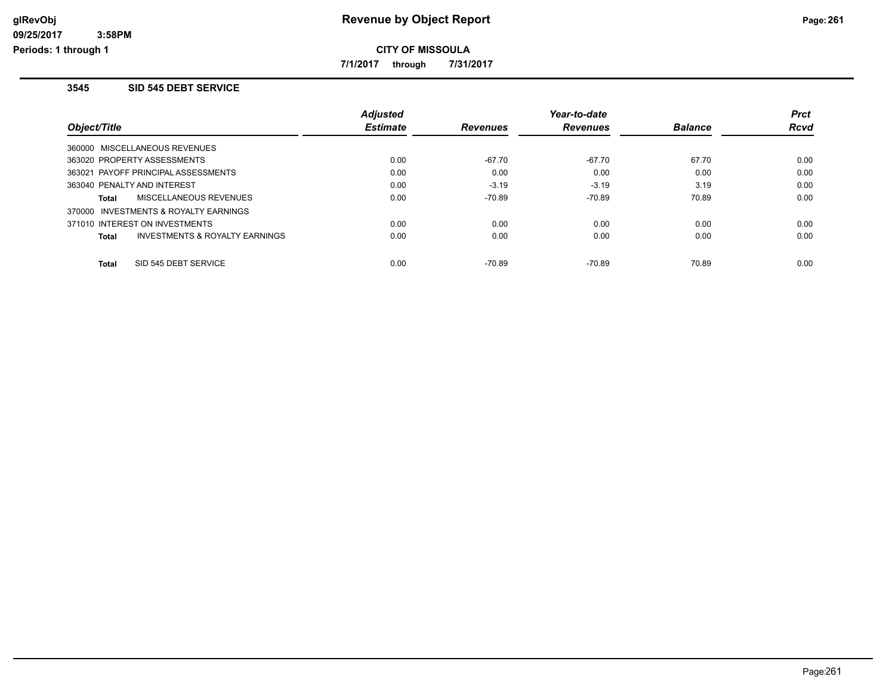**CITY OF MISSOULA**

**7/1/2017 through 7/31/2017**

#### **3545 SID 545 DEBT SERVICE**

|                                         | <b>Adjusted</b> |                 | Year-to-date    |                | <b>Prct</b> |
|-----------------------------------------|-----------------|-----------------|-----------------|----------------|-------------|
| Object/Title                            | <b>Estimate</b> | <b>Revenues</b> | <b>Revenues</b> | <b>Balance</b> | <b>Rcvd</b> |
| 360000 MISCELLANEOUS REVENUES           |                 |                 |                 |                |             |
| 363020 PROPERTY ASSESSMENTS             | 0.00            | $-67.70$        | $-67.70$        | 67.70          | 0.00        |
| 363021 PAYOFF PRINCIPAL ASSESSMENTS     | 0.00            | 0.00            | 0.00            | 0.00           | 0.00        |
| 363040 PENALTY AND INTEREST             | 0.00            | $-3.19$         | $-3.19$         | 3.19           | 0.00        |
| MISCELLANEOUS REVENUES<br>Total         | 0.00            | $-70.89$        | $-70.89$        | 70.89          | 0.00        |
| 370000 INVESTMENTS & ROYALTY EARNINGS   |                 |                 |                 |                |             |
| 371010 INTEREST ON INVESTMENTS          | 0.00            | 0.00            | 0.00            | 0.00           | 0.00        |
| INVESTMENTS & ROYALTY EARNINGS<br>Total | 0.00            | 0.00            | 0.00            | 0.00           | 0.00        |
| SID 545 DEBT SERVICE<br><b>Total</b>    | 0.00            | $-70.89$        | $-70.89$        | 70.89          | 0.00        |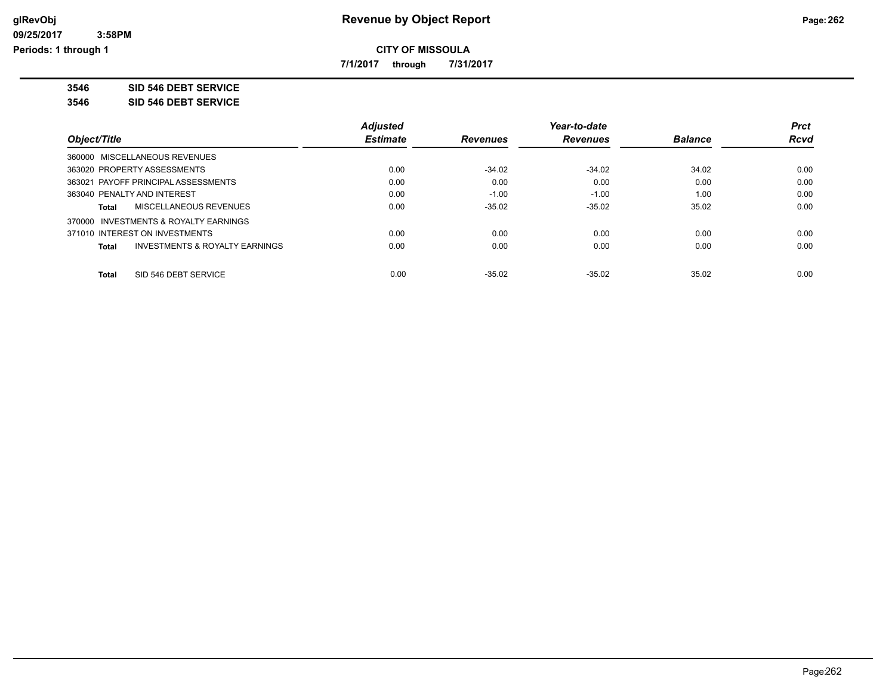**7/1/2017 through 7/31/2017**

**3546 SID 546 DEBT SERVICE**

**3546 SID 546 DEBT SERVICE**

|                                                           | <b>Adjusted</b> |                 | Year-to-date    |                |      |
|-----------------------------------------------------------|-----------------|-----------------|-----------------|----------------|------|
| Object/Title                                              | <b>Estimate</b> | <b>Revenues</b> | <b>Revenues</b> | <b>Balance</b> | Rcvd |
| 360000 MISCELLANEOUS REVENUES                             |                 |                 |                 |                |      |
| 363020 PROPERTY ASSESSMENTS                               | 0.00            | $-34.02$        | -34.02          | 34.02          | 0.00 |
| 363021 PAYOFF PRINCIPAL ASSESSMENTS                       | 0.00            | 0.00            | 0.00            | 0.00           | 0.00 |
| 363040 PENALTY AND INTEREST                               | 0.00            | $-1.00$         | $-1.00$         | 1.00           | 0.00 |
| MISCELLANEOUS REVENUES<br>Total                           | 0.00            | $-35.02$        | $-35.02$        | 35.02          | 0.00 |
| 370000 INVESTMENTS & ROYALTY EARNINGS                     |                 |                 |                 |                |      |
| 371010 INTEREST ON INVESTMENTS                            | 0.00            | 0.00            | 0.00            | 0.00           | 0.00 |
| <b>INVESTMENTS &amp; ROYALTY EARNINGS</b><br><b>Total</b> | 0.00            | 0.00            | 0.00            | 0.00           | 0.00 |
| SID 546 DEBT SERVICE<br><b>Total</b>                      | 0.00            | $-35.02$        | $-35.02$        | 35.02          | 0.00 |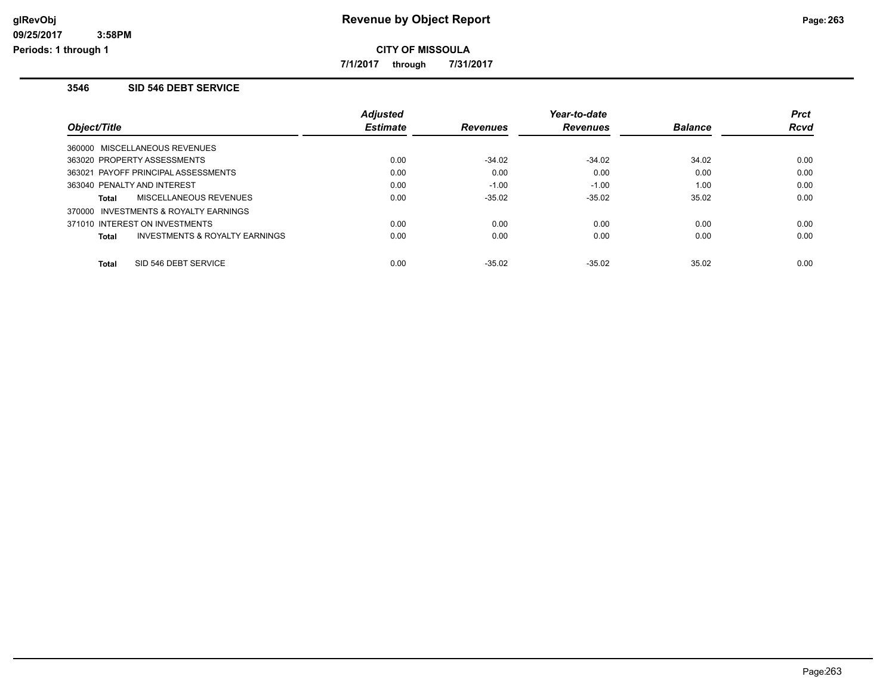**CITY OF MISSOULA**

**7/1/2017 through 7/31/2017**

#### **3546 SID 546 DEBT SERVICE**

|                                         | <b>Adjusted</b> |                 | Year-to-date    |                | <b>Prct</b> |
|-----------------------------------------|-----------------|-----------------|-----------------|----------------|-------------|
| Object/Title                            | <b>Estimate</b> | <b>Revenues</b> | <b>Revenues</b> | <b>Balance</b> | <b>Rcvd</b> |
| 360000 MISCELLANEOUS REVENUES           |                 |                 |                 |                |             |
| 363020 PROPERTY ASSESSMENTS             | 0.00            | $-34.02$        | $-34.02$        | 34.02          | 0.00        |
| 363021 PAYOFF PRINCIPAL ASSESSMENTS     | 0.00            | 0.00            | 0.00            | 0.00           | 0.00        |
| 363040 PENALTY AND INTEREST             | 0.00            | $-1.00$         | $-1.00$         | 1.00           | 0.00        |
| MISCELLANEOUS REVENUES<br>Total         | 0.00            | $-35.02$        | $-35.02$        | 35.02          | 0.00        |
| 370000 INVESTMENTS & ROYALTY EARNINGS   |                 |                 |                 |                |             |
| 371010 INTEREST ON INVESTMENTS          | 0.00            | 0.00            | 0.00            | 0.00           | 0.00        |
| INVESTMENTS & ROYALTY EARNINGS<br>Total | 0.00            | 0.00            | 0.00            | 0.00           | 0.00        |
| SID 546 DEBT SERVICE<br><b>Total</b>    | 0.00            | $-35.02$        | $-35.02$        | 35.02          | 0.00        |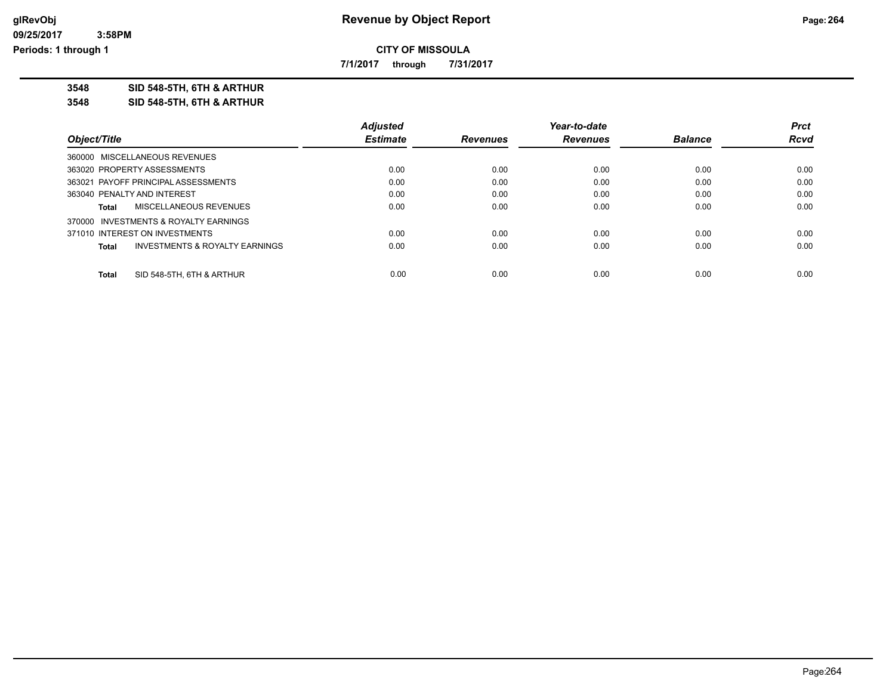**7/1/2017 through 7/31/2017**

**3548 SID 548-5TH, 6TH & ARTHUR**

**3548 SID 548-5TH, 6TH & ARTHUR**

|                                                    | <b>Adjusted</b> |                 | Year-to-date    |                | <b>Prct</b> |
|----------------------------------------------------|-----------------|-----------------|-----------------|----------------|-------------|
| Object/Title                                       | <b>Estimate</b> | <b>Revenues</b> | <b>Revenues</b> | <b>Balance</b> | <b>Rcvd</b> |
| 360000 MISCELLANEOUS REVENUES                      |                 |                 |                 |                |             |
| 363020 PROPERTY ASSESSMENTS                        | 0.00            | 0.00            | 0.00            | 0.00           | 0.00        |
| 363021 PAYOFF PRINCIPAL ASSESSMENTS                | 0.00            | 0.00            | 0.00            | 0.00           | 0.00        |
| 363040 PENALTY AND INTEREST                        | 0.00            | 0.00            | 0.00            | 0.00           | 0.00        |
| <b>MISCELLANEOUS REVENUES</b><br>Total             | 0.00            | 0.00            | 0.00            | 0.00           | 0.00        |
| 370000 INVESTMENTS & ROYALTY EARNINGS              |                 |                 |                 |                |             |
| 371010 INTEREST ON INVESTMENTS                     | 0.00            | 0.00            | 0.00            | 0.00           | 0.00        |
| <b>INVESTMENTS &amp; ROYALTY EARNINGS</b><br>Total | 0.00            | 0.00            | 0.00            | 0.00           | 0.00        |
| SID 548-5TH, 6TH & ARTHUR<br><b>Total</b>          | 0.00            | 0.00            | 0.00            | 0.00           | 0.00        |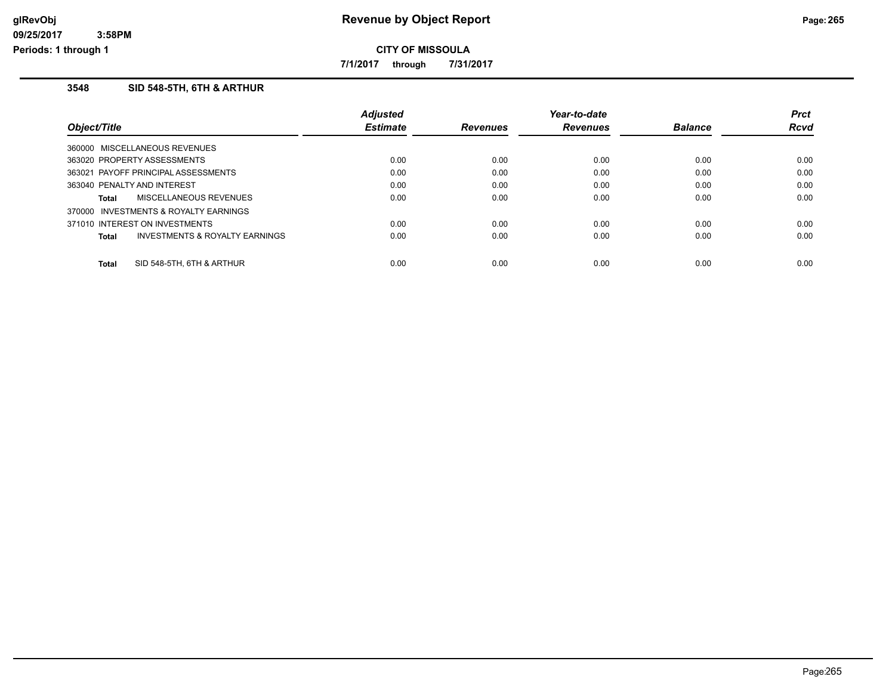**CITY OF MISSOULA**

**7/1/2017 through 7/31/2017**

# **3548 SID 548-5TH, 6TH & ARTHUR**

 **3:58PM**

|                                                    | <b>Adjusted</b> |                 | Year-to-date    |                | <b>Prct</b> |
|----------------------------------------------------|-----------------|-----------------|-----------------|----------------|-------------|
| Object/Title                                       | <b>Estimate</b> | <b>Revenues</b> | <b>Revenues</b> | <b>Balance</b> | Rcvd        |
| 360000 MISCELLANEOUS REVENUES                      |                 |                 |                 |                |             |
| 363020 PROPERTY ASSESSMENTS                        | 0.00            | 0.00            | 0.00            | 0.00           | 0.00        |
| 363021 PAYOFF PRINCIPAL ASSESSMENTS                | 0.00            | 0.00            | 0.00            | 0.00           | 0.00        |
| 363040 PENALTY AND INTEREST                        | 0.00            | 0.00            | 0.00            | 0.00           | 0.00        |
| <b>MISCELLANEOUS REVENUES</b><br>Total             | 0.00            | 0.00            | 0.00            | 0.00           | 0.00        |
| 370000 INVESTMENTS & ROYALTY EARNINGS              |                 |                 |                 |                |             |
| 371010 INTEREST ON INVESTMENTS                     | 0.00            | 0.00            | 0.00            | 0.00           | 0.00        |
| Total<br><b>INVESTMENTS &amp; ROYALTY EARNINGS</b> | 0.00            | 0.00            | 0.00            | 0.00           | 0.00        |
| SID 548-5TH, 6TH & ARTHUR<br>Total                 | 0.00            | 0.00            | 0.00            | 0.00           | 0.00        |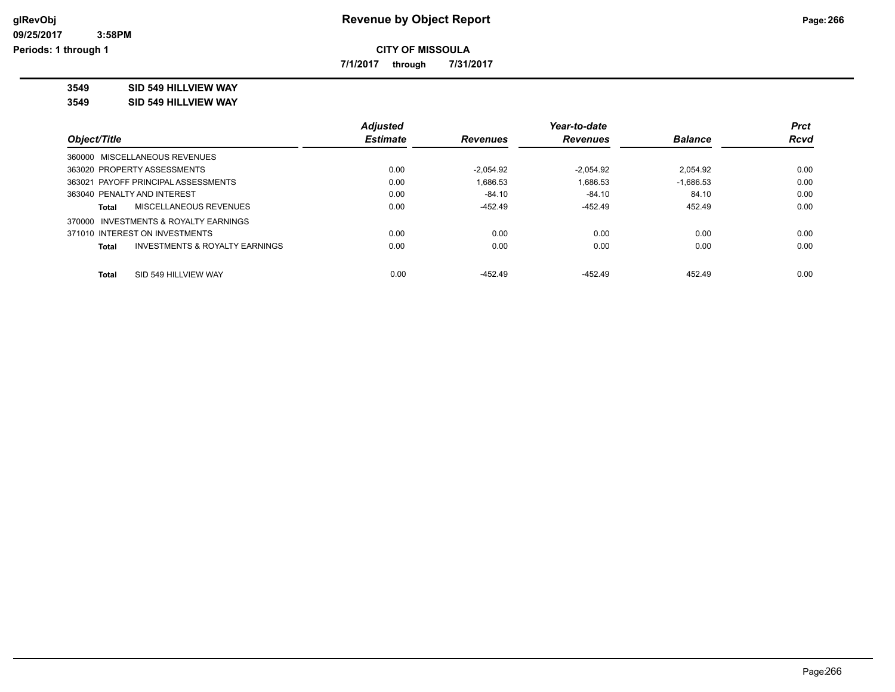**7/1/2017 through 7/31/2017**

**3549 SID 549 HILLVIEW WAY**

**3549 SID 549 HILLVIEW WAY**

|                                                           | <b>Adjusted</b> |                 | Year-to-date    |                | <b>Prct</b> |
|-----------------------------------------------------------|-----------------|-----------------|-----------------|----------------|-------------|
| Object/Title                                              | <b>Estimate</b> | <b>Revenues</b> | <b>Revenues</b> | <b>Balance</b> | Rcvd        |
| 360000 MISCELLANEOUS REVENUES                             |                 |                 |                 |                |             |
| 363020 PROPERTY ASSESSMENTS                               | 0.00            | $-2.054.92$     | $-2.054.92$     | 2.054.92       | 0.00        |
| 363021 PAYOFF PRINCIPAL ASSESSMENTS                       | 0.00            | 1.686.53        | 1.686.53        | $-1.686.53$    | 0.00        |
| 363040 PENALTY AND INTEREST                               | 0.00            | $-84.10$        | $-84.10$        | 84.10          | 0.00        |
| MISCELLANEOUS REVENUES<br>Total                           | 0.00            | $-452.49$       | $-452.49$       | 452.49         | 0.00        |
| 370000 INVESTMENTS & ROYALTY EARNINGS                     |                 |                 |                 |                |             |
| 371010 INTEREST ON INVESTMENTS                            | 0.00            | 0.00            | 0.00            | 0.00           | 0.00        |
| <b>INVESTMENTS &amp; ROYALTY EARNINGS</b><br><b>Total</b> | 0.00            | 0.00            | 0.00            | 0.00           | 0.00        |
| SID 549 HILLVIEW WAY<br><b>Total</b>                      | 0.00            | $-452.49$       | $-452.49$       | 452.49         | 0.00        |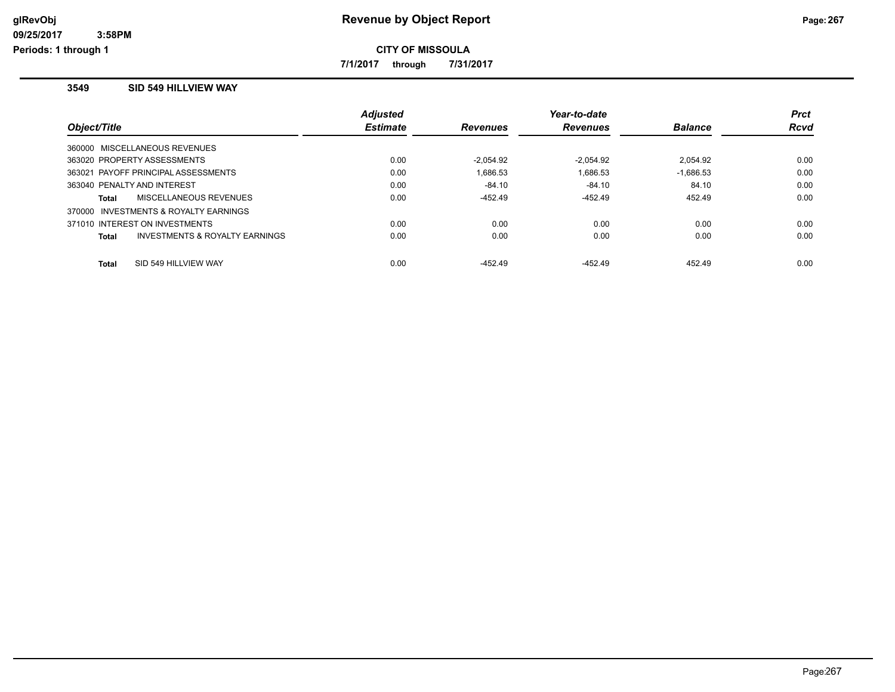**7/1/2017 through 7/31/2017**

#### **3549 SID 549 HILLVIEW WAY**

|                                                | <b>Adjusted</b> |                 | Year-to-date    |                | <b>Prct</b> |
|------------------------------------------------|-----------------|-----------------|-----------------|----------------|-------------|
| Object/Title                                   | <b>Estimate</b> | <b>Revenues</b> | <b>Revenues</b> | <b>Balance</b> | <b>Rcvd</b> |
| 360000 MISCELLANEOUS REVENUES                  |                 |                 |                 |                |             |
| 363020 PROPERTY ASSESSMENTS                    | 0.00            | $-2.054.92$     | $-2.054.92$     | 2.054.92       | 0.00        |
| 363021 PAYOFF PRINCIPAL ASSESSMENTS            | 0.00            | 1.686.53        | 1.686.53        | $-1.686.53$    | 0.00        |
| 363040 PENALTY AND INTEREST                    | 0.00            | $-84.10$        | $-84.10$        | 84.10          | 0.00        |
| MISCELLANEOUS REVENUES<br>Total                | 0.00            | $-452.49$       | $-452.49$       | 452.49         | 0.00        |
| 370000 INVESTMENTS & ROYALTY EARNINGS          |                 |                 |                 |                |             |
| 371010 INTEREST ON INVESTMENTS                 | 0.00            | 0.00            | 0.00            | 0.00           | 0.00        |
| INVESTMENTS & ROYALTY EARNINGS<br><b>Total</b> | 0.00            | 0.00            | 0.00            | 0.00           | 0.00        |
| SID 549 HILLVIEW WAY<br><b>Total</b>           | 0.00            | $-452.49$       | $-452.49$       | 452.49         | 0.00        |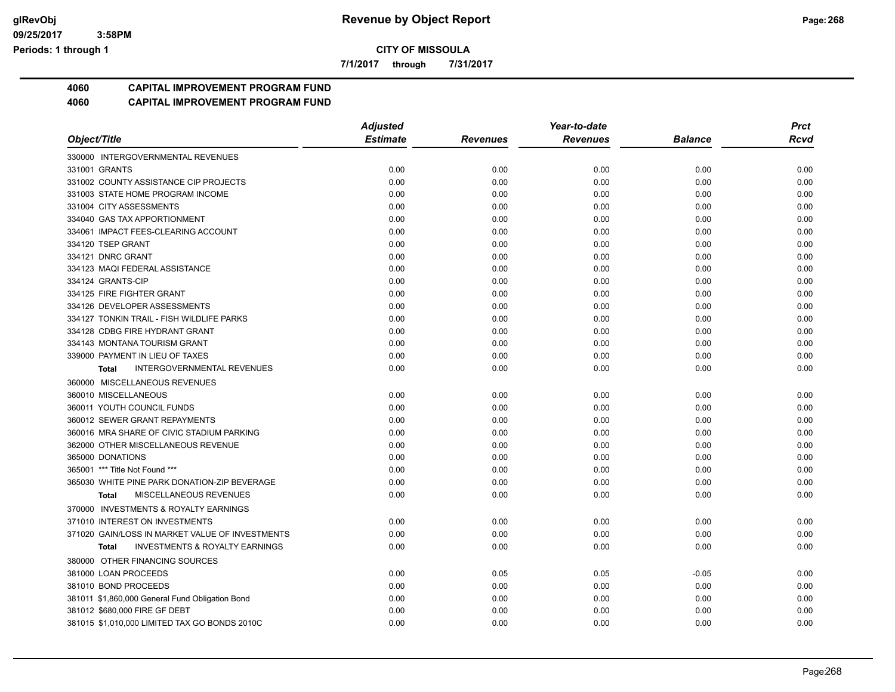**CITY OF MISSOULA**

**7/1/2017 through 7/31/2017**

# **4060 CAPITAL IMPROVEMENT PROGRAM FUND**

|                                                    | <b>Adjusted</b> |                 |                 | <b>Prct</b>    |             |
|----------------------------------------------------|-----------------|-----------------|-----------------|----------------|-------------|
| Object/Title                                       | <b>Estimate</b> | <b>Revenues</b> | <b>Revenues</b> | <b>Balance</b> | <b>Rcvd</b> |
| 330000 INTERGOVERNMENTAL REVENUES                  |                 |                 |                 |                |             |
| 331001 GRANTS                                      | 0.00            | 0.00            | 0.00            | 0.00           | 0.00        |
| 331002 COUNTY ASSISTANCE CIP PROJECTS              | 0.00            | 0.00            | 0.00            | 0.00           | 0.00        |
| 331003 STATE HOME PROGRAM INCOME                   | 0.00            | 0.00            | 0.00            | 0.00           | 0.00        |
| 331004 CITY ASSESSMENTS                            | 0.00            | 0.00            | 0.00            | 0.00           | 0.00        |
| 334040 GAS TAX APPORTIONMENT                       | 0.00            | 0.00            | 0.00            | 0.00           | 0.00        |
| 334061 IMPACT FEES-CLEARING ACCOUNT                | 0.00            | 0.00            | 0.00            | 0.00           | 0.00        |
| 334120 TSEP GRANT                                  | 0.00            | 0.00            | 0.00            | 0.00           | 0.00        |
| 334121 DNRC GRANT                                  | 0.00            | 0.00            | 0.00            | 0.00           | 0.00        |
| 334123 MAQI FEDERAL ASSISTANCE                     | 0.00            | 0.00            | 0.00            | 0.00           | 0.00        |
| 334124 GRANTS-CIP                                  | 0.00            | 0.00            | 0.00            | 0.00           | 0.00        |
| 334125 FIRE FIGHTER GRANT                          | 0.00            | 0.00            | 0.00            | 0.00           | 0.00        |
| 334126 DEVELOPER ASSESSMENTS                       | 0.00            | 0.00            | 0.00            | 0.00           | 0.00        |
| 334127 TONKIN TRAIL - FISH WILDLIFE PARKS          | 0.00            | 0.00            | 0.00            | 0.00           | 0.00        |
| 334128 CDBG FIRE HYDRANT GRANT                     | 0.00            | 0.00            | 0.00            | 0.00           | 0.00        |
| 334143 MONTANA TOURISM GRANT                       | 0.00            | 0.00            | 0.00            | 0.00           | 0.00        |
| 339000 PAYMENT IN LIEU OF TAXES                    | 0.00            | 0.00            | 0.00            | 0.00           | 0.00        |
| <b>INTERGOVERNMENTAL REVENUES</b><br><b>Total</b>  | 0.00            | 0.00            | 0.00            | 0.00           | 0.00        |
| 360000 MISCELLANEOUS REVENUES                      |                 |                 |                 |                |             |
| 360010 MISCELLANEOUS                               | 0.00            | 0.00            | 0.00            | 0.00           | 0.00        |
| 360011 YOUTH COUNCIL FUNDS                         | 0.00            | 0.00            | 0.00            | 0.00           | 0.00        |
| 360012 SEWER GRANT REPAYMENTS                      | 0.00            | 0.00            | 0.00            | 0.00           | 0.00        |
| 360016 MRA SHARE OF CIVIC STADIUM PARKING          | 0.00            | 0.00            | 0.00            | 0.00           | 0.00        |
| 362000 OTHER MISCELLANEOUS REVENUE                 | 0.00            | 0.00            | 0.00            | 0.00           | 0.00        |
| 365000 DONATIONS                                   | 0.00            | 0.00            | 0.00            | 0.00           | 0.00        |
| 365001 *** Title Not Found ***                     | 0.00            | 0.00            | 0.00            | 0.00           | 0.00        |
| 365030 WHITE PINE PARK DONATION-ZIP BEVERAGE       | 0.00            | 0.00            | 0.00            | 0.00           | 0.00        |
| MISCELLANEOUS REVENUES<br>Total                    | 0.00            | 0.00            | 0.00            | 0.00           | 0.00        |
| 370000 INVESTMENTS & ROYALTY EARNINGS              |                 |                 |                 |                |             |
| 371010 INTEREST ON INVESTMENTS                     | 0.00            | 0.00            | 0.00            | 0.00           | 0.00        |
| 371020 GAIN/LOSS IN MARKET VALUE OF INVESTMENTS    | 0.00            | 0.00            | 0.00            | 0.00           | 0.00        |
| <b>INVESTMENTS &amp; ROYALTY EARNINGS</b><br>Total | 0.00            | 0.00            | 0.00            | 0.00           | 0.00        |
| 380000 OTHER FINANCING SOURCES                     |                 |                 |                 |                |             |
| 381000 LOAN PROCEEDS                               | 0.00            | 0.05            | 0.05            | $-0.05$        | 0.00        |
| 381010 BOND PROCEEDS                               | 0.00            | 0.00            | 0.00            | 0.00           | 0.00        |
| 381011 \$1,860,000 General Fund Obligation Bond    | 0.00            | 0.00            | 0.00            | 0.00           | 0.00        |
| 381012 \$680,000 FIRE GF DEBT                      | 0.00            | 0.00            | 0.00            | 0.00           | 0.00        |
| 381015 \$1,010,000 LIMITED TAX GO BONDS 2010C      | 0.00            | 0.00            | 0.00            | 0.00           | 0.00        |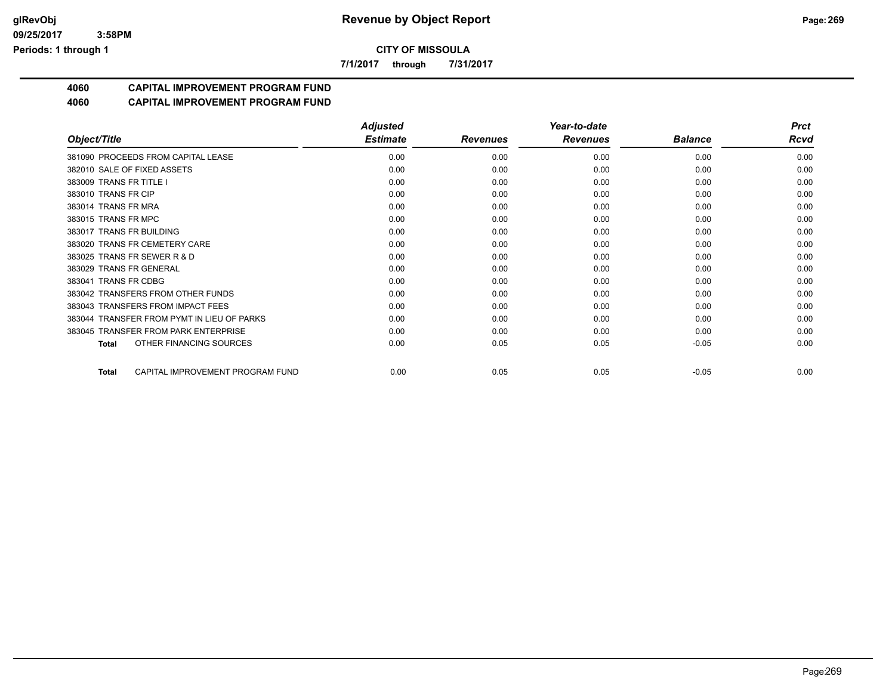**CITY OF MISSOULA**

**7/1/2017 through 7/31/2017**

# **4060 CAPITAL IMPROVEMENT PROGRAM FUND**

|                                            | <b>Adjusted</b> |                 | Year-to-date    | Prct           |             |
|--------------------------------------------|-----------------|-----------------|-----------------|----------------|-------------|
| Object/Title                               | <b>Estimate</b> | <b>Revenues</b> | <b>Revenues</b> | <b>Balance</b> | <b>Rcvd</b> |
| 381090 PROCEEDS FROM CAPITAL LEASE         | 0.00            | 0.00            | 0.00            | 0.00           | 0.00        |
| 382010 SALE OF FIXED ASSETS                | 0.00            | 0.00            | 0.00            | 0.00           | 0.00        |
| 383009 TRANS FR TITLE I                    | 0.00            | 0.00            | 0.00            | 0.00           | 0.00        |
| 383010 TRANS FR CIP                        | 0.00            | 0.00            | 0.00            | 0.00           | 0.00        |
| 383014 TRANS FR MRA                        | 0.00            | 0.00            | 0.00            | 0.00           | 0.00        |
| 383015 TRANS FR MPC                        | 0.00            | 0.00            | 0.00            | 0.00           | 0.00        |
| 383017 TRANS FR BUILDING                   | 0.00            | 0.00            | 0.00            | 0.00           | 0.00        |
| 383020 TRANS FR CEMETERY CARE              | 0.00            | 0.00            | 0.00            | 0.00           | 0.00        |
| 383025 TRANS FR SEWER R & D                | 0.00            | 0.00            | 0.00            | 0.00           | 0.00        |
| 383029 TRANS FR GENERAL                    | 0.00            | 0.00            | 0.00            | 0.00           | 0.00        |
| <b>TRANS FR CDBG</b><br>383041             | 0.00            | 0.00            | 0.00            | 0.00           | 0.00        |
| 383042 TRANSFERS FROM OTHER FUNDS          | 0.00            | 0.00            | 0.00            | 0.00           | 0.00        |
| 383043 TRANSFERS FROM IMPACT FEES          | 0.00            | 0.00            | 0.00            | 0.00           | 0.00        |
| 383044 TRANSFER FROM PYMT IN LIEU OF PARKS | 0.00            | 0.00            | 0.00            | 0.00           | 0.00        |
| 383045 TRANSFER FROM PARK ENTERPRISE       | 0.00            | 0.00            | 0.00            | 0.00           | 0.00        |
| OTHER FINANCING SOURCES<br><b>Total</b>    | 0.00            | 0.05            | 0.05            | $-0.05$        | 0.00        |
| CAPITAL IMPROVEMENT PROGRAM FUND<br>Total  | 0.00            | 0.05            | 0.05            | $-0.05$        | 0.00        |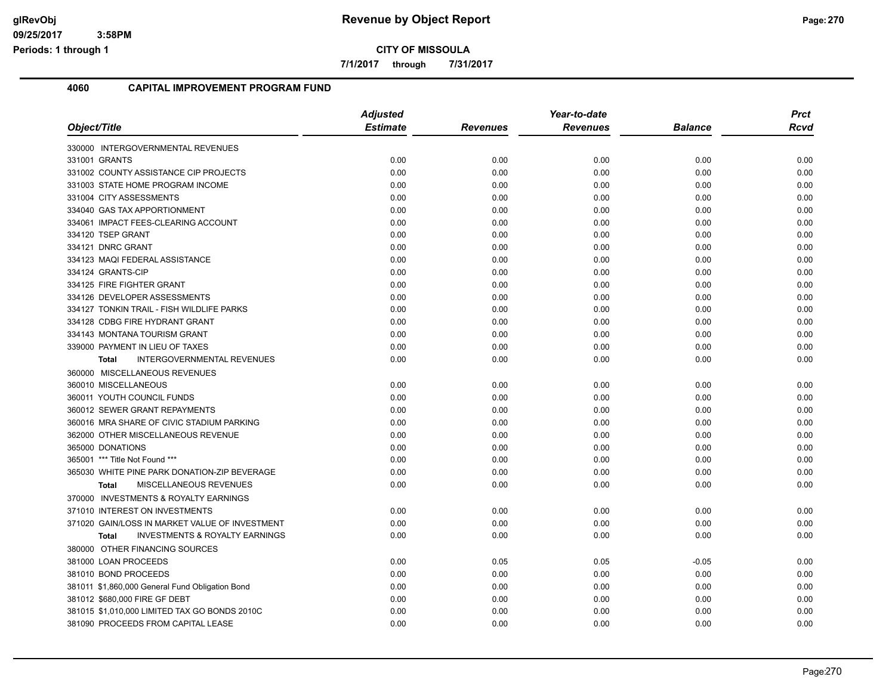**CITY OF MISSOULA**

**7/1/2017 through 7/31/2017**

|                                                           | <b>Adjusted</b> |                 | Year-to-date    |                | <b>Prct</b> |
|-----------------------------------------------------------|-----------------|-----------------|-----------------|----------------|-------------|
| Object/Title                                              | <b>Estimate</b> | <b>Revenues</b> | <b>Revenues</b> | <b>Balance</b> | <b>Rcvd</b> |
| 330000 INTERGOVERNMENTAL REVENUES                         |                 |                 |                 |                |             |
| 331001 GRANTS                                             | 0.00            | 0.00            | 0.00            | 0.00           | 0.00        |
| 331002 COUNTY ASSISTANCE CIP PROJECTS                     | 0.00            | 0.00            | 0.00            | 0.00           | 0.00        |
| 331003 STATE HOME PROGRAM INCOME                          | 0.00            | 0.00            | 0.00            | 0.00           | 0.00        |
| 331004 CITY ASSESSMENTS                                   | 0.00            | 0.00            | 0.00            | 0.00           | 0.00        |
| 334040 GAS TAX APPORTIONMENT                              | 0.00            | 0.00            | 0.00            | 0.00           | 0.00        |
| 334061 IMPACT FEES-CLEARING ACCOUNT                       | 0.00            | 0.00            | 0.00            | 0.00           | 0.00        |
| 334120 TSEP GRANT                                         | 0.00            | 0.00            | 0.00            | 0.00           | 0.00        |
| 334121 DNRC GRANT                                         | 0.00            | 0.00            | 0.00            | 0.00           | 0.00        |
| 334123 MAQI FEDERAL ASSISTANCE                            | 0.00            | 0.00            | 0.00            | 0.00           | 0.00        |
| 334124 GRANTS-CIP                                         | 0.00            | 0.00            | 0.00            | 0.00           | 0.00        |
| 334125 FIRE FIGHTER GRANT                                 | 0.00            | 0.00            | 0.00            | 0.00           | 0.00        |
| 334126 DEVELOPER ASSESSMENTS                              | 0.00            | 0.00            | 0.00            | 0.00           | 0.00        |
| 334127 TONKIN TRAIL - FISH WILDLIFE PARKS                 | 0.00            | 0.00            | 0.00            | 0.00           | 0.00        |
| 334128 CDBG FIRE HYDRANT GRANT                            | 0.00            | 0.00            | 0.00            | 0.00           | 0.00        |
| 334143 MONTANA TOURISM GRANT                              | 0.00            | 0.00            | 0.00            | 0.00           | 0.00        |
| 339000 PAYMENT IN LIEU OF TAXES                           | 0.00            | 0.00            | 0.00            | 0.00           | 0.00        |
| <b>INTERGOVERNMENTAL REVENUES</b><br><b>Total</b>         | 0.00            | 0.00            | 0.00            | 0.00           | 0.00        |
| 360000 MISCELLANEOUS REVENUES                             |                 |                 |                 |                |             |
| 360010 MISCELLANEOUS                                      | 0.00            | 0.00            | 0.00            | 0.00           | 0.00        |
| 360011 YOUTH COUNCIL FUNDS                                | 0.00            | 0.00            | 0.00            | 0.00           | 0.00        |
| 360012 SEWER GRANT REPAYMENTS                             | 0.00            | 0.00            | 0.00            | 0.00           | 0.00        |
| 360016 MRA SHARE OF CIVIC STADIUM PARKING                 | 0.00            | 0.00            | 0.00            | 0.00           | 0.00        |
| 362000 OTHER MISCELLANEOUS REVENUE                        | 0.00            | 0.00            | 0.00            | 0.00           | 0.00        |
| 365000 DONATIONS                                          | 0.00            | 0.00            | 0.00            | 0.00           | 0.00        |
| 365001 *** Title Not Found ***                            | 0.00            | 0.00            | 0.00            | 0.00           | 0.00        |
| 365030 WHITE PINE PARK DONATION-ZIP BEVERAGE              | 0.00            | 0.00            | 0.00            | 0.00           | 0.00        |
| MISCELLANEOUS REVENUES<br><b>Total</b>                    | 0.00            | 0.00            | 0.00            | 0.00           | 0.00        |
| 370000 INVESTMENTS & ROYALTY EARNINGS                     |                 |                 |                 |                |             |
| 371010 INTEREST ON INVESTMENTS                            | 0.00            | 0.00            | 0.00            | 0.00           | 0.00        |
| 371020 GAIN/LOSS IN MARKET VALUE OF INVESTMENT            | 0.00            | 0.00            | 0.00            | 0.00           | 0.00        |
| <b>INVESTMENTS &amp; ROYALTY EARNINGS</b><br><b>Total</b> | 0.00            | 0.00            | 0.00            | 0.00           | 0.00        |
| 380000 OTHER FINANCING SOURCES                            |                 |                 |                 |                |             |
| 381000 LOAN PROCEEDS                                      | 0.00            | 0.05            | 0.05            | $-0.05$        | 0.00        |
| 381010 BOND PROCEEDS                                      | 0.00            | 0.00            | 0.00            | 0.00           | 0.00        |
| 381011 \$1,860,000 General Fund Obligation Bond           | 0.00            | 0.00            | 0.00            | 0.00           | 0.00        |
| 381012 \$680,000 FIRE GF DEBT                             | 0.00            | 0.00            | 0.00            | 0.00           | 0.00        |
| 381015 \$1,010,000 LIMITED TAX GO BONDS 2010C             | 0.00            | 0.00            | 0.00            | 0.00           | 0.00        |
| 381090 PROCEEDS FROM CAPITAL LEASE                        | 0.00            | 0.00            | 0.00            | 0.00           | 0.00        |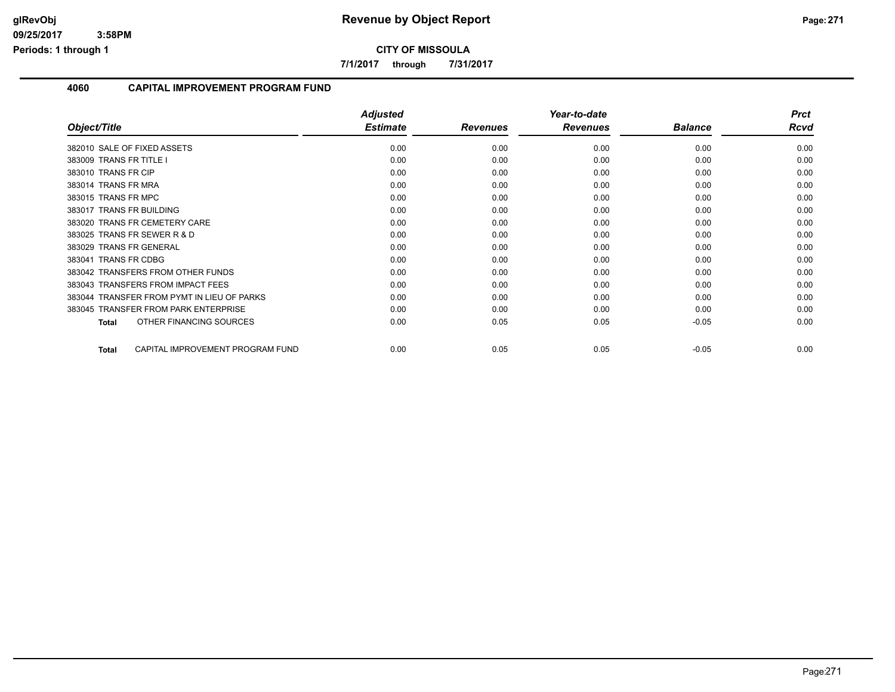**3:58PM**

**CITY OF MISSOULA**

**7/1/2017 through 7/31/2017**

|                                                  | <b>Adjusted</b> |                 | Year-to-date    |                | <b>Prct</b> |
|--------------------------------------------------|-----------------|-----------------|-----------------|----------------|-------------|
| Object/Title                                     | <b>Estimate</b> | <b>Revenues</b> | <b>Revenues</b> | <b>Balance</b> | <b>Rcvd</b> |
| 382010 SALE OF FIXED ASSETS                      | 0.00            | 0.00            | 0.00            | 0.00           | 0.00        |
| 383009 TRANS FR TITLE I                          | 0.00            | 0.00            | 0.00            | 0.00           | 0.00        |
| 383010 TRANS FR CIP                              | 0.00            | 0.00            | 0.00            | 0.00           | 0.00        |
| 383014 TRANS FR MRA                              | 0.00            | 0.00            | 0.00            | 0.00           | 0.00        |
| 383015 TRANS FR MPC                              | 0.00            | 0.00            | 0.00            | 0.00           | 0.00        |
| 383017 TRANS FR BUILDING                         | 0.00            | 0.00            | 0.00            | 0.00           | 0.00        |
| 383020 TRANS FR CEMETERY CARE                    | 0.00            | 0.00            | 0.00            | 0.00           | 0.00        |
| 383025 TRANS FR SEWER R & D                      | 0.00            | 0.00            | 0.00            | 0.00           | 0.00        |
| 383029 TRANS FR GENERAL                          | 0.00            | 0.00            | 0.00            | 0.00           | 0.00        |
| 383041 TRANS FR CDBG                             | 0.00            | 0.00            | 0.00            | 0.00           | 0.00        |
| 383042 TRANSFERS FROM OTHER FUNDS                | 0.00            | 0.00            | 0.00            | 0.00           | 0.00        |
| 383043 TRANSFERS FROM IMPACT FEES                | 0.00            | 0.00            | 0.00            | 0.00           | 0.00        |
| 383044 TRANSFER FROM PYMT IN LIEU OF PARKS       | 0.00            | 0.00            | 0.00            | 0.00           | 0.00        |
| 383045 TRANSFER FROM PARK ENTERPRISE             | 0.00            | 0.00            | 0.00            | 0.00           | 0.00        |
| OTHER FINANCING SOURCES<br>Total                 | 0.00            | 0.05            | 0.05            | $-0.05$        | 0.00        |
| CAPITAL IMPROVEMENT PROGRAM FUND<br><b>Total</b> | 0.00            | 0.05            | 0.05            | $-0.05$        | 0.00        |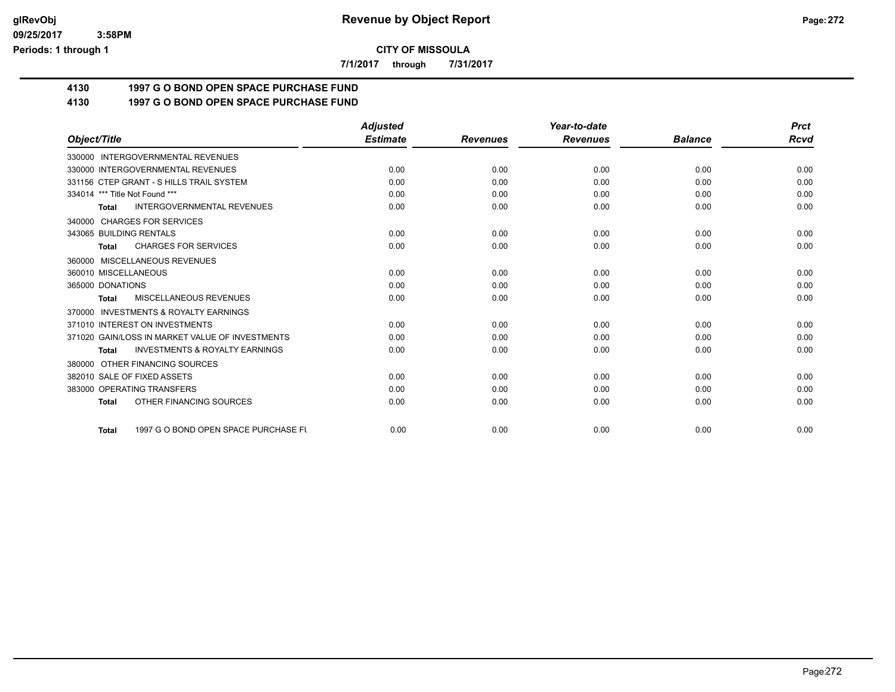**09/25/2017 3:58PM Periods: 1 through 1**

**CITY OF MISSOULA**

**7/1/2017 through 7/31/2017**

# **4130 1997 G O BOND OPEN SPACE PURCHASE FUND**

# **4130 1997 G O BOND OPEN SPACE PURCHASE FUND**

|                                                           | <b>Adjusted</b> |                 | Year-to-date    |                | <b>Prct</b> |
|-----------------------------------------------------------|-----------------|-----------------|-----------------|----------------|-------------|
| Object/Title                                              | <b>Estimate</b> | <b>Revenues</b> | <b>Revenues</b> | <b>Balance</b> | Rcvd        |
| 330000 INTERGOVERNMENTAL REVENUES                         |                 |                 |                 |                |             |
| 330000 INTERGOVERNMENTAL REVENUES                         | 0.00            | 0.00            | 0.00            | 0.00           | 0.00        |
| 331156 CTEP GRANT - S HILLS TRAIL SYSTEM                  | 0.00            | 0.00            | 0.00            | 0.00           | 0.00        |
| 334014 *** Title Not Found ***                            | 0.00            | 0.00            | 0.00            | 0.00           | 0.00        |
| <b>INTERGOVERNMENTAL REVENUES</b><br><b>Total</b>         | 0.00            | 0.00            | 0.00            | 0.00           | 0.00        |
| 340000 CHARGES FOR SERVICES                               |                 |                 |                 |                |             |
| 343065 BUILDING RENTALS                                   | 0.00            | 0.00            | 0.00            | 0.00           | 0.00        |
| <b>CHARGES FOR SERVICES</b><br><b>Total</b>               | 0.00            | 0.00            | 0.00            | 0.00           | 0.00        |
| 360000 MISCELLANEOUS REVENUES                             |                 |                 |                 |                |             |
| 360010 MISCELLANEOUS                                      | 0.00            | 0.00            | 0.00            | 0.00           | 0.00        |
| 365000 DONATIONS                                          | 0.00            | 0.00            | 0.00            | 0.00           | 0.00        |
| MISCELLANEOUS REVENUES<br><b>Total</b>                    | 0.00            | 0.00            | 0.00            | 0.00           | 0.00        |
| <b>INVESTMENTS &amp; ROYALTY EARNINGS</b><br>370000       |                 |                 |                 |                |             |
| 371010 INTEREST ON INVESTMENTS                            | 0.00            | 0.00            | 0.00            | 0.00           | 0.00        |
| 371020 GAIN/LOSS IN MARKET VALUE OF INVESTMENTS           | 0.00            | 0.00            | 0.00            | 0.00           | 0.00        |
| <b>INVESTMENTS &amp; ROYALTY EARNINGS</b><br><b>Total</b> | 0.00            | 0.00            | 0.00            | 0.00           | 0.00        |
| OTHER FINANCING SOURCES<br>380000                         |                 |                 |                 |                |             |
| 382010 SALE OF FIXED ASSETS                               | 0.00            | 0.00            | 0.00            | 0.00           | 0.00        |
| 383000 OPERATING TRANSFERS                                | 0.00            | 0.00            | 0.00            | 0.00           | 0.00        |
| OTHER FINANCING SOURCES<br><b>Total</b>                   | 0.00            | 0.00            | 0.00            | 0.00           | 0.00        |
| 1997 G O BOND OPEN SPACE PURCHASE FU<br><b>Total</b>      | 0.00            | 0.00            | 0.00            | 0.00           | 0.00        |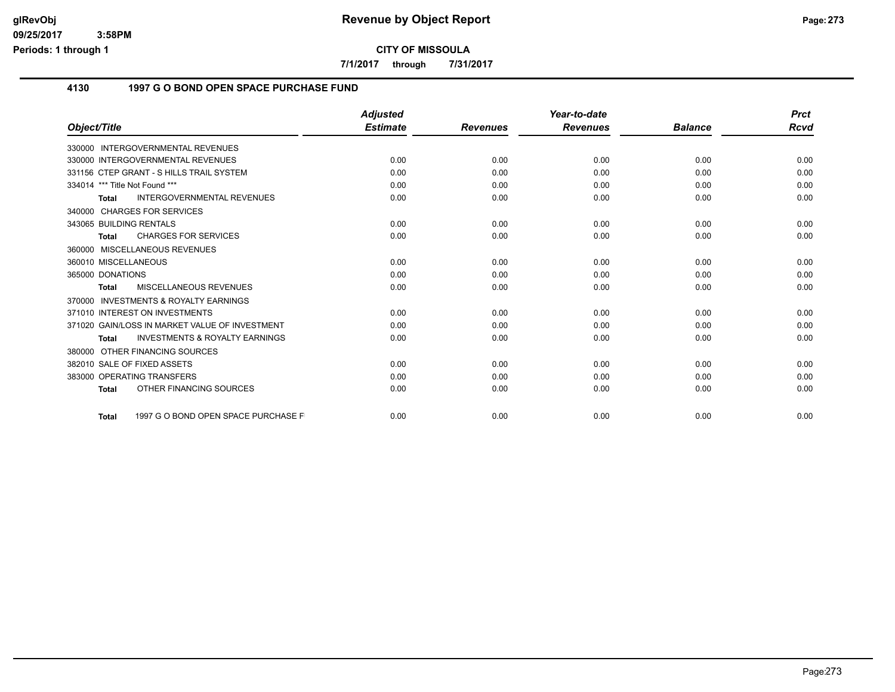**7/1/2017 through 7/31/2017**

#### **4130 1997 G O BOND OPEN SPACE PURCHASE FUND**

|                                                           | <b>Adjusted</b> |                 | Year-to-date    |                | <b>Prct</b> |
|-----------------------------------------------------------|-----------------|-----------------|-----------------|----------------|-------------|
| Object/Title                                              | <b>Estimate</b> | <b>Revenues</b> | <b>Revenues</b> | <b>Balance</b> | <b>Rcvd</b> |
| 330000 INTERGOVERNMENTAL REVENUES                         |                 |                 |                 |                |             |
| 330000 INTERGOVERNMENTAL REVENUES                         | 0.00            | 0.00            | 0.00            | 0.00           | 0.00        |
| 331156 CTEP GRANT - S HILLS TRAIL SYSTEM                  | 0.00            | 0.00            | 0.00            | 0.00           | 0.00        |
| 334014 *** Title Not Found ***                            | 0.00            | 0.00            | 0.00            | 0.00           | 0.00        |
| <b>INTERGOVERNMENTAL REVENUES</b><br><b>Total</b>         | 0.00            | 0.00            | 0.00            | 0.00           | 0.00        |
| 340000 CHARGES FOR SERVICES                               |                 |                 |                 |                |             |
| 343065 BUILDING RENTALS                                   | 0.00            | 0.00            | 0.00            | 0.00           | 0.00        |
| <b>CHARGES FOR SERVICES</b><br>Total                      | 0.00            | 0.00            | 0.00            | 0.00           | 0.00        |
| 360000 MISCELLANEOUS REVENUES                             |                 |                 |                 |                |             |
| 360010 MISCELLANEOUS                                      | 0.00            | 0.00            | 0.00            | 0.00           | 0.00        |
| 365000 DONATIONS                                          | 0.00            | 0.00            | 0.00            | 0.00           | 0.00        |
| MISCELLANEOUS REVENUES<br><b>Total</b>                    | 0.00            | 0.00            | 0.00            | 0.00           | 0.00        |
| 370000 INVESTMENTS & ROYALTY EARNINGS                     |                 |                 |                 |                |             |
| 371010 INTEREST ON INVESTMENTS                            | 0.00            | 0.00            | 0.00            | 0.00           | 0.00        |
| 371020 GAIN/LOSS IN MARKET VALUE OF INVESTMENT            | 0.00            | 0.00            | 0.00            | 0.00           | 0.00        |
| <b>INVESTMENTS &amp; ROYALTY EARNINGS</b><br><b>Total</b> | 0.00            | 0.00            | 0.00            | 0.00           | 0.00        |
| 380000 OTHER FINANCING SOURCES                            |                 |                 |                 |                |             |
| 382010 SALE OF FIXED ASSETS                               | 0.00            | 0.00            | 0.00            | 0.00           | 0.00        |
| 383000 OPERATING TRANSFERS                                | 0.00            | 0.00            | 0.00            | 0.00           | 0.00        |
| OTHER FINANCING SOURCES<br><b>Total</b>                   | 0.00            | 0.00            | 0.00            | 0.00           | 0.00        |
| 1997 G O BOND OPEN SPACE PURCHASE F<br><b>Total</b>       | 0.00            | 0.00            | 0.00            | 0.00           | 0.00        |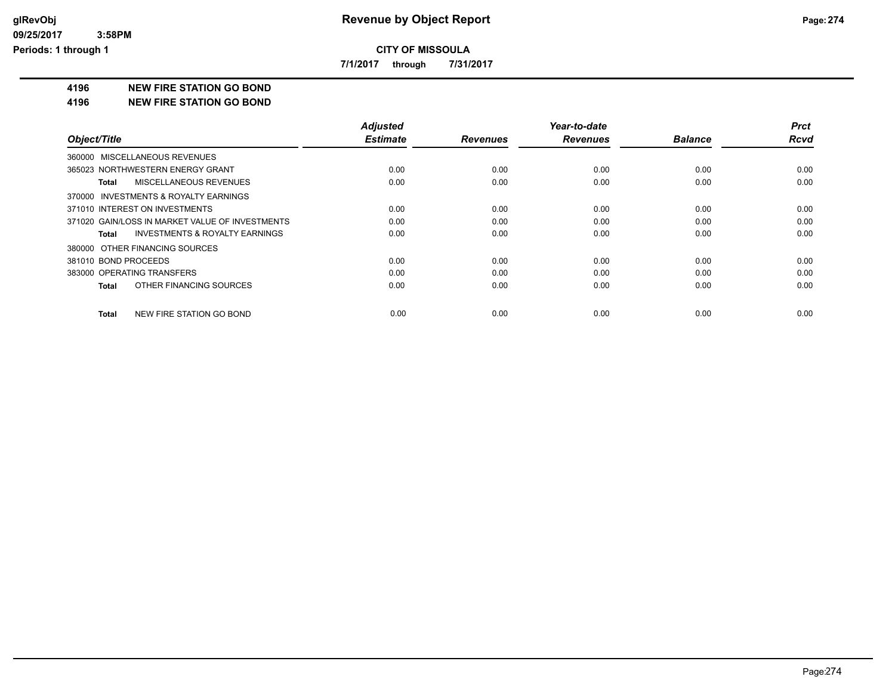**7/1/2017 through 7/31/2017**

#### **4196 NEW FIRE STATION GO BOND**

#### **4196 NEW FIRE STATION GO BOND**

|                                                    | <b>Adjusted</b> |                 | Year-to-date    |                | <b>Prct</b> |
|----------------------------------------------------|-----------------|-----------------|-----------------|----------------|-------------|
| Object/Title                                       | <b>Estimate</b> | <b>Revenues</b> | <b>Revenues</b> | <b>Balance</b> | <b>Rcvd</b> |
| 360000 MISCELLANEOUS REVENUES                      |                 |                 |                 |                |             |
| 365023 NORTHWESTERN ENERGY GRANT                   | 0.00            | 0.00            | 0.00            | 0.00           | 0.00        |
| MISCELLANEOUS REVENUES<br>Total                    | 0.00            | 0.00            | 0.00            | 0.00           | 0.00        |
| 370000 INVESTMENTS & ROYALTY EARNINGS              |                 |                 |                 |                |             |
| 371010 INTEREST ON INVESTMENTS                     | 0.00            | 0.00            | 0.00            | 0.00           | 0.00        |
| 371020 GAIN/LOSS IN MARKET VALUE OF INVESTMENTS    | 0.00            | 0.00            | 0.00            | 0.00           | 0.00        |
| <b>INVESTMENTS &amp; ROYALTY EARNINGS</b><br>Total | 0.00            | 0.00            | 0.00            | 0.00           | 0.00        |
| 380000 OTHER FINANCING SOURCES                     |                 |                 |                 |                |             |
| 381010 BOND PROCEEDS                               | 0.00            | 0.00            | 0.00            | 0.00           | 0.00        |
| 383000 OPERATING TRANSFERS                         | 0.00            | 0.00            | 0.00            | 0.00           | 0.00        |
| OTHER FINANCING SOURCES<br>Total                   | 0.00            | 0.00            | 0.00            | 0.00           | 0.00        |
| NEW FIRE STATION GO BOND<br><b>Total</b>           | 0.00            | 0.00            | 0.00            | 0.00           | 0.00        |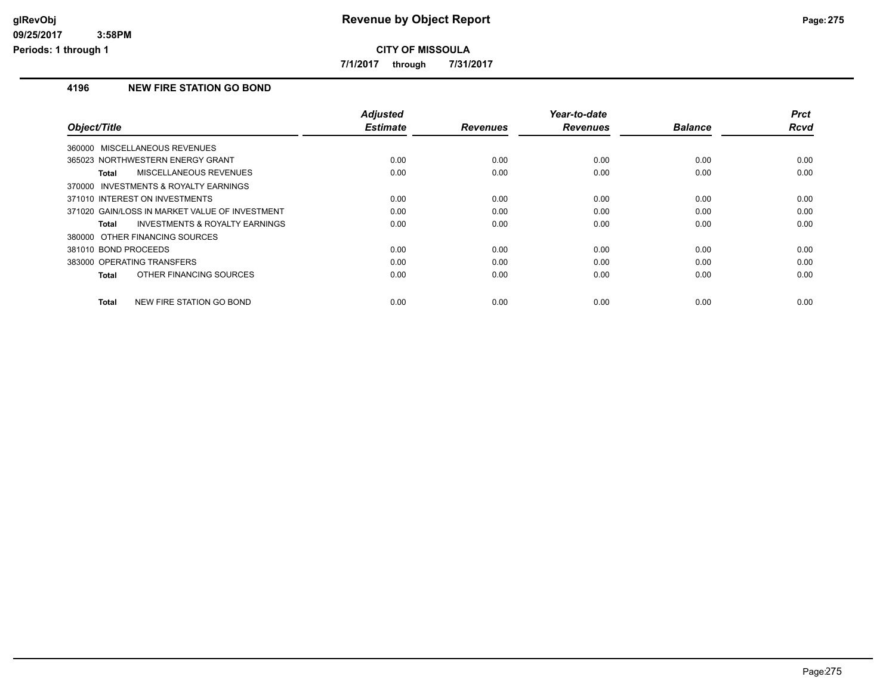**CITY OF MISSOULA**

**7/1/2017 through 7/31/2017**

# **4196 NEW FIRE STATION GO BOND**

 **3:58PM**

| Object/Title                                       | <b>Adjusted</b><br><b>Estimate</b> | <b>Revenues</b> | Year-to-date<br><b>Revenues</b> | <b>Balance</b> | <b>Prct</b><br><b>Rcvd</b> |
|----------------------------------------------------|------------------------------------|-----------------|---------------------------------|----------------|----------------------------|
| 360000 MISCELLANEOUS REVENUES                      |                                    |                 |                                 |                |                            |
|                                                    |                                    |                 |                                 |                |                            |
| 365023 NORTHWESTERN ENERGY GRANT                   | 0.00                               | 0.00            | 0.00                            | 0.00           | 0.00                       |
| MISCELLANEOUS REVENUES<br><b>Total</b>             | 0.00                               | 0.00            | 0.00                            | 0.00           | 0.00                       |
| 370000 INVESTMENTS & ROYALTY EARNINGS              |                                    |                 |                                 |                |                            |
| 371010 INTEREST ON INVESTMENTS                     | 0.00                               | 0.00            | 0.00                            | 0.00           | 0.00                       |
| 371020 GAIN/LOSS IN MARKET VALUE OF INVESTMENT     | 0.00                               | 0.00            | 0.00                            | 0.00           | 0.00                       |
| <b>INVESTMENTS &amp; ROYALTY EARNINGS</b><br>Total | 0.00                               | 0.00            | 0.00                            | 0.00           | 0.00                       |
| 380000 OTHER FINANCING SOURCES                     |                                    |                 |                                 |                |                            |
| 381010 BOND PROCEEDS                               | 0.00                               | 0.00            | 0.00                            | 0.00           | 0.00                       |
| 383000 OPERATING TRANSFERS                         | 0.00                               | 0.00            | 0.00                            | 0.00           | 0.00                       |
| OTHER FINANCING SOURCES<br><b>Total</b>            | 0.00                               | 0.00            | 0.00                            | 0.00           | 0.00                       |
| NEW FIRE STATION GO BOND<br><b>Total</b>           | 0.00                               | 0.00            | 0.00                            | 0.00           | 0.00                       |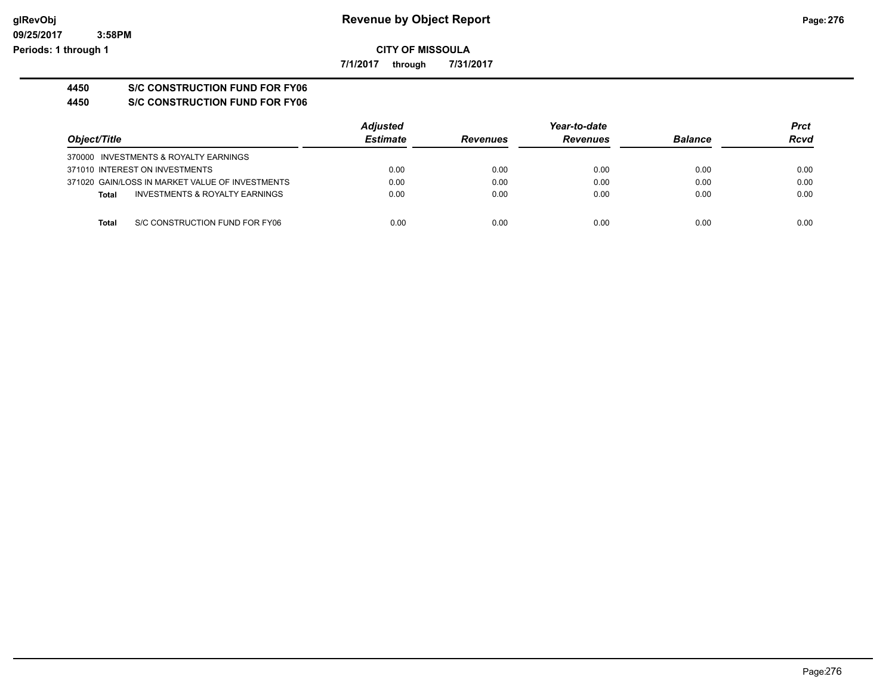**09/25/2017**

**Periods: 1 through 1**

 **3:58PM**

**CITY OF MISSOULA**

**7/1/2017 through 7/31/2017**

# **4450 S/C CONSTRUCTION FUND FOR FY06**

**4450 S/C CONSTRUCTION FUND FOR FY06**

|                                                 | <b>Adjusted</b> |                 | Year-to-date    |                | Prct |
|-------------------------------------------------|-----------------|-----------------|-----------------|----------------|------|
| Object/Title                                    | <b>Estimate</b> | <b>Revenues</b> | <b>Revenues</b> | <b>Balance</b> | Rcvd |
| 370000 INVESTMENTS & ROYALTY EARNINGS           |                 |                 |                 |                |      |
| 371010 INTEREST ON INVESTMENTS                  | 0.00            | 0.00            | 0.00            | 0.00           | 0.00 |
| 371020 GAIN/LOSS IN MARKET VALUE OF INVESTMENTS | 0.00            | 0.00            | 0.00            | 0.00           | 0.00 |
| INVESTMENTS & ROYALTY EARNINGS<br><b>Total</b>  | 0.00            | 0.00            | 0.00            | 0.00           | 0.00 |
|                                                 |                 |                 |                 |                |      |
| S/C CONSTRUCTION FUND FOR FY06<br><b>Total</b>  | 0.00            | 0.00            | 0.00            | 0.00           | 0.00 |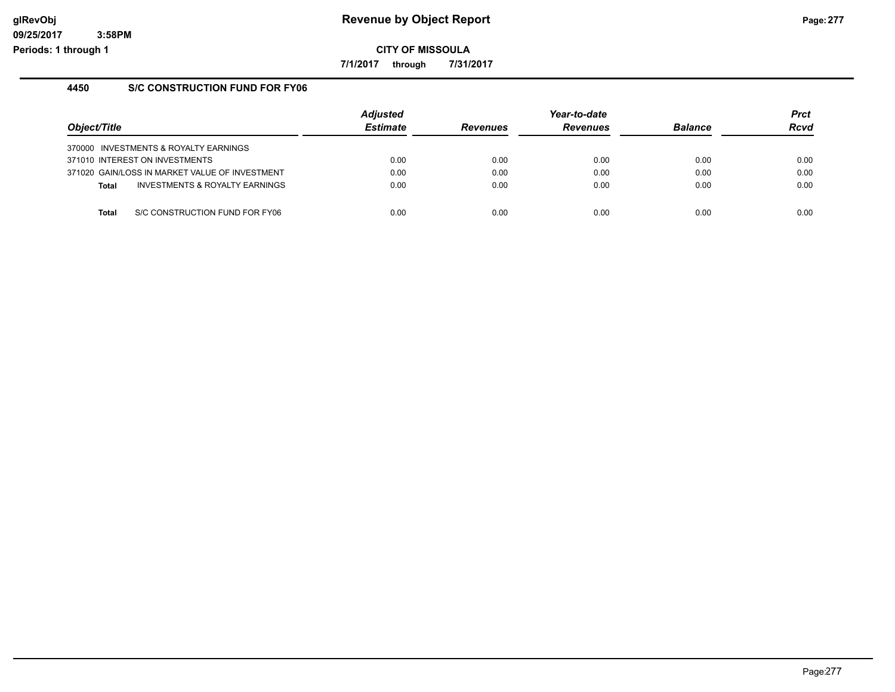**3:58PM**

**CITY OF MISSOULA**

**7/1/2017 through 7/31/2017**

# **4450 S/C CONSTRUCTION FUND FOR FY06**

| Object/Title |                                                | <b>Adjusted</b><br><b>Estimate</b> | <b>Revenues</b> | Year-to-date<br><b>Revenues</b> | <b>Balance</b> | <b>Prct</b><br>Rcvd |
|--------------|------------------------------------------------|------------------------------------|-----------------|---------------------------------|----------------|---------------------|
|              | 370000 INVESTMENTS & ROYALTY EARNINGS          |                                    |                 |                                 |                |                     |
|              | 371010 INTEREST ON INVESTMENTS                 | 0.00                               | 0.00            | 0.00                            | 0.00           | 0.00                |
|              | 371020 GAIN/LOSS IN MARKET VALUE OF INVESTMENT | 0.00                               | 0.00            | 0.00                            | 0.00           | 0.00                |
| <b>Total</b> | INVESTMENTS & ROYALTY EARNINGS                 | 0.00                               | 0.00            | 0.00                            | 0.00           | 0.00                |
|              |                                                |                                    |                 |                                 |                |                     |
| Total        | S/C CONSTRUCTION FUND FOR FY06                 | 0.00                               | 0.00            | 0.00                            | 0.00           | 0.00                |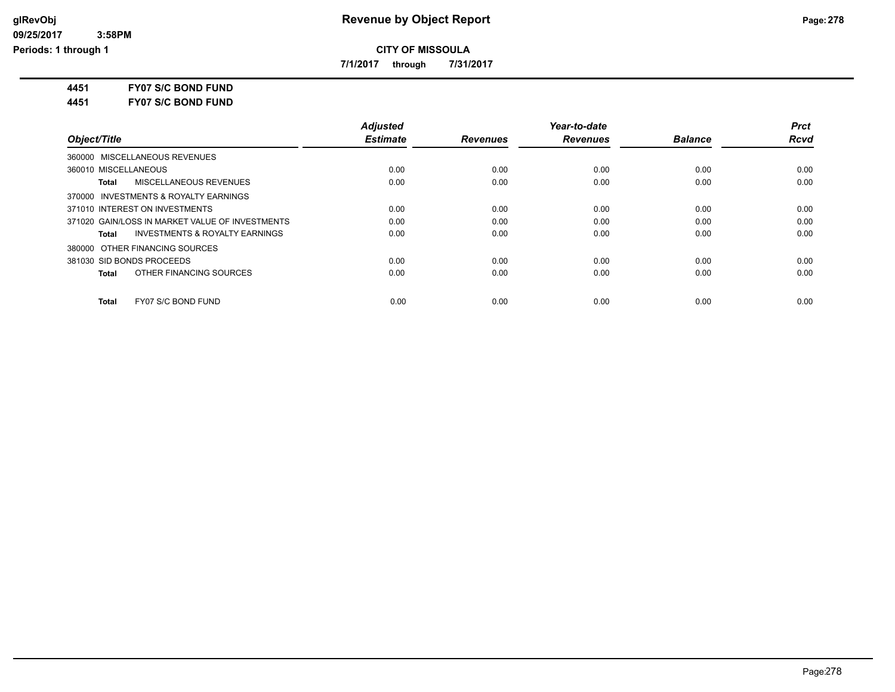**7/1/2017 through 7/31/2017**

**4451 FY07 S/C BOND FUND**

**4451 FY07 S/C BOND FUND**

| Object/Title                                       | <b>Adjusted</b><br><b>Estimate</b> | <b>Revenues</b> | Year-to-date<br><b>Revenues</b> | <b>Balance</b> | <b>Prct</b><br><b>Rcvd</b> |
|----------------------------------------------------|------------------------------------|-----------------|---------------------------------|----------------|----------------------------|
| 360000 MISCELLANEOUS REVENUES                      |                                    |                 |                                 |                |                            |
| 360010 MISCELLANEOUS                               | 0.00                               | 0.00            | 0.00                            | 0.00           | 0.00                       |
| MISCELLANEOUS REVENUES<br>Total                    | 0.00                               | 0.00            | 0.00                            | 0.00           | 0.00                       |
| 370000 INVESTMENTS & ROYALTY EARNINGS              |                                    |                 |                                 |                |                            |
| 371010 INTEREST ON INVESTMENTS                     | 0.00                               | 0.00            | 0.00                            | 0.00           | 0.00                       |
| 371020 GAIN/LOSS IN MARKET VALUE OF INVESTMENTS    | 0.00                               | 0.00            | 0.00                            | 0.00           | 0.00                       |
| <b>INVESTMENTS &amp; ROYALTY EARNINGS</b><br>Total | 0.00                               | 0.00            | 0.00                            | 0.00           | 0.00                       |
| 380000 OTHER FINANCING SOURCES                     |                                    |                 |                                 |                |                            |
| 381030 SID BONDS PROCEEDS                          | 0.00                               | 0.00            | 0.00                            | 0.00           | 0.00                       |
| OTHER FINANCING SOURCES<br>Total                   | 0.00                               | 0.00            | 0.00                            | 0.00           | 0.00                       |
| FY07 S/C BOND FUND<br><b>Total</b>                 | 0.00                               | 0.00            | 0.00                            | 0.00           | 0.00                       |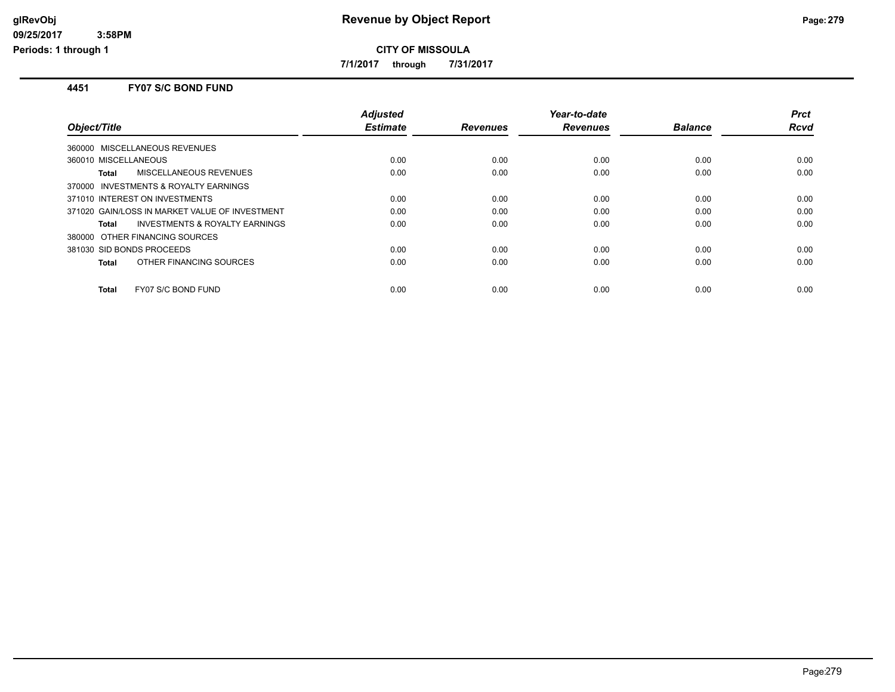**CITY OF MISSOULA**

**7/1/2017 through 7/31/2017**

#### **4451 FY07 S/C BOND FUND**

 **3:58PM**

| Object/Title                                       | <b>Adjusted</b><br><b>Estimate</b> | <b>Revenues</b> | Year-to-date<br><b>Revenues</b> | <b>Balance</b> | <b>Prct</b><br><b>Rcvd</b> |
|----------------------------------------------------|------------------------------------|-----------------|---------------------------------|----------------|----------------------------|
| 360000 MISCELLANEOUS REVENUES                      |                                    |                 |                                 |                |                            |
| 360010 MISCELLANEOUS                               | 0.00                               | 0.00            | 0.00                            | 0.00           | 0.00                       |
| MISCELLANEOUS REVENUES<br>Total                    | 0.00                               | 0.00            | 0.00                            | 0.00           | 0.00                       |
| 370000 INVESTMENTS & ROYALTY EARNINGS              |                                    |                 |                                 |                |                            |
| 371010 INTEREST ON INVESTMENTS                     | 0.00                               | 0.00            | 0.00                            | 0.00           | 0.00                       |
| 371020 GAIN/LOSS IN MARKET VALUE OF INVESTMENT     | 0.00                               | 0.00            | 0.00                            | 0.00           | 0.00                       |
| <b>INVESTMENTS &amp; ROYALTY EARNINGS</b><br>Total | 0.00                               | 0.00            | 0.00                            | 0.00           | 0.00                       |
| 380000 OTHER FINANCING SOURCES                     |                                    |                 |                                 |                |                            |
| 381030 SID BONDS PROCEEDS                          | 0.00                               | 0.00            | 0.00                            | 0.00           | 0.00                       |
| OTHER FINANCING SOURCES<br>Total                   | 0.00                               | 0.00            | 0.00                            | 0.00           | 0.00                       |
| FY07 S/C BOND FUND<br><b>Total</b>                 | 0.00                               | 0.00            | 0.00                            | 0.00           | 0.00                       |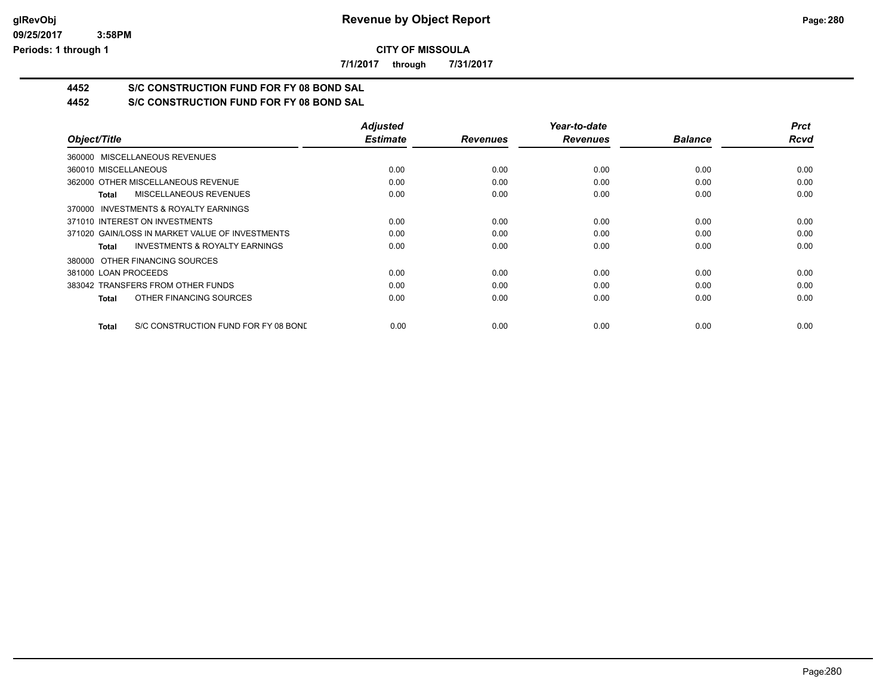**09/25/2017 3:58PM Periods: 1 through 1**

**CITY OF MISSOULA**

**7/1/2017 through 7/31/2017**

# **4452 S/C CONSTRUCTION FUND FOR FY 08 BOND SAL**

# **4452 S/C CONSTRUCTION FUND FOR FY 08 BOND SAL**

|                                                      | <b>Adjusted</b> |                 | Year-to-date    |                | <b>Prct</b> |
|------------------------------------------------------|-----------------|-----------------|-----------------|----------------|-------------|
| Object/Title                                         | <b>Estimate</b> | <b>Revenues</b> | <b>Revenues</b> | <b>Balance</b> | <b>Rcvd</b> |
| 360000 MISCELLANEOUS REVENUES                        |                 |                 |                 |                |             |
| 360010 MISCELLANEOUS                                 | 0.00            | 0.00            | 0.00            | 0.00           | 0.00        |
| 362000 OTHER MISCELLANEOUS REVENUE                   | 0.00            | 0.00            | 0.00            | 0.00           | 0.00        |
| MISCELLANEOUS REVENUES<br><b>Total</b>               | 0.00            | 0.00            | 0.00            | 0.00           | 0.00        |
| INVESTMENTS & ROYALTY EARNINGS<br>370000             |                 |                 |                 |                |             |
| 371010 INTEREST ON INVESTMENTS                       | 0.00            | 0.00            | 0.00            | 0.00           | 0.00        |
| 371020 GAIN/LOSS IN MARKET VALUE OF INVESTMENTS      | 0.00            | 0.00            | 0.00            | 0.00           | 0.00        |
| <b>INVESTMENTS &amp; ROYALTY EARNINGS</b><br>Total   | 0.00            | 0.00            | 0.00            | 0.00           | 0.00        |
| 380000 OTHER FINANCING SOURCES                       |                 |                 |                 |                |             |
| 381000 LOAN PROCEEDS                                 | 0.00            | 0.00            | 0.00            | 0.00           | 0.00        |
| 383042 TRANSFERS FROM OTHER FUNDS                    | 0.00            | 0.00            | 0.00            | 0.00           | 0.00        |
| OTHER FINANCING SOURCES<br>Total                     | 0.00            | 0.00            | 0.00            | 0.00           | 0.00        |
| S/C CONSTRUCTION FUND FOR FY 08 BOND<br><b>Total</b> | 0.00            | 0.00            | 0.00            | 0.00           | 0.00        |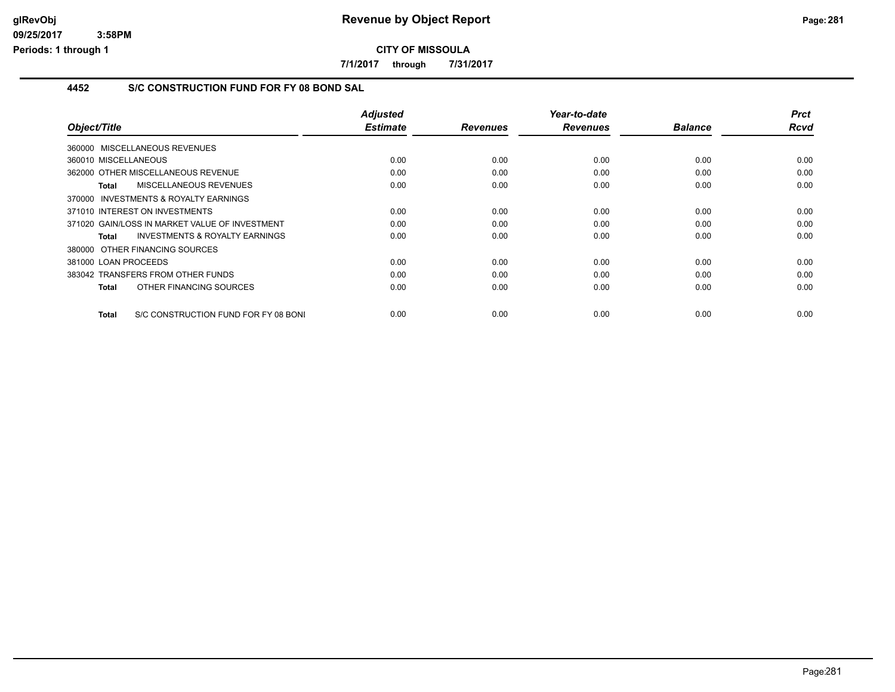**7/1/2017 through 7/31/2017**

# **4452 S/C CONSTRUCTION FUND FOR FY 08 BOND SAL**

| Object/Title                                         | <b>Adjusted</b><br><b>Estimate</b> | <b>Revenues</b> | Year-to-date<br><b>Revenues</b> | <b>Balance</b> | <b>Prct</b><br><b>Rcvd</b> |
|------------------------------------------------------|------------------------------------|-----------------|---------------------------------|----------------|----------------------------|
|                                                      |                                    |                 |                                 |                |                            |
| 360000 MISCELLANEOUS REVENUES                        |                                    |                 |                                 |                |                            |
| 360010 MISCELLANEOUS                                 | 0.00                               | 0.00            | 0.00                            | 0.00           | 0.00                       |
| 362000 OTHER MISCELLANEOUS REVENUE                   | 0.00                               | 0.00            | 0.00                            | 0.00           | 0.00                       |
| MISCELLANEOUS REVENUES<br>Total                      | 0.00                               | 0.00            | 0.00                            | 0.00           | 0.00                       |
| 370000 INVESTMENTS & ROYALTY EARNINGS                |                                    |                 |                                 |                |                            |
| 371010 INTEREST ON INVESTMENTS                       | 0.00                               | 0.00            | 0.00                            | 0.00           | 0.00                       |
| 371020 GAIN/LOSS IN MARKET VALUE OF INVESTMENT       | 0.00                               | 0.00            | 0.00                            | 0.00           | 0.00                       |
| <b>INVESTMENTS &amp; ROYALTY EARNINGS</b><br>Total   | 0.00                               | 0.00            | 0.00                            | 0.00           | 0.00                       |
| 380000 OTHER FINANCING SOURCES                       |                                    |                 |                                 |                |                            |
| 381000 LOAN PROCEEDS                                 | 0.00                               | 0.00            | 0.00                            | 0.00           | 0.00                       |
| 383042 TRANSFERS FROM OTHER FUNDS                    | 0.00                               | 0.00            | 0.00                            | 0.00           | 0.00                       |
| OTHER FINANCING SOURCES<br><b>Total</b>              | 0.00                               | 0.00            | 0.00                            | 0.00           | 0.00                       |
|                                                      |                                    |                 |                                 |                |                            |
| S/C CONSTRUCTION FUND FOR FY 08 BONI<br><b>Total</b> | 0.00                               | 0.00            | 0.00                            | 0.00           | 0.00                       |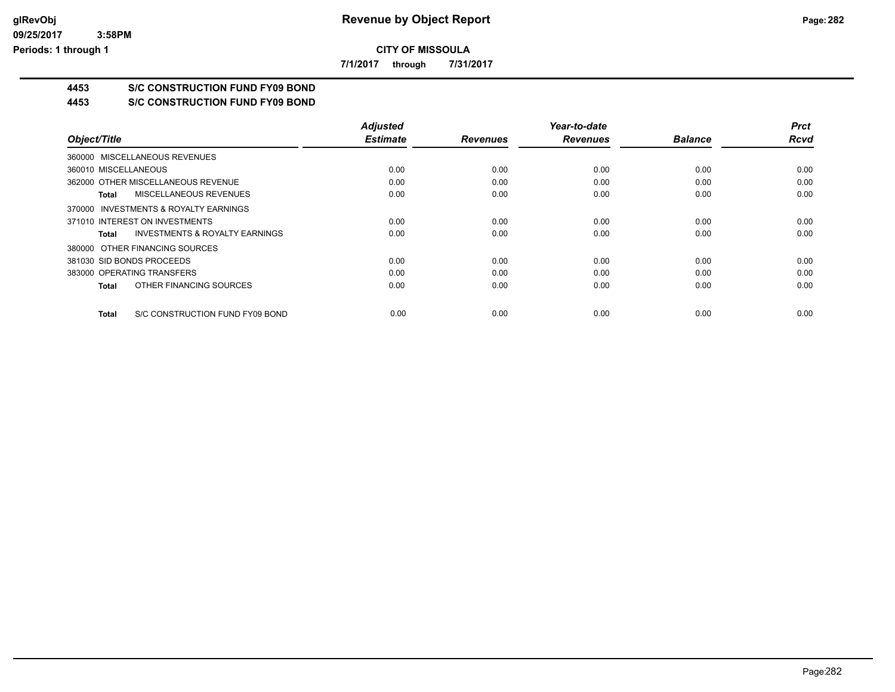**7/1/2017 through 7/31/2017**

# **4453 S/C CONSTRUCTION FUND FY09 BOND**

# **4453 S/C CONSTRUCTION FUND FY09 BOND**

|                                                           | <b>Adjusted</b> |                 | Year-to-date    |                | <b>Prct</b> |
|-----------------------------------------------------------|-----------------|-----------------|-----------------|----------------|-------------|
| Object/Title                                              | <b>Estimate</b> | <b>Revenues</b> | <b>Revenues</b> | <b>Balance</b> | <b>Rcvd</b> |
| 360000 MISCELLANEOUS REVENUES                             |                 |                 |                 |                |             |
| 360010 MISCELLANEOUS                                      | 0.00            | 0.00            | 0.00            | 0.00           | 0.00        |
| 362000 OTHER MISCELLANEOUS REVENUE                        | 0.00            | 0.00            | 0.00            | 0.00           | 0.00        |
| <b>MISCELLANEOUS REVENUES</b><br>Total                    | 0.00            | 0.00            | 0.00            | 0.00           | 0.00        |
| 370000 INVESTMENTS & ROYALTY EARNINGS                     |                 |                 |                 |                |             |
| 371010 INTEREST ON INVESTMENTS                            | 0.00            | 0.00            | 0.00            | 0.00           | 0.00        |
| <b>INVESTMENTS &amp; ROYALTY EARNINGS</b><br><b>Total</b> | 0.00            | 0.00            | 0.00            | 0.00           | 0.00        |
| 380000 OTHER FINANCING SOURCES                            |                 |                 |                 |                |             |
| 381030 SID BONDS PROCEEDS                                 | 0.00            | 0.00            | 0.00            | 0.00           | 0.00        |
| 383000 OPERATING TRANSFERS                                | 0.00            | 0.00            | 0.00            | 0.00           | 0.00        |
| OTHER FINANCING SOURCES<br><b>Total</b>                   | 0.00            | 0.00            | 0.00            | 0.00           | 0.00        |
| S/C CONSTRUCTION FUND FY09 BOND<br><b>Total</b>           | 0.00            | 0.00            | 0.00            | 0.00           | 0.00        |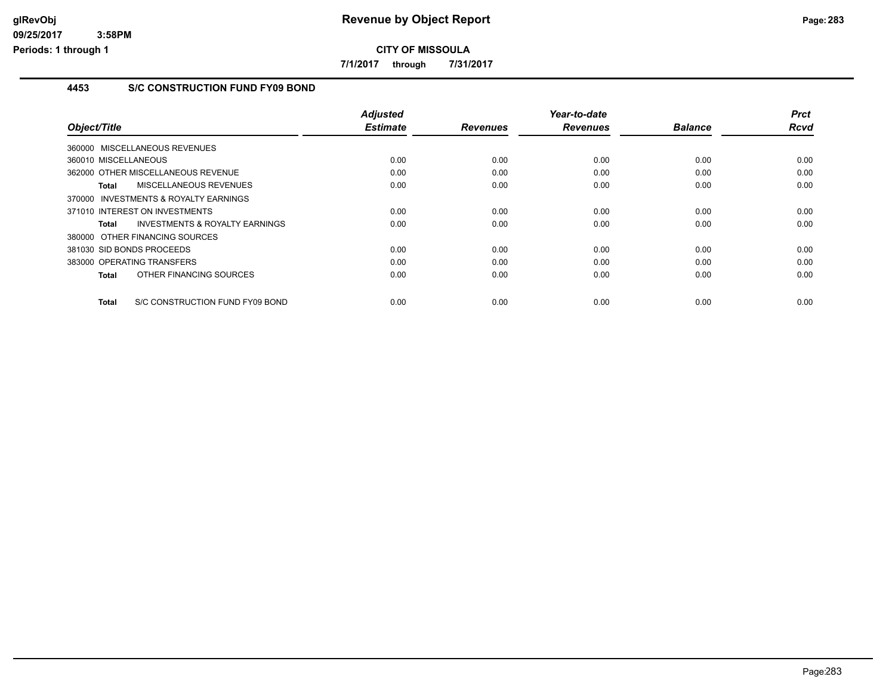**CITY OF MISSOULA**

**7/1/2017 through 7/31/2017**

# **4453 S/C CONSTRUCTION FUND FY09 BOND**

| Object/Title                                       | <b>Adjusted</b><br><b>Estimate</b> | <b>Revenues</b> | Year-to-date<br><b>Revenues</b> | <b>Balance</b> | <b>Prct</b><br>Rcvd |
|----------------------------------------------------|------------------------------------|-----------------|---------------------------------|----------------|---------------------|
| 360000 MISCELLANEOUS REVENUES                      |                                    |                 |                                 |                |                     |
| 360010 MISCELLANEOUS                               | 0.00                               | 0.00            | 0.00                            | 0.00           | 0.00                |
| 362000 OTHER MISCELLANEOUS REVENUE                 | 0.00                               | 0.00            | 0.00                            | 0.00           | 0.00                |
| MISCELLANEOUS REVENUES<br>Total                    | 0.00                               | 0.00            | 0.00                            | 0.00           | 0.00                |
| 370000 INVESTMENTS & ROYALTY EARNINGS              |                                    |                 |                                 |                |                     |
| 371010 INTEREST ON INVESTMENTS                     | 0.00                               | 0.00            | 0.00                            | 0.00           | 0.00                |
| <b>INVESTMENTS &amp; ROYALTY EARNINGS</b><br>Total | 0.00                               | 0.00            | 0.00                            | 0.00           | 0.00                |
| 380000 OTHER FINANCING SOURCES                     |                                    |                 |                                 |                |                     |
| 381030 SID BONDS PROCEEDS                          | 0.00                               | 0.00            | 0.00                            | 0.00           | 0.00                |
| 383000 OPERATING TRANSFERS                         | 0.00                               | 0.00            | 0.00                            | 0.00           | 0.00                |
| OTHER FINANCING SOURCES<br>Total                   | 0.00                               | 0.00            | 0.00                            | 0.00           | 0.00                |
| S/C CONSTRUCTION FUND FY09 BOND<br>Total           | 0.00                               | 0.00            | 0.00                            | 0.00           | 0.00                |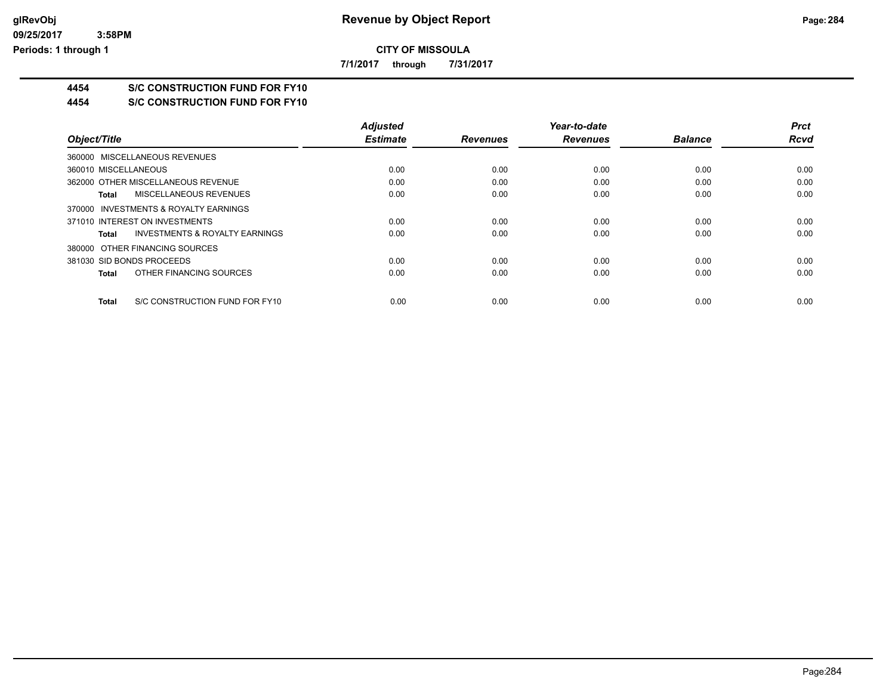**3:58PM**

**CITY OF MISSOULA**

**7/1/2017 through 7/31/2017**

# **4454 S/C CONSTRUCTION FUND FOR FY10**

#### **4454 S/C CONSTRUCTION FUND FOR FY10**

|                                                    | <b>Adjusted</b> |                 | Year-to-date    |                | <b>Prct</b> |
|----------------------------------------------------|-----------------|-----------------|-----------------|----------------|-------------|
| Object/Title                                       | <b>Estimate</b> | <b>Revenues</b> | <b>Revenues</b> | <b>Balance</b> | <b>Rcvd</b> |
| 360000 MISCELLANEOUS REVENUES                      |                 |                 |                 |                |             |
| 360010 MISCELLANEOUS                               | 0.00            | 0.00            | 0.00            | 0.00           | 0.00        |
| 362000 OTHER MISCELLANEOUS REVENUE                 | 0.00            | 0.00            | 0.00            | 0.00           | 0.00        |
| MISCELLANEOUS REVENUES<br>Total                    | 0.00            | 0.00            | 0.00            | 0.00           | 0.00        |
| 370000 INVESTMENTS & ROYALTY EARNINGS              |                 |                 |                 |                |             |
| 371010 INTEREST ON INVESTMENTS                     | 0.00            | 0.00            | 0.00            | 0.00           | 0.00        |
| <b>INVESTMENTS &amp; ROYALTY EARNINGS</b><br>Total | 0.00            | 0.00            | 0.00            | 0.00           | 0.00        |
| 380000 OTHER FINANCING SOURCES                     |                 |                 |                 |                |             |
| 381030 SID BONDS PROCEEDS                          | 0.00            | 0.00            | 0.00            | 0.00           | 0.00        |
| OTHER FINANCING SOURCES<br>Total                   | 0.00            | 0.00            | 0.00            | 0.00           | 0.00        |
| S/C CONSTRUCTION FUND FOR FY10<br><b>Total</b>     | 0.00            | 0.00            | 0.00            | 0.00           | 0.00        |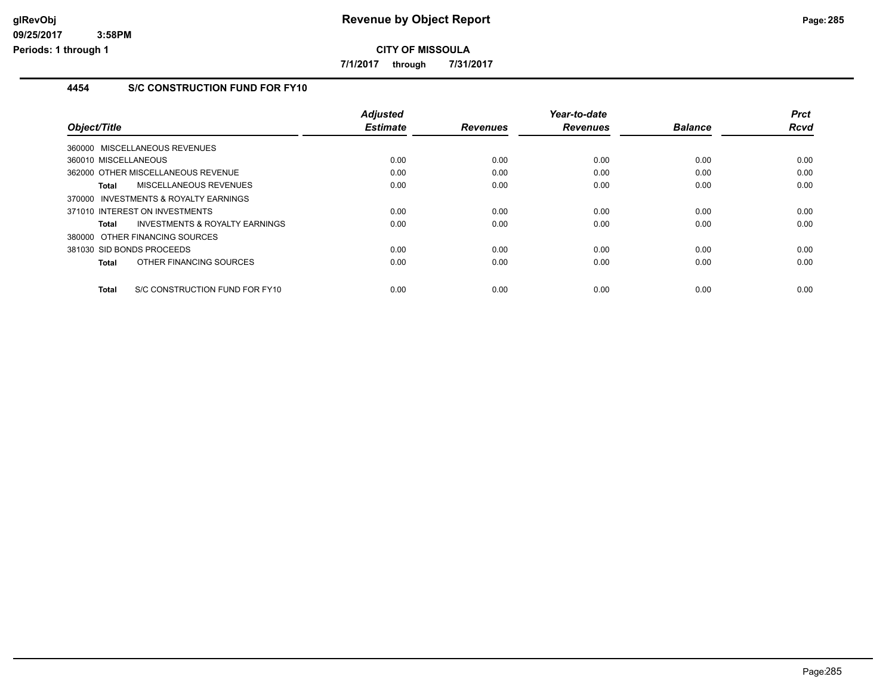**3:58PM**

**CITY OF MISSOULA**

**7/1/2017 through 7/31/2017**

# **4454 S/C CONSTRUCTION FUND FOR FY10**

|                                                    | <b>Adjusted</b> |                 | Year-to-date    |                | <b>Prct</b> |
|----------------------------------------------------|-----------------|-----------------|-----------------|----------------|-------------|
| Object/Title                                       | <b>Estimate</b> | <b>Revenues</b> | <b>Revenues</b> | <b>Balance</b> | <b>Rcvd</b> |
| 360000 MISCELLANEOUS REVENUES                      |                 |                 |                 |                |             |
| 360010 MISCELLANEOUS                               | 0.00            | 0.00            | 0.00            | 0.00           | 0.00        |
| 362000 OTHER MISCELLANEOUS REVENUE                 | 0.00            | 0.00            | 0.00            | 0.00           | 0.00        |
| <b>MISCELLANEOUS REVENUES</b><br>Total             | 0.00            | 0.00            | 0.00            | 0.00           | 0.00        |
| 370000 INVESTMENTS & ROYALTY EARNINGS              |                 |                 |                 |                |             |
| 371010 INTEREST ON INVESTMENTS                     | 0.00            | 0.00            | 0.00            | 0.00           | 0.00        |
| <b>INVESTMENTS &amp; ROYALTY EARNINGS</b><br>Total | 0.00            | 0.00            | 0.00            | 0.00           | 0.00        |
| 380000 OTHER FINANCING SOURCES                     |                 |                 |                 |                |             |
| 381030 SID BONDS PROCEEDS                          | 0.00            | 0.00            | 0.00            | 0.00           | 0.00        |
| OTHER FINANCING SOURCES<br>Total                   | 0.00            | 0.00            | 0.00            | 0.00           | 0.00        |
| S/C CONSTRUCTION FUND FOR FY10<br><b>Total</b>     | 0.00            | 0.00            | 0.00            | 0.00           | 0.00        |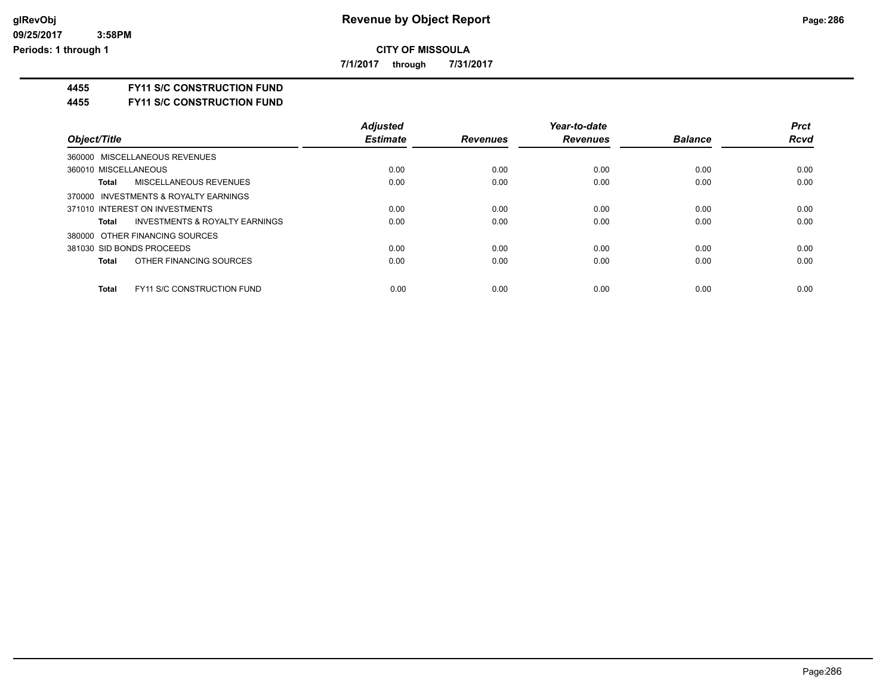**3:58PM**

**CITY OF MISSOULA**

**7/1/2017 through 7/31/2017**

# **4455 FY11 S/C CONSTRUCTION FUND**

#### **4455 FY11 S/C CONSTRUCTION FUND**

|                                                   | <b>Adjusted</b> |                 | Year-to-date    |                | <b>Prct</b> |
|---------------------------------------------------|-----------------|-----------------|-----------------|----------------|-------------|
| Object/Title                                      | <b>Estimate</b> | <b>Revenues</b> | <b>Revenues</b> | <b>Balance</b> | <b>Rcvd</b> |
| 360000 MISCELLANEOUS REVENUES                     |                 |                 |                 |                |             |
| 360010 MISCELLANEOUS                              | 0.00            | 0.00            | 0.00            | 0.00           | 0.00        |
| <b>MISCELLANEOUS REVENUES</b><br><b>Total</b>     | 0.00            | 0.00            | 0.00            | 0.00           | 0.00        |
| 370000 INVESTMENTS & ROYALTY EARNINGS             |                 |                 |                 |                |             |
| 371010 INTEREST ON INVESTMENTS                    | 0.00            | 0.00            | 0.00            | 0.00           | 0.00        |
| INVESTMENTS & ROYALTY EARNINGS<br>Total           | 0.00            | 0.00            | 0.00            | 0.00           | 0.00        |
| 380000 OTHER FINANCING SOURCES                    |                 |                 |                 |                |             |
| 381030 SID BONDS PROCEEDS                         | 0.00            | 0.00            | 0.00            | 0.00           | 0.00        |
| OTHER FINANCING SOURCES<br><b>Total</b>           | 0.00            | 0.00            | 0.00            | 0.00           | 0.00        |
| <b>FY11 S/C CONSTRUCTION FUND</b><br><b>Total</b> | 0.00            | 0.00            | 0.00            | 0.00           | 0.00        |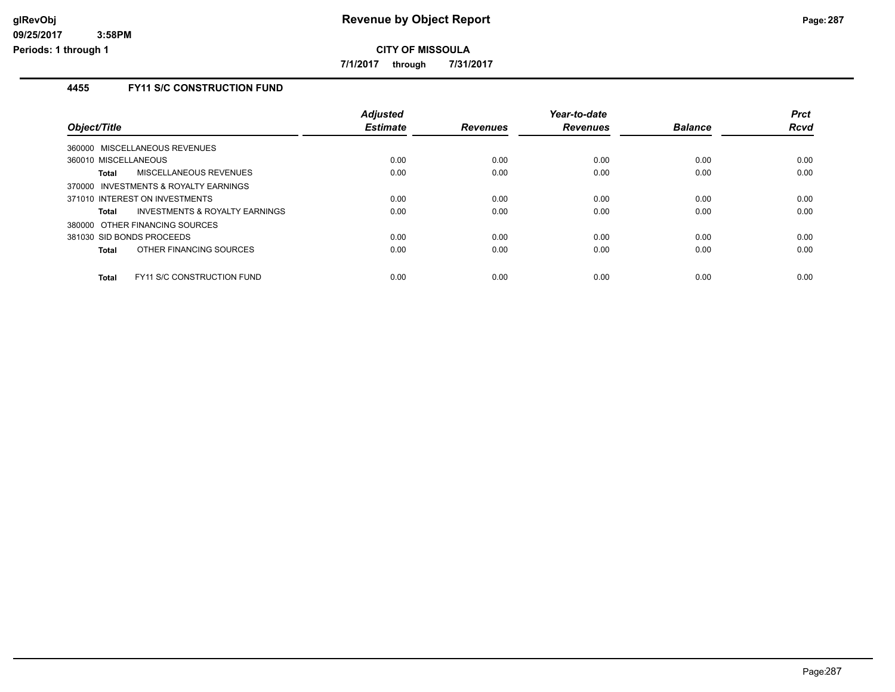**CITY OF MISSOULA**

**7/1/2017 through 7/31/2017**

# **4455 FY11 S/C CONSTRUCTION FUND**

 **3:58PM**

| Object/Title                                      | <b>Adjusted</b><br><b>Estimate</b> | <b>Revenues</b> | Year-to-date<br><b>Revenues</b> | <b>Balance</b> | <b>Prct</b><br><b>Rcvd</b> |
|---------------------------------------------------|------------------------------------|-----------------|---------------------------------|----------------|----------------------------|
| 360000 MISCELLANEOUS REVENUES                     |                                    |                 |                                 |                |                            |
| 360010 MISCELLANEOUS                              | 0.00                               | 0.00            | 0.00                            | 0.00           | 0.00                       |
| MISCELLANEOUS REVENUES<br>Total                   | 0.00                               | 0.00            | 0.00                            | 0.00           | 0.00                       |
| 370000 INVESTMENTS & ROYALTY EARNINGS             |                                    |                 |                                 |                |                            |
| 371010 INTEREST ON INVESTMENTS                    | 0.00                               | 0.00            | 0.00                            | 0.00           | 0.00                       |
| INVESTMENTS & ROYALTY EARNINGS<br>Total           | 0.00                               | 0.00            | 0.00                            | 0.00           | 0.00                       |
| 380000 OTHER FINANCING SOURCES                    |                                    |                 |                                 |                |                            |
| 381030 SID BONDS PROCEEDS                         | 0.00                               | 0.00            | 0.00                            | 0.00           | 0.00                       |
| OTHER FINANCING SOURCES<br>Total                  | 0.00                               | 0.00            | 0.00                            | 0.00           | 0.00                       |
| <b>FY11 S/C CONSTRUCTION FUND</b><br><b>Total</b> | 0.00                               | 0.00            | 0.00                            | 0.00           | 0.00                       |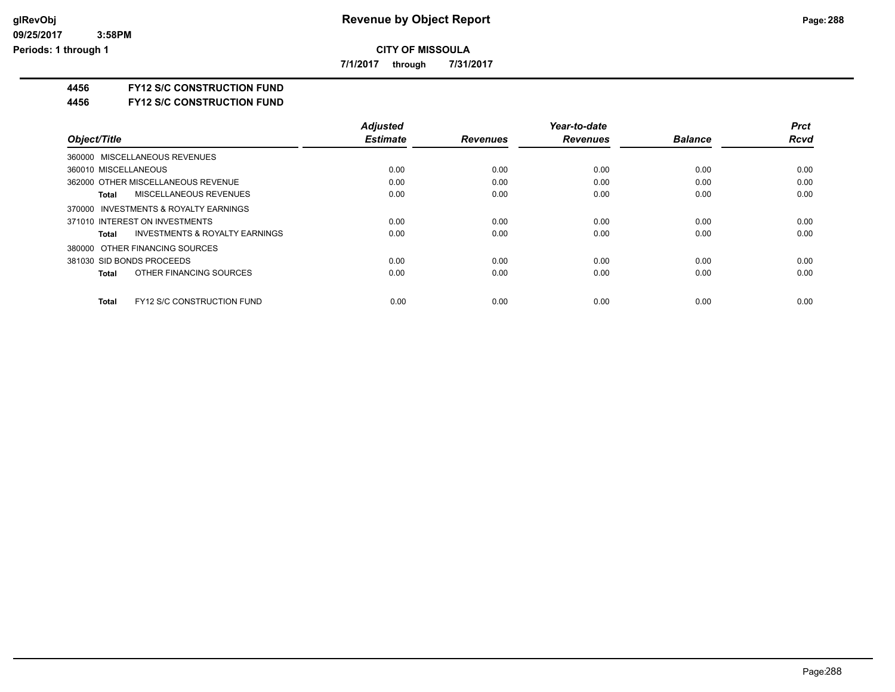**7/1/2017 through 7/31/2017**

# **4456 FY12 S/C CONSTRUCTION FUND**

#### **4456 FY12 S/C CONSTRUCTION FUND**

|                                                    | <b>Adjusted</b> |                 | Year-to-date    |                | <b>Prct</b> |
|----------------------------------------------------|-----------------|-----------------|-----------------|----------------|-------------|
| Object/Title                                       | <b>Estimate</b> | <b>Revenues</b> | <b>Revenues</b> | <b>Balance</b> | <b>Rcvd</b> |
| 360000 MISCELLANEOUS REVENUES                      |                 |                 |                 |                |             |
| 360010 MISCELLANEOUS                               | 0.00            | 0.00            | 0.00            | 0.00           | 0.00        |
| 362000 OTHER MISCELLANEOUS REVENUE                 | 0.00            | 0.00            | 0.00            | 0.00           | 0.00        |
| MISCELLANEOUS REVENUES<br>Total                    | 0.00            | 0.00            | 0.00            | 0.00           | 0.00        |
| 370000 INVESTMENTS & ROYALTY EARNINGS              |                 |                 |                 |                |             |
| 371010 INTEREST ON INVESTMENTS                     | 0.00            | 0.00            | 0.00            | 0.00           | 0.00        |
| <b>INVESTMENTS &amp; ROYALTY EARNINGS</b><br>Total | 0.00            | 0.00            | 0.00            | 0.00           | 0.00        |
| 380000 OTHER FINANCING SOURCES                     |                 |                 |                 |                |             |
| 381030 SID BONDS PROCEEDS                          | 0.00            | 0.00            | 0.00            | 0.00           | 0.00        |
| OTHER FINANCING SOURCES<br>Total                   | 0.00            | 0.00            | 0.00            | 0.00           | 0.00        |
| FY12 S/C CONSTRUCTION FUND<br><b>Total</b>         | 0.00            | 0.00            | 0.00            | 0.00           | 0.00        |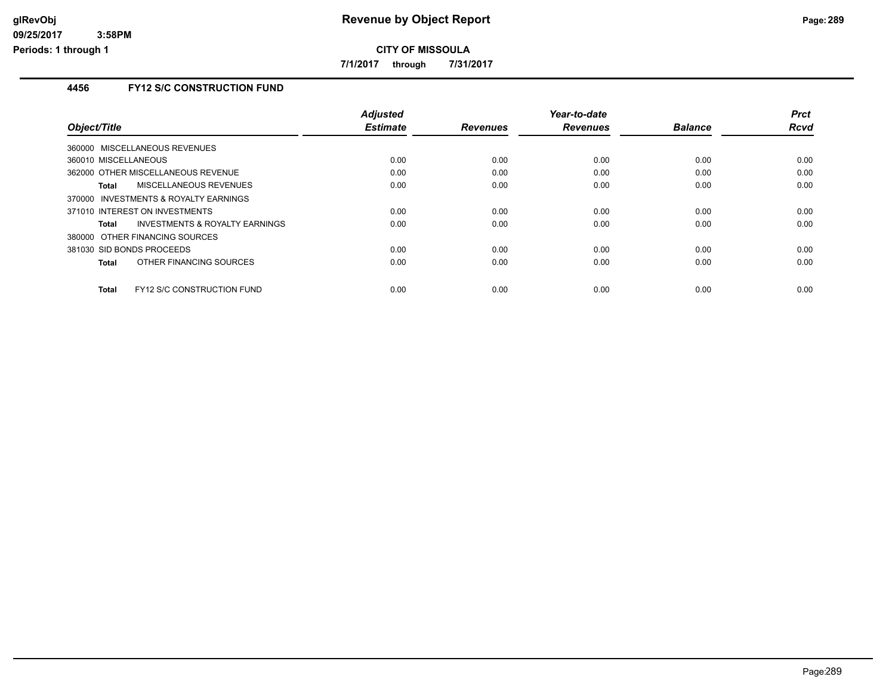**09/25/2017 3:58PM Periods: 1 through 1**

#### **CITY OF MISSOULA**

**7/1/2017 through 7/31/2017**

# **4456 FY12 S/C CONSTRUCTION FUND**

|                                                    | <b>Adjusted</b> |                 | Year-to-date    |                | <b>Prct</b> |
|----------------------------------------------------|-----------------|-----------------|-----------------|----------------|-------------|
| Object/Title                                       | <b>Estimate</b> | <b>Revenues</b> | <b>Revenues</b> | <b>Balance</b> | <b>Rcvd</b> |
| 360000 MISCELLANEOUS REVENUES                      |                 |                 |                 |                |             |
| 360010 MISCELLANEOUS                               | 0.00            | 0.00            | 0.00            | 0.00           | 0.00        |
| 362000 OTHER MISCELLANEOUS REVENUE                 | 0.00            | 0.00            | 0.00            | 0.00           | 0.00        |
| <b>MISCELLANEOUS REVENUES</b><br>Total             | 0.00            | 0.00            | 0.00            | 0.00           | 0.00        |
| 370000 INVESTMENTS & ROYALTY EARNINGS              |                 |                 |                 |                |             |
| 371010 INTEREST ON INVESTMENTS                     | 0.00            | 0.00            | 0.00            | 0.00           | 0.00        |
| <b>INVESTMENTS &amp; ROYALTY EARNINGS</b><br>Total | 0.00            | 0.00            | 0.00            | 0.00           | 0.00        |
| 380000 OTHER FINANCING SOURCES                     |                 |                 |                 |                |             |
| 381030 SID BONDS PROCEEDS                          | 0.00            | 0.00            | 0.00            | 0.00           | 0.00        |
| OTHER FINANCING SOURCES<br>Total                   | 0.00            | 0.00            | 0.00            | 0.00           | 0.00        |
| FY12 S/C CONSTRUCTION FUND<br><b>Total</b>         | 0.00            | 0.00            | 0.00            | 0.00           | 0.00        |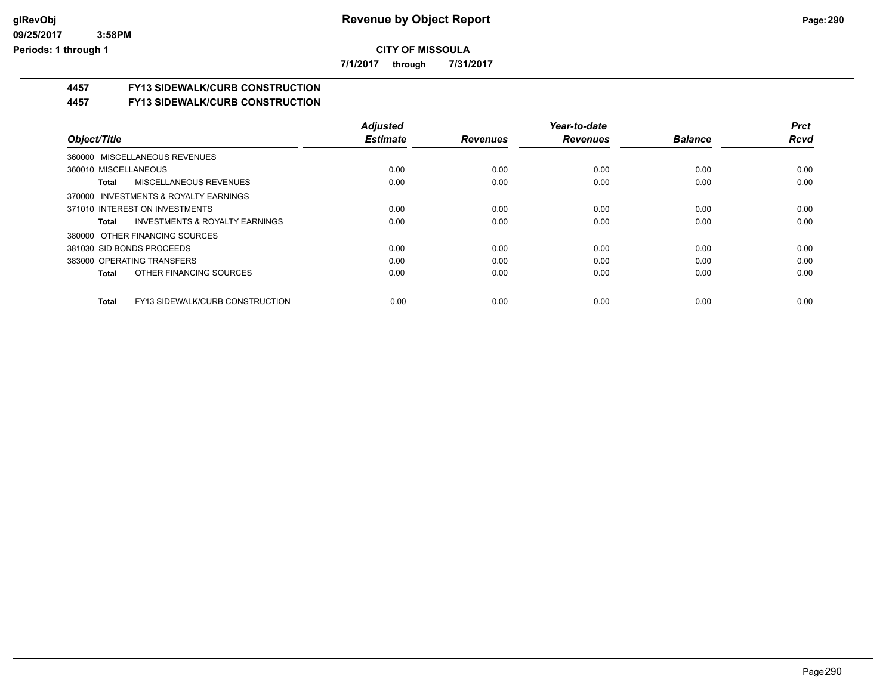**3:58PM**

**glRevObj Revenue by Object Report Page:290** 

**CITY OF MISSOULA**

**7/1/2017 through 7/31/2017**

# **4457 FY13 SIDEWALK/CURB CONSTRUCTION**

# **4457 FY13 SIDEWALK/CURB CONSTRUCTION**

|                                                    | <b>Adjusted</b> |                 | Year-to-date    |                | <b>Prct</b> |
|----------------------------------------------------|-----------------|-----------------|-----------------|----------------|-------------|
| Object/Title                                       | <b>Estimate</b> | <b>Revenues</b> | <b>Revenues</b> | <b>Balance</b> | <b>Rcvd</b> |
| 360000 MISCELLANEOUS REVENUES                      |                 |                 |                 |                |             |
| 360010 MISCELLANEOUS                               | 0.00            | 0.00            | 0.00            | 0.00           | 0.00        |
| <b>MISCELLANEOUS REVENUES</b><br>Total             | 0.00            | 0.00            | 0.00            | 0.00           | 0.00        |
| 370000 INVESTMENTS & ROYALTY EARNINGS              |                 |                 |                 |                |             |
| 371010 INTEREST ON INVESTMENTS                     | 0.00            | 0.00            | 0.00            | 0.00           | 0.00        |
| <b>INVESTMENTS &amp; ROYALTY EARNINGS</b><br>Total | 0.00            | 0.00            | 0.00            | 0.00           | 0.00        |
| 380000 OTHER FINANCING SOURCES                     |                 |                 |                 |                |             |
| 381030 SID BONDS PROCEEDS                          | 0.00            | 0.00            | 0.00            | 0.00           | 0.00        |
| 383000 OPERATING TRANSFERS                         | 0.00            | 0.00            | 0.00            | 0.00           | 0.00        |
| OTHER FINANCING SOURCES<br>Total                   | 0.00            | 0.00            | 0.00            | 0.00           | 0.00        |
| FY13 SIDEWALK/CURB CONSTRUCTION<br>Total           | 0.00            | 0.00            | 0.00            | 0.00           | 0.00        |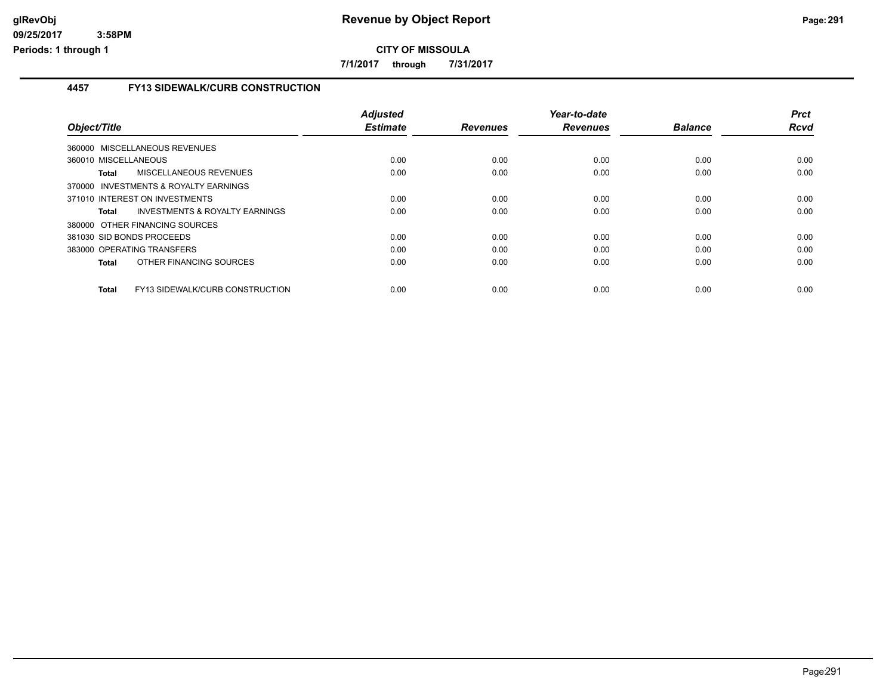**3:58PM**

**CITY OF MISSOULA**

**7/1/2017 through 7/31/2017**

# **4457 FY13 SIDEWALK/CURB CONSTRUCTION**

|                                                    | <b>Adjusted</b> |                 | Year-to-date    |                | <b>Prct</b> |
|----------------------------------------------------|-----------------|-----------------|-----------------|----------------|-------------|
| Object/Title                                       | <b>Estimate</b> | <b>Revenues</b> | <b>Revenues</b> | <b>Balance</b> | <b>Rcvd</b> |
| 360000 MISCELLANEOUS REVENUES                      |                 |                 |                 |                |             |
| 360010 MISCELLANEOUS                               | 0.00            | 0.00            | 0.00            | 0.00           | 0.00        |
| MISCELLANEOUS REVENUES<br><b>Total</b>             | 0.00            | 0.00            | 0.00            | 0.00           | 0.00        |
| 370000 INVESTMENTS & ROYALTY EARNINGS              |                 |                 |                 |                |             |
| 371010 INTEREST ON INVESTMENTS                     | 0.00            | 0.00            | 0.00            | 0.00           | 0.00        |
| <b>INVESTMENTS &amp; ROYALTY EARNINGS</b><br>Total | 0.00            | 0.00            | 0.00            | 0.00           | 0.00        |
| 380000 OTHER FINANCING SOURCES                     |                 |                 |                 |                |             |
| 381030 SID BONDS PROCEEDS                          | 0.00            | 0.00            | 0.00            | 0.00           | 0.00        |
| 383000 OPERATING TRANSFERS                         | 0.00            | 0.00            | 0.00            | 0.00           | 0.00        |
| OTHER FINANCING SOURCES<br><b>Total</b>            | 0.00            | 0.00            | 0.00            | 0.00           | 0.00        |
| <b>Total</b><br>FY13 SIDEWALK/CURB CONSTRUCTION    | 0.00            | 0.00            | 0.00            | 0.00           | 0.00        |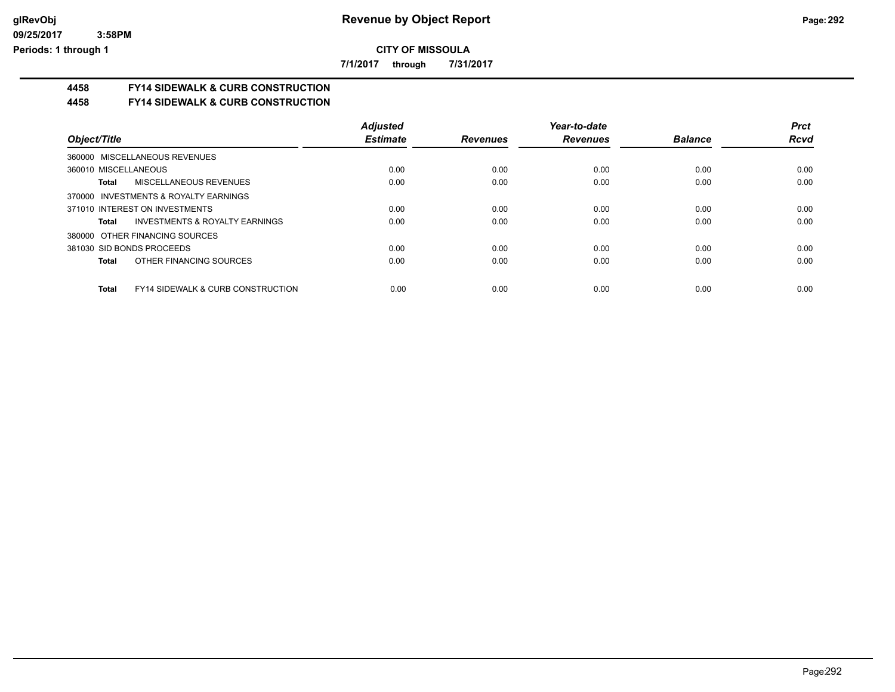**3:58PM**

**glRevObj Revenue by Object Report Page:292** 

**CITY OF MISSOULA**

**7/1/2017 through 7/31/2017**

# **4458 FY14 SIDEWALK & CURB CONSTRUCTION**

# **4458 FY14 SIDEWALK & CURB CONSTRUCTION**

|                                                              | <b>Adjusted</b> |                 | Year-to-date    |                | <b>Prct</b> |
|--------------------------------------------------------------|-----------------|-----------------|-----------------|----------------|-------------|
| Object/Title                                                 | <b>Estimate</b> | <b>Revenues</b> | <b>Revenues</b> | <b>Balance</b> | <b>Rcvd</b> |
| 360000 MISCELLANEOUS REVENUES                                |                 |                 |                 |                |             |
| 360010 MISCELLANEOUS                                         | 0.00            | 0.00            | 0.00            | 0.00           | 0.00        |
| MISCELLANEOUS REVENUES<br>Total                              | 0.00            | 0.00            | 0.00            | 0.00           | 0.00        |
| 370000 INVESTMENTS & ROYALTY EARNINGS                        |                 |                 |                 |                |             |
| 371010 INTEREST ON INVESTMENTS                               | 0.00            | 0.00            | 0.00            | 0.00           | 0.00        |
| <b>INVESTMENTS &amp; ROYALTY EARNINGS</b><br>Total           | 0.00            | 0.00            | 0.00            | 0.00           | 0.00        |
| 380000 OTHER FINANCING SOURCES                               |                 |                 |                 |                |             |
| 381030 SID BONDS PROCEEDS                                    | 0.00            | 0.00            | 0.00            | 0.00           | 0.00        |
| OTHER FINANCING SOURCES<br><b>Total</b>                      | 0.00            | 0.00            | 0.00            | 0.00           | 0.00        |
| <b>FY14 SIDEWALK &amp; CURB CONSTRUCTION</b><br><b>Total</b> | 0.00            | 0.00            | 0.00            | 0.00           | 0.00        |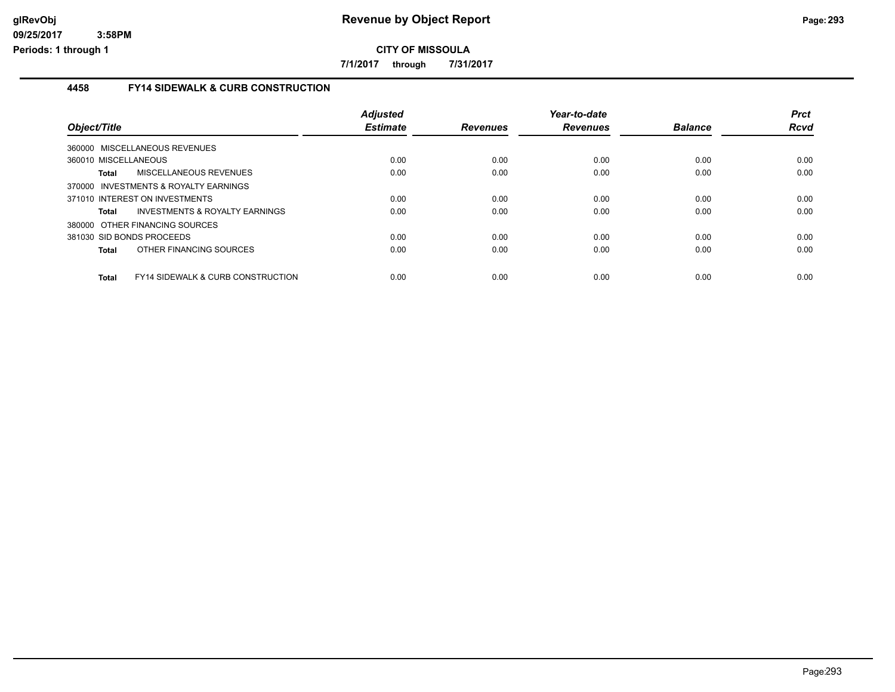**3:58PM**

**CITY OF MISSOULA**

**7/1/2017 through 7/31/2017**

# **4458 FY14 SIDEWALK & CURB CONSTRUCTION**

| Object/Title                          |                                              | <b>Adjusted</b><br><b>Estimate</b> | <b>Revenues</b> | Year-to-date<br><b>Revenues</b> | <b>Balance</b> | <b>Prct</b><br><b>Rcvd</b> |
|---------------------------------------|----------------------------------------------|------------------------------------|-----------------|---------------------------------|----------------|----------------------------|
| 360000 MISCELLANEOUS REVENUES         |                                              |                                    |                 |                                 |                |                            |
| 360010 MISCELLANEOUS                  |                                              | 0.00                               | 0.00            | 0.00                            | 0.00           | 0.00                       |
| <b>Total</b>                          | MISCELLANEOUS REVENUES                       | 0.00                               | 0.00            | 0.00                            | 0.00           | 0.00                       |
| 370000 INVESTMENTS & ROYALTY EARNINGS |                                              |                                    |                 |                                 |                |                            |
| 371010 INTEREST ON INVESTMENTS        |                                              | 0.00                               | 0.00            | 0.00                            | 0.00           | 0.00                       |
| <b>Total</b>                          | INVESTMENTS & ROYALTY EARNINGS               | 0.00                               | 0.00            | 0.00                            | 0.00           | 0.00                       |
| 380000 OTHER FINANCING SOURCES        |                                              |                                    |                 |                                 |                |                            |
| 381030 SID BONDS PROCEEDS             |                                              | 0.00                               | 0.00            | 0.00                            | 0.00           | 0.00                       |
| <b>Total</b>                          | OTHER FINANCING SOURCES                      | 0.00                               | 0.00            | 0.00                            | 0.00           | 0.00                       |
| <b>Total</b>                          | <b>FY14 SIDEWALK &amp; CURB CONSTRUCTION</b> | 0.00                               | 0.00            | 0.00                            | 0.00           | 0.00                       |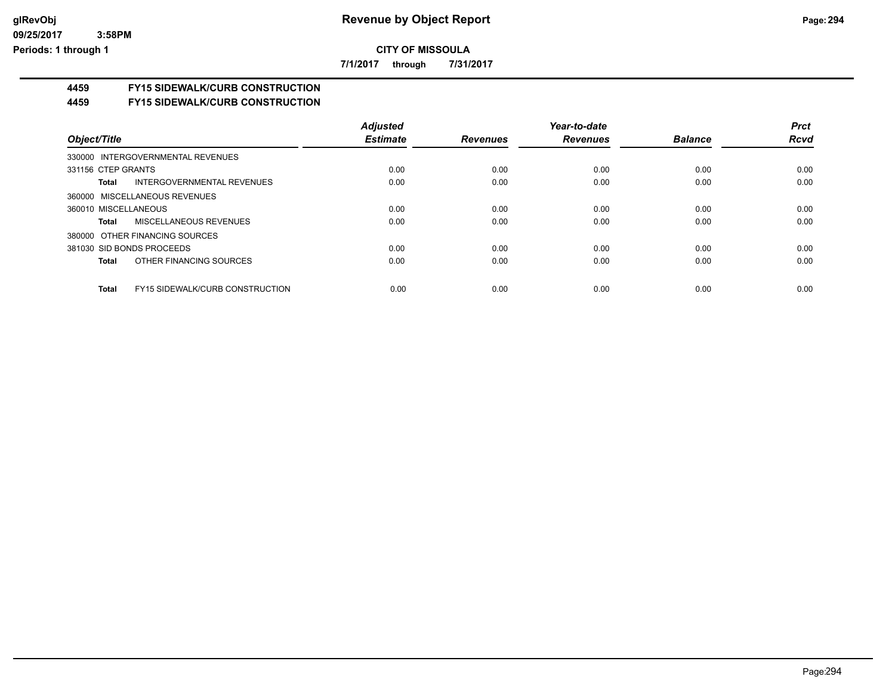**09/25/2017 3:58PM Periods: 1 through 1**

**CITY OF MISSOULA**

**7/1/2017 through 7/31/2017**

# **4459 FY15 SIDEWALK/CURB CONSTRUCTION**

# **4459 FY15 SIDEWALK/CURB CONSTRUCTION**

|                                                 | <b>Adjusted</b> |                 | Year-to-date    |                | <b>Prct</b> |
|-------------------------------------------------|-----------------|-----------------|-----------------|----------------|-------------|
| Object/Title                                    | <b>Estimate</b> | <b>Revenues</b> | <b>Revenues</b> | <b>Balance</b> | <b>Rcvd</b> |
| 330000 INTERGOVERNMENTAL REVENUES               |                 |                 |                 |                |             |
| 331156 CTEP GRANTS                              | 0.00            | 0.00            | 0.00            | 0.00           | 0.00        |
| <b>INTERGOVERNMENTAL REVENUES</b><br>Total      | 0.00            | 0.00            | 0.00            | 0.00           | 0.00        |
| 360000 MISCELLANEOUS REVENUES                   |                 |                 |                 |                |             |
| 360010 MISCELLANEOUS                            | 0.00            | 0.00            | 0.00            | 0.00           | 0.00        |
| MISCELLANEOUS REVENUES<br>Total                 | 0.00            | 0.00            | 0.00            | 0.00           | 0.00        |
| 380000 OTHER FINANCING SOURCES                  |                 |                 |                 |                |             |
| 381030 SID BONDS PROCEEDS                       | 0.00            | 0.00            | 0.00            | 0.00           | 0.00        |
| OTHER FINANCING SOURCES<br>Total                | 0.00            | 0.00            | 0.00            | 0.00           | 0.00        |
| FY15 SIDEWALK/CURB CONSTRUCTION<br><b>Total</b> | 0.00            | 0.00            | 0.00            | 0.00           | 0.00        |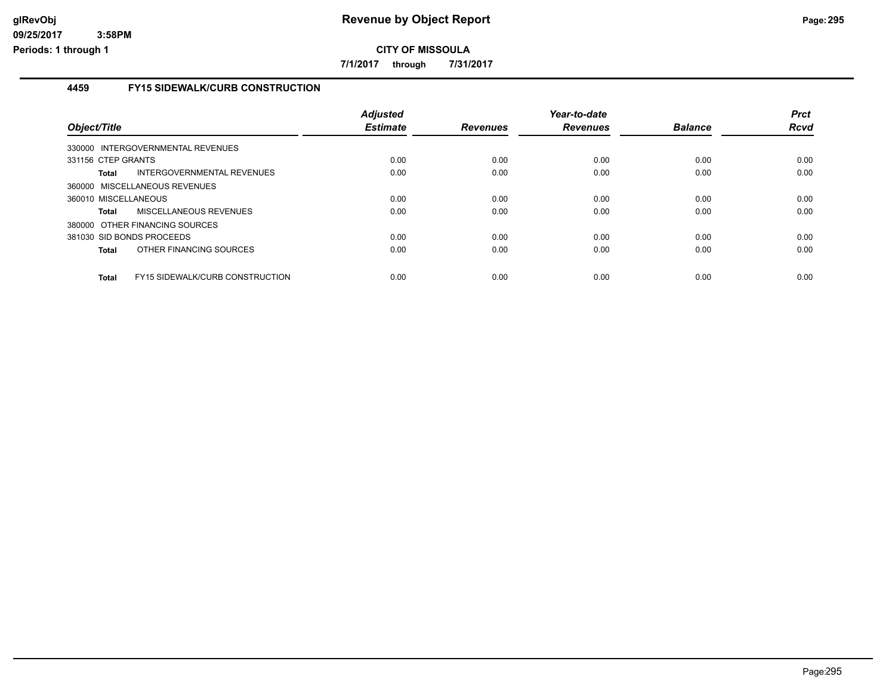**3:58PM**

**CITY OF MISSOULA**

**7/1/2017 through 7/31/2017**

# **4459 FY15 SIDEWALK/CURB CONSTRUCTION**

| Object/Title                      |                                 | <b>Adjusted</b><br><b>Estimate</b> | <b>Revenues</b> | Year-to-date<br><b>Revenues</b> | <b>Balance</b> | <b>Prct</b><br><b>Rcvd</b> |
|-----------------------------------|---------------------------------|------------------------------------|-----------------|---------------------------------|----------------|----------------------------|
| 330000 INTERGOVERNMENTAL REVENUES |                                 |                                    |                 |                                 |                |                            |
| 331156 CTEP GRANTS                |                                 | 0.00                               | 0.00            | 0.00                            | 0.00           | 0.00                       |
| <b>Total</b>                      | INTERGOVERNMENTAL REVENUES      | 0.00                               | 0.00            | 0.00                            | 0.00           | 0.00                       |
| 360000 MISCELLANEOUS REVENUES     |                                 |                                    |                 |                                 |                |                            |
| 360010 MISCELLANEOUS              |                                 | 0.00                               | 0.00            | 0.00                            | 0.00           | 0.00                       |
| <b>Total</b>                      | MISCELLANEOUS REVENUES          | 0.00                               | 0.00            | 0.00                            | 0.00           | 0.00                       |
| 380000 OTHER FINANCING SOURCES    |                                 |                                    |                 |                                 |                |                            |
| 381030 SID BONDS PROCEEDS         |                                 | 0.00                               | 0.00            | 0.00                            | 0.00           | 0.00                       |
| <b>Total</b>                      | OTHER FINANCING SOURCES         | 0.00                               | 0.00            | 0.00                            | 0.00           | 0.00                       |
| <b>Total</b>                      | FY15 SIDEWALK/CURB CONSTRUCTION | 0.00                               | 0.00            | 0.00                            | 0.00           | 0.00                       |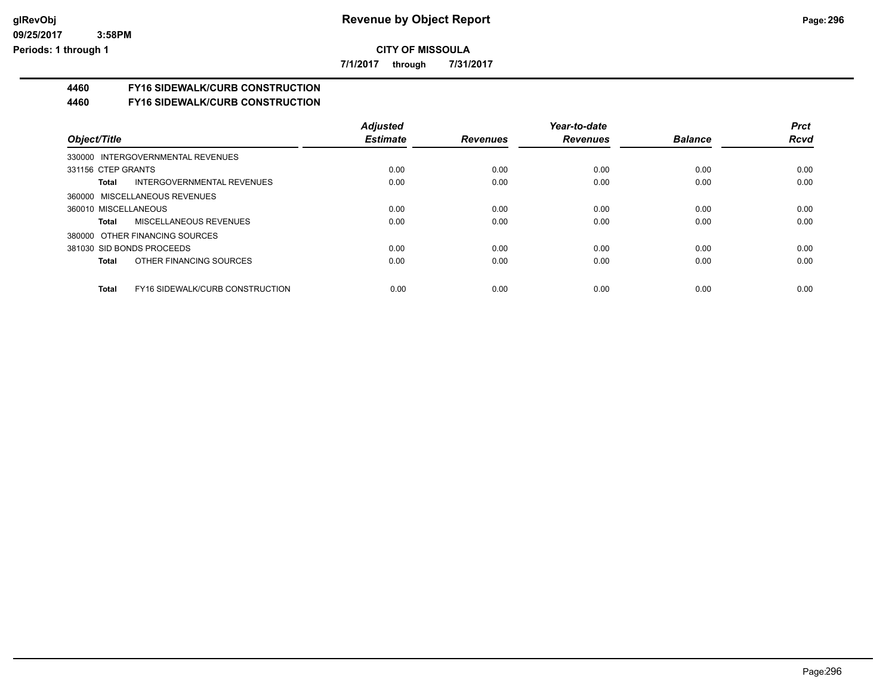**09/25/2017 3:58PM Periods: 1 through 1**

**CITY OF MISSOULA**

**7/1/2017 through 7/31/2017**

# **4460 FY16 SIDEWALK/CURB CONSTRUCTION**

**4460 FY16 SIDEWALK/CURB CONSTRUCTION**

|                                                 | <b>Adjusted</b> |                 | Year-to-date    |                | <b>Prct</b> |
|-------------------------------------------------|-----------------|-----------------|-----------------|----------------|-------------|
| Object/Title                                    | <b>Estimate</b> | <b>Revenues</b> | <b>Revenues</b> | <b>Balance</b> | <b>Rcvd</b> |
| 330000 INTERGOVERNMENTAL REVENUES               |                 |                 |                 |                |             |
| 331156 CTEP GRANTS                              | 0.00            | 0.00            | 0.00            | 0.00           | 0.00        |
| INTERGOVERNMENTAL REVENUES<br>Total             | 0.00            | 0.00            | 0.00            | 0.00           | 0.00        |
| 360000 MISCELLANEOUS REVENUES                   |                 |                 |                 |                |             |
| 360010 MISCELLANEOUS                            | 0.00            | 0.00            | 0.00            | 0.00           | 0.00        |
| <b>MISCELLANEOUS REVENUES</b><br>Total          | 0.00            | 0.00            | 0.00            | 0.00           | 0.00        |
| 380000 OTHER FINANCING SOURCES                  |                 |                 |                 |                |             |
| 381030 SID BONDS PROCEEDS                       | 0.00            | 0.00            | 0.00            | 0.00           | 0.00        |
| OTHER FINANCING SOURCES<br>Total                | 0.00            | 0.00            | 0.00            | 0.00           | 0.00        |
| <b>FY16 SIDEWALK/CURB CONSTRUCTION</b><br>Total | 0.00            | 0.00            | 0.00            | 0.00           | 0.00        |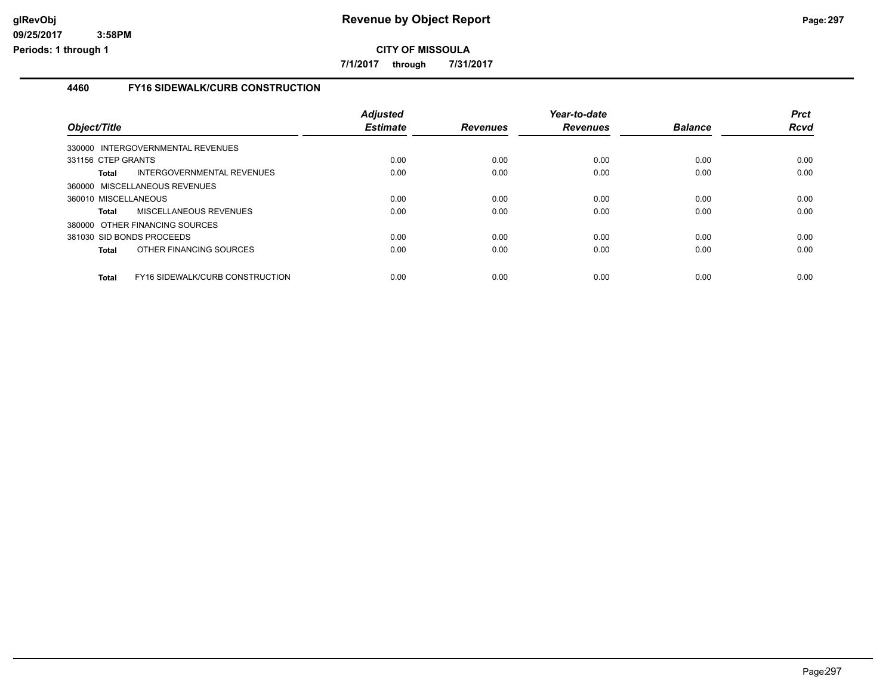**3:58PM**

**CITY OF MISSOULA**

**7/1/2017 through 7/31/2017**

### **4460 FY16 SIDEWALK/CURB CONSTRUCTION**

| Object/Title                                    | <b>Adjusted</b><br><b>Estimate</b> | <b>Revenues</b> | Year-to-date<br><b>Revenues</b> | <b>Balance</b> | <b>Prct</b><br><b>Rcvd</b> |
|-------------------------------------------------|------------------------------------|-----------------|---------------------------------|----------------|----------------------------|
| 330000 INTERGOVERNMENTAL REVENUES               |                                    |                 |                                 |                |                            |
| 331156 CTEP GRANTS                              | 0.00                               | 0.00            | 0.00                            | 0.00           | 0.00                       |
| INTERGOVERNMENTAL REVENUES<br><b>Total</b>      | 0.00                               | 0.00            | 0.00                            | 0.00           | 0.00                       |
| 360000 MISCELLANEOUS REVENUES                   |                                    |                 |                                 |                |                            |
| 360010 MISCELLANEOUS                            | 0.00                               | 0.00            | 0.00                            | 0.00           | 0.00                       |
| MISCELLANEOUS REVENUES<br><b>Total</b>          | 0.00                               | 0.00            | 0.00                            | 0.00           | 0.00                       |
| 380000 OTHER FINANCING SOURCES                  |                                    |                 |                                 |                |                            |
| 381030 SID BONDS PROCEEDS                       | 0.00                               | 0.00            | 0.00                            | 0.00           | 0.00                       |
| OTHER FINANCING SOURCES<br><b>Total</b>         | 0.00                               | 0.00            | 0.00                            | 0.00           | 0.00                       |
| FY16 SIDEWALK/CURB CONSTRUCTION<br><b>Total</b> | 0.00                               | 0.00            | 0.00                            | 0.00           | 0.00                       |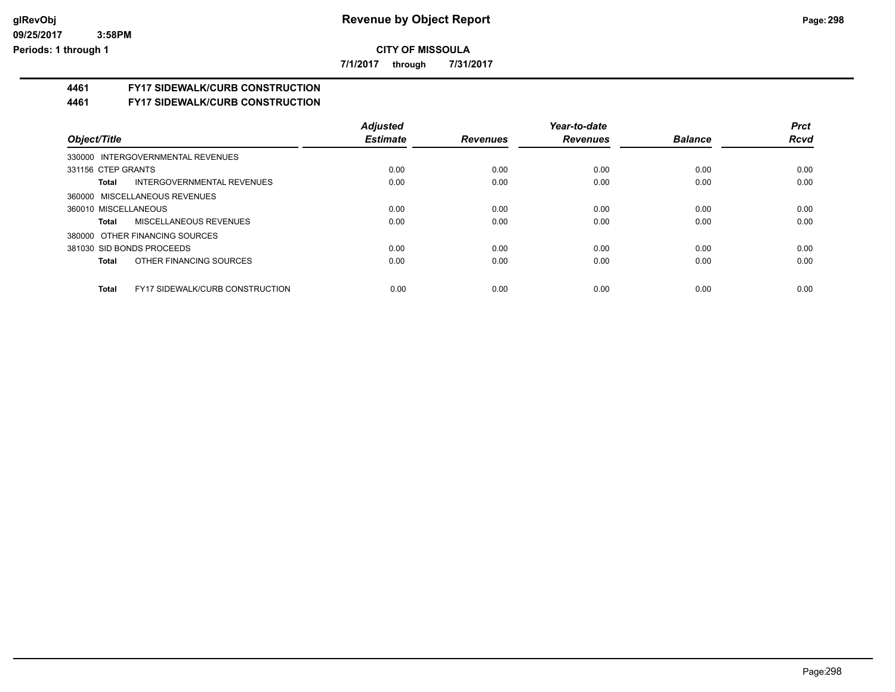**09/25/2017 3:58PM Periods: 1 through 1**

**CITY OF MISSOULA**

**7/1/2017 through 7/31/2017**

# **4461 FY17 SIDEWALK/CURB CONSTRUCTION**

**4461 FY17 SIDEWALK/CURB CONSTRUCTION**

|                                                 | <b>Adjusted</b> |                 | Year-to-date    |                | <b>Prct</b> |
|-------------------------------------------------|-----------------|-----------------|-----------------|----------------|-------------|
| Object/Title                                    | <b>Estimate</b> | <b>Revenues</b> | <b>Revenues</b> | <b>Balance</b> | <b>Rcvd</b> |
| 330000 INTERGOVERNMENTAL REVENUES               |                 |                 |                 |                |             |
| 331156 CTEP GRANTS                              | 0.00            | 0.00            | 0.00            | 0.00           | 0.00        |
| INTERGOVERNMENTAL REVENUES<br>Total             | 0.00            | 0.00            | 0.00            | 0.00           | 0.00        |
| 360000 MISCELLANEOUS REVENUES                   |                 |                 |                 |                |             |
| 360010 MISCELLANEOUS                            | 0.00            | 0.00            | 0.00            | 0.00           | 0.00        |
| MISCELLANEOUS REVENUES<br>Total                 | 0.00            | 0.00            | 0.00            | 0.00           | 0.00        |
| 380000 OTHER FINANCING SOURCES                  |                 |                 |                 |                |             |
| 381030 SID BONDS PROCEEDS                       | 0.00            | 0.00            | 0.00            | 0.00           | 0.00        |
| OTHER FINANCING SOURCES<br>Total                | 0.00            | 0.00            | 0.00            | 0.00           | 0.00        |
| <b>FY17 SIDEWALK/CURB CONSTRUCTION</b><br>Total | 0.00            | 0.00            | 0.00            | 0.00           | 0.00        |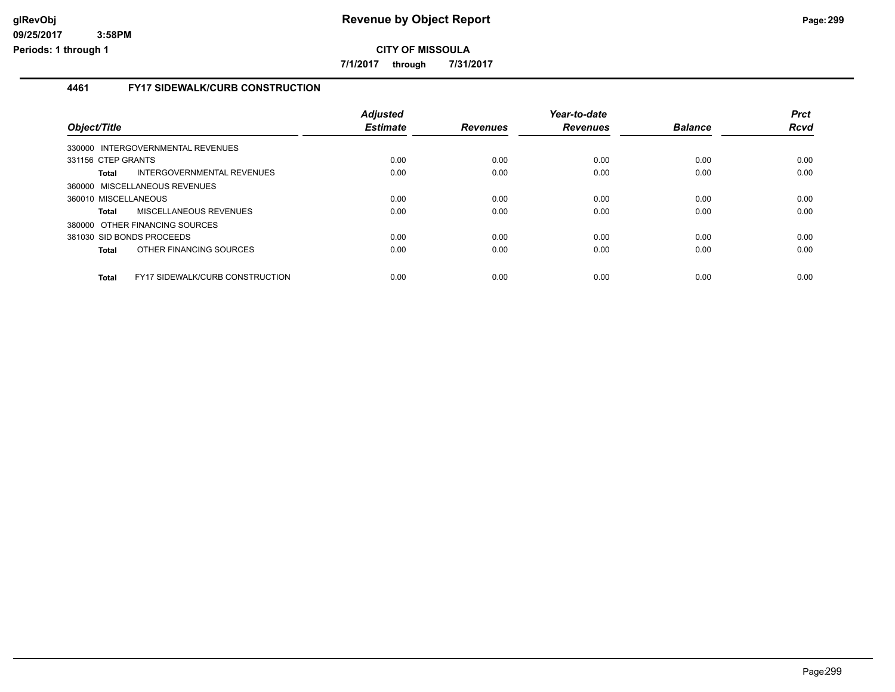**3:58PM**

**CITY OF MISSOULA**

**7/1/2017 through 7/31/2017**

# **4461 FY17 SIDEWALK/CURB CONSTRUCTION**

| Object/Title                                    | <b>Adjusted</b><br><b>Estimate</b> | <b>Revenues</b> | Year-to-date<br><b>Revenues</b> | <b>Balance</b> | <b>Prct</b><br><b>Rcvd</b> |
|-------------------------------------------------|------------------------------------|-----------------|---------------------------------|----------------|----------------------------|
| 330000 INTERGOVERNMENTAL REVENUES               |                                    |                 |                                 |                |                            |
| 331156 CTEP GRANTS                              | 0.00                               | 0.00            | 0.00                            | 0.00           | 0.00                       |
| INTERGOVERNMENTAL REVENUES<br><b>Total</b>      | 0.00                               | 0.00            | 0.00                            | 0.00           | 0.00                       |
| 360000 MISCELLANEOUS REVENUES                   |                                    |                 |                                 |                |                            |
| 360010 MISCELLANEOUS                            | 0.00                               | 0.00            | 0.00                            | 0.00           | 0.00                       |
| MISCELLANEOUS REVENUES<br><b>Total</b>          | 0.00                               | 0.00            | 0.00                            | 0.00           | 0.00                       |
| 380000 OTHER FINANCING SOURCES                  |                                    |                 |                                 |                |                            |
| 381030 SID BONDS PROCEEDS                       | 0.00                               | 0.00            | 0.00                            | 0.00           | 0.00                       |
| OTHER FINANCING SOURCES<br><b>Total</b>         | 0.00                               | 0.00            | 0.00                            | 0.00           | 0.00                       |
| FY17 SIDEWALK/CURB CONSTRUCTION<br><b>Total</b> | 0.00                               | 0.00            | 0.00                            | 0.00           | 0.00                       |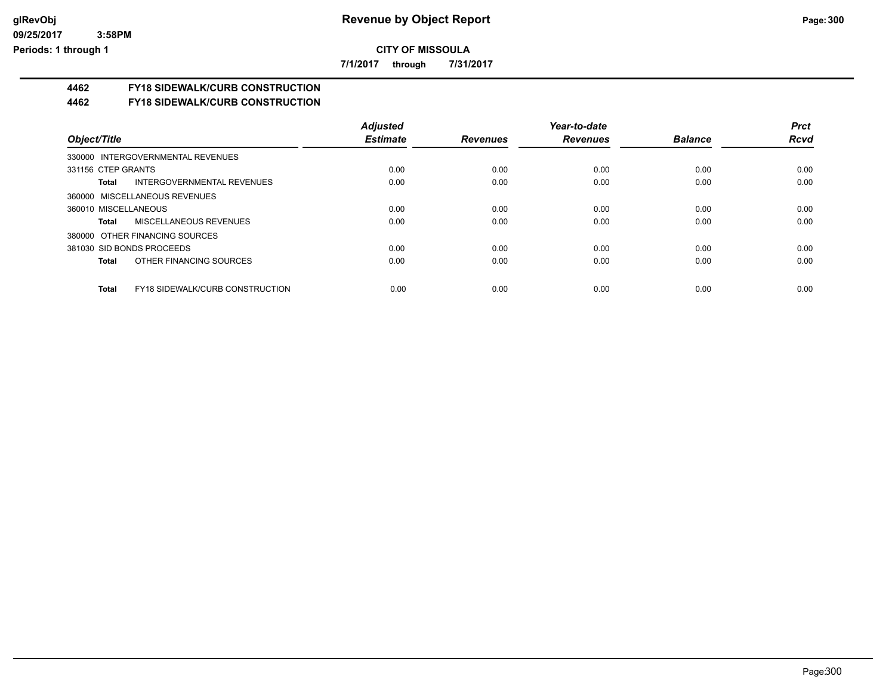**3:58PM**

**glRevObj Revenue by Object Report Page:300** 

**CITY OF MISSOULA**

**7/1/2017 through 7/31/2017**

# **4462 FY18 SIDEWALK/CURB CONSTRUCTION**

**4462 FY18 SIDEWALK/CURB CONSTRUCTION**

|                                                 | <b>Adjusted</b> |                 | Year-to-date    |                | <b>Prct</b> |
|-------------------------------------------------|-----------------|-----------------|-----------------|----------------|-------------|
| Object/Title                                    | <b>Estimate</b> | <b>Revenues</b> | <b>Revenues</b> | <b>Balance</b> | <b>Rcvd</b> |
| 330000 INTERGOVERNMENTAL REVENUES               |                 |                 |                 |                |             |
| 331156 CTEP GRANTS                              | 0.00            | 0.00            | 0.00            | 0.00           | 0.00        |
| INTERGOVERNMENTAL REVENUES<br>Total             | 0.00            | 0.00            | 0.00            | 0.00           | 0.00        |
| 360000 MISCELLANEOUS REVENUES                   |                 |                 |                 |                |             |
| 360010 MISCELLANEOUS                            | 0.00            | 0.00            | 0.00            | 0.00           | 0.00        |
| <b>MISCELLANEOUS REVENUES</b><br>Total          | 0.00            | 0.00            | 0.00            | 0.00           | 0.00        |
| 380000 OTHER FINANCING SOURCES                  |                 |                 |                 |                |             |
| 381030 SID BONDS PROCEEDS                       | 0.00            | 0.00            | 0.00            | 0.00           | 0.00        |
| OTHER FINANCING SOURCES<br>Total                | 0.00            | 0.00            | 0.00            | 0.00           | 0.00        |
| <b>FY18 SIDEWALK/CURB CONSTRUCTION</b><br>Total | 0.00            | 0.00            | 0.00            | 0.00           | 0.00        |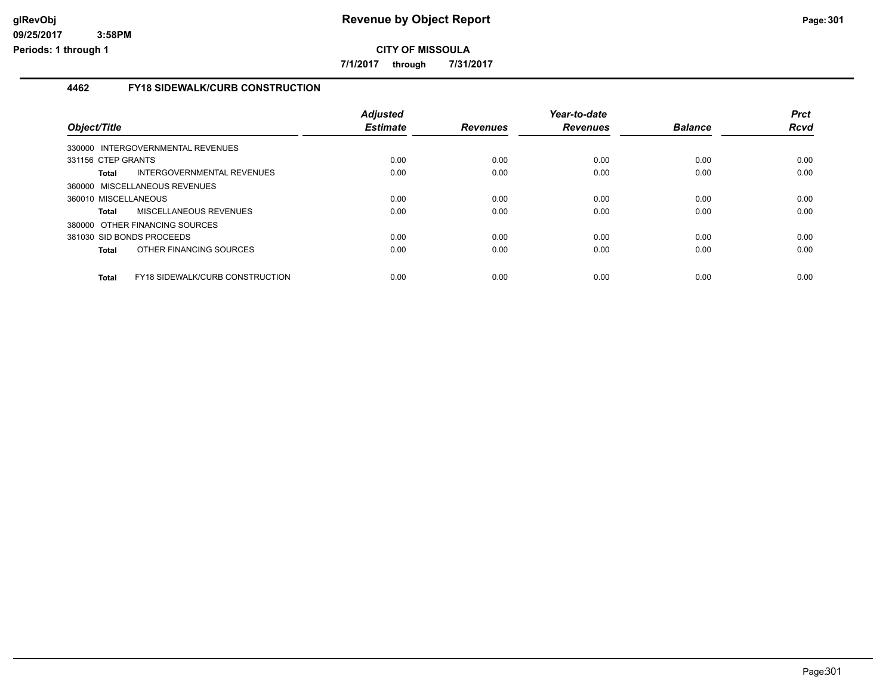**3:58PM**

**CITY OF MISSOULA**

**7/1/2017 through 7/31/2017**

# **4462 FY18 SIDEWALK/CURB CONSTRUCTION**

| Object/Title                                    | <b>Adjusted</b><br><b>Estimate</b> | <b>Revenues</b> | Year-to-date<br><b>Revenues</b> | <b>Balance</b> | <b>Prct</b><br><b>Rcvd</b> |
|-------------------------------------------------|------------------------------------|-----------------|---------------------------------|----------------|----------------------------|
| 330000 INTERGOVERNMENTAL REVENUES               |                                    |                 |                                 |                |                            |
| 331156 CTEP GRANTS                              | 0.00                               | 0.00            | 0.00                            | 0.00           | 0.00                       |
| INTERGOVERNMENTAL REVENUES<br><b>Total</b>      | 0.00                               | 0.00            | 0.00                            | 0.00           | 0.00                       |
| 360000 MISCELLANEOUS REVENUES                   |                                    |                 |                                 |                |                            |
| 360010 MISCELLANEOUS                            | 0.00                               | 0.00            | 0.00                            | 0.00           | 0.00                       |
| MISCELLANEOUS REVENUES<br><b>Total</b>          | 0.00                               | 0.00            | 0.00                            | 0.00           | 0.00                       |
| 380000 OTHER FINANCING SOURCES                  |                                    |                 |                                 |                |                            |
| 381030 SID BONDS PROCEEDS                       | 0.00                               | 0.00            | 0.00                            | 0.00           | 0.00                       |
| OTHER FINANCING SOURCES<br><b>Total</b>         | 0.00                               | 0.00            | 0.00                            | 0.00           | 0.00                       |
| FY18 SIDEWALK/CURB CONSTRUCTION<br><b>Total</b> | 0.00                               | 0.00            | 0.00                            | 0.00           | 0.00                       |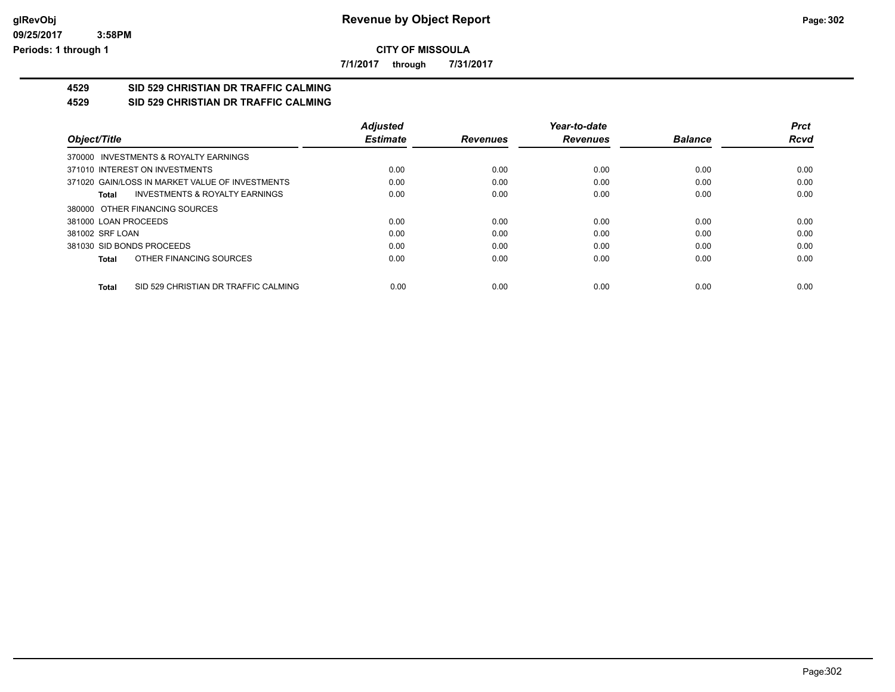**CITY OF MISSOULA**

**7/1/2017 through 7/31/2017**

### **4529 SID 529 CHRISTIAN DR TRAFFIC CALMING 4529 SID 529 CHRISTIAN DR TRAFFIC CALMING**

|                      |                                                 | <b>Adjusted</b> |                 | Year-to-date    |                | <b>Prct</b> |
|----------------------|-------------------------------------------------|-----------------|-----------------|-----------------|----------------|-------------|
| Object/Title         |                                                 | <b>Estimate</b> | <b>Revenues</b> | <b>Revenues</b> | <b>Balance</b> | <b>Rcvd</b> |
|                      | 370000 INVESTMENTS & ROYALTY EARNINGS           |                 |                 |                 |                |             |
|                      | 371010 INTEREST ON INVESTMENTS                  | 0.00            | 0.00            | 0.00            | 0.00           | 0.00        |
|                      | 371020 GAIN/LOSS IN MARKET VALUE OF INVESTMENTS | 0.00            | 0.00            | 0.00            | 0.00           | 0.00        |
| Total                | <b>INVESTMENTS &amp; ROYALTY EARNINGS</b>       | 0.00            | 0.00            | 0.00            | 0.00           | 0.00        |
|                      | 380000 OTHER FINANCING SOURCES                  |                 |                 |                 |                |             |
| 381000 LOAN PROCEEDS |                                                 | 0.00            | 0.00            | 0.00            | 0.00           | 0.00        |
| 381002 SRF LOAN      |                                                 | 0.00            | 0.00            | 0.00            | 0.00           | 0.00        |
|                      | 381030 SID BONDS PROCEEDS                       | 0.00            | 0.00            | 0.00            | 0.00           | 0.00        |
| Total                | OTHER FINANCING SOURCES                         | 0.00            | 0.00            | 0.00            | 0.00           | 0.00        |
| <b>Total</b>         | SID 529 CHRISTIAN DR TRAFFIC CALMING            | 0.00            | 0.00            | 0.00            | 0.00           | 0.00        |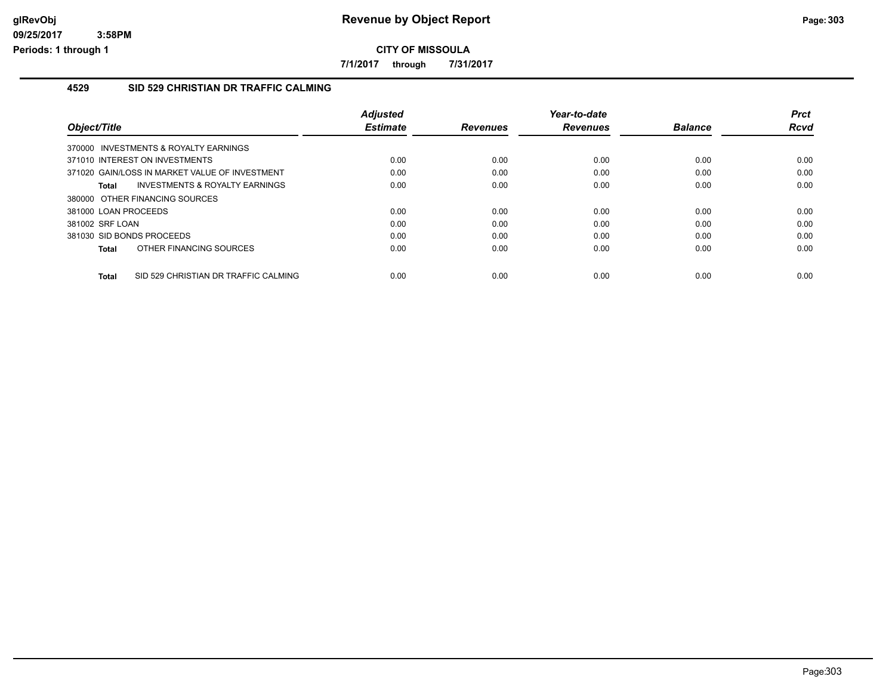**3:58PM**

**CITY OF MISSOULA**

**7/1/2017 through 7/31/2017**

## **4529 SID 529 CHRISTIAN DR TRAFFIC CALMING**

| Object/Title                                       | <b>Adjusted</b><br><b>Estimate</b> | <b>Revenues</b> | Year-to-date<br><b>Revenues</b> | <b>Balance</b> | <b>Prct</b><br>Rcvd |
|----------------------------------------------------|------------------------------------|-----------------|---------------------------------|----------------|---------------------|
| 370000 INVESTMENTS & ROYALTY EARNINGS              |                                    |                 |                                 |                |                     |
| 371010 INTEREST ON INVESTMENTS                     | 0.00                               | 0.00            | 0.00                            | 0.00           | 0.00                |
| 371020 GAIN/LOSS IN MARKET VALUE OF INVESTMENT     | 0.00                               | 0.00            | 0.00                            | 0.00           | 0.00                |
| <b>INVESTMENTS &amp; ROYALTY EARNINGS</b><br>Total | 0.00                               | 0.00            | 0.00                            | 0.00           | 0.00                |
| 380000 OTHER FINANCING SOURCES                     |                                    |                 |                                 |                |                     |
| 381000 LOAN PROCEEDS                               | 0.00                               | 0.00            | 0.00                            | 0.00           | 0.00                |
| 381002 SRF LOAN                                    | 0.00                               | 0.00            | 0.00                            | 0.00           | 0.00                |
| 381030 SID BONDS PROCEEDS                          | 0.00                               | 0.00            | 0.00                            | 0.00           | 0.00                |
| OTHER FINANCING SOURCES<br>Total                   | 0.00                               | 0.00            | 0.00                            | 0.00           | 0.00                |
| SID 529 CHRISTIAN DR TRAFFIC CALMING<br>Total      | 0.00                               | 0.00            | 0.00                            | 0.00           | 0.00                |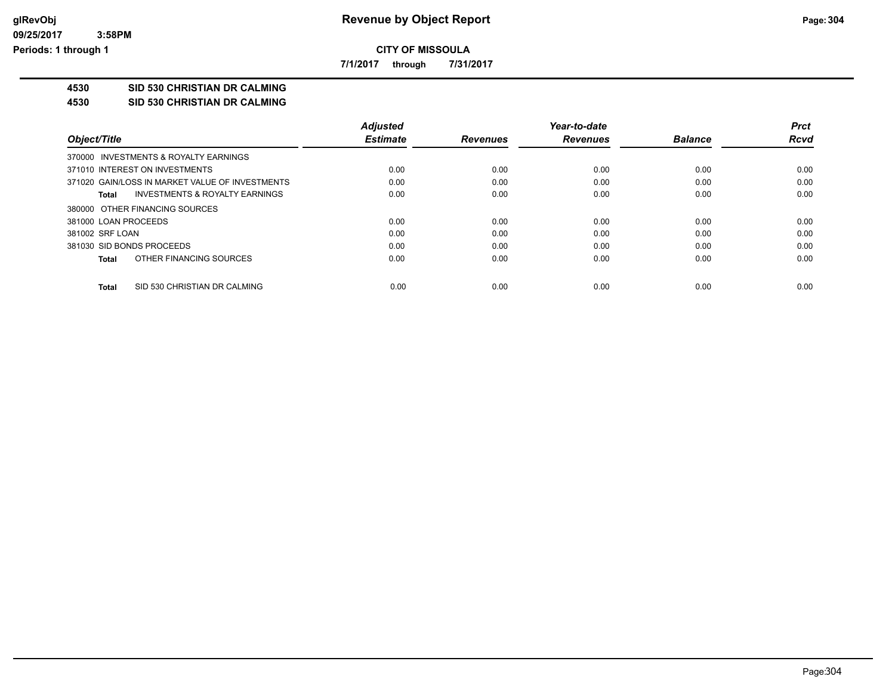**7/1/2017 through 7/31/2017**

# **4530 SID 530 CHRISTIAN DR CALMING**

**4530 SID 530 CHRISTIAN DR CALMING**

|                                                    | <b>Adjusted</b> |                 | Year-to-date    |                | <b>Prct</b> |
|----------------------------------------------------|-----------------|-----------------|-----------------|----------------|-------------|
| Object/Title                                       | <b>Estimate</b> | <b>Revenues</b> | <b>Revenues</b> | <b>Balance</b> | <b>Rcvd</b> |
| 370000 INVESTMENTS & ROYALTY EARNINGS              |                 |                 |                 |                |             |
| 371010 INTEREST ON INVESTMENTS                     | 0.00            | 0.00            | 0.00            | 0.00           | 0.00        |
| 371020 GAIN/LOSS IN MARKET VALUE OF INVESTMENTS    | 0.00            | 0.00            | 0.00            | 0.00           | 0.00        |
| <b>INVESTMENTS &amp; ROYALTY EARNINGS</b><br>Total | 0.00            | 0.00            | 0.00            | 0.00           | 0.00        |
| 380000 OTHER FINANCING SOURCES                     |                 |                 |                 |                |             |
| 381000 LOAN PROCEEDS                               | 0.00            | 0.00            | 0.00            | 0.00           | 0.00        |
| 381002 SRF LOAN                                    | 0.00            | 0.00            | 0.00            | 0.00           | 0.00        |
| 381030 SID BONDS PROCEEDS                          | 0.00            | 0.00            | 0.00            | 0.00           | 0.00        |
| OTHER FINANCING SOURCES<br>Total                   | 0.00            | 0.00            | 0.00            | 0.00           | 0.00        |
|                                                    |                 |                 |                 |                |             |
| SID 530 CHRISTIAN DR CALMING<br>Total              | 0.00            | 0.00            | 0.00            | 0.00           | 0.00        |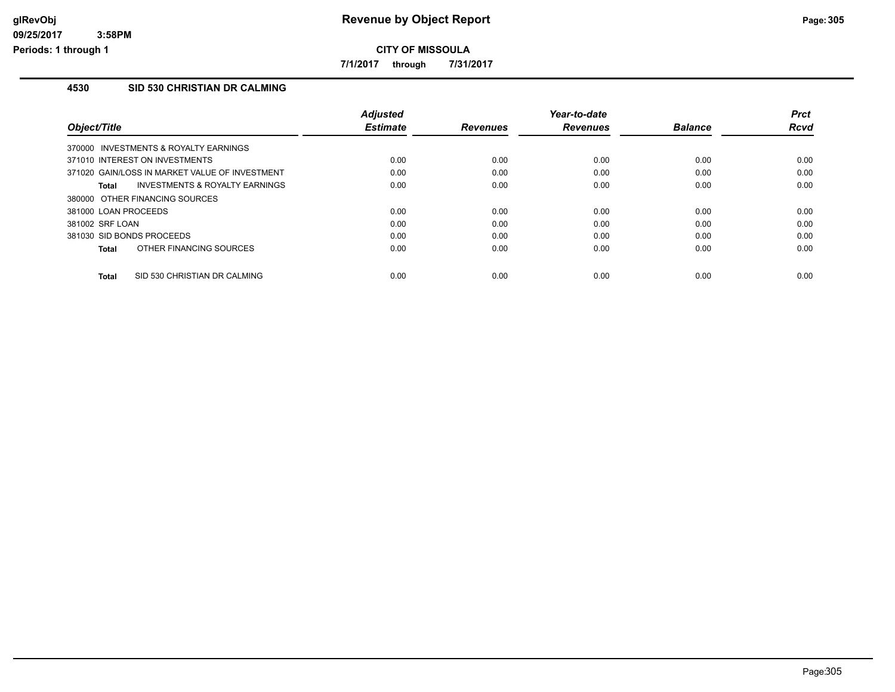**CITY OF MISSOULA**

**7/1/2017 through 7/31/2017**

## **4530 SID 530 CHRISTIAN DR CALMING**

 **3:58PM**

| Object/Title                                       | <b>Adjusted</b><br><b>Estimate</b> | <b>Revenues</b> | Year-to-date<br><b>Revenues</b> | <b>Balance</b> | <b>Prct</b><br><b>Rcvd</b> |
|----------------------------------------------------|------------------------------------|-----------------|---------------------------------|----------------|----------------------------|
| 370000 INVESTMENTS & ROYALTY EARNINGS              |                                    |                 |                                 |                |                            |
| 371010 INTEREST ON INVESTMENTS                     | 0.00                               | 0.00            | 0.00                            | 0.00           | 0.00                       |
| 371020 GAIN/LOSS IN MARKET VALUE OF INVESTMENT     | 0.00                               | 0.00            | 0.00                            | 0.00           | 0.00                       |
| <b>INVESTMENTS &amp; ROYALTY EARNINGS</b><br>Total | 0.00                               | 0.00            | 0.00                            | 0.00           | 0.00                       |
| 380000 OTHER FINANCING SOURCES                     |                                    |                 |                                 |                |                            |
| 381000 LOAN PROCEEDS                               | 0.00                               | 0.00            | 0.00                            | 0.00           | 0.00                       |
| 381002 SRF LOAN                                    | 0.00                               | 0.00            | 0.00                            | 0.00           | 0.00                       |
| 381030 SID BONDS PROCEEDS                          | 0.00                               | 0.00            | 0.00                            | 0.00           | 0.00                       |
| OTHER FINANCING SOURCES<br><b>Total</b>            | 0.00                               | 0.00            | 0.00                            | 0.00           | 0.00                       |
| SID 530 CHRISTIAN DR CALMING<br>Total              | 0.00                               | 0.00            | 0.00                            | 0.00           | 0.00                       |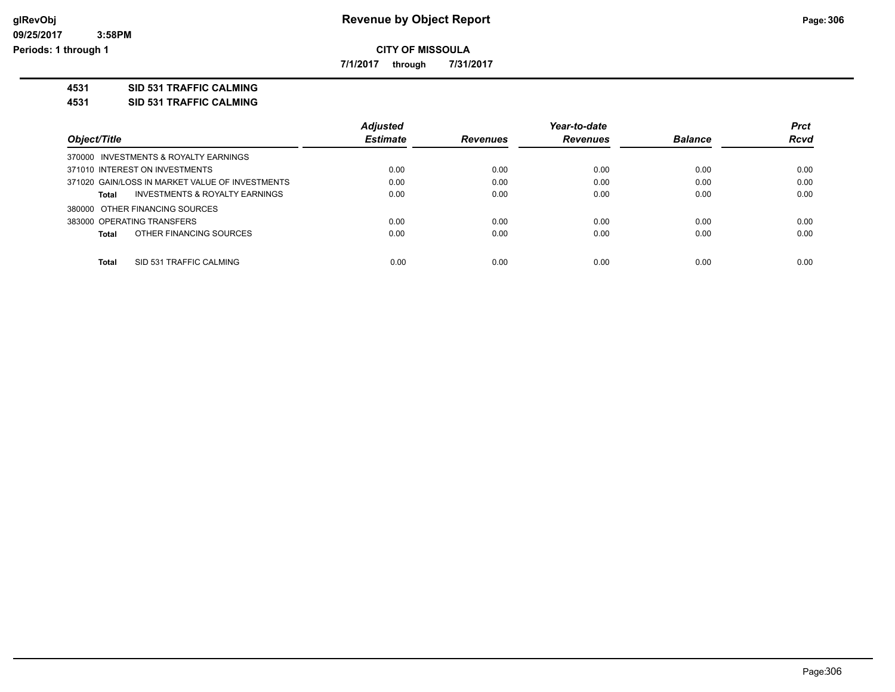**7/1/2017 through 7/31/2017**

#### **4531 SID 531 TRAFFIC CALMING**

**4531 SID 531 TRAFFIC CALMING**

|                                                 | <b>Adjusted</b> |                 | Year-to-date    |                | <b>Prct</b> |
|-------------------------------------------------|-----------------|-----------------|-----------------|----------------|-------------|
| Object/Title                                    | <b>Estimate</b> | <b>Revenues</b> | <b>Revenues</b> | <b>Balance</b> | <b>Rcvd</b> |
| 370000 INVESTMENTS & ROYALTY EARNINGS           |                 |                 |                 |                |             |
| 371010 INTEREST ON INVESTMENTS                  | 0.00            | 0.00            | 0.00            | 0.00           | 0.00        |
| 371020 GAIN/LOSS IN MARKET VALUE OF INVESTMENTS | 0.00            | 0.00            | 0.00            | 0.00           | 0.00        |
| INVESTMENTS & ROYALTY EARNINGS<br>Total         | 0.00            | 0.00            | 0.00            | 0.00           | 0.00        |
| 380000 OTHER FINANCING SOURCES                  |                 |                 |                 |                |             |
| 383000 OPERATING TRANSFERS                      | 0.00            | 0.00            | 0.00            | 0.00           | 0.00        |
| OTHER FINANCING SOURCES<br>Total                | 0.00            | 0.00            | 0.00            | 0.00           | 0.00        |
|                                                 |                 |                 |                 |                |             |
| <b>Total</b><br>SID 531 TRAFFIC CALMING         | 0.00            | 0.00            | 0.00            | 0.00           | 0.00        |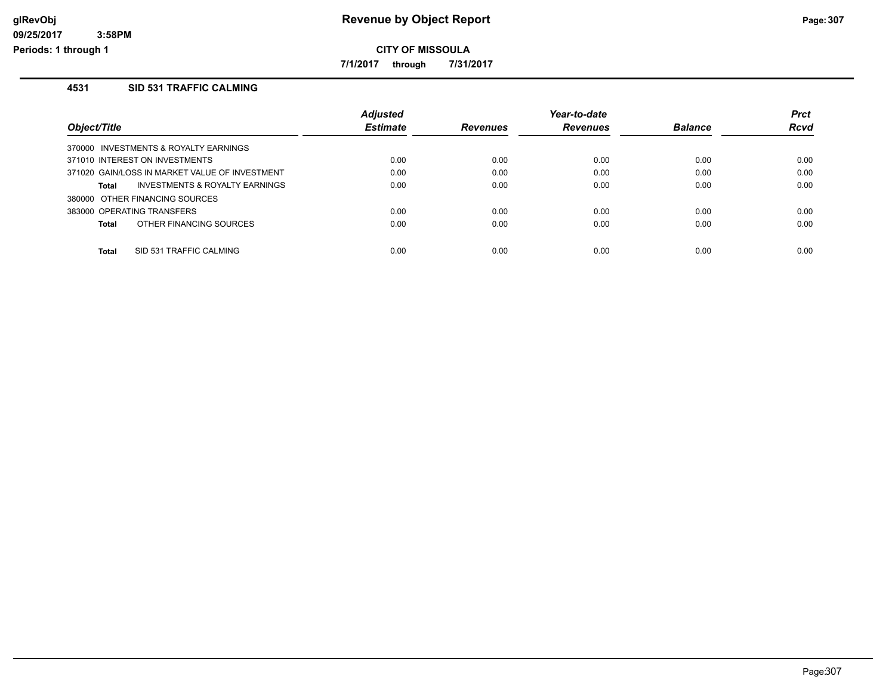**CITY OF MISSOULA**

**7/1/2017 through 7/31/2017**

#### **4531 SID 531 TRAFFIC CALMING**

 **3:58PM**

| <b>Adjusted</b> |                                                                                             | Year-to-date    |                | <b>Prct</b> |
|-----------------|---------------------------------------------------------------------------------------------|-----------------|----------------|-------------|
| <b>Estimate</b> | <b>Revenues</b>                                                                             | <b>Revenues</b> | <b>Balance</b> | <b>Rcvd</b> |
|                 |                                                                                             |                 |                |             |
| 0.00            | 0.00                                                                                        | 0.00            | 0.00           | 0.00        |
| 0.00            | 0.00                                                                                        | 0.00            | 0.00           | 0.00        |
| 0.00            | 0.00                                                                                        | 0.00            | 0.00           | 0.00        |
|                 |                                                                                             |                 |                |             |
| 0.00            | 0.00                                                                                        | 0.00            | 0.00           | 0.00        |
| 0.00            | 0.00                                                                                        | 0.00            | 0.00           | 0.00        |
| 0.00            | 0.00                                                                                        | 0.00            | 0.00           | 0.00        |
|                 | 371020 GAIN/LOSS IN MARKET VALUE OF INVESTMENT<br><b>INVESTMENTS &amp; ROYALTY EARNINGS</b> |                 |                |             |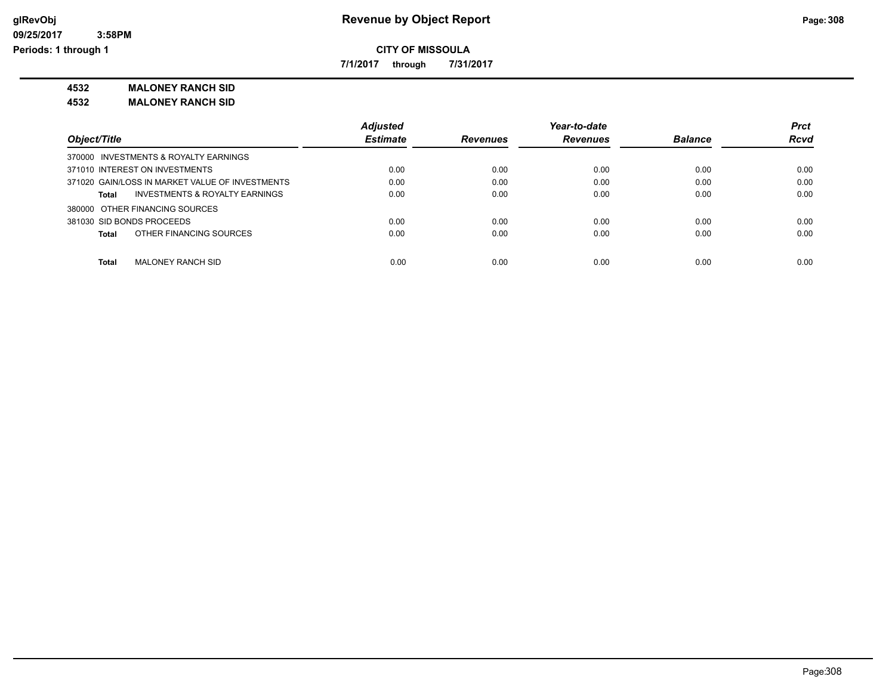**7/1/2017 through 7/31/2017**

#### **4532 MALONEY RANCH SID**

**4532 MALONEY RANCH SID**

|                                                    | <b>Adjusted</b> |                 | Year-to-date    |                | <b>Prct</b> |
|----------------------------------------------------|-----------------|-----------------|-----------------|----------------|-------------|
| Object/Title                                       | <b>Estimate</b> | <b>Revenues</b> | <b>Revenues</b> | <b>Balance</b> | <b>Rcvd</b> |
| 370000 INVESTMENTS & ROYALTY EARNINGS              |                 |                 |                 |                |             |
| 371010 INTEREST ON INVESTMENTS                     | 0.00            | 0.00            | 0.00            | 0.00           | 0.00        |
| 371020 GAIN/LOSS IN MARKET VALUE OF INVESTMENTS    | 0.00            | 0.00            | 0.00            | 0.00           | 0.00        |
| <b>INVESTMENTS &amp; ROYALTY EARNINGS</b><br>Total | 0.00            | 0.00            | 0.00            | 0.00           | 0.00        |
| 380000 OTHER FINANCING SOURCES                     |                 |                 |                 |                |             |
| 381030 SID BONDS PROCEEDS                          | 0.00            | 0.00            | 0.00            | 0.00           | 0.00        |
| OTHER FINANCING SOURCES<br><b>Total</b>            | 0.00            | 0.00            | 0.00            | 0.00           | 0.00        |
| <b>Total</b><br>MALONEY RANCH SID                  | 0.00            | 0.00            | 0.00            | 0.00           | 0.00        |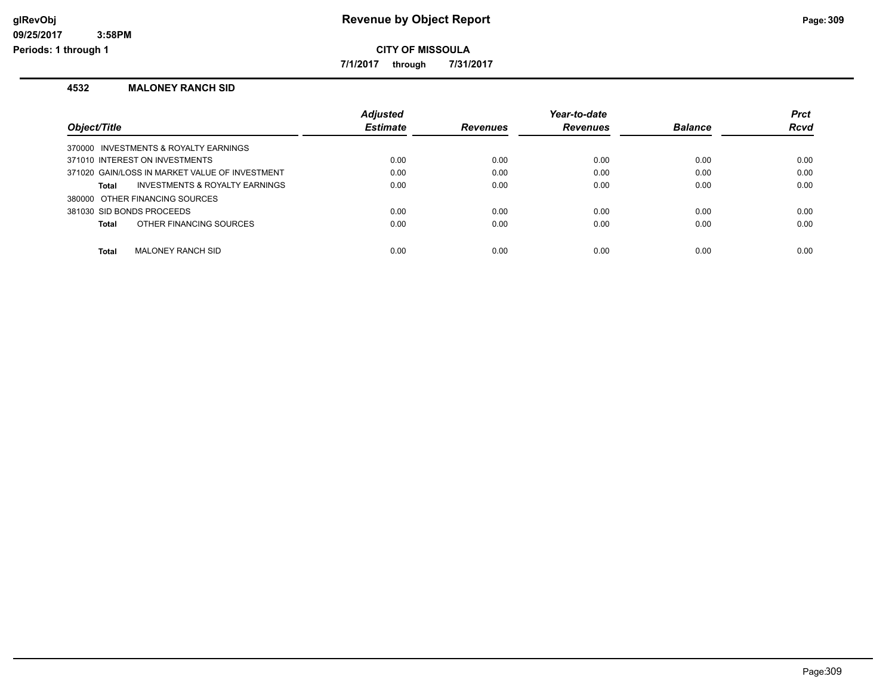**CITY OF MISSOULA**

**7/1/2017 through 7/31/2017**

#### **4532 MALONEY RANCH SID**

 **3:58PM**

|                           |                                                | <b>Adjusted</b> |                 | Year-to-date    |                | <b>Prct</b> |
|---------------------------|------------------------------------------------|-----------------|-----------------|-----------------|----------------|-------------|
| Object/Title              |                                                | <b>Estimate</b> | <b>Revenues</b> | <b>Revenues</b> | <b>Balance</b> | <b>Rcvd</b> |
|                           | 370000 INVESTMENTS & ROYALTY EARNINGS          |                 |                 |                 |                |             |
|                           | 371010 INTEREST ON INVESTMENTS                 | 0.00            | 0.00            | 0.00            | 0.00           | 0.00        |
|                           | 371020 GAIN/LOSS IN MARKET VALUE OF INVESTMENT | 0.00            | 0.00            | 0.00            | 0.00           | 0.00        |
| <b>Total</b>              | INVESTMENTS & ROYALTY EARNINGS                 | 0.00            | 0.00            | 0.00            | 0.00           | 0.00        |
|                           | 380000 OTHER FINANCING SOURCES                 |                 |                 |                 |                |             |
| 381030 SID BONDS PROCEEDS |                                                | 0.00            | 0.00            | 0.00            | 0.00           | 0.00        |
| Total                     | OTHER FINANCING SOURCES                        | 0.00            | 0.00            | 0.00            | 0.00           | 0.00        |
| Total                     | MALONEY RANCH SID                              | 0.00            | 0.00            | 0.00            | 0.00           | 0.00        |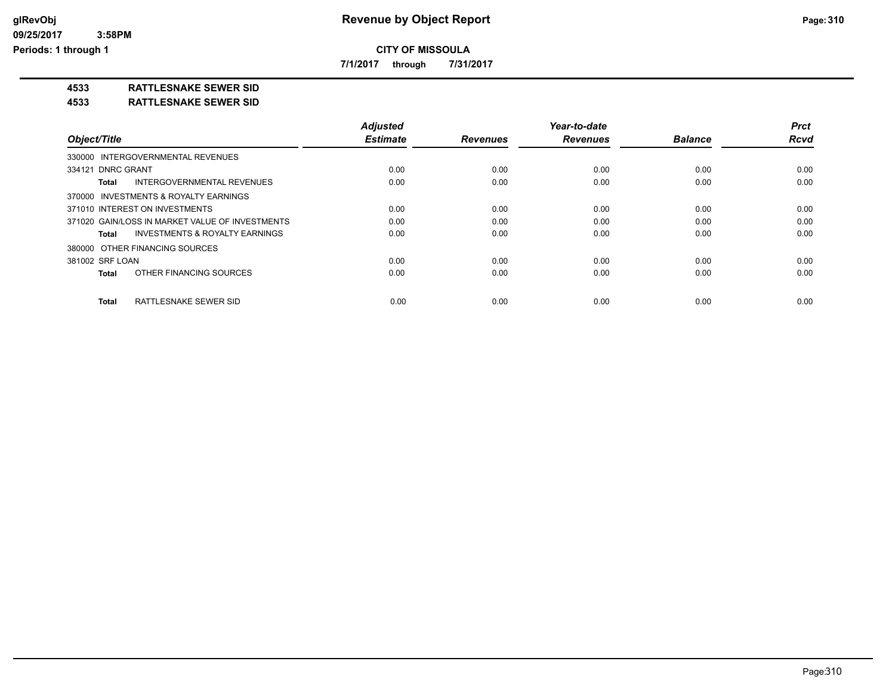**7/1/2017 through 7/31/2017**

### **4533 RATTLESNAKE SEWER SID**

**4533 RATTLESNAKE SEWER SID**

|                                                 | <b>Adjusted</b> |                 | Year-to-date    |                | <b>Prct</b> |
|-------------------------------------------------|-----------------|-----------------|-----------------|----------------|-------------|
| Object/Title                                    | <b>Estimate</b> | <b>Revenues</b> | <b>Revenues</b> | <b>Balance</b> | <b>Rcvd</b> |
| 330000 INTERGOVERNMENTAL REVENUES               |                 |                 |                 |                |             |
| 334121 DNRC GRANT                               | 0.00            | 0.00            | 0.00            | 0.00           | 0.00        |
| INTERGOVERNMENTAL REVENUES<br>Total             | 0.00            | 0.00            | 0.00            | 0.00           | 0.00        |
| 370000 INVESTMENTS & ROYALTY EARNINGS           |                 |                 |                 |                |             |
| 371010 INTEREST ON INVESTMENTS                  | 0.00            | 0.00            | 0.00            | 0.00           | 0.00        |
| 371020 GAIN/LOSS IN MARKET VALUE OF INVESTMENTS | 0.00            | 0.00            | 0.00            | 0.00           | 0.00        |
| INVESTMENTS & ROYALTY EARNINGS<br>Total         | 0.00            | 0.00            | 0.00            | 0.00           | 0.00        |
| 380000 OTHER FINANCING SOURCES                  |                 |                 |                 |                |             |
| 381002 SRF LOAN                                 | 0.00            | 0.00            | 0.00            | 0.00           | 0.00        |
| OTHER FINANCING SOURCES<br>Total                | 0.00            | 0.00            | 0.00            | 0.00           | 0.00        |
| RATTLESNAKE SEWER SID<br>Total                  | 0.00            | 0.00            | 0.00            | 0.00           | 0.00        |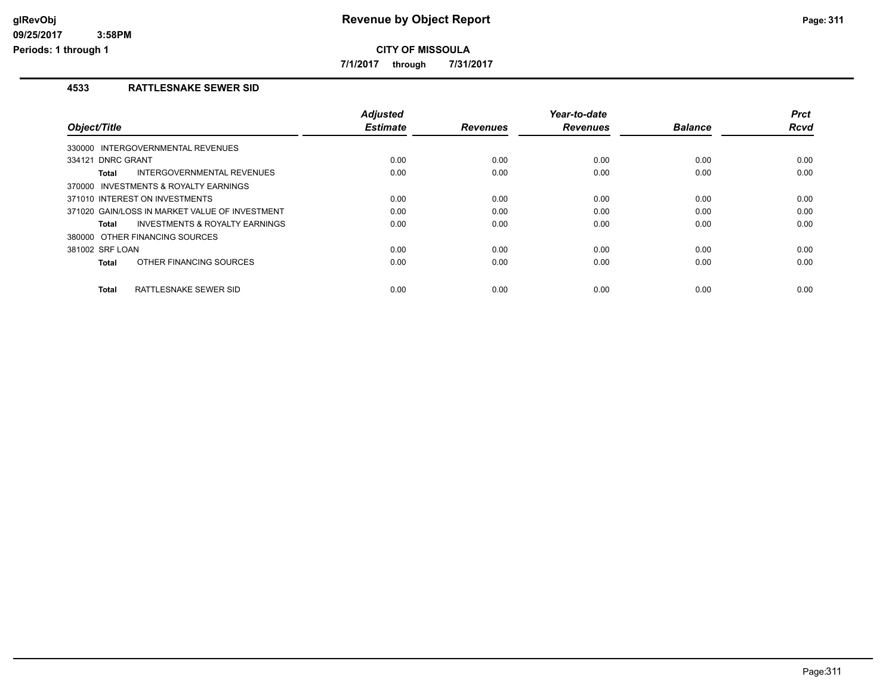**CITY OF MISSOULA**

**7/1/2017 through 7/31/2017**

# **4533 RATTLESNAKE SEWER SID**

|                                                    | <b>Adjusted</b> |                 | Year-to-date    |                | <b>Prct</b> |
|----------------------------------------------------|-----------------|-----------------|-----------------|----------------|-------------|
| Object/Title                                       | <b>Estimate</b> | <b>Revenues</b> | <b>Revenues</b> | <b>Balance</b> | <b>Rcvd</b> |
| 330000 INTERGOVERNMENTAL REVENUES                  |                 |                 |                 |                |             |
| 334121 DNRC GRANT                                  | 0.00            | 0.00            | 0.00            | 0.00           | 0.00        |
| INTERGOVERNMENTAL REVENUES<br>Total                | 0.00            | 0.00            | 0.00            | 0.00           | 0.00        |
| 370000 INVESTMENTS & ROYALTY EARNINGS              |                 |                 |                 |                |             |
| 371010 INTEREST ON INVESTMENTS                     | 0.00            | 0.00            | 0.00            | 0.00           | 0.00        |
| 371020 GAIN/LOSS IN MARKET VALUE OF INVESTMENT     | 0.00            | 0.00            | 0.00            | 0.00           | 0.00        |
| <b>INVESTMENTS &amp; ROYALTY EARNINGS</b><br>Total | 0.00            | 0.00            | 0.00            | 0.00           | 0.00        |
| 380000 OTHER FINANCING SOURCES                     |                 |                 |                 |                |             |
| 381002 SRF LOAN                                    | 0.00            | 0.00            | 0.00            | 0.00           | 0.00        |
| OTHER FINANCING SOURCES<br>Total                   | 0.00            | 0.00            | 0.00            | 0.00           | 0.00        |
| RATTLESNAKE SEWER SID<br><b>Total</b>              | 0.00            | 0.00            | 0.00            | 0.00           | 0.00        |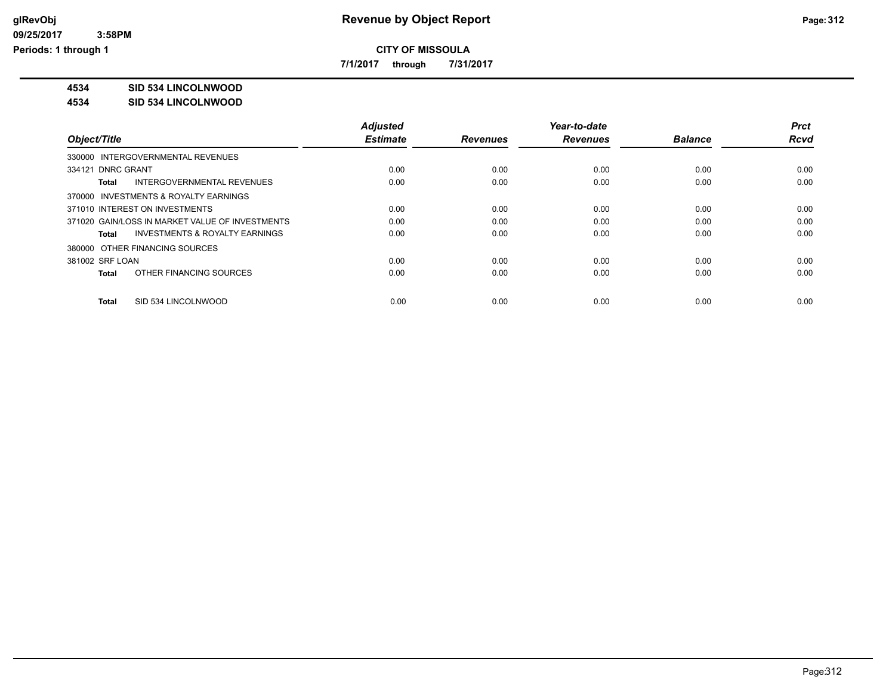**7/1/2017 through 7/31/2017**

# **4534 SID 534 LINCOLNWOOD**

#### **4534 SID 534 LINCOLNWOOD**

|                                                    | <b>Adjusted</b> |                 | Year-to-date    |                | <b>Prct</b> |
|----------------------------------------------------|-----------------|-----------------|-----------------|----------------|-------------|
| Object/Title                                       | <b>Estimate</b> | <b>Revenues</b> | <b>Revenues</b> | <b>Balance</b> | <b>Rcvd</b> |
| 330000 INTERGOVERNMENTAL REVENUES                  |                 |                 |                 |                |             |
| 334121 DNRC GRANT                                  | 0.00            | 0.00            | 0.00            | 0.00           | 0.00        |
| INTERGOVERNMENTAL REVENUES<br>Total                | 0.00            | 0.00            | 0.00            | 0.00           | 0.00        |
| 370000 INVESTMENTS & ROYALTY EARNINGS              |                 |                 |                 |                |             |
| 371010 INTEREST ON INVESTMENTS                     | 0.00            | 0.00            | 0.00            | 0.00           | 0.00        |
| 371020 GAIN/LOSS IN MARKET VALUE OF INVESTMENTS    | 0.00            | 0.00            | 0.00            | 0.00           | 0.00        |
| <b>INVESTMENTS &amp; ROYALTY EARNINGS</b><br>Total | 0.00            | 0.00            | 0.00            | 0.00           | 0.00        |
| 380000 OTHER FINANCING SOURCES                     |                 |                 |                 |                |             |
| 381002 SRF LOAN                                    | 0.00            | 0.00            | 0.00            | 0.00           | 0.00        |
| OTHER FINANCING SOURCES<br>Total                   | 0.00            | 0.00            | 0.00            | 0.00           | 0.00        |
| SID 534 LINCOLNWOOD<br>Total                       | 0.00            | 0.00            | 0.00            | 0.00           | 0.00        |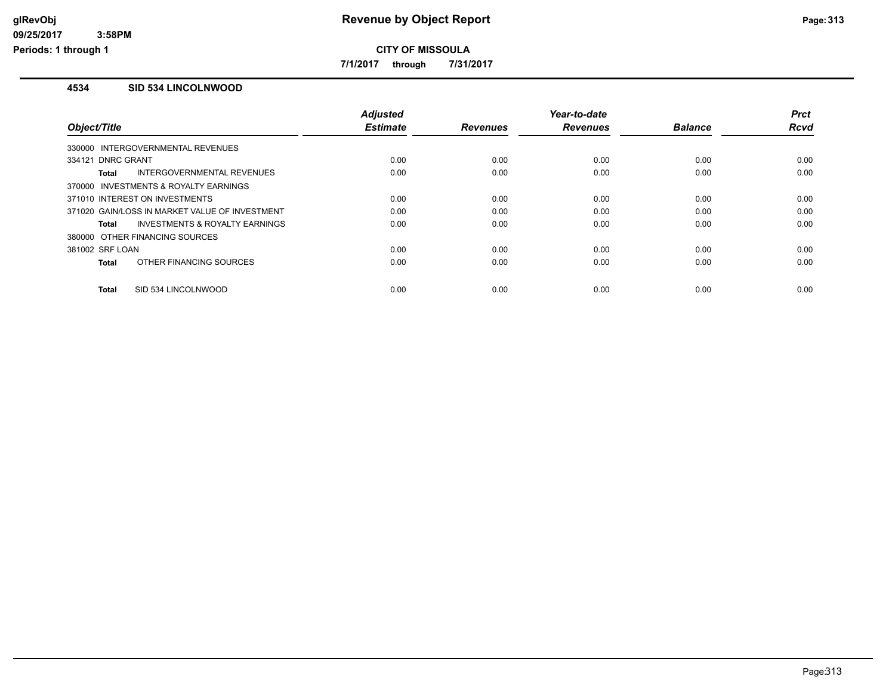**CITY OF MISSOULA**

**7/1/2017 through 7/31/2017**

#### **4534 SID 534 LINCOLNWOOD**

|                                                    | <b>Adjusted</b> |                 | Year-to-date    |                | <b>Prct</b> |
|----------------------------------------------------|-----------------|-----------------|-----------------|----------------|-------------|
| Object/Title                                       | <b>Estimate</b> | <b>Revenues</b> | <b>Revenues</b> | <b>Balance</b> | <b>Rcvd</b> |
| 330000 INTERGOVERNMENTAL REVENUES                  |                 |                 |                 |                |             |
| 334121 DNRC GRANT                                  | 0.00            | 0.00            | 0.00            | 0.00           | 0.00        |
| INTERGOVERNMENTAL REVENUES<br><b>Total</b>         | 0.00            | 0.00            | 0.00            | 0.00           | 0.00        |
| 370000 INVESTMENTS & ROYALTY EARNINGS              |                 |                 |                 |                |             |
| 371010 INTEREST ON INVESTMENTS                     | 0.00            | 0.00            | 0.00            | 0.00           | 0.00        |
| 371020 GAIN/LOSS IN MARKET VALUE OF INVESTMENT     | 0.00            | 0.00            | 0.00            | 0.00           | 0.00        |
| <b>INVESTMENTS &amp; ROYALTY EARNINGS</b><br>Total | 0.00            | 0.00            | 0.00            | 0.00           | 0.00        |
| 380000 OTHER FINANCING SOURCES                     |                 |                 |                 |                |             |
| 381002 SRF LOAN                                    | 0.00            | 0.00            | 0.00            | 0.00           | 0.00        |
| OTHER FINANCING SOURCES<br><b>Total</b>            | 0.00            | 0.00            | 0.00            | 0.00           | 0.00        |
| <b>Total</b><br>SID 534 LINCOLNWOOD                | 0.00            | 0.00            | 0.00            | 0.00           | 0.00        |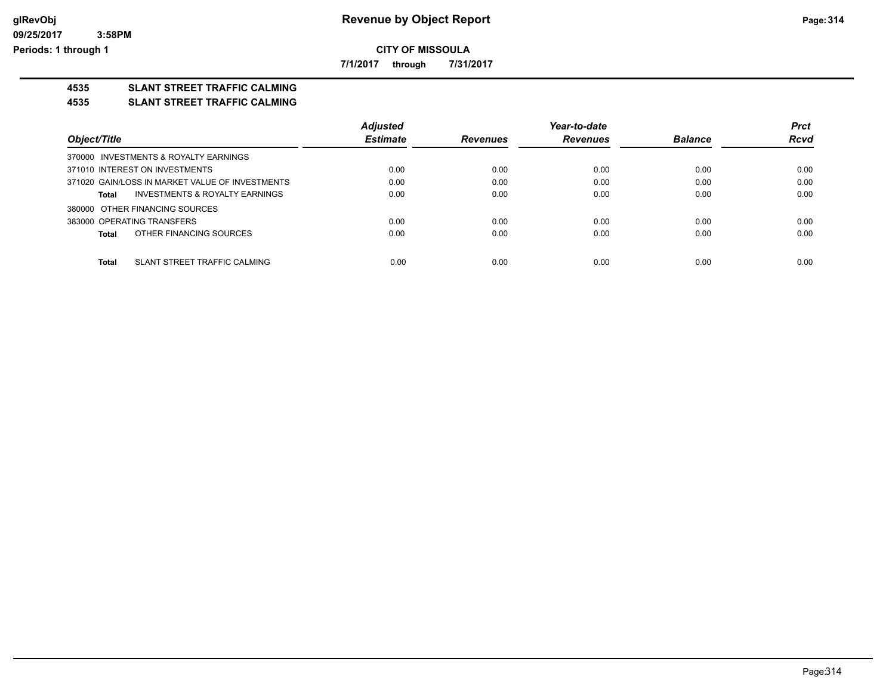**7/1/2017 through 7/31/2017**

# **4535 SLANT STREET TRAFFIC CALMING**

# **4535 SLANT STREET TRAFFIC CALMING**

| <b>Adjusted</b> |                 | Year-to-date    |                | <b>Prct</b> |
|-----------------|-----------------|-----------------|----------------|-------------|
| <b>Estimate</b> | <b>Revenues</b> | <b>Revenues</b> | <b>Balance</b> | <b>Rcvd</b> |
|                 |                 |                 |                |             |
| 0.00            | 0.00            | 0.00            | 0.00           | 0.00        |
| 0.00            | 0.00            | 0.00            | 0.00           | 0.00        |
| 0.00            | 0.00            | 0.00            | 0.00           | 0.00        |
|                 |                 |                 |                |             |
| 0.00            | 0.00            | 0.00            | 0.00           | 0.00        |
| 0.00            | 0.00            | 0.00            | 0.00           | 0.00        |
|                 |                 |                 |                | 0.00        |
|                 | 0.00            | 0.00            | 0.00           | 0.00        |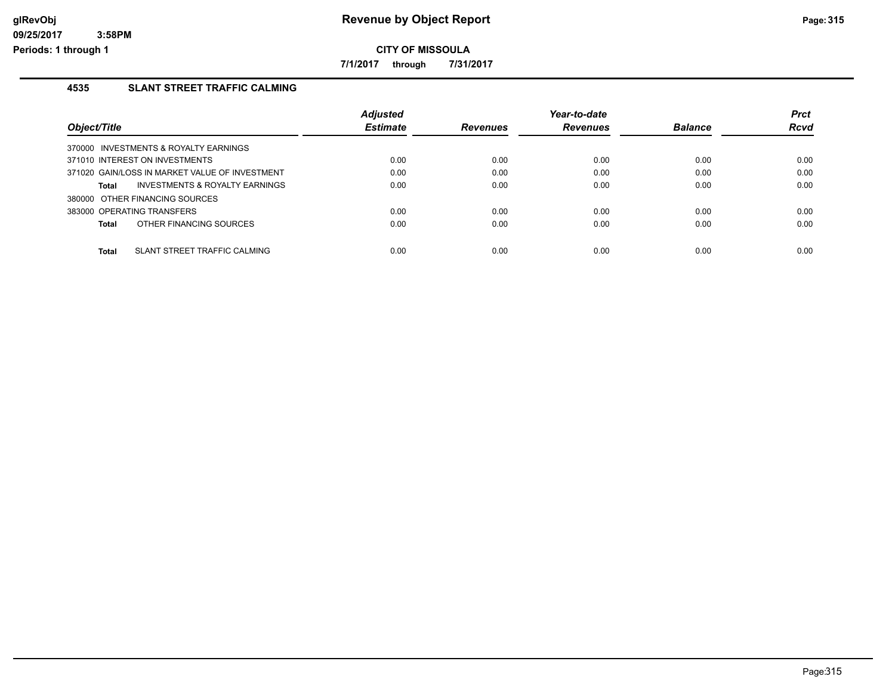**7/1/2017 through 7/31/2017**

# **4535 SLANT STREET TRAFFIC CALMING**

|                                                | <b>Adjusted</b> |                 | Year-to-date    |                | <b>Prct</b> |
|------------------------------------------------|-----------------|-----------------|-----------------|----------------|-------------|
| Object/Title                                   | <b>Estimate</b> | <b>Revenues</b> | <b>Revenues</b> | <b>Balance</b> | <b>Rcvd</b> |
| 370000 INVESTMENTS & ROYALTY EARNINGS          |                 |                 |                 |                |             |
| 371010 INTEREST ON INVESTMENTS                 | 0.00            | 0.00            | 0.00            | 0.00           | 0.00        |
| 371020 GAIN/LOSS IN MARKET VALUE OF INVESTMENT | 0.00            | 0.00            | 0.00            | 0.00           | 0.00        |
| INVESTMENTS & ROYALTY EARNINGS<br>Total        | 0.00            | 0.00            | 0.00            | 0.00           | 0.00        |
| 380000 OTHER FINANCING SOURCES                 |                 |                 |                 |                |             |
| 383000 OPERATING TRANSFERS                     | 0.00            | 0.00            | 0.00            | 0.00           | 0.00        |
| OTHER FINANCING SOURCES<br>Total               | 0.00            | 0.00            | 0.00            | 0.00           | 0.00        |
|                                                |                 |                 |                 |                |             |
| Total<br>SLANT STREET TRAFFIC CALMING          | 0.00            | 0.00            | 0.00            | 0.00           | 0.00        |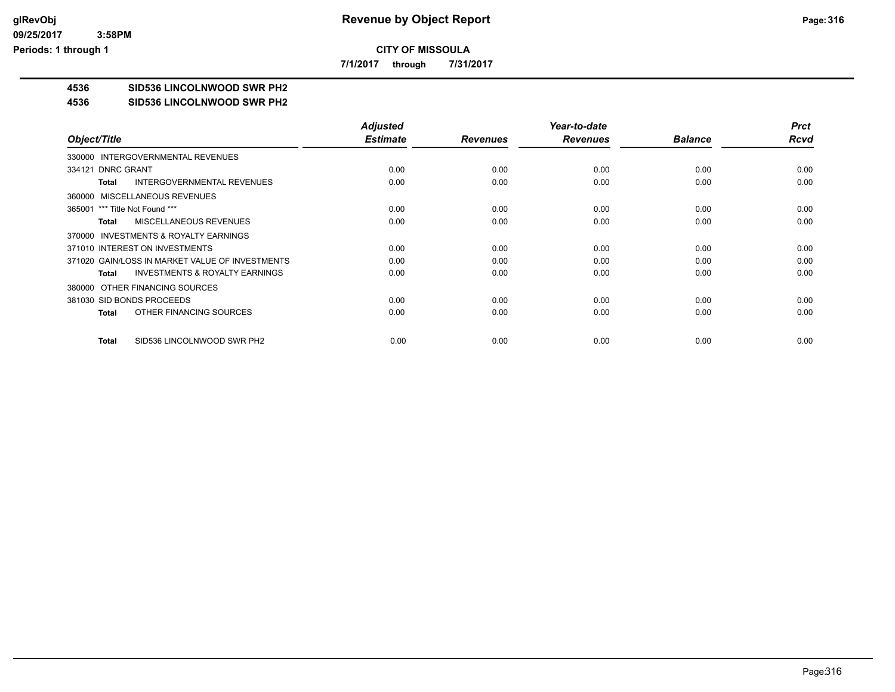**7/1/2017 through 7/31/2017**

# **4536 SID536 LINCOLNWOOD SWR PH2**

#### **4536 SID536 LINCOLNWOOD SWR PH2**

|                                                    | <b>Adjusted</b> |                 | Year-to-date    |                | <b>Prct</b> |
|----------------------------------------------------|-----------------|-----------------|-----------------|----------------|-------------|
| Object/Title                                       | <b>Estimate</b> | <b>Revenues</b> | <b>Revenues</b> | <b>Balance</b> | Rcvd        |
| 330000 INTERGOVERNMENTAL REVENUES                  |                 |                 |                 |                |             |
| 334121 DNRC GRANT                                  | 0.00            | 0.00            | 0.00            | 0.00           | 0.00        |
| <b>INTERGOVERNMENTAL REVENUES</b><br>Total         | 0.00            | 0.00            | 0.00            | 0.00           | 0.00        |
| 360000 MISCELLANEOUS REVENUES                      |                 |                 |                 |                |             |
| 365001 *** Title Not Found ***                     | 0.00            | 0.00            | 0.00            | 0.00           | 0.00        |
| <b>MISCELLANEOUS REVENUES</b><br>Total             | 0.00            | 0.00            | 0.00            | 0.00           | 0.00        |
| 370000 INVESTMENTS & ROYALTY EARNINGS              |                 |                 |                 |                |             |
| 371010 INTEREST ON INVESTMENTS                     | 0.00            | 0.00            | 0.00            | 0.00           | 0.00        |
| 371020 GAIN/LOSS IN MARKET VALUE OF INVESTMENTS    | 0.00            | 0.00            | 0.00            | 0.00           | 0.00        |
| <b>INVESTMENTS &amp; ROYALTY EARNINGS</b><br>Total | 0.00            | 0.00            | 0.00            | 0.00           | 0.00        |
| 380000 OTHER FINANCING SOURCES                     |                 |                 |                 |                |             |
| 381030 SID BONDS PROCEEDS                          | 0.00            | 0.00            | 0.00            | 0.00           | 0.00        |
| OTHER FINANCING SOURCES<br>Total                   | 0.00            | 0.00            | 0.00            | 0.00           | 0.00        |
|                                                    |                 |                 |                 |                |             |
| SID536 LINCOLNWOOD SWR PH2<br>Total                | 0.00            | 0.00            | 0.00            | 0.00           | 0.00        |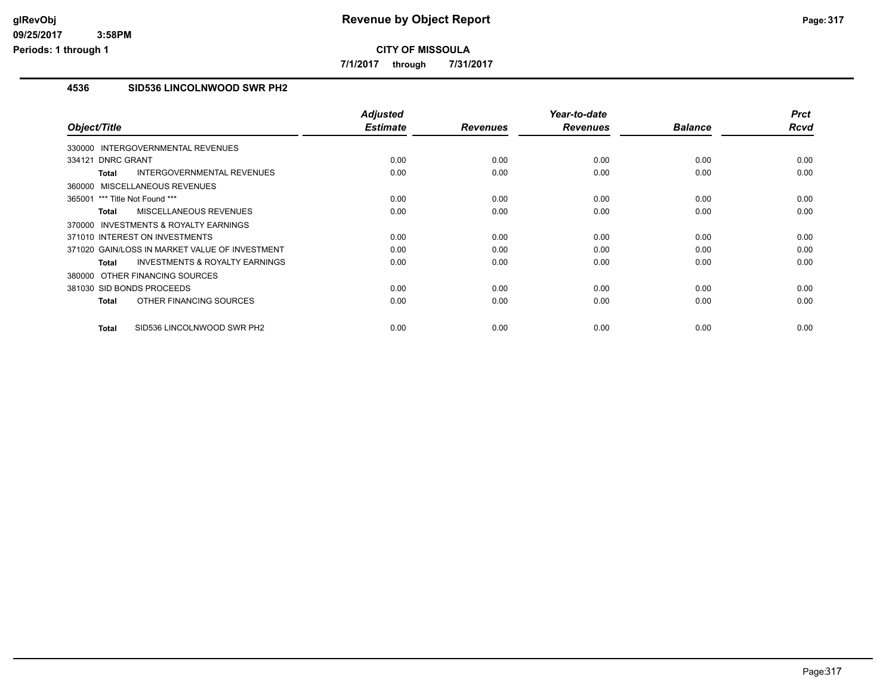**CITY OF MISSOULA**

**7/1/2017 through 7/31/2017**

# **4536 SID536 LINCOLNWOOD SWR PH2**

| Object/Title                                              | <b>Adjusted</b><br><b>Estimate</b> | <b>Revenues</b> | Year-to-date<br><b>Revenues</b> | <b>Balance</b> | <b>Prct</b><br><b>Rcvd</b> |
|-----------------------------------------------------------|------------------------------------|-----------------|---------------------------------|----------------|----------------------------|
|                                                           |                                    |                 |                                 |                |                            |
| 330000 INTERGOVERNMENTAL REVENUES                         |                                    |                 |                                 |                |                            |
| 334121 DNRC GRANT                                         | 0.00                               | 0.00            | 0.00                            | 0.00           | 0.00                       |
| INTERGOVERNMENTAL REVENUES<br>Total                       | 0.00                               | 0.00            | 0.00                            | 0.00           | 0.00                       |
| 360000 MISCELLANEOUS REVENUES                             |                                    |                 |                                 |                |                            |
| 365001 *** Title Not Found ***                            | 0.00                               | 0.00            | 0.00                            | 0.00           | 0.00                       |
| <b>MISCELLANEOUS REVENUES</b><br>Total                    | 0.00                               | 0.00            | 0.00                            | 0.00           | 0.00                       |
| 370000 INVESTMENTS & ROYALTY EARNINGS                     |                                    |                 |                                 |                |                            |
| 371010 INTEREST ON INVESTMENTS                            | 0.00                               | 0.00            | 0.00                            | 0.00           | 0.00                       |
| 371020 GAIN/LOSS IN MARKET VALUE OF INVESTMENT            | 0.00                               | 0.00            | 0.00                            | 0.00           | 0.00                       |
| <b>INVESTMENTS &amp; ROYALTY EARNINGS</b><br><b>Total</b> | 0.00                               | 0.00            | 0.00                            | 0.00           | 0.00                       |
| 380000 OTHER FINANCING SOURCES                            |                                    |                 |                                 |                |                            |
| 381030 SID BONDS PROCEEDS                                 | 0.00                               | 0.00            | 0.00                            | 0.00           | 0.00                       |
| OTHER FINANCING SOURCES<br>Total                          | 0.00                               | 0.00            | 0.00                            | 0.00           | 0.00                       |
|                                                           |                                    |                 |                                 |                |                            |
| SID536 LINCOLNWOOD SWR PH2<br><b>Total</b>                | 0.00                               | 0.00            | 0.00                            | 0.00           | 0.00                       |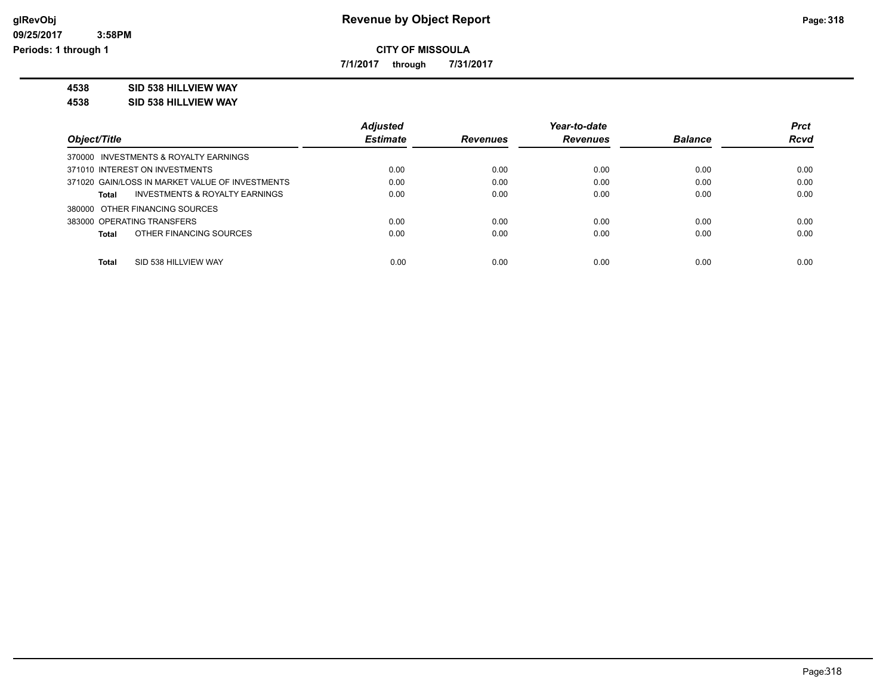**7/1/2017 through 7/31/2017**

### **4538 SID 538 HILLVIEW WAY**

**4538 SID 538 HILLVIEW WAY**

|                                                    | <b>Adjusted</b> |                 | Year-to-date    |                | <b>Prct</b> |
|----------------------------------------------------|-----------------|-----------------|-----------------|----------------|-------------|
| Object/Title                                       | <b>Estimate</b> | <b>Revenues</b> | <b>Revenues</b> | <b>Balance</b> | <b>Rcvd</b> |
| 370000 INVESTMENTS & ROYALTY EARNINGS              |                 |                 |                 |                |             |
| 371010 INTEREST ON INVESTMENTS                     | 0.00            | 0.00            | 0.00            | 0.00           | 0.00        |
| 371020 GAIN/LOSS IN MARKET VALUE OF INVESTMENTS    | 0.00            | 0.00            | 0.00            | 0.00           | 0.00        |
| <b>INVESTMENTS &amp; ROYALTY EARNINGS</b><br>Total | 0.00            | 0.00            | 0.00            | 0.00           | 0.00        |
| 380000 OTHER FINANCING SOURCES                     |                 |                 |                 |                |             |
| 383000 OPERATING TRANSFERS                         | 0.00            | 0.00            | 0.00            | 0.00           | 0.00        |
| OTHER FINANCING SOURCES<br>Total                   | 0.00            | 0.00            | 0.00            | 0.00           | 0.00        |
|                                                    |                 |                 |                 |                |             |
| Total<br>SID 538 HILLVIEW WAY                      | 0.00            | 0.00            | 0.00            | 0.00           | 0.00        |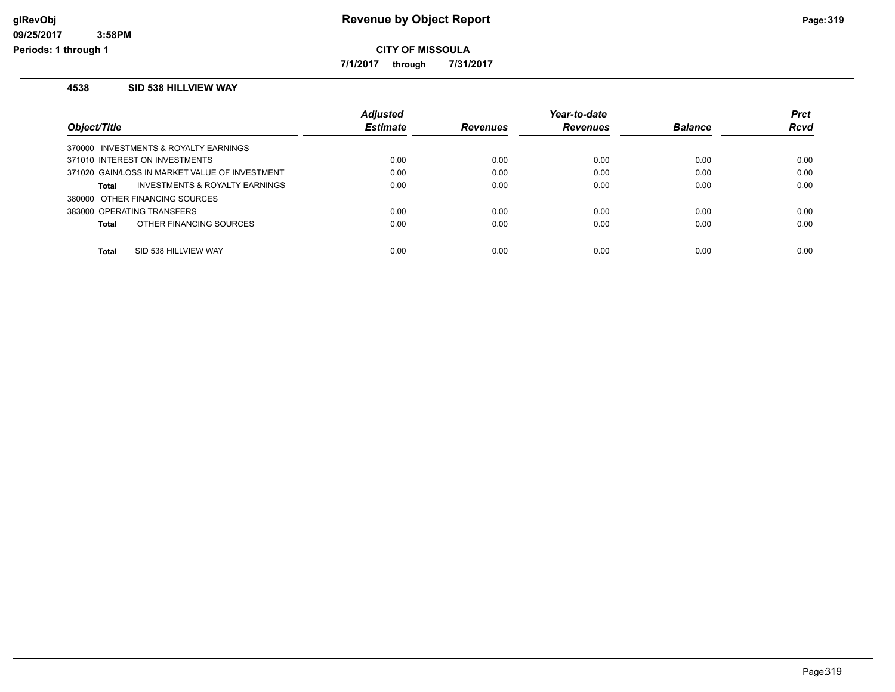**CITY OF MISSOULA**

**7/1/2017 through 7/31/2017**

#### **4538 SID 538 HILLVIEW WAY**

|                                                | <b>Adjusted</b> |                 | Year-to-date    |                | <b>Prct</b> |
|------------------------------------------------|-----------------|-----------------|-----------------|----------------|-------------|
| Object/Title                                   | <b>Estimate</b> | <b>Revenues</b> | <b>Revenues</b> | <b>Balance</b> | <b>Rcvd</b> |
| 370000 INVESTMENTS & ROYALTY EARNINGS          |                 |                 |                 |                |             |
| 371010 INTEREST ON INVESTMENTS                 | 0.00            | 0.00            | 0.00            | 0.00           | 0.00        |
| 371020 GAIN/LOSS IN MARKET VALUE OF INVESTMENT | 0.00            | 0.00            | 0.00            | 0.00           | 0.00        |
| INVESTMENTS & ROYALTY EARNINGS<br>Total        | 0.00            | 0.00            | 0.00            | 0.00           | 0.00        |
| 380000 OTHER FINANCING SOURCES                 |                 |                 |                 |                |             |
| 383000 OPERATING TRANSFERS                     | 0.00            | 0.00            | 0.00            | 0.00           | 0.00        |
| OTHER FINANCING SOURCES<br>Total               | 0.00            | 0.00            | 0.00            | 0.00           | 0.00        |
|                                                |                 |                 |                 |                |             |
| Total<br>SID 538 HILLVIEW WAY                  | 0.00            | 0.00            | 0.00            | 0.00           | 0.00        |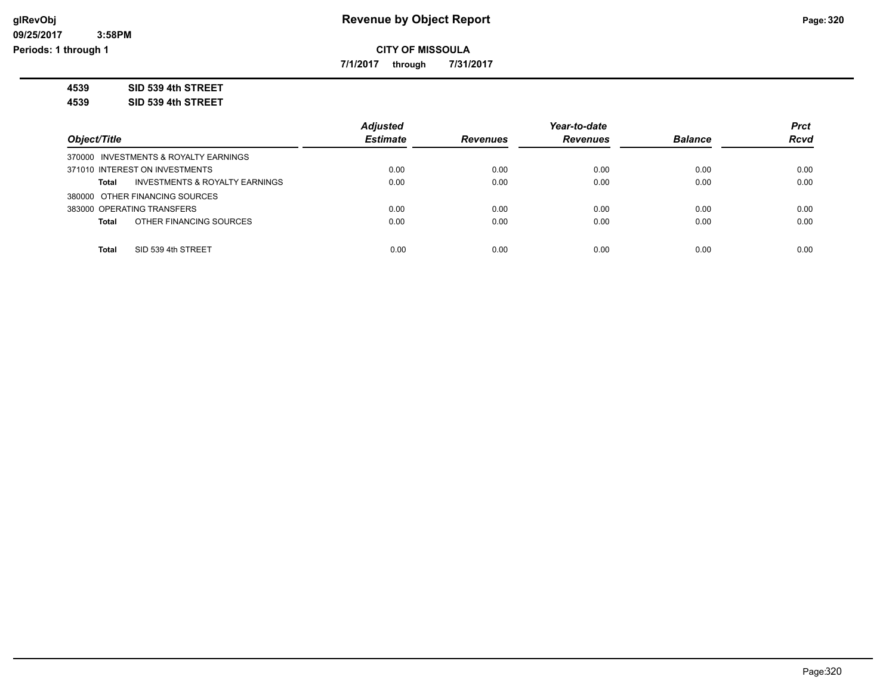**7/1/2017 through 7/31/2017**

**4539 SID 539 4th STREET**

**4539 SID 539 4th STREET**

|                                         | <b>Adjusted</b> |                 | Year-to-date    |                | <b>Prct</b> |
|-----------------------------------------|-----------------|-----------------|-----------------|----------------|-------------|
| Object/Title                            | <b>Estimate</b> | <b>Revenues</b> | <b>Revenues</b> | <b>Balance</b> | <b>Rcvd</b> |
| 370000 INVESTMENTS & ROYALTY EARNINGS   |                 |                 |                 |                |             |
| 371010 INTEREST ON INVESTMENTS          | 0.00            | 0.00            | 0.00            | 0.00           | 0.00        |
| INVESTMENTS & ROYALTY EARNINGS<br>Total | 0.00            | 0.00            | 0.00            | 0.00           | 0.00        |
| 380000 OTHER FINANCING SOURCES          |                 |                 |                 |                |             |
| 383000 OPERATING TRANSFERS              | 0.00            | 0.00            | 0.00            | 0.00           | 0.00        |
| OTHER FINANCING SOURCES<br>Total        | 0.00            | 0.00            | 0.00            | 0.00           | 0.00        |
|                                         |                 |                 |                 |                |             |
| SID 539 4th STREET<br>Total             | 0.00            | 0.00            | 0.00            | 0.00           | 0.00        |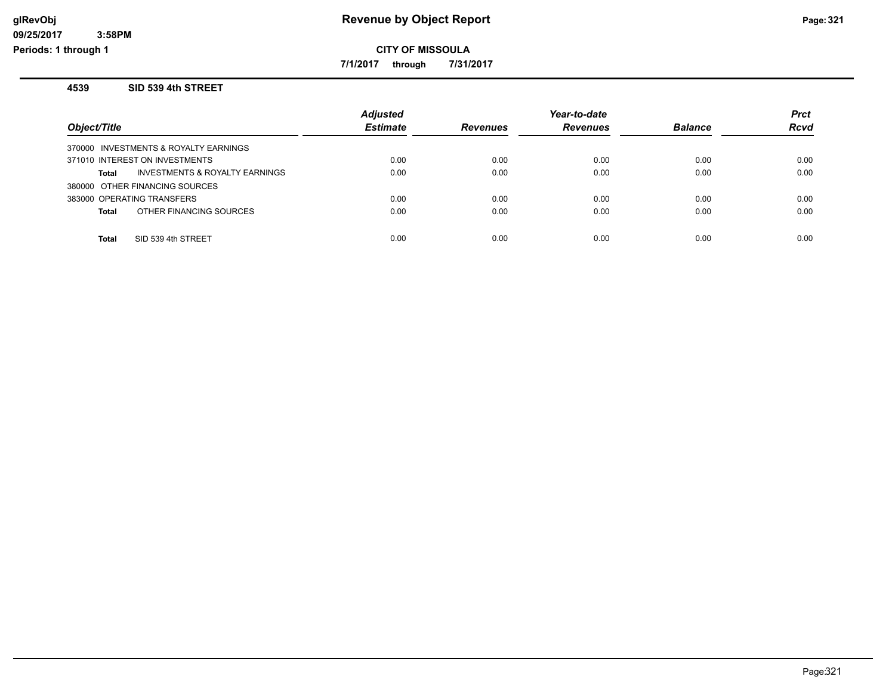**CITY OF MISSOULA**

**7/1/2017 through 7/31/2017**

#### **4539 SID 539 4th STREET**

 **3:58PM**

| Object/Title                                       | <b>Adjusted</b><br><b>Estimate</b> | <b>Revenues</b> | Year-to-date<br><b>Revenues</b> | <b>Balance</b> | <b>Prct</b><br><b>Rcvd</b> |
|----------------------------------------------------|------------------------------------|-----------------|---------------------------------|----------------|----------------------------|
| 370000 INVESTMENTS & ROYALTY EARNINGS              |                                    |                 |                                 |                |                            |
| 371010 INTEREST ON INVESTMENTS                     | 0.00                               | 0.00            | 0.00                            | 0.00           | 0.00                       |
| <b>INVESTMENTS &amp; ROYALTY EARNINGS</b><br>Total | 0.00                               | 0.00            | 0.00                            | 0.00           | 0.00                       |
| 380000 OTHER FINANCING SOURCES                     |                                    |                 |                                 |                |                            |
| 383000 OPERATING TRANSFERS                         | 0.00                               | 0.00            | 0.00                            | 0.00           | 0.00                       |
| OTHER FINANCING SOURCES<br><b>Total</b>            | 0.00                               | 0.00            | 0.00                            | 0.00           | 0.00                       |
|                                                    |                                    |                 |                                 |                |                            |
| SID 539 4th STREET<br>Total                        | 0.00                               | 0.00            | 0.00                            | 0.00           | 0.00                       |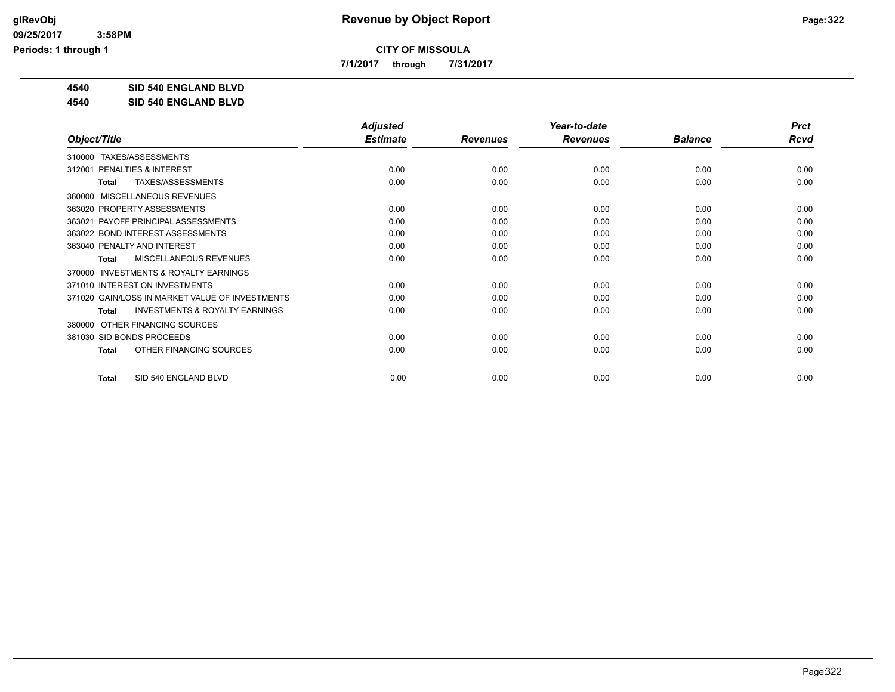**7/1/2017 through 7/31/2017**

**4540 SID 540 ENGLAND BLVD**

**4540 SID 540 ENGLAND BLVD**

|                                                     | <b>Adjusted</b> |                 | Year-to-date    |                | <b>Prct</b> |
|-----------------------------------------------------|-----------------|-----------------|-----------------|----------------|-------------|
| Object/Title                                        | <b>Estimate</b> | <b>Revenues</b> | <b>Revenues</b> | <b>Balance</b> | <b>Rcvd</b> |
| TAXES/ASSESSMENTS<br>310000                         |                 |                 |                 |                |             |
| PENALTIES & INTEREST<br>312001                      | 0.00            | 0.00            | 0.00            | 0.00           | 0.00        |
| TAXES/ASSESSMENTS<br>Total                          | 0.00            | 0.00            | 0.00            | 0.00           | 0.00        |
| MISCELLANEOUS REVENUES<br>360000                    |                 |                 |                 |                |             |
| 363020 PROPERTY ASSESSMENTS                         | 0.00            | 0.00            | 0.00            | 0.00           | 0.00        |
| 363021 PAYOFF PRINCIPAL ASSESSMENTS                 | 0.00            | 0.00            | 0.00            | 0.00           | 0.00        |
| 363022 BOND INTEREST ASSESSMENTS                    | 0.00            | 0.00            | 0.00            | 0.00           | 0.00        |
| 363040 PENALTY AND INTEREST                         | 0.00            | 0.00            | 0.00            | 0.00           | 0.00        |
| MISCELLANEOUS REVENUES<br><b>Total</b>              | 0.00            | 0.00            | 0.00            | 0.00           | 0.00        |
| <b>INVESTMENTS &amp; ROYALTY EARNINGS</b><br>370000 |                 |                 |                 |                |             |
| 371010 INTEREST ON INVESTMENTS                      | 0.00            | 0.00            | 0.00            | 0.00           | 0.00        |
| 371020 GAIN/LOSS IN MARKET VALUE OF INVESTMENTS     | 0.00            | 0.00            | 0.00            | 0.00           | 0.00        |
| <b>INVESTMENTS &amp; ROYALTY EARNINGS</b><br>Total  | 0.00            | 0.00            | 0.00            | 0.00           | 0.00        |
| OTHER FINANCING SOURCES<br>380000                   |                 |                 |                 |                |             |
| 381030 SID BONDS PROCEEDS                           | 0.00            | 0.00            | 0.00            | 0.00           | 0.00        |
| OTHER FINANCING SOURCES<br><b>Total</b>             | 0.00            | 0.00            | 0.00            | 0.00           | 0.00        |
| SID 540 ENGLAND BLVD<br><b>Total</b>                | 0.00            | 0.00            | 0.00            | 0.00           | 0.00        |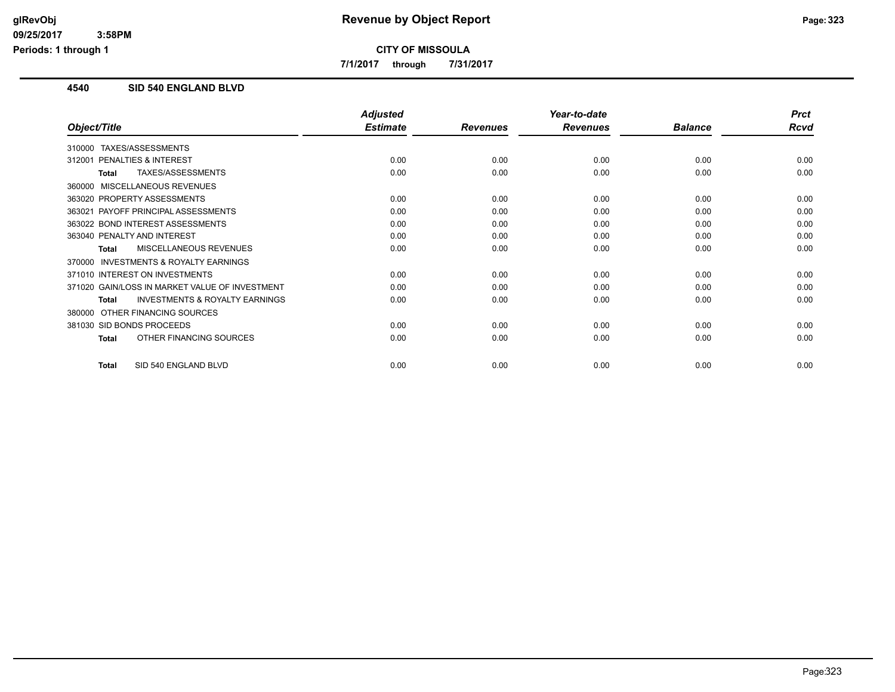**CITY OF MISSOULA**

**7/1/2017 through 7/31/2017**

# **4540 SID 540 ENGLAND BLVD**

 **3:58PM**

|                                                           | <b>Adjusted</b> |                 | Year-to-date    |                | <b>Prct</b> |
|-----------------------------------------------------------|-----------------|-----------------|-----------------|----------------|-------------|
| Object/Title                                              | <b>Estimate</b> | <b>Revenues</b> | <b>Revenues</b> | <b>Balance</b> | <b>Rcvd</b> |
| <b>TAXES/ASSESSMENTS</b><br>310000                        |                 |                 |                 |                |             |
| 312001 PENALTIES & INTEREST                               | 0.00            | 0.00            | 0.00            | 0.00           | 0.00        |
| TAXES/ASSESSMENTS<br><b>Total</b>                         | 0.00            | 0.00            | 0.00            | 0.00           | 0.00        |
| MISCELLANEOUS REVENUES<br>360000                          |                 |                 |                 |                |             |
| 363020 PROPERTY ASSESSMENTS                               | 0.00            | 0.00            | 0.00            | 0.00           | 0.00        |
| 363021 PAYOFF PRINCIPAL ASSESSMENTS                       | 0.00            | 0.00            | 0.00            | 0.00           | 0.00        |
| 363022 BOND INTEREST ASSESSMENTS                          | 0.00            | 0.00            | 0.00            | 0.00           | 0.00        |
| 363040 PENALTY AND INTEREST                               | 0.00            | 0.00            | 0.00            | 0.00           | 0.00        |
| <b>MISCELLANEOUS REVENUES</b><br><b>Total</b>             | 0.00            | 0.00            | 0.00            | 0.00           | 0.00        |
| <b>INVESTMENTS &amp; ROYALTY EARNINGS</b><br>370000       |                 |                 |                 |                |             |
| 371010 INTEREST ON INVESTMENTS                            | 0.00            | 0.00            | 0.00            | 0.00           | 0.00        |
| 371020 GAIN/LOSS IN MARKET VALUE OF INVESTMENT            | 0.00            | 0.00            | 0.00            | 0.00           | 0.00        |
| <b>INVESTMENTS &amp; ROYALTY EARNINGS</b><br><b>Total</b> | 0.00            | 0.00            | 0.00            | 0.00           | 0.00        |
| OTHER FINANCING SOURCES<br>380000                         |                 |                 |                 |                |             |
| 381030 SID BONDS PROCEEDS                                 | 0.00            | 0.00            | 0.00            | 0.00           | 0.00        |
| OTHER FINANCING SOURCES<br><b>Total</b>                   | 0.00            | 0.00            | 0.00            | 0.00           | 0.00        |
| SID 540 ENGLAND BLVD<br><b>Total</b>                      | 0.00            | 0.00            | 0.00            | 0.00           | 0.00        |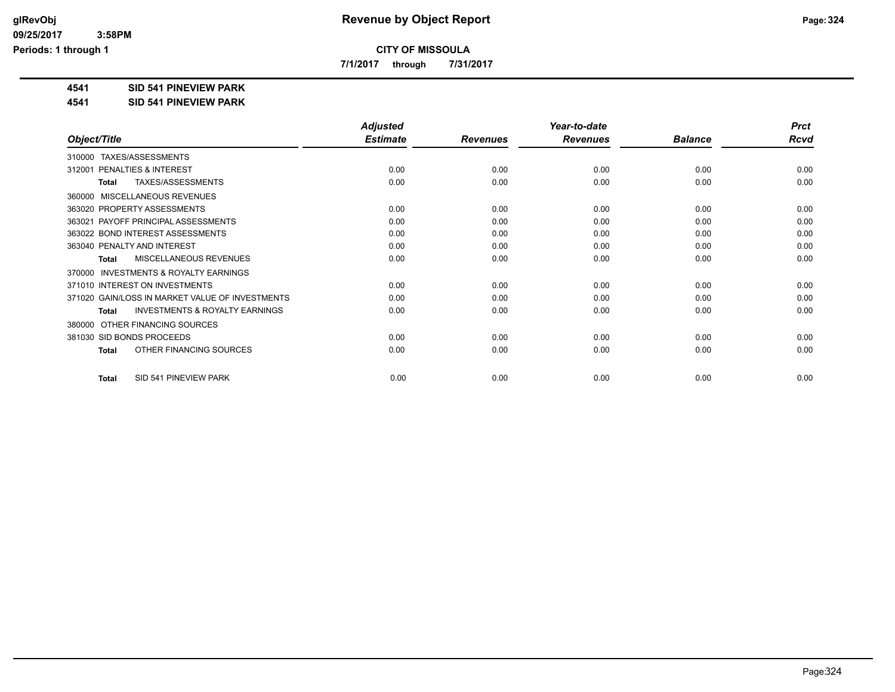**7/1/2017 through 7/31/2017**

#### **4541 SID 541 PINEVIEW PARK**

**4541 SID 541 PINEVIEW PARK**

|                                                           | <b>Adjusted</b> |                 | Year-to-date    |                | <b>Prct</b> |
|-----------------------------------------------------------|-----------------|-----------------|-----------------|----------------|-------------|
| Object/Title                                              | <b>Estimate</b> | <b>Revenues</b> | <b>Revenues</b> | <b>Balance</b> | <b>Rcvd</b> |
| TAXES/ASSESSMENTS<br>310000                               |                 |                 |                 |                |             |
| PENALTIES & INTEREST<br>312001                            | 0.00            | 0.00            | 0.00            | 0.00           | 0.00        |
| TAXES/ASSESSMENTS<br><b>Total</b>                         | 0.00            | 0.00            | 0.00            | 0.00           | 0.00        |
| MISCELLANEOUS REVENUES<br>360000                          |                 |                 |                 |                |             |
| 363020 PROPERTY ASSESSMENTS                               | 0.00            | 0.00            | 0.00            | 0.00           | 0.00        |
| 363021 PAYOFF PRINCIPAL ASSESSMENTS                       | 0.00            | 0.00            | 0.00            | 0.00           | 0.00        |
| 363022 BOND INTEREST ASSESSMENTS                          | 0.00            | 0.00            | 0.00            | 0.00           | 0.00        |
| 363040 PENALTY AND INTEREST                               | 0.00            | 0.00            | 0.00            | 0.00           | 0.00        |
| <b>MISCELLANEOUS REVENUES</b><br><b>Total</b>             | 0.00            | 0.00            | 0.00            | 0.00           | 0.00        |
| <b>INVESTMENTS &amp; ROYALTY EARNINGS</b><br>370000       |                 |                 |                 |                |             |
| 371010 INTEREST ON INVESTMENTS                            | 0.00            | 0.00            | 0.00            | 0.00           | 0.00        |
| 371020 GAIN/LOSS IN MARKET VALUE OF INVESTMENTS           | 0.00            | 0.00            | 0.00            | 0.00           | 0.00        |
| <b>INVESTMENTS &amp; ROYALTY EARNINGS</b><br><b>Total</b> | 0.00            | 0.00            | 0.00            | 0.00           | 0.00        |
| OTHER FINANCING SOURCES<br>380000                         |                 |                 |                 |                |             |
| 381030 SID BONDS PROCEEDS                                 | 0.00            | 0.00            | 0.00            | 0.00           | 0.00        |
| OTHER FINANCING SOURCES<br><b>Total</b>                   | 0.00            | 0.00            | 0.00            | 0.00           | 0.00        |
|                                                           |                 |                 |                 |                |             |
| SID 541 PINEVIEW PARK<br><b>Total</b>                     | 0.00            | 0.00            | 0.00            | 0.00           | 0.00        |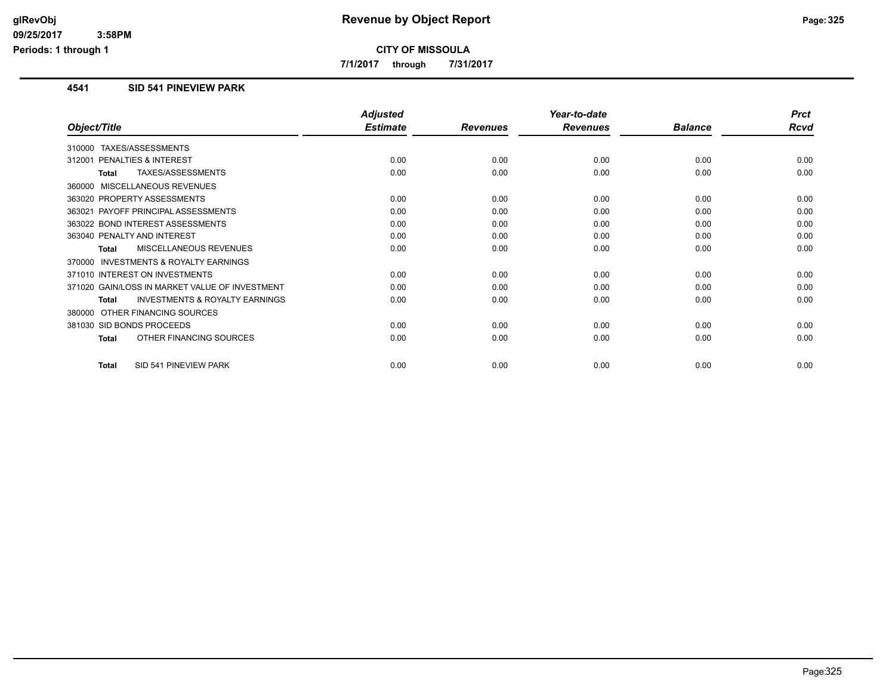**CITY OF MISSOULA**

**7/1/2017 through 7/31/2017**

## **4541 SID 541 PINEVIEW PARK**

 **3:58PM**

|                                                           | <b>Adjusted</b> |                 | Year-to-date    |                | <b>Prct</b> |
|-----------------------------------------------------------|-----------------|-----------------|-----------------|----------------|-------------|
| Object/Title                                              | <b>Estimate</b> | <b>Revenues</b> | <b>Revenues</b> | <b>Balance</b> | <b>Rcvd</b> |
| TAXES/ASSESSMENTS<br>310000                               |                 |                 |                 |                |             |
| 312001 PENALTIES & INTEREST                               | 0.00            | 0.00            | 0.00            | 0.00           | 0.00        |
| TAXES/ASSESSMENTS<br><b>Total</b>                         | 0.00            | 0.00            | 0.00            | 0.00           | 0.00        |
| 360000 MISCELLANEOUS REVENUES                             |                 |                 |                 |                |             |
| 363020 PROPERTY ASSESSMENTS                               | 0.00            | 0.00            | 0.00            | 0.00           | 0.00        |
| 363021 PAYOFF PRINCIPAL ASSESSMENTS                       | 0.00            | 0.00            | 0.00            | 0.00           | 0.00        |
| 363022 BOND INTEREST ASSESSMENTS                          | 0.00            | 0.00            | 0.00            | 0.00           | 0.00        |
| 363040 PENALTY AND INTEREST                               | 0.00            | 0.00            | 0.00            | 0.00           | 0.00        |
| MISCELLANEOUS REVENUES<br>Total                           | 0.00            | 0.00            | 0.00            | 0.00           | 0.00        |
| 370000 INVESTMENTS & ROYALTY EARNINGS                     |                 |                 |                 |                |             |
| 371010 INTEREST ON INVESTMENTS                            | 0.00            | 0.00            | 0.00            | 0.00           | 0.00        |
| 371020 GAIN/LOSS IN MARKET VALUE OF INVESTMENT            | 0.00            | 0.00            | 0.00            | 0.00           | 0.00        |
| <b>INVESTMENTS &amp; ROYALTY EARNINGS</b><br><b>Total</b> | 0.00            | 0.00            | 0.00            | 0.00           | 0.00        |
| 380000 OTHER FINANCING SOURCES                            |                 |                 |                 |                |             |
| 381030 SID BONDS PROCEEDS                                 | 0.00            | 0.00            | 0.00            | 0.00           | 0.00        |
| OTHER FINANCING SOURCES<br>Total                          | 0.00            | 0.00            | 0.00            | 0.00           | 0.00        |
| SID 541 PINEVIEW PARK<br><b>Total</b>                     | 0.00            | 0.00            | 0.00            | 0.00           | 0.00        |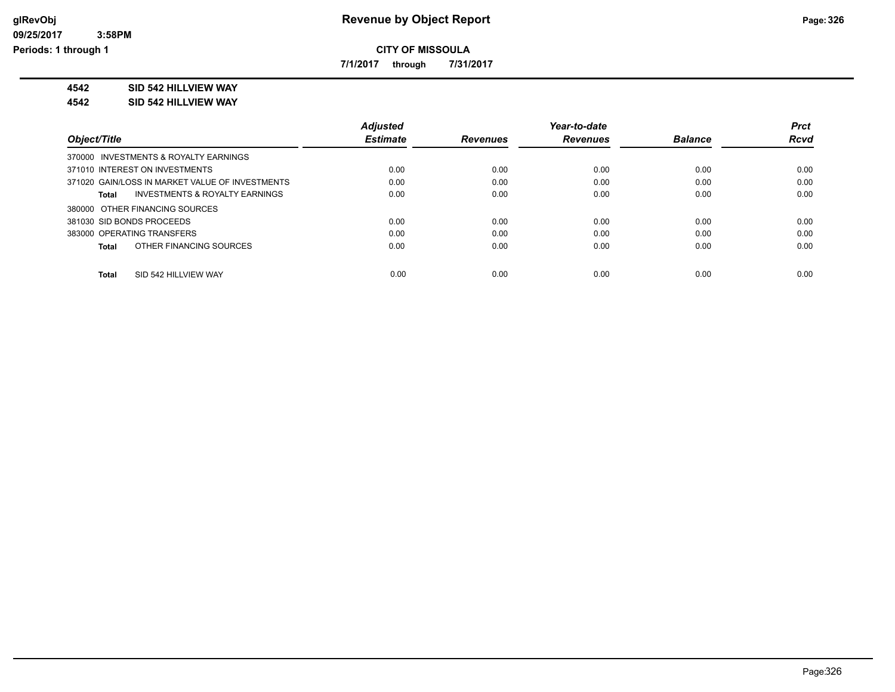**7/1/2017 through 7/31/2017**

## **4542 SID 542 HILLVIEW WAY**

**4542 SID 542 HILLVIEW WAY**

|                                                    | <b>Adjusted</b> |                 | Year-to-date    |                | <b>Prct</b> |
|----------------------------------------------------|-----------------|-----------------|-----------------|----------------|-------------|
| Object/Title                                       | <b>Estimate</b> | <b>Revenues</b> | <b>Revenues</b> | <b>Balance</b> | <b>Rcvd</b> |
| 370000 INVESTMENTS & ROYALTY EARNINGS              |                 |                 |                 |                |             |
| 371010 INTEREST ON INVESTMENTS                     | 0.00            | 0.00            | 0.00            | 0.00           | 0.00        |
| 371020 GAIN/LOSS IN MARKET VALUE OF INVESTMENTS    | 0.00            | 0.00            | 0.00            | 0.00           | 0.00        |
| <b>INVESTMENTS &amp; ROYALTY EARNINGS</b><br>Total | 0.00            | 0.00            | 0.00            | 0.00           | 0.00        |
| 380000 OTHER FINANCING SOURCES                     |                 |                 |                 |                |             |
| 381030 SID BONDS PROCEEDS                          | 0.00            | 0.00            | 0.00            | 0.00           | 0.00        |
| 383000 OPERATING TRANSFERS                         | 0.00            | 0.00            | 0.00            | 0.00           | 0.00        |
| OTHER FINANCING SOURCES<br><b>Total</b>            | 0.00            | 0.00            | 0.00            | 0.00           | 0.00        |
|                                                    |                 |                 |                 |                |             |
| SID 542 HILLVIEW WAY<br>Total                      | 0.00            | 0.00            | 0.00            | 0.00           | 0.00        |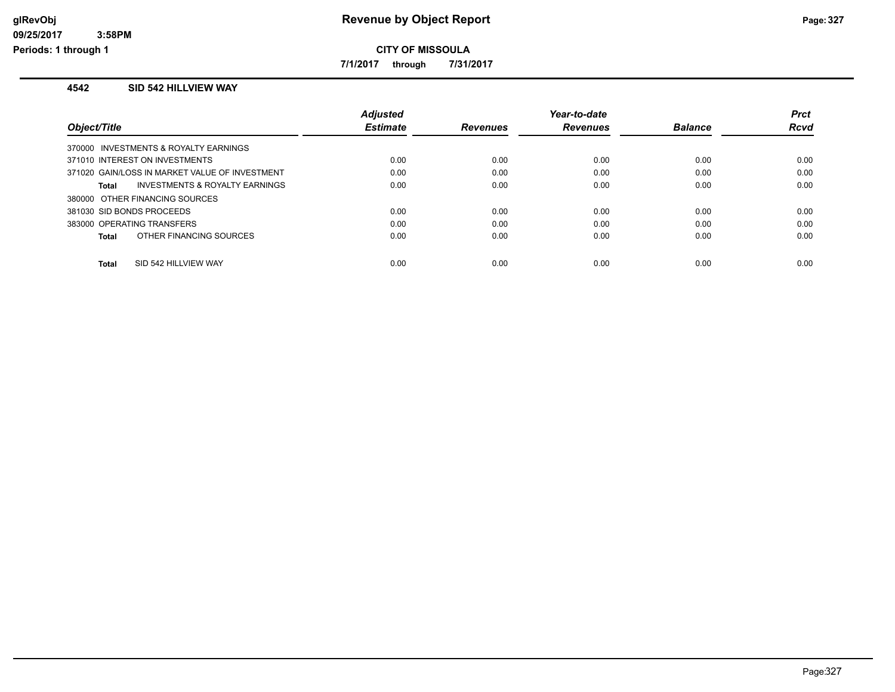**7/1/2017 through 7/31/2017**

#### **4542 SID 542 HILLVIEW WAY**

|                                                | <b>Adjusted</b> |                 | Year-to-date    |                | <b>Prct</b> |
|------------------------------------------------|-----------------|-----------------|-----------------|----------------|-------------|
| Object/Title                                   | <b>Estimate</b> | <b>Revenues</b> | <b>Revenues</b> | <b>Balance</b> | <b>Rcvd</b> |
| 370000 INVESTMENTS & ROYALTY EARNINGS          |                 |                 |                 |                |             |
| 371010 INTEREST ON INVESTMENTS                 | 0.00            | 0.00            | 0.00            | 0.00           | 0.00        |
| 371020 GAIN/LOSS IN MARKET VALUE OF INVESTMENT | 0.00            | 0.00            | 0.00            | 0.00           | 0.00        |
| INVESTMENTS & ROYALTY EARNINGS<br>Total        | 0.00            | 0.00            | 0.00            | 0.00           | 0.00        |
| 380000 OTHER FINANCING SOURCES                 |                 |                 |                 |                |             |
| 381030 SID BONDS PROCEEDS                      | 0.00            | 0.00            | 0.00            | 0.00           | 0.00        |
| 383000 OPERATING TRANSFERS                     | 0.00            | 0.00            | 0.00            | 0.00           | 0.00        |
| OTHER FINANCING SOURCES<br>Total               | 0.00            | 0.00            | 0.00            | 0.00           | 0.00        |
| SID 542 HILLVIEW WAY<br>Total                  | 0.00            | 0.00            | 0.00            | 0.00           | 0.00        |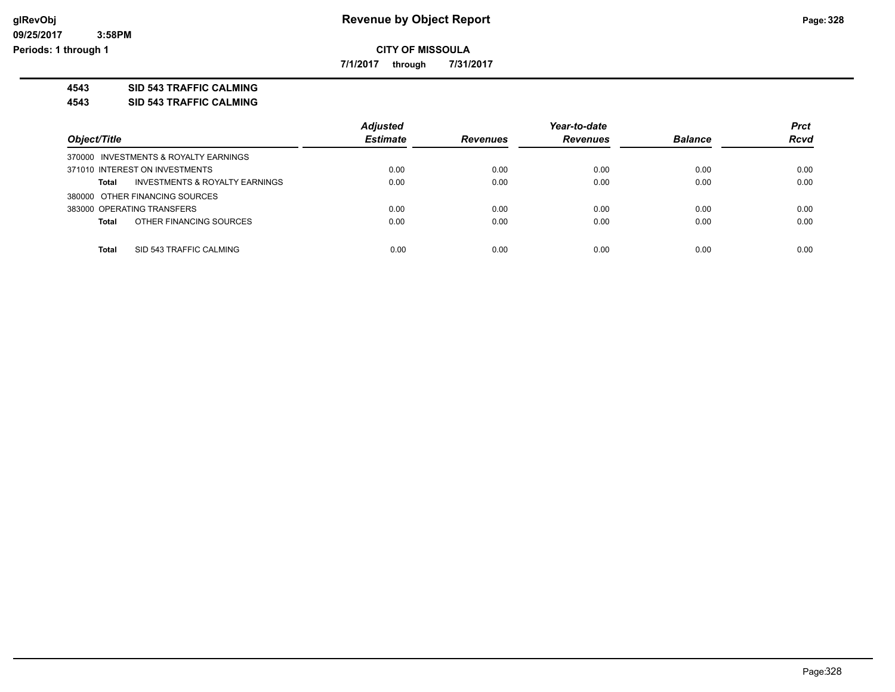**7/1/2017 through 7/31/2017**

## **4543 SID 543 TRAFFIC CALMING**

#### **4543 SID 543 TRAFFIC CALMING**

|                                                           | <b>Adjusted</b> |                 | Year-to-date |                | <b>Prct</b> |
|-----------------------------------------------------------|-----------------|-----------------|--------------|----------------|-------------|
| Object/Title                                              | <b>Estimate</b> | <b>Revenues</b> | Revenues     | <b>Balance</b> | <b>Rcvd</b> |
| 370000 INVESTMENTS & ROYALTY EARNINGS                     |                 |                 |              |                |             |
| 371010 INTEREST ON INVESTMENTS                            | 0.00            | 0.00            | 0.00         | 0.00           | 0.00        |
| <b>INVESTMENTS &amp; ROYALTY EARNINGS</b><br><b>Total</b> | 0.00            | 0.00            | 0.00         | 0.00           | 0.00        |
| 380000 OTHER FINANCING SOURCES                            |                 |                 |              |                |             |
| 383000 OPERATING TRANSFERS                                | 0.00            | 0.00            | 0.00         | 0.00           | 0.00        |
| OTHER FINANCING SOURCES<br>Total                          | 0.00            | 0.00            | 0.00         | 0.00           | 0.00        |
|                                                           |                 |                 |              |                |             |
| SID 543 TRAFFIC CALMING<br><b>Total</b>                   | 0.00            | 0.00            | 0.00         | 0.00           | 0.00        |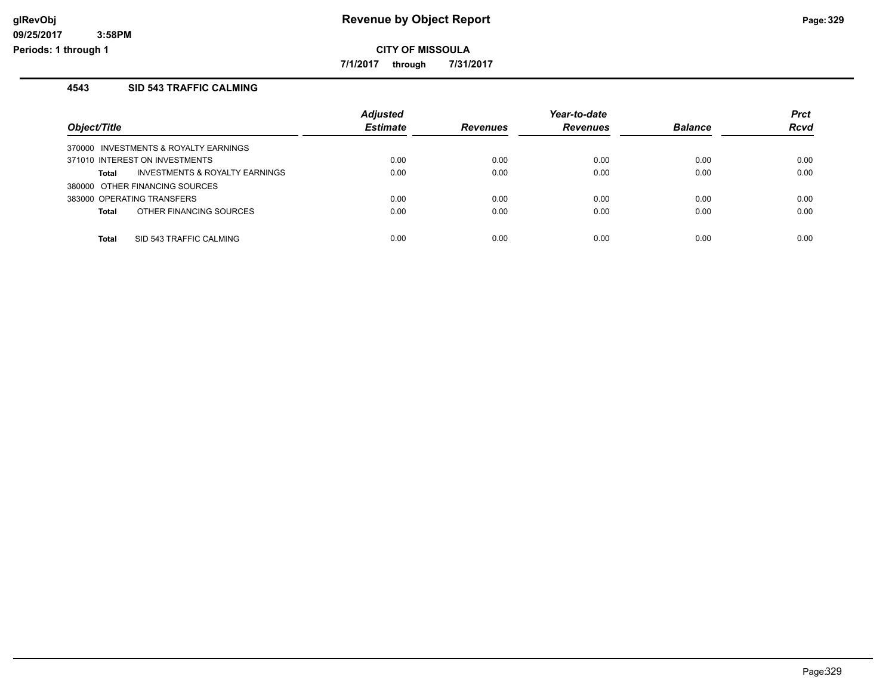**CITY OF MISSOULA**

**7/1/2017 through 7/31/2017**

## **4543 SID 543 TRAFFIC CALMING**

 **3:58PM**

| Object/Title                            | <b>Adjusted</b><br><b>Estimate</b> | <b>Revenues</b> | Year-to-date<br><b>Revenues</b> | <b>Balance</b> | <b>Prct</b><br><b>Rcvd</b> |
|-----------------------------------------|------------------------------------|-----------------|---------------------------------|----------------|----------------------------|
| 370000 INVESTMENTS & ROYALTY EARNINGS   |                                    |                 |                                 |                |                            |
| 371010 INTEREST ON INVESTMENTS          | 0.00                               | 0.00            | 0.00                            | 0.00           | 0.00                       |
| INVESTMENTS & ROYALTY EARNINGS<br>Total | 0.00                               | 0.00            | 0.00                            | 0.00           | 0.00                       |
| 380000 OTHER FINANCING SOURCES          |                                    |                 |                                 |                |                            |
| 383000 OPERATING TRANSFERS              | 0.00                               | 0.00            | 0.00                            | 0.00           | 0.00                       |
| OTHER FINANCING SOURCES<br><b>Total</b> | 0.00                               | 0.00            | 0.00                            | 0.00           | 0.00                       |
|                                         |                                    |                 |                                 |                |                            |
| SID 543 TRAFFIC CALMING<br><b>Total</b> | 0.00                               | 0.00            | 0.00                            | 0.00           | 0.00                       |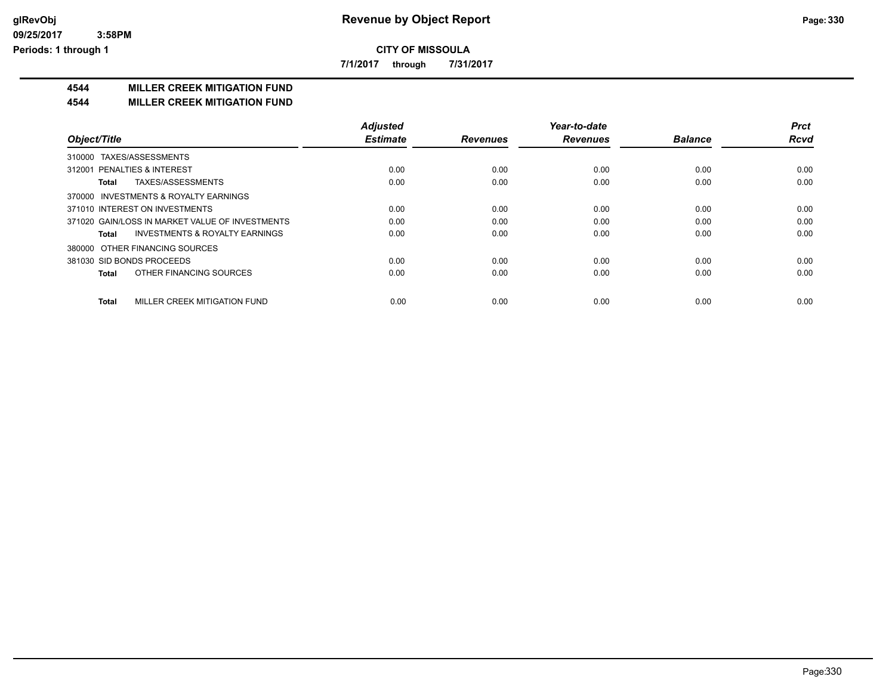**3:58PM**

**CITY OF MISSOULA**

**7/1/2017 through 7/31/2017**

## **4544 MILLER CREEK MITIGATION FUND**

## **4544 MILLER CREEK MITIGATION FUND**

|                                                    | <b>Adjusted</b><br><b>Estimate</b> |                 | Year-to-date    | <b>Balance</b> | <b>Prct</b><br><b>Rcvd</b> |
|----------------------------------------------------|------------------------------------|-----------------|-----------------|----------------|----------------------------|
| Object/Title                                       |                                    | <b>Revenues</b> | <b>Revenues</b> |                |                            |
| TAXES/ASSESSMENTS<br>310000                        |                                    |                 |                 |                |                            |
| <b>PENALTIES &amp; INTEREST</b><br>312001          | 0.00                               | 0.00            | 0.00            | 0.00           | 0.00                       |
| TAXES/ASSESSMENTS<br>Total                         | 0.00                               | 0.00            | 0.00            | 0.00           | 0.00                       |
| 370000 INVESTMENTS & ROYALTY EARNINGS              |                                    |                 |                 |                |                            |
| 371010 INTEREST ON INVESTMENTS                     | 0.00                               | 0.00            | 0.00            | 0.00           | 0.00                       |
| 371020 GAIN/LOSS IN MARKET VALUE OF INVESTMENTS    | 0.00                               | 0.00            | 0.00            | 0.00           | 0.00                       |
| <b>INVESTMENTS &amp; ROYALTY EARNINGS</b><br>Total | 0.00                               | 0.00            | 0.00            | 0.00           | 0.00                       |
| 380000 OTHER FINANCING SOURCES                     |                                    |                 |                 |                |                            |
| 381030 SID BONDS PROCEEDS                          | 0.00                               | 0.00            | 0.00            | 0.00           | 0.00                       |
| OTHER FINANCING SOURCES<br><b>Total</b>            | 0.00                               | 0.00            | 0.00            | 0.00           | 0.00                       |
| MILLER CREEK MITIGATION FUND<br>Total              | 0.00                               | 0.00            | 0.00            | 0.00           | 0.00                       |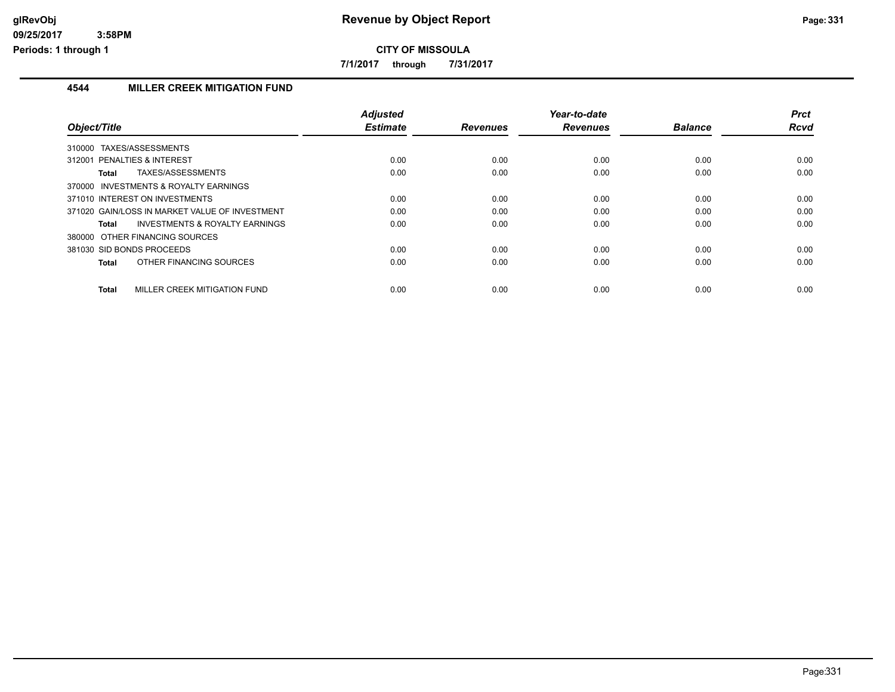**3:58PM**

**CITY OF MISSOULA**

**7/1/2017 through 7/31/2017**

## **4544 MILLER CREEK MITIGATION FUND**

|                                                           | <b>Adjusted</b> |                 | Year-to-date    |                | <b>Prct</b> |
|-----------------------------------------------------------|-----------------|-----------------|-----------------|----------------|-------------|
| Object/Title                                              | <b>Estimate</b> | <b>Revenues</b> | <b>Revenues</b> | <b>Balance</b> | <b>Rcvd</b> |
| 310000 TAXES/ASSESSMENTS                                  |                 |                 |                 |                |             |
| 312001 PENALTIES & INTEREST                               | 0.00            | 0.00            | 0.00            | 0.00           | 0.00        |
| TAXES/ASSESSMENTS<br><b>Total</b>                         | 0.00            | 0.00            | 0.00            | 0.00           | 0.00        |
| 370000 INVESTMENTS & ROYALTY EARNINGS                     |                 |                 |                 |                |             |
| 371010 INTEREST ON INVESTMENTS                            | 0.00            | 0.00            | 0.00            | 0.00           | 0.00        |
| 371020 GAIN/LOSS IN MARKET VALUE OF INVESTMENT            | 0.00            | 0.00            | 0.00            | 0.00           | 0.00        |
| <b>INVESTMENTS &amp; ROYALTY EARNINGS</b><br><b>Total</b> | 0.00            | 0.00            | 0.00            | 0.00           | 0.00        |
| 380000 OTHER FINANCING SOURCES                            |                 |                 |                 |                |             |
| 381030 SID BONDS PROCEEDS                                 | 0.00            | 0.00            | 0.00            | 0.00           | 0.00        |
| OTHER FINANCING SOURCES<br><b>Total</b>                   | 0.00            | 0.00            | 0.00            | 0.00           | 0.00        |
| <b>Total</b><br>MILLER CREEK MITIGATION FUND              | 0.00            | 0.00            | 0.00            | 0.00           | 0.00        |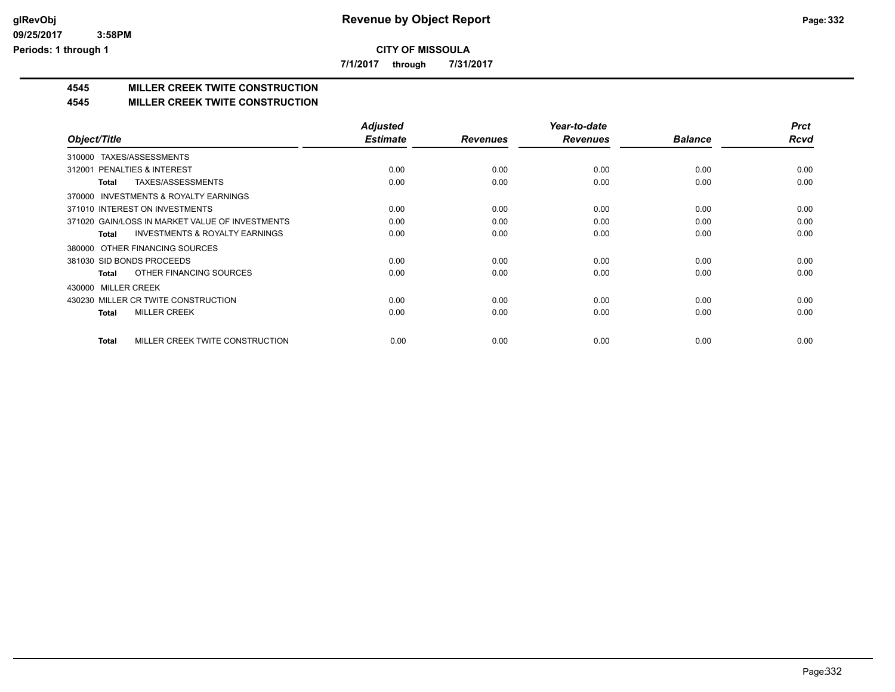**3:58PM**

**CITY OF MISSOULA**

**7/1/2017 through 7/31/2017**

## **4545 MILLER CREEK TWITE CONSTRUCTION**

## **4545 MILLER CREEK TWITE CONSTRUCTION**

|                                                     | Adjusted        |                 | Year-to-date    |                | <b>Prct</b> |
|-----------------------------------------------------|-----------------|-----------------|-----------------|----------------|-------------|
| Object/Title                                        | <b>Estimate</b> | <b>Revenues</b> | <b>Revenues</b> | <b>Balance</b> | Rcvd        |
| TAXES/ASSESSMENTS<br>310000                         |                 |                 |                 |                |             |
| 312001 PENALTIES & INTEREST                         | 0.00            | 0.00            | 0.00            | 0.00           | 0.00        |
| <b>TAXES/ASSESSMENTS</b><br><b>Total</b>            | 0.00            | 0.00            | 0.00            | 0.00           | 0.00        |
| <b>INVESTMENTS &amp; ROYALTY EARNINGS</b><br>370000 |                 |                 |                 |                |             |
| 371010 INTEREST ON INVESTMENTS                      | 0.00            | 0.00            | 0.00            | 0.00           | 0.00        |
| 371020 GAIN/LOSS IN MARKET VALUE OF INVESTMENTS     | 0.00            | 0.00            | 0.00            | 0.00           | 0.00        |
| <b>INVESTMENTS &amp; ROYALTY EARNINGS</b><br>Total  | 0.00            | 0.00            | 0.00            | 0.00           | 0.00        |
| OTHER FINANCING SOURCES<br>380000                   |                 |                 |                 |                |             |
| 381030 SID BONDS PROCEEDS                           | 0.00            | 0.00            | 0.00            | 0.00           | 0.00        |
| OTHER FINANCING SOURCES<br><b>Total</b>             | 0.00            | 0.00            | 0.00            | 0.00           | 0.00        |
| <b>MILLER CREEK</b><br>430000                       |                 |                 |                 |                |             |
| 430230 MILLER CR TWITE CONSTRUCTION                 | 0.00            | 0.00            | 0.00            | 0.00           | 0.00        |
| <b>MILLER CREEK</b><br>Total                        | 0.00            | 0.00            | 0.00            | 0.00           | 0.00        |
|                                                     |                 |                 |                 |                |             |
| MILLER CREEK TWITE CONSTRUCTION<br><b>Total</b>     | 0.00            | 0.00            | 0.00            | 0.00           | 0.00        |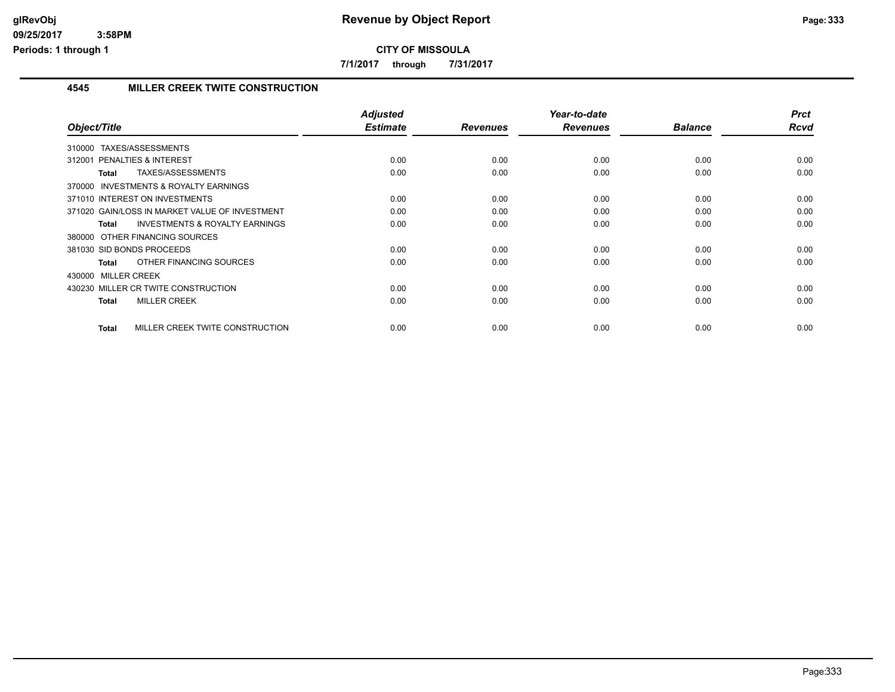**3:58PM**

**CITY OF MISSOULA**

**7/1/2017 through 7/31/2017**

## **4545 MILLER CREEK TWITE CONSTRUCTION**

| Object/Title                                              | <b>Adjusted</b><br><b>Estimate</b> | <b>Revenues</b> | Year-to-date<br><b>Revenues</b> | <b>Balance</b> | <b>Prct</b><br><b>Rcvd</b> |
|-----------------------------------------------------------|------------------------------------|-----------------|---------------------------------|----------------|----------------------------|
| TAXES/ASSESSMENTS<br>310000                               |                                    |                 |                                 |                |                            |
| 312001 PENALTIES & INTEREST                               | 0.00                               | 0.00            | 0.00                            | 0.00           | 0.00                       |
| TAXES/ASSESSMENTS<br><b>Total</b>                         | 0.00                               | 0.00            | 0.00                            | 0.00           | 0.00                       |
| <b>INVESTMENTS &amp; ROYALTY EARNINGS</b><br>370000       |                                    |                 |                                 |                |                            |
| 371010 INTEREST ON INVESTMENTS                            | 0.00                               | 0.00            | 0.00                            | 0.00           | 0.00                       |
| 371020 GAIN/LOSS IN MARKET VALUE OF INVESTMENT            | 0.00                               | 0.00            | 0.00                            | 0.00           | 0.00                       |
| <b>INVESTMENTS &amp; ROYALTY EARNINGS</b><br><b>Total</b> | 0.00                               | 0.00            | 0.00                            | 0.00           | 0.00                       |
| 380000 OTHER FINANCING SOURCES                            |                                    |                 |                                 |                |                            |
| 381030 SID BONDS PROCEEDS                                 | 0.00                               | 0.00            | 0.00                            | 0.00           | 0.00                       |
| OTHER FINANCING SOURCES<br>Total                          | 0.00                               | 0.00            | 0.00                            | 0.00           | 0.00                       |
| 430000 MILLER CREEK                                       |                                    |                 |                                 |                |                            |
| 430230 MILLER CR TWITE CONSTRUCTION                       | 0.00                               | 0.00            | 0.00                            | 0.00           | 0.00                       |
| <b>MILLER CREEK</b><br><b>Total</b>                       | 0.00                               | 0.00            | 0.00                            | 0.00           | 0.00                       |
| MILLER CREEK TWITE CONSTRUCTION<br><b>Total</b>           | 0.00                               | 0.00            | 0.00                            | 0.00           | 0.00                       |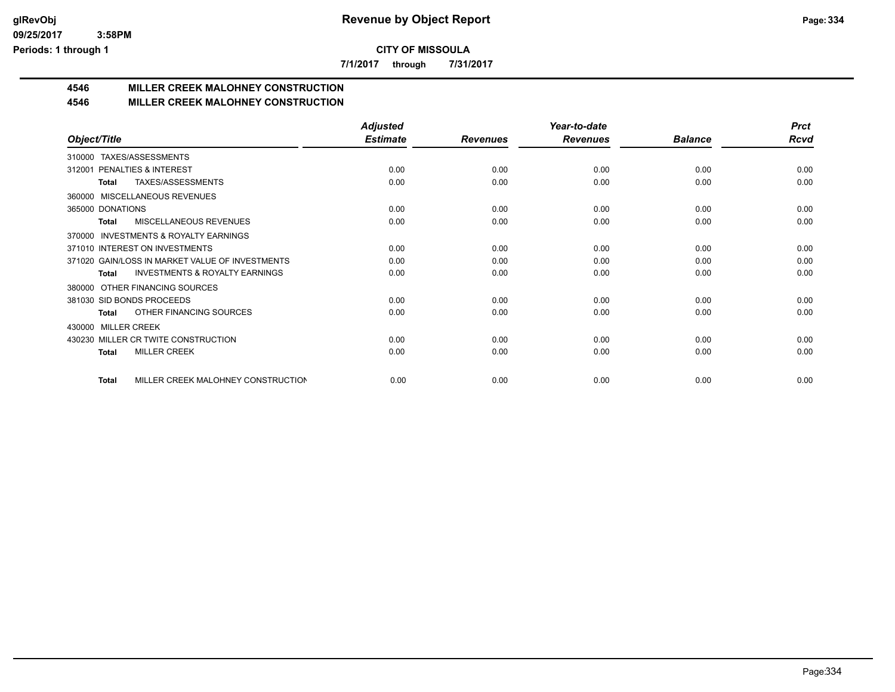**7/1/2017 through 7/31/2017**

## **4546 MILLER CREEK MALOHNEY CONSTRUCTION**

## **4546 MILLER CREEK MALOHNEY CONSTRUCTION**

|                                                     | <b>Adjusted</b> |                 | Year-to-date    |                | <b>Prct</b> |
|-----------------------------------------------------|-----------------|-----------------|-----------------|----------------|-------------|
| Object/Title                                        | <b>Estimate</b> | <b>Revenues</b> | <b>Revenues</b> | <b>Balance</b> | Rcvd        |
| TAXES/ASSESSMENTS<br>310000                         |                 |                 |                 |                |             |
| PENALTIES & INTEREST<br>312001                      | 0.00            | 0.00            | 0.00            | 0.00           | 0.00        |
| TAXES/ASSESSMENTS<br>Total                          | 0.00            | 0.00            | 0.00            | 0.00           | 0.00        |
| MISCELLANEOUS REVENUES<br>360000                    |                 |                 |                 |                |             |
| 365000 DONATIONS                                    | 0.00            | 0.00            | 0.00            | 0.00           | 0.00        |
| MISCELLANEOUS REVENUES<br>Total                     | 0.00            | 0.00            | 0.00            | 0.00           | 0.00        |
| <b>INVESTMENTS &amp; ROYALTY EARNINGS</b><br>370000 |                 |                 |                 |                |             |
| 371010 INTEREST ON INVESTMENTS                      | 0.00            | 0.00            | 0.00            | 0.00           | 0.00        |
| 371020 GAIN/LOSS IN MARKET VALUE OF INVESTMENTS     | 0.00            | 0.00            | 0.00            | 0.00           | 0.00        |
| <b>INVESTMENTS &amp; ROYALTY EARNINGS</b><br>Total  | 0.00            | 0.00            | 0.00            | 0.00           | 0.00        |
| OTHER FINANCING SOURCES<br>380000                   |                 |                 |                 |                |             |
| 381030 SID BONDS PROCEEDS                           | 0.00            | 0.00            | 0.00            | 0.00           | 0.00        |
| OTHER FINANCING SOURCES<br>Total                    | 0.00            | 0.00            | 0.00            | 0.00           | 0.00        |
| <b>MILLER CREEK</b><br>430000                       |                 |                 |                 |                |             |
| 430230 MILLER CR TWITE CONSTRUCTION                 | 0.00            | 0.00            | 0.00            | 0.00           | 0.00        |
| <b>MILLER CREEK</b><br>Total                        | 0.00            | 0.00            | 0.00            | 0.00           | 0.00        |
|                                                     |                 |                 |                 |                |             |
| MILLER CREEK MALOHNEY CONSTRUCTION<br><b>Total</b>  | 0.00            | 0.00            | 0.00            | 0.00           | 0.00        |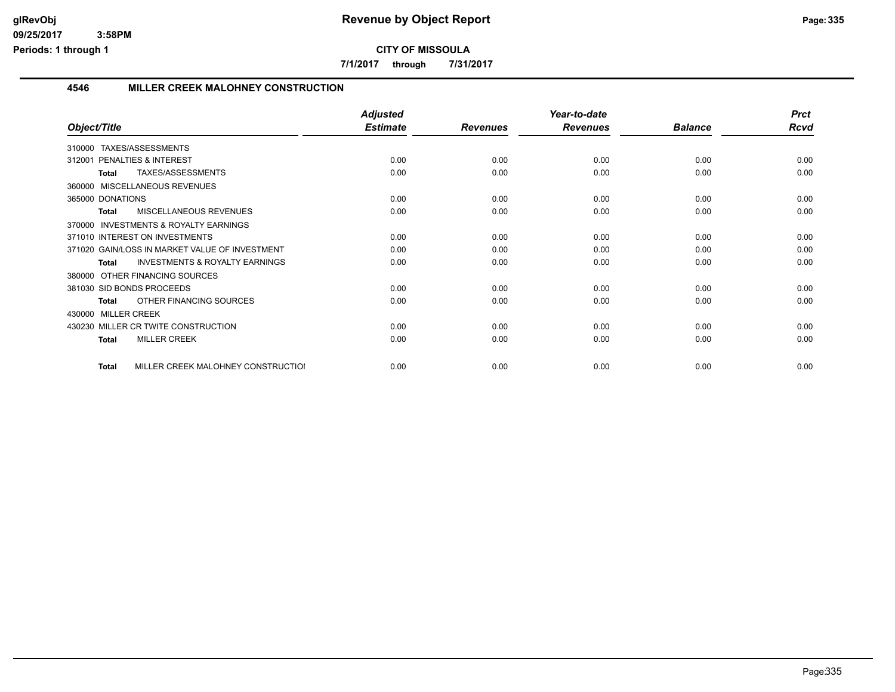**09/25/2017 3:58PM Periods: 1 through 1**

#### **CITY OF MISSOULA**

**7/1/2017 through 7/31/2017**

## **4546 MILLER CREEK MALOHNEY CONSTRUCTION**

|                                                    | <b>Adjusted</b> |                 | Year-to-date    |                | <b>Prct</b> |
|----------------------------------------------------|-----------------|-----------------|-----------------|----------------|-------------|
| Object/Title                                       | <b>Estimate</b> | <b>Revenues</b> | <b>Revenues</b> | <b>Balance</b> | <b>Rcvd</b> |
| TAXES/ASSESSMENTS<br>310000                        |                 |                 |                 |                |             |
| PENALTIES & INTEREST<br>312001                     | 0.00            | 0.00            | 0.00            | 0.00           | 0.00        |
| TAXES/ASSESSMENTS<br>Total                         | 0.00            | 0.00            | 0.00            | 0.00           | 0.00        |
| 360000 MISCELLANEOUS REVENUES                      |                 |                 |                 |                |             |
| 365000 DONATIONS                                   | 0.00            | 0.00            | 0.00            | 0.00           | 0.00        |
| MISCELLANEOUS REVENUES<br><b>Total</b>             | 0.00            | 0.00            | 0.00            | 0.00           | 0.00        |
| INVESTMENTS & ROYALTY EARNINGS<br>370000           |                 |                 |                 |                |             |
| 371010 INTEREST ON INVESTMENTS                     | 0.00            | 0.00            | 0.00            | 0.00           | 0.00        |
| 371020 GAIN/LOSS IN MARKET VALUE OF INVESTMENT     | 0.00            | 0.00            | 0.00            | 0.00           | 0.00        |
| <b>INVESTMENTS &amp; ROYALTY EARNINGS</b><br>Total | 0.00            | 0.00            | 0.00            | 0.00           | 0.00        |
| 380000 OTHER FINANCING SOURCES                     |                 |                 |                 |                |             |
| 381030 SID BONDS PROCEEDS                          | 0.00            | 0.00            | 0.00            | 0.00           | 0.00        |
| OTHER FINANCING SOURCES<br>Total                   | 0.00            | 0.00            | 0.00            | 0.00           | 0.00        |
| 430000 MILLER CREEK                                |                 |                 |                 |                |             |
| 430230 MILLER CR TWITE CONSTRUCTION                | 0.00            | 0.00            | 0.00            | 0.00           | 0.00        |
| <b>MILLER CREEK</b><br><b>Total</b>                | 0.00            | 0.00            | 0.00            | 0.00           | 0.00        |
| MILLER CREEK MALOHNEY CONSTRUCTIOI<br>Total        | 0.00            | 0.00            | 0.00            | 0.00           | 0.00        |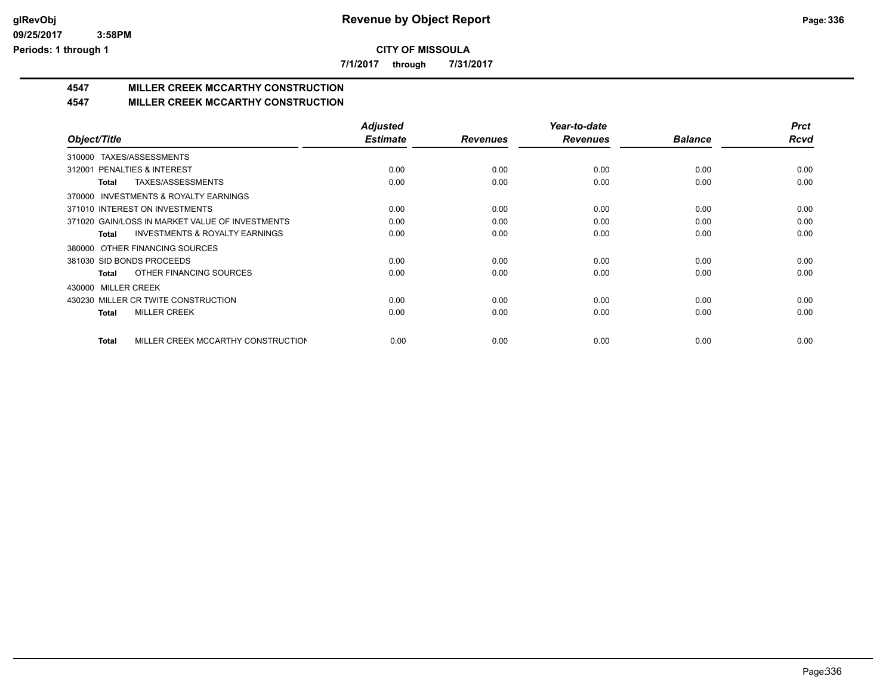**3:58PM**

**CITY OF MISSOULA**

**7/1/2017 through 7/31/2017**

## **4547 MILLER CREEK MCCARTHY CONSTRUCTION**

## **4547 MILLER CREEK MCCARTHY CONSTRUCTION**

|                                                           | <b>Adjusted</b> |                 | Year-to-date    |                | <b>Prct</b> |
|-----------------------------------------------------------|-----------------|-----------------|-----------------|----------------|-------------|
| Object/Title                                              | <b>Estimate</b> | <b>Revenues</b> | <b>Revenues</b> | <b>Balance</b> | <b>Rcvd</b> |
| TAXES/ASSESSMENTS<br>310000                               |                 |                 |                 |                |             |
| <b>PENALTIES &amp; INTEREST</b><br>312001                 | 0.00            | 0.00            | 0.00            | 0.00           | 0.00        |
| TAXES/ASSESSMENTS<br>Total                                | 0.00            | 0.00            | 0.00            | 0.00           | 0.00        |
| <b>INVESTMENTS &amp; ROYALTY EARNINGS</b><br>370000       |                 |                 |                 |                |             |
| 371010 INTEREST ON INVESTMENTS                            | 0.00            | 0.00            | 0.00            | 0.00           | 0.00        |
| 371020 GAIN/LOSS IN MARKET VALUE OF INVESTMENTS           | 0.00            | 0.00            | 0.00            | 0.00           | 0.00        |
| <b>INVESTMENTS &amp; ROYALTY EARNINGS</b><br><b>Total</b> | 0.00            | 0.00            | 0.00            | 0.00           | 0.00        |
| OTHER FINANCING SOURCES<br>380000                         |                 |                 |                 |                |             |
| 381030 SID BONDS PROCEEDS                                 | 0.00            | 0.00            | 0.00            | 0.00           | 0.00        |
| OTHER FINANCING SOURCES<br>Total                          | 0.00            | 0.00            | 0.00            | 0.00           | 0.00        |
| 430000 MILLER CREEK                                       |                 |                 |                 |                |             |
| 430230 MILLER CR TWITE CONSTRUCTION                       | 0.00            | 0.00            | 0.00            | 0.00           | 0.00        |
| <b>MILLER CREEK</b><br><b>Total</b>                       | 0.00            | 0.00            | 0.00            | 0.00           | 0.00        |
|                                                           |                 |                 |                 |                |             |
| MILLER CREEK MCCARTHY CONSTRUCTION<br><b>Total</b>        | 0.00            | 0.00            | 0.00            | 0.00           | 0.00        |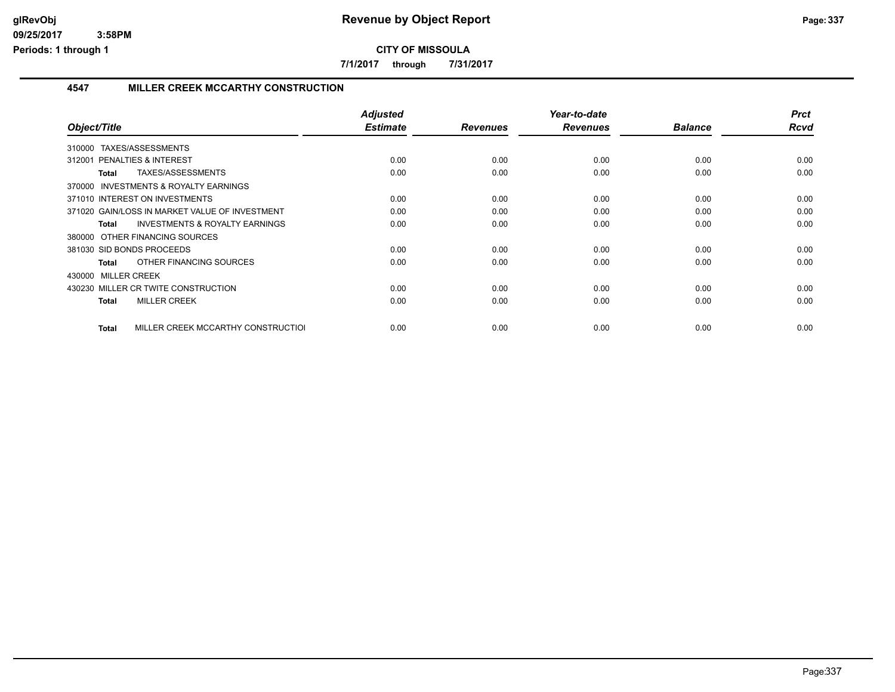**3:58PM**

**CITY OF MISSOULA**

**7/1/2017 through 7/31/2017**

## **4547 MILLER CREEK MCCARTHY CONSTRUCTION**

| Object/Title                                              | <b>Adjusted</b><br><b>Estimate</b> | <b>Revenues</b> | Year-to-date<br><b>Revenues</b> | <b>Balance</b> | <b>Prct</b><br><b>Rcvd</b> |
|-----------------------------------------------------------|------------------------------------|-----------------|---------------------------------|----------------|----------------------------|
| 310000 TAXES/ASSESSMENTS                                  |                                    |                 |                                 |                |                            |
| 312001 PENALTIES & INTEREST                               | 0.00                               | 0.00            | 0.00                            | 0.00           | 0.00                       |
| TAXES/ASSESSMENTS<br>Total                                | 0.00                               | 0.00            | 0.00                            | 0.00           | 0.00                       |
| <b>INVESTMENTS &amp; ROYALTY EARNINGS</b><br>370000       |                                    |                 |                                 |                |                            |
| 371010 INTEREST ON INVESTMENTS                            | 0.00                               | 0.00            | 0.00                            | 0.00           | 0.00                       |
| 371020 GAIN/LOSS IN MARKET VALUE OF INVESTMENT            | 0.00                               | 0.00            | 0.00                            | 0.00           | 0.00                       |
| <b>INVESTMENTS &amp; ROYALTY EARNINGS</b><br><b>Total</b> | 0.00                               | 0.00            | 0.00                            | 0.00           | 0.00                       |
| 380000 OTHER FINANCING SOURCES                            |                                    |                 |                                 |                |                            |
| 381030 SID BONDS PROCEEDS                                 | 0.00                               | 0.00            | 0.00                            | 0.00           | 0.00                       |
| OTHER FINANCING SOURCES<br>Total                          | 0.00                               | 0.00            | 0.00                            | 0.00           | 0.00                       |
| 430000 MILLER CREEK                                       |                                    |                 |                                 |                |                            |
| 430230 MILLER CR TWITE CONSTRUCTION                       | 0.00                               | 0.00            | 0.00                            | 0.00           | 0.00                       |
| <b>MILLER CREEK</b><br><b>Total</b>                       | 0.00                               | 0.00            | 0.00                            | 0.00           | 0.00                       |
|                                                           |                                    |                 |                                 |                |                            |
| MILLER CREEK MCCARTHY CONSTRUCTIOL<br><b>Total</b>        | 0.00                               | 0.00            | 0.00                            | 0.00           | 0.00                       |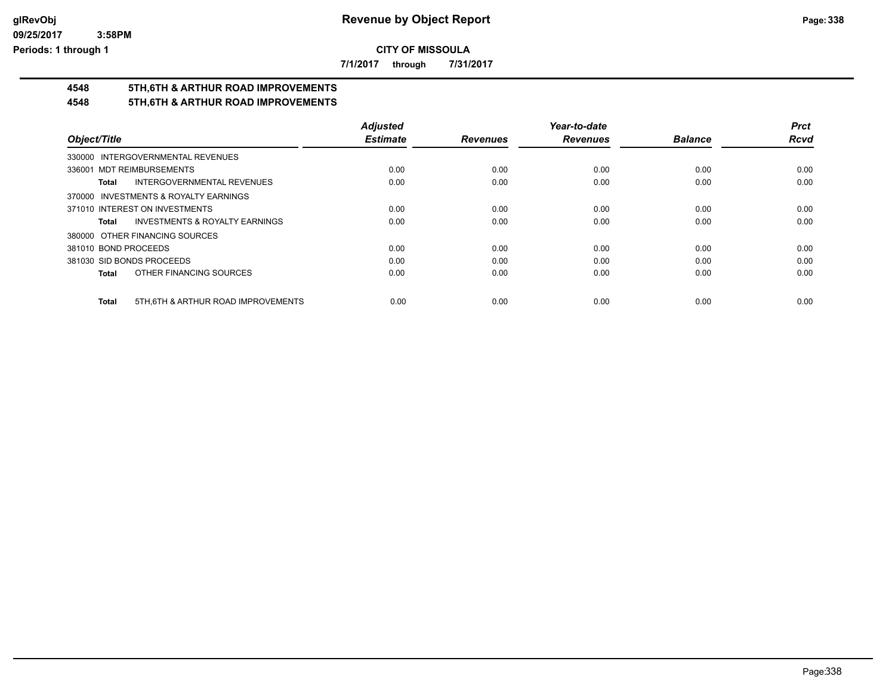**CITY OF MISSOULA**

**7/1/2017 through 7/31/2017**

# **4548 5TH,6TH & ARTHUR ROAD IMPROVEMENTS**

## **4548 5TH,6TH & ARTHUR ROAD IMPROVEMENTS**

|                                                    | <b>Adjusted</b> |                 | Year-to-date    |                | <b>Prct</b> |
|----------------------------------------------------|-----------------|-----------------|-----------------|----------------|-------------|
| Object/Title                                       | <b>Estimate</b> | <b>Revenues</b> | <b>Revenues</b> | <b>Balance</b> | <b>Rcvd</b> |
| 330000 INTERGOVERNMENTAL REVENUES                  |                 |                 |                 |                |             |
| <b>MDT REIMBURSEMENTS</b><br>336001                | 0.00            | 0.00            | 0.00            | 0.00           | 0.00        |
| INTERGOVERNMENTAL REVENUES<br>Total                | 0.00            | 0.00            | 0.00            | 0.00           | 0.00        |
| 370000 INVESTMENTS & ROYALTY EARNINGS              |                 |                 |                 |                |             |
| 371010 INTEREST ON INVESTMENTS                     | 0.00            | 0.00            | 0.00            | 0.00           | 0.00        |
| <b>INVESTMENTS &amp; ROYALTY EARNINGS</b><br>Total | 0.00            | 0.00            | 0.00            | 0.00           | 0.00        |
| 380000 OTHER FINANCING SOURCES                     |                 |                 |                 |                |             |
| 381010 BOND PROCEEDS                               | 0.00            | 0.00            | 0.00            | 0.00           | 0.00        |
| 381030 SID BONDS PROCEEDS                          | 0.00            | 0.00            | 0.00            | 0.00           | 0.00        |
| OTHER FINANCING SOURCES<br>Total                   | 0.00            | 0.00            | 0.00            | 0.00           | 0.00        |
| Total<br>5TH.6TH & ARTHUR ROAD IMPROVEMENTS        | 0.00            | 0.00            | 0.00            | 0.00           | 0.00        |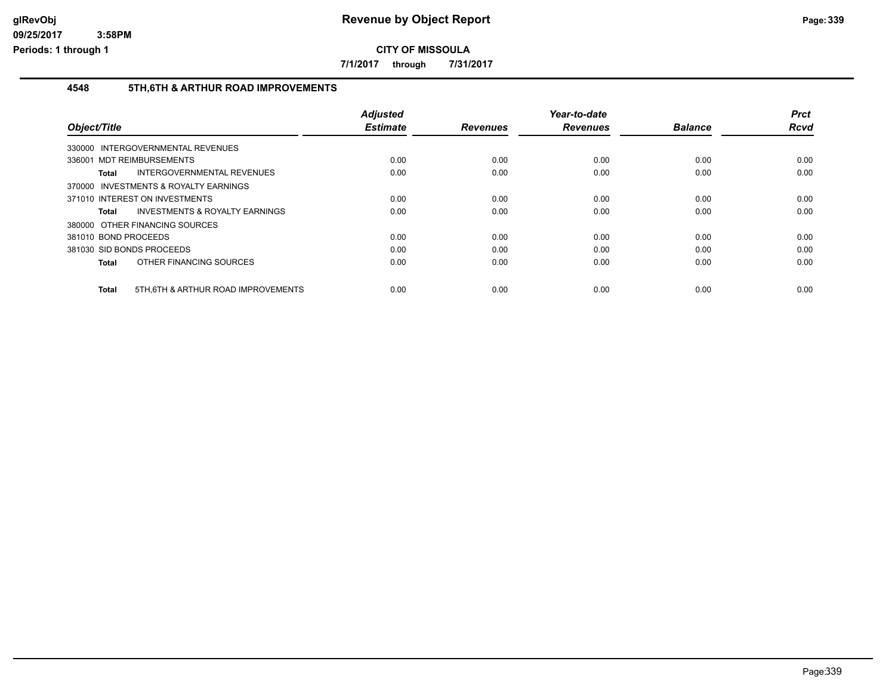**CITY OF MISSOULA**

**7/1/2017 through 7/31/2017**

## **4548 5TH,6TH & ARTHUR ROAD IMPROVEMENTS**

|                                                     | <b>Adjusted</b> |                 | Year-to-date    |                | <b>Prct</b> |
|-----------------------------------------------------|-----------------|-----------------|-----------------|----------------|-------------|
| Object/Title                                        | <b>Estimate</b> | <b>Revenues</b> | <b>Revenues</b> | <b>Balance</b> | <b>Rcvd</b> |
| 330000 INTERGOVERNMENTAL REVENUES                   |                 |                 |                 |                |             |
| 336001 MDT REIMBURSEMENTS                           | 0.00            | 0.00            | 0.00            | 0.00           | 0.00        |
| <b>INTERGOVERNMENTAL REVENUES</b><br>Total          | 0.00            | 0.00            | 0.00            | 0.00           | 0.00        |
| 370000 INVESTMENTS & ROYALTY EARNINGS               |                 |                 |                 |                |             |
| 371010 INTEREST ON INVESTMENTS                      | 0.00            | 0.00            | 0.00            | 0.00           | 0.00        |
| <b>INVESTMENTS &amp; ROYALTY EARNINGS</b><br>Total  | 0.00            | 0.00            | 0.00            | 0.00           | 0.00        |
| 380000 OTHER FINANCING SOURCES                      |                 |                 |                 |                |             |
| 381010 BOND PROCEEDS                                | 0.00            | 0.00            | 0.00            | 0.00           | 0.00        |
| 381030 SID BONDS PROCEEDS                           | 0.00            | 0.00            | 0.00            | 0.00           | 0.00        |
| OTHER FINANCING SOURCES<br>Total                    | 0.00            | 0.00            | 0.00            | 0.00           | 0.00        |
| <b>Total</b><br>5TH, 6TH & ARTHUR ROAD IMPROVEMENTS | 0.00            | 0.00            | 0.00            | 0.00           | 0.00        |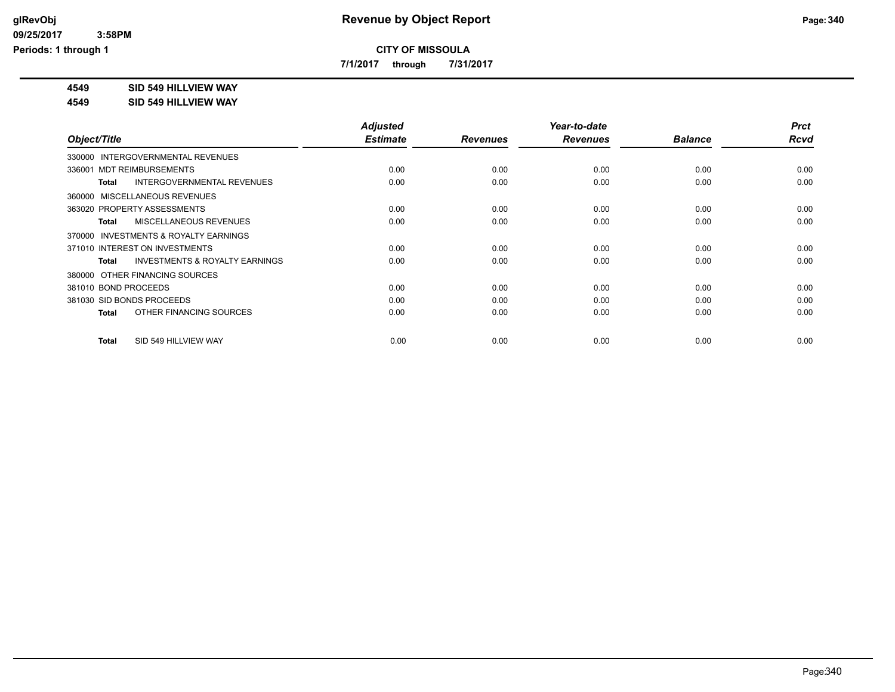**7/1/2017 through 7/31/2017**

## **4549 SID 549 HILLVIEW WAY**

**4549 SID 549 HILLVIEW WAY**

|                                                    | <b>Adjusted</b> |                 | Year-to-date    |                | <b>Prct</b> |
|----------------------------------------------------|-----------------|-----------------|-----------------|----------------|-------------|
| Object/Title                                       | <b>Estimate</b> | <b>Revenues</b> | <b>Revenues</b> | <b>Balance</b> | <b>Rcvd</b> |
| INTERGOVERNMENTAL REVENUES<br>330000               |                 |                 |                 |                |             |
| <b>MDT REIMBURSEMENTS</b><br>336001                | 0.00            | 0.00            | 0.00            | 0.00           | 0.00        |
| <b>INTERGOVERNMENTAL REVENUES</b><br>Total         | 0.00            | 0.00            | 0.00            | 0.00           | 0.00        |
| 360000 MISCELLANEOUS REVENUES                      |                 |                 |                 |                |             |
| 363020 PROPERTY ASSESSMENTS                        | 0.00            | 0.00            | 0.00            | 0.00           | 0.00        |
| MISCELLANEOUS REVENUES<br>Total                    | 0.00            | 0.00            | 0.00            | 0.00           | 0.00        |
| 370000 INVESTMENTS & ROYALTY EARNINGS              |                 |                 |                 |                |             |
| 371010 INTEREST ON INVESTMENTS                     | 0.00            | 0.00            | 0.00            | 0.00           | 0.00        |
| <b>INVESTMENTS &amp; ROYALTY EARNINGS</b><br>Total | 0.00            | 0.00            | 0.00            | 0.00           | 0.00        |
| 380000 OTHER FINANCING SOURCES                     |                 |                 |                 |                |             |
| 381010 BOND PROCEEDS                               | 0.00            | 0.00            | 0.00            | 0.00           | 0.00        |
| 381030 SID BONDS PROCEEDS                          | 0.00            | 0.00            | 0.00            | 0.00           | 0.00        |
| OTHER FINANCING SOURCES<br>Total                   | 0.00            | 0.00            | 0.00            | 0.00           | 0.00        |
| SID 549 HILLVIEW WAY<br><b>Total</b>               | 0.00            | 0.00            | 0.00            | 0.00           | 0.00        |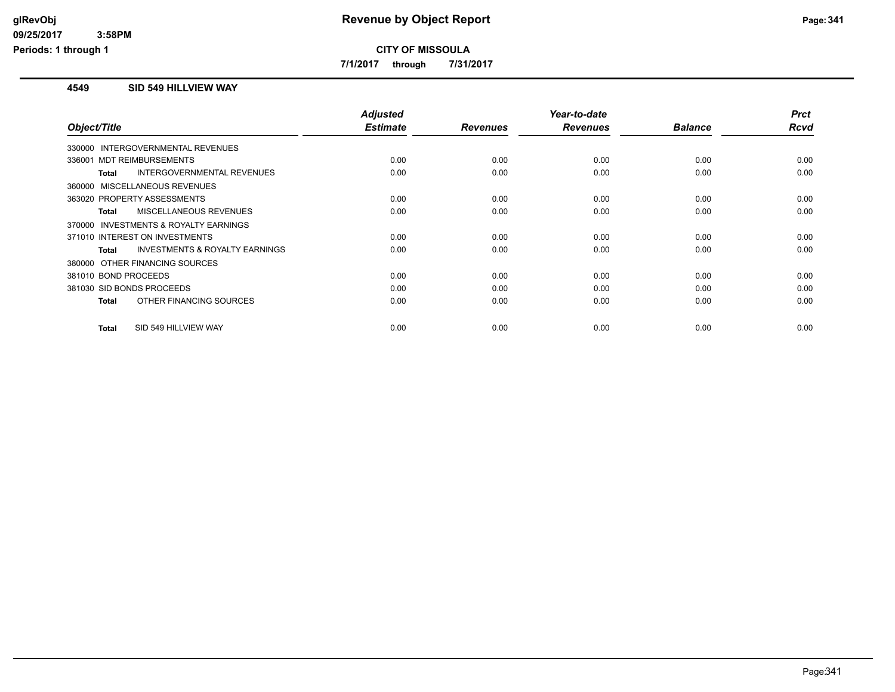**7/1/2017 through 7/31/2017**

## **4549 SID 549 HILLVIEW WAY**

|                                                           | <b>Adjusted</b> |                 | Year-to-date    |                | <b>Prct</b> |
|-----------------------------------------------------------|-----------------|-----------------|-----------------|----------------|-------------|
| Object/Title                                              | <b>Estimate</b> | <b>Revenues</b> | <b>Revenues</b> | <b>Balance</b> | <b>Rcvd</b> |
| 330000 INTERGOVERNMENTAL REVENUES                         |                 |                 |                 |                |             |
| 336001 MDT REIMBURSEMENTS                                 | 0.00            | 0.00            | 0.00            | 0.00           | 0.00        |
| <b>INTERGOVERNMENTAL REVENUES</b><br><b>Total</b>         | 0.00            | 0.00            | 0.00            | 0.00           | 0.00        |
| 360000 MISCELLANEOUS REVENUES                             |                 |                 |                 |                |             |
| 363020 PROPERTY ASSESSMENTS                               | 0.00            | 0.00            | 0.00            | 0.00           | 0.00        |
| MISCELLANEOUS REVENUES<br><b>Total</b>                    | 0.00            | 0.00            | 0.00            | 0.00           | 0.00        |
| 370000 INVESTMENTS & ROYALTY EARNINGS                     |                 |                 |                 |                |             |
| 371010 INTEREST ON INVESTMENTS                            | 0.00            | 0.00            | 0.00            | 0.00           | 0.00        |
| <b>INVESTMENTS &amp; ROYALTY EARNINGS</b><br><b>Total</b> | 0.00            | 0.00            | 0.00            | 0.00           | 0.00        |
| 380000 OTHER FINANCING SOURCES                            |                 |                 |                 |                |             |
| 381010 BOND PROCEEDS                                      | 0.00            | 0.00            | 0.00            | 0.00           | 0.00        |
| 381030 SID BONDS PROCEEDS                                 | 0.00            | 0.00            | 0.00            | 0.00           | 0.00        |
| OTHER FINANCING SOURCES<br><b>Total</b>                   | 0.00            | 0.00            | 0.00            | 0.00           | 0.00        |
| SID 549 HILLVIEW WAY<br><b>Total</b>                      | 0.00            | 0.00            | 0.00            | 0.00           | 0.00        |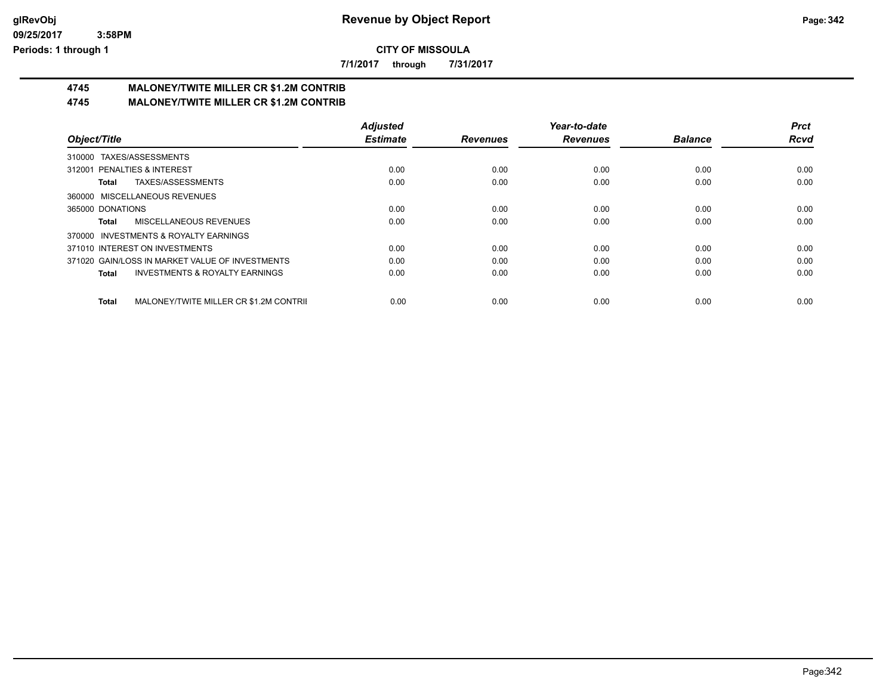**CITY OF MISSOULA**

**7/1/2017 through 7/31/2017**

# **4745 MALONEY/TWITE MILLER CR \$1.2M CONTRIB**

## **4745 MALONEY/TWITE MILLER CR \$1.2M CONTRIB**

|                                                 | <b>Adjusted</b> |                 | Year-to-date    |                | <b>Prct</b> |
|-------------------------------------------------|-----------------|-----------------|-----------------|----------------|-------------|
| Object/Title                                    | <b>Estimate</b> | <b>Revenues</b> | <b>Revenues</b> | <b>Balance</b> | <b>Rcvd</b> |
| TAXES/ASSESSMENTS<br>310000                     |                 |                 |                 |                |             |
| 312001 PENALTIES & INTEREST                     | 0.00            | 0.00            | 0.00            | 0.00           | 0.00        |
| TAXES/ASSESSMENTS<br>Total                      | 0.00            | 0.00            | 0.00            | 0.00           | 0.00        |
| 360000 MISCELLANEOUS REVENUES                   |                 |                 |                 |                |             |
| 365000 DONATIONS                                | 0.00            | 0.00            | 0.00            | 0.00           | 0.00        |
| MISCELLANEOUS REVENUES<br>Total                 | 0.00            | 0.00            | 0.00            | 0.00           | 0.00        |
| INVESTMENTS & ROYALTY EARNINGS<br>370000        |                 |                 |                 |                |             |
| 371010 INTEREST ON INVESTMENTS                  | 0.00            | 0.00            | 0.00            | 0.00           | 0.00        |
| 371020 GAIN/LOSS IN MARKET VALUE OF INVESTMENTS | 0.00            | 0.00            | 0.00            | 0.00           | 0.00        |
| INVESTMENTS & ROYALTY EARNINGS<br>Total         | 0.00            | 0.00            | 0.00            | 0.00           | 0.00        |
| MALONEY/TWITE MILLER CR \$1.2M CONTRII<br>Total | 0.00            | 0.00            | 0.00            | 0.00           | 0.00        |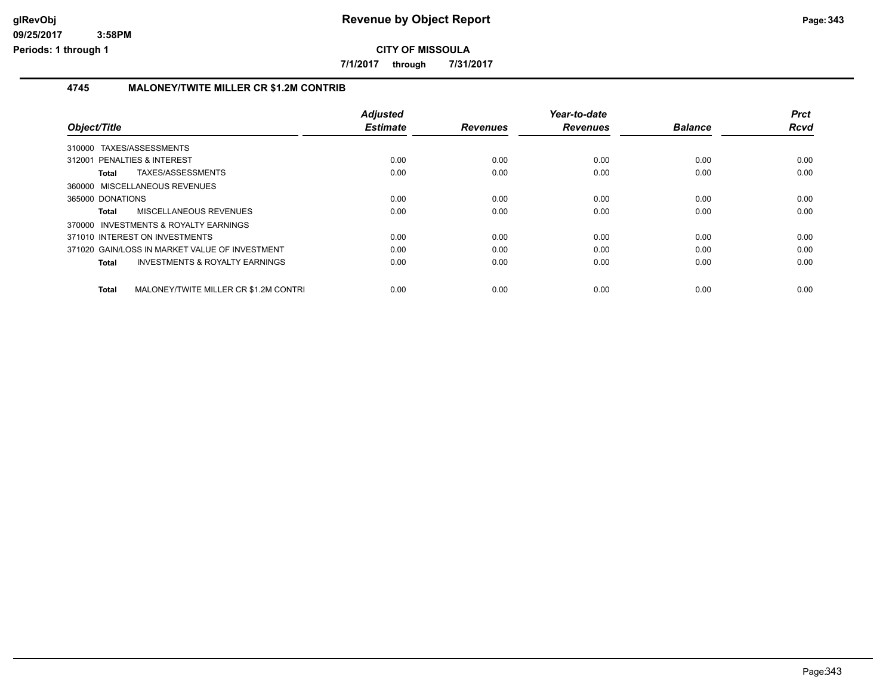**CITY OF MISSOULA**

**7/1/2017 through 7/31/2017**

## **4745 MALONEY/TWITE MILLER CR \$1.2M CONTRIB**

|                                                    | <b>Adjusted</b> |                 | Year-to-date    |                | <b>Prct</b> |
|----------------------------------------------------|-----------------|-----------------|-----------------|----------------|-------------|
| Object/Title                                       | <b>Estimate</b> | <b>Revenues</b> | <b>Revenues</b> | <b>Balance</b> | <b>Rcvd</b> |
| 310000 TAXES/ASSESSMENTS                           |                 |                 |                 |                |             |
| 312001 PENALTIES & INTEREST                        | 0.00            | 0.00            | 0.00            | 0.00           | 0.00        |
| TAXES/ASSESSMENTS<br>Total                         | 0.00            | 0.00            | 0.00            | 0.00           | 0.00        |
| 360000 MISCELLANEOUS REVENUES                      |                 |                 |                 |                |             |
| 365000 DONATIONS                                   | 0.00            | 0.00            | 0.00            | 0.00           | 0.00        |
| MISCELLANEOUS REVENUES<br>Total                    | 0.00            | 0.00            | 0.00            | 0.00           | 0.00        |
| 370000 INVESTMENTS & ROYALTY EARNINGS              |                 |                 |                 |                |             |
| 371010 INTEREST ON INVESTMENTS                     | 0.00            | 0.00            | 0.00            | 0.00           | 0.00        |
| 371020 GAIN/LOSS IN MARKET VALUE OF INVESTMENT     | 0.00            | 0.00            | 0.00            | 0.00           | 0.00        |
| <b>INVESTMENTS &amp; ROYALTY EARNINGS</b><br>Total | 0.00            | 0.00            | 0.00            | 0.00           | 0.00        |
| MALONEY/TWITE MILLER CR \$1.2M CONTRI<br>Total     | 0.00            | 0.00            | 0.00            | 0.00           | 0.00        |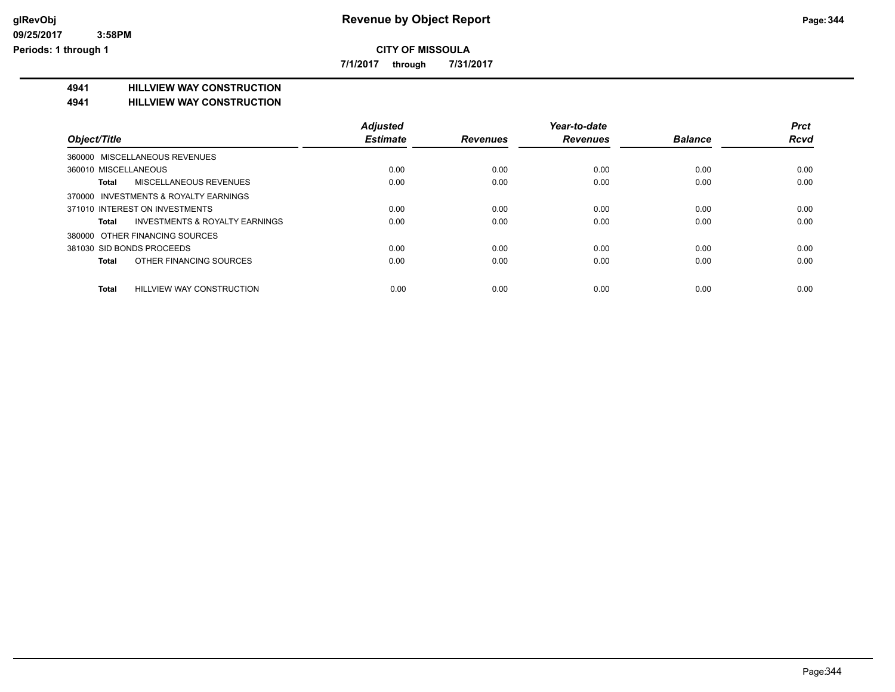**7/1/2017 through 7/31/2017**

## **4941 HILLVIEW WAY CONSTRUCTION**

#### **4941 HILLVIEW WAY CONSTRUCTION**

|                                         | <b>Adjusted</b> |                 | Year-to-date    |                | <b>Prct</b> |
|-----------------------------------------|-----------------|-----------------|-----------------|----------------|-------------|
| Object/Title                            | <b>Estimate</b> | <b>Revenues</b> | <b>Revenues</b> | <b>Balance</b> | <b>Rcvd</b> |
| 360000 MISCELLANEOUS REVENUES           |                 |                 |                 |                |             |
| 360010 MISCELLANEOUS                    | 0.00            | 0.00            | 0.00            | 0.00           | 0.00        |
| MISCELLANEOUS REVENUES<br>Total         | 0.00            | 0.00            | 0.00            | 0.00           | 0.00        |
| 370000 INVESTMENTS & ROYALTY EARNINGS   |                 |                 |                 |                |             |
| 371010 INTEREST ON INVESTMENTS          | 0.00            | 0.00            | 0.00            | 0.00           | 0.00        |
| INVESTMENTS & ROYALTY EARNINGS<br>Total | 0.00            | 0.00            | 0.00            | 0.00           | 0.00        |
| 380000 OTHER FINANCING SOURCES          |                 |                 |                 |                |             |
| 381030 SID BONDS PROCEEDS               | 0.00            | 0.00            | 0.00            | 0.00           | 0.00        |
| OTHER FINANCING SOURCES<br>Total        | 0.00            | 0.00            | 0.00            | 0.00           | 0.00        |
| HILLVIEW WAY CONSTRUCTION<br>Total      | 0.00            | 0.00            | 0.00            | 0.00           | 0.00        |
|                                         |                 |                 |                 |                |             |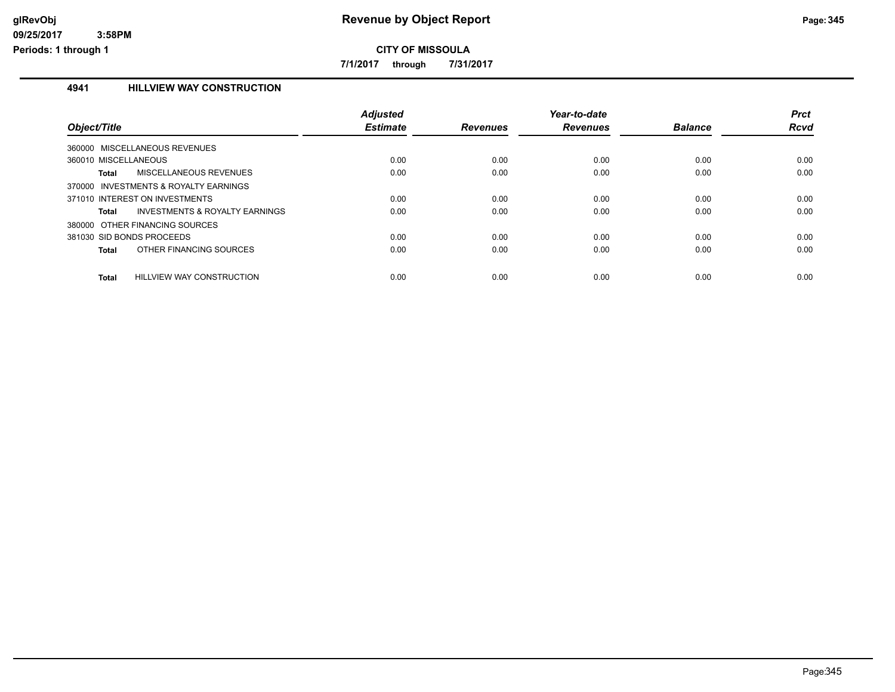**CITY OF MISSOULA**

**7/1/2017 through 7/31/2017**

## **4941 HILLVIEW WAY CONSTRUCTION**

 **3:58PM**

|                                           | <b>Adjusted</b> |                 | Year-to-date    |                | <b>Prct</b> |
|-------------------------------------------|-----------------|-----------------|-----------------|----------------|-------------|
| Object/Title                              | <b>Estimate</b> | <b>Revenues</b> | <b>Revenues</b> | <b>Balance</b> | <b>Rcvd</b> |
| 360000 MISCELLANEOUS REVENUES             |                 |                 |                 |                |             |
| 360010 MISCELLANEOUS                      | 0.00            | 0.00            | 0.00            | 0.00           | 0.00        |
| MISCELLANEOUS REVENUES<br>Total           | 0.00            | 0.00            | 0.00            | 0.00           | 0.00        |
| INVESTMENTS & ROYALTY EARNINGS<br>370000  |                 |                 |                 |                |             |
| 371010 INTEREST ON INVESTMENTS            | 0.00            | 0.00            | 0.00            | 0.00           | 0.00        |
| INVESTMENTS & ROYALTY EARNINGS<br>Total   | 0.00            | 0.00            | 0.00            | 0.00           | 0.00        |
| OTHER FINANCING SOURCES<br>380000         |                 |                 |                 |                |             |
| 381030 SID BONDS PROCEEDS                 | 0.00            | 0.00            | 0.00            | 0.00           | 0.00        |
| OTHER FINANCING SOURCES<br><b>Total</b>   | 0.00            | 0.00            | 0.00            | 0.00           | 0.00        |
| HILLVIEW WAY CONSTRUCTION<br><b>Total</b> | 0.00            | 0.00            | 0.00            | 0.00           | 0.00        |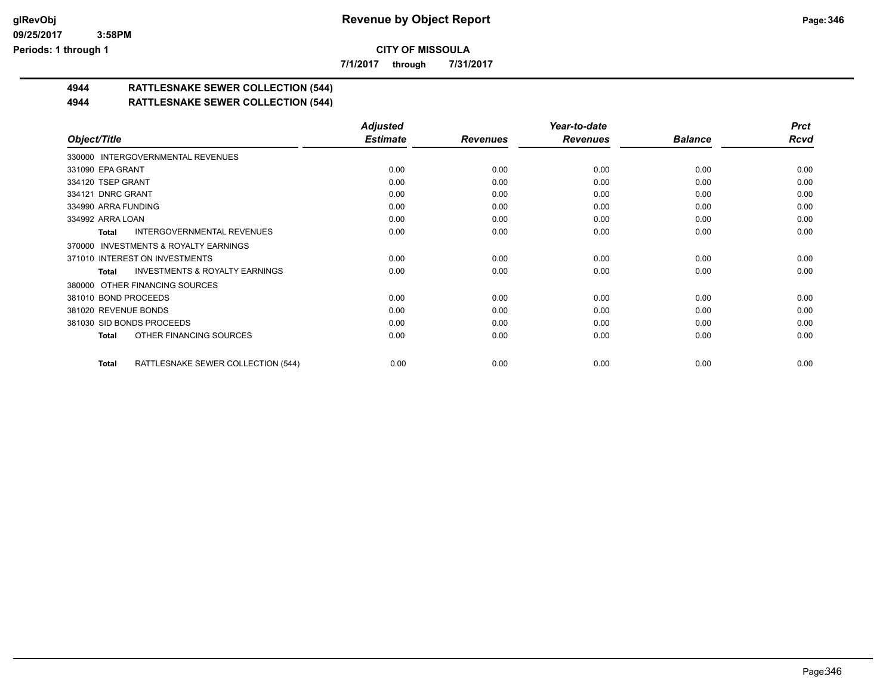**7/1/2017 through 7/31/2017**

# **4944 RATTLESNAKE SEWER COLLECTION (544)**

## **4944 RATTLESNAKE SEWER COLLECTION (544)**

|                                                     | <b>Adjusted</b> |                 | Year-to-date    |                | <b>Prct</b> |
|-----------------------------------------------------|-----------------|-----------------|-----------------|----------------|-------------|
| Object/Title                                        | <b>Estimate</b> | <b>Revenues</b> | <b>Revenues</b> | <b>Balance</b> | <b>Rcvd</b> |
| 330000 INTERGOVERNMENTAL REVENUES                   |                 |                 |                 |                |             |
| 331090 EPA GRANT                                    | 0.00            | 0.00            | 0.00            | 0.00           | 0.00        |
| 334120 TSEP GRANT                                   | 0.00            | 0.00            | 0.00            | 0.00           | 0.00        |
| 334121 DNRC GRANT                                   | 0.00            | 0.00            | 0.00            | 0.00           | 0.00        |
| 334990 ARRA FUNDING                                 | 0.00            | 0.00            | 0.00            | 0.00           | 0.00        |
| 334992 ARRA LOAN                                    | 0.00            | 0.00            | 0.00            | 0.00           | 0.00        |
| <b>INTERGOVERNMENTAL REVENUES</b><br>Total          | 0.00            | 0.00            | 0.00            | 0.00           | 0.00        |
| <b>INVESTMENTS &amp; ROYALTY EARNINGS</b><br>370000 |                 |                 |                 |                |             |
| 371010 INTEREST ON INVESTMENTS                      | 0.00            | 0.00            | 0.00            | 0.00           | 0.00        |
| <b>INVESTMENTS &amp; ROYALTY EARNINGS</b><br>Total  | 0.00            | 0.00            | 0.00            | 0.00           | 0.00        |
| 380000 OTHER FINANCING SOURCES                      |                 |                 |                 |                |             |
| 381010 BOND PROCEEDS                                | 0.00            | 0.00            | 0.00            | 0.00           | 0.00        |
| 381020 REVENUE BONDS                                | 0.00            | 0.00            | 0.00            | 0.00           | 0.00        |
| 381030 SID BONDS PROCEEDS                           | 0.00            | 0.00            | 0.00            | 0.00           | 0.00        |
| OTHER FINANCING SOURCES<br>Total                    | 0.00            | 0.00            | 0.00            | 0.00           | 0.00        |
| RATTLESNAKE SEWER COLLECTION (544)<br>Total         | 0.00            | 0.00            | 0.00            | 0.00           | 0.00        |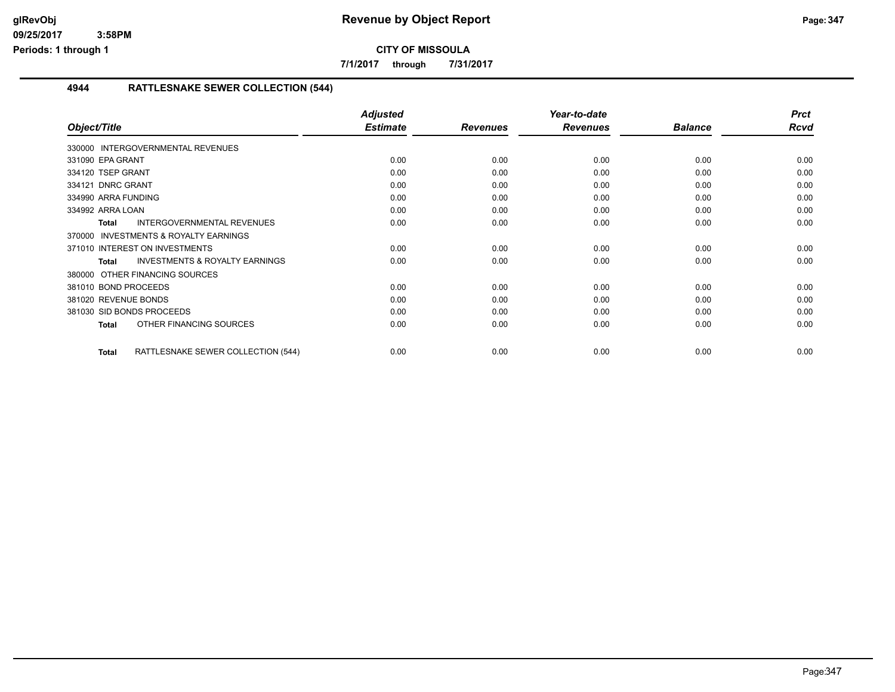**7/1/2017 through 7/31/2017**

## **4944 RATTLESNAKE SEWER COLLECTION (544)**

|                                                     | <b>Adjusted</b> |                 | Year-to-date    |                | <b>Prct</b> |
|-----------------------------------------------------|-----------------|-----------------|-----------------|----------------|-------------|
| Object/Title                                        | <b>Estimate</b> | <b>Revenues</b> | <b>Revenues</b> | <b>Balance</b> | <b>Rcvd</b> |
| 330000 INTERGOVERNMENTAL REVENUES                   |                 |                 |                 |                |             |
| 331090 EPA GRANT                                    | 0.00            | 0.00            | 0.00            | 0.00           | 0.00        |
| 334120 TSEP GRANT                                   | 0.00            | 0.00            | 0.00            | 0.00           | 0.00        |
| 334121 DNRC GRANT                                   | 0.00            | 0.00            | 0.00            | 0.00           | 0.00        |
| 334990 ARRA FUNDING                                 | 0.00            | 0.00            | 0.00            | 0.00           | 0.00        |
| 334992 ARRA LOAN                                    | 0.00            | 0.00            | 0.00            | 0.00           | 0.00        |
| <b>INTERGOVERNMENTAL REVENUES</b><br>Total          | 0.00            | 0.00            | 0.00            | 0.00           | 0.00        |
| <b>INVESTMENTS &amp; ROYALTY EARNINGS</b><br>370000 |                 |                 |                 |                |             |
| 371010 INTEREST ON INVESTMENTS                      | 0.00            | 0.00            | 0.00            | 0.00           | 0.00        |
| <b>INVESTMENTS &amp; ROYALTY EARNINGS</b><br>Total  | 0.00            | 0.00            | 0.00            | 0.00           | 0.00        |
| 380000 OTHER FINANCING SOURCES                      |                 |                 |                 |                |             |
| 381010 BOND PROCEEDS                                | 0.00            | 0.00            | 0.00            | 0.00           | 0.00        |
| 381020 REVENUE BONDS                                | 0.00            | 0.00            | 0.00            | 0.00           | 0.00        |
| 381030 SID BONDS PROCEEDS                           | 0.00            | 0.00            | 0.00            | 0.00           | 0.00        |
| OTHER FINANCING SOURCES<br><b>Total</b>             | 0.00            | 0.00            | 0.00            | 0.00           | 0.00        |
| RATTLESNAKE SEWER COLLECTION (544)<br><b>Total</b>  | 0.00            | 0.00            | 0.00            | 0.00           | 0.00        |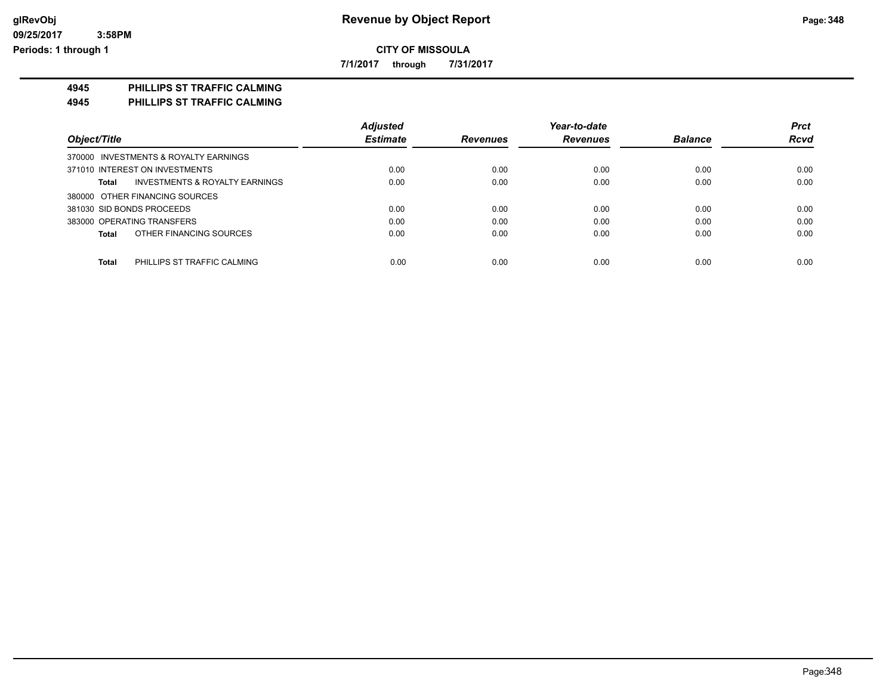**7/1/2017 through 7/31/2017**

## **4945 PHILLIPS ST TRAFFIC CALMING**

**4945 PHILLIPS ST TRAFFIC CALMING**

|                                                           | <b>Adjusted</b> |                 | Year-to-date    |                | <b>Prct</b> |
|-----------------------------------------------------------|-----------------|-----------------|-----------------|----------------|-------------|
| Object/Title                                              | <b>Estimate</b> | <b>Revenues</b> | <b>Revenues</b> | <b>Balance</b> | <b>Rcvd</b> |
| 370000 INVESTMENTS & ROYALTY EARNINGS                     |                 |                 |                 |                |             |
| 371010 INTEREST ON INVESTMENTS                            | 0.00            | 0.00            | 0.00            | 0.00           | 0.00        |
| <b>INVESTMENTS &amp; ROYALTY EARNINGS</b><br><b>Total</b> | 0.00            | 0.00            | 0.00            | 0.00           | 0.00        |
| 380000 OTHER FINANCING SOURCES                            |                 |                 |                 |                |             |
| 381030 SID BONDS PROCEEDS                                 | 0.00            | 0.00            | 0.00            | 0.00           | 0.00        |
| 383000 OPERATING TRANSFERS                                | 0.00            | 0.00            | 0.00            | 0.00           | 0.00        |
| OTHER FINANCING SOURCES<br><b>Total</b>                   | 0.00            | 0.00            | 0.00            | 0.00           | 0.00        |
|                                                           |                 |                 |                 |                |             |
| <b>Total</b><br>PHILLIPS ST TRAFFIC CALMING               | 0.00            | 0.00            | 0.00            | 0.00           | 0.00        |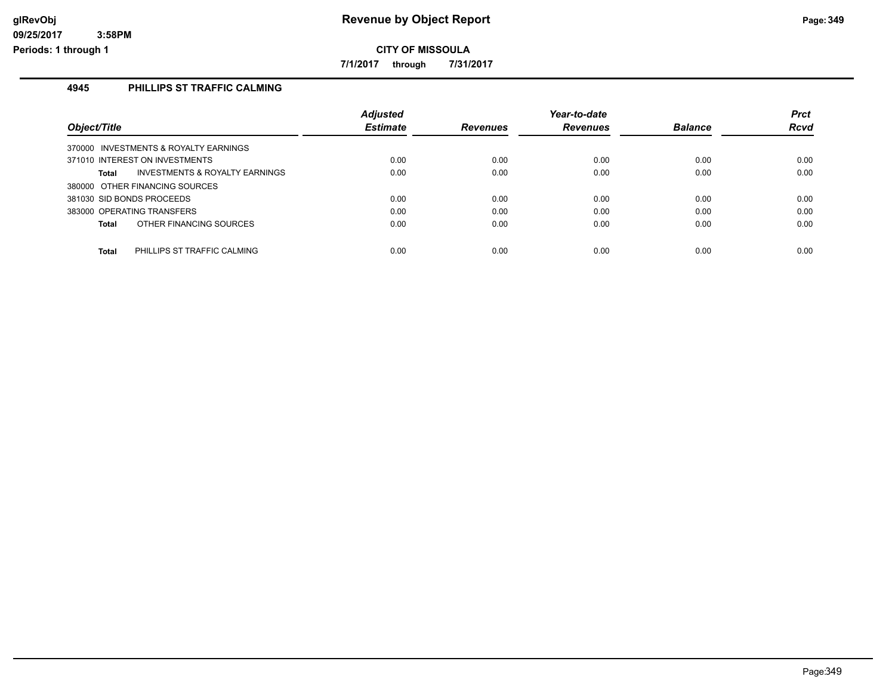**CITY OF MISSOULA**

**7/1/2017 through 7/31/2017**

## **4945 PHILLIPS ST TRAFFIC CALMING**

 **3:58PM**

|                                         | <b>Adjusted</b> |                 | Year-to-date    |                | <b>Prct</b> |
|-----------------------------------------|-----------------|-----------------|-----------------|----------------|-------------|
| Object/Title                            | <b>Estimate</b> | <b>Revenues</b> | <b>Revenues</b> | <b>Balance</b> | <b>Rcvd</b> |
| 370000 INVESTMENTS & ROYALTY EARNINGS   |                 |                 |                 |                |             |
| 371010 INTEREST ON INVESTMENTS          | 0.00            | 0.00            | 0.00            | 0.00           | 0.00        |
| INVESTMENTS & ROYALTY EARNINGS<br>Total | 0.00            | 0.00            | 0.00            | 0.00           | 0.00        |
| 380000 OTHER FINANCING SOURCES          |                 |                 |                 |                |             |
| 381030 SID BONDS PROCEEDS               | 0.00            | 0.00            | 0.00            | 0.00           | 0.00        |
| 383000 OPERATING TRANSFERS              | 0.00            | 0.00            | 0.00            | 0.00           | 0.00        |
| OTHER FINANCING SOURCES<br>Total        | 0.00            | 0.00            | 0.00            | 0.00           | 0.00        |
|                                         |                 |                 |                 |                |             |
| Total<br>PHILLIPS ST TRAFFIC CALMING    | 0.00            | 0.00            | 0.00            | 0.00           | 0.00        |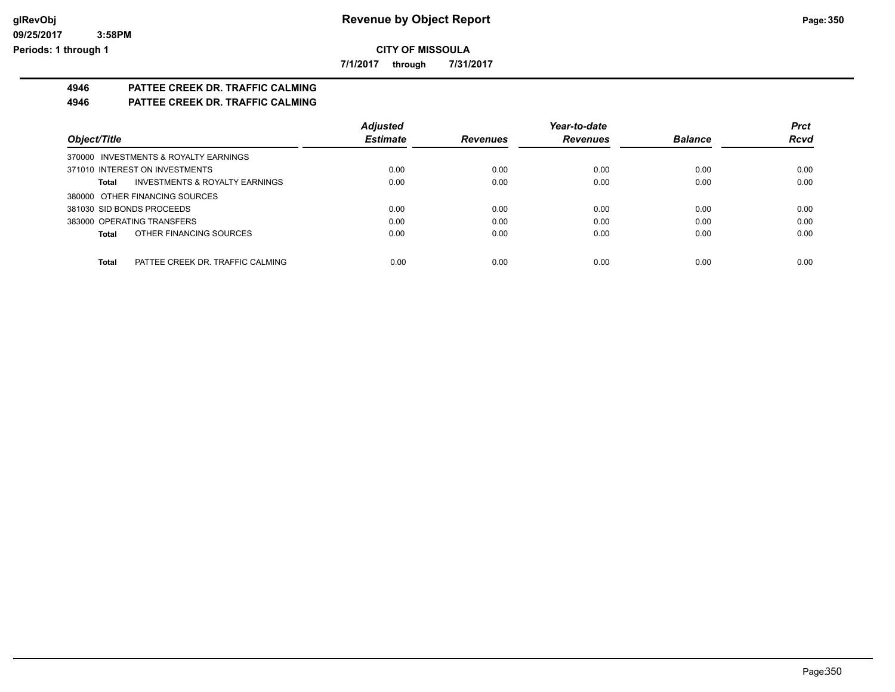**7/1/2017 through 7/31/2017**

## **4946 PATTEE CREEK DR. TRAFFIC CALMING 4946 PATTEE CREEK DR. TRAFFIC CALMING**

|                                                    | <b>Adjusted</b> |                 | Year-to-date    |                | <b>Prct</b> |
|----------------------------------------------------|-----------------|-----------------|-----------------|----------------|-------------|
| Object/Title                                       | <b>Estimate</b> | <b>Revenues</b> | <b>Revenues</b> | <b>Balance</b> | <b>Rcvd</b> |
| 370000 INVESTMENTS & ROYALTY EARNINGS              |                 |                 |                 |                |             |
| 371010 INTEREST ON INVESTMENTS                     | 0.00            | 0.00            | 0.00            | 0.00           | 0.00        |
| <b>INVESTMENTS &amp; ROYALTY EARNINGS</b><br>Total | 0.00            | 0.00            | 0.00            | 0.00           | 0.00        |
| 380000 OTHER FINANCING SOURCES                     |                 |                 |                 |                |             |
| 381030 SID BONDS PROCEEDS                          | 0.00            | 0.00            | 0.00            | 0.00           | 0.00        |
| 383000 OPERATING TRANSFERS                         | 0.00            | 0.00            | 0.00            | 0.00           | 0.00        |
| OTHER FINANCING SOURCES<br>Total                   | 0.00            | 0.00            | 0.00            | 0.00           | 0.00        |
|                                                    |                 |                 |                 |                |             |
| Total<br>PATTEE CREEK DR. TRAFFIC CALMING          | 0.00            | 0.00            | 0.00            | 0.00           | 0.00        |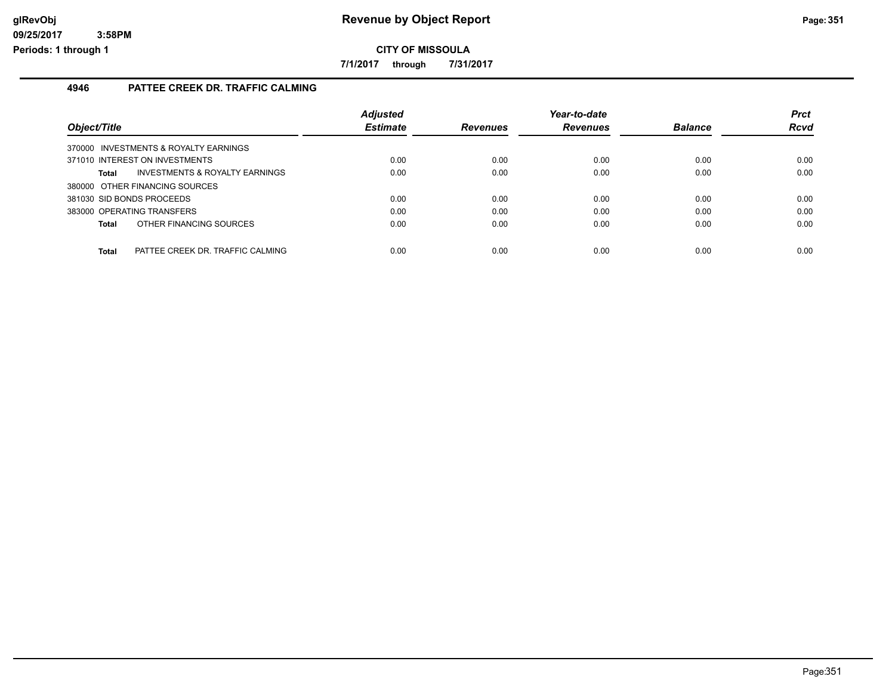**CITY OF MISSOULA**

**7/1/2017 through 7/31/2017**

## **4946 PATTEE CREEK DR. TRAFFIC CALMING**

|                                                  | <b>Adjusted</b> |                 | Year-to-date    |                | <b>Prct</b> |
|--------------------------------------------------|-----------------|-----------------|-----------------|----------------|-------------|
| Object/Title                                     | <b>Estimate</b> | <b>Revenues</b> | <b>Revenues</b> | <b>Balance</b> | <b>Rcvd</b> |
| 370000 INVESTMENTS & ROYALTY EARNINGS            |                 |                 |                 |                |             |
| 371010 INTEREST ON INVESTMENTS                   | 0.00            | 0.00            | 0.00            | 0.00           | 0.00        |
| INVESTMENTS & ROYALTY EARNINGS<br>Total          | 0.00            | 0.00            | 0.00            | 0.00           | 0.00        |
| 380000 OTHER FINANCING SOURCES                   |                 |                 |                 |                |             |
| 381030 SID BONDS PROCEEDS                        | 0.00            | 0.00            | 0.00            | 0.00           | 0.00        |
| 383000 OPERATING TRANSFERS                       | 0.00            | 0.00            | 0.00            | 0.00           | 0.00        |
| OTHER FINANCING SOURCES<br><b>Total</b>          | 0.00            | 0.00            | 0.00            | 0.00           | 0.00        |
|                                                  |                 |                 |                 |                |             |
| <b>Total</b><br>PATTEE CREEK DR. TRAFFIC CALMING | 0.00            | 0.00            | 0.00            | 0.00           | 0.00        |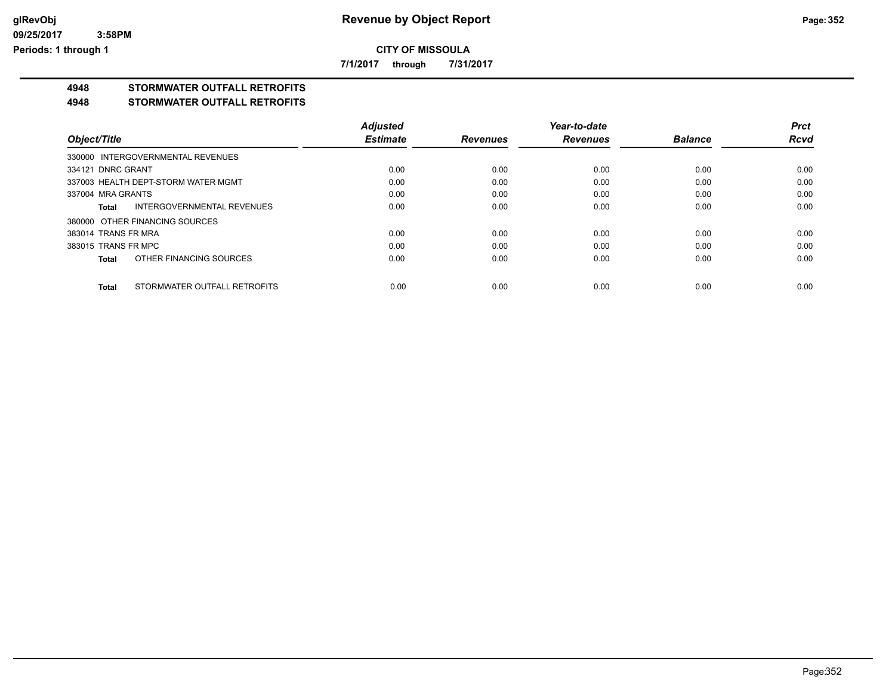**7/1/2017 through 7/31/2017**

## **4948 STORMWATER OUTFALL RETROFITS**

## **4948 STORMWATER OUTFALL RETROFITS**

|                     |                                     | <b>Adjusted</b> |                 | Year-to-date    |                | <b>Prct</b> |
|---------------------|-------------------------------------|-----------------|-----------------|-----------------|----------------|-------------|
| Object/Title        |                                     | <b>Estimate</b> | <b>Revenues</b> | <b>Revenues</b> | <b>Balance</b> | <b>Rcvd</b> |
|                     | 330000 INTERGOVERNMENTAL REVENUES   |                 |                 |                 |                |             |
| 334121 DNRC GRANT   |                                     | 0.00            | 0.00            | 0.00            | 0.00           | 0.00        |
|                     | 337003 HEALTH DEPT-STORM WATER MGMT | 0.00            | 0.00            | 0.00            | 0.00           | 0.00        |
| 337004 MRA GRANTS   |                                     | 0.00            | 0.00            | 0.00            | 0.00           | 0.00        |
| Total               | INTERGOVERNMENTAL REVENUES          | 0.00            | 0.00            | 0.00            | 0.00           | 0.00        |
|                     | 380000 OTHER FINANCING SOURCES      |                 |                 |                 |                |             |
| 383014 TRANS FR MRA |                                     | 0.00            | 0.00            | 0.00            | 0.00           | 0.00        |
| 383015 TRANS FR MPC |                                     | 0.00            | 0.00            | 0.00            | 0.00           | 0.00        |
| Total               | OTHER FINANCING SOURCES             | 0.00            | 0.00            | 0.00            | 0.00           | 0.00        |
| <b>Total</b>        | STORMWATER OUTFALL RETROFITS        | 0.00            | 0.00            | 0.00            | 0.00           | 0.00        |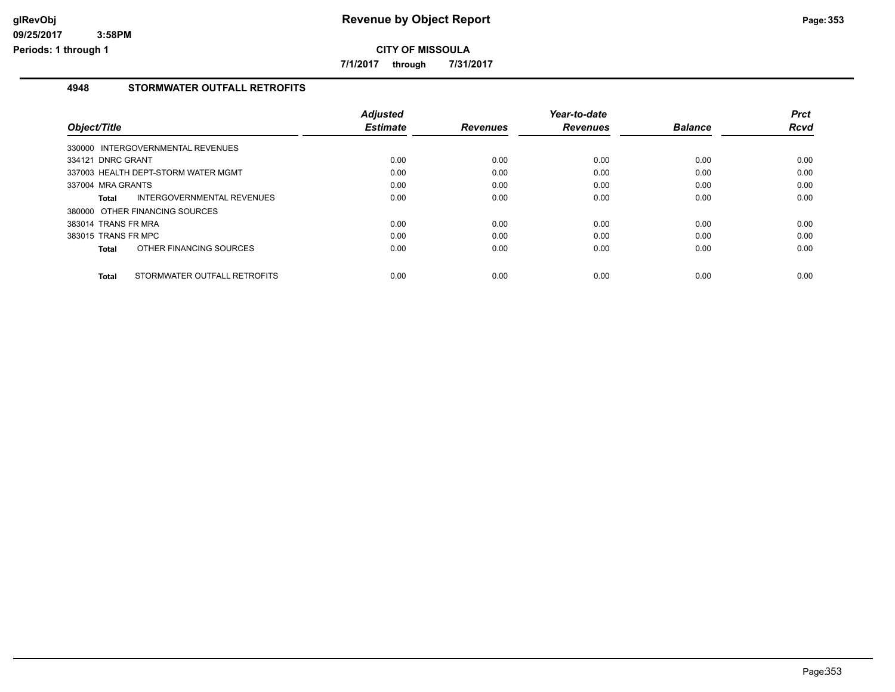**7/1/2017 through 7/31/2017**

## **4948 STORMWATER OUTFALL RETROFITS**

| Object/Title                          | Adjusted<br><b>Estimate</b> | <b>Revenues</b> | Year-to-date<br><b>Revenues</b> | <b>Balance</b> | <b>Prct</b><br>Rcvd |
|---------------------------------------|-----------------------------|-----------------|---------------------------------|----------------|---------------------|
| 330000 INTERGOVERNMENTAL REVENUES     |                             |                 |                                 |                |                     |
| 334121 DNRC GRANT                     | 0.00                        | 0.00            | 0.00                            | 0.00           | 0.00                |
| 337003 HEALTH DEPT-STORM WATER MGMT   | 0.00                        | 0.00            | 0.00                            | 0.00           | 0.00                |
| 337004 MRA GRANTS                     | 0.00                        | 0.00            | 0.00                            | 0.00           | 0.00                |
| INTERGOVERNMENTAL REVENUES<br>Total   | 0.00                        | 0.00            | 0.00                            | 0.00           | 0.00                |
| 380000 OTHER FINANCING SOURCES        |                             |                 |                                 |                |                     |
| 383014 TRANS FR MRA                   | 0.00                        | 0.00            | 0.00                            | 0.00           | 0.00                |
| 383015 TRANS FR MPC                   | 0.00                        | 0.00            | 0.00                            | 0.00           | 0.00                |
| OTHER FINANCING SOURCES<br>Total      | 0.00                        | 0.00            | 0.00                            | 0.00           | 0.00                |
| STORMWATER OUTFALL RETROFITS<br>Total | 0.00                        | 0.00            | 0.00                            | 0.00           | 0.00                |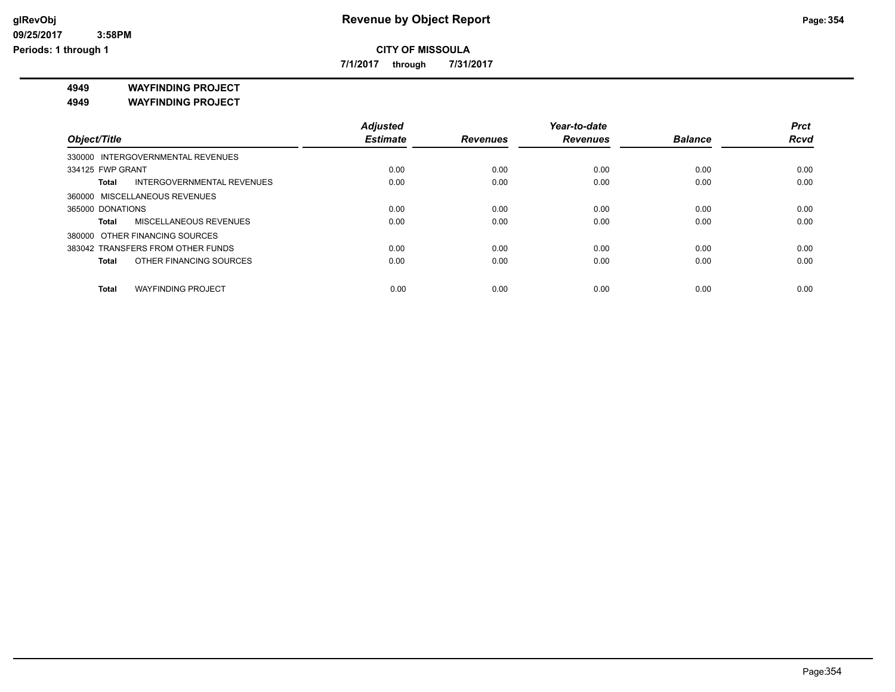**7/1/2017 through 7/31/2017**

**4949 WAYFINDING PROJECT**

**4949 WAYFINDING PROJECT**

|                                            | <b>Adjusted</b> |                 | Year-to-date    |                | <b>Prct</b> |
|--------------------------------------------|-----------------|-----------------|-----------------|----------------|-------------|
| Object/Title                               | <b>Estimate</b> | <b>Revenues</b> | <b>Revenues</b> | <b>Balance</b> | <b>Rcvd</b> |
| 330000 INTERGOVERNMENTAL REVENUES          |                 |                 |                 |                |             |
| 334125 FWP GRANT                           | 0.00            | 0.00            | 0.00            | 0.00           | 0.00        |
| <b>INTERGOVERNMENTAL REVENUES</b><br>Total | 0.00            | 0.00            | 0.00            | 0.00           | 0.00        |
| 360000 MISCELLANEOUS REVENUES              |                 |                 |                 |                |             |
| 365000 DONATIONS                           | 0.00            | 0.00            | 0.00            | 0.00           | 0.00        |
| MISCELLANEOUS REVENUES<br>Total            | 0.00            | 0.00            | 0.00            | 0.00           | 0.00        |
| 380000 OTHER FINANCING SOURCES             |                 |                 |                 |                |             |
| 383042 TRANSFERS FROM OTHER FUNDS          | 0.00            | 0.00            | 0.00            | 0.00           | 0.00        |
| OTHER FINANCING SOURCES<br>Total           | 0.00            | 0.00            | 0.00            | 0.00           | 0.00        |
|                                            |                 |                 |                 |                |             |
| <b>WAYFINDING PROJECT</b><br>Total         | 0.00            | 0.00            | 0.00            | 0.00           | 0.00        |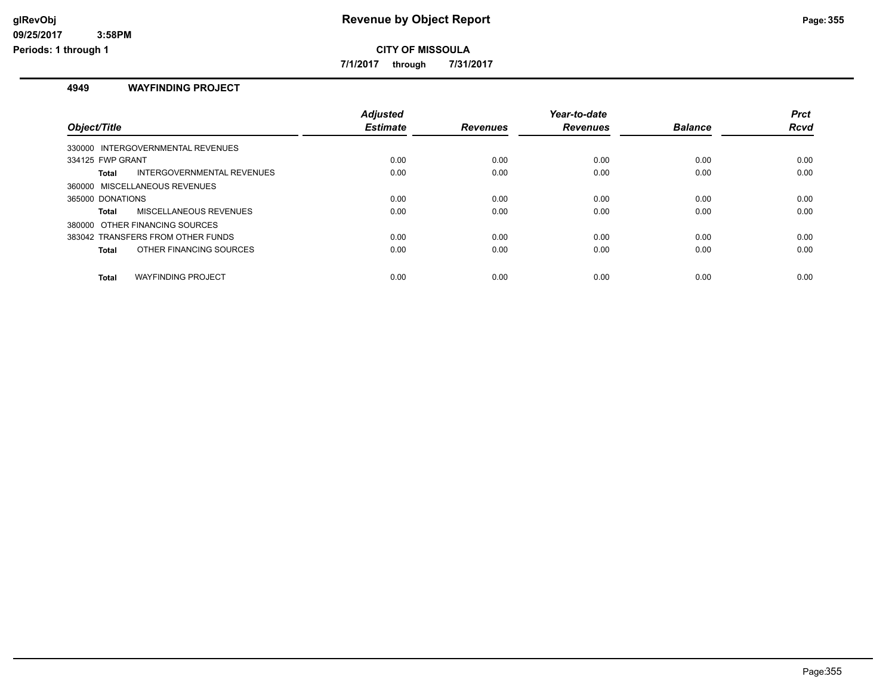**CITY OF MISSOULA**

**7/1/2017 through 7/31/2017**

#### **4949 WAYFINDING PROJECT**

 **3:58PM**

| Object/Title                              | <b>Adjusted</b><br><b>Estimate</b> | <b>Revenues</b> | Year-to-date<br><b>Revenues</b> | <b>Balance</b> | <b>Prct</b><br><b>Rcvd</b> |
|-------------------------------------------|------------------------------------|-----------------|---------------------------------|----------------|----------------------------|
| 330000 INTERGOVERNMENTAL REVENUES         |                                    |                 |                                 |                |                            |
| 334125 FWP GRANT                          | 0.00                               | 0.00            | 0.00                            | 0.00           | 0.00                       |
| INTERGOVERNMENTAL REVENUES<br>Total       | 0.00                               | 0.00            | 0.00                            | 0.00           | 0.00                       |
| 360000 MISCELLANEOUS REVENUES             |                                    |                 |                                 |                |                            |
| 365000 DONATIONS                          | 0.00                               | 0.00            | 0.00                            | 0.00           | 0.00                       |
| MISCELLANEOUS REVENUES<br><b>Total</b>    | 0.00                               | 0.00            | 0.00                            | 0.00           | 0.00                       |
| 380000 OTHER FINANCING SOURCES            |                                    |                 |                                 |                |                            |
| 383042 TRANSFERS FROM OTHER FUNDS         | 0.00                               | 0.00            | 0.00                            | 0.00           | 0.00                       |
| OTHER FINANCING SOURCES<br>Total          | 0.00                               | 0.00            | 0.00                            | 0.00           | 0.00                       |
| <b>WAYFINDING PROJECT</b><br><b>Total</b> | 0.00                               | 0.00            | 0.00                            | 0.00           | 0.00                       |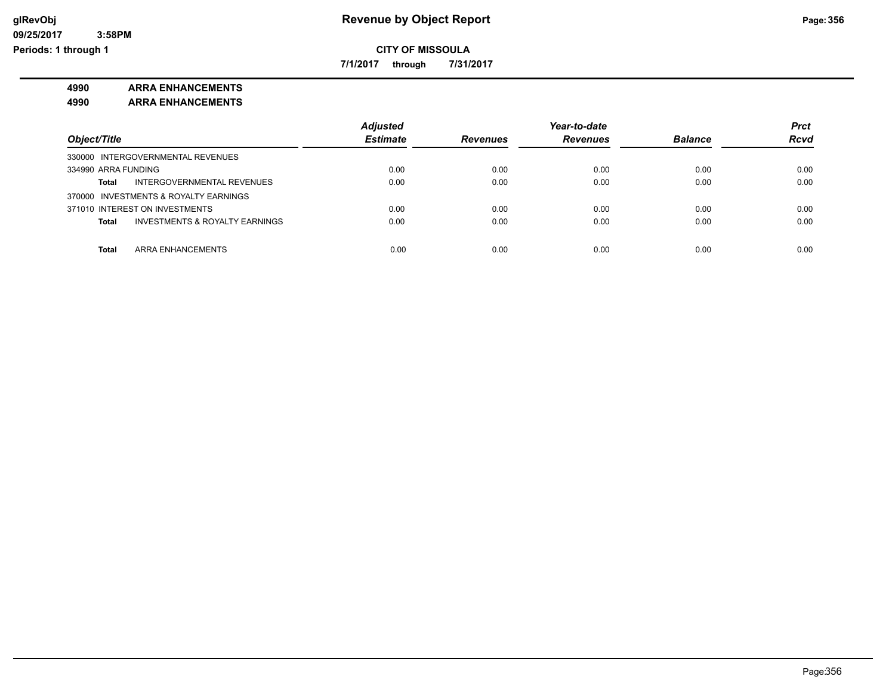**7/1/2017 through 7/31/2017**

#### **4990 ARRA ENHANCEMENTS**

**4990 ARRA ENHANCEMENTS**

|                                                | <b>Adjusted</b> |                 | Year-to-date    |                | <b>Prct</b> |
|------------------------------------------------|-----------------|-----------------|-----------------|----------------|-------------|
| Object/Title                                   | <b>Estimate</b> | <b>Revenues</b> | <b>Revenues</b> | <b>Balance</b> | <b>Rcvd</b> |
| 330000 INTERGOVERNMENTAL REVENUES              |                 |                 |                 |                |             |
| 334990 ARRA FUNDING                            | 0.00            | 0.00            | 0.00            | 0.00           | 0.00        |
| INTERGOVERNMENTAL REVENUES<br><b>Total</b>     | 0.00            | 0.00            | 0.00            | 0.00           | 0.00        |
| 370000 INVESTMENTS & ROYALTY EARNINGS          |                 |                 |                 |                |             |
| 371010 INTEREST ON INVESTMENTS                 | 0.00            | 0.00            | 0.00            | 0.00           | 0.00        |
| INVESTMENTS & ROYALTY EARNINGS<br><b>Total</b> | 0.00            | 0.00            | 0.00            | 0.00           | 0.00        |
|                                                |                 |                 |                 |                |             |
| ARRA ENHANCEMENTS<br><b>Total</b>              | 0.00            | 0.00            | 0.00            | 0.00           | 0.00        |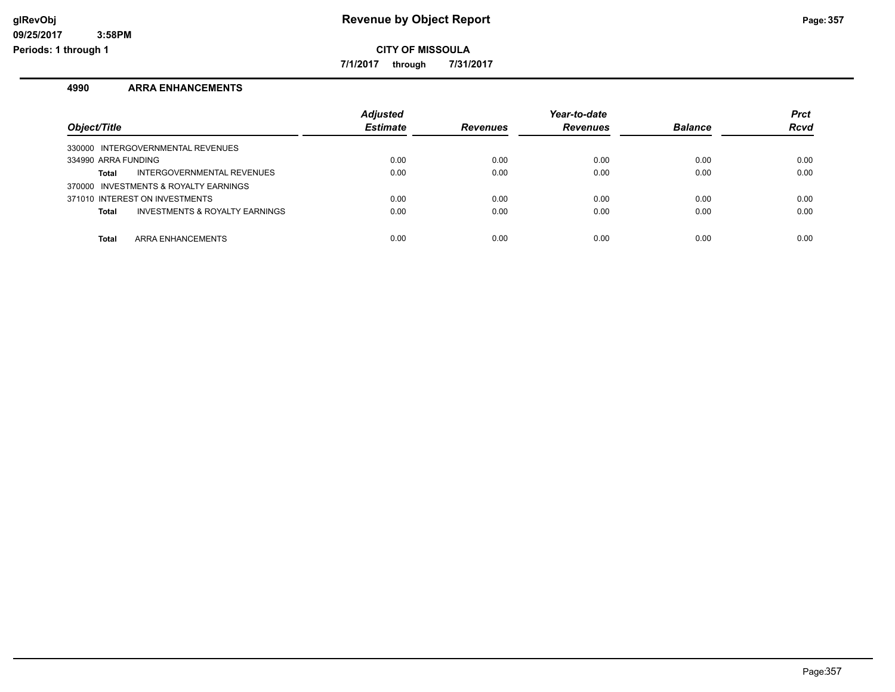**CITY OF MISSOULA**

**7/1/2017 through 7/31/2017**

#### **4990 ARRA ENHANCEMENTS**

 **3:58PM**

| Object/Title                                              | <b>Adjusted</b><br><b>Estimate</b> | <b>Revenues</b> | Year-to-date<br><b>Revenues</b> | <b>Balance</b> | <b>Prct</b><br><b>Rcvd</b> |
|-----------------------------------------------------------|------------------------------------|-----------------|---------------------------------|----------------|----------------------------|
| 330000 INTERGOVERNMENTAL REVENUES                         |                                    |                 |                                 |                |                            |
| 334990 ARRA FUNDING                                       | 0.00                               | 0.00            | 0.00                            | 0.00           | 0.00                       |
| INTERGOVERNMENTAL REVENUES<br>Total                       | 0.00                               | 0.00            | 0.00                            | 0.00           | 0.00                       |
| 370000 INVESTMENTS & ROYALTY EARNINGS                     |                                    |                 |                                 |                |                            |
| 371010 INTEREST ON INVESTMENTS                            | 0.00                               | 0.00            | 0.00                            | 0.00           | 0.00                       |
| <b>INVESTMENTS &amp; ROYALTY EARNINGS</b><br><b>Total</b> | 0.00                               | 0.00            | 0.00                            | 0.00           | 0.00                       |
|                                                           |                                    |                 |                                 |                |                            |
| ARRA ENHANCEMENTS<br><b>Total</b>                         | 0.00                               | 0.00            | 0.00                            | 0.00           | 0.00                       |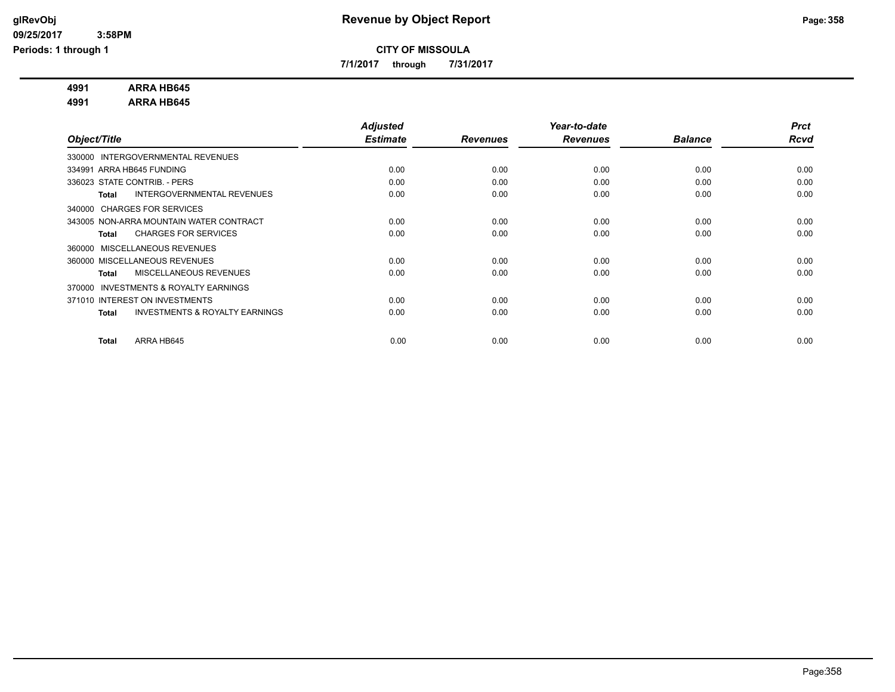**7/1/2017 through 7/31/2017**

## **4991 ARRA HB645**

**4991 ARRA HB645**

|                                                           | <b>Adjusted</b> |                 | Year-to-date    |                | <b>Prct</b> |
|-----------------------------------------------------------|-----------------|-----------------|-----------------|----------------|-------------|
| Object/Title                                              | <b>Estimate</b> | <b>Revenues</b> | <b>Revenues</b> | <b>Balance</b> | <b>Rcvd</b> |
| INTERGOVERNMENTAL REVENUES<br>330000                      |                 |                 |                 |                |             |
| 334991 ARRA HB645 FUNDING                                 | 0.00            | 0.00            | 0.00            | 0.00           | 0.00        |
| 336023 STATE CONTRIB. - PERS                              | 0.00            | 0.00            | 0.00            | 0.00           | 0.00        |
| <b>INTERGOVERNMENTAL REVENUES</b><br><b>Total</b>         | 0.00            | 0.00            | 0.00            | 0.00           | 0.00        |
| <b>CHARGES FOR SERVICES</b><br>340000                     |                 |                 |                 |                |             |
| 343005 NON-ARRA MOUNTAIN WATER CONTRACT                   | 0.00            | 0.00            | 0.00            | 0.00           | 0.00        |
| <b>CHARGES FOR SERVICES</b><br>Total                      | 0.00            | 0.00            | 0.00            | 0.00           | 0.00        |
| MISCELLANEOUS REVENUES<br>360000                          |                 |                 |                 |                |             |
| 360000 MISCELLANEOUS REVENUES                             | 0.00            | 0.00            | 0.00            | 0.00           | 0.00        |
| MISCELLANEOUS REVENUES<br><b>Total</b>                    | 0.00            | 0.00            | 0.00            | 0.00           | 0.00        |
| <b>INVESTMENTS &amp; ROYALTY EARNINGS</b><br>370000       |                 |                 |                 |                |             |
| 371010 INTEREST ON INVESTMENTS                            | 0.00            | 0.00            | 0.00            | 0.00           | 0.00        |
| <b>INVESTMENTS &amp; ROYALTY EARNINGS</b><br><b>Total</b> | 0.00            | 0.00            | 0.00            | 0.00           | 0.00        |
|                                                           |                 |                 |                 |                |             |
| ARRA HB645<br><b>Total</b>                                | 0.00            | 0.00            | 0.00            | 0.00           | 0.00        |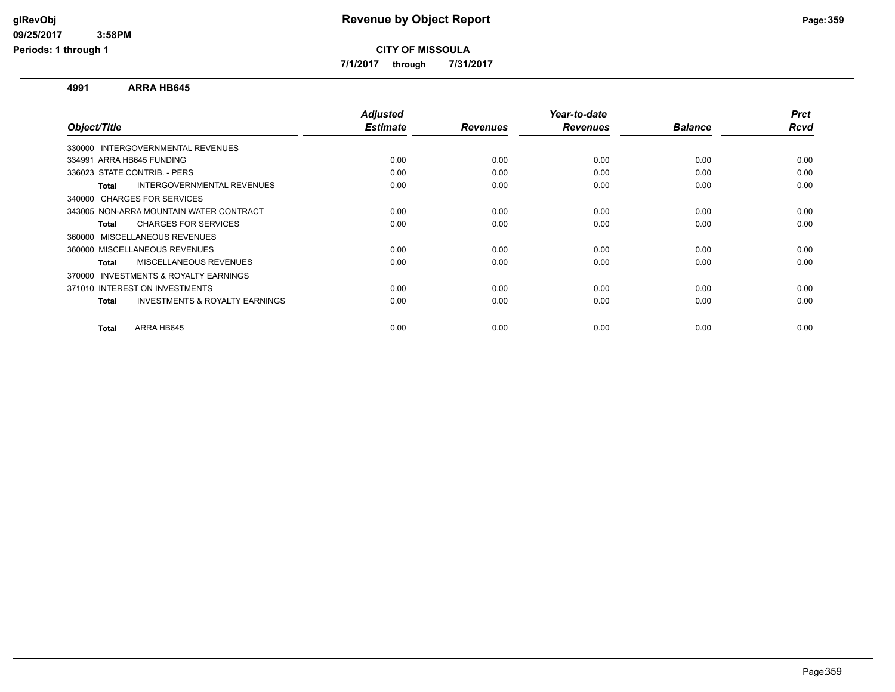**CITY OF MISSOULA**

**7/1/2017 through 7/31/2017**

**4991 ARRA HB645**

 **3:58PM**

| Object/Title                                        | <b>Adjusted</b><br><b>Estimate</b> | <b>Revenues</b> | Year-to-date<br><b>Revenues</b> | <b>Balance</b> | <b>Prct</b><br><b>Rcvd</b> |
|-----------------------------------------------------|------------------------------------|-----------------|---------------------------------|----------------|----------------------------|
|                                                     |                                    |                 |                                 |                |                            |
| 330000 INTERGOVERNMENTAL REVENUES                   |                                    |                 |                                 |                |                            |
| 334991 ARRA HB645 FUNDING                           | 0.00                               | 0.00            | 0.00                            | 0.00           | 0.00                       |
| 336023 STATE CONTRIB. - PERS                        | 0.00                               | 0.00            | 0.00                            | 0.00           | 0.00                       |
| INTERGOVERNMENTAL REVENUES<br>Total                 | 0.00                               | 0.00            | 0.00                            | 0.00           | 0.00                       |
| 340000 CHARGES FOR SERVICES                         |                                    |                 |                                 |                |                            |
| 343005 NON-ARRA MOUNTAIN WATER CONTRACT             | 0.00                               | 0.00            | 0.00                            | 0.00           | 0.00                       |
| <b>CHARGES FOR SERVICES</b><br>Total                | 0.00                               | 0.00            | 0.00                            | 0.00           | 0.00                       |
| 360000 MISCELLANEOUS REVENUES                       |                                    |                 |                                 |                |                            |
| 360000 MISCELLANEOUS REVENUES                       | 0.00                               | 0.00            | 0.00                            | 0.00           | 0.00                       |
| MISCELLANEOUS REVENUES<br>Total                     | 0.00                               | 0.00            | 0.00                            | 0.00           | 0.00                       |
| <b>INVESTMENTS &amp; ROYALTY EARNINGS</b><br>370000 |                                    |                 |                                 |                |                            |
| 371010 INTEREST ON INVESTMENTS                      | 0.00                               | 0.00            | 0.00                            | 0.00           | 0.00                       |
| <b>INVESTMENTS &amp; ROYALTY EARNINGS</b><br>Total  | 0.00                               | 0.00            | 0.00                            | 0.00           | 0.00                       |
|                                                     |                                    |                 |                                 |                |                            |
| ARRA HB645<br>Total                                 | 0.00                               | 0.00            | 0.00                            | 0.00           | 0.00                       |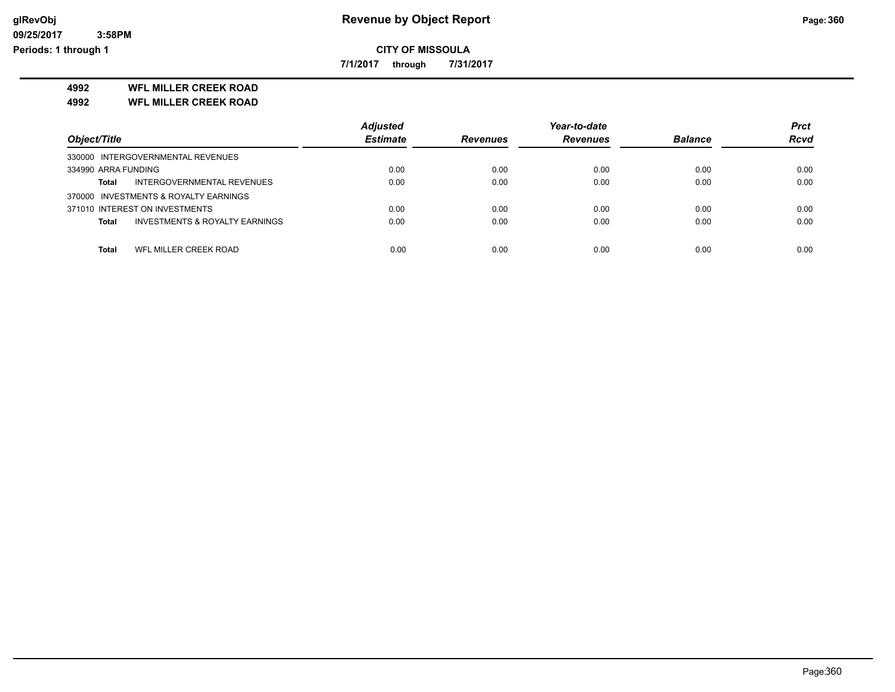**7/1/2017 through 7/31/2017**

## **4992 WFL MILLER CREEK ROAD**

**4992 WFL MILLER CREEK ROAD**

|                                                           | <b>Adjusted</b> |                 | Year-to-date    |                | <b>Prct</b> |
|-----------------------------------------------------------|-----------------|-----------------|-----------------|----------------|-------------|
| Object/Title                                              | <b>Estimate</b> | <b>Revenues</b> | <b>Revenues</b> | <b>Balance</b> | <b>Rcvd</b> |
| 330000 INTERGOVERNMENTAL REVENUES                         |                 |                 |                 |                |             |
| 334990 ARRA FUNDING                                       | 0.00            | 0.00            | 0.00            | 0.00           | 0.00        |
| INTERGOVERNMENTAL REVENUES<br>Total                       | 0.00            | 0.00            | 0.00            | 0.00           | 0.00        |
| 370000 INVESTMENTS & ROYALTY EARNINGS                     |                 |                 |                 |                |             |
| 371010 INTEREST ON INVESTMENTS                            | 0.00            | 0.00            | 0.00            | 0.00           | 0.00        |
| <b>INVESTMENTS &amp; ROYALTY EARNINGS</b><br><b>Total</b> | 0.00            | 0.00            | 0.00            | 0.00           | 0.00        |
|                                                           |                 |                 |                 |                |             |
| WFL MILLER CREEK ROAD<br><b>Total</b>                     | 0.00            | 0.00            | 0.00            | 0.00           | 0.00        |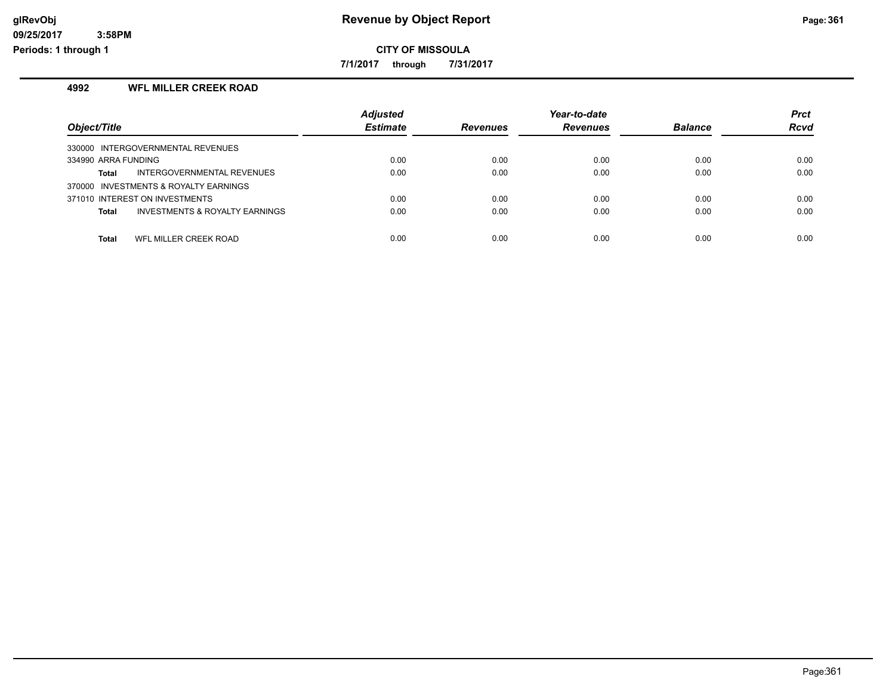**7/1/2017 through 7/31/2017**

### **4992 WFL MILLER CREEK ROAD**

| Object/Title                                              | Adjusted<br><b>Estimate</b> | <b>Revenues</b> | Year-to-date<br><b>Revenues</b> | <b>Balance</b> | <b>Prct</b><br><b>Rcvd</b> |
|-----------------------------------------------------------|-----------------------------|-----------------|---------------------------------|----------------|----------------------------|
| 330000 INTERGOVERNMENTAL REVENUES                         |                             |                 |                                 |                |                            |
| 334990 ARRA FUNDING                                       | 0.00                        | 0.00            | 0.00                            | 0.00           | 0.00                       |
| INTERGOVERNMENTAL REVENUES<br>Total                       | 0.00                        | 0.00            | 0.00                            | 0.00           | 0.00                       |
| 370000 INVESTMENTS & ROYALTY EARNINGS                     |                             |                 |                                 |                |                            |
| 371010 INTEREST ON INVESTMENTS                            | 0.00                        | 0.00            | 0.00                            | 0.00           | 0.00                       |
| <b>INVESTMENTS &amp; ROYALTY EARNINGS</b><br><b>Total</b> | 0.00                        | 0.00            | 0.00                            | 0.00           | 0.00                       |
|                                                           |                             |                 |                                 |                |                            |
| WFL MILLER CREEK ROAD<br><b>Total</b>                     | 0.00                        | 0.00            | 0.00                            | 0.00           | 0.00                       |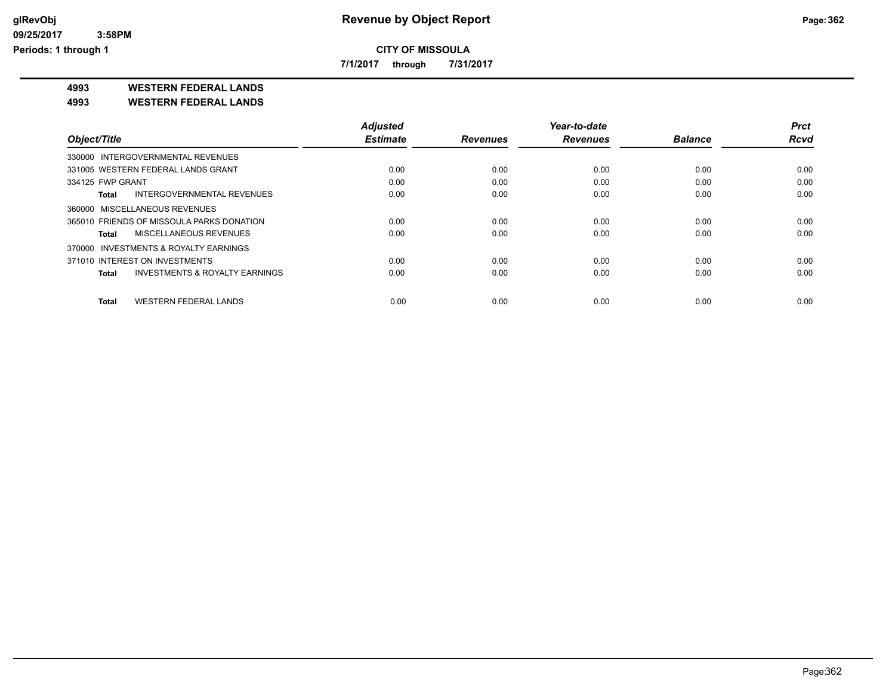**7/1/2017 through 7/31/2017**

**4993 WESTERN FEDERAL LANDS**

**4993 WESTERN FEDERAL LANDS**

|                                              | <b>Adjusted</b> |                 | Year-to-date    |                | <b>Prct</b> |
|----------------------------------------------|-----------------|-----------------|-----------------|----------------|-------------|
| Object/Title                                 | <b>Estimate</b> | <b>Revenues</b> | <b>Revenues</b> | <b>Balance</b> | <b>Rcvd</b> |
| 330000 INTERGOVERNMENTAL REVENUES            |                 |                 |                 |                |             |
| 331005 WESTERN FEDERAL LANDS GRANT           | 0.00            | 0.00            | 0.00            | 0.00           | 0.00        |
| 334125 FWP GRANT                             | 0.00            | 0.00            | 0.00            | 0.00           | 0.00        |
| INTERGOVERNMENTAL REVENUES<br>Total          | 0.00            | 0.00            | 0.00            | 0.00           | 0.00        |
| 360000 MISCELLANEOUS REVENUES                |                 |                 |                 |                |             |
| 365010 FRIENDS OF MISSOULA PARKS DONATION    | 0.00            | 0.00            | 0.00            | 0.00           | 0.00        |
| MISCELLANEOUS REVENUES<br>Total              | 0.00            | 0.00            | 0.00            | 0.00           | 0.00        |
| 370000 INVESTMENTS & ROYALTY EARNINGS        |                 |                 |                 |                |             |
| 371010 INTEREST ON INVESTMENTS               | 0.00            | 0.00            | 0.00            | 0.00           | 0.00        |
| INVESTMENTS & ROYALTY EARNINGS<br>Total      | 0.00            | 0.00            | 0.00            | 0.00           | 0.00        |
| <b>WESTERN FEDERAL LANDS</b><br><b>Total</b> | 0.00            | 0.00            | 0.00            | 0.00           | 0.00        |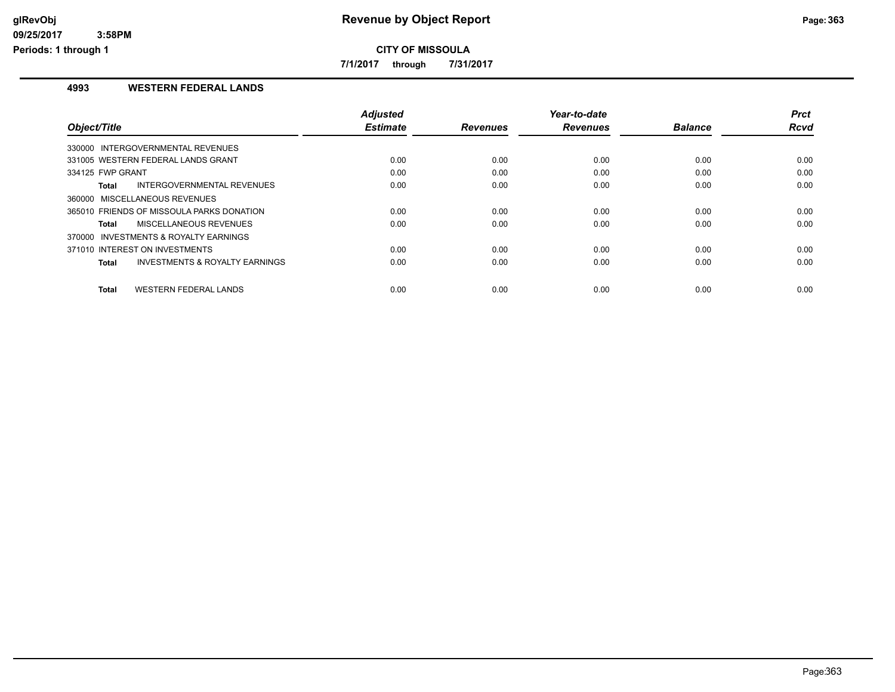**7/1/2017 through 7/31/2017**

### **4993 WESTERN FEDERAL LANDS**

|                                              | <b>Adjusted</b> |                 | Year-to-date    |                | <b>Prct</b> |
|----------------------------------------------|-----------------|-----------------|-----------------|----------------|-------------|
| Object/Title                                 | <b>Estimate</b> | <b>Revenues</b> | <b>Revenues</b> | <b>Balance</b> | <b>Rcvd</b> |
| 330000 INTERGOVERNMENTAL REVENUES            |                 |                 |                 |                |             |
| 331005 WESTERN FEDERAL LANDS GRANT           | 0.00            | 0.00            | 0.00            | 0.00           | 0.00        |
| 334125 FWP GRANT                             | 0.00            | 0.00            | 0.00            | 0.00           | 0.00        |
| INTERGOVERNMENTAL REVENUES<br><b>Total</b>   | 0.00            | 0.00            | 0.00            | 0.00           | 0.00        |
| 360000 MISCELLANEOUS REVENUES                |                 |                 |                 |                |             |
| 365010 FRIENDS OF MISSOULA PARKS DONATION    | 0.00            | 0.00            | 0.00            | 0.00           | 0.00        |
| <b>MISCELLANEOUS REVENUES</b><br>Total       | 0.00            | 0.00            | 0.00            | 0.00           | 0.00        |
| 370000 INVESTMENTS & ROYALTY EARNINGS        |                 |                 |                 |                |             |
| 371010 INTEREST ON INVESTMENTS               | 0.00            | 0.00            | 0.00            | 0.00           | 0.00        |
| INVESTMENTS & ROYALTY EARNINGS<br>Total      | 0.00            | 0.00            | 0.00            | 0.00           | 0.00        |
|                                              |                 |                 |                 |                |             |
| <b>WESTERN FEDERAL LANDS</b><br><b>Total</b> | 0.00            | 0.00            | 0.00            | 0.00           | 0.00        |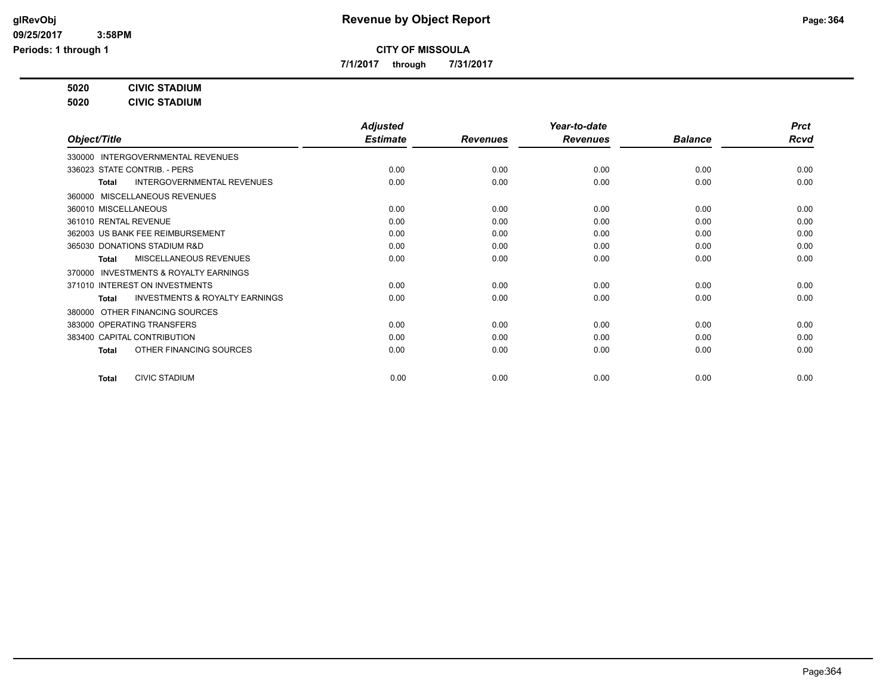**7/1/2017 through 7/31/2017**

**Periods: 1 through 1**

### **5020 CIVIC STADIUM**

 **3:58PM**

**5020 CIVIC STADIUM**

|                                                           | <b>Adjusted</b> |                 | Year-to-date    |                | <b>Prct</b> |
|-----------------------------------------------------------|-----------------|-----------------|-----------------|----------------|-------------|
| Object/Title                                              | <b>Estimate</b> | <b>Revenues</b> | <b>Revenues</b> | <b>Balance</b> | <b>Rcvd</b> |
| 330000 INTERGOVERNMENTAL REVENUES                         |                 |                 |                 |                |             |
| 336023 STATE CONTRIB. - PERS                              | 0.00            | 0.00            | 0.00            | 0.00           | 0.00        |
| <b>INTERGOVERNMENTAL REVENUES</b><br><b>Total</b>         | 0.00            | 0.00            | 0.00            | 0.00           | 0.00        |
| 360000 MISCELLANEOUS REVENUES                             |                 |                 |                 |                |             |
| 360010 MISCELLANEOUS                                      | 0.00            | 0.00            | 0.00            | 0.00           | 0.00        |
| 361010 RENTAL REVENUE                                     | 0.00            | 0.00            | 0.00            | 0.00           | 0.00        |
| 362003 US BANK FEE REIMBURSEMENT                          | 0.00            | 0.00            | 0.00            | 0.00           | 0.00        |
| 365030 DONATIONS STADIUM R&D                              | 0.00            | 0.00            | 0.00            | 0.00           | 0.00        |
| MISCELLANEOUS REVENUES<br><b>Total</b>                    | 0.00            | 0.00            | 0.00            | 0.00           | 0.00        |
| 370000 INVESTMENTS & ROYALTY EARNINGS                     |                 |                 |                 |                |             |
| 371010 INTEREST ON INVESTMENTS                            | 0.00            | 0.00            | 0.00            | 0.00           | 0.00        |
| <b>INVESTMENTS &amp; ROYALTY EARNINGS</b><br><b>Total</b> | 0.00            | 0.00            | 0.00            | 0.00           | 0.00        |
| OTHER FINANCING SOURCES<br>380000                         |                 |                 |                 |                |             |
| 383000 OPERATING TRANSFERS                                | 0.00            | 0.00            | 0.00            | 0.00           | 0.00        |
| 383400 CAPITAL CONTRIBUTION                               | 0.00            | 0.00            | 0.00            | 0.00           | 0.00        |
| OTHER FINANCING SOURCES<br><b>Total</b>                   | 0.00            | 0.00            | 0.00            | 0.00           | 0.00        |
|                                                           |                 |                 |                 |                |             |
| <b>CIVIC STADIUM</b><br><b>Total</b>                      | 0.00            | 0.00            | 0.00            | 0.00           | 0.00        |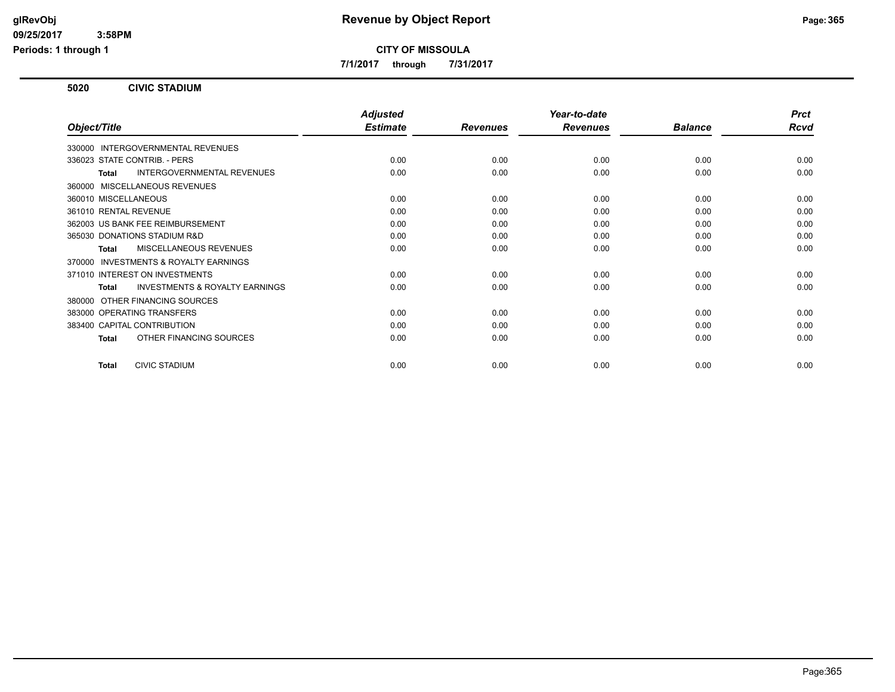**glRevObj Revenue by Object Report Page:365** 

**CITY OF MISSOULA**

**7/1/2017 through 7/31/2017**

 **3:58PM**

**5020 CIVIC STADIUM**

|                                                           | <b>Adjusted</b> |                 | Year-to-date    |                | <b>Prct</b> |
|-----------------------------------------------------------|-----------------|-----------------|-----------------|----------------|-------------|
| Object/Title                                              | <b>Estimate</b> | <b>Revenues</b> | <b>Revenues</b> | <b>Balance</b> | <b>Rcvd</b> |
| 330000 INTERGOVERNMENTAL REVENUES                         |                 |                 |                 |                |             |
| 336023 STATE CONTRIB. - PERS                              | 0.00            | 0.00            | 0.00            | 0.00           | 0.00        |
| <b>INTERGOVERNMENTAL REVENUES</b><br><b>Total</b>         | 0.00            | 0.00            | 0.00            | 0.00           | 0.00        |
| 360000 MISCELLANEOUS REVENUES                             |                 |                 |                 |                |             |
| 360010 MISCELLANEOUS                                      | 0.00            | 0.00            | 0.00            | 0.00           | 0.00        |
| 361010 RENTAL REVENUE                                     | 0.00            | 0.00            | 0.00            | 0.00           | 0.00        |
| 362003 US BANK FEE REIMBURSEMENT                          | 0.00            | 0.00            | 0.00            | 0.00           | 0.00        |
| 365030 DONATIONS STADIUM R&D                              | 0.00            | 0.00            | 0.00            | 0.00           | 0.00        |
| MISCELLANEOUS REVENUES<br><b>Total</b>                    | 0.00            | 0.00            | 0.00            | 0.00           | 0.00        |
| <b>INVESTMENTS &amp; ROYALTY EARNINGS</b><br>370000       |                 |                 |                 |                |             |
| 371010 INTEREST ON INVESTMENTS                            | 0.00            | 0.00            | 0.00            | 0.00           | 0.00        |
| <b>INVESTMENTS &amp; ROYALTY EARNINGS</b><br><b>Total</b> | 0.00            | 0.00            | 0.00            | 0.00           | 0.00        |
| OTHER FINANCING SOURCES<br>380000                         |                 |                 |                 |                |             |
| 383000 OPERATING TRANSFERS                                | 0.00            | 0.00            | 0.00            | 0.00           | 0.00        |
| 383400 CAPITAL CONTRIBUTION                               | 0.00            | 0.00            | 0.00            | 0.00           | 0.00        |
| OTHER FINANCING SOURCES<br><b>Total</b>                   | 0.00            | 0.00            | 0.00            | 0.00           | 0.00        |
| <b>CIVIC STADIUM</b><br><b>Total</b>                      | 0.00            | 0.00            | 0.00            | 0.00           | 0.00        |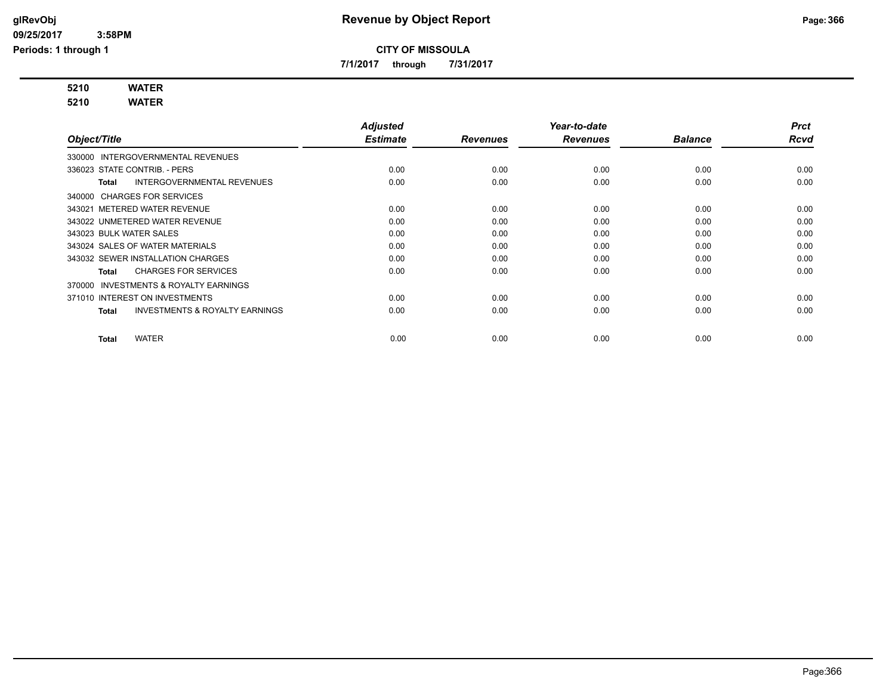**7/1/2017 through 7/31/2017**

# **5210 WATER**

**5210 WATER**

|                                                    | <b>Adjusted</b> |                 | Year-to-date    |                | <b>Prct</b> |
|----------------------------------------------------|-----------------|-----------------|-----------------|----------------|-------------|
| Object/Title                                       | <b>Estimate</b> | <b>Revenues</b> | <b>Revenues</b> | <b>Balance</b> | Rcvd        |
| 330000 INTERGOVERNMENTAL REVENUES                  |                 |                 |                 |                |             |
| 336023 STATE CONTRIB. - PERS                       | 0.00            | 0.00            | 0.00            | 0.00           | 0.00        |
| <b>INTERGOVERNMENTAL REVENUES</b><br>Total         | 0.00            | 0.00            | 0.00            | 0.00           | 0.00        |
| 340000 CHARGES FOR SERVICES                        |                 |                 |                 |                |             |
| 343021 METERED WATER REVENUE                       | 0.00            | 0.00            | 0.00            | 0.00           | 0.00        |
| 343022 UNMETERED WATER REVENUE                     | 0.00            | 0.00            | 0.00            | 0.00           | 0.00        |
| 343023 BULK WATER SALES                            | 0.00            | 0.00            | 0.00            | 0.00           | 0.00        |
| 343024 SALES OF WATER MATERIALS                    | 0.00            | 0.00            | 0.00            | 0.00           | 0.00        |
| 343032 SEWER INSTALLATION CHARGES                  | 0.00            | 0.00            | 0.00            | 0.00           | 0.00        |
| <b>CHARGES FOR SERVICES</b><br>Total               | 0.00            | 0.00            | 0.00            | 0.00           | 0.00        |
| 370000 INVESTMENTS & ROYALTY EARNINGS              |                 |                 |                 |                |             |
| 371010 INTEREST ON INVESTMENTS                     | 0.00            | 0.00            | 0.00            | 0.00           | 0.00        |
| <b>INVESTMENTS &amp; ROYALTY EARNINGS</b><br>Total | 0.00            | 0.00            | 0.00            | 0.00           | 0.00        |
| <b>WATER</b><br><b>Total</b>                       | 0.00            | 0.00            | 0.00            | 0.00           | 0.00        |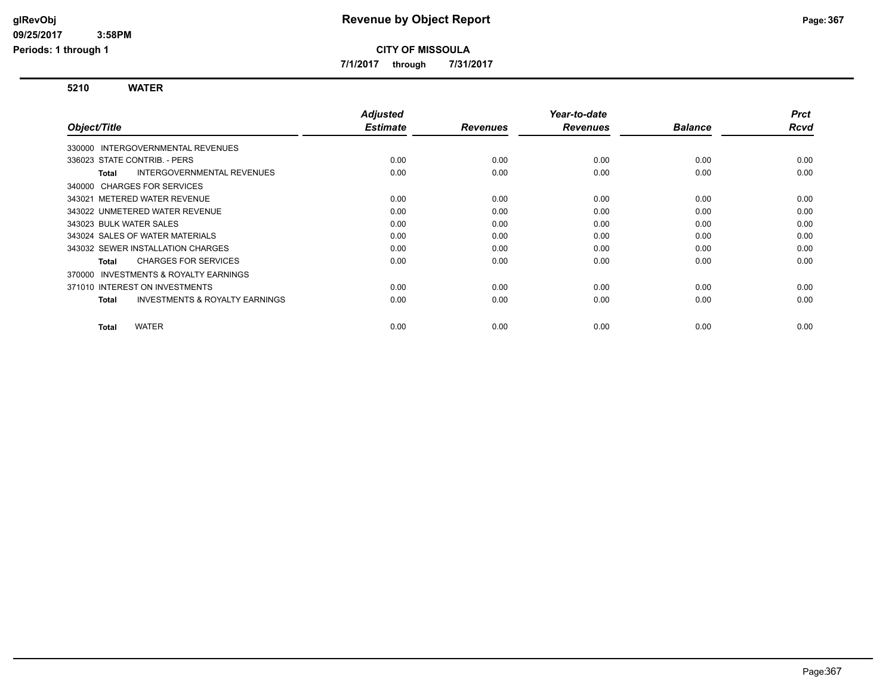**7/1/2017 through 7/31/2017**

**5210 WATER**

| Object/Title                                              | <b>Adjusted</b><br><b>Estimate</b> | <b>Revenues</b> | Year-to-date<br><b>Revenues</b> | <b>Balance</b> | <b>Prct</b><br><b>Rcvd</b> |
|-----------------------------------------------------------|------------------------------------|-----------------|---------------------------------|----------------|----------------------------|
| <b>INTERGOVERNMENTAL REVENUES</b><br>330000               |                                    |                 |                                 |                |                            |
| 336023 STATE CONTRIB. - PERS                              | 0.00                               | 0.00            | 0.00                            | 0.00           | 0.00                       |
| INTERGOVERNMENTAL REVENUES<br><b>Total</b>                | 0.00                               | 0.00            | 0.00                            | 0.00           | 0.00                       |
| 340000 CHARGES FOR SERVICES                               |                                    |                 |                                 |                |                            |
| 343021 METERED WATER REVENUE                              | 0.00                               | 0.00            | 0.00                            | 0.00           | 0.00                       |
| 343022 UNMETERED WATER REVENUE                            | 0.00                               | 0.00            | 0.00                            | 0.00           | 0.00                       |
| 343023 BULK WATER SALES                                   | 0.00                               | 0.00            | 0.00                            | 0.00           | 0.00                       |
| 343024 SALES OF WATER MATERIALS                           | 0.00                               | 0.00            | 0.00                            | 0.00           | 0.00                       |
| 343032 SEWER INSTALLATION CHARGES                         | 0.00                               | 0.00            | 0.00                            | 0.00           | 0.00                       |
| <b>CHARGES FOR SERVICES</b><br><b>Total</b>               | 0.00                               | 0.00            | 0.00                            | 0.00           | 0.00                       |
| <b>INVESTMENTS &amp; ROYALTY EARNINGS</b><br>370000       |                                    |                 |                                 |                |                            |
| 371010 INTEREST ON INVESTMENTS                            | 0.00                               | 0.00            | 0.00                            | 0.00           | 0.00                       |
| <b>INVESTMENTS &amp; ROYALTY EARNINGS</b><br><b>Total</b> | 0.00                               | 0.00            | 0.00                            | 0.00           | 0.00                       |
| <b>WATER</b><br>Total                                     | 0.00                               | 0.00            | 0.00                            | 0.00           | 0.00                       |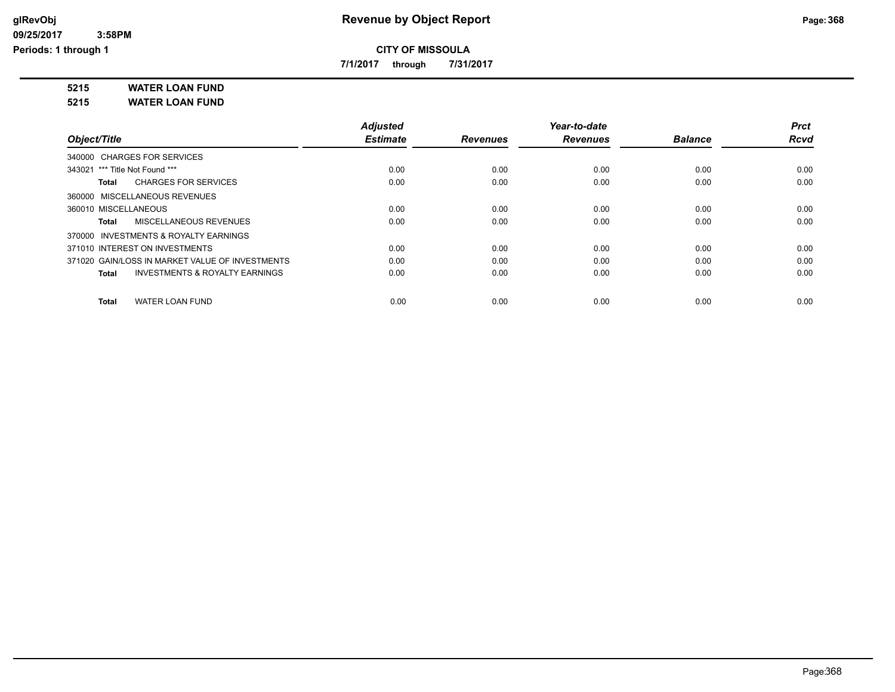**7/1/2017 through 7/31/2017**

**5215 WATER LOAN FUND**

**5215 WATER LOAN FUND**

|                                                           | <b>Adjusted</b> |                 | Year-to-date    |                | <b>Prct</b> |
|-----------------------------------------------------------|-----------------|-----------------|-----------------|----------------|-------------|
| Object/Title                                              | <b>Estimate</b> | <b>Revenues</b> | <b>Revenues</b> | <b>Balance</b> | <b>Rcvd</b> |
| 340000 CHARGES FOR SERVICES                               |                 |                 |                 |                |             |
| 343021 *** Title Not Found ***                            | 0.00            | 0.00            | 0.00            | 0.00           | 0.00        |
| <b>CHARGES FOR SERVICES</b><br>Total                      | 0.00            | 0.00            | 0.00            | 0.00           | 0.00        |
| 360000 MISCELLANEOUS REVENUES                             |                 |                 |                 |                |             |
| 360010 MISCELLANEOUS                                      | 0.00            | 0.00            | 0.00            | 0.00           | 0.00        |
| MISCELLANEOUS REVENUES<br>Total                           | 0.00            | 0.00            | 0.00            | 0.00           | 0.00        |
| 370000 INVESTMENTS & ROYALTY EARNINGS                     |                 |                 |                 |                |             |
| 371010 INTEREST ON INVESTMENTS                            | 0.00            | 0.00            | 0.00            | 0.00           | 0.00        |
| 371020 GAIN/LOSS IN MARKET VALUE OF INVESTMENTS           | 0.00            | 0.00            | 0.00            | 0.00           | 0.00        |
| <b>INVESTMENTS &amp; ROYALTY EARNINGS</b><br><b>Total</b> | 0.00            | 0.00            | 0.00            | 0.00           | 0.00        |
| <b>WATER LOAN FUND</b><br><b>Total</b>                    | 0.00            | 0.00            | 0.00            | 0.00           | 0.00        |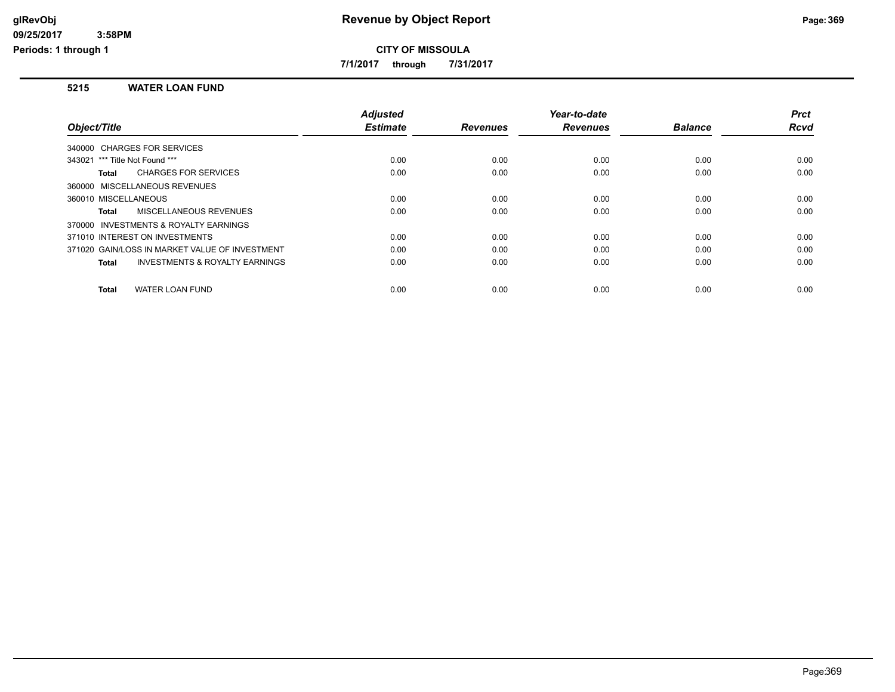**7/1/2017 through 7/31/2017**

### **5215 WATER LOAN FUND**

|                                                    | <b>Adjusted</b> |                 | Year-to-date    |                | <b>Prct</b> |
|----------------------------------------------------|-----------------|-----------------|-----------------|----------------|-------------|
| Object/Title                                       | <b>Estimate</b> | <b>Revenues</b> | <b>Revenues</b> | <b>Balance</b> | <b>Rcvd</b> |
| 340000 CHARGES FOR SERVICES                        |                 |                 |                 |                |             |
| 343021 *** Title Not Found ***                     | 0.00            | 0.00            | 0.00            | 0.00           | 0.00        |
| <b>CHARGES FOR SERVICES</b><br>Total               | 0.00            | 0.00            | 0.00            | 0.00           | 0.00        |
| 360000 MISCELLANEOUS REVENUES                      |                 |                 |                 |                |             |
| 360010 MISCELLANEOUS                               | 0.00            | 0.00            | 0.00            | 0.00           | 0.00        |
| MISCELLANEOUS REVENUES<br>Total                    | 0.00            | 0.00            | 0.00            | 0.00           | 0.00        |
| 370000 INVESTMENTS & ROYALTY EARNINGS              |                 |                 |                 |                |             |
| 371010 INTEREST ON INVESTMENTS                     | 0.00            | 0.00            | 0.00            | 0.00           | 0.00        |
| 371020 GAIN/LOSS IN MARKET VALUE OF INVESTMENT     | 0.00            | 0.00            | 0.00            | 0.00           | 0.00        |
| <b>INVESTMENTS &amp; ROYALTY EARNINGS</b><br>Total | 0.00            | 0.00            | 0.00            | 0.00           | 0.00        |
| <b>WATER LOAN FUND</b><br><b>Total</b>             | 0.00            | 0.00            | 0.00            | 0.00           | 0.00        |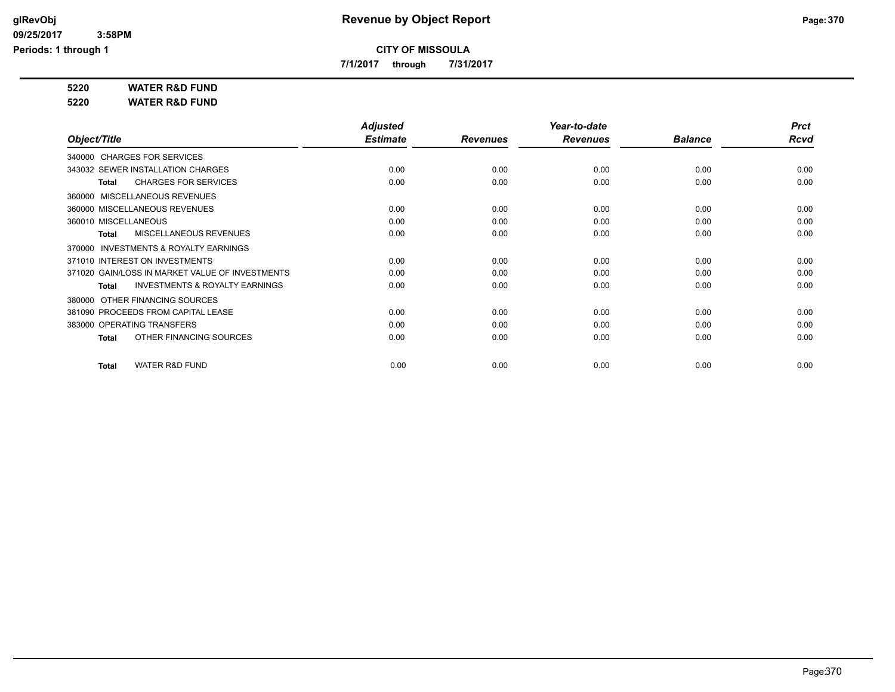**7/1/2017 through 7/31/2017**

**5220 WATER R&D FUND**

**5220 WATER R&D FUND**

|                                                    | <b>Adjusted</b> |                 | Year-to-date    |                | <b>Prct</b> |
|----------------------------------------------------|-----------------|-----------------|-----------------|----------------|-------------|
| Object/Title                                       | <b>Estimate</b> | <b>Revenues</b> | <b>Revenues</b> | <b>Balance</b> | Rcvd        |
| 340000 CHARGES FOR SERVICES                        |                 |                 |                 |                |             |
| 343032 SEWER INSTALLATION CHARGES                  | 0.00            | 0.00            | 0.00            | 0.00           | 0.00        |
| <b>CHARGES FOR SERVICES</b><br><b>Total</b>        | 0.00            | 0.00            | 0.00            | 0.00           | 0.00        |
| 360000 MISCELLANEOUS REVENUES                      |                 |                 |                 |                |             |
| 360000 MISCELLANEOUS REVENUES                      | 0.00            | 0.00            | 0.00            | 0.00           | 0.00        |
| 360010 MISCELLANEOUS                               | 0.00            | 0.00            | 0.00            | 0.00           | 0.00        |
| MISCELLANEOUS REVENUES<br>Total                    | 0.00            | 0.00            | 0.00            | 0.00           | 0.00        |
| 370000 INVESTMENTS & ROYALTY EARNINGS              |                 |                 |                 |                |             |
| 371010 INTEREST ON INVESTMENTS                     | 0.00            | 0.00            | 0.00            | 0.00           | 0.00        |
| 371020 GAIN/LOSS IN MARKET VALUE OF INVESTMENTS    | 0.00            | 0.00            | 0.00            | 0.00           | 0.00        |
| <b>INVESTMENTS &amp; ROYALTY EARNINGS</b><br>Total | 0.00            | 0.00            | 0.00            | 0.00           | 0.00        |
| OTHER FINANCING SOURCES<br>380000                  |                 |                 |                 |                |             |
| 381090 PROCEEDS FROM CAPITAL LEASE                 | 0.00            | 0.00            | 0.00            | 0.00           | 0.00        |
| 383000 OPERATING TRANSFERS                         | 0.00            | 0.00            | 0.00            | 0.00           | 0.00        |
| OTHER FINANCING SOURCES<br><b>Total</b>            | 0.00            | 0.00            | 0.00            | 0.00           | 0.00        |
| <b>WATER R&amp;D FUND</b><br><b>Total</b>          | 0.00            | 0.00            | 0.00            | 0.00           | 0.00        |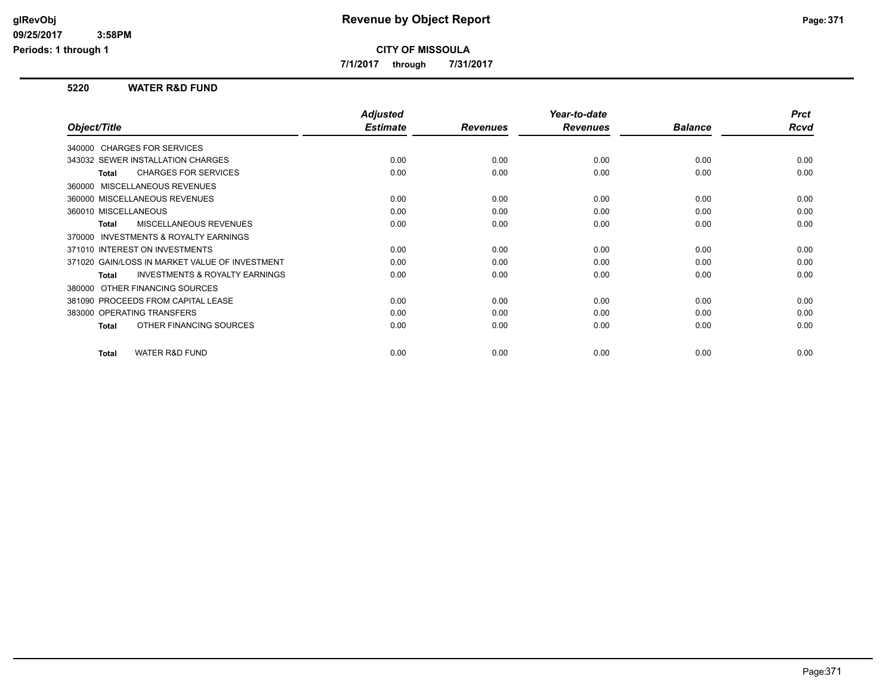**09/25/2017 3:58PM Periods: 1 through 1**

**CITY OF MISSOULA**

**7/1/2017 through 7/31/2017**

### **5220 WATER R&D FUND**

|                                                     | <b>Adjusted</b> |                 | Year-to-date    |                | <b>Prct</b> |
|-----------------------------------------------------|-----------------|-----------------|-----------------|----------------|-------------|
| Object/Title                                        | <b>Estimate</b> | <b>Revenues</b> | <b>Revenues</b> | <b>Balance</b> | <b>Rcvd</b> |
| 340000 CHARGES FOR SERVICES                         |                 |                 |                 |                |             |
| 343032 SEWER INSTALLATION CHARGES                   | 0.00            | 0.00            | 0.00            | 0.00           | 0.00        |
| <b>CHARGES FOR SERVICES</b><br>Total                | 0.00            | 0.00            | 0.00            | 0.00           | 0.00        |
| 360000 MISCELLANEOUS REVENUES                       |                 |                 |                 |                |             |
| 360000 MISCELLANEOUS REVENUES                       | 0.00            | 0.00            | 0.00            | 0.00           | 0.00        |
| 360010 MISCELLANEOUS                                | 0.00            | 0.00            | 0.00            | 0.00           | 0.00        |
| MISCELLANEOUS REVENUES<br><b>Total</b>              | 0.00            | 0.00            | 0.00            | 0.00           | 0.00        |
| <b>INVESTMENTS &amp; ROYALTY EARNINGS</b><br>370000 |                 |                 |                 |                |             |
| 371010 INTEREST ON INVESTMENTS                      | 0.00            | 0.00            | 0.00            | 0.00           | 0.00        |
| 371020 GAIN/LOSS IN MARKET VALUE OF INVESTMENT      | 0.00            | 0.00            | 0.00            | 0.00           | 0.00        |
| <b>INVESTMENTS &amp; ROYALTY EARNINGS</b><br>Total  | 0.00            | 0.00            | 0.00            | 0.00           | 0.00        |
| 380000 OTHER FINANCING SOURCES                      |                 |                 |                 |                |             |
| 381090 PROCEEDS FROM CAPITAL LEASE                  | 0.00            | 0.00            | 0.00            | 0.00           | 0.00        |
| 383000 OPERATING TRANSFERS                          | 0.00            | 0.00            | 0.00            | 0.00           | 0.00        |
| OTHER FINANCING SOURCES<br>Total                    | 0.00            | 0.00            | 0.00            | 0.00           | 0.00        |
|                                                     |                 |                 |                 |                |             |
| <b>WATER R&amp;D FUND</b><br>Total                  | 0.00            | 0.00            | 0.00            | 0.00           | 0.00        |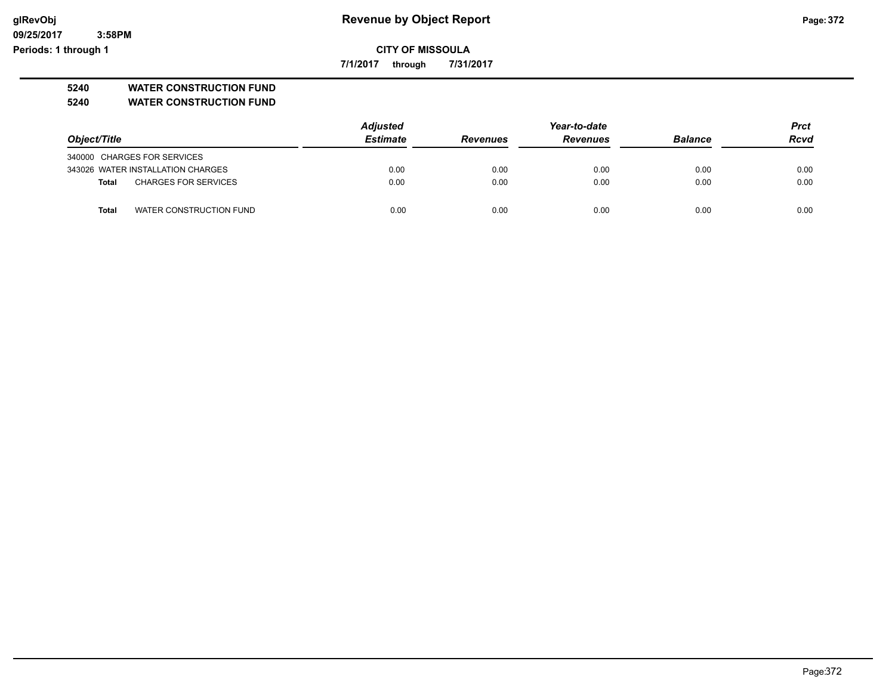**09/25/2017 3:58PM**

**Periods: 1 through 1**

**CITY OF MISSOULA**

**7/1/2017 through 7/31/2017**

## **5240 WATER CONSTRUCTION FUND**

**5240 WATER CONSTRUCTION FUND**

|                                             | <b>Adjusted</b> |                 | <b>Prct</b>     |                |             |
|---------------------------------------------|-----------------|-----------------|-----------------|----------------|-------------|
| Object/Title                                | <b>Estimate</b> | <b>Revenues</b> | <b>Revenues</b> | <b>Balance</b> | <b>Rcvd</b> |
| 340000 CHARGES FOR SERVICES                 |                 |                 |                 |                |             |
| 343026 WATER INSTALLATION CHARGES           | 0.00            | 0.00            | 0.00            | 0.00           | 0.00        |
| <b>CHARGES FOR SERVICES</b><br><b>Total</b> | 0.00            | 0.00            | 0.00            | 0.00           | 0.00        |
| WATER CONSTRUCTION FUND<br><b>Total</b>     | 0.00            | 0.00            | 0.00            | 0.00           | 0.00        |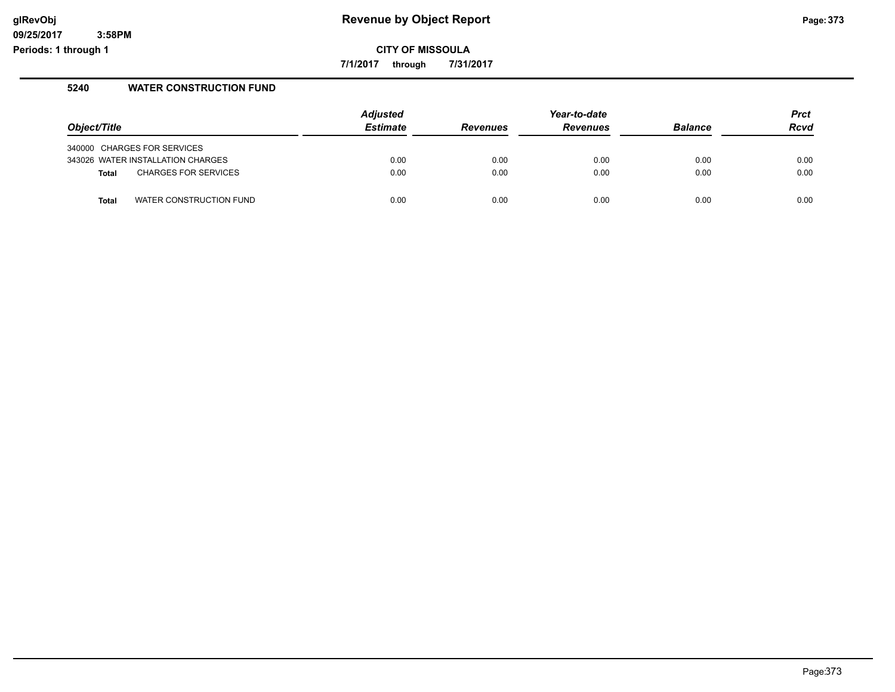**CITY OF MISSOULA**

**7/1/2017 through 7/31/2017**

### **5240 WATER CONSTRUCTION FUND**

 **3:58PM**

| Object/Title |                                   | <b>Adjusted</b><br><b>Estimate</b> | <b>Revenues</b> | Year-to-date<br><b>Revenues</b> | <b>Balance</b> | <b>Prct</b><br><b>Rcvd</b> |
|--------------|-----------------------------------|------------------------------------|-----------------|---------------------------------|----------------|----------------------------|
|              | 340000 CHARGES FOR SERVICES       |                                    |                 |                                 |                |                            |
|              | 343026 WATER INSTALLATION CHARGES | 0.00                               | 0.00            | 0.00                            | 0.00           | 0.00                       |
| <b>Total</b> | <b>CHARGES FOR SERVICES</b>       | 0.00                               | 0.00            | 0.00                            | 0.00           | 0.00                       |
| <b>Total</b> | WATER CONSTRUCTION FUND           | 0.00                               | 0.00            | 0.00                            | 0.00           | 0.00                       |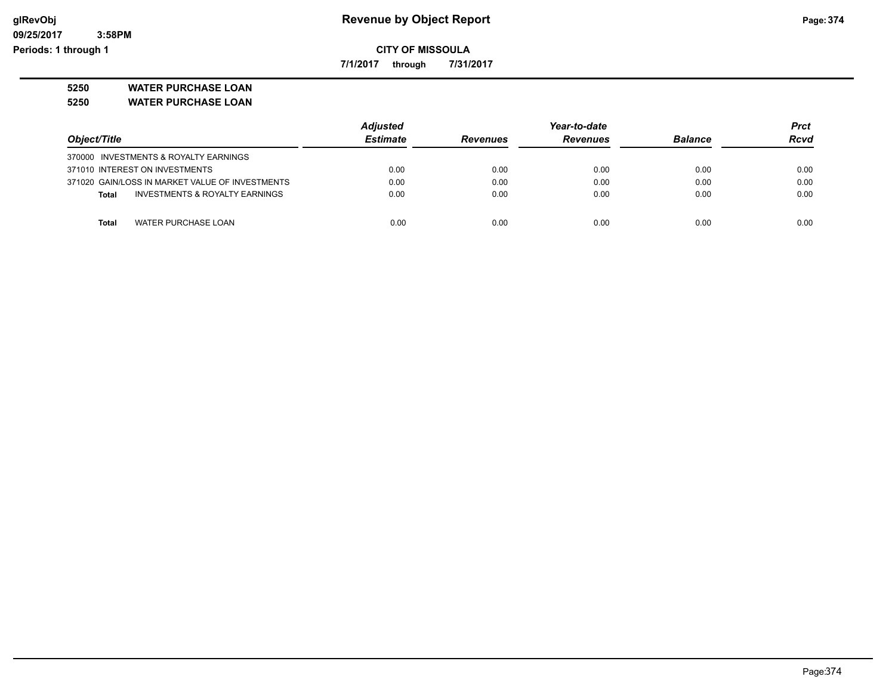**7/1/2017 through 7/31/2017**

### **5250 WATER PURCHASE LOAN**

**5250 WATER PURCHASE LOAN**

|                                                           | <b>Adjusted</b> |                 | Year-to-date    |                | Prct |
|-----------------------------------------------------------|-----------------|-----------------|-----------------|----------------|------|
| Object/Title                                              | <b>Estimate</b> | <b>Revenues</b> | <b>Revenues</b> | <b>Balance</b> | Rcvd |
| 370000 INVESTMENTS & ROYALTY EARNINGS                     |                 |                 |                 |                |      |
| 371010 INTEREST ON INVESTMENTS                            | 0.00            | 0.00            | 0.00            | 0.00           | 0.00 |
| 371020 GAIN/LOSS IN MARKET VALUE OF INVESTMENTS           | 0.00            | 0.00            | 0.00            | 0.00           | 0.00 |
| <b>INVESTMENTS &amp; ROYALTY EARNINGS</b><br><b>Total</b> | 0.00            | 0.00            | 0.00            | 0.00           | 0.00 |
|                                                           |                 |                 |                 |                |      |
| <b>Total</b><br>WATER PURCHASE LOAN                       | 0.00            | 0.00            | 0.00            | 0.00           | 0.00 |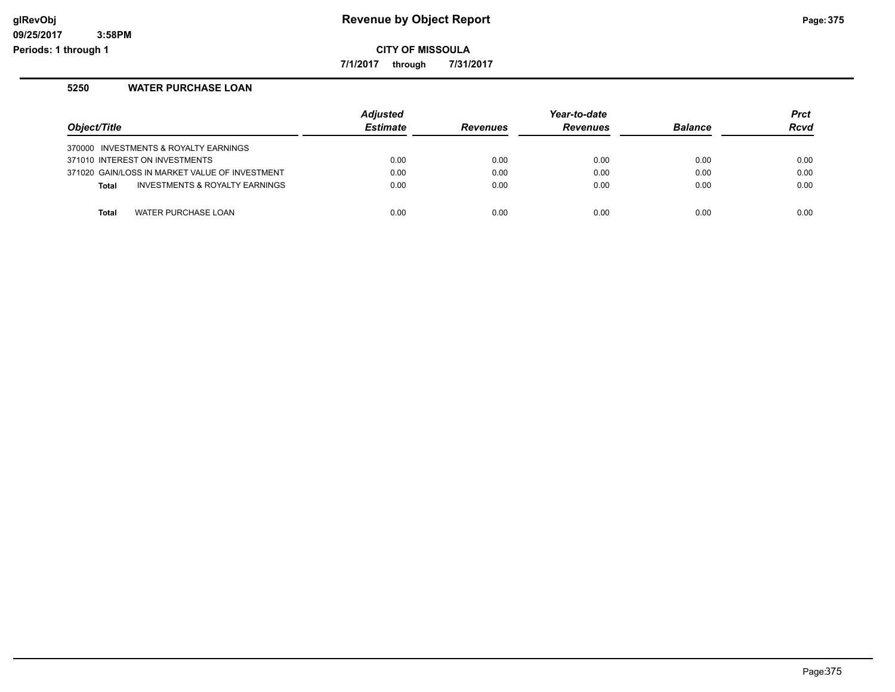**CITY OF MISSOULA**

**7/1/2017 through 7/31/2017**

### **5250 WATER PURCHASE LOAN**

 **3:58PM**

| Object/Title                                   | <b>Adjusted</b><br><b>Estimate</b> | <b>Revenues</b> | Year-to-date<br><b>Revenues</b> | <b>Balance</b> | <b>Prct</b><br><b>Rcvd</b> |
|------------------------------------------------|------------------------------------|-----------------|---------------------------------|----------------|----------------------------|
| 370000 INVESTMENTS & ROYALTY EARNINGS          |                                    |                 |                                 |                |                            |
| 371010 INTEREST ON INVESTMENTS                 | 0.00                               | 0.00            | 0.00                            | 0.00           | 0.00                       |
| 371020 GAIN/LOSS IN MARKET VALUE OF INVESTMENT | 0.00                               | 0.00            | 0.00                            | 0.00           | 0.00                       |
| INVESTMENTS & ROYALTY EARNINGS<br>Total        | 0.00                               | 0.00            | 0.00                            | 0.00           | 0.00                       |
|                                                |                                    |                 |                                 |                |                            |
| WATER PURCHASE LOAN<br>Total                   | 0.00                               | 0.00            | 0.00                            | 0.00           | 0.00                       |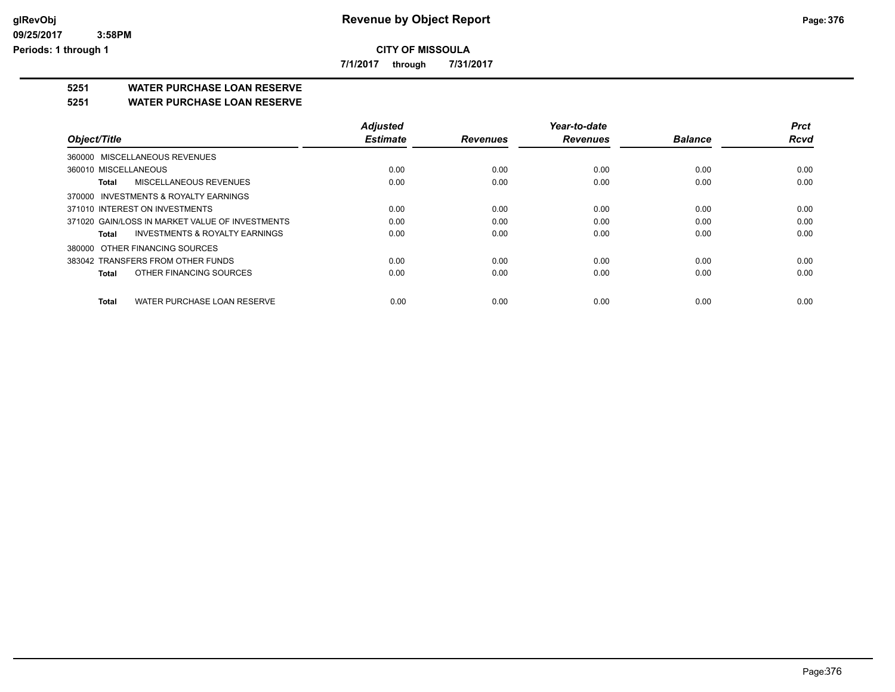**7/1/2017 through 7/31/2017**

## **5251 WATER PURCHASE LOAN RESERVE**

### **5251 WATER PURCHASE LOAN RESERVE**

| Object/Title                                    | <b>Adjusted</b><br><b>Estimate</b> | <b>Revenues</b> | Year-to-date<br><b>Revenues</b> | <b>Balance</b> | <b>Prct</b><br><b>Rcvd</b> |
|-------------------------------------------------|------------------------------------|-----------------|---------------------------------|----------------|----------------------------|
| 360000 MISCELLANEOUS REVENUES                   |                                    |                 |                                 |                |                            |
| 360010 MISCELLANEOUS                            | 0.00                               | 0.00            | 0.00                            | 0.00           | 0.00                       |
| MISCELLANEOUS REVENUES<br>Total                 | 0.00                               | 0.00            | 0.00                            | 0.00           | 0.00                       |
| 370000 INVESTMENTS & ROYALTY EARNINGS           |                                    |                 |                                 |                |                            |
| 371010 INTEREST ON INVESTMENTS                  | 0.00                               | 0.00            | 0.00                            | 0.00           | 0.00                       |
| 371020 GAIN/LOSS IN MARKET VALUE OF INVESTMENTS | 0.00                               | 0.00            | 0.00                            | 0.00           | 0.00                       |
| INVESTMENTS & ROYALTY EARNINGS<br>Total         | 0.00                               | 0.00            | 0.00                            | 0.00           | 0.00                       |
| 380000 OTHER FINANCING SOURCES                  |                                    |                 |                                 |                |                            |
| 383042 TRANSFERS FROM OTHER FUNDS               | 0.00                               | 0.00            | 0.00                            | 0.00           | 0.00                       |
| OTHER FINANCING SOURCES<br>Total                | 0.00                               | 0.00            | 0.00                            | 0.00           | 0.00                       |
| WATER PURCHASE LOAN RESERVE<br><b>Total</b>     | 0.00                               | 0.00            | 0.00                            | 0.00           | 0.00                       |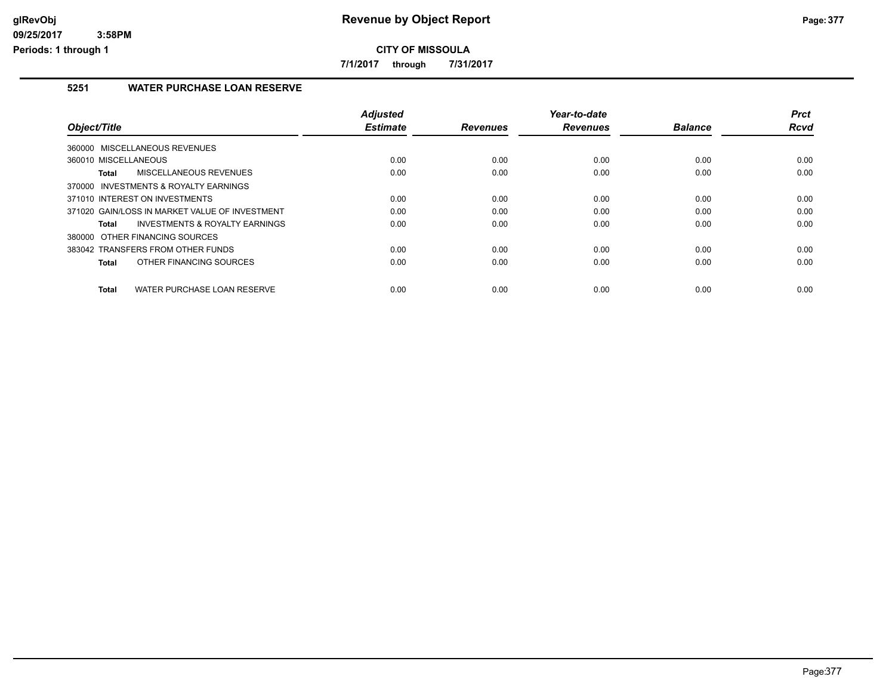**7/1/2017 through 7/31/2017**

### **5251 WATER PURCHASE LOAN RESERVE**

|                                                           | <b>Adjusted</b> |                 | Year-to-date    |                | <b>Prct</b> |
|-----------------------------------------------------------|-----------------|-----------------|-----------------|----------------|-------------|
| Object/Title                                              | <b>Estimate</b> | <b>Revenues</b> | <b>Revenues</b> | <b>Balance</b> | <b>Rcvd</b> |
| 360000 MISCELLANEOUS REVENUES                             |                 |                 |                 |                |             |
| 360010 MISCELLANEOUS                                      | 0.00            | 0.00            | 0.00            | 0.00           | 0.00        |
| MISCELLANEOUS REVENUES<br>Total                           | 0.00            | 0.00            | 0.00            | 0.00           | 0.00        |
| 370000 INVESTMENTS & ROYALTY EARNINGS                     |                 |                 |                 |                |             |
| 371010 INTEREST ON INVESTMENTS                            | 0.00            | 0.00            | 0.00            | 0.00           | 0.00        |
| 371020 GAIN/LOSS IN MARKET VALUE OF INVESTMENT            | 0.00            | 0.00            | 0.00            | 0.00           | 0.00        |
| <b>INVESTMENTS &amp; ROYALTY EARNINGS</b><br><b>Total</b> | 0.00            | 0.00            | 0.00            | 0.00           | 0.00        |
| 380000 OTHER FINANCING SOURCES                            |                 |                 |                 |                |             |
| 383042 TRANSFERS FROM OTHER FUNDS                         | 0.00            | 0.00            | 0.00            | 0.00           | 0.00        |
| OTHER FINANCING SOURCES<br><b>Total</b>                   | 0.00            | 0.00            | 0.00            | 0.00           | 0.00        |
| WATER PURCHASE LOAN RESERVE<br><b>Total</b>               | 0.00            | 0.00            | 0.00            | 0.00           | 0.00        |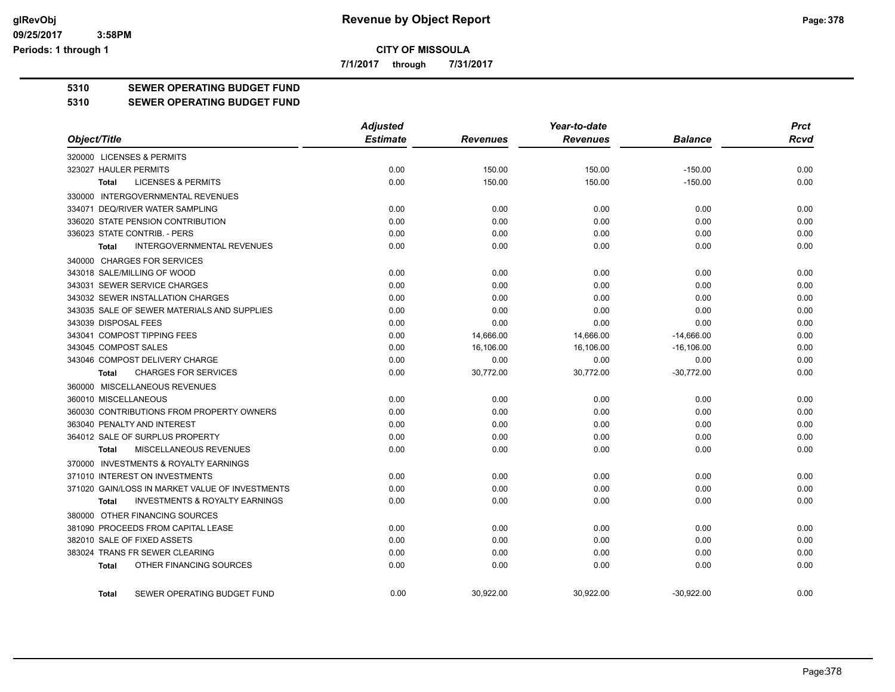**7/1/2017 through 7/31/2017**

### **5310 SEWER OPERATING BUDGET FUND**

### **5310 SEWER OPERATING BUDGET FUND**

|                                                           | <b>Adjusted</b> |                 | Year-to-date    | <b>Prct</b>    |             |
|-----------------------------------------------------------|-----------------|-----------------|-----------------|----------------|-------------|
| Object/Title                                              | <b>Estimate</b> | <b>Revenues</b> | <b>Revenues</b> | <b>Balance</b> | <b>Rcvd</b> |
| 320000 LICENSES & PERMITS                                 |                 |                 |                 |                |             |
| 323027 HAULER PERMITS                                     | 0.00            | 150.00          | 150.00          | $-150.00$      | 0.00        |
| <b>LICENSES &amp; PERMITS</b><br><b>Total</b>             | 0.00            | 150.00          | 150.00          | $-150.00$      | 0.00        |
| 330000 INTERGOVERNMENTAL REVENUES                         |                 |                 |                 |                |             |
| 334071 DEQ/RIVER WATER SAMPLING                           | 0.00            | 0.00            | 0.00            | 0.00           | 0.00        |
| 336020 STATE PENSION CONTRIBUTION                         | 0.00            | 0.00            | 0.00            | 0.00           | 0.00        |
| 336023 STATE CONTRIB. - PERS                              | 0.00            | 0.00            | 0.00            | 0.00           | 0.00        |
| <b>INTERGOVERNMENTAL REVENUES</b><br><b>Total</b>         | 0.00            | 0.00            | 0.00            | 0.00           | 0.00        |
| 340000 CHARGES FOR SERVICES                               |                 |                 |                 |                |             |
| 343018 SALE/MILLING OF WOOD                               | 0.00            | 0.00            | 0.00            | 0.00           | 0.00        |
| 343031 SEWER SERVICE CHARGES                              | 0.00            | 0.00            | 0.00            | 0.00           | 0.00        |
| 343032 SEWER INSTALLATION CHARGES                         | 0.00            | 0.00            | 0.00            | 0.00           | 0.00        |
| 343035 SALE OF SEWER MATERIALS AND SUPPLIES               | 0.00            | 0.00            | 0.00            | 0.00           | 0.00        |
| 343039 DISPOSAL FEES                                      | 0.00            | 0.00            | 0.00            | 0.00           | 0.00        |
| 343041 COMPOST TIPPING FEES                               | 0.00            | 14,666.00       | 14,666.00       | $-14,666.00$   | 0.00        |
| 343045 COMPOST SALES                                      | 0.00            | 16,106.00       | 16,106.00       | $-16, 106.00$  | 0.00        |
| 343046 COMPOST DELIVERY CHARGE                            | 0.00            | 0.00            | 0.00            | 0.00           | 0.00        |
| <b>CHARGES FOR SERVICES</b><br><b>Total</b>               | 0.00            | 30,772.00       | 30,772.00       | $-30,772.00$   | 0.00        |
| 360000 MISCELLANEOUS REVENUES                             |                 |                 |                 |                |             |
| 360010 MISCELLANEOUS                                      | 0.00            | 0.00            | 0.00            | 0.00           | 0.00        |
| 360030 CONTRIBUTIONS FROM PROPERTY OWNERS                 | 0.00            | 0.00            | 0.00            | 0.00           | 0.00        |
| 363040 PENALTY AND INTEREST                               | 0.00            | 0.00            | 0.00            | 0.00           | 0.00        |
| 364012 SALE OF SURPLUS PROPERTY                           | 0.00            | 0.00            | 0.00            | 0.00           | 0.00        |
| <b>MISCELLANEOUS REVENUES</b><br><b>Total</b>             | 0.00            | 0.00            | 0.00            | 0.00           | 0.00        |
| 370000 INVESTMENTS & ROYALTY EARNINGS                     |                 |                 |                 |                |             |
| 371010 INTEREST ON INVESTMENTS                            | 0.00            | 0.00            | 0.00            | 0.00           | 0.00        |
| 371020 GAIN/LOSS IN MARKET VALUE OF INVESTMENTS           | 0.00            | 0.00            | 0.00            | 0.00           | 0.00        |
| <b>INVESTMENTS &amp; ROYALTY EARNINGS</b><br><b>Total</b> | 0.00            | 0.00            | 0.00            | 0.00           | 0.00        |
| 380000 OTHER FINANCING SOURCES                            |                 |                 |                 |                |             |
| 381090 PROCEEDS FROM CAPITAL LEASE                        | 0.00            | 0.00            | 0.00            | 0.00           | 0.00        |
| 382010 SALE OF FIXED ASSETS                               | 0.00            | 0.00            | 0.00            | 0.00           | 0.00        |
| 383024 TRANS FR SEWER CLEARING                            | 0.00            | 0.00            | 0.00            | 0.00           | 0.00        |
| OTHER FINANCING SOURCES<br><b>Total</b>                   | 0.00            | 0.00            | 0.00            | 0.00           | 0.00        |
| SEWER OPERATING BUDGET FUND<br><b>Total</b>               | 0.00            | 30,922.00       | 30,922.00       | $-30,922.00$   | 0.00        |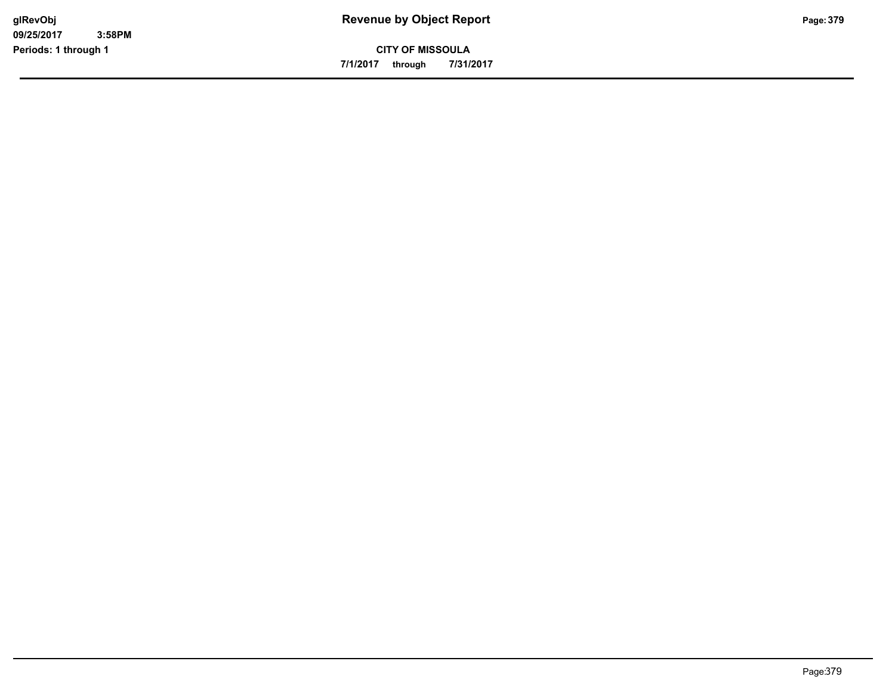**CITY OF MISSOULA 7/1/2017 through 7/31/2017**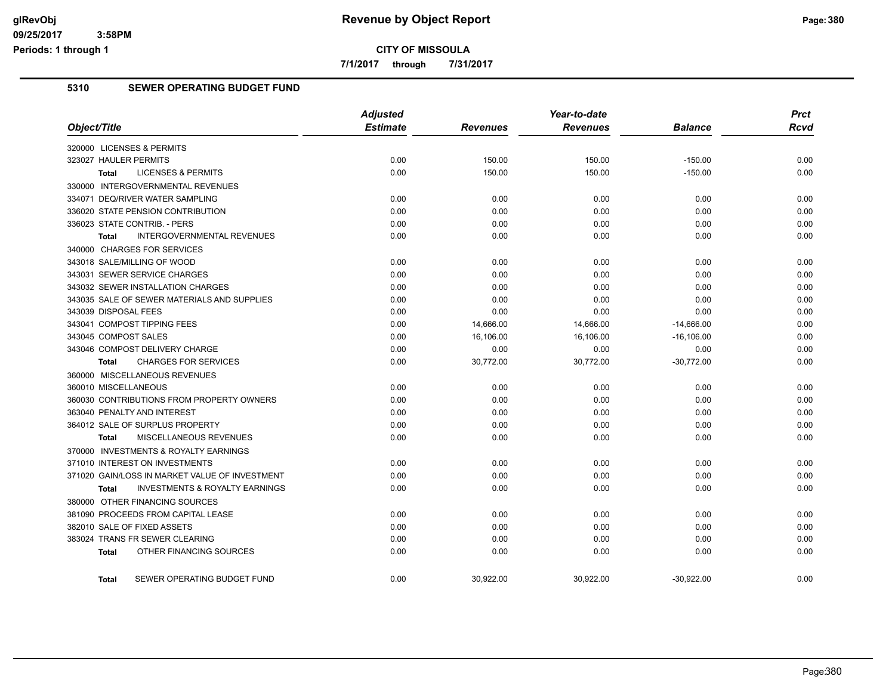**3:58PM**

**CITY OF MISSOULA**

**7/1/2017 through 7/31/2017**

### **5310 SEWER OPERATING BUDGET FUND**

|                                                           | <b>Adjusted</b> |                 | Year-to-date    |                | <b>Prct</b> |
|-----------------------------------------------------------|-----------------|-----------------|-----------------|----------------|-------------|
| Object/Title                                              | <b>Estimate</b> | <b>Revenues</b> | <b>Revenues</b> | <b>Balance</b> | <b>Rcvd</b> |
| 320000 LICENSES & PERMITS                                 |                 |                 |                 |                |             |
| 323027 HAULER PERMITS                                     | 0.00            | 150.00          | 150.00          | $-150.00$      | 0.00        |
| <b>LICENSES &amp; PERMITS</b><br>Total                    | 0.00            | 150.00          | 150.00          | $-150.00$      | 0.00        |
| 330000 INTERGOVERNMENTAL REVENUES                         |                 |                 |                 |                |             |
| 334071 DEQ/RIVER WATER SAMPLING                           | 0.00            | 0.00            | 0.00            | 0.00           | 0.00        |
| 336020 STATE PENSION CONTRIBUTION                         | 0.00            | 0.00            | 0.00            | 0.00           | 0.00        |
| 336023 STATE CONTRIB. - PERS                              | 0.00            | 0.00            | 0.00            | 0.00           | 0.00        |
| <b>INTERGOVERNMENTAL REVENUES</b><br><b>Total</b>         | 0.00            | 0.00            | 0.00            | 0.00           | 0.00        |
| 340000 CHARGES FOR SERVICES                               |                 |                 |                 |                |             |
| 343018 SALE/MILLING OF WOOD                               | 0.00            | 0.00            | 0.00            | 0.00           | 0.00        |
| 343031 SEWER SERVICE CHARGES                              | 0.00            | 0.00            | 0.00            | 0.00           | 0.00        |
| 343032 SEWER INSTALLATION CHARGES                         | 0.00            | 0.00            | 0.00            | 0.00           | 0.00        |
| 343035 SALE OF SEWER MATERIALS AND SUPPLIES               | 0.00            | 0.00            | 0.00            | 0.00           | 0.00        |
| 343039 DISPOSAL FEES                                      | 0.00            | 0.00            | 0.00            | 0.00           | 0.00        |
| 343041 COMPOST TIPPING FEES                               | 0.00            | 14,666.00       | 14,666.00       | $-14,666.00$   | 0.00        |
| 343045 COMPOST SALES                                      | 0.00            | 16,106.00       | 16,106.00       | $-16, 106.00$  | 0.00        |
| 343046 COMPOST DELIVERY CHARGE                            | 0.00            | 0.00            | 0.00            | 0.00           | 0.00        |
| <b>CHARGES FOR SERVICES</b><br><b>Total</b>               | 0.00            | 30,772.00       | 30,772.00       | $-30,772.00$   | 0.00        |
| 360000 MISCELLANEOUS REVENUES                             |                 |                 |                 |                |             |
| 360010 MISCELLANEOUS                                      | 0.00            | 0.00            | 0.00            | 0.00           | 0.00        |
| 360030 CONTRIBUTIONS FROM PROPERTY OWNERS                 | 0.00            | 0.00            | 0.00            | 0.00           | 0.00        |
| 363040 PENALTY AND INTEREST                               | 0.00            | 0.00            | 0.00            | 0.00           | 0.00        |
| 364012 SALE OF SURPLUS PROPERTY                           | 0.00            | 0.00            | 0.00            | 0.00           | 0.00        |
| MISCELLANEOUS REVENUES<br><b>Total</b>                    | 0.00            | 0.00            | 0.00            | 0.00           | 0.00        |
| 370000 INVESTMENTS & ROYALTY EARNINGS                     |                 |                 |                 |                |             |
| 371010 INTEREST ON INVESTMENTS                            | 0.00            | 0.00            | 0.00            | 0.00           | 0.00        |
| 371020 GAIN/LOSS IN MARKET VALUE OF INVESTMENT            | 0.00            | 0.00            | 0.00            | 0.00           | 0.00        |
| <b>INVESTMENTS &amp; ROYALTY EARNINGS</b><br><b>Total</b> | 0.00            | 0.00            | 0.00            | 0.00           | 0.00        |
| 380000 OTHER FINANCING SOURCES                            |                 |                 |                 |                |             |
| 381090 PROCEEDS FROM CAPITAL LEASE                        | 0.00            | 0.00            | 0.00            | 0.00           | 0.00        |
| 382010 SALE OF FIXED ASSETS                               | 0.00            | 0.00            | 0.00            | 0.00           | 0.00        |
| 383024 TRANS FR SEWER CLEARING                            | 0.00            | 0.00            | 0.00            | 0.00           | 0.00        |
| OTHER FINANCING SOURCES<br><b>Total</b>                   | 0.00            | 0.00            | 0.00            | 0.00           | 0.00        |
| SEWER OPERATING BUDGET FUND<br><b>Total</b>               | 0.00            | 30,922.00       | 30,922.00       | $-30,922.00$   | 0.00        |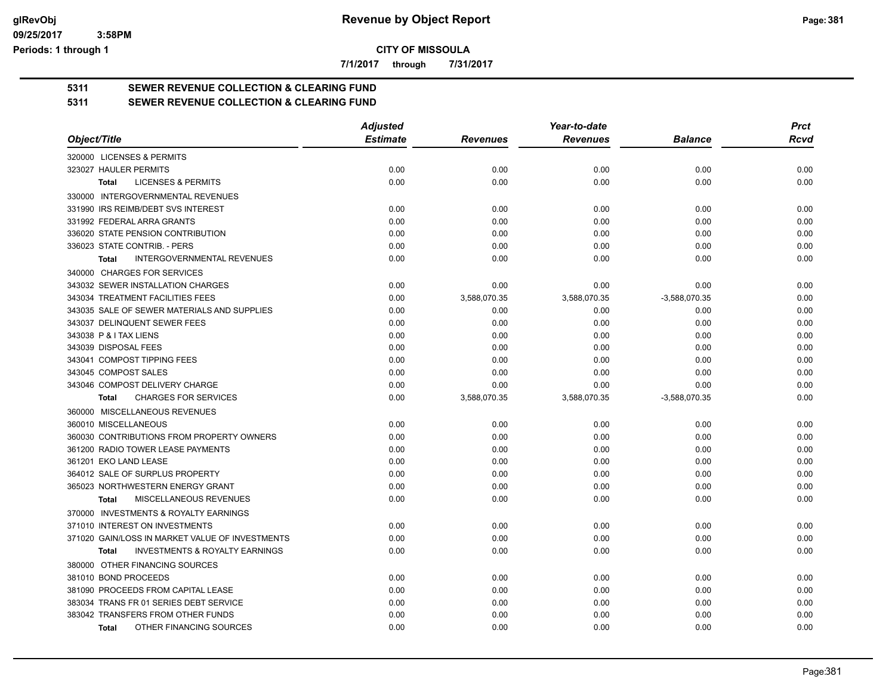**3:58PM**

**CITY OF MISSOULA**

**7/1/2017 through 7/31/2017**

# **5311 SEWER REVENUE COLLECTION & CLEARING FUND**

# **5311 SEWER REVENUE COLLECTION & CLEARING FUND**

|                                                           | <b>Adjusted</b> |                 | Year-to-date    |                 | <b>Prct</b> |  |
|-----------------------------------------------------------|-----------------|-----------------|-----------------|-----------------|-------------|--|
| Object/Title                                              | <b>Estimate</b> | <b>Revenues</b> | <b>Revenues</b> | <b>Balance</b>  | <b>Rcvd</b> |  |
| 320000 LICENSES & PERMITS                                 |                 |                 |                 |                 |             |  |
| 323027 HAULER PERMITS                                     | 0.00            | 0.00            | 0.00            | 0.00            | 0.00        |  |
| <b>LICENSES &amp; PERMITS</b><br>Total                    | 0.00            | 0.00            | 0.00            | 0.00            | 0.00        |  |
| 330000 INTERGOVERNMENTAL REVENUES                         |                 |                 |                 |                 |             |  |
| 331990 IRS REIMB/DEBT SVS INTEREST                        | 0.00            | 0.00            | 0.00            | 0.00            | 0.00        |  |
| 331992 FEDERAL ARRA GRANTS                                | 0.00            | 0.00            | 0.00            | 0.00            | 0.00        |  |
| 336020 STATE PENSION CONTRIBUTION                         | 0.00            | 0.00            | 0.00            | 0.00            | 0.00        |  |
| 336023 STATE CONTRIB. - PERS                              | 0.00            | 0.00            | 0.00            | 0.00            | 0.00        |  |
| <b>INTERGOVERNMENTAL REVENUES</b><br><b>Total</b>         | 0.00            | 0.00            | 0.00            | 0.00            | 0.00        |  |
| 340000 CHARGES FOR SERVICES                               |                 |                 |                 |                 |             |  |
| 343032 SEWER INSTALLATION CHARGES                         | 0.00            | 0.00            | 0.00            | 0.00            | 0.00        |  |
| 343034 TREATMENT FACILITIES FEES                          | 0.00            | 3,588,070.35    | 3,588,070.35    | $-3,588,070.35$ | 0.00        |  |
| 343035 SALE OF SEWER MATERIALS AND SUPPLIES               | 0.00            | 0.00            | 0.00            | 0.00            | 0.00        |  |
| 343037 DELINQUENT SEWER FEES                              | 0.00            | 0.00            | 0.00            | 0.00            | 0.00        |  |
| 343038 P & I TAX LIENS                                    | 0.00            | 0.00            | 0.00            | 0.00            | 0.00        |  |
| 343039 DISPOSAL FEES                                      | 0.00            | 0.00            | 0.00            | 0.00            | 0.00        |  |
| 343041 COMPOST TIPPING FEES                               | 0.00            | 0.00            | 0.00            | 0.00            | 0.00        |  |
| 343045 COMPOST SALES                                      | 0.00            | 0.00            | 0.00            | 0.00            | 0.00        |  |
| 343046 COMPOST DELIVERY CHARGE                            | 0.00            | 0.00            | 0.00            | 0.00            | 0.00        |  |
| <b>CHARGES FOR SERVICES</b><br><b>Total</b>               | 0.00            | 3,588,070.35    | 3,588,070.35    | $-3,588,070.35$ | 0.00        |  |
| 360000 MISCELLANEOUS REVENUES                             |                 |                 |                 |                 |             |  |
| 360010 MISCELLANEOUS                                      | 0.00            | 0.00            | 0.00            | 0.00            | 0.00        |  |
| 360030 CONTRIBUTIONS FROM PROPERTY OWNERS                 | 0.00            | 0.00            | 0.00            | 0.00            | 0.00        |  |
| 361200 RADIO TOWER LEASE PAYMENTS                         | 0.00            | 0.00            | 0.00            | 0.00            | 0.00        |  |
| 361201 EKO LAND LEASE                                     | 0.00            | 0.00            | 0.00            | 0.00            | 0.00        |  |
| 364012 SALE OF SURPLUS PROPERTY                           | 0.00            | 0.00            | 0.00            | 0.00            | 0.00        |  |
| 365023 NORTHWESTERN ENERGY GRANT                          | 0.00            | 0.00            | 0.00            | 0.00            | 0.00        |  |
| MISCELLANEOUS REVENUES<br>Total                           | 0.00            | 0.00            | 0.00            | 0.00            | 0.00        |  |
| 370000 INVESTMENTS & ROYALTY EARNINGS                     |                 |                 |                 |                 |             |  |
| 371010 INTEREST ON INVESTMENTS                            | 0.00            | 0.00            | 0.00            | 0.00            | 0.00        |  |
| 371020 GAIN/LOSS IN MARKET VALUE OF INVESTMENTS           | 0.00            | 0.00            | 0.00            | 0.00            | 0.00        |  |
| <b>INVESTMENTS &amp; ROYALTY EARNINGS</b><br><b>Total</b> | 0.00            | 0.00            | 0.00            | 0.00            | 0.00        |  |
| 380000 OTHER FINANCING SOURCES                            |                 |                 |                 |                 |             |  |
| 381010 BOND PROCEEDS                                      | 0.00            | 0.00            | 0.00            | 0.00            | 0.00        |  |
| 381090 PROCEEDS FROM CAPITAL LEASE                        | 0.00            | 0.00            | 0.00            | 0.00            | 0.00        |  |
| 383034 TRANS FR 01 SERIES DEBT SERVICE                    | 0.00            | 0.00            | 0.00            | 0.00            | 0.00        |  |
| 383042 TRANSFERS FROM OTHER FUNDS                         | 0.00            | 0.00            | 0.00            | 0.00            | 0.00        |  |
| OTHER FINANCING SOURCES<br>Total                          | 0.00            | 0.00            | 0.00            | 0.00            | 0.00        |  |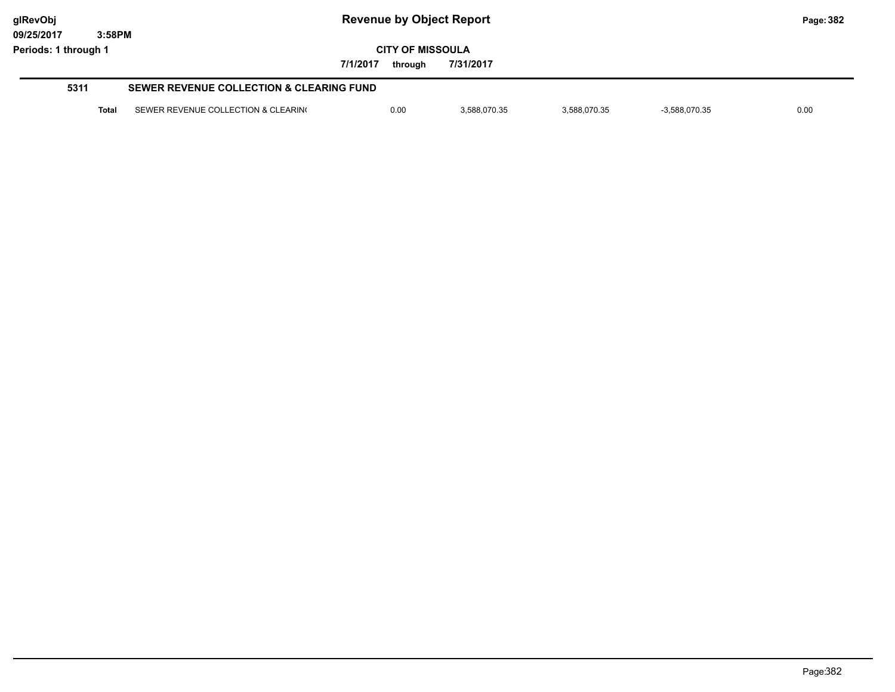| glRevObj             |        |
|----------------------|--------|
| 09/25/2017           | 3:58PM |
| Periods: 1 through 1 |        |

**7/1/2017 through 7/31/2017**

| 5311  | SEWER REVENUE COLLECTION & CLEARING FUND |      |              |             |             |      |
|-------|------------------------------------------|------|--------------|-------------|-------------|------|
| Total | SEWER REVENUE COLLECTION & CLEARING      | 0.OC | 3.588.070.35 | .588.070.35 | .588.070.35 | 0.00 |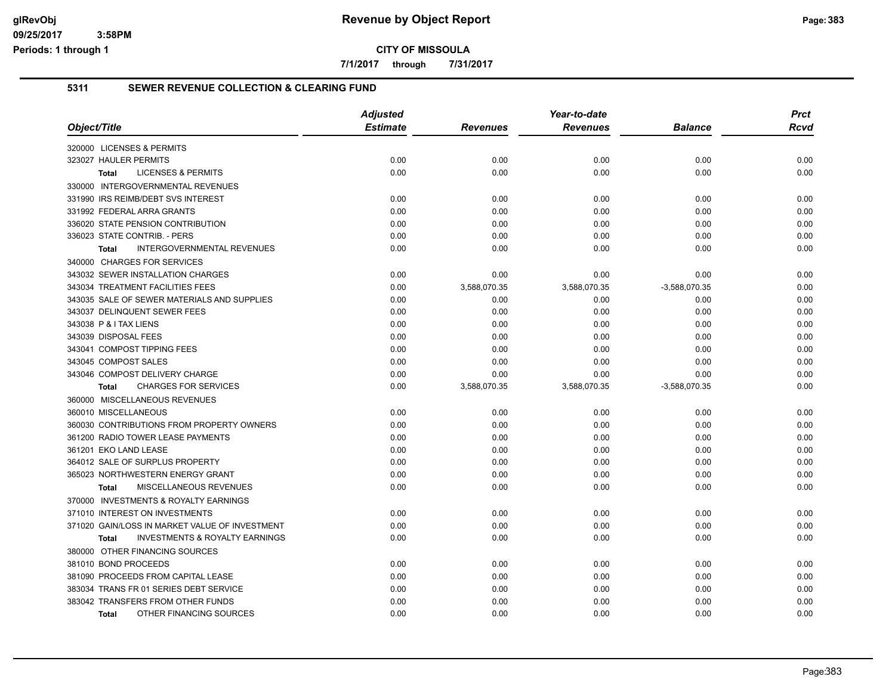**7/1/2017 through 7/31/2017**

### **5311 SEWER REVENUE COLLECTION & CLEARING FUND**

|                                                           | <b>Adjusted</b> |                 | Year-to-date    |                 | <b>Prct</b> |
|-----------------------------------------------------------|-----------------|-----------------|-----------------|-----------------|-------------|
| Object/Title                                              | <b>Estimate</b> | <b>Revenues</b> | <b>Revenues</b> | <b>Balance</b>  | <b>Rcvd</b> |
| 320000 LICENSES & PERMITS                                 |                 |                 |                 |                 |             |
| 323027 HAULER PERMITS                                     | 0.00            | 0.00            | 0.00            | 0.00            | 0.00        |
| <b>LICENSES &amp; PERMITS</b><br><b>Total</b>             | 0.00            | 0.00            | 0.00            | 0.00            | 0.00        |
| 330000 INTERGOVERNMENTAL REVENUES                         |                 |                 |                 |                 |             |
| 331990 IRS REIMB/DEBT SVS INTEREST                        | 0.00            | 0.00            | 0.00            | 0.00            | 0.00        |
| 331992 FEDERAL ARRA GRANTS                                | 0.00            | 0.00            | 0.00            | 0.00            | 0.00        |
| 336020 STATE PENSION CONTRIBUTION                         | 0.00            | 0.00            | 0.00            | 0.00            | 0.00        |
| 336023 STATE CONTRIB. - PERS                              | 0.00            | 0.00            | 0.00            | 0.00            | 0.00        |
| <b>INTERGOVERNMENTAL REVENUES</b><br><b>Total</b>         | 0.00            | 0.00            | 0.00            | 0.00            | 0.00        |
| 340000 CHARGES FOR SERVICES                               |                 |                 |                 |                 |             |
| 343032 SEWER INSTALLATION CHARGES                         | 0.00            | 0.00            | 0.00            | 0.00            | 0.00        |
| 343034 TREATMENT FACILITIES FEES                          | 0.00            | 3,588,070.35    | 3,588,070.35    | $-3,588,070.35$ | 0.00        |
| 343035 SALE OF SEWER MATERIALS AND SUPPLIES               | 0.00            | 0.00            | 0.00            | 0.00            | 0.00        |
| 343037 DELINQUENT SEWER FEES                              | 0.00            | 0.00            | 0.00            | 0.00            | 0.00        |
| 343038 P & I TAX LIENS                                    | 0.00            | 0.00            | 0.00            | 0.00            | 0.00        |
| 343039 DISPOSAL FEES                                      | 0.00            | 0.00            | 0.00            | 0.00            | 0.00        |
| 343041 COMPOST TIPPING FEES                               | 0.00            | 0.00            | 0.00            | 0.00            | 0.00        |
| 343045 COMPOST SALES                                      | 0.00            | 0.00            | 0.00            | 0.00            | 0.00        |
| 343046 COMPOST DELIVERY CHARGE                            | 0.00            | 0.00            | 0.00            | 0.00            | 0.00        |
| <b>CHARGES FOR SERVICES</b><br><b>Total</b>               | 0.00            | 3,588,070.35    | 3,588,070.35    | $-3,588,070.35$ | 0.00        |
| 360000 MISCELLANEOUS REVENUES                             |                 |                 |                 |                 |             |
| 360010 MISCELLANEOUS                                      | 0.00            | 0.00            | 0.00            | 0.00            | 0.00        |
| 360030 CONTRIBUTIONS FROM PROPERTY OWNERS                 | 0.00            | 0.00            | 0.00            | 0.00            | 0.00        |
| 361200 RADIO TOWER LEASE PAYMENTS                         | 0.00            | 0.00            | 0.00            | 0.00            | 0.00        |
| 361201 EKO LAND LEASE                                     | 0.00            | 0.00            | 0.00            | 0.00            | 0.00        |
| 364012 SALE OF SURPLUS PROPERTY                           | 0.00            | 0.00            | 0.00            | 0.00            | 0.00        |
| 365023 NORTHWESTERN ENERGY GRANT                          | 0.00            | 0.00            | 0.00            | 0.00            | 0.00        |
| <b>MISCELLANEOUS REVENUES</b><br><b>Total</b>             | 0.00            | 0.00            | 0.00            | 0.00            | 0.00        |
| 370000 INVESTMENTS & ROYALTY EARNINGS                     |                 |                 |                 |                 |             |
| 371010 INTEREST ON INVESTMENTS                            | 0.00            | 0.00            | 0.00            | 0.00            | 0.00        |
| 371020 GAIN/LOSS IN MARKET VALUE OF INVESTMENT            | 0.00            | 0.00            | 0.00            | 0.00            | 0.00        |
| <b>INVESTMENTS &amp; ROYALTY EARNINGS</b><br><b>Total</b> | 0.00            | 0.00            | 0.00            | 0.00            | 0.00        |
| 380000 OTHER FINANCING SOURCES                            |                 |                 |                 |                 |             |
| 381010 BOND PROCEEDS                                      | 0.00            | 0.00            | 0.00            | 0.00            | 0.00        |
| 381090 PROCEEDS FROM CAPITAL LEASE                        | 0.00            | 0.00            | 0.00            | 0.00            | 0.00        |
| 383034 TRANS FR 01 SERIES DEBT SERVICE                    | 0.00            | 0.00            | 0.00            | 0.00            | 0.00        |
| 383042 TRANSFERS FROM OTHER FUNDS                         | 0.00            | 0.00            | 0.00            | 0.00            | 0.00        |
| OTHER FINANCING SOURCES<br><b>Total</b>                   | 0.00            | 0.00            | 0.00            | 0.00            | 0.00        |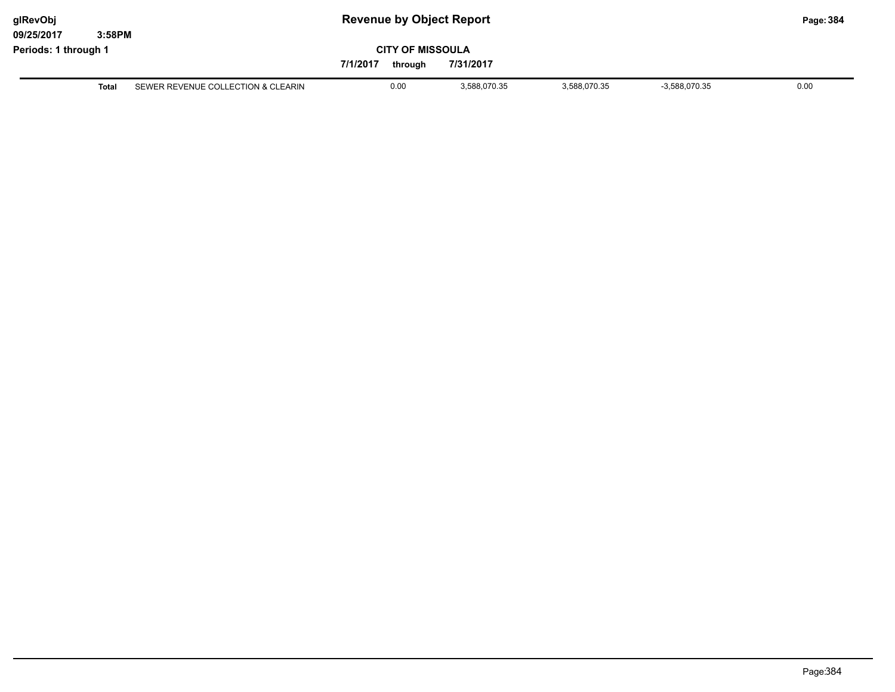| glRevObj<br>09/25/2017<br>3:58PM |              |                                                             |  |      | <b>Revenue by Object Report</b> |              |                 | Page: 384 |
|----------------------------------|--------------|-------------------------------------------------------------|--|------|---------------------------------|--------------|-----------------|-----------|
| Periods: 1 through 1             |              | <b>CITY OF MISSOULA</b><br>7/1/2017<br>7/31/2017<br>through |  |      |                                 |              |                 |           |
|                                  | <b>Total</b> | SEWER REVENUE COLLECTION & CLEARIN                          |  | 0.00 | 3,588,070.35                    | 3,588,070.35 | $-3,588,070.35$ | 0.00      |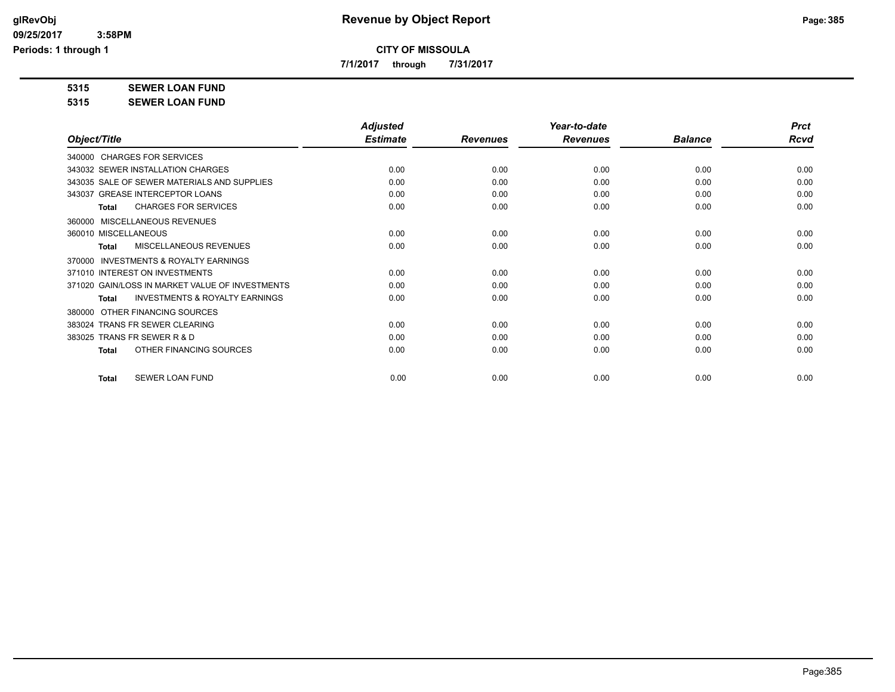**7/1/2017 through 7/31/2017**

**5315 SEWER LOAN FUND**

**5315 SEWER LOAN FUND**

|                                                           | <b>Adjusted</b> |                 | Year-to-date    |                | <b>Prct</b> |
|-----------------------------------------------------------|-----------------|-----------------|-----------------|----------------|-------------|
| Object/Title                                              | <b>Estimate</b> | <b>Revenues</b> | <b>Revenues</b> | <b>Balance</b> | <b>Rcvd</b> |
| 340000 CHARGES FOR SERVICES                               |                 |                 |                 |                |             |
| 343032 SEWER INSTALLATION CHARGES                         | 0.00            | 0.00            | 0.00            | 0.00           | 0.00        |
| 343035 SALE OF SEWER MATERIALS AND SUPPLIES               | 0.00            | 0.00            | 0.00            | 0.00           | 0.00        |
| 343037 GREASE INTERCEPTOR LOANS                           | 0.00            | 0.00            | 0.00            | 0.00           | 0.00        |
| <b>CHARGES FOR SERVICES</b><br>Total                      | 0.00            | 0.00            | 0.00            | 0.00           | 0.00        |
| MISCELLANEOUS REVENUES<br>360000                          |                 |                 |                 |                |             |
| 360010 MISCELLANEOUS                                      | 0.00            | 0.00            | 0.00            | 0.00           | 0.00        |
| <b>MISCELLANEOUS REVENUES</b><br><b>Total</b>             | 0.00            | 0.00            | 0.00            | 0.00           | 0.00        |
| <b>INVESTMENTS &amp; ROYALTY EARNINGS</b><br>370000       |                 |                 |                 |                |             |
| 371010 INTEREST ON INVESTMENTS                            | 0.00            | 0.00            | 0.00            | 0.00           | 0.00        |
| 371020 GAIN/LOSS IN MARKET VALUE OF INVESTMENTS           | 0.00            | 0.00            | 0.00            | 0.00           | 0.00        |
| <b>INVESTMENTS &amp; ROYALTY EARNINGS</b><br><b>Total</b> | 0.00            | 0.00            | 0.00            | 0.00           | 0.00        |
| OTHER FINANCING SOURCES<br>380000                         |                 |                 |                 |                |             |
| 383024 TRANS FR SEWER CLEARING                            | 0.00            | 0.00            | 0.00            | 0.00           | 0.00        |
| 383025 TRANS FR SEWER R & D                               | 0.00            | 0.00            | 0.00            | 0.00           | 0.00        |
| OTHER FINANCING SOURCES<br><b>Total</b>                   | 0.00            | 0.00            | 0.00            | 0.00           | 0.00        |
| <b>SEWER LOAN FUND</b><br><b>Total</b>                    | 0.00            | 0.00            | 0.00            | 0.00           | 0.00        |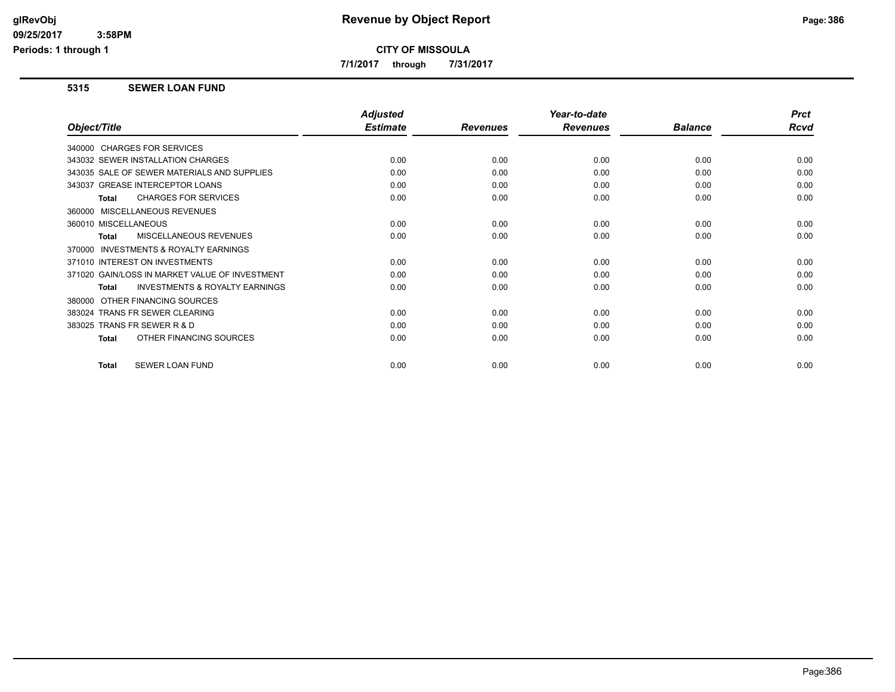**CITY OF MISSOULA**

**7/1/2017 through 7/31/2017**

### **5315 SEWER LOAN FUND**

 **3:58PM**

|                                                    | <b>Adjusted</b> |                 | Year-to-date    |                | <b>Prct</b> |
|----------------------------------------------------|-----------------|-----------------|-----------------|----------------|-------------|
| Object/Title                                       | <b>Estimate</b> | <b>Revenues</b> | <b>Revenues</b> | <b>Balance</b> | <b>Rcvd</b> |
| 340000 CHARGES FOR SERVICES                        |                 |                 |                 |                |             |
| 343032 SEWER INSTALLATION CHARGES                  | 0.00            | 0.00            | 0.00            | 0.00           | 0.00        |
| 343035 SALE OF SEWER MATERIALS AND SUPPLIES        | 0.00            | 0.00            | 0.00            | 0.00           | 0.00        |
| 343037 GREASE INTERCEPTOR LOANS                    | 0.00            | 0.00            | 0.00            | 0.00           | 0.00        |
| <b>CHARGES FOR SERVICES</b><br><b>Total</b>        | 0.00            | 0.00            | 0.00            | 0.00           | 0.00        |
| 360000 MISCELLANEOUS REVENUES                      |                 |                 |                 |                |             |
| 360010 MISCELLANEOUS                               | 0.00            | 0.00            | 0.00            | 0.00           | 0.00        |
| <b>MISCELLANEOUS REVENUES</b><br><b>Total</b>      | 0.00            | 0.00            | 0.00            | 0.00           | 0.00        |
| INVESTMENTS & ROYALTY EARNINGS<br>370000           |                 |                 |                 |                |             |
| 371010 INTEREST ON INVESTMENTS                     | 0.00            | 0.00            | 0.00            | 0.00           | 0.00        |
| 371020 GAIN/LOSS IN MARKET VALUE OF INVESTMENT     | 0.00            | 0.00            | 0.00            | 0.00           | 0.00        |
| <b>INVESTMENTS &amp; ROYALTY EARNINGS</b><br>Total | 0.00            | 0.00            | 0.00            | 0.00           | 0.00        |
| OTHER FINANCING SOURCES<br>380000                  |                 |                 |                 |                |             |
| 383024 TRANS FR SEWER CLEARING                     | 0.00            | 0.00            | 0.00            | 0.00           | 0.00        |
| 383025 TRANS FR SEWER R & D                        | 0.00            | 0.00            | 0.00            | 0.00           | 0.00        |
| OTHER FINANCING SOURCES<br><b>Total</b>            | 0.00            | 0.00            | 0.00            | 0.00           | 0.00        |
| SEWER LOAN FUND<br><b>Total</b>                    | 0.00            | 0.00            | 0.00            | 0.00           | 0.00        |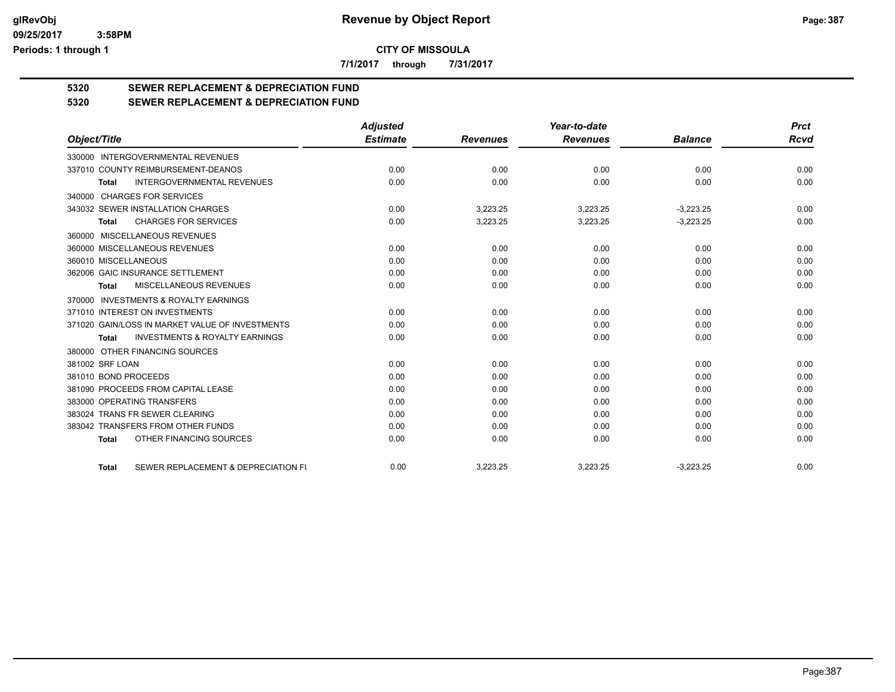**CITY OF MISSOULA**

**7/1/2017 through 7/31/2017**

# **5320 SEWER REPLACEMENT & DEPRECIATION FUND**

# **5320 SEWER REPLACEMENT & DEPRECIATION FUND**

|                                                           | <b>Adjusted</b> |                 | Year-to-date    |                | <b>Prct</b> |
|-----------------------------------------------------------|-----------------|-----------------|-----------------|----------------|-------------|
| Object/Title                                              | <b>Estimate</b> | <b>Revenues</b> | <b>Revenues</b> | <b>Balance</b> | <b>Rcvd</b> |
| 330000 INTERGOVERNMENTAL REVENUES                         |                 |                 |                 |                |             |
| 337010 COUNTY REIMBURSEMENT-DEANOS                        | 0.00            | 0.00            | 0.00            | 0.00           | 0.00        |
| <b>INTERGOVERNMENTAL REVENUES</b><br>Total                | 0.00            | 0.00            | 0.00            | 0.00           | 0.00        |
| 340000 CHARGES FOR SERVICES                               |                 |                 |                 |                |             |
| 343032 SEWER INSTALLATION CHARGES                         | 0.00            | 3,223.25        | 3,223.25        | $-3,223.25$    | 0.00        |
| <b>CHARGES FOR SERVICES</b><br>Total                      | 0.00            | 3,223.25        | 3,223.25        | $-3,223.25$    | 0.00        |
| 360000 MISCELLANEOUS REVENUES                             |                 |                 |                 |                |             |
| 360000 MISCELLANEOUS REVENUES                             | 0.00            | 0.00            | 0.00            | 0.00           | 0.00        |
| 360010 MISCELLANEOUS                                      | 0.00            | 0.00            | 0.00            | 0.00           | 0.00        |
| 362006 GAIC INSURANCE SETTLEMENT                          | 0.00            | 0.00            | 0.00            | 0.00           | 0.00        |
| MISCELLANEOUS REVENUES<br>Total                           | 0.00            | 0.00            | 0.00            | 0.00           | 0.00        |
| 370000 INVESTMENTS & ROYALTY EARNINGS                     |                 |                 |                 |                |             |
| 371010 INTEREST ON INVESTMENTS                            | 0.00            | 0.00            | 0.00            | 0.00           | 0.00        |
| 371020 GAIN/LOSS IN MARKET VALUE OF INVESTMENTS           | 0.00            | 0.00            | 0.00            | 0.00           | 0.00        |
| <b>INVESTMENTS &amp; ROYALTY EARNINGS</b><br><b>Total</b> | 0.00            | 0.00            | 0.00            | 0.00           | 0.00        |
| 380000 OTHER FINANCING SOURCES                            |                 |                 |                 |                |             |
| 381002 SRF LOAN                                           | 0.00            | 0.00            | 0.00            | 0.00           | 0.00        |
| 381010 BOND PROCEEDS                                      | 0.00            | 0.00            | 0.00            | 0.00           | 0.00        |
| 381090 PROCEEDS FROM CAPITAL LEASE                        | 0.00            | 0.00            | 0.00            | 0.00           | 0.00        |
| 383000 OPERATING TRANSFERS                                | 0.00            | 0.00            | 0.00            | 0.00           | 0.00        |
| 383024 TRANS FR SEWER CLEARING                            | 0.00            | 0.00            | 0.00            | 0.00           | 0.00        |
| 383042 TRANSFERS FROM OTHER FUNDS                         | 0.00            | 0.00            | 0.00            | 0.00           | 0.00        |
| OTHER FINANCING SOURCES<br>Total                          | 0.00            | 0.00            | 0.00            | 0.00           | 0.00        |
| SEWER REPLACEMENT & DEPRECIATION FI<br><b>Total</b>       | 0.00            | 3,223.25        | 3,223.25        | $-3,223.25$    | 0.00        |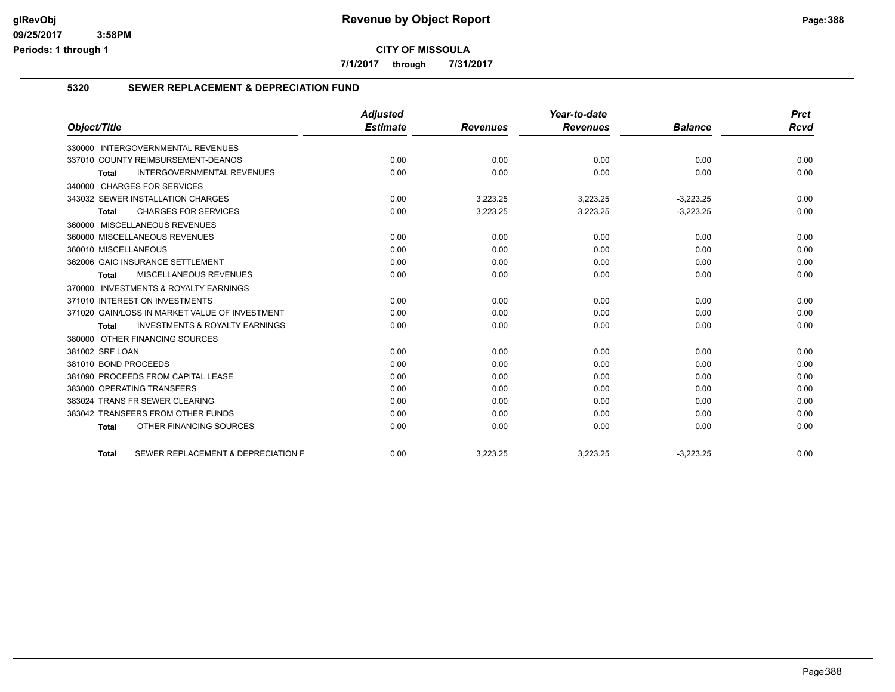**7/1/2017 through 7/31/2017**

### **5320 SEWER REPLACEMENT & DEPRECIATION FUND**

|                                                           | <b>Adjusted</b> |                 | Year-to-date    |                | <b>Prct</b> |
|-----------------------------------------------------------|-----------------|-----------------|-----------------|----------------|-------------|
| Object/Title                                              | <b>Estimate</b> | <b>Revenues</b> | <b>Revenues</b> | <b>Balance</b> | <b>Rcvd</b> |
| <b>INTERGOVERNMENTAL REVENUES</b><br>330000               |                 |                 |                 |                |             |
| 337010 COUNTY REIMBURSEMENT-DEANOS                        | 0.00            | 0.00            | 0.00            | 0.00           | 0.00        |
| <b>INTERGOVERNMENTAL REVENUES</b><br><b>Total</b>         | 0.00            | 0.00            | 0.00            | 0.00           | 0.00        |
| 340000 CHARGES FOR SERVICES                               |                 |                 |                 |                |             |
| 343032 SEWER INSTALLATION CHARGES                         | 0.00            | 3,223.25        | 3,223.25        | $-3,223.25$    | 0.00        |
| <b>CHARGES FOR SERVICES</b><br><b>Total</b>               | 0.00            | 3,223.25        | 3,223.25        | $-3,223.25$    | 0.00        |
| 360000 MISCELLANEOUS REVENUES                             |                 |                 |                 |                |             |
| 360000 MISCELLANEOUS REVENUES                             | 0.00            | 0.00            | 0.00            | 0.00           | 0.00        |
| 360010 MISCELLANEOUS                                      | 0.00            | 0.00            | 0.00            | 0.00           | 0.00        |
| 362006 GAIC INSURANCE SETTLEMENT                          | 0.00            | 0.00            | 0.00            | 0.00           | 0.00        |
| MISCELLANEOUS REVENUES<br><b>Total</b>                    | 0.00            | 0.00            | 0.00            | 0.00           | 0.00        |
| 370000 INVESTMENTS & ROYALTY EARNINGS                     |                 |                 |                 |                |             |
| 371010 INTEREST ON INVESTMENTS                            | 0.00            | 0.00            | 0.00            | 0.00           | 0.00        |
| 371020 GAIN/LOSS IN MARKET VALUE OF INVESTMENT            | 0.00            | 0.00            | 0.00            | 0.00           | 0.00        |
| <b>INVESTMENTS &amp; ROYALTY EARNINGS</b><br><b>Total</b> | 0.00            | 0.00            | 0.00            | 0.00           | 0.00        |
| 380000 OTHER FINANCING SOURCES                            |                 |                 |                 |                |             |
| 381002 SRF LOAN                                           | 0.00            | 0.00            | 0.00            | 0.00           | 0.00        |
| 381010 BOND PROCEEDS                                      | 0.00            | 0.00            | 0.00            | 0.00           | 0.00        |
| 381090 PROCEEDS FROM CAPITAL LEASE                        | 0.00            | 0.00            | 0.00            | 0.00           | 0.00        |
| 383000 OPERATING TRANSFERS                                | 0.00            | 0.00            | 0.00            | 0.00           | 0.00        |
| 383024 TRANS FR SEWER CLEARING                            | 0.00            | 0.00            | 0.00            | 0.00           | 0.00        |
| 383042 TRANSFERS FROM OTHER FUNDS                         | 0.00            | 0.00            | 0.00            | 0.00           | 0.00        |
| OTHER FINANCING SOURCES<br><b>Total</b>                   | 0.00            | 0.00            | 0.00            | 0.00           | 0.00        |
| SEWER REPLACEMENT & DEPRECIATION F<br><b>Total</b>        | 0.00            | 3,223.25        | 3,223.25        | $-3,223.25$    | 0.00        |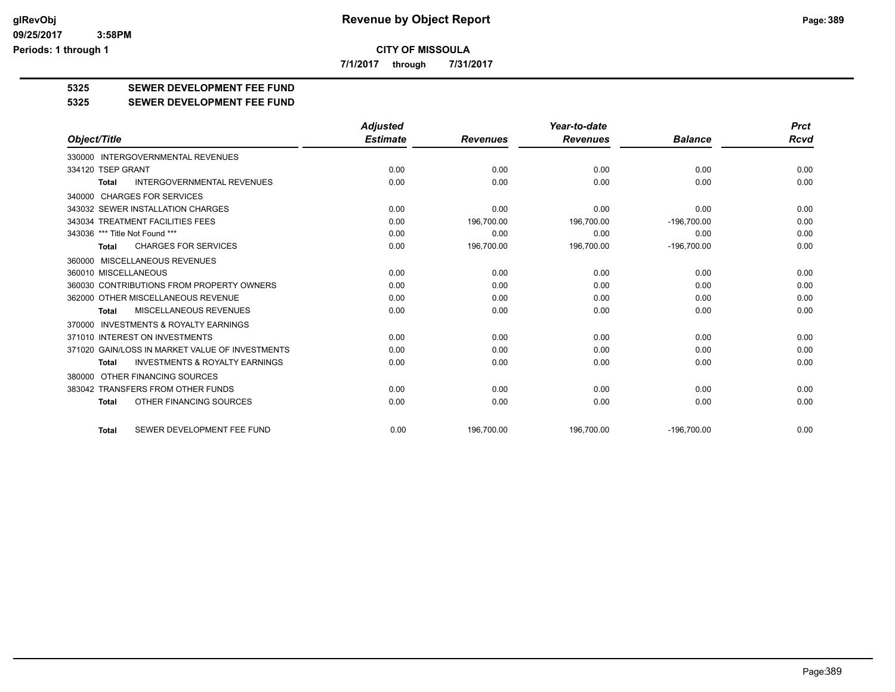**7/1/2017 through 7/31/2017**

**5325 SEWER DEVELOPMENT FEE FUND**

**5325 SEWER DEVELOPMENT FEE FUND**

|                                                    | <b>Adjusted</b> |                 | Year-to-date    |                | <b>Prct</b> |
|----------------------------------------------------|-----------------|-----------------|-----------------|----------------|-------------|
| Object/Title                                       | <b>Estimate</b> | <b>Revenues</b> | <b>Revenues</b> | <b>Balance</b> | <b>Rcvd</b> |
| 330000 INTERGOVERNMENTAL REVENUES                  |                 |                 |                 |                |             |
| 334120 TSEP GRANT                                  | 0.00            | 0.00            | 0.00            | 0.00           | 0.00        |
| <b>INTERGOVERNMENTAL REVENUES</b><br>Total         | 0.00            | 0.00            | 0.00            | 0.00           | 0.00        |
| 340000 CHARGES FOR SERVICES                        |                 |                 |                 |                |             |
| 343032 SEWER INSTALLATION CHARGES                  | 0.00            | 0.00            | 0.00            | 0.00           | 0.00        |
| 343034 TREATMENT FACILITIES FEES                   | 0.00            | 196,700.00      | 196,700.00      | $-196,700.00$  | 0.00        |
| 343036 *** Title Not Found ***                     | 0.00            | 0.00            | 0.00            | 0.00           | 0.00        |
| <b>CHARGES FOR SERVICES</b><br>Total               | 0.00            | 196,700.00      | 196,700.00      | $-196,700.00$  | 0.00        |
| 360000 MISCELLANEOUS REVENUES                      |                 |                 |                 |                |             |
| 360010 MISCELLANEOUS                               | 0.00            | 0.00            | 0.00            | 0.00           | 0.00        |
| 360030 CONTRIBUTIONS FROM PROPERTY OWNERS          | 0.00            | 0.00            | 0.00            | 0.00           | 0.00        |
| 362000 OTHER MISCELLANEOUS REVENUE                 | 0.00            | 0.00            | 0.00            | 0.00           | 0.00        |
| <b>MISCELLANEOUS REVENUES</b><br>Total             | 0.00            | 0.00            | 0.00            | 0.00           | 0.00        |
| INVESTMENTS & ROYALTY EARNINGS<br>370000           |                 |                 |                 |                |             |
| 371010 INTEREST ON INVESTMENTS                     | 0.00            | 0.00            | 0.00            | 0.00           | 0.00        |
| 371020 GAIN/LOSS IN MARKET VALUE OF INVESTMENTS    | 0.00            | 0.00            | 0.00            | 0.00           | 0.00        |
| <b>INVESTMENTS &amp; ROYALTY EARNINGS</b><br>Total | 0.00            | 0.00            | 0.00            | 0.00           | 0.00        |
| 380000 OTHER FINANCING SOURCES                     |                 |                 |                 |                |             |
| 383042 TRANSFERS FROM OTHER FUNDS                  | 0.00            | 0.00            | 0.00            | 0.00           | 0.00        |
| OTHER FINANCING SOURCES<br>Total                   | 0.00            | 0.00            | 0.00            | 0.00           | 0.00        |
| SEWER DEVELOPMENT FEE FUND<br><b>Total</b>         | 0.00            | 196.700.00      | 196.700.00      | $-196.700.00$  | 0.00        |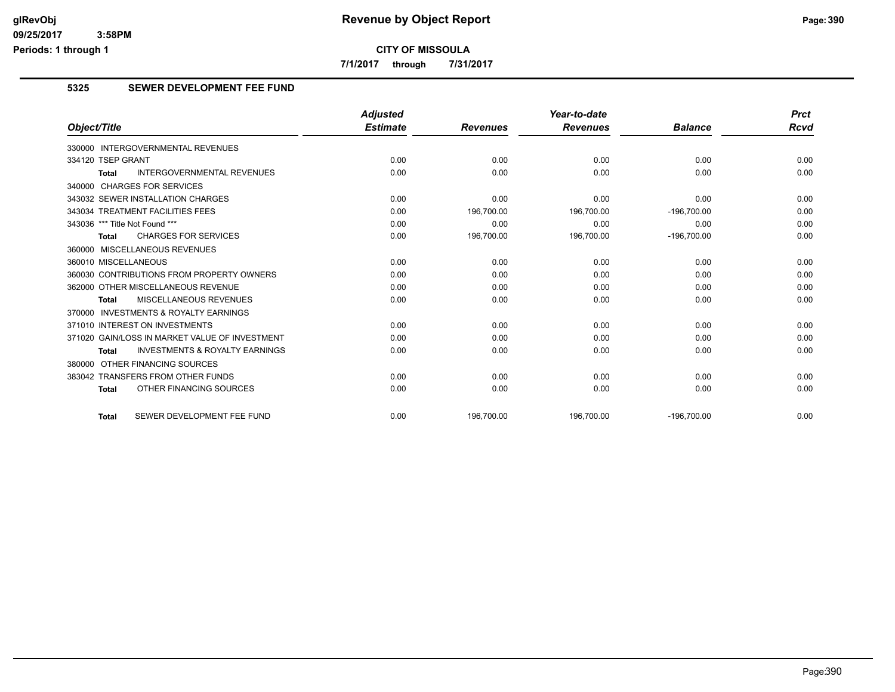**CITY OF MISSOULA**

**7/1/2017 through 7/31/2017**

### **5325 SEWER DEVELOPMENT FEE FUND**

|                                                    | <b>Adjusted</b> |                 | Year-to-date    |                | <b>Prct</b> |
|----------------------------------------------------|-----------------|-----------------|-----------------|----------------|-------------|
| Object/Title                                       | <b>Estimate</b> | <b>Revenues</b> | <b>Revenues</b> | <b>Balance</b> | Rcvd        |
| 330000 INTERGOVERNMENTAL REVENUES                  |                 |                 |                 |                |             |
| 334120 TSEP GRANT                                  | 0.00            | 0.00            | 0.00            | 0.00           | 0.00        |
| <b>INTERGOVERNMENTAL REVENUES</b><br><b>Total</b>  | 0.00            | 0.00            | 0.00            | 0.00           | 0.00        |
| 340000 CHARGES FOR SERVICES                        |                 |                 |                 |                |             |
| 343032 SEWER INSTALLATION CHARGES                  | 0.00            | 0.00            | 0.00            | 0.00           | 0.00        |
| 343034 TREATMENT FACILITIES FEES                   | 0.00            | 196,700.00      | 196,700.00      | $-196,700.00$  | 0.00        |
| 343036 *** Title Not Found ***                     | 0.00            | 0.00            | 0.00            | 0.00           | 0.00        |
| <b>Total</b><br><b>CHARGES FOR SERVICES</b>        | 0.00            | 196,700.00      | 196,700.00      | $-196,700.00$  | 0.00        |
| 360000 MISCELLANEOUS REVENUES                      |                 |                 |                 |                |             |
| 360010 MISCELLANEOUS                               | 0.00            | 0.00            | 0.00            | 0.00           | 0.00        |
| 360030 CONTRIBUTIONS FROM PROPERTY OWNERS          | 0.00            | 0.00            | 0.00            | 0.00           | 0.00        |
| 362000 OTHER MISCELLANEOUS REVENUE                 | 0.00            | 0.00            | 0.00            | 0.00           | 0.00        |
| MISCELLANEOUS REVENUES<br><b>Total</b>             | 0.00            | 0.00            | 0.00            | 0.00           | 0.00        |
| 370000 INVESTMENTS & ROYALTY EARNINGS              |                 |                 |                 |                |             |
| 371010 INTEREST ON INVESTMENTS                     | 0.00            | 0.00            | 0.00            | 0.00           | 0.00        |
| 371020 GAIN/LOSS IN MARKET VALUE OF INVESTMENT     | 0.00            | 0.00            | 0.00            | 0.00           | 0.00        |
| <b>INVESTMENTS &amp; ROYALTY EARNINGS</b><br>Total | 0.00            | 0.00            | 0.00            | 0.00           | 0.00        |
| 380000 OTHER FINANCING SOURCES                     |                 |                 |                 |                |             |
| 383042 TRANSFERS FROM OTHER FUNDS                  | 0.00            | 0.00            | 0.00            | 0.00           | 0.00        |
| OTHER FINANCING SOURCES<br><b>Total</b>            | 0.00            | 0.00            | 0.00            | 0.00           | 0.00        |
| SEWER DEVELOPMENT FEE FUND<br><b>Total</b>         | 0.00            | 196.700.00      | 196.700.00      | $-196.700.00$  | 0.00        |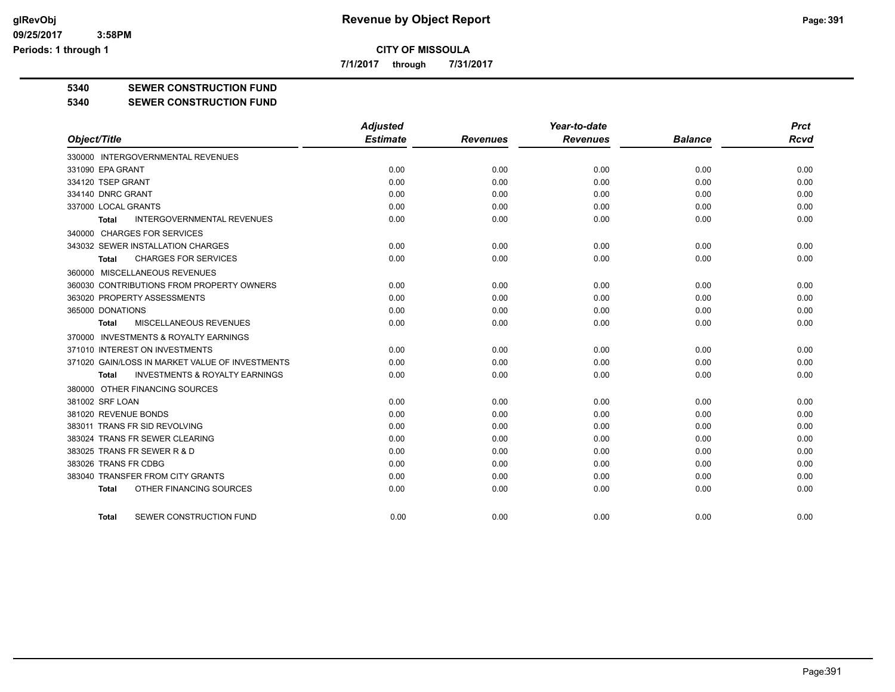**7/1/2017 through 7/31/2017**

**5340 SEWER CONSTRUCTION FUND**

**5340 SEWER CONSTRUCTION FUND**

|                                                    | <b>Adjusted</b> |                 | Year-to-date    |                | <b>Prct</b> |
|----------------------------------------------------|-----------------|-----------------|-----------------|----------------|-------------|
| Object/Title                                       | <b>Estimate</b> | <b>Revenues</b> | <b>Revenues</b> | <b>Balance</b> | <b>Rcvd</b> |
| 330000 INTERGOVERNMENTAL REVENUES                  |                 |                 |                 |                |             |
| 331090 EPA GRANT                                   | 0.00            | 0.00            | 0.00            | 0.00           | 0.00        |
| 334120 TSEP GRANT                                  | 0.00            | 0.00            | 0.00            | 0.00           | 0.00        |
| 334140 DNRC GRANT                                  | 0.00            | 0.00            | 0.00            | 0.00           | 0.00        |
| 337000 LOCAL GRANTS                                | 0.00            | 0.00            | 0.00            | 0.00           | 0.00        |
| <b>INTERGOVERNMENTAL REVENUES</b><br><b>Total</b>  | 0.00            | 0.00            | 0.00            | 0.00           | 0.00        |
| 340000 CHARGES FOR SERVICES                        |                 |                 |                 |                |             |
| 343032 SEWER INSTALLATION CHARGES                  | 0.00            | 0.00            | 0.00            | 0.00           | 0.00        |
| <b>CHARGES FOR SERVICES</b><br>Total               | 0.00            | 0.00            | 0.00            | 0.00           | 0.00        |
| 360000 MISCELLANEOUS REVENUES                      |                 |                 |                 |                |             |
| 360030 CONTRIBUTIONS FROM PROPERTY OWNERS          | 0.00            | 0.00            | 0.00            | 0.00           | 0.00        |
| 363020 PROPERTY ASSESSMENTS                        | 0.00            | 0.00            | 0.00            | 0.00           | 0.00        |
| 365000 DONATIONS                                   | 0.00            | 0.00            | 0.00            | 0.00           | 0.00        |
| <b>MISCELLANEOUS REVENUES</b><br><b>Total</b>      | 0.00            | 0.00            | 0.00            | 0.00           | 0.00        |
| 370000 INVESTMENTS & ROYALTY EARNINGS              |                 |                 |                 |                |             |
| 371010 INTEREST ON INVESTMENTS                     | 0.00            | 0.00            | 0.00            | 0.00           | 0.00        |
| 371020 GAIN/LOSS IN MARKET VALUE OF INVESTMENTS    | 0.00            | 0.00            | 0.00            | 0.00           | 0.00        |
| <b>INVESTMENTS &amp; ROYALTY EARNINGS</b><br>Total | 0.00            | 0.00            | 0.00            | 0.00           | 0.00        |
| 380000 OTHER FINANCING SOURCES                     |                 |                 |                 |                |             |
| 381002 SRF LOAN                                    | 0.00            | 0.00            | 0.00            | 0.00           | 0.00        |
| 381020 REVENUE BONDS                               | 0.00            | 0.00            | 0.00            | 0.00           | 0.00        |
| 383011 TRANS FR SID REVOLVING                      | 0.00            | 0.00            | 0.00            | 0.00           | 0.00        |
| 383024 TRANS FR SEWER CLEARING                     | 0.00            | 0.00            | 0.00            | 0.00           | 0.00        |
| 383025 TRANS FR SEWER R & D                        | 0.00            | 0.00            | 0.00            | 0.00           | 0.00        |
| 383026 TRANS FR CDBG                               | 0.00            | 0.00            | 0.00            | 0.00           | 0.00        |
| 383040 TRANSFER FROM CITY GRANTS                   | 0.00            | 0.00            | 0.00            | 0.00           | 0.00        |
| OTHER FINANCING SOURCES<br><b>Total</b>            | 0.00            | 0.00            | 0.00            | 0.00           | 0.00        |
| SEWER CONSTRUCTION FUND<br>Total                   | 0.00            | 0.00            | 0.00            | 0.00           | 0.00        |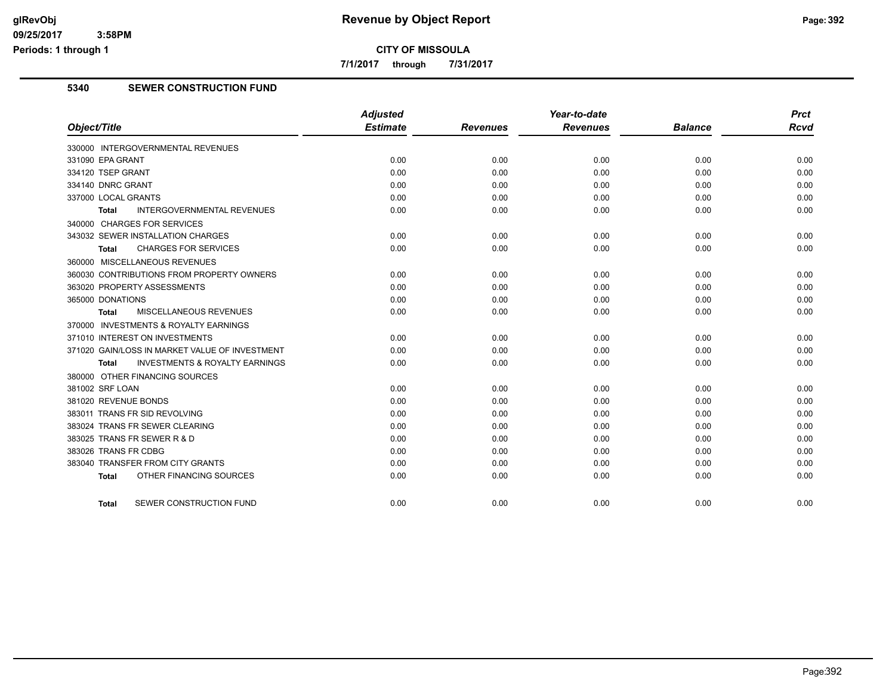**CITY OF MISSOULA**

**7/1/2017 through 7/31/2017**

### **5340 SEWER CONSTRUCTION FUND**

 **3:58PM**

|                                                    | <b>Adjusted</b> |                 | Year-to-date    |                | <b>Prct</b> |
|----------------------------------------------------|-----------------|-----------------|-----------------|----------------|-------------|
| Object/Title                                       | <b>Estimate</b> | <b>Revenues</b> | <b>Revenues</b> | <b>Balance</b> | <b>Rcvd</b> |
| 330000 INTERGOVERNMENTAL REVENUES                  |                 |                 |                 |                |             |
| 331090 EPA GRANT                                   | 0.00            | 0.00            | 0.00            | 0.00           | 0.00        |
| 334120 TSEP GRANT                                  | 0.00            | 0.00            | 0.00            | 0.00           | 0.00        |
| 334140 DNRC GRANT                                  | 0.00            | 0.00            | 0.00            | 0.00           | 0.00        |
| 337000 LOCAL GRANTS                                | 0.00            | 0.00            | 0.00            | 0.00           | 0.00        |
| <b>INTERGOVERNMENTAL REVENUES</b><br>Total         | 0.00            | 0.00            | 0.00            | 0.00           | 0.00        |
| 340000 CHARGES FOR SERVICES                        |                 |                 |                 |                |             |
| 343032 SEWER INSTALLATION CHARGES                  | 0.00            | 0.00            | 0.00            | 0.00           | 0.00        |
| <b>CHARGES FOR SERVICES</b><br><b>Total</b>        | 0.00            | 0.00            | 0.00            | 0.00           | 0.00        |
| 360000 MISCELLANEOUS REVENUES                      |                 |                 |                 |                |             |
| 360030 CONTRIBUTIONS FROM PROPERTY OWNERS          | 0.00            | 0.00            | 0.00            | 0.00           | 0.00        |
| 363020 PROPERTY ASSESSMENTS                        | 0.00            | 0.00            | 0.00            | 0.00           | 0.00        |
| 365000 DONATIONS                                   | 0.00            | 0.00            | 0.00            | 0.00           | 0.00        |
| MISCELLANEOUS REVENUES<br>Total                    | 0.00            | 0.00            | 0.00            | 0.00           | 0.00        |
| 370000 INVESTMENTS & ROYALTY EARNINGS              |                 |                 |                 |                |             |
| 371010 INTEREST ON INVESTMENTS                     | 0.00            | 0.00            | 0.00            | 0.00           | 0.00        |
| 371020 GAIN/LOSS IN MARKET VALUE OF INVESTMENT     | 0.00            | 0.00            | 0.00            | 0.00           | 0.00        |
| <b>INVESTMENTS &amp; ROYALTY EARNINGS</b><br>Total | 0.00            | 0.00            | 0.00            | 0.00           | 0.00        |
| 380000 OTHER FINANCING SOURCES                     |                 |                 |                 |                |             |
| 381002 SRF LOAN                                    | 0.00            | 0.00            | 0.00            | 0.00           | 0.00        |
| 381020 REVENUE BONDS                               | 0.00            | 0.00            | 0.00            | 0.00           | 0.00        |
| 383011 TRANS FR SID REVOLVING                      | 0.00            | 0.00            | 0.00            | 0.00           | 0.00        |
| 383024 TRANS FR SEWER CLEARING                     | 0.00            | 0.00            | 0.00            | 0.00           | 0.00        |
| 383025 TRANS FR SEWER R & D                        | 0.00            | 0.00            | 0.00            | 0.00           | 0.00        |
| 383026 TRANS FR CDBG                               | 0.00            | 0.00            | 0.00            | 0.00           | 0.00        |
| 383040 TRANSFER FROM CITY GRANTS                   | 0.00            | 0.00            | 0.00            | 0.00           | 0.00        |
| OTHER FINANCING SOURCES<br><b>Total</b>            | 0.00            | 0.00            | 0.00            | 0.00           | 0.00        |
| SEWER CONSTRUCTION FUND<br>Total                   | 0.00            | 0.00            | 0.00            | 0.00           | 0.00        |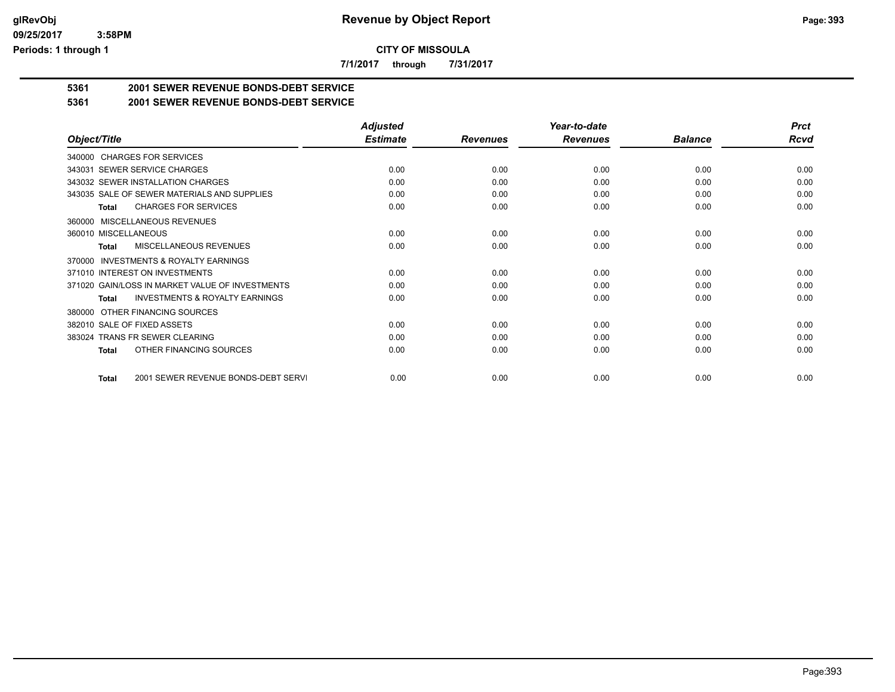**7/1/2017 through 7/31/2017**

# **5361 2001 SEWER REVENUE BONDS-DEBT SERVICE**

## **5361 2001 SEWER REVENUE BONDS-DEBT SERVICE**

|                                                     | <b>Adjusted</b> |                 | Year-to-date    |                | <b>Prct</b> |
|-----------------------------------------------------|-----------------|-----------------|-----------------|----------------|-------------|
| Object/Title                                        | <b>Estimate</b> | <b>Revenues</b> | <b>Revenues</b> | <b>Balance</b> | <b>Rcvd</b> |
| 340000 CHARGES FOR SERVICES                         |                 |                 |                 |                |             |
| 343031 SEWER SERVICE CHARGES                        | 0.00            | 0.00            | 0.00            | 0.00           | 0.00        |
| 343032 SEWER INSTALLATION CHARGES                   | 0.00            | 0.00            | 0.00            | 0.00           | 0.00        |
| 343035 SALE OF SEWER MATERIALS AND SUPPLIES         | 0.00            | 0.00            | 0.00            | 0.00           | 0.00        |
| <b>CHARGES FOR SERVICES</b><br>Total                | 0.00            | 0.00            | 0.00            | 0.00           | 0.00        |
| MISCELLANEOUS REVENUES<br>360000                    |                 |                 |                 |                |             |
| 360010 MISCELLANEOUS                                | 0.00            | 0.00            | 0.00            | 0.00           | 0.00        |
| <b>MISCELLANEOUS REVENUES</b><br><b>Total</b>       | 0.00            | 0.00            | 0.00            | 0.00           | 0.00        |
| <b>INVESTMENTS &amp; ROYALTY EARNINGS</b><br>370000 |                 |                 |                 |                |             |
| 371010 INTEREST ON INVESTMENTS                      | 0.00            | 0.00            | 0.00            | 0.00           | 0.00        |
| 371020 GAIN/LOSS IN MARKET VALUE OF INVESTMENTS     | 0.00            | 0.00            | 0.00            | 0.00           | 0.00        |
| <b>INVESTMENTS &amp; ROYALTY EARNINGS</b><br>Total  | 0.00            | 0.00            | 0.00            | 0.00           | 0.00        |
| OTHER FINANCING SOURCES<br>380000                   |                 |                 |                 |                |             |
| 382010 SALE OF FIXED ASSETS                         | 0.00            | 0.00            | 0.00            | 0.00           | 0.00        |
| 383024 TRANS FR SEWER CLEARING                      | 0.00            | 0.00            | 0.00            | 0.00           | 0.00        |
| OTHER FINANCING SOURCES<br><b>Total</b>             | 0.00            | 0.00            | 0.00            | 0.00           | 0.00        |
| 2001 SEWER REVENUE BONDS-DEBT SERVI<br><b>Total</b> | 0.00            | 0.00            | 0.00            | 0.00           | 0.00        |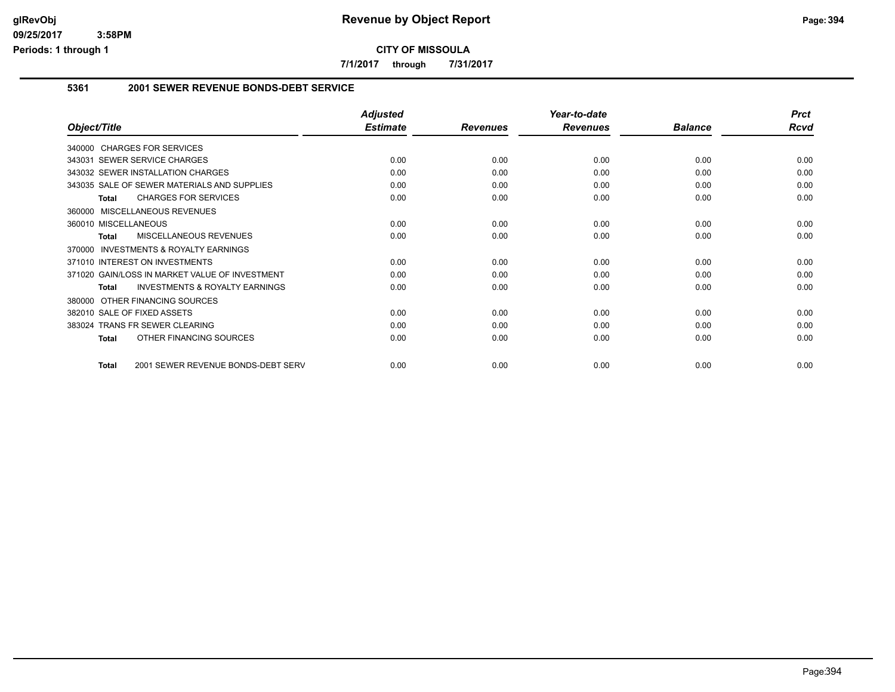**3:58PM**

**CITY OF MISSOULA**

**7/1/2017 through 7/31/2017**

### **5361 2001 SEWER REVENUE BONDS-DEBT SERVICE**

|                                                           | <b>Adjusted</b> |                 | Year-to-date    |                | <b>Prct</b> |
|-----------------------------------------------------------|-----------------|-----------------|-----------------|----------------|-------------|
| Object/Title                                              | <b>Estimate</b> | <b>Revenues</b> | <b>Revenues</b> | <b>Balance</b> | <b>Rcvd</b> |
| 340000 CHARGES FOR SERVICES                               |                 |                 |                 |                |             |
| 343031 SEWER SERVICE CHARGES                              | 0.00            | 0.00            | 0.00            | 0.00           | 0.00        |
| 343032 SEWER INSTALLATION CHARGES                         | 0.00            | 0.00            | 0.00            | 0.00           | 0.00        |
| 343035 SALE OF SEWER MATERIALS AND SUPPLIES               | 0.00            | 0.00            | 0.00            | 0.00           | 0.00        |
| <b>CHARGES FOR SERVICES</b><br><b>Total</b>               | 0.00            | 0.00            | 0.00            | 0.00           | 0.00        |
| 360000 MISCELLANEOUS REVENUES                             |                 |                 |                 |                |             |
| 360010 MISCELLANEOUS                                      | 0.00            | 0.00            | 0.00            | 0.00           | 0.00        |
| <b>MISCELLANEOUS REVENUES</b><br><b>Total</b>             | 0.00            | 0.00            | 0.00            | 0.00           | 0.00        |
| <b>INVESTMENTS &amp; ROYALTY EARNINGS</b><br>370000       |                 |                 |                 |                |             |
| 371010 INTEREST ON INVESTMENTS                            | 0.00            | 0.00            | 0.00            | 0.00           | 0.00        |
| 371020 GAIN/LOSS IN MARKET VALUE OF INVESTMENT            | 0.00            | 0.00            | 0.00            | 0.00           | 0.00        |
| <b>INVESTMENTS &amp; ROYALTY EARNINGS</b><br><b>Total</b> | 0.00            | 0.00            | 0.00            | 0.00           | 0.00        |
| OTHER FINANCING SOURCES<br>380000                         |                 |                 |                 |                |             |
| 382010 SALE OF FIXED ASSETS                               | 0.00            | 0.00            | 0.00            | 0.00           | 0.00        |
| 383024 TRANS FR SEWER CLEARING                            | 0.00            | 0.00            | 0.00            | 0.00           | 0.00        |
| OTHER FINANCING SOURCES<br><b>Total</b>                   | 0.00            | 0.00            | 0.00            | 0.00           | 0.00        |
| 2001 SEWER REVENUE BONDS-DEBT SERV<br><b>Total</b>        | 0.00            | 0.00            | 0.00            | 0.00           | 0.00        |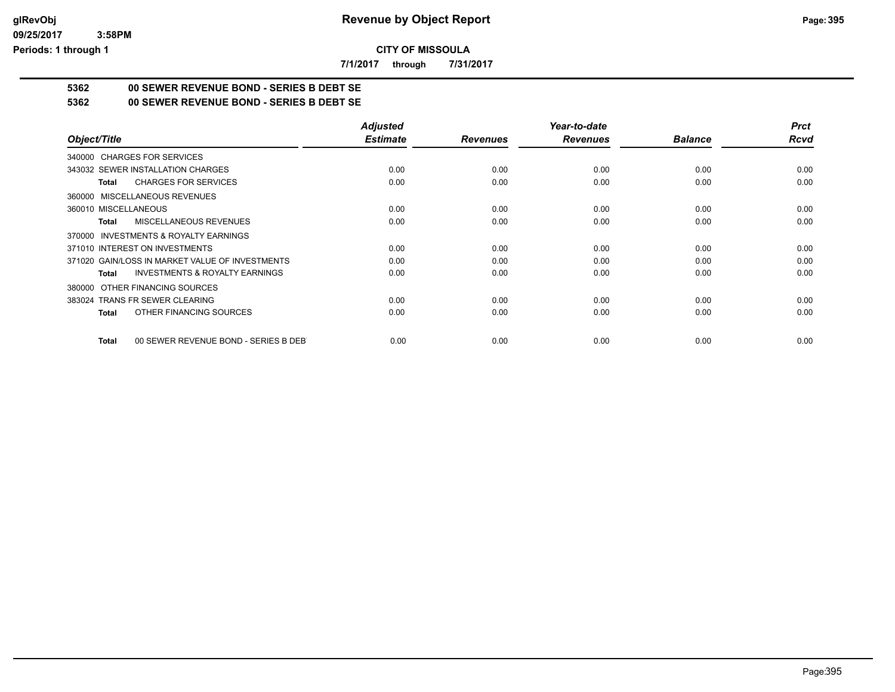**09/25/2017 3:58PM Periods: 1 through 1**

**CITY OF MISSOULA**

**7/1/2017 through 7/31/2017**

# **5362 00 SEWER REVENUE BOND - SERIES B DEBT SE**

**5362 00 SEWER REVENUE BOND - SERIES B DEBT SE**

|                                                      | <b>Adjusted</b> |                 | Year-to-date    |                | <b>Prct</b> |
|------------------------------------------------------|-----------------|-----------------|-----------------|----------------|-------------|
| Object/Title                                         | <b>Estimate</b> | <b>Revenues</b> | <b>Revenues</b> | <b>Balance</b> | <b>Rcvd</b> |
| 340000 CHARGES FOR SERVICES                          |                 |                 |                 |                |             |
| 343032 SEWER INSTALLATION CHARGES                    | 0.00            | 0.00            | 0.00            | 0.00           | 0.00        |
| <b>CHARGES FOR SERVICES</b><br>Total                 | 0.00            | 0.00            | 0.00            | 0.00           | 0.00        |
| 360000 MISCELLANEOUS REVENUES                        |                 |                 |                 |                |             |
| 360010 MISCELLANEOUS                                 | 0.00            | 0.00            | 0.00            | 0.00           | 0.00        |
| MISCELLANEOUS REVENUES<br>Total                      | 0.00            | 0.00            | 0.00            | 0.00           | 0.00        |
| 370000 INVESTMENTS & ROYALTY EARNINGS                |                 |                 |                 |                |             |
| 371010 INTEREST ON INVESTMENTS                       | 0.00            | 0.00            | 0.00            | 0.00           | 0.00        |
| 371020 GAIN/LOSS IN MARKET VALUE OF INVESTMENTS      | 0.00            | 0.00            | 0.00            | 0.00           | 0.00        |
| <b>INVESTMENTS &amp; ROYALTY EARNINGS</b><br>Total   | 0.00            | 0.00            | 0.00            | 0.00           | 0.00        |
| 380000 OTHER FINANCING SOURCES                       |                 |                 |                 |                |             |
| 383024 TRANS FR SEWER CLEARING                       | 0.00            | 0.00            | 0.00            | 0.00           | 0.00        |
| OTHER FINANCING SOURCES<br>Total                     | 0.00            | 0.00            | 0.00            | 0.00           | 0.00        |
|                                                      |                 |                 |                 |                |             |
| 00 SEWER REVENUE BOND - SERIES B DEB<br><b>Total</b> | 0.00            | 0.00            | 0.00            | 0.00           | 0.00        |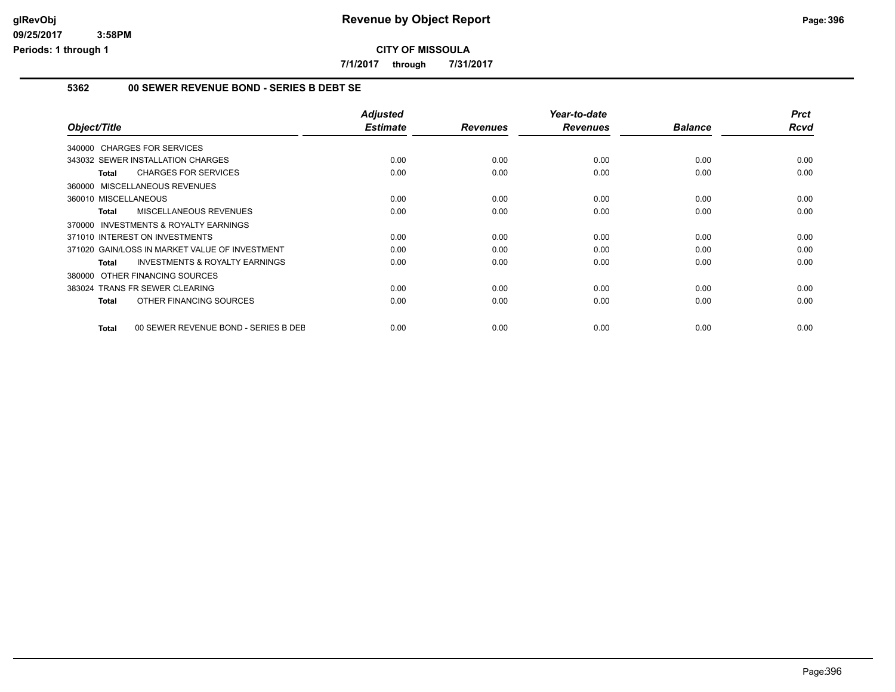**3:58PM**

**CITY OF MISSOULA**

**7/1/2017 through 7/31/2017**

### **5362 00 SEWER REVENUE BOND - SERIES B DEBT SE**

| Object/Title                                              | <b>Adjusted</b><br><b>Estimate</b> | <b>Revenues</b> | Year-to-date<br><b>Revenues</b> | <b>Balance</b> | <b>Prct</b><br><b>Rcvd</b> |
|-----------------------------------------------------------|------------------------------------|-----------------|---------------------------------|----------------|----------------------------|
| 340000 CHARGES FOR SERVICES                               |                                    |                 |                                 |                |                            |
| 343032 SEWER INSTALLATION CHARGES                         | 0.00                               | 0.00            | 0.00                            | 0.00           | 0.00                       |
| <b>CHARGES FOR SERVICES</b><br><b>Total</b>               | 0.00                               | 0.00            | 0.00                            | 0.00           | 0.00                       |
| 360000 MISCELLANEOUS REVENUES                             |                                    |                 |                                 |                |                            |
| 360010 MISCELLANEOUS                                      | 0.00                               | 0.00            | 0.00                            | 0.00           | 0.00                       |
| <b>MISCELLANEOUS REVENUES</b><br><b>Total</b>             | 0.00                               | 0.00            | 0.00                            | 0.00           | 0.00                       |
| 370000 INVESTMENTS & ROYALTY EARNINGS                     |                                    |                 |                                 |                |                            |
| 371010 INTEREST ON INVESTMENTS                            | 0.00                               | 0.00            | 0.00                            | 0.00           | 0.00                       |
| 371020 GAIN/LOSS IN MARKET VALUE OF INVESTMENT            | 0.00                               | 0.00            | 0.00                            | 0.00           | 0.00                       |
| <b>INVESTMENTS &amp; ROYALTY EARNINGS</b><br><b>Total</b> | 0.00                               | 0.00            | 0.00                            | 0.00           | 0.00                       |
| 380000 OTHER FINANCING SOURCES                            |                                    |                 |                                 |                |                            |
| 383024 TRANS FR SEWER CLEARING                            | 0.00                               | 0.00            | 0.00                            | 0.00           | 0.00                       |
| OTHER FINANCING SOURCES<br><b>Total</b>                   | 0.00                               | 0.00            | 0.00                            | 0.00           | 0.00                       |
| 00 SEWER REVENUE BOND - SERIES B DEE<br><b>Total</b>      | 0.00                               | 0.00            | 0.00                            | 0.00           | 0.00                       |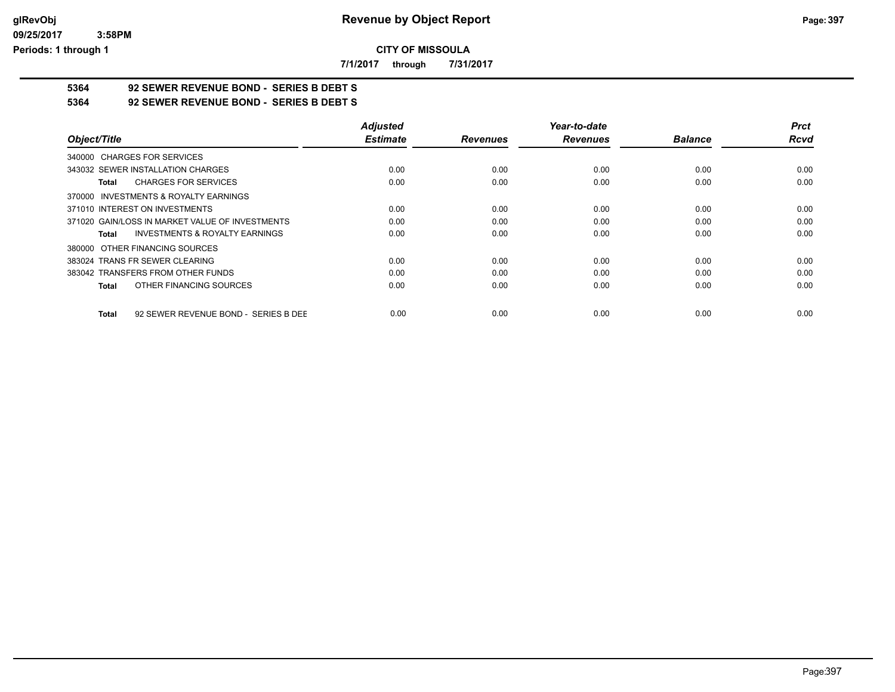**09/25/2017 3:58PM Periods: 1 through 1**

**CITY OF MISSOULA**

**7/1/2017 through 7/31/2017**

## **5364 92 SEWER REVENUE BOND - SERIES B DEBT S**

## **5364 92 SEWER REVENUE BOND - SERIES B DEBT S**

|                                                      | <b>Adjusted</b> |                 | Year-to-date    |                | <b>Prct</b> |
|------------------------------------------------------|-----------------|-----------------|-----------------|----------------|-------------|
| Object/Title                                         | <b>Estimate</b> | <b>Revenues</b> | <b>Revenues</b> | <b>Balance</b> | <b>Rcvd</b> |
| 340000 CHARGES FOR SERVICES                          |                 |                 |                 |                |             |
| 343032 SEWER INSTALLATION CHARGES                    | 0.00            | 0.00            | 0.00            | 0.00           | 0.00        |
| <b>CHARGES FOR SERVICES</b><br>Total                 | 0.00            | 0.00            | 0.00            | 0.00           | 0.00        |
| 370000 INVESTMENTS & ROYALTY EARNINGS                |                 |                 |                 |                |             |
| 371010 INTEREST ON INVESTMENTS                       | 0.00            | 0.00            | 0.00            | 0.00           | 0.00        |
| 371020 GAIN/LOSS IN MARKET VALUE OF INVESTMENTS      | 0.00            | 0.00            | 0.00            | 0.00           | 0.00        |
| <b>INVESTMENTS &amp; ROYALTY EARNINGS</b><br>Total   | 0.00            | 0.00            | 0.00            | 0.00           | 0.00        |
| 380000 OTHER FINANCING SOURCES                       |                 |                 |                 |                |             |
| 383024 TRANS FR SEWER CLEARING                       | 0.00            | 0.00            | 0.00            | 0.00           | 0.00        |
| 383042 TRANSFERS FROM OTHER FUNDS                    | 0.00            | 0.00            | 0.00            | 0.00           | 0.00        |
| OTHER FINANCING SOURCES<br><b>Total</b>              | 0.00            | 0.00            | 0.00            | 0.00           | 0.00        |
| 92 SEWER REVENUE BOND - SERIES B DEE<br><b>Total</b> | 0.00            | 0.00            | 0.00            | 0.00           | 0.00        |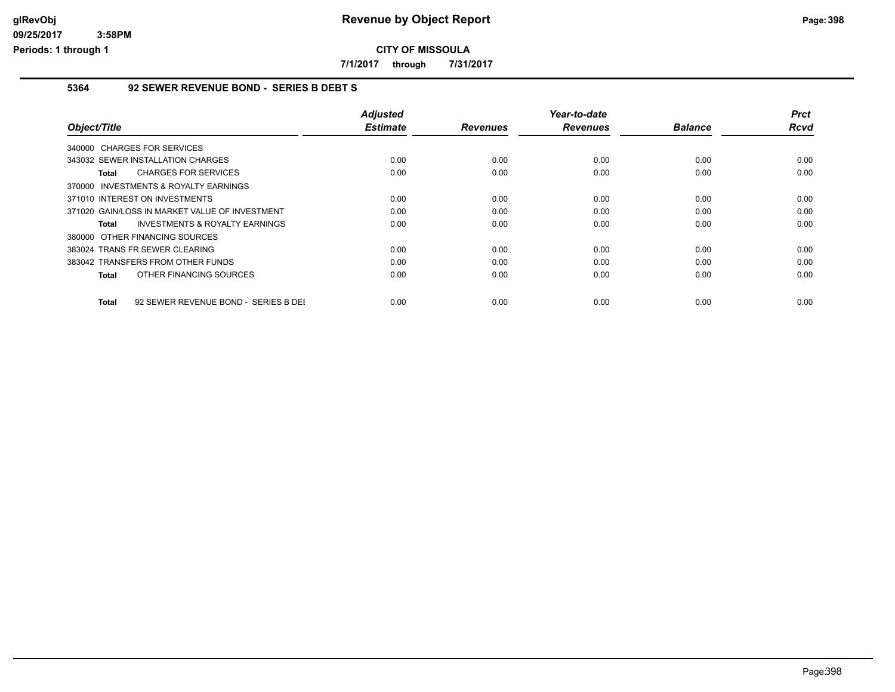**7/1/2017 through 7/31/2017**

#### **5364 92 SEWER REVENUE BOND - SERIES B DEBT S**

| Object/Title                                         | <b>Adjusted</b><br><b>Estimate</b> | <b>Revenues</b> | Year-to-date<br><b>Revenues</b> | <b>Balance</b> | <b>Prct</b><br>Rcvd |
|------------------------------------------------------|------------------------------------|-----------------|---------------------------------|----------------|---------------------|
| 340000 CHARGES FOR SERVICES                          |                                    |                 |                                 |                |                     |
| 343032 SEWER INSTALLATION CHARGES                    | 0.00                               | 0.00            | 0.00                            | 0.00           | 0.00                |
| <b>CHARGES FOR SERVICES</b><br>Total                 | 0.00                               | 0.00            | 0.00                            | 0.00           | 0.00                |
| INVESTMENTS & ROYALTY EARNINGS<br>370000             |                                    |                 |                                 |                |                     |
| 371010 INTEREST ON INVESTMENTS                       | 0.00                               | 0.00            | 0.00                            | 0.00           | 0.00                |
| 371020 GAIN/LOSS IN MARKET VALUE OF INVESTMENT       | 0.00                               | 0.00            | 0.00                            | 0.00           | 0.00                |
| <b>INVESTMENTS &amp; ROYALTY EARNINGS</b><br>Total   | 0.00                               | 0.00            | 0.00                            | 0.00           | 0.00                |
| 380000 OTHER FINANCING SOURCES                       |                                    |                 |                                 |                |                     |
| 383024 TRANS FR SEWER CLEARING                       | 0.00                               | 0.00            | 0.00                            | 0.00           | 0.00                |
| 383042 TRANSFERS FROM OTHER FUNDS                    | 0.00                               | 0.00            | 0.00                            | 0.00           | 0.00                |
| OTHER FINANCING SOURCES<br>Total                     | 0.00                               | 0.00            | 0.00                            | 0.00           | 0.00                |
| 92 SEWER REVENUE BOND - SERIES B DEI<br><b>Total</b> | 0.00                               | 0.00            | 0.00                            | 0.00           | 0.00                |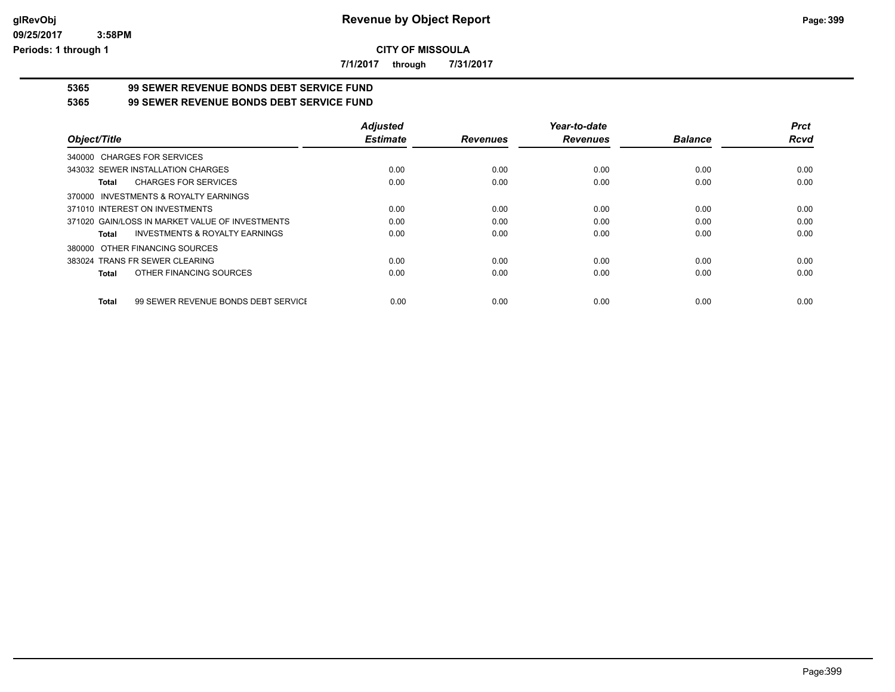**CITY OF MISSOULA**

**7/1/2017 through 7/31/2017**

# **5365 99 SEWER REVENUE BONDS DEBT SERVICE FUND**

## **5365 99 SEWER REVENUE BONDS DEBT SERVICE FUND**

| Object/Title                                        | <b>Adjusted</b><br><b>Estimate</b> | <b>Revenues</b> | Year-to-date<br><b>Revenues</b> | <b>Balance</b> | <b>Prct</b><br><b>Rcvd</b> |
|-----------------------------------------------------|------------------------------------|-----------------|---------------------------------|----------------|----------------------------|
| 340000 CHARGES FOR SERVICES                         |                                    |                 |                                 |                |                            |
| 343032 SEWER INSTALLATION CHARGES                   | 0.00                               | 0.00            | 0.00                            | 0.00           | 0.00                       |
| <b>CHARGES FOR SERVICES</b><br>Total                | 0.00                               | 0.00            | 0.00                            | 0.00           | 0.00                       |
| 370000 INVESTMENTS & ROYALTY EARNINGS               |                                    |                 |                                 |                |                            |
| 371010 INTEREST ON INVESTMENTS                      | 0.00                               | 0.00            | 0.00                            | 0.00           | 0.00                       |
| 371020 GAIN/LOSS IN MARKET VALUE OF INVESTMENTS     | 0.00                               | 0.00            | 0.00                            | 0.00           | 0.00                       |
| <b>INVESTMENTS &amp; ROYALTY EARNINGS</b><br>Total  | 0.00                               | 0.00            | 0.00                            | 0.00           | 0.00                       |
| OTHER FINANCING SOURCES<br>380000                   |                                    |                 |                                 |                |                            |
| 383024 TRANS FR SEWER CLEARING                      | 0.00                               | 0.00            | 0.00                            | 0.00           | 0.00                       |
| OTHER FINANCING SOURCES<br><b>Total</b>             | 0.00                               | 0.00            | 0.00                            | 0.00           | 0.00                       |
| 99 SEWER REVENUE BONDS DEBT SERVICE<br><b>Total</b> | 0.00                               | 0.00            | 0.00                            | 0.00           | 0.00                       |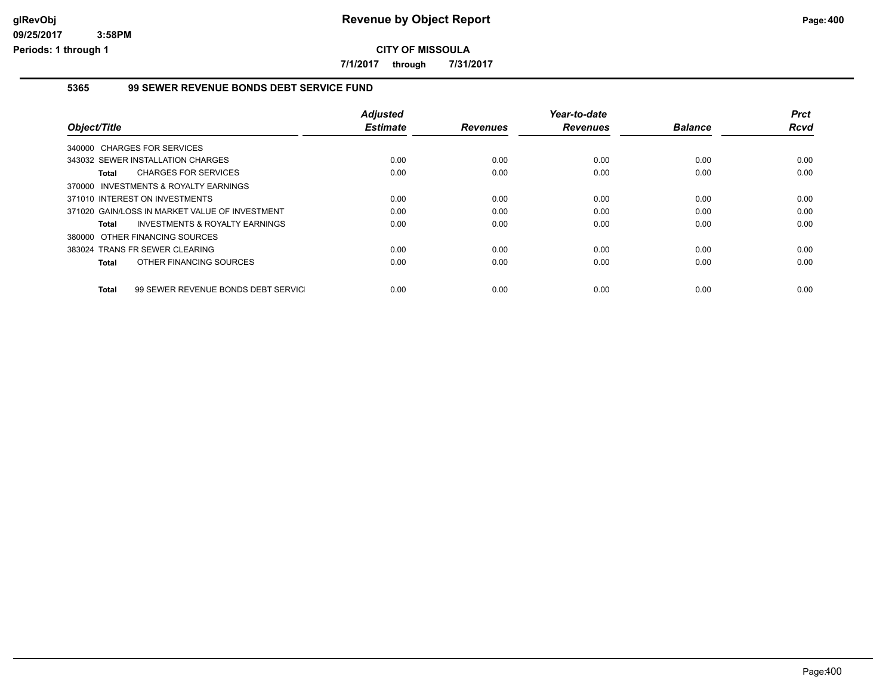**7/1/2017 through 7/31/2017**

#### **5365 99 SEWER REVENUE BONDS DEBT SERVICE FUND**

|                                                    | <b>Adjusted</b> |                 | Year-to-date    |                | <b>Prct</b> |
|----------------------------------------------------|-----------------|-----------------|-----------------|----------------|-------------|
| Object/Title                                       | <b>Estimate</b> | <b>Revenues</b> | <b>Revenues</b> | <b>Balance</b> | <b>Rcvd</b> |
| 340000 CHARGES FOR SERVICES                        |                 |                 |                 |                |             |
| 343032 SEWER INSTALLATION CHARGES                  | 0.00            | 0.00            | 0.00            | 0.00           | 0.00        |
| <b>CHARGES FOR SERVICES</b><br>Total               | 0.00            | 0.00            | 0.00            | 0.00           | 0.00        |
| 370000 INVESTMENTS & ROYALTY EARNINGS              |                 |                 |                 |                |             |
| 371010 INTEREST ON INVESTMENTS                     | 0.00            | 0.00            | 0.00            | 0.00           | 0.00        |
| 371020 GAIN/LOSS IN MARKET VALUE OF INVESTMENT     | 0.00            | 0.00            | 0.00            | 0.00           | 0.00        |
| <b>INVESTMENTS &amp; ROYALTY EARNINGS</b><br>Total | 0.00            | 0.00            | 0.00            | 0.00           | 0.00        |
| 380000 OTHER FINANCING SOURCES                     |                 |                 |                 |                |             |
| 383024 TRANS FR SEWER CLEARING                     | 0.00            | 0.00            | 0.00            | 0.00           | 0.00        |
| OTHER FINANCING SOURCES<br>Total                   | 0.00            | 0.00            | 0.00            | 0.00           | 0.00        |
| <b>Total</b><br>99 SEWER REVENUE BONDS DEBT SERVIC | 0.00            | 0.00            | 0.00            | 0.00           | 0.00        |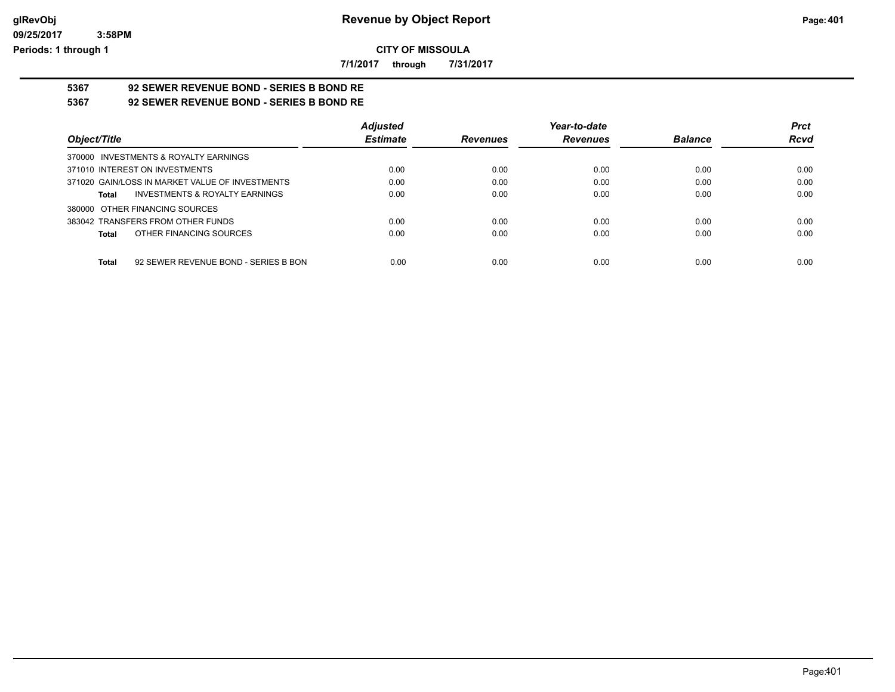**09/25/2017 3:58PM Periods: 1 through 1**

**CITY OF MISSOULA**

**7/1/2017 through 7/31/2017**

## **5367 92 SEWER REVENUE BOND - SERIES B BOND RE**

**5367 92 SEWER REVENUE BOND - SERIES B BOND RE**

|                                                    | <b>Adjusted</b> |                 | Year-to-date    |                | <b>Prct</b> |
|----------------------------------------------------|-----------------|-----------------|-----------------|----------------|-------------|
| Object/Title                                       | <b>Estimate</b> | <b>Revenues</b> | <b>Revenues</b> | <b>Balance</b> | <b>Rcvd</b> |
| 370000 INVESTMENTS & ROYALTY EARNINGS              |                 |                 |                 |                |             |
| 371010 INTEREST ON INVESTMENTS                     | 0.00            | 0.00            | 0.00            | 0.00           | 0.00        |
| 371020 GAIN/LOSS IN MARKET VALUE OF INVESTMENTS    | 0.00            | 0.00            | 0.00            | 0.00           | 0.00        |
| <b>INVESTMENTS &amp; ROYALTY EARNINGS</b><br>Total | 0.00            | 0.00            | 0.00            | 0.00           | 0.00        |
| 380000 OTHER FINANCING SOURCES                     |                 |                 |                 |                |             |
| 383042 TRANSFERS FROM OTHER FUNDS                  | 0.00            | 0.00            | 0.00            | 0.00           | 0.00        |
| OTHER FINANCING SOURCES<br>Total                   | 0.00            | 0.00            | 0.00            | 0.00           | 0.00        |
|                                                    |                 |                 |                 |                |             |
| 92 SEWER REVENUE BOND - SERIES B BON<br>Total      | 0.00            | 0.00            | 0.00            | 0.00           | 0.00        |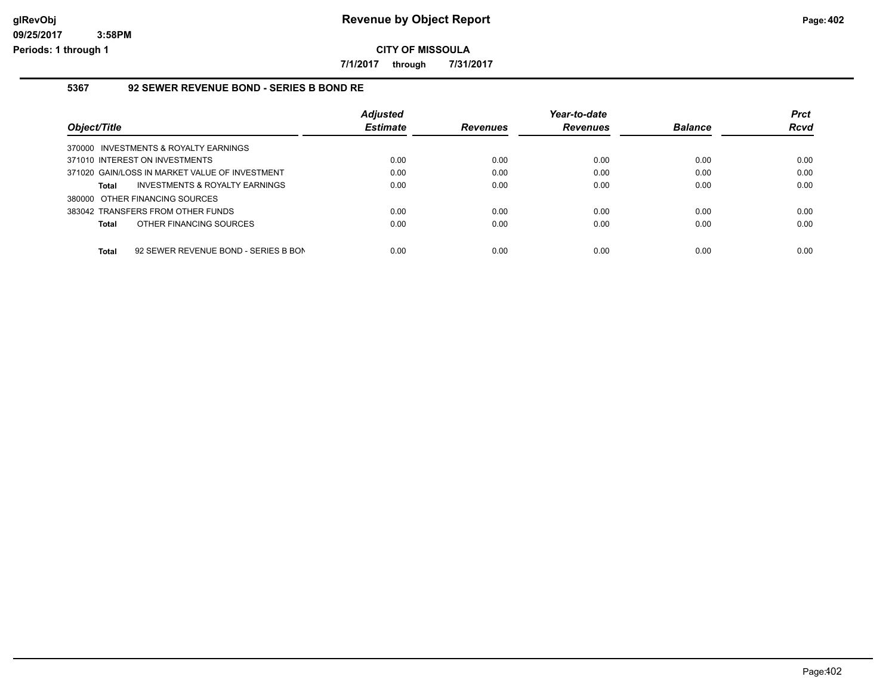**CITY OF MISSOULA**

**7/1/2017 through 7/31/2017**

#### **5367 92 SEWER REVENUE BOND - SERIES B BOND RE**

| Object/Title                                         | <b>Adjusted</b><br><b>Estimate</b> | <b>Revenues</b> | Year-to-date<br><b>Revenues</b> | <b>Balance</b> | <b>Prct</b><br><b>Rcvd</b> |
|------------------------------------------------------|------------------------------------|-----------------|---------------------------------|----------------|----------------------------|
| 370000 INVESTMENTS & ROYALTY EARNINGS                |                                    |                 |                                 |                |                            |
| 371010 INTEREST ON INVESTMENTS                       | 0.00                               | 0.00            | 0.00                            | 0.00           | 0.00                       |
| 371020 GAIN/LOSS IN MARKET VALUE OF INVESTMENT       | 0.00                               | 0.00            | 0.00                            | 0.00           | 0.00                       |
| INVESTMENTS & ROYALTY EARNINGS<br><b>Total</b>       | 0.00                               | 0.00            | 0.00                            | 0.00           | 0.00                       |
| 380000 OTHER FINANCING SOURCES                       |                                    |                 |                                 |                |                            |
| 383042 TRANSFERS FROM OTHER FUNDS                    | 0.00                               | 0.00            | 0.00                            | 0.00           | 0.00                       |
| OTHER FINANCING SOURCES<br><b>Total</b>              | 0.00                               | 0.00            | 0.00                            | 0.00           | 0.00                       |
|                                                      |                                    |                 |                                 |                |                            |
| <b>Total</b><br>92 SEWER REVENUE BOND - SERIES B BON | 0.00                               | 0.00            | 0.00                            | 0.00           | 0.00                       |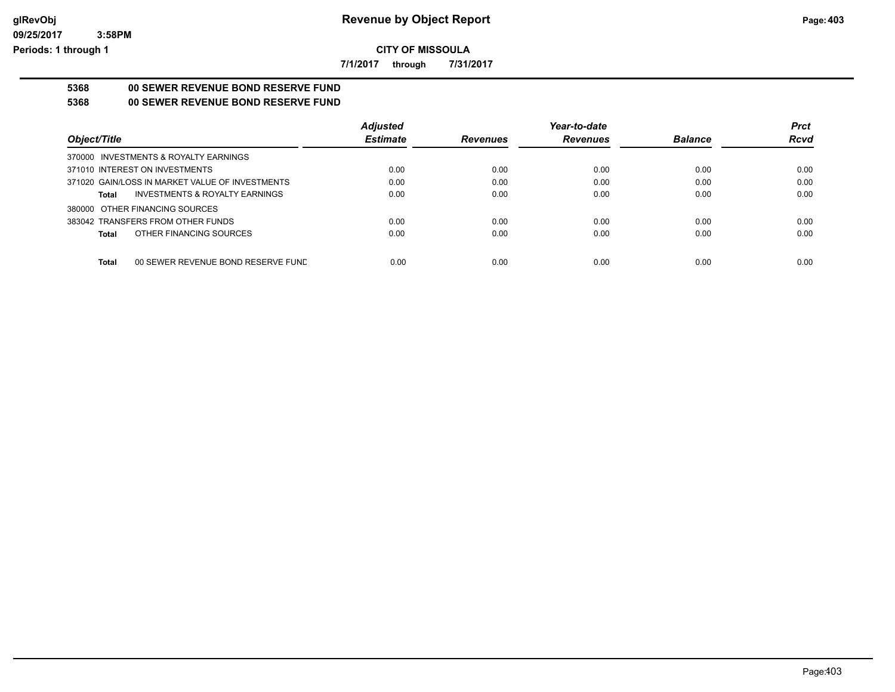**7/1/2017 through 7/31/2017**

# **5368 00 SEWER REVENUE BOND RESERVE FUND**

## **5368 00 SEWER REVENUE BOND RESERVE FUND**

|                                                 | <b>Adjusted</b> |                 | Year-to-date    |                | <b>Prct</b> |
|-------------------------------------------------|-----------------|-----------------|-----------------|----------------|-------------|
| Object/Title                                    | <b>Estimate</b> | <b>Revenues</b> | <b>Revenues</b> | <b>Balance</b> | <b>Rcvd</b> |
| 370000 INVESTMENTS & ROYALTY EARNINGS           |                 |                 |                 |                |             |
| 371010 INTEREST ON INVESTMENTS                  | 0.00            | 0.00            | 0.00            | 0.00           | 0.00        |
| 371020 GAIN/LOSS IN MARKET VALUE OF INVESTMENTS | 0.00            | 0.00            | 0.00            | 0.00           | 0.00        |
| INVESTMENTS & ROYALTY EARNINGS<br>Total         | 0.00            | 0.00            | 0.00            | 0.00           | 0.00        |
| 380000 OTHER FINANCING SOURCES                  |                 |                 |                 |                |             |
| 383042 TRANSFERS FROM OTHER FUNDS               | 0.00            | 0.00            | 0.00            | 0.00           | 0.00        |
| OTHER FINANCING SOURCES<br>Total                | 0.00            | 0.00            | 0.00            | 0.00           | 0.00        |
|                                                 |                 |                 |                 |                |             |
| 00 SEWER REVENUE BOND RESERVE FUND<br>Total     | 0.00            | 0.00            | 0.00            | 0.00           | 0.00        |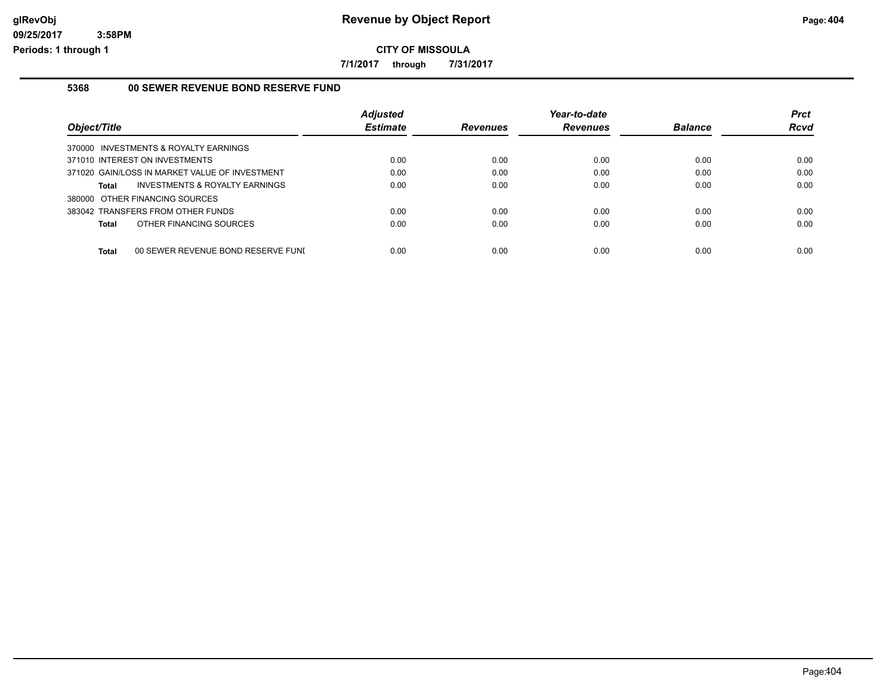**CITY OF MISSOULA**

**7/1/2017 through 7/31/2017**

#### **5368 00 SEWER REVENUE BOND RESERVE FUND**

|                                                    | <b>Adjusted</b> |                 | Year-to-date    |                | <b>Prct</b> |
|----------------------------------------------------|-----------------|-----------------|-----------------|----------------|-------------|
| Object/Title                                       | <b>Estimate</b> | <b>Revenues</b> | <b>Revenues</b> | <b>Balance</b> | <b>Rcvd</b> |
| 370000 INVESTMENTS & ROYALTY EARNINGS              |                 |                 |                 |                |             |
| 371010 INTEREST ON INVESTMENTS                     | 0.00            | 0.00            | 0.00            | 0.00           | 0.00        |
| 371020 GAIN/LOSS IN MARKET VALUE OF INVESTMENT     | 0.00            | 0.00            | 0.00            | 0.00           | 0.00        |
| INVESTMENTS & ROYALTY EARNINGS<br><b>Total</b>     | 0.00            | 0.00            | 0.00            | 0.00           | 0.00        |
| 380000 OTHER FINANCING SOURCES                     |                 |                 |                 |                |             |
| 383042 TRANSFERS FROM OTHER FUNDS                  | 0.00            | 0.00            | 0.00            | 0.00           | 0.00        |
| OTHER FINANCING SOURCES<br>Total                   | 0.00            | 0.00            | 0.00            | 0.00           | 0.00        |
|                                                    |                 |                 |                 |                |             |
| <b>Total</b><br>00 SEWER REVENUE BOND RESERVE FUNI | 0.00            | 0.00            | 0.00            | 0.00           | 0.00        |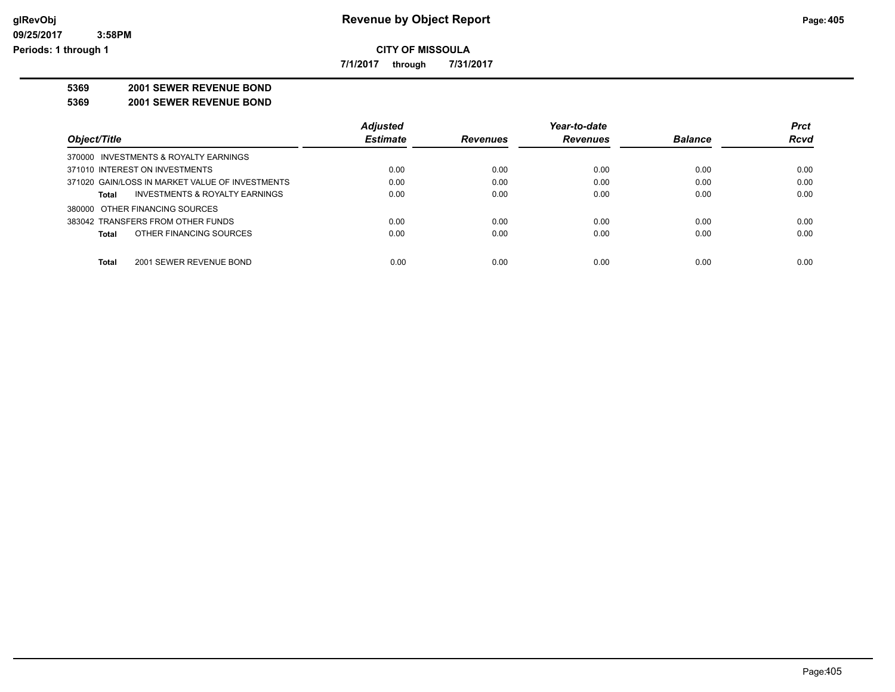**7/1/2017 through 7/31/2017**

#### **5369 2001 SEWER REVENUE BOND**

**5369 2001 SEWER REVENUE BOND**

|                                                 | <b>Adjusted</b> |                 | Year-to-date    |                | <b>Prct</b> |
|-------------------------------------------------|-----------------|-----------------|-----------------|----------------|-------------|
| Object/Title                                    | <b>Estimate</b> | <b>Revenues</b> | <b>Revenues</b> | <b>Balance</b> | <b>Rcvd</b> |
| 370000 INVESTMENTS & ROYALTY EARNINGS           |                 |                 |                 |                |             |
| 371010 INTEREST ON INVESTMENTS                  | 0.00            | 0.00            | 0.00            | 0.00           | 0.00        |
| 371020 GAIN/LOSS IN MARKET VALUE OF INVESTMENTS | 0.00            | 0.00            | 0.00            | 0.00           | 0.00        |
| INVESTMENTS & ROYALTY EARNINGS<br>Total         | 0.00            | 0.00            | 0.00            | 0.00           | 0.00        |
| 380000 OTHER FINANCING SOURCES                  |                 |                 |                 |                |             |
| 383042 TRANSFERS FROM OTHER FUNDS               | 0.00            | 0.00            | 0.00            | 0.00           | 0.00        |
| OTHER FINANCING SOURCES<br><b>Total</b>         | 0.00            | 0.00            | 0.00            | 0.00           | 0.00        |
| <b>Total</b><br>2001 SEWER REVENUE BOND         | 0.00            | 0.00            | 0.00            | 0.00           | 0.00        |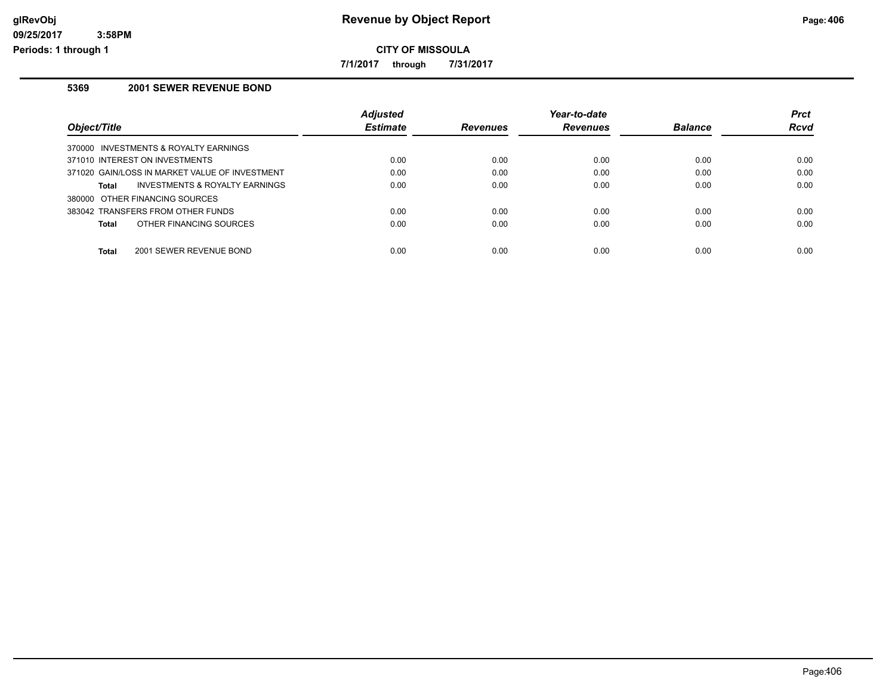**CITY OF MISSOULA**

**7/1/2017 through 7/31/2017**

#### **5369 2001 SEWER REVENUE BOND**

 **3:58PM**

|                                                | <b>Adjusted</b> |                 | Year-to-date    |                | <b>Prct</b> |
|------------------------------------------------|-----------------|-----------------|-----------------|----------------|-------------|
| Object/Title                                   | <b>Estimate</b> | <b>Revenues</b> | <b>Revenues</b> | <b>Balance</b> | <b>Rcvd</b> |
| INVESTMENTS & ROYALTY EARNINGS<br>370000       |                 |                 |                 |                |             |
| 371010 INTEREST ON INVESTMENTS                 | 0.00            | 0.00            | 0.00            | 0.00           | 0.00        |
| 371020 GAIN/LOSS IN MARKET VALUE OF INVESTMENT | 0.00            | 0.00            | 0.00            | 0.00           | 0.00        |
| INVESTMENTS & ROYALTY EARNINGS<br>Total        | 0.00            | 0.00            | 0.00            | 0.00           | 0.00        |
| 380000 OTHER FINANCING SOURCES                 |                 |                 |                 |                |             |
| 383042 TRANSFERS FROM OTHER FUNDS              | 0.00            | 0.00            | 0.00            | 0.00           | 0.00        |
| OTHER FINANCING SOURCES<br>Total               | 0.00            | 0.00            | 0.00            | 0.00           | 0.00        |
| Total<br>2001 SEWER REVENUE BOND               | 0.00            | 0.00            | 0.00            | 0.00           | 0.00        |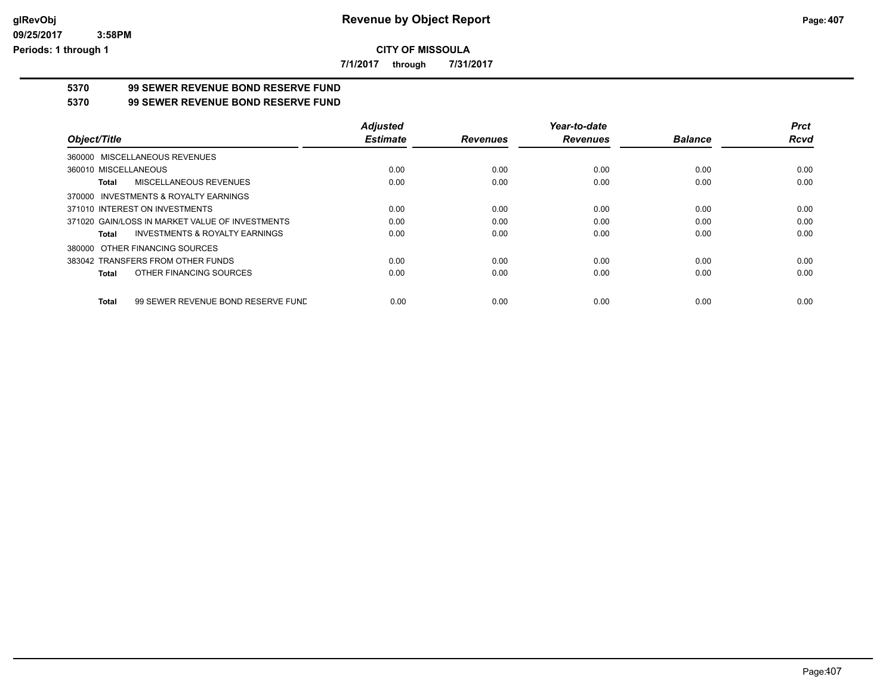**7/1/2017 through 7/31/2017**

## **5370 99 SEWER REVENUE BOND RESERVE FUND**

#### **5370 99 SEWER REVENUE BOND RESERVE FUND**

| Object/Title                                       | <b>Adjusted</b><br><b>Estimate</b> | <b>Revenues</b> | Year-to-date<br><b>Revenues</b> | <b>Balance</b> | <b>Prct</b><br><b>Rcvd</b> |
|----------------------------------------------------|------------------------------------|-----------------|---------------------------------|----------------|----------------------------|
| 360000 MISCELLANEOUS REVENUES                      |                                    |                 |                                 |                |                            |
|                                                    |                                    |                 |                                 |                |                            |
| 360010 MISCELLANEOUS                               | 0.00                               | 0.00            | 0.00                            | 0.00           | 0.00                       |
| MISCELLANEOUS REVENUES<br>Total                    | 0.00                               | 0.00            | 0.00                            | 0.00           | 0.00                       |
| 370000 INVESTMENTS & ROYALTY EARNINGS              |                                    |                 |                                 |                |                            |
| 371010 INTEREST ON INVESTMENTS                     | 0.00                               | 0.00            | 0.00                            | 0.00           | 0.00                       |
| 371020 GAIN/LOSS IN MARKET VALUE OF INVESTMENTS    | 0.00                               | 0.00            | 0.00                            | 0.00           | 0.00                       |
| <b>INVESTMENTS &amp; ROYALTY EARNINGS</b><br>Total | 0.00                               | 0.00            | 0.00                            | 0.00           | 0.00                       |
| 380000 OTHER FINANCING SOURCES                     |                                    |                 |                                 |                |                            |
| 383042 TRANSFERS FROM OTHER FUNDS                  | 0.00                               | 0.00            | 0.00                            | 0.00           | 0.00                       |
| OTHER FINANCING SOURCES<br>Total                   | 0.00                               | 0.00            | 0.00                            | 0.00           | 0.00                       |
| 99 SEWER REVENUE BOND RESERVE FUND<br><b>Total</b> | 0.00                               | 0.00            | 0.00                            | 0.00           | 0.00                       |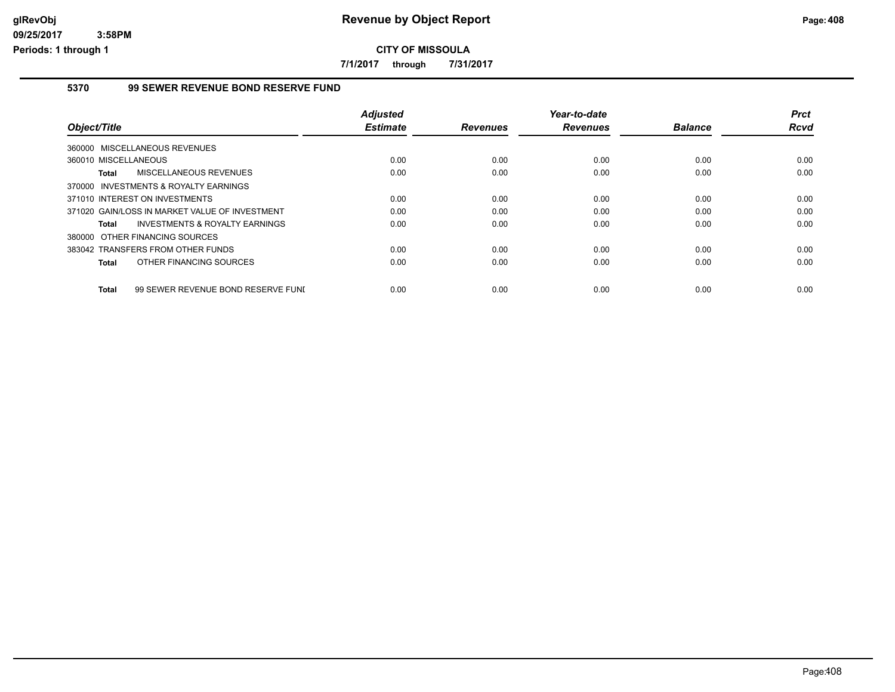**CITY OF MISSOULA**

**7/1/2017 through 7/31/2017**

#### **5370 99 SEWER REVENUE BOND RESERVE FUND**

|                                                    | <b>Adiusted</b> |                 | Year-to-date    |                | <b>Prct</b> |
|----------------------------------------------------|-----------------|-----------------|-----------------|----------------|-------------|
| Object/Title                                       | <b>Estimate</b> | <b>Revenues</b> | <b>Revenues</b> | <b>Balance</b> | <b>Rcvd</b> |
| 360000 MISCELLANEOUS REVENUES                      |                 |                 |                 |                |             |
| 360010 MISCELLANEOUS                               | 0.00            | 0.00            | 0.00            | 0.00           | 0.00        |
| MISCELLANEOUS REVENUES<br><b>Total</b>             | 0.00            | 0.00            | 0.00            | 0.00           | 0.00        |
| 370000 INVESTMENTS & ROYALTY EARNINGS              |                 |                 |                 |                |             |
| 371010 INTEREST ON INVESTMENTS                     | 0.00            | 0.00            | 0.00            | 0.00           | 0.00        |
| 371020 GAIN/LOSS IN MARKET VALUE OF INVESTMENT     | 0.00            | 0.00            | 0.00            | 0.00           | 0.00        |
| <b>INVESTMENTS &amp; ROYALTY EARNINGS</b><br>Total | 0.00            | 0.00            | 0.00            | 0.00           | 0.00        |
| 380000 OTHER FINANCING SOURCES                     |                 |                 |                 |                |             |
| 383042 TRANSFERS FROM OTHER FUNDS                  | 0.00            | 0.00            | 0.00            | 0.00           | 0.00        |
| OTHER FINANCING SOURCES<br><b>Total</b>            | 0.00            | 0.00            | 0.00            | 0.00           | 0.00        |
|                                                    |                 |                 |                 |                |             |
| 99 SEWER REVENUE BOND RESERVE FUNI<br><b>Total</b> | 0.00            | 0.00            | 0.00            | 0.00           | 0.00        |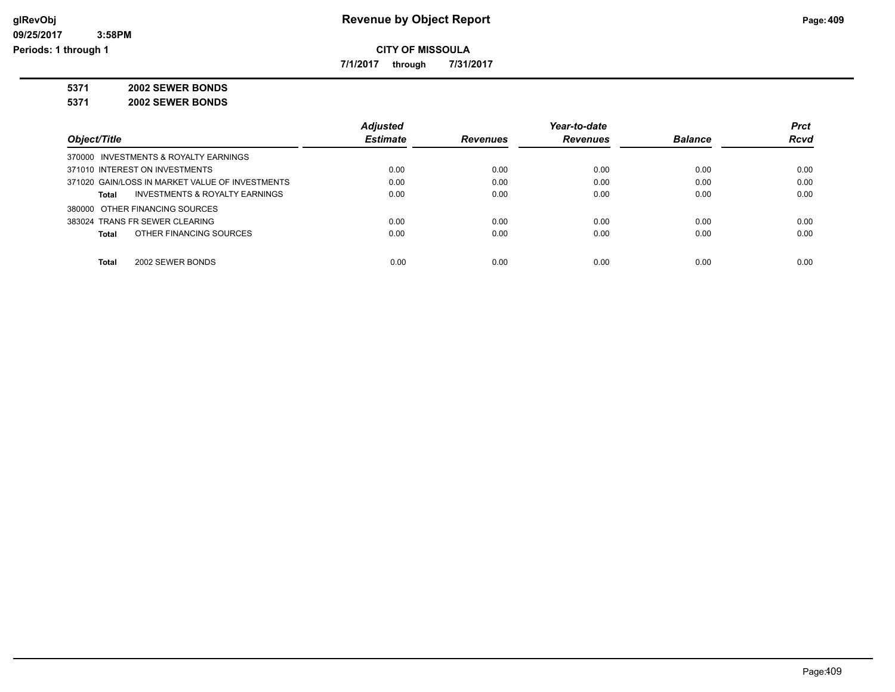**7/1/2017 through 7/31/2017**

**5371 2002 SEWER BONDS**

**5371 2002 SEWER BONDS**

|                                                 | <b>Adjusted</b> |                 | Year-to-date    |                | <b>Prct</b> |
|-------------------------------------------------|-----------------|-----------------|-----------------|----------------|-------------|
| Object/Title                                    | <b>Estimate</b> | <b>Revenues</b> | <b>Revenues</b> | <b>Balance</b> | <b>Rcvd</b> |
| 370000 INVESTMENTS & ROYALTY EARNINGS           |                 |                 |                 |                |             |
| 371010 INTEREST ON INVESTMENTS                  | 0.00            | 0.00            | 0.00            | 0.00           | 0.00        |
| 371020 GAIN/LOSS IN MARKET VALUE OF INVESTMENTS | 0.00            | 0.00            | 0.00            | 0.00           | 0.00        |
| INVESTMENTS & ROYALTY EARNINGS<br>Total         | 0.00            | 0.00            | 0.00            | 0.00           | 0.00        |
| 380000 OTHER FINANCING SOURCES                  |                 |                 |                 |                |             |
| 383024 TRANS FR SEWER CLEARING                  | 0.00            | 0.00            | 0.00            | 0.00           | 0.00        |
| OTHER FINANCING SOURCES<br>Total                | 0.00            | 0.00            | 0.00            | 0.00           | 0.00        |
|                                                 |                 |                 |                 |                |             |
| <b>Total</b><br>2002 SEWER BONDS                | 0.00            | 0.00            | 0.00            | 0.00           | 0.00        |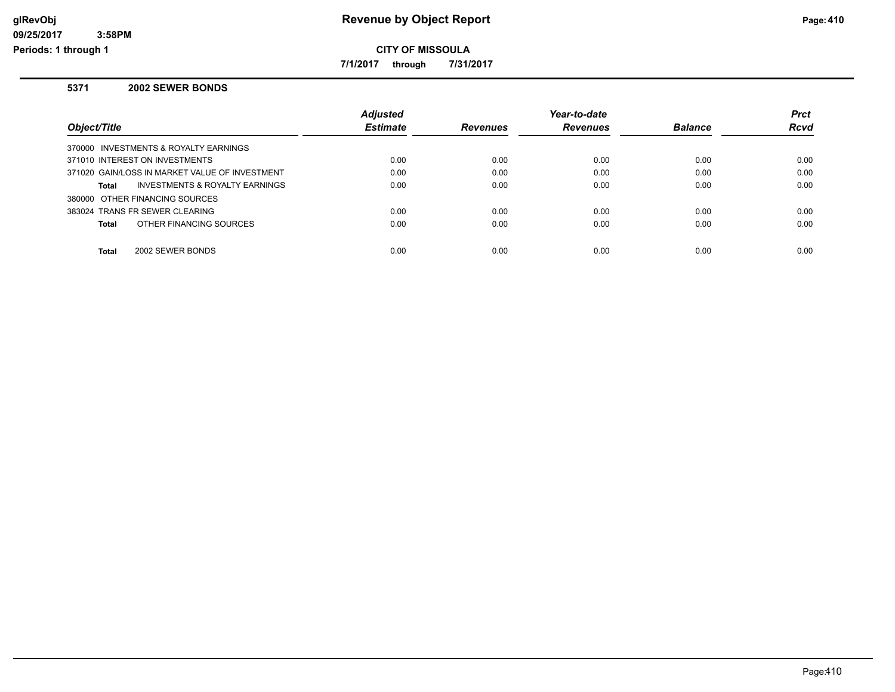**CITY OF MISSOULA**

**7/1/2017 through 7/31/2017**

#### **5371 2002 SEWER BONDS**

 **3:58PM**

|                                                | <b>Adjusted</b> |                 | Year-to-date    |                | <b>Prct</b> |
|------------------------------------------------|-----------------|-----------------|-----------------|----------------|-------------|
| Object/Title                                   | <b>Estimate</b> | <b>Revenues</b> | <b>Revenues</b> | <b>Balance</b> | <b>Rcvd</b> |
| 370000 INVESTMENTS & ROYALTY EARNINGS          |                 |                 |                 |                |             |
| 371010 INTEREST ON INVESTMENTS                 | 0.00            | 0.00            | 0.00            | 0.00           | 0.00        |
| 371020 GAIN/LOSS IN MARKET VALUE OF INVESTMENT | 0.00            | 0.00            | 0.00            | 0.00           | 0.00        |
| INVESTMENTS & ROYALTY EARNINGS<br>Total        | 0.00            | 0.00            | 0.00            | 0.00           | 0.00        |
| 380000 OTHER FINANCING SOURCES                 |                 |                 |                 |                |             |
| 383024 TRANS FR SEWER CLEARING                 | 0.00            | 0.00            | 0.00            | 0.00           | 0.00        |
| OTHER FINANCING SOURCES<br>Total               | 0.00            | 0.00            | 0.00            | 0.00           | 0.00        |
|                                                |                 |                 |                 |                |             |
| Total<br>2002 SEWER BONDS                      | 0.00            | 0.00            | 0.00            | 0.00           | 0.00        |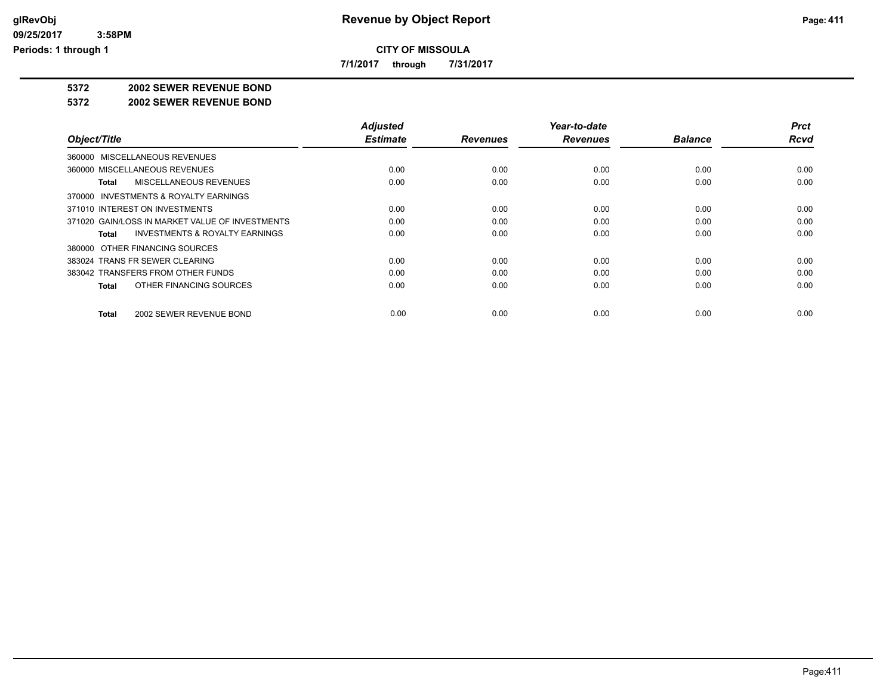**7/1/2017 through 7/31/2017**

#### **5372 2002 SEWER REVENUE BOND**

#### **5372 2002 SEWER REVENUE BOND**

|                                                    | <b>Adjusted</b> |                 | Year-to-date    |                | <b>Prct</b> |
|----------------------------------------------------|-----------------|-----------------|-----------------|----------------|-------------|
| Object/Title                                       | <b>Estimate</b> | <b>Revenues</b> | <b>Revenues</b> | <b>Balance</b> | <b>Rcvd</b> |
| 360000 MISCELLANEOUS REVENUES                      |                 |                 |                 |                |             |
| 360000 MISCELLANEOUS REVENUES                      | 0.00            | 0.00            | 0.00            | 0.00           | 0.00        |
| <b>MISCELLANEOUS REVENUES</b><br>Total             | 0.00            | 0.00            | 0.00            | 0.00           | 0.00        |
| 370000 INVESTMENTS & ROYALTY EARNINGS              |                 |                 |                 |                |             |
| 371010 INTEREST ON INVESTMENTS                     | 0.00            | 0.00            | 0.00            | 0.00           | 0.00        |
| 371020 GAIN/LOSS IN MARKET VALUE OF INVESTMENTS    | 0.00            | 0.00            | 0.00            | 0.00           | 0.00        |
| <b>INVESTMENTS &amp; ROYALTY EARNINGS</b><br>Total | 0.00            | 0.00            | 0.00            | 0.00           | 0.00        |
| 380000 OTHER FINANCING SOURCES                     |                 |                 |                 |                |             |
| 383024 TRANS FR SEWER CLEARING                     | 0.00            | 0.00            | 0.00            | 0.00           | 0.00        |
| 383042 TRANSFERS FROM OTHER FUNDS                  | 0.00            | 0.00            | 0.00            | 0.00           | 0.00        |
| OTHER FINANCING SOURCES<br>Total                   | 0.00            | 0.00            | 0.00            | 0.00           | 0.00        |
| 2002 SEWER REVENUE BOND<br>Total                   | 0.00            | 0.00            | 0.00            | 0.00           | 0.00        |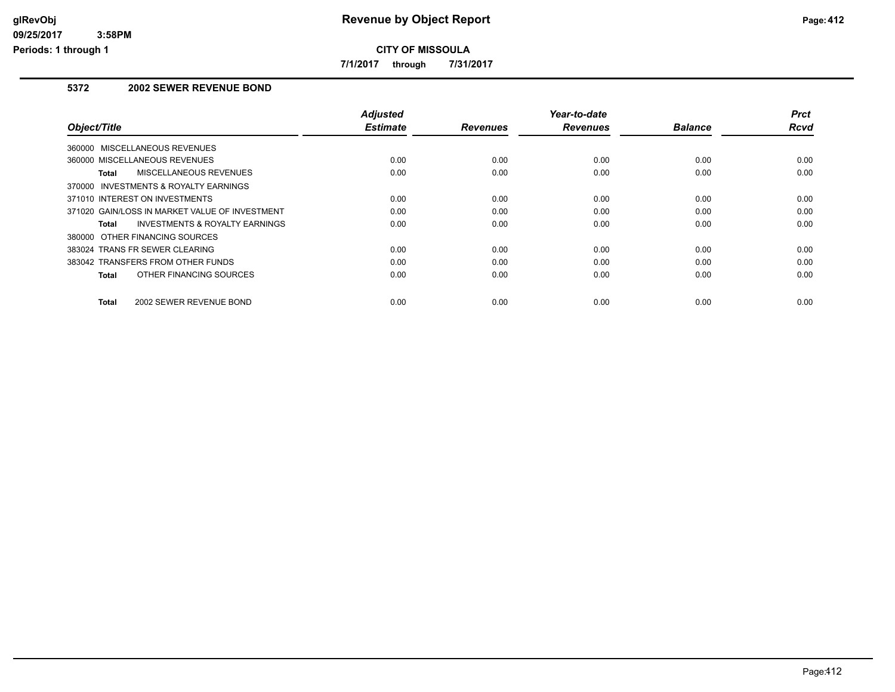**CITY OF MISSOULA**

**7/1/2017 through 7/31/2017**

#### **5372 2002 SEWER REVENUE BOND**

| Object/Title                                       | <b>Adjusted</b><br><b>Estimate</b> | <b>Revenues</b> | Year-to-date<br><b>Revenues</b> | <b>Balance</b> | <b>Prct</b><br><b>Rcvd</b> |
|----------------------------------------------------|------------------------------------|-----------------|---------------------------------|----------------|----------------------------|
| 360000 MISCELLANEOUS REVENUES                      |                                    |                 |                                 |                |                            |
| 360000 MISCELLANEOUS REVENUES                      | 0.00                               | 0.00            | 0.00                            | 0.00           | 0.00                       |
| MISCELLANEOUS REVENUES<br><b>Total</b>             | 0.00                               | 0.00            | 0.00                            | 0.00           | 0.00                       |
| 370000 INVESTMENTS & ROYALTY EARNINGS              |                                    |                 |                                 |                |                            |
| 371010 INTEREST ON INVESTMENTS                     | 0.00                               | 0.00            | 0.00                            | 0.00           | 0.00                       |
| 371020 GAIN/LOSS IN MARKET VALUE OF INVESTMENT     | 0.00                               | 0.00            | 0.00                            | 0.00           | 0.00                       |
| <b>INVESTMENTS &amp; ROYALTY EARNINGS</b><br>Total | 0.00                               | 0.00            | 0.00                            | 0.00           | 0.00                       |
| 380000 OTHER FINANCING SOURCES                     |                                    |                 |                                 |                |                            |
| 383024 TRANS FR SEWER CLEARING                     | 0.00                               | 0.00            | 0.00                            | 0.00           | 0.00                       |
| 383042 TRANSFERS FROM OTHER FUNDS                  | 0.00                               | 0.00            | 0.00                            | 0.00           | 0.00                       |
| OTHER FINANCING SOURCES<br><b>Total</b>            | 0.00                               | 0.00            | 0.00                            | 0.00           | 0.00                       |
| 2002 SEWER REVENUE BOND<br><b>Total</b>            | 0.00                               | 0.00            | 0.00                            | 0.00           | 0.00                       |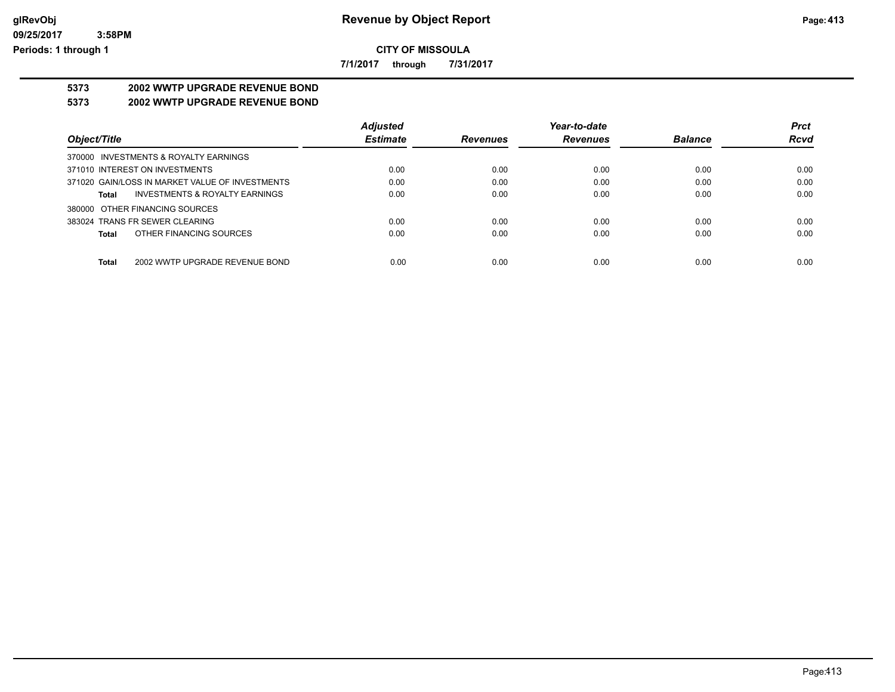**7/1/2017 through 7/31/2017**

## **5373 2002 WWTP UPGRADE REVENUE BOND**

## **5373 2002 WWTP UPGRADE REVENUE BOND**

|                                                 | <b>Adjusted</b> |                 | Year-to-date    |                | <b>Prct</b> |
|-------------------------------------------------|-----------------|-----------------|-----------------|----------------|-------------|
| Object/Title                                    | <b>Estimate</b> | <b>Revenues</b> | <b>Revenues</b> | <b>Balance</b> | <b>Rcvd</b> |
| 370000 INVESTMENTS & ROYALTY EARNINGS           |                 |                 |                 |                |             |
| 371010 INTEREST ON INVESTMENTS                  | 0.00            | 0.00            | 0.00            | 0.00           | 0.00        |
| 371020 GAIN/LOSS IN MARKET VALUE OF INVESTMENTS | 0.00            | 0.00            | 0.00            | 0.00           | 0.00        |
| INVESTMENTS & ROYALTY EARNINGS<br>Total         | 0.00            | 0.00            | 0.00            | 0.00           | 0.00        |
| 380000 OTHER FINANCING SOURCES                  |                 |                 |                 |                |             |
| 383024 TRANS FR SEWER CLEARING                  | 0.00            | 0.00            | 0.00            | 0.00           | 0.00        |
| OTHER FINANCING SOURCES<br>Total                | 0.00            | 0.00            | 0.00            | 0.00           | 0.00        |
|                                                 |                 |                 |                 |                |             |
| Total<br>2002 WWTP UPGRADE REVENUE BOND         | 0.00            | 0.00            | 0.00            | 0.00           | 0.00        |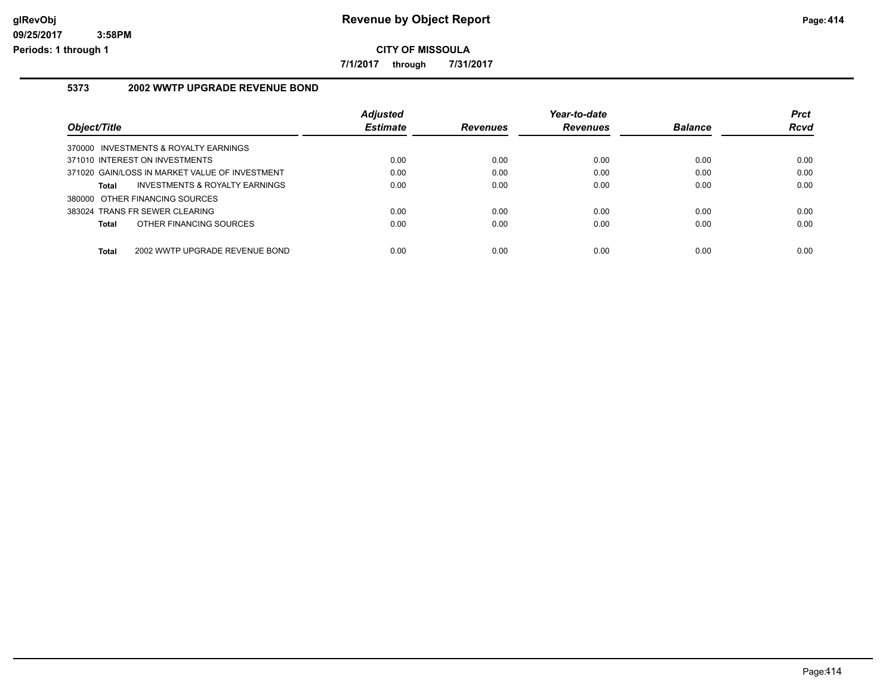**CITY OF MISSOULA**

**7/1/2017 through 7/31/2017**

#### **5373 2002 WWTP UPGRADE REVENUE BOND**

|                                                | <b>Adjusted</b> |                 | Year-to-date    |                | <b>Prct</b> |
|------------------------------------------------|-----------------|-----------------|-----------------|----------------|-------------|
| Object/Title                                   | <b>Estimate</b> | <b>Revenues</b> | <b>Revenues</b> | <b>Balance</b> | <b>Rcvd</b> |
| 370000 INVESTMENTS & ROYALTY EARNINGS          |                 |                 |                 |                |             |
| 371010 INTEREST ON INVESTMENTS                 | 0.00            | 0.00            | 0.00            | 0.00           | 0.00        |
| 371020 GAIN/LOSS IN MARKET VALUE OF INVESTMENT | 0.00            | 0.00            | 0.00            | 0.00           | 0.00        |
| INVESTMENTS & ROYALTY EARNINGS<br>Total        | 0.00            | 0.00            | 0.00            | 0.00           | 0.00        |
| 380000 OTHER FINANCING SOURCES                 |                 |                 |                 |                |             |
| 383024 TRANS FR SEWER CLEARING                 | 0.00            | 0.00            | 0.00            | 0.00           | 0.00        |
| OTHER FINANCING SOURCES<br>Total               | 0.00            | 0.00            | 0.00            | 0.00           | 0.00        |
|                                                |                 |                 |                 |                |             |
| Total<br>2002 WWTP UPGRADE REVENUE BOND        | 0.00            | 0.00            | 0.00            | 0.00           | 0.00        |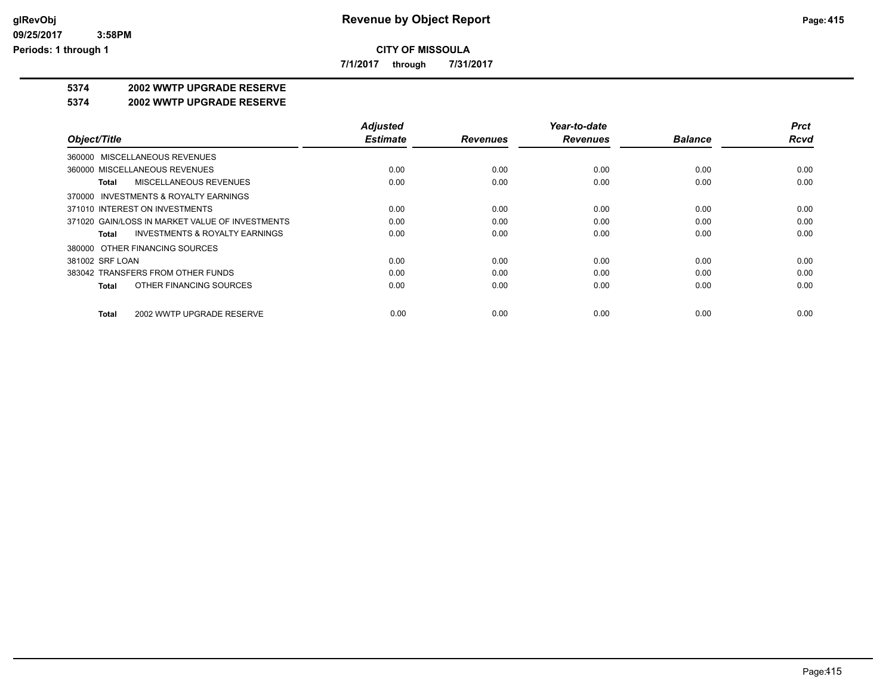**CITY OF MISSOULA**

**7/1/2017 through 7/31/2017**

#### **5374 2002 WWTP UPGRADE RESERVE**

#### **5374 2002 WWTP UPGRADE RESERVE**

|                                                    | <b>Adjusted</b> |                 | Year-to-date    |                | <b>Prct</b> |
|----------------------------------------------------|-----------------|-----------------|-----------------|----------------|-------------|
| Object/Title                                       | <b>Estimate</b> | <b>Revenues</b> | <b>Revenues</b> | <b>Balance</b> | <b>Rcvd</b> |
| 360000 MISCELLANEOUS REVENUES                      |                 |                 |                 |                |             |
| 360000 MISCELLANEOUS REVENUES                      | 0.00            | 0.00            | 0.00            | 0.00           | 0.00        |
| <b>MISCELLANEOUS REVENUES</b><br>Total             | 0.00            | 0.00            | 0.00            | 0.00           | 0.00        |
| 370000 INVESTMENTS & ROYALTY EARNINGS              |                 |                 |                 |                |             |
| 371010 INTEREST ON INVESTMENTS                     | 0.00            | 0.00            | 0.00            | 0.00           | 0.00        |
| 371020 GAIN/LOSS IN MARKET VALUE OF INVESTMENTS    | 0.00            | 0.00            | 0.00            | 0.00           | 0.00        |
| <b>INVESTMENTS &amp; ROYALTY EARNINGS</b><br>Total | 0.00            | 0.00            | 0.00            | 0.00           | 0.00        |
| 380000 OTHER FINANCING SOURCES                     |                 |                 |                 |                |             |
| 381002 SRF LOAN                                    | 0.00            | 0.00            | 0.00            | 0.00           | 0.00        |
| 383042 TRANSFERS FROM OTHER FUNDS                  | 0.00            | 0.00            | 0.00            | 0.00           | 0.00        |
| OTHER FINANCING SOURCES<br>Total                   | 0.00            | 0.00            | 0.00            | 0.00           | 0.00        |
| 2002 WWTP UPGRADE RESERVE<br>Total                 | 0.00            | 0.00            | 0.00            | 0.00           | 0.00        |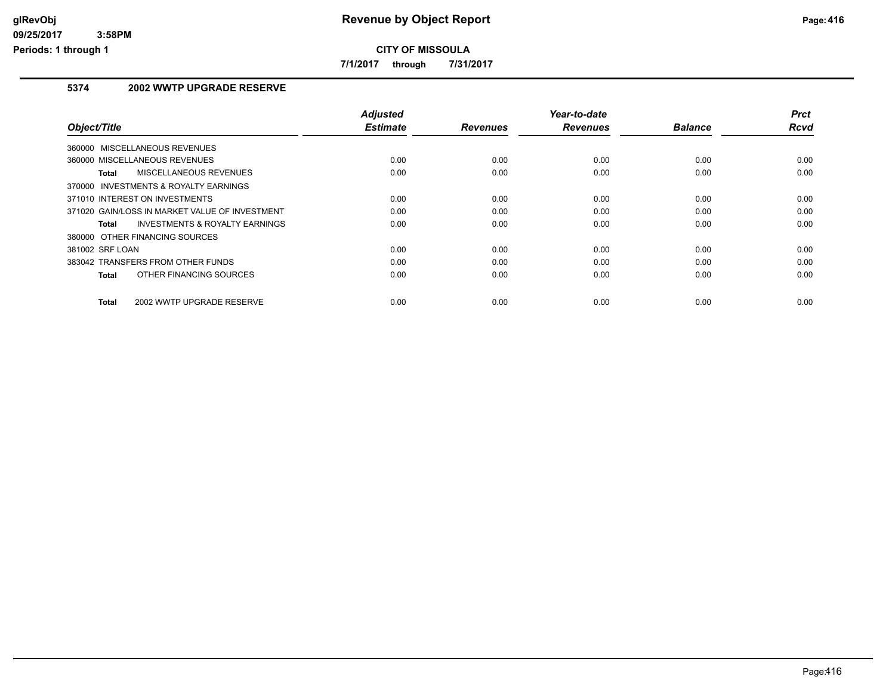**3:58PM**

**CITY OF MISSOULA**

**7/1/2017 through 7/31/2017**

#### **5374 2002 WWTP UPGRADE RESERVE**

| Object/Title                                       | <b>Adjusted</b><br><b>Estimate</b> | <b>Revenues</b> | Year-to-date<br><b>Revenues</b> | <b>Balance</b> | <b>Prct</b><br><b>Rcvd</b> |
|----------------------------------------------------|------------------------------------|-----------------|---------------------------------|----------------|----------------------------|
| 360000 MISCELLANEOUS REVENUES                      |                                    |                 |                                 |                |                            |
| 360000 MISCELLANEOUS REVENUES                      | 0.00                               | 0.00            | 0.00                            | 0.00           | 0.00                       |
| MISCELLANEOUS REVENUES<br><b>Total</b>             | 0.00                               | 0.00            | 0.00                            | 0.00           | 0.00                       |
| 370000 INVESTMENTS & ROYALTY EARNINGS              |                                    |                 |                                 |                |                            |
| 371010 INTEREST ON INVESTMENTS                     | 0.00                               | 0.00            | 0.00                            | 0.00           | 0.00                       |
| 371020 GAIN/LOSS IN MARKET VALUE OF INVESTMENT     | 0.00                               | 0.00            | 0.00                            | 0.00           | 0.00                       |
| <b>INVESTMENTS &amp; ROYALTY EARNINGS</b><br>Total | 0.00                               | 0.00            | 0.00                            | 0.00           | 0.00                       |
| 380000 OTHER FINANCING SOURCES                     |                                    |                 |                                 |                |                            |
| 381002 SRF LOAN                                    | 0.00                               | 0.00            | 0.00                            | 0.00           | 0.00                       |
| 383042 TRANSFERS FROM OTHER FUNDS                  | 0.00                               | 0.00            | 0.00                            | 0.00           | 0.00                       |
| OTHER FINANCING SOURCES<br><b>Total</b>            | 0.00                               | 0.00            | 0.00                            | 0.00           | 0.00                       |
| 2002 WWTP UPGRADE RESERVE<br><b>Total</b>          | 0.00                               | 0.00            | 0.00                            | 0.00           | 0.00                       |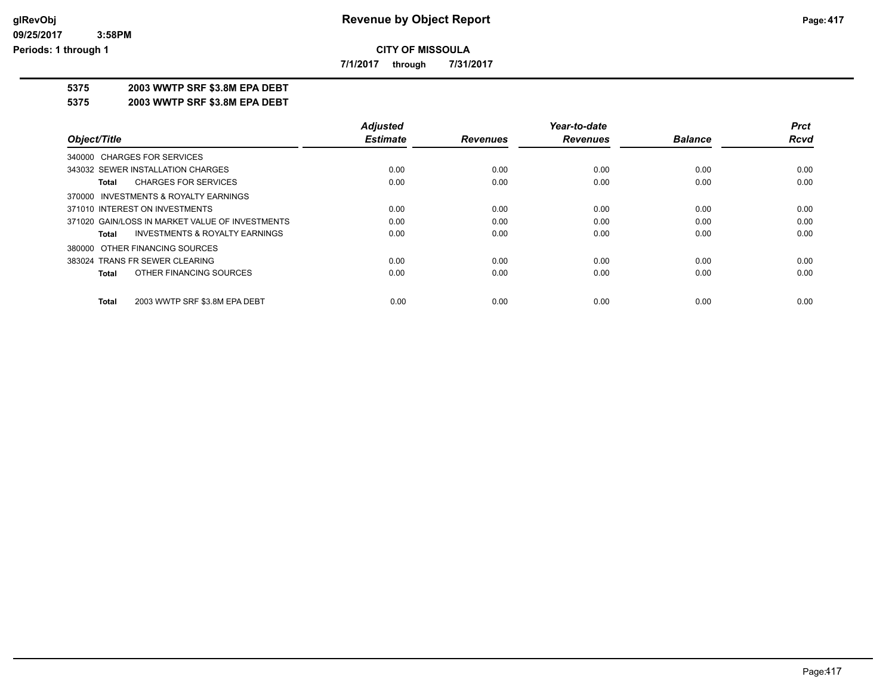**3:58PM**

**CITY OF MISSOULA**

**7/1/2017 through 7/31/2017**

**5375 2003 WWTP SRF \$3.8M EPA DEBT**

**5375 2003 WWTP SRF \$3.8M EPA DEBT**

|                                                    | <b>Adjusted</b> |                 | Year-to-date    |                | <b>Prct</b> |
|----------------------------------------------------|-----------------|-----------------|-----------------|----------------|-------------|
| Object/Title                                       | <b>Estimate</b> | <b>Revenues</b> | <b>Revenues</b> | <b>Balance</b> | <b>Rcvd</b> |
| 340000 CHARGES FOR SERVICES                        |                 |                 |                 |                |             |
| 343032 SEWER INSTALLATION CHARGES                  | 0.00            | 0.00            | 0.00            | 0.00           | 0.00        |
| <b>CHARGES FOR SERVICES</b><br>Total               | 0.00            | 0.00            | 0.00            | 0.00           | 0.00        |
| 370000 INVESTMENTS & ROYALTY EARNINGS              |                 |                 |                 |                |             |
| 371010 INTEREST ON INVESTMENTS                     | 0.00            | 0.00            | 0.00            | 0.00           | 0.00        |
| 371020 GAIN/LOSS IN MARKET VALUE OF INVESTMENTS    | 0.00            | 0.00            | 0.00            | 0.00           | 0.00        |
| <b>INVESTMENTS &amp; ROYALTY EARNINGS</b><br>Total | 0.00            | 0.00            | 0.00            | 0.00           | 0.00        |
| 380000 OTHER FINANCING SOURCES                     |                 |                 |                 |                |             |
| 383024 TRANS FR SEWER CLEARING                     | 0.00            | 0.00            | 0.00            | 0.00           | 0.00        |
| OTHER FINANCING SOURCES<br>Total                   | 0.00            | 0.00            | 0.00            | 0.00           | 0.00        |
| 2003 WWTP SRF \$3.8M EPA DEBT<br>Total             | 0.00            | 0.00            | 0.00            | 0.00           | 0.00        |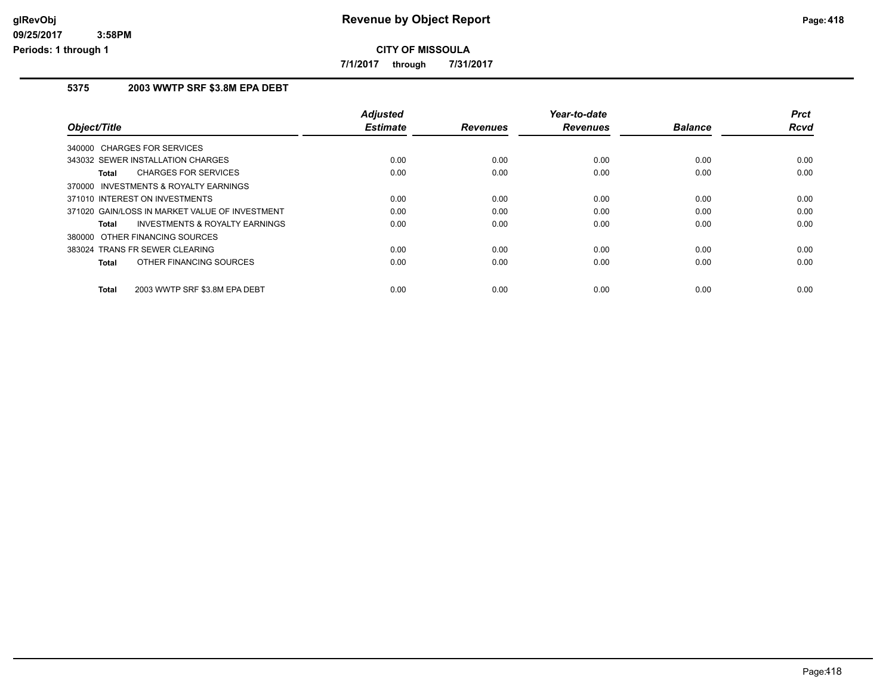**CITY OF MISSOULA**

**7/1/2017 through 7/31/2017**

#### **5375 2003 WWTP SRF \$3.8M EPA DEBT**

|                                                     | <b>Adjusted</b> |                 | Year-to-date    |                | <b>Prct</b> |
|-----------------------------------------------------|-----------------|-----------------|-----------------|----------------|-------------|
| Object/Title                                        | <b>Estimate</b> | <b>Revenues</b> | <b>Revenues</b> | <b>Balance</b> | <b>Rcvd</b> |
| <b>CHARGES FOR SERVICES</b><br>340000               |                 |                 |                 |                |             |
| 343032 SEWER INSTALLATION CHARGES                   | 0.00            | 0.00            | 0.00            | 0.00           | 0.00        |
| <b>CHARGES FOR SERVICES</b><br>Total                | 0.00            | 0.00            | 0.00            | 0.00           | 0.00        |
| <b>INVESTMENTS &amp; ROYALTY EARNINGS</b><br>370000 |                 |                 |                 |                |             |
| 371010 INTEREST ON INVESTMENTS                      | 0.00            | 0.00            | 0.00            | 0.00           | 0.00        |
| 371020 GAIN/LOSS IN MARKET VALUE OF INVESTMENT      | 0.00            | 0.00            | 0.00            | 0.00           | 0.00        |
| INVESTMENTS & ROYALTY EARNINGS<br><b>Total</b>      | 0.00            | 0.00            | 0.00            | 0.00           | 0.00        |
| OTHER FINANCING SOURCES<br>380000                   |                 |                 |                 |                |             |
| 383024 TRANS FR SEWER CLEARING                      | 0.00            | 0.00            | 0.00            | 0.00           | 0.00        |
| OTHER FINANCING SOURCES<br><b>Total</b>             | 0.00            | 0.00            | 0.00            | 0.00           | 0.00        |
| 2003 WWTP SRF \$3.8M EPA DEBT<br><b>Total</b>       | 0.00            | 0.00            | 0.00            | 0.00           | 0.00        |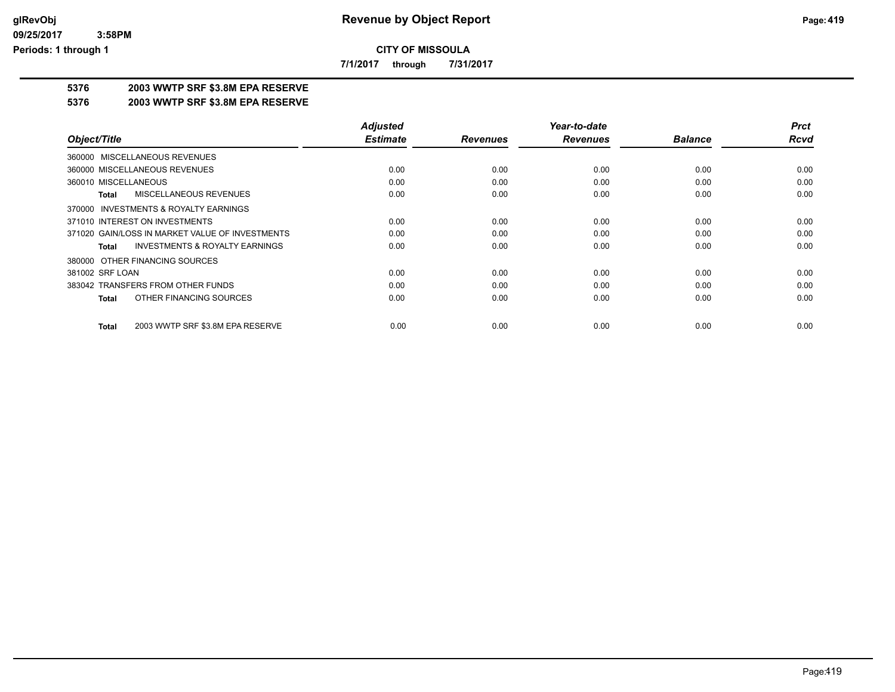**7/1/2017 through 7/31/2017**

### **5376 2003 WWTP SRF \$3.8M EPA RESERVE**

#### **5376 2003 WWTP SRF \$3.8M EPA RESERVE**

|                                                    | <b>Adjusted</b> |                 | Year-to-date    |                | <b>Prct</b> |
|----------------------------------------------------|-----------------|-----------------|-----------------|----------------|-------------|
| Object/Title                                       | <b>Estimate</b> | <b>Revenues</b> | <b>Revenues</b> | <b>Balance</b> | <b>Rcvd</b> |
| 360000 MISCELLANEOUS REVENUES                      |                 |                 |                 |                |             |
| 360000 MISCELLANEOUS REVENUES                      | 0.00            | 0.00            | 0.00            | 0.00           | 0.00        |
| 360010 MISCELLANEOUS                               | 0.00            | 0.00            | 0.00            | 0.00           | 0.00        |
| MISCELLANEOUS REVENUES<br>Total                    | 0.00            | 0.00            | 0.00            | 0.00           | 0.00        |
| 370000 INVESTMENTS & ROYALTY EARNINGS              |                 |                 |                 |                |             |
| 371010 INTEREST ON INVESTMENTS                     | 0.00            | 0.00            | 0.00            | 0.00           | 0.00        |
| 371020 GAIN/LOSS IN MARKET VALUE OF INVESTMENTS    | 0.00            | 0.00            | 0.00            | 0.00           | 0.00        |
| <b>INVESTMENTS &amp; ROYALTY EARNINGS</b><br>Total | 0.00            | 0.00            | 0.00            | 0.00           | 0.00        |
| 380000 OTHER FINANCING SOURCES                     |                 |                 |                 |                |             |
| 381002 SRF LOAN                                    | 0.00            | 0.00            | 0.00            | 0.00           | 0.00        |
| 383042 TRANSFERS FROM OTHER FUNDS                  | 0.00            | 0.00            | 0.00            | 0.00           | 0.00        |
| OTHER FINANCING SOURCES<br>Total                   | 0.00            | 0.00            | 0.00            | 0.00           | 0.00        |
| 2003 WWTP SRF \$3.8M EPA RESERVE<br><b>Total</b>   | 0.00            | 0.00            | 0.00            | 0.00           | 0.00        |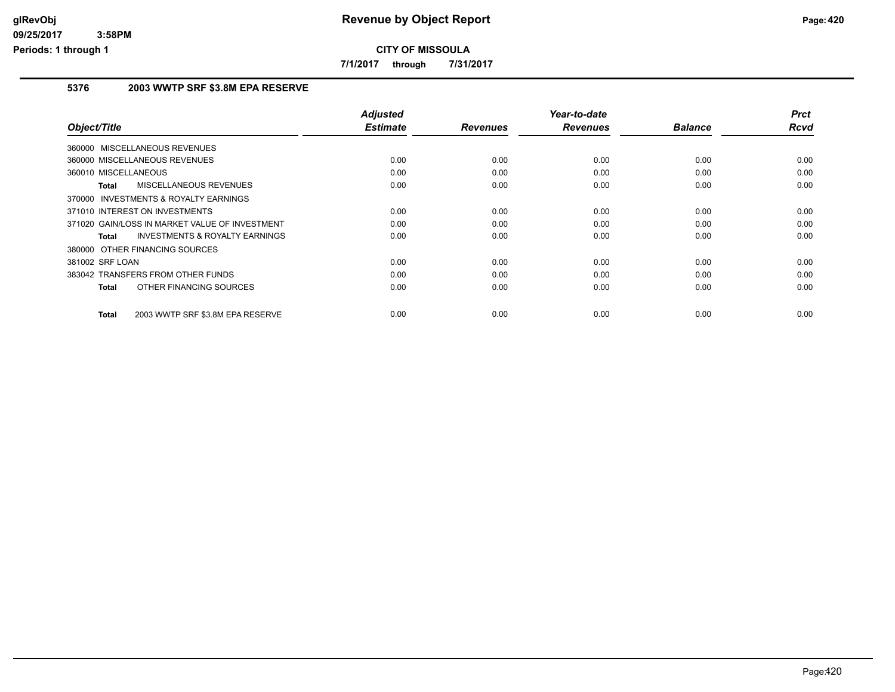**7/1/2017 through 7/31/2017**

#### **5376 2003 WWTP SRF \$3.8M EPA RESERVE**

| Object/Title                                              | <b>Adjusted</b><br><b>Estimate</b> | <b>Revenues</b> | Year-to-date<br><b>Revenues</b> | <b>Balance</b> | <b>Prct</b><br><b>Rcvd</b> |
|-----------------------------------------------------------|------------------------------------|-----------------|---------------------------------|----------------|----------------------------|
|                                                           |                                    |                 |                                 |                |                            |
| 360000 MISCELLANEOUS REVENUES                             |                                    |                 |                                 |                |                            |
| 360000 MISCELLANEOUS REVENUES                             | 0.00                               | 0.00            | 0.00                            | 0.00           | 0.00                       |
| 360010 MISCELLANEOUS                                      | 0.00                               | 0.00            | 0.00                            | 0.00           | 0.00                       |
| <b>MISCELLANEOUS REVENUES</b><br><b>Total</b>             | 0.00                               | 0.00            | 0.00                            | 0.00           | 0.00                       |
| INVESTMENTS & ROYALTY EARNINGS<br>370000                  |                                    |                 |                                 |                |                            |
| 371010 INTEREST ON INVESTMENTS                            | 0.00                               | 0.00            | 0.00                            | 0.00           | 0.00                       |
| 371020 GAIN/LOSS IN MARKET VALUE OF INVESTMENT            | 0.00                               | 0.00            | 0.00                            | 0.00           | 0.00                       |
| <b>INVESTMENTS &amp; ROYALTY EARNINGS</b><br><b>Total</b> | 0.00                               | 0.00            | 0.00                            | 0.00           | 0.00                       |
| 380000 OTHER FINANCING SOURCES                            |                                    |                 |                                 |                |                            |
| 381002 SRF LOAN                                           | 0.00                               | 0.00            | 0.00                            | 0.00           | 0.00                       |
| 383042 TRANSFERS FROM OTHER FUNDS                         | 0.00                               | 0.00            | 0.00                            | 0.00           | 0.00                       |
| OTHER FINANCING SOURCES<br><b>Total</b>                   | 0.00                               | 0.00            | 0.00                            | 0.00           | 0.00                       |
|                                                           |                                    |                 |                                 |                |                            |
| 2003 WWTP SRF \$3.8M EPA RESERVE<br><b>Total</b>          | 0.00                               | 0.00            | 0.00                            | 0.00           | 0.00                       |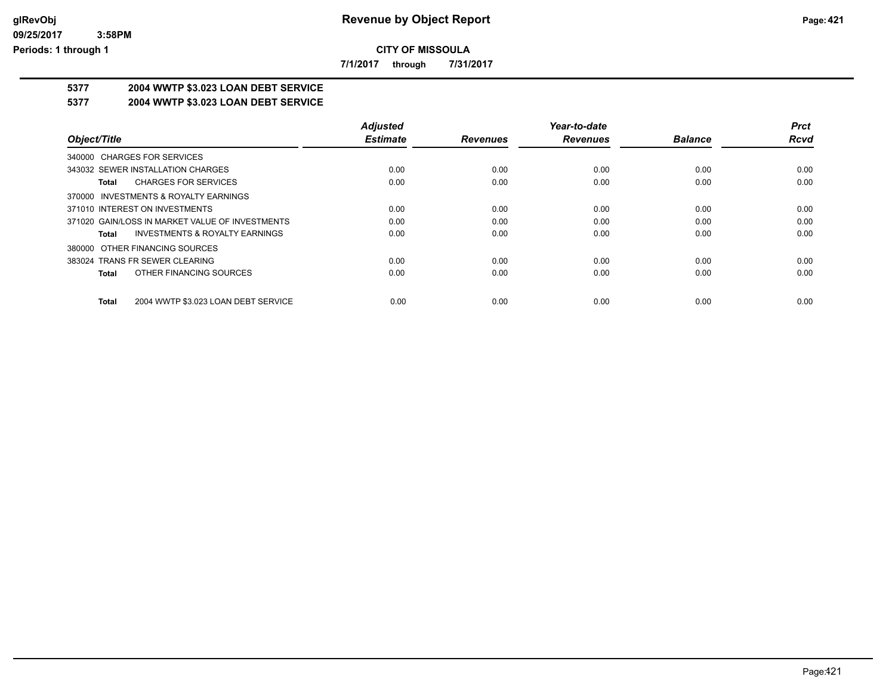**7/1/2017 through 7/31/2017**

# **5377 2004 WWTP \$3.023 LOAN DEBT SERVICE**

## **5377 2004 WWTP \$3.023 LOAN DEBT SERVICE**

|                                                     | <b>Adjusted</b> |                 | Year-to-date    |                | <b>Prct</b> |
|-----------------------------------------------------|-----------------|-----------------|-----------------|----------------|-------------|
| Object/Title                                        | <b>Estimate</b> | <b>Revenues</b> | <b>Revenues</b> | <b>Balance</b> | <b>Rcvd</b> |
| 340000 CHARGES FOR SERVICES                         |                 |                 |                 |                |             |
| 343032 SEWER INSTALLATION CHARGES                   | 0.00            | 0.00            | 0.00            | 0.00           | 0.00        |
| <b>CHARGES FOR SERVICES</b><br>Total                | 0.00            | 0.00            | 0.00            | 0.00           | 0.00        |
| 370000 INVESTMENTS & ROYALTY EARNINGS               |                 |                 |                 |                |             |
| 371010 INTEREST ON INVESTMENTS                      | 0.00            | 0.00            | 0.00            | 0.00           | 0.00        |
| 371020 GAIN/LOSS IN MARKET VALUE OF INVESTMENTS     | 0.00            | 0.00            | 0.00            | 0.00           | 0.00        |
| <b>INVESTMENTS &amp; ROYALTY EARNINGS</b><br>Total  | 0.00            | 0.00            | 0.00            | 0.00           | 0.00        |
| 380000 OTHER FINANCING SOURCES                      |                 |                 |                 |                |             |
| 383024 TRANS FR SEWER CLEARING                      | 0.00            | 0.00            | 0.00            | 0.00           | 0.00        |
| OTHER FINANCING SOURCES<br>Total                    | 0.00            | 0.00            | 0.00            | 0.00           | 0.00        |
| 2004 WWTP \$3.023 LOAN DEBT SERVICE<br><b>Total</b> | 0.00            | 0.00            | 0.00            | 0.00           | 0.00        |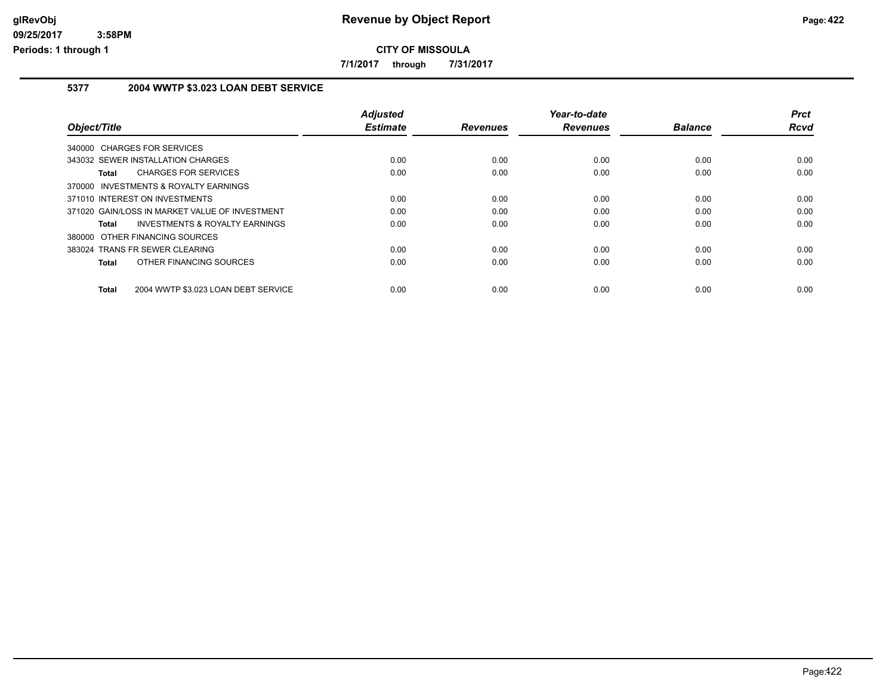**7/1/2017 through 7/31/2017**

#### **5377 2004 WWTP \$3.023 LOAN DEBT SERVICE**

| Object/Title                                        | <b>Adjusted</b><br><b>Estimate</b> | <b>Revenues</b> | Year-to-date<br><b>Revenues</b> | <b>Balance</b> | <b>Prct</b><br><b>Rcvd</b> |
|-----------------------------------------------------|------------------------------------|-----------------|---------------------------------|----------------|----------------------------|
|                                                     |                                    |                 |                                 |                |                            |
| 340000 CHARGES FOR SERVICES                         |                                    |                 |                                 |                |                            |
| 343032 SEWER INSTALLATION CHARGES                   | 0.00                               | 0.00            | 0.00                            | 0.00           | 0.00                       |
| <b>CHARGES FOR SERVICES</b><br>Total                | 0.00                               | 0.00            | 0.00                            | 0.00           | 0.00                       |
| 370000 INVESTMENTS & ROYALTY EARNINGS               |                                    |                 |                                 |                |                            |
| 371010 INTEREST ON INVESTMENTS                      | 0.00                               | 0.00            | 0.00                            | 0.00           | 0.00                       |
| 371020 GAIN/LOSS IN MARKET VALUE OF INVESTMENT      | 0.00                               | 0.00            | 0.00                            | 0.00           | 0.00                       |
| <b>INVESTMENTS &amp; ROYALTY EARNINGS</b><br>Total  | 0.00                               | 0.00            | 0.00                            | 0.00           | 0.00                       |
| 380000 OTHER FINANCING SOURCES                      |                                    |                 |                                 |                |                            |
| 383024 TRANS FR SEWER CLEARING                      | 0.00                               | 0.00            | 0.00                            | 0.00           | 0.00                       |
| OTHER FINANCING SOURCES<br>Total                    | 0.00                               | 0.00            | 0.00                            | 0.00           | 0.00                       |
| <b>Total</b><br>2004 WWTP \$3.023 LOAN DEBT SERVICE | 0.00                               | 0.00            | 0.00                            | 0.00           | 0.00                       |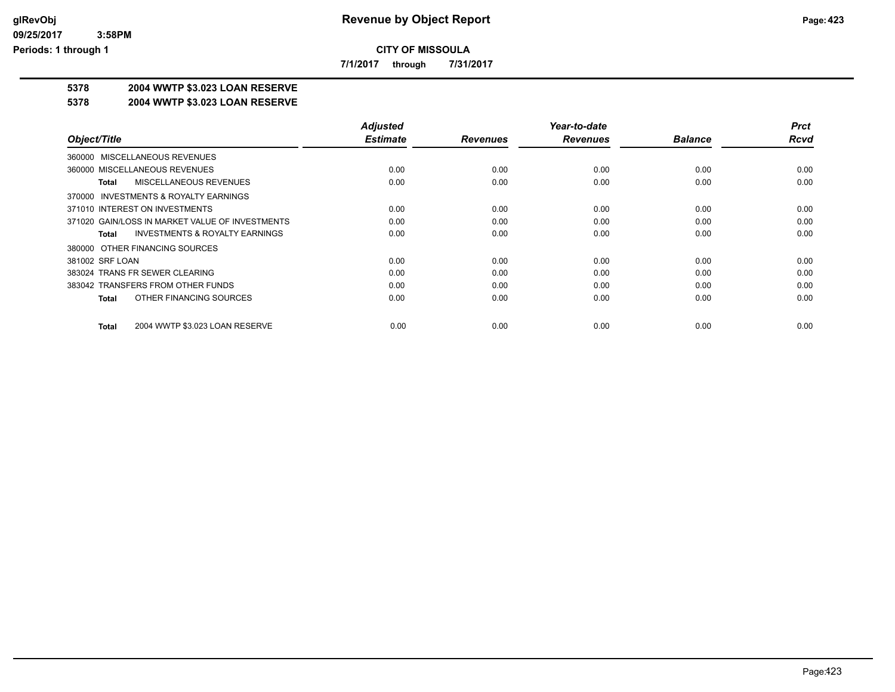**7/1/2017 through 7/31/2017**

## **5378 2004 WWTP \$3.023 LOAN RESERVE**

#### **5378 2004 WWTP \$3.023 LOAN RESERVE**

|                                                    | <b>Adjusted</b> |                 | Year-to-date    |                | <b>Prct</b> |
|----------------------------------------------------|-----------------|-----------------|-----------------|----------------|-------------|
| Object/Title                                       | <b>Estimate</b> | <b>Revenues</b> | <b>Revenues</b> | <b>Balance</b> | <b>Rcvd</b> |
| 360000 MISCELLANEOUS REVENUES                      |                 |                 |                 |                |             |
| 360000 MISCELLANEOUS REVENUES                      | 0.00            | 0.00            | 0.00            | 0.00           | 0.00        |
| MISCELLANEOUS REVENUES<br>Total                    | 0.00            | 0.00            | 0.00            | 0.00           | 0.00        |
| 370000 INVESTMENTS & ROYALTY EARNINGS              |                 |                 |                 |                |             |
| 371010 INTEREST ON INVESTMENTS                     | 0.00            | 0.00            | 0.00            | 0.00           | 0.00        |
| 371020 GAIN/LOSS IN MARKET VALUE OF INVESTMENTS    | 0.00            | 0.00            | 0.00            | 0.00           | 0.00        |
| <b>INVESTMENTS &amp; ROYALTY EARNINGS</b><br>Total | 0.00            | 0.00            | 0.00            | 0.00           | 0.00        |
| 380000 OTHER FINANCING SOURCES                     |                 |                 |                 |                |             |
| 381002 SRF LOAN                                    | 0.00            | 0.00            | 0.00            | 0.00           | 0.00        |
| 383024 TRANS FR SEWER CLEARING                     | 0.00            | 0.00            | 0.00            | 0.00           | 0.00        |
| 383042 TRANSFERS FROM OTHER FUNDS                  | 0.00            | 0.00            | 0.00            | 0.00           | 0.00        |
| OTHER FINANCING SOURCES<br>Total                   | 0.00            | 0.00            | 0.00            | 0.00           | 0.00        |
|                                                    |                 |                 |                 |                |             |
| 2004 WWTP \$3.023 LOAN RESERVE<br>Total            | 0.00            | 0.00            | 0.00            | 0.00           | 0.00        |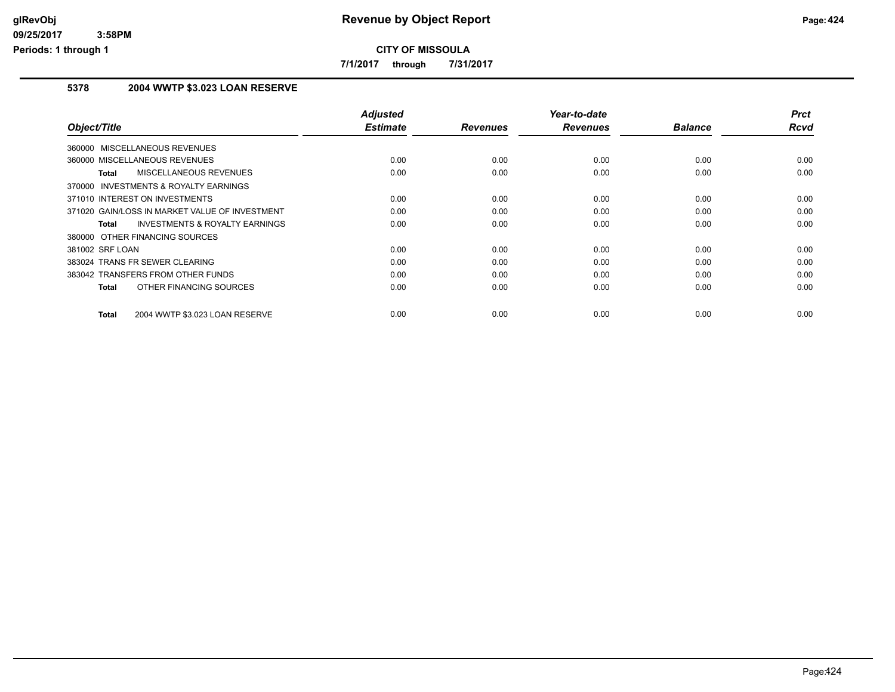**7/1/2017 through 7/31/2017**

#### **5378 2004 WWTP \$3.023 LOAN RESERVE**

| Object/Title                                              | <b>Adjusted</b><br><b>Estimate</b> | <b>Revenues</b> | Year-to-date<br><b>Revenues</b> | <b>Balance</b> | <b>Prct</b><br>Rcvd |
|-----------------------------------------------------------|------------------------------------|-----------------|---------------------------------|----------------|---------------------|
| MISCELLANEOUS REVENUES<br>360000                          |                                    |                 |                                 |                |                     |
| 360000 MISCELLANEOUS REVENUES                             | 0.00                               | 0.00            | 0.00                            | 0.00           | 0.00                |
| MISCELLANEOUS REVENUES<br><b>Total</b>                    | 0.00                               | 0.00            | 0.00                            | 0.00           | 0.00                |
| INVESTMENTS & ROYALTY EARNINGS<br>370000                  |                                    |                 |                                 |                |                     |
| 371010 INTEREST ON INVESTMENTS                            | 0.00                               | 0.00            | 0.00                            | 0.00           | 0.00                |
| 371020 GAIN/LOSS IN MARKET VALUE OF INVESTMENT            | 0.00                               | 0.00            | 0.00                            | 0.00           | 0.00                |
| <b>INVESTMENTS &amp; ROYALTY EARNINGS</b><br><b>Total</b> | 0.00                               | 0.00            | 0.00                            | 0.00           | 0.00                |
| 380000 OTHER FINANCING SOURCES                            |                                    |                 |                                 |                |                     |
| 381002 SRF LOAN                                           | 0.00                               | 0.00            | 0.00                            | 0.00           | 0.00                |
| 383024 TRANS FR SEWER CLEARING                            | 0.00                               | 0.00            | 0.00                            | 0.00           | 0.00                |
| 383042 TRANSFERS FROM OTHER FUNDS                         | 0.00                               | 0.00            | 0.00                            | 0.00           | 0.00                |
| OTHER FINANCING SOURCES<br><b>Total</b>                   | 0.00                               | 0.00            | 0.00                            | 0.00           | 0.00                |
|                                                           |                                    |                 |                                 |                |                     |
| 2004 WWTP \$3.023 LOAN RESERVE<br><b>Total</b>            | 0.00                               | 0.00            | 0.00                            | 0.00           | 0.00                |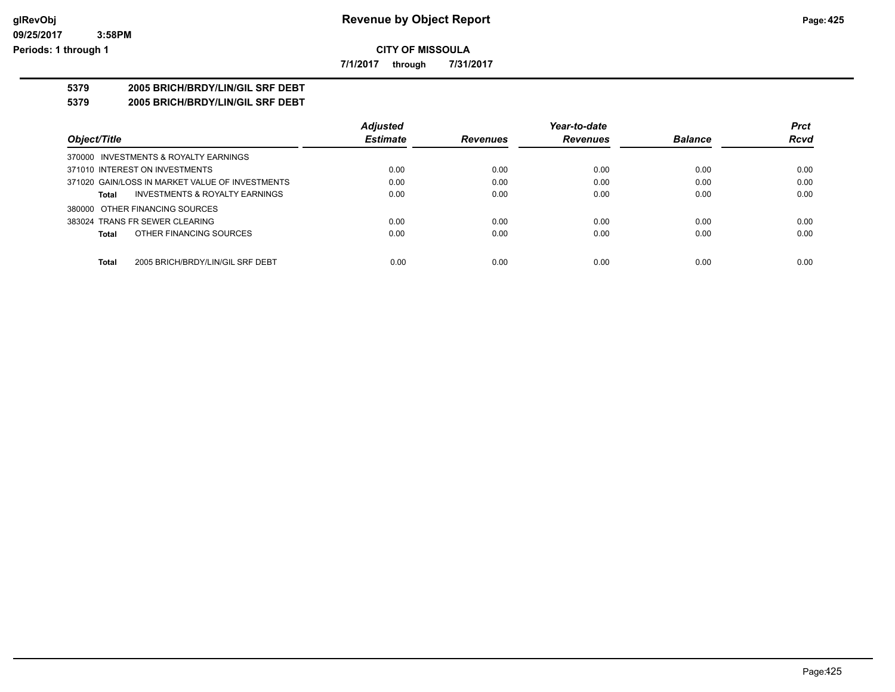**7/1/2017 through 7/31/2017**

## **5379 2005 BRICH/BRDY/LIN/GIL SRF DEBT**

#### **5379 2005 BRICH/BRDY/LIN/GIL SRF DEBT**

|                                                  | <b>Adjusted</b> |                 | Year-to-date    |                | <b>Prct</b> |
|--------------------------------------------------|-----------------|-----------------|-----------------|----------------|-------------|
| Object/Title                                     | <b>Estimate</b> | <b>Revenues</b> | <b>Revenues</b> | <b>Balance</b> | <b>Rcvd</b> |
| 370000 INVESTMENTS & ROYALTY EARNINGS            |                 |                 |                 |                |             |
| 371010 INTEREST ON INVESTMENTS                   | 0.00            | 0.00            | 0.00            | 0.00           | 0.00        |
| 371020 GAIN/LOSS IN MARKET VALUE OF INVESTMENTS  | 0.00            | 0.00            | 0.00            | 0.00           | 0.00        |
| INVESTMENTS & ROYALTY EARNINGS<br><b>Total</b>   | 0.00            | 0.00            | 0.00            | 0.00           | 0.00        |
| 380000 OTHER FINANCING SOURCES                   |                 |                 |                 |                |             |
| 383024 TRANS FR SEWER CLEARING                   | 0.00            | 0.00            | 0.00            | 0.00           | 0.00        |
| OTHER FINANCING SOURCES<br><b>Total</b>          | 0.00            | 0.00            | 0.00            | 0.00           | 0.00        |
|                                                  |                 |                 |                 |                |             |
| <b>Total</b><br>2005 BRICH/BRDY/LIN/GIL SRF DEBT | 0.00            | 0.00            | 0.00            | 0.00           | 0.00        |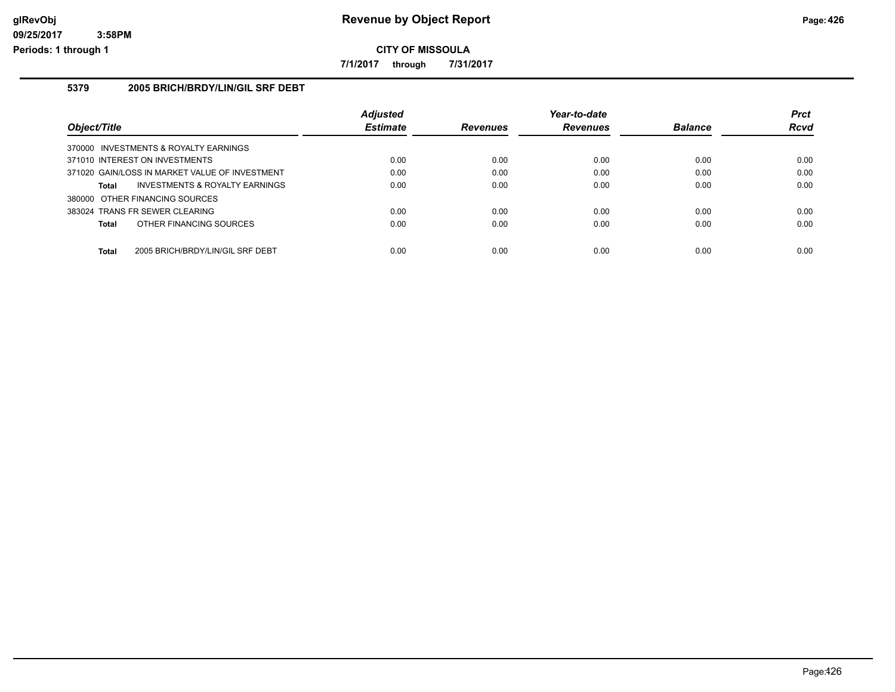**3:58PM**

**CITY OF MISSOULA**

**7/1/2017 through 7/31/2017**

#### **5379 2005 BRICH/BRDY/LIN/GIL SRF DEBT**

|                                                  | <b>Adjusted</b> |                 | Year-to-date    |                | <b>Prct</b> |
|--------------------------------------------------|-----------------|-----------------|-----------------|----------------|-------------|
| Object/Title                                     | <b>Estimate</b> | <b>Revenues</b> | <b>Revenues</b> | <b>Balance</b> | <b>Rcvd</b> |
| 370000 INVESTMENTS & ROYALTY EARNINGS            |                 |                 |                 |                |             |
| 371010 INTEREST ON INVESTMENTS                   | 0.00            | 0.00            | 0.00            | 0.00           | 0.00        |
| 371020 GAIN/LOSS IN MARKET VALUE OF INVESTMENT   | 0.00            | 0.00            | 0.00            | 0.00           | 0.00        |
| INVESTMENTS & ROYALTY EARNINGS<br>Total          | 0.00            | 0.00            | 0.00            | 0.00           | 0.00        |
| 380000 OTHER FINANCING SOURCES                   |                 |                 |                 |                |             |
| 383024 TRANS FR SEWER CLEARING                   | 0.00            | 0.00            | 0.00            | 0.00           | 0.00        |
| OTHER FINANCING SOURCES<br>Total                 | 0.00            | 0.00            | 0.00            | 0.00           | 0.00        |
| <b>Total</b><br>2005 BRICH/BRDY/LIN/GIL SRF DEBT | 0.00            | 0.00            | 0.00            | 0.00           | 0.00        |
|                                                  |                 |                 |                 |                |             |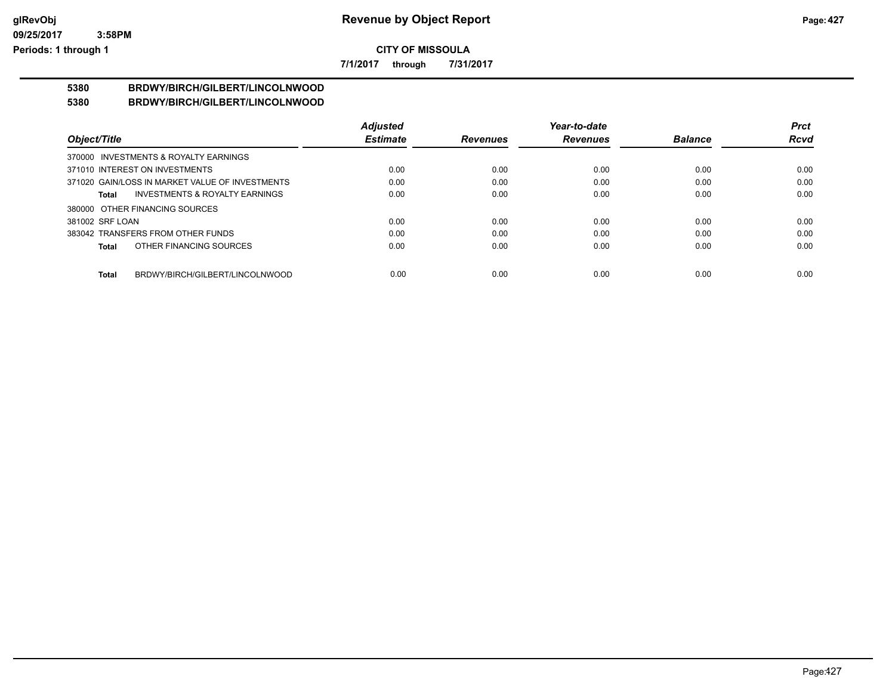**7/1/2017 through 7/31/2017**

#### **5380 BRDWY/BIRCH/GILBERT/LINCOLNWOOD 5380 BRDWY/BIRCH/GILBERT/LINCOLNWOOD**

|                                                    | <b>Adjusted</b> |                 | Year-to-date    |                | Prct        |
|----------------------------------------------------|-----------------|-----------------|-----------------|----------------|-------------|
| Object/Title                                       | <b>Estimate</b> | <b>Revenues</b> | <b>Revenues</b> | <b>Balance</b> | <b>Rcvd</b> |
| 370000 INVESTMENTS & ROYALTY EARNINGS              |                 |                 |                 |                |             |
| 371010 INTEREST ON INVESTMENTS                     | 0.00            | 0.00            | 0.00            | 0.00           | 0.00        |
| 371020 GAIN/LOSS IN MARKET VALUE OF INVESTMENTS    | 0.00            | 0.00            | 0.00            | 0.00           | 0.00        |
| <b>INVESTMENTS &amp; ROYALTY EARNINGS</b><br>Total | 0.00            | 0.00            | 0.00            | 0.00           | 0.00        |
| 380000 OTHER FINANCING SOURCES                     |                 |                 |                 |                |             |
| 381002 SRF LOAN                                    | 0.00            | 0.00            | 0.00            | 0.00           | 0.00        |
| 383042 TRANSFERS FROM OTHER FUNDS                  | 0.00            | 0.00            | 0.00            | 0.00           | 0.00        |
| OTHER FINANCING SOURCES<br><b>Total</b>            | 0.00            | 0.00            | 0.00            | 0.00           | 0.00        |
|                                                    |                 |                 |                 |                |             |
| BRDWY/BIRCH/GILBERT/LINCOLNWOOD<br>Total           | 0.00            | 0.00            | 0.00            | 0.00           | 0.00        |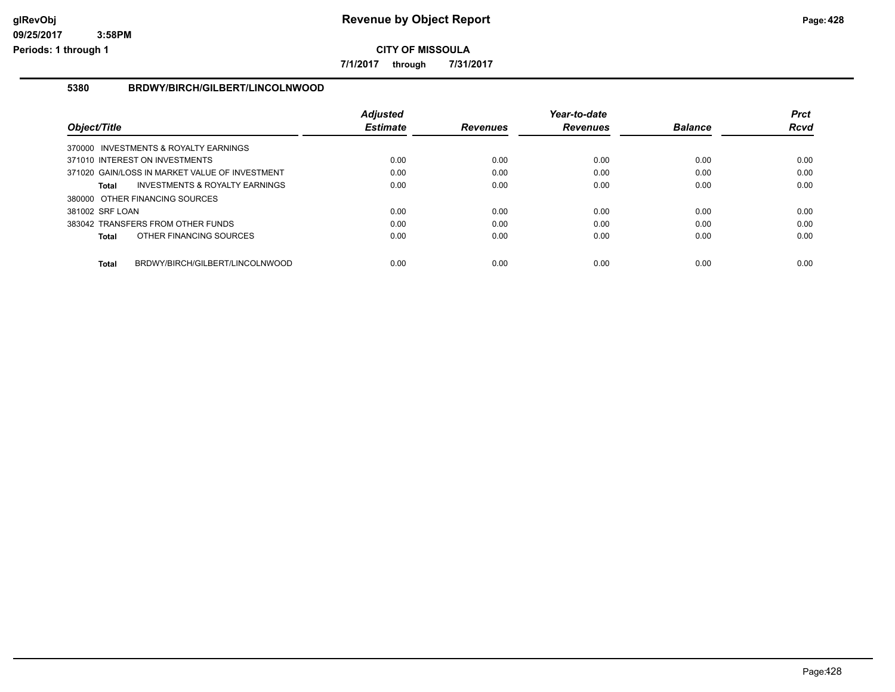**3:58PM**

**CITY OF MISSOULA**

**7/1/2017 through 7/31/2017**

#### **5380 BRDWY/BIRCH/GILBERT/LINCOLNWOOD**

|                                                 | <b>Adjusted</b> |                 | Year-to-date    |                | <b>Prct</b> |
|-------------------------------------------------|-----------------|-----------------|-----------------|----------------|-------------|
| Object/Title                                    | <b>Estimate</b> | <b>Revenues</b> | <b>Revenues</b> | <b>Balance</b> | Rcvd        |
| 370000 INVESTMENTS & ROYALTY EARNINGS           |                 |                 |                 |                |             |
| 371010 INTEREST ON INVESTMENTS                  | 0.00            | 0.00            | 0.00            | 0.00           | 0.00        |
| 371020 GAIN/LOSS IN MARKET VALUE OF INVESTMENT  | 0.00            | 0.00            | 0.00            | 0.00           | 0.00        |
| INVESTMENTS & ROYALTY EARNINGS<br><b>Total</b>  | 0.00            | 0.00            | 0.00            | 0.00           | 0.00        |
| 380000 OTHER FINANCING SOURCES                  |                 |                 |                 |                |             |
| 381002 SRF LOAN                                 | 0.00            | 0.00            | 0.00            | 0.00           | 0.00        |
| 383042 TRANSFERS FROM OTHER FUNDS               | 0.00            | 0.00            | 0.00            | 0.00           | 0.00        |
| OTHER FINANCING SOURCES<br><b>Total</b>         | 0.00            | 0.00            | 0.00            | 0.00           | 0.00        |
|                                                 |                 |                 |                 |                |             |
| BRDWY/BIRCH/GILBERT/LINCOLNWOOD<br><b>Total</b> | 0.00            | 0.00            | 0.00            | 0.00           | 0.00        |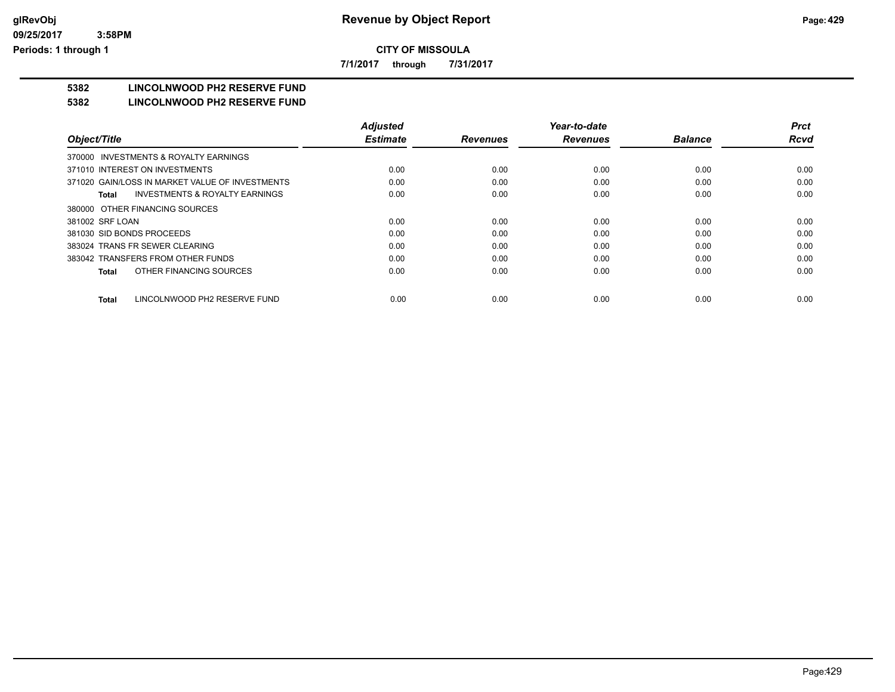**7/1/2017 through 7/31/2017**

## **5382 LINCOLNWOOD PH2 RESERVE FUND**

#### **5382 LINCOLNWOOD PH2 RESERVE FUND**

|                                                    | <b>Adiusted</b> |                 | Year-to-date    |                | <b>Prct</b> |
|----------------------------------------------------|-----------------|-----------------|-----------------|----------------|-------------|
| Object/Title                                       | <b>Estimate</b> | <b>Revenues</b> | <b>Revenues</b> | <b>Balance</b> | <b>Rcvd</b> |
| INVESTMENTS & ROYALTY EARNINGS<br>370000           |                 |                 |                 |                |             |
| 371010 INTEREST ON INVESTMENTS                     | 0.00            | 0.00            | 0.00            | 0.00           | 0.00        |
| 371020 GAIN/LOSS IN MARKET VALUE OF INVESTMENTS    | 0.00            | 0.00            | 0.00            | 0.00           | 0.00        |
| <b>INVESTMENTS &amp; ROYALTY EARNINGS</b><br>Total | 0.00            | 0.00            | 0.00            | 0.00           | 0.00        |
| 380000 OTHER FINANCING SOURCES                     |                 |                 |                 |                |             |
| 381002 SRF LOAN                                    | 0.00            | 0.00            | 0.00            | 0.00           | 0.00        |
| 381030 SID BONDS PROCEEDS                          | 0.00            | 0.00            | 0.00            | 0.00           | 0.00        |
| 383024 TRANS FR SEWER CLEARING                     | 0.00            | 0.00            | 0.00            | 0.00           | 0.00        |
| 383042 TRANSFERS FROM OTHER FUNDS                  | 0.00            | 0.00            | 0.00            | 0.00           | 0.00        |
| OTHER FINANCING SOURCES<br>Total                   | 0.00            | 0.00            | 0.00            | 0.00           | 0.00        |
| LINCOLNWOOD PH2 RESERVE FUND<br><b>Total</b>       | 0.00            | 0.00            | 0.00            | 0.00           | 0.00        |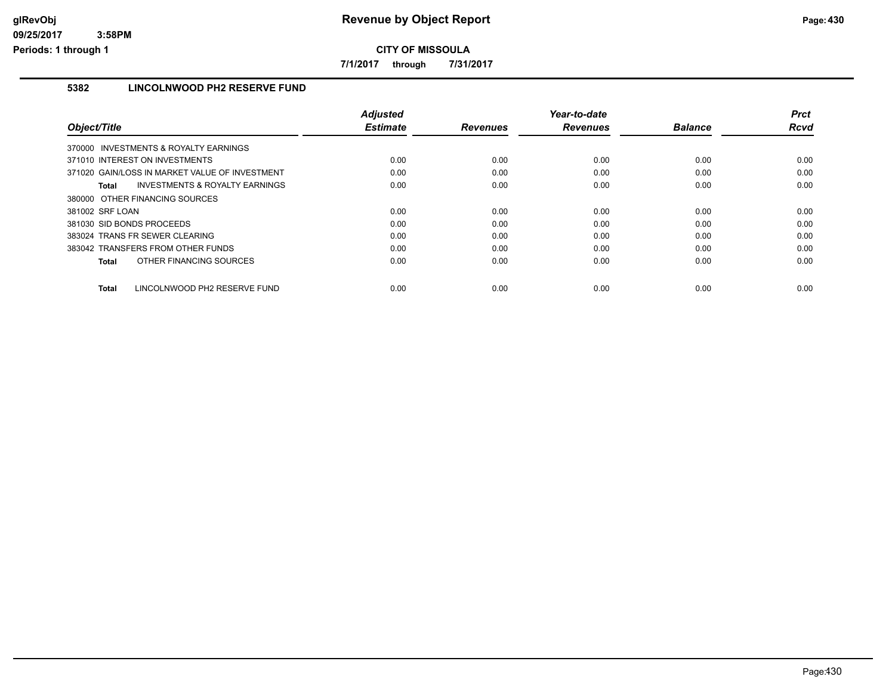**7/1/2017 through 7/31/2017**

#### **5382 LINCOLNWOOD PH2 RESERVE FUND**

|                                                     | <b>Adjusted</b> |                 | Year-to-date    |                | <b>Prct</b> |
|-----------------------------------------------------|-----------------|-----------------|-----------------|----------------|-------------|
| Object/Title                                        | <b>Estimate</b> | <b>Revenues</b> | <b>Revenues</b> | <b>Balance</b> | Rcvd        |
| <b>INVESTMENTS &amp; ROYALTY EARNINGS</b><br>370000 |                 |                 |                 |                |             |
| 371010 INTEREST ON INVESTMENTS                      | 0.00            | 0.00            | 0.00            | 0.00           | 0.00        |
| 371020 GAIN/LOSS IN MARKET VALUE OF INVESTMENT      | 0.00            | 0.00            | 0.00            | 0.00           | 0.00        |
| <b>INVESTMENTS &amp; ROYALTY EARNINGS</b><br>Total  | 0.00            | 0.00            | 0.00            | 0.00           | 0.00        |
| 380000 OTHER FINANCING SOURCES                      |                 |                 |                 |                |             |
| 381002 SRF LOAN                                     | 0.00            | 0.00            | 0.00            | 0.00           | 0.00        |
| 381030 SID BONDS PROCEEDS                           | 0.00            | 0.00            | 0.00            | 0.00           | 0.00        |
| 383024 TRANS FR SEWER CLEARING                      | 0.00            | 0.00            | 0.00            | 0.00           | 0.00        |
| 383042 TRANSFERS FROM OTHER FUNDS                   | 0.00            | 0.00            | 0.00            | 0.00           | 0.00        |
| OTHER FINANCING SOURCES<br>Total                    | 0.00            | 0.00            | 0.00            | 0.00           | 0.00        |
|                                                     |                 |                 |                 |                |             |
| LINCOLNWOOD PH2 RESERVE FUND<br><b>Total</b>        | 0.00            | 0.00            | 0.00            | 0.00           | 0.00        |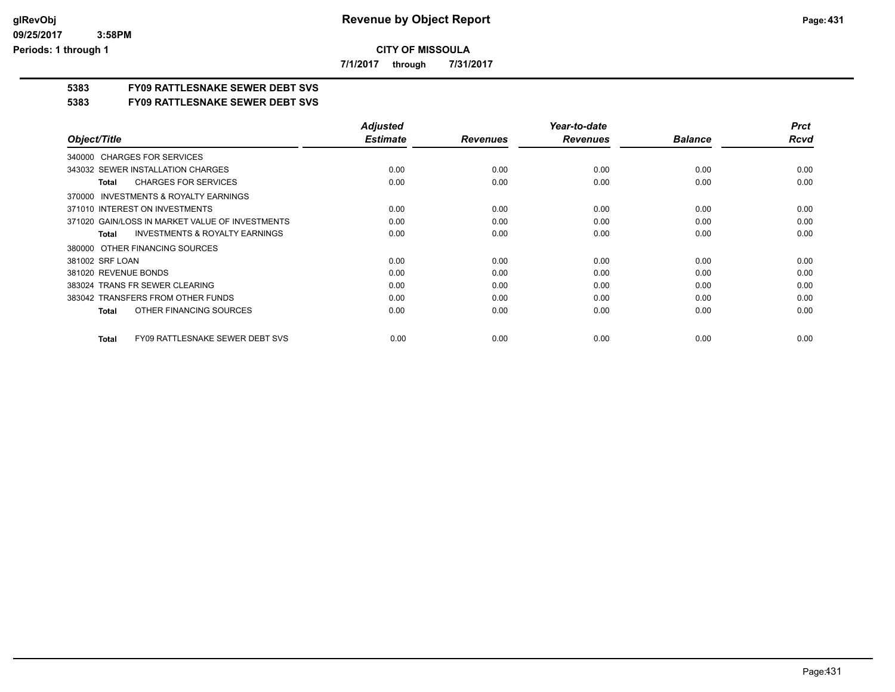**7/1/2017 through 7/31/2017**

## **5383 FY09 RATTLESNAKE SEWER DEBT SVS**

#### **5383 FY09 RATTLESNAKE SEWER DEBT SVS**

|                                                        | <b>Adjusted</b> |                 | Year-to-date    |                | <b>Prct</b> |
|--------------------------------------------------------|-----------------|-----------------|-----------------|----------------|-------------|
| Object/Title                                           | <b>Estimate</b> | <b>Revenues</b> | <b>Revenues</b> | <b>Balance</b> | <b>Rcvd</b> |
| 340000 CHARGES FOR SERVICES                            |                 |                 |                 |                |             |
| 343032 SEWER INSTALLATION CHARGES                      | 0.00            | 0.00            | 0.00            | 0.00           | 0.00        |
| <b>CHARGES FOR SERVICES</b><br><b>Total</b>            | 0.00            | 0.00            | 0.00            | 0.00           | 0.00        |
| <b>INVESTMENTS &amp; ROYALTY EARNINGS</b><br>370000    |                 |                 |                 |                |             |
| 371010 INTEREST ON INVESTMENTS                         | 0.00            | 0.00            | 0.00            | 0.00           | 0.00        |
| 371020 GAIN/LOSS IN MARKET VALUE OF INVESTMENTS        | 0.00            | 0.00            | 0.00            | 0.00           | 0.00        |
| <b>INVESTMENTS &amp; ROYALTY EARNINGS</b><br>Total     | 0.00            | 0.00            | 0.00            | 0.00           | 0.00        |
| OTHER FINANCING SOURCES<br>380000                      |                 |                 |                 |                |             |
| 381002 SRF LOAN                                        | 0.00            | 0.00            | 0.00            | 0.00           | 0.00        |
| 381020 REVENUE BONDS                                   | 0.00            | 0.00            | 0.00            | 0.00           | 0.00        |
| 383024 TRANS FR SEWER CLEARING                         | 0.00            | 0.00            | 0.00            | 0.00           | 0.00        |
| 383042 TRANSFERS FROM OTHER FUNDS                      | 0.00            | 0.00            | 0.00            | 0.00           | 0.00        |
| OTHER FINANCING SOURCES<br>Total                       | 0.00            | 0.00            | 0.00            | 0.00           | 0.00        |
| <b>FY09 RATTLESNAKE SEWER DEBT SVS</b><br><b>Total</b> | 0.00            | 0.00            | 0.00            | 0.00           | 0.00        |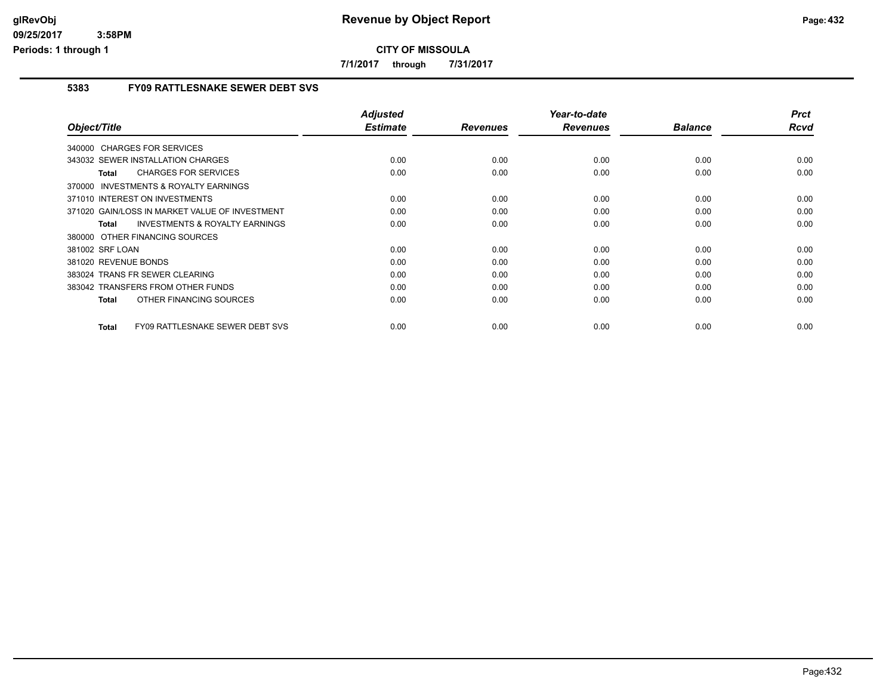**7/1/2017 through 7/31/2017**

#### **5383 FY09 RATTLESNAKE SEWER DEBT SVS**

| Object/Title                                              | <b>Adjusted</b><br><b>Estimate</b> | <b>Revenues</b> | Year-to-date<br><b>Revenues</b> | <b>Balance</b> | <b>Prct</b><br><b>Rcvd</b> |
|-----------------------------------------------------------|------------------------------------|-----------------|---------------------------------|----------------|----------------------------|
|                                                           |                                    |                 |                                 |                |                            |
| 340000 CHARGES FOR SERVICES                               |                                    |                 |                                 |                |                            |
| 343032 SEWER INSTALLATION CHARGES                         | 0.00                               | 0.00            | 0.00                            | 0.00           | 0.00                       |
| <b>CHARGES FOR SERVICES</b><br>Total                      | 0.00                               | 0.00            | 0.00                            | 0.00           | 0.00                       |
| INVESTMENTS & ROYALTY EARNINGS<br>370000                  |                                    |                 |                                 |                |                            |
| 371010 INTEREST ON INVESTMENTS                            | 0.00                               | 0.00            | 0.00                            | 0.00           | 0.00                       |
| 371020 GAIN/LOSS IN MARKET VALUE OF INVESTMENT            | 0.00                               | 0.00            | 0.00                            | 0.00           | 0.00                       |
| <b>INVESTMENTS &amp; ROYALTY EARNINGS</b><br><b>Total</b> | 0.00                               | 0.00            | 0.00                            | 0.00           | 0.00                       |
| 380000 OTHER FINANCING SOURCES                            |                                    |                 |                                 |                |                            |
| 381002 SRF LOAN                                           | 0.00                               | 0.00            | 0.00                            | 0.00           | 0.00                       |
| 381020 REVENUE BONDS                                      | 0.00                               | 0.00            | 0.00                            | 0.00           | 0.00                       |
| 383024 TRANS FR SEWER CLEARING                            | 0.00                               | 0.00            | 0.00                            | 0.00           | 0.00                       |
| 383042 TRANSFERS FROM OTHER FUNDS                         | 0.00                               | 0.00            | 0.00                            | 0.00           | 0.00                       |
| OTHER FINANCING SOURCES<br><b>Total</b>                   | 0.00                               | 0.00            | 0.00                            | 0.00           | 0.00                       |
|                                                           |                                    |                 |                                 |                |                            |
| FY09 RATTLESNAKE SEWER DEBT SVS<br><b>Total</b>           | 0.00                               | 0.00            | 0.00                            | 0.00           | 0.00                       |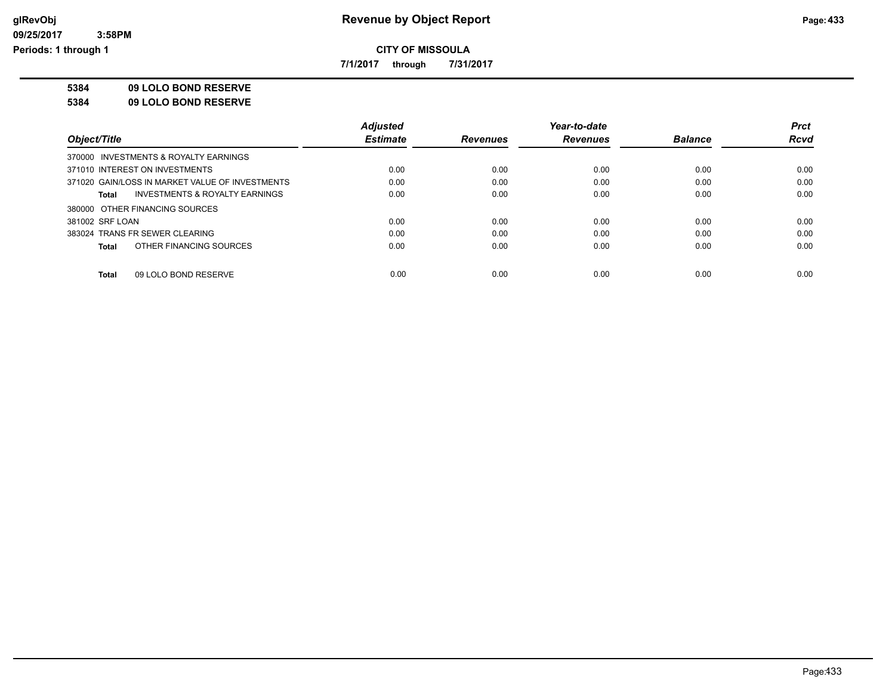**7/1/2017 through 7/31/2017**

**5384 09 LOLO BOND RESERVE**

**5384 09 LOLO BOND RESERVE**

|                                                    | <b>Adjusted</b> |                 | Year-to-date    |                | <b>Prct</b> |
|----------------------------------------------------|-----------------|-----------------|-----------------|----------------|-------------|
| Object/Title                                       | <b>Estimate</b> | <b>Revenues</b> | <b>Revenues</b> | <b>Balance</b> | <b>Rcvd</b> |
| 370000 INVESTMENTS & ROYALTY EARNINGS              |                 |                 |                 |                |             |
| 371010 INTEREST ON INVESTMENTS                     | 0.00            | 0.00            | 0.00            | 0.00           | 0.00        |
| 371020 GAIN/LOSS IN MARKET VALUE OF INVESTMENTS    | 0.00            | 0.00            | 0.00            | 0.00           | 0.00        |
| <b>INVESTMENTS &amp; ROYALTY EARNINGS</b><br>Total | 0.00            | 0.00            | 0.00            | 0.00           | 0.00        |
| 380000 OTHER FINANCING SOURCES                     |                 |                 |                 |                |             |
| 381002 SRF LOAN                                    | 0.00            | 0.00            | 0.00            | 0.00           | 0.00        |
| 383024 TRANS FR SEWER CLEARING                     | 0.00            | 0.00            | 0.00            | 0.00           | 0.00        |
| OTHER FINANCING SOURCES<br><b>Total</b>            | 0.00            | 0.00            | 0.00            | 0.00           | 0.00        |
|                                                    |                 |                 |                 |                |             |
| 09 LOLO BOND RESERVE<br><b>Total</b>               | 0.00            | 0.00            | 0.00            | 0.00           | 0.00        |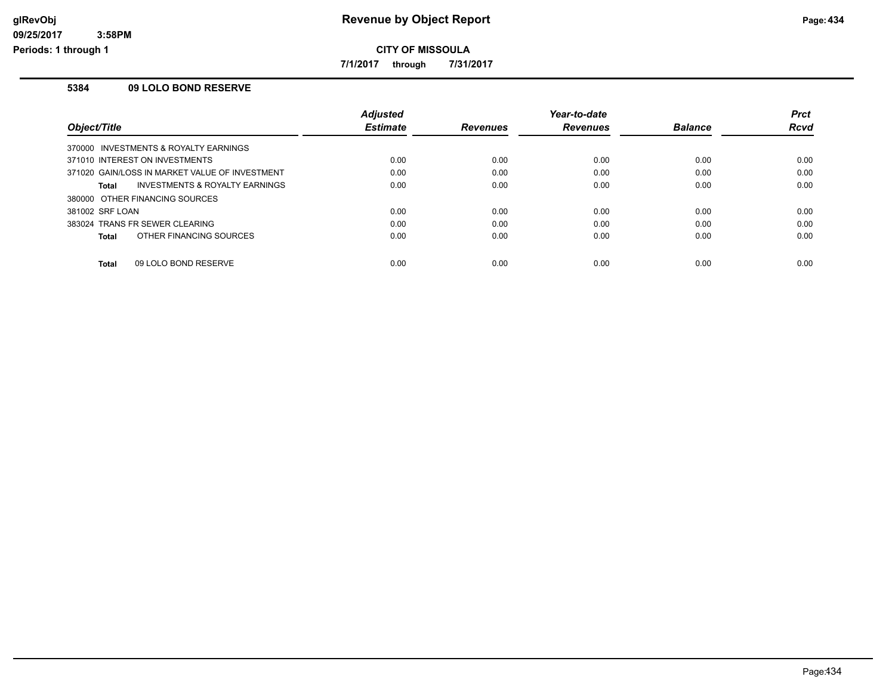**CITY OF MISSOULA**

**7/1/2017 through 7/31/2017**

## **5384 09 LOLO BOND RESERVE**

 **3:58PM**

|                                                | <b>Adiusted</b> |                 | Year-to-date    |                | <b>Prct</b> |
|------------------------------------------------|-----------------|-----------------|-----------------|----------------|-------------|
| Object/Title                                   | <b>Estimate</b> | <b>Revenues</b> | <b>Revenues</b> | <b>Balance</b> | <b>Rcvd</b> |
| 370000 INVESTMENTS & ROYALTY EARNINGS          |                 |                 |                 |                |             |
| 371010 INTEREST ON INVESTMENTS                 | 0.00            | 0.00            | 0.00            | 0.00           | 0.00        |
| 371020 GAIN/LOSS IN MARKET VALUE OF INVESTMENT | 0.00            | 0.00            | 0.00            | 0.00           | 0.00        |
| INVESTMENTS & ROYALTY EARNINGS<br>Total        | 0.00            | 0.00            | 0.00            | 0.00           | 0.00        |
| 380000 OTHER FINANCING SOURCES                 |                 |                 |                 |                |             |
| 381002 SRF LOAN                                | 0.00            | 0.00            | 0.00            | 0.00           | 0.00        |
| 383024 TRANS FR SEWER CLEARING                 | 0.00            | 0.00            | 0.00            | 0.00           | 0.00        |
| Total<br>OTHER FINANCING SOURCES               | 0.00            | 0.00            | 0.00            | 0.00           | 0.00        |
| 09 LOLO BOND RESERVE<br>Total                  | 0.00            | 0.00            | 0.00            | 0.00           | 0.00        |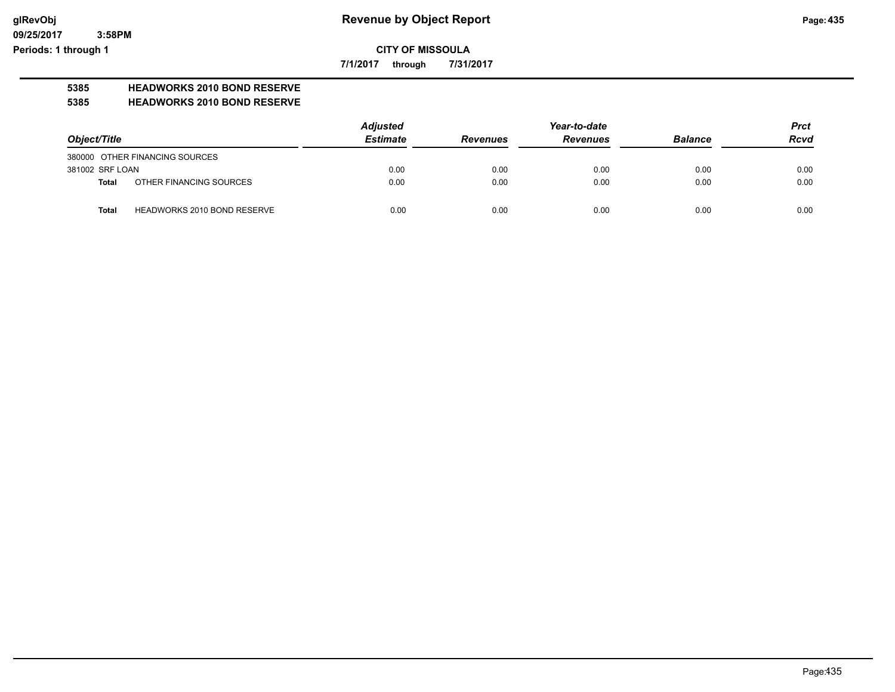**7/1/2017 through 7/31/2017**

# **5385 HEADWORKS 2010 BOND RESERVE**

# **5385 HEADWORKS 2010 BOND RESERVE**

|                 |                                    | <b>Adjusted</b> |                 | Year-to-date    |                | <b>Prct</b> |
|-----------------|------------------------------------|-----------------|-----------------|-----------------|----------------|-------------|
| Object/Title    |                                    | <b>Estimate</b> | <b>Revenues</b> | <b>Revenues</b> | <b>Balance</b> | <b>Rcvd</b> |
|                 | 380000 OTHER FINANCING SOURCES     |                 |                 |                 |                |             |
| 381002 SRF LOAN |                                    | 0.00            | 0.00            | 0.00            | 0.00           | 0.00        |
| <b>Total</b>    | OTHER FINANCING SOURCES            | 0.00            | 0.00            | 0.00            | 0.00           | 0.00        |
| <b>Total</b>    | <b>HEADWORKS 2010 BOND RESERVE</b> | 0.00            | 0.00            | 0.00            | 0.00           | 0.00        |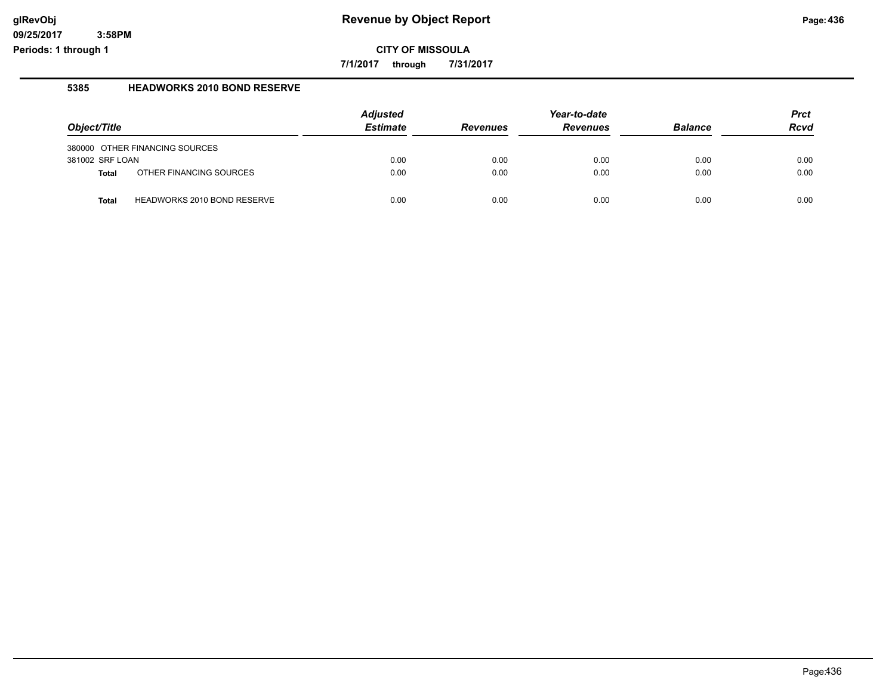**7/1/2017 through 7/31/2017**

## **5385 HEADWORKS 2010 BOND RESERVE**

| Object/Title    |                                    | <b>Adjusted</b><br><b>Estimate</b> | <b>Revenues</b> | Year-to-date<br><b>Revenues</b> | <b>Balance</b> | <b>Prct</b><br><b>Rcvd</b> |
|-----------------|------------------------------------|------------------------------------|-----------------|---------------------------------|----------------|----------------------------|
|                 | 380000 OTHER FINANCING SOURCES     |                                    |                 |                                 |                |                            |
| 381002 SRF LOAN |                                    | 0.00                               | 0.00            | 0.00                            | 0.00           | 0.00                       |
| <b>Total</b>    | OTHER FINANCING SOURCES            | 0.00                               | 0.00            | 0.00                            | 0.00           | 0.00                       |
|                 |                                    |                                    |                 |                                 |                |                            |
| <b>Total</b>    | <b>HEADWORKS 2010 BOND RESERVE</b> | 0.00                               | 0.00            | 0.00                            | 0.00           | 0.00                       |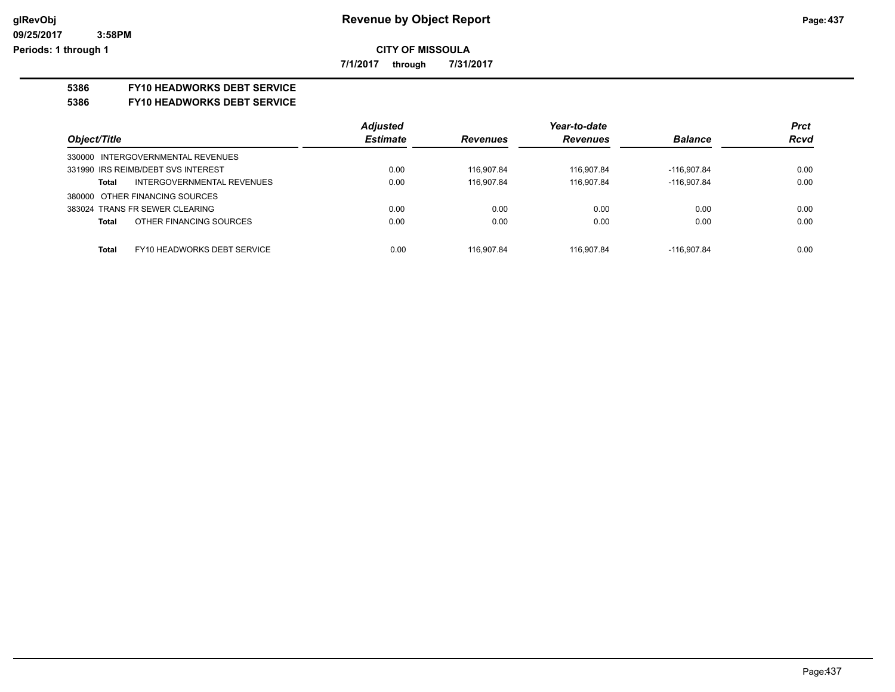**7/1/2017 through 7/31/2017**

## **5386 FY10 HEADWORKS DEBT SERVICE**

## **5386 FY10 HEADWORKS DEBT SERVICE**

|                                             | <b>Adjusted</b> |                 | Year-to-date    |                | <b>Prct</b> |
|---------------------------------------------|-----------------|-----------------|-----------------|----------------|-------------|
| Object/Title                                | <b>Estimate</b> | <b>Revenues</b> | <b>Revenues</b> | <b>Balance</b> | <b>Rcvd</b> |
| 330000 INTERGOVERNMENTAL REVENUES           |                 |                 |                 |                |             |
| 331990 IRS REIMB/DEBT SVS INTEREST          | 0.00            | 116.907.84      | 116.907.84      | -116.907.84    | 0.00        |
| INTERGOVERNMENTAL REVENUES<br><b>Total</b>  | 0.00            | 116.907.84      | 116.907.84      | $-116.907.84$  | 0.00        |
| 380000 OTHER FINANCING SOURCES              |                 |                 |                 |                |             |
| 383024 TRANS FR SEWER CLEARING              | 0.00            | 0.00            | 0.00            | 0.00           | 0.00        |
| OTHER FINANCING SOURCES<br><b>Total</b>     | 0.00            | 0.00            | 0.00            | 0.00           | 0.00        |
|                                             |                 |                 |                 |                |             |
| FY10 HEADWORKS DEBT SERVICE<br><b>Total</b> | 0.00            | 116.907.84      | 116.907.84      | $-116.907.84$  | 0.00        |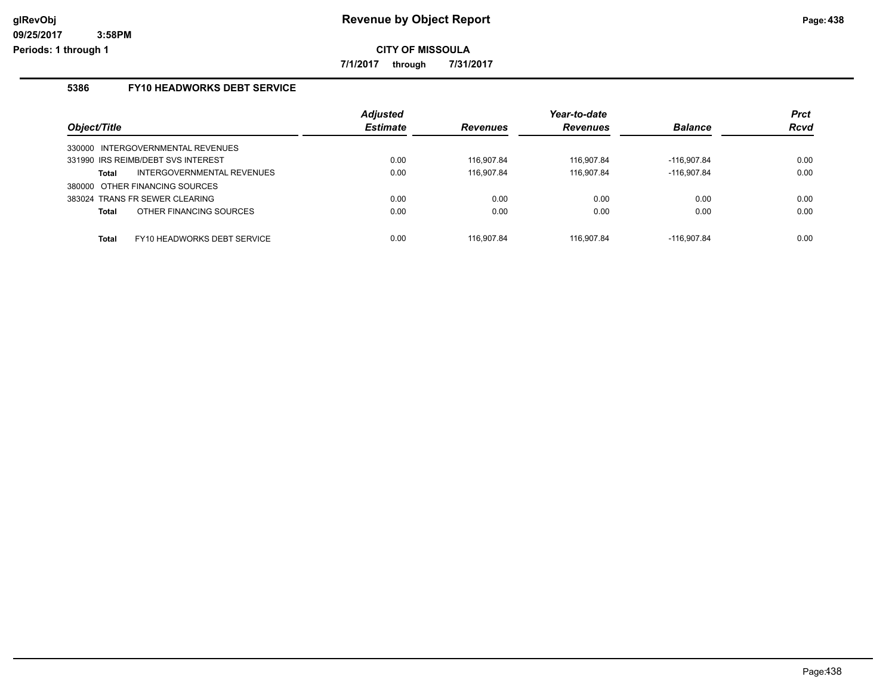**7/1/2017 through 7/31/2017**

## **5386 FY10 HEADWORKS DEBT SERVICE**

|                                      | <b>Adjusted</b> |                 | Year-to-date    |                | <b>Prct</b> |
|--------------------------------------|-----------------|-----------------|-----------------|----------------|-------------|
| Object/Title                         | <b>Estimate</b> | <b>Revenues</b> | <b>Revenues</b> | <b>Balance</b> | <b>Rcvd</b> |
| INTERGOVERNMENTAL REVENUES<br>330000 |                 |                 |                 |                |             |
| 331990 IRS REIMB/DEBT SVS INTEREST   | 0.00            | 116.907.84      | 116.907.84      | -116.907.84    | 0.00        |
| INTERGOVERNMENTAL REVENUES<br>Total  | 0.00            | 116,907.84      | 116,907.84      | $-116,907.84$  | 0.00        |
| 380000 OTHER FINANCING SOURCES       |                 |                 |                 |                |             |
| 383024 TRANS FR SEWER CLEARING       | 0.00            | 0.00            | 0.00            | 0.00           | 0.00        |
| OTHER FINANCING SOURCES<br>Total     | 0.00            | 0.00            | 0.00            | 0.00           | 0.00        |
| FY10 HEADWORKS DEBT SERVICE<br>Total | 0.00            | 116.907.84      | 116.907.84      | $-116.907.84$  | 0.00        |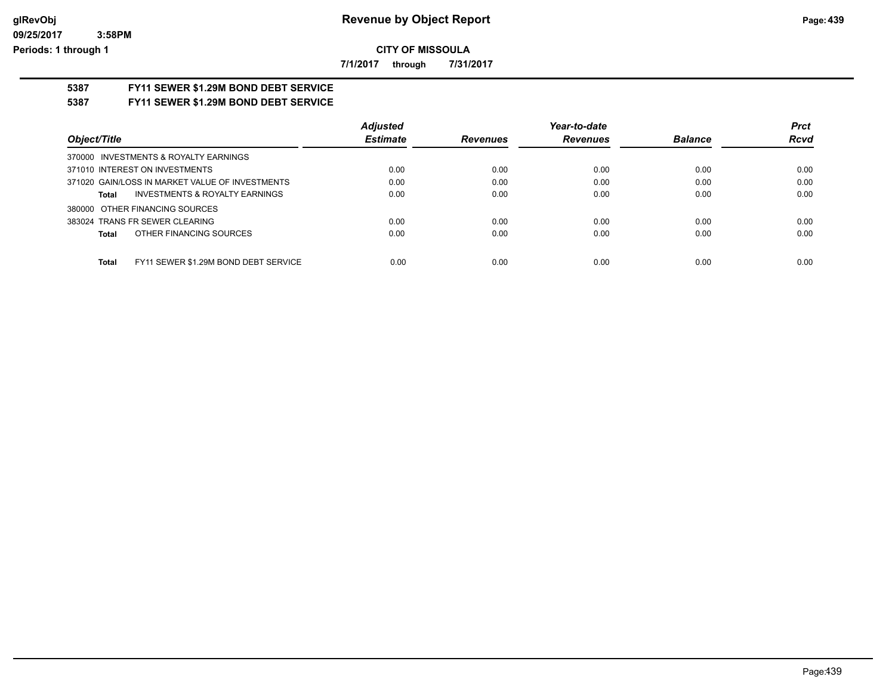**CITY OF MISSOULA**

**7/1/2017 through 7/31/2017**

# **5387 FY11 SEWER \$1.29M BOND DEBT SERVICE**

# **5387 FY11 SEWER \$1.29M BOND DEBT SERVICE**

|                                                    | <b>Adjusted</b> |                 | Year-to-date    |                | <b>Prct</b> |
|----------------------------------------------------|-----------------|-----------------|-----------------|----------------|-------------|
| Object/Title                                       | <b>Estimate</b> | <b>Revenues</b> | <b>Revenues</b> | <b>Balance</b> | <b>Rcvd</b> |
| 370000 INVESTMENTS & ROYALTY EARNINGS              |                 |                 |                 |                |             |
| 371010 INTEREST ON INVESTMENTS                     | 0.00            | 0.00            | 0.00            | 0.00           | 0.00        |
| 371020 GAIN/LOSS IN MARKET VALUE OF INVESTMENTS    | 0.00            | 0.00            | 0.00            | 0.00           | 0.00        |
| <b>INVESTMENTS &amp; ROYALTY EARNINGS</b><br>Total | 0.00            | 0.00            | 0.00            | 0.00           | 0.00        |
| 380000 OTHER FINANCING SOURCES                     |                 |                 |                 |                |             |
| 383024 TRANS FR SEWER CLEARING                     | 0.00            | 0.00            | 0.00            | 0.00           | 0.00        |
| OTHER FINANCING SOURCES<br>Total                   | 0.00            | 0.00            | 0.00            | 0.00           | 0.00        |
|                                                    |                 |                 |                 |                |             |
| FY11 SEWER \$1.29M BOND DEBT SERVICE<br>Total      | 0.00            | 0.00            | 0.00            | 0.00           | 0.00        |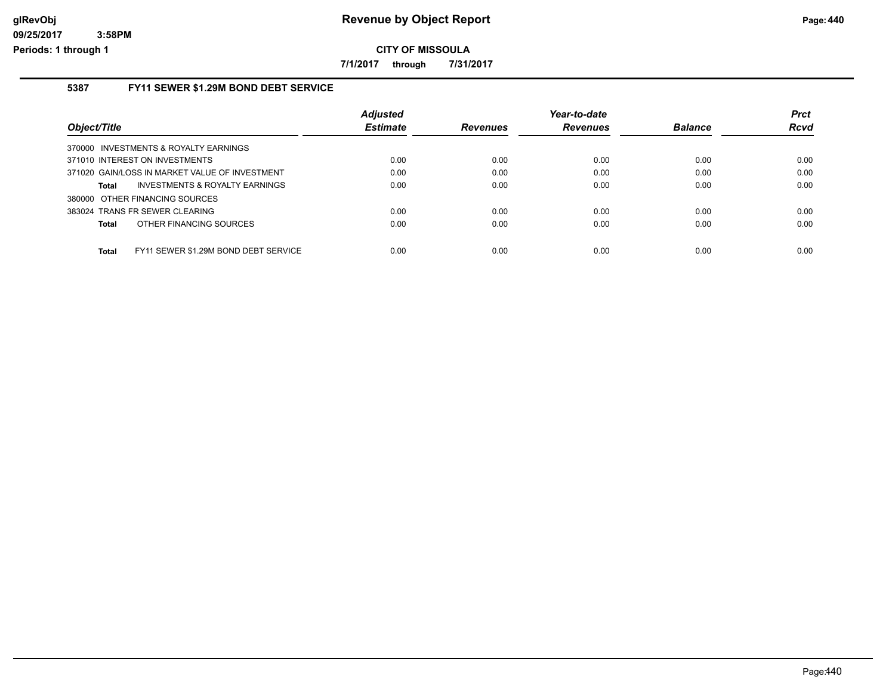**7/1/2017 through 7/31/2017**

## **5387 FY11 SEWER \$1.29M BOND DEBT SERVICE**

|                                                      | <b>Adjusted</b> |                 | Year-to-date    |                | <b>Prct</b> |
|------------------------------------------------------|-----------------|-----------------|-----------------|----------------|-------------|
| Object/Title                                         | <b>Estimate</b> | <b>Revenues</b> | <b>Revenues</b> | <b>Balance</b> | <b>Rcvd</b> |
| 370000 INVESTMENTS & ROYALTY EARNINGS                |                 |                 |                 |                |             |
| 371010 INTEREST ON INVESTMENTS                       | 0.00            | 0.00            | 0.00            | 0.00           | 0.00        |
| 371020 GAIN/LOSS IN MARKET VALUE OF INVESTMENT       | 0.00            | 0.00            | 0.00            | 0.00           | 0.00        |
| INVESTMENTS & ROYALTY EARNINGS<br>Total              | 0.00            | 0.00            | 0.00            | 0.00           | 0.00        |
| 380000 OTHER FINANCING SOURCES                       |                 |                 |                 |                |             |
| 383024 TRANS FR SEWER CLEARING                       | 0.00            | 0.00            | 0.00            | 0.00           | 0.00        |
| OTHER FINANCING SOURCES<br>Total                     | 0.00            | 0.00            | 0.00            | 0.00           | 0.00        |
|                                                      |                 |                 |                 |                |             |
| <b>Total</b><br>FY11 SEWER \$1.29M BOND DEBT SERVICE | 0.00            | 0.00            | 0.00            | 0.00           | 0.00        |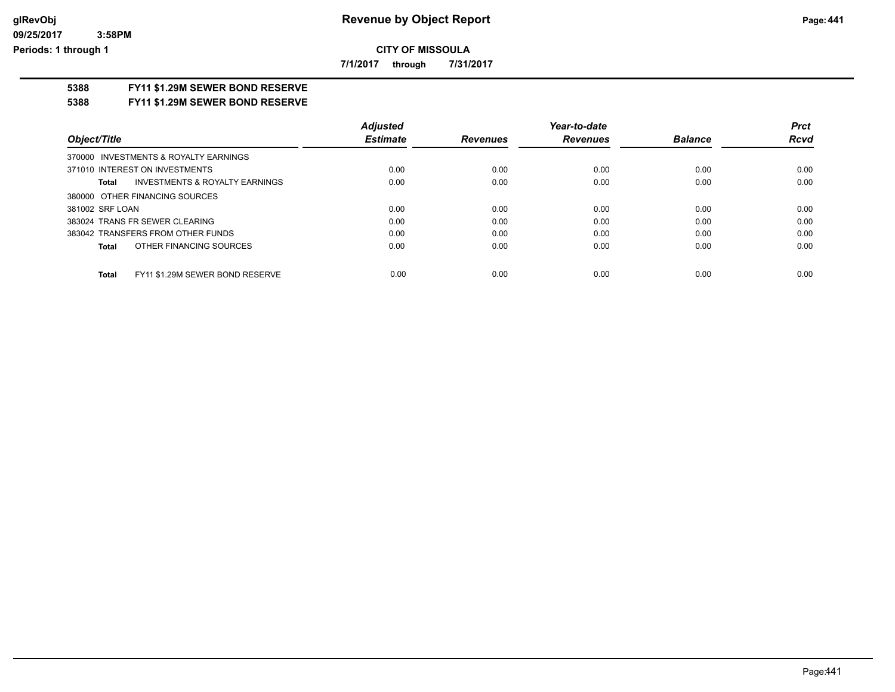**7/1/2017 through 7/31/2017**

# **5388 FY11 \$1.29M SEWER BOND RESERVE**

**5388 FY11 \$1.29M SEWER BOND RESERVE**

|                 |                                           | <b>Adjusted</b> |                 | Year-to-date    |                | <b>Prct</b> |
|-----------------|-------------------------------------------|-----------------|-----------------|-----------------|----------------|-------------|
| Object/Title    |                                           | <b>Estimate</b> | <b>Revenues</b> | <b>Revenues</b> | <b>Balance</b> | <b>Rcvd</b> |
|                 | 370000 INVESTMENTS & ROYALTY EARNINGS     |                 |                 |                 |                |             |
|                 | 371010 INTEREST ON INVESTMENTS            | 0.00            | 0.00            | 0.00            | 0.00           | 0.00        |
| Total           | <b>INVESTMENTS &amp; ROYALTY EARNINGS</b> | 0.00            | 0.00            | 0.00            | 0.00           | 0.00        |
|                 | 380000 OTHER FINANCING SOURCES            |                 |                 |                 |                |             |
| 381002 SRF LOAN |                                           | 0.00            | 0.00            | 0.00            | 0.00           | 0.00        |
|                 | 383024 TRANS FR SEWER CLEARING            | 0.00            | 0.00            | 0.00            | 0.00           | 0.00        |
|                 | 383042 TRANSFERS FROM OTHER FUNDS         | 0.00            | 0.00            | 0.00            | 0.00           | 0.00        |
| Total           | OTHER FINANCING SOURCES                   | 0.00            | 0.00            | 0.00            | 0.00           | 0.00        |
| <b>Total</b>    | FY11 \$1.29M SEWER BOND RESERVE           | 0.00            | 0.00            | 0.00            | 0.00           | 0.00        |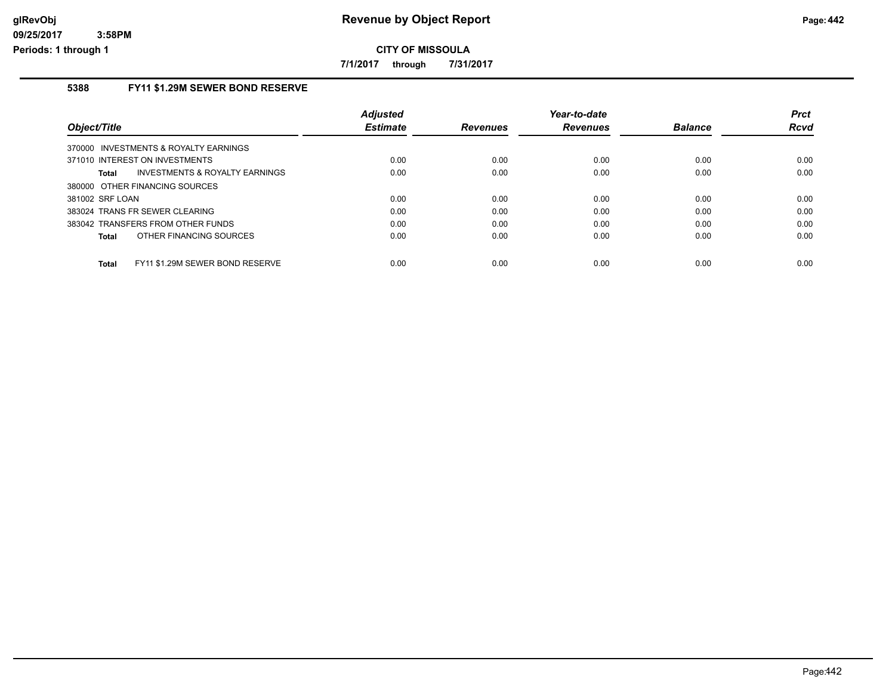**7/1/2017 through 7/31/2017**

## **5388 FY11 \$1.29M SEWER BOND RESERVE**

|                                                 | <b>Adjusted</b> |                 | Year-to-date    |                | <b>Prct</b> |
|-------------------------------------------------|-----------------|-----------------|-----------------|----------------|-------------|
| Object/Title                                    | <b>Estimate</b> | <b>Revenues</b> | <b>Revenues</b> | <b>Balance</b> | <b>Rcvd</b> |
| 370000 INVESTMENTS & ROYALTY EARNINGS           |                 |                 |                 |                |             |
| 371010 INTEREST ON INVESTMENTS                  | 0.00            | 0.00            | 0.00            | 0.00           | 0.00        |
| INVESTMENTS & ROYALTY EARNINGS<br><b>Total</b>  | 0.00            | 0.00            | 0.00            | 0.00           | 0.00        |
| 380000 OTHER FINANCING SOURCES                  |                 |                 |                 |                |             |
| 381002 SRF LOAN                                 | 0.00            | 0.00            | 0.00            | 0.00           | 0.00        |
| 383024 TRANS FR SEWER CLEARING                  | 0.00            | 0.00            | 0.00            | 0.00           | 0.00        |
| 383042 TRANSFERS FROM OTHER FUNDS               | 0.00            | 0.00            | 0.00            | 0.00           | 0.00        |
| OTHER FINANCING SOURCES<br><b>Total</b>         | 0.00            | 0.00            | 0.00            | 0.00           | 0.00        |
| FY11 \$1.29M SEWER BOND RESERVE<br><b>Total</b> | 0.00            | 0.00            | 0.00            | 0.00           | 0.00        |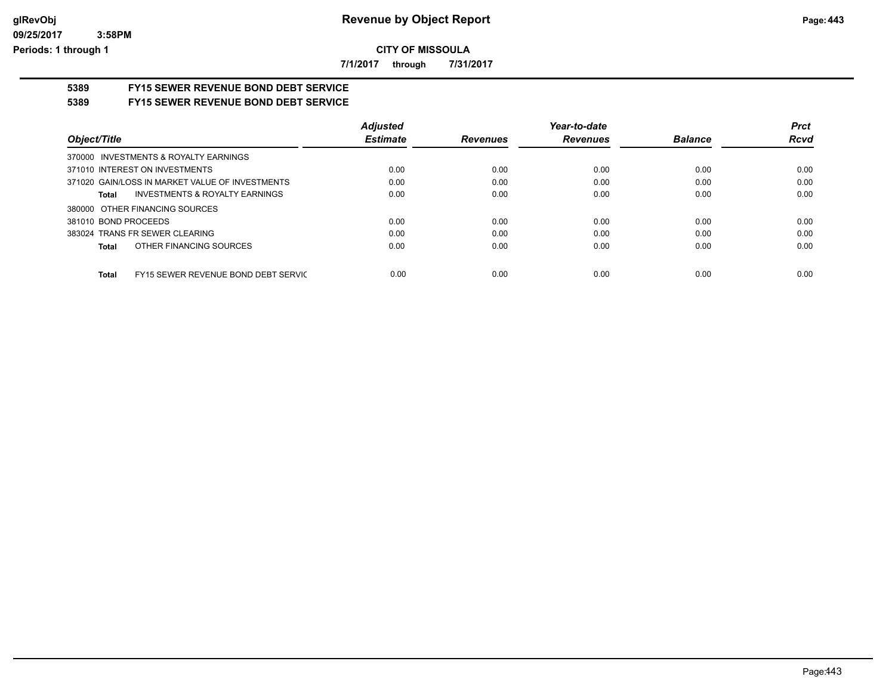**3:58PM**

**CITY OF MISSOULA**

**7/1/2017 through 7/31/2017**

## **5389 FY15 SEWER REVENUE BOND DEBT SERVICE 5389 FY15 SEWER REVENUE BOND DEBT SERVICE**

|                                                     | <b>Adjusted</b> |                 | Year-to-date    |                | <b>Prct</b> |
|-----------------------------------------------------|-----------------|-----------------|-----------------|----------------|-------------|
| Object/Title                                        | <b>Estimate</b> | <b>Revenues</b> | <b>Revenues</b> | <b>Balance</b> | <b>Rcvd</b> |
| 370000 INVESTMENTS & ROYALTY EARNINGS               |                 |                 |                 |                |             |
| 371010 INTEREST ON INVESTMENTS                      | 0.00            | 0.00            | 0.00            | 0.00           | 0.00        |
| 371020 GAIN/LOSS IN MARKET VALUE OF INVESTMENTS     | 0.00            | 0.00            | 0.00            | 0.00           | 0.00        |
| <b>INVESTMENTS &amp; ROYALTY EARNINGS</b><br>Total  | 0.00            | 0.00            | 0.00            | 0.00           | 0.00        |
| 380000 OTHER FINANCING SOURCES                      |                 |                 |                 |                |             |
| 381010 BOND PROCEEDS                                | 0.00            | 0.00            | 0.00            | 0.00           | 0.00        |
| 383024 TRANS FR SEWER CLEARING                      | 0.00            | 0.00            | 0.00            | 0.00           | 0.00        |
| OTHER FINANCING SOURCES<br>Total                    | 0.00            | 0.00            | 0.00            | 0.00           | 0.00        |
| FY15 SEWER REVENUE BOND DEBT SERVIC<br><b>Total</b> | 0.00            | 0.00            | 0.00            | 0.00           | 0.00        |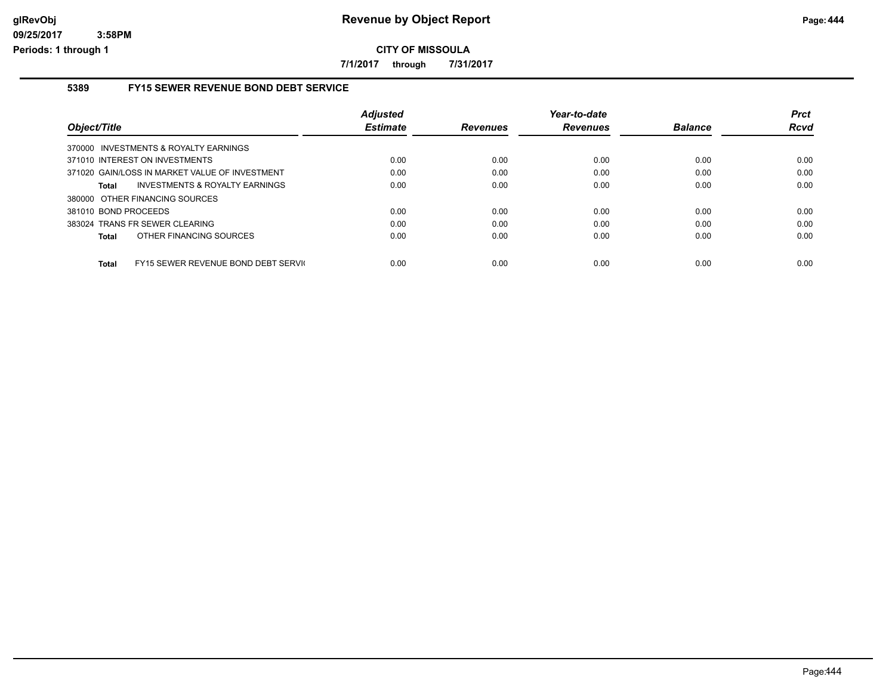**3:58PM**

**CITY OF MISSOULA**

**7/1/2017 through 7/31/2017**

## **5389 FY15 SEWER REVENUE BOND DEBT SERVICE**

|                                                     | <b>Adjusted</b> |                 | Year-to-date    |                | <b>Prct</b> |
|-----------------------------------------------------|-----------------|-----------------|-----------------|----------------|-------------|
| Object/Title                                        | <b>Estimate</b> | <b>Revenues</b> | <b>Revenues</b> | <b>Balance</b> | <b>Rcvd</b> |
| 370000 INVESTMENTS & ROYALTY EARNINGS               |                 |                 |                 |                |             |
| 371010 INTEREST ON INVESTMENTS                      | 0.00            | 0.00            | 0.00            | 0.00           | 0.00        |
| 371020 GAIN/LOSS IN MARKET VALUE OF INVESTMENT      | 0.00            | 0.00            | 0.00            | 0.00           | 0.00        |
| INVESTMENTS & ROYALTY EARNINGS<br>Total             | 0.00            | 0.00            | 0.00            | 0.00           | 0.00        |
| 380000 OTHER FINANCING SOURCES                      |                 |                 |                 |                |             |
| 381010 BOND PROCEEDS                                | 0.00            | 0.00            | 0.00            | 0.00           | 0.00        |
| 383024 TRANS FR SEWER CLEARING                      | 0.00            | 0.00            | 0.00            | 0.00           | 0.00        |
| OTHER FINANCING SOURCES<br>Total                    | 0.00            | 0.00            | 0.00            | 0.00           | 0.00        |
|                                                     |                 |                 |                 |                |             |
| FY15 SEWER REVENUE BOND DEBT SERVIC<br><b>Total</b> | 0.00            | 0.00            | 0.00            | 0.00           | 0.00        |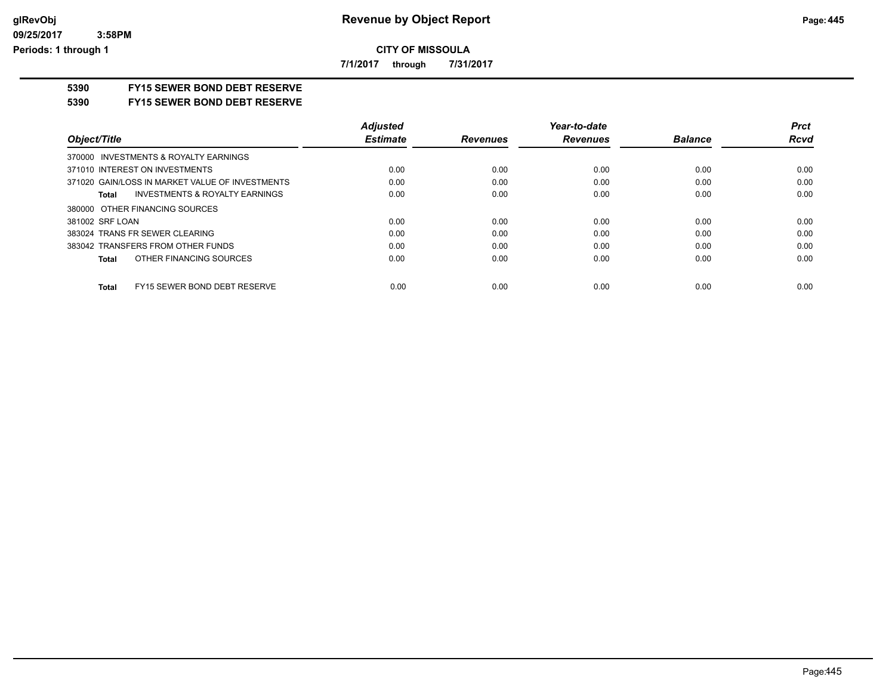**7/1/2017 through 7/31/2017**

# **5390 FY15 SEWER BOND DEBT RESERVE**

## **5390 FY15 SEWER BOND DEBT RESERVE**

|                                                 | <b>Adjusted</b> |                 | Year-to-date    |                | <b>Prct</b> |
|-------------------------------------------------|-----------------|-----------------|-----------------|----------------|-------------|
| Object/Title                                    | <b>Estimate</b> | <b>Revenues</b> | <b>Revenues</b> | <b>Balance</b> | <b>Rcvd</b> |
| 370000 INVESTMENTS & ROYALTY EARNINGS           |                 |                 |                 |                |             |
| 371010 INTEREST ON INVESTMENTS                  | 0.00            | 0.00            | 0.00            | 0.00           | 0.00        |
| 371020 GAIN/LOSS IN MARKET VALUE OF INVESTMENTS | 0.00            | 0.00            | 0.00            | 0.00           | 0.00        |
| INVESTMENTS & ROYALTY EARNINGS<br>Total         | 0.00            | 0.00            | 0.00            | 0.00           | 0.00        |
| 380000 OTHER FINANCING SOURCES                  |                 |                 |                 |                |             |
| 381002 SRF LOAN                                 | 0.00            | 0.00            | 0.00            | 0.00           | 0.00        |
| 383024 TRANS FR SEWER CLEARING                  | 0.00            | 0.00            | 0.00            | 0.00           | 0.00        |
| 383042 TRANSFERS FROM OTHER FUNDS               | 0.00            | 0.00            | 0.00            | 0.00           | 0.00        |
| OTHER FINANCING SOURCES<br>Total                | 0.00            | 0.00            | 0.00            | 0.00           | 0.00        |
| FY15 SEWER BOND DEBT RESERVE<br><b>Total</b>    | 0.00            | 0.00            | 0.00            | 0.00           | 0.00        |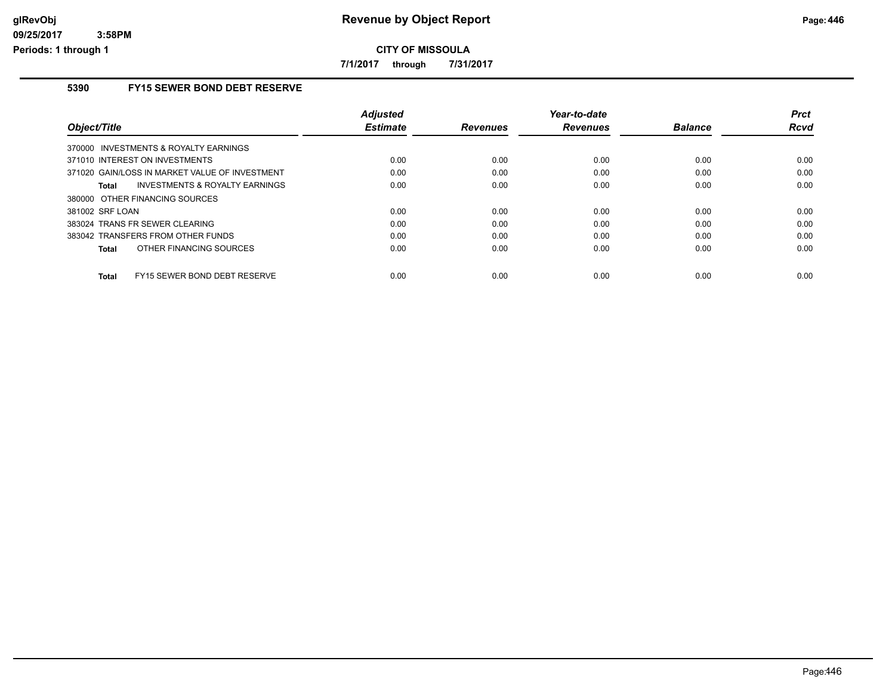**CITY OF MISSOULA**

**7/1/2017 through 7/31/2017**

## **5390 FY15 SEWER BOND DEBT RESERVE**

| Object/Title                                       | <b>Adjusted</b><br><b>Estimate</b> | <b>Revenues</b> | Year-to-date<br><b>Revenues</b> | <b>Balance</b> | <b>Prct</b><br>Rcvd |
|----------------------------------------------------|------------------------------------|-----------------|---------------------------------|----------------|---------------------|
| 370000 INVESTMENTS & ROYALTY EARNINGS              |                                    |                 |                                 |                |                     |
| 371010 INTEREST ON INVESTMENTS                     | 0.00                               | 0.00            | 0.00                            | 0.00           | 0.00                |
| 371020 GAIN/LOSS IN MARKET VALUE OF INVESTMENT     | 0.00                               | 0.00            | 0.00                            | 0.00           | 0.00                |
| <b>INVESTMENTS &amp; ROYALTY EARNINGS</b><br>Total | 0.00                               | 0.00            | 0.00                            | 0.00           | 0.00                |
| 380000 OTHER FINANCING SOURCES                     |                                    |                 |                                 |                |                     |
| 381002 SRF LOAN                                    | 0.00                               | 0.00            | 0.00                            | 0.00           | 0.00                |
| 383024 TRANS FR SEWER CLEARING                     | 0.00                               | 0.00            | 0.00                            | 0.00           | 0.00                |
| 383042 TRANSFERS FROM OTHER FUNDS                  | 0.00                               | 0.00            | 0.00                            | 0.00           | 0.00                |
| OTHER FINANCING SOURCES<br>Total                   | 0.00                               | 0.00            | 0.00                            | 0.00           | 0.00                |
| FY15 SEWER BOND DEBT RESERVE<br>Total              | 0.00                               | 0.00            | 0.00                            | 0.00           | 0.00                |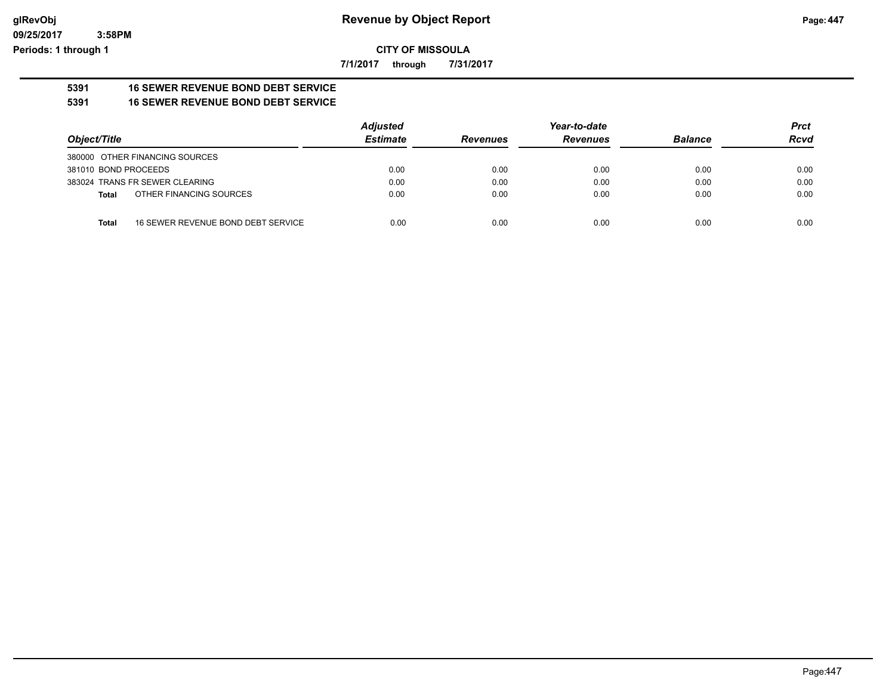#### **09/25/2017 3:58PM**

**Periods: 1 through 1**

**CITY OF MISSOULA**

**7/1/2017 through 7/31/2017**

## **5391 16 SEWER REVENUE BOND DEBT SERVICE 5391 16 SEWER REVENUE BOND DEBT SERVICE**

|                                             | <b>Adjusted</b> |                 | Year-to-date    |                | <b>Prct</b> |
|---------------------------------------------|-----------------|-----------------|-----------------|----------------|-------------|
| Object/Title                                | <b>Estimate</b> | <b>Revenues</b> | <b>Revenues</b> | <b>Balance</b> | <b>Rcvd</b> |
| 380000 OTHER FINANCING SOURCES              |                 |                 |                 |                |             |
| 381010 BOND PROCEEDS                        | 0.00            | 0.00            | 0.00            | 0.00           | 0.00        |
| 383024 TRANS FR SEWER CLEARING              | 0.00            | 0.00            | 0.00            | 0.00           | 0.00        |
| OTHER FINANCING SOURCES<br>Total            | 0.00            | 0.00            | 0.00            | 0.00           | 0.00        |
|                                             |                 |                 |                 |                |             |
| 16 SEWER REVENUE BOND DEBT SERVICE<br>Total | 0.00            | 0.00            | 0.00            | 0.00           | 0.00        |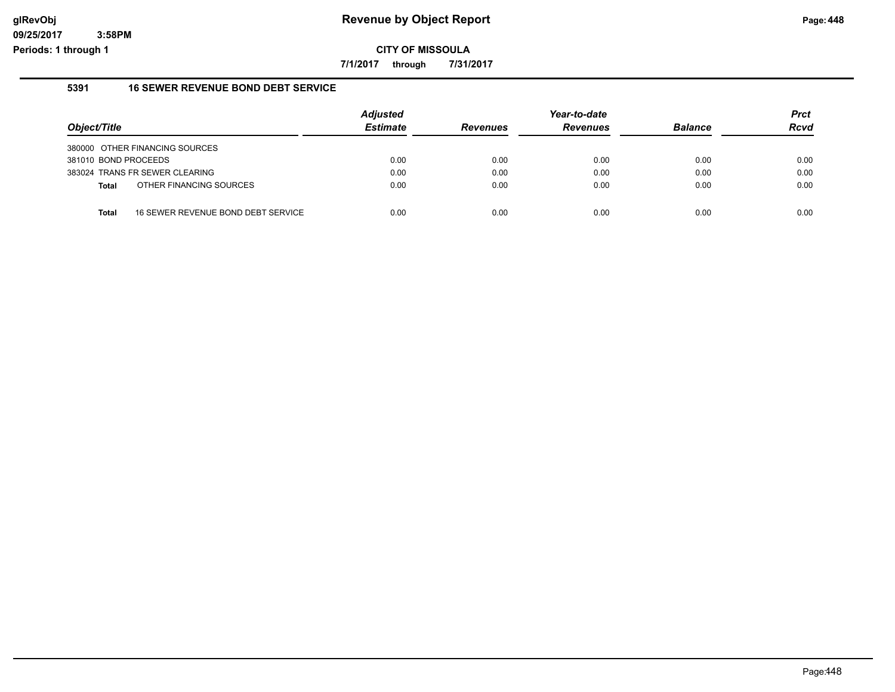**7/1/2017 through 7/31/2017**

## **5391 16 SEWER REVENUE BOND DEBT SERVICE**

|                      |                                    | <b>Adjusted</b><br><b>Estimate</b> | <b>Revenues</b> | Year-to-date<br><b>Revenues</b> | <b>Balance</b> | <b>Prct</b><br><b>Rcvd</b> |
|----------------------|------------------------------------|------------------------------------|-----------------|---------------------------------|----------------|----------------------------|
| Object/Title         |                                    |                                    |                 |                                 |                |                            |
|                      | 380000 OTHER FINANCING SOURCES     |                                    |                 |                                 |                |                            |
| 381010 BOND PROCEEDS |                                    | 0.00                               | 0.00            | 0.00                            | 0.00           | 0.00                       |
|                      | 383024 TRANS FR SEWER CLEARING     | 0.00                               | 0.00            | 0.00                            | 0.00           | 0.00                       |
| Total                | OTHER FINANCING SOURCES            | 0.00                               | 0.00            | 0.00                            | 0.00           | 0.00                       |
|                      |                                    |                                    |                 |                                 |                |                            |
| <b>Total</b>         | 16 SEWER REVENUE BOND DEBT SERVICE | 0.00                               | 0.00            | 0.00                            | 0.00           | 0.00                       |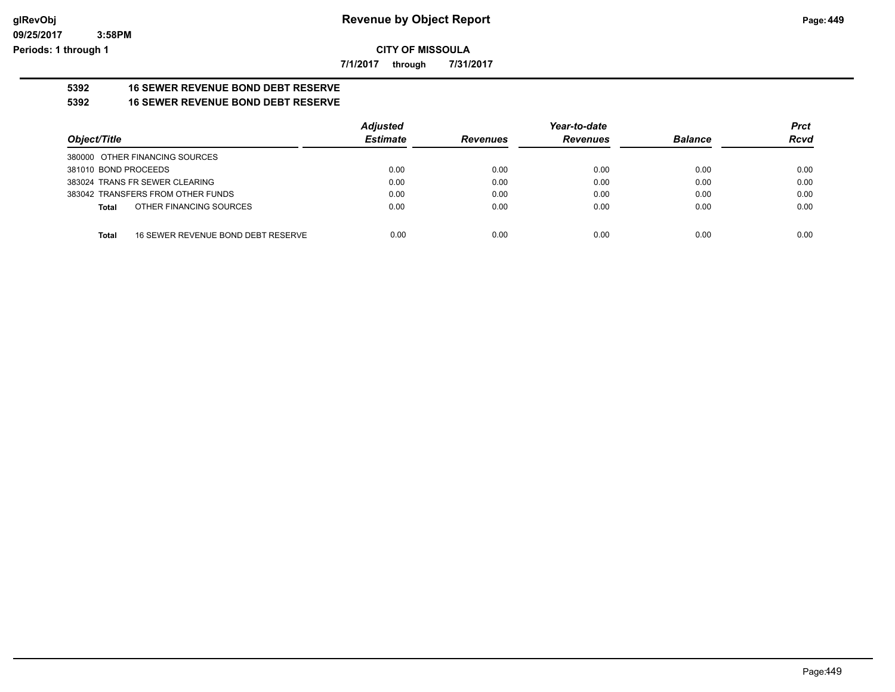## **09/25/2017 3:58PM Periods: 1 through 1**

**CITY OF MISSOULA**

**7/1/2017 through 7/31/2017**

# **5392 16 SEWER REVENUE BOND DEBT RESERVE**

# **5392 16 SEWER REVENUE BOND DEBT RESERVE**

| <b>Adjusted</b> |                 | Year-to-date    |                | Prct |
|-----------------|-----------------|-----------------|----------------|------|
| <b>Estimate</b> | <b>Revenues</b> | <b>Revenues</b> | <b>Balance</b> | Rcvd |
|                 |                 |                 |                |      |
| 0.00            | 0.00            | 0.00            | 0.00           | 0.00 |
| 0.00            | 0.00            | 0.00            | 0.00           | 0.00 |
| 0.00            | 0.00            | 0.00            | 0.00           | 0.00 |
| 0.00            | 0.00            | 0.00            | 0.00           | 0.00 |
|                 |                 |                 |                | 0.00 |
|                 | 0.00            | 0.00            | 0.00           | 0.00 |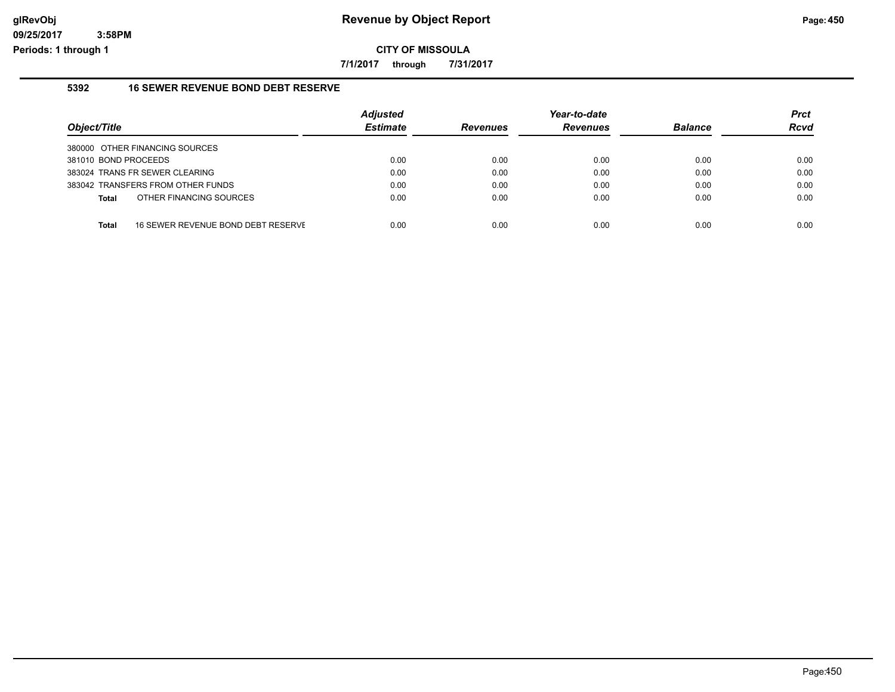**7/1/2017 through 7/31/2017**

## **5392 16 SEWER REVENUE BOND DEBT RESERVE**

| Object/Title         |                                    | <b>Adjusted</b><br><b>Estimate</b> | <b>Revenues</b> | Year-to-date<br><b>Revenues</b> | <b>Balance</b> | <b>Prct</b><br><b>Rcvd</b> |
|----------------------|------------------------------------|------------------------------------|-----------------|---------------------------------|----------------|----------------------------|
|                      | 380000 OTHER FINANCING SOURCES     |                                    |                 |                                 |                |                            |
| 381010 BOND PROCEEDS |                                    | 0.00                               | 0.00            | 0.00                            | 0.00           | 0.00                       |
|                      | 383024 TRANS FR SEWER CLEARING     | 0.00                               | 0.00            | 0.00                            | 0.00           | 0.00                       |
|                      | 383042 TRANSFERS FROM OTHER FUNDS  | 0.00                               | 0.00            | 0.00                            | 0.00           | 0.00                       |
| Total                | OTHER FINANCING SOURCES            | 0.00                               | 0.00            | 0.00                            | 0.00           | 0.00                       |
|                      |                                    |                                    |                 |                                 |                |                            |
| <b>Total</b>         | 16 SEWER REVENUE BOND DEBT RESERVE | 0.00                               | 0.00            | 0.00                            | 0.00           | 0.00                       |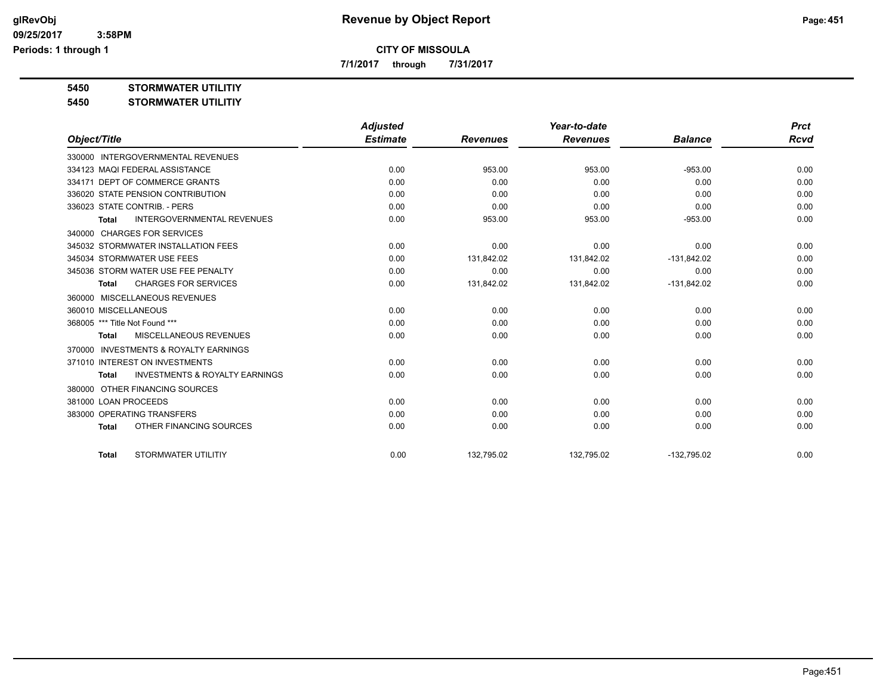**7/1/2017 through 7/31/2017**

## **5450 STORMWATER UTILITIY**

## **5450 STORMWATER UTILITIY**

|                                                           | <b>Adjusted</b> |                 | Year-to-date    |                | <b>Prct</b> |
|-----------------------------------------------------------|-----------------|-----------------|-----------------|----------------|-------------|
| Object/Title                                              | <b>Estimate</b> | <b>Revenues</b> | <b>Revenues</b> | <b>Balance</b> | <b>Rcvd</b> |
| 330000 INTERGOVERNMENTAL REVENUES                         |                 |                 |                 |                |             |
| 334123 MAQI FEDERAL ASSISTANCE                            | 0.00            | 953.00          | 953.00          | $-953.00$      | 0.00        |
| 334171 DEPT OF COMMERCE GRANTS                            | 0.00            | 0.00            | 0.00            | 0.00           | 0.00        |
| 336020 STATE PENSION CONTRIBUTION                         | 0.00            | 0.00            | 0.00            | 0.00           | 0.00        |
| 336023 STATE CONTRIB. - PERS                              | 0.00            | 0.00            | 0.00            | 0.00           | 0.00        |
| <b>INTERGOVERNMENTAL REVENUES</b><br><b>Total</b>         | 0.00            | 953.00          | 953.00          | $-953.00$      | 0.00        |
| 340000 CHARGES FOR SERVICES                               |                 |                 |                 |                |             |
| 345032 STORMWATER INSTALLATION FEES                       | 0.00            | 0.00            | 0.00            | 0.00           | 0.00        |
| 345034 STORMWATER USE FEES                                | 0.00            | 131,842.02      | 131,842.02      | $-131,842.02$  | 0.00        |
| 345036 STORM WATER USE FEE PENALTY                        | 0.00            | 0.00            | 0.00            | 0.00           | 0.00        |
| <b>CHARGES FOR SERVICES</b><br><b>Total</b>               | 0.00            | 131,842.02      | 131,842.02      | $-131,842.02$  | 0.00        |
| 360000 MISCELLANEOUS REVENUES                             |                 |                 |                 |                |             |
| 360010 MISCELLANEOUS                                      | 0.00            | 0.00            | 0.00            | 0.00           | 0.00        |
| 368005 *** Title Not Found ***                            | 0.00            | 0.00            | 0.00            | 0.00           | 0.00        |
| <b>MISCELLANEOUS REVENUES</b><br><b>Total</b>             | 0.00            | 0.00            | 0.00            | 0.00           | 0.00        |
| <b>INVESTMENTS &amp; ROYALTY EARNINGS</b><br>370000       |                 |                 |                 |                |             |
| 371010 INTEREST ON INVESTMENTS                            | 0.00            | 0.00            | 0.00            | 0.00           | 0.00        |
| <b>INVESTMENTS &amp; ROYALTY EARNINGS</b><br><b>Total</b> | 0.00            | 0.00            | 0.00            | 0.00           | 0.00        |
| OTHER FINANCING SOURCES<br>380000                         |                 |                 |                 |                |             |
| 381000 LOAN PROCEEDS                                      | 0.00            | 0.00            | 0.00            | 0.00           | 0.00        |
| 383000 OPERATING TRANSFERS                                | 0.00            | 0.00            | 0.00            | 0.00           | 0.00        |
| OTHER FINANCING SOURCES<br><b>Total</b>                   | 0.00            | 0.00            | 0.00            | 0.00           | 0.00        |
| STORMWATER UTILITIY<br><b>Total</b>                       | 0.00            | 132,795.02      | 132,795.02      | $-132,795.02$  | 0.00        |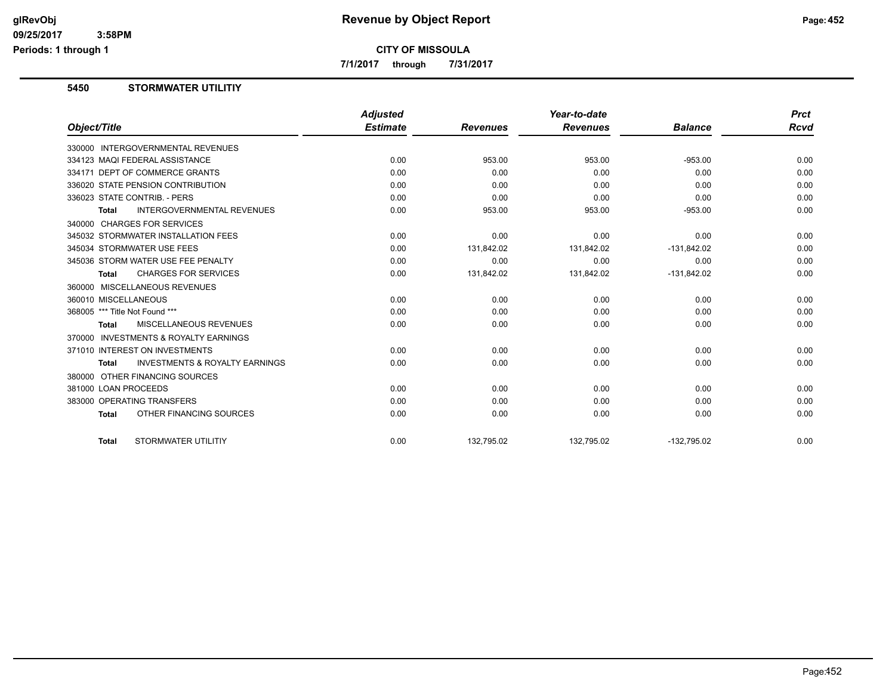**7/1/2017 through 7/31/2017**

## **5450 STORMWATER UTILITIY**

|                                                           | <b>Adjusted</b> |                 | Year-to-date    |                | <b>Prct</b> |
|-----------------------------------------------------------|-----------------|-----------------|-----------------|----------------|-------------|
| Object/Title                                              | <b>Estimate</b> | <b>Revenues</b> | <b>Revenues</b> | <b>Balance</b> | <b>Rcvd</b> |
| 330000 INTERGOVERNMENTAL REVENUES                         |                 |                 |                 |                |             |
| 334123 MAQI FEDERAL ASSISTANCE                            | 0.00            | 953.00          | 953.00          | $-953.00$      | 0.00        |
| 334171 DEPT OF COMMERCE GRANTS                            | 0.00            | 0.00            | 0.00            | 0.00           | 0.00        |
| 336020 STATE PENSION CONTRIBUTION                         | 0.00            | 0.00            | 0.00            | 0.00           | 0.00        |
| 336023 STATE CONTRIB. - PERS                              | 0.00            | 0.00            | 0.00            | 0.00           | 0.00        |
| <b>INTERGOVERNMENTAL REVENUES</b><br><b>Total</b>         | 0.00            | 953.00          | 953.00          | $-953.00$      | 0.00        |
| 340000 CHARGES FOR SERVICES                               |                 |                 |                 |                |             |
| 345032 STORMWATER INSTALLATION FEES                       | 0.00            | 0.00            | 0.00            | 0.00           | 0.00        |
| 345034 STORMWATER USE FEES                                | 0.00            | 131,842.02      | 131,842.02      | $-131,842.02$  | 0.00        |
| 345036 STORM WATER USE FEE PENALTY                        | 0.00            | 0.00            | 0.00            | 0.00           | 0.00        |
| <b>CHARGES FOR SERVICES</b><br><b>Total</b>               | 0.00            | 131,842.02      | 131,842.02      | $-131,842.02$  | 0.00        |
| 360000 MISCELLANEOUS REVENUES                             |                 |                 |                 |                |             |
| 360010 MISCELLANEOUS                                      | 0.00            | 0.00            | 0.00            | 0.00           | 0.00        |
| 368005 *** Title Not Found ***                            | 0.00            | 0.00            | 0.00            | 0.00           | 0.00        |
| MISCELLANEOUS REVENUES<br>Total                           | 0.00            | 0.00            | 0.00            | 0.00           | 0.00        |
| 370000 INVESTMENTS & ROYALTY EARNINGS                     |                 |                 |                 |                |             |
| 371010 INTEREST ON INVESTMENTS                            | 0.00            | 0.00            | 0.00            | 0.00           | 0.00        |
| <b>INVESTMENTS &amp; ROYALTY EARNINGS</b><br><b>Total</b> | 0.00            | 0.00            | 0.00            | 0.00           | 0.00        |
| 380000 OTHER FINANCING SOURCES                            |                 |                 |                 |                |             |
| 381000 LOAN PROCEEDS                                      | 0.00            | 0.00            | 0.00            | 0.00           | 0.00        |
| 383000 OPERATING TRANSFERS                                | 0.00            | 0.00            | 0.00            | 0.00           | 0.00        |
| OTHER FINANCING SOURCES<br><b>Total</b>                   | 0.00            | 0.00            | 0.00            | 0.00           | 0.00        |
| STORMWATER UTILITIY<br>Total                              | 0.00            | 132.795.02      | 132.795.02      | $-132.795.02$  | 0.00        |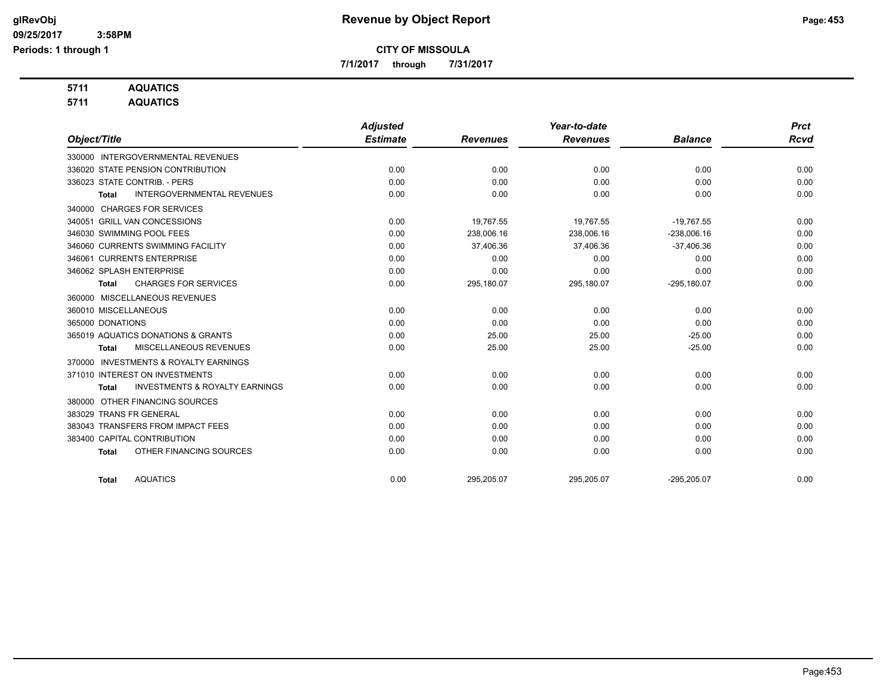**7/1/2017 through 7/31/2017**

# **5711 AQUATICS**

**5711 AQUATICS**

|                                                           | <b>Adjusted</b> |                 | Year-to-date    |                | <b>Prct</b> |
|-----------------------------------------------------------|-----------------|-----------------|-----------------|----------------|-------------|
| Object/Title                                              | <b>Estimate</b> | <b>Revenues</b> | <b>Revenues</b> | <b>Balance</b> | <b>Rcvd</b> |
| 330000 INTERGOVERNMENTAL REVENUES                         |                 |                 |                 |                |             |
| 336020 STATE PENSION CONTRIBUTION                         | 0.00            | 0.00            | 0.00            | 0.00           | 0.00        |
| 336023 STATE CONTRIB. - PERS                              | 0.00            | 0.00            | 0.00            | 0.00           | 0.00        |
| <b>INTERGOVERNMENTAL REVENUES</b><br><b>Total</b>         | 0.00            | 0.00            | 0.00            | 0.00           | 0.00        |
| <b>CHARGES FOR SERVICES</b><br>340000                     |                 |                 |                 |                |             |
| 340051 GRILL VAN CONCESSIONS                              | 0.00            | 19,767.55       | 19,767.55       | $-19,767.55$   | 0.00        |
| 346030 SWIMMING POOL FEES                                 | 0.00            | 238,006.16      | 238,006.16      | $-238,006.16$  | 0.00        |
| 346060 CURRENTS SWIMMING FACILITY                         | 0.00            | 37,406.36       | 37,406.36       | $-37,406.36$   | 0.00        |
| 346061 CURRENTS ENTERPRISE                                | 0.00            | 0.00            | 0.00            | 0.00           | 0.00        |
| 346062 SPLASH ENTERPRISE                                  | 0.00            | 0.00            | 0.00            | 0.00           | 0.00        |
| <b>CHARGES FOR SERVICES</b><br><b>Total</b>               | 0.00            | 295,180.07      | 295,180.07      | $-295,180.07$  | 0.00        |
| 360000 MISCELLANEOUS REVENUES                             |                 |                 |                 |                |             |
| 360010 MISCELLANEOUS                                      | 0.00            | 0.00            | 0.00            | 0.00           | 0.00        |
| 365000 DONATIONS                                          | 0.00            | 0.00            | 0.00            | 0.00           | 0.00        |
| 365019 AQUATICS DONATIONS & GRANTS                        | 0.00            | 25.00           | 25.00           | $-25.00$       | 0.00        |
| <b>MISCELLANEOUS REVENUES</b><br><b>Total</b>             | 0.00            | 25.00           | 25.00           | $-25.00$       | 0.00        |
| 370000 INVESTMENTS & ROYALTY EARNINGS                     |                 |                 |                 |                |             |
| 371010 INTEREST ON INVESTMENTS                            | 0.00            | 0.00            | 0.00            | 0.00           | 0.00        |
| <b>INVESTMENTS &amp; ROYALTY EARNINGS</b><br><b>Total</b> | 0.00            | 0.00            | 0.00            | 0.00           | 0.00        |
| 380000 OTHER FINANCING SOURCES                            |                 |                 |                 |                |             |
| 383029 TRANS FR GENERAL                                   | 0.00            | 0.00            | 0.00            | 0.00           | 0.00        |
| 383043 TRANSFERS FROM IMPACT FEES                         | 0.00            | 0.00            | 0.00            | 0.00           | 0.00        |
| 383400 CAPITAL CONTRIBUTION                               | 0.00            | 0.00            | 0.00            | 0.00           | 0.00        |
| OTHER FINANCING SOURCES<br><b>Total</b>                   | 0.00            | 0.00            | 0.00            | 0.00           | 0.00        |
| <b>AQUATICS</b><br><b>Total</b>                           | 0.00            | 295,205.07      | 295,205.07      | $-295,205.07$  | 0.00        |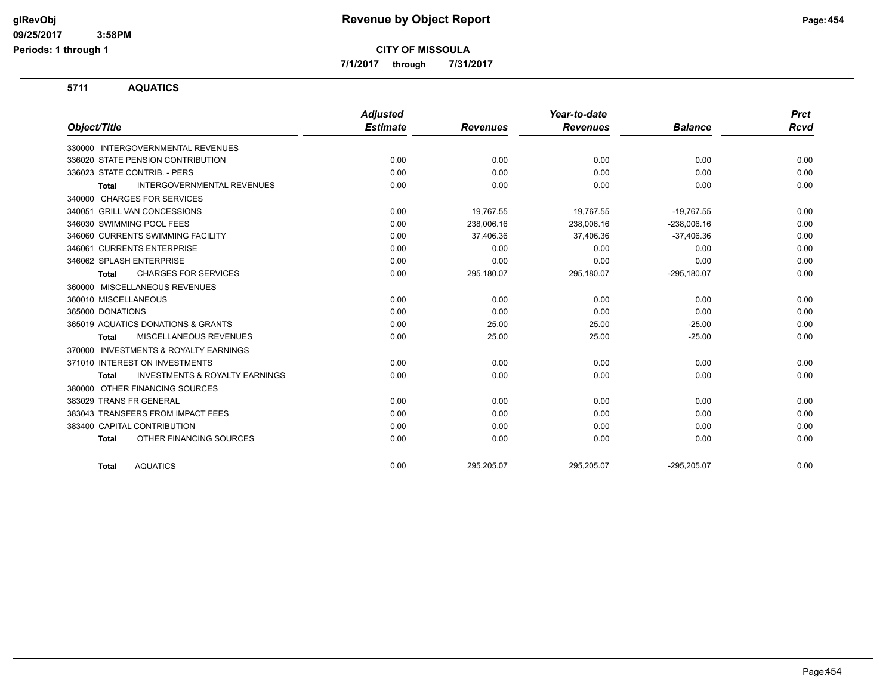**09/25/2017 3:58PM Periods: 1 through 1**

**CITY OF MISSOULA**

**7/1/2017 through 7/31/2017**

**5711 AQUATICS**

|                                                     | <b>Adjusted</b> |                 | Year-to-date    |                | <b>Prct</b> |
|-----------------------------------------------------|-----------------|-----------------|-----------------|----------------|-------------|
| Object/Title                                        | <b>Estimate</b> | <b>Revenues</b> | <b>Revenues</b> | <b>Balance</b> | <b>Rcvd</b> |
| 330000 INTERGOVERNMENTAL REVENUES                   |                 |                 |                 |                |             |
| 336020 STATE PENSION CONTRIBUTION                   | 0.00            | 0.00            | 0.00            | 0.00           | 0.00        |
| 336023 STATE CONTRIB. - PERS                        | 0.00            | 0.00            | 0.00            | 0.00           | 0.00        |
| <b>INTERGOVERNMENTAL REVENUES</b><br><b>Total</b>   | 0.00            | 0.00            | 0.00            | 0.00           | 0.00        |
| 340000 CHARGES FOR SERVICES                         |                 |                 |                 |                |             |
| 340051 GRILL VAN CONCESSIONS                        | 0.00            | 19.767.55       | 19.767.55       | $-19.767.55$   | 0.00        |
| 346030 SWIMMING POOL FEES                           | 0.00            | 238,006.16      | 238,006.16      | $-238,006.16$  | 0.00        |
| 346060 CURRENTS SWIMMING FACILITY                   | 0.00            | 37,406.36       | 37,406.36       | $-37,406.36$   | 0.00        |
| 346061 CURRENTS ENTERPRISE                          | 0.00            | 0.00            | 0.00            | 0.00           | 0.00        |
| 346062 SPLASH ENTERPRISE                            | 0.00            | 0.00            | 0.00            | 0.00           | 0.00        |
| <b>CHARGES FOR SERVICES</b><br>Total                | 0.00            | 295,180.07      | 295,180.07      | $-295,180.07$  | 0.00        |
| 360000 MISCELLANEOUS REVENUES                       |                 |                 |                 |                |             |
| 360010 MISCELLANEOUS                                | 0.00            | 0.00            | 0.00            | 0.00           | 0.00        |
| 365000 DONATIONS                                    | 0.00            | 0.00            | 0.00            | 0.00           | 0.00        |
| 365019 AQUATICS DONATIONS & GRANTS                  | 0.00            | 25.00           | 25.00           | $-25.00$       | 0.00        |
| MISCELLANEOUS REVENUES<br><b>Total</b>              | 0.00            | 25.00           | 25.00           | $-25.00$       | 0.00        |
| <b>INVESTMENTS &amp; ROYALTY EARNINGS</b><br>370000 |                 |                 |                 |                |             |
| 371010 INTEREST ON INVESTMENTS                      | 0.00            | 0.00            | 0.00            | 0.00           | 0.00        |
| <b>INVESTMENTS &amp; ROYALTY EARNINGS</b><br>Total  | 0.00            | 0.00            | 0.00            | 0.00           | 0.00        |
| OTHER FINANCING SOURCES<br>380000                   |                 |                 |                 |                |             |
| 383029 TRANS FR GENERAL                             | 0.00            | 0.00            | 0.00            | 0.00           | 0.00        |
| 383043 TRANSFERS FROM IMPACT FEES                   | 0.00            | 0.00            | 0.00            | 0.00           | 0.00        |
| 383400 CAPITAL CONTRIBUTION                         | 0.00            | 0.00            | 0.00            | 0.00           | 0.00        |
| OTHER FINANCING SOURCES<br><b>Total</b>             | 0.00            | 0.00            | 0.00            | 0.00           | 0.00        |
| <b>AQUATICS</b><br><b>Total</b>                     | 0.00            | 295,205.07      | 295,205.07      | $-295,205.07$  | 0.00        |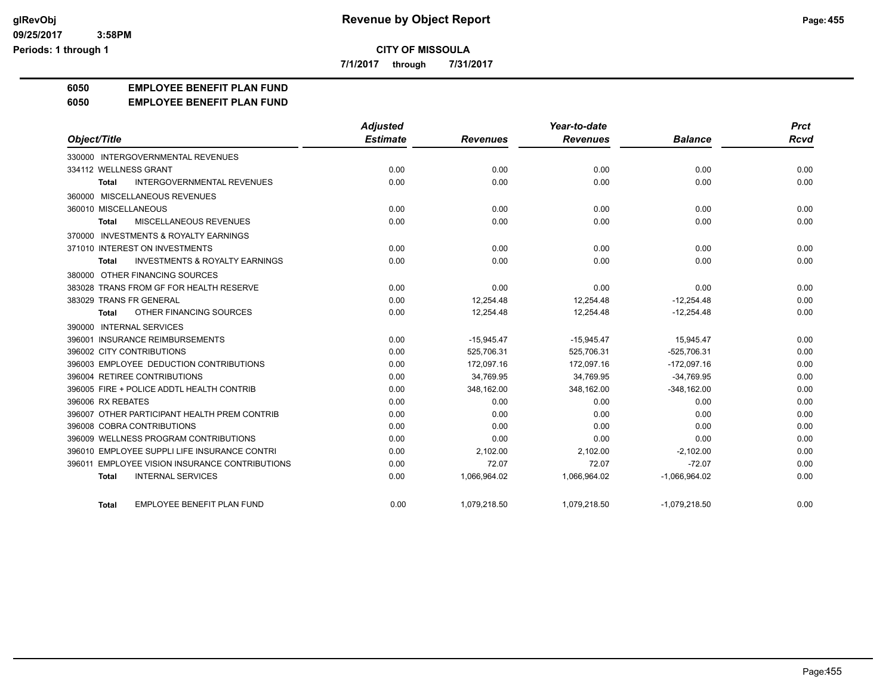**7/1/2017 through 7/31/2017**

# **6050 EMPLOYEE BENEFIT PLAN FUND**

## **6050 EMPLOYEE BENEFIT PLAN FUND**

|                                                           | <b>Adjusted</b> |                 | Year-to-date    |                 | <b>Prct</b> |
|-----------------------------------------------------------|-----------------|-----------------|-----------------|-----------------|-------------|
| Object/Title                                              | <b>Estimate</b> | <b>Revenues</b> | <b>Revenues</b> | <b>Balance</b>  | <b>Rcvd</b> |
| 330000 INTERGOVERNMENTAL REVENUES                         |                 |                 |                 |                 |             |
| 334112 WELLNESS GRANT                                     | 0.00            | 0.00            | 0.00            | 0.00            | 0.00        |
| <b>INTERGOVERNMENTAL REVENUES</b><br><b>Total</b>         | 0.00            | 0.00            | 0.00            | 0.00            | 0.00        |
| 360000 MISCELLANEOUS REVENUES                             |                 |                 |                 |                 |             |
| 360010 MISCELLANEOUS                                      | 0.00            | 0.00            | 0.00            | 0.00            | 0.00        |
| <b>MISCELLANEOUS REVENUES</b><br><b>Total</b>             | 0.00            | 0.00            | 0.00            | 0.00            | 0.00        |
| 370000 INVESTMENTS & ROYALTY EARNINGS                     |                 |                 |                 |                 |             |
| 371010 INTEREST ON INVESTMENTS                            | 0.00            | 0.00            | 0.00            | 0.00            | 0.00        |
| <b>INVESTMENTS &amp; ROYALTY EARNINGS</b><br><b>Total</b> | 0.00            | 0.00            | 0.00            | 0.00            | 0.00        |
| 380000 OTHER FINANCING SOURCES                            |                 |                 |                 |                 |             |
| 383028 TRANS FROM GF FOR HEALTH RESERVE                   | 0.00            | 0.00            | 0.00            | 0.00            | 0.00        |
| 383029 TRANS FR GENERAL                                   | 0.00            | 12,254.48       | 12,254.48       | $-12,254.48$    | 0.00        |
| OTHER FINANCING SOURCES<br>Total                          | 0.00            | 12,254.48       | 12,254.48       | $-12,254.48$    | 0.00        |
| 390000 INTERNAL SERVICES                                  |                 |                 |                 |                 |             |
| 396001 INSURANCE REIMBURSEMENTS                           | 0.00            | $-15,945.47$    | $-15,945.47$    | 15,945.47       | 0.00        |
| 396002 CITY CONTRIBUTIONS                                 | 0.00            | 525,706.31      | 525,706.31      | $-525,706.31$   | 0.00        |
| 396003 EMPLOYEE DEDUCTION CONTRIBUTIONS                   | 0.00            | 172,097.16      | 172,097.16      | $-172,097.16$   | 0.00        |
| 396004 RETIREE CONTRIBUTIONS                              | 0.00            | 34,769.95       | 34,769.95       | $-34,769.95$    | 0.00        |
| 396005 FIRE + POLICE ADDTL HEALTH CONTRIB                 | 0.00            | 348,162.00      | 348,162.00      | $-348,162.00$   | 0.00        |
| 396006 RX REBATES                                         | 0.00            | 0.00            | 0.00            | 0.00            | 0.00        |
| 396007 OTHER PARTICIPANT HEALTH PREM CONTRIB              | 0.00            | 0.00            | 0.00            | 0.00            | 0.00        |
| 396008 COBRA CONTRIBUTIONS                                | 0.00            | 0.00            | 0.00            | 0.00            | 0.00        |
| 396009 WELLNESS PROGRAM CONTRIBUTIONS                     | 0.00            | 0.00            | 0.00            | 0.00            | 0.00        |
| 396010 EMPLOYEE SUPPLI LIFE INSURANCE CONTRI              | 0.00            | 2,102.00        | 2,102.00        | $-2,102.00$     | 0.00        |
| 396011 EMPLOYEE VISION INSURANCE CONTRIBUTIONS            | 0.00            | 72.07           | 72.07           | $-72.07$        | 0.00        |
| <b>INTERNAL SERVICES</b><br><b>Total</b>                  | 0.00            | 1,066,964.02    | 1,066,964.02    | $-1,066,964.02$ | 0.00        |
| EMPLOYEE BENEFIT PLAN FUND<br><b>Total</b>                | 0.00            | 1,079,218.50    | 1,079,218.50    | $-1,079,218.50$ | 0.00        |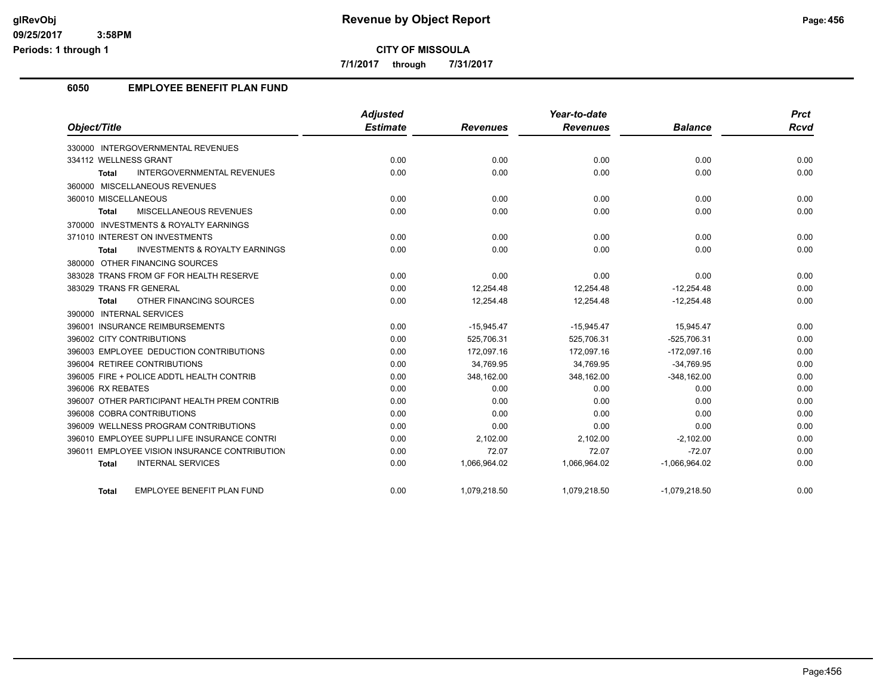**CITY OF MISSOULA**

**7/1/2017 through 7/31/2017**

## **6050 EMPLOYEE BENEFIT PLAN FUND**

 **3:58PM**

|                                                    | <b>Adjusted</b> |                 | Year-to-date    |                 | <b>Prct</b> |
|----------------------------------------------------|-----------------|-----------------|-----------------|-----------------|-------------|
| Object/Title                                       | <b>Estimate</b> | <b>Revenues</b> | <b>Revenues</b> | <b>Balance</b>  | <b>Rcvd</b> |
| 330000 INTERGOVERNMENTAL REVENUES                  |                 |                 |                 |                 |             |
| 334112 WELLNESS GRANT                              | 0.00            | 0.00            | 0.00            | 0.00            | 0.00        |
| <b>INTERGOVERNMENTAL REVENUES</b><br><b>Total</b>  | 0.00            | 0.00            | 0.00            | 0.00            | 0.00        |
| 360000 MISCELLANEOUS REVENUES                      |                 |                 |                 |                 |             |
| 360010 MISCELLANEOUS                               | 0.00            | 0.00            | 0.00            | 0.00            | 0.00        |
| <b>MISCELLANEOUS REVENUES</b><br><b>Total</b>      | 0.00            | 0.00            | 0.00            | 0.00            | 0.00        |
| 370000 INVESTMENTS & ROYALTY EARNINGS              |                 |                 |                 |                 |             |
| 371010 INTEREST ON INVESTMENTS                     | 0.00            | 0.00            | 0.00            | 0.00            | 0.00        |
| <b>INVESTMENTS &amp; ROYALTY EARNINGS</b><br>Total | 0.00            | 0.00            | 0.00            | 0.00            | 0.00        |
| 380000 OTHER FINANCING SOURCES                     |                 |                 |                 |                 |             |
| 383028 TRANS FROM GF FOR HEALTH RESERVE            | 0.00            | 0.00            | 0.00            | 0.00            | 0.00        |
| 383029 TRANS FR GENERAL                            | 0.00            | 12,254.48       | 12,254.48       | $-12,254.48$    | 0.00        |
| OTHER FINANCING SOURCES<br>Total                   | 0.00            | 12,254.48       | 12,254.48       | $-12,254.48$    | 0.00        |
| 390000 INTERNAL SERVICES                           |                 |                 |                 |                 |             |
| 396001 INSURANCE REIMBURSEMENTS                    | 0.00            | $-15,945.47$    | $-15,945.47$    | 15,945.47       | 0.00        |
| 396002 CITY CONTRIBUTIONS                          | 0.00            | 525.706.31      | 525.706.31      | $-525.706.31$   | 0.00        |
| 396003 EMPLOYEE DEDUCTION CONTRIBUTIONS            | 0.00            | 172,097.16      | 172,097.16      | $-172,097.16$   | 0.00        |
| 396004 RETIREE CONTRIBUTIONS                       | 0.00            | 34,769.95       | 34,769.95       | $-34,769.95$    | 0.00        |
| 396005 FIRE + POLICE ADDTL HEALTH CONTRIB          | 0.00            | 348,162.00      | 348,162.00      | $-348,162.00$   | 0.00        |
| 396006 RX REBATES                                  | 0.00            | 0.00            | 0.00            | 0.00            | 0.00        |
| 396007 OTHER PARTICIPANT HEALTH PREM CONTRIB       | 0.00            | 0.00            | 0.00            | 0.00            | 0.00        |
| 396008 COBRA CONTRIBUTIONS                         | 0.00            | 0.00            | 0.00            | 0.00            | 0.00        |
| 396009 WELLNESS PROGRAM CONTRIBUTIONS              | 0.00            | 0.00            | 0.00            | 0.00            | 0.00        |
| 396010 EMPLOYEE SUPPLI LIFE INSURANCE CONTRI       | 0.00            | 2,102.00        | 2,102.00        | $-2,102.00$     | 0.00        |
| 396011 EMPLOYEE VISION INSURANCE CONTRIBUTION      | 0.00            | 72.07           | 72.07           | $-72.07$        | 0.00        |
| <b>INTERNAL SERVICES</b><br><b>Total</b>           | 0.00            | 1,066,964.02    | 1,066,964.02    | $-1,066,964.02$ | 0.00        |
| EMPLOYEE BENEFIT PLAN FUND<br><b>Total</b>         | 0.00            | 1,079,218.50    | 1,079,218.50    | $-1,079,218.50$ | 0.00        |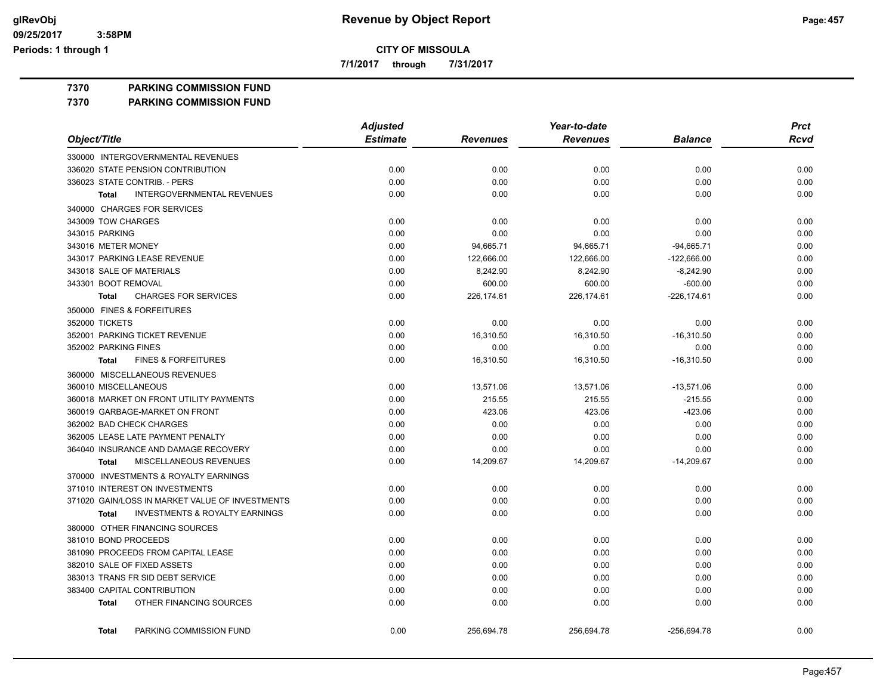**7/1/2017 through 7/31/2017**

**7370 PARKING COMMISSION FUND**

**7370 PARKING COMMISSION FUND**

|                                                    | <b>Adjusted</b> |                 | Year-to-date    | <b>Prct</b>    |      |
|----------------------------------------------------|-----------------|-----------------|-----------------|----------------|------|
| Object/Title                                       | <b>Estimate</b> | <b>Revenues</b> | <b>Revenues</b> | <b>Balance</b> | Rcvd |
| 330000 INTERGOVERNMENTAL REVENUES                  |                 |                 |                 |                |      |
| 336020 STATE PENSION CONTRIBUTION                  | 0.00            | 0.00            | 0.00            | 0.00           | 0.00 |
| 336023 STATE CONTRIB. - PERS                       | 0.00            | 0.00            | 0.00            | 0.00           | 0.00 |
| <b>INTERGOVERNMENTAL REVENUES</b><br><b>Total</b>  | 0.00            | 0.00            | 0.00            | 0.00           | 0.00 |
| 340000 CHARGES FOR SERVICES                        |                 |                 |                 |                |      |
| 343009 TOW CHARGES                                 | 0.00            | 0.00            | 0.00            | 0.00           | 0.00 |
| 343015 PARKING                                     | 0.00            | 0.00            | 0.00            | 0.00           | 0.00 |
| 343016 METER MONEY                                 | 0.00            | 94,665.71       | 94,665.71       | $-94,665.71$   | 0.00 |
| 343017 PARKING LEASE REVENUE                       | 0.00            | 122,666.00      | 122,666.00      | $-122,666.00$  | 0.00 |
| 343018 SALE OF MATERIALS                           | 0.00            | 8,242.90        | 8,242.90        | $-8,242.90$    | 0.00 |
| 343301 BOOT REMOVAL                                | 0.00            | 600.00          | 600.00          | $-600.00$      | 0.00 |
| <b>CHARGES FOR SERVICES</b><br><b>Total</b>        | 0.00            | 226,174.61      | 226,174.61      | $-226, 174.61$ | 0.00 |
| 350000 FINES & FORFEITURES                         |                 |                 |                 |                |      |
| 352000 TICKETS                                     | 0.00            | 0.00            | 0.00            | 0.00           | 0.00 |
| 352001 PARKING TICKET REVENUE                      | 0.00            | 16,310.50       | 16,310.50       | $-16,310.50$   | 0.00 |
| 352002 PARKING FINES                               | 0.00            | 0.00            | 0.00            | 0.00           | 0.00 |
| <b>FINES &amp; FORFEITURES</b><br><b>Total</b>     | 0.00            | 16,310.50       | 16,310.50       | $-16,310.50$   | 0.00 |
| 360000 MISCELLANEOUS REVENUES                      |                 |                 |                 |                |      |
| 360010 MISCELLANEOUS                               | 0.00            | 13,571.06       | 13,571.06       | $-13,571.06$   | 0.00 |
| 360018 MARKET ON FRONT UTILITY PAYMENTS            | 0.00            | 215.55          | 215.55          | $-215.55$      | 0.00 |
| 360019 GARBAGE-MARKET ON FRONT                     | 0.00            | 423.06          | 423.06          | $-423.06$      | 0.00 |
| 362002 BAD CHECK CHARGES                           | 0.00            | 0.00            | 0.00            | 0.00           | 0.00 |
| 362005 LEASE LATE PAYMENT PENALTY                  | 0.00            | 0.00            | 0.00            | 0.00           | 0.00 |
| 364040 INSURANCE AND DAMAGE RECOVERY               | 0.00            | 0.00            | 0.00            | 0.00           | 0.00 |
| MISCELLANEOUS REVENUES<br>Total                    | 0.00            | 14,209.67       | 14,209.67       | $-14,209.67$   | 0.00 |
| 370000 INVESTMENTS & ROYALTY EARNINGS              |                 |                 |                 |                |      |
| 371010 INTEREST ON INVESTMENTS                     | 0.00            | 0.00            | 0.00            | 0.00           | 0.00 |
| 371020 GAIN/LOSS IN MARKET VALUE OF INVESTMENTS    | 0.00            | 0.00            | 0.00            | 0.00           | 0.00 |
| <b>INVESTMENTS &amp; ROYALTY EARNINGS</b><br>Total | 0.00            | 0.00            | 0.00            | 0.00           | 0.00 |
| 380000 OTHER FINANCING SOURCES                     |                 |                 |                 |                |      |
| 381010 BOND PROCEEDS                               | 0.00            | 0.00            | 0.00            | 0.00           | 0.00 |
| 381090 PROCEEDS FROM CAPITAL LEASE                 | 0.00            | 0.00            | 0.00            | 0.00           | 0.00 |
| 382010 SALE OF FIXED ASSETS                        | 0.00            | 0.00            | 0.00            | 0.00           | 0.00 |
| 383013 TRANS FR SID DEBT SERVICE                   | 0.00            | 0.00            | 0.00            | 0.00           | 0.00 |
| 383400 CAPITAL CONTRIBUTION                        | 0.00            | 0.00            | 0.00            | 0.00           | 0.00 |
| OTHER FINANCING SOURCES<br>Total                   | 0.00            | 0.00            | 0.00            | 0.00           | 0.00 |
| PARKING COMMISSION FUND<br><b>Total</b>            | 0.00            | 256,694.78      | 256,694.78      | $-256,694.78$  | 0.00 |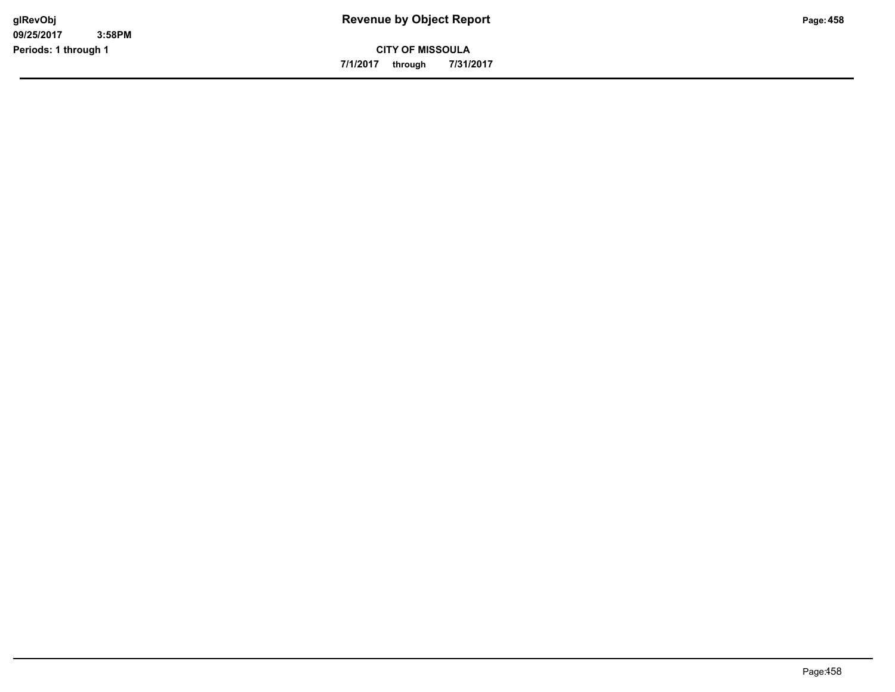**CITY OF MISSOULA 7/1/2017 through 7/31/2017**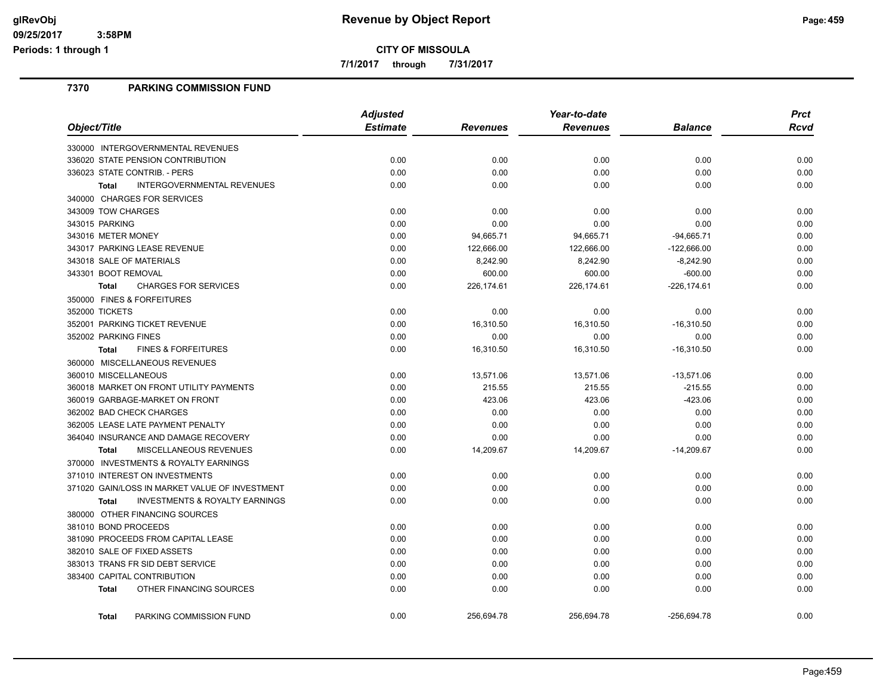**CITY OF MISSOULA**

**7/1/2017 through 7/31/2017**

## **7370 PARKING COMMISSION FUND**

 **3:58PM**

|                                                    | <b>Adjusted</b> |                 | Year-to-date    | <b>Prct</b>    |             |
|----------------------------------------------------|-----------------|-----------------|-----------------|----------------|-------------|
| Object/Title                                       | <b>Estimate</b> | <b>Revenues</b> | <b>Revenues</b> | <b>Balance</b> | <b>Rcvd</b> |
| 330000 INTERGOVERNMENTAL REVENUES                  |                 |                 |                 |                |             |
| 336020 STATE PENSION CONTRIBUTION                  | 0.00            | 0.00            | 0.00            | 0.00           | 0.00        |
| 336023 STATE CONTRIB. - PERS                       | 0.00            | 0.00            | 0.00            | 0.00           | 0.00        |
| <b>INTERGOVERNMENTAL REVENUES</b><br><b>Total</b>  | 0.00            | 0.00            | 0.00            | 0.00           | 0.00        |
| 340000 CHARGES FOR SERVICES                        |                 |                 |                 |                |             |
| 343009 TOW CHARGES                                 | 0.00            | 0.00            | 0.00            | 0.00           | 0.00        |
| 343015 PARKING                                     | 0.00            | 0.00            | 0.00            | 0.00           | 0.00        |
| 343016 METER MONEY                                 | 0.00            | 94,665.71       | 94,665.71       | $-94,665.71$   | 0.00        |
| 343017 PARKING LEASE REVENUE                       | 0.00            | 122,666.00      | 122,666.00      | $-122,666.00$  | 0.00        |
| 343018 SALE OF MATERIALS                           | 0.00            | 8,242.90        | 8,242.90        | $-8,242.90$    | 0.00        |
| 343301 BOOT REMOVAL                                | 0.00            | 600.00          | 600.00          | $-600.00$      | 0.00        |
| <b>CHARGES FOR SERVICES</b><br><b>Total</b>        | 0.00            | 226,174.61      | 226,174.61      | $-226, 174.61$ | 0.00        |
| 350000 FINES & FORFEITURES                         |                 |                 |                 |                |             |
| 352000 TICKETS                                     | 0.00            | 0.00            | 0.00            | 0.00           | 0.00        |
| 352001 PARKING TICKET REVENUE                      | 0.00            | 16,310.50       | 16,310.50       | $-16,310.50$   | 0.00        |
| 352002 PARKING FINES                               | 0.00            | 0.00            | 0.00            | 0.00           | 0.00        |
| <b>FINES &amp; FORFEITURES</b><br><b>Total</b>     | 0.00            | 16,310.50       | 16,310.50       | $-16,310.50$   | 0.00        |
| 360000 MISCELLANEOUS REVENUES                      |                 |                 |                 |                |             |
| 360010 MISCELLANEOUS                               | 0.00            | 13,571.06       | 13,571.06       | $-13,571.06$   | 0.00        |
| 360018 MARKET ON FRONT UTILITY PAYMENTS            | 0.00            | 215.55          | 215.55          | $-215.55$      | 0.00        |
| 360019 GARBAGE-MARKET ON FRONT                     | 0.00            | 423.06          | 423.06          | $-423.06$      | 0.00        |
| 362002 BAD CHECK CHARGES                           | 0.00            | 0.00            | 0.00            | 0.00           | 0.00        |
| 362005 LEASE LATE PAYMENT PENALTY                  | 0.00            | 0.00            | 0.00            | 0.00           | 0.00        |
| 364040 INSURANCE AND DAMAGE RECOVERY               | 0.00            | 0.00            | 0.00            | 0.00           | 0.00        |
| MISCELLANEOUS REVENUES<br><b>Total</b>             | 0.00            | 14,209.67       | 14,209.67       | $-14,209.67$   | 0.00        |
| 370000 INVESTMENTS & ROYALTY EARNINGS              |                 |                 |                 |                |             |
| 371010 INTEREST ON INVESTMENTS                     | 0.00            | 0.00            | 0.00            | 0.00           | 0.00        |
| 371020 GAIN/LOSS IN MARKET VALUE OF INVESTMENT     | 0.00            | 0.00            | 0.00            | 0.00           | 0.00        |
| <b>INVESTMENTS &amp; ROYALTY EARNINGS</b><br>Total | 0.00            | 0.00            | 0.00            | 0.00           | 0.00        |
| 380000 OTHER FINANCING SOURCES                     |                 |                 |                 |                |             |
| 381010 BOND PROCEEDS                               | 0.00            | 0.00            | 0.00            | 0.00           | 0.00        |
| 381090 PROCEEDS FROM CAPITAL LEASE                 | 0.00            | 0.00            | 0.00            | 0.00           | 0.00        |
| 382010 SALE OF FIXED ASSETS                        | 0.00            | 0.00            | 0.00            | 0.00           | 0.00        |
| 383013 TRANS FR SID DEBT SERVICE                   | 0.00            | 0.00            | 0.00            | 0.00           | 0.00        |
| 383400 CAPITAL CONTRIBUTION                        | 0.00            | 0.00            | 0.00            | 0.00           | 0.00        |
| OTHER FINANCING SOURCES<br><b>Total</b>            | 0.00            | 0.00            | 0.00            | 0.00           | 0.00        |
| PARKING COMMISSION FUND<br><b>Total</b>            | 0.00            | 256.694.78      | 256.694.78      | -256.694.78    | 0.00        |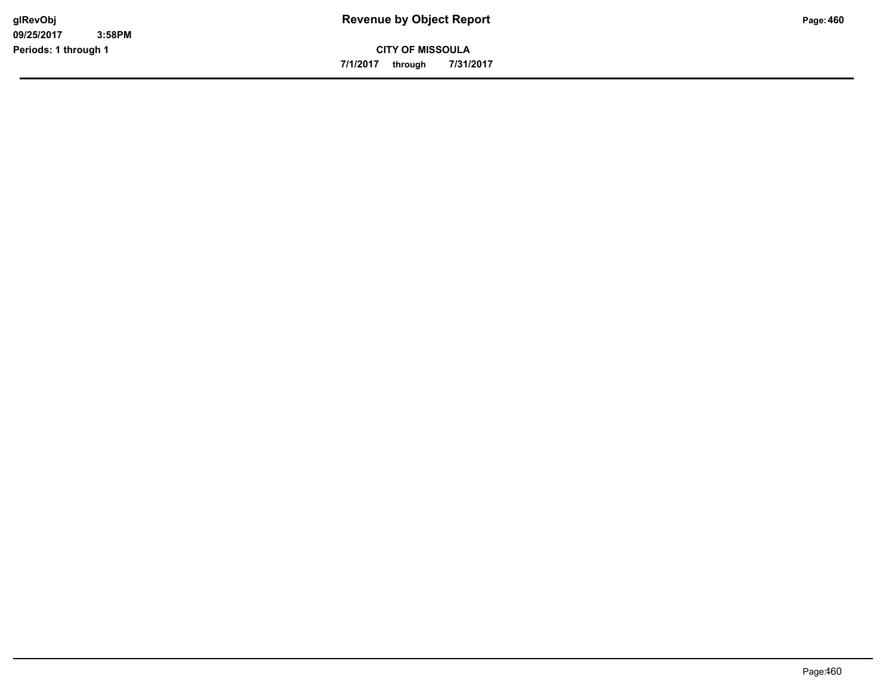**CITY OF MISSOULA 7/1/2017 through 7/31/2017**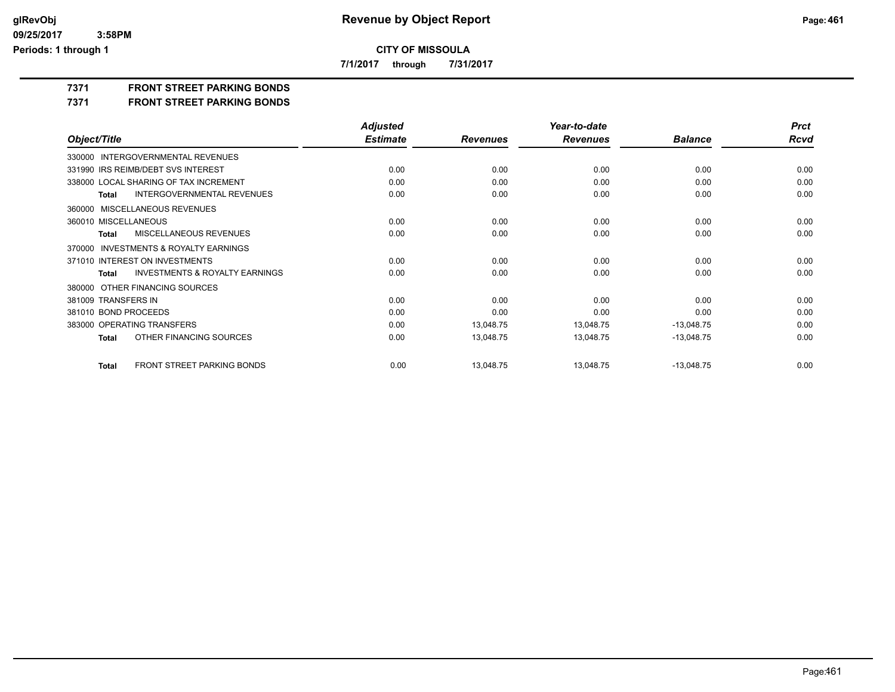**7/1/2017 through 7/31/2017**

**7371 FRONT STREET PARKING BONDS**

**7371 FRONT STREET PARKING BONDS**

|                                                           | <b>Adjusted</b> |                 | Year-to-date    | <b>Prct</b>    |             |
|-----------------------------------------------------------|-----------------|-----------------|-----------------|----------------|-------------|
| Object/Title                                              | <b>Estimate</b> | <b>Revenues</b> | <b>Revenues</b> | <b>Balance</b> | <b>Rcvd</b> |
| 330000 INTERGOVERNMENTAL REVENUES                         |                 |                 |                 |                |             |
| 331990 IRS REIMB/DEBT SVS INTEREST                        | 0.00            | 0.00            | 0.00            | 0.00           | 0.00        |
| 338000 LOCAL SHARING OF TAX INCREMENT                     | 0.00            | 0.00            | 0.00            | 0.00           | 0.00        |
| <b>INTERGOVERNMENTAL REVENUES</b><br>Total                | 0.00            | 0.00            | 0.00            | 0.00           | 0.00        |
| 360000 MISCELLANEOUS REVENUES                             |                 |                 |                 |                |             |
| 360010 MISCELLANEOUS                                      | 0.00            | 0.00            | 0.00            | 0.00           | 0.00        |
| MISCELLANEOUS REVENUES<br>Total                           | 0.00            | 0.00            | 0.00            | 0.00           | 0.00        |
| 370000 INVESTMENTS & ROYALTY EARNINGS                     |                 |                 |                 |                |             |
| 371010 INTEREST ON INVESTMENTS                            | 0.00            | 0.00            | 0.00            | 0.00           | 0.00        |
| <b>INVESTMENTS &amp; ROYALTY EARNINGS</b><br><b>Total</b> | 0.00            | 0.00            | 0.00            | 0.00           | 0.00        |
| 380000 OTHER FINANCING SOURCES                            |                 |                 |                 |                |             |
| 381009 TRANSFERS IN                                       | 0.00            | 0.00            | 0.00            | 0.00           | 0.00        |
| 381010 BOND PROCEEDS                                      | 0.00            | 0.00            | 0.00            | 0.00           | 0.00        |
| 383000 OPERATING TRANSFERS                                | 0.00            | 13,048.75       | 13,048.75       | $-13,048.75$   | 0.00        |
| OTHER FINANCING SOURCES<br>Total                          | 0.00            | 13,048.75       | 13,048.75       | $-13,048.75$   | 0.00        |
| <b>FRONT STREET PARKING BONDS</b><br><b>Total</b>         | 0.00            | 13,048.75       | 13,048.75       | $-13,048.75$   | 0.00        |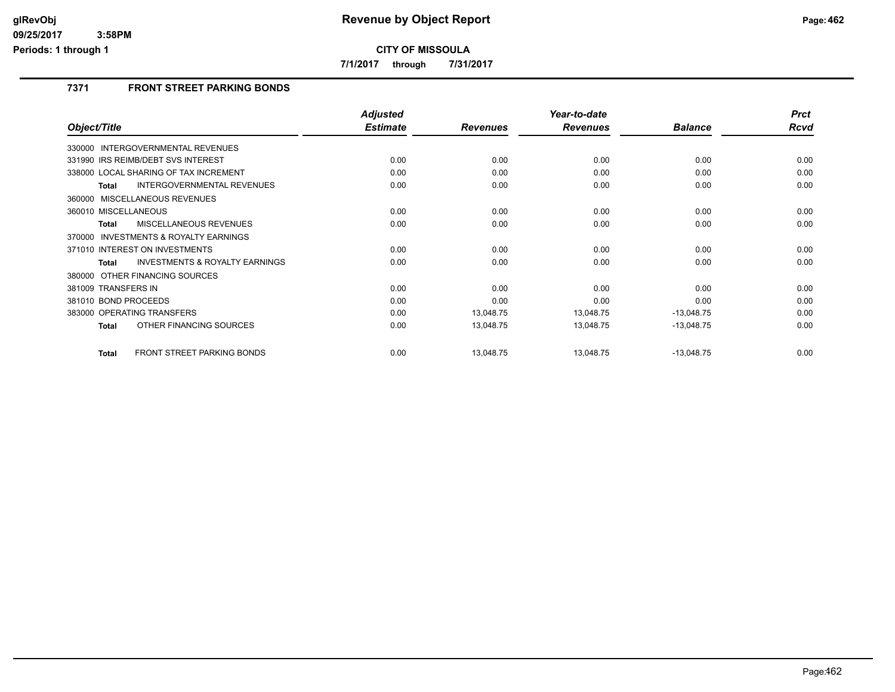**7/1/2017 through 7/31/2017**

## **7371 FRONT STREET PARKING BONDS**

|                                                     | <b>Adjusted</b> |                 | Year-to-date    |                | <b>Prct</b> |
|-----------------------------------------------------|-----------------|-----------------|-----------------|----------------|-------------|
| Object/Title                                        | <b>Estimate</b> | <b>Revenues</b> | <b>Revenues</b> | <b>Balance</b> | Rcvd        |
| 330000 INTERGOVERNMENTAL REVENUES                   |                 |                 |                 |                |             |
| 331990 IRS REIMB/DEBT SVS INTEREST                  | 0.00            | 0.00            | 0.00            | 0.00           | 0.00        |
| 338000 LOCAL SHARING OF TAX INCREMENT               | 0.00            | 0.00            | 0.00            | 0.00           | 0.00        |
| <b>INTERGOVERNMENTAL REVENUES</b><br>Total          | 0.00            | 0.00            | 0.00            | 0.00           | 0.00        |
| 360000 MISCELLANEOUS REVENUES                       |                 |                 |                 |                |             |
| 360010 MISCELLANEOUS                                | 0.00            | 0.00            | 0.00            | 0.00           | 0.00        |
| MISCELLANEOUS REVENUES<br><b>Total</b>              | 0.00            | 0.00            | 0.00            | 0.00           | 0.00        |
| <b>INVESTMENTS &amp; ROYALTY EARNINGS</b><br>370000 |                 |                 |                 |                |             |
| 371010 INTEREST ON INVESTMENTS                      | 0.00            | 0.00            | 0.00            | 0.00           | 0.00        |
| <b>INVESTMENTS &amp; ROYALTY EARNINGS</b><br>Total  | 0.00            | 0.00            | 0.00            | 0.00           | 0.00        |
| 380000 OTHER FINANCING SOURCES                      |                 |                 |                 |                |             |
| 381009 TRANSFERS IN                                 | 0.00            | 0.00            | 0.00            | 0.00           | 0.00        |
| 381010 BOND PROCEEDS                                | 0.00            | 0.00            | 0.00            | 0.00           | 0.00        |
| 383000 OPERATING TRANSFERS                          | 0.00            | 13,048.75       | 13,048.75       | $-13,048.75$   | 0.00        |
| OTHER FINANCING SOURCES<br><b>Total</b>             | 0.00            | 13,048.75       | 13,048.75       | $-13,048.75$   | 0.00        |
| <b>FRONT STREET PARKING BONDS</b><br><b>Total</b>   | 0.00            | 13,048.75       | 13,048.75       | $-13,048.75$   | 0.00        |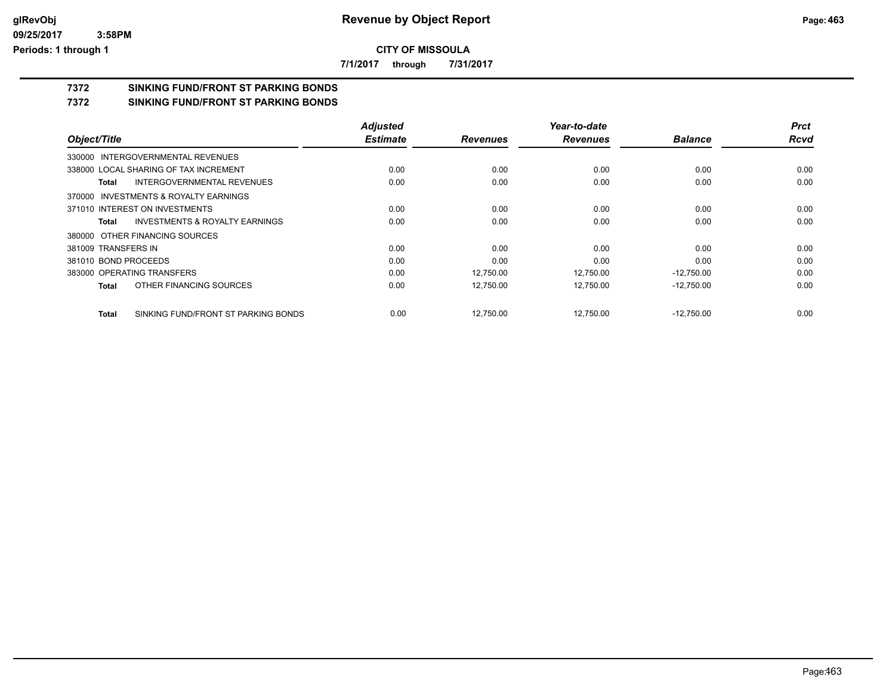**7/1/2017 through 7/31/2017**

# **7372 SINKING FUND/FRONT ST PARKING BONDS**

# **7372 SINKING FUND/FRONT ST PARKING BONDS**

|                                                    | <b>Adjusted</b> |                 | Year-to-date    |                | <b>Prct</b> |
|----------------------------------------------------|-----------------|-----------------|-----------------|----------------|-------------|
| Object/Title                                       | <b>Estimate</b> | <b>Revenues</b> | <b>Revenues</b> | <b>Balance</b> | <b>Rcvd</b> |
| 330000 INTERGOVERNMENTAL REVENUES                  |                 |                 |                 |                |             |
| 338000 LOCAL SHARING OF TAX INCREMENT              | 0.00            | 0.00            | 0.00            | 0.00           | 0.00        |
| INTERGOVERNMENTAL REVENUES<br>Total                | 0.00            | 0.00            | 0.00            | 0.00           | 0.00        |
| 370000 INVESTMENTS & ROYALTY EARNINGS              |                 |                 |                 |                |             |
| 371010 INTEREST ON INVESTMENTS                     | 0.00            | 0.00            | 0.00            | 0.00           | 0.00        |
| <b>INVESTMENTS &amp; ROYALTY EARNINGS</b><br>Total | 0.00            | 0.00            | 0.00            | 0.00           | 0.00        |
| 380000 OTHER FINANCING SOURCES                     |                 |                 |                 |                |             |
| 381009 TRANSFERS IN                                | 0.00            | 0.00            | 0.00            | 0.00           | 0.00        |
| 381010 BOND PROCEEDS                               | 0.00            | 0.00            | 0.00            | 0.00           | 0.00        |
| 383000 OPERATING TRANSFERS                         | 0.00            | 12.750.00       | 12.750.00       | $-12.750.00$   | 0.00        |
| OTHER FINANCING SOURCES<br>Total                   | 0.00            | 12.750.00       | 12.750.00       | $-12.750.00$   | 0.00        |
| SINKING FUND/FRONT ST PARKING BONDS<br>Total       | 0.00            | 12.750.00       | 12,750.00       | $-12.750.00$   | 0.00        |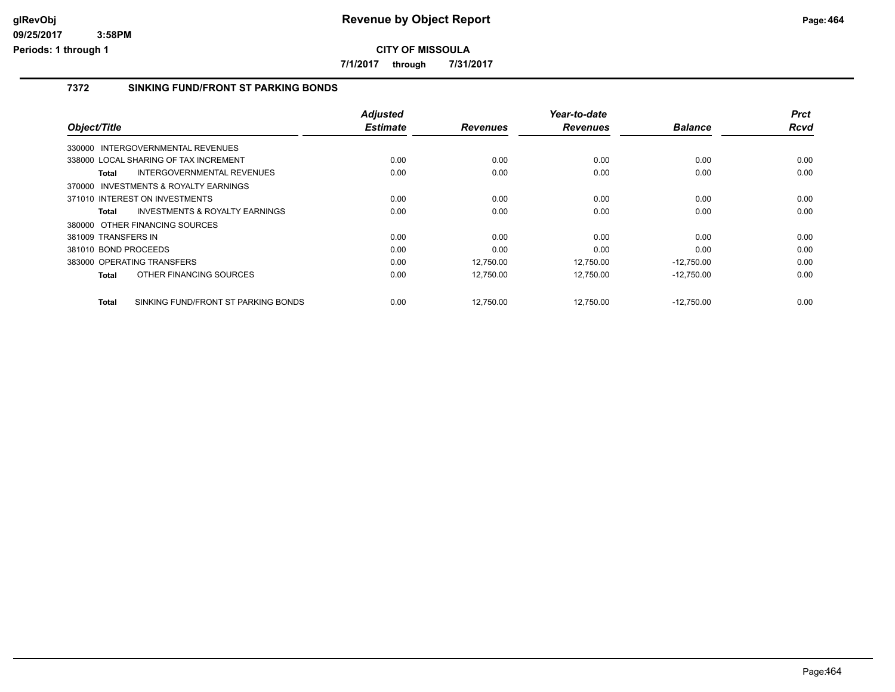**7/1/2017 through 7/31/2017**

## **7372 SINKING FUND/FRONT ST PARKING BONDS**

|                                                     | <b>Adjusted</b> |                 | Year-to-date    |                | <b>Prct</b> |
|-----------------------------------------------------|-----------------|-----------------|-----------------|----------------|-------------|
| Object/Title                                        | <b>Estimate</b> | <b>Revenues</b> | <b>Revenues</b> | <b>Balance</b> | Rcvd        |
| INTERGOVERNMENTAL REVENUES<br>330000                |                 |                 |                 |                |             |
| 338000 LOCAL SHARING OF TAX INCREMENT               | 0.00            | 0.00            | 0.00            | 0.00           | 0.00        |
| INTERGOVERNMENTAL REVENUES<br>Total                 | 0.00            | 0.00            | 0.00            | 0.00           | 0.00        |
| 370000 INVESTMENTS & ROYALTY EARNINGS               |                 |                 |                 |                |             |
| 371010 INTEREST ON INVESTMENTS                      | 0.00            | 0.00            | 0.00            | 0.00           | 0.00        |
| INVESTMENTS & ROYALTY EARNINGS<br>Total             | 0.00            | 0.00            | 0.00            | 0.00           | 0.00        |
| 380000 OTHER FINANCING SOURCES                      |                 |                 |                 |                |             |
| 381009 TRANSFERS IN                                 | 0.00            | 0.00            | 0.00            | 0.00           | 0.00        |
| 381010 BOND PROCEEDS                                | 0.00            | 0.00            | 0.00            | 0.00           | 0.00        |
| 383000 OPERATING TRANSFERS                          | 0.00            | 12.750.00       | 12.750.00       | $-12,750.00$   | 0.00        |
| OTHER FINANCING SOURCES<br>Total                    | 0.00            | 12,750.00       | 12,750.00       | $-12,750.00$   | 0.00        |
| SINKING FUND/FRONT ST PARKING BONDS<br><b>Total</b> | 0.00            | 12,750.00       | 12,750.00       | $-12,750.00$   | 0.00        |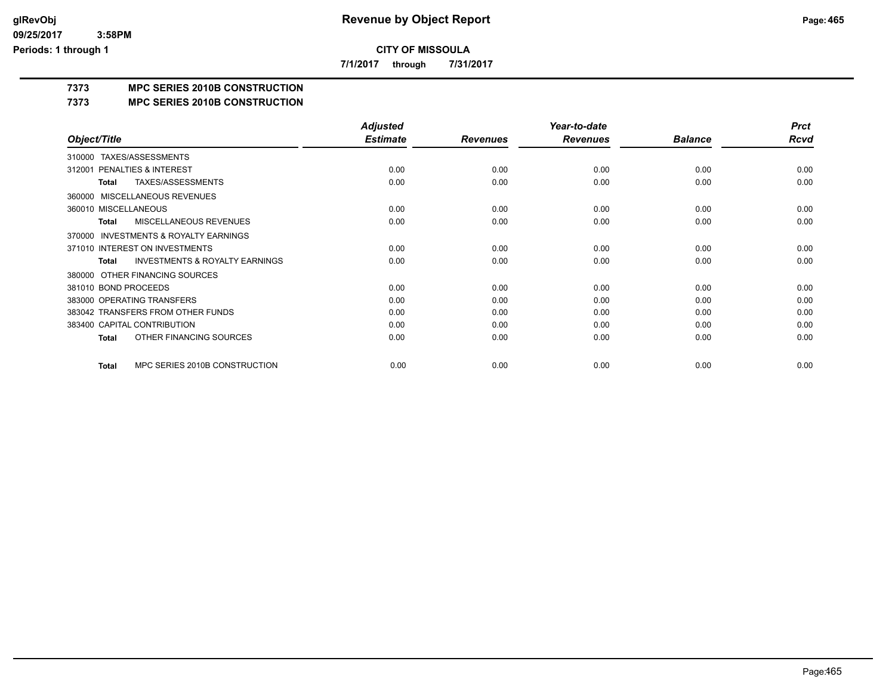**CITY OF MISSOULA**

**7/1/2017 through 7/31/2017**

# **7373 MPC SERIES 2010B CONSTRUCTION**

## **7373 MPC SERIES 2010B CONSTRUCTION**

|                                                     | <b>Adjusted</b> |                 | Year-to-date    |                | <b>Prct</b> |
|-----------------------------------------------------|-----------------|-----------------|-----------------|----------------|-------------|
| Object/Title                                        | <b>Estimate</b> | <b>Revenues</b> | <b>Revenues</b> | <b>Balance</b> | <b>Rcvd</b> |
| TAXES/ASSESSMENTS<br>310000                         |                 |                 |                 |                |             |
| PENALTIES & INTEREST<br>312001                      | 0.00            | 0.00            | 0.00            | 0.00           | 0.00        |
| TAXES/ASSESSMENTS<br><b>Total</b>                   | 0.00            | 0.00            | 0.00            | 0.00           | 0.00        |
| MISCELLANEOUS REVENUES<br>360000                    |                 |                 |                 |                |             |
| 360010 MISCELLANEOUS                                | 0.00            | 0.00            | 0.00            | 0.00           | 0.00        |
| <b>MISCELLANEOUS REVENUES</b><br>Total              | 0.00            | 0.00            | 0.00            | 0.00           | 0.00        |
| <b>INVESTMENTS &amp; ROYALTY EARNINGS</b><br>370000 |                 |                 |                 |                |             |
| 371010 INTEREST ON INVESTMENTS                      | 0.00            | 0.00            | 0.00            | 0.00           | 0.00        |
| <b>INVESTMENTS &amp; ROYALTY EARNINGS</b><br>Total  | 0.00            | 0.00            | 0.00            | 0.00           | 0.00        |
| OTHER FINANCING SOURCES<br>380000                   |                 |                 |                 |                |             |
| 381010 BOND PROCEEDS                                | 0.00            | 0.00            | 0.00            | 0.00           | 0.00        |
| 383000 OPERATING TRANSFERS                          | 0.00            | 0.00            | 0.00            | 0.00           | 0.00        |
| 383042 TRANSFERS FROM OTHER FUNDS                   | 0.00            | 0.00            | 0.00            | 0.00           | 0.00        |
| 383400 CAPITAL CONTRIBUTION                         | 0.00            | 0.00            | 0.00            | 0.00           | 0.00        |
| OTHER FINANCING SOURCES<br><b>Total</b>             | 0.00            | 0.00            | 0.00            | 0.00           | 0.00        |
|                                                     |                 |                 |                 |                |             |
| MPC SERIES 2010B CONSTRUCTION<br><b>Total</b>       | 0.00            | 0.00            | 0.00            | 0.00           | 0.00        |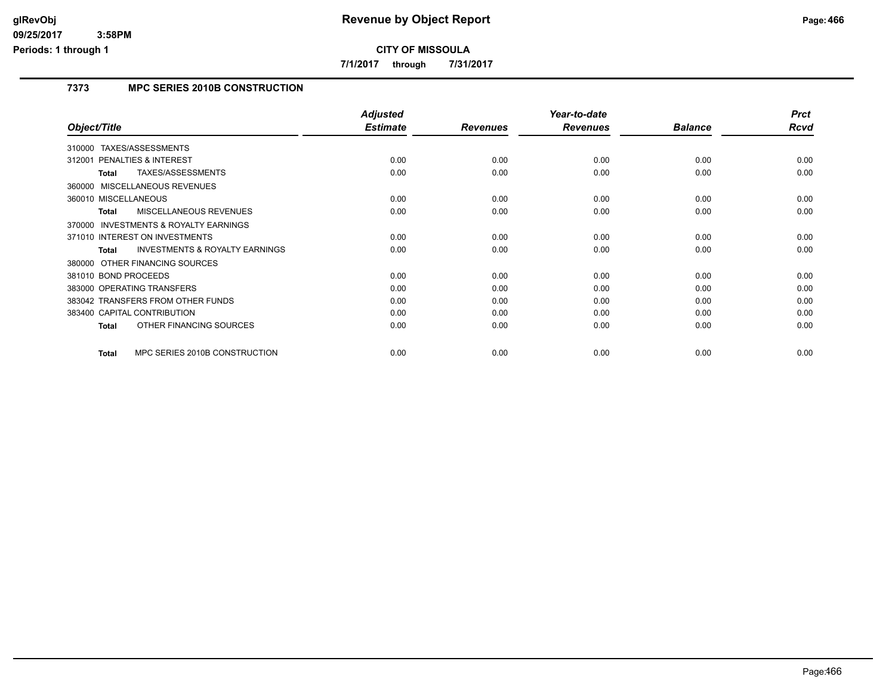**7/1/2017 through 7/31/2017**

## **7373 MPC SERIES 2010B CONSTRUCTION**

|                                                    | <b>Adjusted</b> |                 | Year-to-date    |                | <b>Prct</b> |
|----------------------------------------------------|-----------------|-----------------|-----------------|----------------|-------------|
| Object/Title                                       | <b>Estimate</b> | <b>Revenues</b> | <b>Revenues</b> | <b>Balance</b> | <b>Rcvd</b> |
| 310000 TAXES/ASSESSMENTS                           |                 |                 |                 |                |             |
| PENALTIES & INTEREST<br>312001                     | 0.00            | 0.00            | 0.00            | 0.00           | 0.00        |
| TAXES/ASSESSMENTS<br>Total                         | 0.00            | 0.00            | 0.00            | 0.00           | 0.00        |
| 360000 MISCELLANEOUS REVENUES                      |                 |                 |                 |                |             |
| 360010 MISCELLANEOUS                               | 0.00            | 0.00            | 0.00            | 0.00           | 0.00        |
| MISCELLANEOUS REVENUES<br><b>Total</b>             | 0.00            | 0.00            | 0.00            | 0.00           | 0.00        |
| 370000 INVESTMENTS & ROYALTY EARNINGS              |                 |                 |                 |                |             |
| 371010 INTEREST ON INVESTMENTS                     | 0.00            | 0.00            | 0.00            | 0.00           | 0.00        |
| <b>INVESTMENTS &amp; ROYALTY EARNINGS</b><br>Total | 0.00            | 0.00            | 0.00            | 0.00           | 0.00        |
| 380000 OTHER FINANCING SOURCES                     |                 |                 |                 |                |             |
| 381010 BOND PROCEEDS                               | 0.00            | 0.00            | 0.00            | 0.00           | 0.00        |
| 383000 OPERATING TRANSFERS                         | 0.00            | 0.00            | 0.00            | 0.00           | 0.00        |
| 383042 TRANSFERS FROM OTHER FUNDS                  | 0.00            | 0.00            | 0.00            | 0.00           | 0.00        |
| 383400 CAPITAL CONTRIBUTION                        | 0.00            | 0.00            | 0.00            | 0.00           | 0.00        |
| OTHER FINANCING SOURCES<br>Total                   | 0.00            | 0.00            | 0.00            | 0.00           | 0.00        |
|                                                    |                 |                 |                 |                |             |
| MPC SERIES 2010B CONSTRUCTION<br><b>Total</b>      | 0.00            | 0.00            | 0.00            | 0.00           | 0.00        |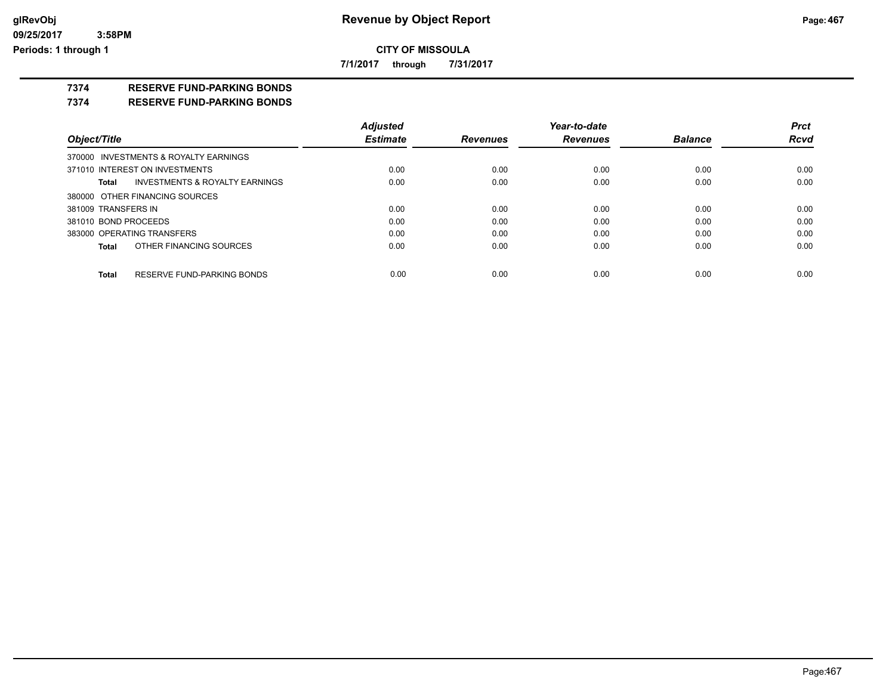**7/1/2017 through 7/31/2017**

## **7374 RESERVE FUND-PARKING BONDS**

## **7374 RESERVE FUND-PARKING BONDS**

|                                                    | <b>Adjusted</b> |                 | Year-to-date    |                | <b>Prct</b> |
|----------------------------------------------------|-----------------|-----------------|-----------------|----------------|-------------|
| Object/Title                                       | <b>Estimate</b> | <b>Revenues</b> | <b>Revenues</b> | <b>Balance</b> | <b>Rcvd</b> |
| 370000 INVESTMENTS & ROYALTY EARNINGS              |                 |                 |                 |                |             |
| 371010 INTEREST ON INVESTMENTS                     | 0.00            | 0.00            | 0.00            | 0.00           | 0.00        |
| <b>INVESTMENTS &amp; ROYALTY EARNINGS</b><br>Total | 0.00            | 0.00            | 0.00            | 0.00           | 0.00        |
| 380000 OTHER FINANCING SOURCES                     |                 |                 |                 |                |             |
| 381009 TRANSFERS IN                                | 0.00            | 0.00            | 0.00            | 0.00           | 0.00        |
| 381010 BOND PROCEEDS                               | 0.00            | 0.00            | 0.00            | 0.00           | 0.00        |
| 383000 OPERATING TRANSFERS                         | 0.00            | 0.00            | 0.00            | 0.00           | 0.00        |
| OTHER FINANCING SOURCES<br>Total                   | 0.00            | 0.00            | 0.00            | 0.00           | 0.00        |
| RESERVE FUND-PARKING BONDS<br>Total                | 0.00            | 0.00            | 0.00            | 0.00           | 0.00        |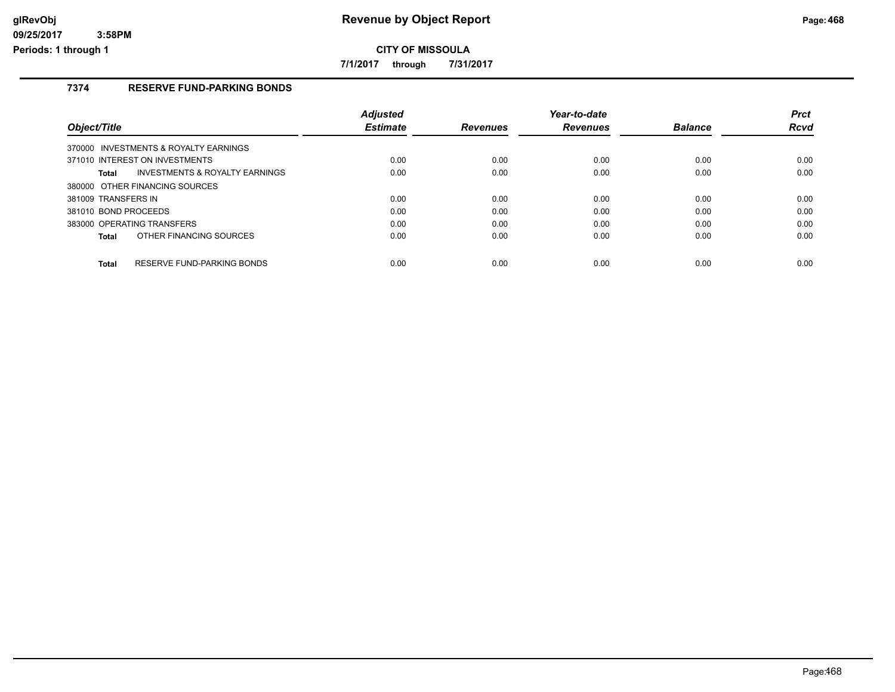**CITY OF MISSOULA**

**7/1/2017 through 7/31/2017**

## **7374 RESERVE FUND-PARKING BONDS**

|                                                    | <b>Adiusted</b> |                 | Year-to-date    |                | <b>Prct</b> |
|----------------------------------------------------|-----------------|-----------------|-----------------|----------------|-------------|
| Object/Title                                       | <b>Estimate</b> | <b>Revenues</b> | <b>Revenues</b> | <b>Balance</b> | <b>Rcvd</b> |
| 370000 INVESTMENTS & ROYALTY EARNINGS              |                 |                 |                 |                |             |
| 371010 INTEREST ON INVESTMENTS                     | 0.00            | 0.00            | 0.00            | 0.00           | 0.00        |
| <b>INVESTMENTS &amp; ROYALTY EARNINGS</b><br>Total | 0.00            | 0.00            | 0.00            | 0.00           | 0.00        |
| 380000 OTHER FINANCING SOURCES                     |                 |                 |                 |                |             |
| 381009 TRANSFERS IN                                | 0.00            | 0.00            | 0.00            | 0.00           | 0.00        |
| 381010 BOND PROCEEDS                               | 0.00            | 0.00            | 0.00            | 0.00           | 0.00        |
| 383000 OPERATING TRANSFERS                         | 0.00            | 0.00            | 0.00            | 0.00           | 0.00        |
| OTHER FINANCING SOURCES<br>Total                   | 0.00            | 0.00            | 0.00            | 0.00           | 0.00        |
| RESERVE FUND-PARKING BONDS<br><b>Total</b>         | 0.00            | 0.00            | 0.00            | 0.00           | 0.00        |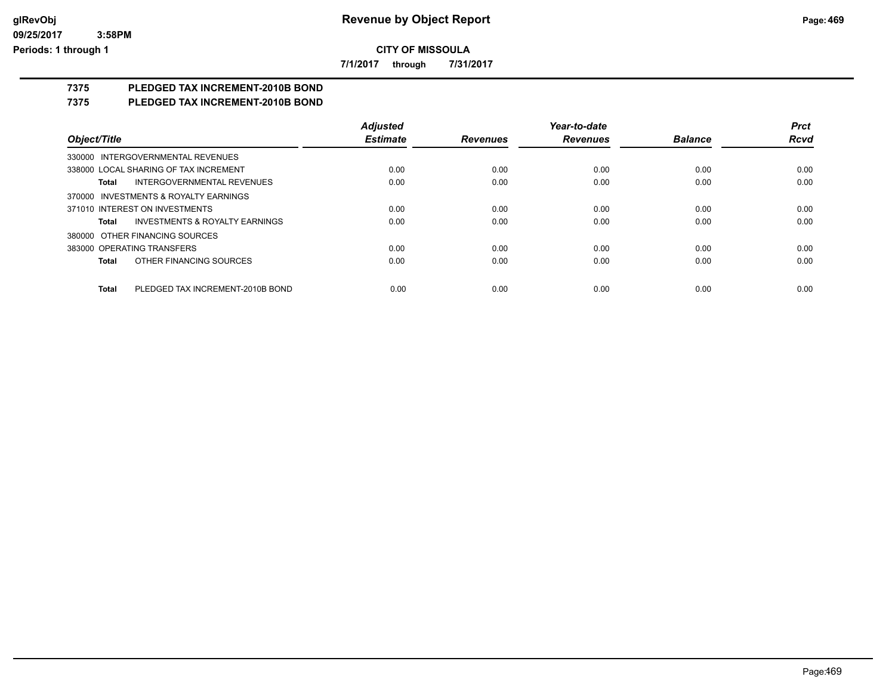**7/1/2017 through 7/31/2017**

## **7375 PLEDGED TAX INCREMENT-2010B BOND**

#### **7375 PLEDGED TAX INCREMENT-2010B BOND**

|                                            | <b>Adjusted</b> |                 | Year-to-date    |                | <b>Prct</b> |
|--------------------------------------------|-----------------|-----------------|-----------------|----------------|-------------|
| Object/Title                               | <b>Estimate</b> | <b>Revenues</b> | <b>Revenues</b> | <b>Balance</b> | <b>Rcvd</b> |
| 330000 INTERGOVERNMENTAL REVENUES          |                 |                 |                 |                |             |
| 338000 LOCAL SHARING OF TAX INCREMENT      | 0.00            | 0.00            | 0.00            | 0.00           | 0.00        |
| <b>INTERGOVERNMENTAL REVENUES</b><br>Total | 0.00            | 0.00            | 0.00            | 0.00           | 0.00        |
| 370000 INVESTMENTS & ROYALTY EARNINGS      |                 |                 |                 |                |             |
| 371010 INTEREST ON INVESTMENTS             | 0.00            | 0.00            | 0.00            | 0.00           | 0.00        |
| INVESTMENTS & ROYALTY EARNINGS<br>Total    | 0.00            | 0.00            | 0.00            | 0.00           | 0.00        |
| 380000 OTHER FINANCING SOURCES             |                 |                 |                 |                |             |
| 383000 OPERATING TRANSFERS                 | 0.00            | 0.00            | 0.00            | 0.00           | 0.00        |
| OTHER FINANCING SOURCES<br>Total           | 0.00            | 0.00            | 0.00            | 0.00           | 0.00        |
|                                            |                 |                 |                 |                |             |
| PLEDGED TAX INCREMENT-2010B BOND<br>Total  | 0.00            | 0.00            | 0.00            | 0.00           | 0.00        |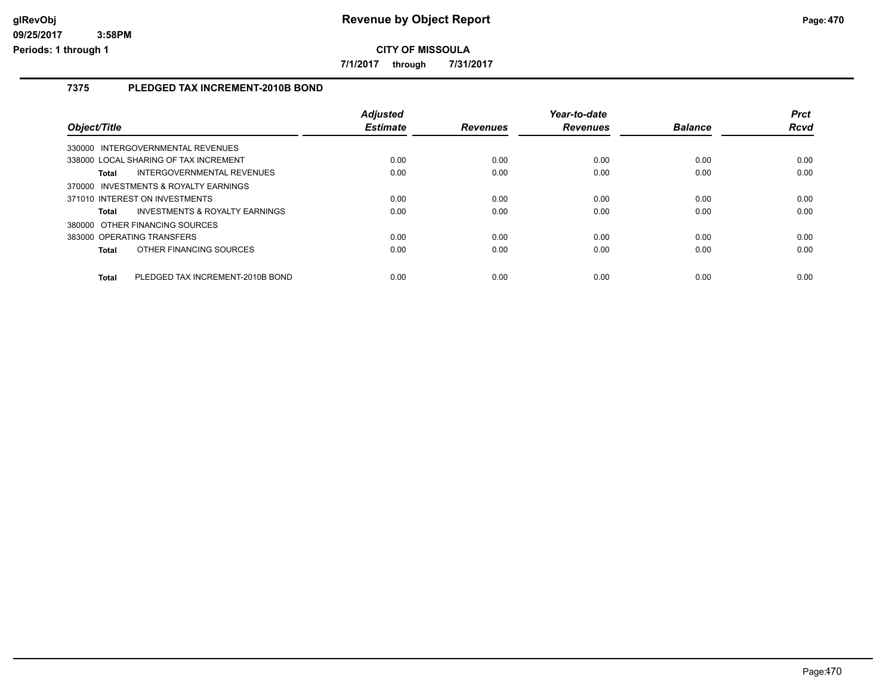**7/1/2017 through 7/31/2017**

#### **7375 PLEDGED TAX INCREMENT-2010B BOND**

| Object/Title                                     | <b>Adjusted</b><br><b>Estimate</b> | <b>Revenues</b> | Year-to-date<br><b>Revenues</b> | <b>Balance</b> | <b>Prct</b><br>Rcvd |
|--------------------------------------------------|------------------------------------|-----------------|---------------------------------|----------------|---------------------|
| 330000 INTERGOVERNMENTAL REVENUES                |                                    |                 |                                 |                |                     |
| 338000 LOCAL SHARING OF TAX INCREMENT            | 0.00                               | 0.00            | 0.00                            | 0.00           | 0.00                |
| INTERGOVERNMENTAL REVENUES<br>Total              | 0.00                               | 0.00            | 0.00                            | 0.00           | 0.00                |
| 370000 INVESTMENTS & ROYALTY EARNINGS            |                                    |                 |                                 |                |                     |
| 371010 INTEREST ON INVESTMENTS                   | 0.00                               | 0.00            | 0.00                            | 0.00           | 0.00                |
| INVESTMENTS & ROYALTY EARNINGS<br>Total          | 0.00                               | 0.00            | 0.00                            | 0.00           | 0.00                |
| 380000 OTHER FINANCING SOURCES                   |                                    |                 |                                 |                |                     |
| 383000 OPERATING TRANSFERS                       | 0.00                               | 0.00            | 0.00                            | 0.00           | 0.00                |
| OTHER FINANCING SOURCES<br>Total                 | 0.00                               | 0.00            | 0.00                            | 0.00           | 0.00                |
| PLEDGED TAX INCREMENT-2010B BOND<br><b>Total</b> | 0.00                               | 0.00            | 0.00                            | 0.00           | 0.00                |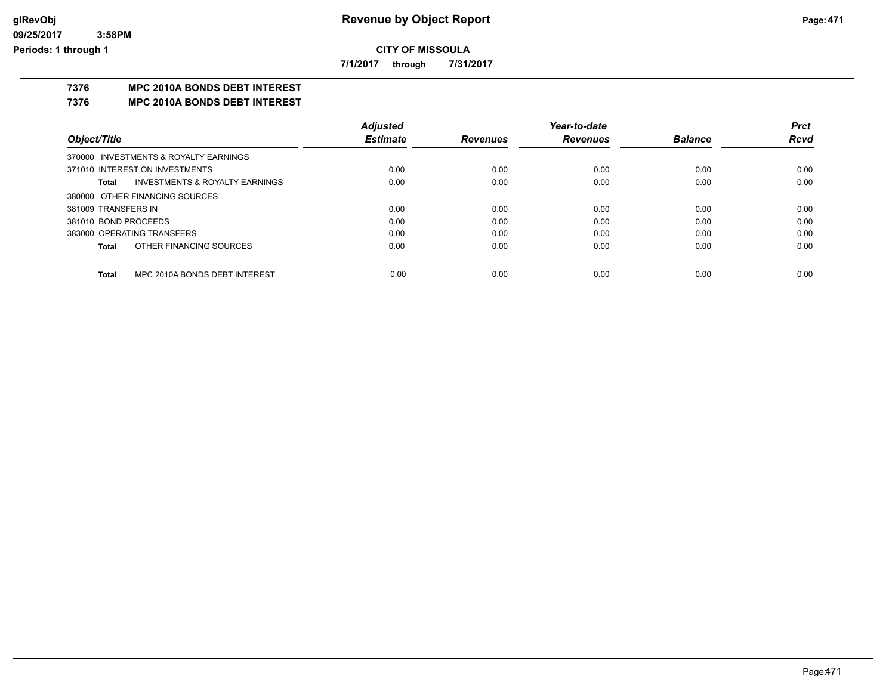**7/1/2017 through 7/31/2017**

#### **7376 MPC 2010A BONDS DEBT INTEREST**

#### **7376 MPC 2010A BONDS DEBT INTEREST**

|                      |                                       | <b>Adjusted</b> |                 | Year-to-date    |                | <b>Prct</b> |
|----------------------|---------------------------------------|-----------------|-----------------|-----------------|----------------|-------------|
| Object/Title         |                                       | <b>Estimate</b> | <b>Revenues</b> | <b>Revenues</b> | <b>Balance</b> | <b>Rcvd</b> |
|                      | 370000 INVESTMENTS & ROYALTY EARNINGS |                 |                 |                 |                |             |
|                      | 371010 INTEREST ON INVESTMENTS        | 0.00            | 0.00            | 0.00            | 0.00           | 0.00        |
| Total                | INVESTMENTS & ROYALTY EARNINGS        | 0.00            | 0.00            | 0.00            | 0.00           | 0.00        |
|                      | 380000 OTHER FINANCING SOURCES        |                 |                 |                 |                |             |
| 381009 TRANSFERS IN  |                                       | 0.00            | 0.00            | 0.00            | 0.00           | 0.00        |
| 381010 BOND PROCEEDS |                                       | 0.00            | 0.00            | 0.00            | 0.00           | 0.00        |
|                      | 383000 OPERATING TRANSFERS            | 0.00            | 0.00            | 0.00            | 0.00           | 0.00        |
| Total                | OTHER FINANCING SOURCES               | 0.00            | 0.00            | 0.00            | 0.00           | 0.00        |
| Total                | MPC 2010A BONDS DEBT INTEREST         | 0.00            | 0.00            | 0.00            | 0.00           | 0.00        |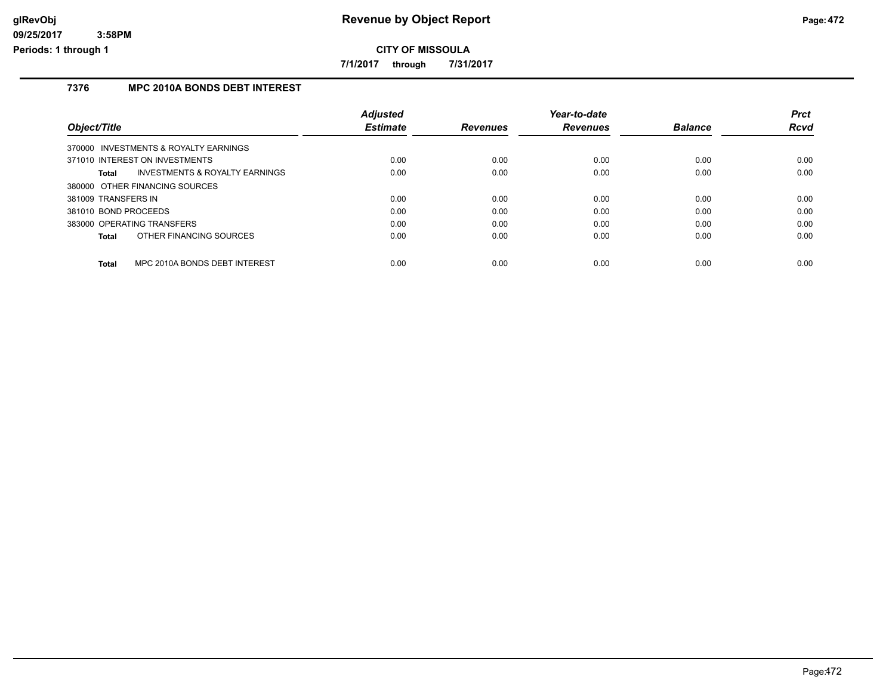**7/1/2017 through 7/31/2017**

#### **7376 MPC 2010A BONDS DEBT INTEREST**

|                                               | <b>Adjusted</b> |                 | Year-to-date    |                | <b>Prct</b> |
|-----------------------------------------------|-----------------|-----------------|-----------------|----------------|-------------|
| Object/Title                                  | <b>Estimate</b> | <b>Revenues</b> | <b>Revenues</b> | <b>Balance</b> | <b>Rcvd</b> |
| 370000 INVESTMENTS & ROYALTY EARNINGS         |                 |                 |                 |                |             |
| 371010 INTEREST ON INVESTMENTS                | 0.00            | 0.00            | 0.00            | 0.00           | 0.00        |
| INVESTMENTS & ROYALTY EARNINGS<br>Total       | 0.00            | 0.00            | 0.00            | 0.00           | 0.00        |
| 380000 OTHER FINANCING SOURCES                |                 |                 |                 |                |             |
| 381009 TRANSFERS IN                           | 0.00            | 0.00            | 0.00            | 0.00           | 0.00        |
| 381010 BOND PROCEEDS                          | 0.00            | 0.00            | 0.00            | 0.00           | 0.00        |
| 383000 OPERATING TRANSFERS                    | 0.00            | 0.00            | 0.00            | 0.00           | 0.00        |
| OTHER FINANCING SOURCES<br><b>Total</b>       | 0.00            | 0.00            | 0.00            | 0.00           | 0.00        |
| MPC 2010A BONDS DEBT INTEREST<br><b>Total</b> | 0.00            | 0.00            | 0.00            | 0.00           | 0.00        |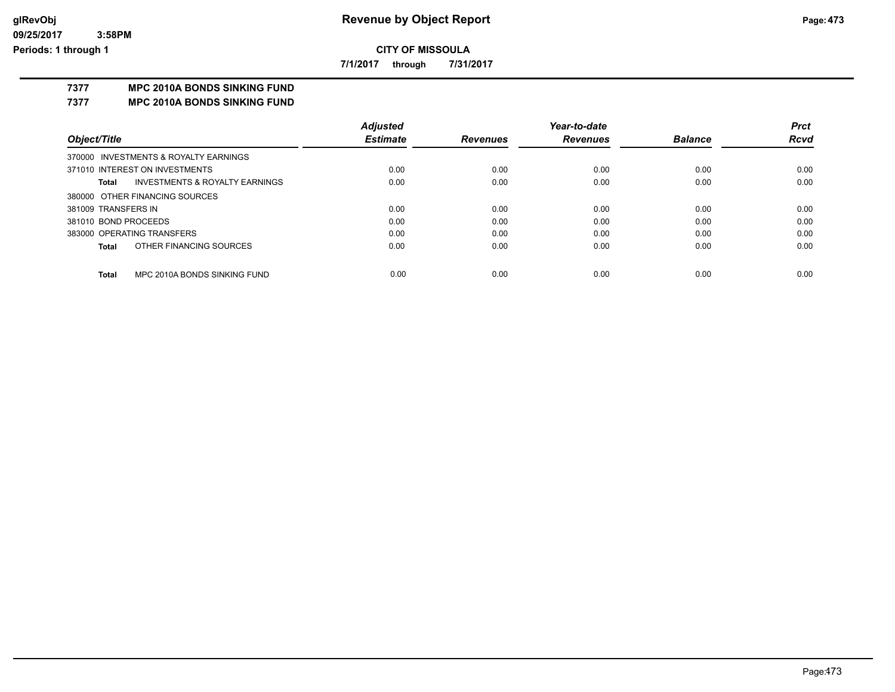**3:58PM**

**CITY OF MISSOULA**

**7/1/2017 through 7/31/2017**

#### **7377 MPC 2010A BONDS SINKING FUND**

**7377 MPC 2010A BONDS SINKING FUND**

|                                       |                                           | <b>Adjusted</b> |                 | Year-to-date    |                | <b>Prct</b> |
|---------------------------------------|-------------------------------------------|-----------------|-----------------|-----------------|----------------|-------------|
| Object/Title                          |                                           | <b>Estimate</b> | <b>Revenues</b> | <b>Revenues</b> | <b>Balance</b> | <b>Rcvd</b> |
| 370000 INVESTMENTS & ROYALTY EARNINGS |                                           |                 |                 |                 |                |             |
| 371010 INTEREST ON INVESTMENTS        |                                           | 0.00            | 0.00            | 0.00            | 0.00           | 0.00        |
| <b>Total</b>                          | <b>INVESTMENTS &amp; ROYALTY EARNINGS</b> | 0.00            | 0.00            | 0.00            | 0.00           | 0.00        |
| 380000 OTHER FINANCING SOURCES        |                                           |                 |                 |                 |                |             |
| 381009 TRANSFERS IN                   |                                           | 0.00            | 0.00            | 0.00            | 0.00           | 0.00        |
| 381010 BOND PROCEEDS                  |                                           | 0.00            | 0.00            | 0.00            | 0.00           | 0.00        |
| 383000 OPERATING TRANSFERS            |                                           | 0.00            | 0.00            | 0.00            | 0.00           | 0.00        |
| <b>Total</b>                          | OTHER FINANCING SOURCES                   | 0.00            | 0.00            | 0.00            | 0.00           | 0.00        |
| <b>Total</b>                          | MPC 2010A BONDS SINKING FUND              | 0.00            | 0.00            | 0.00            | 0.00           | 0.00        |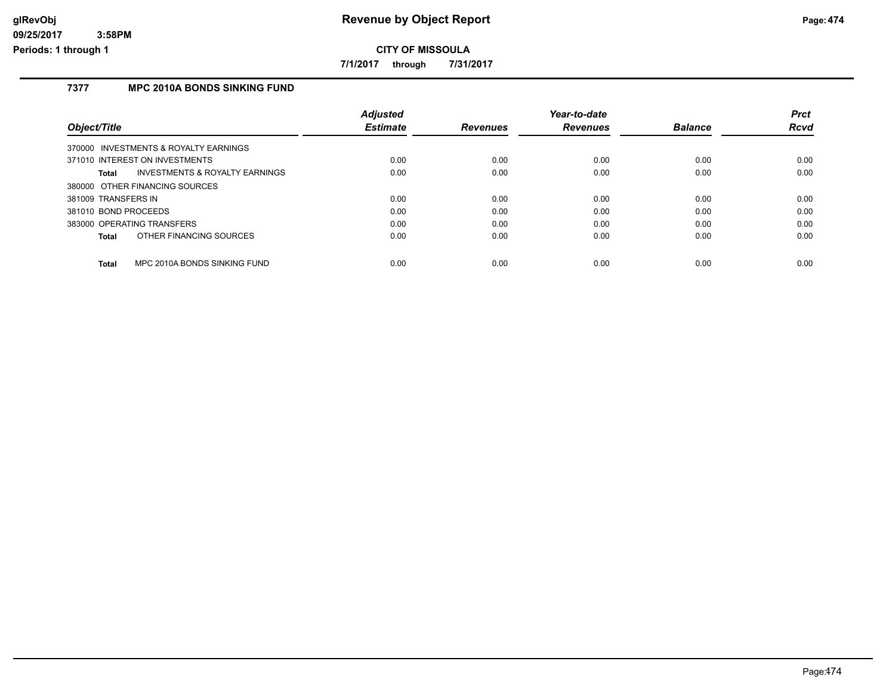**3:58PM**

**CITY OF MISSOULA**

**7/1/2017 through 7/31/2017**

#### **7377 MPC 2010A BONDS SINKING FUND**

|                                |                                           | <b>Adjusted</b> |                 | Year-to-date    |                | <b>Prct</b> |
|--------------------------------|-------------------------------------------|-----------------|-----------------|-----------------|----------------|-------------|
| Object/Title                   |                                           | <b>Estimate</b> | <b>Revenues</b> | <b>Revenues</b> | <b>Balance</b> | <b>Rcvd</b> |
|                                | 370000 INVESTMENTS & ROYALTY EARNINGS     |                 |                 |                 |                |             |
| 371010 INTEREST ON INVESTMENTS |                                           | 0.00            | 0.00            | 0.00            | 0.00           | 0.00        |
| Total                          | <b>INVESTMENTS &amp; ROYALTY EARNINGS</b> | 0.00            | 0.00            | 0.00            | 0.00           | 0.00        |
| 380000 OTHER FINANCING SOURCES |                                           |                 |                 |                 |                |             |
| 381009 TRANSFERS IN            |                                           | 0.00            | 0.00            | 0.00            | 0.00           | 0.00        |
| 381010 BOND PROCEEDS           |                                           | 0.00            | 0.00            | 0.00            | 0.00           | 0.00        |
| 383000 OPERATING TRANSFERS     |                                           | 0.00            | 0.00            | 0.00            | 0.00           | 0.00        |
| <b>Total</b>                   | OTHER FINANCING SOURCES                   | 0.00            | 0.00            | 0.00            | 0.00           | 0.00        |
| <b>Total</b>                   | MPC 2010A BONDS SINKING FUND              | 0.00            | 0.00            | 0.00            | 0.00           | 0.00        |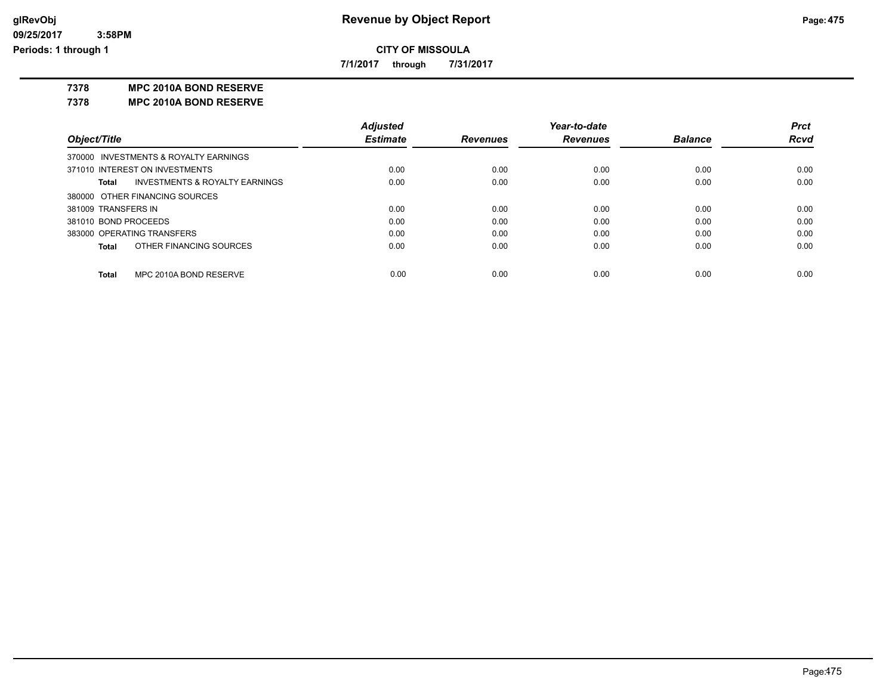**7/1/2017 through 7/31/2017**

**7378 MPC 2010A BOND RESERVE**

**7378 MPC 2010A BOND RESERVE**

|                      |                                           | <b>Adjusted</b> |                 | Year-to-date    |                | <b>Prct</b> |
|----------------------|-------------------------------------------|-----------------|-----------------|-----------------|----------------|-------------|
| Object/Title         |                                           | <b>Estimate</b> | <b>Revenues</b> | <b>Revenues</b> | <b>Balance</b> | Rcvd        |
|                      | 370000 INVESTMENTS & ROYALTY EARNINGS     |                 |                 |                 |                |             |
|                      | 371010 INTEREST ON INVESTMENTS            | 0.00            | 0.00            | 0.00            | 0.00           | 0.00        |
| Total                | <b>INVESTMENTS &amp; ROYALTY EARNINGS</b> | 0.00            | 0.00            | 0.00            | 0.00           | 0.00        |
|                      | 380000 OTHER FINANCING SOURCES            |                 |                 |                 |                |             |
| 381009 TRANSFERS IN  |                                           | 0.00            | 0.00            | 0.00            | 0.00           | 0.00        |
| 381010 BOND PROCEEDS |                                           | 0.00            | 0.00            | 0.00            | 0.00           | 0.00        |
|                      | 383000 OPERATING TRANSFERS                | 0.00            | 0.00            | 0.00            | 0.00           | 0.00        |
| Total                | OTHER FINANCING SOURCES                   | 0.00            | 0.00            | 0.00            | 0.00           | 0.00        |
| <b>Total</b>         | MPC 2010A BOND RESERVE                    | 0.00            | 0.00            | 0.00            | 0.00           | 0.00        |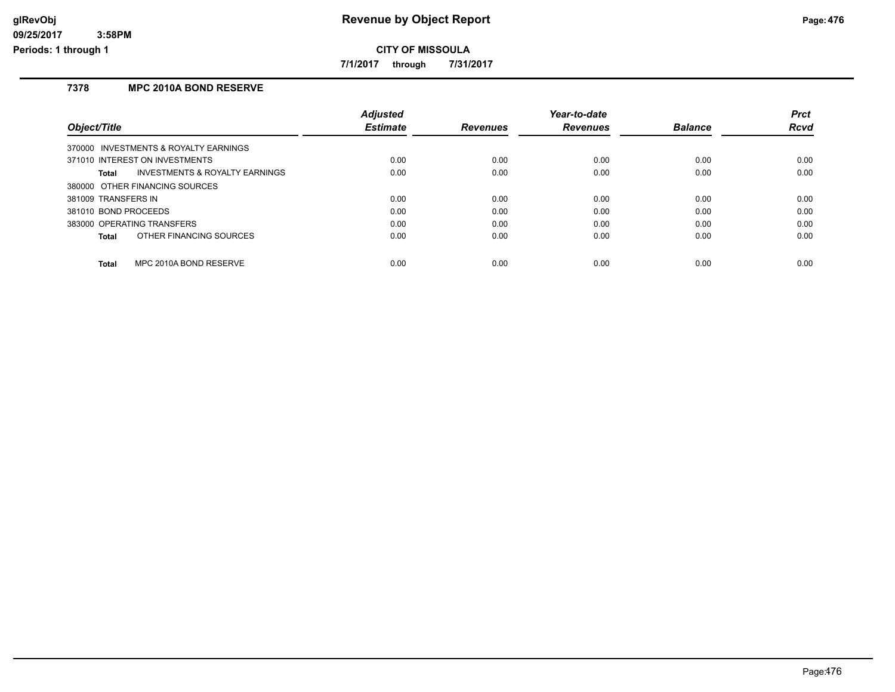**CITY OF MISSOULA**

**7/1/2017 through 7/31/2017**

#### **7378 MPC 2010A BOND RESERVE**

|                                        |                                | <b>Adjusted</b> |                 | Year-to-date    |                | <b>Prct</b> |
|----------------------------------------|--------------------------------|-----------------|-----------------|-----------------|----------------|-------------|
| Object/Title                           |                                | <b>Estimate</b> | <b>Revenues</b> | <b>Revenues</b> | <b>Balance</b> | <b>Rcvd</b> |
| 370000 INVESTMENTS & ROYALTY EARNINGS  |                                |                 |                 |                 |                |             |
| 371010 INTEREST ON INVESTMENTS         |                                | 0.00            | 0.00            | 0.00            | 0.00           | 0.00        |
| Total                                  | INVESTMENTS & ROYALTY EARNINGS | 0.00            | 0.00            | 0.00            | 0.00           | 0.00        |
| 380000 OTHER FINANCING SOURCES         |                                |                 |                 |                 |                |             |
| 381009 TRANSFERS IN                    |                                | 0.00            | 0.00            | 0.00            | 0.00           | 0.00        |
| 381010 BOND PROCEEDS                   |                                | 0.00            | 0.00            | 0.00            | 0.00           | 0.00        |
| 383000 OPERATING TRANSFERS             |                                | 0.00            | 0.00            | 0.00            | 0.00           | 0.00        |
| OTHER FINANCING SOURCES<br>Total       |                                | 0.00            | 0.00            | 0.00            | 0.00           | 0.00        |
| MPC 2010A BOND RESERVE<br><b>Total</b> |                                | 0.00            | 0.00            | 0.00            | 0.00           | 0.00        |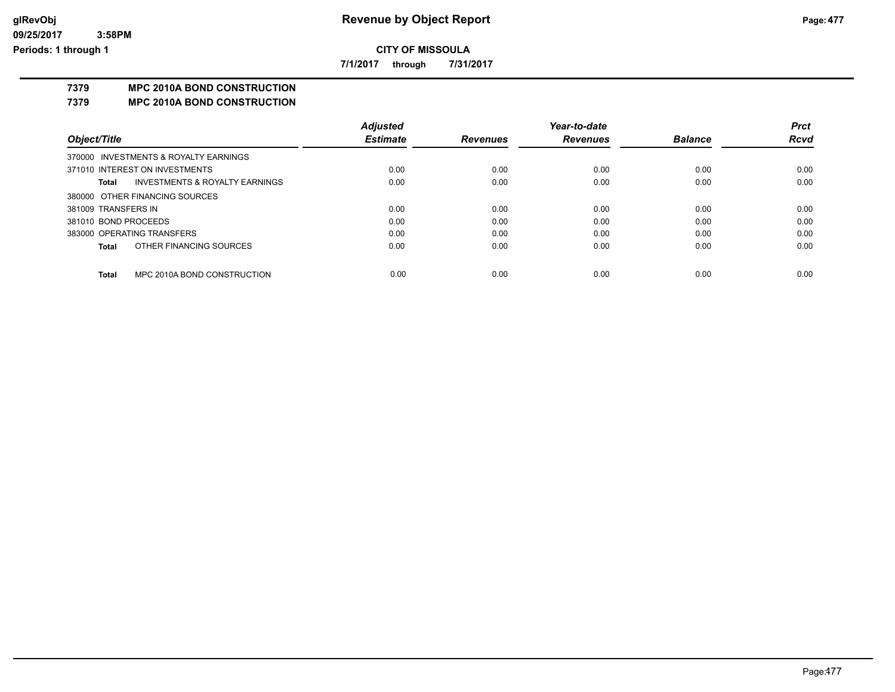**3:58PM**

**CITY OF MISSOULA**

**7/1/2017 through 7/31/2017**

#### **7379 MPC 2010A BOND CONSTRUCTION**

#### **7379 MPC 2010A BOND CONSTRUCTION**

|                                                    | <b>Adjusted</b> |                 | Year-to-date    |                | <b>Prct</b> |
|----------------------------------------------------|-----------------|-----------------|-----------------|----------------|-------------|
| Object/Title                                       | <b>Estimate</b> | <b>Revenues</b> | <b>Revenues</b> | <b>Balance</b> | <b>Rcvd</b> |
| 370000 INVESTMENTS & ROYALTY EARNINGS              |                 |                 |                 |                |             |
| 371010 INTEREST ON INVESTMENTS                     | 0.00            | 0.00            | 0.00            | 0.00           | 0.00        |
| <b>INVESTMENTS &amp; ROYALTY EARNINGS</b><br>Total | 0.00            | 0.00            | 0.00            | 0.00           | 0.00        |
| 380000 OTHER FINANCING SOURCES                     |                 |                 |                 |                |             |
| 381009 TRANSFERS IN                                | 0.00            | 0.00            | 0.00            | 0.00           | 0.00        |
| 381010 BOND PROCEEDS                               | 0.00            | 0.00            | 0.00            | 0.00           | 0.00        |
| 383000 OPERATING TRANSFERS                         | 0.00            | 0.00            | 0.00            | 0.00           | 0.00        |
| OTHER FINANCING SOURCES<br>Total                   | 0.00            | 0.00            | 0.00            | 0.00           | 0.00        |
| MPC 2010A BOND CONSTRUCTION<br>Total               | 0.00            | 0.00            | 0.00            | 0.00           | 0.00        |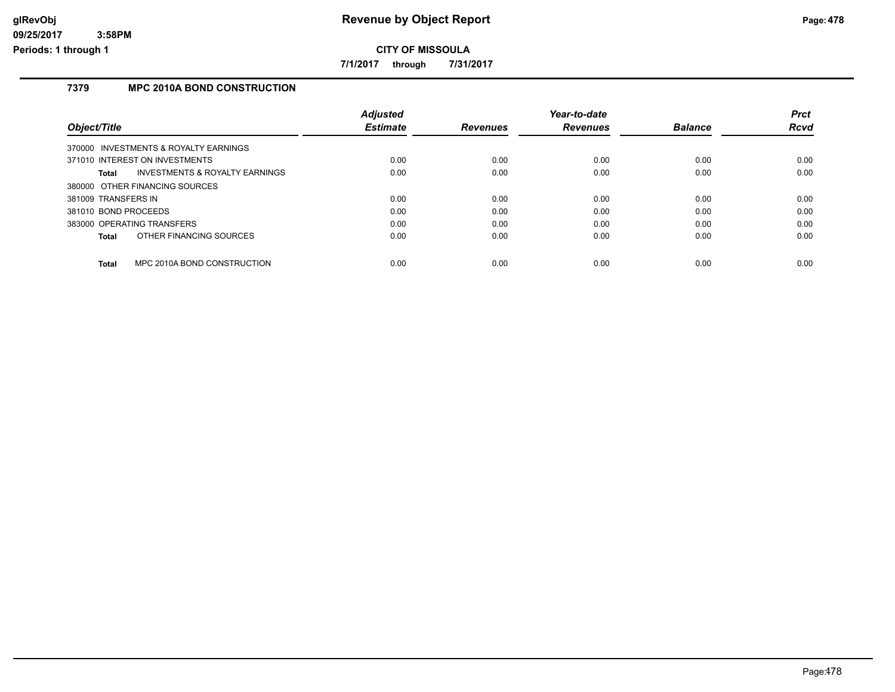**CITY OF MISSOULA**

**7/1/2017 through 7/31/2017**

#### **7379 MPC 2010A BOND CONSTRUCTION**

|                      |                                           | <b>Adjusted</b> |                 | Year-to-date    |                | <b>Prct</b> |
|----------------------|-------------------------------------------|-----------------|-----------------|-----------------|----------------|-------------|
| Object/Title         |                                           | <b>Estimate</b> | <b>Revenues</b> | <b>Revenues</b> | <b>Balance</b> | <b>Rcvd</b> |
|                      | 370000 INVESTMENTS & ROYALTY EARNINGS     |                 |                 |                 |                |             |
|                      | 371010 INTEREST ON INVESTMENTS            | 0.00            | 0.00            | 0.00            | 0.00           | 0.00        |
| Total                | <b>INVESTMENTS &amp; ROYALTY EARNINGS</b> | 0.00            | 0.00            | 0.00            | 0.00           | 0.00        |
|                      | 380000 OTHER FINANCING SOURCES            |                 |                 |                 |                |             |
| 381009 TRANSFERS IN  |                                           | 0.00            | 0.00            | 0.00            | 0.00           | 0.00        |
| 381010 BOND PROCEEDS |                                           | 0.00            | 0.00            | 0.00            | 0.00           | 0.00        |
|                      | 383000 OPERATING TRANSFERS                | 0.00            | 0.00            | 0.00            | 0.00           | 0.00        |
| <b>Total</b>         | OTHER FINANCING SOURCES                   | 0.00            | 0.00            | 0.00            | 0.00           | 0.00        |
| <b>Total</b>         | MPC 2010A BOND CONSTRUCTION               | 0.00            | 0.00            | 0.00            | 0.00           | 0.00        |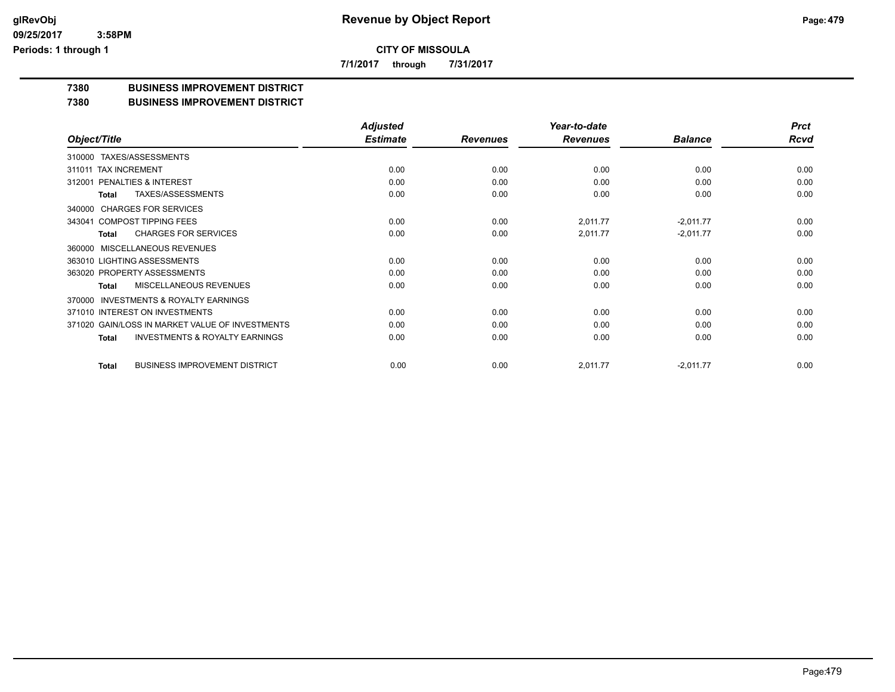**7/1/2017 through 7/31/2017**

#### **7380 BUSINESS IMPROVEMENT DISTRICT**

#### **7380 BUSINESS IMPROVEMENT DISTRICT**

|                                                           | <b>Adjusted</b> |                 | Year-to-date    |                | <b>Prct</b> |
|-----------------------------------------------------------|-----------------|-----------------|-----------------|----------------|-------------|
| Object/Title                                              | <b>Estimate</b> | <b>Revenues</b> | <b>Revenues</b> | <b>Balance</b> | <b>Rcvd</b> |
| 310000 TAXES/ASSESSMENTS                                  |                 |                 |                 |                |             |
| <b>TAX INCREMENT</b><br>311011                            | 0.00            | 0.00            | 0.00            | 0.00           | 0.00        |
| PENALTIES & INTEREST<br>312001                            | 0.00            | 0.00            | 0.00            | 0.00           | 0.00        |
| TAXES/ASSESSMENTS<br><b>Total</b>                         | 0.00            | 0.00            | 0.00            | 0.00           | 0.00        |
| <b>CHARGES FOR SERVICES</b><br>340000                     |                 |                 |                 |                |             |
| 343041 COMPOST TIPPING FEES                               | 0.00            | 0.00            | 2,011.77        | $-2,011.77$    | 0.00        |
| <b>CHARGES FOR SERVICES</b><br><b>Total</b>               | 0.00            | 0.00            | 2,011.77        | $-2,011.77$    | 0.00        |
| MISCELLANEOUS REVENUES<br>360000                          |                 |                 |                 |                |             |
| 363010 LIGHTING ASSESSMENTS                               | 0.00            | 0.00            | 0.00            | 0.00           | 0.00        |
| 363020 PROPERTY ASSESSMENTS                               | 0.00            | 0.00            | 0.00            | 0.00           | 0.00        |
| <b>MISCELLANEOUS REVENUES</b><br><b>Total</b>             | 0.00            | 0.00            | 0.00            | 0.00           | 0.00        |
| <b>INVESTMENTS &amp; ROYALTY EARNINGS</b><br>370000       |                 |                 |                 |                |             |
| 371010 INTEREST ON INVESTMENTS                            | 0.00            | 0.00            | 0.00            | 0.00           | 0.00        |
| 371020 GAIN/LOSS IN MARKET VALUE OF INVESTMENTS           | 0.00            | 0.00            | 0.00            | 0.00           | 0.00        |
| <b>INVESTMENTS &amp; ROYALTY EARNINGS</b><br><b>Total</b> | 0.00            | 0.00            | 0.00            | 0.00           | 0.00        |
| <b>BUSINESS IMPROVEMENT DISTRICT</b><br><b>Total</b>      | 0.00            | 0.00            | 2,011.77        | $-2,011.77$    | 0.00        |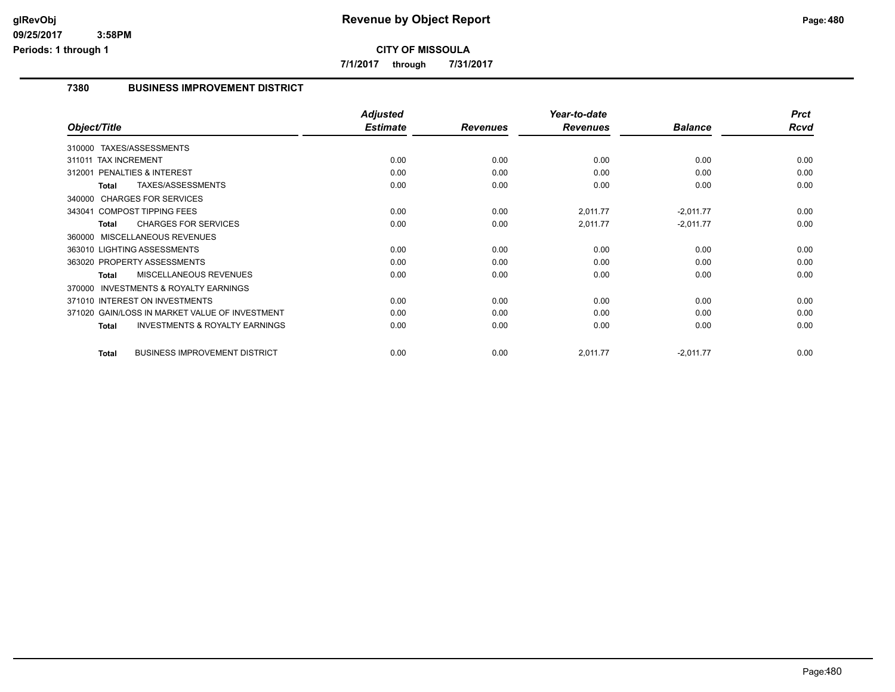**7/1/2017 through 7/31/2017**

#### **7380 BUSINESS IMPROVEMENT DISTRICT**

|                                                      | <b>Adjusted</b> |                 | Year-to-date    |                | <b>Prct</b> |
|------------------------------------------------------|-----------------|-----------------|-----------------|----------------|-------------|
| Object/Title                                         | <b>Estimate</b> | <b>Revenues</b> | <b>Revenues</b> | <b>Balance</b> | <b>Rcvd</b> |
| TAXES/ASSESSMENTS<br>310000                          |                 |                 |                 |                |             |
| 311011 TAX INCREMENT                                 | 0.00            | 0.00            | 0.00            | 0.00           | 0.00        |
| 312001 PENALTIES & INTEREST                          | 0.00            | 0.00            | 0.00            | 0.00           | 0.00        |
| TAXES/ASSESSMENTS<br>Total                           | 0.00            | 0.00            | 0.00            | 0.00           | 0.00        |
| 340000 CHARGES FOR SERVICES                          |                 |                 |                 |                |             |
| <b>COMPOST TIPPING FEES</b><br>343041                | 0.00            | 0.00            | 2,011.77        | $-2,011.77$    | 0.00        |
| <b>CHARGES FOR SERVICES</b><br><b>Total</b>          | 0.00            | 0.00            | 2,011.77        | $-2,011.77$    | 0.00        |
| 360000 MISCELLANEOUS REVENUES                        |                 |                 |                 |                |             |
| 363010 LIGHTING ASSESSMENTS                          | 0.00            | 0.00            | 0.00            | 0.00           | 0.00        |
| 363020 PROPERTY ASSESSMENTS                          | 0.00            | 0.00            | 0.00            | 0.00           | 0.00        |
| MISCELLANEOUS REVENUES<br><b>Total</b>               | 0.00            | 0.00            | 0.00            | 0.00           | 0.00        |
| <b>INVESTMENTS &amp; ROYALTY EARNINGS</b><br>370000  |                 |                 |                 |                |             |
| 371010 INTEREST ON INVESTMENTS                       | 0.00            | 0.00            | 0.00            | 0.00           | 0.00        |
| 371020 GAIN/LOSS IN MARKET VALUE OF INVESTMENT       | 0.00            | 0.00            | 0.00            | 0.00           | 0.00        |
| <b>INVESTMENTS &amp; ROYALTY EARNINGS</b><br>Total   | 0.00            | 0.00            | 0.00            | 0.00           | 0.00        |
| <b>BUSINESS IMPROVEMENT DISTRICT</b><br><b>Total</b> | 0.00            | 0.00            | 2,011.77        | $-2,011.77$    | 0.00        |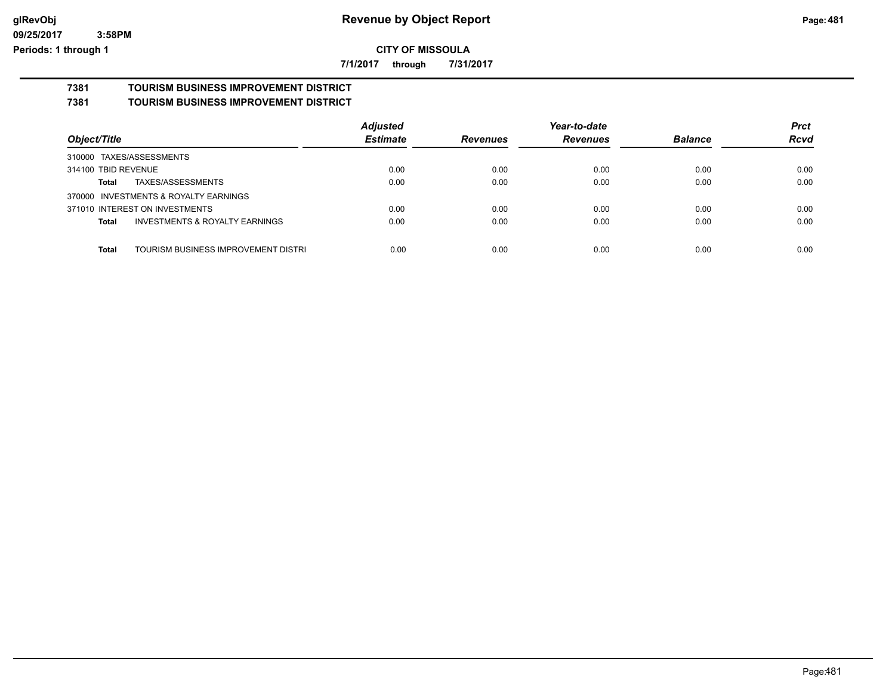**09/25/2017 3:58PM Periods: 1 through 1**

**CITY OF MISSOULA**

**7/1/2017 through 7/31/2017**

# **7381 TOURISM BUSINESS IMPROVEMENT DISTRICT**

### **7381 TOURISM BUSINESS IMPROVEMENT DISTRICT**

|                                                     | <b>Adjusted</b> |                 | Year-to-date    |                | <b>Prct</b> |
|-----------------------------------------------------|-----------------|-----------------|-----------------|----------------|-------------|
| Object/Title                                        | <b>Estimate</b> | <b>Revenues</b> | <b>Revenues</b> | <b>Balance</b> | <b>Rcvd</b> |
| 310000 TAXES/ASSESSMENTS                            |                 |                 |                 |                |             |
| 314100 TBID REVENUE                                 | 0.00            | 0.00            | 0.00            | 0.00           | 0.00        |
| TAXES/ASSESSMENTS<br>Total                          | 0.00            | 0.00            | 0.00            | 0.00           | 0.00        |
| 370000 INVESTMENTS & ROYALTY EARNINGS               |                 |                 |                 |                |             |
| 371010 INTEREST ON INVESTMENTS                      | 0.00            | 0.00            | 0.00            | 0.00           | 0.00        |
| <b>INVESTMENTS &amp; ROYALTY EARNINGS</b><br>Total  | 0.00            | 0.00            | 0.00            | 0.00           | 0.00        |
|                                                     |                 |                 |                 |                |             |
| TOURISM BUSINESS IMPROVEMENT DISTRI<br><b>Total</b> | 0.00            | 0.00            | 0.00            | 0.00           | 0.00        |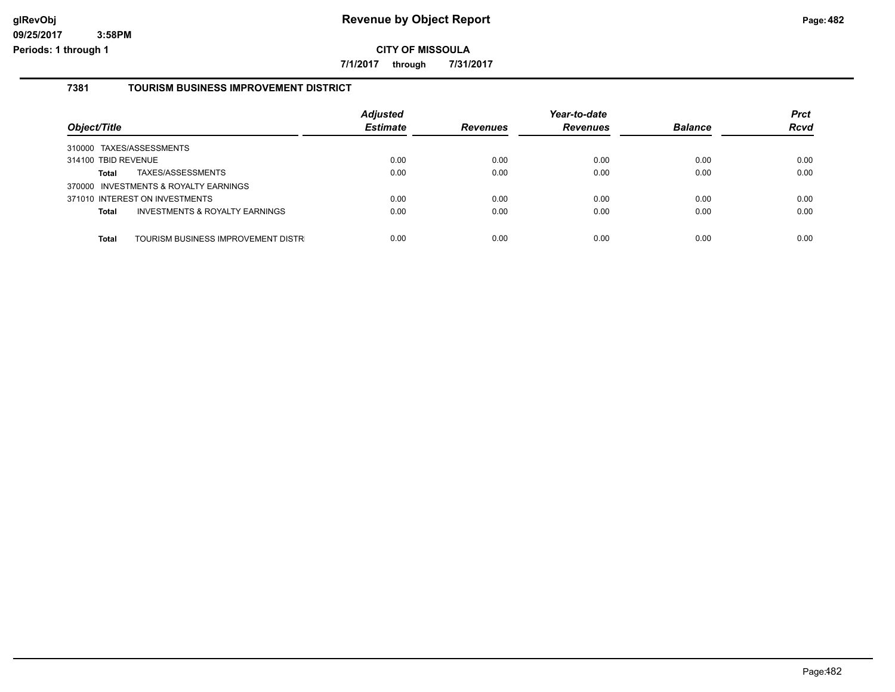**3:58PM**

**CITY OF MISSOULA**

**7/1/2017 through 7/31/2017**

#### **7381 TOURISM BUSINESS IMPROVEMENT DISTRICT**

| Object/Title                                       | <b>Adjusted</b><br><b>Estimate</b> | <b>Revenues</b> | Year-to-date<br><b>Revenues</b> | <b>Balance</b> | <b>Prct</b><br><b>Rcvd</b> |
|----------------------------------------------------|------------------------------------|-----------------|---------------------------------|----------------|----------------------------|
| 310000 TAXES/ASSESSMENTS                           |                                    |                 |                                 |                |                            |
| 314100 TBID REVENUE                                | 0.00                               | 0.00            | 0.00                            | 0.00           | 0.00                       |
| TAXES/ASSESSMENTS<br><b>Total</b>                  | 0.00                               | 0.00            | 0.00                            | 0.00           | 0.00                       |
| 370000 INVESTMENTS & ROYALTY EARNINGS              |                                    |                 |                                 |                |                            |
| 371010 INTEREST ON INVESTMENTS                     | 0.00                               | 0.00            | 0.00                            | 0.00           | 0.00                       |
| INVESTMENTS & ROYALTY EARNINGS<br><b>Total</b>     | 0.00                               | 0.00            | 0.00                            | 0.00           | 0.00                       |
|                                                    |                                    |                 |                                 |                |                            |
| TOURISM BUSINESS IMPROVEMENT DISTR<br><b>Total</b> | 0.00                               | 0.00            | 0.00                            | 0.00           | 0.00                       |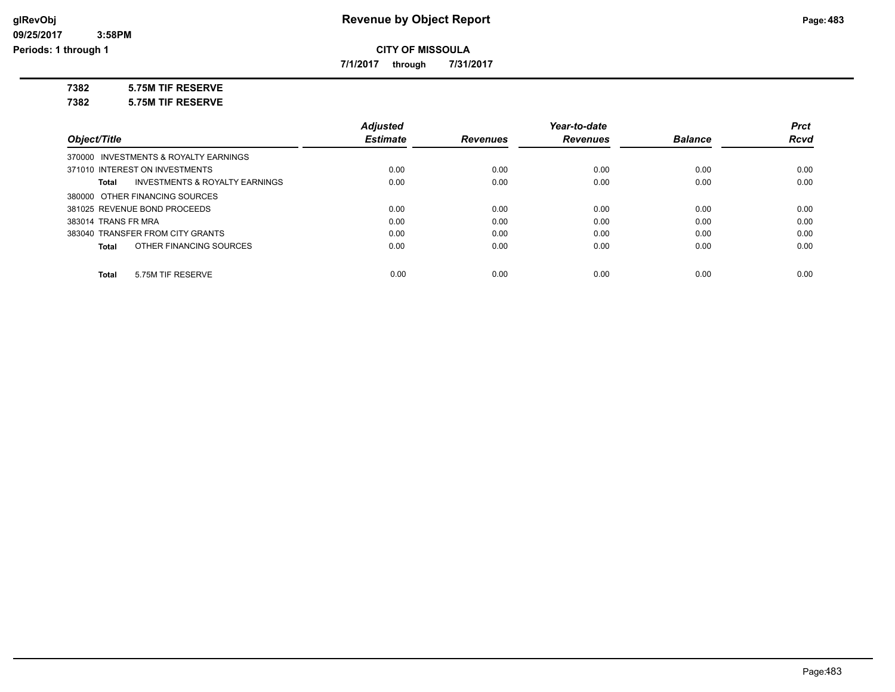**7/1/2017 through 7/31/2017**

**7382 5.75M TIF RESERVE**

**7382 5.75M TIF RESERVE**

|                                         | <b>Adjusted</b> |                 | Year-to-date    |                | <b>Prct</b> |
|-----------------------------------------|-----------------|-----------------|-----------------|----------------|-------------|
| Object/Title                            | <b>Estimate</b> | <b>Revenues</b> | <b>Revenues</b> | <b>Balance</b> | <b>Rcvd</b> |
| 370000 INVESTMENTS & ROYALTY EARNINGS   |                 |                 |                 |                |             |
| 371010 INTEREST ON INVESTMENTS          | 0.00            | 0.00            | 0.00            | 0.00           | 0.00        |
| INVESTMENTS & ROYALTY EARNINGS<br>Total | 0.00            | 0.00            | 0.00            | 0.00           | 0.00        |
| 380000 OTHER FINANCING SOURCES          |                 |                 |                 |                |             |
| 381025 REVENUE BOND PROCEEDS            | 0.00            | 0.00            | 0.00            | 0.00           | 0.00        |
| 383014 TRANS FR MRA                     | 0.00            | 0.00            | 0.00            | 0.00           | 0.00        |
| 383040 TRANSFER FROM CITY GRANTS        | 0.00            | 0.00            | 0.00            | 0.00           | 0.00        |
| OTHER FINANCING SOURCES<br>Total        | 0.00            | 0.00            | 0.00            | 0.00           | 0.00        |
|                                         |                 |                 |                 |                |             |
| 5.75M TIF RESERVE<br>Total              | 0.00            | 0.00            | 0.00            | 0.00           | 0.00        |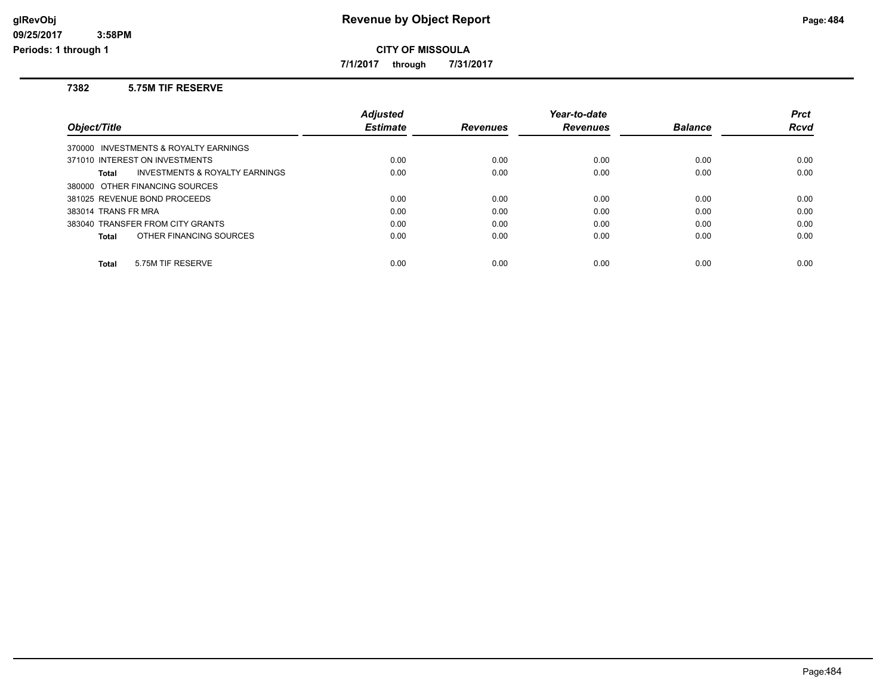**7/1/2017 through 7/31/2017**

#### **7382 5.75M TIF RESERVE**

|                                         | <b>Adjusted</b> |                 | Year-to-date    |                | <b>Prct</b> |
|-----------------------------------------|-----------------|-----------------|-----------------|----------------|-------------|
| Object/Title                            | <b>Estimate</b> | <b>Revenues</b> | <b>Revenues</b> | <b>Balance</b> | <b>Rcvd</b> |
| 370000 INVESTMENTS & ROYALTY EARNINGS   |                 |                 |                 |                |             |
| 371010 INTEREST ON INVESTMENTS          | 0.00            | 0.00            | 0.00            | 0.00           | 0.00        |
| INVESTMENTS & ROYALTY EARNINGS<br>Total | 0.00            | 0.00            | 0.00            | 0.00           | 0.00        |
| 380000 OTHER FINANCING SOURCES          |                 |                 |                 |                |             |
| 381025 REVENUE BOND PROCEEDS            | 0.00            | 0.00            | 0.00            | 0.00           | 0.00        |
| 383014 TRANS FR MRA                     | 0.00            | 0.00            | 0.00            | 0.00           | 0.00        |
| 383040 TRANSFER FROM CITY GRANTS        | 0.00            | 0.00            | 0.00            | 0.00           | 0.00        |
| OTHER FINANCING SOURCES<br>Total        | 0.00            | 0.00            | 0.00            | 0.00           | 0.00        |
|                                         |                 |                 |                 |                |             |
| 5.75M TIF RESERVE<br><b>Total</b>       | 0.00            | 0.00            | 0.00            | 0.00           | 0.00        |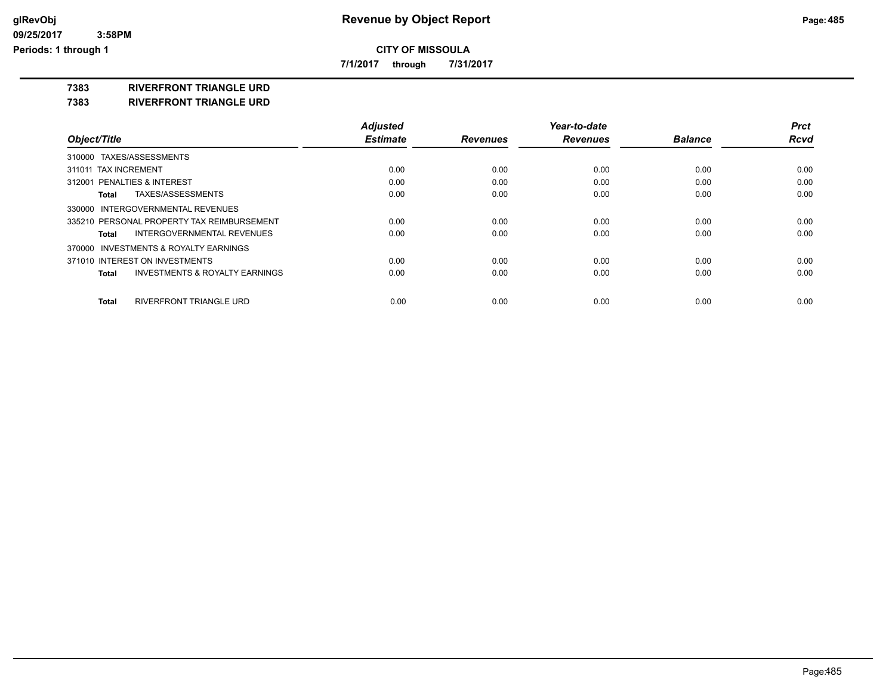**7/1/2017 through 7/31/2017**

#### **7383 RIVERFRONT TRIANGLE URD**

**7383 RIVERFRONT TRIANGLE URD**

|                                                    | <b>Adjusted</b> |                 | Year-to-date    |                | <b>Prct</b> |
|----------------------------------------------------|-----------------|-----------------|-----------------|----------------|-------------|
| Object/Title                                       | <b>Estimate</b> | <b>Revenues</b> | <b>Revenues</b> | <b>Balance</b> | <b>Rcvd</b> |
| 310000 TAXES/ASSESSMENTS                           |                 |                 |                 |                |             |
| 311011 TAX INCREMENT                               | 0.00            | 0.00            | 0.00            | 0.00           | 0.00        |
| 312001 PENALTIES & INTEREST                        | 0.00            | 0.00            | 0.00            | 0.00           | 0.00        |
| TAXES/ASSESSMENTS<br>Total                         | 0.00            | 0.00            | 0.00            | 0.00           | 0.00        |
| 330000 INTERGOVERNMENTAL REVENUES                  |                 |                 |                 |                |             |
| 335210 PERSONAL PROPERTY TAX REIMBURSEMENT         | 0.00            | 0.00            | 0.00            | 0.00           | 0.00        |
| INTERGOVERNMENTAL REVENUES<br>Total                | 0.00            | 0.00            | 0.00            | 0.00           | 0.00        |
| 370000 INVESTMENTS & ROYALTY EARNINGS              |                 |                 |                 |                |             |
| 371010 INTEREST ON INVESTMENTS                     | 0.00            | 0.00            | 0.00            | 0.00           | 0.00        |
| <b>INVESTMENTS &amp; ROYALTY EARNINGS</b><br>Total | 0.00            | 0.00            | 0.00            | 0.00           | 0.00        |
| <b>RIVERFRONT TRIANGLE URD</b><br><b>Total</b>     | 0.00            | 0.00            | 0.00            | 0.00           | 0.00        |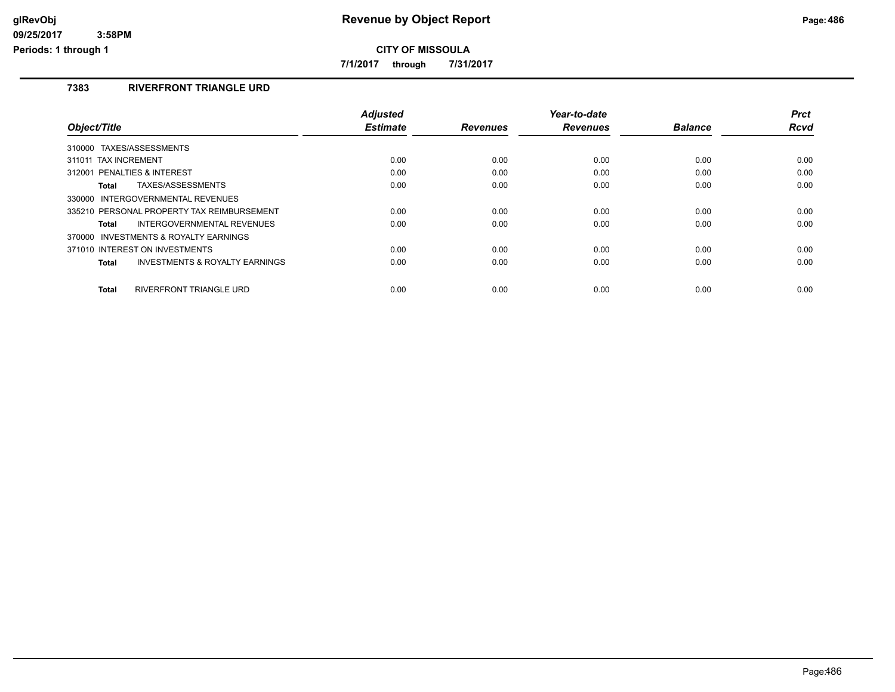**CITY OF MISSOULA**

**7/1/2017 through 7/31/2017**

#### **7383 RIVERFRONT TRIANGLE URD**

|                                                           | <b>Adjusted</b> |                 | Year-to-date    |                | <b>Prct</b> |
|-----------------------------------------------------------|-----------------|-----------------|-----------------|----------------|-------------|
| Object/Title                                              | <b>Estimate</b> | <b>Revenues</b> | <b>Revenues</b> | <b>Balance</b> | <b>Rcvd</b> |
| 310000 TAXES/ASSESSMENTS                                  |                 |                 |                 |                |             |
| 311011 TAX INCREMENT                                      | 0.00            | 0.00            | 0.00            | 0.00           | 0.00        |
| PENALTIES & INTEREST<br>312001                            | 0.00            | 0.00            | 0.00            | 0.00           | 0.00        |
| TAXES/ASSESSMENTS<br><b>Total</b>                         | 0.00            | 0.00            | 0.00            | 0.00           | 0.00        |
| 330000 INTERGOVERNMENTAL REVENUES                         |                 |                 |                 |                |             |
| 335210 PERSONAL PROPERTY TAX REIMBURSEMENT                | 0.00            | 0.00            | 0.00            | 0.00           | 0.00        |
| <b>INTERGOVERNMENTAL REVENUES</b><br>Total                | 0.00            | 0.00            | 0.00            | 0.00           | 0.00        |
| 370000 INVESTMENTS & ROYALTY EARNINGS                     |                 |                 |                 |                |             |
| 371010 INTEREST ON INVESTMENTS                            | 0.00            | 0.00            | 0.00            | 0.00           | 0.00        |
| <b>INVESTMENTS &amp; ROYALTY EARNINGS</b><br><b>Total</b> | 0.00            | 0.00            | 0.00            | 0.00           | 0.00        |
|                                                           |                 |                 |                 |                |             |
| <b>RIVERFRONT TRIANGLE URD</b><br><b>Total</b>            | 0.00            | 0.00            | 0.00            | 0.00           | 0.00        |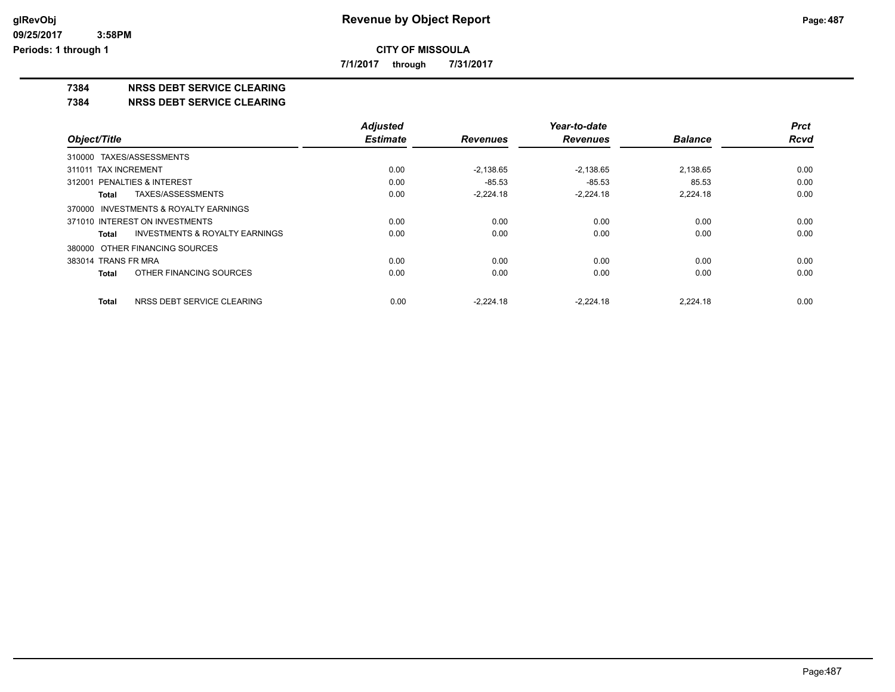**7/1/2017 through 7/31/2017**

#### **7384 NRSS DEBT SERVICE CLEARING**

**7384 NRSS DEBT SERVICE CLEARING**

|                                                    | <b>Adjusted</b> |                 | Year-to-date    |                | <b>Prct</b> |
|----------------------------------------------------|-----------------|-----------------|-----------------|----------------|-------------|
| Object/Title                                       | <b>Estimate</b> | <b>Revenues</b> | <b>Revenues</b> | <b>Balance</b> | <b>Rcvd</b> |
| 310000 TAXES/ASSESSMENTS                           |                 |                 |                 |                |             |
| 311011 TAX INCREMENT                               | 0.00            | $-2.138.65$     | $-2.138.65$     | 2,138.65       | 0.00        |
| 312001 PENALTIES & INTEREST                        | 0.00            | $-85.53$        | $-85.53$        | 85.53          | 0.00        |
| TAXES/ASSESSMENTS<br>Total                         | 0.00            | $-2,224.18$     | $-2,224.18$     | 2,224.18       | 0.00        |
| 370000 INVESTMENTS & ROYALTY EARNINGS              |                 |                 |                 |                |             |
| 371010 INTEREST ON INVESTMENTS                     | 0.00            | 0.00            | 0.00            | 0.00           | 0.00        |
| <b>INVESTMENTS &amp; ROYALTY EARNINGS</b><br>Total | 0.00            | 0.00            | 0.00            | 0.00           | 0.00        |
| 380000 OTHER FINANCING SOURCES                     |                 |                 |                 |                |             |
| 383014 TRANS FR MRA                                | 0.00            | 0.00            | 0.00            | 0.00           | 0.00        |
| OTHER FINANCING SOURCES<br>Total                   | 0.00            | 0.00            | 0.00            | 0.00           | 0.00        |
| NRSS DEBT SERVICE CLEARING<br>Total                | 0.00            | $-2.224.18$     | $-2.224.18$     | 2.224.18       | 0.00        |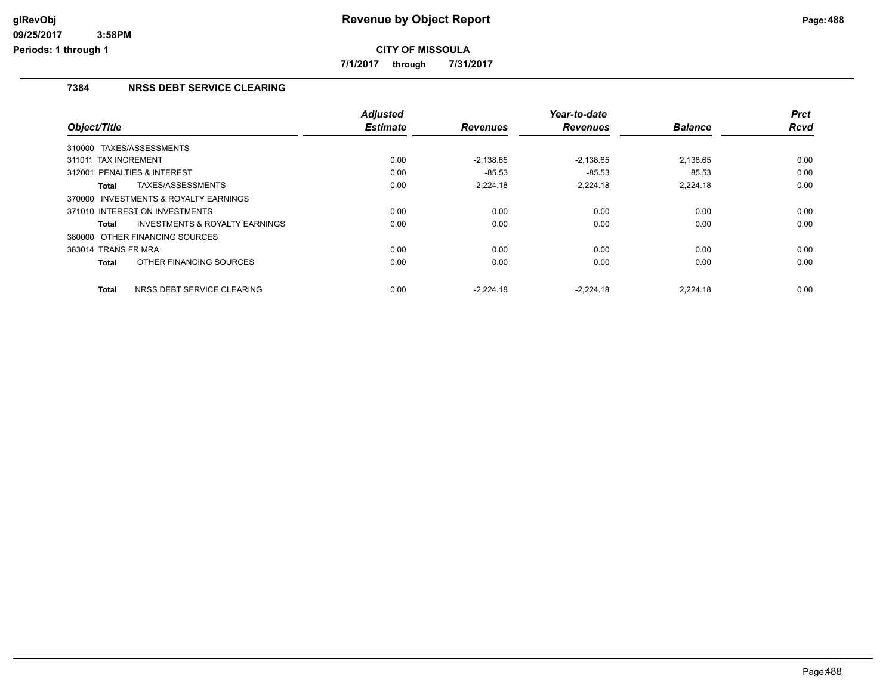**7/1/2017 through 7/31/2017**

#### **7384 NRSS DEBT SERVICE CLEARING**

|                                                    | <b>Adjusted</b> |                 | Year-to-date    |                | <b>Prct</b> |
|----------------------------------------------------|-----------------|-----------------|-----------------|----------------|-------------|
| Object/Title                                       | <b>Estimate</b> | <b>Revenues</b> | <b>Revenues</b> | <b>Balance</b> | <b>Rcvd</b> |
| 310000 TAXES/ASSESSMENTS                           |                 |                 |                 |                |             |
| 311011 TAX INCREMENT                               | 0.00            | $-2.138.65$     | $-2.138.65$     | 2.138.65       | 0.00        |
| PENALTIES & INTEREST<br>312001                     | 0.00            | $-85.53$        | $-85.53$        | 85.53          | 0.00        |
| TAXES/ASSESSMENTS<br>Total                         | 0.00            | $-2.224.18$     | $-2.224.18$     | 2.224.18       | 0.00        |
| 370000 INVESTMENTS & ROYALTY EARNINGS              |                 |                 |                 |                |             |
| 371010 INTEREST ON INVESTMENTS                     | 0.00            | 0.00            | 0.00            | 0.00           | 0.00        |
| <b>INVESTMENTS &amp; ROYALTY EARNINGS</b><br>Total | 0.00            | 0.00            | 0.00            | 0.00           | 0.00        |
| 380000 OTHER FINANCING SOURCES                     |                 |                 |                 |                |             |
| 383014 TRANS FR MRA                                | 0.00            | 0.00            | 0.00            | 0.00           | 0.00        |
| OTHER FINANCING SOURCES<br>Total                   | 0.00            | 0.00            | 0.00            | 0.00           | 0.00        |
| NRSS DEBT SERVICE CLEARING<br><b>Total</b>         | 0.00            | $-2.224.18$     | $-2.224.18$     | 2.224.18       | 0.00        |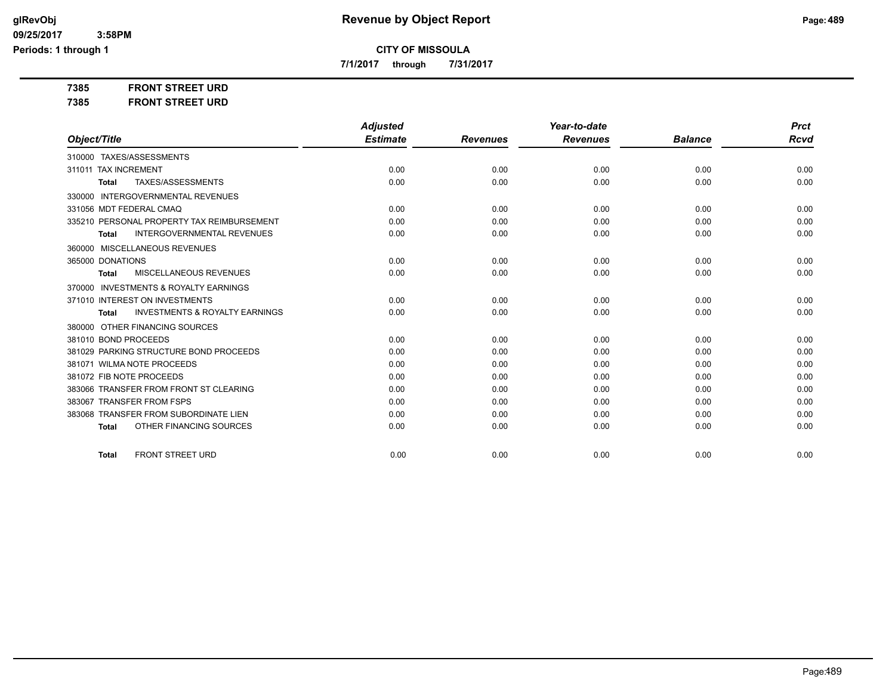**7/1/2017 through 7/31/2017**

**7385 FRONT STREET URD**

**7385 FRONT STREET URD**

|                                                           | <b>Adjusted</b> |                 | Year-to-date    |                | <b>Prct</b> |
|-----------------------------------------------------------|-----------------|-----------------|-----------------|----------------|-------------|
| Object/Title                                              | <b>Estimate</b> | <b>Revenues</b> | <b>Revenues</b> | <b>Balance</b> | <b>Rcvd</b> |
| 310000 TAXES/ASSESSMENTS                                  |                 |                 |                 |                |             |
| 311011 TAX INCREMENT                                      | 0.00            | 0.00            | 0.00            | 0.00           | 0.00        |
| TAXES/ASSESSMENTS<br><b>Total</b>                         | 0.00            | 0.00            | 0.00            | 0.00           | 0.00        |
| INTERGOVERNMENTAL REVENUES<br>330000                      |                 |                 |                 |                |             |
| 331056 MDT FEDERAL CMAQ                                   | 0.00            | 0.00            | 0.00            | 0.00           | 0.00        |
| 335210 PERSONAL PROPERTY TAX REIMBURSEMENT                | 0.00            | 0.00            | 0.00            | 0.00           | 0.00        |
| <b>INTERGOVERNMENTAL REVENUES</b><br><b>Total</b>         | 0.00            | 0.00            | 0.00            | 0.00           | 0.00        |
| 360000 MISCELLANEOUS REVENUES                             |                 |                 |                 |                |             |
| 365000 DONATIONS                                          | 0.00            | 0.00            | 0.00            | 0.00           | 0.00        |
| MISCELLANEOUS REVENUES<br><b>Total</b>                    | 0.00            | 0.00            | 0.00            | 0.00           | 0.00        |
| 370000 INVESTMENTS & ROYALTY EARNINGS                     |                 |                 |                 |                |             |
| 371010 INTEREST ON INVESTMENTS                            | 0.00            | 0.00            | 0.00            | 0.00           | 0.00        |
| <b>INVESTMENTS &amp; ROYALTY EARNINGS</b><br><b>Total</b> | 0.00            | 0.00            | 0.00            | 0.00           | 0.00        |
| OTHER FINANCING SOURCES<br>380000                         |                 |                 |                 |                |             |
| 381010 BOND PROCEEDS                                      | 0.00            | 0.00            | 0.00            | 0.00           | 0.00        |
| 381029 PARKING STRUCTURE BOND PROCEEDS                    | 0.00            | 0.00            | 0.00            | 0.00           | 0.00        |
| 381071 WILMA NOTE PROCEEDS                                | 0.00            | 0.00            | 0.00            | 0.00           | 0.00        |
| 381072 FIB NOTE PROCEEDS                                  | 0.00            | 0.00            | 0.00            | 0.00           | 0.00        |
| 383066 TRANSFER FROM FRONT ST CLEARING                    | 0.00            | 0.00            | 0.00            | 0.00           | 0.00        |
| 383067 TRANSFER FROM FSPS                                 | 0.00            | 0.00            | 0.00            | 0.00           | 0.00        |
| 383068 TRANSFER FROM SUBORDINATE LIEN                     | 0.00            | 0.00            | 0.00            | 0.00           | 0.00        |
| OTHER FINANCING SOURCES<br><b>Total</b>                   | 0.00            | 0.00            | 0.00            | 0.00           | 0.00        |
| FRONT STREET URD                                          | 0.00            | 0.00            | 0.00            | 0.00           | 0.00        |
| <b>Total</b>                                              |                 |                 |                 |                |             |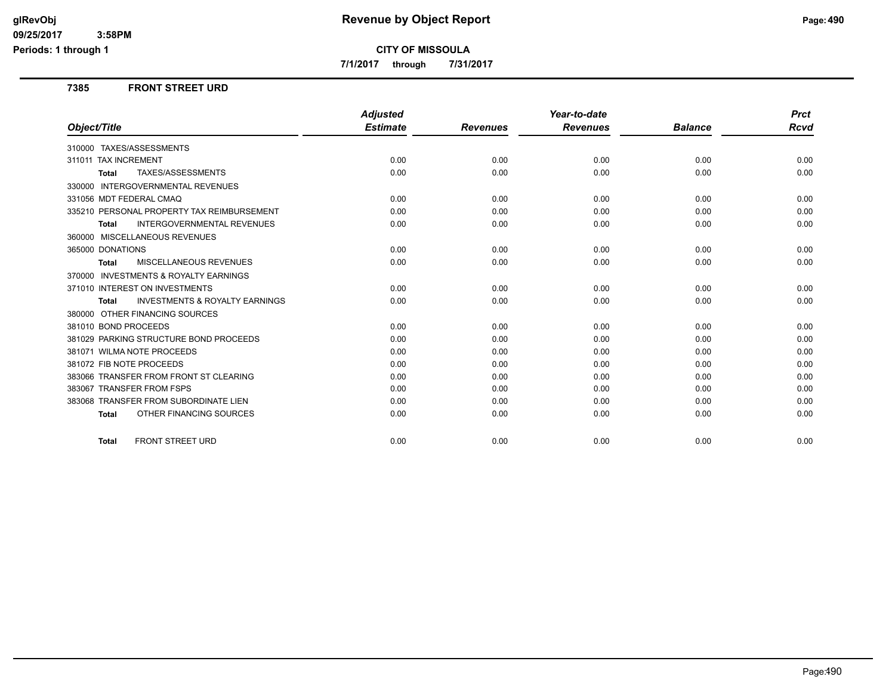**CITY OF MISSOULA**

**7/1/2017 through 7/31/2017**

#### **7385 FRONT STREET URD**

 **3:58PM**

|                                                           | <b>Adjusted</b> |                 | Year-to-date    |                | <b>Prct</b> |
|-----------------------------------------------------------|-----------------|-----------------|-----------------|----------------|-------------|
| Object/Title                                              | <b>Estimate</b> | <b>Revenues</b> | <b>Revenues</b> | <b>Balance</b> | <b>Rcvd</b> |
| 310000 TAXES/ASSESSMENTS                                  |                 |                 |                 |                |             |
| 311011 TAX INCREMENT                                      | 0.00            | 0.00            | 0.00            | 0.00           | 0.00        |
| TAXES/ASSESSMENTS<br><b>Total</b>                         | 0.00            | 0.00            | 0.00            | 0.00           | 0.00        |
| 330000 INTERGOVERNMENTAL REVENUES                         |                 |                 |                 |                |             |
| 331056 MDT FEDERAL CMAQ                                   | 0.00            | 0.00            | 0.00            | 0.00           | 0.00        |
| 335210 PERSONAL PROPERTY TAX REIMBURSEMENT                | 0.00            | 0.00            | 0.00            | 0.00           | 0.00        |
| <b>INTERGOVERNMENTAL REVENUES</b><br><b>Total</b>         | 0.00            | 0.00            | 0.00            | 0.00           | 0.00        |
| 360000 MISCELLANEOUS REVENUES                             |                 |                 |                 |                |             |
| 365000 DONATIONS                                          | 0.00            | 0.00            | 0.00            | 0.00           | 0.00        |
| <b>MISCELLANEOUS REVENUES</b><br>Total                    | 0.00            | 0.00            | 0.00            | 0.00           | 0.00        |
| 370000 INVESTMENTS & ROYALTY EARNINGS                     |                 |                 |                 |                |             |
| 371010 INTEREST ON INVESTMENTS                            | 0.00            | 0.00            | 0.00            | 0.00           | 0.00        |
| <b>INVESTMENTS &amp; ROYALTY EARNINGS</b><br><b>Total</b> | 0.00            | 0.00            | 0.00            | 0.00           | 0.00        |
| 380000 OTHER FINANCING SOURCES                            |                 |                 |                 |                |             |
| 381010 BOND PROCEEDS                                      | 0.00            | 0.00            | 0.00            | 0.00           | 0.00        |
| 381029 PARKING STRUCTURE BOND PROCEEDS                    | 0.00            | 0.00            | 0.00            | 0.00           | 0.00        |
| 381071 WILMA NOTE PROCEEDS                                | 0.00            | 0.00            | 0.00            | 0.00           | 0.00        |
| 381072 FIB NOTE PROCEEDS                                  | 0.00            | 0.00            | 0.00            | 0.00           | 0.00        |
| 383066 TRANSFER FROM FRONT ST CLEARING                    | 0.00            | 0.00            | 0.00            | 0.00           | 0.00        |
| 383067 TRANSFER FROM FSPS                                 | 0.00            | 0.00            | 0.00            | 0.00           | 0.00        |
| 383068 TRANSFER FROM SUBORDINATE LIEN                     | 0.00            | 0.00            | 0.00            | 0.00           | 0.00        |
| OTHER FINANCING SOURCES<br><b>Total</b>                   | 0.00            | 0.00            | 0.00            | 0.00           | 0.00        |
| <b>FRONT STREET URD</b><br><b>Total</b>                   | 0.00            | 0.00            | 0.00            | 0.00           | 0.00        |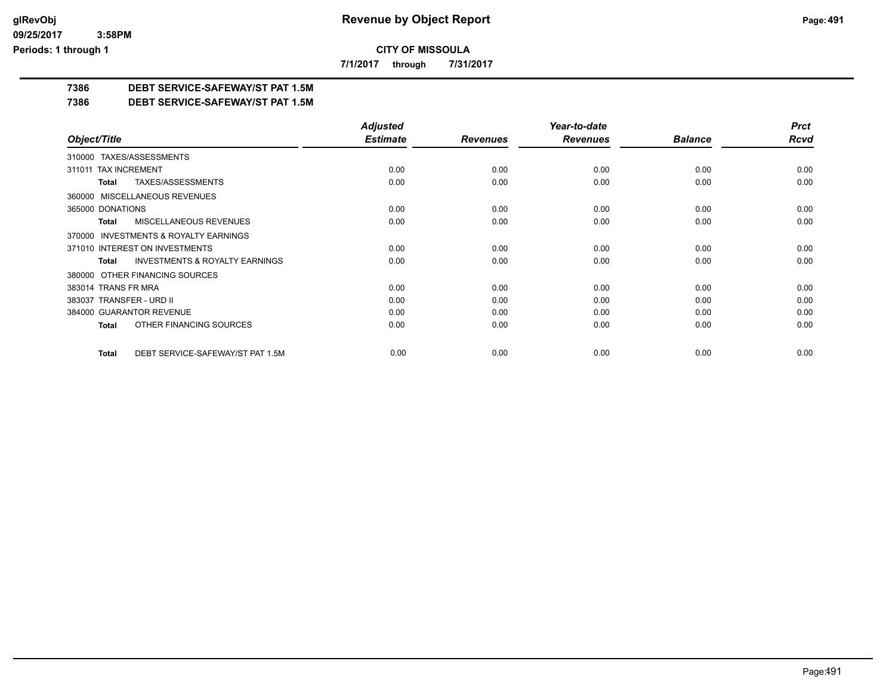**7/1/2017 through 7/31/2017**

#### **7386 DEBT SERVICE-SAFEWAY/ST PAT 1.5M**

#### **7386 DEBT SERVICE-SAFEWAY/ST PAT 1.5M**

|                                                     | <b>Adjusted</b> |                 | Year-to-date    |                | <b>Prct</b> |
|-----------------------------------------------------|-----------------|-----------------|-----------------|----------------|-------------|
| Object/Title                                        | <b>Estimate</b> | <b>Revenues</b> | <b>Revenues</b> | <b>Balance</b> | <b>Rcvd</b> |
| TAXES/ASSESSMENTS<br>310000                         |                 |                 |                 |                |             |
| 311011 TAX INCREMENT                                | 0.00            | 0.00            | 0.00            | 0.00           | 0.00        |
| TAXES/ASSESSMENTS<br>Total                          | 0.00            | 0.00            | 0.00            | 0.00           | 0.00        |
| 360000 MISCELLANEOUS REVENUES                       |                 |                 |                 |                |             |
| 365000 DONATIONS                                    | 0.00            | 0.00            | 0.00            | 0.00           | 0.00        |
| <b>MISCELLANEOUS REVENUES</b><br>Total              | 0.00            | 0.00            | 0.00            | 0.00           | 0.00        |
| <b>INVESTMENTS &amp; ROYALTY EARNINGS</b><br>370000 |                 |                 |                 |                |             |
| 371010 INTEREST ON INVESTMENTS                      | 0.00            | 0.00            | 0.00            | 0.00           | 0.00        |
| <b>INVESTMENTS &amp; ROYALTY EARNINGS</b><br>Total  | 0.00            | 0.00            | 0.00            | 0.00           | 0.00        |
| 380000 OTHER FINANCING SOURCES                      |                 |                 |                 |                |             |
| 383014 TRANS FR MRA                                 | 0.00            | 0.00            | 0.00            | 0.00           | 0.00        |
| 383037 TRANSFER - URD II                            | 0.00            | 0.00            | 0.00            | 0.00           | 0.00        |
| 384000 GUARANTOR REVENUE                            | 0.00            | 0.00            | 0.00            | 0.00           | 0.00        |
| OTHER FINANCING SOURCES<br><b>Total</b>             | 0.00            | 0.00            | 0.00            | 0.00           | 0.00        |
| DEBT SERVICE-SAFEWAY/ST PAT 1.5M<br>Total           | 0.00            | 0.00            | 0.00            | 0.00           | 0.00        |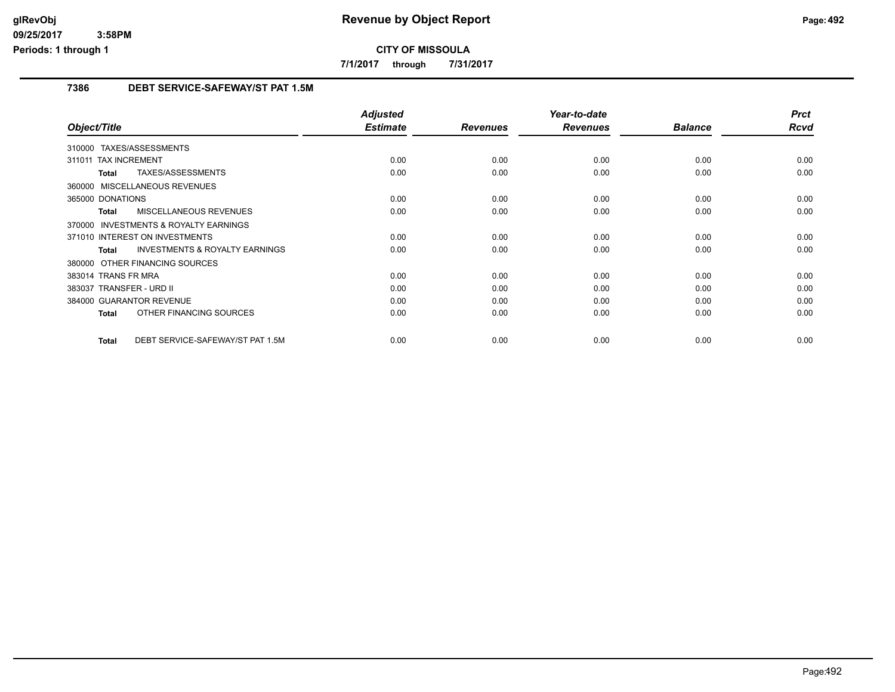**7/1/2017 through 7/31/2017**

#### **7386 DEBT SERVICE-SAFEWAY/ST PAT 1.5M**

|                                                    | <b>Adjusted</b> |                 | Year-to-date    |                | <b>Prct</b> |
|----------------------------------------------------|-----------------|-----------------|-----------------|----------------|-------------|
| Object/Title                                       | <b>Estimate</b> | <b>Revenues</b> | <b>Revenues</b> | <b>Balance</b> | <b>Rcvd</b> |
| 310000 TAXES/ASSESSMENTS                           |                 |                 |                 |                |             |
| <b>TAX INCREMENT</b><br>311011                     | 0.00            | 0.00            | 0.00            | 0.00           | 0.00        |
| TAXES/ASSESSMENTS<br><b>Total</b>                  | 0.00            | 0.00            | 0.00            | 0.00           | 0.00        |
| 360000 MISCELLANEOUS REVENUES                      |                 |                 |                 |                |             |
| 365000 DONATIONS                                   | 0.00            | 0.00            | 0.00            | 0.00           | 0.00        |
| MISCELLANEOUS REVENUES<br><b>Total</b>             | 0.00            | 0.00            | 0.00            | 0.00           | 0.00        |
| 370000 INVESTMENTS & ROYALTY EARNINGS              |                 |                 |                 |                |             |
| 371010 INTEREST ON INVESTMENTS                     | 0.00            | 0.00            | 0.00            | 0.00           | 0.00        |
| <b>INVESTMENTS &amp; ROYALTY EARNINGS</b><br>Total | 0.00            | 0.00            | 0.00            | 0.00           | 0.00        |
| 380000 OTHER FINANCING SOURCES                     |                 |                 |                 |                |             |
| 383014 TRANS FR MRA                                | 0.00            | 0.00            | 0.00            | 0.00           | 0.00        |
| 383037 TRANSFER - URD II                           | 0.00            | 0.00            | 0.00            | 0.00           | 0.00        |
| 384000 GUARANTOR REVENUE                           | 0.00            | 0.00            | 0.00            | 0.00           | 0.00        |
| OTHER FINANCING SOURCES<br>Total                   | 0.00            | 0.00            | 0.00            | 0.00           | 0.00        |
| DEBT SERVICE-SAFEWAY/ST PAT 1.5M<br><b>Total</b>   | 0.00            | 0.00            | 0.00            | 0.00           | 0.00        |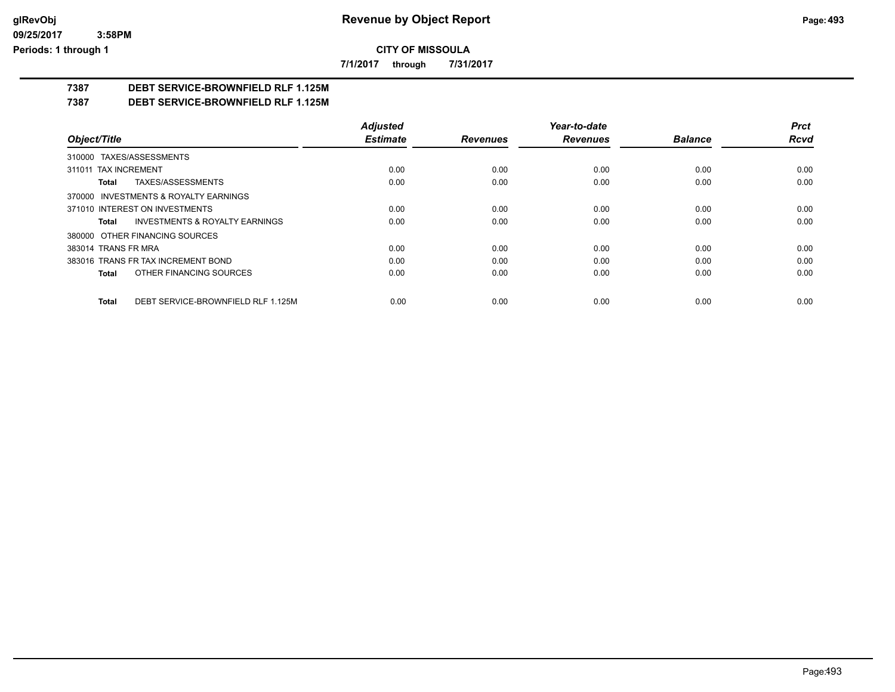**7/1/2017 through 7/31/2017**

## **7387 DEBT SERVICE-BROWNFIELD RLF 1.125M**

#### **7387 DEBT SERVICE-BROWNFIELD RLF 1.125M**

|                                                    | <b>Adjusted</b> |                 | Year-to-date    |                | <b>Prct</b> |
|----------------------------------------------------|-----------------|-----------------|-----------------|----------------|-------------|
| Object/Title                                       | <b>Estimate</b> | <b>Revenues</b> | <b>Revenues</b> | <b>Balance</b> | <b>Rcvd</b> |
| 310000 TAXES/ASSESSMENTS                           |                 |                 |                 |                |             |
| 311011 TAX INCREMENT                               | 0.00            | 0.00            | 0.00            | 0.00           | 0.00        |
| TAXES/ASSESSMENTS<br>Total                         | 0.00            | 0.00            | 0.00            | 0.00           | 0.00        |
| 370000 INVESTMENTS & ROYALTY EARNINGS              |                 |                 |                 |                |             |
| 371010 INTEREST ON INVESTMENTS                     | 0.00            | 0.00            | 0.00            | 0.00           | 0.00        |
| <b>INVESTMENTS &amp; ROYALTY EARNINGS</b><br>Total | 0.00            | 0.00            | 0.00            | 0.00           | 0.00        |
| 380000 OTHER FINANCING SOURCES                     |                 |                 |                 |                |             |
| 383014 TRANS FR MRA                                | 0.00            | 0.00            | 0.00            | 0.00           | 0.00        |
| 383016 TRANS FR TAX INCREMENT BOND                 | 0.00            | 0.00            | 0.00            | 0.00           | 0.00        |
| OTHER FINANCING SOURCES<br><b>Total</b>            | 0.00            | 0.00            | 0.00            | 0.00           | 0.00        |
| DEBT SERVICE-BROWNFIELD RLF 1.125M<br><b>Total</b> | 0.00            | 0.00            | 0.00            | 0.00           | 0.00        |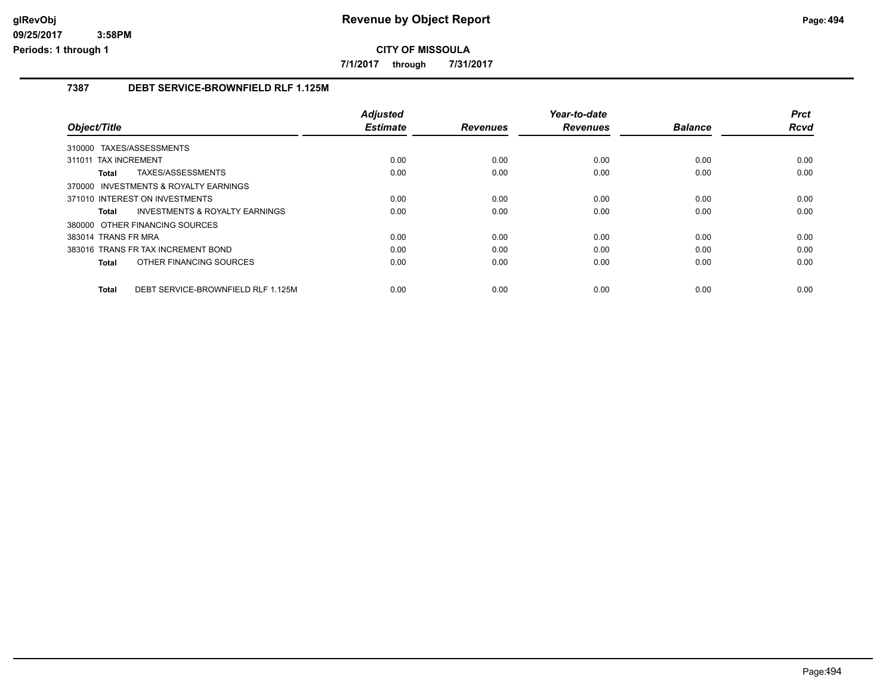**CITY OF MISSOULA**

**7/1/2017 through 7/31/2017**

#### **7387 DEBT SERVICE-BROWNFIELD RLF 1.125M**

|                                                    | <b>Adjusted</b> |                 | Year-to-date    |                | <b>Prct</b> |
|----------------------------------------------------|-----------------|-----------------|-----------------|----------------|-------------|
| Object/Title                                       | <b>Estimate</b> | <b>Revenues</b> | <b>Revenues</b> | <b>Balance</b> | <b>Rcvd</b> |
| 310000 TAXES/ASSESSMENTS                           |                 |                 |                 |                |             |
| 311011 TAX INCREMENT                               | 0.00            | 0.00            | 0.00            | 0.00           | 0.00        |
| TAXES/ASSESSMENTS<br>Total                         | 0.00            | 0.00            | 0.00            | 0.00           | 0.00        |
| 370000 INVESTMENTS & ROYALTY EARNINGS              |                 |                 |                 |                |             |
| 371010 INTEREST ON INVESTMENTS                     | 0.00            | 0.00            | 0.00            | 0.00           | 0.00        |
| <b>INVESTMENTS &amp; ROYALTY EARNINGS</b><br>Total | 0.00            | 0.00            | 0.00            | 0.00           | 0.00        |
| 380000 OTHER FINANCING SOURCES                     |                 |                 |                 |                |             |
| 383014 TRANS FR MRA                                | 0.00            | 0.00            | 0.00            | 0.00           | 0.00        |
| 383016 TRANS FR TAX INCREMENT BOND                 | 0.00            | 0.00            | 0.00            | 0.00           | 0.00        |
| OTHER FINANCING SOURCES<br>Total                   | 0.00            | 0.00            | 0.00            | 0.00           | 0.00        |
| DEBT SERVICE-BROWNFIELD RLF 1.125M<br><b>Total</b> | 0.00            | 0.00            | 0.00            | 0.00           | 0.00        |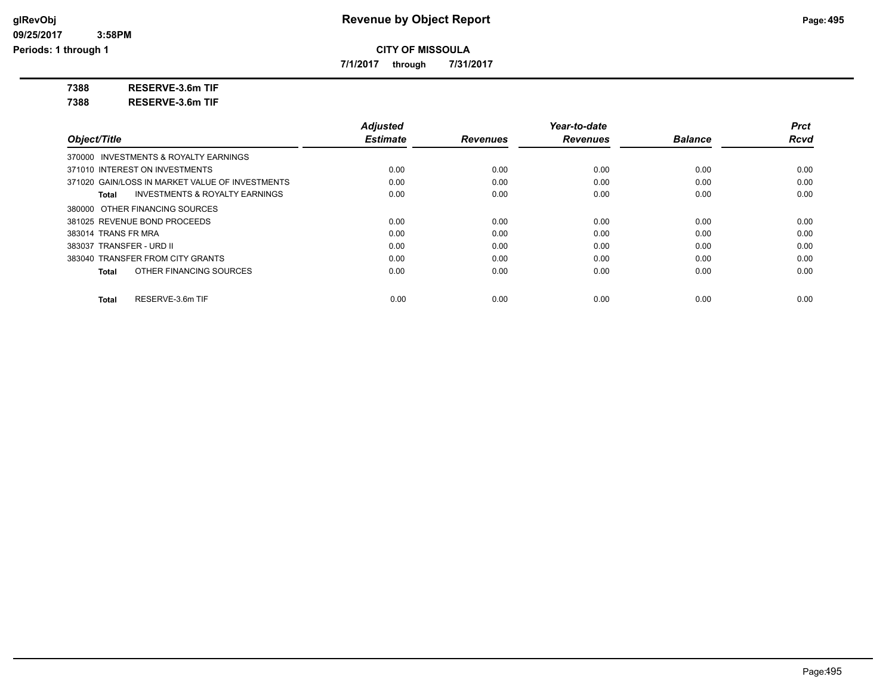**7/1/2017 through 7/31/2017**

**7388 RESERVE-3.6m TIF**

**7388 RESERVE-3.6m TIF**

|                                                    | <b>Adjusted</b> |                 | Year-to-date    |                | <b>Prct</b> |
|----------------------------------------------------|-----------------|-----------------|-----------------|----------------|-------------|
| Object/Title                                       | <b>Estimate</b> | <b>Revenues</b> | <b>Revenues</b> | <b>Balance</b> | <b>Rcvd</b> |
| 370000 INVESTMENTS & ROYALTY EARNINGS              |                 |                 |                 |                |             |
| 371010 INTEREST ON INVESTMENTS                     | 0.00            | 0.00            | 0.00            | 0.00           | 0.00        |
| 371020 GAIN/LOSS IN MARKET VALUE OF INVESTMENTS    | 0.00            | 0.00            | 0.00            | 0.00           | 0.00        |
| <b>INVESTMENTS &amp; ROYALTY EARNINGS</b><br>Total | 0.00            | 0.00            | 0.00            | 0.00           | 0.00        |
| 380000 OTHER FINANCING SOURCES                     |                 |                 |                 |                |             |
| 381025 REVENUE BOND PROCEEDS                       | 0.00            | 0.00            | 0.00            | 0.00           | 0.00        |
| 383014 TRANS FR MRA                                | 0.00            | 0.00            | 0.00            | 0.00           | 0.00        |
| 383037 TRANSFER - URD II                           | 0.00            | 0.00            | 0.00            | 0.00           | 0.00        |
| 383040 TRANSFER FROM CITY GRANTS                   | 0.00            | 0.00            | 0.00            | 0.00           | 0.00        |
| OTHER FINANCING SOURCES<br>Total                   | 0.00            | 0.00            | 0.00            | 0.00           | 0.00        |
|                                                    |                 |                 |                 |                |             |
| RESERVE-3.6m TIF<br>Total                          | 0.00            | 0.00            | 0.00            | 0.00           | 0.00        |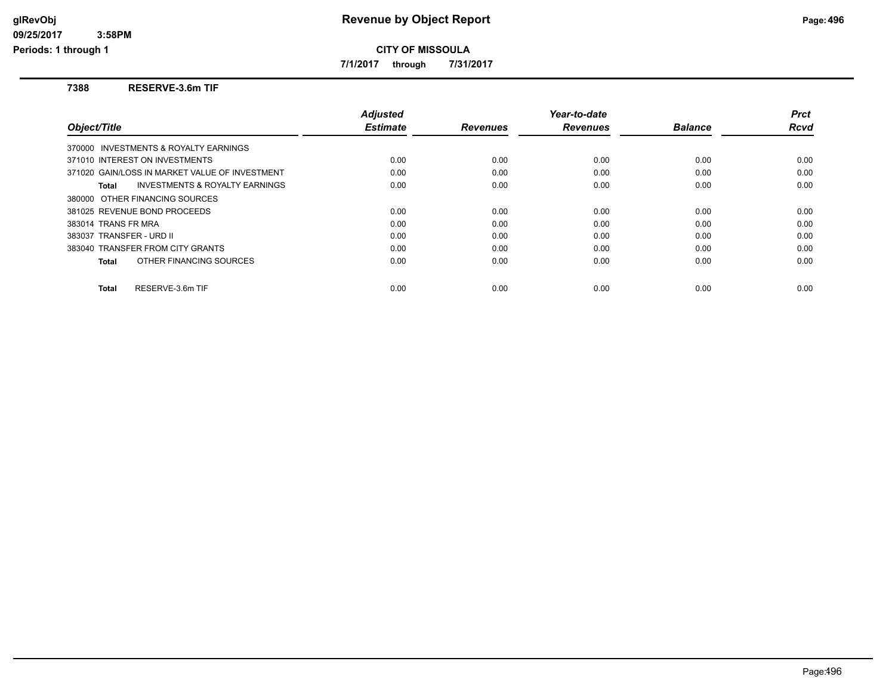#### **09/25/2017 3:58PM Periods: 1 through 1**

**CITY OF MISSOULA**

**7/1/2017 through 7/31/2017**

#### **7388 RESERVE-3.6m TIF**

|                                                    | <b>Adjusted</b> |                 | Year-to-date    |                | <b>Prct</b> |
|----------------------------------------------------|-----------------|-----------------|-----------------|----------------|-------------|
| Object/Title                                       | <b>Estimate</b> | <b>Revenues</b> | <b>Revenues</b> | <b>Balance</b> | <b>Rcvd</b> |
| 370000 INVESTMENTS & ROYALTY EARNINGS              |                 |                 |                 |                |             |
| 371010 INTEREST ON INVESTMENTS                     | 0.00            | 0.00            | 0.00            | 0.00           | 0.00        |
| 371020 GAIN/LOSS IN MARKET VALUE OF INVESTMENT     | 0.00            | 0.00            | 0.00            | 0.00           | 0.00        |
| <b>INVESTMENTS &amp; ROYALTY EARNINGS</b><br>Total | 0.00            | 0.00            | 0.00            | 0.00           | 0.00        |
| 380000 OTHER FINANCING SOURCES                     |                 |                 |                 |                |             |
| 381025 REVENUE BOND PROCEEDS                       | 0.00            | 0.00            | 0.00            | 0.00           | 0.00        |
| 383014 TRANS FR MRA                                | 0.00            | 0.00            | 0.00            | 0.00           | 0.00        |
| 383037 TRANSFER - URD II                           | 0.00            | 0.00            | 0.00            | 0.00           | 0.00        |
| 383040 TRANSFER FROM CITY GRANTS                   | 0.00            | 0.00            | 0.00            | 0.00           | 0.00        |
| OTHER FINANCING SOURCES<br>Total                   | 0.00            | 0.00            | 0.00            | 0.00           | 0.00        |
|                                                    |                 |                 |                 |                |             |
| RESERVE-3.6m TIF<br>Total                          | 0.00            | 0.00            | 0.00            | 0.00           | 0.00        |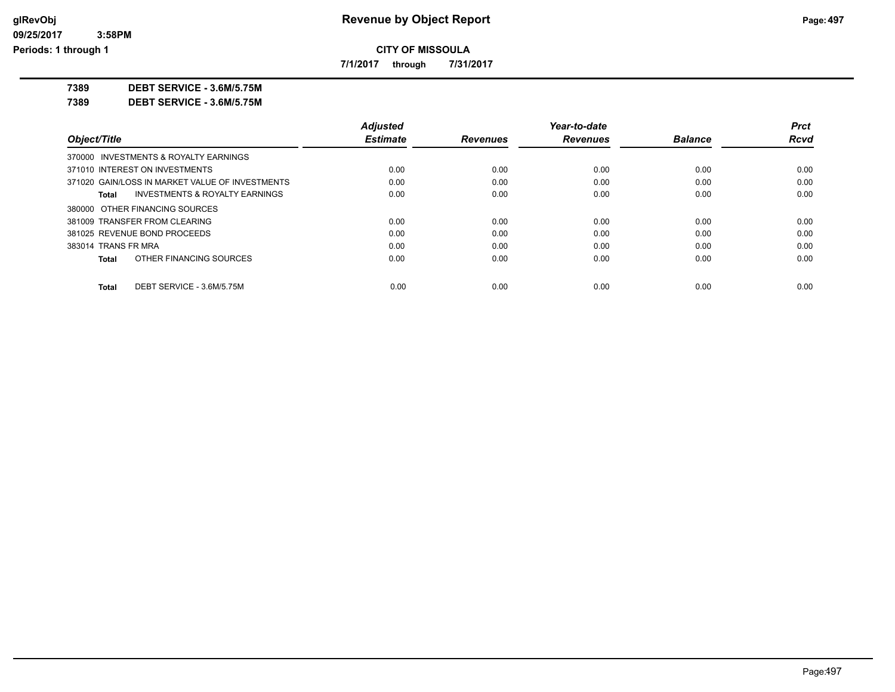**7/1/2017 through 7/31/2017**

**7389 DEBT SERVICE - 3.6M/5.75M**

**7389 DEBT SERVICE - 3.6M/5.75M**

|                                                 |                                           | <b>Adjusted</b> |                 | Year-to-date    |                | <b>Prct</b> |
|-------------------------------------------------|-------------------------------------------|-----------------|-----------------|-----------------|----------------|-------------|
| Object/Title                                    |                                           | <b>Estimate</b> | <b>Revenues</b> | <b>Revenues</b> | <b>Balance</b> | <b>Rcvd</b> |
| 370000 INVESTMENTS & ROYALTY EARNINGS           |                                           |                 |                 |                 |                |             |
| 371010 INTEREST ON INVESTMENTS                  |                                           | 0.00            | 0.00            | 0.00            | 0.00           | 0.00        |
| 371020 GAIN/LOSS IN MARKET VALUE OF INVESTMENTS |                                           | 0.00            | 0.00            | 0.00            | 0.00           | 0.00        |
| Total                                           | <b>INVESTMENTS &amp; ROYALTY EARNINGS</b> | 0.00            | 0.00            | 0.00            | 0.00           | 0.00        |
| 380000 OTHER FINANCING SOURCES                  |                                           |                 |                 |                 |                |             |
| 381009 TRANSFER FROM CLEARING                   |                                           | 0.00            | 0.00            | 0.00            | 0.00           | 0.00        |
| 381025 REVENUE BOND PROCEEDS                    |                                           | 0.00            | 0.00            | 0.00            | 0.00           | 0.00        |
| 383014 TRANS FR MRA                             |                                           | 0.00            | 0.00            | 0.00            | 0.00           | 0.00        |
| OTHER FINANCING SOURCES<br><b>Total</b>         |                                           | 0.00            | 0.00            | 0.00            | 0.00           | 0.00        |
| DEBT SERVICE - 3.6M/5.75M<br><b>Total</b>       |                                           | 0.00            | 0.00            | 0.00            | 0.00           | 0.00        |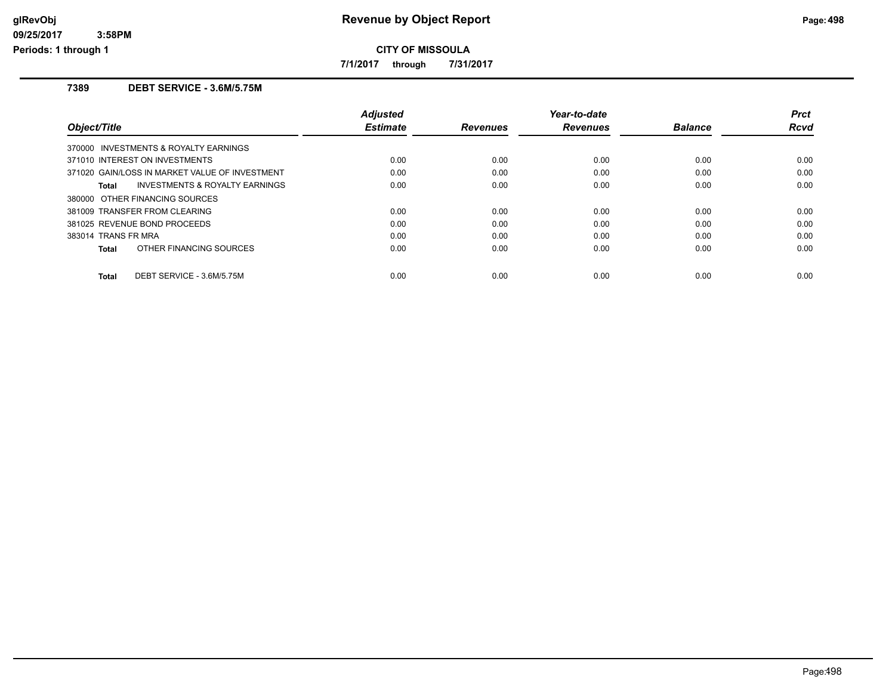**CITY OF MISSOULA**

**7/1/2017 through 7/31/2017**

#### **7389 DEBT SERVICE - 3.6M/5.75M**

 **3:58PM**

| Object/Title                                   | <b>Adjusted</b><br><b>Estimate</b> | <b>Revenues</b> | Year-to-date<br><b>Revenues</b> | <b>Balance</b> | <b>Prct</b><br>Rcvd |
|------------------------------------------------|------------------------------------|-----------------|---------------------------------|----------------|---------------------|
| 370000 INVESTMENTS & ROYALTY EARNINGS          |                                    |                 |                                 |                |                     |
| 371010 INTEREST ON INVESTMENTS                 | 0.00                               | 0.00            | 0.00                            | 0.00           | 0.00                |
| 371020 GAIN/LOSS IN MARKET VALUE OF INVESTMENT | 0.00                               | 0.00            | 0.00                            | 0.00           | 0.00                |
| INVESTMENTS & ROYALTY EARNINGS<br>Total        | 0.00                               | 0.00            | 0.00                            | 0.00           | 0.00                |
| 380000 OTHER FINANCING SOURCES                 |                                    |                 |                                 |                |                     |
| 381009 TRANSFER FROM CLEARING                  | 0.00                               | 0.00            | 0.00                            | 0.00           | 0.00                |
| 381025 REVENUE BOND PROCEEDS                   | 0.00                               | 0.00            | 0.00                            | 0.00           | 0.00                |
| 383014 TRANS FR MRA                            | 0.00                               | 0.00            | 0.00                            | 0.00           | 0.00                |
| OTHER FINANCING SOURCES<br><b>Total</b>        | 0.00                               | 0.00            | 0.00                            | 0.00           | 0.00                |
| DEBT SERVICE - 3.6M/5.75M<br><b>Total</b>      | 0.00                               | 0.00            | 0.00                            | 0.00           | 0.00                |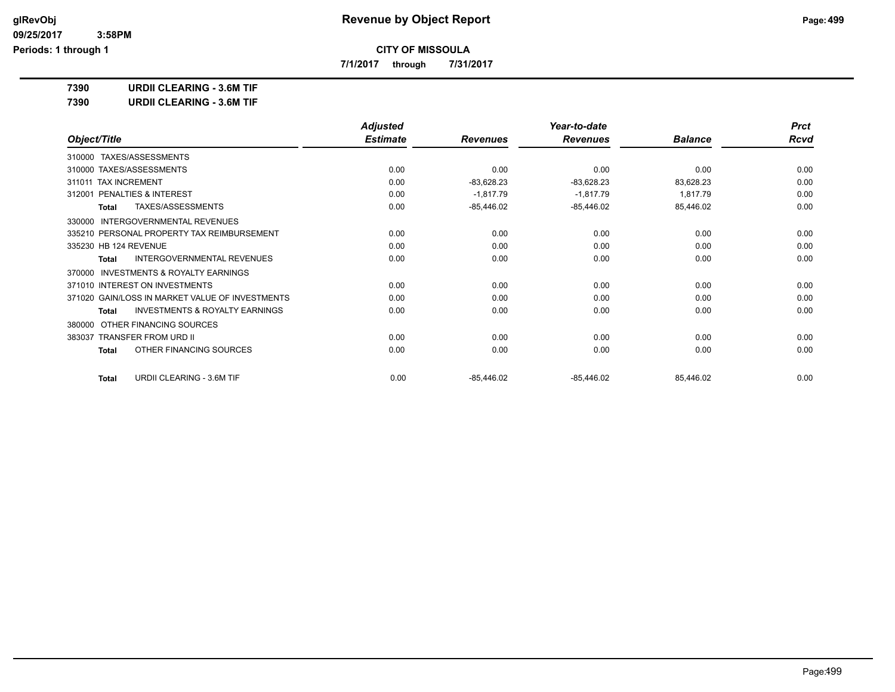**7/1/2017 through 7/31/2017**

**7390 URDII CLEARING - 3.6M TIF**

**7390 URDII CLEARING - 3.6M TIF**

|                                                           | <b>Adjusted</b> |                 | Year-to-date    |                | <b>Prct</b> |
|-----------------------------------------------------------|-----------------|-----------------|-----------------|----------------|-------------|
| Object/Title                                              | <b>Estimate</b> | <b>Revenues</b> | <b>Revenues</b> | <b>Balance</b> | <b>Rcvd</b> |
| 310000 TAXES/ASSESSMENTS                                  |                 |                 |                 |                |             |
| 310000 TAXES/ASSESSMENTS                                  | 0.00            | 0.00            | 0.00            | 0.00           | 0.00        |
| 311011 TAX INCREMENT                                      | 0.00            | $-83,628.23$    | $-83,628.23$    | 83,628.23      | 0.00        |
| PENALTIES & INTEREST<br>312001                            | 0.00            | $-1,817.79$     | $-1,817.79$     | 1,817.79       | 0.00        |
| TAXES/ASSESSMENTS<br><b>Total</b>                         | 0.00            | $-85,446.02$    | $-85,446.02$    | 85,446.02      | 0.00        |
| INTERGOVERNMENTAL REVENUES<br>330000                      |                 |                 |                 |                |             |
| 335210 PERSONAL PROPERTY TAX REIMBURSEMENT                | 0.00            | 0.00            | 0.00            | 0.00           | 0.00        |
| 335230 HB 124 REVENUE                                     | 0.00            | 0.00            | 0.00            | 0.00           | 0.00        |
| INTERGOVERNMENTAL REVENUES<br>Total                       | 0.00            | 0.00            | 0.00            | 0.00           | 0.00        |
| INVESTMENTS & ROYALTY EARNINGS<br>370000                  |                 |                 |                 |                |             |
| 371010 INTEREST ON INVESTMENTS                            | 0.00            | 0.00            | 0.00            | 0.00           | 0.00        |
| 371020 GAIN/LOSS IN MARKET VALUE OF INVESTMENTS           | 0.00            | 0.00            | 0.00            | 0.00           | 0.00        |
| <b>INVESTMENTS &amp; ROYALTY EARNINGS</b><br><b>Total</b> | 0.00            | 0.00            | 0.00            | 0.00           | 0.00        |
| OTHER FINANCING SOURCES<br>380000                         |                 |                 |                 |                |             |
| <b>TRANSFER FROM URD II</b><br>383037                     | 0.00            | 0.00            | 0.00            | 0.00           | 0.00        |
| OTHER FINANCING SOURCES<br><b>Total</b>                   | 0.00            | 0.00            | 0.00            | 0.00           | 0.00        |
| URDII CLEARING - 3.6M TIF<br><b>Total</b>                 | 0.00            | $-85,446.02$    | $-85,446.02$    | 85,446.02      | 0.00        |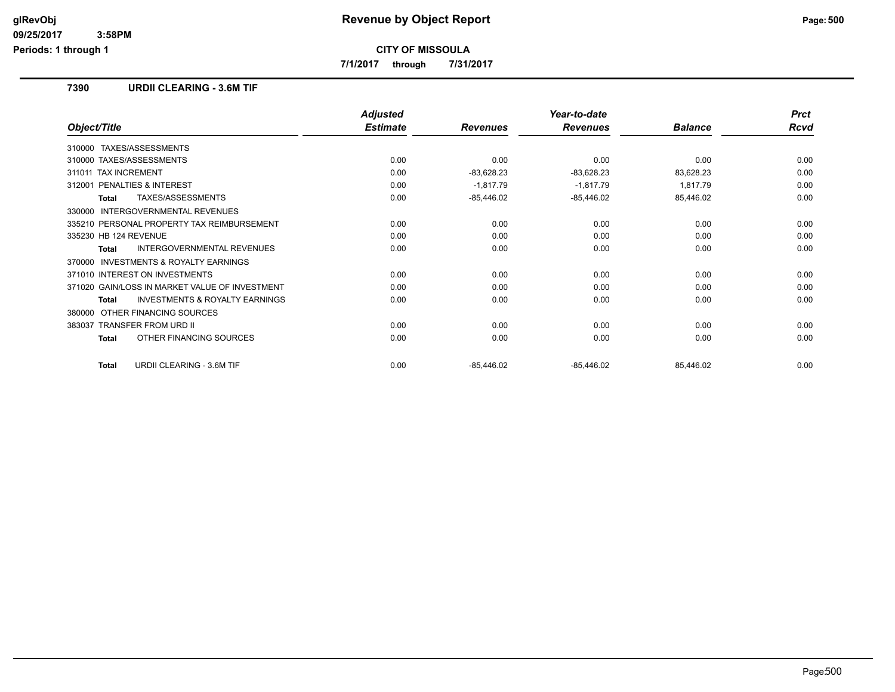**CITY OF MISSOULA**

**7/1/2017 through 7/31/2017**

#### **7390 URDII CLEARING - 3.6M TIF**

 **3:58PM**

|                                                           | <b>Adjusted</b> |                 | Year-to-date    |                | <b>Prct</b> |
|-----------------------------------------------------------|-----------------|-----------------|-----------------|----------------|-------------|
| Object/Title                                              | <b>Estimate</b> | <b>Revenues</b> | <b>Revenues</b> | <b>Balance</b> | <b>Rcvd</b> |
| TAXES/ASSESSMENTS<br>310000                               |                 |                 |                 |                |             |
| 310000 TAXES/ASSESSMENTS                                  | 0.00            | 0.00            | 0.00            | 0.00           | 0.00        |
| 311011 TAX INCREMENT                                      | 0.00            | $-83,628.23$    | $-83,628.23$    | 83,628.23      | 0.00        |
| 312001 PENALTIES & INTEREST                               | 0.00            | $-1,817.79$     | $-1,817.79$     | 1,817.79       | 0.00        |
| TAXES/ASSESSMENTS<br><b>Total</b>                         | 0.00            | $-85,446.02$    | $-85,446.02$    | 85,446.02      | 0.00        |
| INTERGOVERNMENTAL REVENUES<br>330000                      |                 |                 |                 |                |             |
| 335210 PERSONAL PROPERTY TAX REIMBURSEMENT                | 0.00            | 0.00            | 0.00            | 0.00           | 0.00        |
| 335230 HB 124 REVENUE                                     | 0.00            | 0.00            | 0.00            | 0.00           | 0.00        |
| <b>INTERGOVERNMENTAL REVENUES</b><br><b>Total</b>         | 0.00            | 0.00            | 0.00            | 0.00           | 0.00        |
| <b>INVESTMENTS &amp; ROYALTY EARNINGS</b><br>370000       |                 |                 |                 |                |             |
| 371010 INTEREST ON INVESTMENTS                            | 0.00            | 0.00            | 0.00            | 0.00           | 0.00        |
| 371020 GAIN/LOSS IN MARKET VALUE OF INVESTMENT            | 0.00            | 0.00            | 0.00            | 0.00           | 0.00        |
| <b>INVESTMENTS &amp; ROYALTY EARNINGS</b><br><b>Total</b> | 0.00            | 0.00            | 0.00            | 0.00           | 0.00        |
| OTHER FINANCING SOURCES<br>380000                         |                 |                 |                 |                |             |
| 383037 TRANSFER FROM URD II                               | 0.00            | 0.00            | 0.00            | 0.00           | 0.00        |
| OTHER FINANCING SOURCES<br><b>Total</b>                   | 0.00            | 0.00            | 0.00            | 0.00           | 0.00        |
| URDII CLEARING - 3.6M TIF<br><b>Total</b>                 | 0.00            | $-85,446.02$    | $-85,446.02$    | 85,446.02      | 0.00        |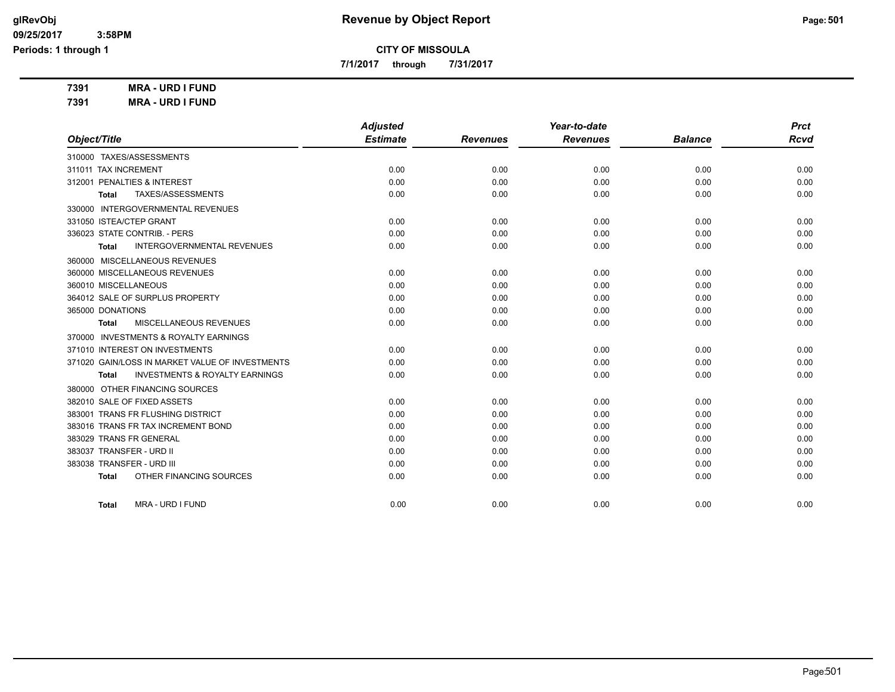**7/1/2017 through 7/31/2017**

**Periods: 1 through 1**

#### **7391 MRA - URD I FUND**

**7391 MRA - URD I FUND**

|                                                     | <b>Adjusted</b> |                 | Year-to-date    |                | <b>Prct</b> |
|-----------------------------------------------------|-----------------|-----------------|-----------------|----------------|-------------|
| Object/Title                                        | <b>Estimate</b> | <b>Revenues</b> | <b>Revenues</b> | <b>Balance</b> | <b>Rcvd</b> |
| 310000 TAXES/ASSESSMENTS                            |                 |                 |                 |                |             |
| 311011 TAX INCREMENT                                | 0.00            | 0.00            | 0.00            | 0.00           | 0.00        |
| 312001 PENALTIES & INTEREST                         | 0.00            | 0.00            | 0.00            | 0.00           | 0.00        |
| TAXES/ASSESSMENTS<br>Total                          | 0.00            | 0.00            | 0.00            | 0.00           | 0.00        |
| 330000 INTERGOVERNMENTAL REVENUES                   |                 |                 |                 |                |             |
| 331050 ISTEA/CTEP GRANT                             | 0.00            | 0.00            | 0.00            | 0.00           | 0.00        |
| 336023 STATE CONTRIB. - PERS                        | 0.00            | 0.00            | 0.00            | 0.00           | 0.00        |
| <b>INTERGOVERNMENTAL REVENUES</b><br><b>Total</b>   | 0.00            | 0.00            | 0.00            | 0.00           | 0.00        |
| 360000 MISCELLANEOUS REVENUES                       |                 |                 |                 |                |             |
| 360000 MISCELLANEOUS REVENUES                       | 0.00            | 0.00            | 0.00            | 0.00           | 0.00        |
| 360010 MISCELLANEOUS                                | 0.00            | 0.00            | 0.00            | 0.00           | 0.00        |
| 364012 SALE OF SURPLUS PROPERTY                     | 0.00            | 0.00            | 0.00            | 0.00           | 0.00        |
| 365000 DONATIONS                                    | 0.00            | 0.00            | 0.00            | 0.00           | 0.00        |
| MISCELLANEOUS REVENUES<br>Total                     | 0.00            | 0.00            | 0.00            | 0.00           | 0.00        |
| <b>INVESTMENTS &amp; ROYALTY EARNINGS</b><br>370000 |                 |                 |                 |                |             |
| 371010 INTEREST ON INVESTMENTS                      | 0.00            | 0.00            | 0.00            | 0.00           | 0.00        |
| 371020 GAIN/LOSS IN MARKET VALUE OF INVESTMENTS     | 0.00            | 0.00            | 0.00            | 0.00           | 0.00        |
| <b>INVESTMENTS &amp; ROYALTY EARNINGS</b><br>Total  | 0.00            | 0.00            | 0.00            | 0.00           | 0.00        |
| 380000 OTHER FINANCING SOURCES                      |                 |                 |                 |                |             |
| 382010 SALE OF FIXED ASSETS                         | 0.00            | 0.00            | 0.00            | 0.00           | 0.00        |
| 383001 TRANS FR FLUSHING DISTRICT                   | 0.00            | 0.00            | 0.00            | 0.00           | 0.00        |
| 383016 TRANS FR TAX INCREMENT BOND                  | 0.00            | 0.00            | 0.00            | 0.00           | 0.00        |
| 383029 TRANS FR GENERAL                             | 0.00            | 0.00            | 0.00            | 0.00           | 0.00        |
| 383037 TRANSFER - URD II                            | 0.00            | 0.00            | 0.00            | 0.00           | 0.00        |
| 383038 TRANSFER - URD III                           | 0.00            | 0.00            | 0.00            | 0.00           | 0.00        |
| OTHER FINANCING SOURCES<br><b>Total</b>             | 0.00            | 0.00            | 0.00            | 0.00           | 0.00        |
|                                                     |                 |                 |                 |                |             |
| MRA - URD I FUND<br>Total                           | 0.00            | 0.00            | 0.00            | 0.00           | 0.00        |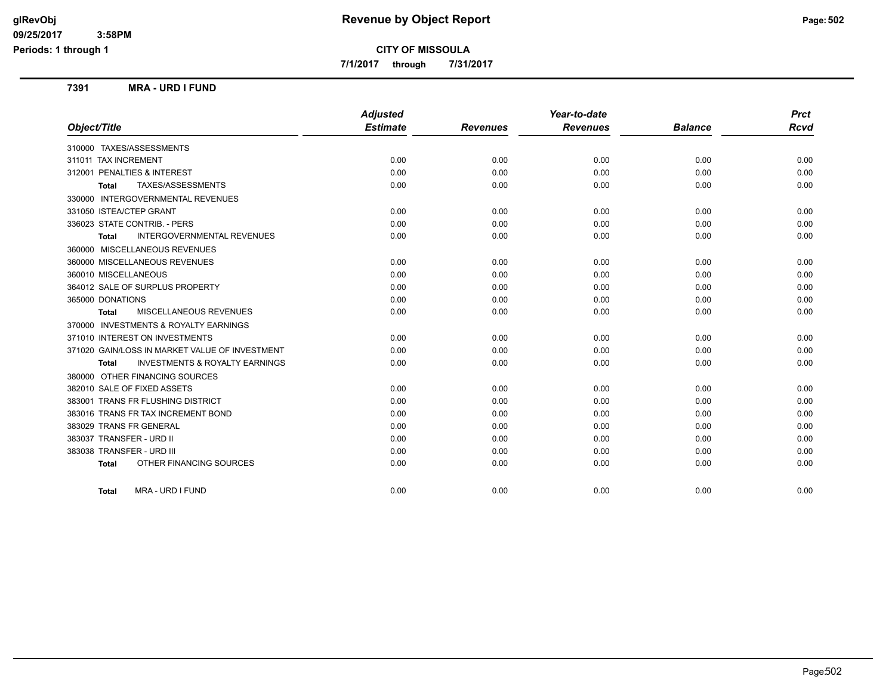**CITY OF MISSOULA**

**7/1/2017 through 7/31/2017**

 **3:58PM**

#### **7391 MRA - URD I FUND**

|                                                           | <b>Adjusted</b> |                 | Year-to-date    |                | Prct        |
|-----------------------------------------------------------|-----------------|-----------------|-----------------|----------------|-------------|
| Object/Title                                              | <b>Estimate</b> | <b>Revenues</b> | <b>Revenues</b> | <b>Balance</b> | <b>Rcvd</b> |
| 310000 TAXES/ASSESSMENTS                                  |                 |                 |                 |                |             |
| 311011 TAX INCREMENT                                      | 0.00            | 0.00            | 0.00            | 0.00           | 0.00        |
| 312001 PENALTIES & INTEREST                               | 0.00            | 0.00            | 0.00            | 0.00           | 0.00        |
| TAXES/ASSESSMENTS<br><b>Total</b>                         | 0.00            | 0.00            | 0.00            | 0.00           | 0.00        |
| 330000 INTERGOVERNMENTAL REVENUES                         |                 |                 |                 |                |             |
| 331050 ISTEA/CTEP GRANT                                   | 0.00            | 0.00            | 0.00            | 0.00           | 0.00        |
| 336023 STATE CONTRIB. - PERS                              | 0.00            | 0.00            | 0.00            | 0.00           | 0.00        |
| <b>INTERGOVERNMENTAL REVENUES</b><br><b>Total</b>         | 0.00            | 0.00            | 0.00            | 0.00           | 0.00        |
| 360000 MISCELLANEOUS REVENUES                             |                 |                 |                 |                |             |
| 360000 MISCELLANEOUS REVENUES                             | 0.00            | 0.00            | 0.00            | 0.00           | 0.00        |
| 360010 MISCELLANEOUS                                      | 0.00            | 0.00            | 0.00            | 0.00           | 0.00        |
| 364012 SALE OF SURPLUS PROPERTY                           | 0.00            | 0.00            | 0.00            | 0.00           | 0.00        |
| 365000 DONATIONS                                          | 0.00            | 0.00            | 0.00            | 0.00           | 0.00        |
| MISCELLANEOUS REVENUES<br><b>Total</b>                    | 0.00            | 0.00            | 0.00            | 0.00           | 0.00        |
| 370000 INVESTMENTS & ROYALTY EARNINGS                     |                 |                 |                 |                |             |
| 371010 INTEREST ON INVESTMENTS                            | 0.00            | 0.00            | 0.00            | 0.00           | 0.00        |
| 371020 GAIN/LOSS IN MARKET VALUE OF INVESTMENT            | 0.00            | 0.00            | 0.00            | 0.00           | 0.00        |
| <b>INVESTMENTS &amp; ROYALTY EARNINGS</b><br><b>Total</b> | 0.00            | 0.00            | 0.00            | 0.00           | 0.00        |
| 380000 OTHER FINANCING SOURCES                            |                 |                 |                 |                |             |
| 382010 SALE OF FIXED ASSETS                               | 0.00            | 0.00            | 0.00            | 0.00           | 0.00        |
| 383001 TRANS FR FLUSHING DISTRICT                         | 0.00            | 0.00            | 0.00            | 0.00           | 0.00        |
| 383016 TRANS FR TAX INCREMENT BOND                        | 0.00            | 0.00            | 0.00            | 0.00           | 0.00        |
| 383029 TRANS FR GENERAL                                   | 0.00            | 0.00            | 0.00            | 0.00           | 0.00        |
| 383037 TRANSFER - URD II                                  | 0.00            | 0.00            | 0.00            | 0.00           | 0.00        |
| 383038 TRANSFER - URD III                                 | 0.00            | 0.00            | 0.00            | 0.00           | 0.00        |
| OTHER FINANCING SOURCES<br><b>Total</b>                   | 0.00            | 0.00            | 0.00            | 0.00           | 0.00        |
| MRA - URD I FUND<br><b>Total</b>                          | 0.00            | 0.00            | 0.00            | 0.00           | 0.00        |
|                                                           |                 |                 |                 |                |             |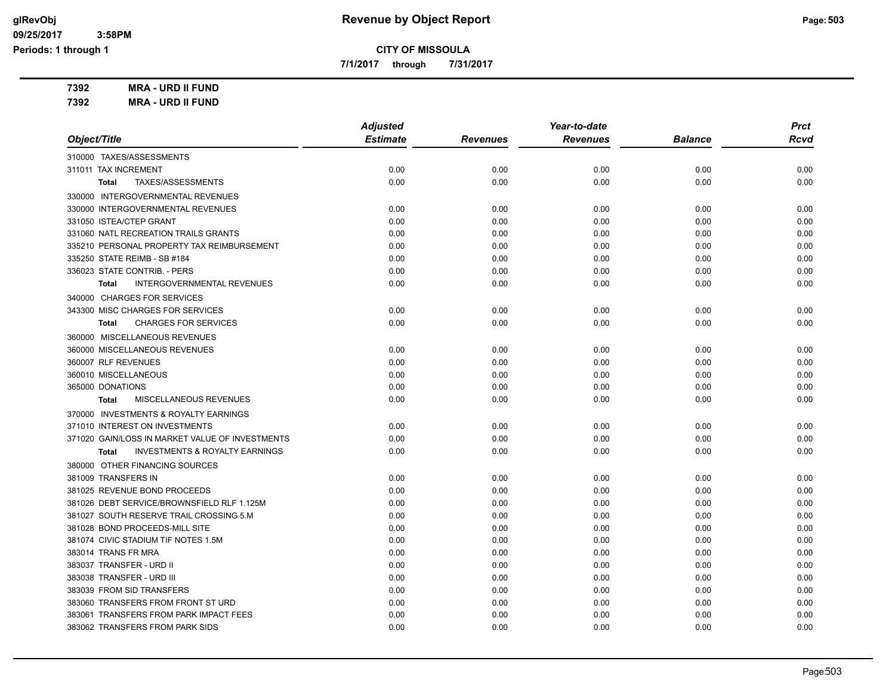**7/1/2017 through 7/31/2017**

**Periods: 1 through 1**

**7392 MRA - URD II FUND**

**7392 MRA - URD II FUND**

 **3:58PM**

|                                                           | <b>Adjusted</b> |                 | Year-to-date    |                | <b>Prct</b> |
|-----------------------------------------------------------|-----------------|-----------------|-----------------|----------------|-------------|
| Object/Title                                              | <b>Estimate</b> | <b>Revenues</b> | <b>Revenues</b> | <b>Balance</b> | Rcvd        |
| 310000 TAXES/ASSESSMENTS                                  |                 |                 |                 |                |             |
| 311011 TAX INCREMENT                                      | 0.00            | 0.00            | 0.00            | 0.00           | 0.00        |
| TAXES/ASSESSMENTS<br><b>Total</b>                         | 0.00            | 0.00            | 0.00            | 0.00           | 0.00        |
| 330000 INTERGOVERNMENTAL REVENUES                         |                 |                 |                 |                |             |
| 330000 INTERGOVERNMENTAL REVENUES                         | 0.00            | 0.00            | 0.00            | 0.00           | 0.00        |
| 331050 ISTEA/CTEP GRANT                                   | 0.00            | 0.00            | 0.00            | 0.00           | 0.00        |
| 331060 NATL RECREATION TRAILS GRANTS                      | 0.00            | 0.00            | 0.00            | 0.00           | 0.00        |
| 335210 PERSONAL PROPERTY TAX REIMBURSEMENT                | 0.00            | 0.00            | 0.00            | 0.00           | 0.00        |
| 335250 STATE REIMB - SB #184                              | 0.00            | 0.00            | 0.00            | 0.00           | 0.00        |
| 336023 STATE CONTRIB. - PERS                              | 0.00            | 0.00            | 0.00            | 0.00           | 0.00        |
| <b>INTERGOVERNMENTAL REVENUES</b><br><b>Total</b>         | 0.00            | 0.00            | 0.00            | 0.00           | 0.00        |
| 340000 CHARGES FOR SERVICES                               |                 |                 |                 |                |             |
| 343300 MISC CHARGES FOR SERVICES                          | 0.00            | 0.00            | 0.00            | 0.00           | 0.00        |
| <b>CHARGES FOR SERVICES</b><br><b>Total</b>               | 0.00            | 0.00            | 0.00            | 0.00           | 0.00        |
| 360000 MISCELLANEOUS REVENUES                             |                 |                 |                 |                |             |
| 360000 MISCELLANEOUS REVENUES                             | 0.00            | 0.00            | 0.00            | 0.00           | 0.00        |
| 360007 RLF REVENUES                                       | 0.00            | 0.00            | 0.00            | 0.00           | 0.00        |
| 360010 MISCELLANEOUS                                      | 0.00            | 0.00            | 0.00            | 0.00           | 0.00        |
| 365000 DONATIONS                                          | 0.00            | 0.00            | 0.00            | 0.00           | 0.00        |
| MISCELLANEOUS REVENUES<br><b>Total</b>                    | 0.00            | 0.00            | 0.00            | 0.00           | 0.00        |
| 370000 INVESTMENTS & ROYALTY EARNINGS                     |                 |                 |                 |                |             |
| 371010 INTEREST ON INVESTMENTS                            | 0.00            | 0.00            | 0.00            | 0.00           | 0.00        |
| 371020 GAIN/LOSS IN MARKET VALUE OF INVESTMENTS           | 0.00            | 0.00            | 0.00            | 0.00           | 0.00        |
| <b>INVESTMENTS &amp; ROYALTY EARNINGS</b><br><b>Total</b> | 0.00            | 0.00            | 0.00            | 0.00           | 0.00        |
| 380000 OTHER FINANCING SOURCES                            |                 |                 |                 |                |             |
| 381009 TRANSFERS IN                                       | 0.00            | 0.00            | 0.00            | 0.00           | 0.00        |
| 381025 REVENUE BOND PROCEEDS                              | 0.00            | 0.00            | 0.00            | 0.00           | 0.00        |
| 381026 DEBT SERVICE/BROWNSFIELD RLF 1.125M                | 0.00            | 0.00            | 0.00            | 0.00           | 0.00        |
| 381027 SOUTH RESERVE TRAIL CROSSING 5.M                   | 0.00            | 0.00            | 0.00            | 0.00           | 0.00        |
| 381028 BOND PROCEEDS-MILL SITE                            | 0.00            | 0.00            | 0.00            | 0.00           | 0.00        |
| 381074 CIVIC STADIUM TIF NOTES 1.5M                       | 0.00            | 0.00            | 0.00            | 0.00           | 0.00        |
| 383014 TRANS FR MRA                                       | 0.00            | 0.00            | 0.00            | 0.00           | 0.00        |
| 383037 TRANSFER - URD II                                  | 0.00            | 0.00            | 0.00            | 0.00           | 0.00        |
| 383038 TRANSFER - URD III                                 | 0.00            | 0.00            | 0.00            | 0.00           | 0.00        |
| 383039 FROM SID TRANSFERS                                 | 0.00            | 0.00            | 0.00            | 0.00           | 0.00        |
| 383060 TRANSFERS FROM FRONT ST URD                        | 0.00            | 0.00            | 0.00            | 0.00           | 0.00        |
| 383061 TRANSFERS FROM PARK IMPACT FEES                    | 0.00            | 0.00            | 0.00            | 0.00           | 0.00        |
| 383062 TRANSFERS FROM PARK SIDS                           | 0.00            | 0.00            | 0.00            | 0.00           | 0.00        |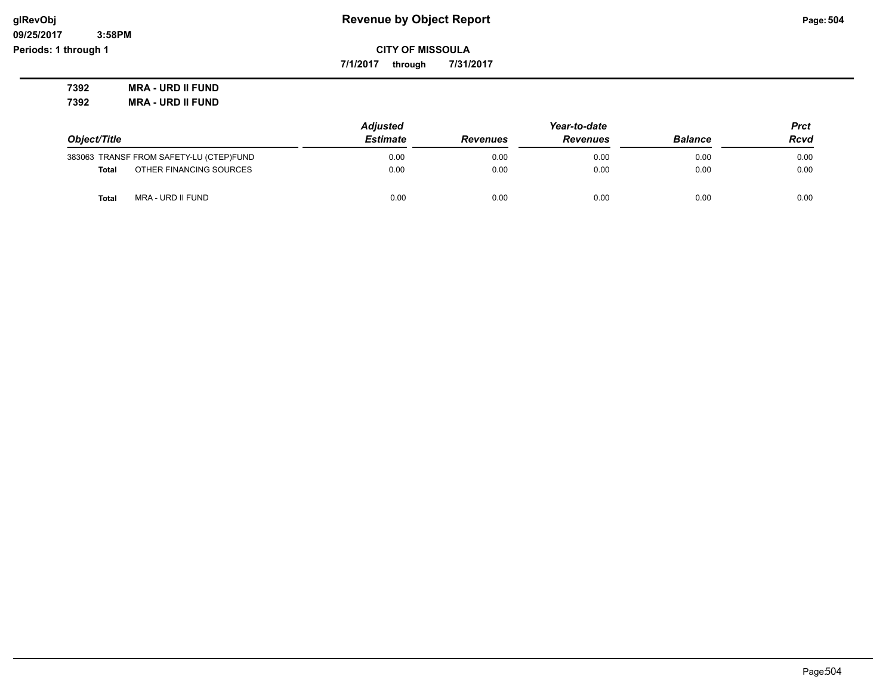**09/25/2017**

**Periods: 1 through 1**

## **CITY OF MISSOULA**

**7/1/2017 through 7/31/2017**

**7392 MRA - URD II FUND 7392 MRA - URD II FUND**

 **3:58PM**

|                                         | <b>Adjusted</b> |                 | Year-to-date    |                |             |
|-----------------------------------------|-----------------|-----------------|-----------------|----------------|-------------|
| Object/Title                            | <b>Estimate</b> | <b>Revenues</b> | <b>Revenues</b> | <b>Balance</b> | <b>Rcvd</b> |
| 383063 TRANSF FROM SAFETY-LU (CTEP)FUND | 0.00            | 0.00            | 0.00            | 0.00           | 0.00        |
| OTHER FINANCING SOURCES<br><b>Total</b> | 0.00            | 0.00            | 0.00            | 0.00           | 0.00        |
| MRA - URD II FUND<br><b>Total</b>       | 0.00            | 0.00            | 0.00            | 0.00           | 0.00        |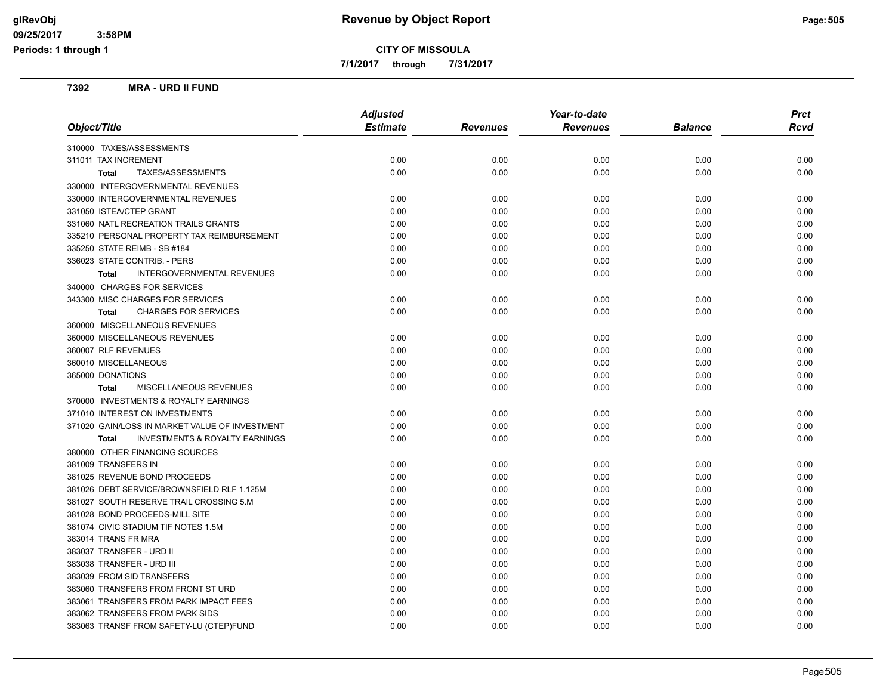**09/25/2017 3:58PM Periods: 1 through 1**

**CITY OF MISSOULA**

**7/1/2017 through 7/31/2017**

#### **7392 MRA - URD II FUND**

|                                                           | <b>Adjusted</b> |                 | Year-to-date    |                | <b>Prct</b> |
|-----------------------------------------------------------|-----------------|-----------------|-----------------|----------------|-------------|
| Object/Title                                              | <b>Estimate</b> | <b>Revenues</b> | <b>Revenues</b> | <b>Balance</b> | Rcvd        |
| 310000 TAXES/ASSESSMENTS                                  |                 |                 |                 |                |             |
| 311011 TAX INCREMENT                                      | 0.00            | 0.00            | 0.00            | 0.00           | 0.00        |
| TAXES/ASSESSMENTS<br><b>Total</b>                         | 0.00            | 0.00            | 0.00            | 0.00           | 0.00        |
| 330000 INTERGOVERNMENTAL REVENUES                         |                 |                 |                 |                |             |
| 330000 INTERGOVERNMENTAL REVENUES                         | 0.00            | 0.00            | 0.00            | 0.00           | 0.00        |
| 331050 ISTEA/CTEP GRANT                                   | 0.00            | 0.00            | 0.00            | 0.00           | 0.00        |
| 331060 NATL RECREATION TRAILS GRANTS                      | 0.00            | 0.00            | 0.00            | 0.00           | 0.00        |
| 335210 PERSONAL PROPERTY TAX REIMBURSEMENT                | 0.00            | 0.00            | 0.00            | 0.00           | 0.00        |
| 335250 STATE REIMB - SB #184                              | 0.00            | 0.00            | 0.00            | 0.00           | 0.00        |
| 336023 STATE CONTRIB. - PERS                              | 0.00            | 0.00            | 0.00            | 0.00           | 0.00        |
| INTERGOVERNMENTAL REVENUES<br>Total                       | 0.00            | 0.00            | 0.00            | 0.00           | 0.00        |
| 340000 CHARGES FOR SERVICES                               |                 |                 |                 |                |             |
| 343300 MISC CHARGES FOR SERVICES                          | 0.00            | 0.00            | 0.00            | 0.00           | 0.00        |
| <b>CHARGES FOR SERVICES</b><br><b>Total</b>               | 0.00            | 0.00            | 0.00            | 0.00           | 0.00        |
| 360000 MISCELLANEOUS REVENUES                             |                 |                 |                 |                |             |
| 360000 MISCELLANEOUS REVENUES                             | 0.00            | 0.00            | 0.00            | 0.00           | 0.00        |
| 360007 RLF REVENUES                                       | 0.00            | 0.00            | 0.00            | 0.00           | 0.00        |
| 360010 MISCELLANEOUS                                      | 0.00            | 0.00            | 0.00            | 0.00           | 0.00        |
| 365000 DONATIONS                                          | 0.00            | 0.00            | 0.00            | 0.00           | 0.00        |
| MISCELLANEOUS REVENUES<br><b>Total</b>                    | 0.00            | 0.00            | 0.00            | 0.00           | 0.00        |
| 370000 INVESTMENTS & ROYALTY EARNINGS                     |                 |                 |                 |                |             |
| 371010 INTEREST ON INVESTMENTS                            | 0.00            | 0.00            | 0.00            | 0.00           | 0.00        |
| 371020 GAIN/LOSS IN MARKET VALUE OF INVESTMENT            | 0.00            | 0.00            | 0.00            | 0.00           | 0.00        |
| <b>INVESTMENTS &amp; ROYALTY EARNINGS</b><br><b>Total</b> | 0.00            | 0.00            | 0.00            | 0.00           | 0.00        |
| 380000 OTHER FINANCING SOURCES                            |                 |                 |                 |                |             |
| 381009 TRANSFERS IN                                       | 0.00            | 0.00            | 0.00            | 0.00           | 0.00        |
| 381025 REVENUE BOND PROCEEDS                              | 0.00            | 0.00            | 0.00            | 0.00           | 0.00        |
| 381026 DEBT SERVICE/BROWNSFIELD RLF 1.125M                | 0.00            | 0.00            | 0.00            | 0.00           | 0.00        |
| 381027 SOUTH RESERVE TRAIL CROSSING 5.M                   | 0.00            | 0.00            | 0.00            | 0.00           | 0.00        |
| 381028 BOND PROCEEDS-MILL SITE                            | 0.00            | 0.00            | 0.00            | 0.00           | 0.00        |
| 381074 CIVIC STADIUM TIF NOTES 1.5M                       | 0.00            | 0.00            | 0.00            | 0.00           | 0.00        |
| 383014 TRANS FR MRA                                       | 0.00            | 0.00            | 0.00            | 0.00           | 0.00        |
| 383037 TRANSFER - URD II                                  | 0.00            | 0.00            | 0.00            | 0.00           | 0.00        |
| 383038 TRANSFER - URD III                                 | 0.00            | 0.00            | 0.00            | 0.00           | 0.00        |
| 383039 FROM SID TRANSFERS                                 | 0.00            | 0.00            | 0.00            | 0.00           | 0.00        |
| 383060 TRANSFERS FROM FRONT ST URD                        | 0.00            | 0.00            | 0.00            | 0.00           | 0.00        |
| 383061 TRANSFERS FROM PARK IMPACT FEES                    | 0.00            | 0.00            | 0.00            | 0.00           | 0.00        |
| 383062 TRANSFERS FROM PARK SIDS                           | 0.00            | 0.00            | 0.00            | 0.00           | 0.00        |
| 383063 TRANSF FROM SAFETY-LU (CTEP)FUND                   | 0.00            | 0.00            | 0.00            | 0.00           | 0.00        |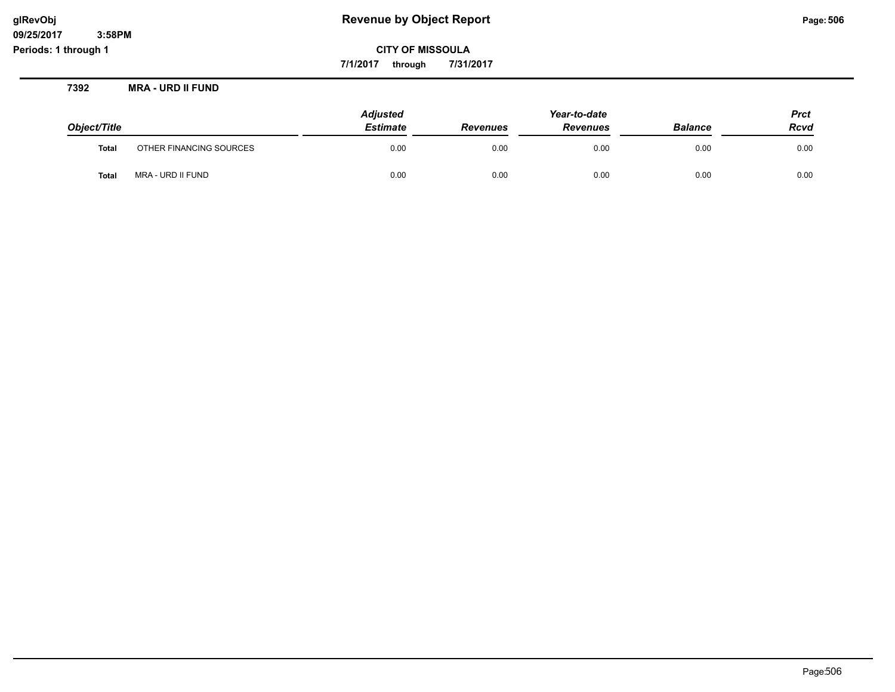**09/25/2017 3:58PM Periods: 1 through 1**

**CITY OF MISSOULA**

**7/1/2017 through 7/31/2017**

**7392 MRA - URD II FUND**

|              |                         | <b>Adjusted</b>                    |      | Year-to-date   |             |      |
|--------------|-------------------------|------------------------------------|------|----------------|-------------|------|
| Object/Title | <b>Estimate</b>         | <b>Revenues</b><br><b>Revenues</b> |      | <b>Balance</b> | <b>Rcvd</b> |      |
| <b>Total</b> | OTHER FINANCING SOURCES | 0.00                               | 0.00 | 0.00           | 0.00        | 0.00 |
| Total        | MRA - URD II FUND       | 0.00                               | 0.00 | 0.00           | 0.00        | 0.00 |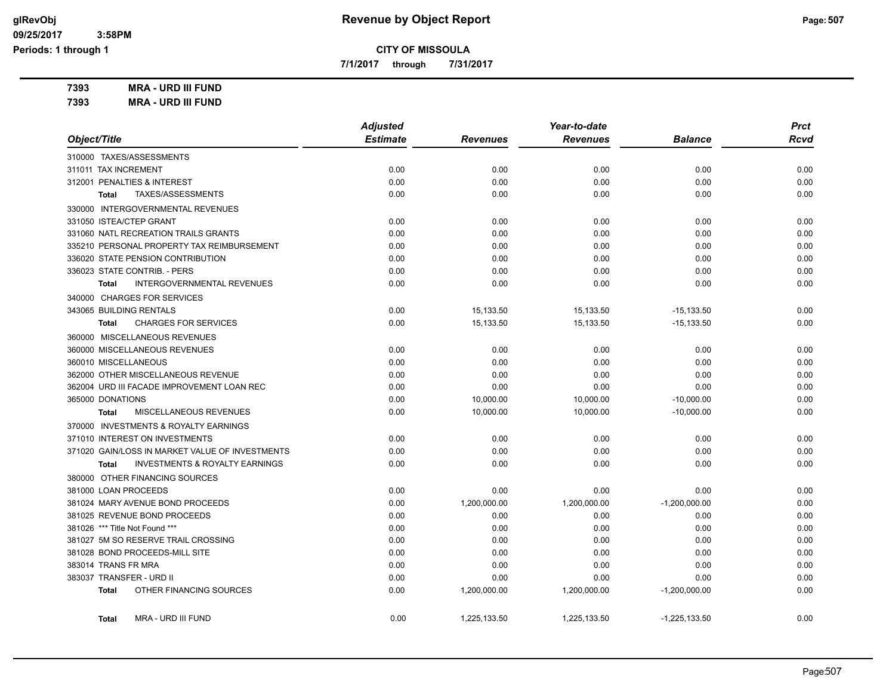**7/1/2017 through 7/31/2017**

**Periods: 1 through 1**

**7393 MRA - URD III FUND**

**7393 MRA - URD III FUND**

|                                                    | <b>Adjusted</b> |                 | Year-to-date    |                 |             |
|----------------------------------------------------|-----------------|-----------------|-----------------|-----------------|-------------|
| Object/Title                                       | <b>Estimate</b> | <b>Revenues</b> | <b>Revenues</b> | <b>Balance</b>  | <b>Rcvd</b> |
| 310000 TAXES/ASSESSMENTS                           |                 |                 |                 |                 |             |
| 311011 TAX INCREMENT                               | 0.00            | 0.00            | 0.00            | 0.00            | 0.00        |
| 312001 PENALTIES & INTEREST                        | 0.00            | 0.00            | 0.00            | 0.00            | 0.00        |
| TAXES/ASSESSMENTS<br><b>Total</b>                  | 0.00            | 0.00            | 0.00            | 0.00            | 0.00        |
| 330000 INTERGOVERNMENTAL REVENUES                  |                 |                 |                 |                 |             |
| 331050 ISTEA/CTEP GRANT                            | 0.00            | 0.00            | 0.00            | 0.00            | 0.00        |
| 331060 NATL RECREATION TRAILS GRANTS               | 0.00            | 0.00            | 0.00            | 0.00            | 0.00        |
| 335210 PERSONAL PROPERTY TAX REIMBURSEMENT         | 0.00            | 0.00            | 0.00            | 0.00            | 0.00        |
| 336020 STATE PENSION CONTRIBUTION                  | 0.00            | 0.00            | 0.00            | 0.00            | 0.00        |
| 336023 STATE CONTRIB. - PERS                       | 0.00            | 0.00            | 0.00            | 0.00            | 0.00        |
| <b>INTERGOVERNMENTAL REVENUES</b><br><b>Total</b>  | 0.00            | 0.00            | 0.00            | 0.00            | 0.00        |
| 340000 CHARGES FOR SERVICES                        |                 |                 |                 |                 |             |
| 343065 BUILDING RENTALS                            | 0.00            | 15,133.50       | 15,133.50       | $-15, 133.50$   | 0.00        |
| <b>CHARGES FOR SERVICES</b><br>Total               | 0.00            | 15,133.50       | 15,133.50       | $-15, 133.50$   | 0.00        |
| 360000 MISCELLANEOUS REVENUES                      |                 |                 |                 |                 |             |
| 360000 MISCELLANEOUS REVENUES                      | 0.00            | 0.00            | 0.00            | 0.00            | 0.00        |
| 360010 MISCELLANEOUS                               | 0.00            | 0.00            | 0.00            | 0.00            | 0.00        |
| 362000 OTHER MISCELLANEOUS REVENUE                 | 0.00            | 0.00            | 0.00            | 0.00            | 0.00        |
| 362004 URD III FACADE IMPROVEMENT LOAN REC         | 0.00            | 0.00            | 0.00            | 0.00            | 0.00        |
| 365000 DONATIONS                                   | 0.00            | 10,000.00       | 10,000.00       | $-10,000.00$    | 0.00        |
| MISCELLANEOUS REVENUES<br><b>Total</b>             | 0.00            | 10,000.00       | 10,000.00       | $-10,000.00$    | 0.00        |
| 370000 INVESTMENTS & ROYALTY EARNINGS              |                 |                 |                 |                 |             |
| 371010 INTEREST ON INVESTMENTS                     | 0.00            | 0.00            | 0.00            | 0.00            | 0.00        |
| 371020 GAIN/LOSS IN MARKET VALUE OF INVESTMENTS    | 0.00            | 0.00            | 0.00            | 0.00            | 0.00        |
| <b>INVESTMENTS &amp; ROYALTY EARNINGS</b><br>Total | 0.00            | 0.00            | 0.00            | 0.00            | 0.00        |
| 380000 OTHER FINANCING SOURCES                     |                 |                 |                 |                 |             |
| 381000 LOAN PROCEEDS                               | 0.00            | 0.00            | 0.00            | 0.00            | 0.00        |
| 381024 MARY AVENUE BOND PROCEEDS                   | 0.00            | 1,200,000.00    | 1,200,000.00    | $-1,200,000.00$ | 0.00        |
| 381025 REVENUE BOND PROCEEDS                       | 0.00            | 0.00            | 0.00            | 0.00            | 0.00        |
| 381026 *** Title Not Found ***                     | 0.00            | 0.00            | 0.00            | 0.00            | 0.00        |
| 381027 5M SO RESERVE TRAIL CROSSING                | 0.00            | 0.00            | 0.00            | 0.00            | 0.00        |
| 381028 BOND PROCEEDS-MILL SITE                     | 0.00            | 0.00            | 0.00            | 0.00            | 0.00        |
| 383014 TRANS FR MRA                                | 0.00            | 0.00            | 0.00            | 0.00            | 0.00        |
| 383037 TRANSFER - URD II                           | 0.00            | 0.00            | 0.00            | 0.00            | 0.00        |
| OTHER FINANCING SOURCES<br><b>Total</b>            | 0.00            | 1,200,000.00    | 1,200,000.00    | $-1,200,000.00$ | 0.00        |
|                                                    |                 |                 |                 |                 |             |
| MRA - URD III FUND<br><b>Total</b>                 | 0.00            | 1,225,133.50    | 1,225,133.50    | $-1,225,133.50$ | 0.00        |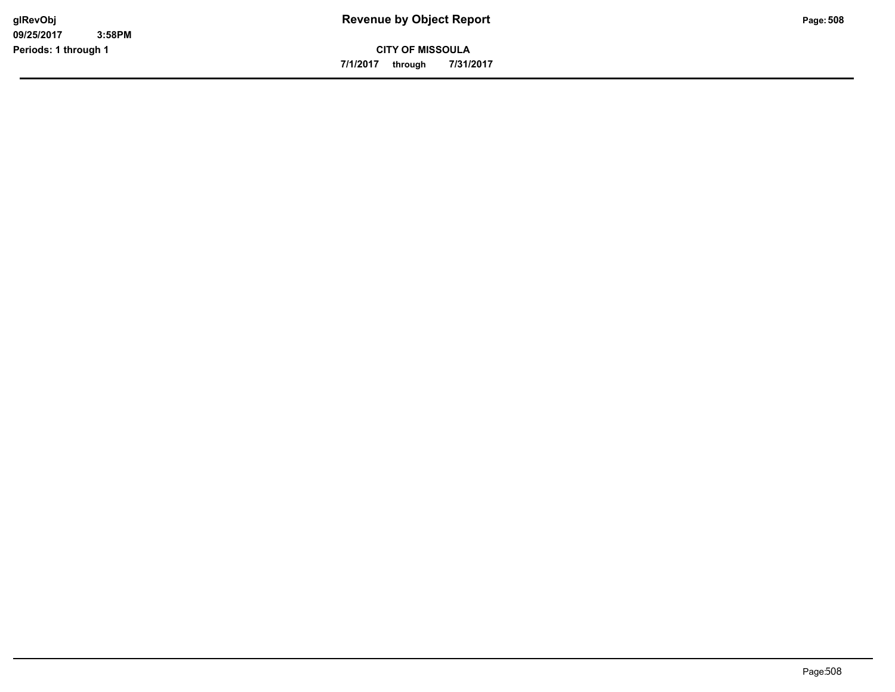**CITY OF MISSOULA 7/1/2017 through 7/31/2017**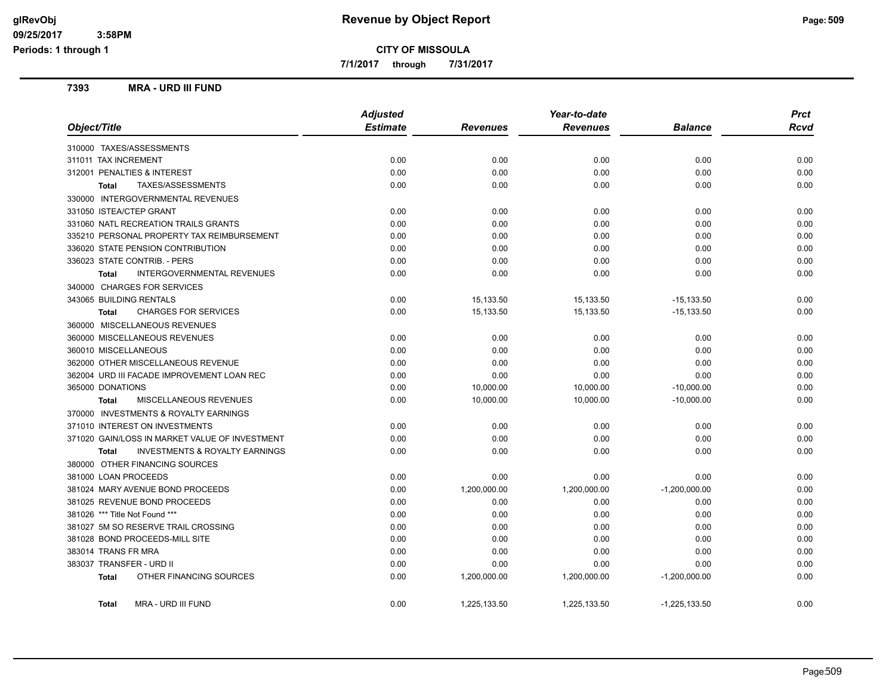**CITY OF MISSOULA**

**7/1/2017 through 7/31/2017**

 **3:58PM**

**7393 MRA - URD III FUND**

|                                                    | <b>Adjusted</b> |                 | Year-to-date    |                 | <b>Prct</b> |
|----------------------------------------------------|-----------------|-----------------|-----------------|-----------------|-------------|
| Object/Title                                       | <b>Estimate</b> | <b>Revenues</b> | <b>Revenues</b> | <b>Balance</b>  | <b>Rcvd</b> |
| 310000 TAXES/ASSESSMENTS                           |                 |                 |                 |                 |             |
| 311011 TAX INCREMENT                               | 0.00            | 0.00            | 0.00            | 0.00            | 0.00        |
| 312001 PENALTIES & INTEREST                        | 0.00            | 0.00            | 0.00            | 0.00            | 0.00        |
| TAXES/ASSESSMENTS<br>Total                         | 0.00            | 0.00            | 0.00            | 0.00            | 0.00        |
| 330000 INTERGOVERNMENTAL REVENUES                  |                 |                 |                 |                 |             |
| 331050 ISTEA/CTEP GRANT                            | 0.00            | 0.00            | 0.00            | 0.00            | 0.00        |
| 331060 NATL RECREATION TRAILS GRANTS               | 0.00            | 0.00            | 0.00            | 0.00            | 0.00        |
| 335210 PERSONAL PROPERTY TAX REIMBURSEMENT         | 0.00            | 0.00            | 0.00            | 0.00            | 0.00        |
| 336020 STATE PENSION CONTRIBUTION                  | 0.00            | 0.00            | 0.00            | 0.00            | 0.00        |
| 336023 STATE CONTRIB. - PERS                       | 0.00            | 0.00            | 0.00            | 0.00            | 0.00        |
| <b>INTERGOVERNMENTAL REVENUES</b><br><b>Total</b>  | 0.00            | 0.00            | 0.00            | 0.00            | 0.00        |
| 340000 CHARGES FOR SERVICES                        |                 |                 |                 |                 |             |
| 343065 BUILDING RENTALS                            | 0.00            | 15,133.50       | 15,133.50       | $-15, 133.50$   | 0.00        |
| <b>CHARGES FOR SERVICES</b><br><b>Total</b>        | 0.00            | 15,133.50       | 15,133.50       | $-15, 133.50$   | 0.00        |
| 360000 MISCELLANEOUS REVENUES                      |                 |                 |                 |                 |             |
| 360000 MISCELLANEOUS REVENUES                      | 0.00            | 0.00            | 0.00            | 0.00            | 0.00        |
| 360010 MISCELLANEOUS                               | 0.00            | 0.00            | 0.00            | 0.00            | 0.00        |
| 362000 OTHER MISCELLANEOUS REVENUE                 | 0.00            | 0.00            | 0.00            | 0.00            | 0.00        |
| 362004 URD III FACADE IMPROVEMENT LOAN REC         | 0.00            | 0.00            | 0.00            | 0.00            | 0.00        |
| 365000 DONATIONS                                   | 0.00            | 10,000.00       | 10,000.00       | $-10,000.00$    | 0.00        |
| MISCELLANEOUS REVENUES<br><b>Total</b>             | 0.00            | 10,000.00       | 10,000.00       | $-10,000.00$    | 0.00        |
| 370000 INVESTMENTS & ROYALTY EARNINGS              |                 |                 |                 |                 |             |
| 371010 INTEREST ON INVESTMENTS                     | 0.00            | 0.00            | 0.00            | 0.00            | 0.00        |
| 371020 GAIN/LOSS IN MARKET VALUE OF INVESTMENT     | 0.00            | 0.00            | 0.00            | 0.00            | 0.00        |
| <b>INVESTMENTS &amp; ROYALTY EARNINGS</b><br>Total | 0.00            | 0.00            | 0.00            | 0.00            | 0.00        |
| 380000 OTHER FINANCING SOURCES                     |                 |                 |                 |                 |             |
| 381000 LOAN PROCEEDS                               | 0.00            | 0.00            | 0.00            | 0.00            | 0.00        |
| 381024 MARY AVENUE BOND PROCEEDS                   | 0.00            | 1,200,000.00    | 1,200,000.00    | $-1,200,000.00$ | 0.00        |
| 381025 REVENUE BOND PROCEEDS                       | 0.00            | 0.00            | 0.00            | 0.00            | 0.00        |
| 381026 *** Title Not Found ***                     | 0.00            | 0.00            | 0.00            | 0.00            | 0.00        |
| 381027 5M SO RESERVE TRAIL CROSSING                | 0.00            | 0.00            | 0.00            | 0.00            | 0.00        |
| 381028 BOND PROCEEDS-MILL SITE                     | 0.00            | 0.00            | 0.00            | 0.00            | 0.00        |
| 383014 TRANS FR MRA                                | 0.00            | 0.00            | 0.00            | 0.00            | 0.00        |
| 383037 TRANSFER - URD II                           | 0.00            | 0.00            | 0.00            | 0.00            | 0.00        |
| OTHER FINANCING SOURCES<br><b>Total</b>            | 0.00            | 1,200,000.00    | 1,200,000.00    | $-1,200,000.00$ | 0.00        |
| MRA - URD III FUND<br><b>Total</b>                 | 0.00            | 1,225,133.50    | 1,225,133.50    | $-1,225,133.50$ | 0.00        |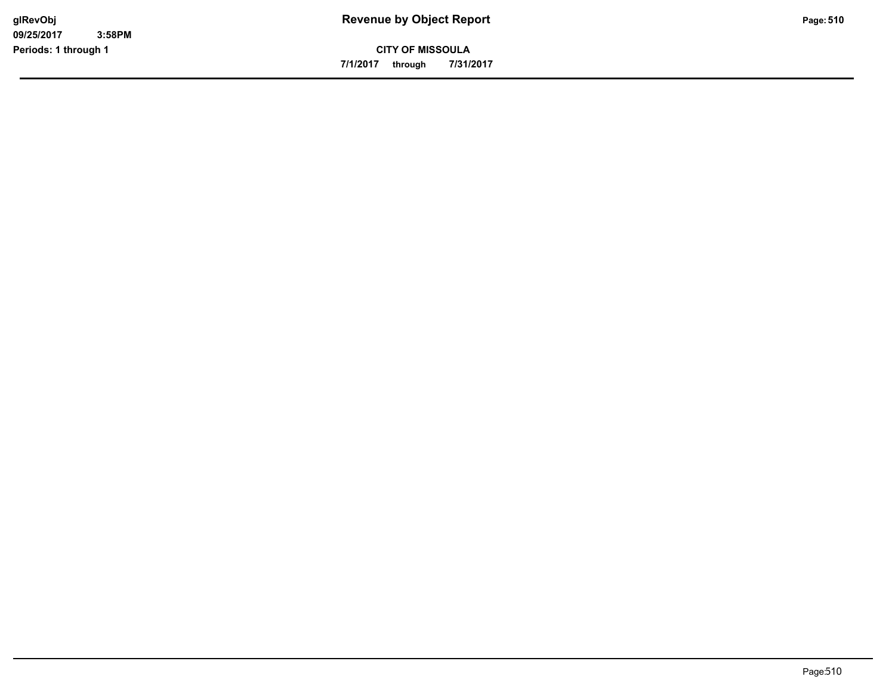**CITY OF MISSOULA 7/1/2017 through 7/31/2017**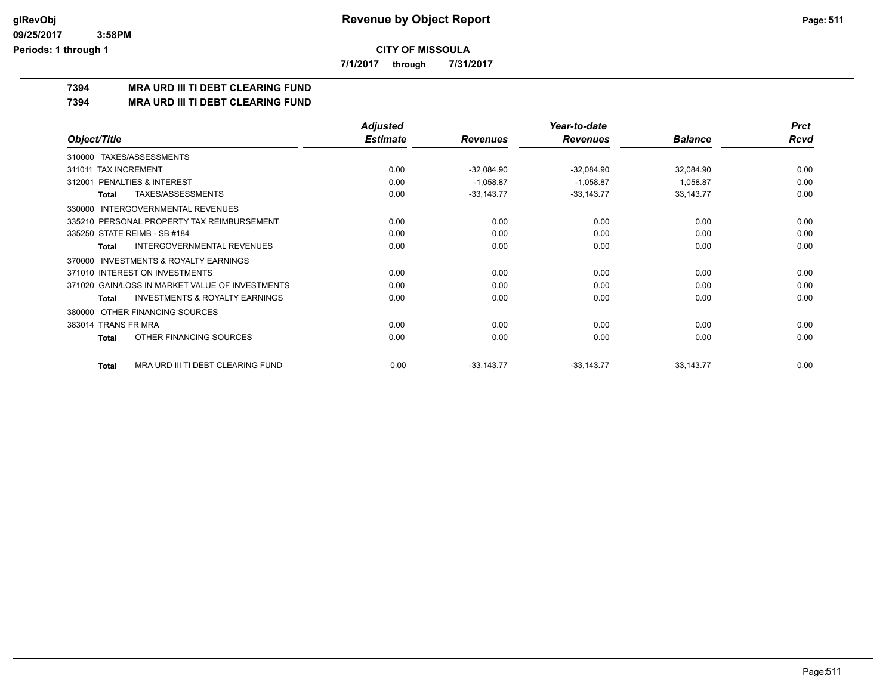**7/1/2017 through 7/31/2017**

# **7394 MRA URD III TI DEBT CLEARING FUND**

**7394 MRA URD III TI DEBT CLEARING FUND**

|                                                           | <b>Adjusted</b> |                 | Year-to-date    |                | <b>Prct</b> |
|-----------------------------------------------------------|-----------------|-----------------|-----------------|----------------|-------------|
| Object/Title                                              | <b>Estimate</b> | <b>Revenues</b> | <b>Revenues</b> | <b>Balance</b> | Rcvd        |
| TAXES/ASSESSMENTS<br>310000                               |                 |                 |                 |                |             |
| <b>TAX INCREMENT</b><br>311011                            | 0.00            | $-32,084.90$    | $-32,084.90$    | 32,084.90      | 0.00        |
| <b>PENALTIES &amp; INTEREST</b><br>312001                 | 0.00            | $-1,058.87$     | $-1,058.87$     | 1,058.87       | 0.00        |
| TAXES/ASSESSMENTS<br><b>Total</b>                         | 0.00            | $-33,143.77$    | $-33,143.77$    | 33,143.77      | 0.00        |
| <b>INTERGOVERNMENTAL REVENUES</b><br>330000               |                 |                 |                 |                |             |
| 335210 PERSONAL PROPERTY TAX REIMBURSEMENT                | 0.00            | 0.00            | 0.00            | 0.00           | 0.00        |
| 335250 STATE REIMB - SB #184                              | 0.00            | 0.00            | 0.00            | 0.00           | 0.00        |
| <b>INTERGOVERNMENTAL REVENUES</b><br><b>Total</b>         | 0.00            | 0.00            | 0.00            | 0.00           | 0.00        |
| INVESTMENTS & ROYALTY EARNINGS<br>370000                  |                 |                 |                 |                |             |
| 371010 INTEREST ON INVESTMENTS                            | 0.00            | 0.00            | 0.00            | 0.00           | 0.00        |
| 371020 GAIN/LOSS IN MARKET VALUE OF INVESTMENTS           | 0.00            | 0.00            | 0.00            | 0.00           | 0.00        |
| <b>INVESTMENTS &amp; ROYALTY EARNINGS</b><br><b>Total</b> | 0.00            | 0.00            | 0.00            | 0.00           | 0.00        |
| OTHER FINANCING SOURCES<br>380000                         |                 |                 |                 |                |             |
| 383014 TRANS FR MRA                                       | 0.00            | 0.00            | 0.00            | 0.00           | 0.00        |
| OTHER FINANCING SOURCES<br><b>Total</b>                   | 0.00            | 0.00            | 0.00            | 0.00           | 0.00        |
| MRA URD III TI DEBT CLEARING FUND<br><b>Total</b>         | 0.00            | $-33,143.77$    | $-33,143.77$    | 33, 143. 77    | 0.00        |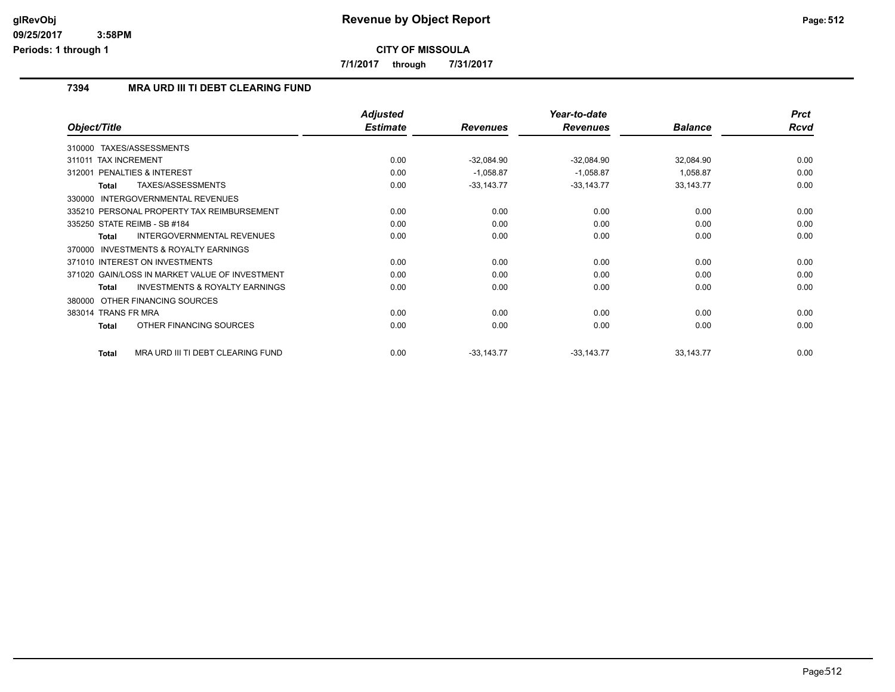**CITY OF MISSOULA**

**7/1/2017 through 7/31/2017**

#### **7394 MRA URD III TI DEBT CLEARING FUND**

|                                                     | <b>Adjusted</b> |                 | Year-to-date    |                | <b>Prct</b> |
|-----------------------------------------------------|-----------------|-----------------|-----------------|----------------|-------------|
| Object/Title                                        | <b>Estimate</b> | <b>Revenues</b> | <b>Revenues</b> | <b>Balance</b> | Rcvd        |
| TAXES/ASSESSMENTS<br>310000                         |                 |                 |                 |                |             |
| 311011 TAX INCREMENT                                | 0.00            | $-32,084.90$    | $-32,084.90$    | 32,084.90      | 0.00        |
| 312001 PENALTIES & INTEREST                         | 0.00            | $-1,058.87$     | $-1,058.87$     | 1,058.87       | 0.00        |
| TAXES/ASSESSMENTS<br><b>Total</b>                   | 0.00            | $-33,143.77$    | $-33,143.77$    | 33,143.77      | 0.00        |
| INTERGOVERNMENTAL REVENUES<br>330000                |                 |                 |                 |                |             |
| 335210 PERSONAL PROPERTY TAX REIMBURSEMENT          | 0.00            | 0.00            | 0.00            | 0.00           | 0.00        |
| 335250 STATE REIMB - SB #184                        | 0.00            | 0.00            | 0.00            | 0.00           | 0.00        |
| <b>INTERGOVERNMENTAL REVENUES</b><br>Total          | 0.00            | 0.00            | 0.00            | 0.00           | 0.00        |
| <b>INVESTMENTS &amp; ROYALTY EARNINGS</b><br>370000 |                 |                 |                 |                |             |
| 371010 INTEREST ON INVESTMENTS                      | 0.00            | 0.00            | 0.00            | 0.00           | 0.00        |
| 371020 GAIN/LOSS IN MARKET VALUE OF INVESTMENT      | 0.00            | 0.00            | 0.00            | 0.00           | 0.00        |
| <b>INVESTMENTS &amp; ROYALTY EARNINGS</b><br>Total  | 0.00            | 0.00            | 0.00            | 0.00           | 0.00        |
| 380000 OTHER FINANCING SOURCES                      |                 |                 |                 |                |             |
| 383014 TRANS FR MRA                                 | 0.00            | 0.00            | 0.00            | 0.00           | 0.00        |
| OTHER FINANCING SOURCES<br>Total                    | 0.00            | 0.00            | 0.00            | 0.00           | 0.00        |
| MRA URD III TI DEBT CLEARING FUND<br>Total          | 0.00            | $-33,143.77$    | $-33,143.77$    | 33, 143. 77    | 0.00        |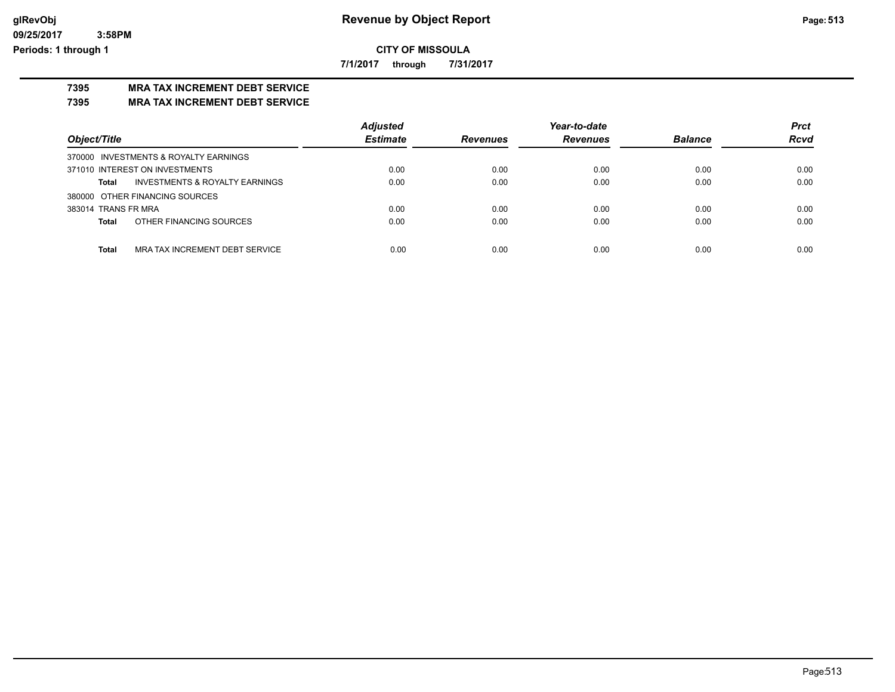**09/25/2017 3:58PM Periods: 1 through 1**

**CITY OF MISSOULA**

**7/1/2017 through 7/31/2017**

# **7395 MRA TAX INCREMENT DEBT SERVICE**

# **7395 MRA TAX INCREMENT DEBT SERVICE**

|                                                    | <b>Adjusted</b> |                 | Year-to-date    |                | <b>Prct</b> |
|----------------------------------------------------|-----------------|-----------------|-----------------|----------------|-------------|
| Object/Title                                       | <b>Estimate</b> | <b>Revenues</b> | <b>Revenues</b> | <b>Balance</b> | <b>Rcvd</b> |
| 370000 INVESTMENTS & ROYALTY EARNINGS              |                 |                 |                 |                |             |
| 371010 INTEREST ON INVESTMENTS                     | 0.00            | 0.00            | 0.00            | 0.00           | 0.00        |
| <b>INVESTMENTS &amp; ROYALTY EARNINGS</b><br>Total | 0.00            | 0.00            | 0.00            | 0.00           | 0.00        |
| 380000 OTHER FINANCING SOURCES                     |                 |                 |                 |                |             |
| 383014 TRANS FR MRA                                | 0.00            | 0.00            | 0.00            | 0.00           | 0.00        |
| OTHER FINANCING SOURCES<br>Total                   | 0.00            | 0.00            | 0.00            | 0.00           | 0.00        |
|                                                    |                 |                 |                 |                |             |
| MRA TAX INCREMENT DEBT SERVICE<br>Total            | 0.00            | 0.00            | 0.00            | 0.00           | 0.00        |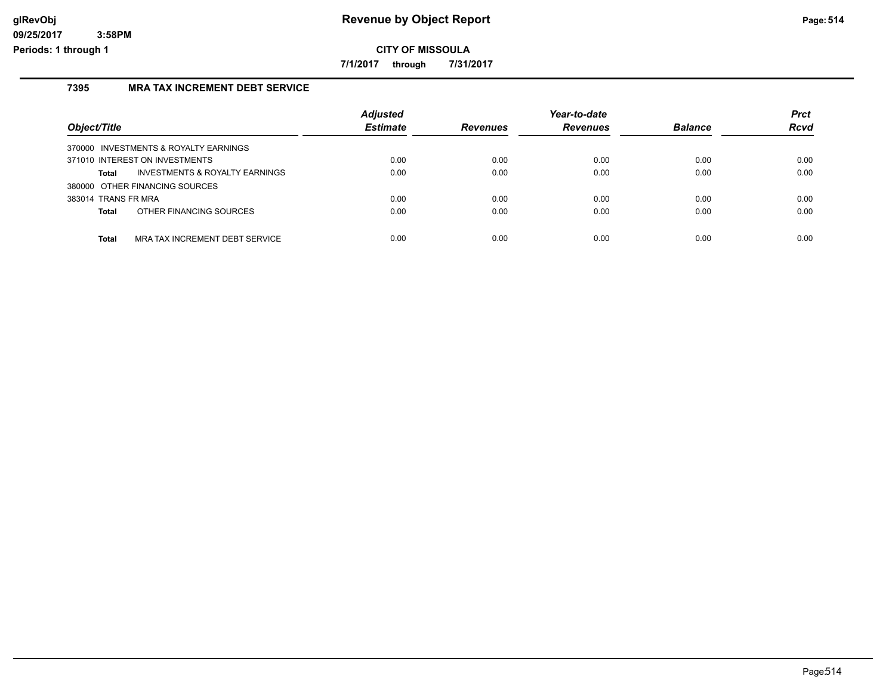**CITY OF MISSOULA**

**7/1/2017 through 7/31/2017**

### **7395 MRA TAX INCREMENT DEBT SERVICE**

|                                                | <b>Adjusted</b><br><b>Estimate</b> | <b>Revenues</b> | Year-to-date<br><b>Revenues</b> | <b>Balance</b> | <b>Prct</b><br><b>Rcvd</b> |
|------------------------------------------------|------------------------------------|-----------------|---------------------------------|----------------|----------------------------|
| Object/Title                                   |                                    |                 |                                 |                |                            |
| 370000 INVESTMENTS & ROYALTY EARNINGS          |                                    |                 |                                 |                |                            |
| 371010 INTEREST ON INVESTMENTS                 | 0.00                               | 0.00            | 0.00                            | 0.00           | 0.00                       |
| INVESTMENTS & ROYALTY EARNINGS<br>Total        | 0.00                               | 0.00            | 0.00                            | 0.00           | 0.00                       |
| 380000 OTHER FINANCING SOURCES                 |                                    |                 |                                 |                |                            |
| 383014 TRANS FR MRA                            | 0.00                               | 0.00            | 0.00                            | 0.00           | 0.00                       |
| OTHER FINANCING SOURCES<br><b>Total</b>        | 0.00                               | 0.00            | 0.00                            | 0.00           | 0.00                       |
|                                                |                                    |                 |                                 |                |                            |
| MRA TAX INCREMENT DEBT SERVICE<br><b>Total</b> | 0.00                               | 0.00            | 0.00                            | 0.00           | 0.00                       |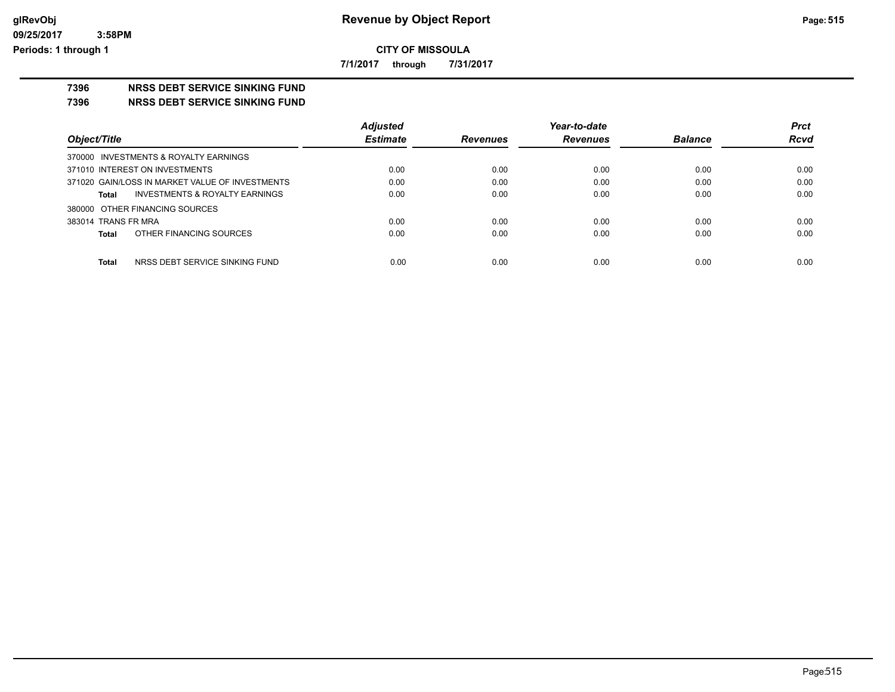**7/1/2017 through 7/31/2017**

# **7396 NRSS DEBT SERVICE SINKING FUND**

**7396 NRSS DEBT SERVICE SINKING FUND**

|                                                           | <b>Adjusted</b> |                 | Year-to-date    |                | <b>Prct</b> |
|-----------------------------------------------------------|-----------------|-----------------|-----------------|----------------|-------------|
| Object/Title                                              | <b>Estimate</b> | <b>Revenues</b> | <b>Revenues</b> | <b>Balance</b> | <b>Rcvd</b> |
| 370000 INVESTMENTS & ROYALTY EARNINGS                     |                 |                 |                 |                |             |
| 371010 INTEREST ON INVESTMENTS                            | 0.00            | 0.00            | 0.00            | 0.00           | 0.00        |
| 371020 GAIN/LOSS IN MARKET VALUE OF INVESTMENTS           | 0.00            | 0.00            | 0.00            | 0.00           | 0.00        |
| <b>INVESTMENTS &amp; ROYALTY EARNINGS</b><br><b>Total</b> | 0.00            | 0.00            | 0.00            | 0.00           | 0.00        |
| 380000 OTHER FINANCING SOURCES                            |                 |                 |                 |                |             |
| 383014 TRANS FR MRA                                       | 0.00            | 0.00            | 0.00            | 0.00           | 0.00        |
| OTHER FINANCING SOURCES<br><b>Total</b>                   | 0.00            | 0.00            | 0.00            | 0.00           | 0.00        |
|                                                           |                 |                 |                 |                |             |
| <b>Total</b><br>NRSS DEBT SERVICE SINKING FUND            | 0.00            | 0.00            | 0.00            | 0.00           | 0.00        |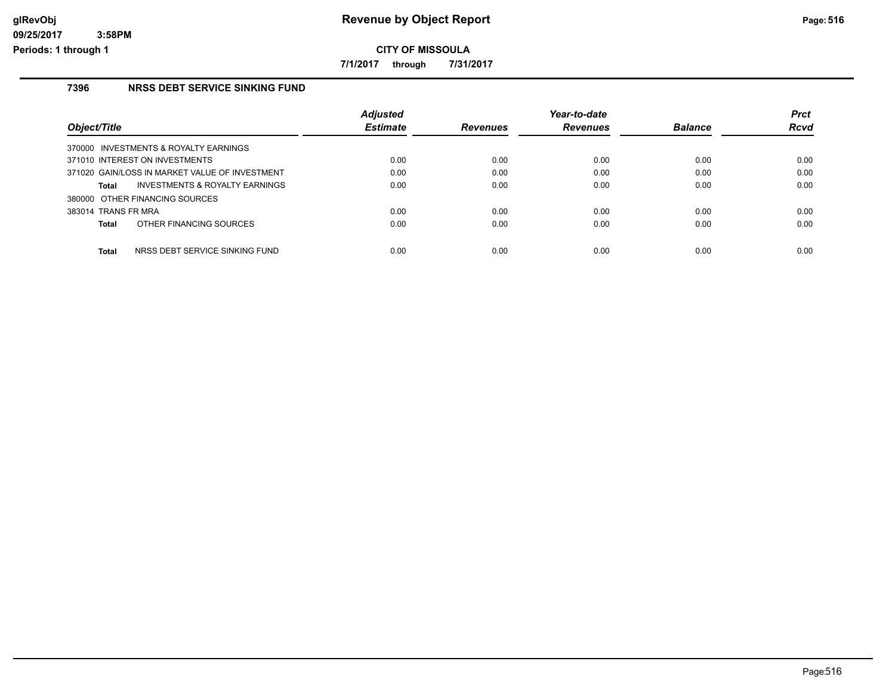**7/1/2017 through 7/31/2017**

### **7396 NRSS DEBT SERVICE SINKING FUND**

|                                                | <b>Adjusted</b> |                 | Year-to-date    |                | <b>Prct</b> |
|------------------------------------------------|-----------------|-----------------|-----------------|----------------|-------------|
| Object/Title                                   | <b>Estimate</b> | <b>Revenues</b> | <b>Revenues</b> | <b>Balance</b> | <b>Rcvd</b> |
| 370000 INVESTMENTS & ROYALTY EARNINGS          |                 |                 |                 |                |             |
| 371010 INTEREST ON INVESTMENTS                 | 0.00            | 0.00            | 0.00            | 0.00           | 0.00        |
| 371020 GAIN/LOSS IN MARKET VALUE OF INVESTMENT | 0.00            | 0.00            | 0.00            | 0.00           | 0.00        |
| INVESTMENTS & ROYALTY EARNINGS<br>Total        | 0.00            | 0.00            | 0.00            | 0.00           | 0.00        |
| 380000 OTHER FINANCING SOURCES                 |                 |                 |                 |                |             |
| 383014 TRANS FR MRA                            | 0.00            | 0.00            | 0.00            | 0.00           | 0.00        |
| OTHER FINANCING SOURCES<br>Total               | 0.00            | 0.00            | 0.00            | 0.00           | 0.00        |
|                                                |                 |                 |                 |                |             |
| <b>Total</b><br>NRSS DEBT SERVICE SINKING FUND | 0.00            | 0.00            | 0.00            | 0.00           | 0.00        |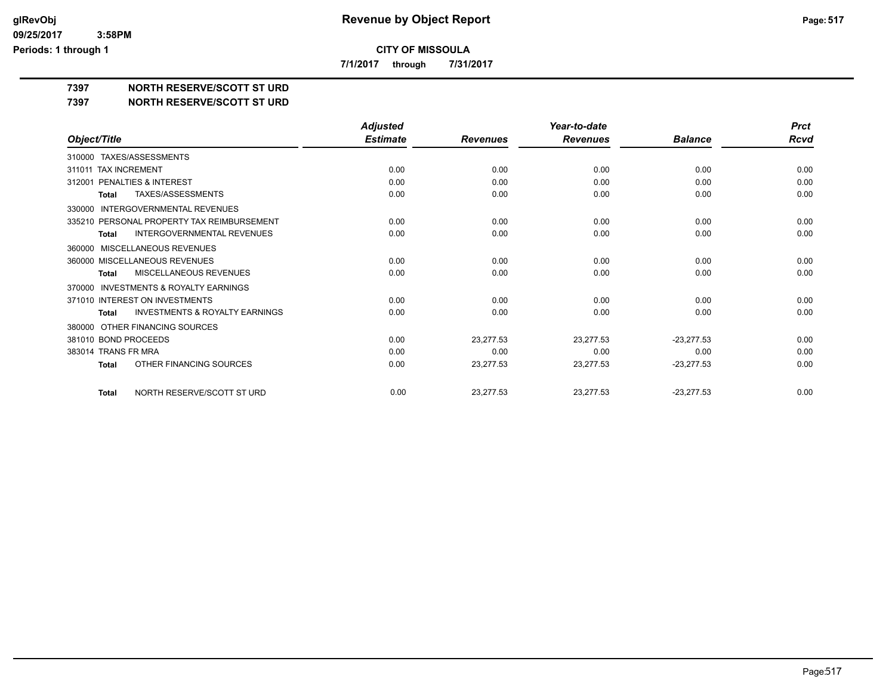**7/1/2017 through 7/31/2017**

**7397 NORTH RESERVE/SCOTT ST URD**

**7397 NORTH RESERVE/SCOTT ST URD**

|                                                    | <b>Adjusted</b> |                 | Year-to-date    |                | <b>Prct</b> |
|----------------------------------------------------|-----------------|-----------------|-----------------|----------------|-------------|
| Object/Title                                       | <b>Estimate</b> | <b>Revenues</b> | <b>Revenues</b> | <b>Balance</b> | <b>Rcvd</b> |
| TAXES/ASSESSMENTS<br>310000                        |                 |                 |                 |                |             |
| 311011 TAX INCREMENT                               | 0.00            | 0.00            | 0.00            | 0.00           | 0.00        |
| PENALTIES & INTEREST<br>312001                     | 0.00            | 0.00            | 0.00            | 0.00           | 0.00        |
| TAXES/ASSESSMENTS<br><b>Total</b>                  | 0.00            | 0.00            | 0.00            | 0.00           | 0.00        |
| <b>INTERGOVERNMENTAL REVENUES</b><br>330000        |                 |                 |                 |                |             |
| 335210 PERSONAL PROPERTY TAX REIMBURSEMENT         | 0.00            | 0.00            | 0.00            | 0.00           | 0.00        |
| <b>INTERGOVERNMENTAL REVENUES</b><br><b>Total</b>  | 0.00            | 0.00            | 0.00            | 0.00           | 0.00        |
| <b>MISCELLANEOUS REVENUES</b><br>360000            |                 |                 |                 |                |             |
| 360000 MISCELLANEOUS REVENUES                      | 0.00            | 0.00            | 0.00            | 0.00           | 0.00        |
| <b>MISCELLANEOUS REVENUES</b><br><b>Total</b>      | 0.00            | 0.00            | 0.00            | 0.00           | 0.00        |
| INVESTMENTS & ROYALTY EARNINGS<br>370000           |                 |                 |                 |                |             |
| 371010 INTEREST ON INVESTMENTS                     | 0.00            | 0.00            | 0.00            | 0.00           | 0.00        |
| <b>INVESTMENTS &amp; ROYALTY EARNINGS</b><br>Total | 0.00            | 0.00            | 0.00            | 0.00           | 0.00        |
| OTHER FINANCING SOURCES<br>380000                  |                 |                 |                 |                |             |
| 381010 BOND PROCEEDS                               | 0.00            | 23,277.53       | 23,277.53       | $-23,277.53$   | 0.00        |
| 383014 TRANS FR MRA                                | 0.00            | 0.00            | 0.00            | 0.00           | 0.00        |
| OTHER FINANCING SOURCES<br><b>Total</b>            | 0.00            | 23,277.53       | 23,277.53       | $-23,277.53$   | 0.00        |
| NORTH RESERVE/SCOTT ST URD<br><b>Total</b>         | 0.00            | 23,277.53       | 23,277.53       | $-23,277.53$   | 0.00        |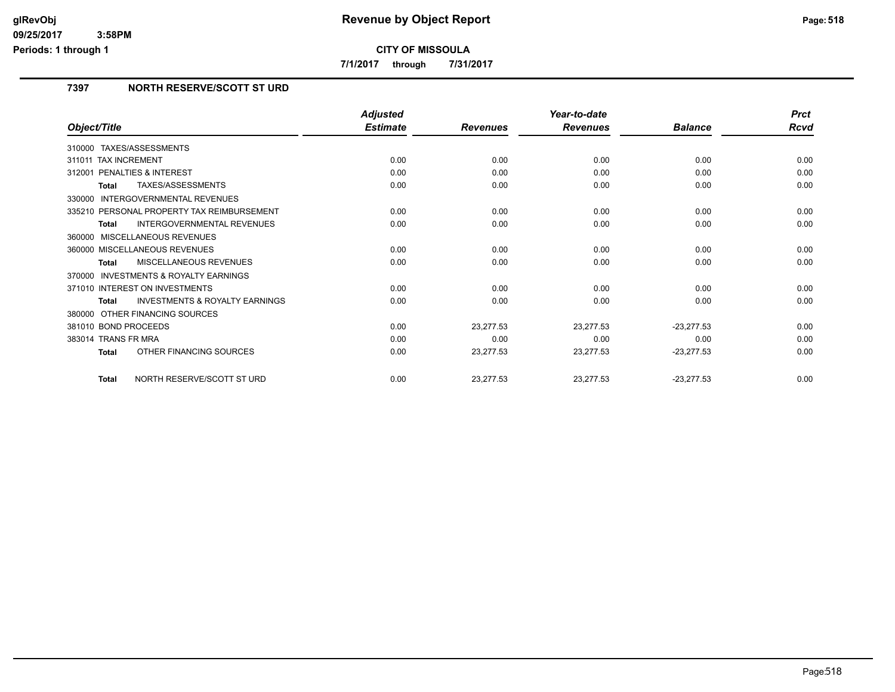**CITY OF MISSOULA**

**7/1/2017 through 7/31/2017**

## **7397 NORTH RESERVE/SCOTT ST URD**

|                                                    | <b>Adjusted</b> |                 | Year-to-date    |                | <b>Prct</b> |
|----------------------------------------------------|-----------------|-----------------|-----------------|----------------|-------------|
| Object/Title                                       | <b>Estimate</b> | <b>Revenues</b> | <b>Revenues</b> | <b>Balance</b> | <b>Rcvd</b> |
| 310000 TAXES/ASSESSMENTS                           |                 |                 |                 |                |             |
| 311011 TAX INCREMENT                               | 0.00            | 0.00            | 0.00            | 0.00           | 0.00        |
| PENALTIES & INTEREST<br>312001                     | 0.00            | 0.00            | 0.00            | 0.00           | 0.00        |
| TAXES/ASSESSMENTS<br><b>Total</b>                  | 0.00            | 0.00            | 0.00            | 0.00           | 0.00        |
| <b>INTERGOVERNMENTAL REVENUES</b><br>330000        |                 |                 |                 |                |             |
| 335210 PERSONAL PROPERTY TAX REIMBURSEMENT         | 0.00            | 0.00            | 0.00            | 0.00           | 0.00        |
| <b>INTERGOVERNMENTAL REVENUES</b><br><b>Total</b>  | 0.00            | 0.00            | 0.00            | 0.00           | 0.00        |
| 360000 MISCELLANEOUS REVENUES                      |                 |                 |                 |                |             |
| 360000 MISCELLANEOUS REVENUES                      | 0.00            | 0.00            | 0.00            | 0.00           | 0.00        |
| MISCELLANEOUS REVENUES<br><b>Total</b>             | 0.00            | 0.00            | 0.00            | 0.00           | 0.00        |
| 370000 INVESTMENTS & ROYALTY EARNINGS              |                 |                 |                 |                |             |
| 371010 INTEREST ON INVESTMENTS                     | 0.00            | 0.00            | 0.00            | 0.00           | 0.00        |
| <b>INVESTMENTS &amp; ROYALTY EARNINGS</b><br>Total | 0.00            | 0.00            | 0.00            | 0.00           | 0.00        |
| 380000 OTHER FINANCING SOURCES                     |                 |                 |                 |                |             |
| 381010 BOND PROCEEDS                               | 0.00            | 23,277.53       | 23,277.53       | $-23,277.53$   | 0.00        |
| 383014 TRANS FR MRA                                | 0.00            | 0.00            | 0.00            | 0.00           | 0.00        |
| OTHER FINANCING SOURCES<br><b>Total</b>            | 0.00            | 23,277.53       | 23,277.53       | $-23,277.53$   | 0.00        |
| NORTH RESERVE/SCOTT ST URD<br><b>Total</b>         | 0.00            | 23,277.53       | 23,277.53       | $-23,277.53$   | 0.00        |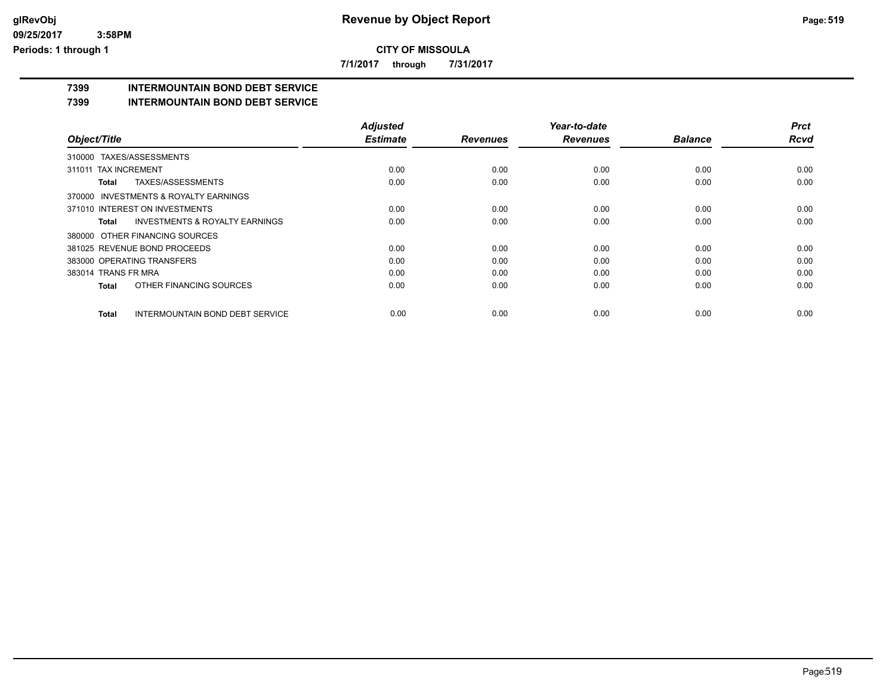**CITY OF MISSOULA**

**7/1/2017 through 7/31/2017**

# **7399 INTERMOUNTAIN BOND DEBT SERVICE**

# **7399 INTERMOUNTAIN BOND DEBT SERVICE**

|                            |                                           | <b>Adjusted</b> |                 | Year-to-date    |                | <b>Prct</b> |
|----------------------------|-------------------------------------------|-----------------|-----------------|-----------------|----------------|-------------|
| Object/Title               |                                           | <b>Estimate</b> | <b>Revenues</b> | <b>Revenues</b> | <b>Balance</b> | <b>Rcvd</b> |
| 310000                     | TAXES/ASSESSMENTS                         |                 |                 |                 |                |             |
| 311011 TAX INCREMENT       |                                           | 0.00            | 0.00            | 0.00            | 0.00           | 0.00        |
| <b>Total</b>               | TAXES/ASSESSMENTS                         | 0.00            | 0.00            | 0.00            | 0.00           | 0.00        |
|                            | 370000 INVESTMENTS & ROYALTY EARNINGS     |                 |                 |                 |                |             |
|                            | 371010 INTEREST ON INVESTMENTS            | 0.00            | 0.00            | 0.00            | 0.00           | 0.00        |
| Total                      | <b>INVESTMENTS &amp; ROYALTY EARNINGS</b> | 0.00            | 0.00            | 0.00            | 0.00           | 0.00        |
|                            | 380000 OTHER FINANCING SOURCES            |                 |                 |                 |                |             |
|                            | 381025 REVENUE BOND PROCEEDS              | 0.00            | 0.00            | 0.00            | 0.00           | 0.00        |
| 383000 OPERATING TRANSFERS |                                           | 0.00            | 0.00            | 0.00            | 0.00           | 0.00        |
| 383014 TRANS FR MRA        |                                           | 0.00            | 0.00            | 0.00            | 0.00           | 0.00        |
| Total                      | OTHER FINANCING SOURCES                   | 0.00            | 0.00            | 0.00            | 0.00           | 0.00        |
| Total                      | INTERMOUNTAIN BOND DEBT SERVICE           | 0.00            | 0.00            | 0.00            | 0.00           | 0.00        |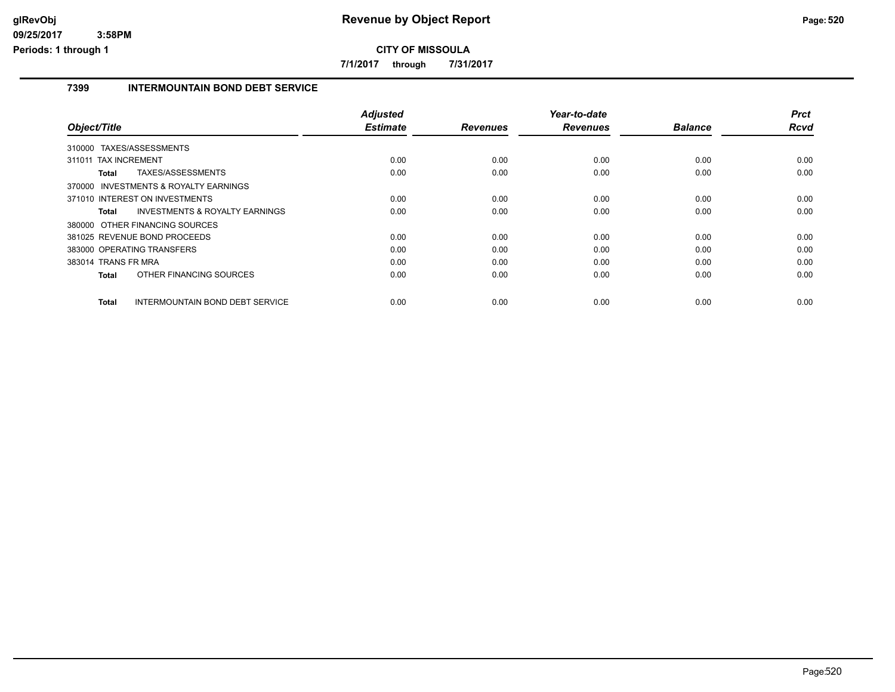**CITY OF MISSOULA**

**7/1/2017 through 7/31/2017**

### **7399 INTERMOUNTAIN BOND DEBT SERVICE**

|                                                    | <b>Adjusted</b> |                 | Year-to-date    |                | <b>Prct</b> |
|----------------------------------------------------|-----------------|-----------------|-----------------|----------------|-------------|
| Object/Title                                       | <b>Estimate</b> | <b>Revenues</b> | <b>Revenues</b> | <b>Balance</b> | <b>Rcvd</b> |
| 310000 TAXES/ASSESSMENTS                           |                 |                 |                 |                |             |
| <b>TAX INCREMENT</b><br>311011                     | 0.00            | 0.00            | 0.00            | 0.00           | 0.00        |
| TAXES/ASSESSMENTS<br><b>Total</b>                  | 0.00            | 0.00            | 0.00            | 0.00           | 0.00        |
| 370000 INVESTMENTS & ROYALTY EARNINGS              |                 |                 |                 |                |             |
| 371010 INTEREST ON INVESTMENTS                     | 0.00            | 0.00            | 0.00            | 0.00           | 0.00        |
| <b>INVESTMENTS &amp; ROYALTY EARNINGS</b><br>Total | 0.00            | 0.00            | 0.00            | 0.00           | 0.00        |
| 380000 OTHER FINANCING SOURCES                     |                 |                 |                 |                |             |
| 381025 REVENUE BOND PROCEEDS                       | 0.00            | 0.00            | 0.00            | 0.00           | 0.00        |
| 383000 OPERATING TRANSFERS                         | 0.00            | 0.00            | 0.00            | 0.00           | 0.00        |
| 383014 TRANS FR MRA                                | 0.00            | 0.00            | 0.00            | 0.00           | 0.00        |
| OTHER FINANCING SOURCES<br><b>Total</b>            | 0.00            | 0.00            | 0.00            | 0.00           | 0.00        |
| INTERMOUNTAIN BOND DEBT SERVICE<br><b>Total</b>    | 0.00            | 0.00            | 0.00            | 0.00           | 0.00        |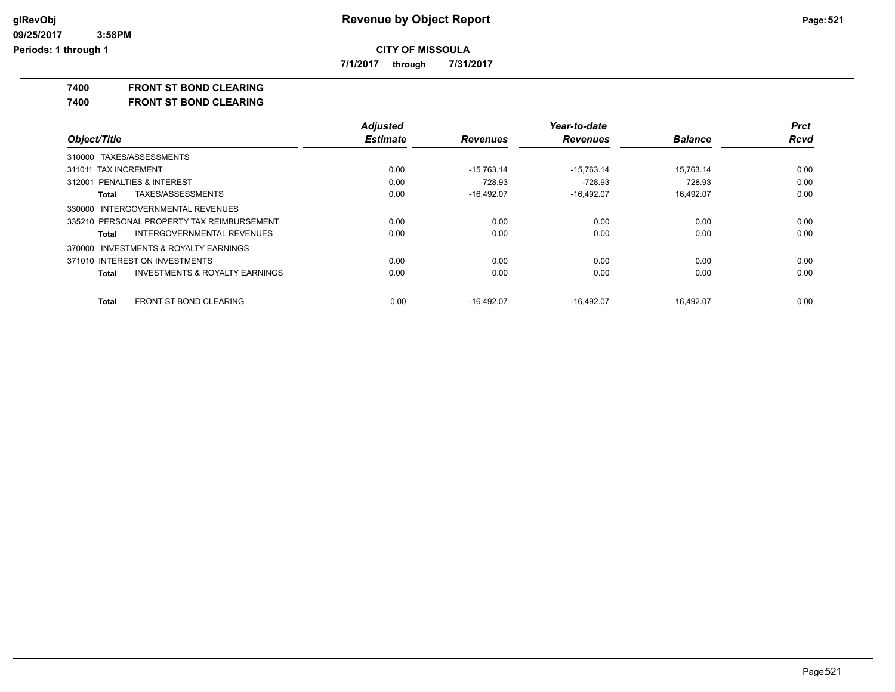**7/1/2017 through 7/31/2017**

**7400 FRONT ST BOND CLEARING**

**7400 FRONT ST BOND CLEARING**

|                                                    | <b>Adjusted</b> |                 | Year-to-date    |                | <b>Prct</b> |
|----------------------------------------------------|-----------------|-----------------|-----------------|----------------|-------------|
| Object/Title                                       | <b>Estimate</b> | <b>Revenues</b> | <b>Revenues</b> | <b>Balance</b> | <b>Rcvd</b> |
| 310000 TAXES/ASSESSMENTS                           |                 |                 |                 |                |             |
| 311011 TAX INCREMENT                               | 0.00            | $-15,763.14$    | $-15,763.14$    | 15,763.14      | 0.00        |
| <b>PENALTIES &amp; INTEREST</b><br>312001          | 0.00            | $-728.93$       | -728.93         | 728.93         | 0.00        |
| TAXES/ASSESSMENTS<br>Total                         | 0.00            | $-16,492.07$    | $-16,492.07$    | 16,492.07      | 0.00        |
| 330000 INTERGOVERNMENTAL REVENUES                  |                 |                 |                 |                |             |
| 335210 PERSONAL PROPERTY TAX REIMBURSEMENT         | 0.00            | 0.00            | 0.00            | 0.00           | 0.00        |
| INTERGOVERNMENTAL REVENUES<br>Total                | 0.00            | 0.00            | 0.00            | 0.00           | 0.00        |
| 370000 INVESTMENTS & ROYALTY EARNINGS              |                 |                 |                 |                |             |
| 371010 INTEREST ON INVESTMENTS                     | 0.00            | 0.00            | 0.00            | 0.00           | 0.00        |
| <b>INVESTMENTS &amp; ROYALTY EARNINGS</b><br>Total | 0.00            | 0.00            | 0.00            | 0.00           | 0.00        |
| <b>FRONT ST BOND CLEARING</b><br>Total             | 0.00            | $-16.492.07$    | $-16.492.07$    | 16.492.07      | 0.00        |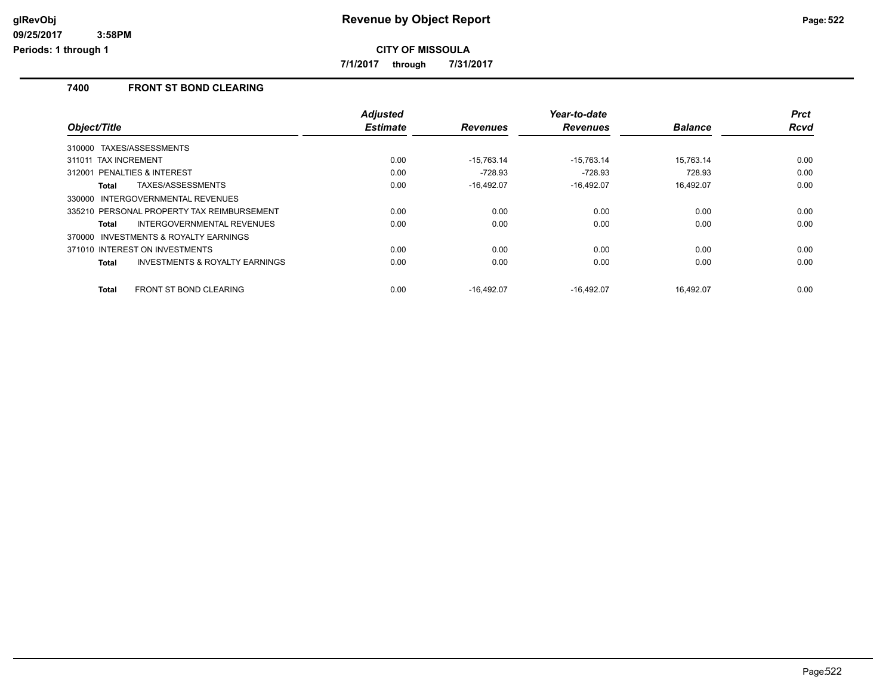**CITY OF MISSOULA**

**7/1/2017 through 7/31/2017**

### **7400 FRONT ST BOND CLEARING**

 **3:58PM**

|                                                           | <b>Adjusted</b> |                 | Year-to-date    |                | <b>Prct</b> |
|-----------------------------------------------------------|-----------------|-----------------|-----------------|----------------|-------------|
| Object/Title                                              | <b>Estimate</b> | <b>Revenues</b> | <b>Revenues</b> | <b>Balance</b> | <b>Rcvd</b> |
| TAXES/ASSESSMENTS<br>310000                               |                 |                 |                 |                |             |
| 311011 TAX INCREMENT                                      | 0.00            | $-15.763.14$    | $-15.763.14$    | 15.763.14      | 0.00        |
| 312001 PENALTIES & INTEREST                               | 0.00            | $-728.93$       | $-728.93$       | 728.93         | 0.00        |
| TAXES/ASSESSMENTS<br>Total                                | 0.00            | $-16,492.07$    | $-16,492.07$    | 16.492.07      | 0.00        |
| <b>INTERGOVERNMENTAL REVENUES</b><br>330000               |                 |                 |                 |                |             |
| 335210 PERSONAL PROPERTY TAX REIMBURSEMENT                | 0.00            | 0.00            | 0.00            | 0.00           | 0.00        |
| <b>INTERGOVERNMENTAL REVENUES</b><br>Total                | 0.00            | 0.00            | 0.00            | 0.00           | 0.00        |
| INVESTMENTS & ROYALTY EARNINGS<br>370000                  |                 |                 |                 |                |             |
| 371010 INTEREST ON INVESTMENTS                            | 0.00            | 0.00            | 0.00            | 0.00           | 0.00        |
| <b>INVESTMENTS &amp; ROYALTY EARNINGS</b><br><b>Total</b> | 0.00            | 0.00            | 0.00            | 0.00           | 0.00        |
| <b>FRONT ST BOND CLEARING</b><br><b>Total</b>             | 0.00            | $-16.492.07$    | $-16.492.07$    | 16.492.07      | 0.00        |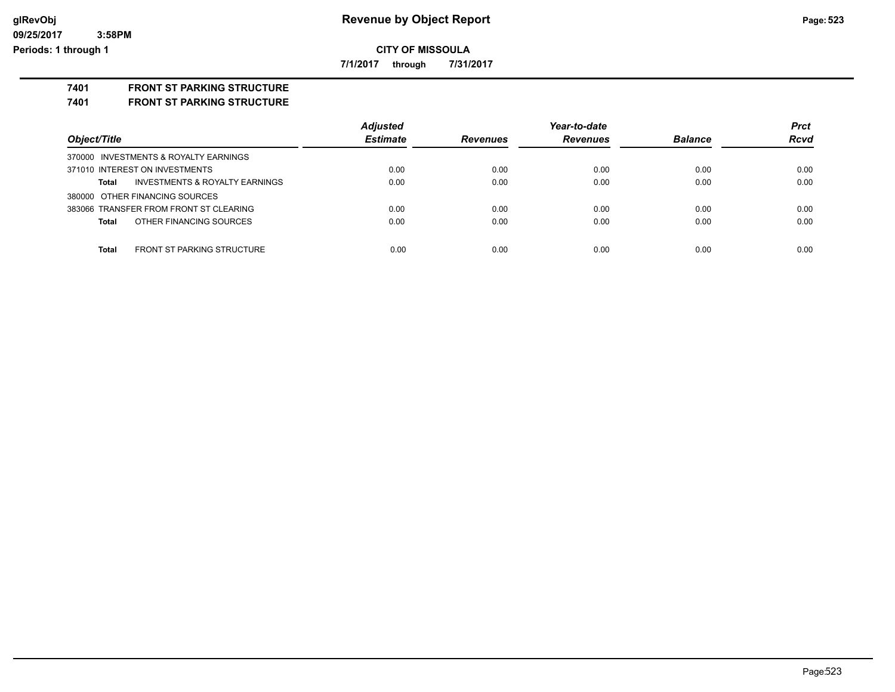**7/1/2017 through 7/31/2017**

# **7401 FRONT ST PARKING STRUCTURE**

**7401 FRONT ST PARKING STRUCTURE**

|                                                   | <b>Adjusted</b> |                 | Year-to-date    |                | <b>Prct</b> |
|---------------------------------------------------|-----------------|-----------------|-----------------|----------------|-------------|
| Object/Title                                      | <b>Estimate</b> | <b>Revenues</b> | <b>Revenues</b> | <b>Balance</b> | <b>Rcvd</b> |
| 370000 INVESTMENTS & ROYALTY EARNINGS             |                 |                 |                 |                |             |
| 371010 INTEREST ON INVESTMENTS                    | 0.00            | 0.00            | 0.00            | 0.00           | 0.00        |
| INVESTMENTS & ROYALTY EARNINGS<br><b>Total</b>    | 0.00            | 0.00            | 0.00            | 0.00           | 0.00        |
| 380000 OTHER FINANCING SOURCES                    |                 |                 |                 |                |             |
| 383066 TRANSFER FROM FRONT ST CLEARING            | 0.00            | 0.00            | 0.00            | 0.00           | 0.00        |
| OTHER FINANCING SOURCES<br><b>Total</b>           | 0.00            | 0.00            | 0.00            | 0.00           | 0.00        |
|                                                   |                 |                 |                 |                |             |
| <b>FRONT ST PARKING STRUCTURE</b><br><b>Total</b> | 0.00            | 0.00            | 0.00            | 0.00           | 0.00        |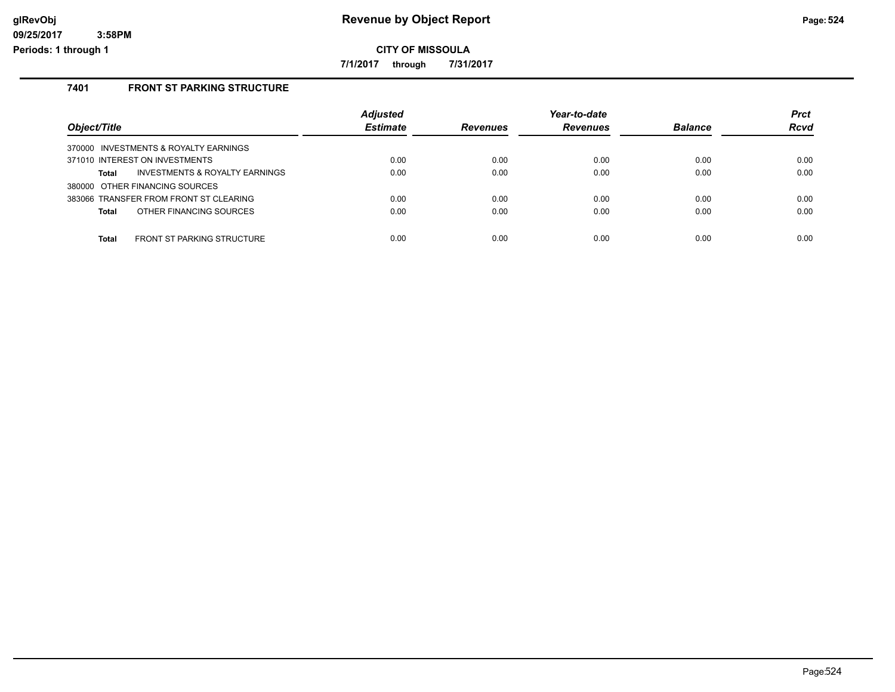**CITY OF MISSOULA**

**7/1/2017 through 7/31/2017**

### **7401 FRONT ST PARKING STRUCTURE**

| Object/Title                                       | <b>Adjusted</b><br><b>Estimate</b> | <b>Revenues</b> | Year-to-date<br><b>Revenues</b> | <b>Balance</b> | <b>Prct</b><br><b>Rcvd</b> |
|----------------------------------------------------|------------------------------------|-----------------|---------------------------------|----------------|----------------------------|
| 370000 INVESTMENTS & ROYALTY EARNINGS              |                                    |                 |                                 |                |                            |
| 371010 INTEREST ON INVESTMENTS                     | 0.00                               | 0.00            | 0.00                            | 0.00           | 0.00                       |
| <b>INVESTMENTS &amp; ROYALTY EARNINGS</b><br>Total | 0.00                               | 0.00            | 0.00                            | 0.00           | 0.00                       |
| 380000 OTHER FINANCING SOURCES                     |                                    |                 |                                 |                |                            |
| 383066 TRANSFER FROM FRONT ST CLEARING             | 0.00                               | 0.00            | 0.00                            | 0.00           | 0.00                       |
| OTHER FINANCING SOURCES<br>Total                   | 0.00                               | 0.00            | 0.00                            | 0.00           | 0.00                       |
|                                                    |                                    |                 |                                 |                |                            |
| <b>FRONT ST PARKING STRUCTURE</b><br><b>Total</b>  | 0.00                               | 0.00            | 0.00                            | 0.00           | 0.00                       |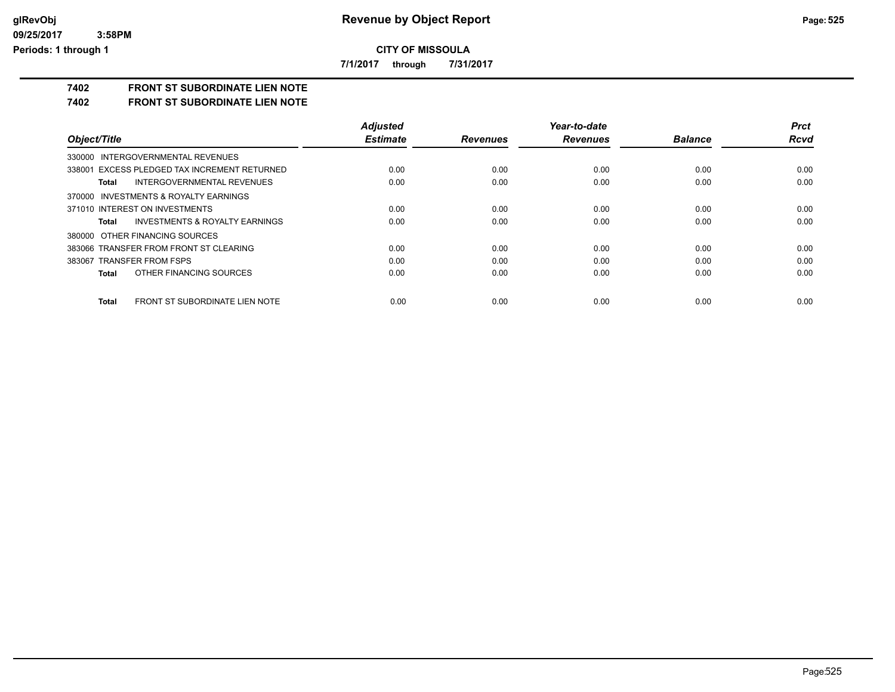**7/1/2017 through 7/31/2017**

# **7402 FRONT ST SUBORDINATE LIEN NOTE**

**7402 FRONT ST SUBORDINATE LIEN NOTE**

|                                                    | <b>Adjusted</b> |                 | Year-to-date    |                | <b>Prct</b> |
|----------------------------------------------------|-----------------|-----------------|-----------------|----------------|-------------|
| Object/Title                                       | <b>Estimate</b> | <b>Revenues</b> | <b>Revenues</b> | <b>Balance</b> | Rcvd        |
| 330000 INTERGOVERNMENTAL REVENUES                  |                 |                 |                 |                |             |
| 338001 EXCESS PLEDGED TAX INCREMENT RETURNED       | 0.00            | 0.00            | 0.00            | 0.00           | 0.00        |
| <b>INTERGOVERNMENTAL REVENUES</b><br>Total         | 0.00            | 0.00            | 0.00            | 0.00           | 0.00        |
| 370000 INVESTMENTS & ROYALTY EARNINGS              |                 |                 |                 |                |             |
| 371010 INTEREST ON INVESTMENTS                     | 0.00            | 0.00            | 0.00            | 0.00           | 0.00        |
| <b>INVESTMENTS &amp; ROYALTY EARNINGS</b><br>Total | 0.00            | 0.00            | 0.00            | 0.00           | 0.00        |
| 380000 OTHER FINANCING SOURCES                     |                 |                 |                 |                |             |
| 383066 TRANSFER FROM FRONT ST CLEARING             | 0.00            | 0.00            | 0.00            | 0.00           | 0.00        |
| 383067 TRANSFER FROM FSPS                          | 0.00            | 0.00            | 0.00            | 0.00           | 0.00        |
| OTHER FINANCING SOURCES<br>Total                   | 0.00            | 0.00            | 0.00            | 0.00           | 0.00        |
| FRONT ST SUBORDINATE LIEN NOTE<br><b>Total</b>     | 0.00            | 0.00            | 0.00            | 0.00           | 0.00        |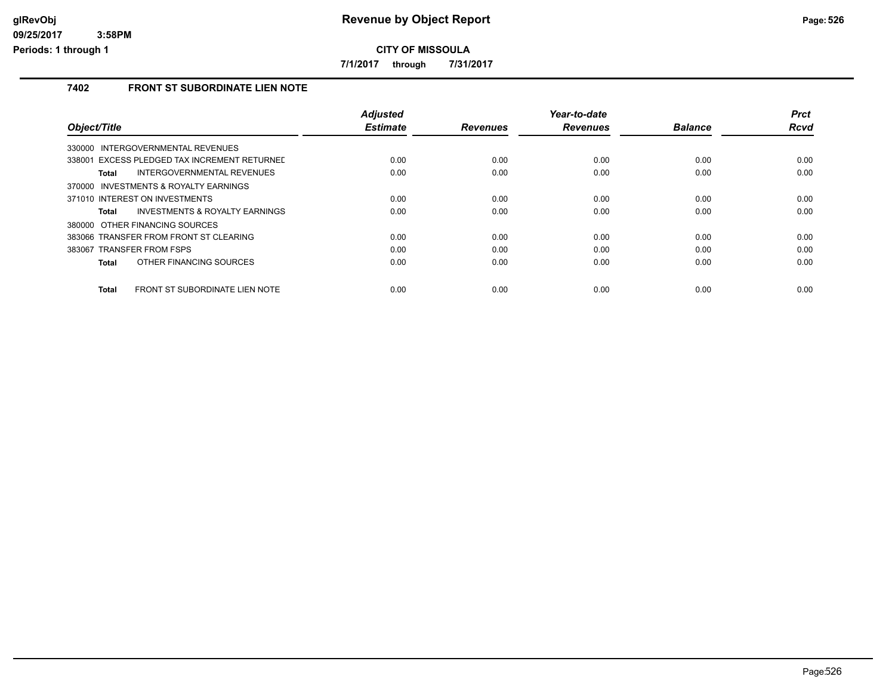**7/1/2017 through 7/31/2017**

### **7402 FRONT ST SUBORDINATE LIEN NOTE**

| Object/Title                                   | <b>Adjusted</b><br><b>Estimate</b> | <b>Revenues</b> | Year-to-date<br><b>Revenues</b> | <b>Balance</b> | <b>Prct</b><br>Rcvd |
|------------------------------------------------|------------------------------------|-----------------|---------------------------------|----------------|---------------------|
|                                                |                                    |                 |                                 |                |                     |
| INTERGOVERNMENTAL REVENUES<br>330000           |                                    |                 |                                 |                |                     |
| 338001 EXCESS PLEDGED TAX INCREMENT RETURNED   | 0.00                               | 0.00            | 0.00                            | 0.00           | 0.00                |
| INTERGOVERNMENTAL REVENUES<br>Total            | 0.00                               | 0.00            | 0.00                            | 0.00           | 0.00                |
| 370000 INVESTMENTS & ROYALTY EARNINGS          |                                    |                 |                                 |                |                     |
| 371010 INTEREST ON INVESTMENTS                 | 0.00                               | 0.00            | 0.00                            | 0.00           | 0.00                |
| INVESTMENTS & ROYALTY EARNINGS<br>Total        | 0.00                               | 0.00            | 0.00                            | 0.00           | 0.00                |
| 380000 OTHER FINANCING SOURCES                 |                                    |                 |                                 |                |                     |
| 383066 TRANSFER FROM FRONT ST CLEARING         | 0.00                               | 0.00            | 0.00                            | 0.00           | 0.00                |
| 383067 TRANSFER FROM FSPS                      | 0.00                               | 0.00            | 0.00                            | 0.00           | 0.00                |
| OTHER FINANCING SOURCES<br>Total               | 0.00                               | 0.00            | 0.00                            | 0.00           | 0.00                |
| FRONT ST SUBORDINATE LIEN NOTE<br><b>Total</b> | 0.00                               | 0.00            | 0.00                            | 0.00           | 0.00                |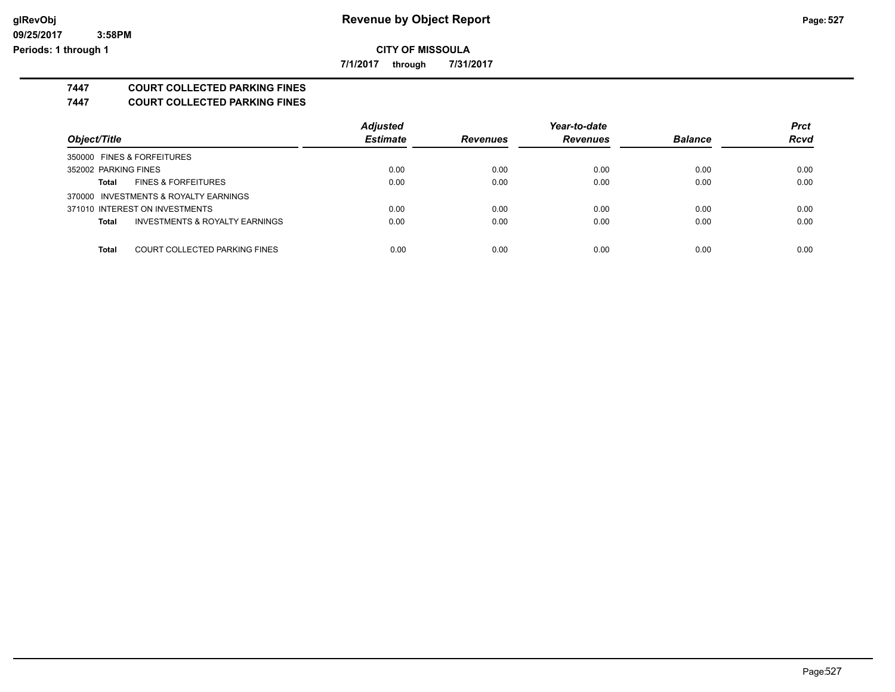**7/1/2017 through 7/31/2017**

# **7447 COURT COLLECTED PARKING FINES**

## **7447 COURT COLLECTED PARKING FINES**

|                                         | <b>Adjusted</b> |                 | Year-to-date    |                | <b>Prct</b> |
|-----------------------------------------|-----------------|-----------------|-----------------|----------------|-------------|
| Object/Title                            | <b>Estimate</b> | <b>Revenues</b> | <b>Revenues</b> | <b>Balance</b> | <b>Rcvd</b> |
| 350000 FINES & FORFEITURES              |                 |                 |                 |                |             |
| 352002 PARKING FINES                    | 0.00            | 0.00            | 0.00            | 0.00           | 0.00        |
| <b>FINES &amp; FORFEITURES</b><br>Total | 0.00            | 0.00            | 0.00            | 0.00           | 0.00        |
| 370000 INVESTMENTS & ROYALTY EARNINGS   |                 |                 |                 |                |             |
| 371010 INTEREST ON INVESTMENTS          | 0.00            | 0.00            | 0.00            | 0.00           | 0.00        |
| INVESTMENTS & ROYALTY EARNINGS<br>Total | 0.00            | 0.00            | 0.00            | 0.00           | 0.00        |
|                                         |                 |                 |                 |                |             |
| COURT COLLECTED PARKING FINES<br>Total  | 0.00            | 0.00            | 0.00            | 0.00           | 0.00        |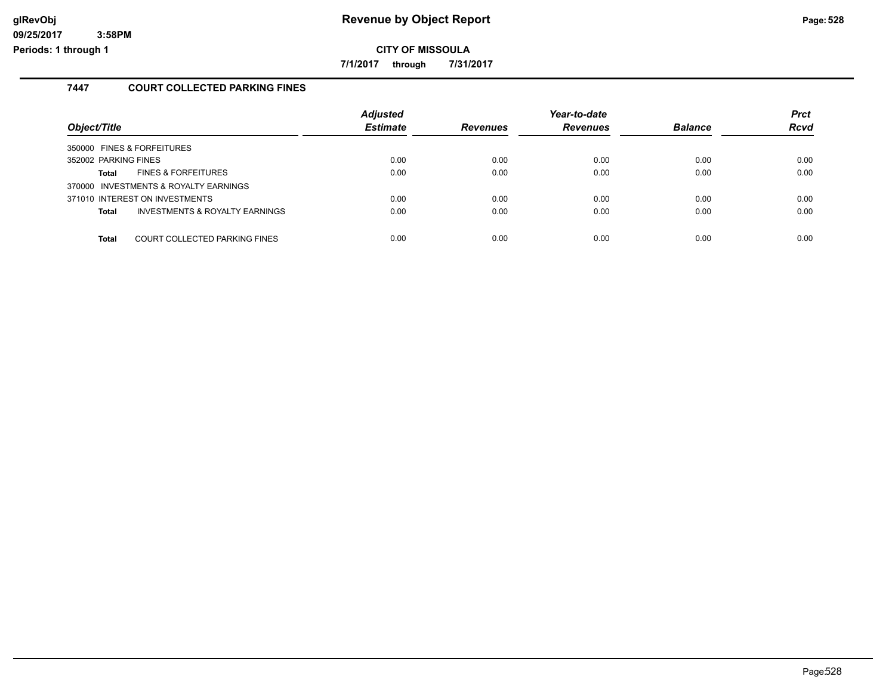**CITY OF MISSOULA**

**7/1/2017 through 7/31/2017**

### **7447 COURT COLLECTED PARKING FINES**

| Object/Title                                         | <b>Adjusted</b><br><b>Estimate</b> | <b>Revenues</b> | Year-to-date<br><b>Revenues</b> | <b>Balance</b> | <b>Prct</b><br><b>Rcvd</b> |
|------------------------------------------------------|------------------------------------|-----------------|---------------------------------|----------------|----------------------------|
| 350000 FINES & FORFEITURES                           |                                    |                 |                                 |                |                            |
| 352002 PARKING FINES                                 | 0.00                               | 0.00            | 0.00                            | 0.00           | 0.00                       |
| <b>FINES &amp; FORFEITURES</b><br>Total              | 0.00                               | 0.00            | 0.00                            | 0.00           | 0.00                       |
| 370000 INVESTMENTS & ROYALTY EARNINGS                |                                    |                 |                                 |                |                            |
| 371010 INTEREST ON INVESTMENTS                       | 0.00                               | 0.00            | 0.00                            | 0.00           | 0.00                       |
| INVESTMENTS & ROYALTY EARNINGS<br><b>Total</b>       | 0.00                               | 0.00            | 0.00                            | 0.00           | 0.00                       |
|                                                      |                                    |                 |                                 |                |                            |
| <b>COURT COLLECTED PARKING FINES</b><br><b>Total</b> | 0.00                               | 0.00            | 0.00                            | 0.00           | 0.00                       |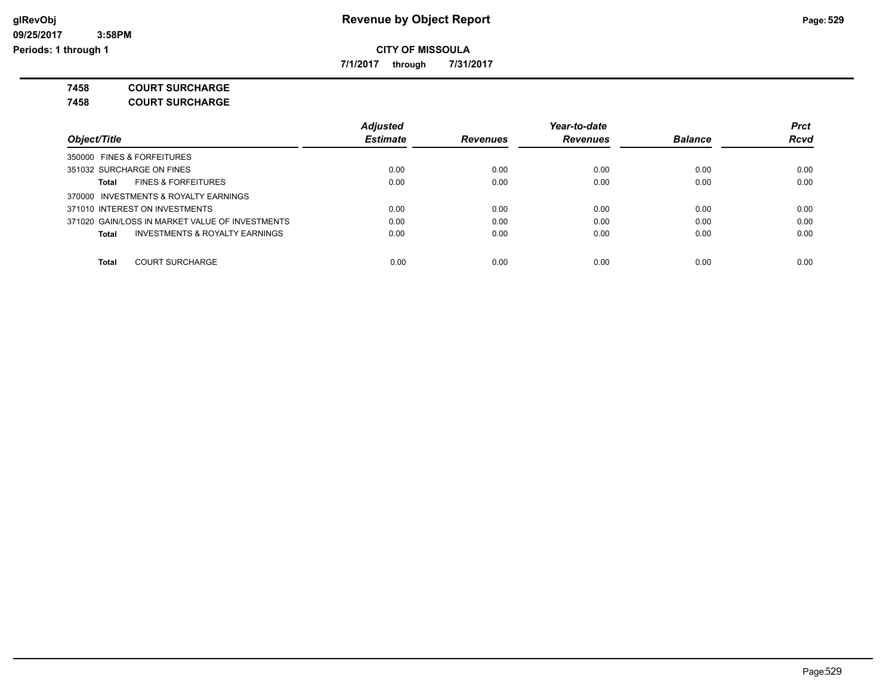**7/1/2017 through 7/31/2017**

**7458 COURT SURCHARGE**

**7458 COURT SURCHARGE**

|                                                 | <b>Adjusted</b> |                 | Year-to-date    |                | <b>Prct</b> |
|-------------------------------------------------|-----------------|-----------------|-----------------|----------------|-------------|
| Object/Title                                    | <b>Estimate</b> | <b>Revenues</b> | <b>Revenues</b> | <b>Balance</b> | Rcvd        |
| 350000 FINES & FORFEITURES                      |                 |                 |                 |                |             |
| 351032 SURCHARGE ON FINES                       | 0.00            | 0.00            | 0.00            | 0.00           | 0.00        |
| <b>FINES &amp; FORFEITURES</b><br>Total         | 0.00            | 0.00            | 0.00            | 0.00           | 0.00        |
| 370000 INVESTMENTS & ROYALTY EARNINGS           |                 |                 |                 |                |             |
| 371010 INTEREST ON INVESTMENTS                  | 0.00            | 0.00            | 0.00            | 0.00           | 0.00        |
| 371020 GAIN/LOSS IN MARKET VALUE OF INVESTMENTS | 0.00            | 0.00            | 0.00            | 0.00           | 0.00        |
| INVESTMENTS & ROYALTY EARNINGS<br>Total         | 0.00            | 0.00            | 0.00            | 0.00           | 0.00        |
|                                                 |                 |                 |                 |                |             |
| <b>COURT SURCHARGE</b><br>Total                 | 0.00            | 0.00            | 0.00            | 0.00           | 0.00        |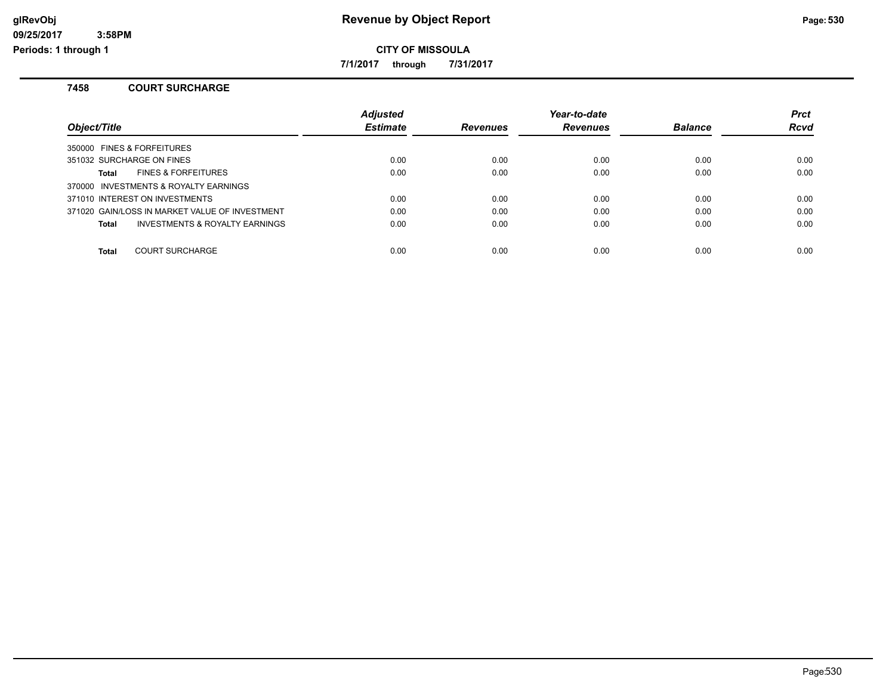**CITY OF MISSOULA**

**7/1/2017 through 7/31/2017**

#### **7458 COURT SURCHARGE**

 **3:58PM**

| Object/Title                                   | <b>Adjusted</b><br><b>Estimate</b> | <b>Revenues</b> | Year-to-date<br><b>Revenues</b> | <b>Balance</b> | <b>Prct</b><br><b>Rcvd</b> |
|------------------------------------------------|------------------------------------|-----------------|---------------------------------|----------------|----------------------------|
| 350000 FINES & FORFEITURES                     |                                    |                 |                                 |                |                            |
| 351032 SURCHARGE ON FINES                      | 0.00                               | 0.00            | 0.00                            | 0.00           | 0.00                       |
| <b>FINES &amp; FORFEITURES</b><br>Total        | 0.00                               | 0.00            | 0.00                            | 0.00           | 0.00                       |
| 370000 INVESTMENTS & ROYALTY EARNINGS          |                                    |                 |                                 |                |                            |
| 371010 INTEREST ON INVESTMENTS                 | 0.00                               | 0.00            | 0.00                            | 0.00           | 0.00                       |
| 371020 GAIN/LOSS IN MARKET VALUE OF INVESTMENT | 0.00                               | 0.00            | 0.00                            | 0.00           | 0.00                       |
| INVESTMENTS & ROYALTY EARNINGS<br>Total        | 0.00                               | 0.00            | 0.00                            | 0.00           | 0.00                       |
|                                                |                                    |                 |                                 |                |                            |
| <b>Total</b><br><b>COURT SURCHARGE</b>         | 0.00                               | 0.00            | 0.00                            | 0.00           | 0.00                       |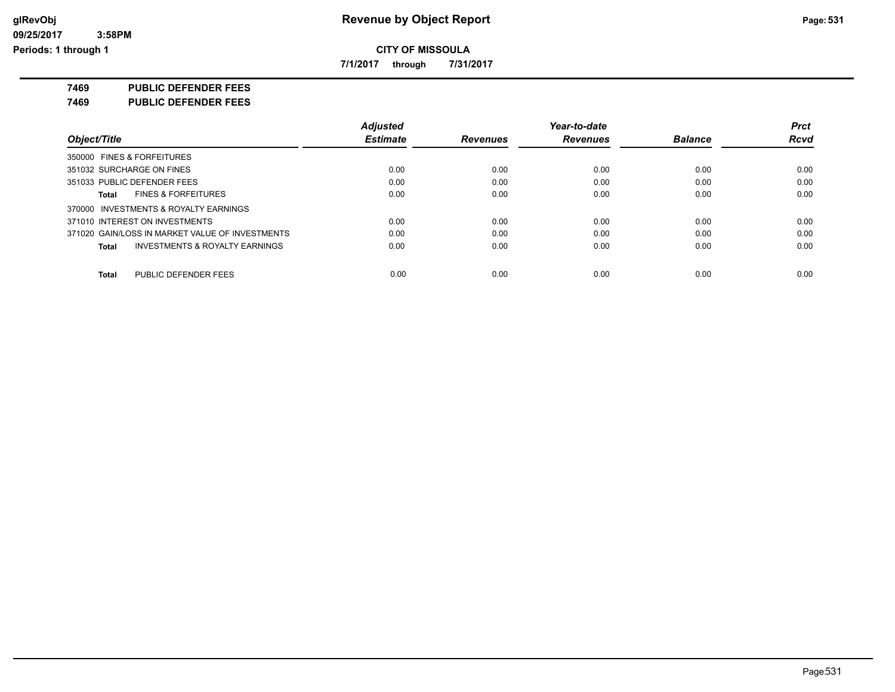**7/1/2017 through 7/31/2017**

**7469 PUBLIC DEFENDER FEES**

**7469 PUBLIC DEFENDER FEES**

|                                                    | <b>Adjusted</b> |                 | Year-to-date    |                | <b>Prct</b> |
|----------------------------------------------------|-----------------|-----------------|-----------------|----------------|-------------|
| Object/Title                                       | <b>Estimate</b> | <b>Revenues</b> | <b>Revenues</b> | <b>Balance</b> | <b>Rcvd</b> |
| 350000 FINES & FORFEITURES                         |                 |                 |                 |                |             |
| 351032 SURCHARGE ON FINES                          | 0.00            | 0.00            | 0.00            | 0.00           | 0.00        |
| 351033 PUBLIC DEFENDER FEES                        | 0.00            | 0.00            | 0.00            | 0.00           | 0.00        |
| <b>FINES &amp; FORFEITURES</b><br>Total            | 0.00            | 0.00            | 0.00            | 0.00           | 0.00        |
| 370000 INVESTMENTS & ROYALTY EARNINGS              |                 |                 |                 |                |             |
| 371010 INTEREST ON INVESTMENTS                     | 0.00            | 0.00            | 0.00            | 0.00           | 0.00        |
| 371020 GAIN/LOSS IN MARKET VALUE OF INVESTMENTS    | 0.00            | 0.00            | 0.00            | 0.00           | 0.00        |
| <b>INVESTMENTS &amp; ROYALTY EARNINGS</b><br>Total | 0.00            | 0.00            | 0.00            | 0.00           | 0.00        |
| PUBLIC DEFENDER FEES<br><b>Total</b>               | 0.00            | 0.00            | 0.00            | 0.00           | 0.00        |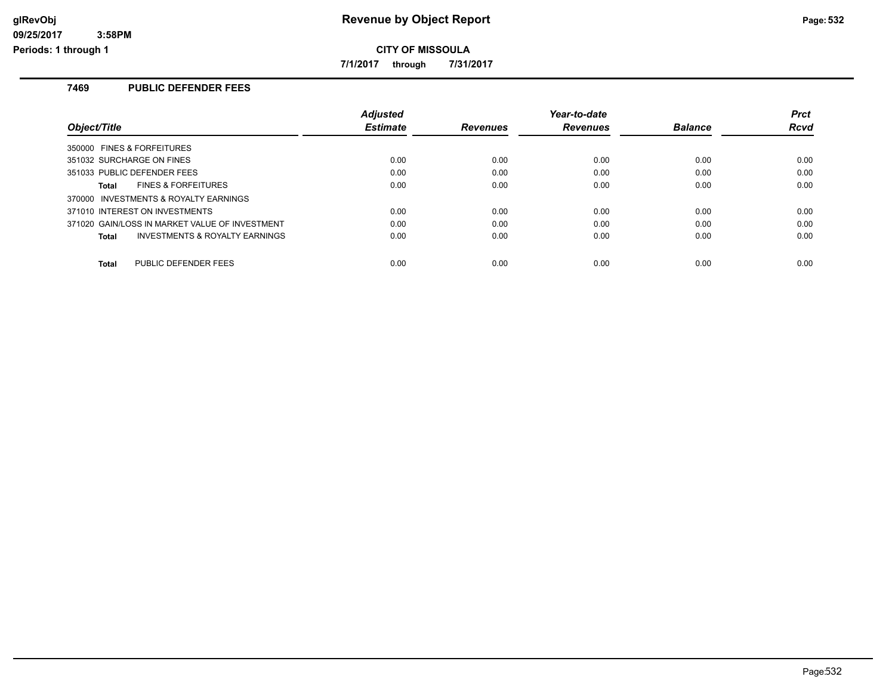**CITY OF MISSOULA**

**7/1/2017 through 7/31/2017**

### **7469 PUBLIC DEFENDER FEES**

 **3:58PM**

|                                                | <b>Adjusted</b> |                 | Year-to-date    |                | <b>Prct</b> |
|------------------------------------------------|-----------------|-----------------|-----------------|----------------|-------------|
| Object/Title                                   | <b>Estimate</b> | <b>Revenues</b> | <b>Revenues</b> | <b>Balance</b> | Rcvd        |
| 350000 FINES & FORFEITURES                     |                 |                 |                 |                |             |
| 351032 SURCHARGE ON FINES                      | 0.00            | 0.00            | 0.00            | 0.00           | 0.00        |
| 351033 PUBLIC DEFENDER FEES                    | 0.00            | 0.00            | 0.00            | 0.00           | 0.00        |
| <b>FINES &amp; FORFEITURES</b><br>Total        | 0.00            | 0.00            | 0.00            | 0.00           | 0.00        |
| 370000 INVESTMENTS & ROYALTY EARNINGS          |                 |                 |                 |                |             |
| 371010 INTEREST ON INVESTMENTS                 | 0.00            | 0.00            | 0.00            | 0.00           | 0.00        |
| 371020 GAIN/LOSS IN MARKET VALUE OF INVESTMENT | 0.00            | 0.00            | 0.00            | 0.00           | 0.00        |
| INVESTMENTS & ROYALTY EARNINGS<br>Total        | 0.00            | 0.00            | 0.00            | 0.00           | 0.00        |
| PUBLIC DEFENDER FEES<br><b>Total</b>           | 0.00            | 0.00            | 0.00            | 0.00           | 0.00        |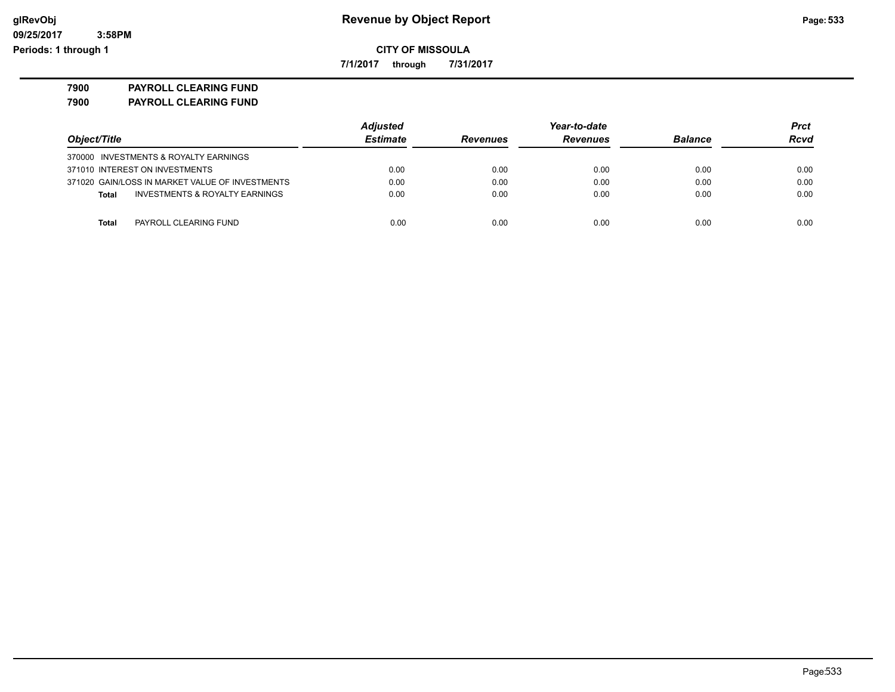**7/1/2017 through 7/31/2017**

## **7900 PAYROLL CLEARING FUND**

**7900 PAYROLL CLEARING FUND**

|                                                           | <b>Adjusted</b> |                 | Year-to-date    |                | Prct |
|-----------------------------------------------------------|-----------------|-----------------|-----------------|----------------|------|
| Object/Title                                              | <b>Estimate</b> | <b>Revenues</b> | <b>Revenues</b> | <b>Balance</b> | Rcvd |
| 370000 INVESTMENTS & ROYALTY EARNINGS                     |                 |                 |                 |                |      |
| 371010 INTEREST ON INVESTMENTS                            | 0.00            | 0.00            | 0.00            | 0.00           | 0.00 |
| 371020 GAIN/LOSS IN MARKET VALUE OF INVESTMENTS           | 0.00            | 0.00            | 0.00            | 0.00           | 0.00 |
| <b>INVESTMENTS &amp; ROYALTY EARNINGS</b><br><b>Total</b> | 0.00            | 0.00            | 0.00            | 0.00           | 0.00 |
|                                                           |                 |                 |                 |                |      |
| <b>Total</b><br>PAYROLL CLEARING FUND                     | 0.00            | 0.00            | 0.00            | 0.00           | 0.00 |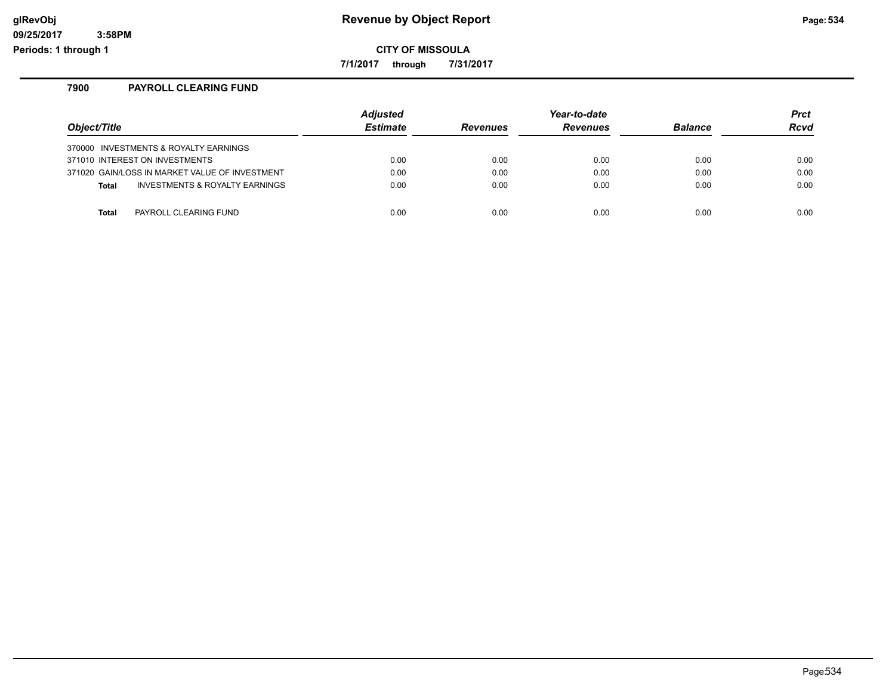**CITY OF MISSOULA**

**7/1/2017 through 7/31/2017**

#### **7900 PAYROLL CLEARING FUND**

 **3:58PM**

| Object/Title                                       | <b>Adjusted</b><br><b>Estimate</b> | <b>Revenues</b> | Year-to-date<br><b>Revenues</b> | <b>Balance</b> | <b>Prct</b><br><b>Rcvd</b> |
|----------------------------------------------------|------------------------------------|-----------------|---------------------------------|----------------|----------------------------|
| 370000 INVESTMENTS & ROYALTY EARNINGS              |                                    |                 |                                 |                |                            |
| 371010 INTEREST ON INVESTMENTS                     | 0.00                               | 0.00            | 0.00                            | 0.00           | 0.00                       |
| 371020 GAIN/LOSS IN MARKET VALUE OF INVESTMENT     | 0.00                               | 0.00            | 0.00                            | 0.00           | 0.00                       |
| <b>INVESTMENTS &amp; ROYALTY EARNINGS</b><br>Total | 0.00                               | 0.00            | 0.00                            | 0.00           | 0.00                       |
|                                                    |                                    |                 |                                 |                |                            |
| PAYROLL CLEARING FUND<br>Total                     | 0.00                               | 0.00            | 0.00                            | 0.00           | 0.00                       |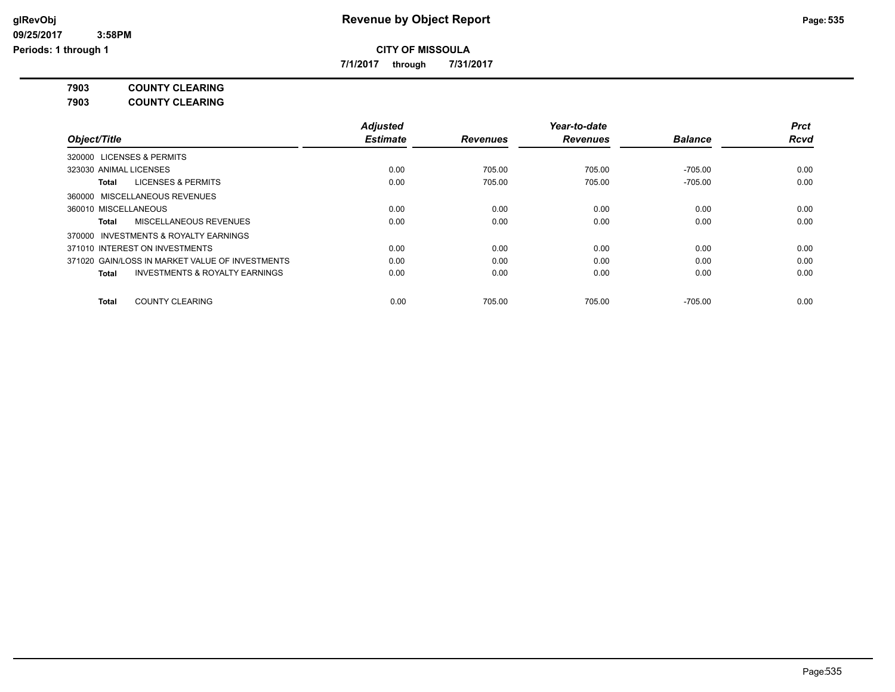**7/1/2017 through 7/31/2017**

**7903 COUNTY CLEARING**

**7903 COUNTY CLEARING**

|                                                    | <b>Adjusted</b> |                 | Year-to-date    |                | <b>Prct</b> |
|----------------------------------------------------|-----------------|-----------------|-----------------|----------------|-------------|
| Object/Title                                       | <b>Estimate</b> | <b>Revenues</b> | <b>Revenues</b> | <b>Balance</b> | <b>Rcvd</b> |
| <b>LICENSES &amp; PERMITS</b><br>320000            |                 |                 |                 |                |             |
| 323030 ANIMAL LICENSES                             | 0.00            | 705.00          | 705.00          | $-705.00$      | 0.00        |
| <b>LICENSES &amp; PERMITS</b><br>Total             | 0.00            | 705.00          | 705.00          | $-705.00$      | 0.00        |
| 360000 MISCELLANEOUS REVENUES                      |                 |                 |                 |                |             |
| 360010 MISCELLANEOUS                               | 0.00            | 0.00            | 0.00            | 0.00           | 0.00        |
| MISCELLANEOUS REVENUES<br>Total                    | 0.00            | 0.00            | 0.00            | 0.00           | 0.00        |
| INVESTMENTS & ROYALTY EARNINGS<br>370000           |                 |                 |                 |                |             |
| 371010 INTEREST ON INVESTMENTS                     | 0.00            | 0.00            | 0.00            | 0.00           | 0.00        |
| 371020 GAIN/LOSS IN MARKET VALUE OF INVESTMENTS    | 0.00            | 0.00            | 0.00            | 0.00           | 0.00        |
| <b>INVESTMENTS &amp; ROYALTY EARNINGS</b><br>Total | 0.00            | 0.00            | 0.00            | 0.00           | 0.00        |
| <b>COUNTY CLEARING</b><br><b>Total</b>             | 0.00            | 705.00          | 705.00          | $-705.00$      | 0.00        |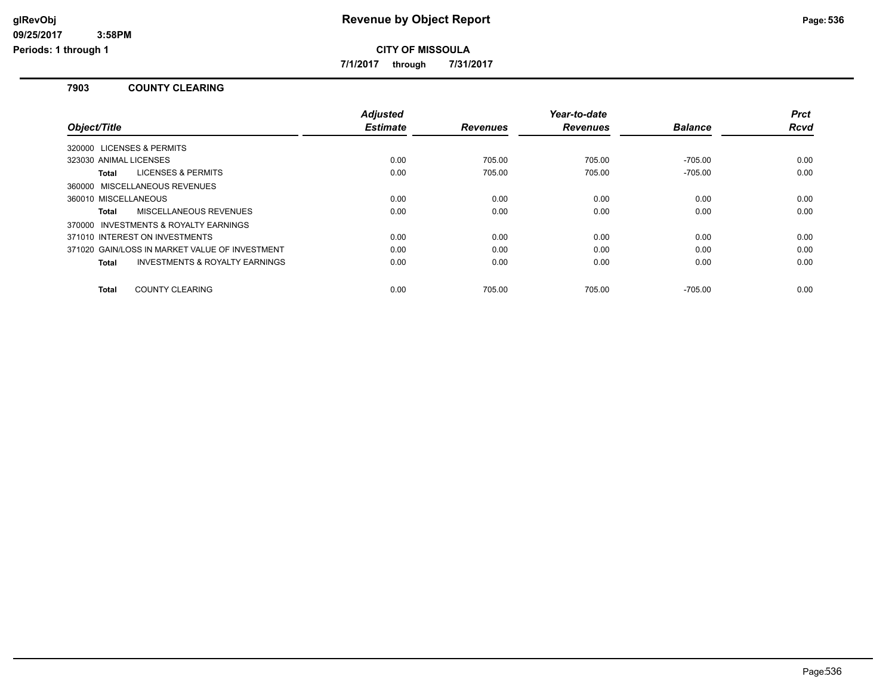**CITY OF MISSOULA**

**7/1/2017 through 7/31/2017**

#### **7903 COUNTY CLEARING**

 **3:58PM**

|                                                           | <b>Adjusted</b> |                 | Year-to-date    |                | <b>Prct</b> |
|-----------------------------------------------------------|-----------------|-----------------|-----------------|----------------|-------------|
| Object/Title                                              | <b>Estimate</b> | <b>Revenues</b> | <b>Revenues</b> | <b>Balance</b> | <b>Rcvd</b> |
| 320000 LICENSES & PERMITS                                 |                 |                 |                 |                |             |
| 323030 ANIMAL LICENSES                                    | 0.00            | 705.00          | 705.00          | $-705.00$      | 0.00        |
| LICENSES & PERMITS<br>Total                               | 0.00            | 705.00          | 705.00          | $-705.00$      | 0.00        |
| 360000 MISCELLANEOUS REVENUES                             |                 |                 |                 |                |             |
| 360010 MISCELLANEOUS                                      | 0.00            | 0.00            | 0.00            | 0.00           | 0.00        |
| MISCELLANEOUS REVENUES<br>Total                           | 0.00            | 0.00            | 0.00            | 0.00           | 0.00        |
| 370000 INVESTMENTS & ROYALTY EARNINGS                     |                 |                 |                 |                |             |
| 371010 INTEREST ON INVESTMENTS                            | 0.00            | 0.00            | 0.00            | 0.00           | 0.00        |
| 371020 GAIN/LOSS IN MARKET VALUE OF INVESTMENT            | 0.00            | 0.00            | 0.00            | 0.00           | 0.00        |
| <b>INVESTMENTS &amp; ROYALTY EARNINGS</b><br><b>Total</b> | 0.00            | 0.00            | 0.00            | 0.00           | 0.00        |
| <b>COUNTY CLEARING</b><br><b>Total</b>                    | 0.00            | 705.00          | 705.00          | $-705.00$      | 0.00        |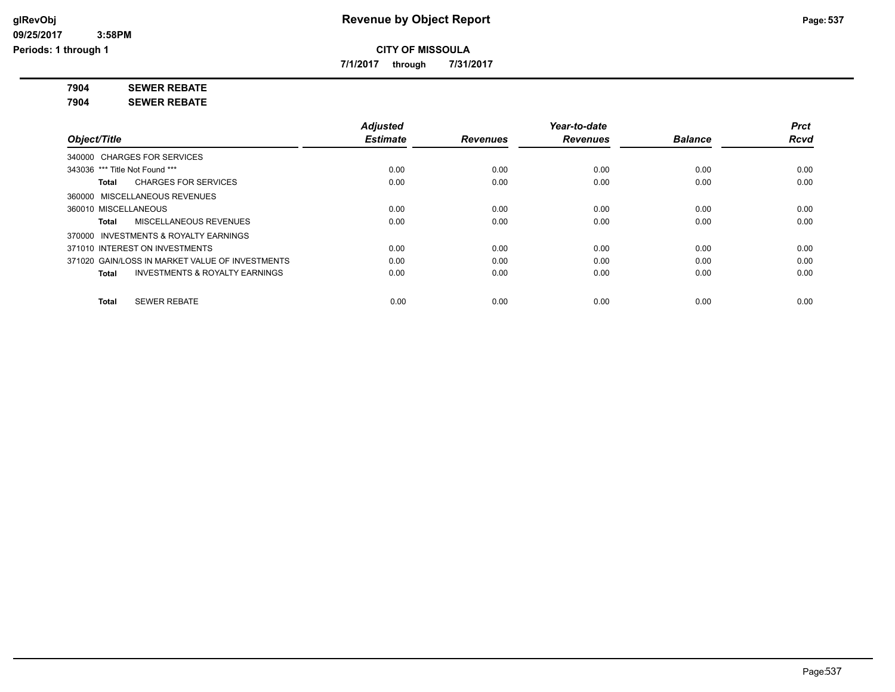**7/1/2017 through 7/31/2017**

**7904 SEWER REBATE**

**7904 SEWER REBATE**

|                                                    | <b>Adjusted</b> |                 | Year-to-date    |                | <b>Prct</b> |
|----------------------------------------------------|-----------------|-----------------|-----------------|----------------|-------------|
| Object/Title                                       | <b>Estimate</b> | <b>Revenues</b> | <b>Revenues</b> | <b>Balance</b> | Rcvd        |
| 340000 CHARGES FOR SERVICES                        |                 |                 |                 |                |             |
| 343036 *** Title Not Found ***                     | 0.00            | 0.00            | 0.00            | 0.00           | 0.00        |
| <b>CHARGES FOR SERVICES</b><br>Total               | 0.00            | 0.00            | 0.00            | 0.00           | 0.00        |
| 360000 MISCELLANEOUS REVENUES                      |                 |                 |                 |                |             |
| 360010 MISCELLANEOUS                               | 0.00            | 0.00            | 0.00            | 0.00           | 0.00        |
| MISCELLANEOUS REVENUES<br>Total                    | 0.00            | 0.00            | 0.00            | 0.00           | 0.00        |
| 370000 INVESTMENTS & ROYALTY EARNINGS              |                 |                 |                 |                |             |
| 371010 INTEREST ON INVESTMENTS                     | 0.00            | 0.00            | 0.00            | 0.00           | 0.00        |
| 371020 GAIN/LOSS IN MARKET VALUE OF INVESTMENTS    | 0.00            | 0.00            | 0.00            | 0.00           | 0.00        |
| <b>INVESTMENTS &amp; ROYALTY EARNINGS</b><br>Total | 0.00            | 0.00            | 0.00            | 0.00           | 0.00        |
| <b>SEWER REBATE</b><br><b>Total</b>                | 0.00            | 0.00            | 0.00            | 0.00           | 0.00        |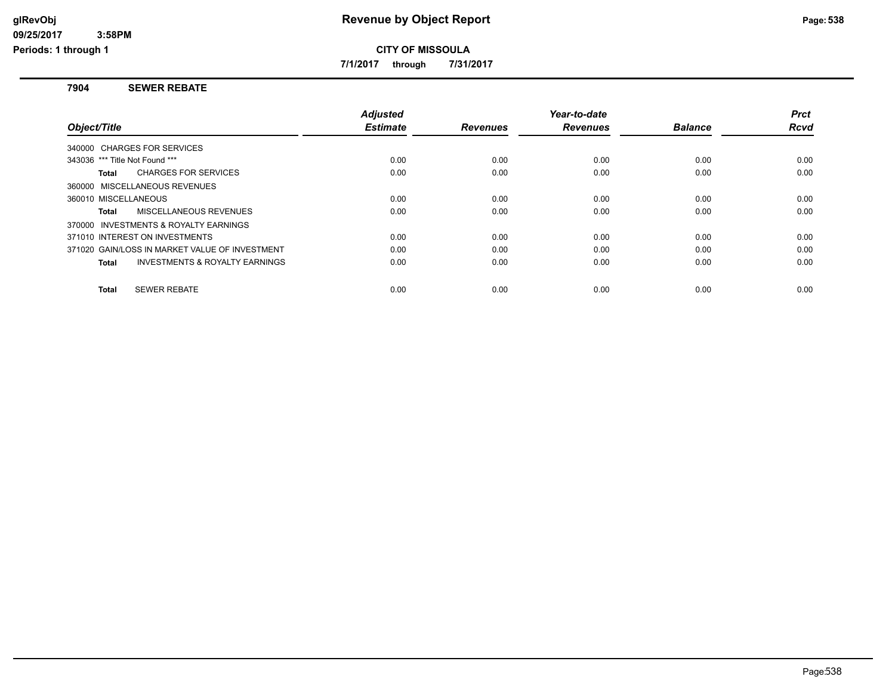**CITY OF MISSOULA**

**7/1/2017 through 7/31/2017**

#### **7904 SEWER REBATE**

 **3:58PM**

| Object/Title                                       | <b>Adjusted</b><br><b>Estimate</b> | <b>Revenues</b> | Year-to-date<br><b>Revenues</b> | <b>Balance</b> | <b>Prct</b><br><b>Rcvd</b> |
|----------------------------------------------------|------------------------------------|-----------------|---------------------------------|----------------|----------------------------|
|                                                    |                                    |                 |                                 |                |                            |
| 340000 CHARGES FOR SERVICES                        |                                    |                 |                                 |                |                            |
| 343036 *** Title Not Found ***                     | 0.00                               | 0.00            | 0.00                            | 0.00           | 0.00                       |
| <b>CHARGES FOR SERVICES</b><br>Total               | 0.00                               | 0.00            | 0.00                            | 0.00           | 0.00                       |
| 360000 MISCELLANEOUS REVENUES                      |                                    |                 |                                 |                |                            |
| 360010 MISCELLANEOUS                               | 0.00                               | 0.00            | 0.00                            | 0.00           | 0.00                       |
| <b>MISCELLANEOUS REVENUES</b><br>Total             | 0.00                               | 0.00            | 0.00                            | 0.00           | 0.00                       |
| 370000 INVESTMENTS & ROYALTY EARNINGS              |                                    |                 |                                 |                |                            |
| 371010 INTEREST ON INVESTMENTS                     | 0.00                               | 0.00            | 0.00                            | 0.00           | 0.00                       |
| 371020 GAIN/LOSS IN MARKET VALUE OF INVESTMENT     | 0.00                               | 0.00            | 0.00                            | 0.00           | 0.00                       |
| <b>INVESTMENTS &amp; ROYALTY EARNINGS</b><br>Total | 0.00                               | 0.00            | 0.00                            | 0.00           | 0.00                       |
|                                                    |                                    |                 |                                 |                |                            |
| <b>SEWER REBATE</b><br>Total                       | 0.00                               | 0.00            | 0.00                            | 0.00           | 0.00                       |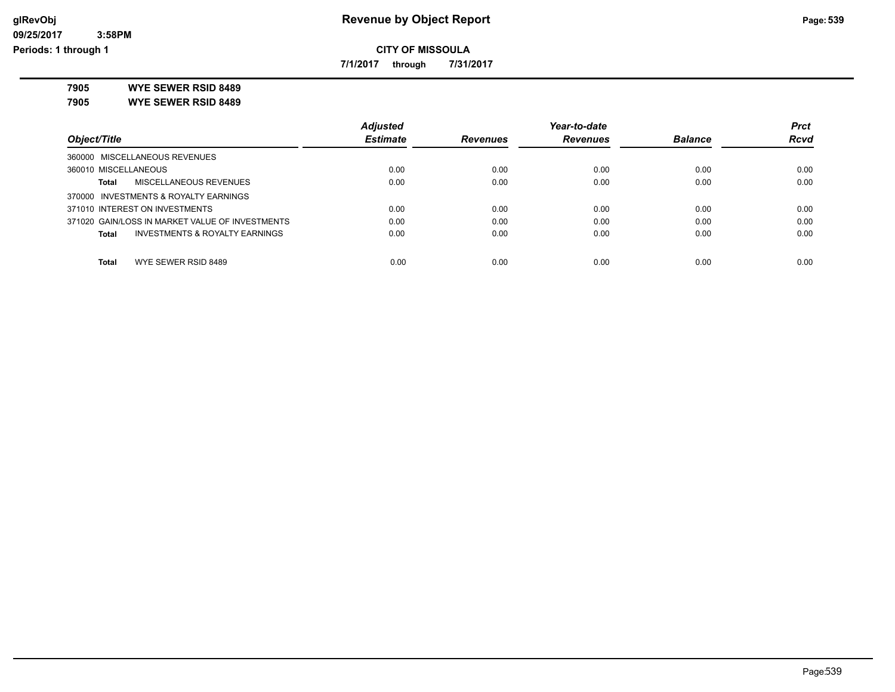**7/1/2017 through 7/31/2017**

**7905 WYE SEWER RSID 8489**

**7905 WYE SEWER RSID 8489**

|                                                 | <b>Adjusted</b> |                 | Year-to-date    |                | Prct        |
|-------------------------------------------------|-----------------|-----------------|-----------------|----------------|-------------|
| Object/Title                                    | <b>Estimate</b> | <b>Revenues</b> | <b>Revenues</b> | <b>Balance</b> | <b>Rcvd</b> |
| 360000 MISCELLANEOUS REVENUES                   |                 |                 |                 |                |             |
| 360010 MISCELLANEOUS                            | 0.00            | 0.00            | 0.00            | 0.00           | 0.00        |
| MISCELLANEOUS REVENUES<br>Total                 | 0.00            | 0.00            | 0.00            | 0.00           | 0.00        |
| 370000 INVESTMENTS & ROYALTY EARNINGS           |                 |                 |                 |                |             |
| 371010 INTEREST ON INVESTMENTS                  | 0.00            | 0.00            | 0.00            | 0.00           | 0.00        |
| 371020 GAIN/LOSS IN MARKET VALUE OF INVESTMENTS | 0.00            | 0.00            | 0.00            | 0.00           | 0.00        |
| INVESTMENTS & ROYALTY EARNINGS<br>Total         | 0.00            | 0.00            | 0.00            | 0.00           | 0.00        |
|                                                 |                 |                 |                 |                |             |
| WYE SEWER RSID 8489<br>Total                    | 0.00            | 0.00            | 0.00            | 0.00           | 0.00        |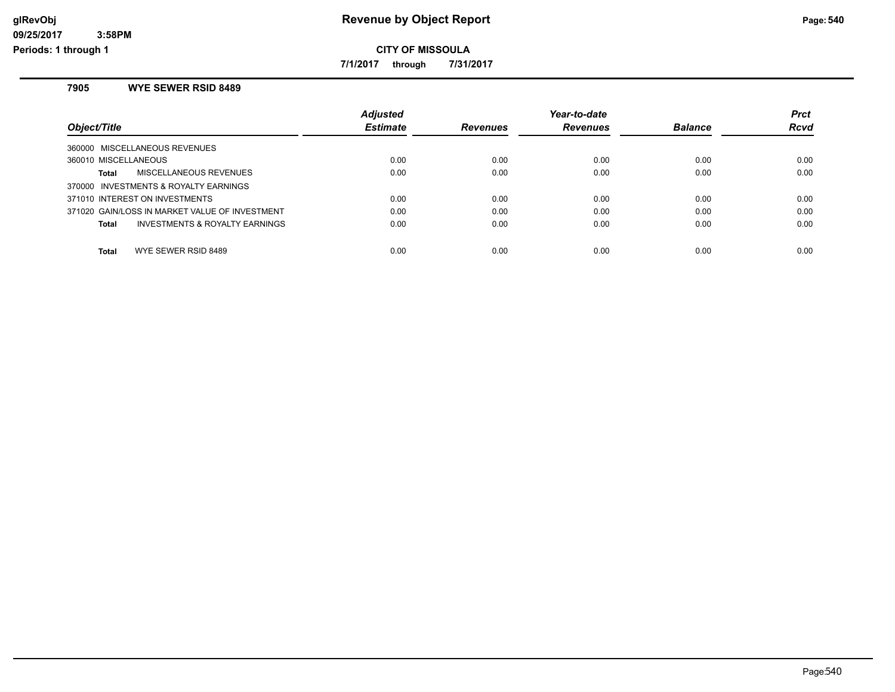**CITY OF MISSOULA**

**7/1/2017 through 7/31/2017**

#### **7905 WYE SEWER RSID 8489**

 **3:58PM**

|                                                | <b>Adjusted</b> |                 | Year-to-date    |                | <b>Prct</b> |
|------------------------------------------------|-----------------|-----------------|-----------------|----------------|-------------|
| Object/Title                                   | <b>Estimate</b> | <b>Revenues</b> | <b>Revenues</b> | <b>Balance</b> | <b>Rcvd</b> |
| MISCELLANEOUS REVENUES<br>360000               |                 |                 |                 |                |             |
| 360010 MISCELLANEOUS                           | 0.00            | 0.00            | 0.00            | 0.00           | 0.00        |
| MISCELLANEOUS REVENUES<br>Total                | 0.00            | 0.00            | 0.00            | 0.00           | 0.00        |
| 370000 INVESTMENTS & ROYALTY EARNINGS          |                 |                 |                 |                |             |
| 371010 INTEREST ON INVESTMENTS                 | 0.00            | 0.00            | 0.00            | 0.00           | 0.00        |
| 371020 GAIN/LOSS IN MARKET VALUE OF INVESTMENT | 0.00            | 0.00            | 0.00            | 0.00           | 0.00        |
| INVESTMENTS & ROYALTY EARNINGS<br><b>Total</b> | 0.00            | 0.00            | 0.00            | 0.00           | 0.00        |
|                                                |                 |                 |                 |                |             |
| Total<br>WYE SEWER RSID 8489                   | 0.00            | 0.00            | 0.00            | 0.00           | 0.00        |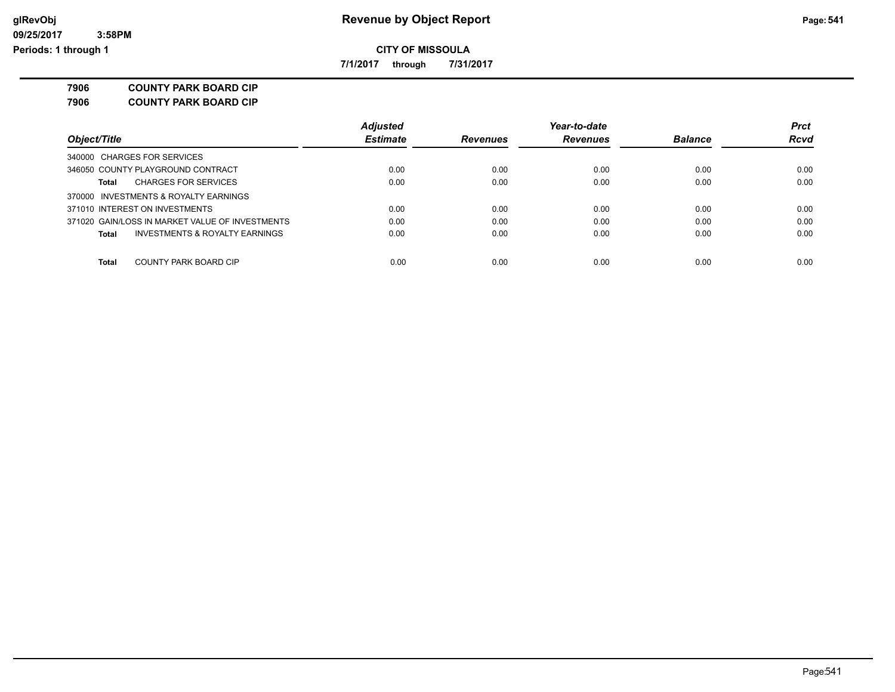**7/1/2017 through 7/31/2017**

#### **7906 COUNTY PARK BOARD CIP**

**7906 COUNTY PARK BOARD CIP**

|                                                 | <b>Adjusted</b> |                 | Year-to-date    |                | <b>Prct</b> |
|-------------------------------------------------|-----------------|-----------------|-----------------|----------------|-------------|
| Object/Title                                    | <b>Estimate</b> | <b>Revenues</b> | <b>Revenues</b> | <b>Balance</b> | <b>Rcvd</b> |
| 340000 CHARGES FOR SERVICES                     |                 |                 |                 |                |             |
| 346050 COUNTY PLAYGROUND CONTRACT               | 0.00            | 0.00            | 0.00            | 0.00           | 0.00        |
| <b>CHARGES FOR SERVICES</b><br>Total            | 0.00            | 0.00            | 0.00            | 0.00           | 0.00        |
| 370000 INVESTMENTS & ROYALTY EARNINGS           |                 |                 |                 |                |             |
| 371010 INTEREST ON INVESTMENTS                  | 0.00            | 0.00            | 0.00            | 0.00           | 0.00        |
| 371020 GAIN/LOSS IN MARKET VALUE OF INVESTMENTS | 0.00            | 0.00            | 0.00            | 0.00           | 0.00        |
| INVESTMENTS & ROYALTY EARNINGS<br>Total         | 0.00            | 0.00            | 0.00            | 0.00           | 0.00        |
|                                                 |                 |                 |                 |                |             |
| <b>COUNTY PARK BOARD CIP</b><br>Total           | 0.00            | 0.00            | 0.00            | 0.00           | 0.00        |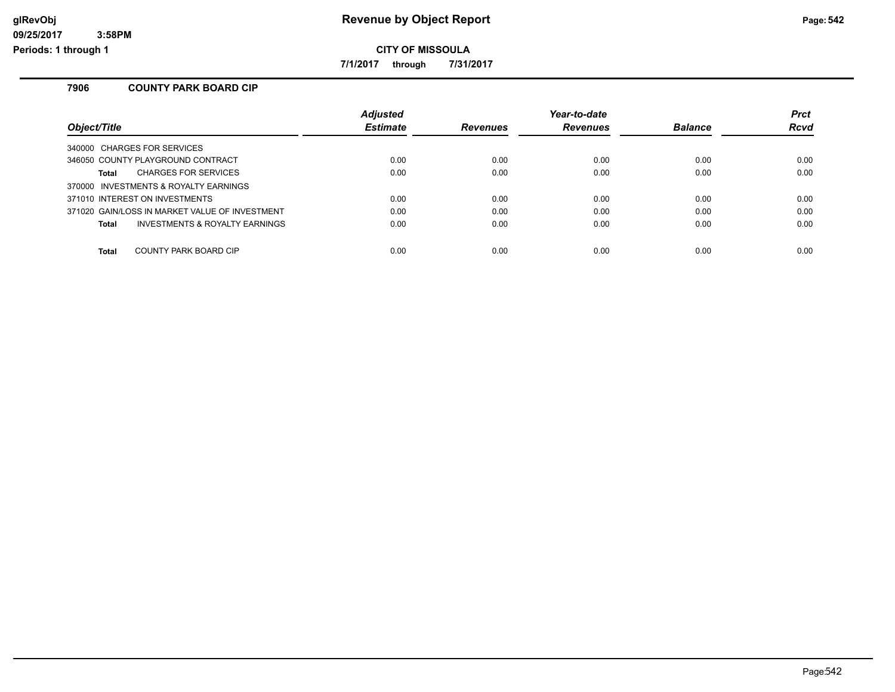**CITY OF MISSOULA**

**7/1/2017 through 7/31/2017**

#### **7906 COUNTY PARK BOARD CIP**

|                                                | <b>Adjusted</b> |                 | Year-to-date    |                | <b>Prct</b> |
|------------------------------------------------|-----------------|-----------------|-----------------|----------------|-------------|
| <b>Object/Title</b>                            | <b>Estimate</b> | <b>Revenues</b> | <b>Revenues</b> | <b>Balance</b> | <b>Rcvd</b> |
| 340000 CHARGES FOR SERVICES                    |                 |                 |                 |                |             |
| 346050 COUNTY PLAYGROUND CONTRACT              | 0.00            | 0.00            | 0.00            | 0.00           | 0.00        |
| <b>CHARGES FOR SERVICES</b><br>Total           | 0.00            | 0.00            | 0.00            | 0.00           | 0.00        |
| 370000 INVESTMENTS & ROYALTY EARNINGS          |                 |                 |                 |                |             |
| 371010 INTEREST ON INVESTMENTS                 | 0.00            | 0.00            | 0.00            | 0.00           | 0.00        |
| 371020 GAIN/LOSS IN MARKET VALUE OF INVESTMENT | 0.00            | 0.00            | 0.00            | 0.00           | 0.00        |
| INVESTMENTS & ROYALTY EARNINGS<br>Total        | 0.00            | 0.00            | 0.00            | 0.00           | 0.00        |
| Total<br>COUNTY PARK BOARD CIP                 | 0.00            | 0.00            | 0.00            | 0.00           | 0.00        |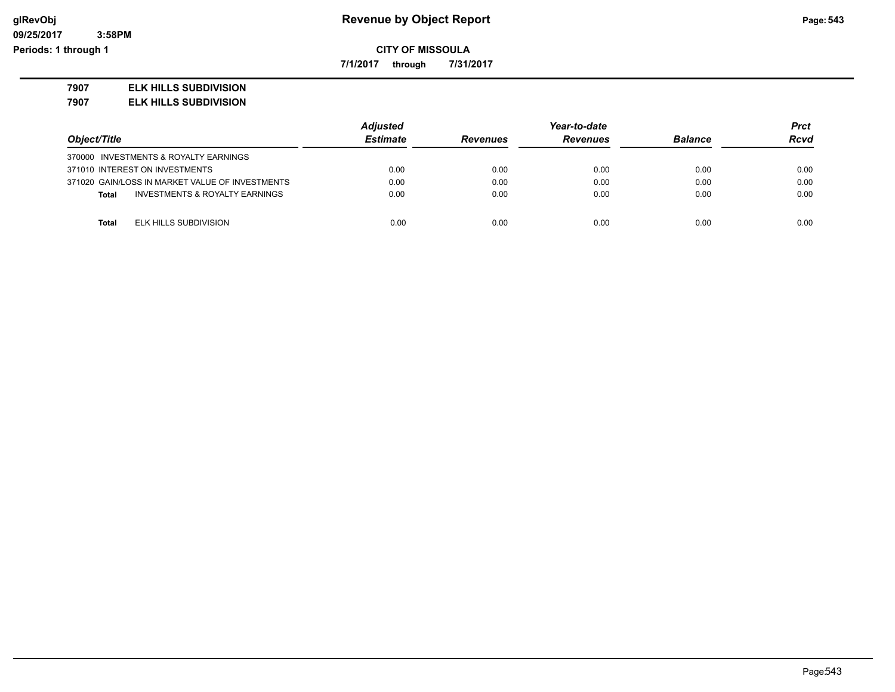**7/1/2017 through 7/31/2017**

#### **7907 ELK HILLS SUBDIVISION**

**7907 ELK HILLS SUBDIVISION**

|                                                           | <b>Adjusted</b> |                 | Year-to-date    |                | Prct |
|-----------------------------------------------------------|-----------------|-----------------|-----------------|----------------|------|
| Object/Title                                              | <b>Estimate</b> | <b>Revenues</b> | <b>Revenues</b> | <b>Balance</b> | Rcvd |
| 370000 INVESTMENTS & ROYALTY EARNINGS                     |                 |                 |                 |                |      |
| 371010 INTEREST ON INVESTMENTS                            | 0.00            | 0.00            | 0.00            | 0.00           | 0.00 |
| 371020 GAIN/LOSS IN MARKET VALUE OF INVESTMENTS           | 0.00            | 0.00            | 0.00            | 0.00           | 0.00 |
| <b>INVESTMENTS &amp; ROYALTY EARNINGS</b><br><b>Total</b> | 0.00            | 0.00            | 0.00            | 0.00           | 0.00 |
|                                                           |                 |                 |                 |                |      |
| <b>Total</b><br>ELK HILLS SUBDIVISION                     | 0.00            | 0.00            | 0.00            | 0.00           | 0.00 |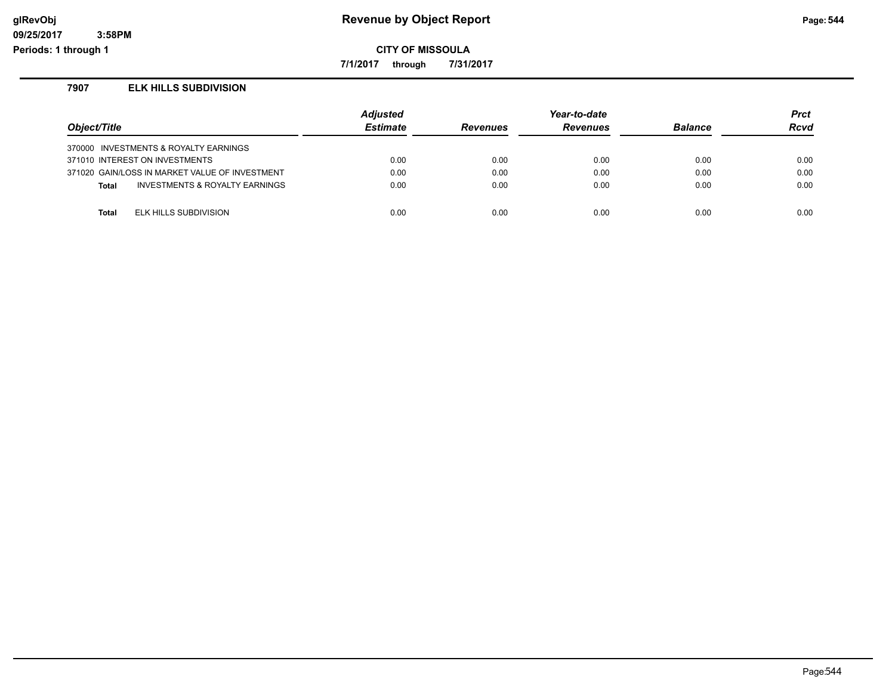**7/1/2017 through 7/31/2017**

#### **7907 ELK HILLS SUBDIVISION**

| Object/Title |                                                | <b>Adjusted</b><br><b>Estimate</b> | <b>Revenues</b> | Year-to-date<br><b>Revenues</b> | <b>Balance</b> | <b>Prct</b><br>Rcvd |
|--------------|------------------------------------------------|------------------------------------|-----------------|---------------------------------|----------------|---------------------|
|              | 370000 INVESTMENTS & ROYALTY EARNINGS          |                                    |                 |                                 |                |                     |
|              | 371010 INTEREST ON INVESTMENTS                 | 0.00                               | 0.00            | 0.00                            | 0.00           | 0.00                |
|              | 371020 GAIN/LOSS IN MARKET VALUE OF INVESTMENT | 0.00                               | 0.00            | 0.00                            | 0.00           | 0.00                |
| <b>Total</b> | INVESTMENTS & ROYALTY EARNINGS                 | 0.00                               | 0.00            | 0.00                            | 0.00           | 0.00                |
|              |                                                |                                    |                 |                                 |                |                     |
| Total        | ELK HILLS SUBDIVISION                          | 0.00                               | 0.00            | 0.00                            | 0.00           | 0.00                |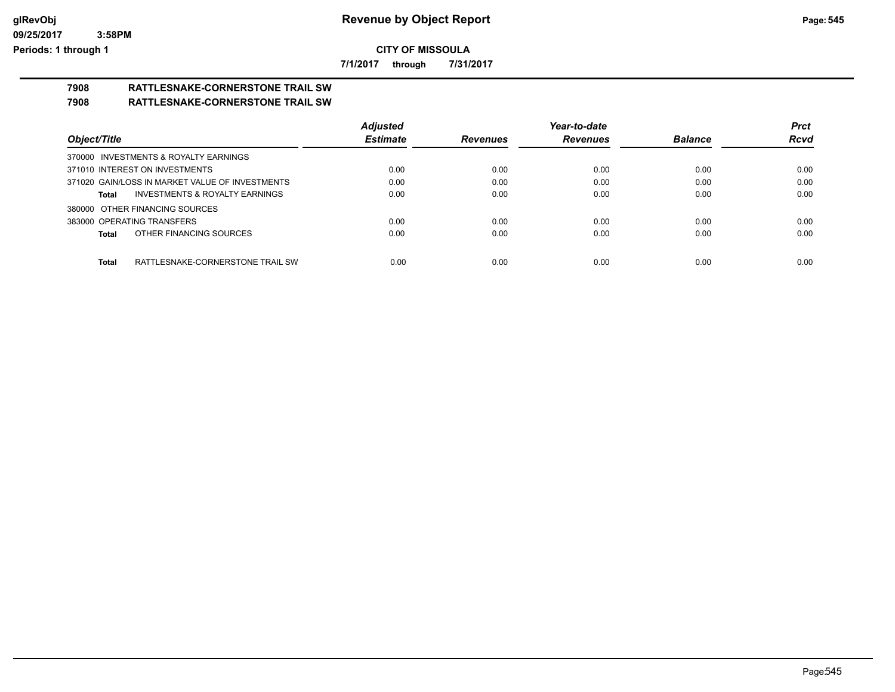**7/1/2017 through 7/31/2017**

# **7908 RATTLESNAKE-CORNERSTONE TRAIL SW**

## **7908 RATTLESNAKE-CORNERSTONE TRAIL SW**

|                                                  | <b>Adjusted</b> |                 | Year-to-date    |                | <b>Prct</b> |
|--------------------------------------------------|-----------------|-----------------|-----------------|----------------|-------------|
| Object/Title                                     | <b>Estimate</b> | <b>Revenues</b> | <b>Revenues</b> | <b>Balance</b> | <b>Rcvd</b> |
| 370000 INVESTMENTS & ROYALTY EARNINGS            |                 |                 |                 |                |             |
| 371010 INTEREST ON INVESTMENTS                   | 0.00            | 0.00            | 0.00            | 0.00           | 0.00        |
| 371020 GAIN/LOSS IN MARKET VALUE OF INVESTMENTS  | 0.00            | 0.00            | 0.00            | 0.00           | 0.00        |
| INVESTMENTS & ROYALTY EARNINGS<br>Total          | 0.00            | 0.00            | 0.00            | 0.00           | 0.00        |
| 380000 OTHER FINANCING SOURCES                   |                 |                 |                 |                |             |
| 383000 OPERATING TRANSFERS                       | 0.00            | 0.00            | 0.00            | 0.00           | 0.00        |
| OTHER FINANCING SOURCES<br>Total                 | 0.00            | 0.00            | 0.00            | 0.00           | 0.00        |
|                                                  |                 |                 |                 |                |             |
| <b>Total</b><br>RATTLESNAKE-CORNERSTONE TRAIL SW | 0.00            | 0.00            | 0.00            | 0.00           | 0.00        |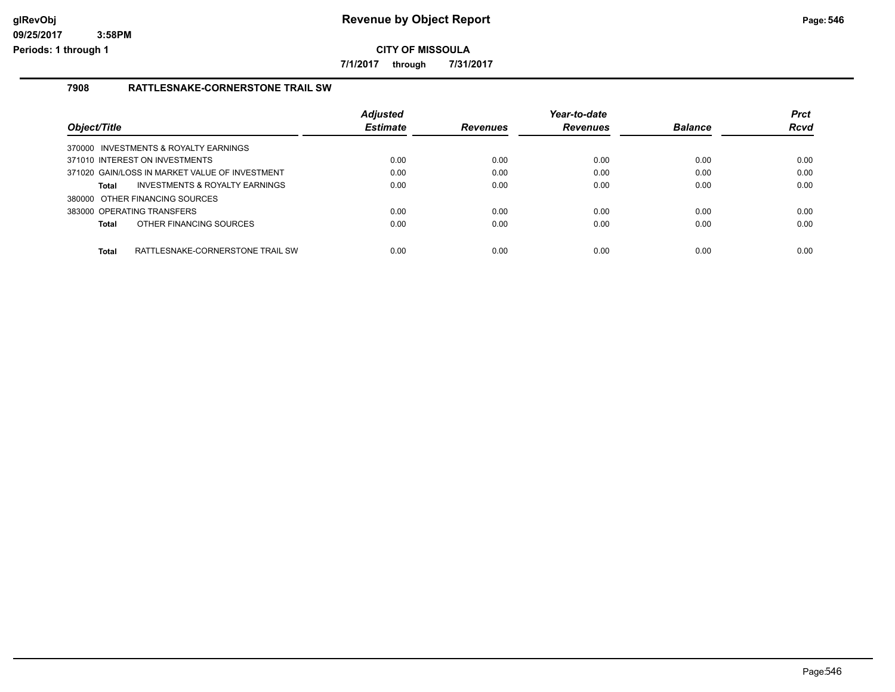**Periods: 1 through 1**

 **3:58PM**

**CITY OF MISSOULA**

**7/1/2017 through 7/31/2017**

#### **7908 RATTLESNAKE-CORNERSTONE TRAIL SW**

| Object/Title                                   | <b>Adjusted</b><br><b>Estimate</b> | <b>Revenues</b> | Year-to-date<br><b>Revenues</b> | <b>Balance</b> | <b>Prct</b><br><b>Rcvd</b> |
|------------------------------------------------|------------------------------------|-----------------|---------------------------------|----------------|----------------------------|
|                                                |                                    |                 |                                 |                |                            |
| 370000 INVESTMENTS & ROYALTY EARNINGS          |                                    |                 |                                 |                |                            |
| 371010 INTEREST ON INVESTMENTS                 | 0.00                               | 0.00            | 0.00                            | 0.00           | 0.00                       |
| 371020 GAIN/LOSS IN MARKET VALUE OF INVESTMENT | 0.00                               | 0.00            | 0.00                            | 0.00           | 0.00                       |
| INVESTMENTS & ROYALTY EARNINGS<br>Total        | 0.00                               | 0.00            | 0.00                            | 0.00           | 0.00                       |
| 380000 OTHER FINANCING SOURCES                 |                                    |                 |                                 |                |                            |
| 383000 OPERATING TRANSFERS                     | 0.00                               | 0.00            | 0.00                            | 0.00           | 0.00                       |
| OTHER FINANCING SOURCES<br>Total               | 0.00                               | 0.00            | 0.00                            | 0.00           | 0.00                       |
|                                                |                                    |                 |                                 |                |                            |
| Total<br>RATTLESNAKE-CORNERSTONE TRAIL SW      | 0.00                               | 0.00            | 0.00                            | 0.00           | 0.00                       |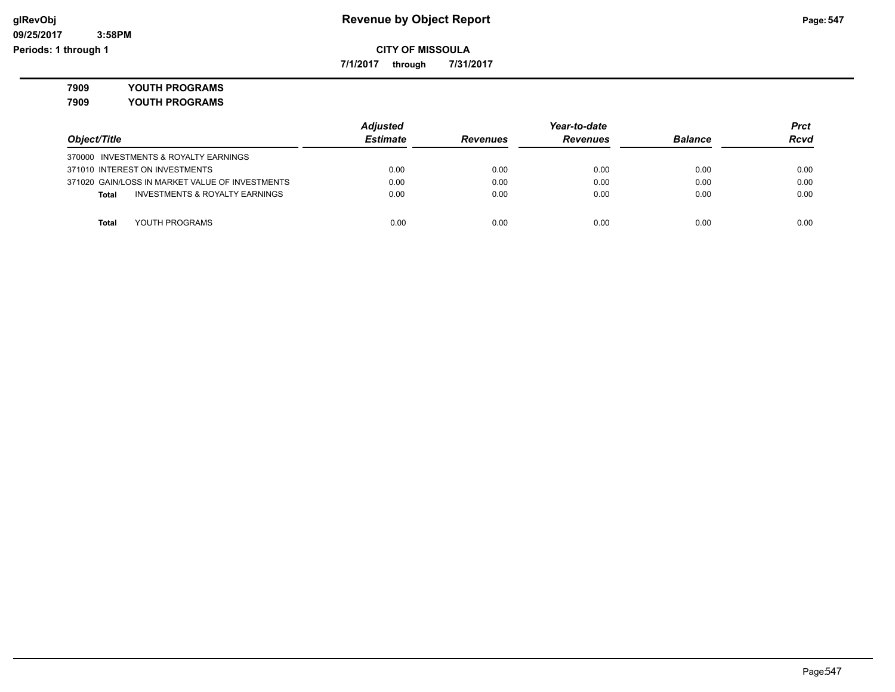**7/1/2017 through 7/31/2017**

#### **7909 YOUTH PROGRAMS**

**7909 YOUTH PROGRAMS**

|                                                           | <b>Adjusted</b> |                 | Year-to-date    |                |      |
|-----------------------------------------------------------|-----------------|-----------------|-----------------|----------------|------|
| Object/Title                                              | <b>Estimate</b> | <b>Revenues</b> | <b>Revenues</b> | <b>Balance</b> | Rcvd |
| 370000 INVESTMENTS & ROYALTY EARNINGS                     |                 |                 |                 |                |      |
| 371010 INTEREST ON INVESTMENTS                            | 0.00            | 0.00            | 0.00            | 0.00           | 0.00 |
| 371020 GAIN/LOSS IN MARKET VALUE OF INVESTMENTS           | 0.00            | 0.00            | 0.00            | 0.00           | 0.00 |
| <b>INVESTMENTS &amp; ROYALTY EARNINGS</b><br><b>Total</b> | 0.00            | 0.00            | 0.00            | 0.00           | 0.00 |
|                                                           |                 |                 |                 |                |      |
| YOUTH PROGRAMS<br>Total                                   | 0.00            | 0.00            | 0.00            | 0.00           | 0.00 |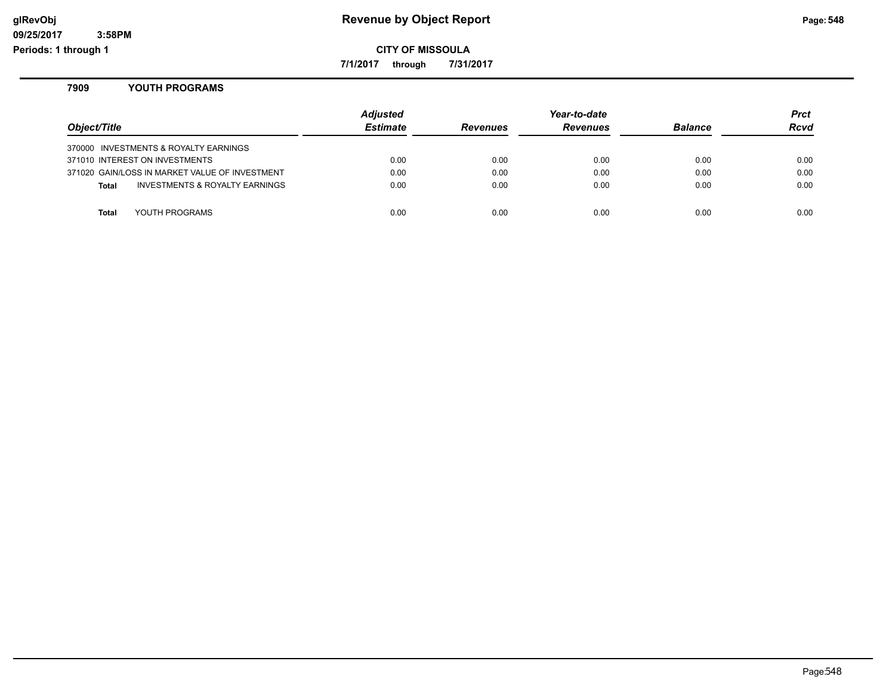**Periods: 1 through 1**

**CITY OF MISSOULA**

**7/1/2017 through 7/31/2017**

#### **7909 YOUTH PROGRAMS**

 **3:58PM**

| Object/Title |                                                | Adjusted<br><b>Estimate</b> | <b>Revenues</b> | Year-to-date<br><b>Revenues</b> | <b>Balance</b> | <b>Prct</b><br><b>Rcvd</b> |
|--------------|------------------------------------------------|-----------------------------|-----------------|---------------------------------|----------------|----------------------------|
|              | 370000 INVESTMENTS & ROYALTY EARNINGS          |                             |                 |                                 |                |                            |
|              | 371010 INTEREST ON INVESTMENTS                 | 0.00                        | 0.00            | 0.00                            | 0.00           | 0.00                       |
|              | 371020 GAIN/LOSS IN MARKET VALUE OF INVESTMENT | 0.00                        | 0.00            | 0.00                            | 0.00           | 0.00                       |
| <b>Total</b> | <b>INVESTMENTS &amp; ROYALTY EARNINGS</b>      | 0.00                        | 0.00            | 0.00                            | 0.00           | 0.00                       |
|              |                                                |                             |                 |                                 |                |                            |
| Total        | YOUTH PROGRAMS                                 | 0.00                        | 0.00            | 0.00                            | 0.00           | 0.00                       |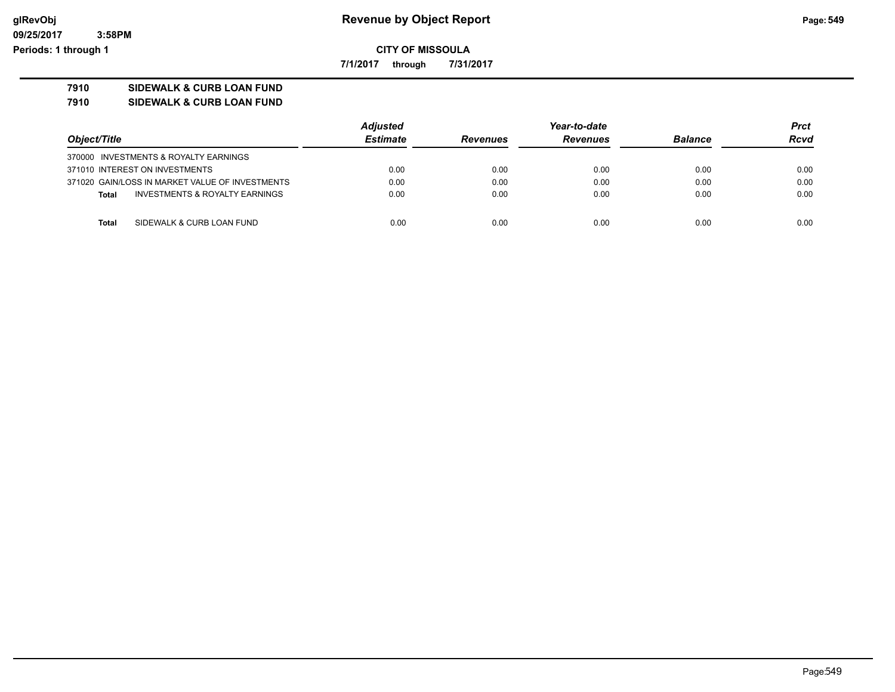**CITY OF MISSOULA**

**7/1/2017 through 7/31/2017**

### **7910 SIDEWALK & CURB LOAN FUND**

**7910 SIDEWALK & CURB LOAN FUND**

|                                                 | <b>Adjusted</b> |                 | Year-to-date    |                |      |
|-------------------------------------------------|-----------------|-----------------|-----------------|----------------|------|
| Object/Title                                    | <b>Estimate</b> | <b>Revenues</b> | <b>Revenues</b> | <b>Balance</b> | Rcvd |
| 370000 INVESTMENTS & ROYALTY EARNINGS           |                 |                 |                 |                |      |
| 371010 INTEREST ON INVESTMENTS                  | 0.00            | 0.00            | 0.00            | 0.00           | 0.00 |
| 371020 GAIN/LOSS IN MARKET VALUE OF INVESTMENTS | 0.00            | 0.00            | 0.00            | 0.00           | 0.00 |
| INVESTMENTS & ROYALTY EARNINGS<br><b>Total</b>  | 0.00            | 0.00            | 0.00            | 0.00           | 0.00 |
| SIDEWALK & CURB LOAN FUND<br>Total              | 0.00            | 0.00            | 0.00            | 0.00           | 0.00 |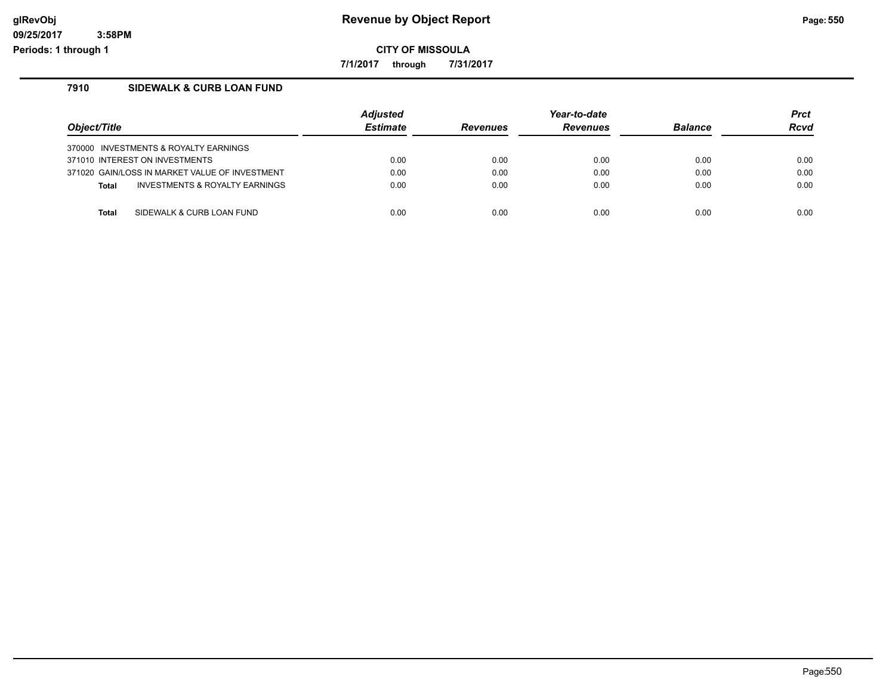**Periods: 1 through 1**

**CITY OF MISSOULA**

**7/1/2017 through 7/31/2017**

#### **7910 SIDEWALK & CURB LOAN FUND**

 **3:58PM**

| Object/Title                                   | <b>Adjusted</b><br><b>Estimate</b> | <b>Revenues</b> | Year-to-date<br><b>Revenues</b> | <b>Balance</b> | <b>Prct</b><br>Rcvd |
|------------------------------------------------|------------------------------------|-----------------|---------------------------------|----------------|---------------------|
| 370000 INVESTMENTS & ROYALTY EARNINGS          |                                    |                 |                                 |                |                     |
| 371010 INTEREST ON INVESTMENTS                 | 0.00                               | 0.00            | 0.00                            | 0.00           | 0.00                |
| 371020 GAIN/LOSS IN MARKET VALUE OF INVESTMENT | 0.00                               | 0.00            | 0.00                            | 0.00           | 0.00                |
| INVESTMENTS & ROYALTY EARNINGS<br><b>Total</b> | 0.00                               | 0.00            | 0.00                            | 0.00           | 0.00                |
|                                                |                                    |                 |                                 |                |                     |
| SIDEWALK & CURB LOAN FUND<br>Total             | 0.00                               | 0.00            | 0.00                            | 0.00           | 0.00                |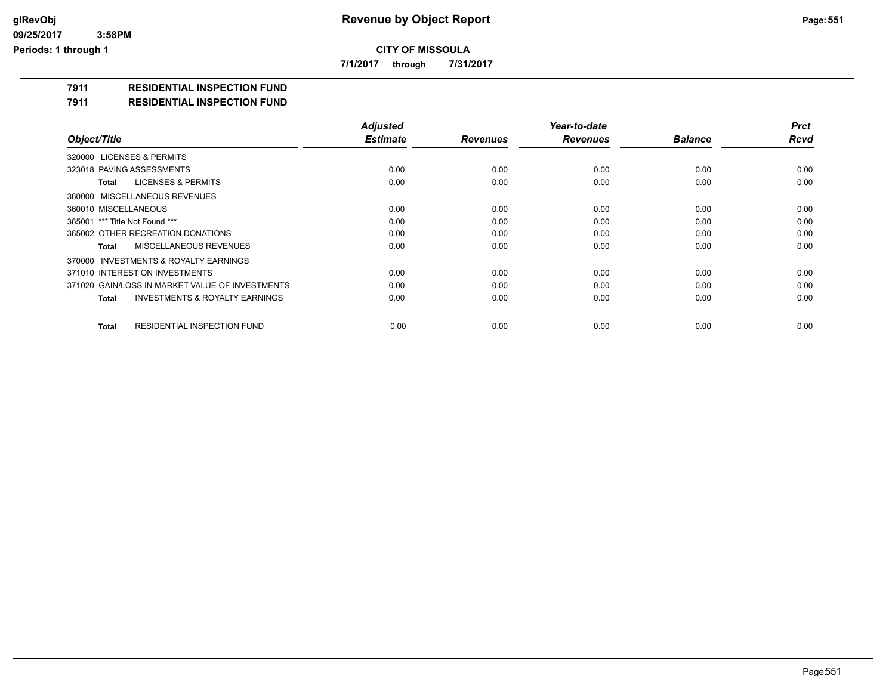**7/1/2017 through 7/31/2017**

**7911 RESIDENTIAL INSPECTION FUND**

**7911 RESIDENTIAL INSPECTION FUND**

|                                                    | <b>Adjusted</b> |                 | Year-to-date    |                | <b>Prct</b> |
|----------------------------------------------------|-----------------|-----------------|-----------------|----------------|-------------|
| Object/Title                                       | <b>Estimate</b> | <b>Revenues</b> | <b>Revenues</b> | <b>Balance</b> | <b>Rcvd</b> |
| 320000 LICENSES & PERMITS                          |                 |                 |                 |                |             |
| 323018 PAVING ASSESSMENTS                          | 0.00            | 0.00            | 0.00            | 0.00           | 0.00        |
| <b>LICENSES &amp; PERMITS</b><br>Total             | 0.00            | 0.00            | 0.00            | 0.00           | 0.00        |
| 360000 MISCELLANEOUS REVENUES                      |                 |                 |                 |                |             |
| 360010 MISCELLANEOUS                               | 0.00            | 0.00            | 0.00            | 0.00           | 0.00        |
| 365001 *** Title Not Found ***                     | 0.00            | 0.00            | 0.00            | 0.00           | 0.00        |
| 365002 OTHER RECREATION DONATIONS                  | 0.00            | 0.00            | 0.00            | 0.00           | 0.00        |
| MISCELLANEOUS REVENUES<br>Total                    | 0.00            | 0.00            | 0.00            | 0.00           | 0.00        |
| 370000 INVESTMENTS & ROYALTY EARNINGS              |                 |                 |                 |                |             |
| 371010 INTEREST ON INVESTMENTS                     | 0.00            | 0.00            | 0.00            | 0.00           | 0.00        |
| 371020 GAIN/LOSS IN MARKET VALUE OF INVESTMENTS    | 0.00            | 0.00            | 0.00            | 0.00           | 0.00        |
| <b>INVESTMENTS &amp; ROYALTY EARNINGS</b><br>Total | 0.00            | 0.00            | 0.00            | 0.00           | 0.00        |
|                                                    |                 |                 |                 |                |             |
| <b>RESIDENTIAL INSPECTION FUND</b><br>Total        | 0.00            | 0.00            | 0.00            | 0.00           | 0.00        |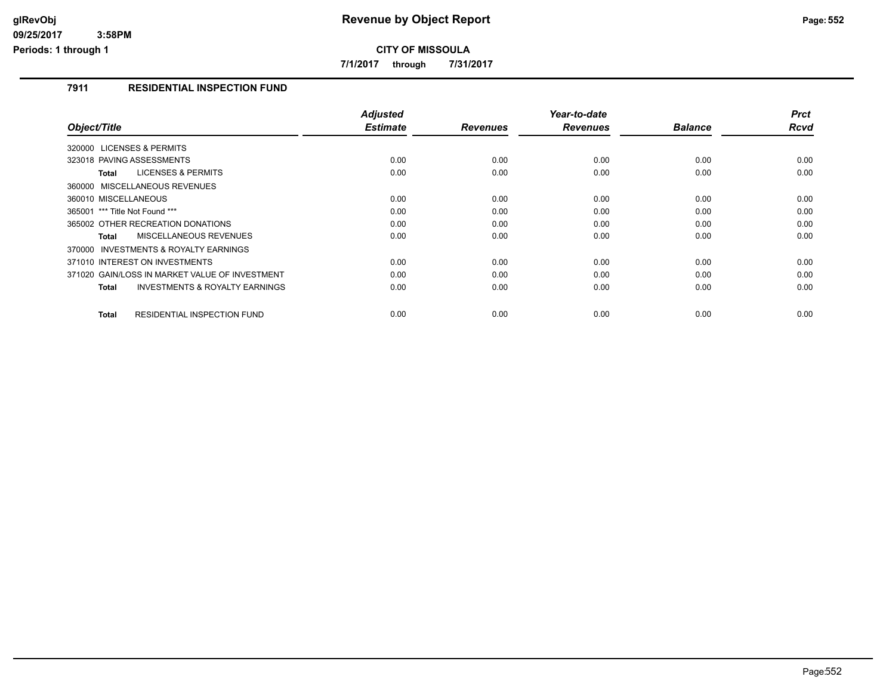**Periods: 1 through 1**

 **3:58PM**

**CITY OF MISSOULA**

**7/1/2017 through 7/31/2017**

#### **7911 RESIDENTIAL INSPECTION FUND**

| Object/Title                                              | <b>Adjusted</b><br><b>Estimate</b> | <b>Revenues</b> | Year-to-date<br><b>Revenues</b> | <b>Balance</b> | <b>Prct</b><br><b>Rcvd</b> |
|-----------------------------------------------------------|------------------------------------|-----------------|---------------------------------|----------------|----------------------------|
|                                                           |                                    |                 |                                 |                |                            |
| 320000 LICENSES & PERMITS                                 |                                    |                 |                                 |                |                            |
| 323018 PAVING ASSESSMENTS                                 | 0.00                               | 0.00            | 0.00                            | 0.00           | 0.00                       |
| <b>LICENSES &amp; PERMITS</b><br><b>Total</b>             | 0.00                               | 0.00            | 0.00                            | 0.00           | 0.00                       |
| 360000 MISCELLANEOUS REVENUES                             |                                    |                 |                                 |                |                            |
| 360010 MISCELLANEOUS                                      | 0.00                               | 0.00            | 0.00                            | 0.00           | 0.00                       |
| 365001 *** Title Not Found ***                            | 0.00                               | 0.00            | 0.00                            | 0.00           | 0.00                       |
| 365002 OTHER RECREATION DONATIONS                         | 0.00                               | 0.00            | 0.00                            | 0.00           | 0.00                       |
| <b>MISCELLANEOUS REVENUES</b><br><b>Total</b>             | 0.00                               | 0.00            | 0.00                            | 0.00           | 0.00                       |
| 370000 INVESTMENTS & ROYALTY EARNINGS                     |                                    |                 |                                 |                |                            |
| 371010 INTEREST ON INVESTMENTS                            | 0.00                               | 0.00            | 0.00                            | 0.00           | 0.00                       |
| 371020 GAIN/LOSS IN MARKET VALUE OF INVESTMENT            | 0.00                               | 0.00            | 0.00                            | 0.00           | 0.00                       |
| <b>INVESTMENTS &amp; ROYALTY EARNINGS</b><br><b>Total</b> | 0.00                               | 0.00            | 0.00                            | 0.00           | 0.00                       |
|                                                           |                                    |                 |                                 |                |                            |
| RESIDENTIAL INSPECTION FUND<br><b>Total</b>               | 0.00                               | 0.00            | 0.00                            | 0.00           | 0.00                       |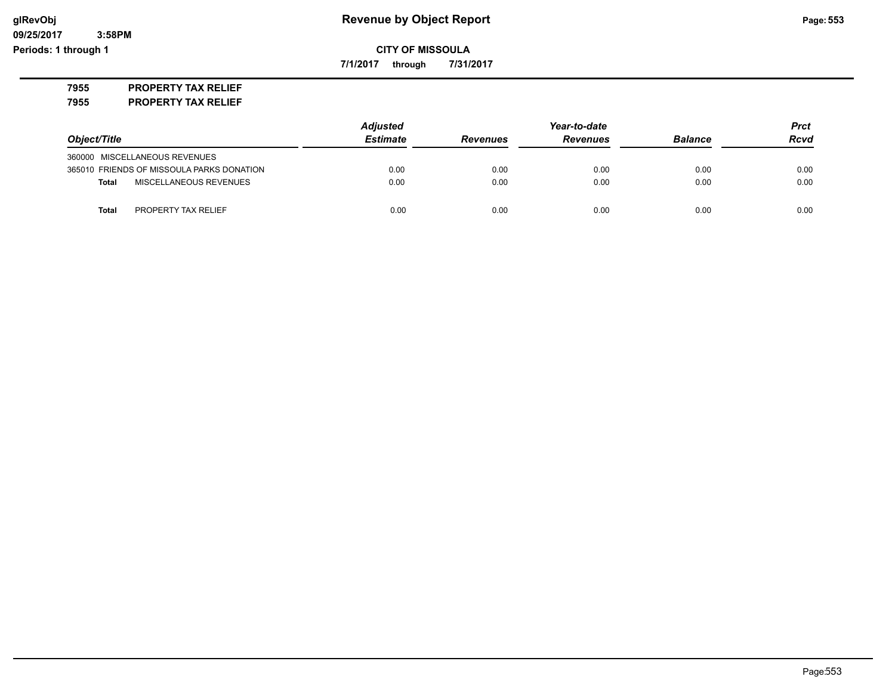**CITY OF MISSOULA**

**7/1/2017 through 7/31/2017**

**7955 PROPERTY TAX RELIEF**

**7955 PROPERTY TAX RELIEF**

|                                           | <b>Adjusted</b> |                                    | Year-to-date |                |      |
|-------------------------------------------|-----------------|------------------------------------|--------------|----------------|------|
| Object/Title                              | <b>Estimate</b> | <b>Revenues</b><br><b>Revenues</b> |              | <b>Balance</b> | Rcvd |
| 360000 MISCELLANEOUS REVENUES             |                 |                                    |              |                |      |
| 365010 FRIENDS OF MISSOULA PARKS DONATION | 0.00            | 0.00                               | 0.00         | 0.00           | 0.00 |
| MISCELLANEOUS REVENUES<br><b>Total</b>    | 0.00            | 0.00                               | 0.00         | 0.00           | 0.00 |
| PROPERTY TAX RELIEF<br>Total              | 0.00            | 0.00                               | 0.00         | 0.00           | 0.00 |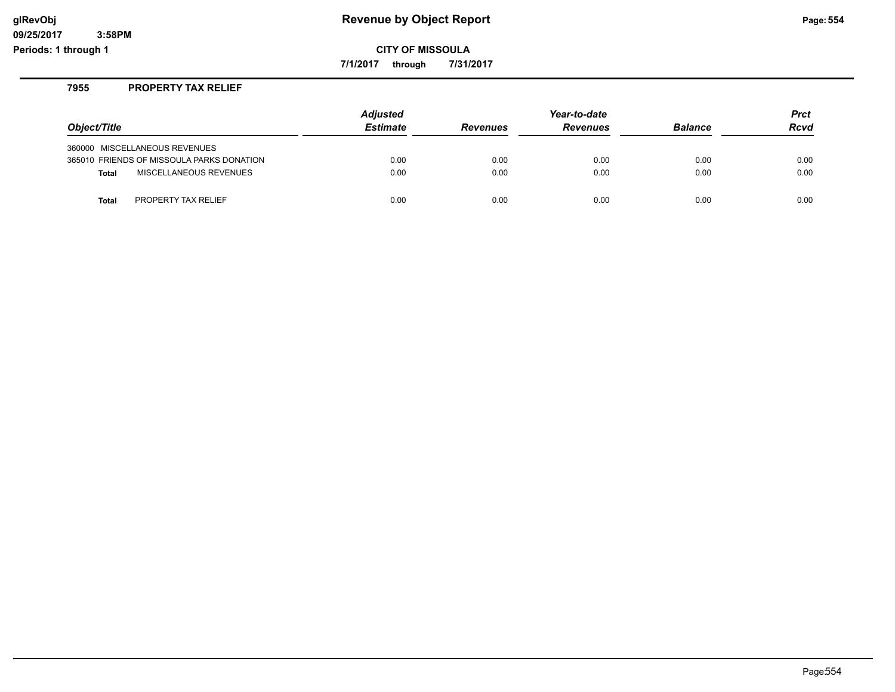#### **CITY OF MISSOULA**

**7/1/2017 through 7/31/2017**

#### **7955 PROPERTY TAX RELIEF**

| Object/Title                              | <b>Adjusted</b><br><b>Estimate</b> | <b>Revenues</b> | Year-to-date<br><b>Revenues</b> | <b>Balance</b> | <b>Prct</b><br><b>Rcvd</b> |
|-------------------------------------------|------------------------------------|-----------------|---------------------------------|----------------|----------------------------|
| 360000 MISCELLANEOUS REVENUES             |                                    |                 |                                 |                |                            |
| 365010 FRIENDS OF MISSOULA PARKS DONATION | 0.00                               | 0.00            | 0.00                            | 0.00           | 0.00                       |
| MISCELLANEOUS REVENUES<br><b>Total</b>    | 0.00                               | 0.00            | 0.00                            | 0.00           | 0.00                       |
| PROPERTY TAX RELIEF<br>Total              | 0.00                               | 0.00            | 0.00                            | 0.00           | 0.00                       |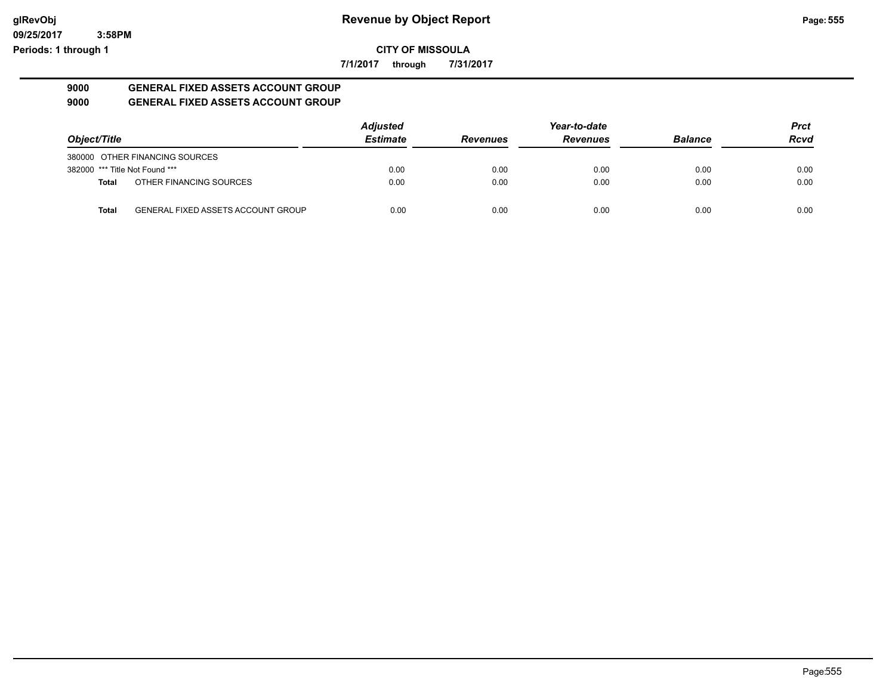**CITY OF MISSOULA**

**7/1/2017 through 7/31/2017**

#### **9000 GENERAL FIXED ASSETS ACCOUNT GROUP 9000 GENERAL FIXED ASSETS ACCOUNT GROUP**

| Object/Title                   |                                           | <b>Adjusted</b> |                 | Year-to-date    |                | Prct |
|--------------------------------|-------------------------------------------|-----------------|-----------------|-----------------|----------------|------|
|                                |                                           | <b>Estimate</b> | <b>Revenues</b> | <b>Revenues</b> | <b>Balance</b> | Rcvd |
|                                | 380000 OTHER FINANCING SOURCES            |                 |                 |                 |                |      |
| 382000 *** Title Not Found *** |                                           | 0.00            | 0.00            | 0.00            | 0.00           | 0.00 |
| <b>Total</b>                   | OTHER FINANCING SOURCES                   | 0.00            | 0.00            | 0.00            | 0.00           | 0.00 |
| <b>Total</b>                   | <b>GENERAL FIXED ASSETS ACCOUNT GROUP</b> | 0.00            | 0.00            | 0.00            | 0.00           | 0.00 |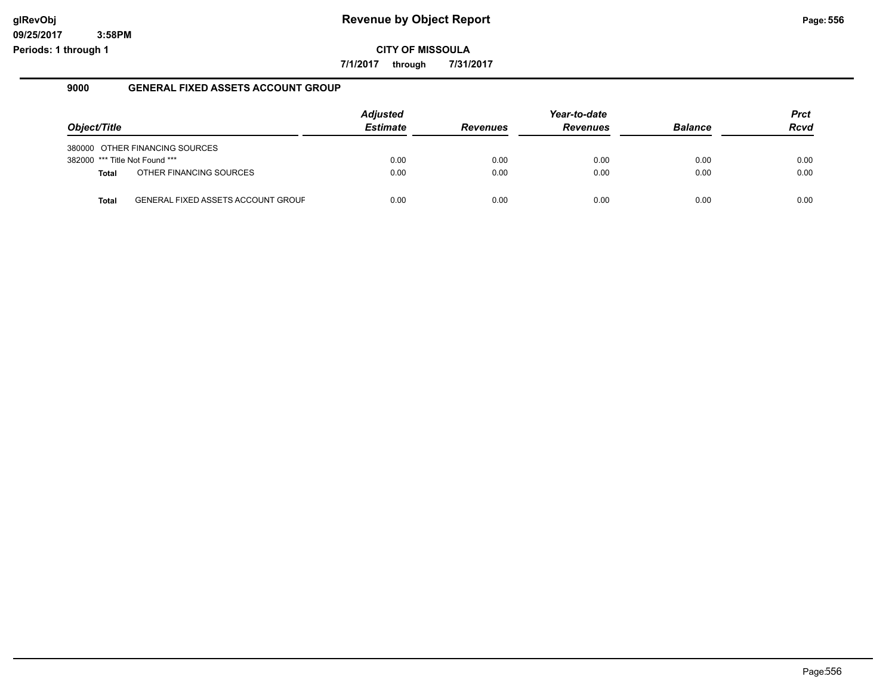**Periods: 1 through 1**

 **3:58PM**

**CITY OF MISSOULA**

**7/1/2017 through 7/31/2017**

#### **9000 GENERAL FIXED ASSETS ACCOUNT GROUP**

| Object/Title                   |                                    | <b>Adjusted</b><br><b>Estimate</b> | <b>Revenues</b> | Year-to-date<br><b>Revenues</b> | <b>Balance</b> | <b>Prct</b><br><b>Rcvd</b> |
|--------------------------------|------------------------------------|------------------------------------|-----------------|---------------------------------|----------------|----------------------------|
| 382000 *** Title Not Found *** | 380000 OTHER FINANCING SOURCES     | 0.00                               | 0.00            | 0.00                            | 0.00           | 0.00                       |
| <b>Total</b>                   | OTHER FINANCING SOURCES            | 0.00                               | 0.00            | 0.00                            | 0.00           | 0.00                       |
| <b>Total</b>                   | GENERAL FIXED ASSETS ACCOUNT GROUF | 0.00                               | 0.00            | 0.00                            | 0.00           | 0.00                       |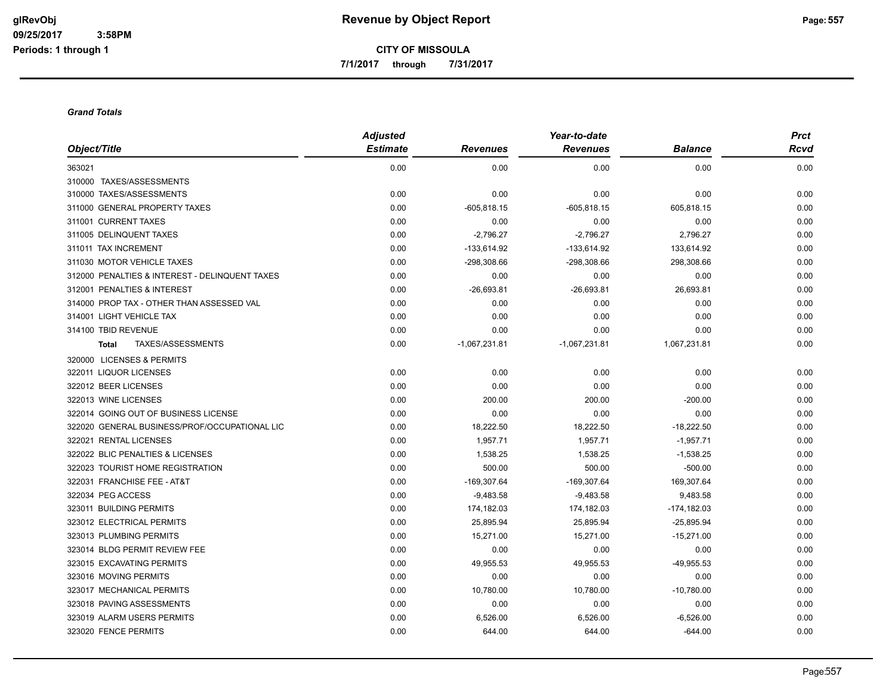**CITY OF MISSOULA 7/1/2017 through 7/31/2017**

#### *Grand Totals*

|                                                | <b>Adjusted</b> |                 | Year-to-date    |                | <b>Prct</b> |
|------------------------------------------------|-----------------|-----------------|-----------------|----------------|-------------|
| Object/Title                                   | <b>Estimate</b> | <b>Revenues</b> | <b>Revenues</b> | <b>Balance</b> | <b>Rcvd</b> |
| 363021                                         | 0.00            | 0.00            | 0.00            | 0.00           | 0.00        |
| 310000 TAXES/ASSESSMENTS                       |                 |                 |                 |                |             |
| 310000 TAXES/ASSESSMENTS                       | 0.00            | 0.00            | 0.00            | 0.00           | 0.00        |
| 311000 GENERAL PROPERTY TAXES                  | 0.00            | $-605,818.15$   | $-605,818.15$   | 605,818.15     | 0.00        |
| 311001 CURRENT TAXES                           | 0.00            | 0.00            | 0.00            | 0.00           | 0.00        |
| 311005 DELINQUENT TAXES                        | 0.00            | $-2,796.27$     | $-2,796.27$     | 2,796.27       | 0.00        |
| 311011 TAX INCREMENT                           | 0.00            | $-133,614.92$   | $-133,614.92$   | 133,614.92     | 0.00        |
| 311030 MOTOR VEHICLE TAXES                     | 0.00            | $-298,308.66$   | -298,308.66     | 298,308.66     | 0.00        |
| 312000 PENALTIES & INTEREST - DELINQUENT TAXES | 0.00            | 0.00            | 0.00            | 0.00           | 0.00        |
| 312001 PENALTIES & INTEREST                    | 0.00            | $-26,693.81$    | $-26,693.81$    | 26,693.81      | 0.00        |
| 314000 PROP TAX - OTHER THAN ASSESSED VAL      | 0.00            | 0.00            | 0.00            | 0.00           | 0.00        |
| 314001 LIGHT VEHICLE TAX                       | 0.00            | 0.00            | 0.00            | 0.00           | 0.00        |
| 314100 TBID REVENUE                            | 0.00            | 0.00            | 0.00            | 0.00           | 0.00        |
| TAXES/ASSESSMENTS<br><b>Total</b>              | 0.00            | $-1,067,231.81$ | $-1,067,231.81$ | 1,067,231.81   | 0.00        |
| 320000 LICENSES & PERMITS                      |                 |                 |                 |                |             |
| 322011 LIQUOR LICENSES                         | 0.00            | 0.00            | 0.00            | 0.00           | 0.00        |
| 322012 BEER LICENSES                           | 0.00            | 0.00            | 0.00            | 0.00           | 0.00        |
| 322013 WINE LICENSES                           | 0.00            | 200.00          | 200.00          | $-200.00$      | 0.00        |
| 322014 GOING OUT OF BUSINESS LICENSE           | 0.00            | 0.00            | 0.00            | 0.00           | 0.00        |
| 322020 GENERAL BUSINESS/PROF/OCCUPATIONAL LIC  | 0.00            | 18,222.50       | 18,222.50       | $-18,222.50$   | 0.00        |
| 322021 RENTAL LICENSES                         | 0.00            | 1,957.71        | 1.957.71        | $-1,957.71$    | 0.00        |
| 322022 BLIC PENALTIES & LICENSES               | 0.00            | 1,538.25        | 1,538.25        | $-1,538.25$    | 0.00        |
| 322023 TOURIST HOME REGISTRATION               | 0.00            | 500.00          | 500.00          | $-500.00$      | 0.00        |
| 322031 FRANCHISE FEE - AT&T                    | 0.00            | $-169,307.64$   | -169,307.64     | 169,307.64     | 0.00        |
| 322034 PEG ACCESS                              | 0.00            | $-9,483.58$     | $-9,483.58$     | 9,483.58       | 0.00        |
| 323011 BUILDING PERMITS                        | 0.00            | 174,182.03      | 174,182.03      | $-174, 182.03$ | 0.00        |
| 323012 ELECTRICAL PERMITS                      | 0.00            | 25,895.94       | 25,895.94       | $-25,895.94$   | 0.00        |
| 323013 PLUMBING PERMITS                        | 0.00            | 15,271.00       | 15,271.00       | $-15,271.00$   | 0.00        |
| 323014 BLDG PERMIT REVIEW FEE                  | 0.00            | 0.00            | 0.00            | 0.00           | 0.00        |
| 323015 EXCAVATING PERMITS                      | 0.00            | 49,955.53       | 49,955.53       | $-49,955.53$   | 0.00        |
| 323016 MOVING PERMITS                          | 0.00            | 0.00            | 0.00            | 0.00           | 0.00        |
| 323017 MECHANICAL PERMITS                      | 0.00            | 10,780.00       | 10,780.00       | $-10,780.00$   | 0.00        |
| 323018 PAVING ASSESSMENTS                      | 0.00            | 0.00            | 0.00            | 0.00           | 0.00        |
| 323019 ALARM USERS PERMITS                     | 0.00            | 6,526.00        | 6,526.00        | $-6,526.00$    | 0.00        |
| 323020 FENCE PERMITS                           | 0.00            | 644.00          | 644.00          | $-644.00$      | 0.00        |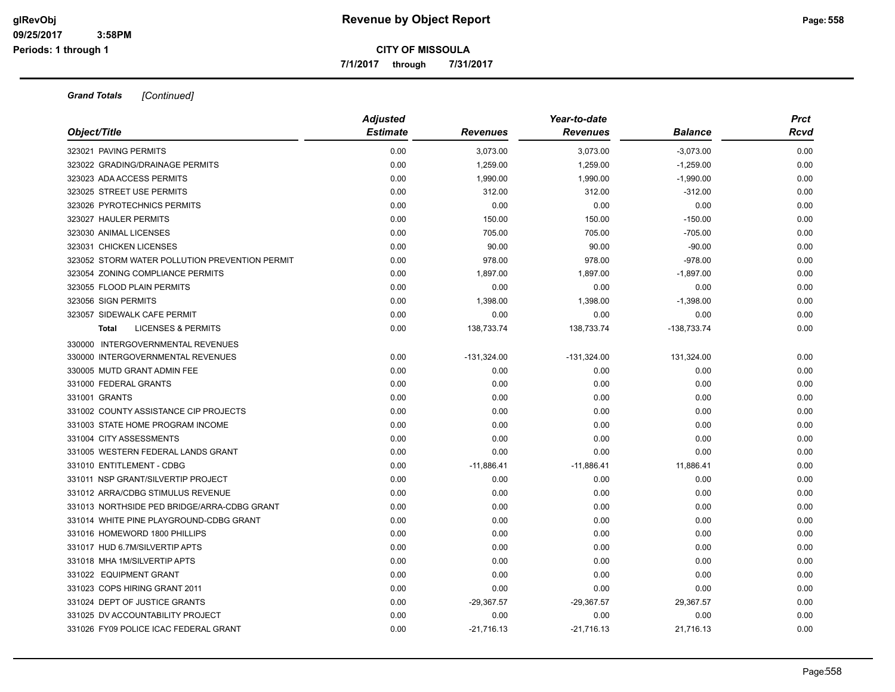**7/1/2017 through 7/31/2017**

| Object/Title                                   | <b>Adjusted</b><br><b>Estimate</b> | <b>Revenues</b> | Year-to-date<br><b>Revenues</b> | <b>Balance</b> | <b>Prct</b><br><b>Rcvd</b> |
|------------------------------------------------|------------------------------------|-----------------|---------------------------------|----------------|----------------------------|
| 323021 PAVING PERMITS                          | 0.00                               | 3,073.00        | 3,073.00                        | $-3,073.00$    | 0.00                       |
| 323022 GRADING/DRAINAGE PERMITS                | 0.00                               | 1,259.00        | 1,259.00                        | $-1,259.00$    | 0.00                       |
| 323023 ADA ACCESS PERMITS                      | 0.00                               | 1,990.00        | 1,990.00                        | $-1,990.00$    | 0.00                       |
| 323025 STREET USE PERMITS                      | 0.00                               | 312.00          | 312.00                          | $-312.00$      | 0.00                       |
| 323026 PYROTECHNICS PERMITS                    | 0.00                               | 0.00            | 0.00                            | 0.00           | 0.00                       |
| 323027 HAULER PERMITS                          | 0.00                               | 150.00          | 150.00                          | $-150.00$      | 0.00                       |
| 323030 ANIMAL LICENSES                         | 0.00                               | 705.00          | 705.00                          | $-705.00$      | 0.00                       |
| 323031 CHICKEN LICENSES                        | 0.00                               | 90.00           | 90.00                           | $-90.00$       | 0.00                       |
| 323052 STORM WATER POLLUTION PREVENTION PERMIT | 0.00                               | 978.00          | 978.00                          | $-978.00$      | 0.00                       |
| 323054 ZONING COMPLIANCE PERMITS               | 0.00                               | 1,897.00        | 1,897.00                        | $-1,897.00$    | 0.00                       |
| 323055 FLOOD PLAIN PERMITS                     | 0.00                               | 0.00            | 0.00                            | 0.00           | 0.00                       |
| 323056 SIGN PERMITS                            | 0.00                               | 1,398.00        | 1,398.00                        | $-1,398.00$    | 0.00                       |
| 323057 SIDEWALK CAFE PERMIT                    | 0.00                               | 0.00            | 0.00                            | 0.00           | 0.00                       |
| <b>LICENSES &amp; PERMITS</b><br><b>Total</b>  | 0.00                               | 138,733.74      | 138,733.74                      | $-138,733.74$  | 0.00                       |
| 330000 INTERGOVERNMENTAL REVENUES              |                                    |                 |                                 |                |                            |
| 330000 INTERGOVERNMENTAL REVENUES              | 0.00                               | $-131,324.00$   | $-131,324.00$                   | 131,324.00     | 0.00                       |
| 330005 MUTD GRANT ADMIN FEE                    | 0.00                               | 0.00            | 0.00                            | 0.00           | 0.00                       |
| 331000 FEDERAL GRANTS                          | 0.00                               | 0.00            | 0.00                            | 0.00           | 0.00                       |
| 331001 GRANTS                                  | 0.00                               | 0.00            | 0.00                            | 0.00           | 0.00                       |
| 331002 COUNTY ASSISTANCE CIP PROJECTS          | 0.00                               | 0.00            | 0.00                            | 0.00           | 0.00                       |
| 331003 STATE HOME PROGRAM INCOME               | 0.00                               | 0.00            | 0.00                            | 0.00           | 0.00                       |
| 331004 CITY ASSESSMENTS                        | 0.00                               | 0.00            | 0.00                            | 0.00           | 0.00                       |
| 331005 WESTERN FEDERAL LANDS GRANT             | 0.00                               | 0.00            | 0.00                            | 0.00           | 0.00                       |
| 331010 ENTITLEMENT - CDBG                      | 0.00                               | $-11,886.41$    | $-11,886.41$                    | 11,886.41      | 0.00                       |
| 331011 NSP GRANT/SILVERTIP PROJECT             | 0.00                               | 0.00            | 0.00                            | 0.00           | 0.00                       |
| 331012 ARRA/CDBG STIMULUS REVENUE              | 0.00                               | 0.00            | 0.00                            | 0.00           | 0.00                       |
| 331013 NORTHSIDE PED BRIDGE/ARRA-CDBG GRANT    | 0.00                               | 0.00            | 0.00                            | 0.00           | 0.00                       |
| 331014 WHITE PINE PLAYGROUND-CDBG GRANT        | 0.00                               | 0.00            | 0.00                            | 0.00           | 0.00                       |
| 331016 HOMEWORD 1800 PHILLIPS                  | 0.00                               | 0.00            | 0.00                            | 0.00           | 0.00                       |
| 331017 HUD 6.7M/SILVERTIP APTS                 | 0.00                               | 0.00            | 0.00                            | 0.00           | 0.00                       |
| 331018 MHA 1M/SILVERTIP APTS                   | 0.00                               | 0.00            | 0.00                            | 0.00           | 0.00                       |
| 331022 EQUIPMENT GRANT                         | 0.00                               | 0.00            | 0.00                            | 0.00           | 0.00                       |
| 331023 COPS HIRING GRANT 2011                  | 0.00                               | 0.00            | 0.00                            | 0.00           | 0.00                       |
| 331024 DEPT OF JUSTICE GRANTS                  | 0.00                               | $-29,367.57$    | $-29,367.57$                    | 29,367.57      | 0.00                       |
| 331025 DV ACCOUNTABILITY PROJECT               | 0.00                               | 0.00            | 0.00                            | 0.00           | 0.00                       |
| 331026 FY09 POLICE ICAC FEDERAL GRANT          | 0.00                               | $-21.716.13$    | $-21.716.13$                    | 21.716.13      | 0.00                       |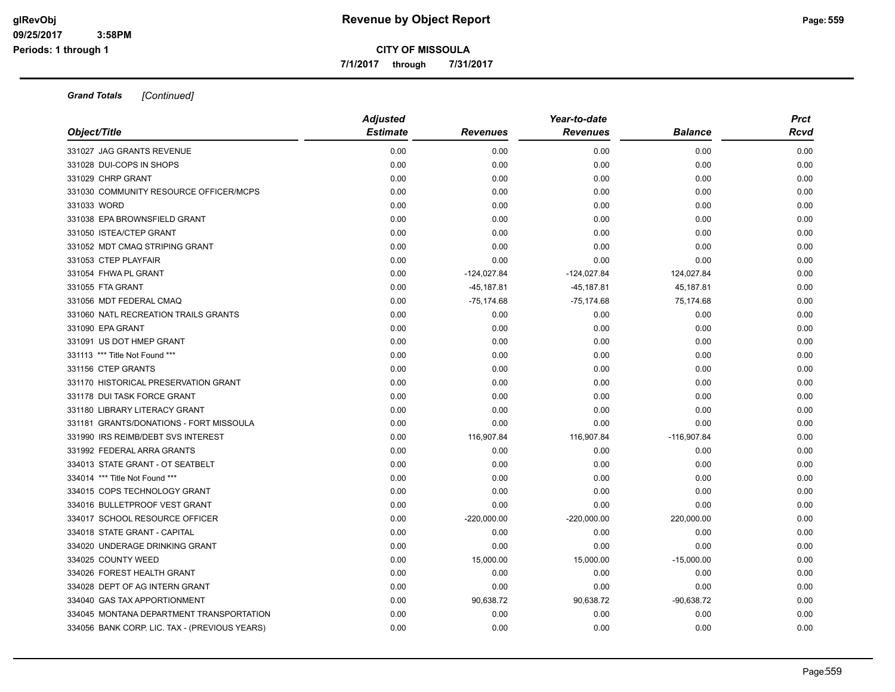**7/1/2017 through 7/31/2017**

|                                               | <b>Adjusted</b> |                 | Year-to-date    |                | <b>Prct</b> |
|-----------------------------------------------|-----------------|-----------------|-----------------|----------------|-------------|
| Object/Title                                  | <b>Estimate</b> | <b>Revenues</b> | <b>Revenues</b> | <b>Balance</b> | Rcvd        |
| 331027 JAG GRANTS REVENUE                     | 0.00            | 0.00            | 0.00            | 0.00           | 0.00        |
| 331028 DUI-COPS IN SHOPS                      | 0.00            | 0.00            | 0.00            | 0.00           | 0.00        |
| 331029 CHRP GRANT                             | 0.00            | 0.00            | 0.00            | 0.00           | 0.00        |
| 331030 COMMUNITY RESOURCE OFFICER/MCPS        | 0.00            | 0.00            | 0.00            | 0.00           | 0.00        |
| 331033 WORD                                   | 0.00            | 0.00            | 0.00            | 0.00           | 0.00        |
| 331038 EPA BROWNSFIELD GRANT                  | 0.00            | 0.00            | 0.00            | 0.00           | 0.00        |
| 331050 ISTEA/CTEP GRANT                       | 0.00            | 0.00            | 0.00            | 0.00           | 0.00        |
| 331052 MDT CMAQ STRIPING GRANT                | 0.00            | 0.00            | 0.00            | 0.00           | 0.00        |
| 331053 CTEP PLAYFAIR                          | 0.00            | 0.00            | 0.00            | 0.00           | 0.00        |
| 331054 FHWA PL GRANT                          | 0.00            | $-124,027.84$   | $-124,027.84$   | 124,027.84     | 0.00        |
| 331055 FTA GRANT                              | 0.00            | $-45, 187.81$   | $-45, 187.81$   | 45,187.81      | 0.00        |
| 331056 MDT FEDERAL CMAQ                       | 0.00            | $-75, 174.68$   | -75,174.68      | 75,174.68      | 0.00        |
| 331060 NATL RECREATION TRAILS GRANTS          | 0.00            | 0.00            | 0.00            | 0.00           | 0.00        |
| 331090 EPA GRANT                              | 0.00            | 0.00            | 0.00            | 0.00           | 0.00        |
| 331091 US DOT HMEP GRANT                      | 0.00            | 0.00            | 0.00            | 0.00           | 0.00        |
| 331113 *** Title Not Found ***                | 0.00            | 0.00            | 0.00            | 0.00           | 0.00        |
| 331156 CTEP GRANTS                            | 0.00            | 0.00            | 0.00            | 0.00           | 0.00        |
| 331170 HISTORICAL PRESERVATION GRANT          | 0.00            | 0.00            | 0.00            | 0.00           | 0.00        |
| 331178 DUI TASK FORCE GRANT                   | 0.00            | 0.00            | 0.00            | 0.00           | 0.00        |
| 331180 LIBRARY LITERACY GRANT                 | 0.00            | 0.00            | 0.00            | 0.00           | 0.00        |
| 331181 GRANTS/DONATIONS - FORT MISSOULA       | 0.00            | 0.00            | 0.00            | 0.00           | 0.00        |
| 331990 IRS REIMB/DEBT SVS INTEREST            | 0.00            | 116,907.84      | 116,907.84      | $-116,907.84$  | 0.00        |
| 331992 FEDERAL ARRA GRANTS                    | 0.00            | 0.00            | 0.00            | 0.00           | 0.00        |
| 334013 STATE GRANT - OT SEATBELT              | 0.00            | 0.00            | 0.00            | 0.00           | 0.00        |
| 334014 *** Title Not Found ***                | 0.00            | 0.00            | 0.00            | 0.00           | 0.00        |
| 334015 COPS TECHNOLOGY GRANT                  | 0.00            | 0.00            | 0.00            | 0.00           | 0.00        |
| 334016 BULLETPROOF VEST GRANT                 | 0.00            | 0.00            | 0.00            | 0.00           | 0.00        |
| 334017 SCHOOL RESOURCE OFFICER                | 0.00            | $-220,000.00$   | $-220,000.00$   | 220,000.00     | 0.00        |
| 334018 STATE GRANT - CAPITAL                  | 0.00            | 0.00            | 0.00            | 0.00           | 0.00        |
| 334020 UNDERAGE DRINKING GRANT                | 0.00            | 0.00            | 0.00            | 0.00           | 0.00        |
| 334025 COUNTY WEED                            | 0.00            | 15,000.00       | 15,000.00       | $-15,000.00$   | 0.00        |
| 334026 FOREST HEALTH GRANT                    | 0.00            | 0.00            | 0.00            | 0.00           | 0.00        |
| 334028 DEPT OF AG INTERN GRANT                | 0.00            | 0.00            | 0.00            | 0.00           | 0.00        |
| 334040 GAS TAX APPORTIONMENT                  | 0.00            | 90,638.72       | 90,638.72       | $-90,638.72$   | 0.00        |
| 334045 MONTANA DEPARTMENT TRANSPORTATION      | 0.00            | 0.00            | 0.00            | 0.00           | 0.00        |
| 334056 BANK CORP. LIC. TAX - (PREVIOUS YEARS) | 0.00            | 0.00            | 0.00            | 0.00           | 0.00        |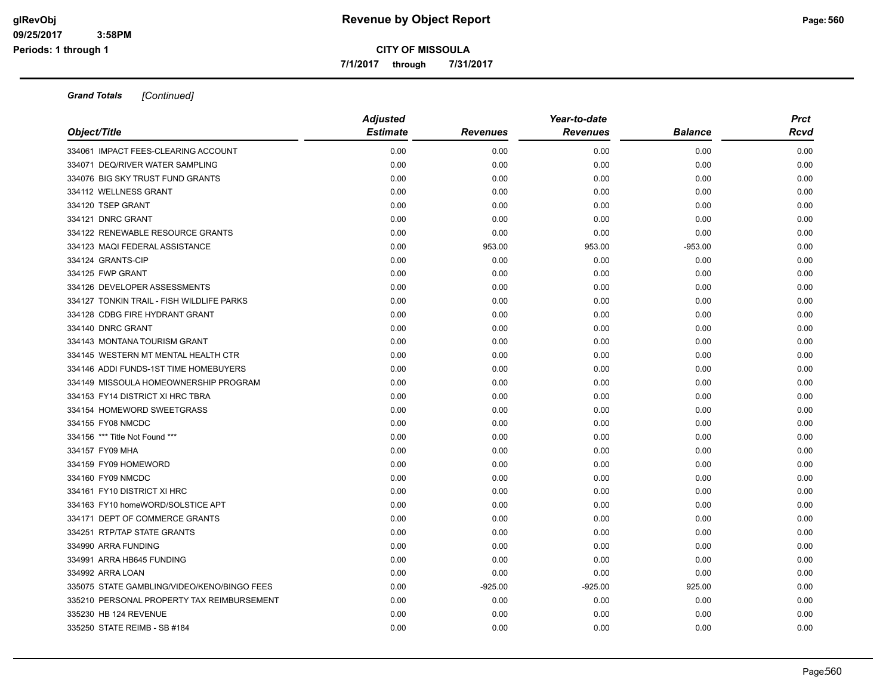**7/1/2017 through 7/31/2017**

|                                             | <b>Adjusted</b> |                 | Year-to-date    |                | <b>Prct</b> |
|---------------------------------------------|-----------------|-----------------|-----------------|----------------|-------------|
| Object/Title                                | <b>Estimate</b> | <b>Revenues</b> | <b>Revenues</b> | <b>Balance</b> | <b>Rcvd</b> |
| 334061 IMPACT FEES-CLEARING ACCOUNT         | 0.00            | 0.00            | 0.00            | 0.00           | 0.00        |
| 334071 DEQ/RIVER WATER SAMPLING             | 0.00            | 0.00            | 0.00            | 0.00           | 0.00        |
| 334076 BIG SKY TRUST FUND GRANTS            | 0.00            | 0.00            | 0.00            | 0.00           | 0.00        |
| 334112 WELLNESS GRANT                       | 0.00            | 0.00            | 0.00            | 0.00           | 0.00        |
| 334120 TSEP GRANT                           | 0.00            | 0.00            | 0.00            | 0.00           | 0.00        |
| 334121 DNRC GRANT                           | 0.00            | 0.00            | 0.00            | 0.00           | 0.00        |
| 334122 RENEWABLE RESOURCE GRANTS            | 0.00            | 0.00            | 0.00            | 0.00           | 0.00        |
| 334123 MAQI FEDERAL ASSISTANCE              | 0.00            | 953.00          | 953.00          | $-953.00$      | 0.00        |
| 334124 GRANTS-CIP                           | 0.00            | 0.00            | 0.00            | 0.00           | 0.00        |
| 334125 FWP GRANT                            | 0.00            | 0.00            | 0.00            | 0.00           | 0.00        |
| 334126 DEVELOPER ASSESSMENTS                | 0.00            | 0.00            | 0.00            | 0.00           | 0.00        |
| 334127 TONKIN TRAIL - FISH WILDLIFE PARKS   | 0.00            | 0.00            | 0.00            | 0.00           | 0.00        |
| 334128 CDBG FIRE HYDRANT GRANT              | 0.00            | 0.00            | 0.00            | 0.00           | 0.00        |
| 334140 DNRC GRANT                           | 0.00            | 0.00            | 0.00            | 0.00           | 0.00        |
| 334143 MONTANA TOURISM GRANT                | 0.00            | 0.00            | 0.00            | 0.00           | 0.00        |
| 334145 WESTERN MT MENTAL HEALTH CTR         | 0.00            | 0.00            | 0.00            | 0.00           | 0.00        |
| 334146 ADDI FUNDS-1ST TIME HOMEBUYERS       | 0.00            | 0.00            | 0.00            | 0.00           | 0.00        |
| 334149 MISSOULA HOMEOWNERSHIP PROGRAM       | 0.00            | 0.00            | 0.00            | 0.00           | 0.00        |
| 334153 FY14 DISTRICT XI HRC TBRA            | 0.00            | 0.00            | 0.00            | 0.00           | 0.00        |
| 334154 HOMEWORD SWEETGRASS                  | 0.00            | 0.00            | 0.00            | 0.00           | 0.00        |
| 334155 FY08 NMCDC                           | 0.00            | 0.00            | 0.00            | 0.00           | 0.00        |
| 334156 *** Title Not Found ***              | 0.00            | 0.00            | 0.00            | 0.00           | 0.00        |
| 334157 FY09 MHA                             | 0.00            | 0.00            | 0.00            | 0.00           | 0.00        |
| 334159 FY09 HOMEWORD                        | 0.00            | 0.00            | 0.00            | 0.00           | 0.00        |
| 334160 FY09 NMCDC                           | 0.00            | 0.00            | 0.00            | 0.00           | 0.00        |
| 334161 FY10 DISTRICT XI HRC                 | 0.00            | 0.00            | 0.00            | 0.00           | 0.00        |
| 334163 FY10 homeWORD/SOLSTICE APT           | 0.00            | 0.00            | 0.00            | 0.00           | 0.00        |
| 334171 DEPT OF COMMERCE GRANTS              | 0.00            | 0.00            | 0.00            | 0.00           | 0.00        |
| 334251 RTP/TAP STATE GRANTS                 | 0.00            | 0.00            | 0.00            | 0.00           | 0.00        |
| 334990 ARRA FUNDING                         | 0.00            | 0.00            | 0.00            | 0.00           | 0.00        |
| 334991 ARRA HB645 FUNDING                   | 0.00            | 0.00            | 0.00            | 0.00           | 0.00        |
| 334992 ARRA LOAN                            | 0.00            | 0.00            | 0.00            | 0.00           | 0.00        |
| 335075 STATE GAMBLING/VIDEO/KENO/BINGO FEES | 0.00            | $-925.00$       | $-925.00$       | 925.00         | 0.00        |
| 335210 PERSONAL PROPERTY TAX REIMBURSEMENT  | 0.00            | 0.00            | 0.00            | 0.00           | 0.00        |
| 335230 HB 124 REVENUE                       | 0.00            | 0.00            | 0.00            | 0.00           | 0.00        |
| 335250 STATE REIMB - SB #184                | 0.00            | 0.00            | 0.00            | 0.00           | 0.00        |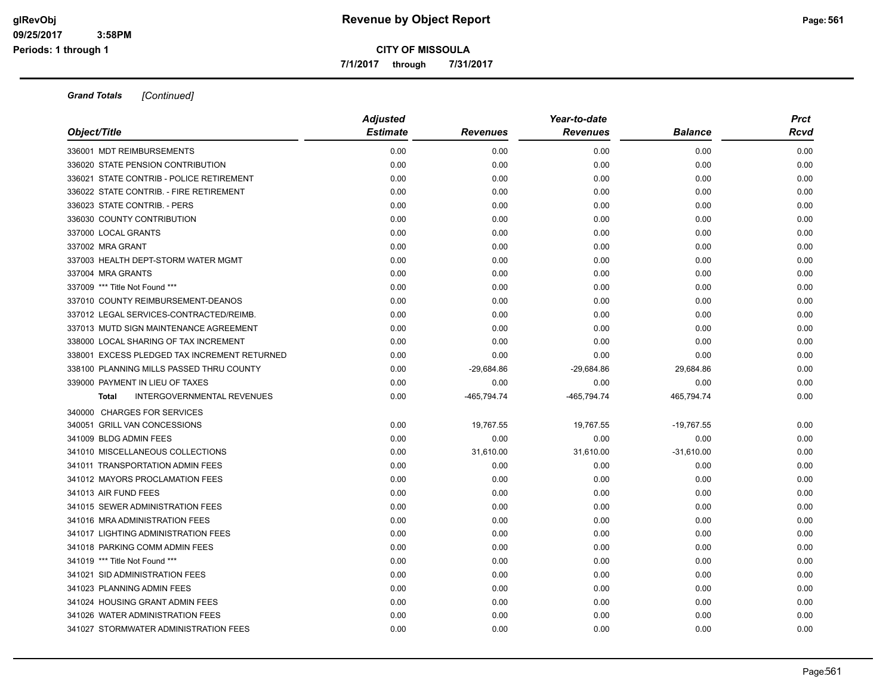**7/1/2017 through 7/31/2017**

|                                                   | <b>Adjusted</b> |                 | Year-to-date    |                | <b>Prct</b> |
|---------------------------------------------------|-----------------|-----------------|-----------------|----------------|-------------|
| Object/Title                                      | <b>Estimate</b> | <b>Revenues</b> | <b>Revenues</b> | <b>Balance</b> | <b>Rcvd</b> |
| 336001 MDT REIMBURSEMENTS                         | 0.00            | 0.00            | 0.00            | 0.00           | 0.00        |
| 336020 STATE PENSION CONTRIBUTION                 | 0.00            | 0.00            | 0.00            | 0.00           | 0.00        |
| 336021 STATE CONTRIB - POLICE RETIREMENT          | 0.00            | 0.00            | 0.00            | 0.00           | 0.00        |
| 336022 STATE CONTRIB. - FIRE RETIREMENT           | 0.00            | 0.00            | 0.00            | 0.00           | 0.00        |
| 336023 STATE CONTRIB. - PERS                      | 0.00            | 0.00            | 0.00            | 0.00           | 0.00        |
| 336030 COUNTY CONTRIBUTION                        | 0.00            | 0.00            | 0.00            | 0.00           | 0.00        |
| 337000 LOCAL GRANTS                               | 0.00            | 0.00            | 0.00            | 0.00           | 0.00        |
| 337002 MRA GRANT                                  | 0.00            | 0.00            | 0.00            | 0.00           | 0.00        |
| 337003 HEALTH DEPT-STORM WATER MGMT               | 0.00            | 0.00            | 0.00            | 0.00           | 0.00        |
| 337004 MRA GRANTS                                 | 0.00            | 0.00            | 0.00            | 0.00           | 0.00        |
| 337009 *** Title Not Found ***                    | 0.00            | 0.00            | 0.00            | 0.00           | 0.00        |
| 337010 COUNTY REIMBURSEMENT-DEANOS                | 0.00            | 0.00            | 0.00            | 0.00           | 0.00        |
| 337012 LEGAL SERVICES-CONTRACTED/REIMB.           | 0.00            | 0.00            | 0.00            | 0.00           | 0.00        |
| 337013 MUTD SIGN MAINTENANCE AGREEMENT            | 0.00            | 0.00            | 0.00            | 0.00           | 0.00        |
| 338000 LOCAL SHARING OF TAX INCREMENT             | 0.00            | 0.00            | 0.00            | 0.00           | 0.00        |
| 338001 EXCESS PLEDGED TAX INCREMENT RETURNED      | 0.00            | 0.00            | 0.00            | 0.00           | 0.00        |
| 338100 PLANNING MILLS PASSED THRU COUNTY          | 0.00            | $-29,684.86$    | $-29,684.86$    | 29,684.86      | 0.00        |
| 339000 PAYMENT IN LIEU OF TAXES                   | 0.00            | 0.00            | 0.00            | 0.00           | 0.00        |
| <b>INTERGOVERNMENTAL REVENUES</b><br><b>Total</b> | 0.00            | -465,794.74     | -465,794.74     | 465,794.74     | 0.00        |
| 340000 CHARGES FOR SERVICES                       |                 |                 |                 |                |             |
| 340051 GRILL VAN CONCESSIONS                      | 0.00            | 19,767.55       | 19,767.55       | $-19,767.55$   | 0.00        |
| 341009 BLDG ADMIN FEES                            | 0.00            | 0.00            | 0.00            | 0.00           | 0.00        |
| 341010 MISCELLANEOUS COLLECTIONS                  | 0.00            | 31,610.00       | 31,610.00       | $-31,610.00$   | 0.00        |
| 341011 TRANSPORTATION ADMIN FEES                  | 0.00            | 0.00            | 0.00            | 0.00           | 0.00        |
| 341012 MAYORS PROCLAMATION FEES                   | 0.00            | 0.00            | 0.00            | 0.00           | 0.00        |
| 341013 AIR FUND FEES                              | 0.00            | 0.00            | 0.00            | 0.00           | 0.00        |
| 341015 SEWER ADMINISTRATION FEES                  | 0.00            | 0.00            | 0.00            | 0.00           | 0.00        |
| 341016 MRA ADMINISTRATION FEES                    | 0.00            | 0.00            | 0.00            | 0.00           | 0.00        |
| 341017 LIGHTING ADMINISTRATION FEES               | 0.00            | 0.00            | 0.00            | 0.00           | 0.00        |
| 341018 PARKING COMM ADMIN FEES                    | 0.00            | 0.00            | 0.00            | 0.00           | 0.00        |
| 341019 *** Title Not Found ***                    | 0.00            | 0.00            | 0.00            | 0.00           | 0.00        |
| 341021 SID ADMINISTRATION FEES                    | 0.00            | 0.00            | 0.00            | 0.00           | 0.00        |
| 341023 PLANNING ADMIN FEES                        | 0.00            | 0.00            | 0.00            | 0.00           | 0.00        |
| 341024 HOUSING GRANT ADMIN FEES                   | 0.00            | 0.00            | 0.00            | 0.00           | 0.00        |
| 341026 WATER ADMINISTRATION FEES                  | 0.00            | 0.00            | 0.00            | 0.00           | 0.00        |
| 341027 STORMWATER ADMINISTRATION FEES             | 0.00            | 0.00            | 0.00            | 0.00           | 0.00        |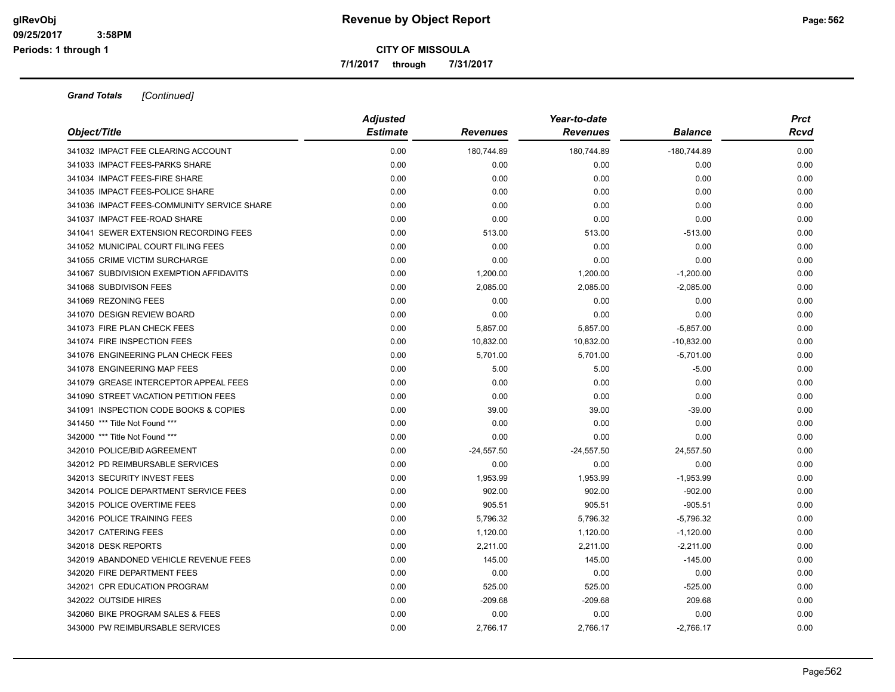**7/1/2017 through 7/31/2017**

| Object/Title                               | <b>Adjusted</b><br><b>Estimate</b> | <b>Revenues</b> | Year-to-date<br><b>Revenues</b> | <b>Balance</b> | <b>Prct</b><br>Rcvd |
|--------------------------------------------|------------------------------------|-----------------|---------------------------------|----------------|---------------------|
| 341032 IMPACT FEE CLEARING ACCOUNT         | 0.00                               | 180,744.89      | 180,744.89                      | $-180,744.89$  | 0.00                |
| 341033 IMPACT FEES-PARKS SHARE             | 0.00                               | 0.00            | 0.00                            | 0.00           | 0.00                |
| 341034 IMPACT FEES-FIRE SHARE              | 0.00                               | 0.00            | 0.00                            | 0.00           | 0.00                |
| 341035 IMPACT FEES-POLICE SHARE            | 0.00                               | 0.00            | 0.00                            | 0.00           | 0.00                |
| 341036 IMPACT FEES-COMMUNITY SERVICE SHARE | 0.00                               | 0.00            | 0.00                            | 0.00           | 0.00                |
| 341037 IMPACT FEE-ROAD SHARE               | 0.00                               | 0.00            | 0.00                            | 0.00           | 0.00                |
| 341041 SEWER EXTENSION RECORDING FEES      | 0.00                               | 513.00          | 513.00                          | $-513.00$      | 0.00                |
| 341052 MUNICIPAL COURT FILING FEES         | 0.00                               | 0.00            | 0.00                            | 0.00           | 0.00                |
| 341055 CRIME VICTIM SURCHARGE              | 0.00                               | 0.00            | 0.00                            | 0.00           | 0.00                |
| 341067 SUBDIVISION EXEMPTION AFFIDAVITS    | 0.00                               | 1,200.00        | 1,200.00                        | $-1,200.00$    | 0.00                |
| 341068 SUBDIVISON FEES                     | 0.00                               | 2,085.00        | 2,085.00                        | $-2,085.00$    | 0.00                |
| 341069 REZONING FEES                       | 0.00                               | 0.00            | 0.00                            | 0.00           | 0.00                |
| 341070 DESIGN REVIEW BOARD                 | 0.00                               | 0.00            | 0.00                            | 0.00           | 0.00                |
| 341073 FIRE PLAN CHECK FEES                | 0.00                               | 5,857.00        | 5,857.00                        | $-5,857.00$    | 0.00                |
| 341074 FIRE INSPECTION FEES                | 0.00                               | 10,832.00       | 10,832.00                       | $-10,832.00$   | 0.00                |
| 341076 ENGINEERING PLAN CHECK FEES         | 0.00                               | 5,701.00        | 5,701.00                        | $-5,701.00$    | 0.00                |
| 341078 ENGINEERING MAP FEES                | 0.00                               | 5.00            | 5.00                            | $-5.00$        | 0.00                |
| 341079 GREASE INTERCEPTOR APPEAL FEES      | 0.00                               | 0.00            | 0.00                            | 0.00           | 0.00                |
| 341090 STREET VACATION PETITION FEES       | 0.00                               | 0.00            | 0.00                            | 0.00           | 0.00                |
| 341091 INSPECTION CODE BOOKS & COPIES      | 0.00                               | 39.00           | 39.00                           | $-39.00$       | 0.00                |
| 341450 *** Title Not Found ***             | 0.00                               | 0.00            | 0.00                            | 0.00           | 0.00                |
| 342000 *** Title Not Found ***             | 0.00                               | 0.00            | 0.00                            | 0.00           | 0.00                |
| 342010 POLICE/BID AGREEMENT                | 0.00                               | $-24,557.50$    | $-24,557.50$                    | 24,557.50      | 0.00                |
| 342012 PD REIMBURSABLE SERVICES            | 0.00                               | 0.00            | 0.00                            | 0.00           | 0.00                |
| 342013 SECURITY INVEST FEES                | 0.00                               | 1,953.99        | 1,953.99                        | $-1,953.99$    | 0.00                |
| 342014 POLICE DEPARTMENT SERVICE FEES      | 0.00                               | 902.00          | 902.00                          | $-902.00$      | 0.00                |
| 342015 POLICE OVERTIME FEES                | 0.00                               | 905.51          | 905.51                          | $-905.51$      | 0.00                |
| 342016 POLICE TRAINING FEES                | 0.00                               | 5,796.32        | 5,796.32                        | $-5,796.32$    | 0.00                |
| 342017 CATERING FEES                       | 0.00                               | 1,120.00        | 1,120.00                        | $-1,120.00$    | 0.00                |
| 342018 DESK REPORTS                        | 0.00                               | 2,211.00        | 2,211.00                        | $-2,211.00$    | 0.00                |
| 342019 ABANDONED VEHICLE REVENUE FEES      | 0.00                               | 145.00          | 145.00                          | $-145.00$      | 0.00                |
| 342020 FIRE DEPARTMENT FEES                | 0.00                               | 0.00            | 0.00                            | 0.00           | 0.00                |
| 342021 CPR EDUCATION PROGRAM               | 0.00                               | 525.00          | 525.00                          | $-525.00$      | 0.00                |
| 342022 OUTSIDE HIRES                       | 0.00                               | $-209.68$       | $-209.68$                       | 209.68         | 0.00                |
| 342060 BIKE PROGRAM SALES & FEES           | 0.00                               | 0.00            | 0.00                            | 0.00           | 0.00                |
| 343000 PW REIMBURSABLE SERVICES            | 0.00                               | 2,766.17        | 2,766.17                        | $-2,766.17$    | 0.00                |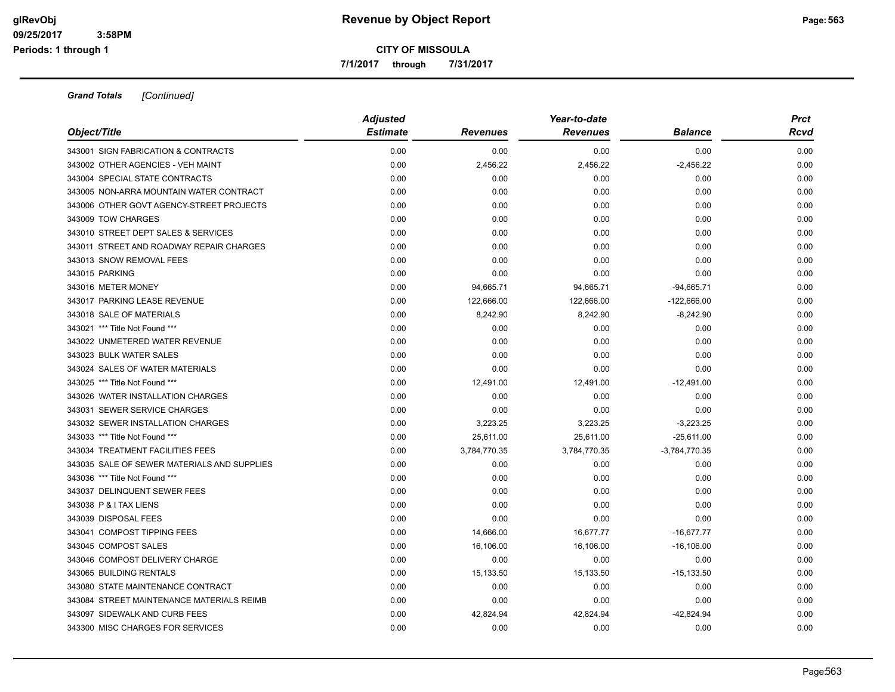**7/1/2017 through 7/31/2017**

| Object/Title                                | <b>Adjusted</b><br><b>Estimate</b> | <b>Revenues</b> | Year-to-date<br><b>Revenues</b> | <b>Balance</b>  | <b>Prct</b><br>Rcvd |
|---------------------------------------------|------------------------------------|-----------------|---------------------------------|-----------------|---------------------|
| 343001 SIGN FABRICATION & CONTRACTS         | 0.00                               | 0.00            | 0.00                            | 0.00            | 0.00                |
| 343002 OTHER AGENCIES - VEH MAINT           | 0.00                               | 2,456.22        | 2,456.22                        | $-2,456.22$     | 0.00                |
| 343004 SPECIAL STATE CONTRACTS              | 0.00                               | 0.00            | 0.00                            | 0.00            | 0.00                |
| 343005 NON-ARRA MOUNTAIN WATER CONTRACT     | 0.00                               | 0.00            | 0.00                            | 0.00            | 0.00                |
| 343006 OTHER GOVT AGENCY-STREET PROJECTS    | 0.00                               | 0.00            | 0.00                            | 0.00            | 0.00                |
| 343009 TOW CHARGES                          | 0.00                               | 0.00            | 0.00                            | 0.00            | 0.00                |
| 343010 STREET DEPT SALES & SERVICES         | 0.00                               | 0.00            | 0.00                            | 0.00            | 0.00                |
| 343011 STREET AND ROADWAY REPAIR CHARGES    | 0.00                               | 0.00            | 0.00                            | 0.00            | 0.00                |
| 343013 SNOW REMOVAL FEES                    | 0.00                               | 0.00            | 0.00                            | 0.00            | 0.00                |
| 343015 PARKING                              | 0.00                               | 0.00            | 0.00                            | 0.00            | 0.00                |
| 343016 METER MONEY                          | 0.00                               | 94,665.71       | 94,665.71                       | $-94,665.71$    | 0.00                |
| 343017 PARKING LEASE REVENUE                | 0.00                               | 122,666.00      | 122,666.00                      | $-122,666.00$   | 0.00                |
| 343018 SALE OF MATERIALS                    | 0.00                               | 8,242.90        | 8,242.90                        | $-8,242.90$     | 0.00                |
| 343021 *** Title Not Found ***              | 0.00                               | 0.00            | 0.00                            | 0.00            | 0.00                |
| 343022 UNMETERED WATER REVENUE              | 0.00                               | 0.00            | 0.00                            | 0.00            | 0.00                |
| 343023 BULK WATER SALES                     | 0.00                               | 0.00            | 0.00                            | 0.00            | 0.00                |
| 343024 SALES OF WATER MATERIALS             | 0.00                               | 0.00            | 0.00                            | 0.00            | 0.00                |
| 343025 *** Title Not Found ***              | 0.00                               | 12,491.00       | 12,491.00                       | $-12,491.00$    | 0.00                |
| 343026 WATER INSTALLATION CHARGES           | 0.00                               | 0.00            | 0.00                            | 0.00            | 0.00                |
| 343031 SEWER SERVICE CHARGES                | 0.00                               | 0.00            | 0.00                            | 0.00            | 0.00                |
| 343032 SEWER INSTALLATION CHARGES           | 0.00                               | 3,223.25        | 3,223.25                        | $-3,223.25$     | 0.00                |
| 343033 *** Title Not Found ***              | 0.00                               | 25,611.00       | 25,611.00                       | $-25,611.00$    | 0.00                |
| 343034 TREATMENT FACILITIES FEES            | 0.00                               | 3,784,770.35    | 3,784,770.35                    | $-3,784,770.35$ | 0.00                |
| 343035 SALE OF SEWER MATERIALS AND SUPPLIES | 0.00                               | 0.00            | 0.00                            | 0.00            | 0.00                |
| 343036 *** Title Not Found ***              | 0.00                               | 0.00            | 0.00                            | 0.00            | 0.00                |
| 343037 DELINQUENT SEWER FEES                | 0.00                               | 0.00            | 0.00                            | 0.00            | 0.00                |
| 343038 P & I TAX LIENS                      | 0.00                               | 0.00            | 0.00                            | 0.00            | 0.00                |
| 343039 DISPOSAL FEES                        | 0.00                               | 0.00            | 0.00                            | 0.00            | 0.00                |
| 343041 COMPOST TIPPING FEES                 | 0.00                               | 14,666.00       | 16,677.77                       | $-16,677.77$    | 0.00                |
| 343045 COMPOST SALES                        | 0.00                               | 16,106.00       | 16,106.00                       | $-16, 106.00$   | 0.00                |
| 343046 COMPOST DELIVERY CHARGE              | 0.00                               | 0.00            | 0.00                            | 0.00            | 0.00                |
| 343065 BUILDING RENTALS                     | 0.00                               | 15,133.50       | 15,133.50                       | $-15, 133.50$   | 0.00                |
| 343080 STATE MAINTENANCE CONTRACT           | 0.00                               | 0.00            | 0.00                            | 0.00            | 0.00                |
| 343084 STREET MAINTENANCE MATERIALS REIMB   | 0.00                               | 0.00            | 0.00                            | 0.00            | 0.00                |
| 343097 SIDEWALK AND CURB FEES               | 0.00                               | 42,824.94       | 42,824.94                       | $-42,824.94$    | 0.00                |
| 343300 MISC CHARGES FOR SERVICES            | 0.00                               | 0.00            | 0.00                            | 0.00            | 0.00                |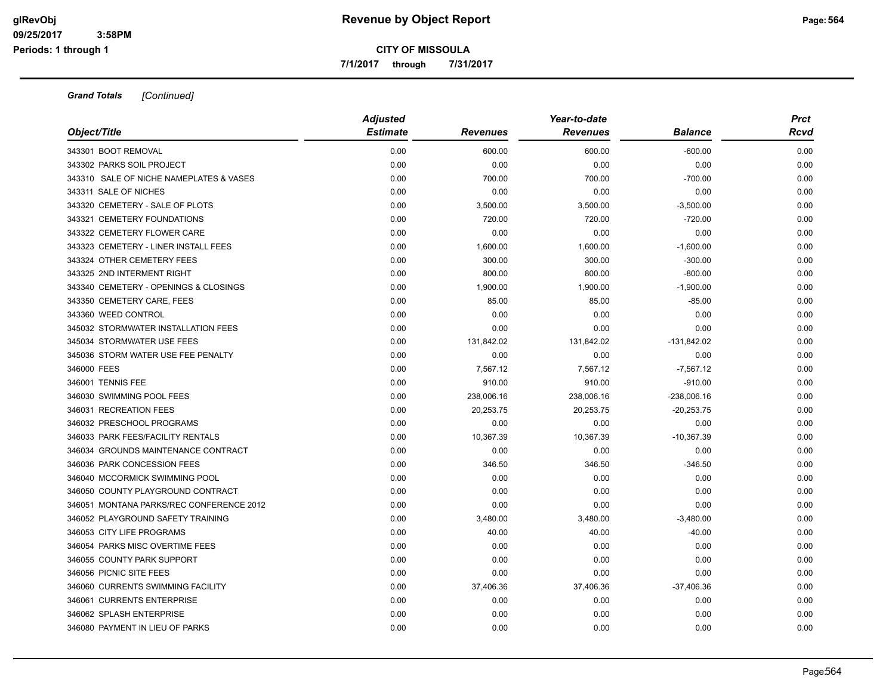**7/1/2017 through 7/31/2017**

|                                          | <b>Adjusted</b> |                 | Year-to-date    |                |             |  |
|------------------------------------------|-----------------|-----------------|-----------------|----------------|-------------|--|
| Object/Title                             | <b>Estimate</b> | <b>Revenues</b> | <b>Revenues</b> | <b>Balance</b> | <b>Rcvd</b> |  |
| 343301 BOOT REMOVAL                      | 0.00            | 600.00          | 600.00          | $-600.00$      | 0.00        |  |
| 343302 PARKS SOIL PROJECT                | 0.00            | 0.00            | 0.00            | 0.00           | 0.00        |  |
| 343310 SALE OF NICHE NAMEPLATES & VASES  | 0.00            | 700.00          | 700.00          | $-700.00$      | 0.00        |  |
| 343311 SALE OF NICHES                    | 0.00            | 0.00            | 0.00            | 0.00           | 0.00        |  |
| 343320 CEMETERY - SALE OF PLOTS          | 0.00            | 3,500.00        | 3,500.00        | $-3,500.00$    | 0.00        |  |
| 343321 CEMETERY FOUNDATIONS              | 0.00            | 720.00          | 720.00          | $-720.00$      | 0.00        |  |
| 343322 CEMETERY FLOWER CARE              | 0.00            | 0.00            | 0.00            | 0.00           | 0.00        |  |
| 343323 CEMETERY - LINER INSTALL FEES     | 0.00            | 1,600.00        | 1,600.00        | $-1,600.00$    | 0.00        |  |
| 343324 OTHER CEMETERY FEES               | 0.00            | 300.00          | 300.00          | $-300.00$      | 0.00        |  |
| 343325 2ND INTERMENT RIGHT               | 0.00            | 800.00          | 800.00          | $-800.00$      | 0.00        |  |
| 343340 CEMETERY - OPENINGS & CLOSINGS    | 0.00            | 1,900.00        | 1,900.00        | $-1,900.00$    | 0.00        |  |
| 343350 CEMETERY CARE, FEES               | 0.00            | 85.00           | 85.00           | $-85.00$       | 0.00        |  |
| 343360 WEED CONTROL                      | 0.00            | 0.00            | 0.00            | 0.00           | 0.00        |  |
| 345032 STORMWATER INSTALLATION FEES      | 0.00            | 0.00            | 0.00            | 0.00           | 0.00        |  |
| 345034 STORMWATER USE FEES               | 0.00            | 131,842.02      | 131,842.02      | $-131,842.02$  | 0.00        |  |
| 345036 STORM WATER USE FEE PENALTY       | 0.00            | 0.00            | 0.00            | 0.00           | 0.00        |  |
| 346000 FEES                              | 0.00            | 7,567.12        | 7,567.12        | $-7,567.12$    | 0.00        |  |
| 346001 TENNIS FEE                        | 0.00            | 910.00          | 910.00          | $-910.00$      | 0.00        |  |
| 346030 SWIMMING POOL FEES                | 0.00            | 238,006.16      | 238,006.16      | $-238,006.16$  | 0.00        |  |
| 346031 RECREATION FEES                   | 0.00            | 20,253.75       | 20,253.75       | $-20,253.75$   | 0.00        |  |
| 346032 PRESCHOOL PROGRAMS                | 0.00            | 0.00            | 0.00            | 0.00           | 0.00        |  |
| 346033 PARK FEES/FACILITY RENTALS        | 0.00            | 10,367.39       | 10,367.39       | $-10,367.39$   | 0.00        |  |
| 346034 GROUNDS MAINTENANCE CONTRACT      | 0.00            | 0.00            | 0.00            | 0.00           | 0.00        |  |
| 346036 PARK CONCESSION FEES              | 0.00            | 346.50          | 346.50          | $-346.50$      | 0.00        |  |
| 346040 MCCORMICK SWIMMING POOL           | 0.00            | 0.00            | 0.00            | 0.00           | 0.00        |  |
| 346050 COUNTY PLAYGROUND CONTRACT        | 0.00            | 0.00            | 0.00            | 0.00           | 0.00        |  |
| 346051 MONTANA PARKS/REC CONFERENCE 2012 | 0.00            | 0.00            | 0.00            | 0.00           | 0.00        |  |
| 346052 PLAYGROUND SAFETY TRAINING        | 0.00            | 3,480.00        | 3,480.00        | $-3,480.00$    | 0.00        |  |
| 346053 CITY LIFE PROGRAMS                | 0.00            | 40.00           | 40.00           | $-40.00$       | 0.00        |  |
| 346054 PARKS MISC OVERTIME FEES          | 0.00            | 0.00            | 0.00            | 0.00           | 0.00        |  |
| 346055 COUNTY PARK SUPPORT               | 0.00            | 0.00            | 0.00            | 0.00           | 0.00        |  |
| 346056 PICNIC SITE FEES                  | 0.00            | 0.00            | 0.00            | 0.00           | 0.00        |  |
| 346060 CURRENTS SWIMMING FACILITY        | 0.00            | 37,406.36       | 37,406.36       | $-37,406.36$   | 0.00        |  |
| 346061 CURRENTS ENTERPRISE               | 0.00            | 0.00            | 0.00            | 0.00           | 0.00        |  |
| 346062 SPLASH ENTERPRISE                 | 0.00            | 0.00            | 0.00            | 0.00           | 0.00        |  |
| 346080 PAYMENT IN LIEU OF PARKS          | 0.00            | 0.00            | 0.00            | 0.00           | 0.00        |  |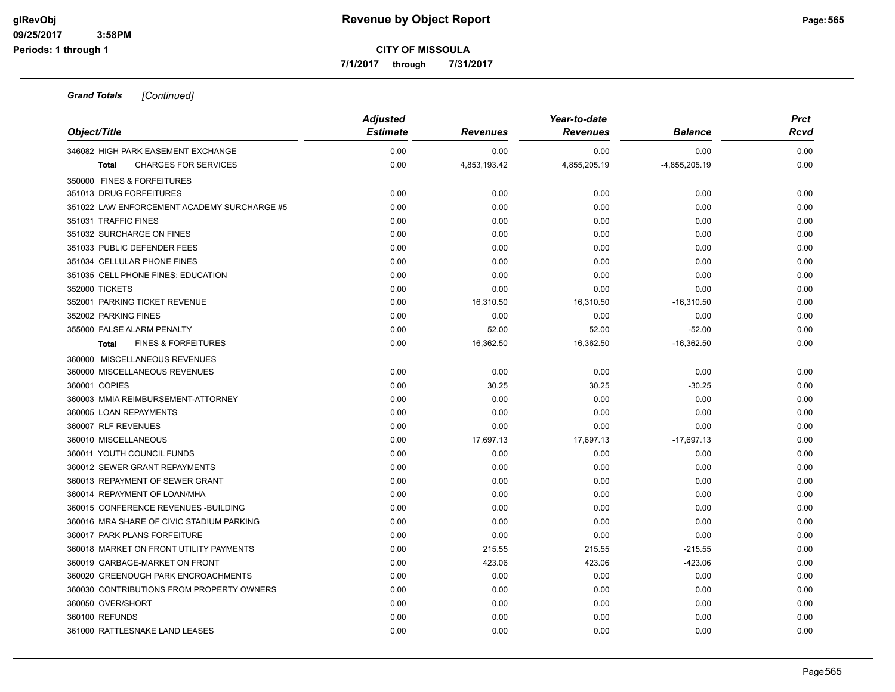**7/1/2017 through 7/31/2017**

| Object/Title                                | <b>Adjusted</b> |                 | Year-to-date    |                | <b>Prct</b> |
|---------------------------------------------|-----------------|-----------------|-----------------|----------------|-------------|
|                                             | <b>Estimate</b> | <b>Revenues</b> | <b>Revenues</b> | <b>Balance</b> | Rcvd        |
| 346082 HIGH PARK EASEMENT EXCHANGE          | 0.00            | 0.00            | 0.00            | 0.00           | 0.00        |
| <b>CHARGES FOR SERVICES</b><br>Total        | 0.00            | 4,853,193.42    | 4,855,205.19    | -4,855,205.19  | 0.00        |
| 350000 FINES & FORFEITURES                  |                 |                 |                 |                |             |
| 351013 DRUG FORFEITURES                     | 0.00            | 0.00            | 0.00            | 0.00           | 0.00        |
| 351022 LAW ENFORCEMENT ACADEMY SURCHARGE #5 | 0.00            | 0.00            | 0.00            | 0.00           | 0.00        |
| 351031 TRAFFIC FINES                        | 0.00            | 0.00            | 0.00            | 0.00           | 0.00        |
| 351032 SURCHARGE ON FINES                   | 0.00            | 0.00            | 0.00            | 0.00           | 0.00        |
| 351033 PUBLIC DEFENDER FEES                 | 0.00            | 0.00            | 0.00            | 0.00           | 0.00        |
| 351034 CELLULAR PHONE FINES                 | 0.00            | 0.00            | 0.00            | 0.00           | 0.00        |
| 351035 CELL PHONE FINES: EDUCATION          | 0.00            | 0.00            | 0.00            | 0.00           | 0.00        |
| 352000 TICKETS                              | 0.00            | 0.00            | 0.00            | 0.00           | 0.00        |
| 352001 PARKING TICKET REVENUE               | 0.00            | 16,310.50       | 16,310.50       | $-16,310.50$   | 0.00        |
| 352002 PARKING FINES                        | 0.00            | 0.00            | 0.00            | 0.00           | 0.00        |
| 355000 FALSE ALARM PENALTY                  | 0.00            | 52.00           | 52.00           | $-52.00$       | 0.00        |
| <b>FINES &amp; FORFEITURES</b><br>Total     | 0.00            | 16,362.50       | 16,362.50       | $-16,362.50$   | 0.00        |
| 360000 MISCELLANEOUS REVENUES               |                 |                 |                 |                |             |
| 360000 MISCELLANEOUS REVENUES               | 0.00            | 0.00            | 0.00            | 0.00           | 0.00        |
| 360001 COPIES                               | 0.00            | 30.25           | 30.25           | $-30.25$       | 0.00        |
| 360003 MMIA REIMBURSEMENT-ATTORNEY          | 0.00            | 0.00            | 0.00            | 0.00           | 0.00        |
| 360005 LOAN REPAYMENTS                      | 0.00            | 0.00            | 0.00            | 0.00           | 0.00        |
| 360007 RLF REVENUES                         | 0.00            | 0.00            | 0.00            | 0.00           | 0.00        |
| 360010 MISCELLANEOUS                        | 0.00            | 17,697.13       | 17,697.13       | $-17,697.13$   | 0.00        |
| 360011 YOUTH COUNCIL FUNDS                  | 0.00            | 0.00            | 0.00            | 0.00           | 0.00        |
| 360012 SEWER GRANT REPAYMENTS               | 0.00            | 0.00            | 0.00            | 0.00           | 0.00        |
| 360013 REPAYMENT OF SEWER GRANT             | 0.00            | 0.00            | 0.00            | 0.00           | 0.00        |
| 360014 REPAYMENT OF LOAN/MHA                | 0.00            | 0.00            | 0.00            | 0.00           | 0.00        |
| 360015 CONFERENCE REVENUES - BUILDING       | 0.00            | 0.00            | 0.00            | 0.00           | 0.00        |
| 360016 MRA SHARE OF CIVIC STADIUM PARKING   | 0.00            | 0.00            | 0.00            | 0.00           | 0.00        |
| 360017 PARK PLANS FORFEITURE                | 0.00            | 0.00            | 0.00            | 0.00           | 0.00        |
| 360018 MARKET ON FRONT UTILITY PAYMENTS     | 0.00            | 215.55          | 215.55          | $-215.55$      | 0.00        |
| 360019 GARBAGE-MARKET ON FRONT              | 0.00            | 423.06          | 423.06          | $-423.06$      | 0.00        |
| 360020 GREENOUGH PARK ENCROACHMENTS         | 0.00            | 0.00            | 0.00            | 0.00           | 0.00        |
| 360030 CONTRIBUTIONS FROM PROPERTY OWNERS   | 0.00            | 0.00            | 0.00            | 0.00           | 0.00        |
| 360050 OVER/SHORT                           | 0.00            | 0.00            | 0.00            | 0.00           | 0.00        |
| 360100 REFUNDS                              | 0.00            | 0.00            | 0.00            | 0.00           | 0.00        |
| 361000 RATTLESNAKE LAND LEASES              | 0.00            | 0.00            | 0.00            | 0.00           | 0.00        |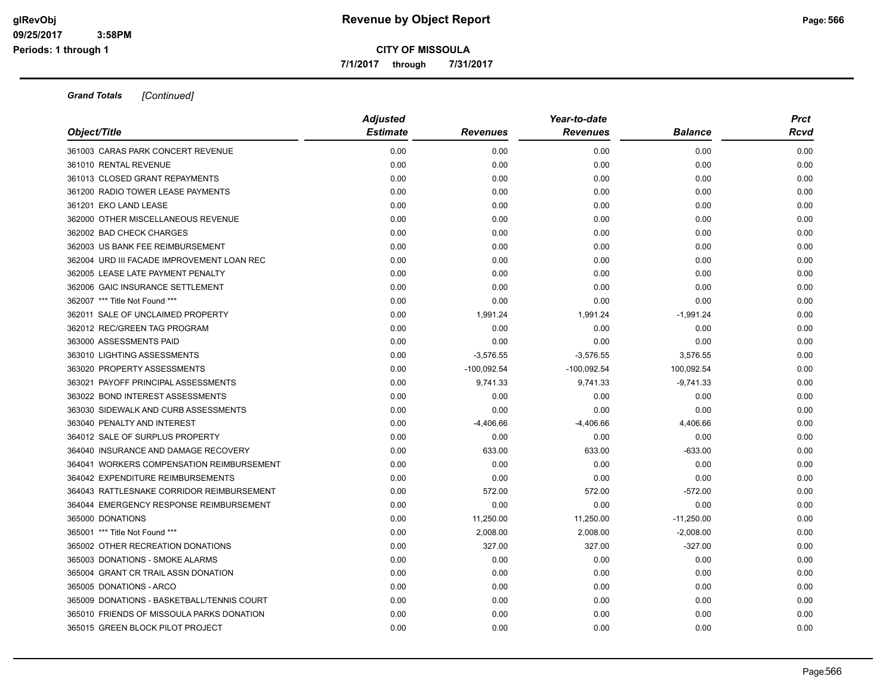**7/1/2017 through 7/31/2017**

| Object/Title                               | <b>Adjusted</b> |                 | Year-to-date    |                | <b>Prct</b> |
|--------------------------------------------|-----------------|-----------------|-----------------|----------------|-------------|
|                                            | <b>Estimate</b> | <b>Revenues</b> | <b>Revenues</b> | <b>Balance</b> | <b>Rcvd</b> |
| 361003 CARAS PARK CONCERT REVENUE          | 0.00            | 0.00            | 0.00            | 0.00           | 0.00        |
| 361010 RENTAL REVENUE                      | 0.00            | 0.00            | 0.00            | 0.00           | 0.00        |
| 361013 CLOSED GRANT REPAYMENTS             | 0.00            | 0.00            | 0.00            | 0.00           | 0.00        |
| 361200 RADIO TOWER LEASE PAYMENTS          | 0.00            | 0.00            | 0.00            | 0.00           | 0.00        |
| 361201 EKO LAND LEASE                      | 0.00            | 0.00            | 0.00            | 0.00           | 0.00        |
| 362000 OTHER MISCELLANEOUS REVENUE         | 0.00            | 0.00            | 0.00            | 0.00           | 0.00        |
| 362002 BAD CHECK CHARGES                   | 0.00            | 0.00            | 0.00            | 0.00           | 0.00        |
| 362003 US BANK FEE REIMBURSEMENT           | 0.00            | 0.00            | 0.00            | 0.00           | 0.00        |
| 362004 URD III FACADE IMPROVEMENT LOAN REC | 0.00            | 0.00            | 0.00            | 0.00           | 0.00        |
| 362005 LEASE LATE PAYMENT PENALTY          | 0.00            | 0.00            | 0.00            | 0.00           | 0.00        |
| 362006 GAIC INSURANCE SETTLEMENT           | 0.00            | 0.00            | 0.00            | 0.00           | 0.00        |
| 362007 *** Title Not Found ***             | 0.00            | 0.00            | 0.00            | 0.00           | 0.00        |
| 362011 SALE OF UNCLAIMED PROPERTY          | 0.00            | 1,991.24        | 1,991.24        | $-1,991.24$    | 0.00        |
| 362012 REC/GREEN TAG PROGRAM               | 0.00            | 0.00            | 0.00            | 0.00           | 0.00        |
| 363000 ASSESSMENTS PAID                    | 0.00            | 0.00            | 0.00            | 0.00           | 0.00        |
| 363010 LIGHTING ASSESSMENTS                | 0.00            | $-3,576.55$     | $-3,576.55$     | 3,576.55       | 0.00        |
| 363020 PROPERTY ASSESSMENTS                | 0.00            | $-100,092.54$   | $-100,092.54$   | 100,092.54     | 0.00        |
| 363021 PAYOFF PRINCIPAL ASSESSMENTS        | 0.00            | 9,741.33        | 9,741.33        | $-9,741.33$    | 0.00        |
| 363022 BOND INTEREST ASSESSMENTS           | 0.00            | 0.00            | 0.00            | 0.00           | 0.00        |
| 363030 SIDEWALK AND CURB ASSESSMENTS       | 0.00            | 0.00            | 0.00            | 0.00           | 0.00        |
| 363040 PENALTY AND INTEREST                | 0.00            | $-4,406.66$     | $-4,406.66$     | 4,406.66       | 0.00        |
| 364012 SALE OF SURPLUS PROPERTY            | 0.00            | 0.00            | 0.00            | 0.00           | 0.00        |
| 364040 INSURANCE AND DAMAGE RECOVERY       | 0.00            | 633.00          | 633.00          | $-633.00$      | 0.00        |
| 364041 WORKERS COMPENSATION REIMBURSEMENT  | 0.00            | 0.00            | 0.00            | 0.00           | 0.00        |
| 364042 EXPENDITURE REIMBURSEMENTS          | 0.00            | 0.00            | 0.00            | 0.00           | 0.00        |
| 364043 RATTLESNAKE CORRIDOR REIMBURSEMENT  | 0.00            | 572.00          | 572.00          | $-572.00$      | 0.00        |
| 364044 EMERGENCY RESPONSE REIMBURSEMENT    | 0.00            | 0.00            | 0.00            | 0.00           | 0.00        |
| 365000 DONATIONS                           | 0.00            | 11,250.00       | 11,250.00       | $-11,250.00$   | 0.00        |
| 365001 *** Title Not Found ***             | 0.00            | 2,008.00        | 2,008.00        | $-2,008.00$    | 0.00        |
| 365002 OTHER RECREATION DONATIONS          | 0.00            | 327.00          | 327.00          | $-327.00$      | 0.00        |
| 365003 DONATIONS - SMOKE ALARMS            | 0.00            | 0.00            | 0.00            | 0.00           | 0.00        |
| 365004 GRANT CR TRAIL ASSN DONATION        | 0.00            | 0.00            | 0.00            | 0.00           | 0.00        |
| 365005 DONATIONS - ARCO                    | 0.00            | 0.00            | 0.00            | 0.00           | 0.00        |
| 365009 DONATIONS - BASKETBALL/TENNIS COURT | 0.00            | 0.00            | 0.00            | 0.00           | 0.00        |
| 365010 FRIENDS OF MISSOULA PARKS DONATION  | 0.00            | 0.00            | 0.00            | 0.00           | 0.00        |
| 365015 GREEN BLOCK PILOT PROJECT           | 0.00            | 0.00            | 0.00            | 0.00           | 0.00        |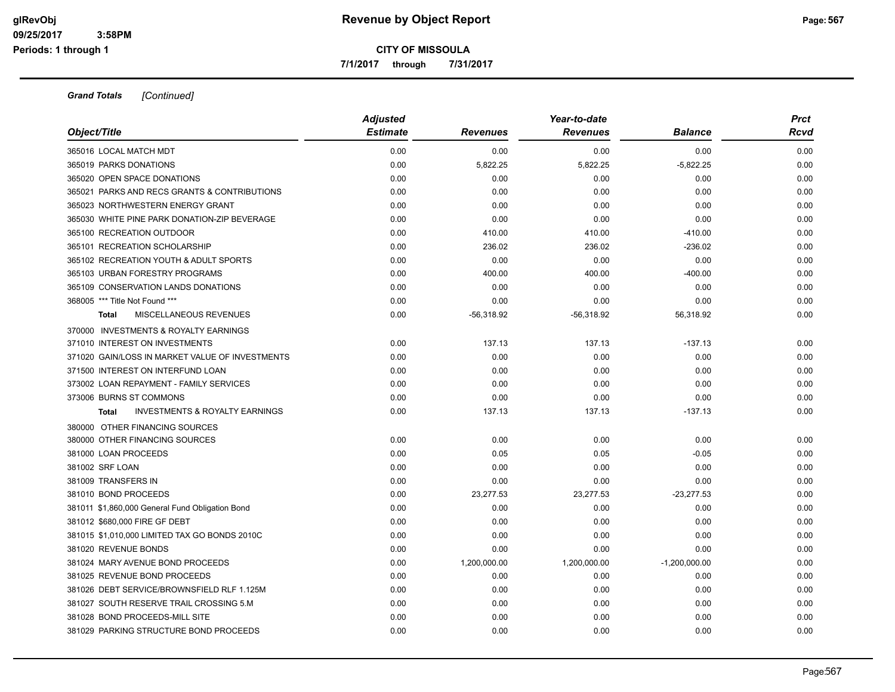**7/1/2017 through 7/31/2017**

| Object/Title                                              | <b>Adjusted</b><br><b>Estimate</b> | <b>Revenues</b> | Year-to-date<br><b>Revenues</b> | <b>Balance</b>  | <b>Prct</b><br>Rcvd |
|-----------------------------------------------------------|------------------------------------|-----------------|---------------------------------|-----------------|---------------------|
| 365016 LOCAL MATCH MDT                                    | 0.00                               | 0.00            | 0.00                            | 0.00            | 0.00                |
| 365019 PARKS DONATIONS                                    | 0.00                               | 5,822.25        | 5,822.25                        | $-5,822.25$     | 0.00                |
| 365020 OPEN SPACE DONATIONS                               | 0.00                               | 0.00            | 0.00                            | 0.00            | 0.00                |
| 365021 PARKS AND RECS GRANTS & CONTRIBUTIONS              | 0.00                               | 0.00            | 0.00                            | 0.00            | 0.00                |
| 365023 NORTHWESTERN ENERGY GRANT                          | 0.00                               | 0.00            | 0.00                            | 0.00            | 0.00                |
| 365030 WHITE PINE PARK DONATION-ZIP BEVERAGE              | 0.00                               | 0.00            | 0.00                            | 0.00            | 0.00                |
| 365100 RECREATION OUTDOOR                                 | 0.00                               | 410.00          | 410.00                          | $-410.00$       | 0.00                |
| 365101 RECREATION SCHOLARSHIP                             | 0.00                               | 236.02          | 236.02                          | $-236.02$       | 0.00                |
| 365102 RECREATION YOUTH & ADULT SPORTS                    | 0.00                               | 0.00            | 0.00                            | 0.00            | 0.00                |
| 365103 URBAN FORESTRY PROGRAMS                            | 0.00                               | 400.00          | 400.00                          | $-400.00$       | 0.00                |
| 365109 CONSERVATION LANDS DONATIONS                       | 0.00                               | 0.00            | 0.00                            | 0.00            | 0.00                |
| 368005 *** Title Not Found ***                            | 0.00                               | 0.00            | 0.00                            | 0.00            | 0.00                |
| MISCELLANEOUS REVENUES<br><b>Total</b>                    | 0.00                               | $-56,318.92$    | $-56,318.92$                    | 56,318.92       | 0.00                |
| 370000 INVESTMENTS & ROYALTY EARNINGS                     |                                    |                 |                                 |                 |                     |
| 371010 INTEREST ON INVESTMENTS                            | 0.00                               | 137.13          | 137.13                          | $-137.13$       | 0.00                |
| 371020 GAIN/LOSS IN MARKET VALUE OF INVESTMENTS           | 0.00                               | 0.00            | 0.00                            | 0.00            | 0.00                |
| 371500 INTEREST ON INTERFUND LOAN                         | 0.00                               | 0.00            | 0.00                            | 0.00            | 0.00                |
| 373002 LOAN REPAYMENT - FAMILY SERVICES                   | 0.00                               | 0.00            | 0.00                            | 0.00            | 0.00                |
| 373006 BURNS ST COMMONS                                   | 0.00                               | 0.00            | 0.00                            | 0.00            | 0.00                |
| <b>INVESTMENTS &amp; ROYALTY EARNINGS</b><br><b>Total</b> | 0.00                               | 137.13          | 137.13                          | $-137.13$       | 0.00                |
| 380000 OTHER FINANCING SOURCES                            |                                    |                 |                                 |                 |                     |
| 380000 OTHER FINANCING SOURCES                            | 0.00                               | 0.00            | 0.00                            | 0.00            | 0.00                |
| 381000 LOAN PROCEEDS                                      | 0.00                               | 0.05            | 0.05                            | $-0.05$         | 0.00                |
| 381002 SRF LOAN                                           | 0.00                               | 0.00            | 0.00                            | 0.00            | 0.00                |
| 381009 TRANSFERS IN                                       | 0.00                               | 0.00            | 0.00                            | 0.00            | 0.00                |
| 381010 BOND PROCEEDS                                      | 0.00                               | 23,277.53       | 23,277.53                       | $-23,277.53$    | 0.00                |
| 381011 \$1,860,000 General Fund Obligation Bond           | 0.00                               | 0.00            | 0.00                            | 0.00            | 0.00                |
| 381012 \$680,000 FIRE GF DEBT                             | 0.00                               | 0.00            | 0.00                            | 0.00            | 0.00                |
| 381015 \$1,010,000 LIMITED TAX GO BONDS 2010C             | 0.00                               | 0.00            | 0.00                            | 0.00            | 0.00                |
| 381020 REVENUE BONDS                                      | 0.00                               | 0.00            | 0.00                            | 0.00            | 0.00                |
| 381024 MARY AVENUE BOND PROCEEDS                          | 0.00                               | 1,200,000.00    | 1,200,000.00                    | $-1,200,000.00$ | 0.00                |
| 381025 REVENUE BOND PROCEEDS                              | 0.00                               | 0.00            | 0.00                            | 0.00            | 0.00                |
| 381026 DEBT SERVICE/BROWNSFIELD RLF 1.125M                | 0.00                               | 0.00            | 0.00                            | 0.00            | 0.00                |
| 381027 SOUTH RESERVE TRAIL CROSSING 5.M                   | 0.00                               | 0.00            | 0.00                            | 0.00            | 0.00                |
| 381028 BOND PROCEEDS-MILL SITE                            | 0.00                               | 0.00            | 0.00                            | 0.00            | 0.00                |
| 381029 PARKING STRUCTURE BOND PROCEEDS                    | 0.00                               | 0.00            | 0.00                            | 0.00            | 0.00                |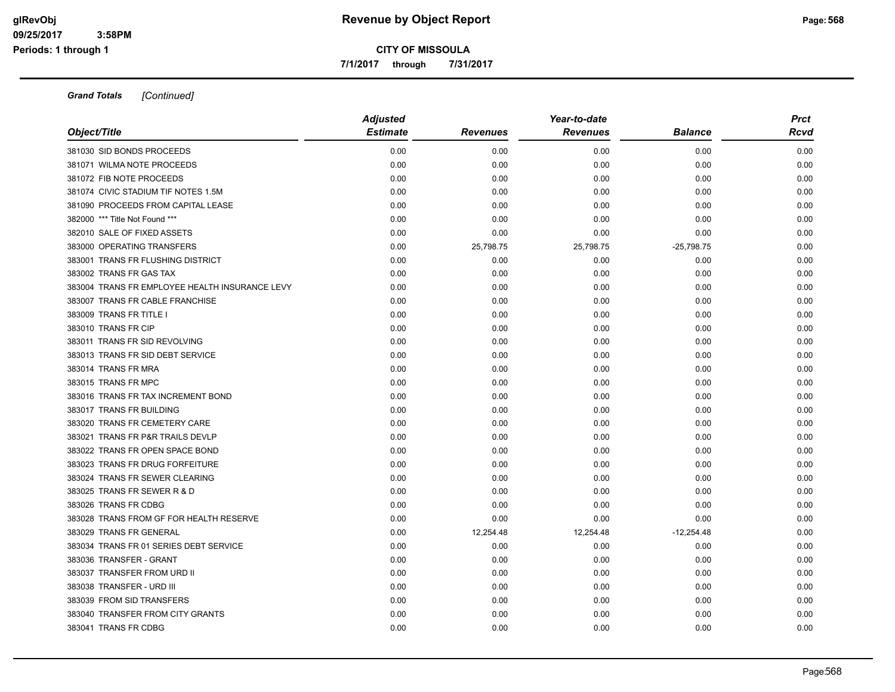**7/1/2017 through 7/31/2017**

| Object/Title                                   | <b>Adjusted</b><br><b>Estimate</b> | <b>Revenues</b> | Year-to-date<br><b>Revenues</b> | <b>Balance</b> | <b>Prct</b> |
|------------------------------------------------|------------------------------------|-----------------|---------------------------------|----------------|-------------|
|                                                |                                    |                 |                                 |                | <b>Rcvd</b> |
| 381030 SID BONDS PROCEEDS                      | 0.00                               | 0.00            | 0.00                            | 0.00           | 0.00        |
| 381071 WILMA NOTE PROCEEDS                     | 0.00                               | 0.00            | 0.00                            | 0.00           | 0.00        |
| 381072 FIB NOTE PROCEEDS                       | 0.00                               | 0.00            | 0.00                            | 0.00           | 0.00        |
| 381074 CIVIC STADIUM TIF NOTES 1.5M            | 0.00                               | 0.00            | 0.00                            | 0.00           | 0.00        |
| 381090 PROCEEDS FROM CAPITAL LEASE             | 0.00                               | 0.00            | 0.00                            | 0.00           | 0.00        |
| 382000 *** Title Not Found ***                 | 0.00                               | 0.00            | 0.00                            | 0.00           | 0.00        |
| 382010 SALE OF FIXED ASSETS                    | 0.00                               | 0.00            | 0.00                            | 0.00           | 0.00        |
| 383000 OPERATING TRANSFERS                     | 0.00                               | 25,798.75       | 25,798.75                       | $-25,798.75$   | 0.00        |
| 383001 TRANS FR FLUSHING DISTRICT              | 0.00                               | 0.00            | 0.00                            | 0.00           | 0.00        |
| 383002 TRANS FR GAS TAX                        | 0.00                               | 0.00            | 0.00                            | 0.00           | 0.00        |
| 383004 TRANS FR EMPLOYEE HEALTH INSURANCE LEVY | 0.00                               | 0.00            | 0.00                            | 0.00           | 0.00        |
| 383007 TRANS FR CABLE FRANCHISE                | 0.00                               | 0.00            | 0.00                            | 0.00           | 0.00        |
| 383009 TRANS FR TITLE I                        | 0.00                               | 0.00            | 0.00                            | 0.00           | 0.00        |
| 383010 TRANS FR CIP                            | 0.00                               | 0.00            | 0.00                            | 0.00           | 0.00        |
| 383011 TRANS FR SID REVOLVING                  | 0.00                               | 0.00            | 0.00                            | 0.00           | 0.00        |
| 383013 TRANS FR SID DEBT SERVICE               | 0.00                               | 0.00            | 0.00                            | 0.00           | 0.00        |
| 383014 TRANS FR MRA                            | 0.00                               | 0.00            | 0.00                            | 0.00           | 0.00        |
| 383015 TRANS FR MPC                            | 0.00                               | 0.00            | 0.00                            | 0.00           | 0.00        |
| 383016 TRANS FR TAX INCREMENT BOND             | 0.00                               | 0.00            | 0.00                            | 0.00           | 0.00        |
| 383017 TRANS FR BUILDING                       | 0.00                               | 0.00            | 0.00                            | 0.00           | 0.00        |
| 383020 TRANS FR CEMETERY CARE                  | 0.00                               | 0.00            | 0.00                            | 0.00           | 0.00        |
| 383021 TRANS FR P&R TRAILS DEVLP               | 0.00                               | 0.00            | 0.00                            | 0.00           | 0.00        |
| 383022 TRANS FR OPEN SPACE BOND                | 0.00                               | 0.00            | 0.00                            | 0.00           | 0.00        |
| 383023 TRANS FR DRUG FORFEITURE                | 0.00                               | 0.00            | 0.00                            | 0.00           | 0.00        |
| 383024 TRANS FR SEWER CLEARING                 | 0.00                               | 0.00            | 0.00                            | 0.00           | 0.00        |
| 383025 TRANS FR SEWER R & D                    | 0.00                               | 0.00            | 0.00                            | 0.00           | 0.00        |
| 383026 TRANS FR CDBG                           | 0.00                               | 0.00            | 0.00                            | 0.00           | 0.00        |
| 383028 TRANS FROM GF FOR HEALTH RESERVE        | 0.00                               | 0.00            | 0.00                            | 0.00           | 0.00        |
| 383029 TRANS FR GENERAL                        | 0.00                               | 12,254.48       | 12,254.48                       | $-12,254.48$   | 0.00        |
| 383034 TRANS FR 01 SERIES DEBT SERVICE         | 0.00                               | 0.00            | 0.00                            | 0.00           | 0.00        |
| 383036 TRANSFER - GRANT                        | 0.00                               | 0.00            | 0.00                            | 0.00           | 0.00        |
| 383037 TRANSFER FROM URD II                    | 0.00                               | 0.00            | 0.00                            | 0.00           | 0.00        |
| 383038 TRANSFER - URD III                      | 0.00                               | 0.00            | 0.00                            | 0.00           | 0.00        |
| 383039 FROM SID TRANSFERS                      | 0.00                               | 0.00            | 0.00                            | 0.00           | 0.00        |
| 383040 TRANSFER FROM CITY GRANTS               | 0.00                               | 0.00            | 0.00                            | 0.00           | 0.00        |
| 383041 TRANS FR CDBG                           | 0.00                               | 0.00            | 0.00                            | 0.00           | 0.00        |